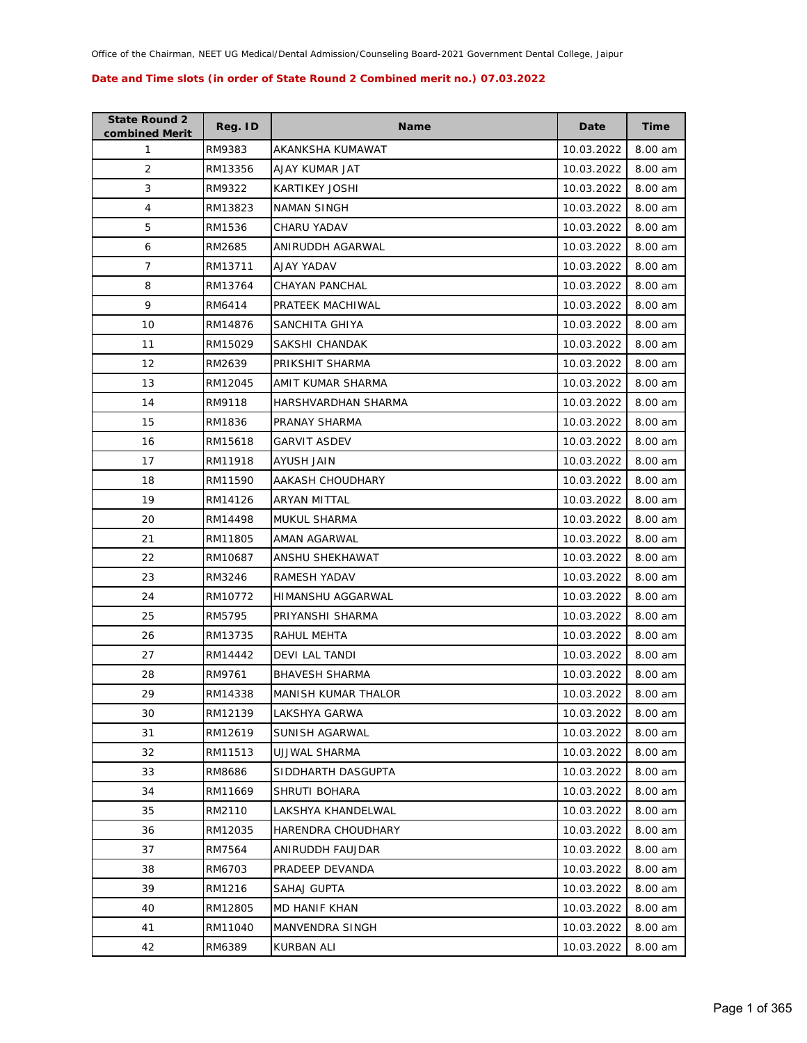| <b>State Round 2</b><br>combined Merit | Reg. ID | <b>Name</b>                | Date       | <b>Time</b> |
|----------------------------------------|---------|----------------------------|------------|-------------|
| 1                                      | RM9383  | AKANKSHA KUMAWAT           | 10.03.2022 | 8.00 am     |
| $\overline{2}$                         | RM13356 | AJAY KUMAR JAT             | 10.03.2022 | 8.00 am     |
| 3                                      | RM9322  | KARTIKEY JOSHI             | 10.03.2022 | 8.00 am     |
| 4                                      | RM13823 | NAMAN SINGH                | 10.03.2022 | 8.00 am     |
| 5                                      | RM1536  | CHARU YADAV                | 10.03.2022 | 8.00 am     |
| 6                                      | RM2685  | ANIRUDDH AGARWAL           | 10.03.2022 | 8.00 am     |
| 7                                      | RM13711 | AJAY YADAV                 | 10.03.2022 | 8.00 am     |
| 8                                      | RM13764 | CHAYAN PANCHAL             | 10.03.2022 | 8.00 am     |
| 9                                      | RM6414  | PRATEEK MACHIWAL           | 10.03.2022 | 8.00 am     |
| 10                                     | RM14876 | SANCHITA GHIYA             | 10.03.2022 | 8.00 am     |
| 11                                     | RM15029 | SAKSHI CHANDAK             | 10.03.2022 | 8.00 am     |
| 12                                     | RM2639  | PRIKSHIT SHARMA            | 10.03.2022 | 8.00 am     |
| 13                                     | RM12045 | AMIT KUMAR SHARMA          | 10.03.2022 | 8.00 am     |
| 14                                     | RM9118  | HARSHVARDHAN SHARMA        | 10.03.2022 | 8.00 am     |
| 15                                     | RM1836  | PRANAY SHARMA              | 10.03.2022 | 8.00 am     |
| 16                                     | RM15618 | GARVIT ASDEV               | 10.03.2022 | 8.00 am     |
| 17                                     | RM11918 | AYUSH JAIN                 | 10.03.2022 | 8.00 am     |
| 18                                     | RM11590 | AAKASH CHOUDHARY           | 10.03.2022 | 8.00 am     |
| 19                                     | RM14126 | ARYAN MITTAL               | 10.03.2022 | 8.00 am     |
| 20                                     | RM14498 | MUKUL SHARMA               | 10.03.2022 | 8.00 am     |
| 21                                     | RM11805 | AMAN AGARWAL               | 10.03.2022 | 8.00 am     |
| 22                                     | RM10687 | ANSHU SHEKHAWAT            | 10.03.2022 | 8.00 am     |
| 23                                     | RM3246  | RAMESH YADAV               | 10.03.2022 | 8.00 am     |
| 24                                     | RM10772 | HIMANSHU AGGARWAL          | 10.03.2022 | 8.00 am     |
| 25                                     | RM5795  | PRIYANSHI SHARMA           | 10.03.2022 | 8.00 am     |
| 26                                     | RM13735 | RAHUL MEHTA                | 10.03.2022 | 8.00 am     |
| 27                                     | RM14442 | DEVI LAL TANDI             | 10.03.2022 | 8.00 am     |
| 28                                     | RM9761  | <b>BHAVESH SHARMA</b>      | 10.03.2022 | 8.00 am     |
| 29                                     | RM14338 | <b>MANISH KUMAR THALOR</b> | 10.03.2022 | 8.00 am     |
| 30                                     | RM12139 | LAKSHYA GARWA              | 10.03.2022 | 8.00 am     |
| 31                                     | RM12619 | SUNISH AGARWAL             | 10.03.2022 | 8.00 am     |
| 32                                     | RM11513 | UJJWAL SHARMA              | 10.03.2022 | 8.00 am     |
| 33                                     | RM8686  | SIDDHARTH DASGUPTA         | 10.03.2022 | 8.00 am     |
| 34                                     | RM11669 | SHRUTI BOHARA              | 10.03.2022 | 8.00 am     |
| 35                                     | RM2110  | LAKSHYA KHANDELWAL         | 10.03.2022 | 8.00 am     |
| 36                                     | RM12035 | <b>HARENDRA CHOUDHARY</b>  | 10.03.2022 | 8.00 am     |
| 37                                     | RM7564  | ANIRUDDH FAUJDAR           | 10.03.2022 | 8.00 am     |
| 38                                     | RM6703  | PRADEEP DEVANDA            | 10.03.2022 | 8.00 am     |
| 39                                     | RM1216  | SAHAJ GUPTA                | 10.03.2022 | 8.00 am     |
| 40                                     | RM12805 | MD HANIF KHAN              | 10.03.2022 | 8.00 am     |
| 41                                     | RM11040 | MANVENDRA SINGH            | 10.03.2022 | 8.00 am     |
| 42                                     | RM6389  | KURBAN ALI                 | 10.03.2022 | 8.00 am     |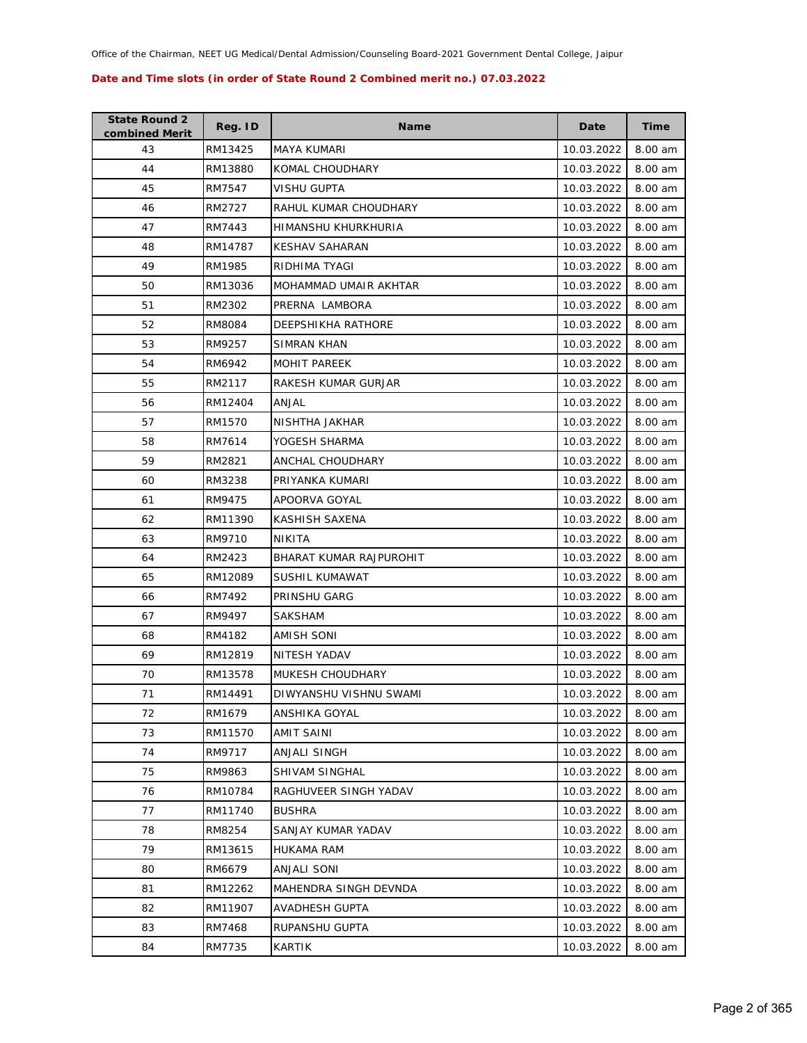| <b>State Round 2</b><br>combined Merit | Reg. ID | <b>Name</b>             | Date       | Time    |
|----------------------------------------|---------|-------------------------|------------|---------|
| 43                                     | RM13425 | <b>MAYA KUMARI</b>      | 10.03.2022 | 8.00 am |
| 44                                     | RM13880 | KOMAL CHOUDHARY         | 10.03.2022 | 8.00 am |
| 45                                     | RM7547  | <b>VISHU GUPTA</b>      | 10.03.2022 | 8.00 am |
| 46                                     | RM2727  | RAHUL KUMAR CHOUDHARY   | 10.03.2022 | 8.00 am |
| 47                                     | RM7443  | HIMANSHU KHURKHURIA     | 10.03.2022 | 8.00 am |
| 48                                     | RM14787 | <b>KESHAV SAHARAN</b>   | 10.03.2022 | 8.00 am |
| 49                                     | RM1985  | RIDHIMA TYAGI           | 10.03.2022 | 8.00 am |
| 50                                     | RM13036 | MOHAMMAD UMAIR AKHTAR   | 10.03.2022 | 8.00 am |
| 51                                     | RM2302  | PRERNA LAMBORA          | 10.03.2022 | 8.00 am |
| 52                                     | RM8084  | DEEPSHIKHA RATHORE      | 10.03.2022 | 8.00 am |
| 53                                     | RM9257  | SIMRAN KHAN             | 10.03.2022 | 8.00 am |
| 54                                     | RM6942  | MOHIT PAREEK            | 10.03.2022 | 8.00 am |
| 55                                     | RM2117  | RAKESH KUMAR GURJAR     | 10.03.2022 | 8.00 am |
| 56                                     | RM12404 | ANJAL                   | 10.03.2022 | 8.00 am |
| 57                                     | RM1570  | NISHTHA JAKHAR          | 10.03.2022 | 8.00 am |
| 58                                     | RM7614  | YOGESH SHARMA           | 10.03.2022 | 8.00 am |
| 59                                     | RM2821  | ANCHAL CHOUDHARY        | 10.03.2022 | 8.00 am |
| 60                                     | RM3238  | PRIYANKA KUMARI         | 10.03.2022 | 8.00 am |
| 61                                     | RM9475  | APOORVA GOYAL           | 10.03.2022 | 8.00 am |
| 62                                     | RM11390 | KASHISH SAXENA          | 10.03.2022 | 8.00 am |
| 63                                     | RM9710  | <b>NIKITA</b>           | 10.03.2022 | 8.00 am |
| 64                                     | RM2423  | BHARAT KUMAR RAJPUROHIT | 10.03.2022 | 8.00 am |
| 65                                     | RM12089 | SUSHIL KUMAWAT          | 10.03.2022 | 8.00 am |
| 66                                     | RM7492  | PRINSHU GARG            | 10.03.2022 | 8.00 am |
| 67                                     | RM9497  | SAKSHAM                 | 10.03.2022 | 8.00 am |
| 68                                     | RM4182  | <b>AMISH SONI</b>       | 10.03.2022 | 8.00 am |
| 69                                     | RM12819 | NITESH YADAV            | 10.03.2022 | 8.00 am |
| 70                                     | RM13578 | MUKESH CHOUDHARY        | 10.03.2022 | 8.00 am |
| 71                                     | RM14491 | DIWYANSHU VISHNU SWAMI  | 10.03.2022 | 8.00 am |
| 72                                     | RM1679  | ANSHIKA GOYAL           | 10.03.2022 | 8.00 am |
| 73                                     | RM11570 | AMIT SAINI              | 10.03.2022 | 8.00 am |
| 74                                     | RM9717  | <b>ANJALI SINGH</b>     | 10.03.2022 | 8.00 am |
| 75                                     | RM9863  | SHIVAM SINGHAL          | 10.03.2022 | 8.00 am |
| 76                                     | RM10784 | RAGHUVEER SINGH YADAV   | 10.03.2022 | 8.00 am |
| 77                                     | RM11740 | <b>BUSHRA</b>           | 10.03.2022 | 8.00 am |
| 78                                     | RM8254  | SANJAY KUMAR YADAV      | 10.03.2022 | 8.00 am |
| 79                                     | RM13615 | HUKAMA RAM              | 10.03.2022 | 8.00 am |
| 80                                     | RM6679  | ANJALI SONI             | 10.03.2022 | 8.00 am |
| 81                                     | RM12262 | MAHENDRA SINGH DEVNDA   | 10.03.2022 | 8.00 am |
| 82                                     | RM11907 | AVADHESH GUPTA          | 10.03.2022 | 8.00 am |
| 83                                     | RM7468  | RUPANSHU GUPTA          | 10.03.2022 | 8.00 am |
| 84                                     | RM7735  | KARTIK                  | 10.03.2022 | 8.00 am |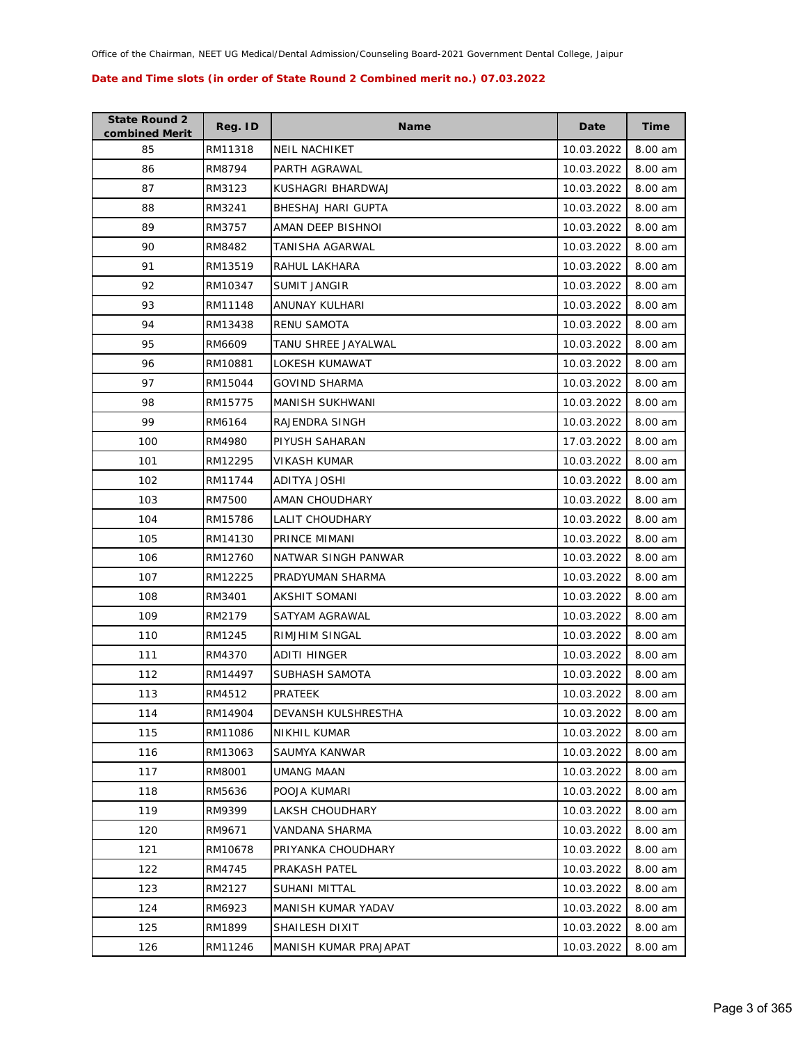| <b>State Round 2</b><br>combined Merit | Reg. ID | <b>Name</b>           | Date       | <b>Time</b> |
|----------------------------------------|---------|-----------------------|------------|-------------|
| 85                                     | RM11318 | <b>NEIL NACHIKET</b>  | 10.03.2022 | 8.00 am     |
| 86                                     | RM8794  | PARTH AGRAWAL         | 10.03.2022 | 8.00 am     |
| 87                                     | RM3123  | KUSHAGRI BHARDWAJ     | 10.03.2022 | 8.00 am     |
| 88                                     | RM3241  | BHESHAJ HARI GUPTA    | 10.03.2022 | 8.00 am     |
| 89                                     | RM3757  | AMAN DEEP BISHNOI     | 10.03.2022 | 8.00 am     |
| 90                                     | RM8482  | TANISHA AGARWAL       | 10.03.2022 | 8.00 am     |
| 91                                     | RM13519 | RAHUL LAKHARA         | 10.03.2022 | 8.00 am     |
| 92                                     | RM10347 | <b>SUMIT JANGIR</b>   | 10.03.2022 | 8.00 am     |
| 93                                     | RM11148 | ANUNAY KULHARI        | 10.03.2022 | 8.00 am     |
| 94                                     | RM13438 | <b>RENU SAMOTA</b>    | 10.03.2022 | 8.00 am     |
| 95                                     | RM6609  | TANU SHREE JAYALWAL   | 10.03.2022 | 8.00 am     |
| 96                                     | RM10881 | LOKESH KUMAWAT        | 10.03.2022 | 8.00 am     |
| 97                                     | RM15044 | <b>GOVIND SHARMA</b>  | 10.03.2022 | 8.00 am     |
| 98                                     | RM15775 | MANISH SUKHWANI       | 10.03.2022 | 8.00 am     |
| 99                                     | RM6164  | RAJENDRA SINGH        | 10.03.2022 | 8.00 am     |
| 100                                    | RM4980  | PIYUSH SAHARAN        | 17.03.2022 | 8.00 am     |
| 101                                    | RM12295 | <b>VIKASH KUMAR</b>   | 10.03.2022 | 8.00 am     |
| 102                                    | RM11744 | <b>ADITYA JOSHI</b>   | 10.03.2022 | 8.00 am     |
| 103                                    | RM7500  | AMAN CHOUDHARY        | 10.03.2022 | 8.00 am     |
| 104                                    | RM15786 | LALIT CHOUDHARY       | 10.03.2022 | 8.00 am     |
| 105                                    | RM14130 | PRINCE MIMANI         | 10.03.2022 | 8.00 am     |
| 106                                    | RM12760 | NATWAR SINGH PANWAR   | 10.03.2022 | 8.00 am     |
| 107                                    | RM12225 | PRADYUMAN SHARMA      | 10.03.2022 | 8.00 am     |
| 108                                    | RM3401  | AKSHIT SOMANI         | 10.03.2022 | 8.00 am     |
| 109                                    | RM2179  | SATYAM AGRAWAL        | 10.03.2022 | 8.00 am     |
| 110                                    | RM1245  | <b>RIMJHIM SINGAL</b> | 10.03.2022 | 8.00 am     |
| 111                                    | RM4370  | ADITI HINGER          | 10.03.2022 | 8.00 am     |
| 112                                    | RM14497 | SUBHASH SAMOTA        | 10.03.2022 | 8.00 am     |
| 113                                    | RM4512  | PRATEEK               | 10.03.2022 | 8.00 am     |
| 114                                    | RM14904 | DEVANSH KULSHRESTHA   | 10.03.2022 | 8.00 am     |
| 115                                    | RM11086 | NIKHIL KUMAR          | 10.03.2022 | 8.00 am     |
| 116                                    | RM13063 | SAUMYA KANWAR         | 10.03.2022 | 8.00 am     |
| 117                                    | RM8001  | UMANG MAAN            | 10.03.2022 | 8.00 am     |
| 118                                    | RM5636  | POOJA KUMARI          | 10.03.2022 | 8.00 am     |
| 119                                    | RM9399  | LAKSH CHOUDHARY       | 10.03.2022 | 8.00 am     |
| 120                                    | RM9671  | VANDANA SHARMA        | 10.03.2022 | 8.00 am     |
| 121                                    | RM10678 | PRIYANKA CHOUDHARY    | 10.03.2022 | 8.00 am     |
| 122                                    | RM4745  | PRAKASH PATEL         | 10.03.2022 | 8.00 am     |
| 123                                    | RM2127  | SUHANI MITTAL         | 10.03.2022 | 8.00 am     |
| 124                                    | RM6923  | MANISH KUMAR YADAV    | 10.03.2022 | 8.00 am     |
| 125                                    | RM1899  | SHAILESH DIXIT        | 10.03.2022 | 8.00 am     |
| 126                                    | RM11246 | MANISH KUMAR PRAJAPAT | 10.03.2022 | 8.00 am     |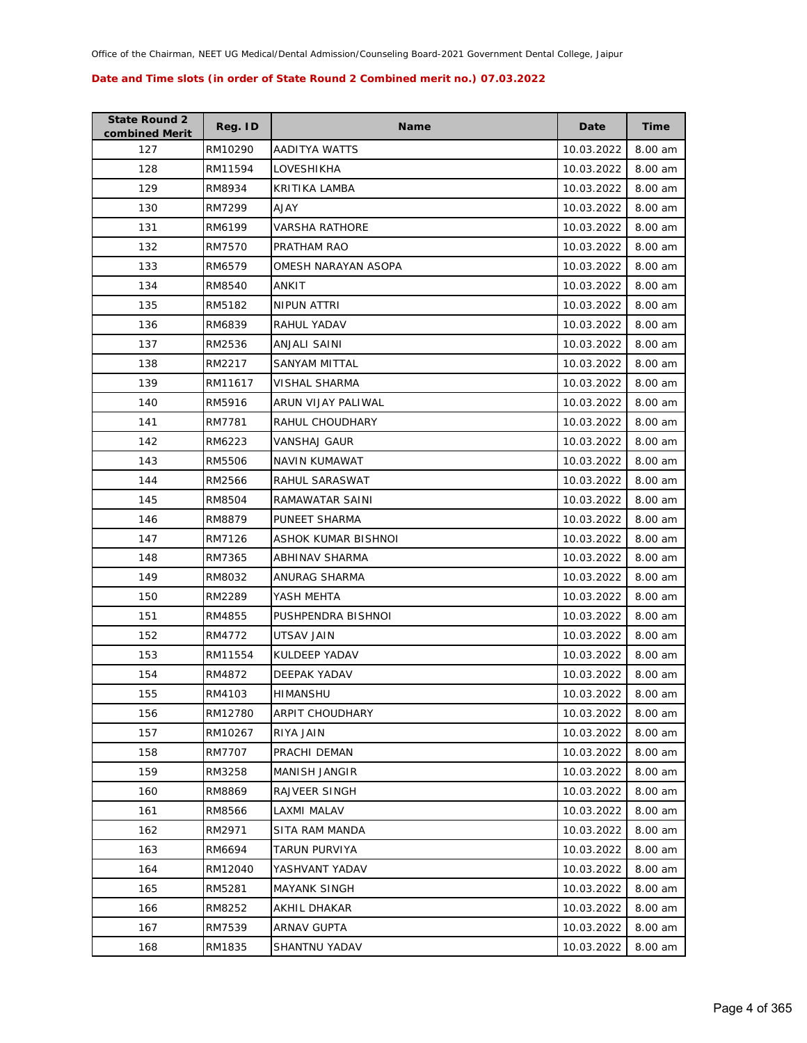| <b>State Round 2</b><br>combined Merit | Reg. ID | <b>Name</b>          | Date       | Time    |
|----------------------------------------|---------|----------------------|------------|---------|
| 127                                    | RM10290 | AADITYA WATTS        | 10.03.2022 | 8.00 am |
| 128                                    | RM11594 | LOVESHIKHA           | 10.03.2022 | 8.00 am |
| 129                                    | RM8934  | KRITIKA LAMBA        | 10.03.2022 | 8.00 am |
| 130                                    | RM7299  | AJAY                 | 10.03.2022 | 8.00 am |
| 131                                    | RM6199  | VARSHA RATHORE       | 10.03.2022 | 8.00 am |
| 132                                    | RM7570  | PRATHAM RAO          | 10.03.2022 | 8.00 am |
| 133                                    | RM6579  | OMESH NARAYAN ASOPA  | 10.03.2022 | 8.00 am |
| 134                                    | RM8540  | ANKIT                | 10.03.2022 | 8.00 am |
| 135                                    | RM5182  | NIPUN ATTRI          | 10.03.2022 | 8.00 am |
| 136                                    | RM6839  | RAHUL YADAV          | 10.03.2022 | 8.00 am |
| 137                                    | RM2536  | ANJALI SAINI         | 10.03.2022 | 8.00 am |
| 138                                    | RM2217  | SANYAM MITTAL        | 10.03.2022 | 8.00 am |
| 139                                    | RM11617 | <b>VISHAL SHARMA</b> | 10.03.2022 | 8.00 am |
| 140                                    | RM5916  | ARUN VIJAY PALIWAL   | 10.03.2022 | 8.00 am |
| 141                                    | RM7781  | RAHUL CHOUDHARY      | 10.03.2022 | 8.00 am |
| 142                                    | RM6223  | VANSHAJ GAUR         | 10.03.2022 | 8.00 am |
| 143                                    | RM5506  | NAVIN KUMAWAT        | 10.03.2022 | 8.00 am |
| 144                                    | RM2566  | RAHUL SARASWAT       | 10.03.2022 | 8.00 am |
| 145                                    | RM8504  | RAMAWATAR SAINI      | 10.03.2022 | 8.00 am |
| 146                                    | RM8879  | PUNEET SHARMA        | 10.03.2022 | 8.00 am |
| 147                                    | RM7126  | ASHOK KUMAR BISHNOI  | 10.03.2022 | 8.00 am |
| 148                                    | RM7365  | ABHINAV SHARMA       | 10.03.2022 | 8.00 am |
| 149                                    | RM8032  | ANURAG SHARMA        | 10.03.2022 | 8.00 am |
| 150                                    | RM2289  | YASH MEHTA           | 10.03.2022 | 8.00 am |
| 151                                    | RM4855  | PUSHPENDRA BISHNOI   | 10.03.2022 | 8.00 am |
| 152                                    | RM4772  | UTSAV JAIN           | 10.03.2022 | 8.00 am |
| 153                                    | RM11554 | KULDEEP YADAV        | 10.03.2022 | 8.00 am |
| 154                                    | RM4872  | DEEPAK YADAV         | 10.03.2022 | 8.00 am |
| 155                                    | RM4103  | <b>HIMANSHU</b>      | 10.03.2022 | 8.00 am |
| 156                                    | RM12780 | ARPIT CHOUDHARY      | 10.03.2022 | 8.00 am |
| 157                                    | RM10267 | RIYA JAIN            | 10.03.2022 | 8.00 am |
| 158                                    | RM7707  | PRACHI DEMAN         | 10.03.2022 | 8.00 am |
| 159                                    | RM3258  | <b>MANISH JANGIR</b> | 10.03.2022 | 8.00 am |
| 160                                    | RM8869  | RAJVEER SINGH        | 10.03.2022 | 8.00 am |
| 161                                    | RM8566  | LAXMI MALAV          | 10.03.2022 | 8.00 am |
| 162                                    | RM2971  | SITA RAM MANDA       | 10.03.2022 | 8.00 am |
| 163                                    | RM6694  | TARUN PURVIYA        | 10.03.2022 | 8.00 am |
| 164                                    | RM12040 | YASHVANT YADAV       | 10.03.2022 | 8.00 am |
| 165                                    | RM5281  | <b>MAYANK SINGH</b>  | 10.03.2022 | 8.00 am |
| 166                                    | RM8252  | AKHIL DHAKAR         | 10.03.2022 | 8.00 am |
| 167                                    | RM7539  | ARNAV GUPTA          | 10.03.2022 | 8.00 am |
| 168                                    | RM1835  | SHANTNU YADAV        | 10.03.2022 | 8.00 am |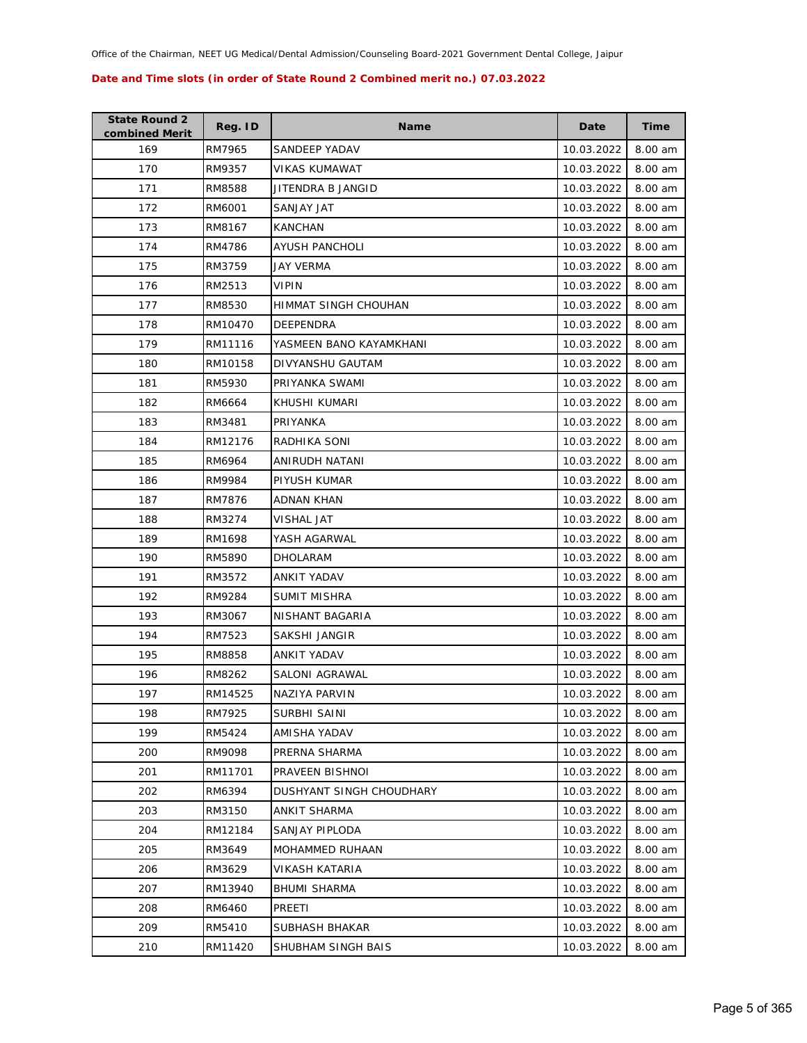| <b>State Round 2</b><br>combined Merit | Reg. ID | <b>Name</b>              | Date       | <b>Time</b> |
|----------------------------------------|---------|--------------------------|------------|-------------|
| 169                                    | RM7965  | SANDEEP YADAV            | 10.03.2022 | 8.00 am     |
| 170                                    | RM9357  | VIKAS KUMAWAT            | 10.03.2022 | 8.00 am     |
| 171                                    | RM8588  | JITENDRA B JANGID        | 10.03.2022 | 8.00 am     |
| 172                                    | RM6001  | <b>SANJAY JAT</b>        | 10.03.2022 | 8.00 am     |
| 173                                    | RM8167  | <b>KANCHAN</b>           | 10.03.2022 | 8.00 am     |
| 174                                    | RM4786  | AYUSH PANCHOLI           | 10.03.2022 | 8.00 am     |
| 175                                    | RM3759  | JAY VERMA                | 10.03.2022 | 8.00 am     |
| 176                                    | RM2513  | VIPIN                    | 10.03.2022 | 8.00 am     |
| 177                                    | RM8530  | HIMMAT SINGH CHOUHAN     | 10.03.2022 | 8.00 am     |
| 178                                    | RM10470 | <b>DEEPENDRA</b>         | 10.03.2022 | 8.00 am     |
| 179                                    | RM11116 | YASMEEN BANO KAYAMKHANI  | 10.03.2022 | 8.00 am     |
| 180                                    | RM10158 | DIVYANSHU GAUTAM         | 10.03.2022 | 8.00 am     |
| 181                                    | RM5930  | PRIYANKA SWAMI           | 10.03.2022 | 8.00 am     |
| 182                                    | RM6664  | KHUSHI KUMARI            | 10.03.2022 | 8.00 am     |
| 183                                    | RM3481  | PRIYANKA                 | 10.03.2022 | 8.00 am     |
| 184                                    | RM12176 | RADHIKA SONI             | 10.03.2022 | 8.00 am     |
| 185                                    | RM6964  | ANIRUDH NATANI           | 10.03.2022 | 8.00 am     |
| 186                                    | RM9984  | PIYUSH KUMAR             | 10.03.2022 | 8.00 am     |
| 187                                    | RM7876  | ADNAN KHAN               | 10.03.2022 | 8.00 am     |
| 188                                    | RM3274  | VISHAL JAT               | 10.03.2022 | 8.00 am     |
| 189                                    | RM1698  | YASH AGARWAL             | 10.03.2022 | 8.00 am     |
| 190                                    | RM5890  | DHOLARAM                 | 10.03.2022 | 8.00 am     |
| 191                                    | RM3572  | ANKIT YADAV              | 10.03.2022 | 8.00 am     |
| 192                                    | RM9284  | SUMIT MISHRA             | 10.03.2022 | 8.00 am     |
| 193                                    | RM3067  | NISHANT BAGARIA          | 10.03.2022 | 8.00 am     |
| 194                                    | RM7523  | SAKSHI JANGIR            | 10.03.2022 | 8.00 am     |
| 195                                    | RM8858  | ANKIT YADAV              | 10.03.2022 | 8.00 am     |
| 196                                    | RM8262  | <b>SALONI AGRAWAL</b>    | 10.03.2022 | 8.00 am     |
| 197                                    | RM14525 | NAZIYA PARVIN            | 10.03.2022 | 8.00 am     |
| 198                                    | RM7925  | SURBHI SAINI             | 10.03.2022 | 8.00 am     |
| 199                                    | RM5424  | AMISHA YADAV             | 10.03.2022 | 8.00 am     |
| 200                                    | RM9098  | PRERNA SHARMA            | 10.03.2022 | 8.00 am     |
| 201                                    | RM11701 | PRAVEEN BISHNOI          | 10.03.2022 | 8.00 am     |
| 202                                    | RM6394  | DUSHYANT SINGH CHOUDHARY | 10.03.2022 | 8.00 am     |
| 203                                    | RM3150  | ANKIT SHARMA             | 10.03.2022 | 8.00 am     |
| 204                                    | RM12184 | SANJAY PIPLODA           | 10.03.2022 | 8.00 am     |
| 205                                    | RM3649  | MOHAMMED RUHAAN          | 10.03.2022 | 8.00 am     |
| 206                                    | RM3629  | VIKASH KATARIA           | 10.03.2022 | 8.00 am     |
| 207                                    | RM13940 | <b>BHUMI SHARMA</b>      | 10.03.2022 | 8.00 am     |
| 208                                    | RM6460  | PREETI                   | 10.03.2022 | 8.00 am     |
| 209                                    | RM5410  | SUBHASH BHAKAR           | 10.03.2022 | 8.00 am     |
| 210                                    | RM11420 | SHUBHAM SINGH BAIS       | 10.03.2022 | 8.00 am     |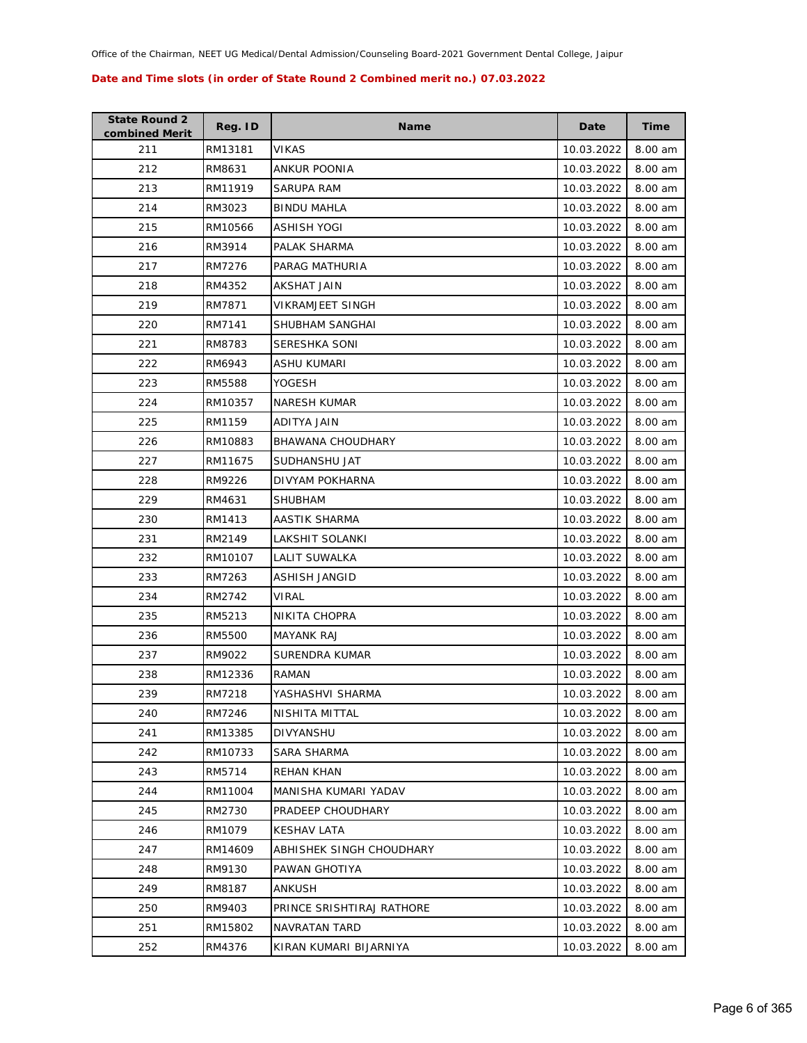| <b>State Round 2</b><br>combined Merit | Reg. ID | <b>Name</b>               | Date       | Time    |
|----------------------------------------|---------|---------------------------|------------|---------|
| 211                                    | RM13181 | <b>VIKAS</b>              | 10.03.2022 | 8.00 am |
| 212                                    | RM8631  | ANKUR POONIA              | 10.03.2022 | 8.00 am |
| 213                                    | RM11919 | SARUPA RAM                | 10.03.2022 | 8.00 am |
| 214                                    | RM3023  | <b>BINDU MAHLA</b>        | 10.03.2022 | 8.00 am |
| 215                                    | RM10566 | ASHISH YOGI               | 10.03.2022 | 8.00 am |
| 216                                    | RM3914  | PALAK SHARMA              | 10.03.2022 | 8.00 am |
| 217                                    | RM7276  | PARAG MATHURIA            | 10.03.2022 | 8.00 am |
| 218                                    | RM4352  | AKSHAT JAIN               | 10.03.2022 | 8.00 am |
| 219                                    | RM7871  | VIKRAMJEET SINGH          | 10.03.2022 | 8.00 am |
| 220                                    | RM7141  | SHUBHAM SANGHAI           | 10.03.2022 | 8.00 am |
| 221                                    | RM8783  | SERESHKA SONI             | 10.03.2022 | 8.00 am |
| 222                                    | RM6943  | ASHU KUMARI               | 10.03.2022 | 8.00 am |
| 223                                    | RM5588  | YOGESH                    | 10.03.2022 | 8.00 am |
| 224                                    | RM10357 | <b>NARESH KUMAR</b>       | 10.03.2022 | 8.00 am |
| 225                                    | RM1159  | ADITYA JAIN               | 10.03.2022 | 8.00 am |
| 226                                    | RM10883 | BHAWANA CHOUDHARY         | 10.03.2022 | 8.00 am |
| 227                                    | RM11675 | SUDHANSHU JAT             | 10.03.2022 | 8.00 am |
| 228                                    | RM9226  | DIVYAM POKHARNA           | 10.03.2022 | 8.00 am |
| 229                                    | RM4631  | SHUBHAM                   | 10.03.2022 | 8.00 am |
| 230                                    | RM1413  | AASTIK SHARMA             | 10.03.2022 | 8.00 am |
| 231                                    | RM2149  | LAKSHIT SOLANKI           | 10.03.2022 | 8.00 am |
| 232                                    | RM10107 | LALIT SUWALKA             | 10.03.2022 | 8.00 am |
| 233                                    | RM7263  | ASHISH JANGID             | 10.03.2022 | 8.00 am |
| 234                                    | RM2742  | VIRAL                     | 10.03.2022 | 8.00 am |
| 235                                    | RM5213  | NIKITA CHOPRA             | 10.03.2022 | 8.00 am |
| 236                                    | RM5500  | <b>MAYANK RAJ</b>         | 10.03.2022 | 8.00 am |
| 237                                    | RM9022  | SURENDRA KUMAR            | 10.03.2022 | 8.00 am |
| 238                                    | RM12336 | RAMAN                     | 10.03.2022 | 8.00 am |
| 239                                    | RM7218  | YASHASHVI SHARMA          | 10.03.2022 | 8.00 am |
| 240                                    | RM7246  | NISHITA MITTAL            | 10.03.2022 | 8.00 am |
| 241                                    | RM13385 | DIVYANSHU                 | 10.03.2022 | 8.00 am |
| 242                                    | RM10733 | SARA SHARMA               | 10.03.2022 | 8.00 am |
| 243                                    | RM5714  | <b>REHAN KHAN</b>         | 10.03.2022 | 8.00 am |
| 244                                    | RM11004 | MANISHA KUMARI YADAV      | 10.03.2022 | 8.00 am |
| 245                                    | RM2730  | PRADEEP CHOUDHARY         | 10.03.2022 | 8.00 am |
| 246                                    | RM1079  | <b>KESHAV LATA</b>        | 10.03.2022 | 8.00 am |
| 247                                    | RM14609 | ABHISHEK SINGH CHOUDHARY  | 10.03.2022 | 8.00 am |
| 248                                    | RM9130  | PAWAN GHOTIYA             | 10.03.2022 | 8.00 am |
| 249                                    | RM8187  | ANKUSH                    | 10.03.2022 | 8.00 am |
| 250                                    | RM9403  | PRINCE SRISHTIRAJ RATHORE | 10.03.2022 | 8.00 am |
| 251                                    | RM15802 | <b>NAVRATAN TARD</b>      | 10.03.2022 | 8.00 am |
| 252                                    | RM4376  | KIRAN KUMARI BIJARNIYA    | 10.03.2022 | 8.00 am |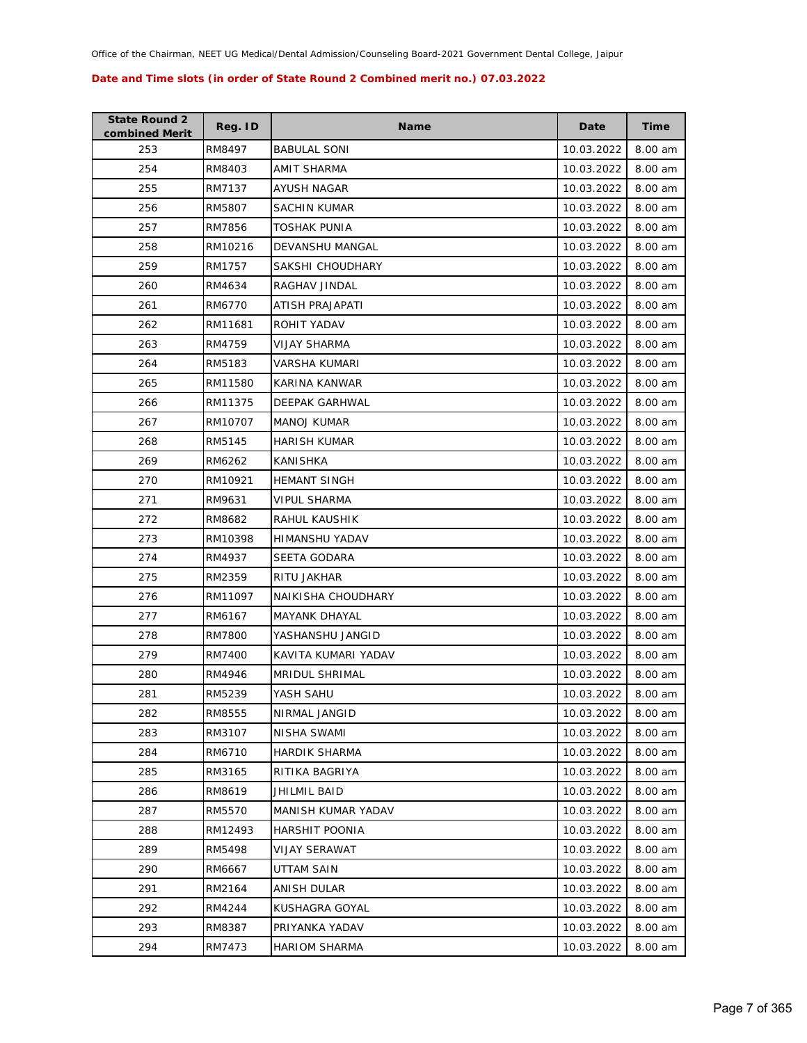| <b>State Round 2</b><br>combined Merit | Reg. ID | <b>Name</b>            | Date       | <b>Time</b> |
|----------------------------------------|---------|------------------------|------------|-------------|
| 253                                    | RM8497  | <b>BABULAL SONI</b>    | 10.03.2022 | 8.00 am     |
| 254                                    | RM8403  | AMIT SHARMA            | 10.03.2022 | 8.00 am     |
| 255                                    | RM7137  | AYUSH NAGAR            | 10.03.2022 | 8.00 am     |
| 256                                    | RM5807  | <b>SACHIN KUMAR</b>    | 10.03.2022 | 8.00 am     |
| 257                                    | RM7856  | <b>TOSHAK PUNIA</b>    | 10.03.2022 | 8.00 am     |
| 258                                    | RM10216 | <b>DEVANSHU MANGAL</b> | 10.03.2022 | 8.00 am     |
| 259                                    | RM1757  | SAKSHI CHOUDHARY       | 10.03.2022 | 8.00 am     |
| 260                                    | RM4634  | RAGHAV JINDAL          | 10.03.2022 | 8.00 am     |
| 261                                    | RM6770  | ATISH PRAJAPATI        | 10.03.2022 | 8.00 am     |
| 262                                    | RM11681 | ROHIT YADAV            | 10.03.2022 | 8.00 am     |
| 263                                    | RM4759  | VIJAY SHARMA           | 10.03.2022 | 8.00 am     |
| 264                                    | RM5183  | VARSHA KUMARI          | 10.03.2022 | 8.00 am     |
| 265                                    | RM11580 | KARINA KANWAR          | 10.03.2022 | 8.00 am     |
| 266                                    | RM11375 | <b>DEEPAK GARHWAL</b>  | 10.03.2022 | 8.00 am     |
| 267                                    | RM10707 | <b>MANOJ KUMAR</b>     | 10.03.2022 | 8.00 am     |
| 268                                    | RM5145  | HARISH KUMAR           | 10.03.2022 | 8.00 am     |
| 269                                    | RM6262  | KANISHKA               | 10.03.2022 | 8.00 am     |
| 270                                    | RM10921 | <b>HEMANT SINGH</b>    | 10.03.2022 | 8.00 am     |
| 271                                    | RM9631  | <b>VIPUL SHARMA</b>    | 10.03.2022 | 8.00 am     |
| 272                                    | RM8682  | RAHUL KAUSHIK          | 10.03.2022 | 8.00 am     |
| 273                                    | RM10398 | HIMANSHU YADAV         | 10.03.2022 | 8.00 am     |
| 274                                    | RM4937  | SEETA GODARA           | 10.03.2022 | 8.00 am     |
| 275                                    | RM2359  | RITU JAKHAR            | 10.03.2022 | 8.00 am     |
| 276                                    | RM11097 | NAIKISHA CHOUDHARY     | 10.03.2022 | 8.00 am     |
| 277                                    | RM6167  | <b>MAYANK DHAYAL</b>   | 10.03.2022 | 8.00 am     |
| 278                                    | RM7800  | YASHANSHU JANGID       | 10.03.2022 | 8.00 am     |
| 279                                    | RM7400  | KAVITA KUMARI YADAV    | 10.03.2022 | 8.00 am     |
| 280                                    | RM4946  | <b>MRIDUL SHRIMAL</b>  | 10.03.2022 | 8.00 am     |
| 281                                    | RM5239  | YASH SAHU              | 10.03.2022 | 8.00 am     |
| 282                                    | RM8555  | NIRMAL JANGID          | 10.03.2022 | 8.00 am     |
| 283                                    | RM3107  | <b>NISHA SWAMI</b>     | 10.03.2022 | 8.00 am     |
| 284                                    | RM6710  | <b>HARDIK SHARMA</b>   | 10.03.2022 | 8.00 am     |
| 285                                    | RM3165  | RITIKA BAGRIYA         | 10.03.2022 | 8.00 am     |
| 286                                    | RM8619  | JHILMIL BAID           | 10.03.2022 | 8.00 am     |
| 287                                    | RM5570  | MANISH KUMAR YADAV     | 10.03.2022 | 8.00 am     |
| 288                                    | RM12493 | <b>HARSHIT POONIA</b>  | 10.03.2022 | 8.00 am     |
| 289                                    | RM5498  | VIJAY SERAWAT          | 10.03.2022 | 8.00 am     |
| 290                                    | RM6667  | UTTAM SAIN             | 10.03.2022 | 8.00 am     |
| 291                                    | RM2164  | ANISH DULAR            | 10.03.2022 | 8.00 am     |
| 292                                    | RM4244  | KUSHAGRA GOYAL         | 10.03.2022 | 8.00 am     |
| 293                                    | RM8387  | PRIYANKA YADAV         | 10.03.2022 | 8.00 am     |
| 294                                    | RM7473  | <b>HARIOM SHARMA</b>   | 10.03.2022 | 8.00 am     |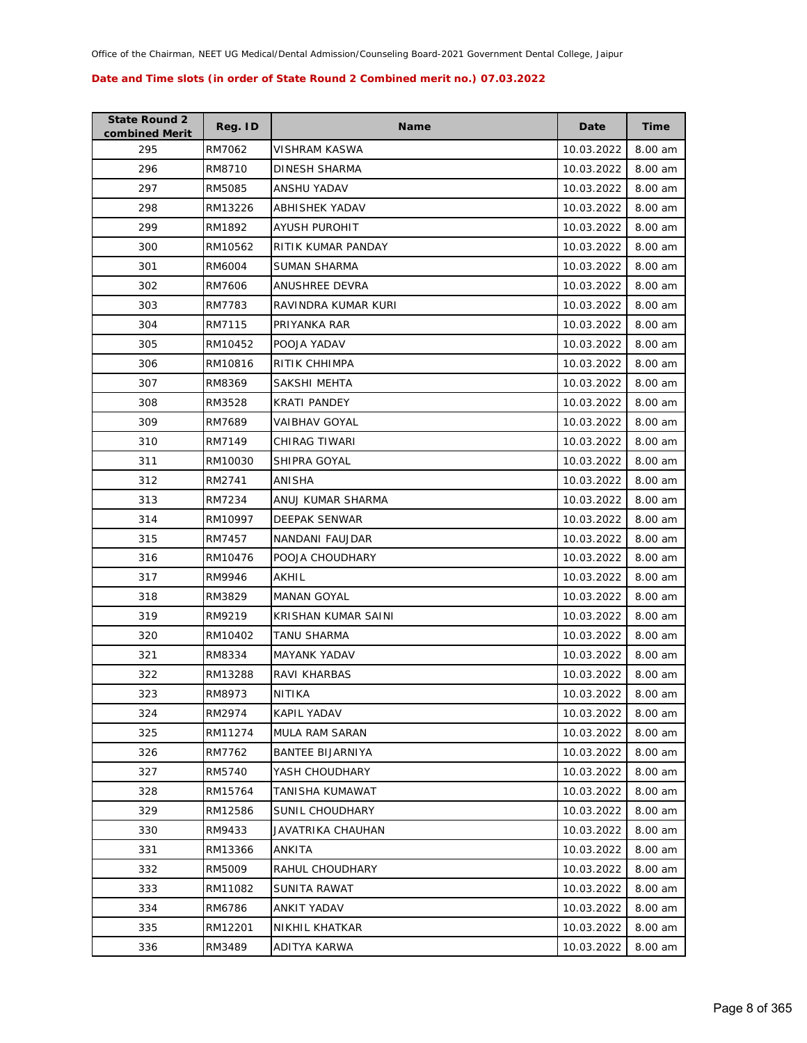| <b>State Round 2</b><br>combined Merit | Reg. ID | <b>Name</b>             | Date       | Time    |
|----------------------------------------|---------|-------------------------|------------|---------|
| 295                                    | RM7062  | VISHRAM KASWA           | 10.03.2022 | 8.00 am |
| 296                                    | RM8710  | DINESH SHARMA           | 10.03.2022 | 8.00 am |
| 297                                    | RM5085  | ANSHU YADAV             | 10.03.2022 | 8.00 am |
| 298                                    | RM13226 | ABHISHEK YADAV          | 10.03.2022 | 8.00 am |
| 299                                    | RM1892  | <b>AYUSH PUROHIT</b>    | 10.03.2022 | 8.00 am |
| 300                                    | RM10562 | RITIK KUMAR PANDAY      | 10.03.2022 | 8.00 am |
| 301                                    | RM6004  | SUMAN SHARMA            | 10.03.2022 | 8.00 am |
| 302                                    | RM7606  | ANUSHREE DEVRA          | 10.03.2022 | 8.00 am |
| 303                                    | RM7783  | RAVINDRA KUMAR KURI     | 10.03.2022 | 8.00 am |
| 304                                    | RM7115  | PRIYANKA RAR            | 10.03.2022 | 8.00 am |
| 305                                    | RM10452 | POOJA YADAV             | 10.03.2022 | 8.00 am |
| 306                                    | RM10816 | RITIK CHHIMPA           | 10.03.2022 | 8.00 am |
| 307                                    | RM8369  | SAKSHI MEHTA            | 10.03.2022 | 8.00 am |
| 308                                    | RM3528  | <b>KRATI PANDEY</b>     | 10.03.2022 | 8.00 am |
| 309                                    | RM7689  | VAIBHAV GOYAL           | 10.03.2022 | 8.00 am |
| 310                                    | RM7149  | CHIRAG TIWARI           | 10.03.2022 | 8.00 am |
| 311                                    | RM10030 | SHIPRA GOYAL            | 10.03.2022 | 8.00 am |
| 312                                    | RM2741  | ANISHA                  | 10.03.2022 | 8.00 am |
| 313                                    | RM7234  | ANUJ KUMAR SHARMA       | 10.03.2022 | 8.00 am |
| 314                                    | RM10997 | <b>DEEPAK SENWAR</b>    | 10.03.2022 | 8.00 am |
| 315                                    | RM7457  | NANDANI FAUJDAR         | 10.03.2022 | 8.00 am |
| 316                                    | RM10476 | POOJA CHOUDHARY         | 10.03.2022 | 8.00 am |
| 317                                    | RM9946  | AKHIL                   | 10.03.2022 | 8.00 am |
| 318                                    | RM3829  | <b>MANAN GOYAL</b>      | 10.03.2022 | 8.00 am |
| 319                                    | RM9219  | KRISHAN KUMAR SAINI     | 10.03.2022 | 8.00 am |
| 320                                    | RM10402 | <b>TANU SHARMA</b>      | 10.03.2022 | 8.00 am |
| 321                                    | RM8334  | <b>MAYANK YADAV</b>     | 10.03.2022 | 8.00 am |
| 322                                    | RM13288 | RAVI KHARBAS            | 10.03.2022 | 8.00 am |
| 323                                    | RM8973  | NITIKA                  | 10.03.2022 | 8.00 am |
| 324                                    | RM2974  | KAPIL YADAV             | 10.03.2022 | 8.00 am |
| 325                                    | RM11274 | <b>MULA RAM SARAN</b>   | 10.03.2022 | 8.00 am |
| 326                                    | RM7762  | <b>BANTEE BIJARNIYA</b> | 10.03.2022 | 8.00 am |
| 327                                    | RM5740  | YASH CHOUDHARY          | 10.03.2022 | 8.00 am |
| 328                                    | RM15764 | TANISHA KUMAWAT         | 10.03.2022 | 8.00 am |
| 329                                    | RM12586 | SUNIL CHOUDHARY         | 10.03.2022 | 8.00 am |
| 330                                    | RM9433  | JAVATRIKA CHAUHAN       | 10.03.2022 | 8.00 am |
| 331                                    | RM13366 | ANKITA                  | 10.03.2022 | 8.00 am |
| 332                                    | RM5009  | RAHUL CHOUDHARY         | 10.03.2022 | 8.00 am |
| 333                                    | RM11082 | SUNITA RAWAT            | 10.03.2022 | 8.00 am |
| 334                                    | RM6786  | ANKIT YADAV             | 10.03.2022 | 8.00 am |
| 335                                    | RM12201 | NIKHIL KHATKAR          | 10.03.2022 | 8.00 am |
| 336                                    | RM3489  | ADITYA KARWA            | 10.03.2022 | 8.00 am |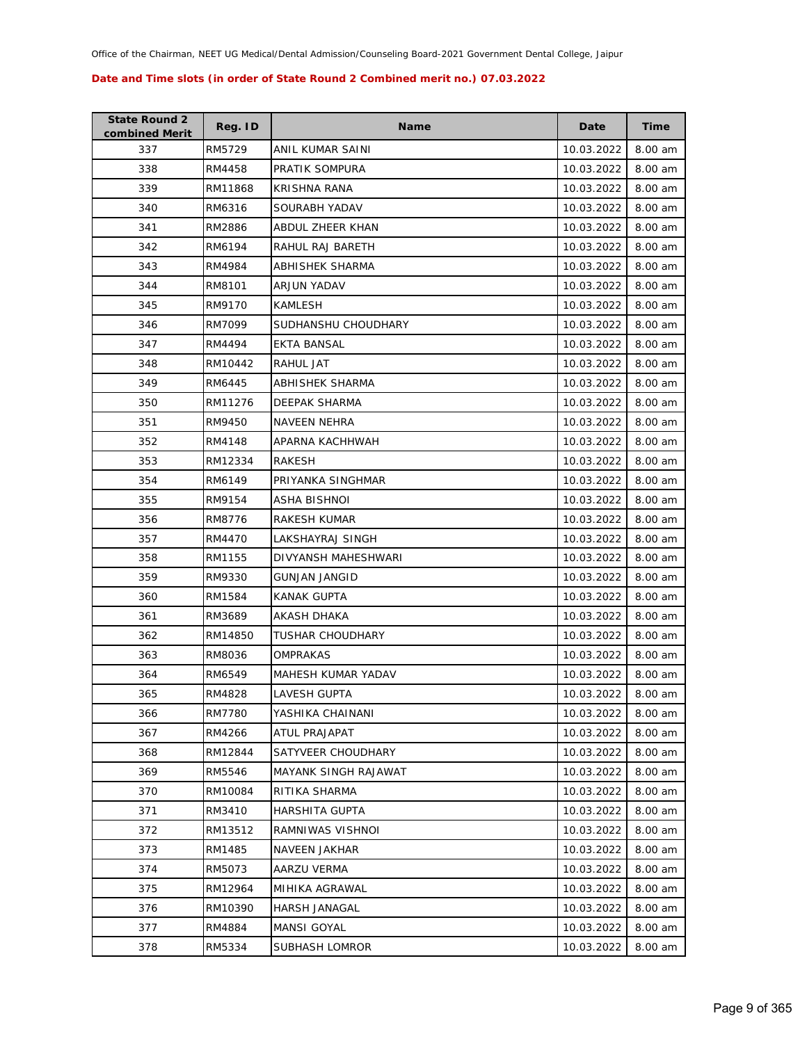| <b>State Round 2</b><br>combined Merit | Reg. ID | <b>Name</b>             | Date       | Time      |
|----------------------------------------|---------|-------------------------|------------|-----------|
| 337                                    | RM5729  | ANIL KUMAR SAINI        | 10.03.2022 | 8.00 am   |
| 338                                    | RM4458  | PRATIK SOMPURA          | 10.03.2022 | 8.00 am   |
| 339                                    | RM11868 | KRISHNA RANA            | 10.03.2022 | 8.00 am   |
| 340                                    | RM6316  | SOURABH YADAV           | 10.03.2022 | 8.00 am   |
| 341                                    | RM2886  | ABDUL ZHEER KHAN        | 10.03.2022 | 8.00 am   |
| 342                                    | RM6194  | RAHUL RAJ BARETH        | 10.03.2022 | 8.00 am   |
| 343                                    | RM4984  | ABHISHEK SHARMA         | 10.03.2022 | 8.00 am   |
| 344                                    | RM8101  | ARJUN YADAV             | 10.03.2022 | 8.00 am   |
| 345                                    | RM9170  | <b>KAMLESH</b>          | 10.03.2022 | 8.00 am   |
| 346                                    | RM7099  | SUDHANSHU CHOUDHARY     | 10.03.2022 | 8.00 am   |
| 347                                    | RM4494  | EKTA BANSAL             | 10.03.2022 | 8.00 am   |
| 348                                    | RM10442 | RAHUL JAT               | 10.03.2022 | 8.00 am   |
| 349                                    | RM6445  | ABHISHEK SHARMA         | 10.03.2022 | 8.00 am   |
| 350                                    | RM11276 | DEEPAK SHARMA           | 10.03.2022 | 8.00 am   |
| 351                                    | RM9450  | NAVEEN NEHRA            | 10.03.2022 | 8.00 am   |
| 352                                    | RM4148  | APARNA KACHHWAH         | 10.03.2022 | 8.00 am   |
| 353                                    | RM12334 | RAKESH                  | 10.03.2022 | 8.00 am   |
| 354                                    | RM6149  | PRIYANKA SINGHMAR       | 10.03.2022 | 8.00 am   |
| 355                                    | RM9154  | ASHA BISHNOI            | 10.03.2022 | 8.00 am   |
| 356                                    | RM8776  | RAKESH KUMAR            | 10.03.2022 | 8.00 am   |
| 357                                    | RM4470  | LAKSHAYRAJ SINGH        | 10.03.2022 | 8.00 am   |
| 358                                    | RM1155  | DIVYANSH MAHESHWARI     | 10.03.2022 | 8.00 am   |
| 359                                    | RM9330  | <b>GUNJAN JANGID</b>    | 10.03.2022 | 8.00 am   |
| 360                                    | RM1584  | <b>KANAK GUPTA</b>      | 10.03.2022 | 8.00 am   |
| 361                                    | RM3689  | AKASH DHAKA             | 10.03.2022 | 8.00 am   |
| 362                                    | RM14850 | <b>TUSHAR CHOUDHARY</b> | 10.03.2022 | 8.00 am   |
| 363                                    | RM8036  | OMPRAKAS                | 10.03.2022 | 8.00 am   |
| 364                                    | RM6549  | MAHESH KUMAR YADAV      | 10.03.2022 | 8.00 am   |
| 365                                    | RM4828  | <b>LAVESH GUPTA</b>     | 10.03.2022 | 8.00 am   |
| 366                                    | RM7780  | YASHIKA CHAINANI        | 10.03.2022 | 8.00 am   |
| 367                                    | RM4266  | <b>ATUL PRAJAPAT</b>    | 10.03.2022 | 8.00 am   |
| 368                                    | RM12844 | SATYVEER CHOUDHARY      | 10.03.2022 | 8.00 am   |
| 369                                    | RM5546  | MAYANK SINGH RAJAWAT    | 10.03.2022 | 8.00 am   |
| 370                                    | RM10084 | RITIKA SHARMA           | 10.03.2022 | 8.00 am   |
| 371                                    | RM3410  | HARSHITA GUPTA          | 10.03.2022 | 8.00 am   |
| 372                                    | RM13512 | RAMNIWAS VISHNOI        | 10.03.2022 | 8.00 am   |
| 373                                    | RM1485  | <b>NAVEEN JAKHAR</b>    | 10.03.2022 | 8.00 am   |
| 374                                    | RM5073  | AARZU VERMA             | 10.03.2022 | 8.00 am   |
| 375                                    | RM12964 | MIHIKA AGRAWAL          | 10.03.2022 | 8.00 am   |
| 376                                    | RM10390 | <b>HARSH JANAGAL</b>    | 10.03.2022 | 8.00 am   |
| 377                                    | RM4884  | MANSI GOYAL             | 10.03.2022 | 8.00 am   |
| 378                                    | RM5334  | SUBHASH LOMROR          | 10.03.2022 | $8.00$ am |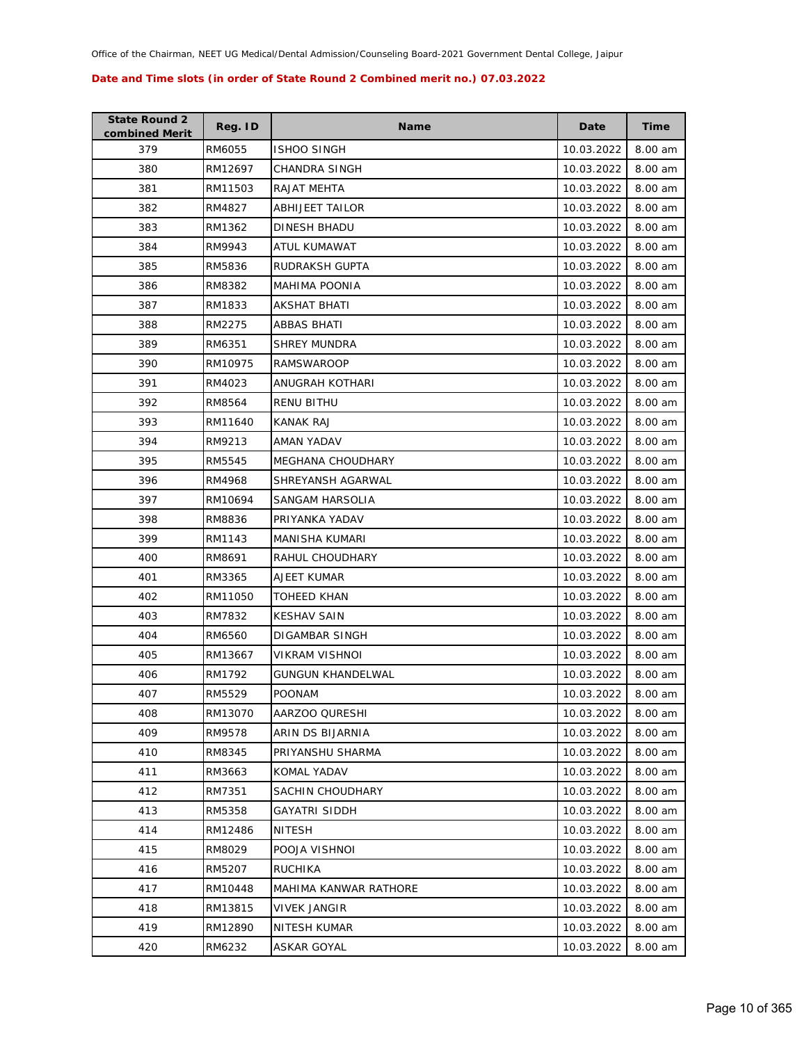| <b>State Round 2</b><br>combined Merit | Reg. ID | <b>Name</b>              | Date       | Time    |
|----------------------------------------|---------|--------------------------|------------|---------|
| 379                                    | RM6055  | <b>ISHOO SINGH</b>       | 10.03.2022 | 8.00 am |
| 380                                    | RM12697 | <b>CHANDRA SINGH</b>     | 10.03.2022 | 8.00 am |
| 381                                    | RM11503 | <b>RAJAT MEHTA</b>       | 10.03.2022 | 8.00 am |
| 382                                    | RM4827  | <b>ABHIJEET TAILOR</b>   | 10.03.2022 | 8.00 am |
| 383                                    | RM1362  | DINESH BHADU             | 10.03.2022 | 8.00 am |
| 384                                    | RM9943  | ATUL KUMAWAT             | 10.03.2022 | 8.00 am |
| 385                                    | RM5836  | RUDRAKSH GUPTA           | 10.03.2022 | 8.00 am |
| 386                                    | RM8382  | <b>MAHIMA POONIA</b>     | 10.03.2022 | 8.00 am |
| 387                                    | RM1833  | AKSHAT BHATI             | 10.03.2022 | 8.00 am |
| 388                                    | RM2275  | ABBAS BHATI              | 10.03.2022 | 8.00 am |
| 389                                    | RM6351  | <b>SHREY MUNDRA</b>      | 10.03.2022 | 8.00 am |
| 390                                    | RM10975 | <b>RAMSWAROOP</b>        | 10.03.2022 | 8.00 am |
| 391                                    | RM4023  | ANUGRAH KOTHARI          | 10.03.2022 | 8.00 am |
| 392                                    | RM8564  | RENU BITHU               | 10.03.2022 | 8.00 am |
| 393                                    | RM11640 | <b>KANAK RAJ</b>         | 10.03.2022 | 8.00 am |
| 394                                    | RM9213  | AMAN YADAV               | 10.03.2022 | 8.00 am |
| 395                                    | RM5545  | MEGHANA CHOUDHARY        | 10.03.2022 | 8.00 am |
| 396                                    | RM4968  | SHREYANSH AGARWAL        | 10.03.2022 | 8.00 am |
| 397                                    | RM10694 | SANGAM HARSOLIA          | 10.03.2022 | 8.00 am |
| 398                                    | RM8836  | PRIYANKA YADAV           | 10.03.2022 | 8.00 am |
| 399                                    | RM1143  | MANISHA KUMARI           | 10.03.2022 | 8.00 am |
| 400                                    | RM8691  | RAHUL CHOUDHARY          | 10.03.2022 | 8.00 am |
| 401                                    | RM3365  | AJEET KUMAR              | 10.03.2022 | 8.00 am |
| 402                                    | RM11050 | TOHEED KHAN              | 10.03.2022 | 8.00 am |
| 403                                    | RM7832  | KESHAV SAIN              | 10.03.2022 | 8.00 am |
| 404                                    | RM6560  | DIGAMBAR SINGH           | 10.03.2022 | 8.00 am |
| 405                                    | RM13667 | VIKRAM VISHNOI           | 10.03.2022 | 8.00 am |
| 406                                    | RM1792  | <b>GUNGUN KHANDELWAL</b> | 10.03.2022 | 8.00 am |
| 407                                    | RM5529  | <b>POONAM</b>            | 10.03.2022 | 8.00 am |
| 408                                    | RM13070 | AARZOO QURESHI           | 10.03.2022 | 8.00 am |
| 409                                    | RM9578  | ARIN DS BIJARNIA         | 10.03.2022 | 8.00 am |
| 410                                    | RM8345  | PRIYANSHU SHARMA         | 10.03.2022 | 8.00 am |
| 411                                    | RM3663  | KOMAL YADAV              | 10.03.2022 | 8.00 am |
| 412                                    | RM7351  | SACHIN CHOUDHARY         | 10.03.2022 | 8.00 am |
| 413                                    | RM5358  | GAYATRI SIDDH            | 10.03.2022 | 8.00 am |
| 414                                    | RM12486 | <b>NITESH</b>            | 10.03.2022 | 8.00 am |
| 415                                    | RM8029  | POOJA VISHNOI            | 10.03.2022 | 8.00 am |
| 416                                    | RM5207  | <b>RUCHIKA</b>           | 10.03.2022 | 8.00 am |
| 417                                    | RM10448 | MAHIMA KANWAR RATHORE    | 10.03.2022 | 8.00 am |
| 418                                    | RM13815 | VIVEK JANGIR             | 10.03.2022 | 8.00 am |
| 419                                    | RM12890 | NITESH KUMAR             | 10.03.2022 | 8.00 am |
| 420                                    | RM6232  | ASKAR GOYAL              | 10.03.2022 | 8.00 am |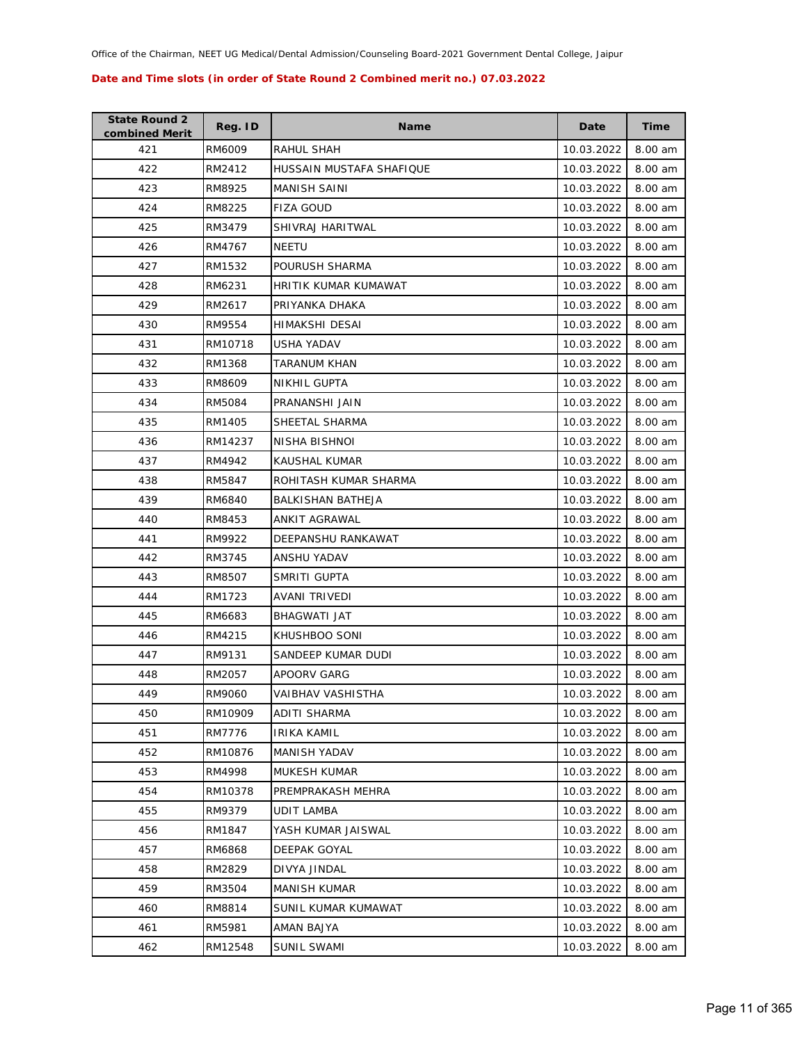| <b>State Round 2</b><br>combined Merit | Reg. ID | <b>Name</b>              | Date       | Time      |
|----------------------------------------|---------|--------------------------|------------|-----------|
| 421                                    | RM6009  | RAHUL SHAH               | 10.03.2022 | 8.00 am   |
| 422                                    | RM2412  | HUSSAIN MUSTAFA SHAFIQUE | 10.03.2022 | 8.00 am   |
| 423                                    | RM8925  | <b>MANISH SAINI</b>      | 10.03.2022 | 8.00 am   |
| 424                                    | RM8225  | <b>FIZA GOUD</b>         | 10.03.2022 | 8.00 am   |
| 425                                    | RM3479  | SHIVRAJ HARITWAL         | 10.03.2022 | 8.00 am   |
| 426                                    | RM4767  | <b>NEETU</b>             | 10.03.2022 | 8.00 am   |
| 427                                    | RM1532  | POURUSH SHARMA           | 10.03.2022 | 8.00 am   |
| 428                                    | RM6231  | HRITIK KUMAR KUMAWAT     | 10.03.2022 | 8.00 am   |
| 429                                    | RM2617  | PRIYANKA DHAKA           | 10.03.2022 | 8.00 am   |
| 430                                    | RM9554  | HIMAKSHI DESAI           | 10.03.2022 | 8.00 am   |
| 431                                    | RM10718 | USHA YADAV               | 10.03.2022 | 8.00 am   |
| 432                                    | RM1368  | TARANUM KHAN             | 10.03.2022 | 8.00 am   |
| 433                                    | RM8609  | <b>NIKHIL GUPTA</b>      | 10.03.2022 | 8.00 am   |
| 434                                    | RM5084  | PRANANSHI JAIN           | 10.03.2022 | 8.00 am   |
| 435                                    | RM1405  | SHEETAL SHARMA           | 10.03.2022 | 8.00 am   |
| 436                                    | RM14237 | NISHA BISHNOI            | 10.03.2022 | 8.00 am   |
| 437                                    | RM4942  | KAUSHAL KUMAR            | 10.03.2022 | 8.00 am   |
| 438                                    | RM5847  | ROHITASH KUMAR SHARMA    | 10.03.2022 | 8.00 am   |
| 439                                    | RM6840  | BALKISHAN BATHEJA        | 10.03.2022 | 8.00 am   |
| 440                                    | RM8453  | ANKIT AGRAWAL            | 10.03.2022 | 8.00 am   |
| 441                                    | RM9922  | DEEPANSHU RANKAWAT       | 10.03.2022 | 8.00 am   |
| 442                                    | RM3745  | ANSHU YADAV              | 10.03.2022 | 8.00 am   |
| 443                                    | RM8507  | SMRITI GUPTA             | 10.03.2022 | 8.00 am   |
| 444                                    | RM1723  | AVANI TRIVEDI            | 10.03.2022 | 8.00 am   |
| 445                                    | RM6683  | BHAGWATI JAT             | 10.03.2022 | 8.00 am   |
| 446                                    | RM4215  | KHUSHBOO SONI            | 10.03.2022 | 8.00 am   |
| 447                                    | RM9131  | SANDEEP KUMAR DUDI       | 10.03.2022 | $8.00$ am |
| 448                                    | RM2057  | APOORV GARG              | 10.03.2022 | 8.00 am   |
| 449                                    | RM9060  | VAIBHAV VASHISTHA        | 10.03.2022 | 8.00 am   |
| 450                                    | RM10909 | ADITI SHARMA             | 10.03.2022 | 8.00 am   |
| 451                                    | RM7776  | <b>IRIKA KAMIL</b>       | 10.03.2022 | 8.00 am   |
| 452                                    | RM10876 | MANISH YADAV             | 10.03.2022 | 8.00 am   |
| 453                                    | RM4998  | MUKESH KUMAR             | 10.03.2022 | 8.00 am   |
| 454                                    | RM10378 | PREMPRAKASH MEHRA        | 10.03.2022 | 8.00 am   |
| 455                                    | RM9379  | UDIT LAMBA               | 10.03.2022 | 8.00 am   |
| 456                                    | RM1847  | YASH KUMAR JAISWAL       | 10.03.2022 | 8.00 am   |
| 457                                    | RM6868  | DEEPAK GOYAL             | 10.03.2022 | 8.00 am   |
| 458                                    | RM2829  | DIVYA JINDAL             | 10.03.2022 | 8.00 am   |
| 459                                    | RM3504  | <b>MANISH KUMAR</b>      | 10.03.2022 | 8.00 am   |
| 460                                    | RM8814  | SUNIL KUMAR KUMAWAT      | 10.03.2022 | 8.00 am   |
| 461                                    | RM5981  | AMAN BAJYA               | 10.03.2022 | 8.00 am   |
| 462                                    | RM12548 | SUNIL SWAMI              | 10.03.2022 | 8.00 am   |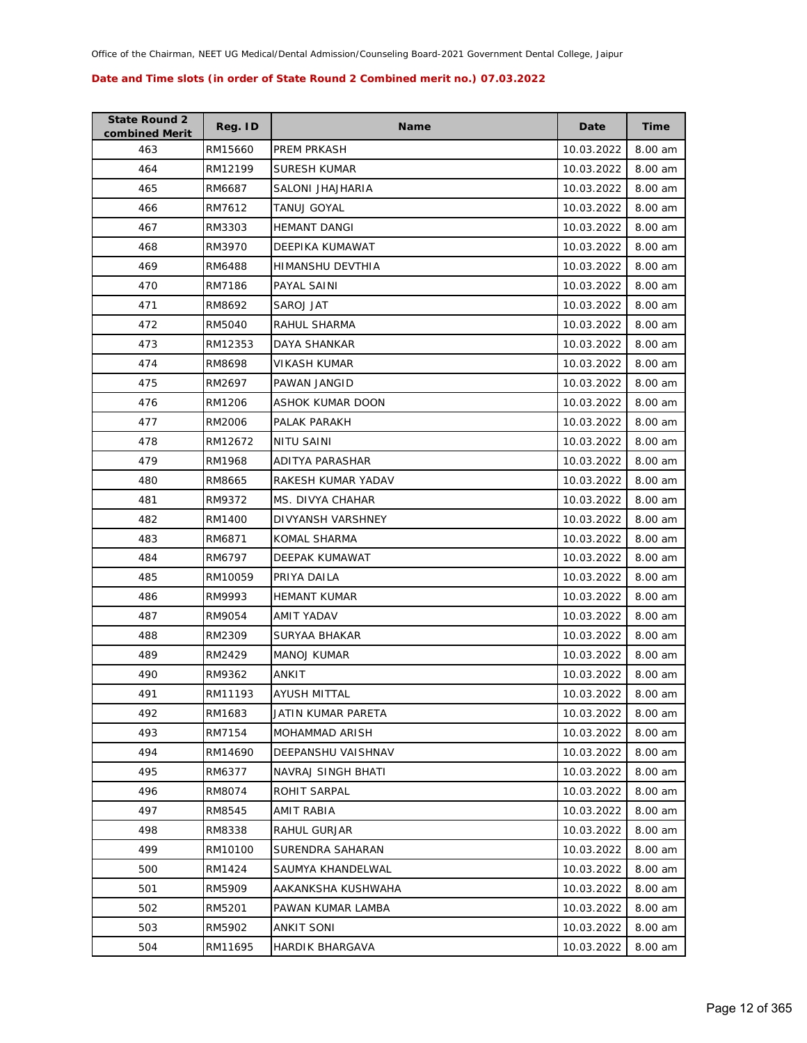| <b>State Round 2</b><br>combined Merit | Reg. ID | <b>Name</b>            | Date       | Time    |
|----------------------------------------|---------|------------------------|------------|---------|
| 463                                    | RM15660 | PREM PRKASH            | 10.03.2022 | 8.00 am |
| 464                                    | RM12199 | SURESH KUMAR           | 10.03.2022 | 8.00 am |
| 465                                    | RM6687  | SALONI JHAJHARIA       | 10.03.2022 | 8.00 am |
| 466                                    | RM7612  | TANUJ GOYAL            | 10.03.2022 | 8.00 am |
| 467                                    | RM3303  | <b>HEMANT DANGI</b>    | 10.03.2022 | 8.00 am |
| 468                                    | RM3970  | DEEPIKA KUMAWAT        | 10.03.2022 | 8.00 am |
| 469                                    | RM6488  | HIMANSHU DEVTHIA       | 10.03.2022 | 8.00 am |
| 470                                    | RM7186  | PAYAL SAINI            | 10.03.2022 | 8.00 am |
| 471                                    | RM8692  | SAROJ JAT              | 10.03.2022 | 8.00 am |
| 472                                    | RM5040  | RAHUL SHARMA           | 10.03.2022 | 8.00 am |
| 473                                    | RM12353 | DAYA SHANKAR           | 10.03.2022 | 8.00 am |
| 474                                    | RM8698  | VIKASH KUMAR           | 10.03.2022 | 8.00 am |
| 475                                    | RM2697  | PAWAN JANGID           | 10.03.2022 | 8.00 am |
| 476                                    | RM1206  | ASHOK KUMAR DOON       | 10.03.2022 | 8.00 am |
| 477                                    | RM2006  | PALAK PARAKH           | 10.03.2022 | 8.00 am |
| 478                                    | RM12672 | NITU SAINI             | 10.03.2022 | 8.00 am |
| 479                                    | RM1968  | <b>ADITYA PARASHAR</b> | 10.03.2022 | 8.00 am |
| 480                                    | RM8665  | RAKESH KUMAR YADAV     | 10.03.2022 | 8.00 am |
| 481                                    | RM9372  | MS. DIVYA CHAHAR       | 10.03.2022 | 8.00 am |
| 482                                    | RM1400  | DIVYANSH VARSHNEY      | 10.03.2022 | 8.00 am |
| 483                                    | RM6871  | KOMAL SHARMA           | 10.03.2022 | 8.00 am |
| 484                                    | RM6797  | DEEPAK KUMAWAT         | 10.03.2022 | 8.00 am |
| 485                                    | RM10059 | PRIYA DAILA            | 10.03.2022 | 8.00 am |
| 486                                    | RM9993  | <b>HEMANT KUMAR</b>    | 10.03.2022 | 8.00 am |
| 487                                    | RM9054  | AMIT YADAV             | 10.03.2022 | 8.00 am |
| 488                                    | RM2309  | SURYAA BHAKAR          | 10.03.2022 | 8.00 am |
| 489                                    | RM2429  | <b>MANOJ KUMAR</b>     | 10.03.2022 | 8.00 am |
| 490                                    | RM9362  | ANKIT                  | 10.03.2022 | 8.00 am |
| 491                                    | RM11193 | AYUSH MITTAL           | 10.03.2022 | 8.00 am |
| 492                                    | RM1683  | JATIN KUMAR PARETA     | 10.03.2022 | 8.00 am |
| 493                                    | RM7154  | MOHAMMAD ARISH         | 10.03.2022 | 8.00 am |
| 494                                    | RM14690 | DEEPANSHU VAISHNAV     | 10.03.2022 | 8.00 am |
| 495                                    | RM6377  | NAVRAJ SINGH BHATI     | 10.03.2022 | 8.00 am |
| 496                                    | RM8074  | ROHIT SARPAL           | 10.03.2022 | 8.00 am |
| 497                                    | RM8545  | AMIT RABIA             | 10.03.2022 | 8.00 am |
| 498                                    | RM8338  | RAHUL GURJAR           | 10.03.2022 | 8.00 am |
| 499                                    | RM10100 | SURENDRA SAHARAN       | 10.03.2022 | 8.00 am |
| 500                                    | RM1424  | SAUMYA KHANDELWAL      | 10.03.2022 | 8.00 am |
| 501                                    | RM5909  | AAKANKSHA KUSHWAHA     | 10.03.2022 | 8.00 am |
| 502                                    | RM5201  | PAWAN KUMAR LAMBA      | 10.03.2022 | 8.00 am |
| 503                                    | RM5902  | ANKIT SONI             | 10.03.2022 | 8.00 am |
| 504                                    | RM11695 | HARDIK BHARGAVA        | 10.03.2022 | 8.00 am |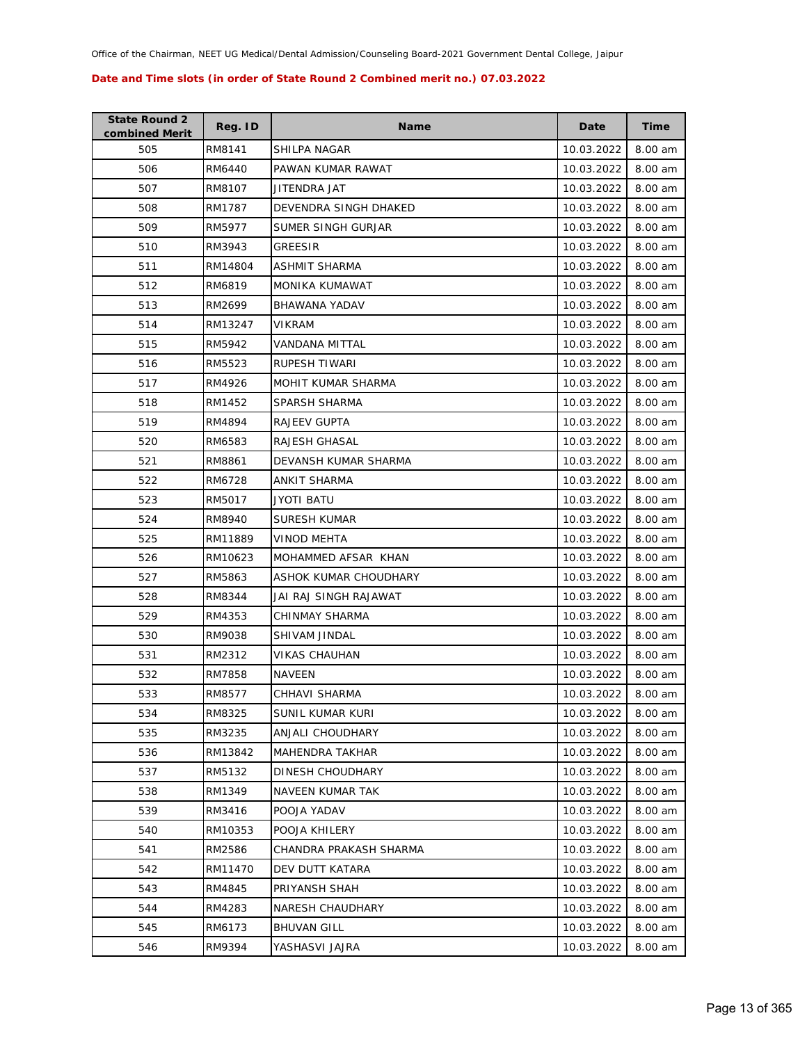| <b>State Round 2</b><br>combined Merit | Reg. ID | <b>Name</b>            | Date       | Time    |
|----------------------------------------|---------|------------------------|------------|---------|
| 505                                    | RM8141  | SHILPA NAGAR           | 10.03.2022 | 8.00 am |
| 506                                    | RM6440  | PAWAN KUMAR RAWAT      | 10.03.2022 | 8.00 am |
| 507                                    | RM8107  | JITENDRA JAT           | 10.03.2022 | 8.00 am |
| 508                                    | RM1787  | DEVENDRA SINGH DHAKED  | 10.03.2022 | 8.00 am |
| 509                                    | RM5977  | SUMER SINGH GURJAR     | 10.03.2022 | 8.00 am |
| 510                                    | RM3943  | GREESIR                | 10.03.2022 | 8.00 am |
| 511                                    | RM14804 | ASHMIT SHARMA          | 10.03.2022 | 8.00 am |
| 512                                    | RM6819  | <b>MONIKA KUMAWAT</b>  | 10.03.2022 | 8.00 am |
| 513                                    | RM2699  | BHAWANA YADAV          | 10.03.2022 | 8.00 am |
| 514                                    | RM13247 | VIKRAM                 | 10.03.2022 | 8.00 am |
| 515                                    | RM5942  | VANDANA MITTAL         | 10.03.2022 | 8.00 am |
| 516                                    | RM5523  | RUPESH TIWARI          | 10.03.2022 | 8.00 am |
| 517                                    | RM4926  | MOHIT KUMAR SHARMA     | 10.03.2022 | 8.00 am |
| 518                                    | RM1452  | SPARSH SHARMA          | 10.03.2022 | 8.00 am |
| 519                                    | RM4894  | <b>RAJEEV GUPTA</b>    | 10.03.2022 | 8.00 am |
| 520                                    | RM6583  | RAJESH GHASAL          | 10.03.2022 | 8.00 am |
| 521                                    | RM8861  | DEVANSH KUMAR SHARMA   | 10.03.2022 | 8.00 am |
| 522                                    | RM6728  | ANKIT SHARMA           | 10.03.2022 | 8.00 am |
| 523                                    | RM5017  | JYOTI BATU             | 10.03.2022 | 8.00 am |
| 524                                    | RM8940  | SURESH KUMAR           | 10.03.2022 | 8.00 am |
| 525                                    | RM11889 | <b>VINOD MEHTA</b>     | 10.03.2022 | 8.00 am |
| 526                                    | RM10623 | MOHAMMED AFSAR KHAN    | 10.03.2022 | 8.00 am |
| 527                                    | RM5863  | ASHOK KUMAR CHOUDHARY  | 10.03.2022 | 8.00 am |
| 528                                    | RM8344  | JAI RAJ SINGH RAJAWAT  | 10.03.2022 | 8.00 am |
| 529                                    | RM4353  | CHINMAY SHARMA         | 10.03.2022 | 8.00 am |
| 530                                    | RM9038  | SHIVAM JINDAL          | 10.03.2022 | 8.00 am |
| 531                                    | RM2312  | VIKAS CHAUHAN          | 10.03.2022 | 8.00 am |
| 532                                    | RM7858  | NAVEEN                 | 10.03.2022 | 8.00 am |
| 533                                    | RM8577  | CHHAVI SHARMA          | 10.03.2022 | 8.00 am |
| 534                                    | RM8325  | SUNIL KUMAR KURI       | 10.03.2022 | 8.00 am |
| 535                                    | RM3235  | ANJALI CHOUDHARY       | 10.03.2022 | 8.00 am |
| 536                                    | RM13842 | <b>MAHENDRA TAKHAR</b> | 10.03.2022 | 8.00 am |
| 537                                    | RM5132  | DINESH CHOUDHARY       | 10.03.2022 | 8.00 am |
| 538                                    | RM1349  | NAVEEN KUMAR TAK       | 10.03.2022 | 8.00 am |
| 539                                    | RM3416  | POOJA YADAV            | 10.03.2022 | 8.00 am |
| 540                                    | RM10353 | POOJA KHILERY          | 10.03.2022 | 8.00 am |
| 541                                    | RM2586  | CHANDRA PRAKASH SHARMA | 10.03.2022 | 8.00 am |
| 542                                    | RM11470 | DEV DUTT KATARA        | 10.03.2022 | 8.00 am |
| 543                                    | RM4845  | PRIYANSH SHAH          | 10.03.2022 | 8.00 am |
| 544                                    | RM4283  | NARESH CHAUDHARY       | 10.03.2022 | 8.00 am |
| 545                                    | RM6173  | <b>BHUVAN GILL</b>     | 10.03.2022 | 8.00 am |
| 546                                    | RM9394  | YASHASVI JAJRA         | 10.03.2022 | 8.00 am |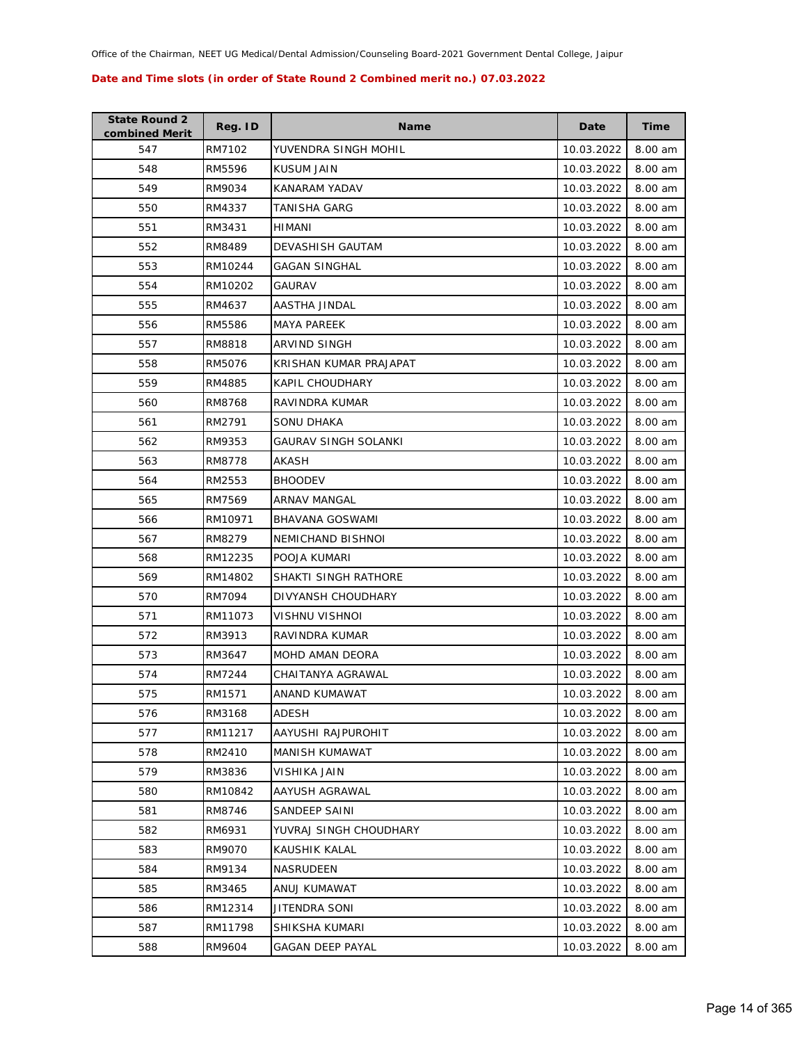| <b>State Round 2</b><br>combined Merit | Reg. ID | <b>Name</b>             | Date       | <b>Time</b> |
|----------------------------------------|---------|-------------------------|------------|-------------|
| 547                                    | RM7102  | YUVENDRA SINGH MOHIL    | 10.03.2022 | 8.00 am     |
| 548                                    | RM5596  | <b>KUSUM JAIN</b>       | 10.03.2022 | 8.00 am     |
| 549                                    | RM9034  | KANARAM YADAV           | 10.03.2022 | 8.00 am     |
| 550                                    | RM4337  | TANISHA GARG            | 10.03.2022 | 8.00 am     |
| 551                                    | RM3431  | HIMANI                  | 10.03.2022 | 8.00 am     |
| 552                                    | RM8489  | <b>DEVASHISH GAUTAM</b> | 10.03.2022 | 8.00 am     |
| 553                                    | RM10244 | <b>GAGAN SINGHAL</b>    | 10.03.2022 | 8.00 am     |
| 554                                    | RM10202 | <b>GAURAV</b>           | 10.03.2022 | 8.00 am     |
| 555                                    | RM4637  | AASTHA JINDAL           | 10.03.2022 | 8.00 am     |
| 556                                    | RM5586  | MAYA PAREEK             | 10.03.2022 | 8.00 am     |
| 557                                    | RM8818  | ARVIND SINGH            | 10.03.2022 | 8.00 am     |
| 558                                    | RM5076  | KRISHAN KUMAR PRAJAPAT  | 10.03.2022 | 8.00 am     |
| 559                                    | RM4885  | KAPIL CHOUDHARY         | 10.03.2022 | 8.00 am     |
| 560                                    | RM8768  | RAVINDRA KUMAR          | 10.03.2022 | 8.00 am     |
| 561                                    | RM2791  | SONU DHAKA              | 10.03.2022 | 8.00 am     |
| 562                                    | RM9353  | GAURAV SINGH SOLANKI    | 10.03.2022 | 8.00 am     |
| 563                                    | RM8778  | AKASH                   | 10.03.2022 | 8.00 am     |
| 564                                    | RM2553  | <b>BHOODEV</b>          | 10.03.2022 | 8.00 am     |
| 565                                    | RM7569  | ARNAV MANGAL            | 10.03.2022 | 8.00 am     |
| 566                                    | RM10971 | BHAVANA GOSWAMI         | 10.03.2022 | 8.00 am     |
| 567                                    | RM8279  | NEMICHAND BISHNOI       | 10.03.2022 | 8.00 am     |
| 568                                    | RM12235 | POOJA KUMARI            | 10.03.2022 | 8.00 am     |
| 569                                    | RM14802 | SHAKTI SINGH RATHORE    | 10.03.2022 | 8.00 am     |
| 570                                    | RM7094  | DIVYANSH CHOUDHARY      | 10.03.2022 | 8.00 am     |
| 571                                    | RM11073 | VISHNU VISHNOI          | 10.03.2022 | 8.00 am     |
| 572                                    | RM3913  | RAVINDRA KUMAR          | 10.03.2022 | 8.00 am     |
| 573                                    | RM3647  | MOHD AMAN DEORA         | 10.03.2022 | 8.00 am     |
| 574                                    | RM7244  | CHAITANYA AGRAWAL       | 10.03.2022 | 8.00 am     |
| 575                                    | RM1571  | ANAND KUMAWAT           | 10.03.2022 | 8.00 am     |
| 576                                    | RM3168  | ADESH                   | 10.03.2022 | 8.00 am     |
| 577                                    | RM11217 | AAYUSHI RAJPUROHIT      | 10.03.2022 | 8.00 am     |
| 578                                    | RM2410  | MANISH KUMAWAT          | 10.03.2022 | 8.00 am     |
| 579                                    | RM3836  | VISHIKA JAIN            | 10.03.2022 | 8.00 am     |
| 580                                    | RM10842 | AAYUSH AGRAWAL          | 10.03.2022 | 8.00 am     |
| 581                                    | RM8746  | SANDEEP SAINI           | 10.03.2022 | 8.00 am     |
| 582                                    | RM6931  | YUVRAJ SINGH CHOUDHARY  | 10.03.2022 | 8.00 am     |
| 583                                    | RM9070  | KAUSHIK KALAL           | 10.03.2022 | 8.00 am     |
| 584                                    | RM9134  | <b>NASRUDEEN</b>        | 10.03.2022 | 8.00 am     |
| 585                                    | RM3465  | ANUJ KUMAWAT            | 10.03.2022 | 8.00 am     |
| 586                                    | RM12314 | JITENDRA SONI           | 10.03.2022 | 8.00 am     |
| 587                                    | RM11798 | SHIKSHA KUMARI          | 10.03.2022 | 8.00 am     |
| 588                                    | RM9604  | <b>GAGAN DEEP PAYAL</b> | 10.03.2022 | 8.00 am     |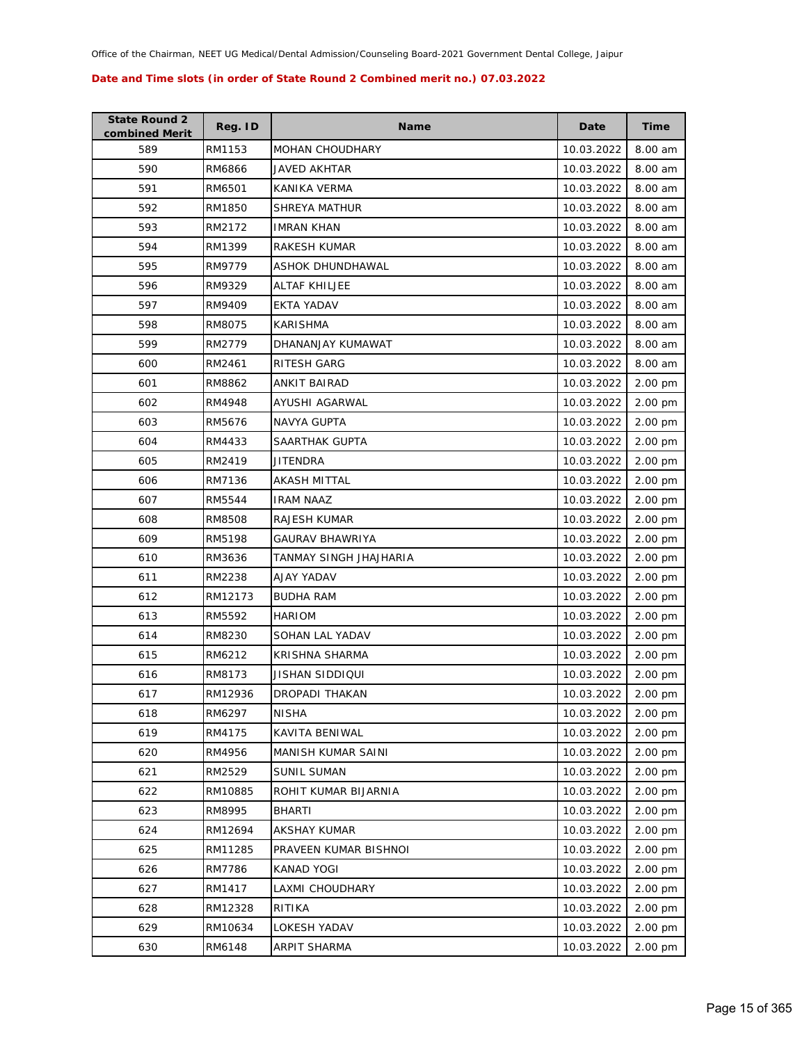| <b>State Round 2</b><br>combined Merit | Reg. ID | <b>Name</b>             | Date       | <b>Time</b> |
|----------------------------------------|---------|-------------------------|------------|-------------|
| 589                                    | RM1153  | <b>MOHAN CHOUDHARY</b>  | 10.03.2022 | 8.00 am     |
| 590                                    | RM6866  | JAVED AKHTAR            | 10.03.2022 | 8.00 am     |
| 591                                    | RM6501  | KANIKA VERMA            | 10.03.2022 | 8.00 am     |
| 592                                    | RM1850  | SHREYA MATHUR           | 10.03.2022 | 8.00 am     |
| 593                                    | RM2172  | <b>IMRAN KHAN</b>       | 10.03.2022 | 8.00 am     |
| 594                                    | RM1399  | RAKESH KUMAR            | 10.03.2022 | 8.00 am     |
| 595                                    | RM9779  | <b>ASHOK DHUNDHAWAL</b> | 10.03.2022 | 8.00 am     |
| 596                                    | RM9329  | ALTAF KHILJEE           | 10.03.2022 | 8.00 am     |
| 597                                    | RM9409  | <b>EKTA YADAV</b>       | 10.03.2022 | 8.00 am     |
| 598                                    | RM8075  | KARISHMA                | 10.03.2022 | 8.00 am     |
| 599                                    | RM2779  | DHANANJAY KUMAWAT       | 10.03.2022 | 8.00 am     |
| 600                                    | RM2461  | RITESH GARG             | 10.03.2022 | 8.00 am     |
| 601                                    | RM8862  | <b>ANKIT BAIRAD</b>     | 10.03.2022 | 2.00 pm     |
| 602                                    | RM4948  | AYUSHI AGARWAL          | 10.03.2022 | 2.00 pm     |
| 603                                    | RM5676  | NAVYA GUPTA             | 10.03.2022 | 2.00 pm     |
| 604                                    | RM4433  | SAARTHAK GUPTA          | 10.03.2022 | 2.00 pm     |
| 605                                    | RM2419  | JITENDRA                | 10.03.2022 | 2.00 pm     |
| 606                                    | RM7136  | AKASH MITTAL            | 10.03.2022 | 2.00 pm     |
| 607                                    | RM5544  | <b>IRAM NAAZ</b>        | 10.03.2022 | 2.00 pm     |
| 608                                    | RM8508  | RAJESH KUMAR            | 10.03.2022 | 2.00 pm     |
| 609                                    | RM5198  | GAURAV BHAWRIYA         | 10.03.2022 | 2.00 pm     |
| 610                                    | RM3636  | TANMAY SINGH JHAJHARIA  | 10.03.2022 | 2.00 pm     |
| 611                                    | RM2238  | AJAY YADAV              | 10.03.2022 | 2.00 pm     |
| 612                                    | RM12173 | <b>BUDHA RAM</b>        | 10.03.2022 | 2.00 pm     |
| 613                                    | RM5592  | <b>HARIOM</b>           | 10.03.2022 | 2.00 pm     |
| 614                                    | RM8230  | SOHAN LAL YADAV         | 10.03.2022 | 2.00 pm     |
| 615                                    | RM6212  | KRISHNA SHARMA          | 10.03.2022 | 2.00 pm     |
| 616                                    | RM8173  | JISHAN SIDDIQUI         | 10.03.2022 | 2.00 pm     |
| 617                                    | RM12936 | DROPADI THAKAN          | 10.03.2022 | $2.00$ pm   |
| 618                                    | RM6297  | <b>NISHA</b>            | 10.03.2022 | 2.00 pm     |
| 619                                    | RM4175  | KAVITA BENIWAL          | 10.03.2022 | 2.00 pm     |
| 620                                    | RM4956  | MANISH KUMAR SAINI      | 10.03.2022 | 2.00 pm     |
| 621                                    | RM2529  | <b>SUNIL SUMAN</b>      | 10.03.2022 | 2.00 pm     |
| 622                                    | RM10885 | ROHIT KUMAR BIJARNIA    | 10.03.2022 | 2.00 pm     |
| 623                                    | RM8995  | <b>BHARTI</b>           | 10.03.2022 | 2.00 pm     |
| 624                                    | RM12694 | <b>AKSHAY KUMAR</b>     | 10.03.2022 | 2.00 pm     |
| 625                                    | RM11285 | PRAVEEN KUMAR BISHNOI   | 10.03.2022 | 2.00 pm     |
| 626                                    | RM7786  | <b>KANAD YOGI</b>       | 10.03.2022 | 2.00 pm     |
| 627                                    | RM1417  | LAXMI CHOUDHARY         | 10.03.2022 | 2.00 pm     |
| 628                                    | RM12328 | RITIKA                  | 10.03.2022 | 2.00 pm     |
| 629                                    | RM10634 | LOKESH YADAV            | 10.03.2022 | 2.00 pm     |
| 630                                    | RM6148  | <b>ARPIT SHARMA</b>     | 10.03.2022 | 2.00 pm     |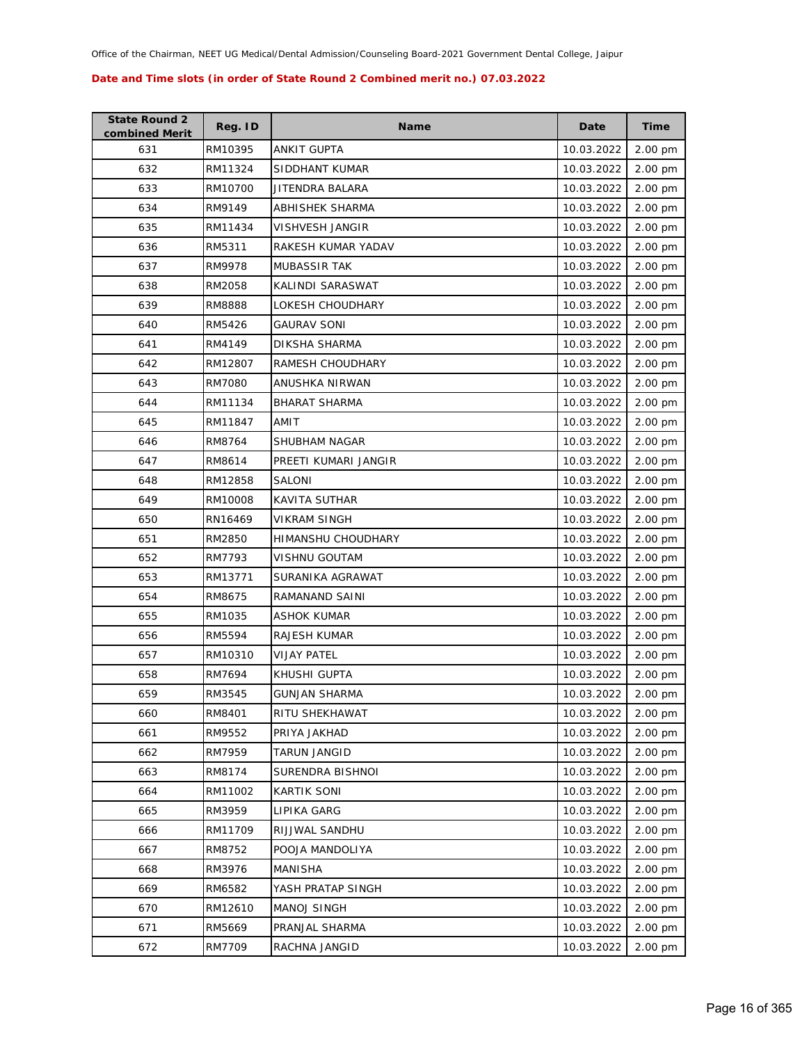| <b>State Round 2</b><br>combined Merit | Reg. ID       | <b>Name</b>          | Date       | <b>Time</b> |
|----------------------------------------|---------------|----------------------|------------|-------------|
| 631                                    | RM10395       | <b>ANKIT GUPTA</b>   | 10.03.2022 | 2.00 pm     |
| 632                                    | RM11324       | SIDDHANT KUMAR       | 10.03.2022 | 2.00 pm     |
| 633                                    | RM10700       | JITENDRA BALARA      | 10.03.2022 | 2.00 pm     |
| 634                                    | RM9149        | ABHISHEK SHARMA      | 10.03.2022 | 2.00 pm     |
| 635                                    | RM11434       | VISHVESH JANGIR      | 10.03.2022 | 2.00 pm     |
| 636                                    | RM5311        | RAKESH KUMAR YADAV   | 10.03.2022 | 2.00 pm     |
| 637                                    | RM9978        | MUBASSIR TAK         | 10.03.2022 | 2.00 pm     |
| 638                                    | RM2058        | KALINDI SARASWAT     | 10.03.2022 | 2.00 pm     |
| 639                                    | RM8888        | LOKESH CHOUDHARY     | 10.03.2022 | 2.00 pm     |
| 640                                    | RM5426        | GAURAV SONI          | 10.03.2022 | 2.00 pm     |
| 641                                    | RM4149        | DIKSHA SHARMA        | 10.03.2022 | 2.00 pm     |
| 642                                    | RM12807       | RAMESH CHOUDHARY     | 10.03.2022 | 2.00 pm     |
| 643                                    | <b>RM7080</b> | ANUSHKA NIRWAN       | 10.03.2022 | 2.00 pm     |
| 644                                    | RM11134       | <b>BHARAT SHARMA</b> | 10.03.2022 | 2.00 pm     |
| 645                                    | RM11847       | AMIT                 | 10.03.2022 | 2.00 pm     |
| 646                                    | RM8764        | SHUBHAM NAGAR        | 10.03.2022 | 2.00 pm     |
| 647                                    | RM8614        | PREETI KUMARI JANGIR | 10.03.2022 | 2.00 pm     |
| 648                                    | RM12858       | SALONI               | 10.03.2022 | 2.00 pm     |
| 649                                    | RM10008       | KAVITA SUTHAR        | 10.03.2022 | 2.00 pm     |
| 650                                    | RN16469       | VIKRAM SINGH         | 10.03.2022 | 2.00 pm     |
| 651                                    | RM2850        | HIMANSHU CHOUDHARY   | 10.03.2022 | 2.00 pm     |
| 652                                    | RM7793        | <b>VISHNU GOUTAM</b> | 10.03.2022 | 2.00 pm     |
| 653                                    | RM13771       | SURANIKA AGRAWAT     | 10.03.2022 | 2.00 pm     |
| 654                                    | RM8675        | RAMANAND SAINI       | 10.03.2022 | 2.00 pm     |
| 655                                    | RM1035        | ASHOK KUMAR          | 10.03.2022 | 2.00 pm     |
| 656                                    | RM5594        | RAJESH KUMAR         | 10.03.2022 | 2.00 pm     |
| 657                                    | RM10310       | <b>VIJAY PATEL</b>   | 10.03.2022 | 2.00 pm     |
| 658                                    | RM7694        | KHUSHI GUPTA         | 10.03.2022 | 2.00 pm     |
| 659                                    | RM3545        | <b>GUNJAN SHARMA</b> | 10.03.2022 | 2.00 pm     |
| 660                                    | RM8401        | RITU SHEKHAWAT       | 10.03.2022 | 2.00 pm     |
| 661                                    | RM9552        | PRIYA JAKHAD         | 10.03.2022 | 2.00 pm     |
| 662                                    | RM7959        | <b>TARUN JANGID</b>  | 10.03.2022 | 2.00 pm     |
| 663                                    | RM8174        | SURENDRA BISHNOI     | 10.03.2022 | 2.00 pm     |
| 664                                    | RM11002       | <b>KARTIK SONI</b>   | 10.03.2022 | 2.00 pm     |
| 665                                    | RM3959        | LIPIKA GARG          | 10.03.2022 | 2.00 pm     |
| 666                                    | RM11709       | RIJJWAL SANDHU       | 10.03.2022 | 2.00 pm     |
| 667                                    | RM8752        | POOJA MANDOLIYA      | 10.03.2022 | 2.00 pm     |
| 668                                    | RM3976        | MANISHA              | 10.03.2022 | 2.00 pm     |
| 669                                    | RM6582        | YASH PRATAP SINGH    | 10.03.2022 | 2.00 pm     |
| 670                                    | RM12610       | MANOJ SINGH          | 10.03.2022 | 2.00 pm     |
| 671                                    | RM5669        | PRANJAL SHARMA       | 10.03.2022 | 2.00 pm     |
| 672                                    | RM7709        | RACHNA JANGID        | 10.03.2022 | 2.00 pm     |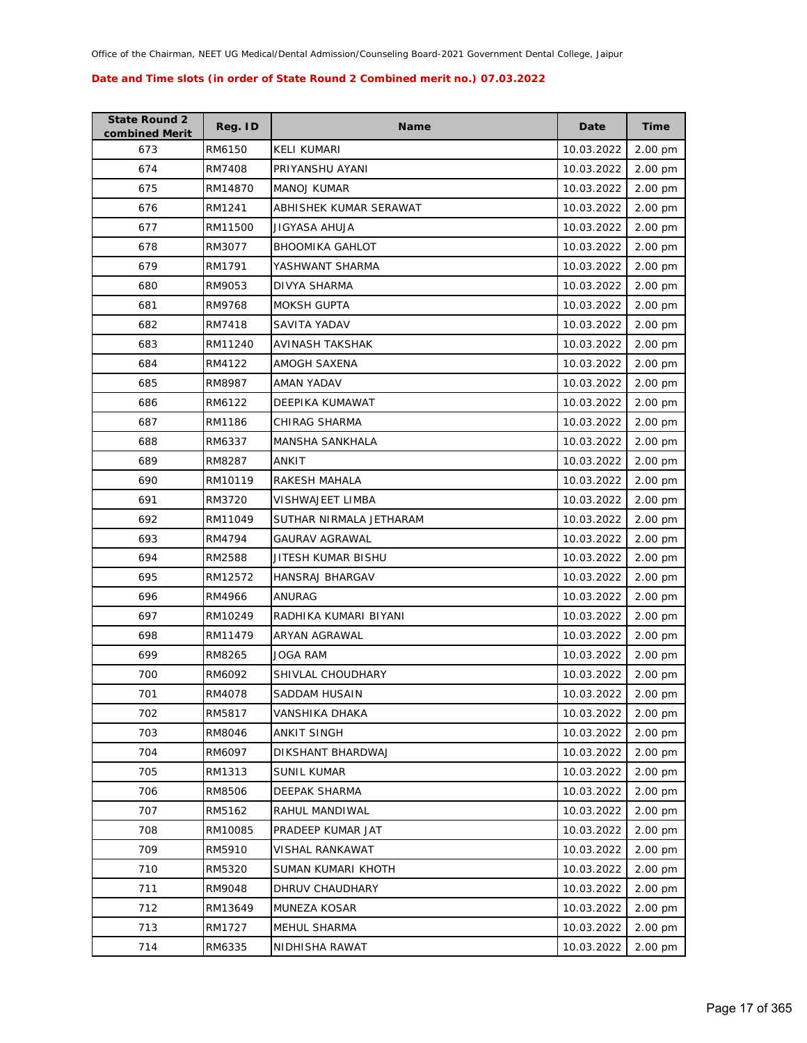| <b>State Round 2</b><br>combined Merit | Reg. ID | <b>Name</b>             | Date       | <b>Time</b> |
|----------------------------------------|---------|-------------------------|------------|-------------|
| 673                                    | RM6150  | <b>KELI KUMARI</b>      | 10.03.2022 | 2.00 pm     |
| 674                                    | RM7408  | PRIYANSHU AYANI         | 10.03.2022 | 2.00 pm     |
| 675                                    | RM14870 | <b>MANOJ KUMAR</b>      | 10.03.2022 | 2.00 pm     |
| 676                                    | RM1241  | ABHISHEK KUMAR SERAWAT  | 10.03.2022 | 2.00 pm     |
| 677                                    | RM11500 | JIGYASA AHUJA           | 10.03.2022 | 2.00 pm     |
| 678                                    | RM3077  | <b>BHOOMIKA GAHLOT</b>  | 10.03.2022 | 2.00 pm     |
| 679                                    | RM1791  | YASHWANT SHARMA         | 10.03.2022 | 2.00 pm     |
| 680                                    | RM9053  | <b>DIVYA SHARMA</b>     | 10.03.2022 | 2.00 pm     |
| 681                                    | RM9768  | <b>MOKSH GUPTA</b>      | 10.03.2022 | 2.00 pm     |
| 682                                    | RM7418  | SAVITA YADAV            | 10.03.2022 | 2.00 pm     |
| 683                                    | RM11240 | AVINASH TAKSHAK         | 10.03.2022 | 2.00 pm     |
| 684                                    | RM4122  | AMOGH SAXENA            | 10.03.2022 | 2.00 pm     |
| 685                                    | RM8987  | AMAN YADAV              | 10.03.2022 | 2.00 pm     |
| 686                                    | RM6122  | DEEPIKA KUMAWAT         | 10.03.2022 | 2.00 pm     |
| 687                                    | RM1186  | <b>CHIRAG SHARMA</b>    | 10.03.2022 | 2.00 pm     |
| 688                                    | RM6337  | <b>MANSHA SANKHALA</b>  | 10.03.2022 | 2.00 pm     |
| 689                                    | RM8287  | ANKIT                   | 10.03.2022 | 2.00 pm     |
| 690                                    | RM10119 | RAKESH MAHALA           | 10.03.2022 | 2.00 pm     |
| 691                                    | RM3720  | VISHWAJEET LIMBA        | 10.03.2022 | 2.00 pm     |
| 692                                    | RM11049 | SUTHAR NIRMALA JETHARAM | 10.03.2022 | 2.00 pm     |
| 693                                    | RM4794  | GAURAV AGRAWAL          | 10.03.2022 | 2.00 pm     |
| 694                                    | RM2588  | JITESH KUMAR BISHU      | 10.03.2022 | 2.00 pm     |
| 695                                    | RM12572 | HANSRAJ BHARGAV         | 10.03.2022 | 2.00 pm     |
| 696                                    | RM4966  | ANURAG                  | 10.03.2022 | 2.00 pm     |
| 697                                    | RM10249 | RADHIKA KUMARI BIYANI   | 10.03.2022 | 2.00 pm     |
| 698                                    | RM11479 | ARYAN AGRAWAL           | 10.03.2022 | 2.00 pm     |
| 699                                    | RM8265  | JOGA RAM                | 10.03.2022 | 2.00 pm     |
| 700                                    | RM6092  | SHIVLAL CHOUDHARY       | 10.03.2022 | 2.00 pm     |
| 701                                    | RM4078  | SADDAM HUSAIN           | 10.03.2022 | $2.00$ pm   |
| 702                                    | RM5817  | VANSHIKA DHAKA          | 10.03.2022 | 2.00 pm     |
| 703                                    | RM8046  | <b>ANKIT SINGH</b>      | 10.03.2022 | 2.00 pm     |
| 704                                    | RM6097  | DIKSHANT BHARDWAJ       | 10.03.2022 | 2.00 pm     |
| 705                                    | RM1313  | <b>SUNIL KUMAR</b>      | 10.03.2022 | 2.00 pm     |
| 706                                    | RM8506  | DEEPAK SHARMA           | 10.03.2022 | 2.00 pm     |
| 707                                    | RM5162  | RAHUL MANDIWAL          | 10.03.2022 | 2.00 pm     |
| 708                                    | RM10085 | PRADEEP KUMAR JAT       | 10.03.2022 | 2.00 pm     |
| 709                                    | RM5910  | VISHAL RANKAWAT         | 10.03.2022 | 2.00 pm     |
| 710                                    | RM5320  | SUMAN KUMARI KHOTH      | 10.03.2022 | 2.00 pm     |
| 711                                    | RM9048  | DHRUV CHAUDHARY         | 10.03.2022 | 2.00 pm     |
| 712                                    | RM13649 | MUNEZA KOSAR            | 10.03.2022 | 2.00 pm     |
| 713                                    | RM1727  | MEHUL SHARMA            | 10.03.2022 | 2.00 pm     |
| 714                                    | RM6335  | NIDHISHA RAWAT          | 10.03.2022 | 2.00 pm     |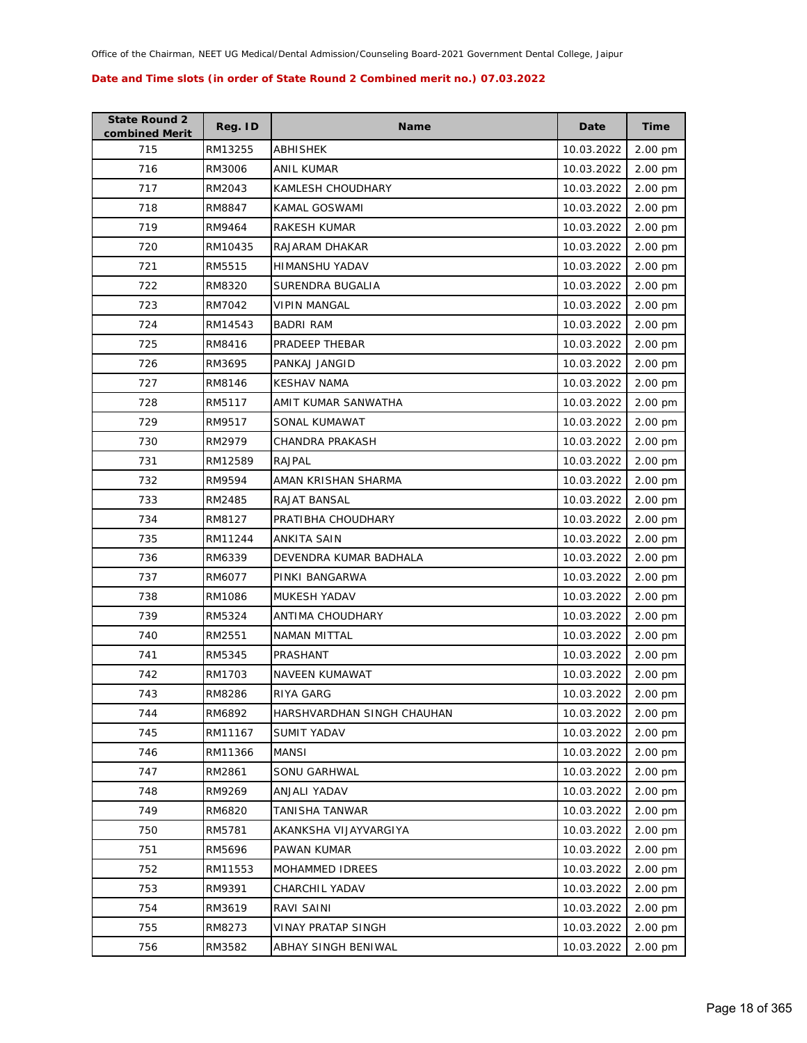| <b>State Round 2</b><br>combined Merit | Reg. ID | <b>Name</b>                | Date       | <b>Time</b> |
|----------------------------------------|---------|----------------------------|------------|-------------|
| 715                                    | RM13255 | ABHISHEK                   | 10.03.2022 | 2.00 pm     |
| 716                                    | RM3006  | <b>ANIL KUMAR</b>          | 10.03.2022 | 2.00 pm     |
| 717                                    | RM2043  | KAMLESH CHOUDHARY          | 10.03.2022 | 2.00 pm     |
| 718                                    | RM8847  | KAMAL GOSWAMI              | 10.03.2022 | 2.00 pm     |
| 719                                    | RM9464  | RAKESH KUMAR               | 10.03.2022 | 2.00 pm     |
| 720                                    | RM10435 | RAJARAM DHAKAR             | 10.03.2022 | 2.00 pm     |
| 721                                    | RM5515  | HIMANSHU YADAV             | 10.03.2022 | 2.00 pm     |
| 722                                    | RM8320  | SURENDRA BUGALIA           | 10.03.2022 | 2.00 pm     |
| 723                                    | RM7042  | VIPIN MANGAL               | 10.03.2022 | 2.00 pm     |
| 724                                    | RM14543 | <b>BADRI RAM</b>           | 10.03.2022 | 2.00 pm     |
| 725                                    | RM8416  | PRADEEP THEBAR             | 10.03.2022 | 2.00 pm     |
| 726                                    | RM3695  | PANKAJ JANGID              | 10.03.2022 | 2.00 pm     |
| 727                                    | RM8146  | <b>KESHAV NAMA</b>         | 10.03.2022 | 2.00 pm     |
| 728                                    | RM5117  | AMIT KUMAR SANWATHA        | 10.03.2022 | 2.00 pm     |
| 729                                    | RM9517  | SONAL KUMAWAT              | 10.03.2022 | 2.00 pm     |
| 730                                    | RM2979  | CHANDRA PRAKASH            | 10.03.2022 | 2.00 pm     |
| 731                                    | RM12589 | <b>RAJPAL</b>              | 10.03.2022 | 2.00 pm     |
| 732                                    | RM9594  | AMAN KRISHAN SHARMA        | 10.03.2022 | 2.00 pm     |
| 733                                    | RM2485  | RAJAT BANSAL               | 10.03.2022 | 2.00 pm     |
| 734                                    | RM8127  | PRATIBHA CHOUDHARY         | 10.03.2022 | 2.00 pm     |
| 735                                    | RM11244 | ANKITA SAIN                | 10.03.2022 | 2.00 pm     |
| 736                                    | RM6339  | DEVENDRA KUMAR BADHALA     | 10.03.2022 | 2.00 pm     |
| 737                                    | RM6077  | PINKI BANGARWA             | 10.03.2022 | 2.00 pm     |
| 738                                    | RM1086  | MUKESH YADAV               | 10.03.2022 | 2.00 pm     |
| 739                                    | RM5324  | ANTIMA CHOUDHARY           | 10.03.2022 | 2.00 pm     |
| 740                                    | RM2551  | <b>NAMAN MITTAL</b>        | 10.03.2022 | 2.00 pm     |
| 741                                    | RM5345  | PRASHANT                   | 10.03.2022 | 2.00 pm     |
| 742                                    | RM1703  | NAVEEN KUMAWAT             | 10.03.2022 | 2.00 pm     |
| 743                                    | RM8286  | RIYA GARG                  | 10.03.2022 | $2.00$ pm   |
| 744                                    | RM6892  | HARSHVARDHAN SINGH CHAUHAN | 10.03.2022 | 2.00 pm     |
| 745                                    | RM11167 | SUMIT YADAV                | 10.03.2022 | 2.00 pm     |
| 746                                    | RM11366 | <b>MANSI</b>               | 10.03.2022 | 2.00 pm     |
| 747                                    | RM2861  | SONU GARHWAL               | 10.03.2022 | 2.00 pm     |
| 748                                    | RM9269  | ANJALI YADAV               | 10.03.2022 | 2.00 pm     |
| 749                                    | RM6820  | <b>TANISHA TANWAR</b>      | 10.03.2022 | 2.00 pm     |
| 750                                    | RM5781  | AKANKSHA VIJAYVARGIYA      | 10.03.2022 | 2.00 pm     |
| 751                                    | RM5696  | PAWAN KUMAR                | 10.03.2022 | 2.00 pm     |
| 752                                    | RM11553 | MOHAMMED IDREES            | 10.03.2022 | 2.00 pm     |
| 753                                    | RM9391  | CHARCHIL YADAV             | 10.03.2022 | 2.00 pm     |
| 754                                    | RM3619  | RAVI SAINI                 | 10.03.2022 | 2.00 pm     |
| 755                                    | RM8273  | <b>VINAY PRATAP SINGH</b>  | 10.03.2022 | 2.00 pm     |
| 756                                    | RM3582  | ABHAY SINGH BENIWAL        | 10.03.2022 | 2.00 pm     |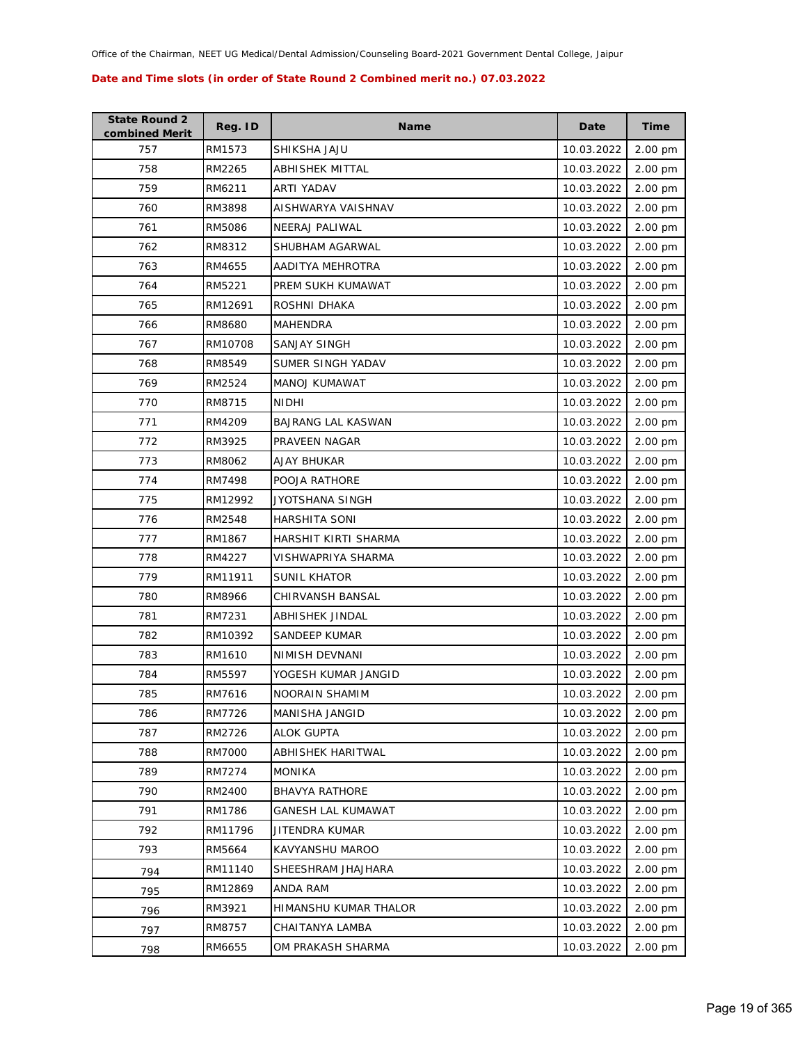| <b>State Round 2</b><br>combined Merit | Reg. ID | <b>Name</b>               | Date       | <b>Time</b> |
|----------------------------------------|---------|---------------------------|------------|-------------|
| 757                                    | RM1573  | SHIKSHA JAJU              | 10.03.2022 | 2.00 pm     |
| 758                                    | RM2265  | ABHISHEK MITTAL           | 10.03.2022 | 2.00 pm     |
| 759                                    | RM6211  | ARTI YADAV                | 10.03.2022 | 2.00 pm     |
| 760                                    | RM3898  | AISHWARYA VAISHNAV        | 10.03.2022 | 2.00 pm     |
| 761                                    | RM5086  | NEERAJ PALIWAL            | 10.03.2022 | 2.00 pm     |
| 762                                    | RM8312  | SHUBHAM AGARWAL           | 10.03.2022 | 2.00 pm     |
| 763                                    | RM4655  | AADITYA MEHROTRA          | 10.03.2022 | 2.00 pm     |
| 764                                    | RM5221  | PREM SUKH KUMAWAT         | 10.03.2022 | 2.00 pm     |
| 765                                    | RM12691 | ROSHNI DHAKA              | 10.03.2022 | 2.00 pm     |
| 766                                    | RM8680  | MAHENDRA                  | 10.03.2022 | 2.00 pm     |
| 767                                    | RM10708 | <b>SANJAY SINGH</b>       | 10.03.2022 | 2.00 pm     |
| 768                                    | RM8549  | SUMER SINGH YADAV         | 10.03.2022 | 2.00 pm     |
| 769                                    | RM2524  | MANOJ KUMAWAT             | 10.03.2022 | 2.00 pm     |
| 770                                    | RM8715  | <b>NIDHI</b>              | 10.03.2022 | 2.00 pm     |
| 771                                    | RM4209  | <b>BAJRANG LAL KASWAN</b> | 10.03.2022 | 2.00 pm     |
| 772                                    | RM3925  | PRAVEEN NAGAR             | 10.03.2022 | 2.00 pm     |
| 773                                    | RM8062  | <b>AJAY BHUKAR</b>        | 10.03.2022 | 2.00 pm     |
| 774                                    | RM7498  | POOJA RATHORE             | 10.03.2022 | 2.00 pm     |
| 775                                    | RM12992 | JYOTSHANA SINGH           | 10.03.2022 | 2.00 pm     |
| 776                                    | RM2548  | HARSHITA SONI             | 10.03.2022 | 2.00 pm     |
| 777                                    | RM1867  | HARSHIT KIRTI SHARMA      | 10.03.2022 | 2.00 pm     |
| 778                                    | RM4227  | VISHWAPRIYA SHARMA        | 10.03.2022 | 2.00 pm     |
| 779                                    | RM11911 | <b>SUNIL KHATOR</b>       | 10.03.2022 | 2.00 pm     |
| 780                                    | RM8966  | CHIRVANSH BANSAL          | 10.03.2022 | 2.00 pm     |
| 781                                    | RM7231  | ABHISHEK JINDAL           | 10.03.2022 | 2.00 pm     |
| 782                                    | RM10392 | <b>SANDEEP KUMAR</b>      | 10.03.2022 | 2.00 pm     |
| 783                                    | RM1610  | <b>NIMISH DEVNANI</b>     | 10.03.2022 | 2.00 pm     |
| 784                                    | RM5597  | YOGESH KUMAR JANGID       | 10.03.2022 | 2.00 pm     |
| 785                                    | RM7616  | NOORAIN SHAMIM            | 10.03.2022 | 2.00 pm     |
| 786                                    | RM7726  | MANISHA JANGID            | 10.03.2022 | 2.00 pm     |
| 787                                    | RM2726  | <b>ALOK GUPTA</b>         | 10.03.2022 | 2.00 pm     |
| 788                                    | RM7000  | ABHISHEK HARITWAL         | 10.03.2022 | 2.00 pm     |
| 789                                    | RM7274  | <b>MONIKA</b>             | 10.03.2022 | 2.00 pm     |
| 790                                    | RM2400  | <b>BHAVYA RATHORE</b>     | 10.03.2022 | 2.00 pm     |
| 791                                    | RM1786  | <b>GANESH LAL KUMAWAT</b> | 10.03.2022 | 2.00 pm     |
| 792                                    | RM11796 | JITENDRA KUMAR            | 10.03.2022 | 2.00 pm     |
| 793                                    | RM5664  | KAVYANSHU MAROO           | 10.03.2022 | 2.00 pm     |
| 794                                    | RM11140 | SHEESHRAM JHAJHARA        | 10.03.2022 | 2.00 pm     |
| 795                                    | RM12869 | ANDA RAM                  | 10.03.2022 | 2.00 pm     |
| 796                                    | RM3921  | HIMANSHU KUMAR THALOR     | 10.03.2022 | 2.00 pm     |
| 797                                    | RM8757  | CHAITANYA LAMBA           | 10.03.2022 | 2.00 pm     |
| 798                                    | RM6655  | OM PRAKASH SHARMA         | 10.03.2022 | 2.00 pm     |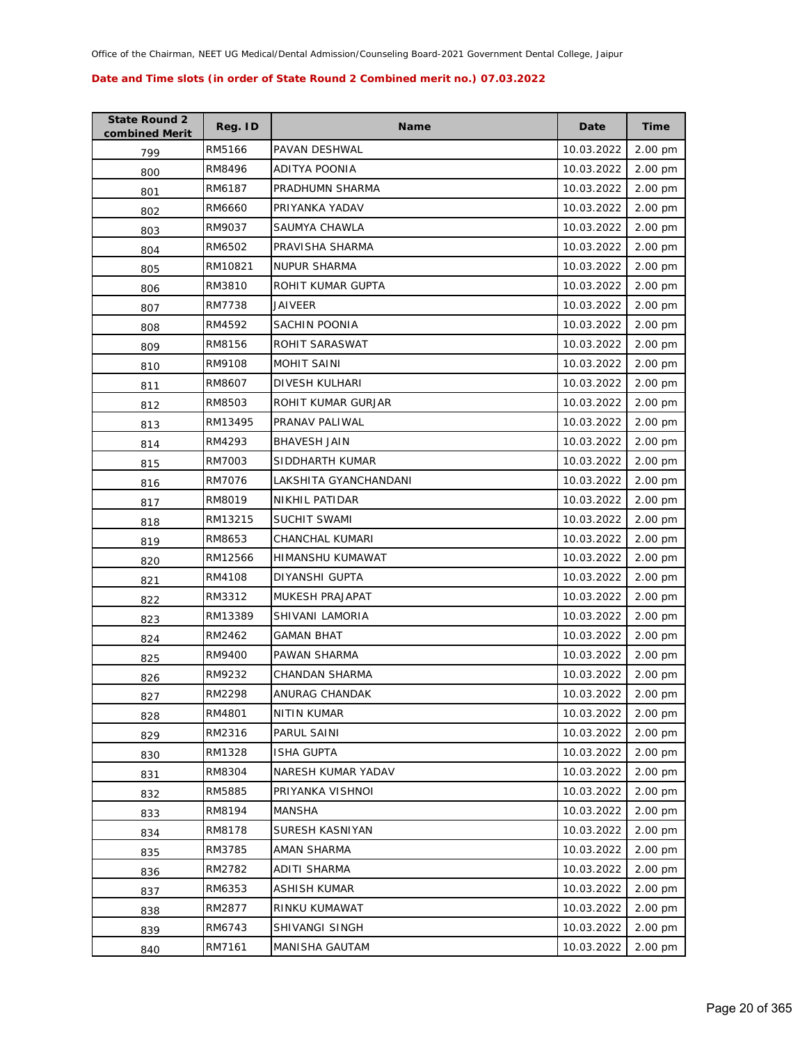| <b>State Round 2</b><br>combined Merit | Reg. ID | <b>Name</b>           | Date       | <b>Time</b> |
|----------------------------------------|---------|-----------------------|------------|-------------|
| 799                                    | RM5166  | PAVAN DESHWAL         | 10.03.2022 | 2.00 pm     |
| 800                                    | RM8496  | <b>ADITYA POONIA</b>  | 10.03.2022 | 2.00 pm     |
| 801                                    | RM6187  | PRADHUMN SHARMA       | 10.03.2022 | 2.00 pm     |
| 802                                    | RM6660  | PRIYANKA YADAV        | 10.03.2022 | 2.00 pm     |
| 803                                    | RM9037  | SAUMYA CHAWLA         | 10.03.2022 | 2.00 pm     |
| 804                                    | RM6502  | PRAVISHA SHARMA       | 10.03.2022 | 2.00 pm     |
| 805                                    | RM10821 | NUPUR SHARMA          | 10.03.2022 | 2.00 pm     |
| 806                                    | RM3810  | ROHIT KUMAR GUPTA     | 10.03.2022 | 2.00 pm     |
| 807                                    | RM7738  | JAIVEER               | 10.03.2022 | 2.00 pm     |
| 808                                    | RM4592  | SACHIN POONIA         | 10.03.2022 | 2.00 pm     |
| 809                                    | RM8156  | ROHIT SARASWAT        | 10.03.2022 | 2.00 pm     |
| 810                                    | RM9108  | MOHIT SAINI           | 10.03.2022 | 2.00 pm     |
| 811                                    | RM8607  | DIVESH KULHARI        | 10.03.2022 | 2.00 pm     |
| 812                                    | RM8503  | ROHIT KUMAR GURJAR    | 10.03.2022 | 2.00 pm     |
| 813                                    | RM13495 | PRANAV PALIWAL        | 10.03.2022 | 2.00 pm     |
| 814                                    | RM4293  | <b>BHAVESH JAIN</b>   | 10.03.2022 | 2.00 pm     |
| 815                                    | RM7003  | SIDDHARTH KUMAR       | 10.03.2022 | 2.00 pm     |
| 816                                    | RM7076  | LAKSHITA GYANCHANDANI | 10.03.2022 | 2.00 pm     |
| 817                                    | RM8019  | NIKHIL PATIDAR        | 10.03.2022 | 2.00 pm     |
| 818                                    | RM13215 | SUCHIT SWAMI          | 10.03.2022 | 2.00 pm     |
| 819                                    | RM8653  | CHANCHAL KUMARI       | 10.03.2022 | 2.00 pm     |
| 820                                    | RM12566 | HIMANSHU KUMAWAT      | 10.03.2022 | 2.00 pm     |
| 821                                    | RM4108  | DIYANSHI GUPTA        | 10.03.2022 | 2.00 pm     |
| 822                                    | RM3312  | MUKESH PRAJAPAT       | 10.03.2022 | 2.00 pm     |
| 823                                    | RM13389 | SHIVANI LAMORIA       | 10.03.2022 | 2.00 pm     |
| 824                                    | RM2462  | GAMAN BHAT            | 10.03.2022 | 2.00 pm     |
| 825                                    | RM9400  | PAWAN SHARMA          | 10.03.2022 | 2.00 pm     |
| 826                                    | RM9232  | CHANDAN SHARMA        | 10.03.2022 | 2.00 pm     |
| 827                                    | RM2298  | ANURAG CHANDAK        | 10.03.2022 | 2.00 pm     |
| 828                                    | RM4801  | <b>NITIN KUMAR</b>    | 10.03.2022 | 2.00 pm     |
| 829                                    | RM2316  | PARUL SAINI           | 10.03.2022 | 2.00 pm     |
| 830                                    | RM1328  | <b>ISHA GUPTA</b>     | 10.03.2022 | 2.00 pm     |
| 831                                    | RM8304  | NARESH KUMAR YADAV    | 10.03.2022 | 2.00 pm     |
| 832                                    | RM5885  | PRIYANKA VISHNOI      | 10.03.2022 | 2.00 pm     |
| 833                                    | RM8194  | <b>MANSHA</b>         | 10.03.2022 | 2.00 pm     |
| 834                                    | RM8178  | SURESH KASNIYAN       | 10.03.2022 | 2.00 pm     |
| 835                                    | RM3785  | AMAN SHARMA           | 10.03.2022 | 2.00 pm     |
| 836                                    | RM2782  | ADITI SHARMA          | 10.03.2022 | 2.00 pm     |
| 837                                    | RM6353  | <b>ASHISH KUMAR</b>   | 10.03.2022 | 2.00 pm     |
| 838                                    | RM2877  | RINKU KUMAWAT         | 10.03.2022 | 2.00 pm     |
| 839                                    | RM6743  | SHIVANGI SINGH        | 10.03.2022 | 2.00 pm     |
| 840                                    | RM7161  | MANISHA GAUTAM        | 10.03.2022 | 2.00 pm     |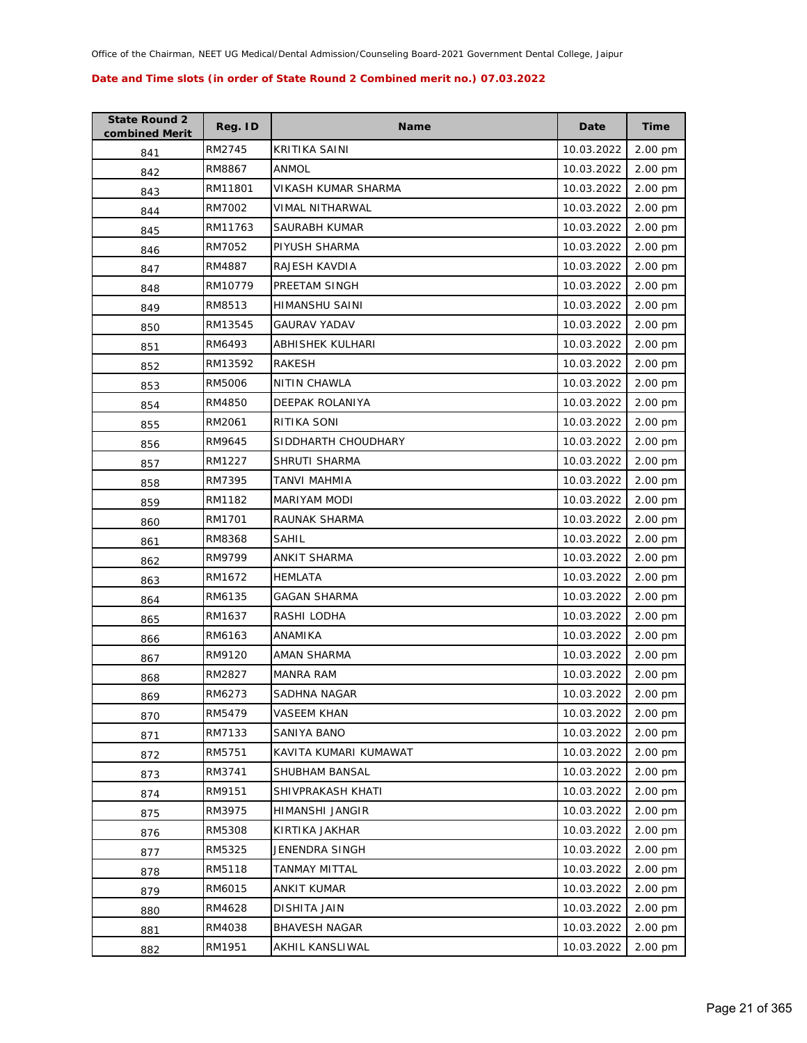| <b>State Round 2</b><br>combined Merit | Reg. ID | <b>Name</b>           | Date       | Time    |
|----------------------------------------|---------|-----------------------|------------|---------|
| 841                                    | RM2745  | KRITIKA SAINI         | 10.03.2022 | 2.00 pm |
| 842                                    | RM8867  | ANMOL                 | 10.03.2022 | 2.00 pm |
| 843                                    | RM11801 | VIKASH KUMAR SHARMA   | 10.03.2022 | 2.00 pm |
| 844                                    | RM7002  | VIMAL NITHARWAL       | 10.03.2022 | 2.00 pm |
| 845                                    | RM11763 | SAURABH KUMAR         | 10.03.2022 | 2.00 pm |
| 846                                    | RM7052  | PIYUSH SHARMA         | 10.03.2022 | 2.00 pm |
| 847                                    | RM4887  | RAJESH KAVDIA         | 10.03.2022 | 2.00 pm |
| 848                                    | RM10779 | PREETAM SINGH         | 10.03.2022 | 2.00 pm |
| 849                                    | RM8513  | HIMANSHU SAINI        | 10.03.2022 | 2.00 pm |
| 850                                    | RM13545 | GAURAV YADAV          | 10.03.2022 | 2.00 pm |
| 851                                    | RM6493  | ABHISHEK KULHARI      | 10.03.2022 | 2.00 pm |
| 852                                    | RM13592 | RAKESH                | 10.03.2022 | 2.00 pm |
| 853                                    | RM5006  | NITIN CHAWLA          | 10.03.2022 | 2.00 pm |
| 854                                    | RM4850  | DEEPAK ROLANIYA       | 10.03.2022 | 2.00 pm |
| 855                                    | RM2061  | RITIKA SONI           | 10.03.2022 | 2.00 pm |
| 856                                    | RM9645  | SIDDHARTH CHOUDHARY   | 10.03.2022 | 2.00 pm |
| 857                                    | RM1227  | SHRUTI SHARMA         | 10.03.2022 | 2.00 pm |
| 858                                    | RM7395  | TANVI MAHMIA          | 10.03.2022 | 2.00 pm |
| 859                                    | RM1182  | MARIYAM MODI          | 10.03.2022 | 2.00 pm |
| 860                                    | RM1701  | RAUNAK SHARMA         | 10.03.2022 | 2.00 pm |
| 861                                    | RM8368  | SAHIL                 | 10.03.2022 | 2.00 pm |
| 862                                    | RM9799  | ANKIT SHARMA          | 10.03.2022 | 2.00 pm |
| 863                                    | RM1672  | HEMLATA               | 10.03.2022 | 2.00 pm |
| 864                                    | RM6135  | <b>GAGAN SHARMA</b>   | 10.03.2022 | 2.00 pm |
| 865                                    | RM1637  | RASHI LODHA           | 10.03.2022 | 2.00 pm |
| 866                                    | RM6163  | ANAMIKA               | 10.03.2022 | 2.00 pm |
| 867                                    | RM9120  | AMAN SHARMA           | 10.03.2022 | 2.00 pm |
| 868                                    | RM2827  | <b>MANRA RAM</b>      | 10.03.2022 | 2.00 pm |
| 869                                    | RM6273  | SADHNA NAGAR          | 10.03.2022 | 2.00 pm |
| 870                                    | RM5479  | VASEEM KHAN           | 10.03.2022 | 2.00 pm |
| 871                                    | RM7133  | SANIYA BANO           | 10.03.2022 | 2.00 pm |
| 872                                    | RM5751  | KAVITA KUMARI KUMAWAT | 10.03.2022 | 2.00 pm |
| 873                                    | RM3741  | SHUBHAM BANSAL        | 10.03.2022 | 2.00 pm |
| 874                                    | RM9151  | SHIVPRAKASH KHATI     | 10.03.2022 | 2.00 pm |
| 875                                    | RM3975  | HIMANSHI JANGIR       | 10.03.2022 | 2.00 pm |
| 876                                    | RM5308  | KIRTIKA JAKHAR        | 10.03.2022 | 2.00 pm |
| 877                                    | RM5325  | JENENDRA SINGH        | 10.03.2022 | 2.00 pm |
| 878                                    | RM5118  | TANMAY MITTAL         | 10.03.2022 | 2.00 pm |
| 879                                    | RM6015  | <b>ANKIT KUMAR</b>    | 10.03.2022 | 2.00 pm |
| 880                                    | RM4628  | DISHITA JAIN          | 10.03.2022 | 2.00 pm |
| 881                                    | RM4038  | <b>BHAVESH NAGAR</b>  | 10.03.2022 | 2.00 pm |
| 882                                    | RM1951  | AKHIL KANSLIWAL       | 10.03.2022 | 2.00 pm |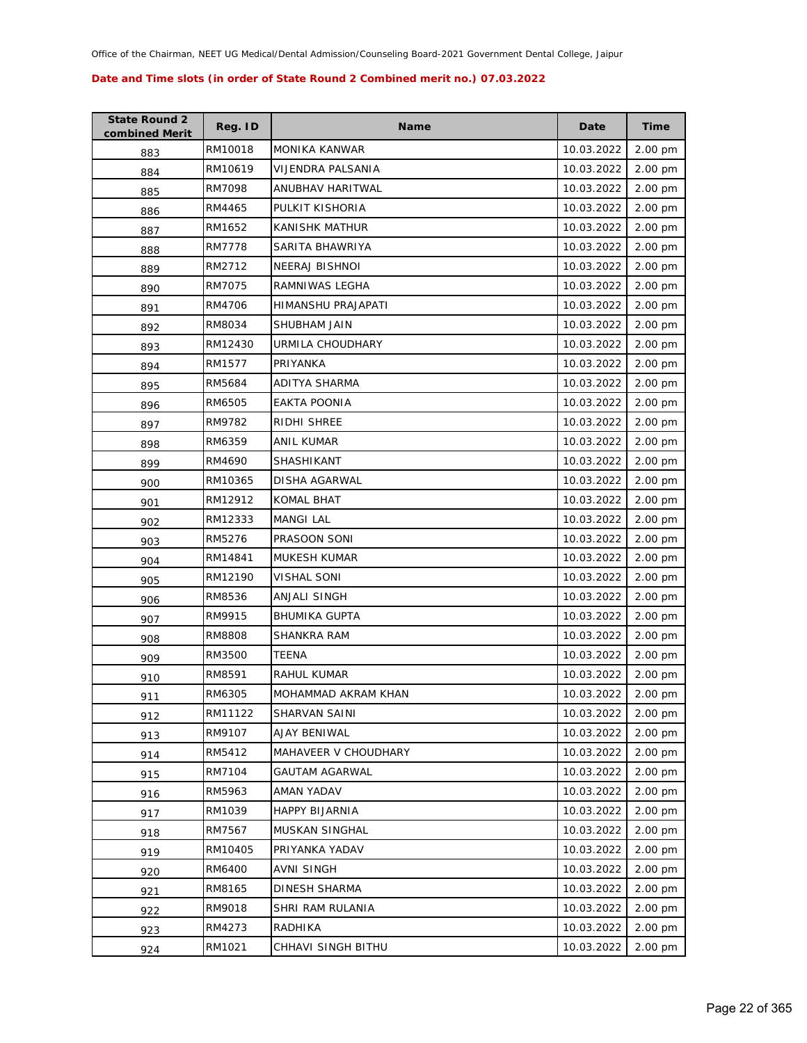| <b>State Round 2</b><br>combined Merit | Reg. ID       | <b>Name</b>           | Date       | <b>Time</b> |
|----------------------------------------|---------------|-----------------------|------------|-------------|
| 883                                    | RM10018       | MONIKA KANWAR         | 10.03.2022 | 2.00 pm     |
| 884                                    | RM10619       | VIJENDRA PALSANIA     | 10.03.2022 | 2.00 pm     |
| 885                                    | RM7098        | ANUBHAV HARITWAL      | 10.03.2022 | 2.00 pm     |
| 886                                    | RM4465        | PULKIT KISHORIA       | 10.03.2022 | 2.00 pm     |
| 887                                    | RM1652        | KANISHK MATHUR        | 10.03.2022 | 2.00 pm     |
| 888                                    | <b>RM7778</b> | SARITA BHAWRIYA       | 10.03.2022 | 2.00 pm     |
| 889                                    | RM2712        | NEERAJ BISHNOI        | 10.03.2022 | 2.00 pm     |
| 890                                    | RM7075        | RAMNIWAS LEGHA        | 10.03.2022 | 2.00 pm     |
| 891                                    | RM4706        | HIMANSHU PRAJAPATI    | 10.03.2022 | 2.00 pm     |
| 892                                    | RM8034        | SHUBHAM JAIN          | 10.03.2022 | 2.00 pm     |
| 893                                    | RM12430       | URMILA CHOUDHARY      | 10.03.2022 | 2.00 pm     |
| 894                                    | RM1577        | PRIYANKA              | 10.03.2022 | 2.00 pm     |
| 895                                    | RM5684        | <b>ADITYA SHARMA</b>  | 10.03.2022 | 2.00 pm     |
| 896                                    | RM6505        | EAKTA POONIA          | 10.03.2022 | 2.00 pm     |
| 897                                    | RM9782        | RIDHI SHREE           | 10.03.2022 | 2.00 pm     |
| 898                                    | RM6359        | ANIL KUMAR            | 10.03.2022 | 2.00 pm     |
| 899                                    | RM4690        | SHASHIKANT            | 10.03.2022 | 2.00 pm     |
| 900                                    | RM10365       | <b>DISHA AGARWAL</b>  | 10.03.2022 | 2.00 pm     |
| 901                                    | RM12912       | <b>KOMAL BHAT</b>     | 10.03.2022 | 2.00 pm     |
| 902                                    | RM12333       | <b>MANGI LAL</b>      | 10.03.2022 | 2.00 pm     |
| 903                                    | RM5276        | PRASOON SONI          | 10.03.2022 | 2.00 pm     |
| 904                                    | RM14841       | MUKESH KUMAR          | 10.03.2022 | 2.00 pm     |
| 905                                    | RM12190       | VISHAL SONI           | 10.03.2022 | 2.00 pm     |
| 906                                    | RM8536        | ANJALI SINGH          | 10.03.2022 | 2.00 pm     |
| 907                                    | RM9915        | <b>BHUMIKA GUPTA</b>  | 10.03.2022 | 2.00 pm     |
| 908                                    | RM8808        | SHANKRA RAM           | 10.03.2022 | 2.00 pm     |
| 909                                    | RM3500        | TEENA                 | 10.03.2022 | 2.00 pm     |
| 910                                    | RM8591        | RAHUL KUMAR           | 10.03.2022 | 2.00 pm     |
| 911                                    | RM6305        | MOHAMMAD AKRAM KHAN   | 10.03.2022 | 2.00 pm     |
| 912                                    | RM11122       | SHARVAN SAINI         | 10.03.2022 | 2.00 pm     |
| 913                                    | RM9107        | AJAY BENIWAL          | 10.03.2022 | 2.00 pm     |
| 914                                    | RM5412        | MAHAVEER V CHOUDHARY  | 10.03.2022 | 2.00 pm     |
| 915                                    | RM7104        | GAUTAM AGARWAL        | 10.03.2022 | 2.00 pm     |
| 916                                    | RM5963        | AMAN YADAV            | 10.03.2022 | 2.00 pm     |
| 917                                    | RM1039        | <b>HAPPY BIJARNIA</b> | 10.03.2022 | 2.00 pm     |
| 918                                    | RM7567        | MUSKAN SINGHAL        | 10.03.2022 | 2.00 pm     |
| 919                                    | RM10405       | PRIYANKA YADAV        | 10.03.2022 | 2.00 pm     |
| 920                                    | RM6400        | AVNI SINGH            | 10.03.2022 | 2.00 pm     |
| 921                                    | RM8165        | DINESH SHARMA         | 10.03.2022 | 2.00 pm     |
| 922                                    | RM9018        | SHRI RAM RULANIA      | 10.03.2022 | 2.00 pm     |
| 923                                    | RM4273        | RADHIKA               | 10.03.2022 | 2.00 pm     |
| 924                                    | RM1021        | CHHAVI SINGH BITHU    | 10.03.2022 | 2.00 pm     |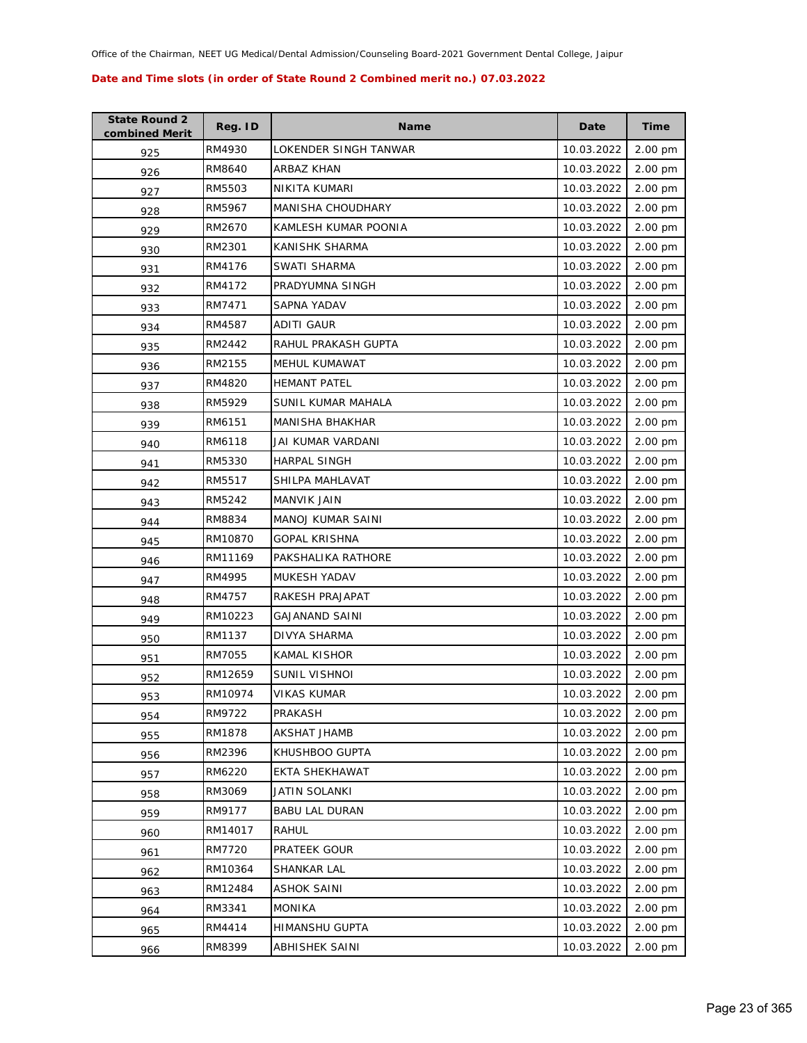| <b>State Round 2</b><br>combined Merit | Reg. ID | <b>Name</b>            | Date       | <b>Time</b> |
|----------------------------------------|---------|------------------------|------------|-------------|
| 925                                    | RM4930  | LOKENDER SINGH TANWAR  | 10.03.2022 | 2.00 pm     |
| 926                                    | RM8640  | ARBAZ KHAN             | 10.03.2022 | 2.00 pm     |
| 927                                    | RM5503  | NIKITA KUMARI          | 10.03.2022 | 2.00 pm     |
| 928                                    | RM5967  | MANISHA CHOUDHARY      | 10.03.2022 | 2.00 pm     |
| 929                                    | RM2670  | KAMLESH KUMAR POONIA   | 10.03.2022 | 2.00 pm     |
| 930                                    | RM2301  | KANISHK SHARMA         | 10.03.2022 | 2.00 pm     |
| 931                                    | RM4176  | SWATI SHARMA           | 10.03.2022 | 2.00 pm     |
| 932                                    | RM4172  | PRADYUMNA SINGH        | 10.03.2022 | 2.00 pm     |
| 933                                    | RM7471  | SAPNA YADAV            | 10.03.2022 | 2.00 pm     |
| 934                                    | RM4587  | ADITI GAUR             | 10.03.2022 | 2.00 pm     |
| 935                                    | RM2442  | RAHUL PRAKASH GUPTA    | 10.03.2022 | 2.00 pm     |
| 936                                    | RM2155  | MEHUL KUMAWAT          | 10.03.2022 | 2.00 pm     |
| 937                                    | RM4820  | <b>HEMANT PATEL</b>    | 10.03.2022 | 2.00 pm     |
| 938                                    | RM5929  | SUNIL KUMAR MAHALA     | 10.03.2022 | 2.00 pm     |
| 939                                    | RM6151  | <b>MANISHA BHAKHAR</b> | 10.03.2022 | 2.00 pm     |
| 940                                    | RM6118  | JAI KUMAR VARDANI      | 10.03.2022 | 2.00 pm     |
| 941                                    | RM5330  | <b>HARPAL SINGH</b>    | 10.03.2022 | 2.00 pm     |
| 942                                    | RM5517  | SHILPA MAHLAVAT        | 10.03.2022 | 2.00 pm     |
| 943                                    | RM5242  | MANVIK JAIN            | 10.03.2022 | 2.00 pm     |
| 944                                    | RM8834  | MANOJ KUMAR SAINI      | 10.03.2022 | 2.00 pm     |
| 945                                    | RM10870 | <b>GOPAL KRISHNA</b>   | 10.03.2022 | 2.00 pm     |
| 946                                    | RM11169 | PAKSHALIKA RATHORE     | 10.03.2022 | 2.00 pm     |
| 947                                    | RM4995  | MUKESH YADAV           | 10.03.2022 | 2.00 pm     |
| 948                                    | RM4757  | RAKESH PRAJAPAT        | 10.03.2022 | 2.00 pm     |
| 949                                    | RM10223 | <b>GAJANAND SAINI</b>  | 10.03.2022 | 2.00 pm     |
| 950                                    | RM1137  | DIVYA SHARMA           | 10.03.2022 | 2.00 pm     |
| 951                                    | RM7055  | KAMAL KISHOR           | 10.03.2022 | 2.00 pm     |
| 952                                    | RM12659 | SUNIL VISHNOI          | 10.03.2022 | 2.00 pm     |
| 953                                    | RM10974 | <b>VIKAS KUMAR</b>     | 10.03.2022 | 2.00 pm     |
| 954                                    | RM9722  | PRAKASH                | 10.03.2022 | 2.00 pm     |
| 955                                    | RM1878  | AKSHAT JHAMB           | 10.03.2022 | 2.00 pm     |
| 956                                    | RM2396  | KHUSHBOO GUPTA         | 10.03.2022 | 2.00 pm     |
| 957                                    | RM6220  | EKTA SHEKHAWAT         | 10.03.2022 | 2.00 pm     |
| 958                                    | RM3069  | JATIN SOLANKI          | 10.03.2022 | 2.00 pm     |
| 959                                    | RM9177  | <b>BABU LAL DURAN</b>  | 10.03.2022 | 2.00 pm     |
| 960                                    | RM14017 | <b>RAHUL</b>           | 10.03.2022 | 2.00 pm     |
| 961                                    | RM7720  | PRATEEK GOUR           | 10.03.2022 | 2.00 pm     |
| 962                                    | RM10364 | SHANKAR LAL            | 10.03.2022 | 2.00 pm     |
| 963                                    | RM12484 | <b>ASHOK SAINI</b>     | 10.03.2022 | 2.00 pm     |
| 964                                    | RM3341  | <b>MONIKA</b>          | 10.03.2022 | 2.00 pm     |
| 965                                    | RM4414  | HIMANSHU GUPTA         | 10.03.2022 | 2.00 pm     |
| 966                                    | RM8399  | ABHISHEK SAINI         | 10.03.2022 | 2.00 pm     |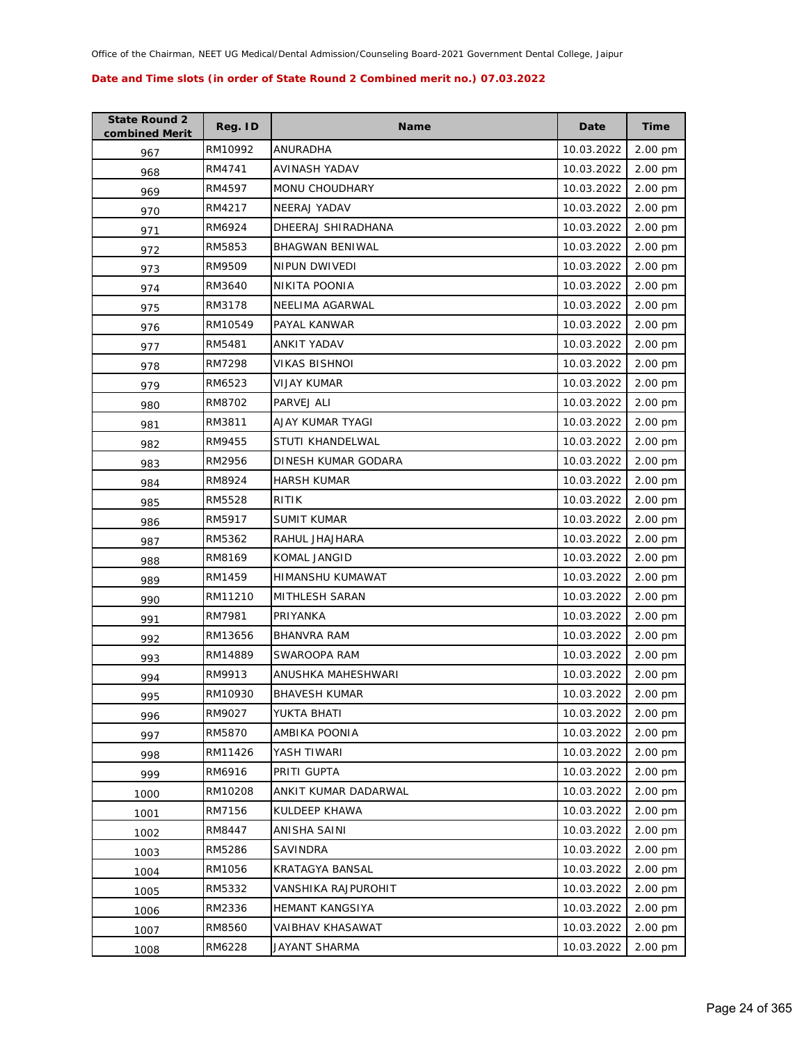| <b>State Round 2</b><br>combined Merit | Reg. ID | <b>Name</b>            | Date       | <b>Time</b> |
|----------------------------------------|---------|------------------------|------------|-------------|
| 967                                    | RM10992 | ANURADHA               | 10.03.2022 | 2.00 pm     |
| 968                                    | RM4741  | AVINASH YADAV          | 10.03.2022 | 2.00 pm     |
| 969                                    | RM4597  | MONU CHOUDHARY         | 10.03.2022 | 2.00 pm     |
| 970                                    | RM4217  | NEERAJ YADAV           | 10.03.2022 | 2.00 pm     |
| 971                                    | RM6924  | DHEERAJ SHIRADHANA     | 10.03.2022 | 2.00 pm     |
| 972                                    | RM5853  | <b>BHAGWAN BENIWAL</b> | 10.03.2022 | 2.00 pm     |
| 973                                    | RM9509  | <b>NIPUN DWIVEDI</b>   | 10.03.2022 | 2.00 pm     |
| 974                                    | RM3640  | NIKITA POONIA          | 10.03.2022 | 2.00 pm     |
| 975                                    | RM3178  | NEELIMA AGARWAL        | 10.03.2022 | 2.00 pm     |
| 976                                    | RM10549 | PAYAL KANWAR           | 10.03.2022 | 2.00 pm     |
| 977                                    | RM5481  | ANKIT YADAV            | 10.03.2022 | 2.00 pm     |
| 978                                    | RM7298  | VIKAS BISHNOI          | 10.03.2022 | 2.00 pm     |
| 979                                    | RM6523  | VIJAY KUMAR            | 10.03.2022 | 2.00 pm     |
| 980                                    | RM8702  | PARVEJ ALI             | 10.03.2022 | 2.00 pm     |
| 981                                    | RM3811  | AJAY KUMAR TYAGI       | 10.03.2022 | 2.00 pm     |
| 982                                    | RM9455  | STUTI KHANDELWAL       | 10.03.2022 | 2.00 pm     |
| 983                                    | RM2956  | DINESH KUMAR GODARA    | 10.03.2022 | 2.00 pm     |
| 984                                    | RM8924  | <b>HARSH KUMAR</b>     | 10.03.2022 | 2.00 pm     |
| 985                                    | RM5528  | RITIK                  | 10.03.2022 | 2.00 pm     |
| 986                                    | RM5917  | <b>SUMIT KUMAR</b>     | 10.03.2022 | 2.00 pm     |
| 987                                    | RM5362  | RAHUL JHAJHARA         | 10.03.2022 | 2.00 pm     |
| 988                                    | RM8169  | KOMAL JANGID           | 10.03.2022 | 2.00 pm     |
| 989                                    | RM1459  | HIMANSHU KUMAWAT       | 10.03.2022 | 2.00 pm     |
| 990                                    | RM11210 | MITHLESH SARAN         | 10.03.2022 | 2.00 pm     |
| 991                                    | RM7981  | PRIYANKA               | 10.03.2022 | 2.00 pm     |
| 992                                    | RM13656 | <b>BHANVRA RAM</b>     | 10.03.2022 | 2.00 pm     |
| 993                                    | RM14889 | SWAROOPA RAM           | 10.03.2022 | 2.00 pm     |
| 994                                    | RM9913  | ANUSHKA MAHESHWARI     | 10.03.2022 | 2.00 pm     |
| 995                                    | RM10930 | <b>BHAVESH KUMAR</b>   | 10.03.2022 | 2.00 pm     |
| 996                                    | RM9027  | YUKTA BHATI            | 10.03.2022 | 2.00 pm     |
| 997                                    | RM5870  | AMBIKA POONIA          | 10.03.2022 | 2.00 pm     |
| 998                                    | RM11426 | YASH TIWARI            | 10.03.2022 | 2.00 pm     |
| 999                                    | RM6916  | PRITI GUPTA            | 10.03.2022 | 2.00 pm     |
| 1000                                   | RM10208 | ANKIT KUMAR DADARWAL   | 10.03.2022 | 2.00 pm     |
| 1001                                   | RM7156  | KULDEEP KHAWA          | 10.03.2022 | 2.00 pm     |
| 1002                                   | RM8447  | ANISHA SAINI           | 10.03.2022 | 2.00 pm     |
| 1003                                   | RM5286  | SAVINDRA               | 10.03.2022 | 2.00 pm     |
| 1004                                   | RM1056  | KRATAGYA BANSAL        | 10.03.2022 | 2.00 pm     |
| 1005                                   | RM5332  | VANSHIKA RAJPUROHIT    | 10.03.2022 | 2.00 pm     |
| 1006                                   | RM2336  | <b>HEMANT KANGSIYA</b> | 10.03.2022 | 2.00 pm     |
| 1007                                   | RM8560  | VAIBHAV KHASAWAT       | 10.03.2022 | 2.00 pm     |
| 1008                                   | RM6228  | JAYANT SHARMA          | 10.03.2022 | 2.00 pm     |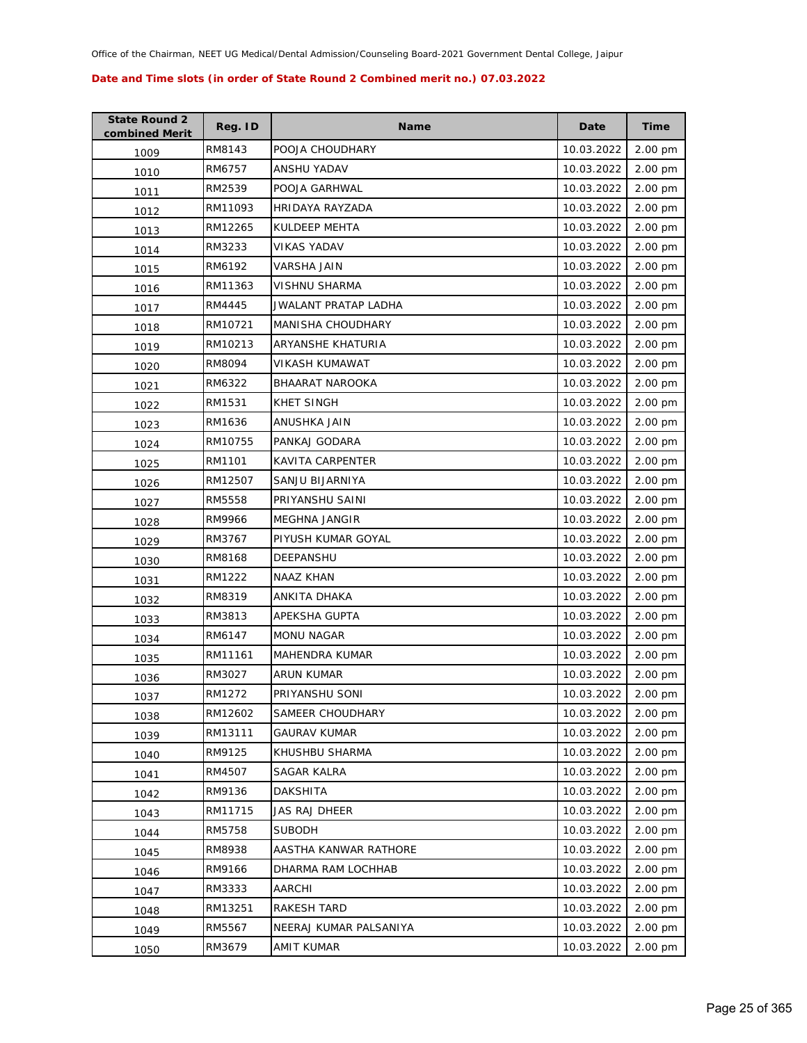| <b>State Round 2</b><br>combined Merit | Reg. ID | <b>Name</b>            | Date       | <b>Time</b> |
|----------------------------------------|---------|------------------------|------------|-------------|
| 1009                                   | RM8143  | POOJA CHOUDHARY        | 10.03.2022 | 2.00 pm     |
| 1010                                   | RM6757  | ANSHU YADAV            | 10.03.2022 | 2.00 pm     |
| 1011                                   | RM2539  | POOJA GARHWAL          | 10.03.2022 | 2.00 pm     |
| 1012                                   | RM11093 | HRIDAYA RAYZADA        | 10.03.2022 | 2.00 pm     |
| 1013                                   | RM12265 | KULDEEP MEHTA          | 10.03.2022 | 2.00 pm     |
| 1014                                   | RM3233  | <b>VIKAS YADAV</b>     | 10.03.2022 | 2.00 pm     |
| 1015                                   | RM6192  | VARSHA JAIN            | 10.03.2022 | 2.00 pm     |
| 1016                                   | RM11363 | VISHNU SHARMA          | 10.03.2022 | 2.00 pm     |
| 1017                                   | RM4445  | JWALANT PRATAP LADHA   | 10.03.2022 | 2.00 pm     |
| 1018                                   | RM10721 | MANISHA CHOUDHARY      | 10.03.2022 | 2.00 pm     |
| 1019                                   | RM10213 | ARYANSHE KHATURIA      | 10.03.2022 | 2.00 pm     |
| 1020                                   | RM8094  | VIKASH KUMAWAT         | 10.03.2022 | 2.00 pm     |
| 1021                                   | RM6322  | <b>BHAARAT NAROOKA</b> | 10.03.2022 | 2.00 pm     |
| 1022                                   | RM1531  | <b>KHET SINGH</b>      | 10.03.2022 | 2.00 pm     |
| 1023                                   | RM1636  | ANUSHKA JAIN           | 10.03.2022 | 2.00 pm     |
| 1024                                   | RM10755 | PANKAJ GODARA          | 10.03.2022 | 2.00 pm     |
| 1025                                   | RM1101  | KAVITA CARPENTER       | 10.03.2022 | 2.00 pm     |
| 1026                                   | RM12507 | SANJU BIJARNIYA        | 10.03.2022 | 2.00 pm     |
| 1027                                   | RM5558  | PRIYANSHU SAINI        | 10.03.2022 | 2.00 pm     |
| 1028                                   | RM9966  | MEGHNA JANGIR          | 10.03.2022 | 2.00 pm     |
| 1029                                   | RM3767  | PIYUSH KUMAR GOYAL     | 10.03.2022 | 2.00 pm     |
| 1030                                   | RM8168  | DEEPANSHU              | 10.03.2022 | 2.00 pm     |
| 1031                                   | RM1222  | NAAZ KHAN              | 10.03.2022 | 2.00 pm     |
| 1032                                   | RM8319  | ANKITA DHAKA           | 10.03.2022 | 2.00 pm     |
| 1033                                   | RM3813  | APEKSHA GUPTA          | 10.03.2022 | 2.00 pm     |
| 1034                                   | RM6147  | <b>MONU NAGAR</b>      | 10.03.2022 | 2.00 pm     |
| 1035                                   | RM11161 | <b>MAHENDRA KUMAR</b>  | 10.03.2022 | 2.00 pm     |
| 1036                                   | RM3027  | <b>ARUN KUMAR</b>      | 10.03.2022 | 2.00 pm     |
| 1037                                   | RM1272  | PRIYANSHU SONI         | 10.03.2022 | 2.00 pm     |
| 1038                                   | RM12602 | SAMEER CHOUDHARY       | 10.03.2022 | 2.00 pm     |
| 1039                                   | RM13111 | GAURAV KUMAR           | 10.03.2022 | 2.00 pm     |
| 1040                                   | RM9125  | KHUSHBU SHARMA         | 10.03.2022 | 2.00 pm     |
| 1041                                   | RM4507  | SAGAR KALRA            | 10.03.2022 | 2.00 pm     |
| 1042                                   | RM9136  | <b>DAKSHITA</b>        | 10.03.2022 | 2.00 pm     |
| 1043                                   | RM11715 | <b>JAS RAJ DHEER</b>   | 10.03.2022 | 2.00 pm     |
| 1044                                   | RM5758  | <b>SUBODH</b>          | 10.03.2022 | 2.00 pm     |
| 1045                                   | RM8938  | AASTHA KANWAR RATHORE  | 10.03.2022 | 2.00 pm     |
| 1046                                   | RM9166  | DHARMA RAM LOCHHAB     | 10.03.2022 | 2.00 pm     |
| 1047                                   | RM3333  | AARCHI                 | 10.03.2022 | 2.00 pm     |
| 1048                                   | RM13251 | RAKESH TARD            | 10.03.2022 | 2.00 pm     |
| 1049                                   | RM5567  | NEERAJ KUMAR PALSANIYA | 10.03.2022 | 2.00 pm     |
| 1050                                   | RM3679  | <b>AMIT KUMAR</b>      | 10.03.2022 | 2.00 pm     |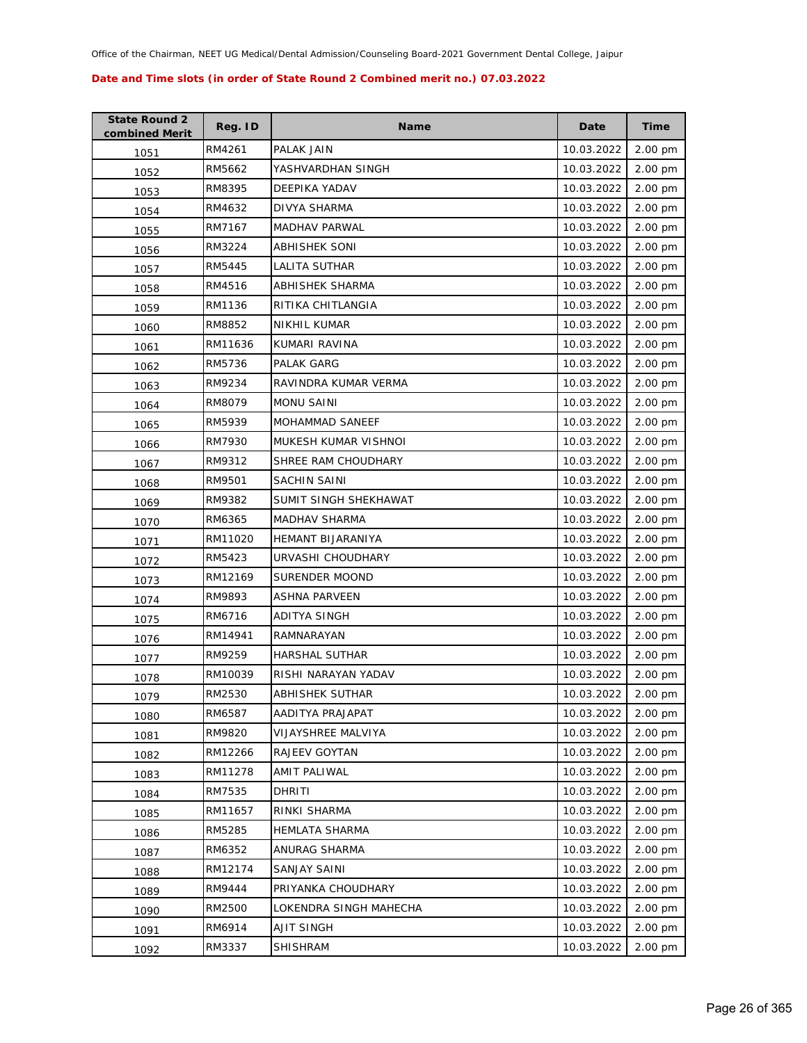| <b>State Round 2</b><br>combined Merit | Reg. ID | <b>Name</b>            | Date       | <b>Time</b> |
|----------------------------------------|---------|------------------------|------------|-------------|
| 1051                                   | RM4261  | PALAK JAIN             | 10.03.2022 | 2.00 pm     |
| 1052                                   | RM5662  | YASHVARDHAN SINGH      | 10.03.2022 | 2.00 pm     |
| 1053                                   | RM8395  | DEEPIKA YADAV          | 10.03.2022 | 2.00 pm     |
| 1054                                   | RM4632  | DIVYA SHARMA           | 10.03.2022 | 2.00 pm     |
| 1055                                   | RM7167  | MADHAV PARWAL          | 10.03.2022 | 2.00 pm     |
| 1056                                   | RM3224  | <b>ABHISHEK SONI</b>   | 10.03.2022 | 2.00 pm     |
| 1057                                   | RM5445  | LALITA SUTHAR          | 10.03.2022 | 2.00 pm     |
| 1058                                   | RM4516  | ABHISHEK SHARMA        | 10.03.2022 | 2.00 pm     |
| 1059                                   | RM1136  | RITIKA CHITLANGIA      | 10.03.2022 | 2.00 pm     |
| 1060                                   | RM8852  | NIKHIL KUMAR           | 10.03.2022 | 2.00 pm     |
| 1061                                   | RM11636 | KUMARI RAVINA          | 10.03.2022 | 2.00 pm     |
| 1062                                   | RM5736  | PALAK GARG             | 10.03.2022 | 2.00 pm     |
| 1063                                   | RM9234  | RAVINDRA KUMAR VERMA   | 10.03.2022 | 2.00 pm     |
| 1064                                   | RM8079  | <b>MONU SAINI</b>      | 10.03.2022 | 2.00 pm     |
| 1065                                   | RM5939  | MOHAMMAD SANEEF        | 10.03.2022 | 2.00 pm     |
| 1066                                   | RM7930  | MUKESH KUMAR VISHNOI   | 10.03.2022 | 2.00 pm     |
| 1067                                   | RM9312  | SHREE RAM CHOUDHARY    | 10.03.2022 | 2.00 pm     |
| 1068                                   | RM9501  | <b>SACHIN SAINI</b>    | 10.03.2022 | 2.00 pm     |
| 1069                                   | RM9382  | SUMIT SINGH SHEKHAWAT  | 10.03.2022 | 2.00 pm     |
| 1070                                   | RM6365  | MADHAV SHARMA          | 10.03.2022 | 2.00 pm     |
| 1071                                   | RM11020 | HEMANT BIJARANIYA      | 10.03.2022 | 2.00 pm     |
| 1072                                   | RM5423  | URVASHI CHOUDHARY      | 10.03.2022 | 2.00 pm     |
| 1073                                   | RM12169 | SURENDER MOOND         | 10.03.2022 | 2.00 pm     |
| 1074                                   | RM9893  | <b>ASHNA PARVEEN</b>   | 10.03.2022 | 2.00 pm     |
| 1075                                   | RM6716  | ADITYA SINGH           | 10.03.2022 | 2.00 pm     |
| 1076                                   | RM14941 | <b>RAMNARAYAN</b>      | 10.03.2022 | 2.00 pm     |
| 1077                                   | RM9259  | <b>HARSHAL SUTHAR</b>  | 10.03.2022 | 2.00 pm     |
| 1078                                   | RM10039 | RISHI NARAYAN YADAV    | 10.03.2022 | 2.00 pm     |
| 1079                                   | RM2530  | <b>ABHISHEK SUTHAR</b> | 10.03.2022 | 2.00 pm     |
| 1080                                   | RM6587  | AADITYA PRAJAPAT       | 10.03.2022 | 2.00 pm     |
| 1081                                   | RM9820  | VIJAYSHREE MALVIYA     | 10.03.2022 | 2.00 pm     |
| 1082                                   | RM12266 | RAJEEV GOYTAN          | 10.03.2022 | 2.00 pm     |
| 1083                                   | RM11278 | <b>AMIT PALIWAL</b>    | 10.03.2022 | 2.00 pm     |
| 1084                                   | RM7535  | DHRITI                 | 10.03.2022 | 2.00 pm     |
| 1085                                   | RM11657 | RINKI SHARMA           | 10.03.2022 | 2.00 pm     |
| 1086                                   | RM5285  | <b>HEMLATA SHARMA</b>  | 10.03.2022 | 2.00 pm     |
| 1087                                   | RM6352  | ANURAG SHARMA          | 10.03.2022 | 2.00 pm     |
| 1088                                   | RM12174 | SANJAY SAINI           | 10.03.2022 | 2.00 pm     |
| 1089                                   | RM9444  | PRIYANKA CHOUDHARY     | 10.03.2022 | 2.00 pm     |
| 1090                                   | RM2500  | LOKENDRA SINGH MAHECHA | 10.03.2022 | 2.00 pm     |
| 1091                                   | RM6914  | <b>AJIT SINGH</b>      | 10.03.2022 | 2.00 pm     |
| 1092                                   | RM3337  | SHISHRAM               | 10.03.2022 | 2.00 pm     |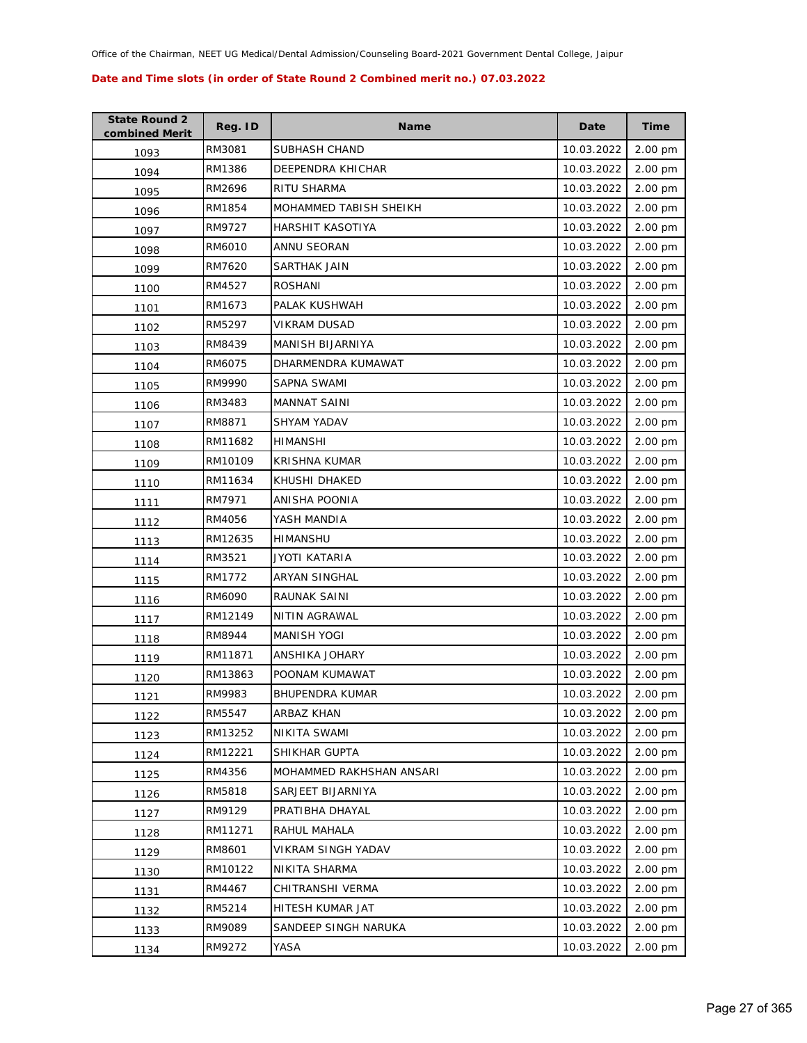| <b>State Round 2</b><br>combined Merit | Reg. ID | <b>Name</b>              | Date       | <b>Time</b> |
|----------------------------------------|---------|--------------------------|------------|-------------|
| 1093                                   | RM3081  | SUBHASH CHAND            | 10.03.2022 | 2.00 pm     |
| 1094                                   | RM1386  | DEEPENDRA KHICHAR        | 10.03.2022 | 2.00 pm     |
| 1095                                   | RM2696  | RITU SHARMA              | 10.03.2022 | 2.00 pm     |
| 1096                                   | RM1854  | MOHAMMED TABISH SHEIKH   | 10.03.2022 | 2.00 pm     |
| 1097                                   | RM9727  | HARSHIT KASOTIYA         | 10.03.2022 | 2.00 pm     |
| 1098                                   | RM6010  | ANNU SEORAN              | 10.03.2022 | 2.00 pm     |
| 1099                                   | RM7620  | <b>SARTHAK JAIN</b>      | 10.03.2022 | 2.00 pm     |
| 1100                                   | RM4527  | <b>ROSHANI</b>           | 10.03.2022 | 2.00 pm     |
| 1101                                   | RM1673  | PALAK KUSHWAH            | 10.03.2022 | 2.00 pm     |
| 1102                                   | RM5297  | VIKRAM DUSAD             | 10.03.2022 | 2.00 pm     |
| 1103                                   | RM8439  | MANISH BIJARNIYA         | 10.03.2022 | 2.00 pm     |
| 1104                                   | RM6075  | DHARMENDRA KUMAWAT       | 10.03.2022 | 2.00 pm     |
| 1105                                   | RM9990  | <b>SAPNA SWAMI</b>       | 10.03.2022 | 2.00 pm     |
| 1106                                   | RM3483  | <b>MANNAT SAINI</b>      | 10.03.2022 | 2.00 pm     |
| 1107                                   | RM8871  | <b>SHYAM YADAV</b>       | 10.03.2022 | 2.00 pm     |
| 1108                                   | RM11682 | <b>HIMANSHI</b>          | 10.03.2022 | 2.00 pm     |
| 1109                                   | RM10109 | KRISHNA KUMAR            | 10.03.2022 | 2.00 pm     |
| 1110                                   | RM11634 | KHUSHI DHAKED            | 10.03.2022 | 2.00 pm     |
| 1111                                   | RM7971  | ANISHA POONIA            | 10.03.2022 | 2.00 pm     |
| 1112                                   | RM4056  | YASH MANDIA              | 10.03.2022 | 2.00 pm     |
| 1113                                   | RM12635 | <b>HIMANSHU</b>          | 10.03.2022 | 2.00 pm     |
| 1114                                   | RM3521  | JYOTI KATARIA            | 10.03.2022 | 2.00 pm     |
| 1115                                   | RM1772  | ARYAN SINGHAL            | 10.03.2022 | 2.00 pm     |
| 1116                                   | RM6090  | RAUNAK SAINI             | 10.03.2022 | 2.00 pm     |
| 1117                                   | RM12149 | NITIN AGRAWAL            | 10.03.2022 | 2.00 pm     |
| 1118                                   | RM8944  | <b>MANISH YOGI</b>       | 10.03.2022 | 2.00 pm     |
| 1119                                   | RM11871 | ANSHIKA JOHARY           | 10.03.2022 | 2.00 pm     |
| 1120                                   | RM13863 | POONAM KUMAWAT           | 10.03.2022 | 2.00 pm     |
| 1121                                   | RM9983  | <b>BHUPENDRA KUMAR</b>   | 10.03.2022 | 2.00 pm     |
| 1122                                   | RM5547  | ARBAZ KHAN               | 10.03.2022 | 2.00 pm     |
| 1123                                   | RM13252 | NIKITA SWAMI             | 10.03.2022 | 2.00 pm     |
| 1124                                   | RM12221 | SHIKHAR GUPTA            | 10.03.2022 | 2.00 pm     |
| 1125                                   | RM4356  | MOHAMMED RAKHSHAN ANSARI | 10.03.2022 | 2.00 pm     |
| 1126                                   | RM5818  | SARJEET BIJARNIYA        | 10.03.2022 | 2.00 pm     |
| 1127                                   | RM9129  | PRATIBHA DHAYAL          | 10.03.2022 | 2.00 pm     |
| 1128                                   | RM11271 | RAHUL MAHALA             | 10.03.2022 | 2.00 pm     |
| 1129                                   | RM8601  | VIKRAM SINGH YADAV       | 10.03.2022 | 2.00 pm     |
| 1130                                   | RM10122 | NIKITA SHARMA            | 10.03.2022 | 2.00 pm     |
| 1131                                   | RM4467  | CHITRANSHI VERMA         | 10.03.2022 | 2.00 pm     |
| 1132                                   | RM5214  | HITESH KUMAR JAT         | 10.03.2022 | 2.00 pm     |
| 1133                                   | RM9089  | SANDEEP SINGH NARUKA     | 10.03.2022 | 2.00 pm     |
| 1134                                   | RM9272  | YASA                     | 10.03.2022 | 2.00 pm     |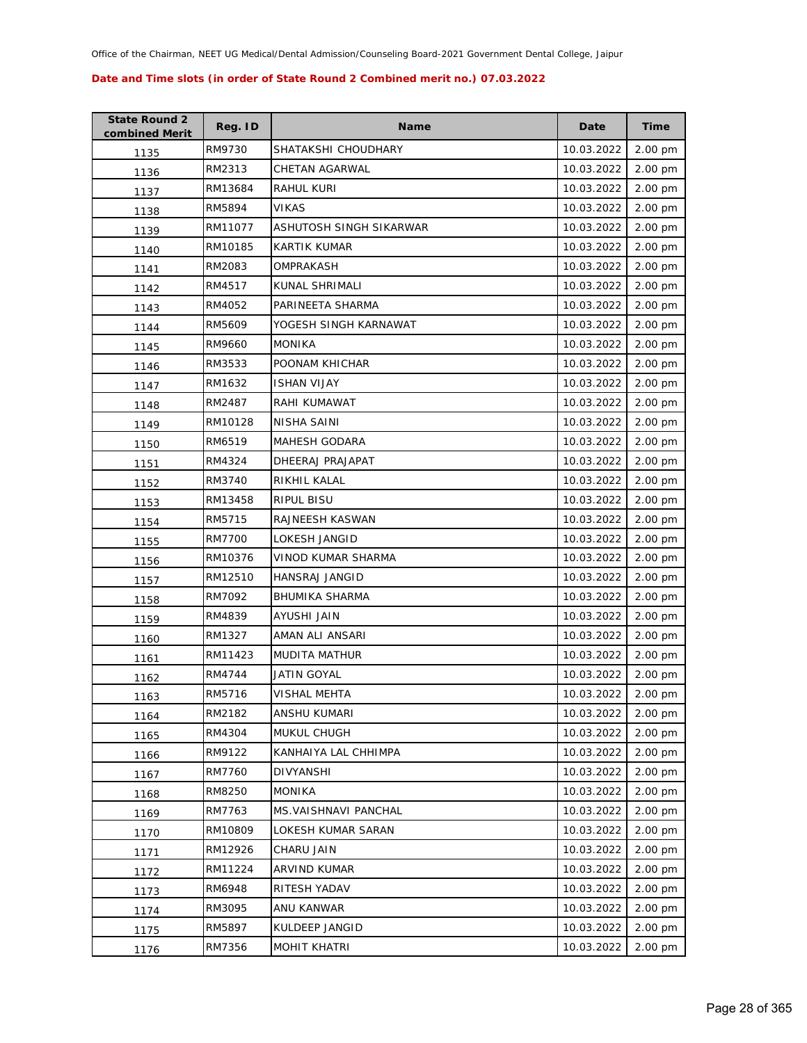| <b>State Round 2</b><br>combined Merit | Reg. ID | <b>Name</b>             | Date       | <b>Time</b> |
|----------------------------------------|---------|-------------------------|------------|-------------|
| 1135                                   | RM9730  | SHATAKSHI CHOUDHARY     | 10.03.2022 | 2.00 pm     |
| 1136                                   | RM2313  | CHETAN AGARWAL          | 10.03.2022 | 2.00 pm     |
| 1137                                   | RM13684 | RAHUL KURI              | 10.03.2022 | 2.00 pm     |
| 1138                                   | RM5894  | <b>VIKAS</b>            | 10.03.2022 | 2.00 pm     |
| 1139                                   | RM11077 | ASHUTOSH SINGH SIKARWAR | 10.03.2022 | 2.00 pm     |
| 1140                                   | RM10185 | <b>KARTIK KUMAR</b>     | 10.03.2022 | 2.00 pm     |
| 1141                                   | RM2083  | OMPRAKASH               | 10.03.2022 | 2.00 pm     |
| 1142                                   | RM4517  | KUNAL SHRIMALI          | 10.03.2022 | 2.00 pm     |
| 1143                                   | RM4052  | PARINEETA SHARMA        | 10.03.2022 | 2.00 pm     |
| 1144                                   | RM5609  | YOGESH SINGH KARNAWAT   | 10.03.2022 | 2.00 pm     |
| 1145                                   | RM9660  | <b>MONIKA</b>           | 10.03.2022 | 2.00 pm     |
| 1146                                   | RM3533  | POONAM KHICHAR          | 10.03.2022 | 2.00 pm     |
| 1147                                   | RM1632  | <b>ISHAN VIJAY</b>      | 10.03.2022 | 2.00 pm     |
| 1148                                   | RM2487  | RAHI KUMAWAT            | 10.03.2022 | 2.00 pm     |
| 1149                                   | RM10128 | NISHA SAINI             | 10.03.2022 | 2.00 pm     |
| 1150                                   | RM6519  | MAHESH GODARA           | 10.03.2022 | 2.00 pm     |
| 1151                                   | RM4324  | DHEERAJ PRAJAPAT        | 10.03.2022 | 2.00 pm     |
| 1152                                   | RM3740  | RIKHIL KALAL            | 10.03.2022 | 2.00 pm     |
| 1153                                   | RM13458 | RIPUL BISU              | 10.03.2022 | 2.00 pm     |
| 1154                                   | RM5715  | RAJNEESH KASWAN         | 10.03.2022 | 2.00 pm     |
| 1155                                   | RM7700  | LOKESH JANGID           | 10.03.2022 | 2.00 pm     |
| 1156                                   | RM10376 | VINOD KUMAR SHARMA      | 10.03.2022 | 2.00 pm     |
| 1157                                   | RM12510 | HANSRAJ JANGID          | 10.03.2022 | 2.00 pm     |
| 1158                                   | RM7092  | <b>BHUMIKA SHARMA</b>   | 10.03.2022 | 2.00 pm     |
| 1159                                   | RM4839  | AYUSHI JAIN             | 10.03.2022 | 2.00 pm     |
| 1160                                   | RM1327  | AMAN ALI ANSARI         | 10.03.2022 | 2.00 pm     |
| 1161                                   | RM11423 | <b>MUDITA MATHUR</b>    | 10.03.2022 | 2.00 pm     |
| 1162                                   | RM4744  | <b>JATIN GOYAL</b>      | 10.03.2022 | 2.00 pm     |
| 1163                                   | RM5716  | VISHAL MEHTA            | 10.03.2022 | 2.00 pm     |
| 1164                                   | RM2182  | ANSHU KUMARI            | 10.03.2022 | 2.00 pm     |
| 1165                                   | RM4304  | MUKUL CHUGH             | 10.03.2022 | 2.00 pm     |
| 1166                                   | RM9122  | KANHAIYA LAL CHHIMPA    | 10.03.2022 | 2.00 pm     |
| 1167                                   | RM7760  | DIVYANSHI               | 10.03.2022 | 2.00 pm     |
| 1168                                   | RM8250  | <b>MONIKA</b>           | 10.03.2022 | 2.00 pm     |
| 1169                                   | RM7763  | MS. VAISHNAVI PANCHAL   | 10.03.2022 | 2.00 pm     |
| 1170                                   | RM10809 | LOKESH KUMAR SARAN      | 10.03.2022 | 2.00 pm     |
| 1171                                   | RM12926 | CHARU JAIN              | 10.03.2022 | 2.00 pm     |
| 1172                                   | RM11224 | <b>ARVIND KUMAR</b>     | 10.03.2022 | 2.00 pm     |
| 1173                                   | RM6948  | RITESH YADAV            | 10.03.2022 | 2.00 pm     |
| 1174                                   | RM3095  | ANU KANWAR              | 10.03.2022 | 2.00 pm     |
| 1175                                   | RM5897  | KULDEEP JANGID          | 10.03.2022 | 2.00 pm     |
| 1176                                   | RM7356  | <b>MOHIT KHATRI</b>     | 10.03.2022 | 2.00 pm     |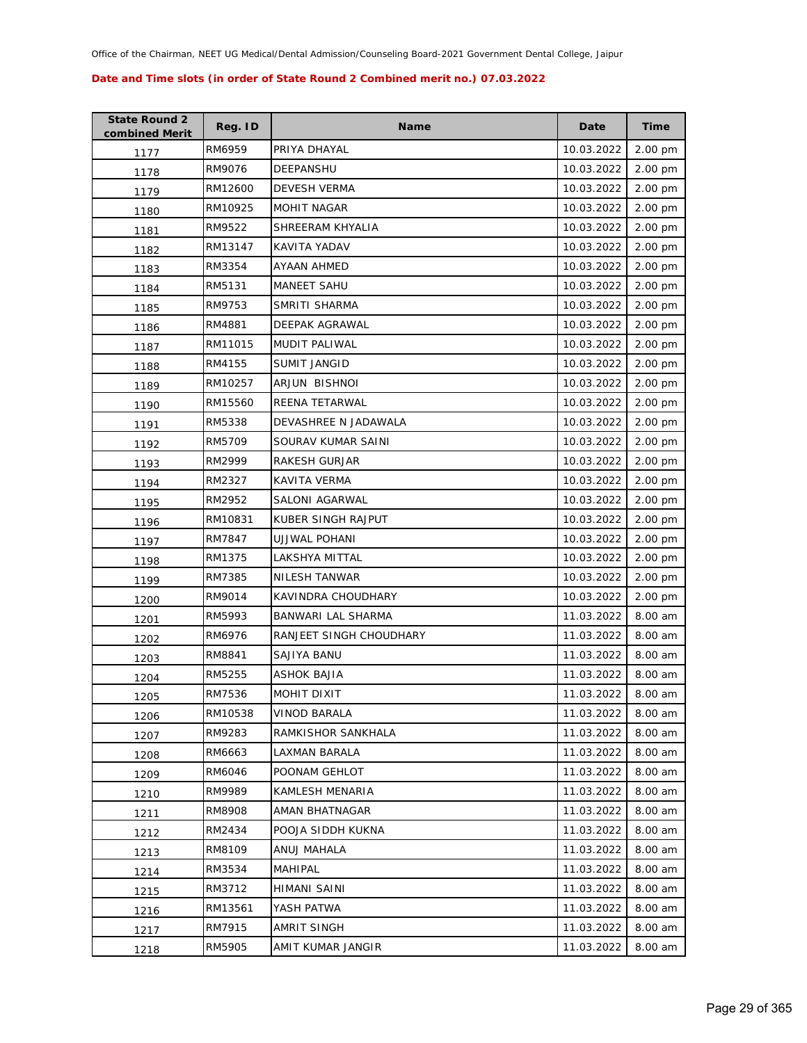| <b>State Round 2</b><br>combined Merit | Reg. ID | <b>Name</b>             | Date       | <b>Time</b> |
|----------------------------------------|---------|-------------------------|------------|-------------|
| 1177                                   | RM6959  | PRIYA DHAYAL            | 10.03.2022 | 2.00 pm     |
| 1178                                   | RM9076  | DEEPANSHU               | 10.03.2022 | 2.00 pm     |
| 1179                                   | RM12600 | <b>DEVESH VERMA</b>     | 10.03.2022 | 2.00 pm     |
| 1180                                   | RM10925 | <b>MOHIT NAGAR</b>      | 10.03.2022 | 2.00 pm     |
| 1181                                   | RM9522  | SHREERAM KHYALIA        | 10.03.2022 | 2.00 pm     |
| 1182                                   | RM13147 | KAVITA YADAV            | 10.03.2022 | 2.00 pm     |
| 1183                                   | RM3354  | AYAAN AHMED             | 10.03.2022 | 2.00 pm     |
| 1184                                   | RM5131  | <b>MANEET SAHU</b>      | 10.03.2022 | 2.00 pm     |
| 1185                                   | RM9753  | SMRITI SHARMA           | 10.03.2022 | 2.00 pm     |
| 1186                                   | RM4881  | DEEPAK AGRAWAL          | 10.03.2022 | 2.00 pm     |
| 1187                                   | RM11015 | MUDIT PALIWAL           | 10.03.2022 | 2.00 pm     |
| 1188                                   | RM4155  | SUMIT JANGID            | 10.03.2022 | 2.00 pm     |
| 1189                                   | RM10257 | ARJUN BISHNOI           | 10.03.2022 | 2.00 pm     |
| 1190                                   | RM15560 | REENA TETARWAL          | 10.03.2022 | 2.00 pm     |
| 1191                                   | RM5338  | DEVASHREE N JADAWALA    | 10.03.2022 | 2.00 pm     |
| 1192                                   | RM5709  | SOURAV KUMAR SAINI      | 10.03.2022 | 2.00 pm     |
| 1193                                   | RM2999  | RAKESH GURJAR           | 10.03.2022 | 2.00 pm     |
| 1194                                   | RM2327  | <b>KAVITA VERMA</b>     | 10.03.2022 | 2.00 pm     |
| 1195                                   | RM2952  | SALONI AGARWAL          | 10.03.2022 | 2.00 pm     |
| 1196                                   | RM10831 | KUBER SINGH RAJPUT      | 10.03.2022 | 2.00 pm     |
| 1197                                   | RM7847  | UJJWAL POHANI           | 10.03.2022 | 2.00 pm     |
| 1198                                   | RM1375  | LAKSHYA MITTAL          | 10.03.2022 | 2.00 pm     |
| 1199                                   | RM7385  | NILESH TANWAR           | 10.03.2022 | 2.00 pm     |
| 1200                                   | RM9014  | KAVINDRA CHOUDHARY      | 10.03.2022 | 2.00 pm     |
| 1201                                   | RM5993  | BANWARI LAL SHARMA      | 11.03.2022 | 8.00 am     |
| 1202                                   | RM6976  | RANJEET SINGH CHOUDHARY | 11.03.2022 | 8.00 am     |
| 1203                                   | RM8841  | SAJIYA BANU             | 11.03.2022 | 8.00 am     |
| 1204                                   | RM5255  | <b>ASHOK BAJIA</b>      | 11.03.2022 | 8.00 am     |
| 1205                                   | RM7536  | MOHIT DIXIT             | 11.03.2022 | 8.00 am     |
| 1206                                   | RM10538 | VINOD BARALA            | 11.03.2022 | 8.00 am     |
| 1207                                   | RM9283  | RAMKISHOR SANKHALA      | 11.03.2022 | 8.00 am     |
| 1208                                   | RM6663  | LAXMAN BARALA           | 11.03.2022 | 8.00 am     |
| 1209                                   | RM6046  | POONAM GEHLOT           | 11.03.2022 | 8.00 am     |
| 1210                                   | RM9989  | KAMLESH MENARIA         | 11.03.2022 | 8.00 am     |
| 1211                                   | RM8908  | AMAN BHATNAGAR          | 11.03.2022 | 8.00 am     |
| 1212                                   | RM2434  | POOJA SIDDH KUKNA       | 11.03.2022 | 8.00 am     |
| 1213                                   | RM8109  | ANUJ MAHALA             | 11.03.2022 | 8.00 am     |
| 1214                                   | RM3534  | MAHIPAL                 | 11.03.2022 | 8.00 am     |
| 1215                                   | RM3712  | HIMANI SAINI            | 11.03.2022 | 8.00 am     |
| 1216                                   | RM13561 | YASH PATWA              | 11.03.2022 | 8.00 am     |
| 1217                                   | RM7915  | AMRIT SINGH             | 11.03.2022 | 8.00 am     |
| 1218                                   | RM5905  | AMIT KUMAR JANGIR       | 11.03.2022 | 8.00 am     |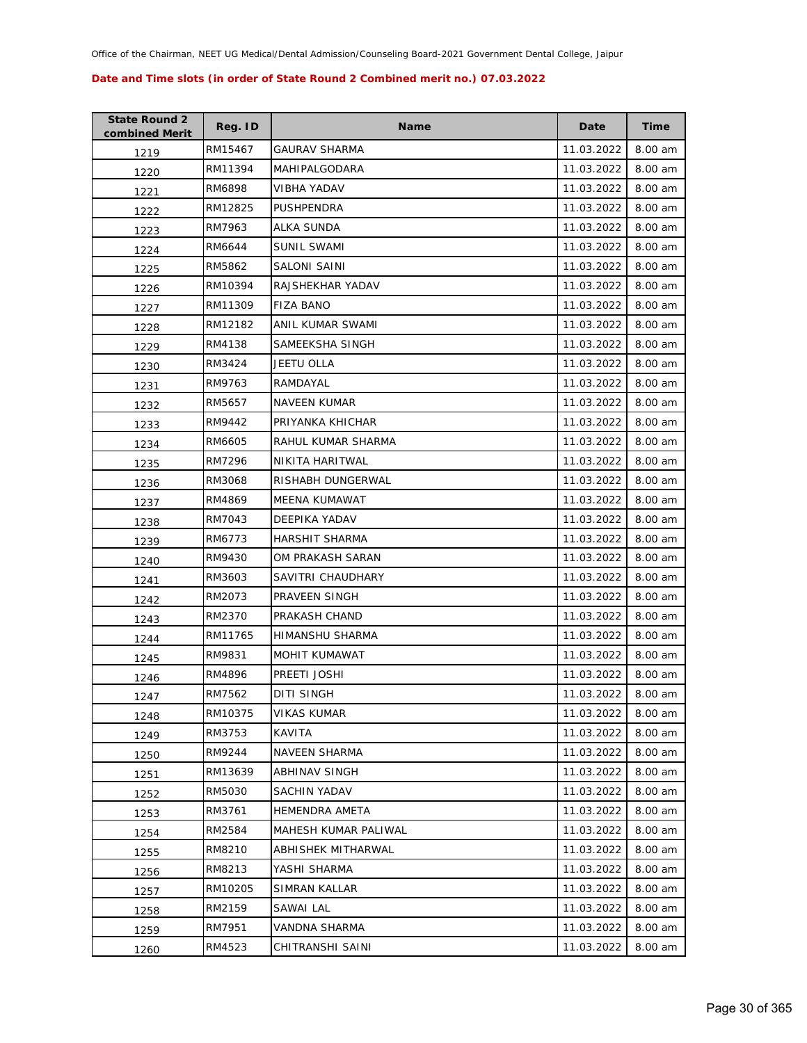| <b>State Round 2</b><br>combined Merit | Reg. ID | <b>Name</b>           | Date       | <b>Time</b> |
|----------------------------------------|---------|-----------------------|------------|-------------|
| 1219                                   | RM15467 | <b>GAURAV SHARMA</b>  | 11.03.2022 | 8.00 am     |
| 1220                                   | RM11394 | MAHIPALGODARA         | 11.03.2022 | 8.00 am     |
| 1221                                   | RM6898  | VIBHA YADAV           | 11.03.2022 | 8.00 am     |
| 1222                                   | RM12825 | PUSHPENDRA            | 11.03.2022 | 8.00 am     |
| 1223                                   | RM7963  | ALKA SUNDA            | 11.03.2022 | 8.00 am     |
| 1224                                   | RM6644  | <b>SUNIL SWAMI</b>    | 11.03.2022 | 8.00 am     |
| 1225                                   | RM5862  | <b>SALONI SAINI</b>   | 11.03.2022 | 8.00 am     |
| 1226                                   | RM10394 | RAJSHEKHAR YADAV      | 11.03.2022 | 8.00 am     |
| 1227                                   | RM11309 | <b>FIZA BANO</b>      | 11.03.2022 | 8.00 am     |
| 1228                                   | RM12182 | ANIL KUMAR SWAMI      | 11.03.2022 | 8.00 am     |
| 1229                                   | RM4138  | SAMEEKSHA SINGH       | 11.03.2022 | 8.00 am     |
| 1230                                   | RM3424  | JEETU OLLA            | 11.03.2022 | 8.00 am     |
| 1231                                   | RM9763  | RAMDAYAL              | 11.03.2022 | 8.00 am     |
| 1232                                   | RM5657  | NAVEEN KUMAR          | 11.03.2022 | 8.00 am     |
| 1233                                   | RM9442  | PRIYANKA KHICHAR      | 11.03.2022 | 8.00 am     |
| 1234                                   | RM6605  | RAHUL KUMAR SHARMA    | 11.03.2022 | 8.00 am     |
| 1235                                   | RM7296  | NIKITA HARITWAL       | 11.03.2022 | 8.00 am     |
| 1236                                   | RM3068  | RISHABH DUNGERWAL     | 11.03.2022 | 8.00 am     |
| 1237                                   | RM4869  | MEENA KUMAWAT         | 11.03.2022 | 8.00 am     |
| 1238                                   | RM7043  | DEEPIKA YADAV         | 11.03.2022 | 8.00 am     |
| 1239                                   | RM6773  | HARSHIT SHARMA        | 11.03.2022 | 8.00 am     |
| 1240                                   | RM9430  | OM PRAKASH SARAN      | 11.03.2022 | 8.00 am     |
| 1241                                   | RM3603  | SAVITRI CHAUDHARY     | 11.03.2022 | 8.00 am     |
| 1242                                   | RM2073  | PRAVEEN SINGH         | 11.03.2022 | 8.00 am     |
| 1243                                   | RM2370  | PRAKASH CHAND         | 11.03.2022 | 8.00 am     |
| 1244                                   | RM11765 | HIMANSHU SHARMA       | 11.03.2022 | 8.00 am     |
| 1245                                   | RM9831  | MOHIT KUMAWAT         | 11.03.2022 | 8.00 am     |
| 1246                                   | RM4896  | PREETI JOSHI          | 11.03.2022 | 8.00 am     |
| 1247                                   | RM7562  | <b>DITI SINGH</b>     | 11.03.2022 | 8.00 am     |
| 1248                                   | RM10375 | <b>VIKAS KUMAR</b>    | 11.03.2022 | 8.00 am     |
| 1249                                   | RM3753  | KAVITA                | 11.03.2022 | 8.00 am     |
| 1250                                   | RM9244  | <b>NAVEEN SHARMA</b>  | 11.03.2022 | 8.00 am     |
| 1251                                   | RM13639 | <b>ABHINAV SINGH</b>  | 11.03.2022 | 8.00 am     |
| 1252                                   | RM5030  | SACHIN YADAV          | 11.03.2022 | 8.00 am     |
| 1253                                   | RM3761  | <b>HEMENDRA AMETA</b> | 11.03.2022 | 8.00 am     |
| 1254                                   | RM2584  | MAHESH KUMAR PALIWAL  | 11.03.2022 | 8.00 am     |
| 1255                                   | RM8210  | ABHISHEK MITHARWAL    | 11.03.2022 | 8.00 am     |
| 1256                                   | RM8213  | YASHI SHARMA          | 11.03.2022 | 8.00 am     |
| 1257                                   | RM10205 | <b>SIMRAN KALLAR</b>  | 11.03.2022 | 8.00 am     |
| 1258                                   | RM2159  | SAWAI LAL             | 11.03.2022 | 8.00 am     |
| 1259                                   | RM7951  | VANDNA SHARMA         | 11.03.2022 | 8.00 am     |
| 1260                                   | RM4523  | CHITRANSHI SAINI      | 11.03.2022 | 8.00 am     |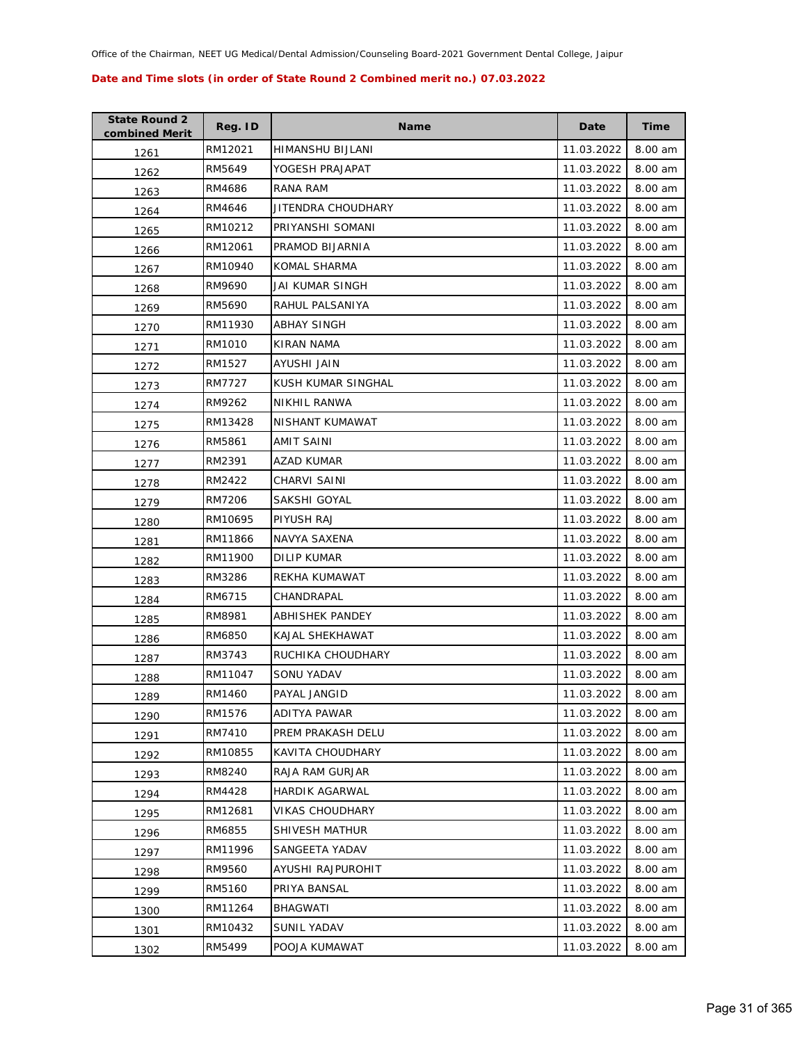| <b>State Round 2</b><br>combined Merit | Reg. ID | <b>Name</b>            | Date       | <b>Time</b> |
|----------------------------------------|---------|------------------------|------------|-------------|
| 1261                                   | RM12021 | HIMANSHU BIJLANI       | 11.03.2022 | 8.00 am     |
| 1262                                   | RM5649  | YOGESH PRAJAPAT        | 11.03.2022 | 8.00 am     |
| 1263                                   | RM4686  | RANA RAM               | 11.03.2022 | 8.00 am     |
| 1264                                   | RM4646  | JITENDRA CHOUDHARY     | 11.03.2022 | 8.00 am     |
| 1265                                   | RM10212 | PRIYANSHI SOMANI       | 11.03.2022 | 8.00 am     |
| 1266                                   | RM12061 | PRAMOD BIJARNIA        | 11.03.2022 | 8.00 am     |
| 1267                                   | RM10940 | KOMAL SHARMA           | 11.03.2022 | 8.00 am     |
| 1268                                   | RM9690  | JAI KUMAR SINGH        | 11.03.2022 | 8.00 am     |
| 1269                                   | RM5690  | RAHUL PALSANIYA        | 11.03.2022 | 8.00 am     |
| 1270                                   | RM11930 | ABHAY SINGH            | 11.03.2022 | 8.00 am     |
| 1271                                   | RM1010  | KIRAN NAMA             | 11.03.2022 | 8.00 am     |
| 1272                                   | RM1527  | AYUSHI JAIN            | 11.03.2022 | 8.00 am     |
| 1273                                   | RM7727  | KUSH KUMAR SINGHAL     | 11.03.2022 | 8.00 am     |
| 1274                                   | RM9262  | <b>NIKHIL RANWA</b>    | 11.03.2022 | 8.00 am     |
| 1275                                   | RM13428 | NISHANT KUMAWAT        | 11.03.2022 | 8.00 am     |
| 1276                                   | RM5861  | AMIT SAINI             | 11.03.2022 | 8.00 am     |
| 1277                                   | RM2391  | AZAD KUMAR             | 11.03.2022 | 8.00 am     |
| 1278                                   | RM2422  | CHARVI SAINI           | 11.03.2022 | 8.00 am     |
| 1279                                   | RM7206  | SAKSHI GOYAL           | 11.03.2022 | 8.00 am     |
| 1280                                   | RM10695 | PIYUSH RAJ             | 11.03.2022 | 8.00 am     |
| 1281                                   | RM11866 | NAVYA SAXENA           | 11.03.2022 | 8.00 am     |
| 1282                                   | RM11900 | <b>DILIP KUMAR</b>     | 11.03.2022 | 8.00 am     |
| 1283                                   | RM3286  | REKHA KUMAWAT          | 11.03.2022 | 8.00 am     |
| 1284                                   | RM6715  | CHANDRAPAL             | 11.03.2022 | 8.00 am     |
| 1285                                   | RM8981  | ABHISHEK PANDEY        | 11.03.2022 | 8.00 am     |
| 1286                                   | RM6850  | KAJAL SHEKHAWAT        | 11.03.2022 | 8.00 am     |
| 1287                                   | RM3743  | RUCHIKA CHOUDHARY      | 11.03.2022 | 8.00 am     |
| 1288                                   | RM11047 | SONU YADAV             | 11.03.2022 | 8.00 am     |
| 1289                                   | RM1460  | PAYAL JANGID           | 11.03.2022 | 8.00 am     |
| 1290                                   | RM1576  | ADITYA PAWAR           | 11.03.2022 | 8.00 am     |
| 1291                                   | RM7410  | PREM PRAKASH DELU      | 11.03.2022 | 8.00 am     |
| 1292                                   | RM10855 | KAVITA CHOUDHARY       | 11.03.2022 | 8.00 am     |
| 1293                                   | RM8240  | RAJA RAM GURJAR        | 11.03.2022 | 8.00 am     |
| 1294                                   | RM4428  | HARDIK AGARWAL         | 11.03.2022 | 8.00 am     |
| 1295                                   | RM12681 | <b>VIKAS CHOUDHARY</b> | 11.03.2022 | 8.00 am     |
| 1296                                   | RM6855  | SHIVESH MATHUR         | 11.03.2022 | 8.00 am     |
| 1297                                   | RM11996 | SANGEETA YADAV         | 11.03.2022 | 8.00 am     |
| 1298                                   | RM9560  | AYUSHI RAJPUROHIT      | 11.03.2022 | 8.00 am     |
| 1299                                   | RM5160  | PRIYA BANSAL           | 11.03.2022 | 8.00 am     |
| 1300                                   | RM11264 | <b>BHAGWATI</b>        | 11.03.2022 | 8.00 am     |
| 1301                                   | RM10432 | <b>SUNIL YADAV</b>     | 11.03.2022 | 8.00 am     |
| 1302                                   | RM5499  | POOJA KUMAWAT          | 11.03.2022 | 8.00 am     |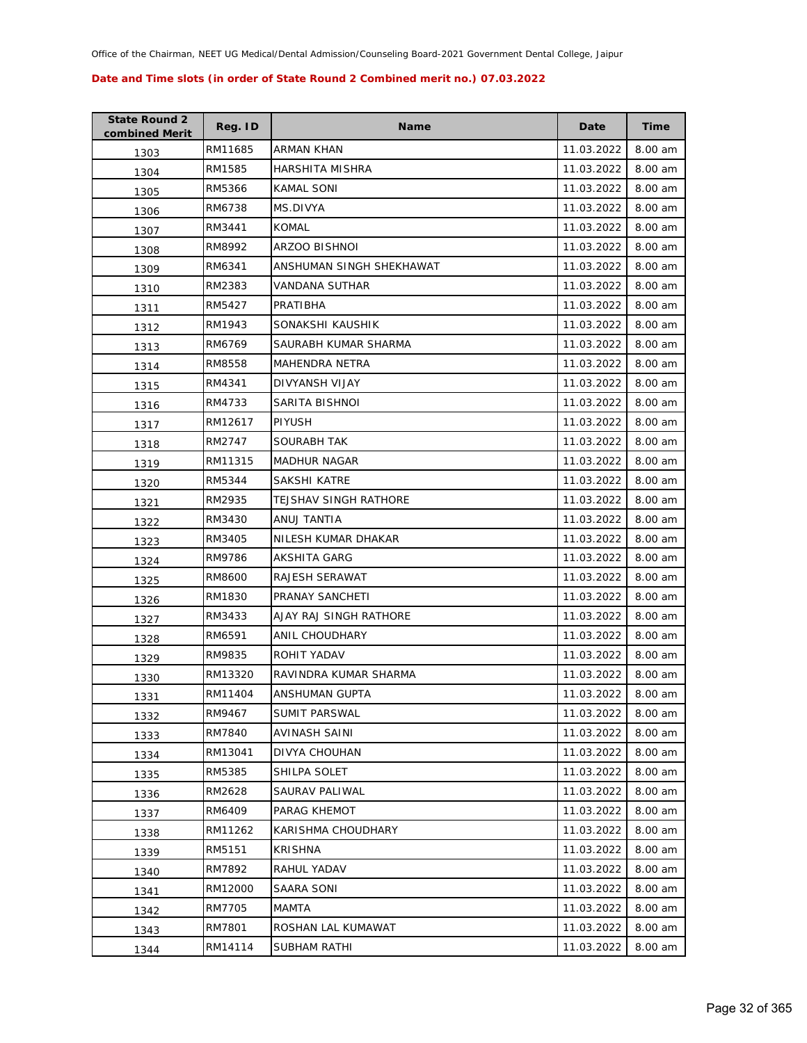| <b>State Round 2</b><br>combined Merit | Reg. ID | <b>Name</b>              | Date       | <b>Time</b> |
|----------------------------------------|---------|--------------------------|------------|-------------|
| 1303                                   | RM11685 | ARMAN KHAN               | 11.03.2022 | 8.00 am     |
| 1304                                   | RM1585  | HARSHITA MISHRA          | 11.03.2022 | 8.00 am     |
| 1305                                   | RM5366  | <b>KAMAL SONI</b>        | 11.03.2022 | 8.00 am     |
| 1306                                   | RM6738  | MS.DIVYA                 | 11.03.2022 | 8.00 am     |
| 1307                                   | RM3441  | <b>KOMAL</b>             | 11.03.2022 | 8.00 am     |
| 1308                                   | RM8992  | ARZOO BISHNOI            | 11.03.2022 | 8.00 am     |
| 1309                                   | RM6341  | ANSHUMAN SINGH SHEKHAWAT | 11.03.2022 | 8.00 am     |
| 1310                                   | RM2383  | VANDANA SUTHAR           | 11.03.2022 | 8.00 am     |
| 1311                                   | RM5427  | PRATIBHA                 | 11.03.2022 | 8.00 am     |
| 1312                                   | RM1943  | SONAKSHI KAUSHIK         | 11.03.2022 | 8.00 am     |
| 1313                                   | RM6769  | SAURABH KUMAR SHARMA     | 11.03.2022 | 8.00 am     |
| 1314                                   | RM8558  | MAHENDRA NETRA           | 11.03.2022 | 8.00 am     |
| 1315                                   | RM4341  | DIVYANSH VIJAY           | 11.03.2022 | 8.00 am     |
| 1316                                   | RM4733  | SARITA BISHNOI           | 11.03.2022 | 8.00 am     |
| 1317                                   | RM12617 | <b>PIYUSH</b>            | 11.03.2022 | 8.00 am     |
| 1318                                   | RM2747  | SOURABH TAK              | 11.03.2022 | 8.00 am     |
| 1319                                   | RM11315 | <b>MADHUR NAGAR</b>      | 11.03.2022 | 8.00 am     |
| 1320                                   | RM5344  | SAKSHI KATRE             | 11.03.2022 | 8.00 am     |
| 1321                                   | RM2935  | TEJSHAV SINGH RATHORE    | 11.03.2022 | 8.00 am     |
| 1322                                   | RM3430  | ANUJ TANTIA              | 11.03.2022 | 8.00 am     |
| 1323                                   | RM3405  | NILESH KUMAR DHAKAR      | 11.03.2022 | 8.00 am     |
| 1324                                   | RM9786  | AKSHITA GARG             | 11.03.2022 | 8.00 am     |
| 1325                                   | RM8600  | RAJESH SERAWAT           | 11.03.2022 | 8.00 am     |
| 1326                                   | RM1830  | PRANAY SANCHETI          | 11.03.2022 | 8.00 am     |
| 1327                                   | RM3433  | AJAY RAJ SINGH RATHORE   | 11.03.2022 | 8.00 am     |
| 1328                                   | RM6591  | ANIL CHOUDHARY           | 11.03.2022 | 8.00 am     |
| 1329                                   | RM9835  | ROHIT YADAV              | 11.03.2022 | 8.00 am     |
| 1330                                   | RM13320 | RAVINDRA KUMAR SHARMA    | 11.03.2022 | 8.00 am     |
| 1331                                   | RM11404 | ANSHUMAN GUPTA           | 11.03.2022 | 8.00 am     |
| 1332                                   | RM9467  | SUMIT PARSWAL            | 11.03.2022 | 8.00 am     |
| 1333                                   | RM7840  | AVINASH SAINI            | 11.03.2022 | 8.00 am     |
| 1334                                   | RM13041 | DIVYA CHOUHAN            | 11.03.2022 | 8.00 am     |
| 1335                                   | RM5385  | SHILPA SOLET             | 11.03.2022 | 8.00 am     |
| 1336                                   | RM2628  | SAURAV PALIWAL           | 11.03.2022 | 8.00 am     |
| 1337                                   | RM6409  | PARAG KHEMOT             | 11.03.2022 | 8.00 am     |
| 1338                                   | RM11262 | KARISHMA CHOUDHARY       | 11.03.2022 | 8.00 am     |
| 1339                                   | RM5151  | <b>KRISHNA</b>           | 11.03.2022 | 8.00 am     |
| 1340                                   | RM7892  | RAHUL YADAV              | 11.03.2022 | 8.00 am     |
| 1341                                   | RM12000 | SAARA SONI               | 11.03.2022 | 8.00 am     |
| 1342                                   | RM7705  | MAMTA                    | 11.03.2022 | 8.00 am     |
| 1343                                   | RM7801  | ROSHAN LAL KUMAWAT       | 11.03.2022 | 8.00 am     |
| 1344                                   | RM14114 | SUBHAM RATHI             | 11.03.2022 | 8.00 am     |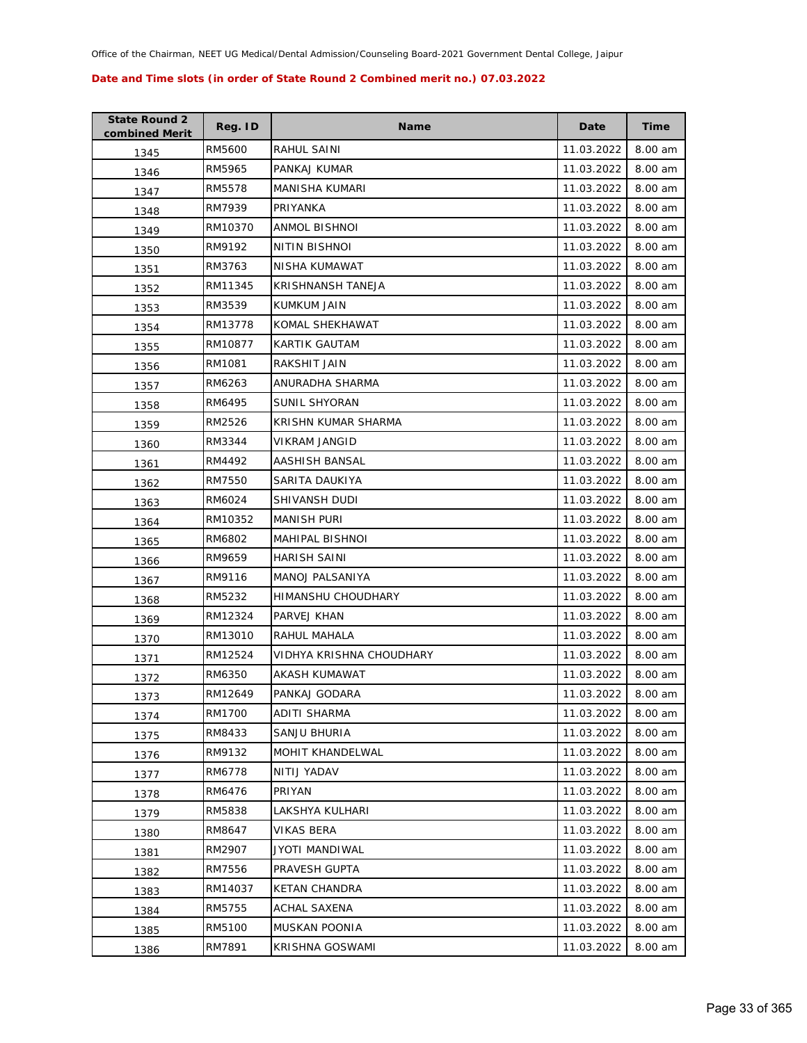| <b>State Round 2</b><br>combined Merit | Reg. ID | <b>Name</b>              | Date       | <b>Time</b> |
|----------------------------------------|---------|--------------------------|------------|-------------|
| 1345                                   | RM5600  | RAHUL SAINI              | 11.03.2022 | 8.00 am     |
| 1346                                   | RM5965  | PANKAJ KUMAR             | 11.03.2022 | 8.00 am     |
| 1347                                   | RM5578  | <b>MANISHA KUMARI</b>    | 11.03.2022 | 8.00 am     |
| 1348                                   | RM7939  | PRIYANKA                 | 11.03.2022 | 8.00 am     |
| 1349                                   | RM10370 | ANMOL BISHNOI            | 11.03.2022 | 8.00 am     |
| 1350                                   | RM9192  | NITIN BISHNOI            | 11.03.2022 | 8.00 am     |
| 1351                                   | RM3763  | NISHA KUMAWAT            | 11.03.2022 | 8.00 am     |
| 1352                                   | RM11345 | KRISHNANSH TANEJA        | 11.03.2022 | 8.00 am     |
| 1353                                   | RM3539  | KUMKUM JAIN              | 11.03.2022 | 8.00 am     |
| 1354                                   | RM13778 | KOMAL SHEKHAWAT          | 11.03.2022 | 8.00 am     |
| 1355                                   | RM10877 | KARTIK GAUTAM            | 11.03.2022 | 8.00 am     |
| 1356                                   | RM1081  | RAKSHIT JAIN             | 11.03.2022 | 8.00 am     |
| 1357                                   | RM6263  | ANURADHA SHARMA          | 11.03.2022 | 8.00 am     |
| 1358                                   | RM6495  | SUNIL SHYORAN            | 11.03.2022 | 8.00 am     |
| 1359                                   | RM2526  | KRISHN KUMAR SHARMA      | 11.03.2022 | 8.00 am     |
| 1360                                   | RM3344  | <b>VIKRAM JANGID</b>     | 11.03.2022 | 8.00 am     |
| 1361                                   | RM4492  | AASHISH BANSAL           | 11.03.2022 | 8.00 am     |
| 1362                                   | RM7550  | SARITA DAUKIYA           | 11.03.2022 | 8.00 am     |
| 1363                                   | RM6024  | SHIVANSH DUDI            | 11.03.2022 | 8.00 am     |
| 1364                                   | RM10352 | MANISH PURI              | 11.03.2022 | 8.00 am     |
| 1365                                   | RM6802  | MAHIPAL BISHNOI          | 11.03.2022 | 8.00 am     |
| 1366                                   | RM9659  | HARISH SAINI             | 11.03.2022 | 8.00 am     |
| 1367                                   | RM9116  | MANOJ PALSANIYA          | 11.03.2022 | 8.00 am     |
| 1368                                   | RM5232  | HIMANSHU CHOUDHARY       | 11.03.2022 | 8.00 am     |
| 1369                                   | RM12324 | PARVEJ KHAN              | 11.03.2022 | 8.00 am     |
| 1370                                   | RM13010 | RAHUL MAHALA             | 11.03.2022 | 8.00 am     |
| 1371                                   | RM12524 | VIDHYA KRISHNA CHOUDHARY | 11.03.2022 | 8.00 am     |
| 1372                                   | RM6350  | AKASH KUMAWAT            | 11.03.2022 | 8.00 am     |
| 1373                                   | RM12649 | PANKAJ GODARA            | 11.03.2022 | 8.00 am     |
| 1374                                   | RM1700  | ADITI SHARMA             | 11.03.2022 | 8.00 am     |
| 1375                                   | RM8433  | SANJU BHURIA             | 11.03.2022 | 8.00 am     |
| 1376                                   | RM9132  | <b>MOHIT KHANDELWAL</b>  | 11.03.2022 | 8.00 am     |
| 1377                                   | RM6778  | NITIJ YADAV              | 11.03.2022 | 8.00 am     |
| 1378                                   | RM6476  | PRIYAN                   | 11.03.2022 | 8.00 am     |
| 1379                                   | RM5838  | LAKSHYA KULHARI          | 11.03.2022 | 8.00 am     |
| 1380                                   | RM8647  | VIKAS BERA               | 11.03.2022 | 8.00 am     |
| 1381                                   | RM2907  | JYOTI MANDIWAL           | 11.03.2022 | 8.00 am     |
| 1382                                   | RM7556  | PRAVESH GUPTA            | 11.03.2022 | 8.00 am     |
| 1383                                   | RM14037 | <b>KETAN CHANDRA</b>     | 11.03.2022 | 8.00 am     |
| 1384                                   | RM5755  | ACHAL SAXENA             | 11.03.2022 | 8.00 am     |
| 1385                                   | RM5100  | MUSKAN POONIA            | 11.03.2022 | 8.00 am     |
| 1386                                   | RM7891  | KRISHNA GOSWAMI          | 11.03.2022 | 8.00 am     |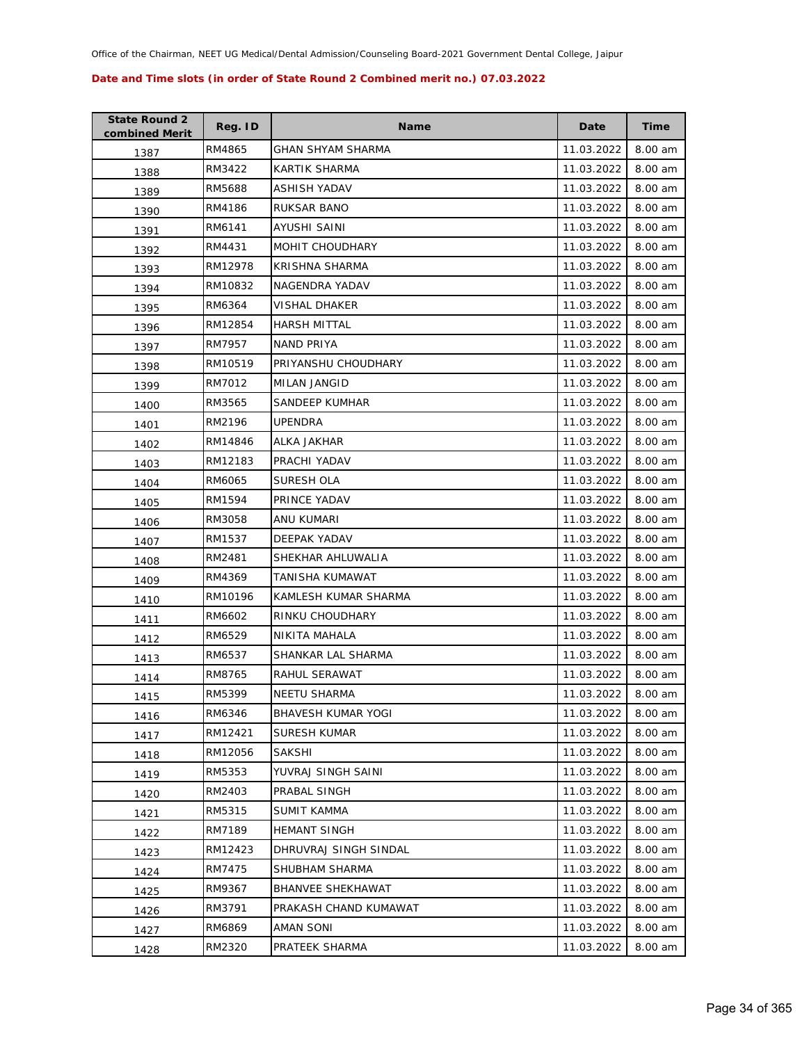| <b>State Round 2</b><br>combined Merit | Reg. ID | <b>Name</b>              | Date       | <b>Time</b> |
|----------------------------------------|---------|--------------------------|------------|-------------|
| 1387                                   | RM4865  | GHAN SHYAM SHARMA        | 11.03.2022 | 8.00 am     |
| 1388                                   | RM3422  | KARTIK SHARMA            | 11.03.2022 | 8.00 am     |
| 1389                                   | RM5688  | ASHISH YADAV             | 11.03.2022 | 8.00 am     |
| 1390                                   | RM4186  | RUKSAR BANO              | 11.03.2022 | 8.00 am     |
| 1391                                   | RM6141  | AYUSHI SAINI             | 11.03.2022 | 8.00 am     |
| 1392                                   | RM4431  | MOHIT CHOUDHARY          | 11.03.2022 | 8.00 am     |
| 1393                                   | RM12978 | KRISHNA SHARMA           | 11.03.2022 | 8.00 am     |
| 1394                                   | RM10832 | NAGENDRA YADAV           | 11.03.2022 | 8.00 am     |
| 1395                                   | RM6364  | <b>VISHAL DHAKER</b>     | 11.03.2022 | 8.00 am     |
| 1396                                   | RM12854 | <b>HARSH MITTAL</b>      | 11.03.2022 | 8.00 am     |
| 1397                                   | RM7957  | NAND PRIYA               | 11.03.2022 | 8.00 am     |
| 1398                                   | RM10519 | PRIYANSHU CHOUDHARY      | 11.03.2022 | 8.00 am     |
| 1399                                   | RM7012  | <b>MILAN JANGID</b>      | 11.03.2022 | 8.00 am     |
| 1400                                   | RM3565  | SANDEEP KUMHAR           | 11.03.2022 | 8.00 am     |
| 1401                                   | RM2196  | <b>UPENDRA</b>           | 11.03.2022 | 8.00 am     |
| 1402                                   | RM14846 | ALKA JAKHAR              | 11.03.2022 | 8.00 am     |
| 1403                                   | RM12183 | PRACHI YADAV             | 11.03.2022 | 8.00 am     |
| 1404                                   | RM6065  | SURESH OLA               | 11.03.2022 | 8.00 am     |
| 1405                                   | RM1594  | PRINCE YADAV             | 11.03.2022 | 8.00 am     |
| 1406                                   | RM3058  | ANU KUMARI               | 11.03.2022 | 8.00 am     |
| 1407                                   | RM1537  | DEEPAK YADAV             | 11.03.2022 | 8.00 am     |
| 1408                                   | RM2481  | SHEKHAR AHLUWALIA        | 11.03.2022 | 8.00 am     |
| 1409                                   | RM4369  | TANISHA KUMAWAT          | 11.03.2022 | 8.00 am     |
| 1410                                   | RM10196 | KAMLESH KUMAR SHARMA     | 11.03.2022 | 8.00 am     |
| 1411                                   | RM6602  | RINKU CHOUDHARY          | 11.03.2022 | 8.00 am     |
| 1412                                   | RM6529  | NIKITA MAHALA            | 11.03.2022 | 8.00 am     |
| 1413                                   | RM6537  | SHANKAR LAL SHARMA       | 11.03.2022 | 8.00 am     |
| 1414                                   | RM8765  | RAHUL SERAWAT            | 11.03.2022 | 8.00 am     |
| 1415                                   | RM5399  | <b>NEETU SHARMA</b>      | 11.03.2022 | 8.00 am     |
| 1416                                   | RM6346  | BHAVESH KUMAR YOGI       | 11.03.2022 | 8.00 am     |
| 1417                                   | RM12421 | SURESH KUMAR             | 11.03.2022 | 8.00 am     |
| 1418                                   | RM12056 | <b>SAKSHI</b>            | 11.03.2022 | 8.00 am     |
| 1419                                   | RM5353  | YUVRAJ SINGH SAINI       | 11.03.2022 | 8.00 am     |
| 1420                                   | RM2403  | PRABAL SINGH             | 11.03.2022 | 8.00 am     |
| 1421                                   | RM5315  | SUMIT KAMMA              | 11.03.2022 | 8.00 am     |
| 1422                                   | RM7189  | <b>HEMANT SINGH</b>      | 11.03.2022 | 8.00 am     |
| 1423                                   | RM12423 | DHRUVRAJ SINGH SINDAL    | 11.03.2022 | 8.00 am     |
| 1424                                   | RM7475  | SHUBHAM SHARMA           | 11.03.2022 | 8.00 am     |
| 1425                                   | RM9367  | <b>BHANVEE SHEKHAWAT</b> | 11.03.2022 | 8.00 am     |
| 1426                                   | RM3791  | PRAKASH CHAND KUMAWAT    | 11.03.2022 | 8.00 am     |
| 1427                                   | RM6869  | AMAN SONI                | 11.03.2022 | 8.00 am     |
| 1428                                   | RM2320  | PRATEEK SHARMA           | 11.03.2022 | 8.00 am     |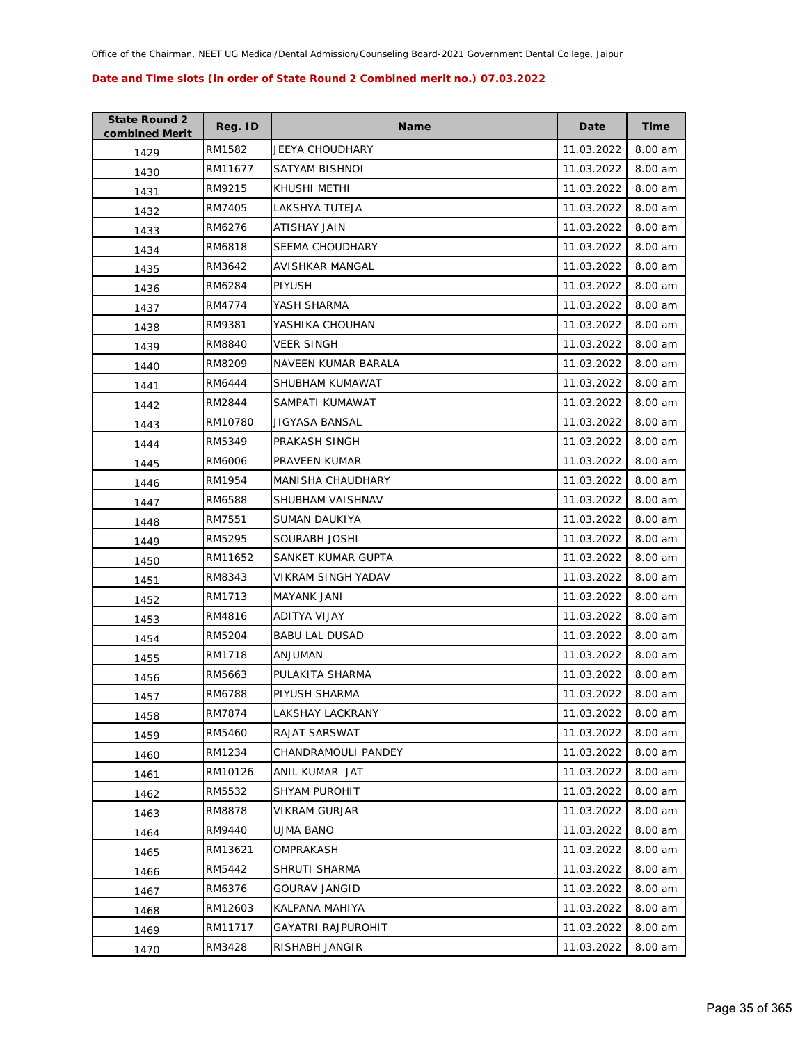| <b>State Round 2</b><br>combined Merit | Reg. ID | <b>Name</b>              | Date       | Time    |
|----------------------------------------|---------|--------------------------|------------|---------|
| 1429                                   | RM1582  | JEEYA CHOUDHARY          | 11.03.2022 | 8.00 am |
| 1430                                   | RM11677 | SATYAM BISHNOI           | 11.03.2022 | 8.00 am |
| 1431                                   | RM9215  | KHUSHI METHI             | 11.03.2022 | 8.00 am |
| 1432                                   | RM7405  | LAKSHYA TUTEJA           | 11.03.2022 | 8.00 am |
| 1433                                   | RM6276  | ATISHAY JAIN             | 11.03.2022 | 8.00 am |
| 1434                                   | RM6818  | <b>SEEMA CHOUDHARY</b>   | 11.03.2022 | 8.00 am |
| 1435                                   | RM3642  | AVISHKAR MANGAL          | 11.03.2022 | 8.00 am |
| 1436                                   | RM6284  | <b>PIYUSH</b>            | 11.03.2022 | 8.00 am |
| 1437                                   | RM4774  | YASH SHARMA              | 11.03.2022 | 8.00 am |
| 1438                                   | RM9381  | YASHIKA CHOUHAN          | 11.03.2022 | 8.00 am |
| 1439                                   | RM8840  | <b>VEER SINGH</b>        | 11.03.2022 | 8.00 am |
| 1440                                   | RM8209  | NAVEEN KUMAR BARALA      | 11.03.2022 | 8.00 am |
| 1441                                   | RM6444  | SHUBHAM KUMAWAT          | 11.03.2022 | 8.00 am |
| 1442                                   | RM2844  | SAMPATI KUMAWAT          | 11.03.2022 | 8.00 am |
| 1443                                   | RM10780 | JIGYASA BANSAL           | 11.03.2022 | 8.00 am |
| 1444                                   | RM5349  | PRAKASH SINGH            | 11.03.2022 | 8.00 am |
| 1445                                   | RM6006  | PRAVEEN KUMAR            | 11.03.2022 | 8.00 am |
| 1446                                   | RM1954  | <b>MANISHA CHAUDHARY</b> | 11.03.2022 | 8.00 am |
| 1447                                   | RM6588  | SHUBHAM VAISHNAV         | 11.03.2022 | 8.00 am |
| 1448                                   | RM7551  | SUMAN DAUKIYA            | 11.03.2022 | 8.00 am |
| 1449                                   | RM5295  | SOURABH JOSHI            | 11.03.2022 | 8.00 am |
| 1450                                   | RM11652 | SANKET KUMAR GUPTA       | 11.03.2022 | 8.00 am |
| 1451                                   | RM8343  | VIKRAM SINGH YADAV       | 11.03.2022 | 8.00 am |
| 1452                                   | RM1713  | MAYANK JANI              | 11.03.2022 | 8.00 am |
| 1453                                   | RM4816  | ADITYA VIJAY             | 11.03.2022 | 8.00 am |
| 1454                                   | RM5204  | <b>BABU LAL DUSAD</b>    | 11.03.2022 | 8.00 am |
| 1455                                   | RM1718  | ANJUMAN                  | 11.03.2022 | 8.00 am |
| 1456                                   | RM5663  | PULAKITA SHARMA          | 11.03.2022 | 8.00 am |
| 1457                                   | RM6788  | PIYUSH SHARMA            | 11.03.2022 | 8.00 am |
| 1458                                   | RM7874  | LAKSHAY LACKRANY         | 11.03.2022 | 8.00 am |
| 1459                                   | RM5460  | RAJAT SARSWAT            | 11.03.2022 | 8.00 am |
| 1460                                   | RM1234  | CHANDRAMOULI PANDEY      | 11.03.2022 | 8.00 am |
| 1461                                   | RM10126 | ANIL KUMAR JAT           | 11.03.2022 | 8.00 am |
| 1462                                   | RM5532  | SHYAM PUROHIT            | 11.03.2022 | 8.00 am |
| 1463                                   | RM8878  | <b>VIKRAM GURJAR</b>     | 11.03.2022 | 8.00 am |
| 1464                                   | RM9440  | <b>UJMA BANO</b>         | 11.03.2022 | 8.00 am |
| 1465                                   | RM13621 | OMPRAKASH                | 11.03.2022 | 8.00 am |
| 1466                                   | RM5442  | SHRUTI SHARMA            | 11.03.2022 | 8.00 am |
| 1467                                   | RM6376  | <b>GOURAV JANGID</b>     | 11.03.2022 | 8.00 am |
| 1468                                   | RM12603 | KALPANA MAHIYA           | 11.03.2022 | 8.00 am |
| 1469                                   | RM11717 | GAYATRI RAJPUROHIT       | 11.03.2022 | 8.00 am |
| 1470                                   | RM3428  | RISHABH JANGIR           | 11.03.2022 | 8.00 am |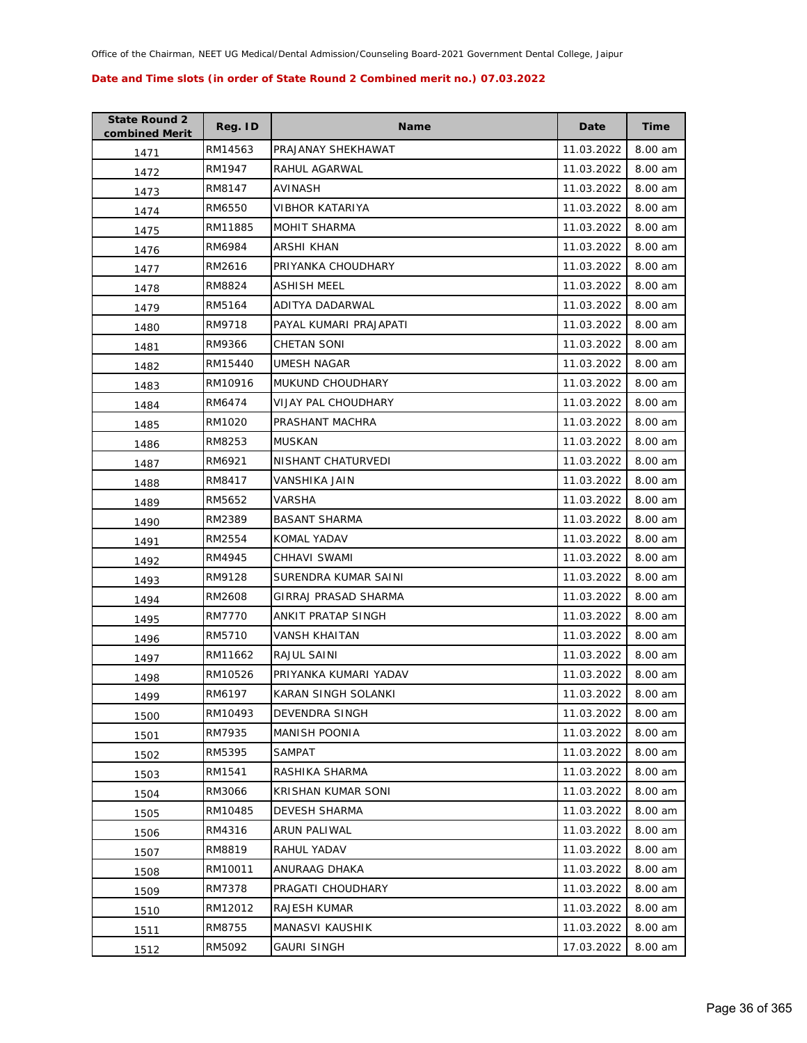| <b>State Round 2</b><br>combined Merit | Reg. ID | <b>Name</b>             | Date       | <b>Time</b> |
|----------------------------------------|---------|-------------------------|------------|-------------|
| 1471                                   | RM14563 | PRAJANAY SHEKHAWAT      | 11.03.2022 | 8.00 am     |
| 1472                                   | RM1947  | RAHUL AGARWAL           | 11.03.2022 | 8.00 am     |
| 1473                                   | RM8147  | AVINASH                 | 11.03.2022 | 8.00 am     |
| 1474                                   | RM6550  | VIBHOR KATARIYA         | 11.03.2022 | 8.00 am     |
| 1475                                   | RM11885 | <b>MOHIT SHARMA</b>     | 11.03.2022 | 8.00 am     |
| 1476                                   | RM6984  | ARSHI KHAN              | 11.03.2022 | 8.00 am     |
| 1477                                   | RM2616  | PRIYANKA CHOUDHARY      | 11.03.2022 | 8.00 am     |
| 1478                                   | RM8824  | <b>ASHISH MEEL</b>      | 11.03.2022 | 8.00 am     |
| 1479                                   | RM5164  | ADITYA DADARWAL         | 11.03.2022 | 8.00 am     |
| 1480                                   | RM9718  | PAYAL KUMARI PRAJAPATI  | 11.03.2022 | 8.00 am     |
| 1481                                   | RM9366  | CHETAN SONI             | 11.03.2022 | 8.00 am     |
| 1482                                   | RM15440 | <b>UMESH NAGAR</b>      | 11.03.2022 | 8.00 am     |
| 1483                                   | RM10916 | <b>MUKUND CHOUDHARY</b> | 11.03.2022 | 8.00 am     |
| 1484                                   | RM6474  | VIJAY PAL CHOUDHARY     | 11.03.2022 | 8.00 am     |
| 1485                                   | RM1020  | PRASHANT MACHRA         | 11.03.2022 | 8.00 am     |
| 1486                                   | RM8253  | MUSKAN                  | 11.03.2022 | 8.00 am     |
| 1487                                   | RM6921  | NISHANT CHATURVEDI      | 11.03.2022 | 8.00 am     |
| 1488                                   | RM8417  | <b>VANSHIKA JAIN</b>    | 11.03.2022 | 8.00 am     |
| 1489                                   | RM5652  | VARSHA                  | 11.03.2022 | 8.00 am     |
| 1490                                   | RM2389  | <b>BASANT SHARMA</b>    | 11.03.2022 | 8.00 am     |
| 1491                                   | RM2554  | KOMAL YADAV             | 11.03.2022 | 8.00 am     |
| 1492                                   | RM4945  | CHHAVI SWAMI            | 11.03.2022 | 8.00 am     |
| 1493                                   | RM9128  | SURENDRA KUMAR SAINI    | 11.03.2022 | 8.00 am     |
| 1494                                   | RM2608  | GIRRAJ PRASAD SHARMA    | 11.03.2022 | 8.00 am     |
| 1495                                   | RM7770  | ANKIT PRATAP SINGH      | 11.03.2022 | 8.00 am     |
| 1496                                   | RM5710  | <b>VANSH KHAITAN</b>    | 11.03.2022 | 8.00 am     |
| 1497                                   | RM11662 | RAJUL SAINI             | 11.03.2022 | 8.00 am     |
| 1498                                   | RM10526 | PRIYANKA KUMARI YADAV   | 11.03.2022 | 8.00 am     |
| 1499                                   | RM6197  | KARAN SINGH SOLANKI     | 11.03.2022 | 8.00 am     |
| 1500                                   | RM10493 | DEVENDRA SINGH          | 11.03.2022 | 8.00 am     |
| 1501                                   | RM7935  | <b>MANISH POONIA</b>    | 11.03.2022 | 8.00 am     |
| 1502                                   | RM5395  | <b>SAMPAT</b>           | 11.03.2022 | 8.00 am     |
| 1503                                   | RM1541  | RASHIKA SHARMA          | 11.03.2022 | 8.00 am     |
| 1504                                   | RM3066  | KRISHAN KUMAR SONI      | 11.03.2022 | 8.00 am     |
| 1505                                   | RM10485 | DEVESH SHARMA           | 11.03.2022 | 8.00 am     |
| 1506                                   | RM4316  | ARUN PALIWAL            | 11.03.2022 | 8.00 am     |
| 1507                                   | RM8819  | RAHUL YADAV             | 11.03.2022 | 8.00 am     |
| 1508                                   | RM10011 | ANURAAG DHAKA           | 11.03.2022 | 8.00 am     |
| 1509                                   | RM7378  | PRAGATI CHOUDHARY       | 11.03.2022 | 8.00 am     |
| 1510                                   | RM12012 | RAJESH KUMAR            | 11.03.2022 | 8.00 am     |
| 1511                                   | RM8755  | MANASVI KAUSHIK         | 11.03.2022 | 8.00 am     |
| 1512                                   | RM5092  | <b>GAURI SINGH</b>      | 17.03.2022 | 8.00 am     |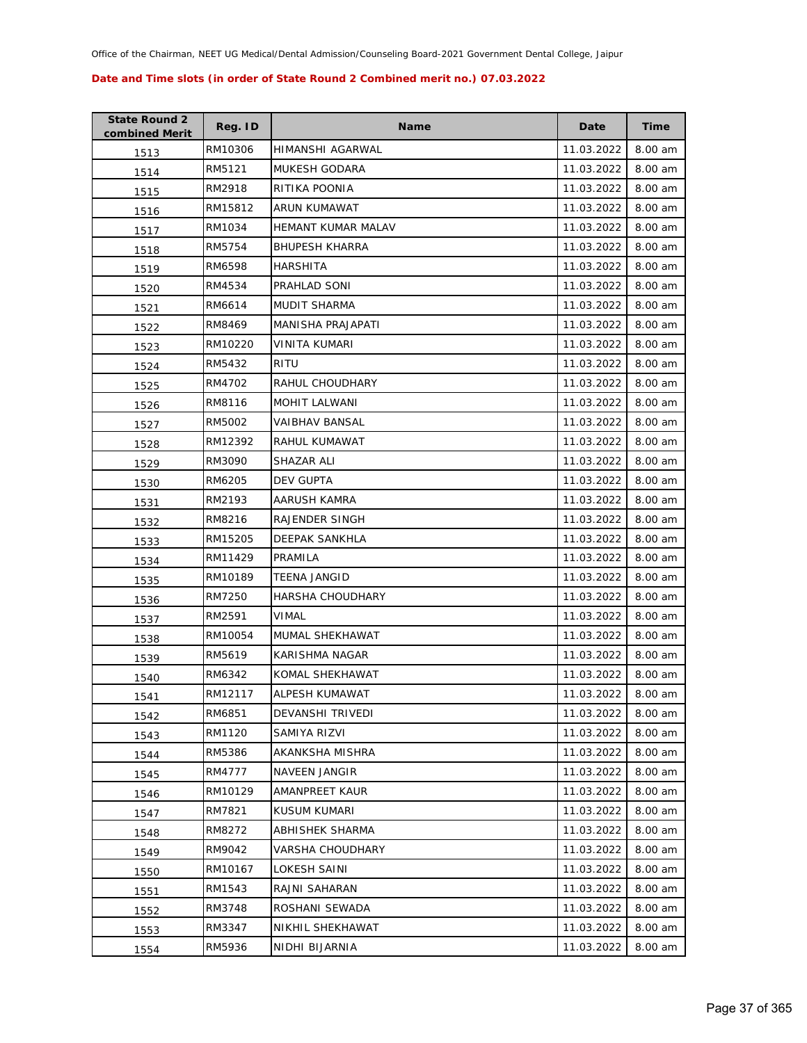| <b>State Round 2</b><br>combined Merit | Reg. ID | <b>Name</b>            | Date       | <b>Time</b> |
|----------------------------------------|---------|------------------------|------------|-------------|
| 1513                                   | RM10306 | HIMANSHI AGARWAL       | 11.03.2022 | 8.00 am     |
| 1514                                   | RM5121  | <b>MUKESH GODARA</b>   | 11.03.2022 | 8.00 am     |
| 1515                                   | RM2918  | RITIKA POONIA          | 11.03.2022 | 8.00 am     |
| 1516                                   | RM15812 | ARUN KUMAWAT           | 11.03.2022 | 8.00 am     |
| 1517                                   | RM1034  | HEMANT KUMAR MALAV     | 11.03.2022 | 8.00 am     |
| 1518                                   | RM5754  | <b>BHUPESH KHARRA</b>  | 11.03.2022 | 8.00 am     |
| 1519                                   | RM6598  | HARSHITA               | 11.03.2022 | 8.00 am     |
| 1520                                   | RM4534  | PRAHLAD SONI           | 11.03.2022 | 8.00 am     |
| 1521                                   | RM6614  | MUDIT SHARMA           | 11.03.2022 | 8.00 am     |
| 1522                                   | RM8469  | MANISHA PRAJAPATI      | 11.03.2022 | 8.00 am     |
| 1523                                   | RM10220 | VINITA KUMARI          | 11.03.2022 | 8.00 am     |
| 1524                                   | RM5432  | RITU                   | 11.03.2022 | 8.00 am     |
| 1525                                   | RM4702  | RAHUL CHOUDHARY        | 11.03.2022 | 8.00 am     |
| 1526                                   | RM8116  | <b>MOHIT LALWANI</b>   | 11.03.2022 | 8.00 am     |
| 1527                                   | RM5002  | VAIBHAV BANSAL         | 11.03.2022 | 8.00 am     |
| 1528                                   | RM12392 | RAHUL KUMAWAT          | 11.03.2022 | 8.00 am     |
| 1529                                   | RM3090  | SHAZAR ALI             | 11.03.2022 | 8.00 am     |
| 1530                                   | RM6205  | DEV GUPTA              | 11.03.2022 | 8.00 am     |
| 1531                                   | RM2193  | AARUSH KAMRA           | 11.03.2022 | 8.00 am     |
| 1532                                   | RM8216  | RAJENDER SINGH         | 11.03.2022 | 8.00 am     |
| 1533                                   | RM15205 | DEEPAK SANKHLA         | 11.03.2022 | 8.00 am     |
| 1534                                   | RM11429 | PRAMILA                | 11.03.2022 | 8.00 am     |
| 1535                                   | RM10189 | <b>TEENA JANGID</b>    | 11.03.2022 | 8.00 am     |
| 1536                                   | RM7250  | HARSHA CHOUDHARY       | 11.03.2022 | 8.00 am     |
| 1537                                   | RM2591  | VIMAL                  | 11.03.2022 | 8.00 am     |
| 1538                                   | RM10054 | MUMAL SHEKHAWAT        | 11.03.2022 | 8.00 am     |
| 1539                                   | RM5619  | KARISHMA NAGAR         | 11.03.2022 | 8.00 am     |
| 1540                                   | RM6342  | KOMAL SHEKHAWAT        | 11.03.2022 | 8.00 am     |
| 1541                                   | RM12117 | ALPESH KUMAWAT         | 11.03.2022 | 8.00 am     |
| 1542                                   | RM6851  | DEVANSHI TRIVEDI       | 11.03.2022 | 8.00 am     |
| 1543                                   | RM1120  | SAMIYA RIZVI           | 11.03.2022 | 8.00 am     |
| 1544                                   | RM5386  | AKANKSHA MISHRA        | 11.03.2022 | 8.00 am     |
| 1545                                   | RM4777  | <b>NAVEEN JANGIR</b>   | 11.03.2022 | 8.00 am     |
| 1546                                   | RM10129 | AMANPREET KAUR         | 11.03.2022 | 8.00 am     |
| 1547                                   | RM7821  | KUSUM KUMARI           | 11.03.2022 | 8.00 am     |
| 1548                                   | RM8272  | <b>ABHISHEK SHARMA</b> | 11.03.2022 | 8.00 am     |
| 1549                                   | RM9042  | VARSHA CHOUDHARY       | 11.03.2022 | 8.00 am     |
| 1550                                   | RM10167 | LOKESH SAINI           | 11.03.2022 | 8.00 am     |
| 1551                                   | RM1543  | RAJNI SAHARAN          | 11.03.2022 | 8.00 am     |
| 1552                                   | RM3748  | ROSHANI SEWADA         | 11.03.2022 | 8.00 am     |
| 1553                                   | RM3347  | NIKHIL SHEKHAWAT       | 11.03.2022 | 8.00 am     |
| 1554                                   | RM5936  | NIDHI BIJARNIA         | 11.03.2022 | 8.00 am     |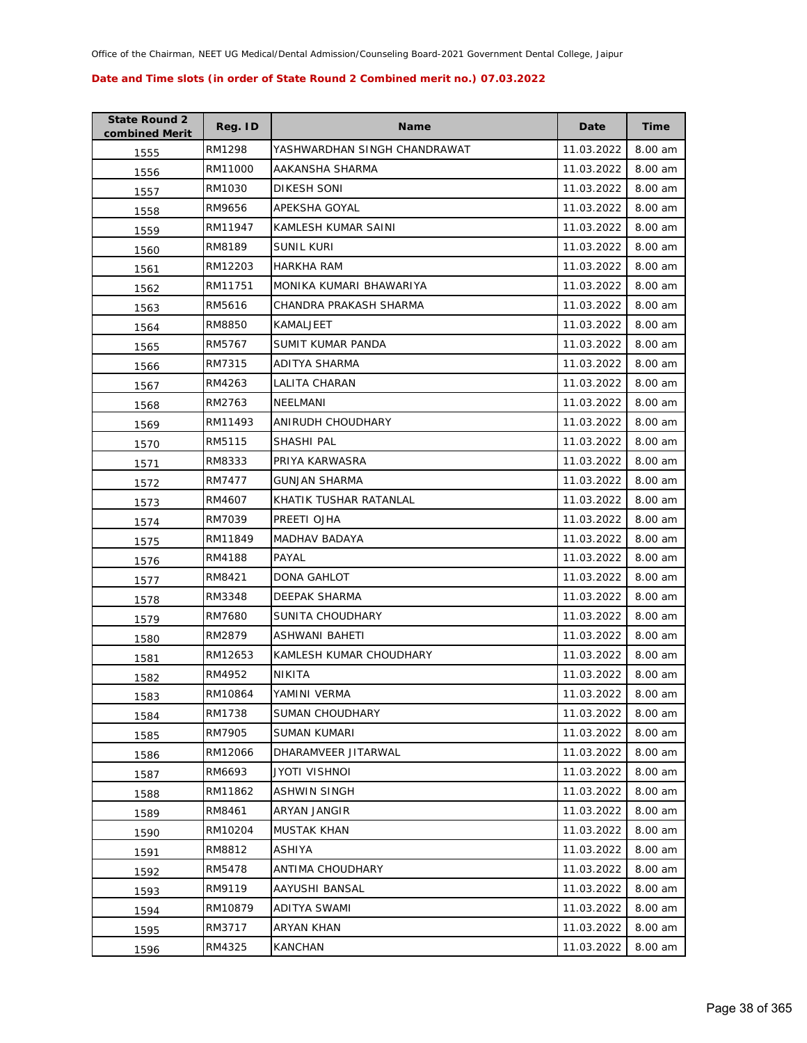| <b>State Round 2</b><br>combined Merit | Reg. ID | <b>Name</b>                  | Date       | <b>Time</b> |
|----------------------------------------|---------|------------------------------|------------|-------------|
| 1555                                   | RM1298  | YASHWARDHAN SINGH CHANDRAWAT | 11.03.2022 | 8.00 am     |
| 1556                                   | RM11000 | AAKANSHA SHARMA              | 11.03.2022 | 8.00 am     |
| 1557                                   | RM1030  | DIKESH SONI                  | 11.03.2022 | 8.00 am     |
| 1558                                   | RM9656  | APEKSHA GOYAL                | 11.03.2022 | 8.00 am     |
| 1559                                   | RM11947 | KAMLESH KUMAR SAINI          | 11.03.2022 | 8.00 am     |
| 1560                                   | RM8189  | <b>SUNIL KURI</b>            | 11.03.2022 | 8.00 am     |
| 1561                                   | RM12203 | HARKHA RAM                   | 11.03.2022 | 8.00 am     |
| 1562                                   | RM11751 | MONIKA KUMARI BHAWARIYA      | 11.03.2022 | 8.00 am     |
| 1563                                   | RM5616  | CHANDRA PRAKASH SHARMA       | 11.03.2022 | 8.00 am     |
| 1564                                   | RM8850  | KAMALJEET                    | 11.03.2022 | 8.00 am     |
| 1565                                   | RM5767  | SUMIT KUMAR PANDA            | 11.03.2022 | 8.00 am     |
| 1566                                   | RM7315  | ADITYA SHARMA                | 11.03.2022 | 8.00 am     |
| 1567                                   | RM4263  | LALITA CHARAN                | 11.03.2022 | 8.00 am     |
| 1568                                   | RM2763  | NEELMANI                     | 11.03.2022 | 8.00 am     |
| 1569                                   | RM11493 | ANIRUDH CHOUDHARY            | 11.03.2022 | 8.00 am     |
| 1570                                   | RM5115  | SHASHI PAL                   | 11.03.2022 | 8.00 am     |
| 1571                                   | RM8333  | PRIYA KARWASRA               | 11.03.2022 | 8.00 am     |
| 1572                                   | RM7477  | <b>GUNJAN SHARMA</b>         | 11.03.2022 | 8.00 am     |
| 1573                                   | RM4607  | KHATIK TUSHAR RATANLAL       | 11.03.2022 | 8.00 am     |
| 1574                                   | RM7039  | PREETI OJHA                  | 11.03.2022 | 8.00 am     |
| 1575                                   | RM11849 | MADHAV BADAYA                | 11.03.2022 | 8.00 am     |
| 1576                                   | RM4188  | PAYAL                        | 11.03.2022 | 8.00 am     |
| 1577                                   | RM8421  | DONA GAHLOT                  | 11.03.2022 | 8.00 am     |
| 1578                                   | RM3348  | DEEPAK SHARMA                | 11.03.2022 | 8.00 am     |
| 1579                                   | RM7680  | SUNITA CHOUDHARY             | 11.03.2022 | 8.00 am     |
| 1580                                   | RM2879  | ASHWANI BAHETI               | 11.03.2022 | 8.00 am     |
| 1581                                   | RM12653 | KAMLESH KUMAR CHOUDHARY      | 11.03.2022 | 8.00 am     |
| 1582                                   | RM4952  | NIKITA                       | 11.03.2022 | 8.00 am     |
| 1583                                   | RM10864 | YAMINI VERMA                 | 11.03.2022 | 8.00 am     |
| 1584                                   | RM1738  | <b>SUMAN CHOUDHARY</b>       | 11.03.2022 | 8.00 am     |
| 1585                                   | RM7905  | SUMAN KUMARI                 | 11.03.2022 | 8.00 am     |
| 1586                                   | RM12066 | DHARAMVEER JITARWAL          | 11.03.2022 | 8.00 am     |
| 1587                                   | RM6693  | JYOTI VISHNOI                | 11.03.2022 | 8.00 am     |
| 1588                                   | RM11862 | ASHWIN SINGH                 | 11.03.2022 | 8.00 am     |
| 1589                                   | RM8461  | ARYAN JANGIR                 | 11.03.2022 | 8.00 am     |
| 1590                                   | RM10204 | MUSTAK KHAN                  | 11.03.2022 | 8.00 am     |
| 1591                                   | RM8812  | ASHIYA                       | 11.03.2022 | 8.00 am     |
| 1592                                   | RM5478  | ANTIMA CHOUDHARY             | 11.03.2022 | 8.00 am     |
| 1593                                   | RM9119  | AAYUSHI BANSAL               | 11.03.2022 | 8.00 am     |
| 1594                                   | RM10879 | ADITYA SWAMI                 | 11.03.2022 | 8.00 am     |
| 1595                                   | RM3717  | ARYAN KHAN                   | 11.03.2022 | 8.00 am     |
| 1596                                   | RM4325  | <b>KANCHAN</b>               | 11.03.2022 | 8.00 am     |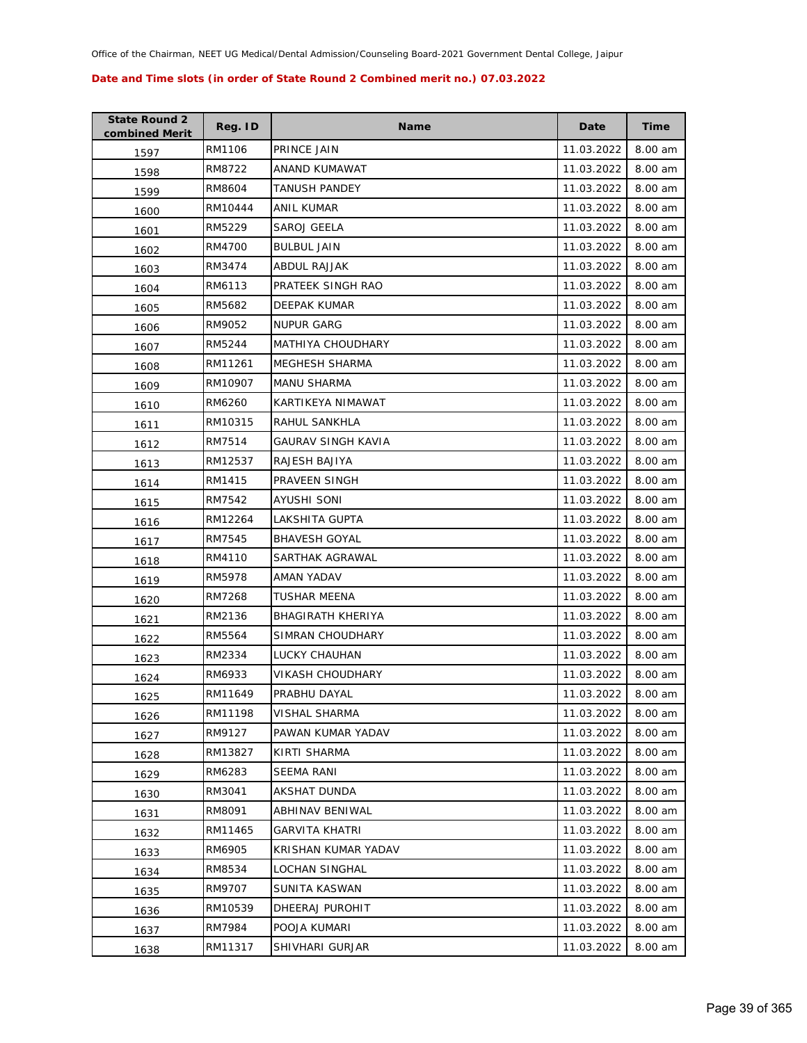| <b>State Round 2</b><br>combined Merit | Reg. ID | <b>Name</b>           | Date       | <b>Time</b> |
|----------------------------------------|---------|-----------------------|------------|-------------|
| 1597                                   | RM1106  | PRINCE JAIN           | 11.03.2022 | 8.00 am     |
| 1598                                   | RM8722  | ANAND KUMAWAT         | 11.03.2022 | 8.00 am     |
| 1599                                   | RM8604  | <b>TANUSH PANDEY</b>  | 11.03.2022 | 8.00 am     |
| 1600                                   | RM10444 | ANIL KUMAR            | 11.03.2022 | 8.00 am     |
| 1601                                   | RM5229  | SAROJ GEELA           | 11.03.2022 | 8.00 am     |
| 1602                                   | RM4700  | <b>BULBUL JAIN</b>    | 11.03.2022 | 8.00 am     |
| 1603                                   | RM3474  | ABDUL RAJJAK          | 11.03.2022 | 8.00 am     |
| 1604                                   | RM6113  | PRATEEK SINGH RAO     | 11.03.2022 | 8.00 am     |
| 1605                                   | RM5682  | DEEPAK KUMAR          | 11.03.2022 | 8.00 am     |
| 1606                                   | RM9052  | NUPUR GARG            | 11.03.2022 | 8.00 am     |
| 1607                                   | RM5244  | MATHIYA CHOUDHARY     | 11.03.2022 | 8.00 am     |
| 1608                                   | RM11261 | MEGHESH SHARMA        | 11.03.2022 | 8.00 am     |
| 1609                                   | RM10907 | <b>MANU SHARMA</b>    | 11.03.2022 | 8.00 am     |
| 1610                                   | RM6260  | KARTIKEYA NIMAWAT     | 11.03.2022 | 8.00 am     |
| 1611                                   | RM10315 | RAHUL SANKHLA         | 11.03.2022 | 8.00 am     |
| 1612                                   | RM7514  | GAURAV SINGH KAVIA    | 11.03.2022 | 8.00 am     |
| 1613                                   | RM12537 | RAJESH BAJIYA         | 11.03.2022 | 8.00 am     |
| 1614                                   | RM1415  | PRAVEEN SINGH         | 11.03.2022 | 8.00 am     |
| 1615                                   | RM7542  | AYUSHI SONI           | 11.03.2022 | 8.00 am     |
| 1616                                   | RM12264 | LAKSHITA GUPTA        | 11.03.2022 | 8.00 am     |
| 1617                                   | RM7545  | <b>BHAVESH GOYAL</b>  | 11.03.2022 | 8.00 am     |
| 1618                                   | RM4110  | SARTHAK AGRAWAL       | 11.03.2022 | 8.00 am     |
| 1619                                   | RM5978  | AMAN YADAV            | 11.03.2022 | 8.00 am     |
| 1620                                   | RM7268  | TUSHAR MEENA          | 11.03.2022 | 8.00 am     |
| 1621                                   | RM2136  | BHAGIRATH KHERIYA     | 11.03.2022 | 8.00 am     |
| 1622                                   | RM5564  | SIMRAN CHOUDHARY      | 11.03.2022 | 8.00 am     |
| 1623                                   | RM2334  | LUCKY CHAUHAN         | 11.03.2022 | 8.00 am     |
| 1624                                   | RM6933  | VIKASH CHOUDHARY      | 11.03.2022 | 8.00 am     |
| 1625                                   | RM11649 | PRABHU DAYAL          | 11.03.2022 | 8.00 am     |
| 1626                                   | RM11198 | VISHAL SHARMA         | 11.03.2022 | 8.00 am     |
| 1627                                   | RM9127  | PAWAN KUMAR YADAV     | 11.03.2022 | 8.00 am     |
| 1628                                   | RM13827 | KIRTI SHARMA          | 11.03.2022 | 8.00 am     |
| 1629                                   | RM6283  | <b>SEEMA RANI</b>     | 11.03.2022 | 8.00 am     |
| 1630                                   | RM3041  | AKSHAT DUNDA          | 11.03.2022 | 8.00 am     |
| 1631                                   | RM8091  | ABHINAV BENIWAL       | 11.03.2022 | 8.00 am     |
| 1632                                   | RM11465 | <b>GARVITA KHATRI</b> | 11.03.2022 | 8.00 am     |
| 1633                                   | RM6905  | KRISHAN KUMAR YADAV   | 11.03.2022 | 8.00 am     |
| 1634                                   | RM8534  | LOCHAN SINGHAL        | 11.03.2022 | 8.00 am     |
| 1635                                   | RM9707  | SUNITA KASWAN         | 11.03.2022 | 8.00 am     |
| 1636                                   | RM10539 | DHEERAJ PUROHIT       | 11.03.2022 | 8.00 am     |
| 1637                                   | RM7984  | POOJA KUMARI          | 11.03.2022 | 8.00 am     |
| 1638                                   | RM11317 | SHIVHARI GURJAR       | 11.03.2022 | 8.00 am     |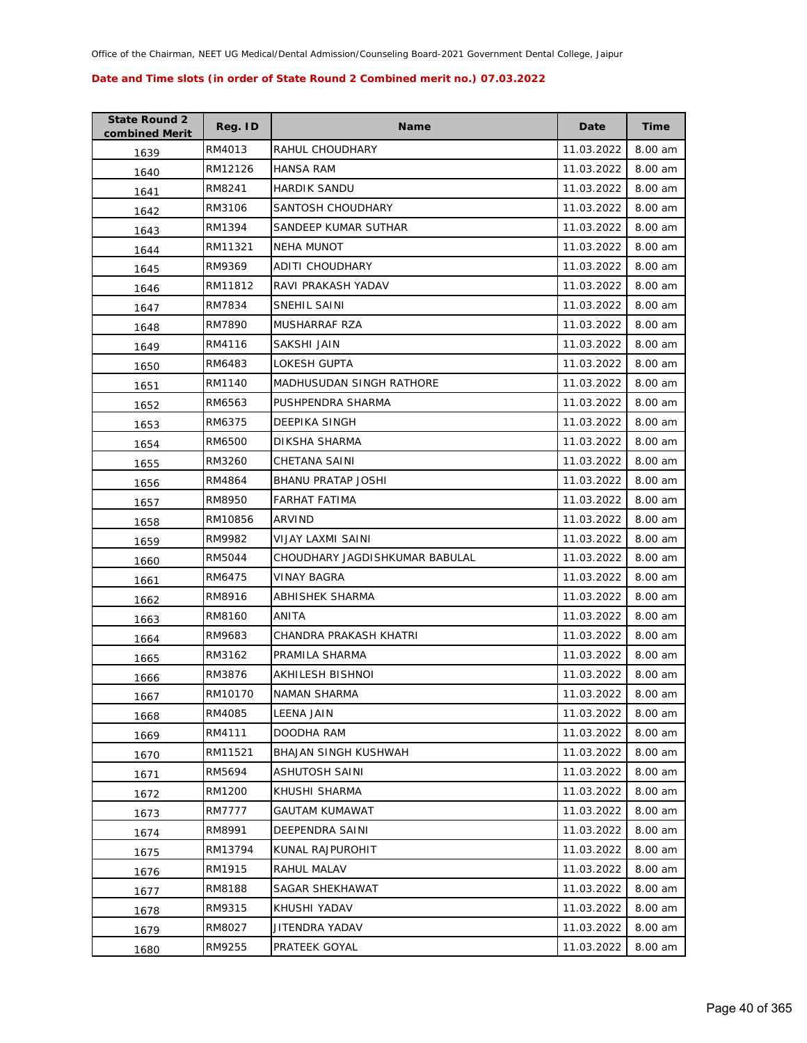| <b>State Round 2</b><br>combined Merit | Reg. ID | <b>Name</b>                     | Date       | <b>Time</b> |
|----------------------------------------|---------|---------------------------------|------------|-------------|
| 1639                                   | RM4013  | RAHUL CHOUDHARY                 | 11.03.2022 | 8.00 am     |
| 1640                                   | RM12126 | <b>HANSA RAM</b>                | 11.03.2022 | 8.00 am     |
| 1641                                   | RM8241  | HARDIK SANDU                    | 11.03.2022 | 8.00 am     |
| 1642                                   | RM3106  | SANTOSH CHOUDHARY               | 11.03.2022 | 8.00 am     |
| 1643                                   | RM1394  | SANDEEP KUMAR SUTHAR            | 11.03.2022 | 8.00 am     |
| 1644                                   | RM11321 | <b>NEHA MUNOT</b>               | 11.03.2022 | 8.00 am     |
| 1645                                   | RM9369  | ADITI CHOUDHARY                 | 11.03.2022 | 8.00 am     |
| 1646                                   | RM11812 | RAVI PRAKASH YADAV              | 11.03.2022 | 8.00 am     |
| 1647                                   | RM7834  | SNEHIL SAINI                    | 11.03.2022 | 8.00 am     |
| 1648                                   | RM7890  | MUSHARRAF RZA                   | 11.03.2022 | 8.00 am     |
| 1649                                   | RM4116  | SAKSHI JAIN                     | 11.03.2022 | 8.00 am     |
| 1650                                   | RM6483  | LOKESH GUPTA                    | 11.03.2022 | 8.00 am     |
| 1651                                   | RM1140  | <b>MADHUSUDAN SINGH RATHORE</b> | 11.03.2022 | 8.00 am     |
| 1652                                   | RM6563  | PUSHPENDRA SHARMA               | 11.03.2022 | 8.00 am     |
| 1653                                   | RM6375  | DEEPIKA SINGH                   | 11.03.2022 | 8.00 am     |
| 1654                                   | RM6500  | DIKSHA SHARMA                   | 11.03.2022 | 8.00 am     |
| 1655                                   | RM3260  | CHETANA SAINI                   | 11.03.2022 | 8.00 am     |
| 1656                                   | RM4864  | <b>BHANU PRATAP JOSHI</b>       | 11.03.2022 | 8.00 am     |
| 1657                                   | RM8950  | FARHAT FATIMA                   | 11.03.2022 | 8.00 am     |
| 1658                                   | RM10856 | ARVIND                          | 11.03.2022 | 8.00 am     |
| 1659                                   | RM9982  | VIJAY LAXMI SAINI               | 11.03.2022 | 8.00 am     |
| 1660                                   | RM5044  | CHOUDHARY JAGDISHKUMAR BABULAL  | 11.03.2022 | 8.00 am     |
| 1661                                   | RM6475  | VINAY BAGRA                     | 11.03.2022 | 8.00 am     |
| 1662                                   | RM8916  | ABHISHEK SHARMA                 | 11.03.2022 | 8.00 am     |
| 1663                                   | RM8160  | ANITA                           | 11.03.2022 | 8.00 am     |
| 1664                                   | RM9683  | CHANDRA PRAKASH KHATRI          | 11.03.2022 | 8.00 am     |
| 1665                                   | RM3162  | PRAMILA SHARMA                  | 11.03.2022 | 8.00 am     |
| 1666                                   | RM3876  | AKHILESH BISHNOI                | 11.03.2022 | 8.00 am     |
| 1667                                   | RM10170 | <b>NAMAN SHARMA</b>             | 11.03.2022 | 8.00 am     |
| 1668                                   | RM4085  | LEENA JAIN                      | 11.03.2022 | 8.00 am     |
| 1669                                   | RM4111  | DOODHA RAM                      | 11.03.2022 | 8.00 am     |
| 1670                                   | RM11521 | <b>BHAJAN SINGH KUSHWAH</b>     | 11.03.2022 | 8.00 am     |
| 1671                                   | RM5694  | <b>ASHUTOSH SAINI</b>           | 11.03.2022 | 8.00 am     |
| 1672                                   | RM1200  | KHUSHI SHARMA                   | 11.03.2022 | 8.00 am     |
| 1673                                   | RM7777  | <b>GAUTAM KUMAWAT</b>           | 11.03.2022 | 8.00 am     |
| 1674                                   | RM8991  | DEEPENDRA SAINI                 | 11.03.2022 | 8.00 am     |
| 1675                                   | RM13794 | KUNAL RAJPUROHIT                | 11.03.2022 | 8.00 am     |
| 1676                                   | RM1915  | RAHUL MALAV                     | 11.03.2022 | 8.00 am     |
| 1677                                   | RM8188  | SAGAR SHEKHAWAT                 | 11.03.2022 | 8.00 am     |
| 1678                                   | RM9315  | KHUSHI YADAV                    | 11.03.2022 | 8.00 am     |
| 1679                                   | RM8027  | JITENDRA YADAV                  | 11.03.2022 | 8.00 am     |
| 1680                                   | RM9255  | PRATEEK GOYAL                   | 11.03.2022 | 8.00 am     |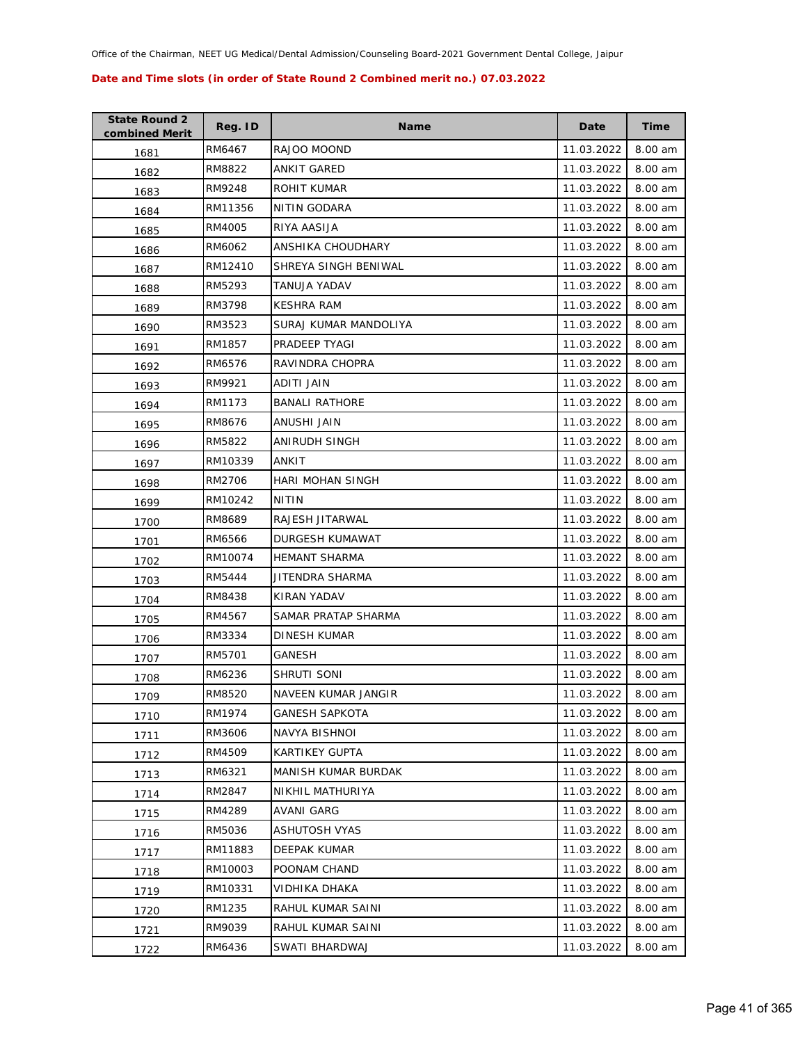| <b>State Round 2</b><br>combined Merit | Reg. ID | <b>Name</b>                | Date       | <b>Time</b> |
|----------------------------------------|---------|----------------------------|------------|-------------|
| 1681                                   | RM6467  | RAJOO MOOND                | 11.03.2022 | 8.00 am     |
| 1682                                   | RM8822  | ANKIT GARED                | 11.03.2022 | 8.00 am     |
| 1683                                   | RM9248  | ROHIT KUMAR                | 11.03.2022 | 8.00 am     |
| 1684                                   | RM11356 | NITIN GODARA               | 11.03.2022 | 8.00 am     |
| 1685                                   | RM4005  | RIYA AASIJA                | 11.03.2022 | 8.00 am     |
| 1686                                   | RM6062  | ANSHIKA CHOUDHARY          | 11.03.2022 | 8.00 am     |
| 1687                                   | RM12410 | SHREYA SINGH BENIWAL       | 11.03.2022 | 8.00 am     |
| 1688                                   | RM5293  | TANUJA YADAV               | 11.03.2022 | 8.00 am     |
| 1689                                   | RM3798  | <b>KESHRA RAM</b>          | 11.03.2022 | 8.00 am     |
| 1690                                   | RM3523  | SURAJ KUMAR MANDOLIYA      | 11.03.2022 | 8.00 am     |
| 1691                                   | RM1857  | PRADEEP TYAGI              | 11.03.2022 | 8.00 am     |
| 1692                                   | RM6576  | RAVINDRA CHOPRA            | 11.03.2022 | 8.00 am     |
| 1693                                   | RM9921  | ADITI JAIN                 | 11.03.2022 | 8.00 am     |
| 1694                                   | RM1173  | <b>BANALI RATHORE</b>      | 11.03.2022 | 8.00 am     |
| 1695                                   | RM8676  | <b>ANUSHI JAIN</b>         | 11.03.2022 | 8.00 am     |
| 1696                                   | RM5822  | ANIRUDH SINGH              | 11.03.2022 | 8.00 am     |
| 1697                                   | RM10339 | ANKIT                      | 11.03.2022 | 8.00 am     |
| 1698                                   | RM2706  | <b>HARI MOHAN SINGH</b>    | 11.03.2022 | 8.00 am     |
| 1699                                   | RM10242 | NITIN                      | 11.03.2022 | 8.00 am     |
| 1700                                   | RM8689  | RAJESH JITARWAL            | 11.03.2022 | 8.00 am     |
| 1701                                   | RM6566  | DURGESH KUMAWAT            | 11.03.2022 | 8.00 am     |
| 1702                                   | RM10074 | <b>HEMANT SHARMA</b>       | 11.03.2022 | 8.00 am     |
| 1703                                   | RM5444  | JITENDRA SHARMA            | 11.03.2022 | 8.00 am     |
| 1704                                   | RM8438  | KIRAN YADAV                | 11.03.2022 | 8.00 am     |
| 1705                                   | RM4567  | SAMAR PRATAP SHARMA        | 11.03.2022 | 8.00 am     |
| 1706                                   | RM3334  | <b>DINESH KUMAR</b>        | 11.03.2022 | 8.00 am     |
| 1707                                   | RM5701  | GANESH                     | 11.03.2022 | 8.00 am     |
| 1708                                   | RM6236  | SHRUTI SONI                | 11.03.2022 | 8.00 am     |
| 1709                                   | RM8520  | NAVEEN KUMAR JANGIR        | 11.03.2022 | 8.00 am     |
| 1710                                   | RM1974  | GANESH SAPKOTA             | 11.03.2022 | 8.00 am     |
| 1711                                   | RM3606  | <b>NAVYA BISHNOI</b>       | 11.03.2022 | 8.00 am     |
| 1712                                   | RM4509  | KARTIKEY GUPTA             | 11.03.2022 | 8.00 am     |
| 1713                                   | RM6321  | <b>MANISH KUMAR BURDAK</b> | 11.03.2022 | 8.00 am     |
| 1714                                   | RM2847  | NIKHIL MATHURIYA           | 11.03.2022 | 8.00 am     |
| 1715                                   | RM4289  | AVANI GARG                 | 11.03.2022 | 8.00 am     |
| 1716                                   | RM5036  | ASHUTOSH VYAS              | 11.03.2022 | 8.00 am     |
| 1717                                   | RM11883 | DEEPAK KUMAR               | 11.03.2022 | 8.00 am     |
| 1718                                   | RM10003 | POONAM CHAND               | 11.03.2022 | 8.00 am     |
| 1719                                   | RM10331 | VIDHIKA DHAKA              | 11.03.2022 | 8.00 am     |
| 1720                                   | RM1235  | RAHUL KUMAR SAINI          | 11.03.2022 | 8.00 am     |
| 1721                                   | RM9039  | RAHUL KUMAR SAINI          | 11.03.2022 | 8.00 am     |
| 1722                                   | RM6436  | SWATI BHARDWAJ             | 11.03.2022 | 8.00 am     |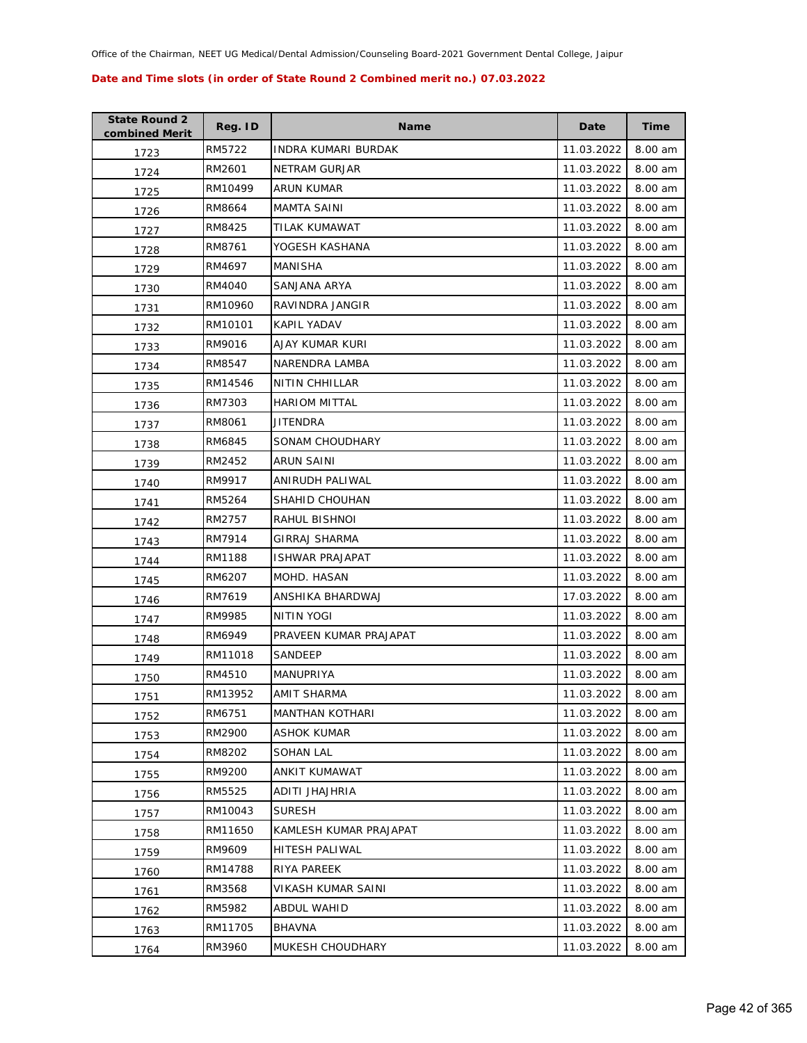| <b>State Round 2</b><br>combined Merit | Reg. ID | <b>Name</b>                | Date       | <b>Time</b> |
|----------------------------------------|---------|----------------------------|------------|-------------|
| 1723                                   | RM5722  | <b>INDRA KUMARI BURDAK</b> | 11.03.2022 | 8.00 am     |
| 1724                                   | RM2601  | <b>NETRAM GURJAR</b>       | 11.03.2022 | 8.00 am     |
| 1725                                   | RM10499 | ARUN KUMAR                 | 11.03.2022 | 8.00 am     |
| 1726                                   | RM8664  | MAMTA SAINI                | 11.03.2022 | 8.00 am     |
| 1727                                   | RM8425  | TILAK KUMAWAT              | 11.03.2022 | 8.00 am     |
| 1728                                   | RM8761  | YOGESH KASHANA             | 11.03.2022 | 8.00 am     |
| 1729                                   | RM4697  | MANISHA                    | 11.03.2022 | 8.00 am     |
| 1730                                   | RM4040  | SANJANA ARYA               | 11.03.2022 | 8.00 am     |
| 1731                                   | RM10960 | RAVINDRA JANGIR            | 11.03.2022 | 8.00 am     |
| 1732                                   | RM10101 | KAPIL YADAV                | 11.03.2022 | 8.00 am     |
| 1733                                   | RM9016  | AJAY KUMAR KURI            | 11.03.2022 | 8.00 am     |
| 1734                                   | RM8547  | NARENDRA LAMBA             | 11.03.2022 | 8.00 am     |
| 1735                                   | RM14546 | <b>NITIN CHHILLAR</b>      | 11.03.2022 | 8.00 am     |
| 1736                                   | RM7303  | <b>HARIOM MITTAL</b>       | 11.03.2022 | 8.00 am     |
| 1737                                   | RM8061  | <b>JITENDRA</b>            | 11.03.2022 | 8.00 am     |
| 1738                                   | RM6845  | SONAM CHOUDHARY            | 11.03.2022 | 8.00 am     |
| 1739                                   | RM2452  | <b>ARUN SAINI</b>          | 11.03.2022 | 8.00 am     |
| 1740                                   | RM9917  | ANIRUDH PALIWAL            | 11.03.2022 | 8.00 am     |
| 1741                                   | RM5264  | SHAHID CHOUHAN             | 11.03.2022 | 8.00 am     |
| 1742                                   | RM2757  | RAHUL BISHNOI              | 11.03.2022 | 8.00 am     |
| 1743                                   | RM7914  | GIRRAJ SHARMA              | 11.03.2022 | 8.00 am     |
| 1744                                   | RM1188  | <b>ISHWAR PRAJAPAT</b>     | 11.03.2022 | 8.00 am     |
| 1745                                   | RM6207  | MOHD. HASAN                | 11.03.2022 | 8.00 am     |
| 1746                                   | RM7619  | ANSHIKA BHARDWAJ           | 17.03.2022 | 8.00 am     |
| 1747                                   | RM9985  | NITIN YOGI                 | 11.03.2022 | 8.00 am     |
| 1748                                   | RM6949  | PRAVEEN KUMAR PRAJAPAT     | 11.03.2022 | 8.00 am     |
| 1749                                   | RM11018 | SANDEEP                    | 11.03.2022 | 8.00 am     |
| 1750                                   | RM4510  | MANUPRIYA                  | 11.03.2022 | 8.00 am     |
| 1751                                   | RM13952 | AMIT SHARMA                | 11.03.2022 | 8.00 am     |
| 1752                                   | RM6751  | <b>MANTHAN KOTHARI</b>     | 11.03.2022 | 8.00 am     |
| 1753                                   | RM2900  | <b>ASHOK KUMAR</b>         | 11.03.2022 | 8.00 am     |
| 1754                                   | RM8202  | <b>SOHAN LAL</b>           | 11.03.2022 | 8.00 am     |
| 1755                                   | RM9200  | <b>ANKIT KUMAWAT</b>       | 11.03.2022 | 8.00 am     |
| 1756                                   | RM5525  | ADITI JHAJHRIA             | 11.03.2022 | 8.00 am     |
| 1757                                   | RM10043 | <b>SURESH</b>              | 11.03.2022 | 8.00 am     |
| 1758                                   | RM11650 | KAMLESH KUMAR PRAJAPAT     | 11.03.2022 | 8.00 am     |
| 1759                                   | RM9609  | HITESH PALIWAL             | 11.03.2022 | 8.00 am     |
| 1760                                   | RM14788 | RIYA PAREEK                | 11.03.2022 | 8.00 am     |
| 1761                                   | RM3568  | VIKASH KUMAR SAINI         | 11.03.2022 | 8.00 am     |
| 1762                                   | RM5982  | ABDUL WAHID                | 11.03.2022 | 8.00 am     |
| 1763                                   | RM11705 | <b>BHAVNA</b>              | 11.03.2022 | 8.00 am     |
| 1764                                   | RM3960  | MUKESH CHOUDHARY           | 11.03.2022 | 8.00 am     |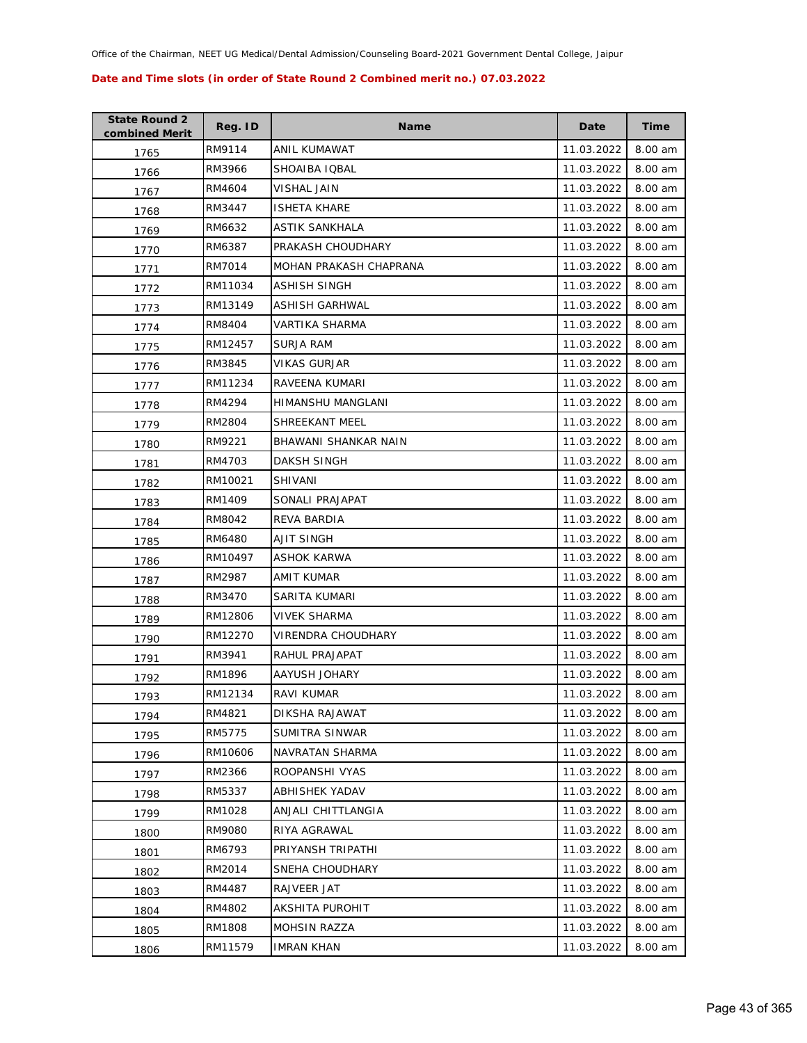| <b>State Round 2</b><br>combined Merit | Reg. ID | <b>Name</b>            | Date       | <b>Time</b> |
|----------------------------------------|---------|------------------------|------------|-------------|
| 1765                                   | RM9114  | ANIL KUMAWAT           | 11.03.2022 | 8.00 am     |
| 1766                                   | RM3966  | SHOAIBA IQBAL          | 11.03.2022 | 8.00 am     |
| 1767                                   | RM4604  | <b>VISHAL JAIN</b>     | 11.03.2022 | 8.00 am     |
| 1768                                   | RM3447  | <b>ISHETA KHARE</b>    | 11.03.2022 | 8.00 am     |
| 1769                                   | RM6632  | ASTIK SANKHALA         | 11.03.2022 | 8.00 am     |
| 1770                                   | RM6387  | PRAKASH CHOUDHARY      | 11.03.2022 | 8.00 am     |
| 1771                                   | RM7014  | MOHAN PRAKASH CHAPRANA | 11.03.2022 | 8.00 am     |
| 1772                                   | RM11034 | ASHISH SINGH           | 11.03.2022 | 8.00 am     |
| 1773                                   | RM13149 | ASHISH GARHWAL         | 11.03.2022 | 8.00 am     |
| 1774                                   | RM8404  | VARTIKA SHARMA         | 11.03.2022 | 8.00 am     |
| 1775                                   | RM12457 | SURJA RAM              | 11.03.2022 | 8.00 am     |
| 1776                                   | RM3845  | VIKAS GURJAR           | 11.03.2022 | 8.00 am     |
| 1777                                   | RM11234 | RAVEENA KUMARI         | 11.03.2022 | 8.00 am     |
| 1778                                   | RM4294  | HIMANSHU MANGLANI      | 11.03.2022 | 8.00 am     |
| 1779                                   | RM2804  | SHREEKANT MEEL         | 11.03.2022 | 8.00 am     |
| 1780                                   | RM9221  | BHAWANI SHANKAR NAIN   | 11.03.2022 | 8.00 am     |
| 1781                                   | RM4703  | DAKSH SINGH            | 11.03.2022 | 8.00 am     |
| 1782                                   | RM10021 | <b>SHIVANI</b>         | 11.03.2022 | 8.00 am     |
| 1783                                   | RM1409  | SONALI PRAJAPAT        | 11.03.2022 | 8.00 am     |
| 1784                                   | RM8042  | REVA BARDIA            | 11.03.2022 | 8.00 am     |
| 1785                                   | RM6480  | AJIT SINGH             | 11.03.2022 | 8.00 am     |
| 1786                                   | RM10497 | ASHOK KARWA            | 11.03.2022 | 8.00 am     |
| 1787                                   | RM2987  | AMIT KUMAR             | 11.03.2022 | 8.00 am     |
| 1788                                   | RM3470  | SARITA KUMARI          | 11.03.2022 | 8.00 am     |
| 1789                                   | RM12806 | VIVEK SHARMA           | 11.03.2022 | 8.00 am     |
| 1790                                   | RM12270 | VIRENDRA CHOUDHARY     | 11.03.2022 | 8.00 am     |
| 1791                                   | RM3941  | RAHUL PRAJAPAT         | 11.03.2022 | 8.00 am     |
| 1792                                   | RM1896  | AAYUSH JOHARY          | 11.03.2022 | 8.00 am     |
| 1793                                   | RM12134 | RAVI KUMAR             | 11.03.2022 | 8.00 am     |
| 1794                                   | RM4821  | DIKSHA RAJAWAT         | 11.03.2022 | 8.00 am     |
| 1795                                   | RM5775  | SUMITRA SINWAR         | 11.03.2022 | 8.00 am     |
| 1796                                   | RM10606 | NAVRATAN SHARMA        | 11.03.2022 | 8.00 am     |
| 1797                                   | RM2366  | ROOPANSHI VYAS         | 11.03.2022 | 8.00 am     |
| 1798                                   | RM5337  | ABHISHEK YADAV         | 11.03.2022 | 8.00 am     |
| 1799                                   | RM1028  | ANJALI CHITTLANGIA     | 11.03.2022 | 8.00 am     |
| 1800                                   | RM9080  | RIYA AGRAWAL           | 11.03.2022 | 8.00 am     |
| 1801                                   | RM6793  | PRIYANSH TRIPATHI      | 11.03.2022 | 8.00 am     |
| 1802                                   | RM2014  | SNEHA CHOUDHARY        | 11.03.2022 | 8.00 am     |
| 1803                                   | RM4487  | RAJVEER JAT            | 11.03.2022 | 8.00 am     |
| 1804                                   | RM4802  | AKSHITA PUROHIT        | 11.03.2022 | 8.00 am     |
| 1805                                   | RM1808  | <b>MOHSIN RAZZA</b>    | 11.03.2022 | 8.00 am     |
| 1806                                   | RM11579 | <b>IMRAN KHAN</b>      | 11.03.2022 | 8.00 am     |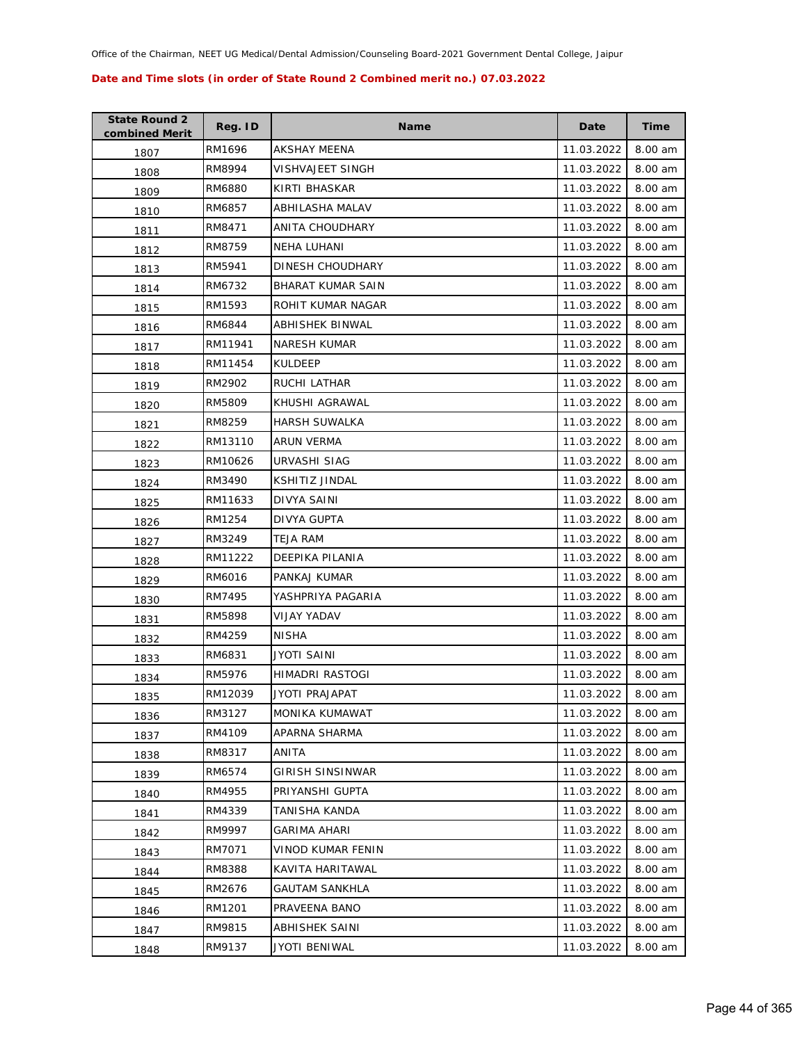| <b>State Round 2</b><br>combined Merit | Reg. ID | <b>Name</b>              | Date       | <b>Time</b> |
|----------------------------------------|---------|--------------------------|------------|-------------|
| 1807                                   | RM1696  | AKSHAY MEENA             | 11.03.2022 | 8.00 am     |
| 1808                                   | RM8994  | VISHVAJEET SINGH         | 11.03.2022 | 8.00 am     |
| 1809                                   | RM6880  | KIRTI BHASKAR            | 11.03.2022 | 8.00 am     |
| 1810                                   | RM6857  | ABHILASHA MALAV          | 11.03.2022 | 8.00 am     |
| 1811                                   | RM8471  | ANITA CHOUDHARY          | 11.03.2022 | 8.00 am     |
| 1812                                   | RM8759  | NEHA LUHANI              | 11.03.2022 | 8.00 am     |
| 1813                                   | RM5941  | DINESH CHOUDHARY         | 11.03.2022 | 8.00 am     |
| 1814                                   | RM6732  | <b>BHARAT KUMAR SAIN</b> | 11.03.2022 | 8.00 am     |
| 1815                                   | RM1593  | ROHIT KUMAR NAGAR        | 11.03.2022 | 8.00 am     |
| 1816                                   | RM6844  | ABHISHEK BINWAL          | 11.03.2022 | 8.00 am     |
| 1817                                   | RM11941 | <b>NARESH KUMAR</b>      | 11.03.2022 | 8.00 am     |
| 1818                                   | RM11454 | KULDEEP                  | 11.03.2022 | 8.00 am     |
| 1819                                   | RM2902  | RUCHI LATHAR             | 11.03.2022 | 8.00 am     |
| 1820                                   | RM5809  | KHUSHI AGRAWAL           | 11.03.2022 | 8.00 am     |
| 1821                                   | RM8259  | <b>HARSH SUWALKA</b>     | 11.03.2022 | 8.00 am     |
| 1822                                   | RM13110 | ARUN VERMA               | 11.03.2022 | 8.00 am     |
| 1823                                   | RM10626 | URVASHI SIAG             | 11.03.2022 | 8.00 am     |
| 1824                                   | RM3490  | KSHITIZ JINDAL           | 11.03.2022 | 8.00 am     |
| 1825                                   | RM11633 | DIVYA SAINI              | 11.03.2022 | 8.00 am     |
| 1826                                   | RM1254  | DIVYA GUPTA              | 11.03.2022 | 8.00 am     |
| 1827                                   | RM3249  | TEJA RAM                 | 11.03.2022 | 8.00 am     |
| 1828                                   | RM11222 | DEEPIKA PILANIA          | 11.03.2022 | 8.00 am     |
| 1829                                   | RM6016  | PANKAJ KUMAR             | 11.03.2022 | 8.00 am     |
| 1830                                   | RM7495  | YASHPRIYA PAGARIA        | 11.03.2022 | 8.00 am     |
| 1831                                   | RM5898  | VIJAY YADAV              | 11.03.2022 | 8.00 am     |
| 1832                                   | RM4259  | <b>NISHA</b>             | 11.03.2022 | 8.00 am     |
| 1833                                   | RM6831  | JYOTI SAINI              | 11.03.2022 | 8.00 am     |
| 1834                                   | RM5976  | HIMADRI RASTOGI          | 11.03.2022 | 8.00 am     |
| 1835                                   | RM12039 | JYOTI PRAJAPAT           | 11.03.2022 | 8.00 am     |
| 1836                                   | RM3127  | MONIKA KUMAWAT           | 11.03.2022 | 8.00 am     |
| 1837                                   | RM4109  | APARNA SHARMA            | 11.03.2022 | 8.00 am     |
| 1838                                   | RM8317  | ANITA                    | 11.03.2022 | 8.00 am     |
| 1839                                   | RM6574  | GIRISH SINSINWAR         | 11.03.2022 | 8.00 am     |
| 1840                                   | RM4955  | PRIYANSHI GUPTA          | 11.03.2022 | 8.00 am     |
| 1841                                   | RM4339  | TANISHA KANDA            | 11.03.2022 | 8.00 am     |
| 1842                                   | RM9997  | GARIMA AHARI             | 11.03.2022 | 8.00 am     |
| 1843                                   | RM7071  | VINOD KUMAR FENIN        | 11.03.2022 | 8.00 am     |
| 1844                                   | RM8388  | KAVITA HARITAWAL         | 11.03.2022 | 8.00 am     |
| 1845                                   | RM2676  | <b>GAUTAM SANKHLA</b>    | 11.03.2022 | 8.00 am     |
| 1846                                   | RM1201  | PRAVEENA BANO            | 11.03.2022 | 8.00 am     |
| 1847                                   | RM9815  | ABHISHEK SAINI           | 11.03.2022 | 8.00 am     |
| 1848                                   | RM9137  | JYOTI BENIWAL            | 11.03.2022 | 8.00 am     |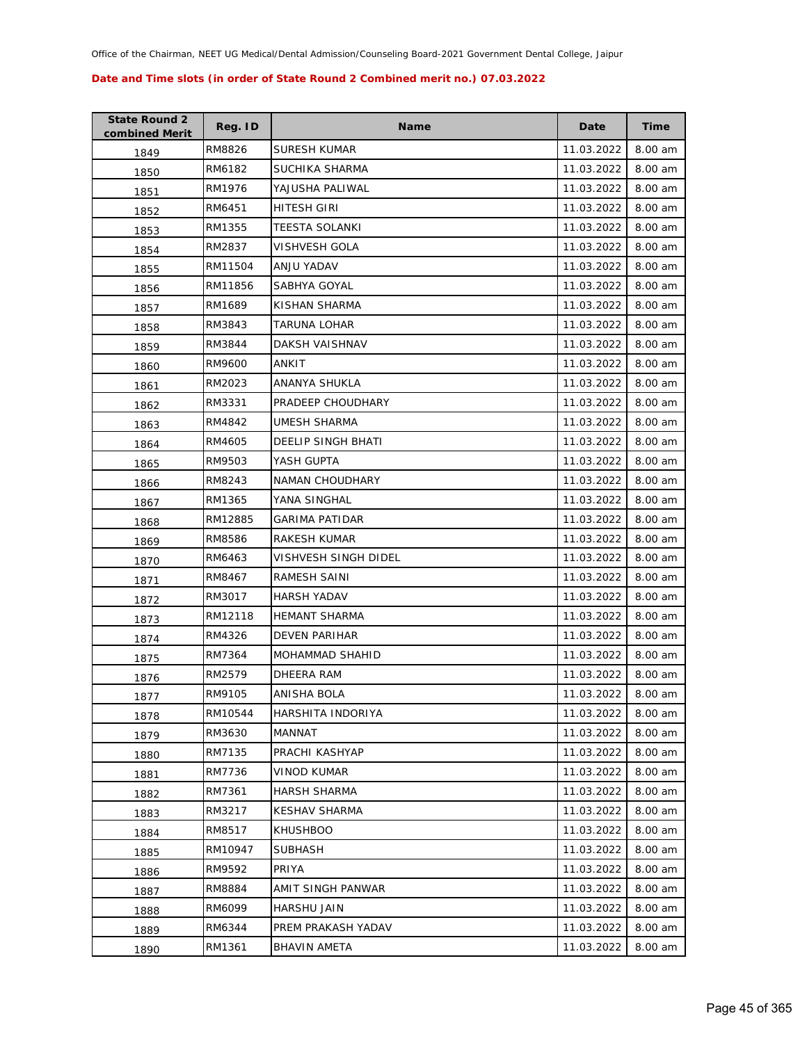| <b>State Round 2</b><br>combined Merit | Reg. ID | <b>Name</b>               | Date       | <b>Time</b> |
|----------------------------------------|---------|---------------------------|------------|-------------|
| 1849                                   | RM8826  | <b>SURESH KUMAR</b>       | 11.03.2022 | 8.00 am     |
| 1850                                   | RM6182  | SUCHIKA SHARMA            | 11.03.2022 | 8.00 am     |
| 1851                                   | RM1976  | YAJUSHA PALIWAL           | 11.03.2022 | 8.00 am     |
| 1852                                   | RM6451  | HITESH GIRI               | 11.03.2022 | 8.00 am     |
| 1853                                   | RM1355  | TEESTA SOLANKI            | 11.03.2022 | 8.00 am     |
| 1854                                   | RM2837  | VISHVESH GOLA             | 11.03.2022 | 8.00 am     |
| 1855                                   | RM11504 | ANJU YADAV                | 11.03.2022 | 8.00 am     |
| 1856                                   | RM11856 | SABHYA GOYAL              | 11.03.2022 | 8.00 am     |
| 1857                                   | RM1689  | KISHAN SHARMA             | 11.03.2022 | 8.00 am     |
| 1858                                   | RM3843  | TARUNA LOHAR              | 11.03.2022 | 8.00 am     |
| 1859                                   | RM3844  | DAKSH VAISHNAV            | 11.03.2022 | 8.00 am     |
| 1860                                   | RM9600  | ANKIT                     | 11.03.2022 | 8.00 am     |
| 1861                                   | RM2023  | ANANYA SHUKLA             | 11.03.2022 | 8.00 am     |
| 1862                                   | RM3331  | PRADEEP CHOUDHARY         | 11.03.2022 | 8.00 am     |
| 1863                                   | RM4842  | <b>UMESH SHARMA</b>       | 11.03.2022 | 8.00 am     |
| 1864                                   | RM4605  | <b>DEELIP SINGH BHATI</b> | 11.03.2022 | 8.00 am     |
| 1865                                   | RM9503  | YASH GUPTA                | 11.03.2022 | 8.00 am     |
| 1866                                   | RM8243  | NAMAN CHOUDHARY           | 11.03.2022 | 8.00 am     |
| 1867                                   | RM1365  | YANA SINGHAL              | 11.03.2022 | 8.00 am     |
| 1868                                   | RM12885 | <b>GARIMA PATIDAR</b>     | 11.03.2022 | 8.00 am     |
| 1869                                   | RM8586  | RAKESH KUMAR              | 11.03.2022 | 8.00 am     |
| 1870                                   | RM6463  | VISHVESH SINGH DIDEL      | 11.03.2022 | 8.00 am     |
| 1871                                   | RM8467  | RAMESH SAINI              | 11.03.2022 | 8.00 am     |
| 1872                                   | RM3017  | <b>HARSH YADAV</b>        | 11.03.2022 | 8.00 am     |
| 1873                                   | RM12118 | <b>HEMANT SHARMA</b>      | 11.03.2022 | 8.00 am     |
| 1874                                   | RM4326  | <b>DEVEN PARIHAR</b>      | 11.03.2022 | 8.00 am     |
| 1875                                   | RM7364  | <b>MOHAMMAD SHAHID</b>    | 11.03.2022 | 8.00 am     |
| 1876                                   | RM2579  | <b>DHEERA RAM</b>         | 11.03.2022 | 8.00 am     |
| 1877                                   | RM9105  | ANISHA BOLA               | 11.03.2022 | 8.00 am     |
| 1878                                   | RM10544 | HARSHITA INDORIYA         | 11.03.2022 | 8.00 am     |
| 1879                                   | RM3630  | MANNAT                    | 11.03.2022 | 8.00 am     |
| 1880                                   | RM7135  | PRACHI KASHYAP            | 11.03.2022 | 8.00 am     |
| 1881                                   | RM7736  | <b>VINOD KUMAR</b>        | 11.03.2022 | 8.00 am     |
| 1882                                   | RM7361  | <b>HARSH SHARMA</b>       | 11.03.2022 | 8.00 am     |
| 1883                                   | RM3217  | <b>KESHAV SHARMA</b>      | 11.03.2022 | 8.00 am     |
| 1884                                   | RM8517  | <b>KHUSHBOO</b>           | 11.03.2022 | 8.00 am     |
| 1885                                   | RM10947 | <b>SUBHASH</b>            | 11.03.2022 | 8.00 am     |
| 1886                                   | RM9592  | PRIYA                     | 11.03.2022 | 8.00 am     |
| 1887                                   | RM8884  | AMIT SINGH PANWAR         | 11.03.2022 | 8.00 am     |
| 1888                                   | RM6099  | HARSHU JAIN               | 11.03.2022 | 8.00 am     |
| 1889                                   | RM6344  | PREM PRAKASH YADAV        | 11.03.2022 | 8.00 am     |
| 1890                                   | RM1361  | <b>BHAVIN AMETA</b>       | 11.03.2022 | 8.00 am     |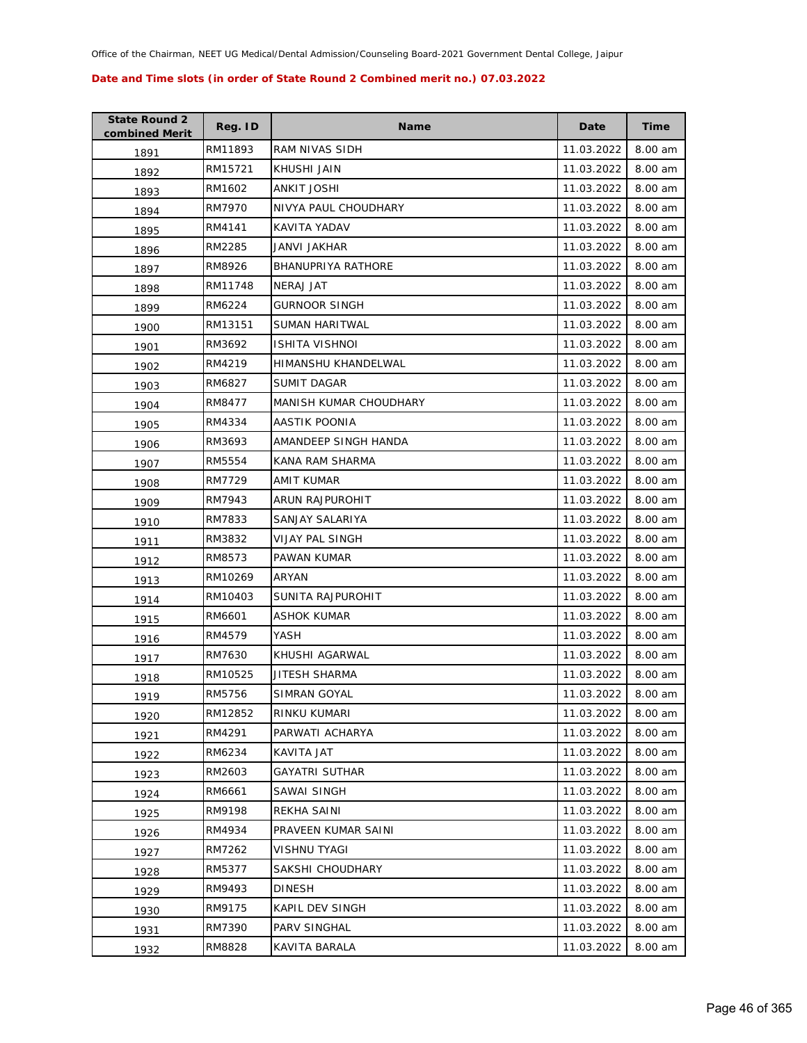| <b>State Round 2</b><br>combined Merit | Reg. ID | <b>Name</b>            | Date       | <b>Time</b> |
|----------------------------------------|---------|------------------------|------------|-------------|
| 1891                                   | RM11893 | RAM NIVAS SIDH         | 11.03.2022 | 8.00 am     |
| 1892                                   | RM15721 | KHUSHI JAIN            | 11.03.2022 | 8.00 am     |
| 1893                                   | RM1602  | ANKIT JOSHI            | 11.03.2022 | 8.00 am     |
| 1894                                   | RM7970  | NIVYA PAUL CHOUDHARY   | 11.03.2022 | 8.00 am     |
| 1895                                   | RM4141  | KAVITA YADAV           | 11.03.2022 | 8.00 am     |
| 1896                                   | RM2285  | <b>JANVI JAKHAR</b>    | 11.03.2022 | 8.00 am     |
| 1897                                   | RM8926  | BHANUPRIYA RATHORE     | 11.03.2022 | 8.00 am     |
| 1898                                   | RM11748 | <b>NERAJ JAT</b>       | 11.03.2022 | 8.00 am     |
| 1899                                   | RM6224  | GURNOOR SINGH          | 11.03.2022 | 8.00 am     |
| 1900                                   | RM13151 | SUMAN HARITWAL         | 11.03.2022 | 8.00 am     |
| 1901                                   | RM3692  | ISHITA VISHNOI         | 11.03.2022 | 8.00 am     |
| 1902                                   | RM4219  | HIMANSHU KHANDELWAL    | 11.03.2022 | 8.00 am     |
| 1903                                   | RM6827  | SUMIT DAGAR            | 11.03.2022 | 8.00 am     |
| 1904                                   | RM8477  | MANISH KUMAR CHOUDHARY | 11.03.2022 | 8.00 am     |
| 1905                                   | RM4334  | AASTIK POONIA          | 11.03.2022 | 8.00 am     |
| 1906                                   | RM3693  | AMANDEEP SINGH HANDA   | 11.03.2022 | 8.00 am     |
| 1907                                   | RM5554  | KANA RAM SHARMA        | 11.03.2022 | 8.00 am     |
| 1908                                   | RM7729  | AMIT KUMAR             | 11.03.2022 | 8.00 am     |
| 1909                                   | RM7943  | ARUN RAJPUROHIT        | 11.03.2022 | 8.00 am     |
| 1910                                   | RM7833  | SANJAY SALARIYA        | 11.03.2022 | 8.00 am     |
| 1911                                   | RM3832  | VIJAY PAL SINGH        | 11.03.2022 | 8.00 am     |
| 1912                                   | RM8573  | PAWAN KUMAR            | 11.03.2022 | 8.00 am     |
| 1913                                   | RM10269 | ARYAN                  | 11.03.2022 | 8.00 am     |
| 1914                                   | RM10403 | SUNITA RAJPUROHIT      | 11.03.2022 | 8.00 am     |
| 1915                                   | RM6601  | ASHOK KUMAR            | 11.03.2022 | 8.00 am     |
| 1916                                   | RM4579  | YASH                   | 11.03.2022 | 8.00 am     |
| 1917                                   | RM7630  | KHUSHI AGARWAL         | 11.03.2022 | 8.00 am     |
| 1918                                   | RM10525 | JITESH SHARMA          | 11.03.2022 | 8.00 am     |
| 1919                                   | RM5756  | SIMRAN GOYAL           | 11.03.2022 | 8.00 am     |
| 1920                                   | RM12852 | RINKU KUMARI           | 11.03.2022 | 8.00 am     |
| 1921                                   | RM4291  | PARWATI ACHARYA        | 11.03.2022 | 8.00 am     |
| 1922                                   | RM6234  | KAVITA JAT             | 11.03.2022 | 8.00 am     |
| 1923                                   | RM2603  | GAYATRI SUTHAR         | 11.03.2022 | 8.00 am     |
| 1924                                   | RM6661  | <b>SAWAI SINGH</b>     | 11.03.2022 | 8.00 am     |
| 1925                                   | RM9198  | REKHA SAINI            | 11.03.2022 | 8.00 am     |
| 1926                                   | RM4934  | PRAVEEN KUMAR SAINI    | 11.03.2022 | 8.00 am     |
| 1927                                   | RM7262  | VISHNU TYAGI           | 11.03.2022 | 8.00 am     |
| 1928                                   | RM5377  | SAKSHI CHOUDHARY       | 11.03.2022 | 8.00 am     |
| 1929                                   | RM9493  | <b>DINESH</b>          | 11.03.2022 | 8.00 am     |
| 1930                                   | RM9175  | KAPIL DEV SINGH        | 11.03.2022 | 8.00 am     |
| 1931                                   | RM7390  | PARV SINGHAL           | 11.03.2022 | 8.00 am     |
| 1932                                   | RM8828  | KAVITA BARALA          | 11.03.2022 | 8.00 am     |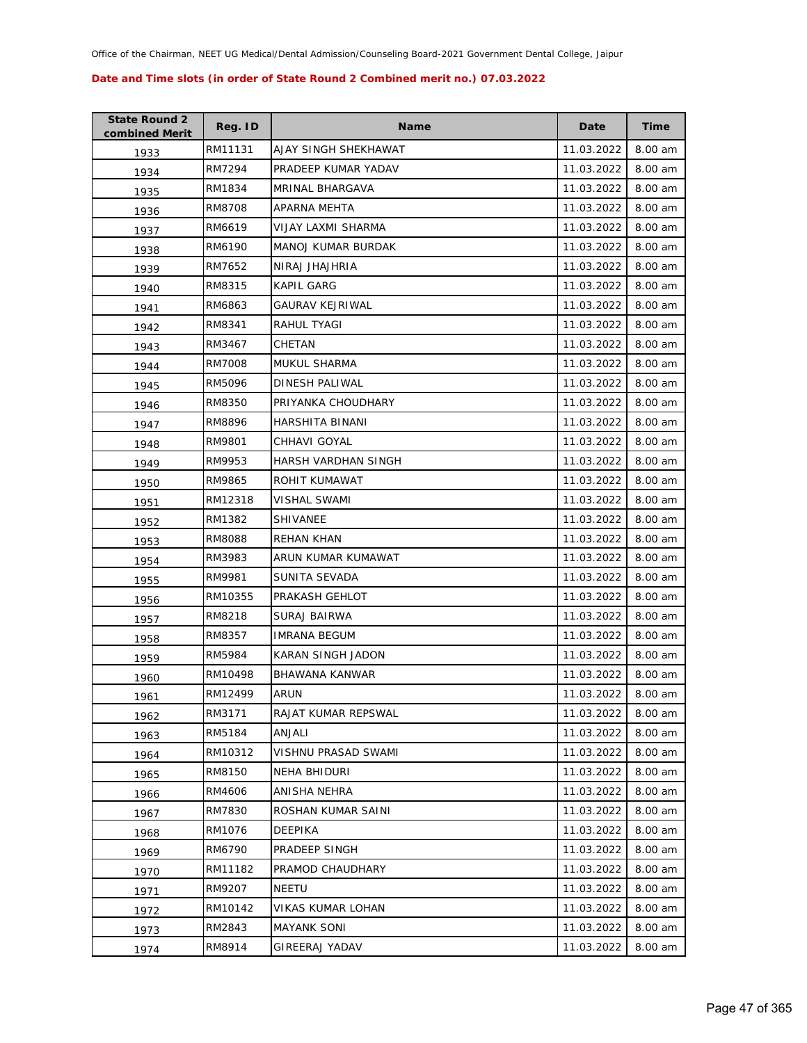| <b>State Round 2</b><br>combined Merit | Reg. ID | <b>Name</b>               | Date       | <b>Time</b> |
|----------------------------------------|---------|---------------------------|------------|-------------|
| 1933                                   | RM11131 | AJAY SINGH SHEKHAWAT      | 11.03.2022 | 8.00 am     |
| 1934                                   | RM7294  | PRADEEP KUMAR YADAV       | 11.03.2022 | 8.00 am     |
| 1935                                   | RM1834  | MRINAL BHARGAVA           | 11.03.2022 | 8.00 am     |
| 1936                                   | RM8708  | APARNA MEHTA              | 11.03.2022 | 8.00 am     |
| 1937                                   | RM6619  | VIJAY LAXMI SHARMA        | 11.03.2022 | 8.00 am     |
| 1938                                   | RM6190  | <b>MANOJ KUMAR BURDAK</b> | 11.03.2022 | 8.00 am     |
| 1939                                   | RM7652  | NIRAJ JHAJHRIA            | 11.03.2022 | 8.00 am     |
| 1940                                   | RM8315  | KAPIL GARG                | 11.03.2022 | 8.00 am     |
| 1941                                   | RM6863  | <b>GAURAV KEJRIWAL</b>    | 11.03.2022 | 8.00 am     |
| 1942                                   | RM8341  | RAHUL TYAGI               | 11.03.2022 | 8.00 am     |
| 1943                                   | RM3467  | CHETAN                    | 11.03.2022 | 8.00 am     |
| 1944                                   | RM7008  | MUKUL SHARMA              | 11.03.2022 | 8.00 am     |
| 1945                                   | RM5096  | DINESH PALIWAL            | 11.03.2022 | 8.00 am     |
| 1946                                   | RM8350  | PRIYANKA CHOUDHARY        | 11.03.2022 | 8.00 am     |
| 1947                                   | RM8896  | HARSHITA BINANI           | 11.03.2022 | 8.00 am     |
| 1948                                   | RM9801  | CHHAVI GOYAL              | 11.03.2022 | 8.00 am     |
| 1949                                   | RM9953  | HARSH VARDHAN SINGH       | 11.03.2022 | 8.00 am     |
| 1950                                   | RM9865  | ROHIT KUMAWAT             | 11.03.2022 | 8.00 am     |
| 1951                                   | RM12318 | <b>VISHAL SWAMI</b>       | 11.03.2022 | 8.00 am     |
| 1952                                   | RM1382  | SHIVANEE                  | 11.03.2022 | 8.00 am     |
| 1953                                   | RM8088  | REHAN KHAN                | 11.03.2022 | 8.00 am     |
| 1954                                   | RM3983  | ARUN KUMAR KUMAWAT        | 11.03.2022 | 8.00 am     |
| 1955                                   | RM9981  | SUNITA SEVADA             | 11.03.2022 | 8.00 am     |
| 1956                                   | RM10355 | PRAKASH GEHLOT            | 11.03.2022 | 8.00 am     |
| 1957                                   | RM8218  | SURAJ BAIRWA              | 11.03.2022 | 8.00 am     |
| 1958                                   | RM8357  | <b>IMRANA BEGUM</b>       | 11.03.2022 | 8.00 am     |
| 1959                                   | RM5984  | KARAN SINGH JADON         | 11.03.2022 | 8.00 am     |
| 1960                                   | RM10498 | BHAWANA KANWAR            | 11.03.2022 | 8.00 am     |
| 1961                                   | RM12499 | ARUN                      | 11.03.2022 | 8.00 am     |
| 1962                                   | RM3171  | RAJAT KUMAR REPSWAL       | 11.03.2022 | 8.00 am     |
| 1963                                   | RM5184  | ANJALI                    | 11.03.2022 | 8.00 am     |
| 1964                                   | RM10312 | VISHNU PRASAD SWAMI       | 11.03.2022 | 8.00 am     |
| 1965                                   | RM8150  | <b>NEHA BHIDURI</b>       | 11.03.2022 | 8.00 am     |
| 1966                                   | RM4606  | ANISHA NEHRA              | 11.03.2022 | 8.00 am     |
| 1967                                   | RM7830  | ROSHAN KUMAR SAINI        | 11.03.2022 | 8.00 am     |
| 1968                                   | RM1076  | DEEPIKA                   | 11.03.2022 | 8.00 am     |
| 1969                                   | RM6790  | PRADEEP SINGH             | 11.03.2022 | 8.00 am     |
| 1970                                   | RM11182 | PRAMOD CHAUDHARY          | 11.03.2022 | 8.00 am     |
| 1971                                   | RM9207  | NEETU                     | 11.03.2022 | 8.00 am     |
| 1972                                   | RM10142 | VIKAS KUMAR LOHAN         | 11.03.2022 | 8.00 am     |
| 1973                                   | RM2843  | <b>MAYANK SONI</b>        | 11.03.2022 | 8.00 am     |
| 1974                                   | RM8914  | <b>GIREERAJ YADAV</b>     | 11.03.2022 | 8.00 am     |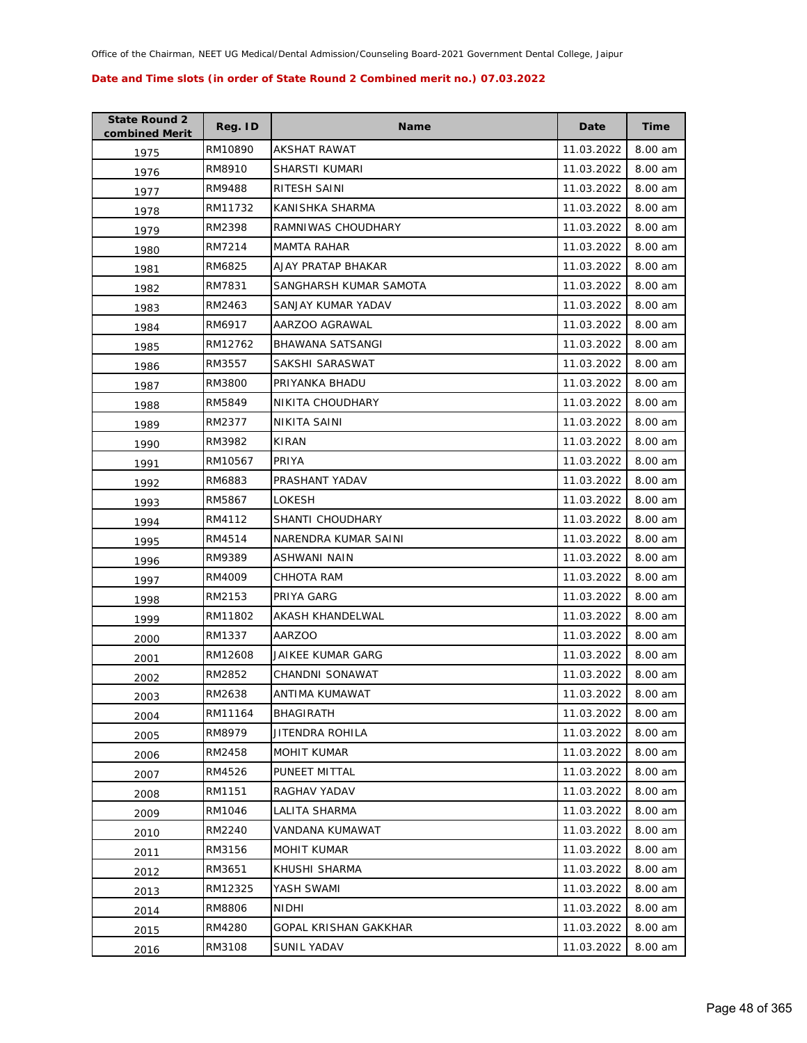| <b>State Round 2</b><br>combined Merit | Reg. ID | <b>Name</b>            | Date       | <b>Time</b> |
|----------------------------------------|---------|------------------------|------------|-------------|
| 1975                                   | RM10890 | AKSHAT RAWAT           | 11.03.2022 | 8.00 am     |
| 1976                                   | RM8910  | SHARSTI KUMARI         | 11.03.2022 | 8.00 am     |
| 1977                                   | RM9488  | RITESH SAINI           | 11.03.2022 | 8.00 am     |
| 1978                                   | RM11732 | KANISHKA SHARMA        | 11.03.2022 | 8.00 am     |
| 1979                                   | RM2398  | RAMNIWAS CHOUDHARY     | 11.03.2022 | 8.00 am     |
| 1980                                   | RM7214  | <b>MAMTA RAHAR</b>     | 11.03.2022 | 8.00 am     |
| 1981                                   | RM6825  | AJAY PRATAP BHAKAR     | 11.03.2022 | 8.00 am     |
| 1982                                   | RM7831  | SANGHARSH KUMAR SAMOTA | 11.03.2022 | 8.00 am     |
| 1983                                   | RM2463  | SANJAY KUMAR YADAV     | 11.03.2022 | 8.00 am     |
| 1984                                   | RM6917  | AARZOO AGRAWAL         | 11.03.2022 | 8.00 am     |
| 1985                                   | RM12762 | BHAWANA SATSANGI       | 11.03.2022 | 8.00 am     |
| 1986                                   | RM3557  | SAKSHI SARASWAT        | 11.03.2022 | 8.00 am     |
| 1987                                   | RM3800  | PRIYANKA BHADU         | 11.03.2022 | 8.00 am     |
| 1988                                   | RM5849  | NIKITA CHOUDHARY       | 11.03.2022 | 8.00 am     |
| 1989                                   | RM2377  | <b>NIKITA SAINI</b>    | 11.03.2022 | 8.00 am     |
| 1990                                   | RM3982  | KIRAN                  | 11.03.2022 | 8.00 am     |
| 1991                                   | RM10567 | PRIYA                  | 11.03.2022 | 8.00 am     |
| 1992                                   | RM6883  | PRASHANT YADAV         | 11.03.2022 | 8.00 am     |
| 1993                                   | RM5867  | LOKESH                 | 11.03.2022 | 8.00 am     |
| 1994                                   | RM4112  | SHANTI CHOUDHARY       | 11.03.2022 | 8.00 am     |
| 1995                                   | RM4514  | NARENDRA KUMAR SAINI   | 11.03.2022 | 8.00 am     |
| 1996                                   | RM9389  | ASHWANI NAIN           | 11.03.2022 | 8.00 am     |
| 1997                                   | RM4009  | CHHOTA RAM             | 11.03.2022 | 8.00 am     |
| 1998                                   | RM2153  | PRIYA GARG             | 11.03.2022 | 8.00 am     |
| 1999                                   | RM11802 | AKASH KHANDELWAL       | 11.03.2022 | 8.00 am     |
| 2000                                   | RM1337  | <b>AARZOO</b>          | 11.03.2022 | 8.00 am     |
| 2001                                   | RM12608 | JAIKEE KUMAR GARG      | 11.03.2022 | 8.00 am     |
| 2002                                   | RM2852  | CHANDNI SONAWAT        | 11.03.2022 | 8.00 am     |
| 2003                                   | RM2638  | ANTIMA KUMAWAT         | 11.03.2022 | 8.00 am     |
| 2004                                   | RM11164 | BHAGIRATH              | 11.03.2022 | 8.00 am     |
| 2005                                   | RM8979  | JITENDRA ROHILA        | 11.03.2022 | 8.00 am     |
| 2006                                   | RM2458  | <b>MOHIT KUMAR</b>     | 11.03.2022 | 8.00 am     |
| 2007                                   | RM4526  | PUNEET MITTAL          | 11.03.2022 | 8.00 am     |
| 2008                                   | RM1151  | RAGHAV YADAV           | 11.03.2022 | 8.00 am     |
| 2009                                   | RM1046  | LALITA SHARMA          | 11.03.2022 | 8.00 am     |
| 2010                                   | RM2240  | VANDANA KUMAWAT        | 11.03.2022 | 8.00 am     |
| 2011                                   | RM3156  | MOHIT KUMAR            | 11.03.2022 | 8.00 am     |
| 2012                                   | RM3651  | KHUSHI SHARMA          | 11.03.2022 | 8.00 am     |
| 2013                                   | RM12325 | YASH SWAMI             | 11.03.2022 | 8.00 am     |
| 2014                                   | RM8806  | NIDHI                  | 11.03.2022 | 8.00 am     |
| 2015                                   | RM4280  | GOPAL KRISHAN GAKKHAR  | 11.03.2022 | 8.00 am     |
| 2016                                   | RM3108  | <b>SUNIL YADAV</b>     | 11.03.2022 | 8.00 am     |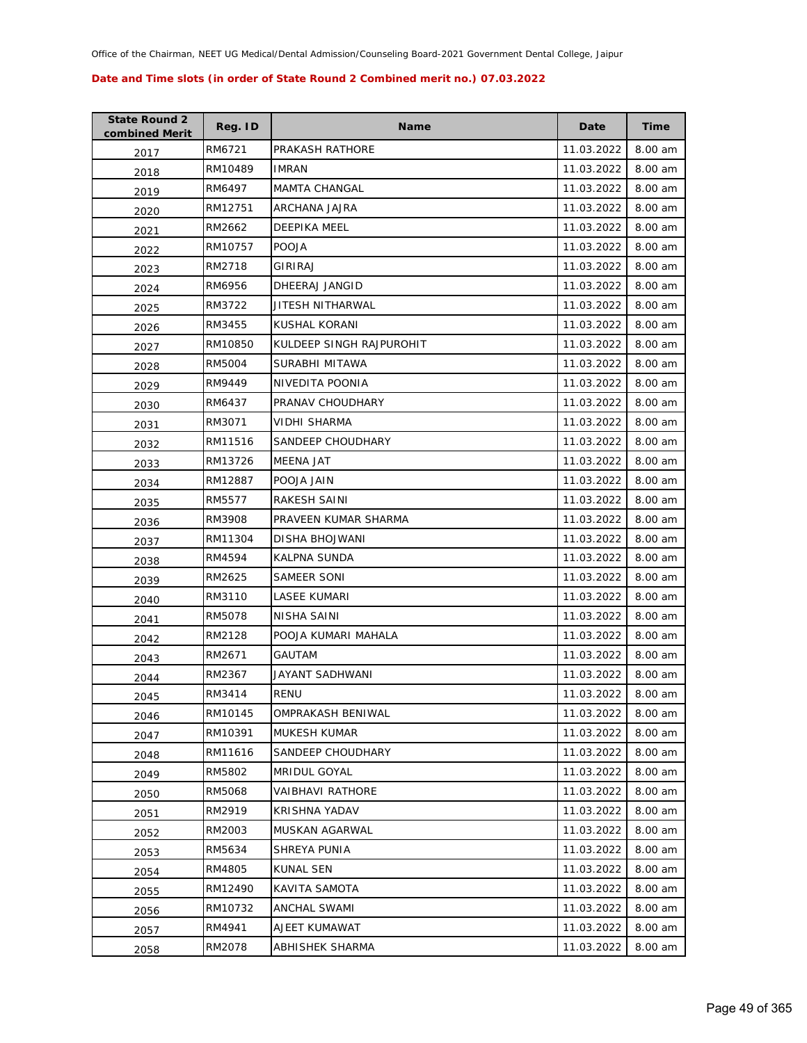| <b>State Round 2</b><br>combined Merit | Reg. ID | <b>Name</b>              | Date       | <b>Time</b> |
|----------------------------------------|---------|--------------------------|------------|-------------|
| 2017                                   | RM6721  | PRAKASH RATHORE          | 11.03.2022 | 8.00 am     |
| 2018                                   | RM10489 | <b>IMRAN</b>             | 11.03.2022 | 8.00 am     |
| 2019                                   | RM6497  | <b>MAMTA CHANGAL</b>     | 11.03.2022 | 8.00 am     |
| 2020                                   | RM12751 | ARCHANA JAJRA            | 11.03.2022 | 8.00 am     |
| 2021                                   | RM2662  | DEEPIKA MEEL             | 11.03.2022 | 8.00 am     |
| 2022                                   | RM10757 | <b>POOJA</b>             | 11.03.2022 | 8.00 am     |
| 2023                                   | RM2718  | GIRIRAJ                  | 11.03.2022 | 8.00 am     |
| 2024                                   | RM6956  | DHEERAJ JANGID           | 11.03.2022 | 8.00 am     |
| 2025                                   | RM3722  | JITESH NITHARWAL         | 11.03.2022 | 8.00 am     |
| 2026                                   | RM3455  | KUSHAL KORANI            | 11.03.2022 | 8.00 am     |
| 2027                                   | RM10850 | KULDEEP SINGH RAJPUROHIT | 11.03.2022 | 8.00 am     |
| 2028                                   | RM5004  | SURABHI MITAWA           | 11.03.2022 | 8.00 am     |
| 2029                                   | RM9449  | NIVEDITA POONIA          | 11.03.2022 | 8.00 am     |
| 2030                                   | RM6437  | PRANAV CHOUDHARY         | 11.03.2022 | 8.00 am     |
| 2031                                   | RM3071  | VIDHI SHARMA             | 11.03.2022 | 8.00 am     |
| 2032                                   | RM11516 | SANDEEP CHOUDHARY        | 11.03.2022 | 8.00 am     |
| 2033                                   | RM13726 | MEENA JAT                | 11.03.2022 | 8.00 am     |
| 2034                                   | RM12887 | POOJA JAIN               | 11.03.2022 | 8.00 am     |
| 2035                                   | RM5577  | RAKESH SAINI             | 11.03.2022 | 8.00 am     |
| 2036                                   | RM3908  | PRAVEEN KUMAR SHARMA     | 11.03.2022 | 8.00 am     |
| 2037                                   | RM11304 | DISHA BHOJWANI           | 11.03.2022 | 8.00 am     |
| 2038                                   | RM4594  | <b>KALPNA SUNDA</b>      | 11.03.2022 | 8.00 am     |
| 2039                                   | RM2625  | SAMEER SONI              | 11.03.2022 | 8.00 am     |
| 2040                                   | RM3110  | LASEE KUMARI             | 11.03.2022 | 8.00 am     |
| 2041                                   | RM5078  | NISHA SAINI              | 11.03.2022 | 8.00 am     |
| 2042                                   | RM2128  | POOJA KUMARI MAHALA      | 11.03.2022 | 8.00 am     |
| 2043                                   | RM2671  | GAUTAM                   | 11.03.2022 | 8.00 am     |
| 2044                                   | RM2367  | JAYANT SADHWANI          | 11.03.2022 | 8.00 am     |
| 2045                                   | RM3414  | RENU                     | 11.03.2022 | 8.00 am     |
| 2046                                   | RM10145 | OMPRAKASH BENIWAL        | 11.03.2022 | 8.00 am     |
| 2047                                   | RM10391 | MUKESH KUMAR             | 11.03.2022 | 8.00 am     |
| 2048                                   | RM11616 | SANDEEP CHOUDHARY        | 11.03.2022 | 8.00 am     |
| 2049                                   | RM5802  | <b>MRIDUL GOYAL</b>      | 11.03.2022 | 8.00 am     |
| 2050                                   | RM5068  | <b>VAIBHAVI RATHORE</b>  | 11.03.2022 | 8.00 am     |
| 2051                                   | RM2919  | KRISHNA YADAV            | 11.03.2022 | 8.00 am     |
| 2052                                   | RM2003  | <b>MUSKAN AGARWAL</b>    | 11.03.2022 | 8.00 am     |
| 2053                                   | RM5634  | SHREYA PUNIA             | 11.03.2022 | 8.00 am     |
| 2054                                   | RM4805  | KUNAL SEN                | 11.03.2022 | 8.00 am     |
| 2055                                   | RM12490 | KAVITA SAMOTA            | 11.03.2022 | 8.00 am     |
| 2056                                   | RM10732 | ANCHAL SWAMI             | 11.03.2022 | 8.00 am     |
| 2057                                   | RM4941  | AJEET KUMAWAT            | 11.03.2022 | 8.00 am     |
| 2058                                   | RM2078  | ABHISHEK SHARMA          | 11.03.2022 | 8.00 am     |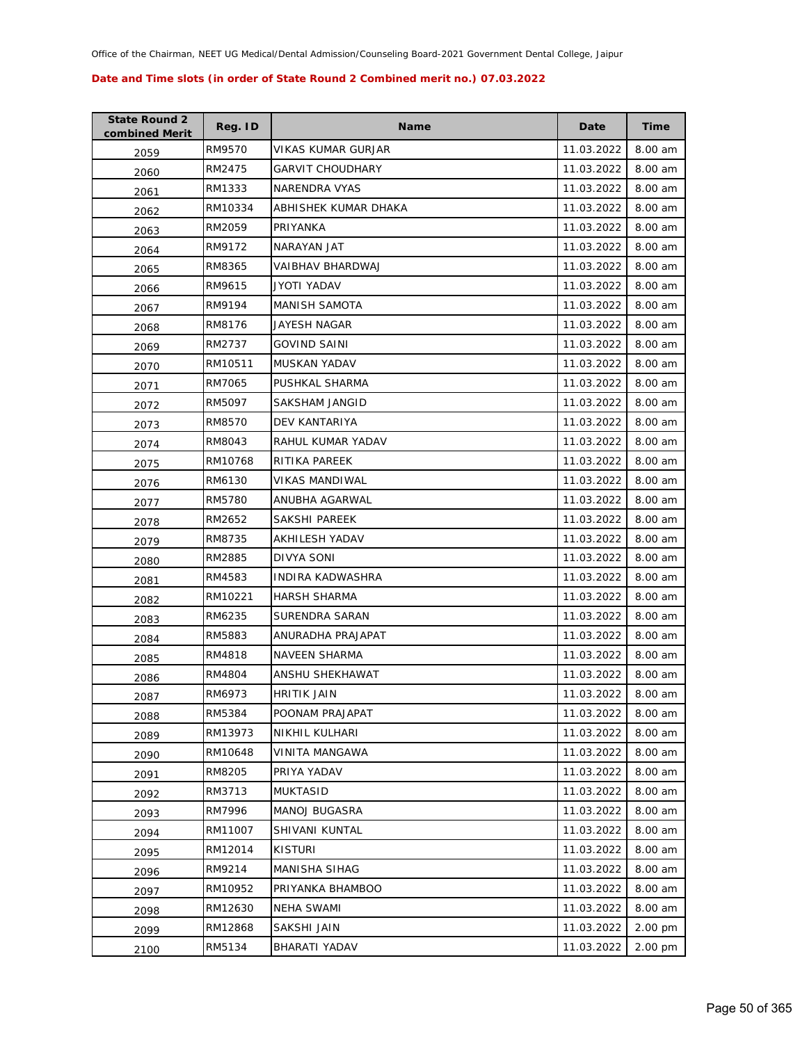| <b>State Round 2</b><br>combined Merit | Reg. ID | <b>Name</b>             | Date       | <b>Time</b> |
|----------------------------------------|---------|-------------------------|------------|-------------|
| 2059                                   | RM9570  | VIKAS KUMAR GURJAR      | 11.03.2022 | 8.00 am     |
| 2060                                   | RM2475  | <b>GARVIT CHOUDHARY</b> | 11.03.2022 | 8.00 am     |
| 2061                                   | RM1333  | NARENDRA VYAS           | 11.03.2022 | 8.00 am     |
| 2062                                   | RM10334 | ABHISHEK KUMAR DHAKA    | 11.03.2022 | 8.00 am     |
| 2063                                   | RM2059  | PRIYANKA                | 11.03.2022 | 8.00 am     |
| 2064                                   | RM9172  | NARAYAN JAT             | 11.03.2022 | 8.00 am     |
| 2065                                   | RM8365  | VAIBHAV BHARDWAJ        | 11.03.2022 | 8.00 am     |
| 2066                                   | RM9615  | JYOTI YADAV             | 11.03.2022 | 8.00 am     |
| 2067                                   | RM9194  | <b>MANISH SAMOTA</b>    | 11.03.2022 | 8.00 am     |
| 2068                                   | RM8176  | JAYESH NAGAR            | 11.03.2022 | 8.00 am     |
| 2069                                   | RM2737  | <b>GOVIND SAINI</b>     | 11.03.2022 | 8.00 am     |
| 2070                                   | RM10511 | MUSKAN YADAV            | 11.03.2022 | 8.00 am     |
| 2071                                   | RM7065  | PUSHKAL SHARMA          | 11.03.2022 | 8.00 am     |
| 2072                                   | RM5097  | SAKSHAM JANGID          | 11.03.2022 | 8.00 am     |
| 2073                                   | RM8570  | DEV KANTARIYA           | 11.03.2022 | 8.00 am     |
| 2074                                   | RM8043  | RAHUL KUMAR YADAV       | 11.03.2022 | 8.00 am     |
| 2075                                   | RM10768 | RITIKA PAREEK           | 11.03.2022 | 8.00 am     |
| 2076                                   | RM6130  | VIKAS MANDIWAL          | 11.03.2022 | 8.00 am     |
| 2077                                   | RM5780  | ANUBHA AGARWAL          | 11.03.2022 | 8.00 am     |
| 2078                                   | RM2652  | SAKSHI PAREEK           | 11.03.2022 | 8.00 am     |
| 2079                                   | RM8735  | AKHILESH YADAV          | 11.03.2022 | 8.00 am     |
| 2080                                   | RM2885  | DIVYA SONI              | 11.03.2022 | 8.00 am     |
| 2081                                   | RM4583  | INDIRA KADWASHRA        | 11.03.2022 | 8.00 am     |
| 2082                                   | RM10221 | <b>HARSH SHARMA</b>     | 11.03.2022 | 8.00 am     |
| 2083                                   | RM6235  | SURENDRA SARAN          | 11.03.2022 | 8.00 am     |
| 2084                                   | RM5883  | ANURADHA PRAJAPAT       | 11.03.2022 | 8.00 am     |
| 2085                                   | RM4818  | <b>NAVEEN SHARMA</b>    | 11.03.2022 | 8.00 am     |
| 2086                                   | RM4804  | ANSHU SHEKHAWAT         | 11.03.2022 | 8.00 am     |
| 2087                                   | RM6973  | <b>HRITIK JAIN</b>      | 11.03.2022 | 8.00 am     |
| 2088                                   | RM5384  | POONAM PRAJAPAT         | 11.03.2022 | 8.00 am     |
| 2089                                   | RM13973 | NIKHIL KULHARI          | 11.03.2022 | 8.00 am     |
| 2090                                   | RM10648 | <b>VINITA MANGAWA</b>   | 11.03.2022 | 8.00 am     |
| 2091                                   | RM8205  | PRIYA YADAV             | 11.03.2022 | 8.00 am     |
| 2092                                   | RM3713  | <b>MUKTASID</b>         | 11.03.2022 | 8.00 am     |
| 2093                                   | RM7996  | <b>MANOJ BUGASRA</b>    | 11.03.2022 | 8.00 am     |
| 2094                                   | RM11007 | <b>SHIVANI KUNTAL</b>   | 11.03.2022 | 8.00 am     |
| 2095                                   | RM12014 | <b>KISTURI</b>          | 11.03.2022 | 8.00 am     |
| 2096                                   | RM9214  | MANISHA SIHAG           | 11.03.2022 | 8.00 am     |
| 2097                                   | RM10952 | PRIYANKA BHAMBOO        | 11.03.2022 | 8.00 am     |
| 2098                                   | RM12630 | NEHA SWAMI              | 11.03.2022 | 8.00 am     |
| 2099                                   | RM12868 | SAKSHI JAIN             | 11.03.2022 | 2.00 pm     |
| 2100                                   | RM5134  | BHARATI YADAV           | 11.03.2022 | 2.00 pm     |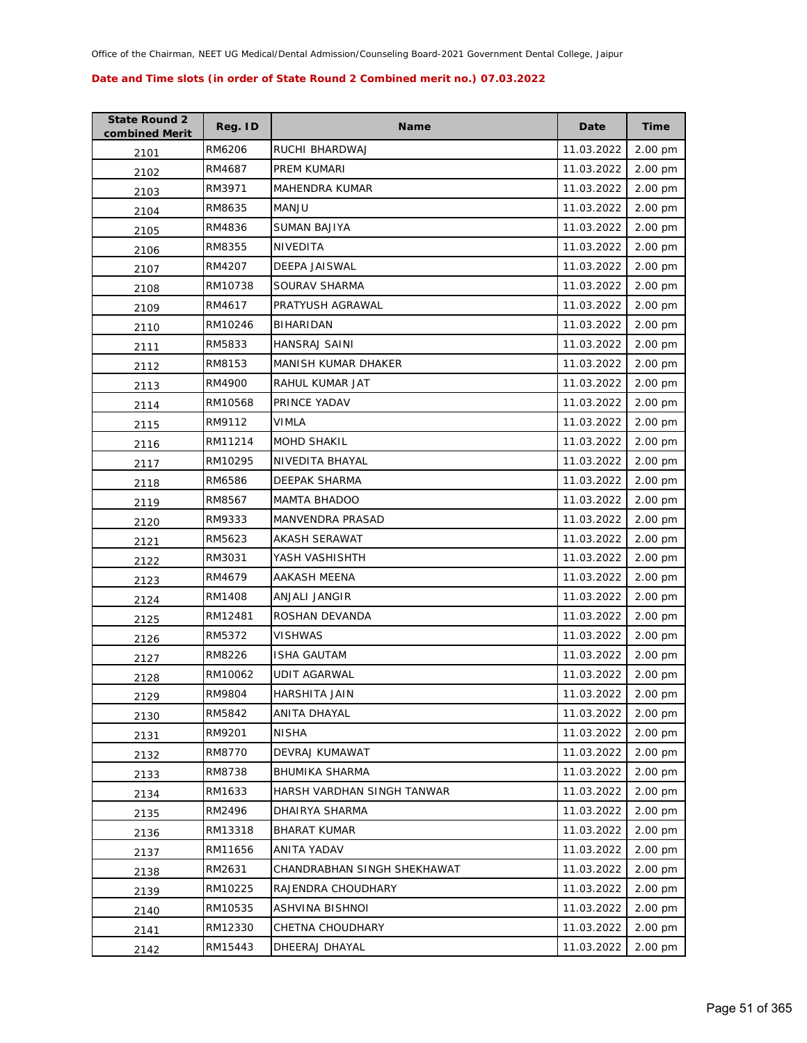| <b>State Round 2</b><br>combined Merit | Reg. ID | <b>Name</b>                 | Date       | <b>Time</b> |
|----------------------------------------|---------|-----------------------------|------------|-------------|
| 2101                                   | RM6206  | RUCHI BHARDWAJ              | 11.03.2022 | 2.00 pm     |
| 2102                                   | RM4687  | PREM KUMARI                 | 11.03.2022 | 2.00 pm     |
| 2103                                   | RM3971  | <b>MAHENDRA KUMAR</b>       | 11.03.2022 | 2.00 pm     |
| 2104                                   | RM8635  | <b>MANJU</b>                | 11.03.2022 | 2.00 pm     |
| 2105                                   | RM4836  | <b>SUMAN BAJIYA</b>         | 11.03.2022 | 2.00 pm     |
| 2106                                   | RM8355  | NIVEDITA                    | 11.03.2022 | 2.00 pm     |
| 2107                                   | RM4207  | <b>DEEPA JAISWAL</b>        | 11.03.2022 | 2.00 pm     |
| 2108                                   | RM10738 | SOURAV SHARMA               | 11.03.2022 | 2.00 pm     |
| 2109                                   | RM4617  | PRATYUSH AGRAWAL            | 11.03.2022 | 2.00 pm     |
| 2110                                   | RM10246 | BIHARIDAN                   | 11.03.2022 | 2.00 pm     |
| 2111                                   | RM5833  | HANSRAJ SAINI               | 11.03.2022 | 2.00 pm     |
| 2112                                   | RM8153  | MANISH KUMAR DHAKER         | 11.03.2022 | 2.00 pm     |
| 2113                                   | RM4900  | RAHUL KUMAR JAT             | 11.03.2022 | 2.00 pm     |
| 2114                                   | RM10568 | PRINCE YADAV                | 11.03.2022 | 2.00 pm     |
| 2115                                   | RM9112  | <b>VIMLA</b>                | 11.03.2022 | 2.00 pm     |
| 2116                                   | RM11214 | <b>MOHD SHAKIL</b>          | 11.03.2022 | 2.00 pm     |
| 2117                                   | RM10295 | NIVEDITA BHAYAL             | 11.03.2022 | 2.00 pm     |
| 2118                                   | RM6586  | DEEPAK SHARMA               | 11.03.2022 | 2.00 pm     |
| 2119                                   | RM8567  | <b>MAMTA BHADOO</b>         | 11.03.2022 | 2.00 pm     |
| 2120                                   | RM9333  | <b>MANVENDRA PRASAD</b>     | 11.03.2022 | 2.00 pm     |
| 2121                                   | RM5623  | AKASH SERAWAT               | 11.03.2022 | 2.00 pm     |
| 2122                                   | RM3031  | YASH VASHISHTH              | 11.03.2022 | 2.00 pm     |
| 2123                                   | RM4679  | AAKASH MEENA                | 11.03.2022 | 2.00 pm     |
| 2124                                   | RM1408  | ANJALI JANGIR               | 11.03.2022 | 2.00 pm     |
| 2125                                   | RM12481 | ROSHAN DEVANDA              | 11.03.2022 | 2.00 pm     |
| 2126                                   | RM5372  | <b>VISHWAS</b>              | 11.03.2022 | 2.00 pm     |
| 2127                                   | RM8226  | <b>ISHA GAUTAM</b>          | 11.03.2022 | 2.00 pm     |
| 2128                                   | RM10062 | <b>UDIT AGARWAL</b>         | 11.03.2022 | 2.00 pm     |
| 2129                                   | RM9804  | HARSHITA JAIN               | 11.03.2022 | 2.00 pm     |
| 2130                                   | RM5842  | ANITA DHAYAL                | 11.03.2022 | 2.00 pm     |
| 2131                                   | RM9201  | <b>NISHA</b>                | 11.03.2022 | 2.00 pm     |
| 2132                                   | RM8770  | DEVRAJ KUMAWAT              | 11.03.2022 | 2.00 pm     |
| 2133                                   | RM8738  | <b>BHUMIKA SHARMA</b>       | 11.03.2022 | 2.00 pm     |
| 2134                                   | RM1633  | HARSH VARDHAN SINGH TANWAR  | 11.03.2022 | 2.00 pm     |
| 2135                                   | RM2496  | DHAIRYA SHARMA              | 11.03.2022 | 2.00 pm     |
| 2136                                   | RM13318 | <b>BHARAT KUMAR</b>         | 11.03.2022 | 2.00 pm     |
| 2137                                   | RM11656 | ANITA YADAV                 | 11.03.2022 | 2.00 pm     |
| 2138                                   | RM2631  | CHANDRABHAN SINGH SHEKHAWAT | 11.03.2022 | 2.00 pm     |
| 2139                                   | RM10225 | RAJENDRA CHOUDHARY          | 11.03.2022 | 2.00 pm     |
| 2140                                   | RM10535 | ASHVINA BISHNOI             | 11.03.2022 | 2.00 pm     |
| 2141                                   | RM12330 | CHETNA CHOUDHARY            | 11.03.2022 | 2.00 pm     |
| 2142                                   | RM15443 | DHEERAJ DHAYAL              | 11.03.2022 | 2.00 pm     |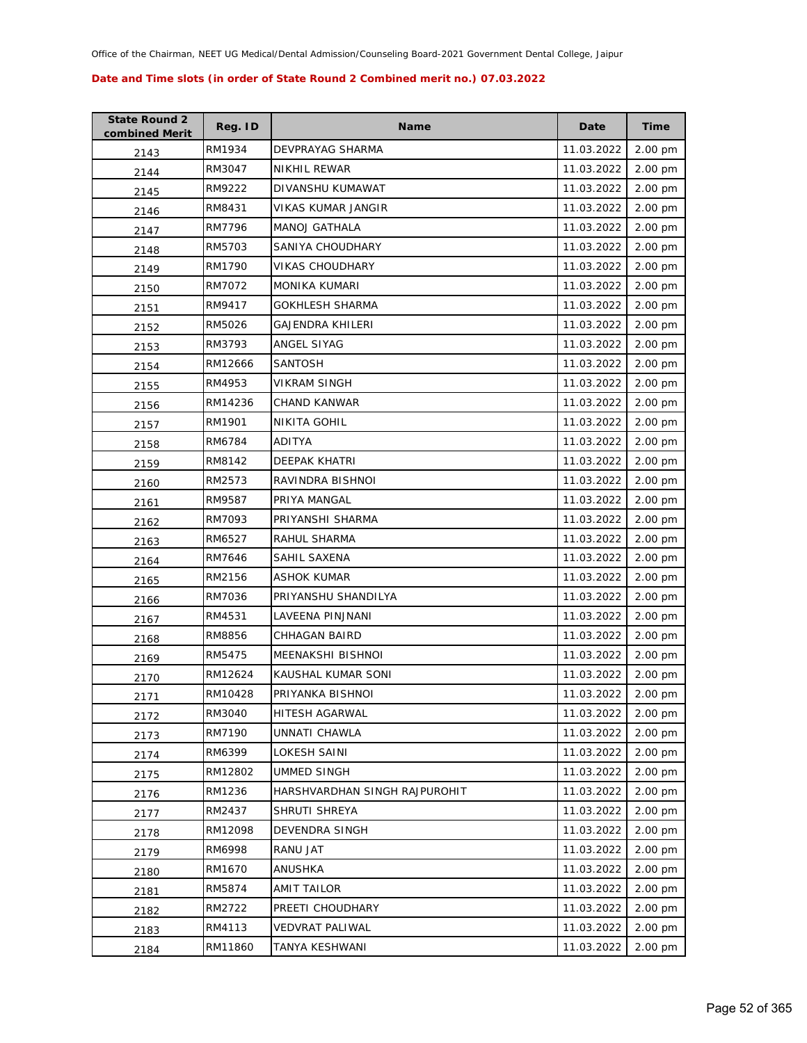| <b>State Round 2</b><br>combined Merit | Reg. ID | <b>Name</b>                   | Date       | <b>Time</b> |
|----------------------------------------|---------|-------------------------------|------------|-------------|
| 2143                                   | RM1934  | DEVPRAYAG SHARMA              | 11.03.2022 | 2.00 pm     |
| 2144                                   | RM3047  | NIKHIL REWAR                  | 11.03.2022 | 2.00 pm     |
| 2145                                   | RM9222  | DIVANSHU KUMAWAT              | 11.03.2022 | 2.00 pm     |
| 2146                                   | RM8431  | VIKAS KUMAR JANGIR            | 11.03.2022 | 2.00 pm     |
| 2147                                   | RM7796  | <b>MANOJ GATHALA</b>          | 11.03.2022 | 2.00 pm     |
| 2148                                   | RM5703  | SANIYA CHOUDHARY              | 11.03.2022 | 2.00 pm     |
| 2149                                   | RM1790  | VIKAS CHOUDHARY               | 11.03.2022 | 2.00 pm     |
| 2150                                   | RM7072  | <b>MONIKA KUMARI</b>          | 11.03.2022 | 2.00 pm     |
| 2151                                   | RM9417  | GOKHLESH SHARMA               | 11.03.2022 | 2.00 pm     |
| 2152                                   | RM5026  | GAJENDRA KHILERI              | 11.03.2022 | 2.00 pm     |
| 2153                                   | RM3793  | ANGEL SIYAG                   | 11.03.2022 | 2.00 pm     |
| 2154                                   | RM12666 | <b>SANTOSH</b>                | 11.03.2022 | 2.00 pm     |
| 2155                                   | RM4953  | <b>VIKRAM SINGH</b>           | 11.03.2022 | 2.00 pm     |
| 2156                                   | RM14236 | CHAND KANWAR                  | 11.03.2022 | 2.00 pm     |
| 2157                                   | RM1901  | NIKITA GOHIL                  | 11.03.2022 | 2.00 pm     |
| 2158                                   | RM6784  | ADITYA                        | 11.03.2022 | 2.00 pm     |
| 2159                                   | RM8142  | DEEPAK KHATRI                 | 11.03.2022 | 2.00 pm     |
| 2160                                   | RM2573  | RAVINDRA BISHNOI              | 11.03.2022 | 2.00 pm     |
| 2161                                   | RM9587  | PRIYA MANGAL                  | 11.03.2022 | 2.00 pm     |
| 2162                                   | RM7093  | PRIYANSHI SHARMA              | 11.03.2022 | 2.00 pm     |
| 2163                                   | RM6527  | RAHUL SHARMA                  | 11.03.2022 | 2.00 pm     |
| 2164                                   | RM7646  | SAHIL SAXENA                  | 11.03.2022 | 2.00 pm     |
| 2165                                   | RM2156  | ASHOK KUMAR                   | 11.03.2022 | 2.00 pm     |
| 2166                                   | RM7036  | PRIYANSHU SHANDILYA           | 11.03.2022 | 2.00 pm     |
| 2167                                   | RM4531  | LAVEENA PINJNANI              | 11.03.2022 | 2.00 pm     |
| 2168                                   | RM8856  | <b>CHHAGAN BAIRD</b>          | 11.03.2022 | 2.00 pm     |
| 2169                                   | RM5475  | MEENAKSHI BISHNOI             | 11.03.2022 | 2.00 pm     |
| 2170                                   | RM12624 | KAUSHAL KUMAR SONI            | 11.03.2022 | 2.00 pm     |
| 2171                                   | RM10428 | PRIYANKA BISHNOI              | 11.03.2022 | 2.00 pm     |
| 2172                                   | RM3040  | HITESH AGARWAL                | 11.03.2022 | 2.00 pm     |
| 2173                                   | RM7190  | UNNATI CHAWLA                 | 11.03.2022 | 2.00 pm     |
| 2174                                   | RM6399  | LOKESH SAINI                  | 11.03.2022 | 2.00 pm     |
| 2175                                   | RM12802 | UMMED SINGH                   | 11.03.2022 | 2.00 pm     |
| 2176                                   | RM1236  | HARSHVARDHAN SINGH RAJPUROHIT | 11.03.2022 | 2.00 pm     |
| 2177                                   | RM2437  | SHRUTI SHREYA                 | 11.03.2022 | 2.00 pm     |
| 2178                                   | RM12098 | DEVENDRA SINGH                | 11.03.2022 | 2.00 pm     |
| 2179                                   | RM6998  | RANU JAT                      | 11.03.2022 | 2.00 pm     |
| 2180                                   | RM1670  | ANUSHKA                       | 11.03.2022 | 2.00 pm     |
| 2181                                   | RM5874  | <b>AMIT TAILOR</b>            | 11.03.2022 | 2.00 pm     |
| 2182                                   | RM2722  | PREETI CHOUDHARY              | 11.03.2022 | 2.00 pm     |
| 2183                                   | RM4113  | VEDVRAT PALIWAL               | 11.03.2022 | 2.00 pm     |
| 2184                                   | RM11860 | TANYA KESHWANI                | 11.03.2022 | 2.00 pm     |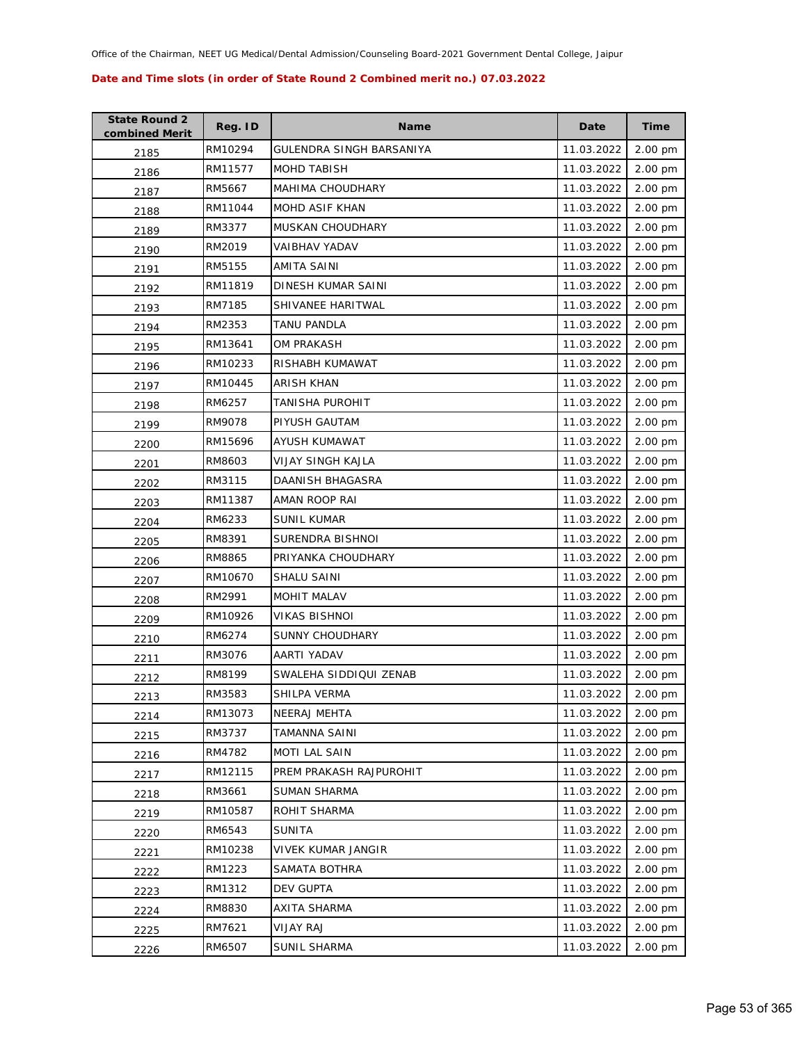| <b>State Round 2</b><br>combined Merit | Reg. ID | <b>Name</b>              | Date       | <b>Time</b> |
|----------------------------------------|---------|--------------------------|------------|-------------|
| 2185                                   | RM10294 | GULENDRA SINGH BARSANIYA | 11.03.2022 | 2.00 pm     |
| 2186                                   | RM11577 | <b>MOHD TABISH</b>       | 11.03.2022 | 2.00 pm     |
| 2187                                   | RM5667  | <b>MAHIMA CHOUDHARY</b>  | 11.03.2022 | 2.00 pm     |
| 2188                                   | RM11044 | MOHD ASIF KHAN           | 11.03.2022 | 2.00 pm     |
| 2189                                   | RM3377  | MUSKAN CHOUDHARY         | 11.03.2022 | 2.00 pm     |
| 2190                                   | RM2019  | VAIBHAV YADAV            | 11.03.2022 | 2.00 pm     |
| 2191                                   | RM5155  | AMITA SAINI              | 11.03.2022 | 2.00 pm     |
| 2192                                   | RM11819 | DINESH KUMAR SAINI       | 11.03.2022 | 2.00 pm     |
| 2193                                   | RM7185  | SHIVANEE HARITWAL        | 11.03.2022 | 2.00 pm     |
| 2194                                   | RM2353  | TANU PANDLA              | 11.03.2022 | 2.00 pm     |
| 2195                                   | RM13641 | <b>OM PRAKASH</b>        | 11.03.2022 | 2.00 pm     |
| 2196                                   | RM10233 | RISHABH KUMAWAT          | 11.03.2022 | 2.00 pm     |
| 2197                                   | RM10445 | <b>ARISH KHAN</b>        | 11.03.2022 | 2.00 pm     |
| 2198                                   | RM6257  | TANISHA PUROHIT          | 11.03.2022 | 2.00 pm     |
| 2199                                   | RM9078  | PIYUSH GAUTAM            | 11.03.2022 | 2.00 pm     |
| 2200                                   | RM15696 | AYUSH KUMAWAT            | 11.03.2022 | 2.00 pm     |
| 2201                                   | RM8603  | VIJAY SINGH KAJLA        | 11.03.2022 | 2.00 pm     |
| 2202                                   | RM3115  | DAANISH BHAGASRA         | 11.03.2022 | 2.00 pm     |
| 2203                                   | RM11387 | AMAN ROOP RAI            | 11.03.2022 | 2.00 pm     |
| 2204                                   | RM6233  | <b>SUNIL KUMAR</b>       | 11.03.2022 | 2.00 pm     |
| 2205                                   | RM8391  | SURENDRA BISHNOI         | 11.03.2022 | 2.00 pm     |
| 2206                                   | RM8865  | PRIYANKA CHOUDHARY       | 11.03.2022 | 2.00 pm     |
| 2207                                   | RM10670 | SHALU SAINI              | 11.03.2022 | 2.00 pm     |
| 2208                                   | RM2991  | MOHIT MALAV              | 11.03.2022 | 2.00 pm     |
| 2209                                   | RM10926 | <b>VIKAS BISHNOI</b>     | 11.03.2022 | 2.00 pm     |
| 2210                                   | RM6274  | <b>SUNNY CHOUDHARY</b>   | 11.03.2022 | 2.00 pm     |
| 2211                                   | RM3076  | AARTI YADAV              | 11.03.2022 | 2.00 pm     |
| 2212                                   | RM8199  | SWALEHA SIDDIQUI ZENAB   | 11.03.2022 | 2.00 pm     |
| 2213                                   | RM3583  | SHILPA VERMA             | 11.03.2022 | 2.00 pm     |
| 2214                                   | RM13073 | <b>NEERAJ MEHTA</b>      | 11.03.2022 | 2.00 pm     |
| 2215                                   | RM3737  | <b>TAMANNA SAINI</b>     | 11.03.2022 | 2.00 pm     |
| 2216                                   | RM4782  | <b>MOTI LAL SAIN</b>     | 11.03.2022 | 2.00 pm     |
| 2217                                   | RM12115 | PREM PRAKASH RAJPUROHIT  | 11.03.2022 | 2.00 pm     |
| 2218                                   | RM3661  | <b>SUMAN SHARMA</b>      | 11.03.2022 | 2.00 pm     |
| 2219                                   | RM10587 | ROHIT SHARMA             | 11.03.2022 | 2.00 pm     |
| 2220                                   | RM6543  | <b>SUNITA</b>            | 11.03.2022 | 2.00 pm     |
| 2221                                   | RM10238 | VIVEK KUMAR JANGIR       | 11.03.2022 | 2.00 pm     |
| 2222                                   | RM1223  | SAMATA BOTHRA            | 11.03.2022 | 2.00 pm     |
| 2223                                   | RM1312  | DEV GUPTA                | 11.03.2022 | 2.00 pm     |
| 2224                                   | RM8830  | AXITA SHARMA             | 11.03.2022 | 2.00 pm     |
| 2225                                   | RM7621  | <b>VIJAY RAJ</b>         | 11.03.2022 | 2.00 pm     |
| 2226                                   | RM6507  | SUNIL SHARMA             | 11.03.2022 | 2.00 pm     |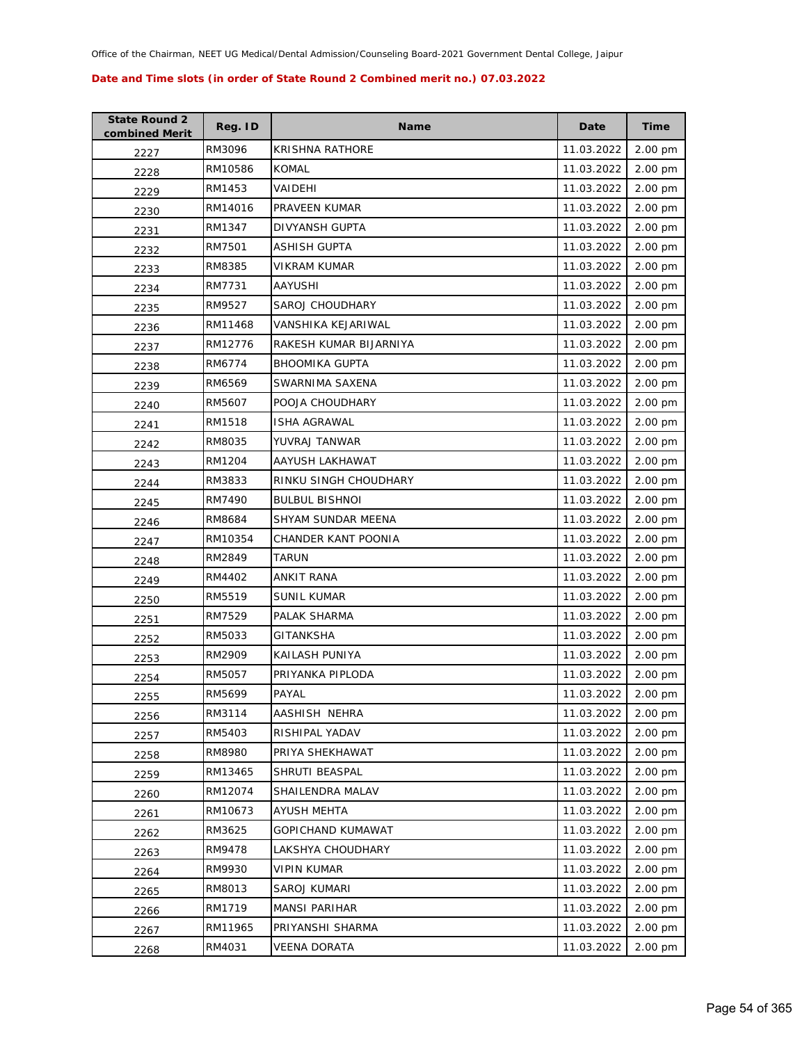| <b>State Round 2</b><br>combined Merit | Reg. ID | <b>Name</b>            | Date       | <b>Time</b> |
|----------------------------------------|---------|------------------------|------------|-------------|
| 2227                                   | RM3096  | KRISHNA RATHORE        | 11.03.2022 | 2.00 pm     |
| 2228                                   | RM10586 | <b>KOMAL</b>           | 11.03.2022 | 2.00 pm     |
| 2229                                   | RM1453  | VAIDEHI                | 11.03.2022 | 2.00 pm     |
| 2230                                   | RM14016 | PRAVEEN KUMAR          | 11.03.2022 | 2.00 pm     |
| 2231                                   | RM1347  | DIVYANSH GUPTA         | 11.03.2022 | 2.00 pm     |
| 2232                                   | RM7501  | <b>ASHISH GUPTA</b>    | 11.03.2022 | 2.00 pm     |
| 2233                                   | RM8385  | VIKRAM KUMAR           | 11.03.2022 | 2.00 pm     |
| 2234                                   | RM7731  | AAYUSHI                | 11.03.2022 | 2.00 pm     |
| 2235                                   | RM9527  | SAROJ CHOUDHARY        | 11.03.2022 | 2.00 pm     |
| 2236                                   | RM11468 | VANSHIKA KEJARIWAL     | 11.03.2022 | 2.00 pm     |
| 2237                                   | RM12776 | RAKESH KUMAR BIJARNIYA | 11.03.2022 | 2.00 pm     |
| 2238                                   | RM6774  | <b>BHOOMIKA GUPTA</b>  | 11.03.2022 | 2.00 pm     |
| 2239                                   | RM6569  | SWARNIMA SAXENA        | 11.03.2022 | 2.00 pm     |
| 2240                                   | RM5607  | POOJA CHOUDHARY        | 11.03.2022 | 2.00 pm     |
| 2241                                   | RM1518  | <b>ISHA AGRAWAL</b>    | 11.03.2022 | 2.00 pm     |
| 2242                                   | RM8035  | YUVRAJ TANWAR          | 11.03.2022 | 2.00 pm     |
| 2243                                   | RM1204  | AAYUSH LAKHAWAT        | 11.03.2022 | 2.00 pm     |
| 2244                                   | RM3833  | RINKU SINGH CHOUDHARY  | 11.03.2022 | 2.00 pm     |
| 2245                                   | RM7490  | <b>BULBUL BISHNOI</b>  | 11.03.2022 | 2.00 pm     |
| 2246                                   | RM8684  | SHYAM SUNDAR MEENA     | 11.03.2022 | 2.00 pm     |
| 2247                                   | RM10354 | CHANDER KANT POONIA    | 11.03.2022 | 2.00 pm     |
| 2248                                   | RM2849  | <b>TARUN</b>           | 11.03.2022 | 2.00 pm     |
| 2249                                   | RM4402  | ANKIT RANA             | 11.03.2022 | 2.00 pm     |
| 2250                                   | RM5519  | <b>SUNIL KUMAR</b>     | 11.03.2022 | 2.00 pm     |
| 2251                                   | RM7529  | PALAK SHARMA           | 11.03.2022 | 2.00 pm     |
| 2252                                   | RM5033  | <b>GITANKSHA</b>       | 11.03.2022 | 2.00 pm     |
| 2253                                   | RM2909  | KAILASH PUNIYA         | 11.03.2022 | 2.00 pm     |
| 2254                                   | RM5057  | PRIYANKA PIPLODA       | 11.03.2022 | 2.00 pm     |
| 2255                                   | RM5699  | PAYAL                  | 11.03.2022 | 2.00 pm     |
| 2256                                   | RM3114  | AASHISH NEHRA          | 11.03.2022 | 2.00 pm     |
| 2257                                   | RM5403  | RISHIPAL YADAV         | 11.03.2022 | 2.00 pm     |
| 2258                                   | RM8980  | PRIYA SHEKHAWAT        | 11.03.2022 | 2.00 pm     |
| 2259                                   | RM13465 | SHRUTI BEASPAL         | 11.03.2022 | 2.00 pm     |
| 2260                                   | RM12074 | SHAILENDRA MALAV       | 11.03.2022 | 2.00 pm     |
| 2261                                   | RM10673 | AYUSH MEHTA            | 11.03.2022 | 2.00 pm     |
| 2262                                   | RM3625  | GOPICHAND KUMAWAT      | 11.03.2022 | 2.00 pm     |
| 2263                                   | RM9478  | LAKSHYA CHOUDHARY      | 11.03.2022 | 2.00 pm     |
| 2264                                   | RM9930  | VIPIN KUMAR            | 11.03.2022 | 2.00 pm     |
| 2265                                   | RM8013  | SAROJ KUMARI           | 11.03.2022 | 2.00 pm     |
| 2266                                   | RM1719  | MANSI PARIHAR          | 11.03.2022 | 2.00 pm     |
| 2267                                   | RM11965 | PRIYANSHI SHARMA       | 11.03.2022 | 2.00 pm     |
| 2268                                   | RM4031  | <b>VEENA DORATA</b>    | 11.03.2022 | 2.00 pm     |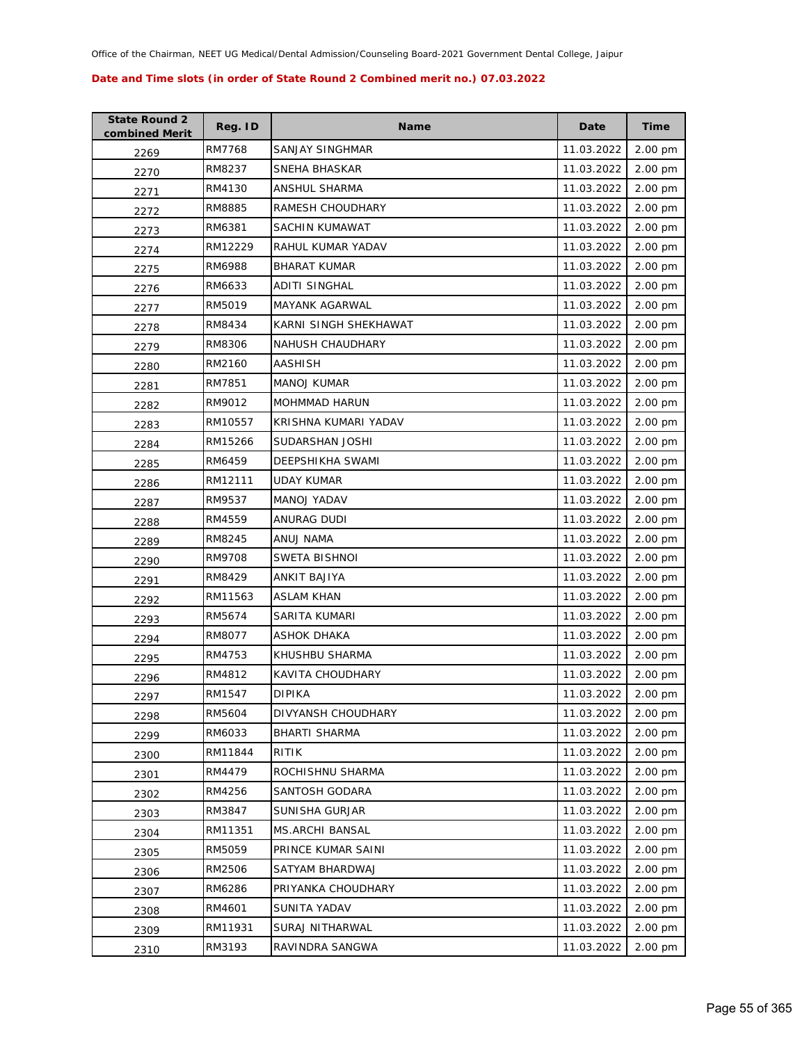| <b>State Round 2</b><br>combined Merit | Reg. ID | <b>Name</b>             | Date       | <b>Time</b> |
|----------------------------------------|---------|-------------------------|------------|-------------|
| 2269                                   | RM7768  | SANJAY SINGHMAR         | 11.03.2022 | 2.00 pm     |
| 2270                                   | RM8237  | SNEHA BHASKAR           | 11.03.2022 | 2.00 pm     |
| 2271                                   | RM4130  | ANSHUL SHARMA           | 11.03.2022 | 2.00 pm     |
| 2272                                   | RM8885  | RAMESH CHOUDHARY        | 11.03.2022 | 2.00 pm     |
| 2273                                   | RM6381  | SACHIN KUMAWAT          | 11.03.2022 | 2.00 pm     |
| 2274                                   | RM12229 | RAHUL KUMAR YADAV       | 11.03.2022 | 2.00 pm     |
| 2275                                   | RM6988  | <b>BHARAT KUMAR</b>     | 11.03.2022 | 2.00 pm     |
| 2276                                   | RM6633  | <b>ADITI SINGHAL</b>    | 11.03.2022 | 2.00 pm     |
| 2277                                   | RM5019  | MAYANK AGARWAL          | 11.03.2022 | 2.00 pm     |
| 2278                                   | RM8434  | KARNI SINGH SHEKHAWAT   | 11.03.2022 | 2.00 pm     |
| 2279                                   | RM8306  | <b>NAHUSH CHAUDHARY</b> | 11.03.2022 | 2.00 pm     |
| 2280                                   | RM2160  | AASHISH                 | 11.03.2022 | 2.00 pm     |
| 2281                                   | RM7851  | <b>MANOJ KUMAR</b>      | 11.03.2022 | 2.00 pm     |
| 2282                                   | RM9012  | MOHMMAD HARUN           | 11.03.2022 | 2.00 pm     |
| 2283                                   | RM10557 | KRISHNA KUMARI YADAV    | 11.03.2022 | 2.00 pm     |
| 2284                                   | RM15266 | SUDARSHAN JOSHI         | 11.03.2022 | 2.00 pm     |
| 2285                                   | RM6459  | <b>DEEPSHIKHA SWAMI</b> | 11.03.2022 | 2.00 pm     |
| 2286                                   | RM12111 | <b>UDAY KUMAR</b>       | 11.03.2022 | 2.00 pm     |
| 2287                                   | RM9537  | MANOJ YADAV             | 11.03.2022 | 2.00 pm     |
| 2288                                   | RM4559  | ANURAG DUDI             | 11.03.2022 | 2.00 pm     |
| 2289                                   | RM8245  | ANUJ NAMA               | 11.03.2022 | 2.00 pm     |
| 2290                                   | RM9708  | <b>SWETA BISHNOI</b>    | 11.03.2022 | 2.00 pm     |
| 2291                                   | RM8429  | ANKIT BAJIYA            | 11.03.2022 | 2.00 pm     |
| 2292                                   | RM11563 | <b>ASLAM KHAN</b>       | 11.03.2022 | 2.00 pm     |
| 2293                                   | RM5674  | SARITA KUMARI           | 11.03.2022 | 2.00 pm     |
| 2294                                   | RM8077  | <b>ASHOK DHAKA</b>      | 11.03.2022 | 2.00 pm     |
| 2295                                   | RM4753  | KHUSHBU SHARMA          | 11.03.2022 | 2.00 pm     |
| 2296                                   | RM4812  | KAVITA CHOUDHARY        | 11.03.2022 | 2.00 pm     |
| 2297                                   | RM1547  | <b>DIPIKA</b>           | 11.03.2022 | 2.00 pm     |
| 2298                                   | RM5604  | DIVYANSH CHOUDHARY      | 11.03.2022 | 2.00 pm     |
| 2299                                   | RM6033  | BHARTI SHARMA           | 11.03.2022 | 2.00 pm     |
| 2300                                   | RM11844 | RITIK                   | 11.03.2022 | 2.00 pm     |
| 2301                                   | RM4479  | ROCHISHNU SHARMA        | 11.03.2022 | 2.00 pm     |
| 2302                                   | RM4256  | SANTOSH GODARA          | 11.03.2022 | 2.00 pm     |
| 2303                                   | RM3847  | SUNISHA GURJAR          | 11.03.2022 | 2.00 pm     |
| 2304                                   | RM11351 | <b>MS.ARCHI BANSAL</b>  | 11.03.2022 | 2.00 pm     |
| 2305                                   | RM5059  | PRINCE KUMAR SAINI      | 11.03.2022 | 2.00 pm     |
| 2306                                   | RM2506  | SATYAM BHARDWAJ         | 11.03.2022 | 2.00 pm     |
| 2307                                   | RM6286  | PRIYANKA CHOUDHARY      | 11.03.2022 | 2.00 pm     |
| 2308                                   | RM4601  | SUNITA YADAV            | 11.03.2022 | 2.00 pm     |
| 2309                                   | RM11931 | SURAJ NITHARWAL         | 11.03.2022 | 2.00 pm     |
| 2310                                   | RM3193  | RAVINDRA SANGWA         | 11.03.2022 | 2.00 pm     |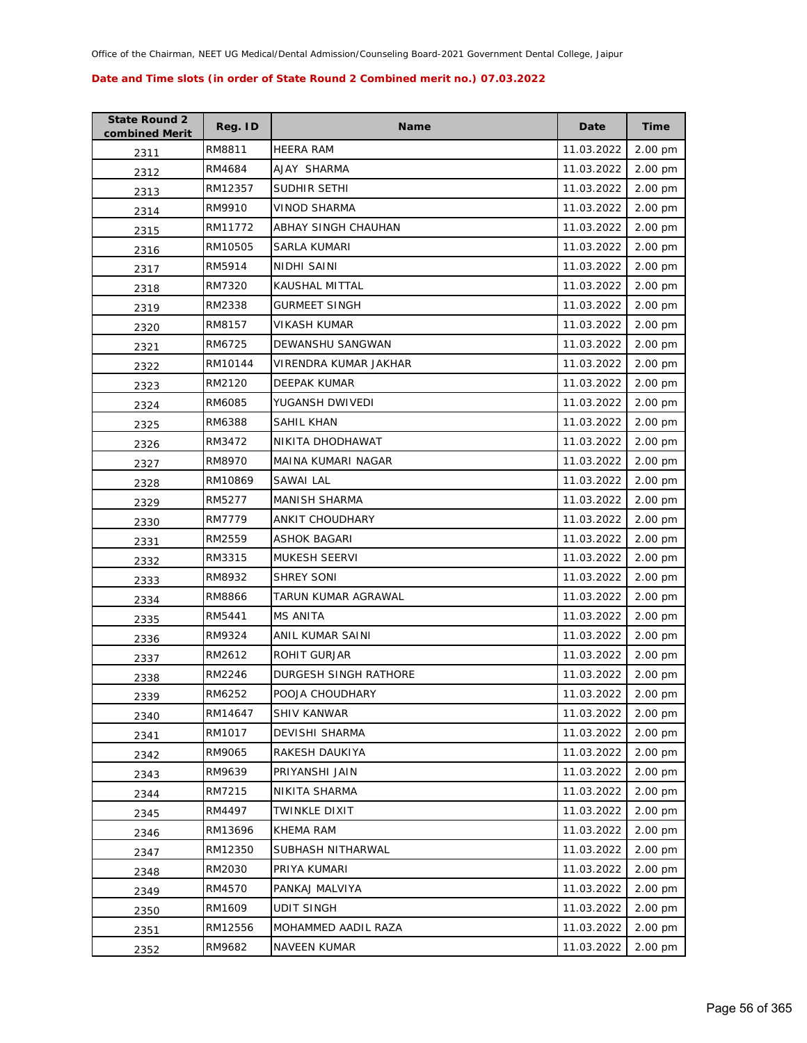| <b>State Round 2</b><br>combined Merit | Reg. ID | <b>Name</b>           | Date       | <b>Time</b> |
|----------------------------------------|---------|-----------------------|------------|-------------|
| 2311                                   | RM8811  | <b>HEERA RAM</b>      | 11.03.2022 | 2.00 pm     |
| 2312                                   | RM4684  | AJAY SHARMA           | 11.03.2022 | 2.00 pm     |
| 2313                                   | RM12357 | SUDHIR SETHI          | 11.03.2022 | 2.00 pm     |
| 2314                                   | RM9910  | <b>VINOD SHARMA</b>   | 11.03.2022 | 2.00 pm     |
| 2315                                   | RM11772 | ABHAY SINGH CHAUHAN   | 11.03.2022 | 2.00 pm     |
| 2316                                   | RM10505 | <b>SARLA KUMARI</b>   | 11.03.2022 | 2.00 pm     |
| 2317                                   | RM5914  | <b>NIDHI SAINI</b>    | 11.03.2022 | 2.00 pm     |
| 2318                                   | RM7320  | <b>KAUSHAL MITTAL</b> | 11.03.2022 | 2.00 pm     |
| 2319                                   | RM2338  | <b>GURMEET SINGH</b>  | 11.03.2022 | 2.00 pm     |
| 2320                                   | RM8157  | VIKASH KUMAR          | 11.03.2022 | 2.00 pm     |
| 2321                                   | RM6725  | DEWANSHU SANGWAN      | 11.03.2022 | 2.00 pm     |
| 2322                                   | RM10144 | VIRENDRA KUMAR JAKHAR | 11.03.2022 | 2.00 pm     |
| 2323                                   | RM2120  | DEEPAK KUMAR          | 11.03.2022 | 2.00 pm     |
| 2324                                   | RM6085  | YUGANSH DWIVEDI       | 11.03.2022 | 2.00 pm     |
| 2325                                   | RM6388  | SAHIL KHAN            | 11.03.2022 | 2.00 pm     |
| 2326                                   | RM3472  | NIKITA DHODHAWAT      | 11.03.2022 | 2.00 pm     |
| 2327                                   | RM8970  | MAINA KUMARI NAGAR    | 11.03.2022 | 2.00 pm     |
| 2328                                   | RM10869 | <b>SAWAI LAL</b>      | 11.03.2022 | 2.00 pm     |
| 2329                                   | RM5277  | <b>MANISH SHARMA</b>  | 11.03.2022 | 2.00 pm     |
| 2330                                   | RM7779  | ANKIT CHOUDHARY       | 11.03.2022 | 2.00 pm     |
| 2331                                   | RM2559  | ASHOK BAGARI          | 11.03.2022 | 2.00 pm     |
| 2332                                   | RM3315  | <b>MUKESH SEERVI</b>  | 11.03.2022 | 2.00 pm     |
| 2333                                   | RM8932  | <b>SHREY SONI</b>     | 11.03.2022 | 2.00 pm     |
| 2334                                   | RM8866  | TARUN KUMAR AGRAWAL   | 11.03.2022 | 2.00 pm     |
| 2335                                   | RM5441  | MS ANITA              | 11.03.2022 | 2.00 pm     |
| 2336                                   | RM9324  | ANIL KUMAR SAINI      | 11.03.2022 | 2.00 pm     |
| 2337                                   | RM2612  | ROHIT GURJAR          | 11.03.2022 | 2.00 pm     |
| 2338                                   | RM2246  | DURGESH SINGH RATHORE | 11.03.2022 | 2.00 pm     |
| 2339                                   | RM6252  | POOJA CHOUDHARY       | 11.03.2022 | 2.00 pm     |
| 2340                                   | RM14647 | SHIV KANWAR           | 11.03.2022 | 2.00 pm     |
| 2341                                   | RM1017  | DEVISHI SHARMA        | 11.03.2022 | 2.00 pm     |
| 2342                                   | RM9065  | RAKESH DAUKIYA        | 11.03.2022 | 2.00 pm     |
| 2343                                   | RM9639  | PRIYANSHI JAIN        | 11.03.2022 | 2.00 pm     |
| 2344                                   | RM7215  | NIKITA SHARMA         | 11.03.2022 | 2.00 pm     |
| 2345                                   | RM4497  | TWINKLE DIXIT         | 11.03.2022 | 2.00 pm     |
| 2346                                   | RM13696 | KHEMA RAM             | 11.03.2022 | 2.00 pm     |
| 2347                                   | RM12350 | SUBHASH NITHARWAL     | 11.03.2022 | 2.00 pm     |
| 2348                                   | RM2030  | PRIYA KUMARI          | 11.03.2022 | 2.00 pm     |
| 2349                                   | RM4570  | PANKAJ MALVIYA        | 11.03.2022 | 2.00 pm     |
| 2350                                   | RM1609  | <b>UDIT SINGH</b>     | 11.03.2022 | 2.00 pm     |
| 2351                                   | RM12556 | MOHAMMED AADIL RAZA   | 11.03.2022 | 2.00 pm     |
| 2352                                   | RM9682  | <b>NAVEEN KUMAR</b>   | 11.03.2022 | 2.00 pm     |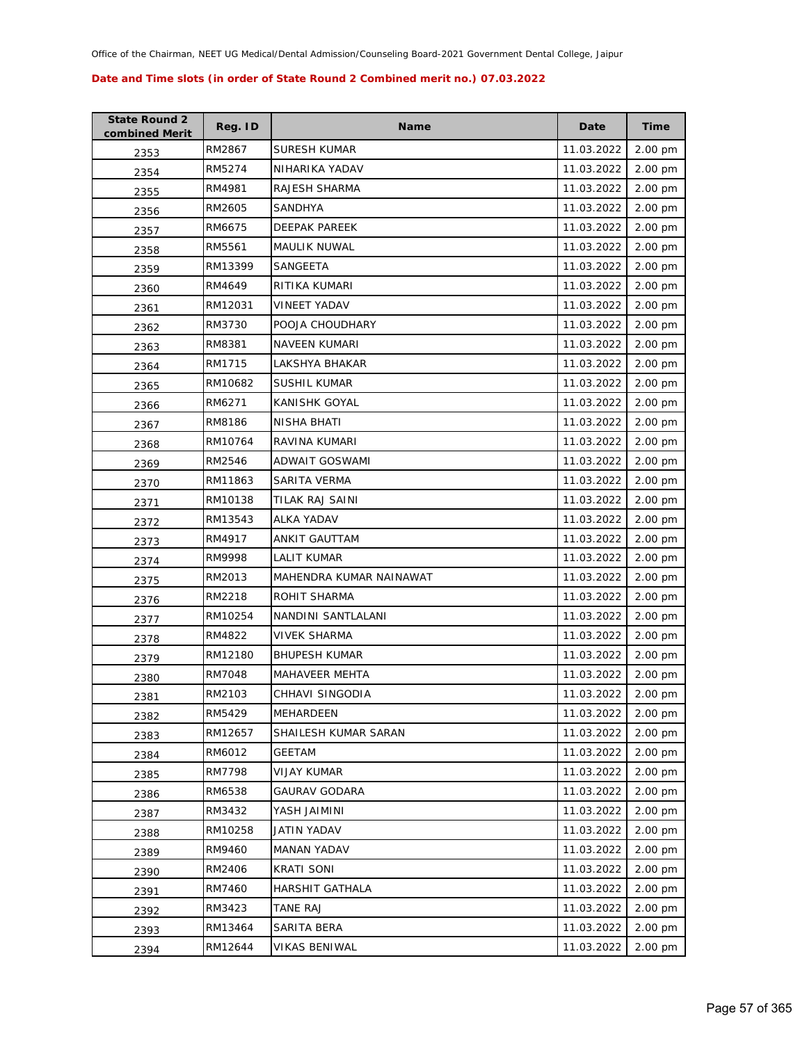| <b>State Round 2</b><br>combined Merit | Reg. ID | <b>Name</b>             | Date       | <b>Time</b>       |
|----------------------------------------|---------|-------------------------|------------|-------------------|
| 2353                                   | RM2867  | <b>SURESH KUMAR</b>     | 11.03.2022 | 2.00 pm           |
| 2354                                   | RM5274  | NIHARIKA YADAV          | 11.03.2022 | 2.00 pm           |
| 2355                                   | RM4981  | RAJESH SHARMA           | 11.03.2022 | 2.00 pm           |
| 2356                                   | RM2605  | SANDHYA                 | 11.03.2022 | 2.00 pm           |
| 2357                                   | RM6675  | DEEPAK PAREEK           | 11.03.2022 | 2.00 pm           |
| 2358                                   | RM5561  | MAULIK NUWAL            | 11.03.2022 | 2.00 pm           |
| 2359                                   | RM13399 | SANGEETA                | 11.03.2022 | 2.00 pm           |
| 2360                                   | RM4649  | RITIKA KUMARI           | 11.03.2022 | 2.00 pm           |
| 2361                                   | RM12031 | <b>VINEET YADAV</b>     | 11.03.2022 | 2.00 pm           |
| 2362                                   | RM3730  | POOJA CHOUDHARY         | 11.03.2022 | 2.00 pm           |
| 2363                                   | RM8381  | NAVEEN KUMARI           | 11.03.2022 | 2.00 pm           |
| 2364                                   | RM1715  | LAKSHYA BHAKAR          | 11.03.2022 | 2.00 pm           |
| 2365                                   | RM10682 | <b>SUSHIL KUMAR</b>     | 11.03.2022 | 2.00 pm           |
| 2366                                   | RM6271  | KANISHK GOYAL           | 11.03.2022 | 2.00 pm           |
| 2367                                   | RM8186  | NISHA BHATI             | 11.03.2022 | 2.00 pm           |
| 2368                                   | RM10764 | RAVINA KUMARI           | 11.03.2022 | 2.00 pm           |
| 2369                                   | RM2546  | ADWAIT GOSWAMI          | 11.03.2022 | 2.00 pm           |
| 2370                                   | RM11863 | SARITA VERMA            | 11.03.2022 | 2.00 pm           |
| 2371                                   | RM10138 | TILAK RAJ SAINI         | 11.03.2022 | 2.00 pm           |
| 2372                                   | RM13543 | <b>ALKA YADAV</b>       | 11.03.2022 | 2.00 pm           |
| 2373                                   | RM4917  | ANKIT GAUTTAM           | 11.03.2022 | 2.00 pm           |
| 2374                                   | RM9998  | LALIT KUMAR             | 11.03.2022 | 2.00 pm           |
| 2375                                   | RM2013  | MAHENDRA KUMAR NAINAWAT | 11.03.2022 | 2.00 pm           |
| 2376                                   | RM2218  | ROHIT SHARMA            | 11.03.2022 | 2.00 pm           |
| 2377                                   | RM10254 | NANDINI SANTLALANI      | 11.03.2022 | $2.00 \text{ pm}$ |
| 2378                                   | RM4822  | <b>VIVEK SHARMA</b>     | 11.03.2022 | 2.00 pm           |
| 2379                                   | RM12180 | <b>BHUPESH KUMAR</b>    | 11.03.2022 | 2.00 pm           |
| 2380                                   | RM7048  | MAHAVEER MEHTA          | 11.03.2022 | 2.00 pm           |
| 2381                                   | RM2103  | CHHAVI SINGODIA         | 11.03.2022 | 2.00 pm           |
| 2382                                   | RM5429  | MEHARDEEN               | 11.03.2022 | 2.00 pm           |
| 2383                                   | RM12657 | SHAILESH KUMAR SARAN    | 11.03.2022 | 2.00 pm           |
| 2384                                   | RM6012  | <b>GEETAM</b>           | 11.03.2022 | 2.00 pm           |
| 2385                                   | RM7798  | <b>VIJAY KUMAR</b>      | 11.03.2022 | 2.00 pm           |
| 2386                                   | RM6538  | <b>GAURAV GODARA</b>    | 11.03.2022 | 2.00 pm           |
| 2387                                   | RM3432  | <b>YASH JAIMINI</b>     | 11.03.2022 | 2.00 pm           |
| 2388                                   | RM10258 | <b>JATIN YADAV</b>      | 11.03.2022 | 2.00 pm           |
| 2389                                   | RM9460  | MANAN YADAV             | 11.03.2022 | 2.00 pm           |
| 2390                                   | RM2406  | <b>KRATI SONI</b>       | 11.03.2022 | 2.00 pm           |
| 2391                                   | RM7460  | HARSHIT GATHALA         | 11.03.2022 | 2.00 pm           |
| 2392                                   | RM3423  | <b>TANE RAJ</b>         | 11.03.2022 | 2.00 pm           |
| 2393                                   | RM13464 | SARITA BERA             | 11.03.2022 | 2.00 pm           |
| 2394                                   | RM12644 | <b>VIKAS BENIWAL</b>    | 11.03.2022 | 2.00 pm           |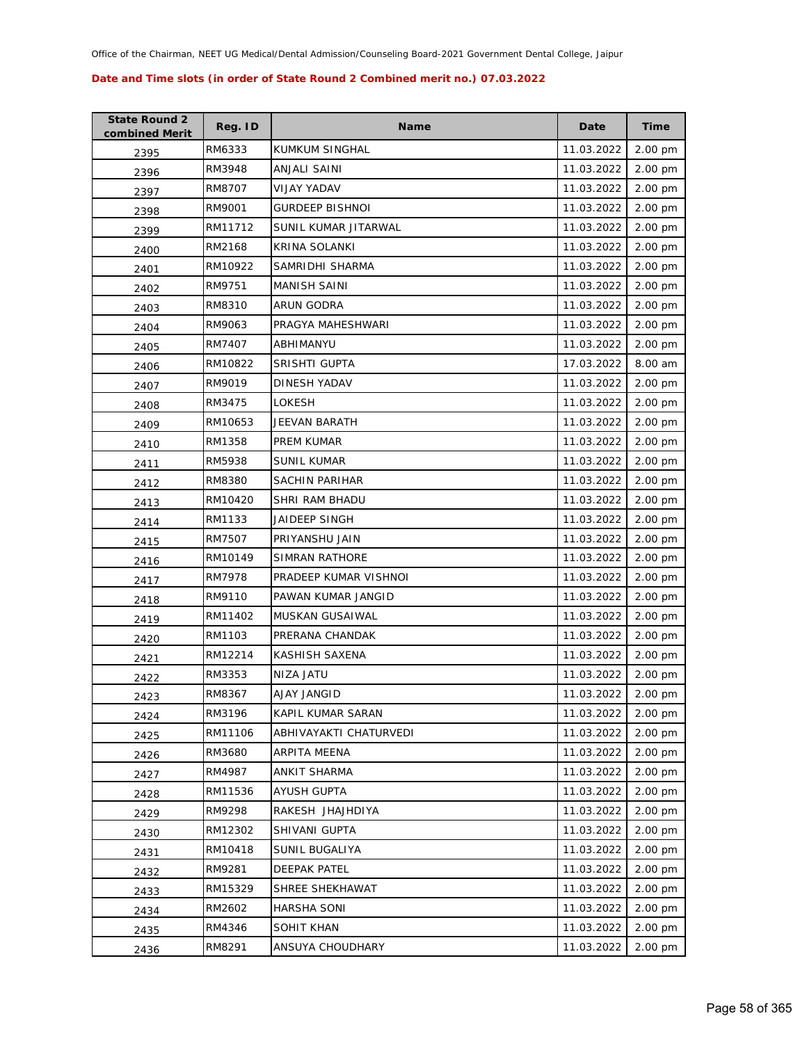| <b>State Round 2</b><br>combined Merit | Reg. ID | <b>Name</b>            | Date       | <b>Time</b>       |
|----------------------------------------|---------|------------------------|------------|-------------------|
| 2395                                   | RM6333  | KUMKUM SINGHAL         | 11.03.2022 | 2.00 pm           |
| 2396                                   | RM3948  | ANJALI SAINI           | 11.03.2022 | 2.00 pm           |
| 2397                                   | RM8707  | VIJAY YADAV            | 11.03.2022 | 2.00 pm           |
| 2398                                   | RM9001  | <b>GURDEEP BISHNOI</b> | 11.03.2022 | 2.00 pm           |
| 2399                                   | RM11712 | SUNIL KUMAR JITARWAL   | 11.03.2022 | 2.00 pm           |
| 2400                                   | RM2168  | <b>KRINA SOLANKI</b>   | 11.03.2022 | 2.00 pm           |
| 2401                                   | RM10922 | SAMRIDHI SHARMA        | 11.03.2022 | 2.00 pm           |
| 2402                                   | RM9751  | MANISH SAINI           | 11.03.2022 | 2.00 pm           |
| 2403                                   | RM8310  | ARUN GODRA             | 11.03.2022 | 2.00 pm           |
| 2404                                   | RM9063  | PRAGYA MAHESHWARI      | 11.03.2022 | 2.00 pm           |
| 2405                                   | RM7407  | ABHIMANYU              | 11.03.2022 | 2.00 pm           |
| 2406                                   | RM10822 | SRISHTI GUPTA          | 17.03.2022 | 8.00 am           |
| 2407                                   | RM9019  | DINESH YADAV           | 11.03.2022 | 2.00 pm           |
| 2408                                   | RM3475  | LOKESH                 | 11.03.2022 | 2.00 pm           |
| 2409                                   | RM10653 | JEEVAN BARATH          | 11.03.2022 | 2.00 pm           |
| 2410                                   | RM1358  | PREM KUMAR             | 11.03.2022 | 2.00 pm           |
| 2411                                   | RM5938  | <b>SUNIL KUMAR</b>     | 11.03.2022 | 2.00 pm           |
| 2412                                   | RM8380  | SACHIN PARIHAR         | 11.03.2022 | 2.00 pm           |
| 2413                                   | RM10420 | SHRI RAM BHADU         | 11.03.2022 | 2.00 pm           |
| 2414                                   | RM1133  | JAIDEEP SINGH          | 11.03.2022 | 2.00 pm           |
| 2415                                   | RM7507  | PRIYANSHU JAIN         | 11.03.2022 | 2.00 pm           |
| 2416                                   | RM10149 | <b>SIMRAN RATHORE</b>  | 11.03.2022 | 2.00 pm           |
| 2417                                   | RM7978  | PRADEEP KUMAR VISHNOI  | 11.03.2022 | 2.00 pm           |
| 2418                                   | RM9110  | PAWAN KUMAR JANGID     | 11.03.2022 | 2.00 pm           |
| 2419                                   | RM11402 | MUSKAN GUSAIWAL        | 11.03.2022 | $2.00 \text{ pm}$ |
| 2420                                   | RM1103  | PRERANA CHANDAK        | 11.03.2022 | 2.00 pm           |
| 2421                                   | RM12214 | KASHISH SAXENA         | 11.03.2022 | 2.00 pm           |
| 2422                                   | RM3353  | NIZA JATU              | 11.03.2022 | 2.00 pm           |
| 2423                                   | RM8367  | AJAY JANGID            | 11.03.2022 | 2.00 pm           |
| 2424                                   | RM3196  | KAPIL KUMAR SARAN      | 11.03.2022 | 2.00 pm           |
| 2425                                   | RM11106 | ABHIVAYAKTI CHATURVEDI | 11.03.2022 | 2.00 pm           |
| 2426                                   | RM3680  | ARPITA MEENA           | 11.03.2022 | 2.00 pm           |
| 2427                                   | RM4987  | ANKIT SHARMA           | 11.03.2022 | 2.00 pm           |
| 2428                                   | RM11536 | <b>AYUSH GUPTA</b>     | 11.03.2022 | 2.00 pm           |
| 2429                                   | RM9298  | RAKESH JHAJHDIYA       | 11.03.2022 | 2.00 pm           |
| 2430                                   | RM12302 | SHIVANI GUPTA          | 11.03.2022 | 2.00 pm           |
| 2431                                   | RM10418 | SUNIL BUGALIYA         | 11.03.2022 | 2.00 pm           |
| 2432                                   | RM9281  | <b>DEEPAK PATEL</b>    | 11.03.2022 | 2.00 pm           |
| 2433                                   | RM15329 | SHREE SHEKHAWAT        | 11.03.2022 | 2.00 pm           |
| 2434                                   | RM2602  | <b>HARSHA SONI</b>     | 11.03.2022 | 2.00 pm           |
| 2435                                   | RM4346  | SOHIT KHAN             | 11.03.2022 | 2.00 pm           |
| 2436                                   | RM8291  | ANSUYA CHOUDHARY       | 11.03.2022 | 2.00 pm           |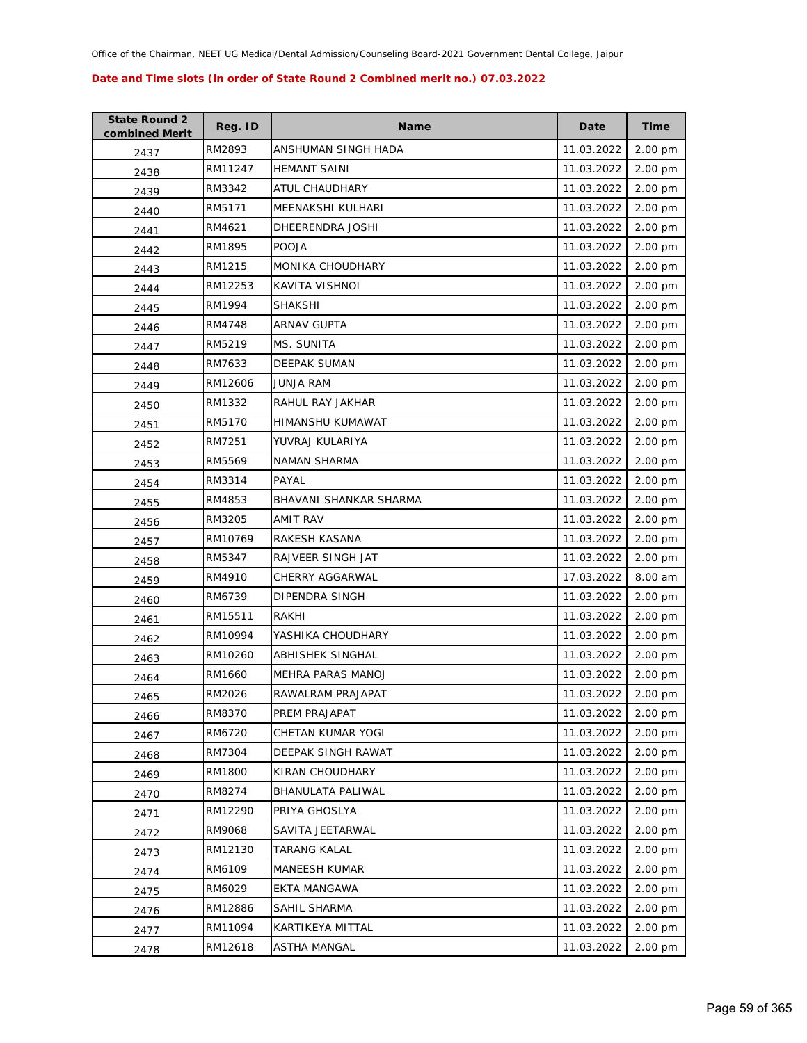| <b>State Round 2</b><br>combined Merit | Reg. ID | <b>Name</b>            | Date       | <b>Time</b> |
|----------------------------------------|---------|------------------------|------------|-------------|
| 2437                                   | RM2893  | ANSHUMAN SINGH HADA    | 11.03.2022 | 2.00 pm     |
| 2438                                   | RM11247 | <b>HEMANT SAINI</b>    | 11.03.2022 | 2.00 pm     |
| 2439                                   | RM3342  | ATUL CHAUDHARY         | 11.03.2022 | 2.00 pm     |
| 2440                                   | RM5171  | MEENAKSHI KULHARI      | 11.03.2022 | 2.00 pm     |
| 2441                                   | RM4621  | DHEERENDRA JOSHI       | 11.03.2022 | 2.00 pm     |
| 2442                                   | RM1895  | <b>POOJA</b>           | 11.03.2022 | 2.00 pm     |
| 2443                                   | RM1215  | MONIKA CHOUDHARY       | 11.03.2022 | 2.00 pm     |
| 2444                                   | RM12253 | KAVITA VISHNOI         | 11.03.2022 | 2.00 pm     |
| 2445                                   | RM1994  | <b>SHAKSHI</b>         | 11.03.2022 | 2.00 pm     |
| 2446                                   | RM4748  | ARNAV GUPTA            | 11.03.2022 | 2.00 pm     |
| 2447                                   | RM5219  | MS. SUNITA             | 11.03.2022 | 2.00 pm     |
| 2448                                   | RM7633  | <b>DEEPAK SUMAN</b>    | 11.03.2022 | 2.00 pm     |
| 2449                                   | RM12606 | JUNJA RAM              | 11.03.2022 | 2.00 pm     |
| 2450                                   | RM1332  | RAHUL RAY JAKHAR       | 11.03.2022 | 2.00 pm     |
| 2451                                   | RM5170  | HIMANSHU KUMAWAT       | 11.03.2022 | 2.00 pm     |
| 2452                                   | RM7251  | YUVRAJ KULARIYA        | 11.03.2022 | 2.00 pm     |
| 2453                                   | RM5569  | <b>NAMAN SHARMA</b>    | 11.03.2022 | 2.00 pm     |
| 2454                                   | RM3314  | PAYAL                  | 11.03.2022 | 2.00 pm     |
| 2455                                   | RM4853  | BHAVANI SHANKAR SHARMA | 11.03.2022 | 2.00 pm     |
| 2456                                   | RM3205  | AMIT RAV               | 11.03.2022 | 2.00 pm     |
| 2457                                   | RM10769 | RAKESH KASANA          | 11.03.2022 | 2.00 pm     |
| 2458                                   | RM5347  | RAJVEER SINGH JAT      | 11.03.2022 | 2.00 pm     |
| 2459                                   | RM4910  | CHERRY AGGARWAL        | 17.03.2022 | 8.00 am     |
| 2460                                   | RM6739  | DIPENDRA SINGH         | 11.03.2022 | 2.00 pm     |
| 2461                                   | RM15511 | RAKHI                  | 11.03.2022 | 2.00 pm     |
| 2462                                   | RM10994 | YASHIKA CHOUDHARY      | 11.03.2022 | 2.00 pm     |
| 2463                                   | RM10260 | ABHISHEK SINGHAL       | 11.03.2022 | 2.00 pm     |
| 2464                                   | RM1660  | MEHRA PARAS MANOJ      | 11.03.2022 | 2.00 pm     |
| 2465                                   | RM2026  | RAWALRAM PRAJAPAT      | 11.03.2022 | 2.00 pm     |
| 2466                                   | RM8370  | PREM PRAJAPAT          | 11.03.2022 | 2.00 pm     |
| 2467                                   | RM6720  | CHETAN KUMAR YOGI      | 11.03.2022 | 2.00 pm     |
| 2468                                   | RM7304  | DEEPAK SINGH RAWAT     | 11.03.2022 | 2.00 pm     |
| 2469                                   | RM1800  | KIRAN CHOUDHARY        | 11.03.2022 | 2.00 pm     |
| 2470                                   | RM8274  | BHANULATA PALIWAL      | 11.03.2022 | 2.00 pm     |
| 2471                                   | RM12290 | PRIYA GHOSLYA          | 11.03.2022 | 2.00 pm     |
| 2472                                   | RM9068  | SAVITA JEETARWAL       | 11.03.2022 | 2.00 pm     |
| 2473                                   | RM12130 | <b>TARANG KALAL</b>    | 11.03.2022 | 2.00 pm     |
| 2474                                   | RM6109  | <b>MANEESH KUMAR</b>   | 11.03.2022 | 2.00 pm     |
| 2475                                   | RM6029  | EKTA MANGAWA           | 11.03.2022 | 2.00 pm     |
| 2476                                   | RM12886 | SAHIL SHARMA           | 11.03.2022 | 2.00 pm     |
| 2477                                   | RM11094 | KARTIKEYA MITTAL       | 11.03.2022 | 2.00 pm     |
| 2478                                   | RM12618 | <b>ASTHA MANGAL</b>    | 11.03.2022 | 2.00 pm     |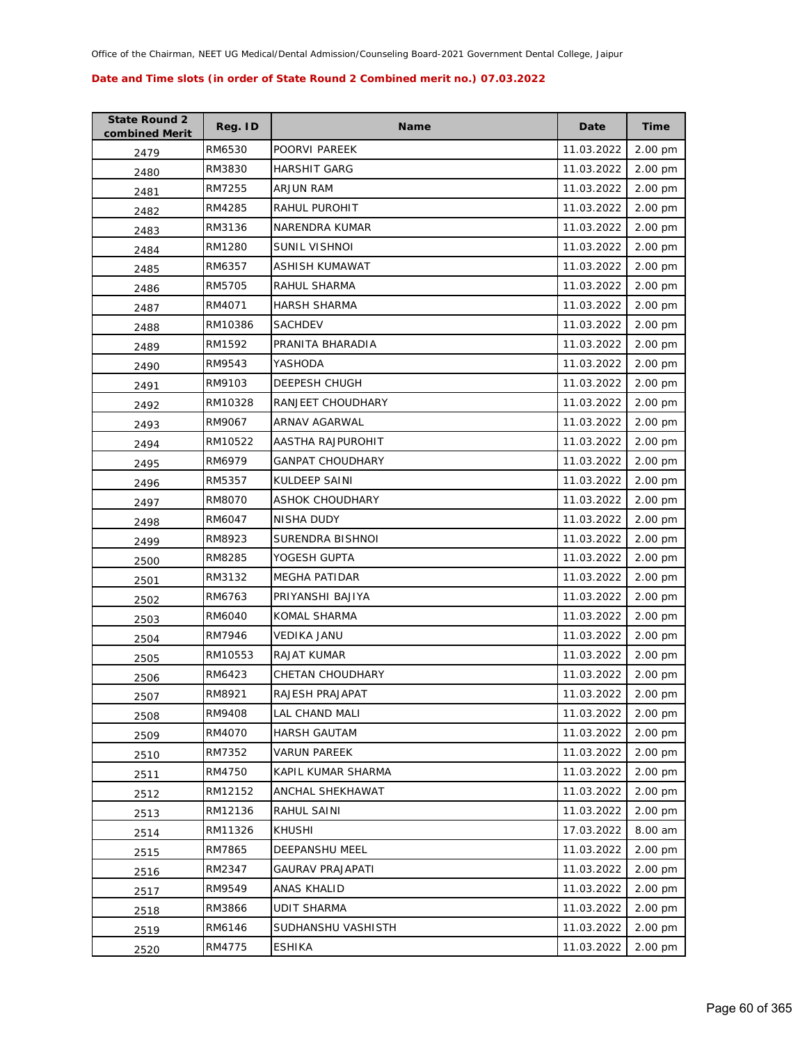| <b>State Round 2</b><br>combined Merit | Reg. ID | <b>Name</b>             | Date       | <b>Time</b> |
|----------------------------------------|---------|-------------------------|------------|-------------|
| 2479                                   | RM6530  | POORVI PAREEK           | 11.03.2022 | 2.00 pm     |
| 2480                                   | RM3830  | <b>HARSHIT GARG</b>     | 11.03.2022 | 2.00 pm     |
| 2481                                   | RM7255  | ARJUN RAM               | 11.03.2022 | 2.00 pm     |
| 2482                                   | RM4285  | RAHUL PUROHIT           | 11.03.2022 | 2.00 pm     |
| 2483                                   | RM3136  | NARENDRA KUMAR          | 11.03.2022 | 2.00 pm     |
| 2484                                   | RM1280  | SUNIL VISHNOI           | 11.03.2022 | 2.00 pm     |
| 2485                                   | RM6357  | <b>ASHISH KUMAWAT</b>   | 11.03.2022 | 2.00 pm     |
| 2486                                   | RM5705  | RAHUL SHARMA            | 11.03.2022 | 2.00 pm     |
| 2487                                   | RM4071  | <b>HARSH SHARMA</b>     | 11.03.2022 | 2.00 pm     |
| 2488                                   | RM10386 | <b>SACHDEV</b>          | 11.03.2022 | 2.00 pm     |
| 2489                                   | RM1592  | PRANITA BHARADIA        | 11.03.2022 | 2.00 pm     |
| 2490                                   | RM9543  | YASHODA                 | 11.03.2022 | 2.00 pm     |
| 2491                                   | RM9103  | <b>DEEPESH CHUGH</b>    | 11.03.2022 | 2.00 pm     |
| 2492                                   | RM10328 | RANJEET CHOUDHARY       | 11.03.2022 | 2.00 pm     |
| 2493                                   | RM9067  | ARNAV AGARWAL           | 11.03.2022 | 2.00 pm     |
| 2494                                   | RM10522 | AASTHA RAJPUROHIT       | 11.03.2022 | 2.00 pm     |
| 2495                                   | RM6979  | <b>GANPAT CHOUDHARY</b> | 11.03.2022 | 2.00 pm     |
| 2496                                   | RM5357  | KULDEEP SAINI           | 11.03.2022 | 2.00 pm     |
| 2497                                   | RM8070  | ASHOK CHOUDHARY         | 11.03.2022 | 2.00 pm     |
| 2498                                   | RM6047  | NISHA DUDY              | 11.03.2022 | 2.00 pm     |
| 2499                                   | RM8923  | SURENDRA BISHNOI        | 11.03.2022 | 2.00 pm     |
| 2500                                   | RM8285  | YOGESH GUPTA            | 11.03.2022 | 2.00 pm     |
| 2501                                   | RM3132  | <b>MEGHA PATIDAR</b>    | 11.03.2022 | 2.00 pm     |
| 2502                                   | RM6763  | PRIYANSHI BAJIYA        | 11.03.2022 | 2.00 pm     |
| 2503                                   | RM6040  | KOMAL SHARMA            | 11.03.2022 | 2.00 pm     |
| 2504                                   | RM7946  | VEDIKA JANU             | 11.03.2022 | 2.00 pm     |
| 2505                                   | RM10553 | <b>RAJAT KUMAR</b>      | 11.03.2022 | 2.00 pm     |
| 2506                                   | RM6423  | CHETAN CHOUDHARY        | 11.03.2022 | 2.00 pm     |
| 2507                                   | RM8921  | RAJESH PRAJAPAT         | 11.03.2022 | 2.00 pm     |
| 2508                                   | RM9408  | LAL CHAND MALI          | 11.03.2022 | 2.00 pm     |
| 2509                                   | RM4070  | <b>HARSH GAUTAM</b>     | 11.03.2022 | 2.00 pm     |
| 2510                                   | RM7352  | VARUN PAREEK            | 11.03.2022 | 2.00 pm     |
| 2511                                   | RM4750  | KAPIL KUMAR SHARMA      | 11.03.2022 | 2.00 pm     |
| 2512                                   | RM12152 | ANCHAL SHEKHAWAT        | 11.03.2022 | 2.00 pm     |
| 2513                                   | RM12136 | RAHUL SAINI             | 11.03.2022 | 2.00 pm     |
| 2514                                   | RM11326 | <b>KHUSHI</b>           | 17.03.2022 | 8.00 am     |
| 2515                                   | RM7865  | DEEPANSHU MEEL          | 11.03.2022 | 2.00 pm     |
| 2516                                   | RM2347  | GAURAV PRAJAPATI        | 11.03.2022 | 2.00 pm     |
| 2517                                   | RM9549  | ANAS KHALID             | 11.03.2022 | 2.00 pm     |
| 2518                                   | RM3866  | <b>UDIT SHARMA</b>      | 11.03.2022 | 2.00 pm     |
| 2519                                   | RM6146  | SUDHANSHU VASHISTH      | 11.03.2022 | 2.00 pm     |
| 2520                                   | RM4775  | <b>ESHIKA</b>           | 11.03.2022 | 2.00 pm     |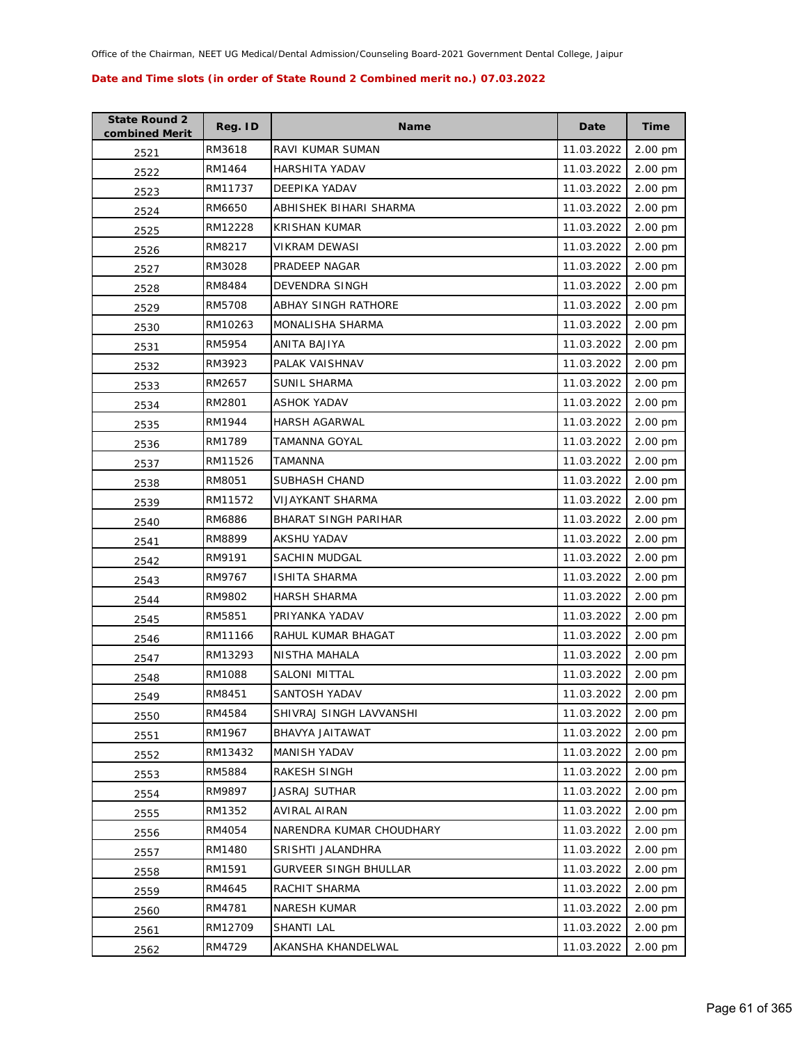| <b>State Round 2</b><br>combined Merit | Reg. ID | <b>Name</b>                 | Date       | <b>Time</b> |
|----------------------------------------|---------|-----------------------------|------------|-------------|
| 2521                                   | RM3618  | RAVI KUMAR SUMAN            | 11.03.2022 | 2.00 pm     |
| 2522                                   | RM1464  | HARSHITA YADAV              | 11.03.2022 | 2.00 pm     |
| 2523                                   | RM11737 | DEEPIKA YADAV               | 11.03.2022 | 2.00 pm     |
| 2524                                   | RM6650  | ABHISHEK BIHARI SHARMA      | 11.03.2022 | 2.00 pm     |
| 2525                                   | RM12228 | <b>KRISHAN KUMAR</b>        | 11.03.2022 | 2.00 pm     |
| 2526                                   | RM8217  | <b>VIKRAM DEWASI</b>        | 11.03.2022 | 2.00 pm     |
| 2527                                   | RM3028  | PRADEEP NAGAR               | 11.03.2022 | 2.00 pm     |
| 2528                                   | RM8484  | <b>DEVENDRA SINGH</b>       | 11.03.2022 | 2.00 pm     |
| 2529                                   | RM5708  | ABHAY SINGH RATHORE         | 11.03.2022 | 2.00 pm     |
| 2530                                   | RM10263 | MONALISHA SHARMA            | 11.03.2022 | 2.00 pm     |
| 2531                                   | RM5954  | ANITA BAJIYA                | 11.03.2022 | 2.00 pm     |
| 2532                                   | RM3923  | PALAK VAISHNAV              | 11.03.2022 | 2.00 pm     |
| 2533                                   | RM2657  | <b>SUNIL SHARMA</b>         | 11.03.2022 | 2.00 pm     |
| 2534                                   | RM2801  | ASHOK YADAV                 | 11.03.2022 | 2.00 pm     |
| 2535                                   | RM1944  | <b>HARSH AGARWAL</b>        | 11.03.2022 | 2.00 pm     |
| 2536                                   | RM1789  | TAMANNA GOYAL               | 11.03.2022 | 2.00 pm     |
| 2537                                   | RM11526 | <b>TAMANNA</b>              | 11.03.2022 | 2.00 pm     |
| 2538                                   | RM8051  | <b>SUBHASH CHAND</b>        | 11.03.2022 | 2.00 pm     |
| 2539                                   | RM11572 | <b>VIJAYKANT SHARMA</b>     | 11.03.2022 | 2.00 pm     |
| 2540                                   | RM6886  | <b>BHARAT SINGH PARIHAR</b> | 11.03.2022 | 2.00 pm     |
| 2541                                   | RM8899  | AKSHU YADAV                 | 11.03.2022 | 2.00 pm     |
| 2542                                   | RM9191  | SACHIN MUDGAL               | 11.03.2022 | 2.00 pm     |
| 2543                                   | RM9767  | ISHITA SHARMA               | 11.03.2022 | 2.00 pm     |
| 2544                                   | RM9802  | <b>HARSH SHARMA</b>         | 11.03.2022 | 2.00 pm     |
| 2545                                   | RM5851  | PRIYANKA YADAV              | 11.03.2022 | 2.00 pm     |
| 2546                                   | RM11166 | RAHUL KUMAR BHAGAT          | 11.03.2022 | 2.00 pm     |
| 2547                                   | RM13293 | NISTHA MAHALA               | 11.03.2022 | 2.00 pm     |
| 2548                                   | RM1088  | SALONI MITTAL               | 11.03.2022 | 2.00 pm     |
| 2549                                   | RM8451  | SANTOSH YADAV               | 11.03.2022 | 2.00 pm     |
| 2550                                   | RM4584  | SHIVRAJ SINGH LAVVANSHI     | 11.03.2022 | 2.00 pm     |
| 2551                                   | RM1967  | BHAVYA JAITAWAT             | 11.03.2022 | 2.00 pm     |
| 2552                                   | RM13432 | MANISH YADAV                | 11.03.2022 | 2.00 pm     |
| 2553                                   | RM5884  | RAKESH SINGH                | 11.03.2022 | 2.00 pm     |
| 2554                                   | RM9897  | <b>JASRAJ SUTHAR</b>        | 11.03.2022 | 2.00 pm     |
| 2555                                   | RM1352  | AVIRAL AIRAN                | 11.03.2022 | 2.00 pm     |
| 2556                                   | RM4054  | NARENDRA KUMAR CHOUDHARY    | 11.03.2022 | 2.00 pm     |
| 2557                                   | RM1480  | SRISHTI JALANDHRA           | 11.03.2022 | 2.00 pm     |
| 2558                                   | RM1591  | GURVEER SINGH BHULLAR       | 11.03.2022 | 2.00 pm     |
| 2559                                   | RM4645  | RACHIT SHARMA               | 11.03.2022 | 2.00 pm     |
| 2560                                   | RM4781  | NARESH KUMAR                | 11.03.2022 | 2.00 pm     |
| 2561                                   | RM12709 | SHANTI LAL                  | 11.03.2022 | 2.00 pm     |
| 2562                                   | RM4729  | AKANSHA KHANDELWAL          | 11.03.2022 | 2.00 pm     |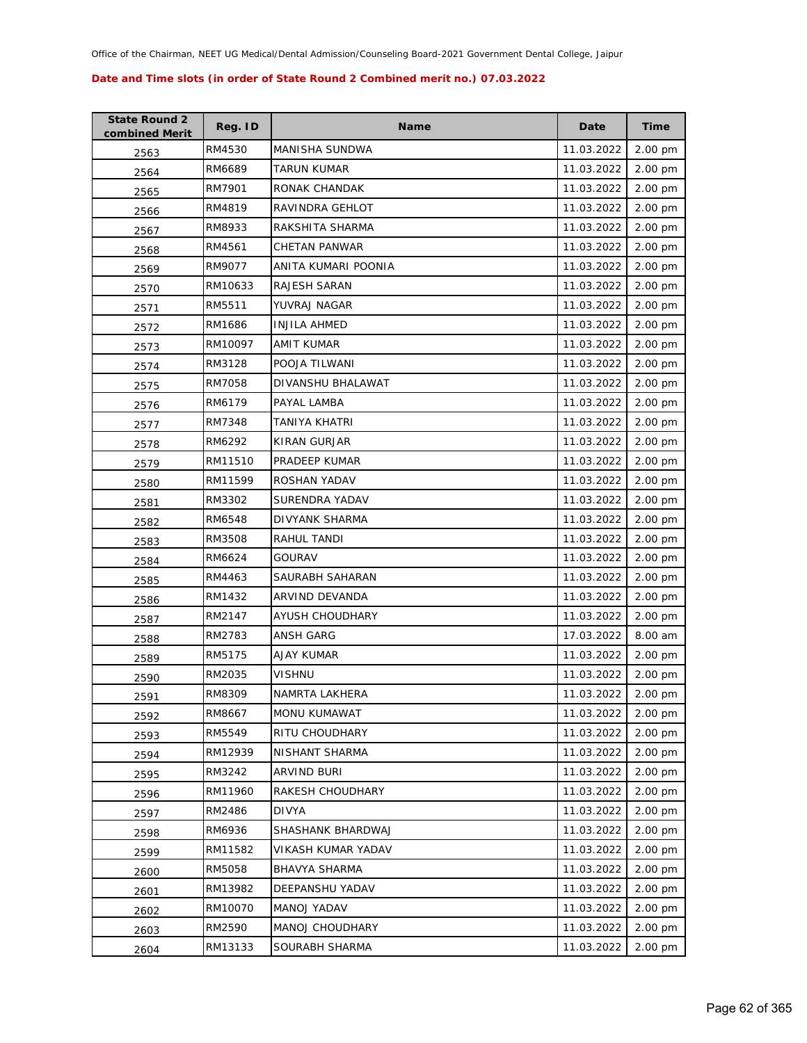| <b>State Round 2</b><br>combined Merit | Reg. ID | <b>Name</b>          | Date       | <b>Time</b> |
|----------------------------------------|---------|----------------------|------------|-------------|
| 2563                                   | RM4530  | MANISHA SUNDWA       | 11.03.2022 | 2.00 pm     |
| 2564                                   | RM6689  | TARUN KUMAR          | 11.03.2022 | 2.00 pm     |
| 2565                                   | RM7901  | RONAK CHANDAK        | 11.03.2022 | 2.00 pm     |
| 2566                                   | RM4819  | RAVINDRA GEHLOT      | 11.03.2022 | 2.00 pm     |
| 2567                                   | RM8933  | RAKSHITA SHARMA      | 11.03.2022 | 2.00 pm     |
| 2568                                   | RM4561  | <b>CHETAN PANWAR</b> | 11.03.2022 | 2.00 pm     |
| 2569                                   | RM9077  | ANITA KUMARI POONIA  | 11.03.2022 | 2.00 pm     |
| 2570                                   | RM10633 | RAJESH SARAN         | 11.03.2022 | 2.00 pm     |
| 2571                                   | RM5511  | YUVRAJ NAGAR         | 11.03.2022 | 2.00 pm     |
| 2572                                   | RM1686  | <b>INJILA AHMED</b>  | 11.03.2022 | 2.00 pm     |
| 2573                                   | RM10097 | AMIT KUMAR           | 11.03.2022 | 2.00 pm     |
| 2574                                   | RM3128  | POOJA TILWANI        | 11.03.2022 | 2.00 pm     |
| 2575                                   | RM7058  | DIVANSHU BHALAWAT    | 11.03.2022 | 2.00 pm     |
| 2576                                   | RM6179  | PAYAL LAMBA          | 11.03.2022 | 2.00 pm     |
| 2577                                   | RM7348  | TANIYA KHATRI        | 11.03.2022 | 2.00 pm     |
| 2578                                   | RM6292  | KIRAN GURJAR         | 11.03.2022 | 2.00 pm     |
| 2579                                   | RM11510 | PRADEEP KUMAR        | 11.03.2022 | 2.00 pm     |
| 2580                                   | RM11599 | ROSHAN YADAV         | 11.03.2022 | 2.00 pm     |
| 2581                                   | RM3302  | SURENDRA YADAV       | 11.03.2022 | 2.00 pm     |
| 2582                                   | RM6548  | DIVYANK SHARMA       | 11.03.2022 | 2.00 pm     |
| 2583                                   | RM3508  | RAHUL TANDI          | 11.03.2022 | 2.00 pm     |
| 2584                                   | RM6624  | GOURAV               | 11.03.2022 | 2.00 pm     |
| 2585                                   | RM4463  | SAURABH SAHARAN      | 11.03.2022 | 2.00 pm     |
| 2586                                   | RM1432  | ARVIND DEVANDA       | 11.03.2022 | 2.00 pm     |
| 2587                                   | RM2147  | AYUSH CHOUDHARY      | 11.03.2022 | 2.00 pm     |
| 2588                                   | RM2783  | <b>ANSH GARG</b>     | 17.03.2022 | 8.00 am     |
| 2589                                   | RM5175  | AJAY KUMAR           | 11.03.2022 | 2.00 pm     |
| 2590                                   | RM2035  | VISHNU               | 11.03.2022 | 2.00 pm     |
| 2591                                   | RM8309  | NAMRTA LAKHERA       | 11.03.2022 | 2.00 pm     |
| 2592                                   | RM8667  | <b>MONU KUMAWAT</b>  | 11.03.2022 | 2.00 pm     |
| 2593                                   | RM5549  | RITU CHOUDHARY       | 11.03.2022 | 2.00 pm     |
| 2594                                   | RM12939 | NISHANT SHARMA       | 11.03.2022 | 2.00 pm     |
| 2595                                   | RM3242  | ARVIND BURI          | 11.03.2022 | 2.00 pm     |
| 2596                                   | RM11960 | RAKESH CHOUDHARY     | 11.03.2022 | 2.00 pm     |
| 2597                                   | RM2486  | <b>DIVYA</b>         | 11.03.2022 | 2.00 pm     |
| 2598                                   | RM6936  | SHASHANK BHARDWAJ    | 11.03.2022 | 2.00 pm     |
| 2599                                   | RM11582 | VIKASH KUMAR YADAV   | 11.03.2022 | 2.00 pm     |
| 2600                                   | RM5058  | BHAVYA SHARMA        | 11.03.2022 | 2.00 pm     |
| 2601                                   | RM13982 | DEEPANSHU YADAV      | 11.03.2022 | 2.00 pm     |
| 2602                                   | RM10070 | MANOJ YADAV          | 11.03.2022 | 2.00 pm     |
| 2603                                   | RM2590  | MANOJ CHOUDHARY      | 11.03.2022 | 2.00 pm     |
| 2604                                   | RM13133 | SOURABH SHARMA       | 11.03.2022 | 2.00 pm     |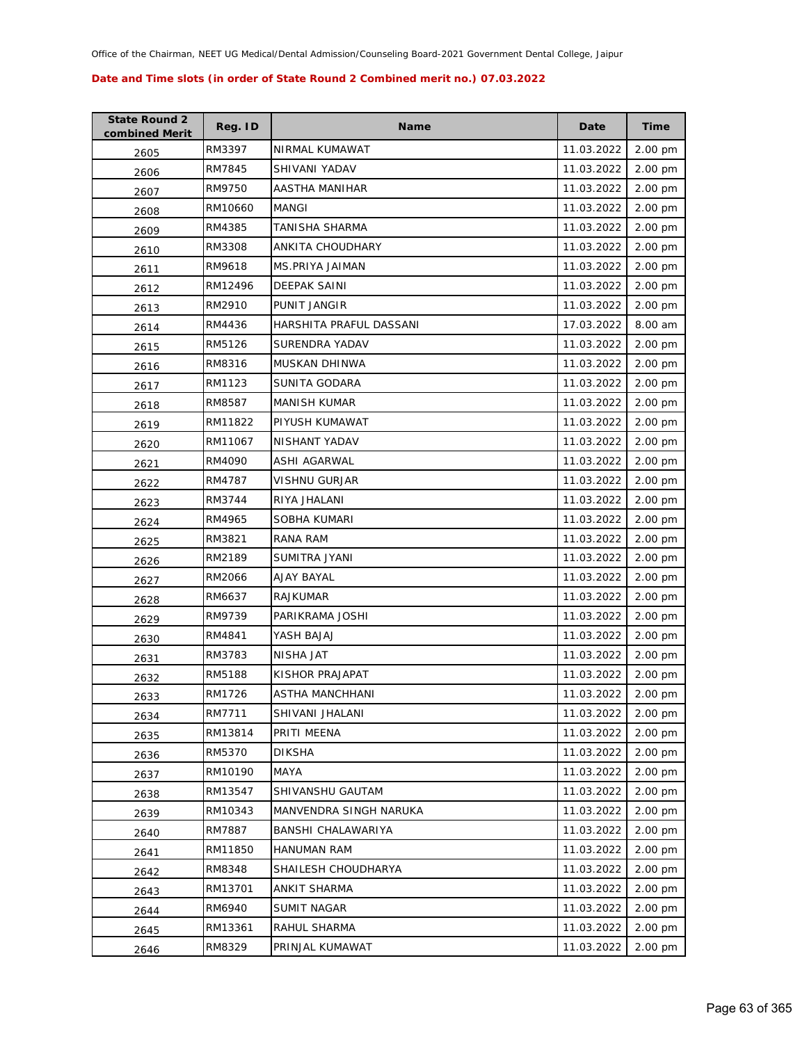| <b>State Round 2</b><br>combined Merit | Reg. ID | <b>Name</b>             | Date       | <b>Time</b> |
|----------------------------------------|---------|-------------------------|------------|-------------|
| 2605                                   | RM3397  | NIRMAL KUMAWAT          | 11.03.2022 | 2.00 pm     |
| 2606                                   | RM7845  | SHIVANI YADAV           | 11.03.2022 | 2.00 pm     |
| 2607                                   | RM9750  | AASTHA MANIHAR          | 11.03.2022 | 2.00 pm     |
| 2608                                   | RM10660 | <b>MANGI</b>            | 11.03.2022 | 2.00 pm     |
| 2609                                   | RM4385  | TANISHA SHARMA          | 11.03.2022 | 2.00 pm     |
| 2610                                   | RM3308  | ANKITA CHOUDHARY        | 11.03.2022 | 2.00 pm     |
| 2611                                   | RM9618  | MS.PRIYA JAIMAN         | 11.03.2022 | 2.00 pm     |
| 2612                                   | RM12496 | <b>DEEPAK SAINI</b>     | 11.03.2022 | 2.00 pm     |
| 2613                                   | RM2910  | PUNIT JANGIR            | 11.03.2022 | 2.00 pm     |
| 2614                                   | RM4436  | HARSHITA PRAFUL DASSANI | 17.03.2022 | 8.00 am     |
| 2615                                   | RM5126  | SURENDRA YADAV          | 11.03.2022 | 2.00 pm     |
| 2616                                   | RM8316  | MUSKAN DHINWA           | 11.03.2022 | 2.00 pm     |
| 2617                                   | RM1123  | SUNITA GODARA           | 11.03.2022 | 2.00 pm     |
| 2618                                   | RM8587  | <b>MANISH KUMAR</b>     | 11.03.2022 | 2.00 pm     |
| 2619                                   | RM11822 | PIYUSH KUMAWAT          | 11.03.2022 | 2.00 pm     |
| 2620                                   | RM11067 | NISHANT YADAV           | 11.03.2022 | 2.00 pm     |
| 2621                                   | RM4090  | <b>ASHI AGARWAL</b>     | 11.03.2022 | 2.00 pm     |
| 2622                                   | RM4787  | VISHNU GURJAR           | 11.03.2022 | 2.00 pm     |
| 2623                                   | RM3744  | RIYA JHALANI            | 11.03.2022 | 2.00 pm     |
| 2624                                   | RM4965  | SOBHA KUMARI            | 11.03.2022 | 2.00 pm     |
| 2625                                   | RM3821  | RANA RAM                | 11.03.2022 | 2.00 pm     |
| 2626                                   | RM2189  | SUMITRA JYANI           | 11.03.2022 | 2.00 pm     |
| 2627                                   | RM2066  | AJAY BAYAL              | 11.03.2022 | 2.00 pm     |
| 2628                                   | RM6637  | <b>RAJKUMAR</b>         | 11.03.2022 | 2.00 pm     |
| 2629                                   | RM9739  | PARIKRAMA JOSHI         | 11.03.2022 | 2.00 pm     |
| 2630                                   | RM4841  | YASH BAJAJ              | 11.03.2022 | 2.00 pm     |
| 2631                                   | RM3783  | NISHA JAT               | 11.03.2022 | 2.00 pm     |
| 2632                                   | RM5188  | KISHOR PRAJAPAT         | 11.03.2022 | 2.00 pm     |
| 2633                                   | RM1726  | <b>ASTHA MANCHHANI</b>  | 11.03.2022 | 2.00 pm     |
| 2634                                   | RM7711  | SHIVANI JHALANI         | 11.03.2022 | 2.00 pm     |
| 2635                                   | RM13814 | PRITI MEENA             | 11.03.2022 | 2.00 pm     |
| 2636                                   | RM5370  | <b>DIKSHA</b>           | 11.03.2022 | 2.00 pm     |
| 2637                                   | RM10190 | MAYA                    | 11.03.2022 | 2.00 pm     |
| 2638                                   | RM13547 | SHIVANSHU GAUTAM        | 11.03.2022 | 2.00 pm     |
| 2639                                   | RM10343 | MANVENDRA SINGH NARUKA  | 11.03.2022 | 2.00 pm     |
| 2640                                   | RM7887  | BANSHI CHALAWARIYA      | 11.03.2022 | 2.00 pm     |
| 2641                                   | RM11850 | <b>HANUMAN RAM</b>      | 11.03.2022 | 2.00 pm     |
| 2642                                   | RM8348  | SHAILESH CHOUDHARYA     | 11.03.2022 | 2.00 pm     |
| 2643                                   | RM13701 | ANKIT SHARMA            | 11.03.2022 | 2.00 pm     |
| 2644                                   | RM6940  | SUMIT NAGAR             | 11.03.2022 | 2.00 pm     |
| 2645                                   | RM13361 | RAHUL SHARMA            | 11.03.2022 | 2.00 pm     |
| 2646                                   | RM8329  | PRINJAL KUMAWAT         | 11.03.2022 | 2.00 pm     |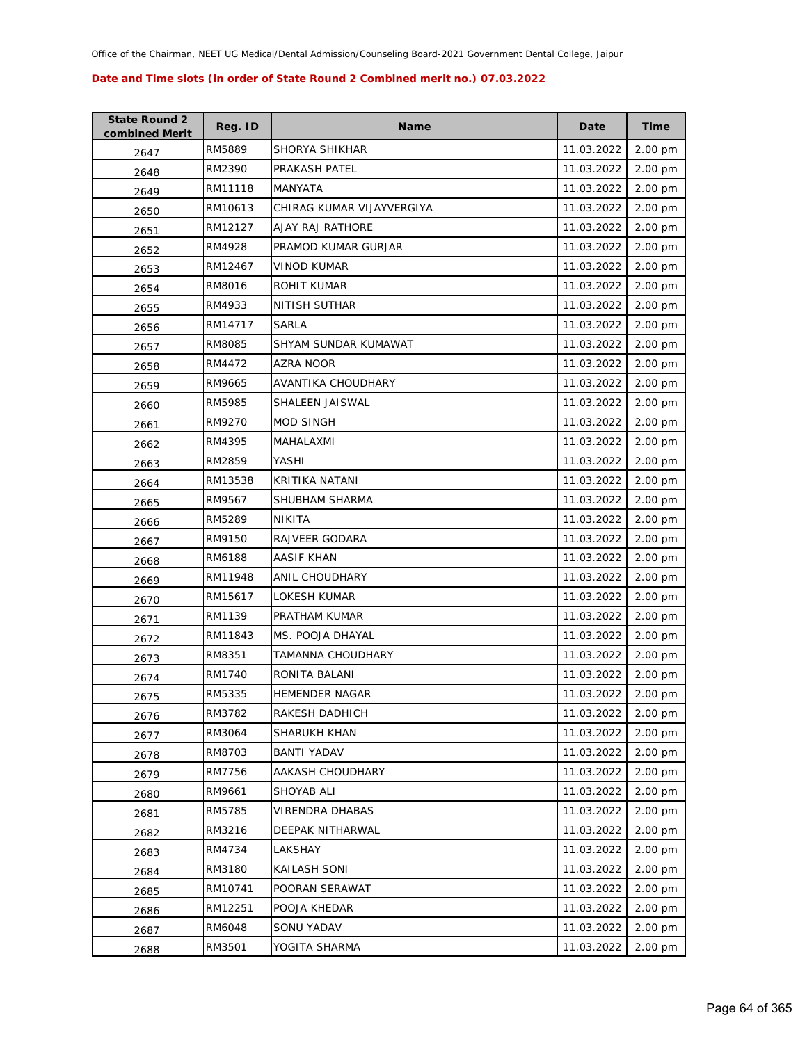| <b>State Round 2</b><br>combined Merit | Reg. ID | <b>Name</b>               | Date       | <b>Time</b> |
|----------------------------------------|---------|---------------------------|------------|-------------|
| 2647                                   | RM5889  | SHORYA SHIKHAR            | 11.03.2022 | 2.00 pm     |
| 2648                                   | RM2390  | PRAKASH PATEL             | 11.03.2022 | 2.00 pm     |
| 2649                                   | RM11118 | MANYATA                   | 11.03.2022 | 2.00 pm     |
| 2650                                   | RM10613 | CHIRAG KUMAR VIJAYVERGIYA | 11.03.2022 | 2.00 pm     |
| 2651                                   | RM12127 | AJAY RAJ RATHORE          | 11.03.2022 | 2.00 pm     |
| 2652                                   | RM4928  | PRAMOD KUMAR GURJAR       | 11.03.2022 | 2.00 pm     |
| 2653                                   | RM12467 | <b>VINOD KUMAR</b>        | 11.03.2022 | 2.00 pm     |
| 2654                                   | RM8016  | ROHIT KUMAR               | 11.03.2022 | 2.00 pm     |
| 2655                                   | RM4933  | NITISH SUTHAR             | 11.03.2022 | 2.00 pm     |
| 2656                                   | RM14717 | SARLA                     | 11.03.2022 | 2.00 pm     |
| 2657                                   | RM8085  | SHYAM SUNDAR KUMAWAT      | 11.03.2022 | 2.00 pm     |
| 2658                                   | RM4472  | AZRA NOOR                 | 11.03.2022 | 2.00 pm     |
| 2659                                   | RM9665  | AVANTIKA CHOUDHARY        | 11.03.2022 | 2.00 pm     |
| 2660                                   | RM5985  | <b>SHALEEN JAISWAL</b>    | 11.03.2022 | 2.00 pm     |
| 2661                                   | RM9270  | <b>MOD SINGH</b>          | 11.03.2022 | 2.00 pm     |
| 2662                                   | RM4395  | MAHALAXMI                 | 11.03.2022 | 2.00 pm     |
| 2663                                   | RM2859  | YASHI                     | 11.03.2022 | 2.00 pm     |
| 2664                                   | RM13538 | KRITIKA NATANI            | 11.03.2022 | 2.00 pm     |
| 2665                                   | RM9567  | SHUBHAM SHARMA            | 11.03.2022 | 2.00 pm     |
| 2666                                   | RM5289  | NIKITA                    | 11.03.2022 | 2.00 pm     |
| 2667                                   | RM9150  | RAJVEER GODARA            | 11.03.2022 | 2.00 pm     |
| 2668                                   | RM6188  | AASIF KHAN                | 11.03.2022 | 2.00 pm     |
| 2669                                   | RM11948 | ANIL CHOUDHARY            | 11.03.2022 | 2.00 pm     |
| 2670                                   | RM15617 | LOKESH KUMAR              | 11.03.2022 | 2.00 pm     |
| 2671                                   | RM1139  | PRATHAM KUMAR             | 11.03.2022 | 2.00 pm     |
| 2672                                   | RM11843 | MS. POOJA DHAYAL          | 11.03.2022 | 2.00 pm     |
| 2673                                   | RM8351  | TAMANNA CHOUDHARY         | 11.03.2022 | 2.00 pm     |
| 2674                                   | RM1740  | RONITA BALANI             | 11.03.2022 | 2.00 pm     |
| 2675                                   | RM5335  | <b>HEMENDER NAGAR</b>     | 11.03.2022 | 2.00 pm     |
| 2676                                   | RM3782  | RAKESH DADHICH            | 11.03.2022 | 2.00 pm     |
| 2677                                   | RM3064  | SHARUKH KHAN              | 11.03.2022 | 2.00 pm     |
| 2678                                   | RM8703  | <b>BANTI YADAV</b>        | 11.03.2022 | 2.00 pm     |
| 2679                                   | RM7756  | AAKASH CHOUDHARY          | 11.03.2022 | 2.00 pm     |
| 2680                                   | RM9661  | SHOYAB ALI                | 11.03.2022 | 2.00 pm     |
| 2681                                   | RM5785  | VIRENDRA DHABAS           | 11.03.2022 | 2.00 pm     |
| 2682                                   | RM3216  | DEEPAK NITHARWAL          | 11.03.2022 | 2.00 pm     |
| 2683                                   | RM4734  | LAKSHAY                   | 11.03.2022 | 2.00 pm     |
| 2684                                   | RM3180  | KAILASH SONI              | 11.03.2022 | 2.00 pm     |
| 2685                                   | RM10741 | POORAN SERAWAT            | 11.03.2022 | 2.00 pm     |
| 2686                                   | RM12251 | POOJA KHEDAR              | 11.03.2022 | 2.00 pm     |
| 2687                                   | RM6048  | SONU YADAV                | 11.03.2022 | 2.00 pm     |
| 2688                                   | RM3501  | YOGITA SHARMA             | 11.03.2022 | 2.00 pm     |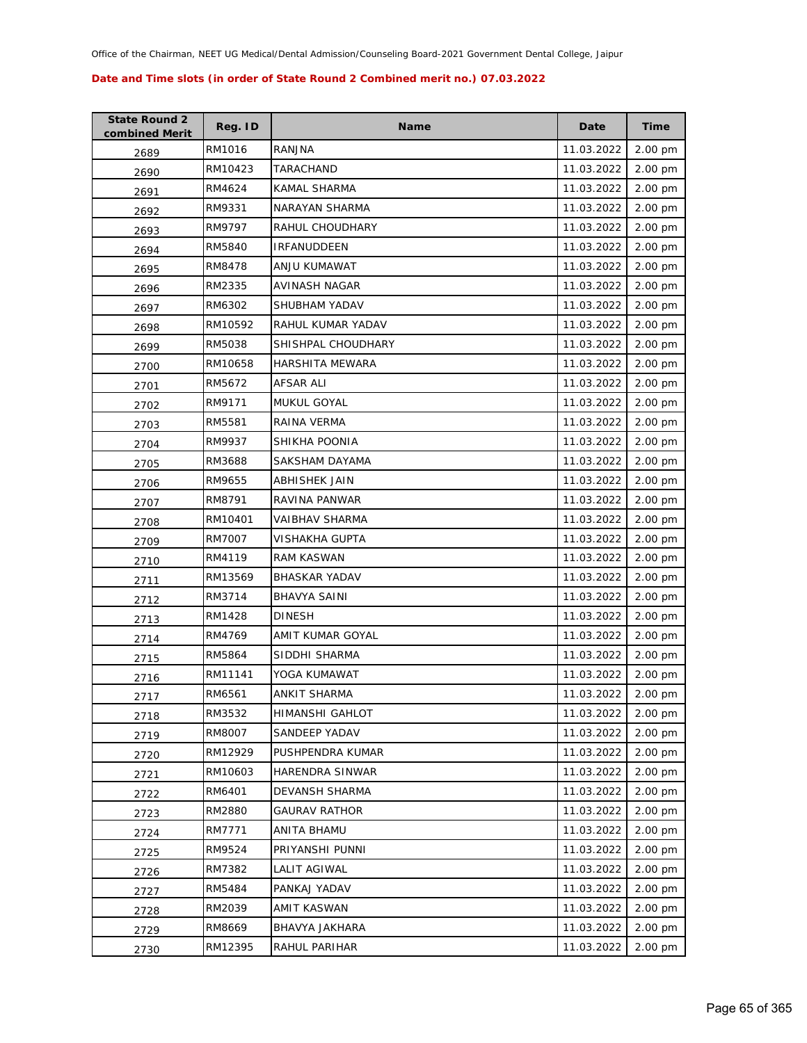| <b>State Round 2</b><br>combined Merit | Reg. ID | <b>Name</b>          | Date       | <b>Time</b> |
|----------------------------------------|---------|----------------------|------------|-------------|
| 2689                                   | RM1016  | <b>RANJNA</b>        | 11.03.2022 | 2.00 pm     |
| 2690                                   | RM10423 | TARACHAND            | 11.03.2022 | 2.00 pm     |
| 2691                                   | RM4624  | KAMAL SHARMA         | 11.03.2022 | 2.00 pm     |
| 2692                                   | RM9331  | NARAYAN SHARMA       | 11.03.2022 | 2.00 pm     |
| 2693                                   | RM9797  | RAHUL CHOUDHARY      | 11.03.2022 | 2.00 pm     |
| 2694                                   | RM5840  | <b>IRFANUDDEEN</b>   | 11.03.2022 | 2.00 pm     |
| 2695                                   | RM8478  | ANJU KUMAWAT         | 11.03.2022 | 2.00 pm     |
| 2696                                   | RM2335  | AVINASH NAGAR        | 11.03.2022 | 2.00 pm     |
| 2697                                   | RM6302  | SHUBHAM YADAV        | 11.03.2022 | 2.00 pm     |
| 2698                                   | RM10592 | RAHUL KUMAR YADAV    | 11.03.2022 | 2.00 pm     |
| 2699                                   | RM5038  | SHISHPAL CHOUDHARY   | 11.03.2022 | 2.00 pm     |
| 2700                                   | RM10658 | HARSHITA MEWARA      | 11.03.2022 | 2.00 pm     |
| 2701                                   | RM5672  | AFSAR ALI            | 11.03.2022 | 2.00 pm     |
| 2702                                   | RM9171  | MUKUL GOYAL          | 11.03.2022 | 2.00 pm     |
| 2703                                   | RM5581  | RAINA VERMA          | 11.03.2022 | 2.00 pm     |
| 2704                                   | RM9937  | SHIKHA POONIA        | 11.03.2022 | 2.00 pm     |
| 2705                                   | RM3688  | SAKSHAM DAYAMA       | 11.03.2022 | 2.00 pm     |
| 2706                                   | RM9655  | <b>ABHISHEK JAIN</b> | 11.03.2022 | 2.00 pm     |
| 2707                                   | RM8791  | RAVINA PANWAR        | 11.03.2022 | 2.00 pm     |
| 2708                                   | RM10401 | VAIBHAV SHARMA       | 11.03.2022 | 2.00 pm     |
| 2709                                   | RM7007  | VISHAKHA GUPTA       | 11.03.2022 | 2.00 pm     |
| 2710                                   | RM4119  | <b>RAM KASWAN</b>    | 11.03.2022 | 2.00 pm     |
| 2711                                   | RM13569 | <b>BHASKAR YADAV</b> | 11.03.2022 | 2.00 pm     |
| 2712                                   | RM3714  | <b>BHAVYA SAINI</b>  | 11.03.2022 | 2.00 pm     |
| 2713                                   | RM1428  | <b>DINESH</b>        | 11.03.2022 | 2.00 pm     |
| 2714                                   | RM4769  | AMIT KUMAR GOYAL     | 11.03.2022 | 2.00 pm     |
| 2715                                   | RM5864  | SIDDHI SHARMA        | 11.03.2022 | 2.00 pm     |
| 2716                                   | RM11141 | YOGA KUMAWAT         | 11.03.2022 | 2.00 pm     |
| 2717                                   | RM6561  | ANKIT SHARMA         | 11.03.2022 | 2.00 pm     |
| 2718                                   | RM3532  | HIMANSHI GAHLOT      | 11.03.2022 | 2.00 pm     |
| 2719                                   | RM8007  | SANDEEP YADAV        | 11.03.2022 | 2.00 pm     |
| 2720                                   | RM12929 | PUSHPENDRA KUMAR     | 11.03.2022 | 2.00 pm     |
| 2721                                   | RM10603 | HARENDRA SINWAR      | 11.03.2022 | 2.00 pm     |
| 2722                                   | RM6401  | DEVANSH SHARMA       | 11.03.2022 | 2.00 pm     |
| 2723                                   | RM2880  | <b>GAURAV RATHOR</b> | 11.03.2022 | 2.00 pm     |
| 2724                                   | RM7771  | ANITA BHAMU          | 11.03.2022 | 2.00 pm     |
| 2725                                   | RM9524  | PRIYANSHI PUNNI      | 11.03.2022 | 2.00 pm     |
| 2726                                   | RM7382  | <b>LALIT AGIWAL</b>  | 11.03.2022 | 2.00 pm     |
| 2727                                   | RM5484  | PANKAJ YADAV         | 11.03.2022 | 2.00 pm     |
| 2728                                   | RM2039  | AMIT KASWAN          | 11.03.2022 | 2.00 pm     |
| 2729                                   | RM8669  | BHAVYA JAKHARA       | 11.03.2022 | 2.00 pm     |
| 2730                                   | RM12395 | RAHUL PARIHAR        | 11.03.2022 | 2.00 pm     |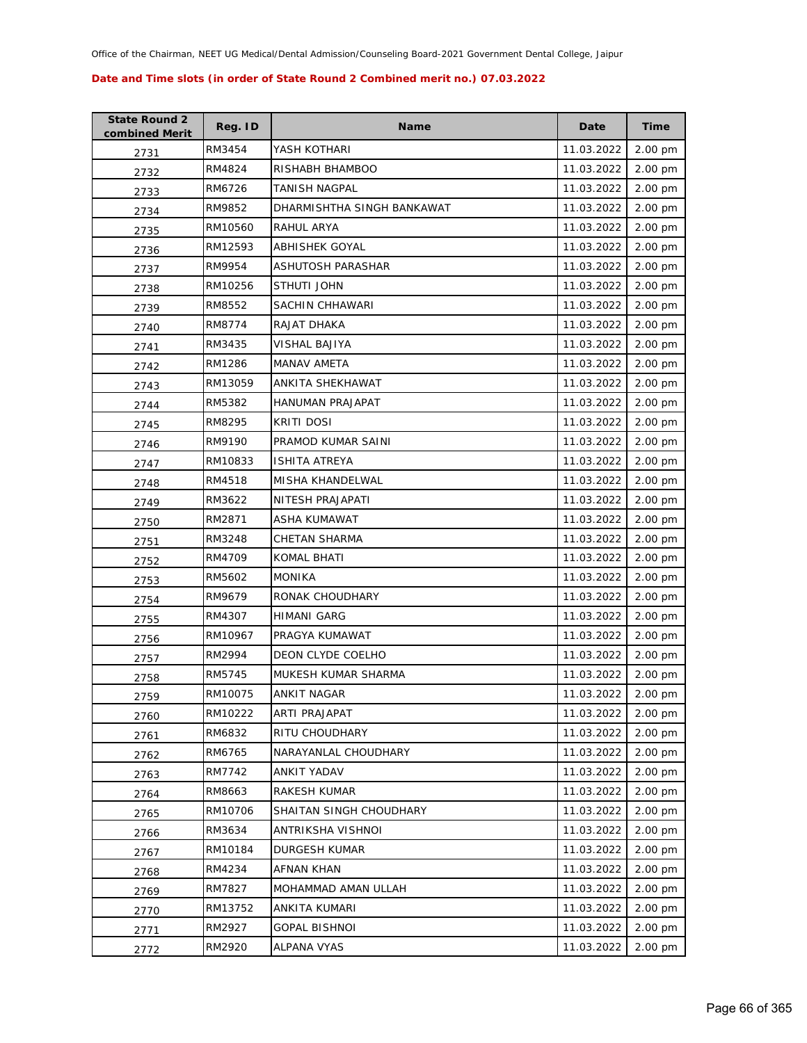| <b>State Round 2</b><br>combined Merit | Reg. ID | <b>Name</b>                | Date       | <b>Time</b> |
|----------------------------------------|---------|----------------------------|------------|-------------|
| 2731                                   | RM3454  | YASH KOTHARI               | 11.03.2022 | 2.00 pm     |
| 2732                                   | RM4824  | RISHABH BHAMBOO            | 11.03.2022 | 2.00 pm     |
| 2733                                   | RM6726  | TANISH NAGPAL              | 11.03.2022 | 2.00 pm     |
| 2734                                   | RM9852  | DHARMISHTHA SINGH BANKAWAT | 11.03.2022 | 2.00 pm     |
| 2735                                   | RM10560 | RAHUL ARYA                 | 11.03.2022 | 2.00 pm     |
| 2736                                   | RM12593 | ABHISHEK GOYAL             | 11.03.2022 | 2.00 pm     |
| 2737                                   | RM9954  | ASHUTOSH PARASHAR          | 11.03.2022 | 2.00 pm     |
| 2738                                   | RM10256 | STHUTI JOHN                | 11.03.2022 | 2.00 pm     |
| 2739                                   | RM8552  | SACHIN CHHAWARI            | 11.03.2022 | 2.00 pm     |
| 2740                                   | RM8774  | RAJAT DHAKA                | 11.03.2022 | 2.00 pm     |
| 2741                                   | RM3435  | VISHAL BAJIYA              | 11.03.2022 | 2.00 pm     |
| 2742                                   | RM1286  | <b>MANAV AMETA</b>         | 11.03.2022 | 2.00 pm     |
| 2743                                   | RM13059 | ANKITA SHEKHAWAT           | 11.03.2022 | 2.00 pm     |
| 2744                                   | RM5382  | <b>HANUMAN PRAJAPAT</b>    | 11.03.2022 | 2.00 pm     |
| 2745                                   | RM8295  | <b>KRITI DOSI</b>          | 11.03.2022 | 2.00 pm     |
| 2746                                   | RM9190  | PRAMOD KUMAR SAINI         | 11.03.2022 | 2.00 pm     |
| 2747                                   | RM10833 | <b>ISHITA ATREYA</b>       | 11.03.2022 | 2.00 pm     |
| 2748                                   | RM4518  | <b>MISHA KHANDELWAL</b>    | 11.03.2022 | 2.00 pm     |
| 2749                                   | RM3622  | NITESH PRAJAPATI           | 11.03.2022 | 2.00 pm     |
| 2750                                   | RM2871  | ASHA KUMAWAT               | 11.03.2022 | 2.00 pm     |
| 2751                                   | RM3248  | <b>CHETAN SHARMA</b>       | 11.03.2022 | 2.00 pm     |
| 2752                                   | RM4709  | <b>KOMAL BHATI</b>         | 11.03.2022 | 2.00 pm     |
| 2753                                   | RM5602  | <b>MONIKA</b>              | 11.03.2022 | 2.00 pm     |
| 2754                                   | RM9679  | RONAK CHOUDHARY            | 11.03.2022 | 2.00 pm     |
| 2755                                   | RM4307  | HIMANI GARG                | 11.03.2022 | 2.00 pm     |
| 2756                                   | RM10967 | PRAGYA KUMAWAT             | 11.03.2022 | 2.00 pm     |
| 2757                                   | RM2994  | DEON CLYDE COELHO          | 11.03.2022 | 2.00 pm     |
| 2758                                   | RM5745  | MUKESH KUMAR SHARMA        | 11.03.2022 | 2.00 pm     |
| 2759                                   | RM10075 | ANKIT NAGAR                | 11.03.2022 | 2.00 pm     |
| 2760                                   | RM10222 | ARTI PRAJAPAT              | 11.03.2022 | 2.00 pm     |
| 2761                                   | RM6832  | RITU CHOUDHARY             | 11.03.2022 | 2.00 pm     |
| 2762                                   | RM6765  | NARAYANLAL CHOUDHARY       | 11.03.2022 | 2.00 pm     |
| 2763                                   | RM7742  | ANKIT YADAV                | 11.03.2022 | 2.00 pm     |
| 2764                                   | RM8663  | RAKESH KUMAR               | 11.03.2022 | 2.00 pm     |
| 2765                                   | RM10706 | SHAITAN SINGH CHOUDHARY    | 11.03.2022 | 2.00 pm     |
| 2766                                   | RM3634  | ANTRIKSHA VISHNOI          | 11.03.2022 | 2.00 pm     |
| 2767                                   | RM10184 | <b>DURGESH KUMAR</b>       | 11.03.2022 | 2.00 pm     |
| 2768                                   | RM4234  | AFNAN KHAN                 | 11.03.2022 | 2.00 pm     |
| 2769                                   | RM7827  | MOHAMMAD AMAN ULLAH        | 11.03.2022 | 2.00 pm     |
| 2770                                   | RM13752 | ANKITA KUMARI              | 11.03.2022 | 2.00 pm     |
| 2771                                   | RM2927  | <b>GOPAL BISHNOI</b>       | 11.03.2022 | 2.00 pm     |
| 2772                                   | RM2920  | ALPANA VYAS                | 11.03.2022 | 2.00 pm     |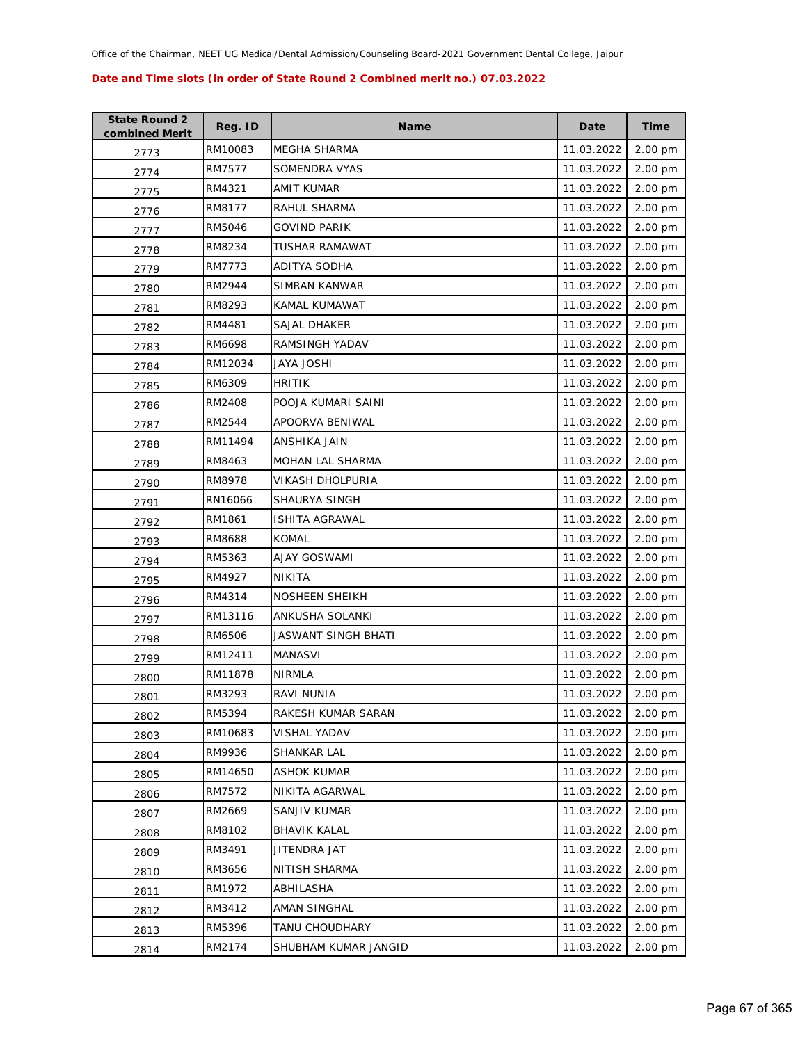| <b>State Round 2</b><br>combined Merit | Reg. ID | <b>Name</b>             | Date       | <b>Time</b>       |
|----------------------------------------|---------|-------------------------|------------|-------------------|
| 2773                                   | RM10083 | MEGHA SHARMA            | 11.03.2022 | 2.00 pm           |
| 2774                                   | RM7577  | SOMENDRA VYAS           | 11.03.2022 | 2.00 pm           |
| 2775                                   | RM4321  | AMIT KUMAR              | 11.03.2022 | 2.00 pm           |
| 2776                                   | RM8177  | RAHUL SHARMA            | 11.03.2022 | 2.00 pm           |
| 2777                                   | RM5046  | GOVIND PARIK            | 11.03.2022 | 2.00 pm           |
| 2778                                   | RM8234  | <b>TUSHAR RAMAWAT</b>   | 11.03.2022 | 2.00 pm           |
| 2779                                   | RM7773  | ADITYA SODHA            | 11.03.2022 | 2.00 pm           |
| 2780                                   | RM2944  | SIMRAN KANWAR           | 11.03.2022 | 2.00 pm           |
| 2781                                   | RM8293  | KAMAL KUMAWAT           | 11.03.2022 | 2.00 pm           |
| 2782                                   | RM4481  | SAJAL DHAKER            | 11.03.2022 | 2.00 pm           |
| 2783                                   | RM6698  | RAMSINGH YADAV          | 11.03.2022 | 2.00 pm           |
| 2784                                   | RM12034 | JAYA JOSHI              | 11.03.2022 | 2.00 pm           |
| 2785                                   | RM6309  | <b>HRITIK</b>           | 11.03.2022 | 2.00 pm           |
| 2786                                   | RM2408  | POOJA KUMARI SAINI      | 11.03.2022 | 2.00 pm           |
| 2787                                   | RM2544  | APOORVA BENIWAL         | 11.03.2022 | 2.00 pm           |
| 2788                                   | RM11494 | ANSHIKA JAIN            | 11.03.2022 | 2.00 pm           |
| 2789                                   | RM8463  | MOHAN LAL SHARMA        | 11.03.2022 | 2.00 pm           |
| 2790                                   | RM8978  | <b>VIKASH DHOLPURIA</b> | 11.03.2022 | 2.00 pm           |
| 2791                                   | RN16066 | SHAURYA SINGH           | 11.03.2022 | 2.00 pm           |
| 2792                                   | RM1861  | ISHITA AGRAWAL          | 11.03.2022 | 2.00 pm           |
| 2793                                   | RM8688  | <b>KOMAL</b>            | 11.03.2022 | 2.00 pm           |
| 2794                                   | RM5363  | <b>AJAY GOSWAMI</b>     | 11.03.2022 | 2.00 pm           |
| 2795                                   | RM4927  | NIKITA                  | 11.03.2022 | 2.00 pm           |
| 2796                                   | RM4314  | NOSHEEN SHEIKH          | 11.03.2022 | 2.00 pm           |
| 2797                                   | RM13116 | ANKUSHA SOLANKI         | 11.03.2022 | $2.00 \text{ pm}$ |
| 2798                                   | RM6506  | JASWANT SINGH BHATI     | 11.03.2022 | 2.00 pm           |
| 2799                                   | RM12411 | <b>MANASVI</b>          | 11.03.2022 | 2.00 pm           |
| 2800                                   | RM11878 | <b>NIRMLA</b>           | 11.03.2022 | 2.00 pm           |
| 2801                                   | RM3293  | <b>RAVI NUNIA</b>       | 11.03.2022 | 2.00 pm           |
| 2802                                   | RM5394  | RAKESH KUMAR SARAN      | 11.03.2022 | 2.00 pm           |
| 2803                                   | RM10683 | <b>VISHAL YADAV</b>     | 11.03.2022 | 2.00 pm           |
| 2804                                   | RM9936  | SHANKAR LAL             | 11.03.2022 | 2.00 pm           |
| 2805                                   | RM14650 | <b>ASHOK KUMAR</b>      | 11.03.2022 | 2.00 pm           |
| 2806                                   | RM7572  | NIKITA AGARWAL          | 11.03.2022 | 2.00 pm           |
| 2807                                   | RM2669  | SANJIV KUMAR            | 11.03.2022 | 2.00 pm           |
| 2808                                   | RM8102  | <b>BHAVIK KALAL</b>     | 11.03.2022 | 2.00 pm           |
| 2809                                   | RM3491  | JITENDRA JAT            | 11.03.2022 | 2.00 pm           |
| 2810                                   | RM3656  | NITISH SHARMA           | 11.03.2022 | 2.00 pm           |
| 2811                                   | RM1972  | ABHILASHA               | 11.03.2022 | 2.00 pm           |
| 2812                                   | RM3412  | AMAN SINGHAL            | 11.03.2022 | 2.00 pm           |
| 2813                                   | RM5396  | TANU CHOUDHARY          | 11.03.2022 | 2.00 pm           |
| 2814                                   | RM2174  | SHUBHAM KUMAR JANGID    | 11.03.2022 | 2.00 pm           |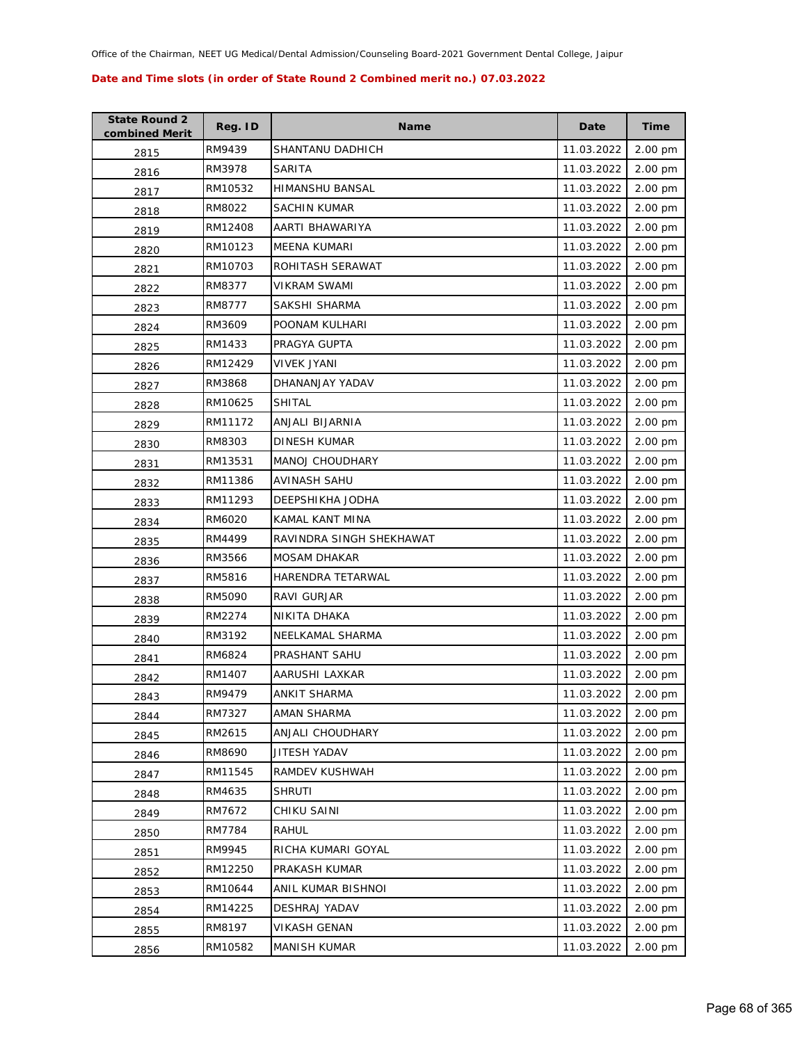| <b>State Round 2</b><br>combined Merit | Reg. ID | <b>Name</b>              | Date       | <b>Time</b> |
|----------------------------------------|---------|--------------------------|------------|-------------|
| 2815                                   | RM9439  | SHANTANU DADHICH         | 11.03.2022 | 2.00 pm     |
| 2816                                   | RM3978  | SARITA                   | 11.03.2022 | 2.00 pm     |
| 2817                                   | RM10532 | <b>HIMANSHU BANSAL</b>   | 11.03.2022 | 2.00 pm     |
| 2818                                   | RM8022  | <b>SACHIN KUMAR</b>      | 11.03.2022 | 2.00 pm     |
| 2819                                   | RM12408 | AARTI BHAWARIYA          | 11.03.2022 | 2.00 pm     |
| 2820                                   | RM10123 | <b>MEENA KUMARI</b>      | 11.03.2022 | 2.00 pm     |
| 2821                                   | RM10703 | ROHITASH SERAWAT         | 11.03.2022 | 2.00 pm     |
| 2822                                   | RM8377  | <b>VIKRAM SWAMI</b>      | 11.03.2022 | 2.00 pm     |
| 2823                                   | RM8777  | SAKSHI SHARMA            | 11.03.2022 | 2.00 pm     |
| 2824                                   | RM3609  | POONAM KULHARI           | 11.03.2022 | 2.00 pm     |
| 2825                                   | RM1433  | PRAGYA GUPTA             | 11.03.2022 | 2.00 pm     |
| 2826                                   | RM12429 | <b>VIVEK JYANI</b>       | 11.03.2022 | 2.00 pm     |
| 2827                                   | RM3868  | DHANANJAY YADAV          | 11.03.2022 | 2.00 pm     |
| 2828                                   | RM10625 | <b>SHITAL</b>            | 11.03.2022 | 2.00 pm     |
| 2829                                   | RM11172 | ANJALI BIJARNIA          | 11.03.2022 | 2.00 pm     |
| 2830                                   | RM8303  | DINESH KUMAR             | 11.03.2022 | 2.00 pm     |
| 2831                                   | RM13531 | MANOJ CHOUDHARY          | 11.03.2022 | 2.00 pm     |
| 2832                                   | RM11386 | AVINASH SAHU             | 11.03.2022 | 2.00 pm     |
| 2833                                   | RM11293 | DEEPSHIKHA JODHA         | 11.03.2022 | 2.00 pm     |
| 2834                                   | RM6020  | KAMAL KANT MINA          | 11.03.2022 | 2.00 pm     |
| 2835                                   | RM4499  | RAVINDRA SINGH SHEKHAWAT | 11.03.2022 | 2.00 pm     |
| 2836                                   | RM3566  | <b>MOSAM DHAKAR</b>      | 11.03.2022 | 2.00 pm     |
| 2837                                   | RM5816  | HARENDRA TETARWAL        | 11.03.2022 | 2.00 pm     |
| 2838                                   | RM5090  | RAVI GURJAR              | 11.03.2022 | 2.00 pm     |
| 2839                                   | RM2274  | NIKITA DHAKA             | 11.03.2022 | 2.00 pm     |
| 2840                                   | RM3192  | NEELKAMAL SHARMA         | 11.03.2022 | 2.00 pm     |
| 2841                                   | RM6824  | PRASHANT SAHU            | 11.03.2022 | 2.00 pm     |
| 2842                                   | RM1407  | AARUSHI LAXKAR           | 11.03.2022 | 2.00 pm     |
| 2843                                   | RM9479  | <b>ANKIT SHARMA</b>      | 11.03.2022 | 2.00 pm     |
| 2844                                   | RM7327  | AMAN SHARMA              | 11.03.2022 | 2.00 pm     |
| 2845                                   | RM2615  | ANJALI CHOUDHARY         | 11.03.2022 | 2.00 pm     |
| 2846                                   | RM8690  | JITESH YADAV             | 11.03.2022 | 2.00 pm     |
| 2847                                   | RM11545 | RAMDEV KUSHWAH           | 11.03.2022 | 2.00 pm     |
| 2848                                   | RM4635  | <b>SHRUTI</b>            | 11.03.2022 | 2.00 pm     |
| 2849                                   | RM7672  | CHIKU SAINI              | 11.03.2022 | 2.00 pm     |
| 2850                                   | RM7784  | <b>RAHUL</b>             | 11.03.2022 | 2.00 pm     |
| 2851                                   | RM9945  | RICHA KUMARI GOYAL       | 11.03.2022 | 2.00 pm     |
| 2852                                   | RM12250 | PRAKASH KUMAR            | 11.03.2022 | 2.00 pm     |
| 2853                                   | RM10644 | ANIL KUMAR BISHNOI       | 11.03.2022 | 2.00 pm     |
| 2854                                   | RM14225 | DESHRAJ YADAV            | 11.03.2022 | 2.00 pm     |
| 2855                                   | RM8197  | VIKASH GENAN             | 11.03.2022 | 2.00 pm     |
| 2856                                   | RM10582 | <b>MANISH KUMAR</b>      | 11.03.2022 | 2.00 pm     |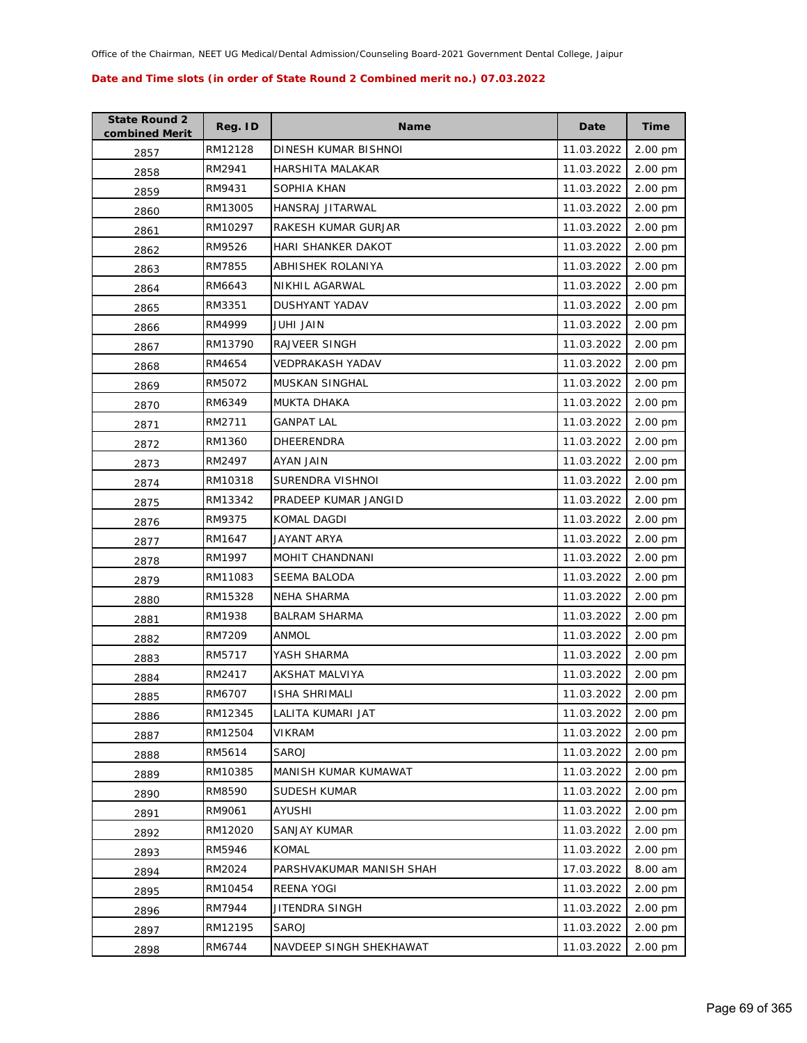| <b>State Round 2</b><br>combined Merit | Reg. ID | <b>Name</b>              | Date       | <b>Time</b> |
|----------------------------------------|---------|--------------------------|------------|-------------|
| 2857                                   | RM12128 | DINESH KUMAR BISHNOI     | 11.03.2022 | 2.00 pm     |
| 2858                                   | RM2941  | HARSHITA MALAKAR         | 11.03.2022 | 2.00 pm     |
| 2859                                   | RM9431  | SOPHIA KHAN              | 11.03.2022 | 2.00 pm     |
| 2860                                   | RM13005 | HANSRAJ JITARWAL         | 11.03.2022 | 2.00 pm     |
| 2861                                   | RM10297 | RAKESH KUMAR GURJAR      | 11.03.2022 | 2.00 pm     |
| 2862                                   | RM9526  | HARI SHANKER DAKOT       | 11.03.2022 | 2.00 pm     |
| 2863                                   | RM7855  | ABHISHEK ROLANIYA        | 11.03.2022 | 2.00 pm     |
| 2864                                   | RM6643  | NIKHIL AGARWAL           | 11.03.2022 | 2.00 pm     |
| 2865                                   | RM3351  | DUSHYANT YADAV           | 11.03.2022 | 2.00 pm     |
| 2866                                   | RM4999  | JUHI JAIN                | 11.03.2022 | 2.00 pm     |
| 2867                                   | RM13790 | <b>RAJVEER SINGH</b>     | 11.03.2022 | 2.00 pm     |
| 2868                                   | RM4654  | VEDPRAKASH YADAV         | 11.03.2022 | 2.00 pm     |
| 2869                                   | RM5072  | <b>MUSKAN SINGHAL</b>    | 11.03.2022 | 2.00 pm     |
| 2870                                   | RM6349  | MUKTA DHAKA              | 11.03.2022 | 2.00 pm     |
| 2871                                   | RM2711  | <b>GANPAT LAL</b>        | 11.03.2022 | 2.00 pm     |
| 2872                                   | RM1360  | DHEERENDRA               | 11.03.2022 | 2.00 pm     |
| 2873                                   | RM2497  | AYAN JAIN                | 11.03.2022 | 2.00 pm     |
| 2874                                   | RM10318 | SURENDRA VISHNOI         | 11.03.2022 | 2.00 pm     |
| 2875                                   | RM13342 | PRADEEP KUMAR JANGID     | 11.03.2022 | 2.00 pm     |
| 2876                                   | RM9375  | KOMAL DAGDI              | 11.03.2022 | 2.00 pm     |
| 2877                                   | RM1647  | JAYANT ARYA              | 11.03.2022 | 2.00 pm     |
| 2878                                   | RM1997  | MOHIT CHANDNANI          | 11.03.2022 | 2.00 pm     |
| 2879                                   | RM11083 | <b>SEEMA BALODA</b>      | 11.03.2022 | 2.00 pm     |
| 2880                                   | RM15328 | <b>NEHA SHARMA</b>       | 11.03.2022 | 2.00 pm     |
| 2881                                   | RM1938  | <b>BALRAM SHARMA</b>     | 11.03.2022 | 2.00 pm     |
| 2882                                   | RM7209  | <b>ANMOL</b>             | 11.03.2022 | 2.00 pm     |
| 2883                                   | RM5717  | YASH SHARMA              | 11.03.2022 | 2.00 pm     |
| 2884                                   | RM2417  | <b>AKSHAT MALVIYA</b>    | 11.03.2022 | 2.00 pm     |
| 2885                                   | RM6707  | <b>ISHA SHRIMALI</b>     | 11.03.2022 | 2.00 pm     |
| 2886                                   | RM12345 | LALITA KUMARI JAT        | 11.03.2022 | 2.00 pm     |
| 2887                                   | RM12504 | VIKRAM                   | 11.03.2022 | 2.00 pm     |
| 2888                                   | RM5614  | SAROJ                    | 11.03.2022 | 2.00 pm     |
| 2889                                   | RM10385 | MANISH KUMAR KUMAWAT     | 11.03.2022 | 2.00 pm     |
| 2890                                   | RM8590  | SUDESH KUMAR             | 11.03.2022 | 2.00 pm     |
| 2891                                   | RM9061  | AYUSHI                   | 11.03.2022 | 2.00 pm     |
| 2892                                   | RM12020 | SANJAY KUMAR             | 11.03.2022 | 2.00 pm     |
| 2893                                   | RM5946  | <b>KOMAL</b>             | 11.03.2022 | 2.00 pm     |
| 2894                                   | RM2024  | PARSHVAKUMAR MANISH SHAH | 17.03.2022 | 8.00 am     |
| 2895                                   | RM10454 | REENA YOGI               | 11.03.2022 | 2.00 pm     |
| 2896                                   | RM7944  | JITENDRA SINGH           | 11.03.2022 | 2.00 pm     |
| 2897                                   | RM12195 | SAROJ                    | 11.03.2022 | 2.00 pm     |
| 2898                                   | RM6744  | NAVDEEP SINGH SHEKHAWAT  | 11.03.2022 | 2.00 pm     |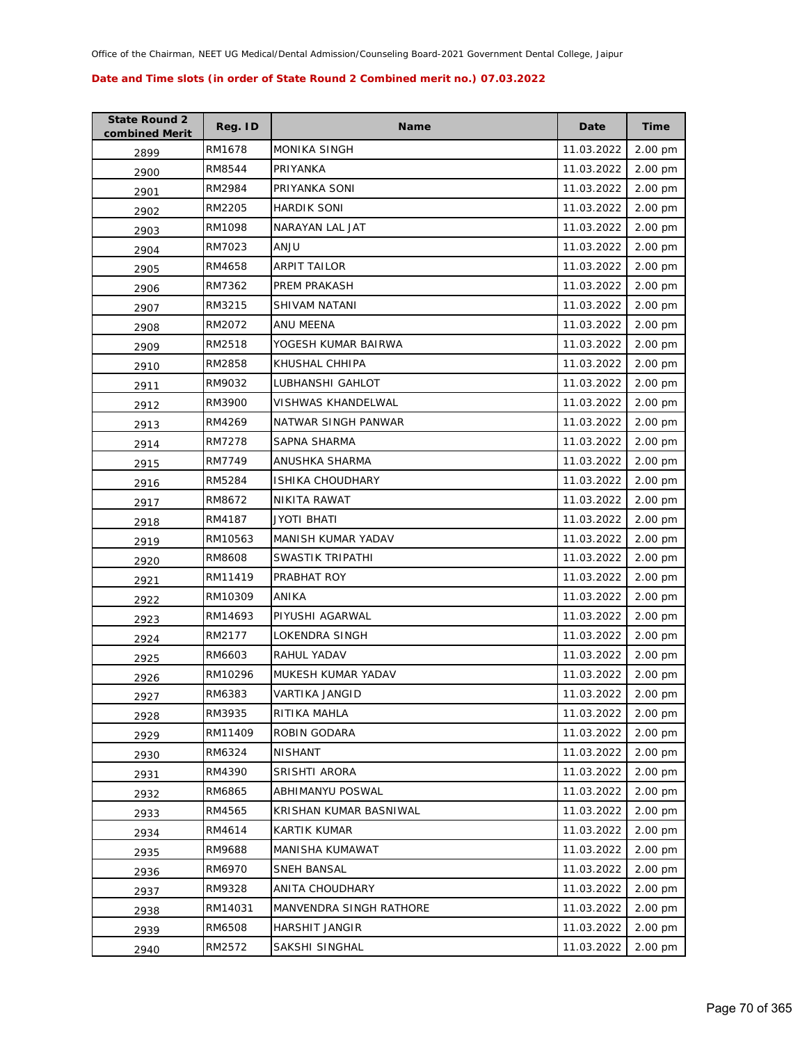| <b>State Round 2</b><br>combined Merit | Reg. ID | <b>Name</b>             | Date       | <b>Time</b> |
|----------------------------------------|---------|-------------------------|------------|-------------|
| 2899                                   | RM1678  | <b>MONIKA SINGH</b>     | 11.03.2022 | 2.00 pm     |
| 2900                                   | RM8544  | PRIYANKA                | 11.03.2022 | 2.00 pm     |
| 2901                                   | RM2984  | PRIYANKA SONI           | 11.03.2022 | 2.00 pm     |
| 2902                                   | RM2205  | <b>HARDIK SONI</b>      | 11.03.2022 | 2.00 pm     |
| 2903                                   | RM1098  | NARAYAN LAL JAT         | 11.03.2022 | 2.00 pm     |
| 2904                                   | RM7023  | <b>ULIA</b>             | 11.03.2022 | 2.00 pm     |
| 2905                                   | RM4658  | <b>ARPIT TAILOR</b>     | 11.03.2022 | 2.00 pm     |
| 2906                                   | RM7362  | <b>PREM PRAKASH</b>     | 11.03.2022 | 2.00 pm     |
| 2907                                   | RM3215  | SHIVAM NATANI           | 11.03.2022 | 2.00 pm     |
| 2908                                   | RM2072  | ANU MEENA               | 11.03.2022 | 2.00 pm     |
| 2909                                   | RM2518  | YOGESH KUMAR BAIRWA     | 11.03.2022 | 2.00 pm     |
| 2910                                   | RM2858  | KHUSHAL CHHIPA          | 11.03.2022 | 2.00 pm     |
| 2911                                   | RM9032  | LUBHANSHI GAHLOT        | 11.03.2022 | 2.00 pm     |
| 2912                                   | RM3900  | VISHWAS KHANDELWAL      | 11.03.2022 | 2.00 pm     |
| 2913                                   | RM4269  | NATWAR SINGH PANWAR     | 11.03.2022 | 2.00 pm     |
| 2914                                   | RM7278  | SAPNA SHARMA            | 11.03.2022 | 2.00 pm     |
| 2915                                   | RM7749  | ANUSHKA SHARMA          | 11.03.2022 | 2.00 pm     |
| 2916                                   | RM5284  | ISHIKA CHOUDHARY        | 11.03.2022 | 2.00 pm     |
| 2917                                   | RM8672  | NIKITA RAWAT            | 11.03.2022 | 2.00 pm     |
| 2918                                   | RM4187  | JYOTI BHATI             | 11.03.2022 | 2.00 pm     |
| 2919                                   | RM10563 | MANISH KUMAR YADAV      | 11.03.2022 | 2.00 pm     |
| 2920                                   | RM8608  | SWASTIK TRIPATHI        | 11.03.2022 | 2.00 pm     |
| 2921                                   | RM11419 | PRABHAT ROY             | 11.03.2022 | 2.00 pm     |
| 2922                                   | RM10309 | ANIKA                   | 11.03.2022 | 2.00 pm     |
| 2923                                   | RM14693 | PIYUSHI AGARWAL         | 11.03.2022 | 2.00 pm     |
| 2924                                   | RM2177  | <b>LOKENDRA SINGH</b>   | 11.03.2022 | 2.00 pm     |
| 2925                                   | RM6603  | RAHUL YADAV             | 11.03.2022 | 2.00 pm     |
| 2926                                   | RM10296 | MUKESH KUMAR YADAV      | 11.03.2022 | 2.00 pm     |
| 2927                                   | RM6383  | <b>VARTIKA JANGID</b>   | 11.03.2022 | 2.00 pm     |
| 2928                                   | RM3935  | RITIKA MAHLA            | 11.03.2022 | 2.00 pm     |
| 2929                                   | RM11409 | ROBIN GODARA            | 11.03.2022 | 2.00 pm     |
| 2930                                   | RM6324  | <b>NISHANT</b>          | 11.03.2022 | 2.00 pm     |
| 2931                                   | RM4390  | SRISHTI ARORA           | 11.03.2022 | 2.00 pm     |
| 2932                                   | RM6865  | ABHIMANYU POSWAL        | 11.03.2022 | 2.00 pm     |
| 2933                                   | RM4565  | KRISHAN KUMAR BASNIWAL  | 11.03.2022 | 2.00 pm     |
| 2934                                   | RM4614  | KARTIK KUMAR            | 11.03.2022 | 2.00 pm     |
| 2935                                   | RM9688  | MANISHA KUMAWAT         | 11.03.2022 | 2.00 pm     |
| 2936                                   | RM6970  | SNEH BANSAL             | 11.03.2022 | 2.00 pm     |
| 2937                                   | RM9328  | ANITA CHOUDHARY         | 11.03.2022 | 2.00 pm     |
| 2938                                   | RM14031 | MANVENDRA SINGH RATHORE | 11.03.2022 | 2.00 pm     |
| 2939                                   | RM6508  | HARSHIT JANGIR          | 11.03.2022 | 2.00 pm     |
| 2940                                   | RM2572  | SAKSHI SINGHAL          | 11.03.2022 | 2.00 pm     |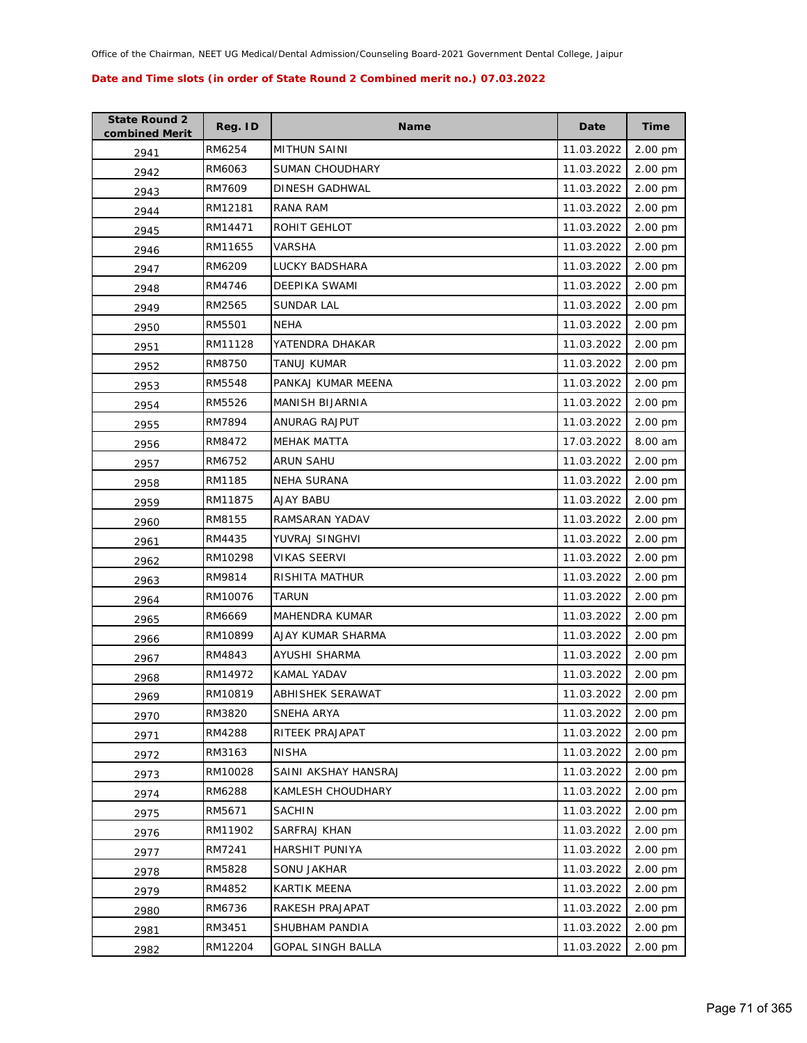| <b>State Round 2</b><br>combined Merit | Reg. ID | <b>Name</b>             | Date       | <b>Time</b> |
|----------------------------------------|---------|-------------------------|------------|-------------|
| 2941                                   | RM6254  | <b>MITHUN SAINI</b>     | 11.03.2022 | 2.00 pm     |
| 2942                                   | RM6063  | <b>SUMAN CHOUDHARY</b>  | 11.03.2022 | 2.00 pm     |
| 2943                                   | RM7609  | DINESH GADHWAL          | 11.03.2022 | 2.00 pm     |
| 2944                                   | RM12181 | <b>RANA RAM</b>         | 11.03.2022 | 2.00 pm     |
| 2945                                   | RM14471 | ROHIT GEHLOT            | 11.03.2022 | 2.00 pm     |
| 2946                                   | RM11655 | VARSHA                  | 11.03.2022 | 2.00 pm     |
| 2947                                   | RM6209  | LUCKY BADSHARA          | 11.03.2022 | 2.00 pm     |
| 2948                                   | RM4746  | DEEPIKA SWAMI           | 11.03.2022 | 2.00 pm     |
| 2949                                   | RM2565  | <b>SUNDAR LAL</b>       | 11.03.2022 | 2.00 pm     |
| 2950                                   | RM5501  | NEHA                    | 11.03.2022 | 2.00 pm     |
| 2951                                   | RM11128 | YATENDRA DHAKAR         | 11.03.2022 | 2.00 pm     |
| 2952                                   | RM8750  | TANUJ KUMAR             | 11.03.2022 | 2.00 pm     |
| 2953                                   | RM5548  | PANKAJ KUMAR MEENA      | 11.03.2022 | 2.00 pm     |
| 2954                                   | RM5526  | MANISH BIJARNIA         | 11.03.2022 | 2.00 pm     |
| 2955                                   | RM7894  | ANURAG RAJPUT           | 11.03.2022 | 2.00 pm     |
| 2956                                   | RM8472  | <b>MEHAK MATTA</b>      | 17.03.2022 | 8.00 am     |
| 2957                                   | RM6752  | <b>ARUN SAHU</b>        | 11.03.2022 | 2.00 pm     |
| 2958                                   | RM1185  | <b>NEHA SURANA</b>      | 11.03.2022 | 2.00 pm     |
| 2959                                   | RM11875 | <b>AJAY BABU</b>        | 11.03.2022 | 2.00 pm     |
| 2960                                   | RM8155  | RAMSARAN YADAV          | 11.03.2022 | 2.00 pm     |
| 2961                                   | RM4435  | YUVRAJ SINGHVI          | 11.03.2022 | 2.00 pm     |
| 2962                                   | RM10298 | <b>VIKAS SEERVI</b>     | 11.03.2022 | 2.00 pm     |
| 2963                                   | RM9814  | RISHITA MATHUR          | 11.03.2022 | 2.00 pm     |
| 2964                                   | RM10076 | <b>TARUN</b>            | 11.03.2022 | 2.00 pm     |
| 2965                                   | RM6669  | MAHENDRA KUMAR          | 11.03.2022 | 2.00 pm     |
| 2966                                   | RM10899 | AJAY KUMAR SHARMA       | 11.03.2022 | 2.00 pm     |
| 2967                                   | RM4843  | AYUSHI SHARMA           | 11.03.2022 | 2.00 pm     |
| 2968                                   | RM14972 | <b>KAMAL YADAV</b>      | 11.03.2022 | 2.00 pm     |
| 2969                                   | RM10819 | <b>ABHISHEK SERAWAT</b> | 11.03.2022 | 2.00 pm     |
| 2970                                   | RM3820  | SNEHA ARYA              | 11.03.2022 | 2.00 pm     |
| 2971                                   | RM4288  | RITEEK PRAJAPAT         | 11.03.2022 | 2.00 pm     |
| 2972                                   | RM3163  | <b>NISHA</b>            | 11.03.2022 | 2.00 pm     |
| 2973                                   | RM10028 | SAINI AKSHAY HANSRAJ    | 11.03.2022 | 2.00 pm     |
| 2974                                   | RM6288  | KAMLESH CHOUDHARY       | 11.03.2022 | 2.00 pm     |
| 2975                                   | RM5671  | <b>SACHIN</b>           | 11.03.2022 | 2.00 pm     |
| 2976                                   | RM11902 | SARFRAJ KHAN            | 11.03.2022 | 2.00 pm     |
| 2977                                   | RM7241  | <b>HARSHIT PUNIYA</b>   | 11.03.2022 | 2.00 pm     |
| 2978                                   | RM5828  | SONU JAKHAR             | 11.03.2022 | 2.00 pm     |
| 2979                                   | RM4852  | <b>KARTIK MEENA</b>     | 11.03.2022 | 2.00 pm     |
| 2980                                   | RM6736  | RAKESH PRAJAPAT         | 11.03.2022 | 2.00 pm     |
| 2981                                   | RM3451  | SHUBHAM PANDIA          | 11.03.2022 | 2.00 pm     |
| 2982                                   | RM12204 | GOPAL SINGH BALLA       | 11.03.2022 | 2.00 pm     |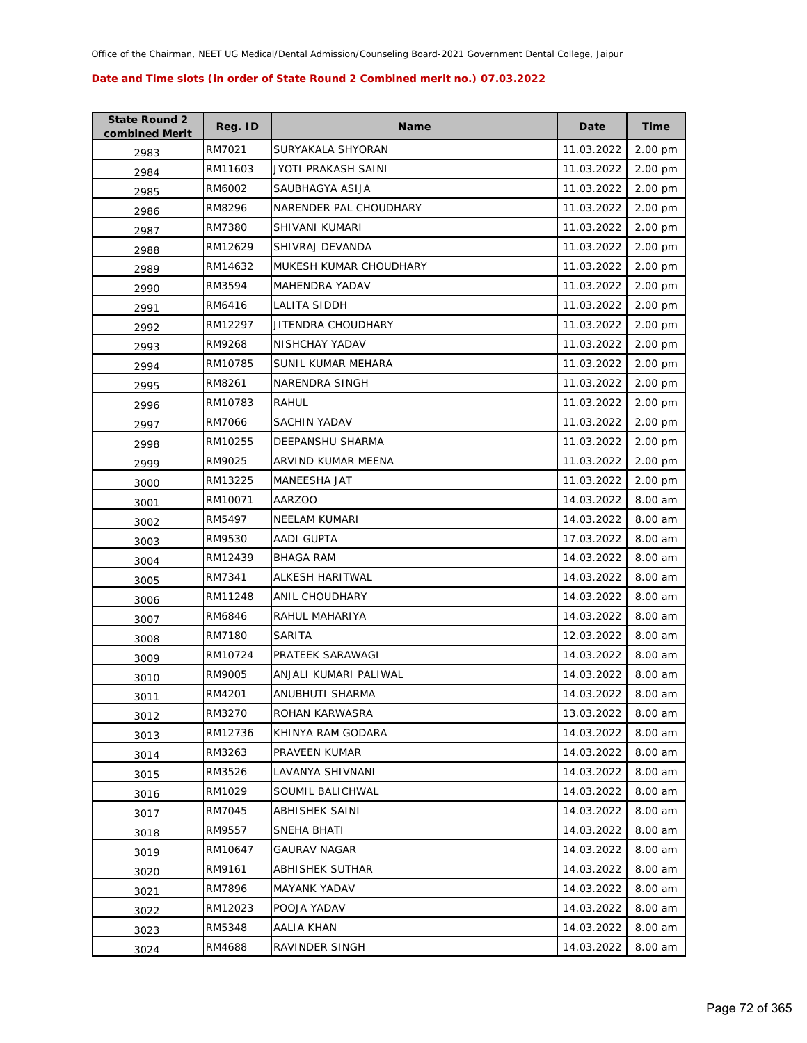| <b>State Round 2</b><br>combined Merit | Reg. ID | <b>Name</b>             | Date       | <b>Time</b> |
|----------------------------------------|---------|-------------------------|------------|-------------|
| 2983                                   | RM7021  | SURYAKALA SHYORAN       | 11.03.2022 | 2.00 pm     |
| 2984                                   | RM11603 | JYOTI PRAKASH SAINI     | 11.03.2022 | 2.00 pm     |
| 2985                                   | RM6002  | SAUBHAGYA ASIJA         | 11.03.2022 | 2.00 pm     |
| 2986                                   | RM8296  | NARENDER PAL CHOUDHARY  | 11.03.2022 | 2.00 pm     |
| 2987                                   | RM7380  | SHIVANI KUMARI          | 11.03.2022 | 2.00 pm     |
| 2988                                   | RM12629 | SHIVRAJ DEVANDA         | 11.03.2022 | 2.00 pm     |
| 2989                                   | RM14632 | MUKESH KUMAR CHOUDHARY  | 11.03.2022 | 2.00 pm     |
| 2990                                   | RM3594  | MAHENDRA YADAV          | 11.03.2022 | 2.00 pm     |
| 2991                                   | RM6416  | LALITA SIDDH            | 11.03.2022 | 2.00 pm     |
| 2992                                   | RM12297 | JITENDRA CHOUDHARY      | 11.03.2022 | 2.00 pm     |
| 2993                                   | RM9268  | NISHCHAY YADAV          | 11.03.2022 | 2.00 pm     |
| 2994                                   | RM10785 | SUNIL KUMAR MEHARA      | 11.03.2022 | 2.00 pm     |
| 2995                                   | RM8261  | NARENDRA SINGH          | 11.03.2022 | 2.00 pm     |
| 2996                                   | RM10783 | RAHUL                   | 11.03.2022 | 2.00 pm     |
| 2997                                   | RM7066  | <b>SACHIN YADAV</b>     | 11.03.2022 | 2.00 pm     |
| 2998                                   | RM10255 | <b>DEEPANSHU SHARMA</b> | 11.03.2022 | 2.00 pm     |
| 2999                                   | RM9025  | ARVIND KUMAR MEENA      | 11.03.2022 | 2.00 pm     |
| 3000                                   | RM13225 | MANEESHA JAT            | 11.03.2022 | 2.00 pm     |
| 3001                                   | RM10071 | <b>AARZOO</b>           | 14.03.2022 | 8.00 am     |
| 3002                                   | RM5497  | <b>NEELAM KUMARI</b>    | 14.03.2022 | 8.00 am     |
| 3003                                   | RM9530  | AADI GUPTA              | 17.03.2022 | 8.00 am     |
| 3004                                   | RM12439 | <b>BHAGA RAM</b>        | 14.03.2022 | 8.00 am     |
| 3005                                   | RM7341  | ALKESH HARITWAL         | 14.03.2022 | 8.00 am     |
| 3006                                   | RM11248 | ANIL CHOUDHARY          | 14.03.2022 | 8.00 am     |
| 3007                                   | RM6846  | RAHUL MAHARIYA          | 14.03.2022 | 8.00 am     |
| 3008                                   | RM7180  | SARITA                  | 12.03.2022 | 8.00 am     |
| 3009                                   | RM10724 | PRATEEK SARAWAGI        | 14.03.2022 | 8.00 am     |
| 3010                                   | RM9005  | ANJALI KUMARI PALIWAL   | 14.03.2022 | 8.00 am     |
| 3011                                   | RM4201  | ANUBHUTI SHARMA         | 14.03.2022 | 8.00 am     |
| 3012                                   | RM3270  | ROHAN KARWASRA          | 13.03.2022 | 8.00 am     |
| 3013                                   | RM12736 | KHINYA RAM GODARA       | 14.03.2022 | 8.00 am     |
| 3014                                   | RM3263  | PRAVEEN KUMAR           | 14.03.2022 | 8.00 am     |
| 3015                                   | RM3526  | LAVANYA SHIVNANI        | 14.03.2022 | 8.00 am     |
| 3016                                   | RM1029  | SOUMIL BALICHWAL        | 14.03.2022 | 8.00 am     |
| 3017                                   | RM7045  | ABHISHEK SAINI          | 14.03.2022 | 8.00 am     |
| 3018                                   | RM9557  | SNEHA BHATI             | 14.03.2022 | 8.00 am     |
| 3019                                   | RM10647 | <b>GAURAV NAGAR</b>     | 14.03.2022 | 8.00 am     |
| 3020                                   | RM9161  | ABHISHEK SUTHAR         | 14.03.2022 | 8.00 am     |
| 3021                                   | RM7896  | <b>MAYANK YADAV</b>     | 14.03.2022 | 8.00 am     |
| 3022                                   | RM12023 | POOJA YADAV             | 14.03.2022 | 8.00 am     |
| 3023                                   | RM5348  | AALIA KHAN              | 14.03.2022 | 8.00 am     |
| 3024                                   | RM4688  | RAVINDER SINGH          | 14.03.2022 | 8.00 am     |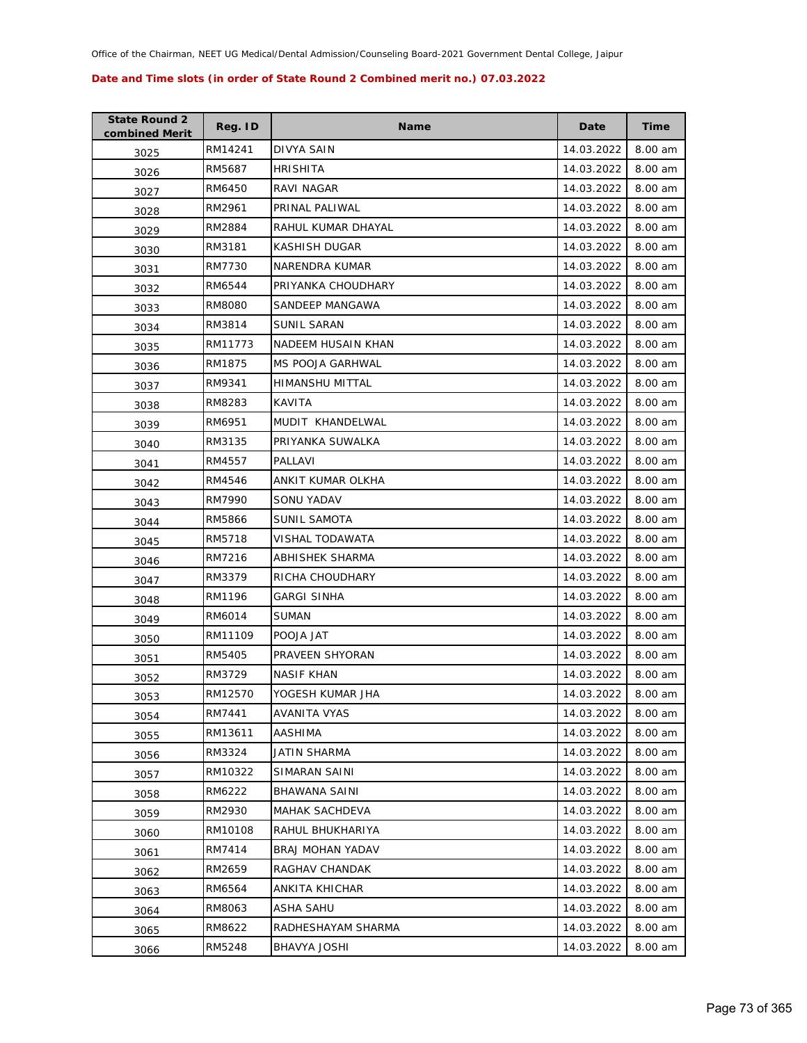| <b>State Round 2</b><br>combined Merit | Reg. ID | <b>Name</b>           | Date       | Time    |
|----------------------------------------|---------|-----------------------|------------|---------|
| 3025                                   | RM14241 | DIVYA SAIN            | 14.03.2022 | 8.00 am |
| 3026                                   | RM5687  | <b>HRISHITA</b>       | 14.03.2022 | 8.00 am |
| 3027                                   | RM6450  | RAVI NAGAR            | 14.03.2022 | 8.00 am |
| 3028                                   | RM2961  | PRINAL PALIWAL        | 14.03.2022 | 8.00 am |
| 3029                                   | RM2884  | RAHUL KUMAR DHAYAL    | 14.03.2022 | 8.00 am |
| 3030                                   | RM3181  | KASHISH DUGAR         | 14.03.2022 | 8.00 am |
| 3031                                   | RM7730  | NARENDRA KUMAR        | 14.03.2022 | 8.00 am |
| 3032                                   | RM6544  | PRIYANKA CHOUDHARY    | 14.03.2022 | 8.00 am |
| 3033                                   | RM8080  | SANDEEP MANGAWA       | 14.03.2022 | 8.00 am |
| 3034                                   | RM3814  | <b>SUNIL SARAN</b>    | 14.03.2022 | 8.00 am |
| 3035                                   | RM11773 | NADEEM HUSAIN KHAN    | 14.03.2022 | 8.00 am |
| 3036                                   | RM1875  | MS POOJA GARHWAL      | 14.03.2022 | 8.00 am |
| 3037                                   | RM9341  | HIMANSHU MITTAL       | 14.03.2022 | 8.00 am |
| 3038                                   | RM8283  | KAVITA                | 14.03.2022 | 8.00 am |
| 3039                                   | RM6951  | MUDIT KHANDELWAL      | 14.03.2022 | 8.00 am |
| 3040                                   | RM3135  | PRIYANKA SUWALKA      | 14.03.2022 | 8.00 am |
| 3041                                   | RM4557  | PALLAVI               | 14.03.2022 | 8.00 am |
| 3042                                   | RM4546  | ANKIT KUMAR OLKHA     | 14.03.2022 | 8.00 am |
| 3043                                   | RM7990  | SONU YADAV            | 14.03.2022 | 8.00 am |
| 3044                                   | RM5866  | SUNIL SAMOTA          | 14.03.2022 | 8.00 am |
| 3045                                   | RM5718  | VISHAL TODAWATA       | 14.03.2022 | 8.00 am |
| 3046                                   | RM7216  | ABHISHEK SHARMA       | 14.03.2022 | 8.00 am |
| 3047                                   | RM3379  | RICHA CHOUDHARY       | 14.03.2022 | 8.00 am |
| 3048                                   | RM1196  | <b>GARGI SINHA</b>    | 14.03.2022 | 8.00 am |
| 3049                                   | RM6014  | SUMAN                 | 14.03.2022 | 8.00 am |
| 3050                                   | RM11109 | POOJA JAT             | 14.03.2022 | 8.00 am |
| 3051                                   | RM5405  | PRAVEEN SHYORAN       | 14.03.2022 | 8.00 am |
| 3052                                   | RM3729  | <b>NASIF KHAN</b>     | 14.03.2022 | 8.00 am |
| 3053                                   | RM12570 | YOGESH KUMAR JHA      | 14.03.2022 | 8.00 am |
| 3054                                   | RM7441  | AVANITA VYAS          | 14.03.2022 | 8.00 am |
| 3055                                   | RM13611 | AASHIMA               | 14.03.2022 | 8.00 am |
| 3056                                   | RM3324  | JATIN SHARMA          | 14.03.2022 | 8.00 am |
| 3057                                   | RM10322 | SIMARAN SAINI         | 14.03.2022 | 8.00 am |
| 3058                                   | RM6222  | <b>BHAWANA SAINI</b>  | 14.03.2022 | 8.00 am |
| 3059                                   | RM2930  | <b>MAHAK SACHDEVA</b> | 14.03.2022 | 8.00 am |
| 3060                                   | RM10108 | RAHUL BHUKHARIYA      | 14.03.2022 | 8.00 am |
| 3061                                   | RM7414  | BRAJ MOHAN YADAV      | 14.03.2022 | 8.00 am |
| 3062                                   | RM2659  | RAGHAV CHANDAK        | 14.03.2022 | 8.00 am |
| 3063                                   | RM6564  | ANKITA KHICHAR        | 14.03.2022 | 8.00 am |
| 3064                                   | RM8063  | ASHA SAHU             | 14.03.2022 | 8.00 am |
| 3065                                   | RM8622  | RADHESHAYAM SHARMA    | 14.03.2022 | 8.00 am |
| 3066                                   | RM5248  | BHAVYA JOSHI          | 14.03.2022 | 8.00 am |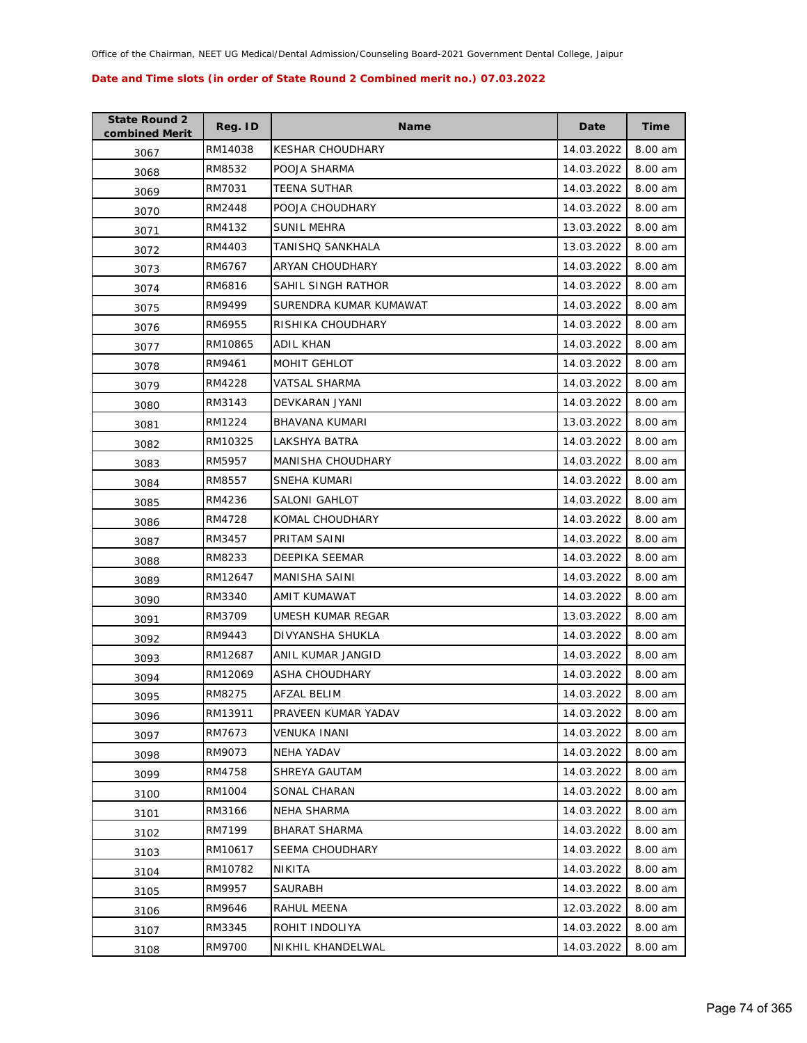| <b>State Round 2</b><br>combined Merit | Reg. ID | <b>Name</b>             | Date       | <b>Time</b> |
|----------------------------------------|---------|-------------------------|------------|-------------|
| 3067                                   | RM14038 | <b>KESHAR CHOUDHARY</b> | 14.03.2022 | 8.00 am     |
| 3068                                   | RM8532  | POOJA SHARMA            | 14.03.2022 | 8.00 am     |
| 3069                                   | RM7031  | TEENA SUTHAR            | 14.03.2022 | 8.00 am     |
| 3070                                   | RM2448  | POOJA CHOUDHARY         | 14.03.2022 | 8.00 am     |
| 3071                                   | RM4132  | <b>SUNIL MEHRA</b>      | 13.03.2022 | 8.00 am     |
| 3072                                   | RM4403  | TANISHQ SANKHALA        | 13.03.2022 | 8.00 am     |
| 3073                                   | RM6767  | <b>ARYAN CHOUDHARY</b>  | 14.03.2022 | 8.00 am     |
| 3074                                   | RM6816  | SAHIL SINGH RATHOR      | 14.03.2022 | 8.00 am     |
| 3075                                   | RM9499  | SURENDRA KUMAR KUMAWAT  | 14.03.2022 | 8.00 am     |
| 3076                                   | RM6955  | RISHIKA CHOUDHARY       | 14.03.2022 | 8.00 am     |
| 3077                                   | RM10865 | ADIL KHAN               | 14.03.2022 | 8.00 am     |
| 3078                                   | RM9461  | MOHIT GEHLOT            | 14.03.2022 | 8.00 am     |
| 3079                                   | RM4228  | <b>VATSAL SHARMA</b>    | 14.03.2022 | 8.00 am     |
| 3080                                   | RM3143  | DEVKARAN JYANI          | 14.03.2022 | 8.00 am     |
| 3081                                   | RM1224  | <b>BHAVANA KUMARI</b>   | 13.03.2022 | 8.00 am     |
| 3082                                   | RM10325 | LAKSHYA BATRA           | 14.03.2022 | 8.00 am     |
| 3083                                   | RM5957  | MANISHA CHOUDHARY       | 14.03.2022 | 8.00 am     |
| 3084                                   | RM8557  | SNEHA KUMARI            | 14.03.2022 | 8.00 am     |
| 3085                                   | RM4236  | SALONI GAHLOT           | 14.03.2022 | 8.00 am     |
| 3086                                   | RM4728  | KOMAL CHOUDHARY         | 14.03.2022 | 8.00 am     |
| 3087                                   | RM3457  | PRITAM SAINI            | 14.03.2022 | 8.00 am     |
| 3088                                   | RM8233  | DEEPIKA SEEMAR          | 14.03.2022 | 8.00 am     |
| 3089                                   | RM12647 | MANISHA SAINI           | 14.03.2022 | 8.00 am     |
| 3090                                   | RM3340  | AMIT KUMAWAT            | 14.03.2022 | 8.00 am     |
| 3091                                   | RM3709  | UMESH KUMAR REGAR       | 13.03.2022 | 8.00 am     |
| 3092                                   | RM9443  | DIVYANSHA SHUKLA        | 14.03.2022 | 8.00 am     |
| 3093                                   | RM12687 | ANIL KUMAR JANGID       | 14.03.2022 | 8.00 am     |
| 3094                                   | RM12069 | ASHA CHOUDHARY          | 14.03.2022 | 8.00 am     |
| 3095                                   | RM8275  | <b>AFZAL BELIM</b>      | 14.03.2022 | 8.00 am     |
| 3096                                   | RM13911 | PRAVEEN KUMAR YADAV     | 14.03.2022 | 8.00 am     |
| 3097                                   | RM7673  | VENUKA INANI            | 14.03.2022 | 8.00 am     |
| 3098                                   | RM9073  | NEHA YADAV              | 14.03.2022 | 8.00 am     |
| 3099                                   | RM4758  | SHREYA GAUTAM           | 14.03.2022 | 8.00 am     |
| 3100                                   | RM1004  | SONAL CHARAN            | 14.03.2022 | 8.00 am     |
| 3101                                   | RM3166  | NEHA SHARMA             | 14.03.2022 | 8.00 am     |
| 3102                                   | RM7199  | <b>BHARAT SHARMA</b>    | 14.03.2022 | 8.00 am     |
| 3103                                   | RM10617 | SEEMA CHOUDHARY         | 14.03.2022 | 8.00 am     |
| 3104                                   | RM10782 | NIKITA                  | 14.03.2022 | 8.00 am     |
| 3105                                   | RM9957  | SAURABH                 | 14.03.2022 | 8.00 am     |
| 3106                                   | RM9646  | RAHUL MEENA             | 12.03.2022 | 8.00 am     |
| 3107                                   | RM3345  | ROHIT INDOLIYA          | 14.03.2022 | 8.00 am     |
| 3108                                   | RM9700  | NIKHIL KHANDELWAL       | 14.03.2022 | 8.00 am     |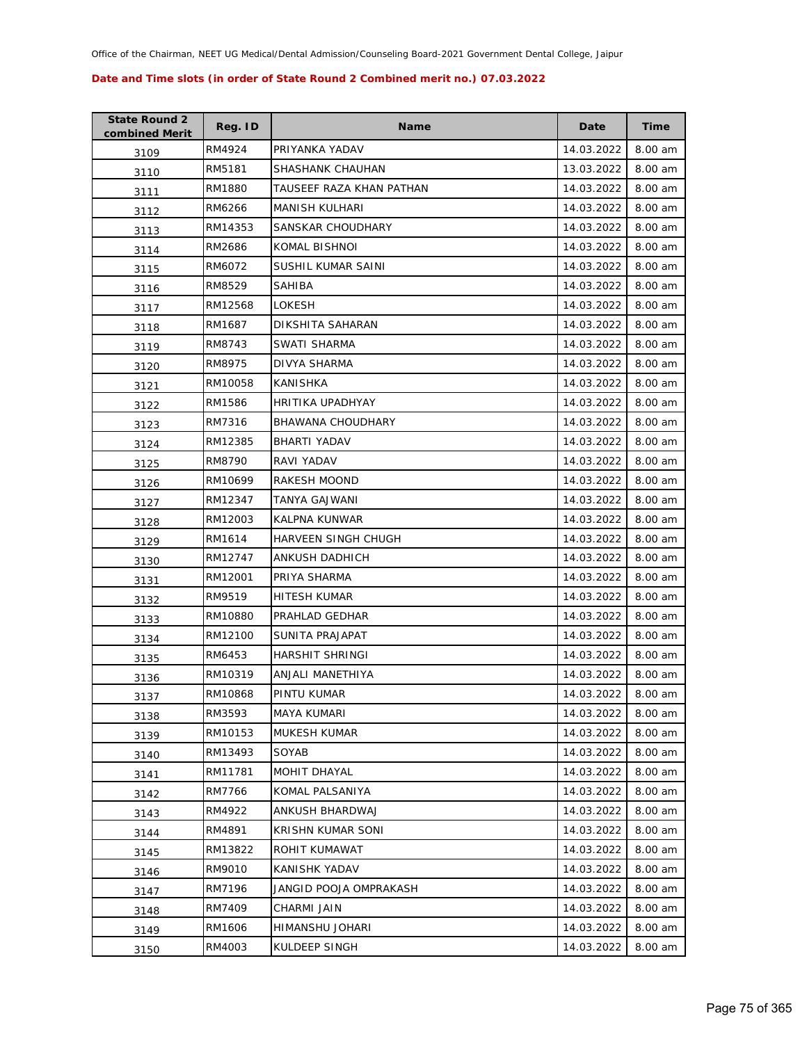| <b>State Round 2</b><br>combined Merit | Reg. ID | <b>Name</b>              | Date       | <b>Time</b> |
|----------------------------------------|---------|--------------------------|------------|-------------|
| 3109                                   | RM4924  | PRIYANKA YADAV           | 14.03.2022 | 8.00 am     |
| 3110                                   | RM5181  | SHASHANK CHAUHAN         | 13.03.2022 | 8.00 am     |
| 3111                                   | RM1880  | TAUSEEF RAZA KHAN PATHAN | 14.03.2022 | 8.00 am     |
| 3112                                   | RM6266  | <b>MANISH KULHARI</b>    | 14.03.2022 | 8.00 am     |
| 3113                                   | RM14353 | SANSKAR CHOUDHARY        | 14.03.2022 | 8.00 am     |
| 3114                                   | RM2686  | KOMAL BISHNOI            | 14.03.2022 | 8.00 am     |
| 3115                                   | RM6072  | SUSHIL KUMAR SAINI       | 14.03.2022 | 8.00 am     |
| 3116                                   | RM8529  | SAHIBA                   | 14.03.2022 | 8.00 am     |
| 3117                                   | RM12568 | LOKESH                   | 14.03.2022 | 8.00 am     |
| 3118                                   | RM1687  | DIKSHITA SAHARAN         | 14.03.2022 | 8.00 am     |
| 3119                                   | RM8743  | SWATI SHARMA             | 14.03.2022 | 8.00 am     |
| 3120                                   | RM8975  | DIVYA SHARMA             | 14.03.2022 | 8.00 am     |
| 3121                                   | RM10058 | KANISHKA                 | 14.03.2022 | 8.00 am     |
| 3122                                   | RM1586  | HRITIKA UPADHYAY         | 14.03.2022 | 8.00 am     |
| 3123                                   | RM7316  | BHAWANA CHOUDHARY        | 14.03.2022 | 8.00 am     |
| 3124                                   | RM12385 | BHARTI YADAV             | 14.03.2022 | 8.00 am     |
| 3125                                   | RM8790  | RAVI YADAV               | 14.03.2022 | 8.00 am     |
| 3126                                   | RM10699 | <b>RAKESH MOOND</b>      | 14.03.2022 | 8.00 am     |
| 3127                                   | RM12347 | TANYA GAJWANI            | 14.03.2022 | 8.00 am     |
| 3128                                   | RM12003 | KALPNA KUNWAR            | 14.03.2022 | 8.00 am     |
| 3129                                   | RM1614  | HARVEEN SINGH CHUGH      | 14.03.2022 | 8.00 am     |
| 3130                                   | RM12747 | ANKUSH DADHICH           | 14.03.2022 | 8.00 am     |
| 3131                                   | RM12001 | PRIYA SHARMA             | 14.03.2022 | 8.00 am     |
| 3132                                   | RM9519  | HITESH KUMAR             | 14.03.2022 | 8.00 am     |
| 3133                                   | RM10880 | PRAHLAD GEDHAR           | 14.03.2022 | 8.00 am     |
| 3134                                   | RM12100 | SUNITA PRAJAPAT          | 14.03.2022 | 8.00 am     |
| 3135                                   | RM6453  | HARSHIT SHRINGI          | 14.03.2022 | 8.00 am     |
| 3136                                   | RM10319 | ANJALI MANETHIYA         | 14.03.2022 | 8.00 am     |
| 3137                                   | RM10868 | PINTU KUMAR              | 14.03.2022 | 8.00 am     |
| 3138                                   | RM3593  | MAYA KUMARI              | 14.03.2022 | 8.00 am     |
| 3139                                   | RM10153 | MUKESH KUMAR             | 14.03.2022 | 8.00 am     |
| 3140                                   | RM13493 | SOYAB                    | 14.03.2022 | 8.00 am     |
| 3141                                   | RM11781 | MOHIT DHAYAL             | 14.03.2022 | 8.00 am     |
| 3142                                   | RM7766  | KOMAL PALSANIYA          | 14.03.2022 | 8.00 am     |
| 3143                                   | RM4922  | ANKUSH BHARDWAJ          | 14.03.2022 | 8.00 am     |
| 3144                                   | RM4891  | KRISHN KUMAR SONI        | 14.03.2022 | 8.00 am     |
| 3145                                   | RM13822 | ROHIT KUMAWAT            | 14.03.2022 | 8.00 am     |
| 3146                                   | RM9010  | KANISHK YADAV            | 14.03.2022 | 8.00 am     |
| 3147                                   | RM7196  | JANGID POOJA OMPRAKASH   | 14.03.2022 | 8.00 am     |
| 3148                                   | RM7409  | CHARMI JAIN              | 14.03.2022 | 8.00 am     |
| 3149                                   | RM1606  | HIMANSHU JOHARI          | 14.03.2022 | 8.00 am     |
| 3150                                   | RM4003  | KULDEEP SINGH            | 14.03.2022 | 8.00 am     |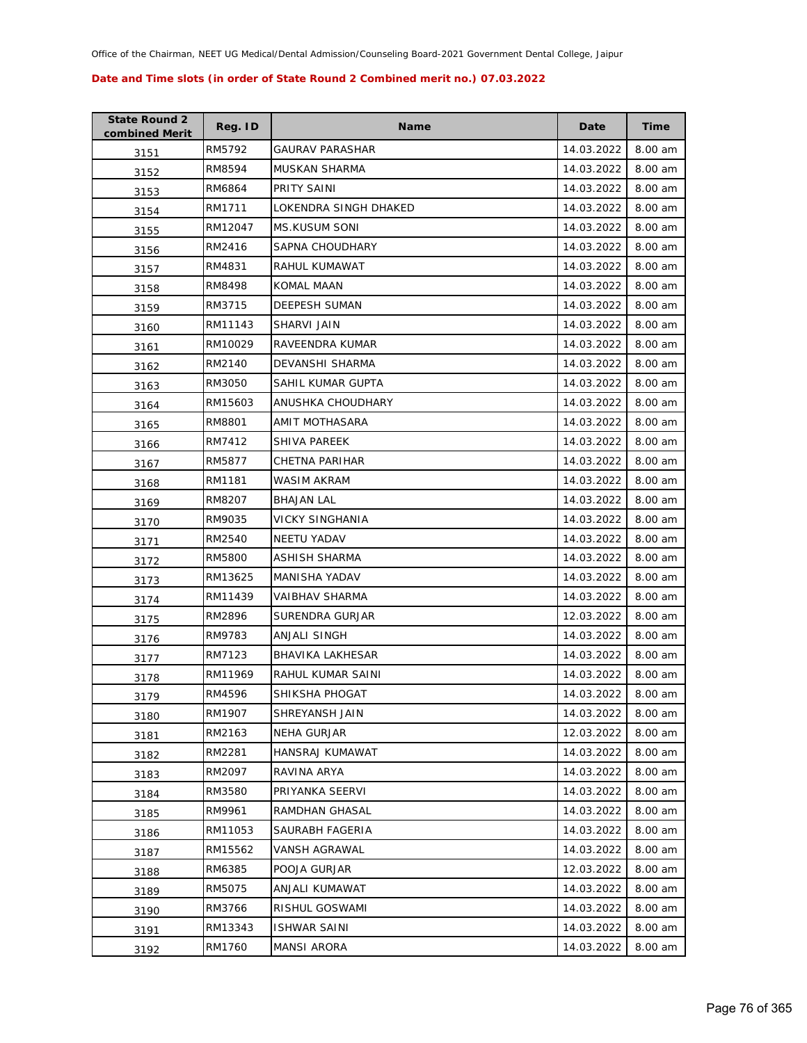| <b>State Round 2</b><br>combined Merit | Reg. ID | <b>Name</b>            | Date       | <b>Time</b> |
|----------------------------------------|---------|------------------------|------------|-------------|
| 3151                                   | RM5792  | GAURAV PARASHAR        | 14.03.2022 | 8.00 am     |
| 3152                                   | RM8594  | <b>MUSKAN SHARMA</b>   | 14.03.2022 | 8.00 am     |
| 3153                                   | RM6864  | PRITY SAINI            | 14.03.2022 | 8.00 am     |
| 3154                                   | RM1711  | LOKENDRA SINGH DHAKED  | 14.03.2022 | 8.00 am     |
| 3155                                   | RM12047 | <b>MS.KUSUM SONI</b>   | 14.03.2022 | 8.00 am     |
| 3156                                   | RM2416  | <b>SAPNA CHOUDHARY</b> | 14.03.2022 | 8.00 am     |
| 3157                                   | RM4831  | RAHUL KUMAWAT          | 14.03.2022 | 8.00 am     |
| 3158                                   | RM8498  | <b>KOMAL MAAN</b>      | 14.03.2022 | 8.00 am     |
| 3159                                   | RM3715  | <b>DEEPESH SUMAN</b>   | 14.03.2022 | 8.00 am     |
| 3160                                   | RM11143 | SHARVI JAIN            | 14.03.2022 | 8.00 am     |
| 3161                                   | RM10029 | RAVEENDRA KUMAR        | 14.03.2022 | 8.00 am     |
| 3162                                   | RM2140  | DEVANSHI SHARMA        | 14.03.2022 | 8.00 am     |
| 3163                                   | RM3050  | SAHIL KUMAR GUPTA      | 14.03.2022 | 8.00 am     |
| 3164                                   | RM15603 | ANUSHKA CHOUDHARY      | 14.03.2022 | 8.00 am     |
| 3165                                   | RM8801  | AMIT MOTHASARA         | 14.03.2022 | 8.00 am     |
| 3166                                   | RM7412  | <b>SHIVA PAREEK</b>    | 14.03.2022 | 8.00 am     |
| 3167                                   | RM5877  | CHETNA PARIHAR         | 14.03.2022 | 8.00 am     |
| 3168                                   | RM1181  | <b>WASIM AKRAM</b>     | 14.03.2022 | 8.00 am     |
| 3169                                   | RM8207  | <b>BHAJAN LAL</b>      | 14.03.2022 | 8.00 am     |
| 3170                                   | RM9035  | <b>VICKY SINGHANIA</b> | 14.03.2022 | 8.00 am     |
| 3171                                   | RM2540  | <b>NEETU YADAV</b>     | 14.03.2022 | 8.00 am     |
| 3172                                   | RM5800  | ASHISH SHARMA          | 14.03.2022 | 8.00 am     |
| 3173                                   | RM13625 | MANISHA YADAV          | 14.03.2022 | 8.00 am     |
| 3174                                   | RM11439 | <b>VAIBHAV SHARMA</b>  | 14.03.2022 | 8.00 am     |
| 3175                                   | RM2896  | SURENDRA GURJAR        | 12.03.2022 | 8.00 am     |
| 3176                                   | RM9783  | ANJALI SINGH           | 14.03.2022 | 8.00 am     |
| 3177                                   | RM7123  | BHAVIKA LAKHESAR       | 14.03.2022 | 8.00 am     |
| 3178                                   | RM11969 | RAHUL KUMAR SAINI      | 14.03.2022 | 8.00 am     |
| 3179                                   | RM4596  | SHIKSHA PHOGAT         | 14.03.2022 | 8.00 am     |
| 3180                                   | RM1907  | SHREYANSH JAIN         | 14.03.2022 | 8.00 am     |
| 3181                                   | RM2163  | <b>NEHA GURJAR</b>     | 12.03.2022 | 8.00 am     |
| 3182                                   | RM2281  | <b>HANSRAJ KUMAWAT</b> | 14.03.2022 | 8.00 am     |
| 3183                                   | RM2097  | RAVINA ARYA            | 14.03.2022 | 8.00 am     |
| 3184                                   | RM3580  | PRIYANKA SEERVI        | 14.03.2022 | 8.00 am     |
| 3185                                   | RM9961  | RAMDHAN GHASAL         | 14.03.2022 | 8.00 am     |
| 3186                                   | RM11053 | SAURABH FAGERIA        | 14.03.2022 | 8.00 am     |
| 3187                                   | RM15562 | VANSH AGRAWAL          | 14.03.2022 | 8.00 am     |
| 3188                                   | RM6385  | POOJA GURJAR           | 12.03.2022 | 8.00 am     |
| 3189                                   | RM5075  | ANJALI KUMAWAT         | 14.03.2022 | 8.00 am     |
| 3190                                   | RM3766  | RISHUL GOSWAMI         | 14.03.2022 | 8.00 am     |
| 3191                                   | RM13343 | <b>ISHWAR SAINI</b>    | 14.03.2022 | 8.00 am     |
| 3192                                   | RM1760  | <b>MANSI ARORA</b>     | 14.03.2022 | 8.00 am     |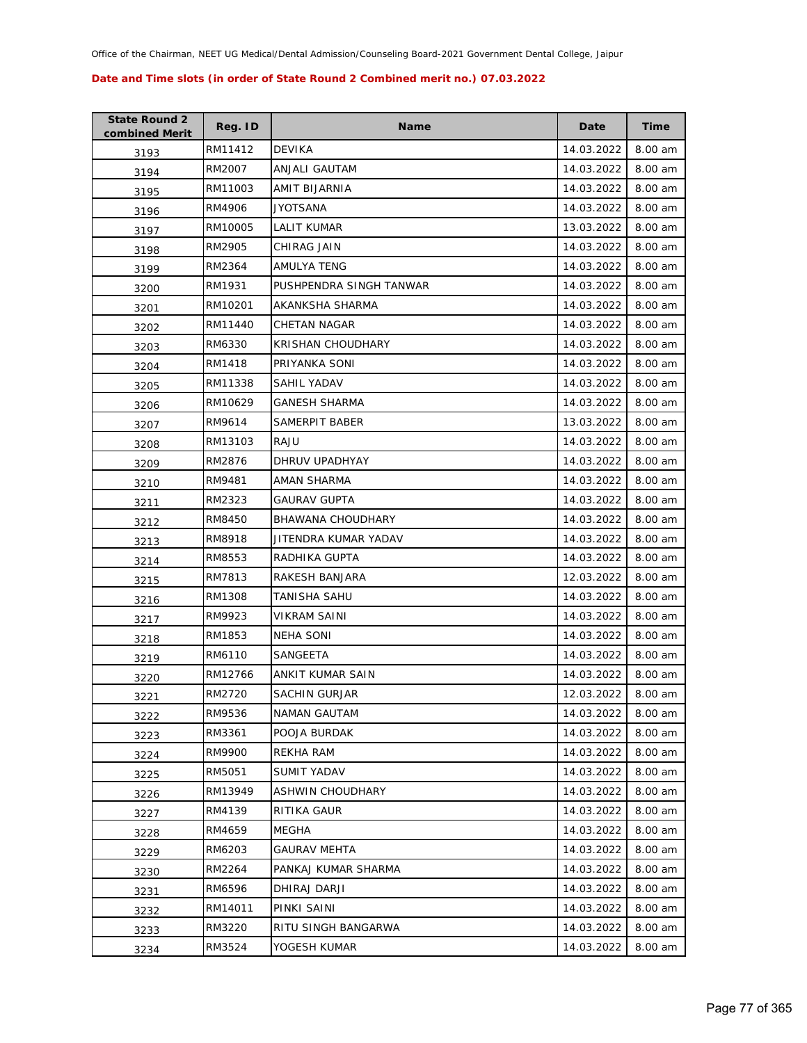| <b>State Round 2</b><br>combined Merit | Reg. ID | <b>Name</b>             | Date       | Time    |
|----------------------------------------|---------|-------------------------|------------|---------|
| 3193                                   | RM11412 | <b>DEVIKA</b>           | 14.03.2022 | 8.00 am |
| 3194                                   | RM2007  | ANJALI GAUTAM           | 14.03.2022 | 8.00 am |
| 3195                                   | RM11003 | AMIT BIJARNIA           | 14.03.2022 | 8.00 am |
| 3196                                   | RM4906  | JYOTSANA                | 14.03.2022 | 8.00 am |
| 3197                                   | RM10005 | LALIT KUMAR             | 13.03.2022 | 8.00 am |
| 3198                                   | RM2905  | CHIRAG JAIN             | 14.03.2022 | 8.00 am |
| 3199                                   | RM2364  | AMULYA TENG             | 14.03.2022 | 8.00 am |
| 3200                                   | RM1931  | PUSHPENDRA SINGH TANWAR | 14.03.2022 | 8.00 am |
| 3201                                   | RM10201 | AKANKSHA SHARMA         | 14.03.2022 | 8.00 am |
| 3202                                   | RM11440 | CHETAN NAGAR            | 14.03.2022 | 8.00 am |
| 3203                                   | RM6330  | KRISHAN CHOUDHARY       | 14.03.2022 | 8.00 am |
| 3204                                   | RM1418  | PRIYANKA SONI           | 14.03.2022 | 8.00 am |
| 3205                                   | RM11338 | SAHIL YADAV             | 14.03.2022 | 8.00 am |
| 3206                                   | RM10629 | GANESH SHARMA           | 14.03.2022 | 8.00 am |
| 3207                                   | RM9614  | <b>SAMERPIT BABER</b>   | 13.03.2022 | 8.00 am |
| 3208                                   | RM13103 | RAJU                    | 14.03.2022 | 8.00 am |
| 3209                                   | RM2876  | DHRUV UPADHYAY          | 14.03.2022 | 8.00 am |
| 3210                                   | RM9481  | AMAN SHARMA             | 14.03.2022 | 8.00 am |
| 3211                                   | RM2323  | GAURAV GUPTA            | 14.03.2022 | 8.00 am |
| 3212                                   | RM8450  | BHAWANA CHOUDHARY       | 14.03.2022 | 8.00 am |
| 3213                                   | RM8918  | JITENDRA KUMAR YADAV    | 14.03.2022 | 8.00 am |
| 3214                                   | RM8553  | RADHIKA GUPTA           | 14.03.2022 | 8.00 am |
| 3215                                   | RM7813  | RAKESH BANJARA          | 12.03.2022 | 8.00 am |
| 3216                                   | RM1308  | TANISHA SAHU            | 14.03.2022 | 8.00 am |
| 3217                                   | RM9923  | VIKRAM SAINI            | 14.03.2022 | 8.00 am |
| 3218                                   | RM1853  | <b>NEHA SONI</b>        | 14.03.2022 | 8.00 am |
| 3219                                   | RM6110  | SANGEETA                | 14.03.2022 | 8.00 am |
| 3220                                   | RM12766 | ANKIT KUMAR SAIN        | 14.03.2022 | 8.00 am |
| 3221                                   | RM2720  | <b>SACHIN GURJAR</b>    | 12.03.2022 | 8.00 am |
| 3222                                   | RM9536  | <b>NAMAN GAUTAM</b>     | 14.03.2022 | 8.00 am |
| 3223                                   | RM3361  | POOJA BURDAK            | 14.03.2022 | 8.00 am |
| 3224                                   | RM9900  | REKHA RAM               | 14.03.2022 | 8.00 am |
| 3225                                   | RM5051  | <b>SUMIT YADAV</b>      | 14.03.2022 | 8.00 am |
| 3226                                   | RM13949 | ASHWIN CHOUDHARY        | 14.03.2022 | 8.00 am |
| 3227                                   | RM4139  | RITIKA GAUR             | 14.03.2022 | 8.00 am |
| 3228                                   | RM4659  | MEGHA                   | 14.03.2022 | 8.00 am |
| 3229                                   | RM6203  | <b>GAURAV MEHTA</b>     | 14.03.2022 | 8.00 am |
| 3230                                   | RM2264  | PANKAJ KUMAR SHARMA     | 14.03.2022 | 8.00 am |
| 3231                                   | RM6596  | DHIRAJ DARJI            | 14.03.2022 | 8.00 am |
| 3232                                   | RM14011 | PINKI SAINI             | 14.03.2022 | 8.00 am |
| 3233                                   | RM3220  | RITU SINGH BANGARWA     | 14.03.2022 | 8.00 am |
| 3234                                   | RM3524  | YOGESH KUMAR            | 14.03.2022 | 8.00 am |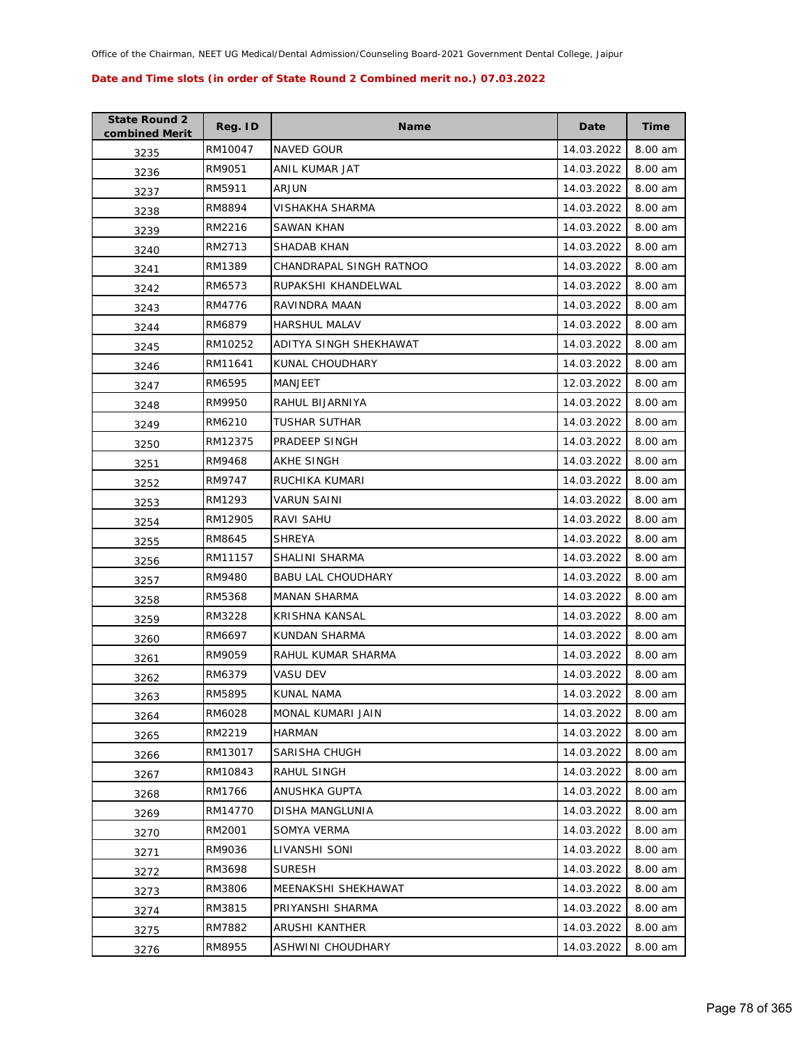| <b>State Round 2</b><br>combined Merit | Reg. ID | <b>Name</b>               | Date       | Time    |
|----------------------------------------|---------|---------------------------|------------|---------|
| 3235                                   | RM10047 | NAVED GOUR                | 14.03.2022 | 8.00 am |
| 3236                                   | RM9051  | ANIL KUMAR JAT            | 14.03.2022 | 8.00 am |
| 3237                                   | RM5911  | ARJUN                     | 14.03.2022 | 8.00 am |
| 3238                                   | RM8894  | VISHAKHA SHARMA           | 14.03.2022 | 8.00 am |
| 3239                                   | RM2216  | SAWAN KHAN                | 14.03.2022 | 8.00 am |
| 3240                                   | RM2713  | SHADAB KHAN               | 14.03.2022 | 8.00 am |
| 3241                                   | RM1389  | CHANDRAPAL SINGH RATNOO   | 14.03.2022 | 8.00 am |
| 3242                                   | RM6573  | RUPAKSHI KHANDELWAL       | 14.03.2022 | 8.00 am |
| 3243                                   | RM4776  | RAVINDRA MAAN             | 14.03.2022 | 8.00 am |
| 3244                                   | RM6879  | <b>HARSHUL MALAV</b>      | 14.03.2022 | 8.00 am |
| 3245                                   | RM10252 | ADITYA SINGH SHEKHAWAT    | 14.03.2022 | 8.00 am |
| 3246                                   | RM11641 | KUNAL CHOUDHARY           | 14.03.2022 | 8.00 am |
| 3247                                   | RM6595  | MANJEET                   | 12.03.2022 | 8.00 am |
| 3248                                   | RM9950  | RAHUL BIJARNIYA           | 14.03.2022 | 8.00 am |
| 3249                                   | RM6210  | TUSHAR SUTHAR             | 14.03.2022 | 8.00 am |
| 3250                                   | RM12375 | PRADEEP SINGH             | 14.03.2022 | 8.00 am |
| 3251                                   | RM9468  | AKHE SINGH                | 14.03.2022 | 8.00 am |
| 3252                                   | RM9747  | RUCHIKA KUMARI            | 14.03.2022 | 8.00 am |
| 3253                                   | RM1293  | <b>VARUN SAINI</b>        | 14.03.2022 | 8.00 am |
| 3254                                   | RM12905 | RAVI SAHU                 | 14.03.2022 | 8.00 am |
| 3255                                   | RM8645  | <b>SHREYA</b>             | 14.03.2022 | 8.00 am |
| 3256                                   | RM11157 | SHALINI SHARMA            | 14.03.2022 | 8.00 am |
| 3257                                   | RM9480  | <b>BABU LAL CHOUDHARY</b> | 14.03.2022 | 8.00 am |
| 3258                                   | RM5368  | <b>MANAN SHARMA</b>       | 14.03.2022 | 8.00 am |
| 3259                                   | RM3228  | KRISHNA KANSAL            | 14.03.2022 | 8.00 am |
| 3260                                   | RM6697  | KUNDAN SHARMA             | 14.03.2022 | 8.00 am |
| 3261                                   | RM9059  | RAHUL KUMAR SHARMA        | 14.03.2022 | 8.00 am |
| 3262                                   | RM6379  | VASU DEV                  | 14.03.2022 | 8.00 am |
| 3263                                   | RM5895  | KUNAL NAMA                | 14.03.2022 | 8.00 am |
| 3264                                   | RM6028  | MONAL KUMARI JAIN         | 14.03.2022 | 8.00 am |
| 3265                                   | RM2219  | HARMAN                    | 14.03.2022 | 8.00 am |
| 3266                                   | RM13017 | SARISHA CHUGH             | 14.03.2022 | 8.00 am |
| 3267                                   | RM10843 | RAHUL SINGH               | 14.03.2022 | 8.00 am |
| 3268                                   | RM1766  | ANUSHKA GUPTA             | 14.03.2022 | 8.00 am |
| 3269                                   | RM14770 | DISHA MANGLUNIA           | 14.03.2022 | 8.00 am |
| 3270                                   | RM2001  | SOMYA VERMA               | 14.03.2022 | 8.00 am |
| 3271                                   | RM9036  | LIVANSHI SONI             | 14.03.2022 | 8.00 am |
| 3272                                   | RM3698  | <b>SURESH</b>             | 14.03.2022 | 8.00 am |
| 3273                                   | RM3806  | MEENAKSHI SHEKHAWAT       | 14.03.2022 | 8.00 am |
| 3274                                   | RM3815  | PRIYANSHI SHARMA          | 14.03.2022 | 8.00 am |
| 3275                                   | RM7882  | ARUSHI KANTHER            | 14.03.2022 | 8.00 am |
| 3276                                   | RM8955  | ASHWINI CHOUDHARY         | 14.03.2022 | 8.00 am |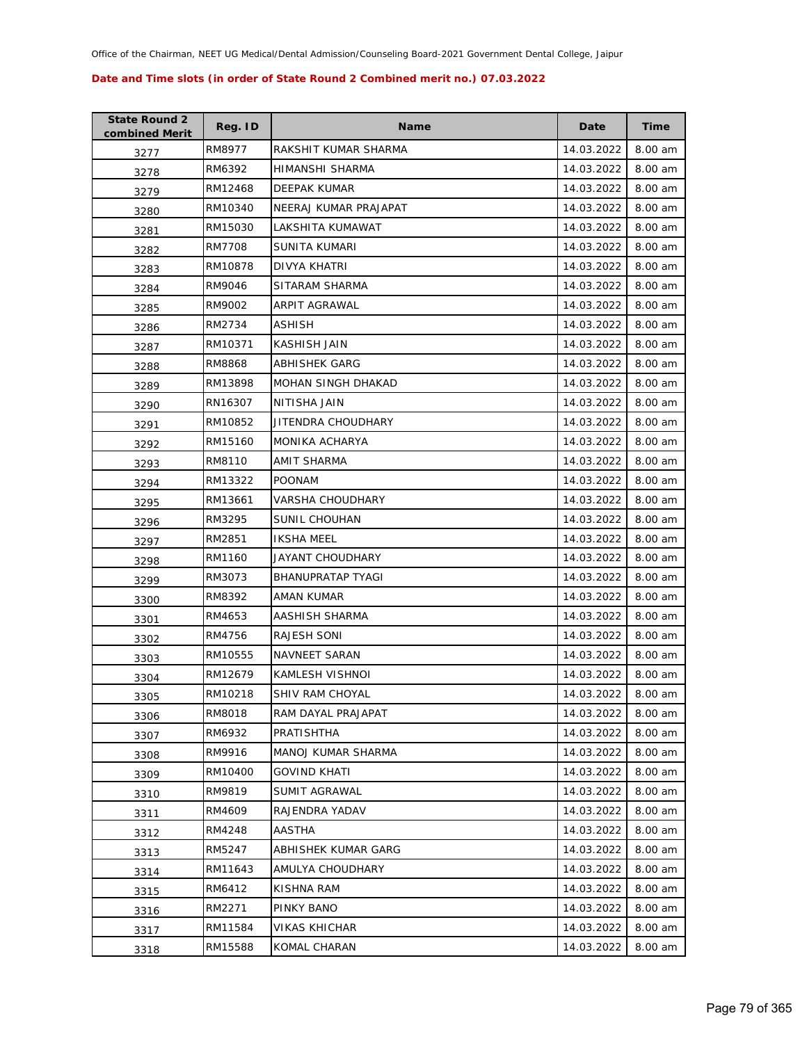| <b>State Round 2</b><br>combined Merit | Reg. ID | <b>Name</b>              | Date       | Time    |
|----------------------------------------|---------|--------------------------|------------|---------|
| 3277                                   | RM8977  | RAKSHIT KUMAR SHARMA     | 14.03.2022 | 8.00 am |
| 3278                                   | RM6392  | HIMANSHI SHARMA          | 14.03.2022 | 8.00 am |
| 3279                                   | RM12468 | DEEPAK KUMAR             | 14.03.2022 | 8.00 am |
| 3280                                   | RM10340 | NEERAJ KUMAR PRAJAPAT    | 14.03.2022 | 8.00 am |
| 3281                                   | RM15030 | LAKSHITA KUMAWAT         | 14.03.2022 | 8.00 am |
| 3282                                   | RM7708  | <b>SUNITA KUMARI</b>     | 14.03.2022 | 8.00 am |
| 3283                                   | RM10878 | DIVYA KHATRI             | 14.03.2022 | 8.00 am |
| 3284                                   | RM9046  | SITARAM SHARMA           | 14.03.2022 | 8.00 am |
| 3285                                   | RM9002  | ARPIT AGRAWAL            | 14.03.2022 | 8.00 am |
| 3286                                   | RM2734  | ASHISH                   | 14.03.2022 | 8.00 am |
| 3287                                   | RM10371 | KASHISH JAIN             | 14.03.2022 | 8.00 am |
| 3288                                   | RM8868  | ABHISHEK GARG            | 14.03.2022 | 8.00 am |
| 3289                                   | RM13898 | MOHAN SINGH DHAKAD       | 14.03.2022 | 8.00 am |
| 3290                                   | RN16307 | NITISHA JAIN             | 14.03.2022 | 8.00 am |
| 3291                                   | RM10852 | JITENDRA CHOUDHARY       | 14.03.2022 | 8.00 am |
| 3292                                   | RM15160 | MONIKA ACHARYA           | 14.03.2022 | 8.00 am |
| 3293                                   | RM8110  | <b>AMIT SHARMA</b>       | 14.03.2022 | 8.00 am |
| 3294                                   | RM13322 | <b>POONAM</b>            | 14.03.2022 | 8.00 am |
| 3295                                   | RM13661 | VARSHA CHOUDHARY         | 14.03.2022 | 8.00 am |
| 3296                                   | RM3295  | SUNIL CHOUHAN            | 14.03.2022 | 8.00 am |
| 3297                                   | RM2851  | <b>IKSHA MEEL</b>        | 14.03.2022 | 8.00 am |
| 3298                                   | RM1160  | JAYANT CHOUDHARY         | 14.03.2022 | 8.00 am |
| 3299                                   | RM3073  | <b>BHANUPRATAP TYAGI</b> | 14.03.2022 | 8.00 am |
| 3300                                   | RM8392  | AMAN KUMAR               | 14.03.2022 | 8.00 am |
| 3301                                   | RM4653  | AASHISH SHARMA           | 14.03.2022 | 8.00 am |
| 3302                                   | RM4756  | RAJESH SONI              | 14.03.2022 | 8.00 am |
| 3303                                   | RM10555 | <b>NAVNEET SARAN</b>     | 14.03.2022 | 8.00 am |
| 3304                                   | RM12679 | KAMLESH VISHNOI          | 14.03.2022 | 8.00 am |
| 3305                                   | RM10218 | SHIV RAM CHOYAL          | 14.03.2022 | 8.00 am |
| 3306                                   | RM8018  | RAM DAYAL PRAJAPAT       | 14.03.2022 | 8.00 am |
| 3307                                   | RM6932  | PRATISHTHA               | 14.03.2022 | 8.00 am |
| 3308                                   | RM9916  | MANOJ KUMAR SHARMA       | 14.03.2022 | 8.00 am |
| 3309                                   | RM10400 | GOVIND KHATI             | 14.03.2022 | 8.00 am |
| 3310                                   | RM9819  | SUMIT AGRAWAL            | 14.03.2022 | 8.00 am |
| 3311                                   | RM4609  | RAJENDRA YADAV           | 14.03.2022 | 8.00 am |
| 3312                                   | RM4248  | AASTHA                   | 14.03.2022 | 8.00 am |
| 3313                                   | RM5247  | ABHISHEK KUMAR GARG      | 14.03.2022 | 8.00 am |
| 3314                                   | RM11643 | AMULYA CHOUDHARY         | 14.03.2022 | 8.00 am |
| 3315                                   | RM6412  | KISHNA RAM               | 14.03.2022 | 8.00 am |
| 3316                                   | RM2271  | PINKY BANO               | 14.03.2022 | 8.00 am |
| 3317                                   | RM11584 | VIKAS KHICHAR            | 14.03.2022 | 8.00 am |
| 3318                                   | RM15588 | KOMAL CHARAN             | 14.03.2022 | 8.00 am |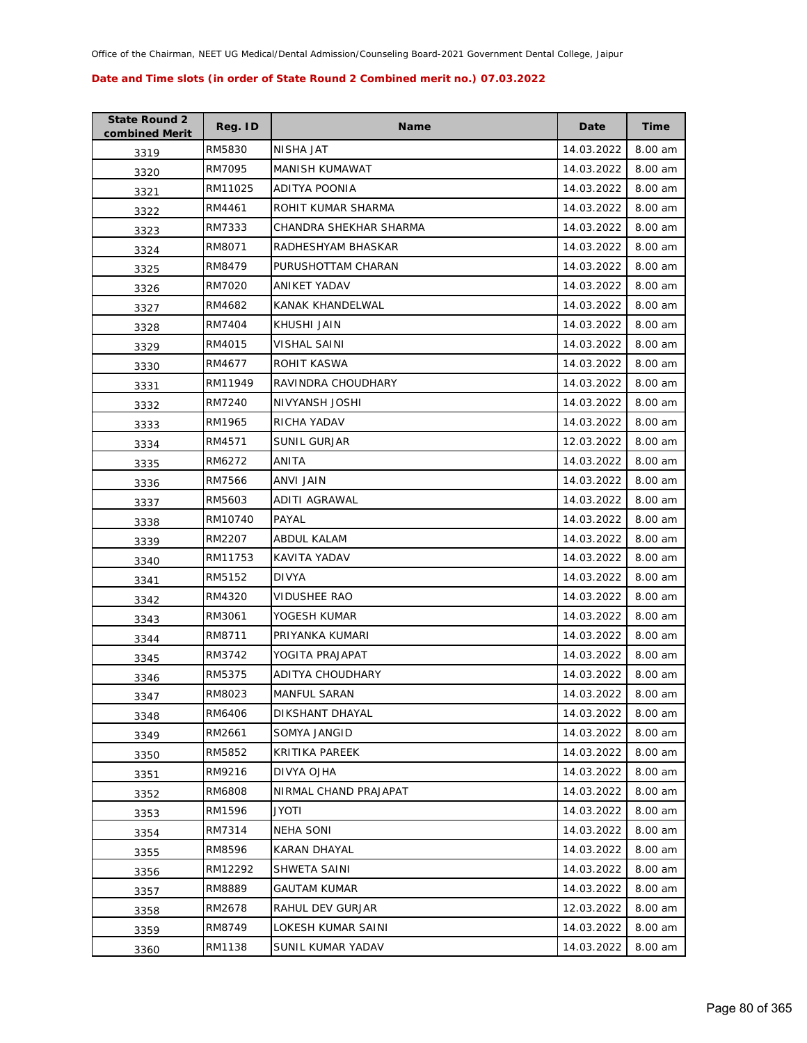| <b>State Round 2</b><br>combined Merit | Reg. ID | <b>Name</b>            | Date       | Time    |
|----------------------------------------|---------|------------------------|------------|---------|
| 3319                                   | RM5830  | NISHA JAT              | 14.03.2022 | 8.00 am |
| 3320                                   | RM7095  | MANISH KUMAWAT         | 14.03.2022 | 8.00 am |
| 3321                                   | RM11025 | ADITYA POONIA          | 14.03.2022 | 8.00 am |
| 3322                                   | RM4461  | ROHIT KUMAR SHARMA     | 14.03.2022 | 8.00 am |
| 3323                                   | RM7333  | CHANDRA SHEKHAR SHARMA | 14.03.2022 | 8.00 am |
| 3324                                   | RM8071  | RADHESHYAM BHASKAR     | 14.03.2022 | 8.00 am |
| 3325                                   | RM8479  | PURUSHOTTAM CHARAN     | 14.03.2022 | 8.00 am |
| 3326                                   | RM7020  | <b>ANIKET YADAV</b>    | 14.03.2022 | 8.00 am |
| 3327                                   | RM4682  | KANAK KHANDELWAL       | 14.03.2022 | 8.00 am |
| 3328                                   | RM7404  | KHUSHI JAIN            | 14.03.2022 | 8.00 am |
| 3329                                   | RM4015  | VISHAL SAINI           | 14.03.2022 | 8.00 am |
| 3330                                   | RM4677  | ROHIT KASWA            | 14.03.2022 | 8.00 am |
| 3331                                   | RM11949 | RAVINDRA CHOUDHARY     | 14.03.2022 | 8.00 am |
| 3332                                   | RM7240  | NIVYANSH JOSHI         | 14.03.2022 | 8.00 am |
| 3333                                   | RM1965  | RICHA YADAV            | 14.03.2022 | 8.00 am |
| 3334                                   | RM4571  | SUNIL GURJAR           | 12.03.2022 | 8.00 am |
| 3335                                   | RM6272  | ANITA                  | 14.03.2022 | 8.00 am |
| 3336                                   | RM7566  | ANVI JAIN              | 14.03.2022 | 8.00 am |
| 3337                                   | RM5603  | ADITI AGRAWAL          | 14.03.2022 | 8.00 am |
| 3338                                   | RM10740 | PAYAL                  | 14.03.2022 | 8.00 am |
| 3339                                   | RM2207  | ABDUL KALAM            | 14.03.2022 | 8.00 am |
| 3340                                   | RM11753 | KAVITA YADAV           | 14.03.2022 | 8.00 am |
| 3341                                   | RM5152  | <b>DIVYA</b>           | 14.03.2022 | 8.00 am |
| 3342                                   | RM4320  | VIDUSHEE RAO           | 14.03.2022 | 8.00 am |
| 3343                                   | RM3061  | YOGESH KUMAR           | 14.03.2022 | 8.00 am |
| 3344                                   | RM8711  | PRIYANKA KUMARI        | 14.03.2022 | 8.00 am |
| 3345                                   | RM3742  | YOGITA PRAJAPAT        | 14.03.2022 | 8.00 am |
| 3346                                   | RM5375  | ADITYA CHOUDHARY       | 14.03.2022 | 8.00 am |
| 3347                                   | RM8023  | <b>MANFUL SARAN</b>    | 14.03.2022 | 8.00 am |
| 3348                                   | RM6406  | DIKSHANT DHAYAL        | 14.03.2022 | 8.00 am |
| 3349                                   | RM2661  | SOMYA JANGID           | 14.03.2022 | 8.00 am |
| 3350                                   | RM5852  | KRITIKA PAREEK         | 14.03.2022 | 8.00 am |
| 3351                                   | RM9216  | DIVYA OJHA             | 14.03.2022 | 8.00 am |
| 3352                                   | RM6808  | NIRMAL CHAND PRAJAPAT  | 14.03.2022 | 8.00 am |
| 3353                                   | RM1596  | JYOTI                  | 14.03.2022 | 8.00 am |
| 3354                                   | RM7314  | <b>NEHA SONI</b>       | 14.03.2022 | 8.00 am |
| 3355                                   | RM8596  | <b>KARAN DHAYAL</b>    | 14.03.2022 | 8.00 am |
| 3356                                   | RM12292 | SHWETA SAINI           | 14.03.2022 | 8.00 am |
| 3357                                   | RM8889  | <b>GAUTAM KUMAR</b>    | 14.03.2022 | 8.00 am |
| 3358                                   | RM2678  | RAHUL DEV GURJAR       | 12.03.2022 | 8.00 am |
| 3359                                   | RM8749  | LOKESH KUMAR SAINI     | 14.03.2022 | 8.00 am |
| 3360                                   | RM1138  | SUNIL KUMAR YADAV      | 14.03.2022 | 8.00 am |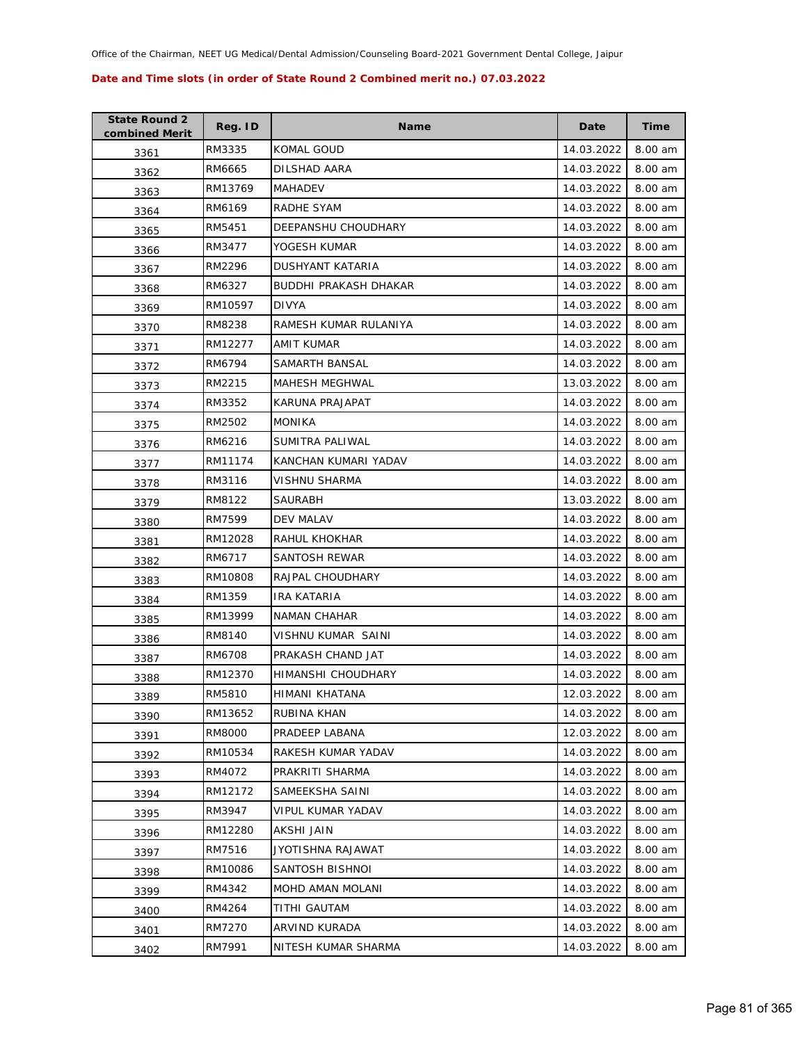| <b>State Round 2</b><br>combined Merit | Reg. ID | <b>Name</b>           | Date       | Time    |
|----------------------------------------|---------|-----------------------|------------|---------|
| 3361                                   | RM3335  | KOMAL GOUD            | 14.03.2022 | 8.00 am |
| 3362                                   | RM6665  | DILSHAD AARA          | 14.03.2022 | 8.00 am |
| 3363                                   | RM13769 | MAHADEV               | 14.03.2022 | 8.00 am |
| 3364                                   | RM6169  | RADHE SYAM            | 14.03.2022 | 8.00 am |
| 3365                                   | RM5451  | DEEPANSHU CHOUDHARY   | 14.03.2022 | 8.00 am |
| 3366                                   | RM3477  | YOGESH KUMAR          | 14.03.2022 | 8.00 am |
| 3367                                   | RM2296  | DUSHYANT KATARIA      | 14.03.2022 | 8.00 am |
| 3368                                   | RM6327  | BUDDHI PRAKASH DHAKAR | 14.03.2022 | 8.00 am |
| 3369                                   | RM10597 | <b>DIVYA</b>          | 14.03.2022 | 8.00 am |
| 3370                                   | RM8238  | RAMESH KUMAR RULANIYA | 14.03.2022 | 8.00 am |
| 3371                                   | RM12277 | AMIT KUMAR            | 14.03.2022 | 8.00 am |
| 3372                                   | RM6794  | SAMARTH BANSAL        | 14.03.2022 | 8.00 am |
| 3373                                   | RM2215  | MAHESH MEGHWAL        | 13.03.2022 | 8.00 am |
| 3374                                   | RM3352  | KARUNA PRAJAPAT       | 14.03.2022 | 8.00 am |
| 3375                                   | RM2502  | <b>MONIKA</b>         | 14.03.2022 | 8.00 am |
| 3376                                   | RM6216  | SUMITRA PALIWAL       | 14.03.2022 | 8.00 am |
| 3377                                   | RM11174 | KANCHAN KUMARI YADAV  | 14.03.2022 | 8.00 am |
| 3378                                   | RM3116  | VISHNU SHARMA         | 14.03.2022 | 8.00 am |
| 3379                                   | RM8122  | SAURABH               | 13.03.2022 | 8.00 am |
| 3380                                   | RM7599  | DEV MALAV             | 14.03.2022 | 8.00 am |
| 3381                                   | RM12028 | RAHUL KHOKHAR         | 14.03.2022 | 8.00 am |
| 3382                                   | RM6717  | SANTOSH REWAR         | 14.03.2022 | 8.00 am |
| 3383                                   | RM10808 | RAJPAL CHOUDHARY      | 14.03.2022 | 8.00 am |
| 3384                                   | RM1359  | IRA KATARIA           | 14.03.2022 | 8.00 am |
| 3385                                   | RM13999 | <b>NAMAN CHAHAR</b>   | 14.03.2022 | 8.00 am |
| 3386                                   | RM8140  | VISHNU KUMAR SAINI    | 14.03.2022 | 8.00 am |
| 3387                                   | RM6708  | PRAKASH CHAND JAT     | 14.03.2022 | 8.00 am |
| 3388                                   | RM12370 | HIMANSHI CHOUDHARY    | 14.03.2022 | 8.00 am |
| 3389                                   | RM5810  | HIMANI KHATANA        | 12.03.2022 | 8.00 am |
| 3390                                   | RM13652 | RUBINA KHAN           | 14.03.2022 | 8.00 am |
| 3391                                   | RM8000  | PRADEEP LABANA        | 12.03.2022 | 8.00 am |
| 3392                                   | RM10534 | RAKESH KUMAR YADAV    | 14.03.2022 | 8.00 am |
| 3393                                   | RM4072  | PRAKRITI SHARMA       | 14.03.2022 | 8.00 am |
| 3394                                   | RM12172 | SAMEEKSHA SAINI       | 14.03.2022 | 8.00 am |
| 3395                                   | RM3947  | VIPUL KUMAR YADAV     | 14.03.2022 | 8.00 am |
| 3396                                   | RM12280 | AKSHI JAIN            | 14.03.2022 | 8.00 am |
| 3397                                   | RM7516  | JYOTISHNA RAJAWAT     | 14.03.2022 | 8.00 am |
| 3398                                   | RM10086 | SANTOSH BISHNOI       | 14.03.2022 | 8.00 am |
| 3399                                   | RM4342  | MOHD AMAN MOLANI      | 14.03.2022 | 8.00 am |
| 3400                                   | RM4264  | TITHI GAUTAM          | 14.03.2022 | 8.00 am |
| 3401                                   | RM7270  | ARVIND KURADA         | 14.03.2022 | 8.00 am |
| 3402                                   | RM7991  | NITESH KUMAR SHARMA   | 14.03.2022 | 8.00 am |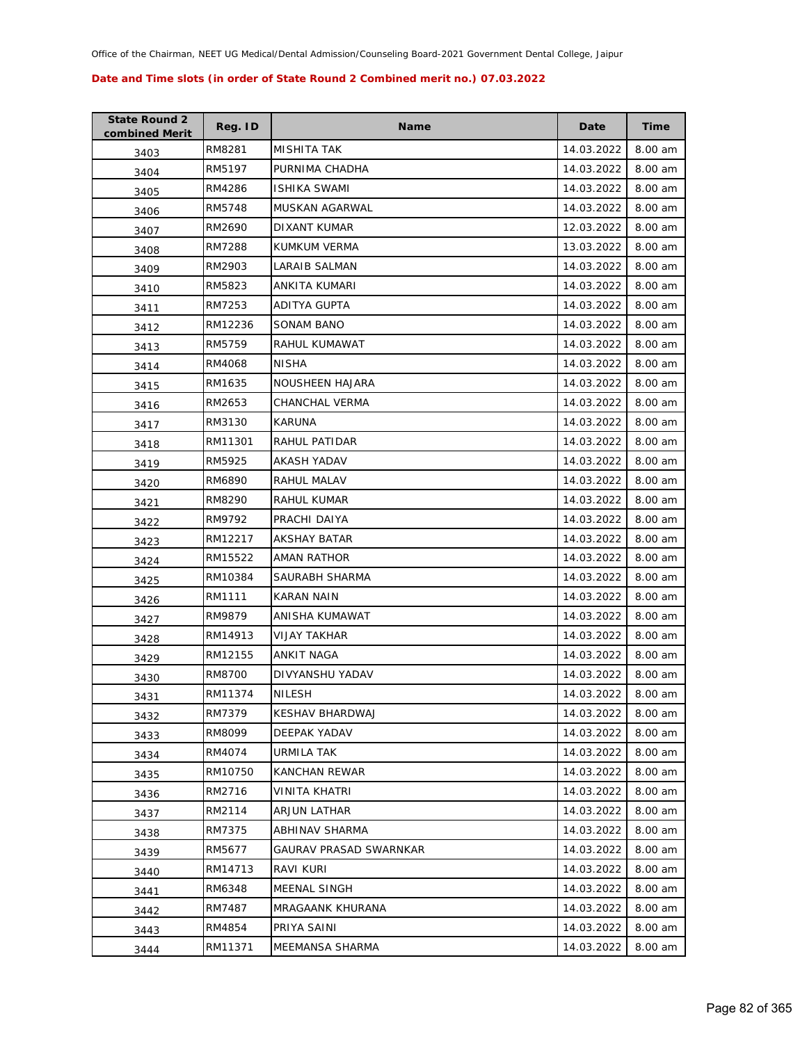| <b>State Round 2</b><br>combined Merit | Reg. ID | <b>Name</b>            | Date       | Time    |
|----------------------------------------|---------|------------------------|------------|---------|
| 3403                                   | RM8281  | <b>MISHITA TAK</b>     | 14.03.2022 | 8.00 am |
| 3404                                   | RM5197  | PURNIMA CHADHA         | 14.03.2022 | 8.00 am |
| 3405                                   | RM4286  | ISHIKA SWAMI           | 14.03.2022 | 8.00 am |
| 3406                                   | RM5748  | MUSKAN AGARWAL         | 14.03.2022 | 8.00 am |
| 3407                                   | RM2690  | DIXANT KUMAR           | 12.03.2022 | 8.00 am |
| 3408                                   | RM7288  | KUMKUM VERMA           | 13.03.2022 | 8.00 am |
| 3409                                   | RM2903  | LARAIB SALMAN          | 14.03.2022 | 8.00 am |
| 3410                                   | RM5823  | ANKITA KUMARI          | 14.03.2022 | 8.00 am |
| 3411                                   | RM7253  | ADITYA GUPTA           | 14.03.2022 | 8.00 am |
| 3412                                   | RM12236 | SONAM BANO             | 14.03.2022 | 8.00 am |
| 3413                                   | RM5759  | RAHUL KUMAWAT          | 14.03.2022 | 8.00 am |
| 3414                                   | RM4068  | NISHA                  | 14.03.2022 | 8.00 am |
| 3415                                   | RM1635  | NOUSHEEN HAJARA        | 14.03.2022 | 8.00 am |
| 3416                                   | RM2653  | CHANCHAL VERMA         | 14.03.2022 | 8.00 am |
| 3417                                   | RM3130  | KARUNA                 | 14.03.2022 | 8.00 am |
| 3418                                   | RM11301 | RAHUL PATIDAR          | 14.03.2022 | 8.00 am |
| 3419                                   | RM5925  | AKASH YADAV            | 14.03.2022 | 8.00 am |
| 3420                                   | RM6890  | RAHUL MALAV            | 14.03.2022 | 8.00 am |
| 3421                                   | RM8290  | RAHUL KUMAR            | 14.03.2022 | 8.00 am |
| 3422                                   | RM9792  | PRACHI DAIYA           | 14.03.2022 | 8.00 am |
| 3423                                   | RM12217 | AKSHAY BATAR           | 14.03.2022 | 8.00 am |
| 3424                                   | RM15522 | AMAN RATHOR            | 14.03.2022 | 8.00 am |
| 3425                                   | RM10384 | SAURABH SHARMA         | 14.03.2022 | 8.00 am |
| 3426                                   | RM1111  | KARAN NAIN             | 14.03.2022 | 8.00 am |
| 3427                                   | RM9879  | ANISHA KUMAWAT         | 14.03.2022 | 8.00 am |
| 3428                                   | RM14913 | <b>VIJAY TAKHAR</b>    | 14.03.2022 | 8.00 am |
| 3429                                   | RM12155 | ANKIT NAGA             | 14.03.2022 | 8.00 am |
| 3430                                   | RM8700  | DIVYANSHU YADAV        | 14.03.2022 | 8.00 am |
| 3431                                   | RM11374 | <b>NILESH</b>          | 14.03.2022 | 8.00 am |
| 3432                                   | RM7379  | KESHAV BHARDWAJ        | 14.03.2022 | 8.00 am |
| 3433                                   | RM8099  | <b>DEEPAK YADAV</b>    | 14.03.2022 | 8.00 am |
| 3434                                   | RM4074  | URMILA TAK             | 14.03.2022 | 8.00 am |
| 3435                                   | RM10750 | KANCHAN REWAR          | 14.03.2022 | 8.00 am |
| 3436                                   | RM2716  | VINITA KHATRI          | 14.03.2022 | 8.00 am |
| 3437                                   | RM2114  | <b>ARJUN LATHAR</b>    | 14.03.2022 | 8.00 am |
| 3438                                   | RM7375  | ABHINAV SHARMA         | 14.03.2022 | 8.00 am |
| 3439                                   | RM5677  | GAURAV PRASAD SWARNKAR | 14.03.2022 | 8.00 am |
| 3440                                   | RM14713 | RAVI KURI              | 14.03.2022 | 8.00 am |
| 3441                                   | RM6348  | MEENAL SINGH           | 14.03.2022 | 8.00 am |
| 3442                                   | RM7487  | MRAGAANK KHURANA       | 14.03.2022 | 8.00 am |
| 3443                                   | RM4854  | PRIYA SAINI            | 14.03.2022 | 8.00 am |
| 3444                                   | RM11371 | MEEMANSA SHARMA        | 14.03.2022 | 8.00 am |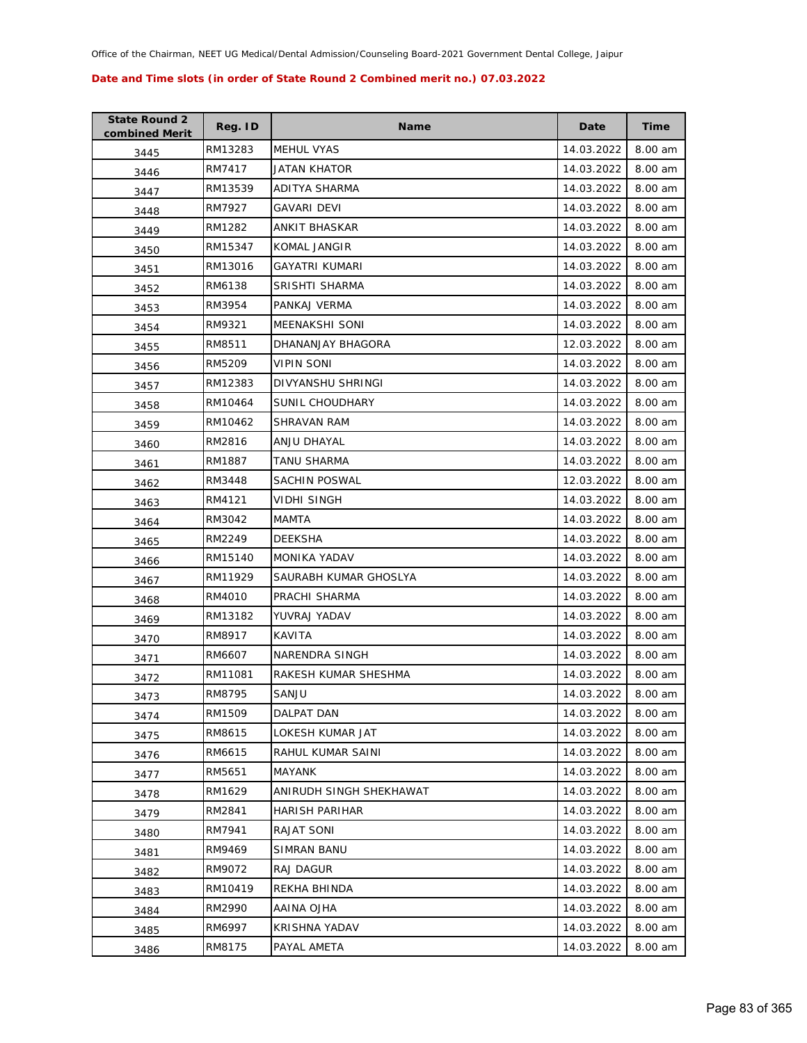| <b>State Round 2</b><br>combined Merit | Reg. ID | <b>Name</b>             | Date       | Time    |
|----------------------------------------|---------|-------------------------|------------|---------|
| 3445                                   | RM13283 | <b>MEHUL VYAS</b>       | 14.03.2022 | 8.00 am |
| 3446                                   | RM7417  | JATAN KHATOR            | 14.03.2022 | 8.00 am |
| 3447                                   | RM13539 | ADITYA SHARMA           | 14.03.2022 | 8.00 am |
| 3448                                   | RM7927  | <b>GAVARI DEVI</b>      | 14.03.2022 | 8.00 am |
| 3449                                   | RM1282  | ANKIT BHASKAR           | 14.03.2022 | 8.00 am |
| 3450                                   | RM15347 | KOMAL JANGIR            | 14.03.2022 | 8.00 am |
| 3451                                   | RM13016 | <b>GAYATRI KUMARI</b>   | 14.03.2022 | 8.00 am |
| 3452                                   | RM6138  | <b>SRISHTI SHARMA</b>   | 14.03.2022 | 8.00 am |
| 3453                                   | RM3954  | PANKAJ VERMA            | 14.03.2022 | 8.00 am |
| 3454                                   | RM9321  | MEENAKSHI SONI          | 14.03.2022 | 8.00 am |
| 3455                                   | RM8511  | DHANANJAY BHAGORA       | 12.03.2022 | 8.00 am |
| 3456                                   | RM5209  | VIPIN SONI              | 14.03.2022 | 8.00 am |
| 3457                                   | RM12383 | DIVYANSHU SHRINGI       | 14.03.2022 | 8.00 am |
| 3458                                   | RM10464 | SUNIL CHOUDHARY         | 14.03.2022 | 8.00 am |
| 3459                                   | RM10462 | SHRAVAN RAM             | 14.03.2022 | 8.00 am |
| 3460                                   | RM2816  | ANJU DHAYAL             | 14.03.2022 | 8.00 am |
| 3461                                   | RM1887  | TANU SHARMA             | 14.03.2022 | 8.00 am |
| 3462                                   | RM3448  | SACHIN POSWAL           | 12.03.2022 | 8.00 am |
| 3463                                   | RM4121  | VIDHI SINGH             | 14.03.2022 | 8.00 am |
| 3464                                   | RM3042  | MAMTA                   | 14.03.2022 | 8.00 am |
| 3465                                   | RM2249  | <b>DEEKSHA</b>          | 14.03.2022 | 8.00 am |
| 3466                                   | RM15140 | MONIKA YADAV            | 14.03.2022 | 8.00 am |
| 3467                                   | RM11929 | SAURABH KUMAR GHOSLYA   | 14.03.2022 | 8.00 am |
| 3468                                   | RM4010  | PRACHI SHARMA           | 14.03.2022 | 8.00 am |
| 3469                                   | RM13182 | YUVRAJ YADAV            | 14.03.2022 | 8.00 am |
| 3470                                   | RM8917  | <b>KAVITA</b>           | 14.03.2022 | 8.00 am |
| 3471                                   | RM6607  | <b>NARENDRA SINGH</b>   | 14.03.2022 | 8.00 am |
| 3472                                   | RM11081 | RAKESH KUMAR SHESHMA    | 14.03.2022 | 8.00 am |
| 3473                                   | RM8795  | SANJU                   | 14.03.2022 | 8.00 am |
| 3474                                   | RM1509  | DALPAT DAN              | 14.03.2022 | 8.00 am |
| 3475                                   | RM8615  | LOKESH KUMAR JAT        | 14.03.2022 | 8.00 am |
| 3476                                   | RM6615  | RAHUL KUMAR SAINI       | 14.03.2022 | 8.00 am |
| 3477                                   | RM5651  | <b>MAYANK</b>           | 14.03.2022 | 8.00 am |
| 3478                                   | RM1629  | ANIRUDH SINGH SHEKHAWAT | 14.03.2022 | 8.00 am |
| 3479                                   | RM2841  | <b>HARISH PARIHAR</b>   | 14.03.2022 | 8.00 am |
| 3480                                   | RM7941  | RAJAT SONI              | 14.03.2022 | 8.00 am |
| 3481                                   | RM9469  | <b>SIMRAN BANU</b>      | 14.03.2022 | 8.00 am |
| 3482                                   | RM9072  | RAJ DAGUR               | 14.03.2022 | 8.00 am |
| 3483                                   | RM10419 | REKHA BHINDA            | 14.03.2022 | 8.00 am |
| 3484                                   | RM2990  | AAINA OJHA              | 14.03.2022 | 8.00 am |
| 3485                                   | RM6997  | KRISHNA YADAV           | 14.03.2022 | 8.00 am |
| 3486                                   | RM8175  | PAYAL AMETA             | 14.03.2022 | 8.00 am |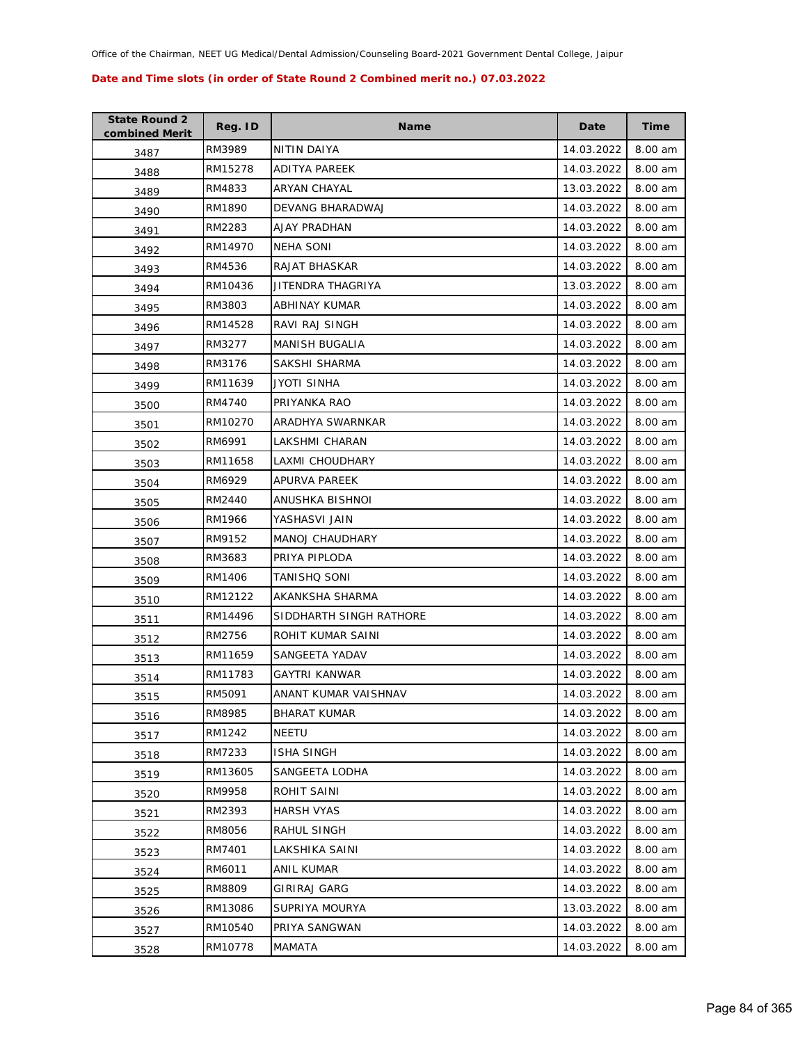| <b>State Round 2</b><br>combined Merit | Reg. ID | <b>Name</b>             | Date       | Time    |
|----------------------------------------|---------|-------------------------|------------|---------|
| 3487                                   | RM3989  | NITIN DAIYA             | 14.03.2022 | 8.00 am |
| 3488                                   | RM15278 | ADITYA PAREEK           | 14.03.2022 | 8.00 am |
| 3489                                   | RM4833  | ARYAN CHAYAL            | 13.03.2022 | 8.00 am |
| 3490                                   | RM1890  | DEVANG BHARADWAJ        | 14.03.2022 | 8.00 am |
| 3491                                   | RM2283  | AJAY PRADHAN            | 14.03.2022 | 8.00 am |
| 3492                                   | RM14970 | <b>NEHA SONI</b>        | 14.03.2022 | 8.00 am |
| 3493                                   | RM4536  | RAJAT BHASKAR           | 14.03.2022 | 8.00 am |
| 3494                                   | RM10436 | JITENDRA THAGRIYA       | 13.03.2022 | 8.00 am |
| 3495                                   | RM3803  | ABHINAY KUMAR           | 14.03.2022 | 8.00 am |
| 3496                                   | RM14528 | RAVI RAJ SINGH          | 14.03.2022 | 8.00 am |
| 3497                                   | RM3277  | MANISH BUGALIA          | 14.03.2022 | 8.00 am |
| 3498                                   | RM3176  | SAKSHI SHARMA           | 14.03.2022 | 8.00 am |
| 3499                                   | RM11639 | JYOTI SINHA             | 14.03.2022 | 8.00 am |
| 3500                                   | RM4740  | PRIYANKA RAO            | 14.03.2022 | 8.00 am |
| 3501                                   | RM10270 | ARADHYA SWARNKAR        | 14.03.2022 | 8.00 am |
| 3502                                   | RM6991  | LAKSHMI CHARAN          | 14.03.2022 | 8.00 am |
| 3503                                   | RM11658 | LAXMI CHOUDHARY         | 14.03.2022 | 8.00 am |
| 3504                                   | RM6929  | APURVA PAREEK           | 14.03.2022 | 8.00 am |
| 3505                                   | RM2440  | ANUSHKA BISHNOI         | 14.03.2022 | 8.00 am |
| 3506                                   | RM1966  | YASHASVI JAIN           | 14.03.2022 | 8.00 am |
| 3507                                   | RM9152  | MANOJ CHAUDHARY         | 14.03.2022 | 8.00 am |
| 3508                                   | RM3683  | PRIYA PIPLODA           | 14.03.2022 | 8.00 am |
| 3509                                   | RM1406  | TANISHQ SONI            | 14.03.2022 | 8.00 am |
| 3510                                   | RM12122 | AKANKSHA SHARMA         | 14.03.2022 | 8.00 am |
| 3511                                   | RM14496 | SIDDHARTH SINGH RATHORE | 14.03.2022 | 8.00 am |
| 3512                                   | RM2756  | ROHIT KUMAR SAINI       | 14.03.2022 | 8.00 am |
| 3513                                   | RM11659 | SANGEETA YADAV          | 14.03.2022 | 8.00 am |
| 3514                                   | RM11783 | <b>GAYTRI KANWAR</b>    | 14.03.2022 | 8.00 am |
| 3515                                   | RM5091  | ANANT KUMAR VAISHNAV    | 14.03.2022 | 8.00 am |
| 3516                                   | RM8985  | <b>BHARAT KUMAR</b>     | 14.03.2022 | 8.00 am |
| 3517                                   | RM1242  | NEETU                   | 14.03.2022 | 8.00 am |
| 3518                                   | RM7233  | <b>ISHA SINGH</b>       | 14.03.2022 | 8.00 am |
| 3519                                   | RM13605 | SANGEETA LODHA          | 14.03.2022 | 8.00 am |
| 3520                                   | RM9958  | ROHIT SAINI             | 14.03.2022 | 8.00 am |
| 3521                                   | RM2393  | HARSH VYAS              | 14.03.2022 | 8.00 am |
| 3522                                   | RM8056  | RAHUL SINGH             | 14.03.2022 | 8.00 am |
| 3523                                   | RM7401  | LAKSHIKA SAINI          | 14.03.2022 | 8.00 am |
| 3524                                   | RM6011  | ANIL KUMAR              | 14.03.2022 | 8.00 am |
| 3525                                   | RM8809  | GIRIRAJ GARG            | 14.03.2022 | 8.00 am |
| 3526                                   | RM13086 | SUPRIYA MOURYA          | 13.03.2022 | 8.00 am |
| 3527                                   | RM10540 | PRIYA SANGWAN           | 14.03.2022 | 8.00 am |
| 3528                                   | RM10778 | MAMATA                  | 14.03.2022 | 8.00 am |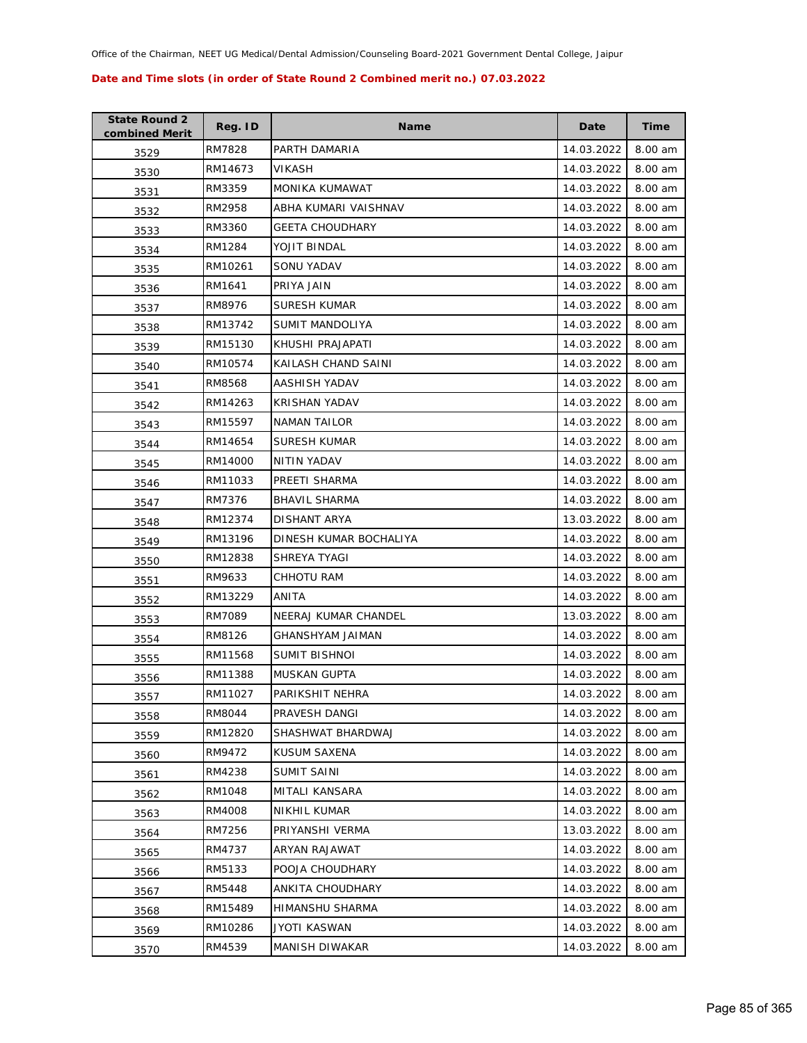| <b>State Round 2</b><br>combined Merit | Reg. ID | <b>Name</b>             | Date       | Time    |
|----------------------------------------|---------|-------------------------|------------|---------|
| 3529                                   | RM7828  | PARTH DAMARIA           | 14.03.2022 | 8.00 am |
| 3530                                   | RM14673 | VIKASH                  | 14.03.2022 | 8.00 am |
| 3531                                   | RM3359  | <b>MONIKA KUMAWAT</b>   | 14.03.2022 | 8.00 am |
| 3532                                   | RM2958  | ABHA KUMARI VAISHNAV    | 14.03.2022 | 8.00 am |
| 3533                                   | RM3360  | <b>GEETA CHOUDHARY</b>  | 14.03.2022 | 8.00 am |
| 3534                                   | RM1284  | YOJIT BINDAL            | 14.03.2022 | 8.00 am |
| 3535                                   | RM10261 | <b>SONU YADAV</b>       | 14.03.2022 | 8.00 am |
| 3536                                   | RM1641  | PRIYA JAIN              | 14.03.2022 | 8.00 am |
| 3537                                   | RM8976  | SURESH KUMAR            | 14.03.2022 | 8.00 am |
| 3538                                   | RM13742 | SUMIT MANDOLIYA         | 14.03.2022 | 8.00 am |
| 3539                                   | RM15130 | KHUSHI PRAJAPATI        | 14.03.2022 | 8.00 am |
| 3540                                   | RM10574 | KAILASH CHAND SAINI     | 14.03.2022 | 8.00 am |
| 3541                                   | RM8568  | AASHISH YADAV           | 14.03.2022 | 8.00 am |
| 3542                                   | RM14263 | <b>KRISHAN YADAV</b>    | 14.03.2022 | 8.00 am |
| 3543                                   | RM15597 | <b>NAMAN TAILOR</b>     | 14.03.2022 | 8.00 am |
| 3544                                   | RM14654 | <b>SURESH KUMAR</b>     | 14.03.2022 | 8.00 am |
| 3545                                   | RM14000 | NITIN YADAV             | 14.03.2022 | 8.00 am |
| 3546                                   | RM11033 | PREETI SHARMA           | 14.03.2022 | 8.00 am |
| 3547                                   | RM7376  | <b>BHAVIL SHARMA</b>    | 14.03.2022 | 8.00 am |
| 3548                                   | RM12374 | DISHANT ARYA            | 13.03.2022 | 8.00 am |
| 3549                                   | RM13196 | DINESH KUMAR BOCHALIYA  | 14.03.2022 | 8.00 am |
| 3550                                   | RM12838 | SHREYA TYAGI            | 14.03.2022 | 8.00 am |
| 3551                                   | RM9633  | CHHOTU RAM              | 14.03.2022 | 8.00 am |
| 3552                                   | RM13229 | ANITA                   | 14.03.2022 | 8.00 am |
| 3553                                   | RM7089  | NEERAJ KUMAR CHANDEL    | 13.03.2022 | 8.00 am |
| 3554                                   | RM8126  | <b>GHANSHYAM JAIMAN</b> | 14.03.2022 | 8.00 am |
| 3555                                   | RM11568 | <b>SUMIT BISHNOI</b>    | 14.03.2022 | 8.00 am |
| 3556                                   | RM11388 | MUSKAN GUPTA            | 14.03.2022 | 8.00 am |
| 3557                                   | RM11027 | PARIKSHIT NEHRA         | 14.03.2022 | 8.00 am |
| 3558                                   | RM8044  | PRAVESH DANGI           | 14.03.2022 | 8.00 am |
| 3559                                   | RM12820 | SHASHWAT BHARDWAJ       | 14.03.2022 | 8.00 am |
| 3560                                   | RM9472  | KUSUM SAXENA            | 14.03.2022 | 8.00 am |
| 3561                                   | RM4238  | <b>SUMIT SAINI</b>      | 14.03.2022 | 8.00 am |
| 3562                                   | RM1048  | <b>MITALI KANSARA</b>   | 14.03.2022 | 8.00 am |
| 3563                                   | RM4008  | NIKHIL KUMAR            | 14.03.2022 | 8.00 am |
| 3564                                   | RM7256  | PRIYANSHI VERMA         | 13.03.2022 | 8.00 am |
| 3565                                   | RM4737  | ARYAN RAJAWAT           | 14.03.2022 | 8.00 am |
| 3566                                   | RM5133  | POOJA CHOUDHARY         | 14.03.2022 | 8.00 am |
| 3567                                   | RM5448  | ANKITA CHOUDHARY        | 14.03.2022 | 8.00 am |
| 3568                                   | RM15489 | HIMANSHU SHARMA         | 14.03.2022 | 8.00 am |
| 3569                                   | RM10286 | JYOTI KASWAN            | 14.03.2022 | 8.00 am |
| 3570                                   | RM4539  | MANISH DIWAKAR          | 14.03.2022 | 8.00 am |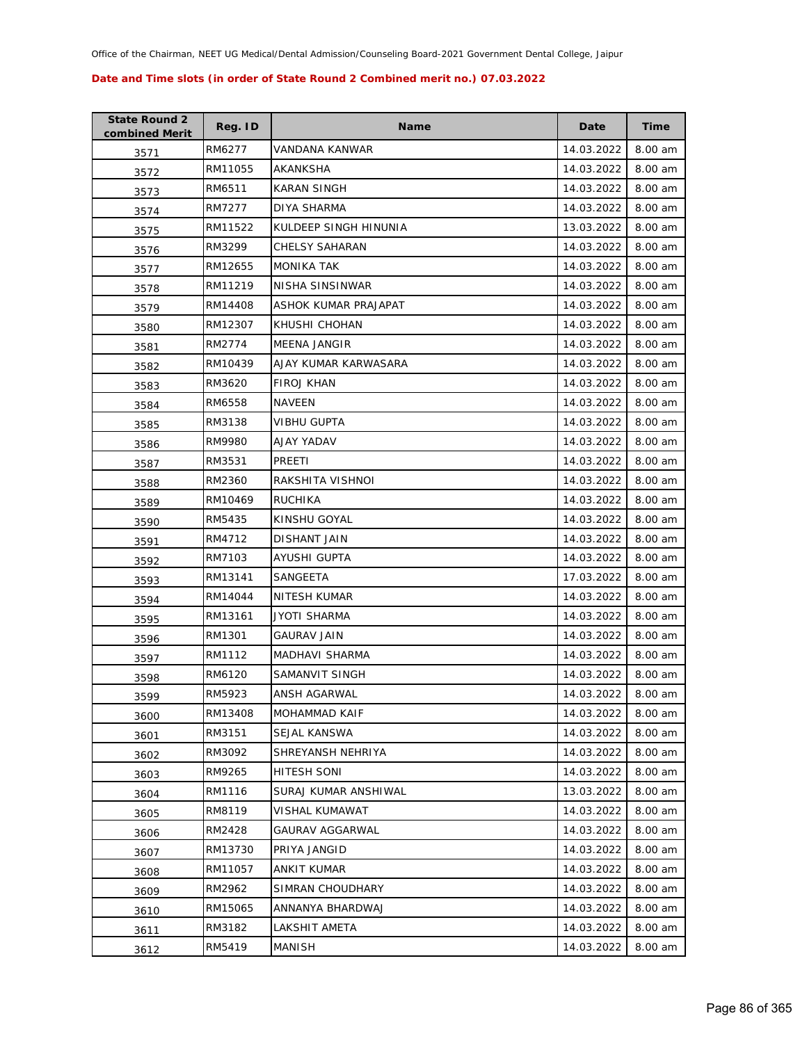| <b>State Round 2</b><br>combined Merit | Reg. ID | <b>Name</b>            | Date       | Time    |
|----------------------------------------|---------|------------------------|------------|---------|
| 3571                                   | RM6277  | VANDANA KANWAR         | 14.03.2022 | 8.00 am |
| 3572                                   | RM11055 | AKANKSHA               | 14.03.2022 | 8.00 am |
| 3573                                   | RM6511  | KARAN SINGH            | 14.03.2022 | 8.00 am |
| 3574                                   | RM7277  | DIYA SHARMA            | 14.03.2022 | 8.00 am |
| 3575                                   | RM11522 | KULDEEP SINGH HINUNIA  | 13.03.2022 | 8.00 am |
| 3576                                   | RM3299  | <b>CHELSY SAHARAN</b>  | 14.03.2022 | 8.00 am |
| 3577                                   | RM12655 | MONIKA TAK             | 14.03.2022 | 8.00 am |
| 3578                                   | RM11219 | NISHA SINSINWAR        | 14.03.2022 | 8.00 am |
| 3579                                   | RM14408 | ASHOK KUMAR PRAJAPAT   | 14.03.2022 | 8.00 am |
| 3580                                   | RM12307 | KHUSHI CHOHAN          | 14.03.2022 | 8.00 am |
| 3581                                   | RM2774  | MEENA JANGIR           | 14.03.2022 | 8.00 am |
| 3582                                   | RM10439 | AJAY KUMAR KARWASARA   | 14.03.2022 | 8.00 am |
| 3583                                   | RM3620  | <b>FIROJ KHAN</b>      | 14.03.2022 | 8.00 am |
| 3584                                   | RM6558  | <b>NAVEEN</b>          | 14.03.2022 | 8.00 am |
| 3585                                   | RM3138  | <b>VIBHU GUPTA</b>     | 14.03.2022 | 8.00 am |
| 3586                                   | RM9980  | AJAY YADAV             | 14.03.2022 | 8.00 am |
| 3587                                   | RM3531  | PREETI                 | 14.03.2022 | 8.00 am |
| 3588                                   | RM2360  | RAKSHITA VISHNOI       | 14.03.2022 | 8.00 am |
| 3589                                   | RM10469 | <b>RUCHIKA</b>         | 14.03.2022 | 8.00 am |
| 3590                                   | RM5435  | KINSHU GOYAL           | 14.03.2022 | 8.00 am |
| 3591                                   | RM4712  | DISHANT JAIN           | 14.03.2022 | 8.00 am |
| 3592                                   | RM7103  | AYUSHI GUPTA           | 14.03.2022 | 8.00 am |
| 3593                                   | RM13141 | SANGEETA               | 17.03.2022 | 8.00 am |
| 3594                                   | RM14044 | NITESH KUMAR           | 14.03.2022 | 8.00 am |
| 3595                                   | RM13161 | JYOTI SHARMA           | 14.03.2022 | 8.00 am |
| 3596                                   | RM1301  | <b>GAURAV JAIN</b>     | 14.03.2022 | 8.00 am |
| 3597                                   | RM1112  | <b>MADHAVI SHARMA</b>  | 14.03.2022 | 8.00 am |
| 3598                                   | RM6120  | SAMANVIT SINGH         | 14.03.2022 | 8.00 am |
| 3599                                   | RM5923  | ANSH AGARWAL           | 14.03.2022 | 8.00 am |
| 3600                                   | RM13408 | <b>MOHAMMAD KAIF</b>   | 14.03.2022 | 8.00 am |
| 3601                                   | RM3151  | SEJAL KANSWA           | 14.03.2022 | 8.00 am |
| 3602                                   | RM3092  | SHREYANSH NEHRIYA      | 14.03.2022 | 8.00 am |
| 3603                                   | RM9265  | <b>HITESH SONI</b>     | 14.03.2022 | 8.00 am |
| 3604                                   | RM1116  | SURAJ KUMAR ANSHIWAL   | 13.03.2022 | 8.00 am |
| 3605                                   | RM8119  | VISHAL KUMAWAT         | 14.03.2022 | 8.00 am |
| 3606                                   | RM2428  | <b>GAURAV AGGARWAL</b> | 14.03.2022 | 8.00 am |
| 3607                                   | RM13730 | PRIYA JANGID           | 14.03.2022 | 8.00 am |
| 3608                                   | RM11057 | ANKIT KUMAR            | 14.03.2022 | 8.00 am |
| 3609                                   | RM2962  | SIMRAN CHOUDHARY       | 14.03.2022 | 8.00 am |
| 3610                                   | RM15065 | ANNANYA BHARDWAJ       | 14.03.2022 | 8.00 am |
| 3611                                   | RM3182  | LAKSHIT AMETA          | 14.03.2022 | 8.00 am |
| 3612                                   | RM5419  | MANISH                 | 14.03.2022 | 8.00 am |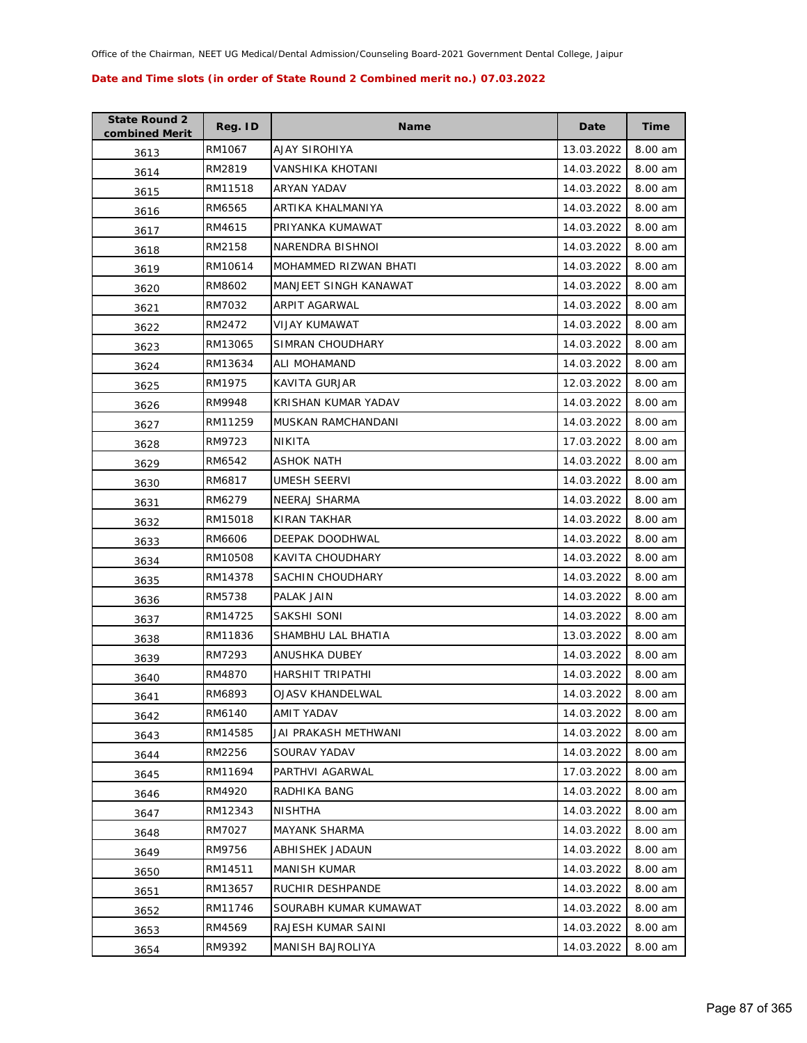| <b>State Round 2</b><br>combined Merit | Reg. ID | <b>Name</b>             | Date       | Time    |
|----------------------------------------|---------|-------------------------|------------|---------|
| 3613                                   | RM1067  | AJAY SIROHIYA           | 13.03.2022 | 8.00 am |
| 3614                                   | RM2819  | VANSHIKA KHOTANI        | 14.03.2022 | 8.00 am |
| 3615                                   | RM11518 | <b>ARYAN YADAV</b>      | 14.03.2022 | 8.00 am |
| 3616                                   | RM6565  | ARTIKA KHALMANIYA       | 14.03.2022 | 8.00 am |
| 3617                                   | RM4615  | PRIYANKA KUMAWAT        | 14.03.2022 | 8.00 am |
| 3618                                   | RM2158  | NARENDRA BISHNOI        | 14.03.2022 | 8.00 am |
| 3619                                   | RM10614 | MOHAMMED RIZWAN BHATI   | 14.03.2022 | 8.00 am |
| 3620                                   | RM8602  | MANJEET SINGH KANAWAT   | 14.03.2022 | 8.00 am |
| 3621                                   | RM7032  | ARPIT AGARWAL           | 14.03.2022 | 8.00 am |
| 3622                                   | RM2472  | VIJAY KUMAWAT           | 14.03.2022 | 8.00 am |
| 3623                                   | RM13065 | SIMRAN CHOUDHARY        | 14.03.2022 | 8.00 am |
| 3624                                   | RM13634 | ALI MOHAMAND            | 14.03.2022 | 8.00 am |
| 3625                                   | RM1975  | KAVITA GURJAR           | 12.03.2022 | 8.00 am |
| 3626                                   | RM9948  | KRISHAN KUMAR YADAV     | 14.03.2022 | 8.00 am |
| 3627                                   | RM11259 | MUSKAN RAMCHANDANI      | 14.03.2022 | 8.00 am |
| 3628                                   | RM9723  | NIKITA                  | 17.03.2022 | 8.00 am |
| 3629                                   | RM6542  | <b>ASHOK NATH</b>       | 14.03.2022 | 8.00 am |
| 3630                                   | RM6817  | <b>UMESH SEERVI</b>     | 14.03.2022 | 8.00 am |
| 3631                                   | RM6279  | NEERAJ SHARMA           | 14.03.2022 | 8.00 am |
| 3632                                   | RM15018 | KIRAN TAKHAR            | 14.03.2022 | 8.00 am |
| 3633                                   | RM6606  | DEEPAK DOODHWAL         | 14.03.2022 | 8.00 am |
| 3634                                   | RM10508 | KAVITA CHOUDHARY        | 14.03.2022 | 8.00 am |
| 3635                                   | RM14378 | SACHIN CHOUDHARY        | 14.03.2022 | 8.00 am |
| 3636                                   | RM5738  | PALAK JAIN              | 14.03.2022 | 8.00 am |
| 3637                                   | RM14725 | SAKSHI SONI             | 14.03.2022 | 8.00 am |
| 3638                                   | RM11836 | SHAMBHU LAL BHATIA      | 13.03.2022 | 8.00 am |
| 3639                                   | RM7293  | ANUSHKA DUBEY           | 14.03.2022 | 8.00 am |
| 3640                                   | RM4870  | <b>HARSHIT TRIPATHI</b> | 14.03.2022 | 8.00 am |
| 3641                                   | RM6893  | <b>OJASV KHANDELWAL</b> | 14.03.2022 | 8.00 am |
| 3642                                   | RM6140  | AMIT YADAV              | 14.03.2022 | 8.00 am |
| 3643                                   | RM14585 | JAI PRAKASH METHWANI    | 14.03.2022 | 8.00 am |
| 3644                                   | RM2256  | SOURAV YADAV            | 14.03.2022 | 8.00 am |
| 3645                                   | RM11694 | PARTHVI AGARWAL         | 17.03.2022 | 8.00 am |
| 3646                                   | RM4920  | RADHIKA BANG            | 14.03.2022 | 8.00 am |
| 3647                                   | RM12343 | <b>NISHTHA</b>          | 14.03.2022 | 8.00 am |
| 3648                                   | RM7027  | <b>MAYANK SHARMA</b>    | 14.03.2022 | 8.00 am |
| 3649                                   | RM9756  | ABHISHEK JADAUN         | 14.03.2022 | 8.00 am |
| 3650                                   | RM14511 | MANISH KUMAR            | 14.03.2022 | 8.00 am |
| 3651                                   | RM13657 | RUCHIR DESHPANDE        | 14.03.2022 | 8.00 am |
| 3652                                   | RM11746 | SOURABH KUMAR KUMAWAT   | 14.03.2022 | 8.00 am |
| 3653                                   | RM4569  | RAJESH KUMAR SAINI      | 14.03.2022 | 8.00 am |
| 3654                                   | RM9392  | <b>MANISH BAJROLIYA</b> | 14.03.2022 | 8.00 am |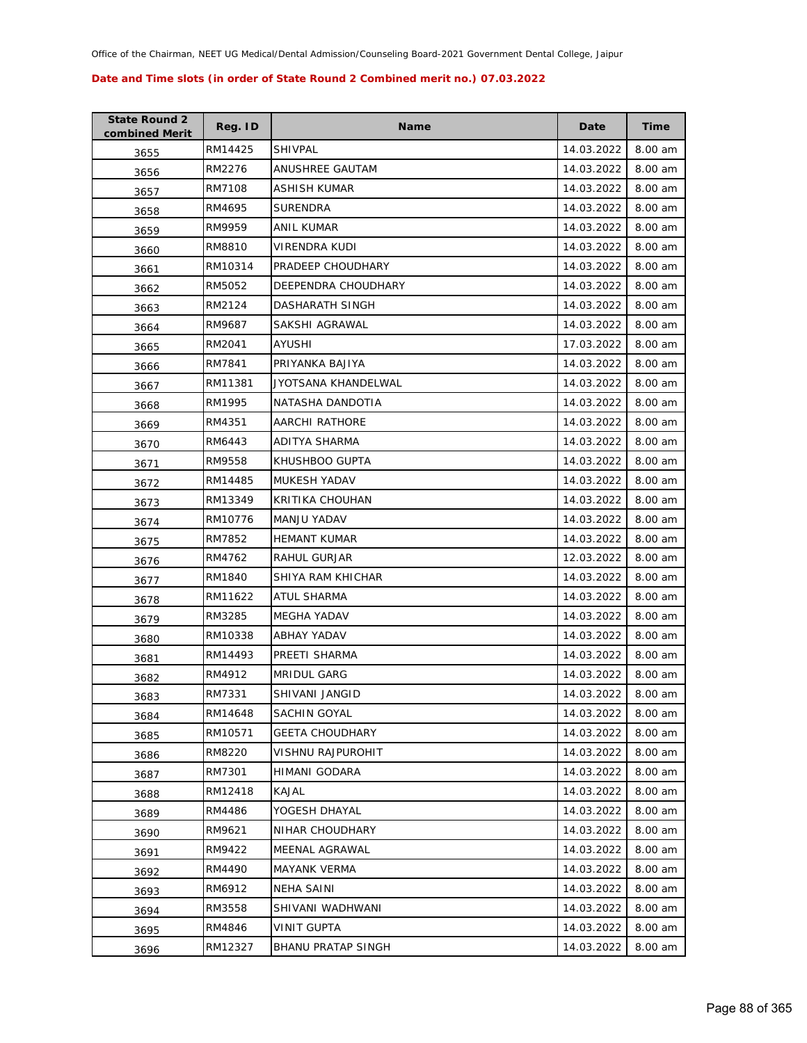| <b>State Round 2</b><br>combined Merit | Reg. ID | <b>Name</b>               | Date       | Time    |
|----------------------------------------|---------|---------------------------|------------|---------|
| 3655                                   | RM14425 | SHIVPAL                   | 14.03.2022 | 8.00 am |
| 3656                                   | RM2276  | ANUSHREE GAUTAM           | 14.03.2022 | 8.00 am |
| 3657                                   | RM7108  | ASHISH KUMAR              | 14.03.2022 | 8.00 am |
| 3658                                   | RM4695  | <b>SURENDRA</b>           | 14.03.2022 | 8.00 am |
| 3659                                   | RM9959  | ANIL KUMAR                | 14.03.2022 | 8.00 am |
| 3660                                   | RM8810  | VIRENDRA KUDI             | 14.03.2022 | 8.00 am |
| 3661                                   | RM10314 | PRADEEP CHOUDHARY         | 14.03.2022 | 8.00 am |
| 3662                                   | RM5052  | DEEPENDRA CHOUDHARY       | 14.03.2022 | 8.00 am |
| 3663                                   | RM2124  | DASHARATH SINGH           | 14.03.2022 | 8.00 am |
| 3664                                   | RM9687  | SAKSHI AGRAWAL            | 14.03.2022 | 8.00 am |
| 3665                                   | RM2041  | AYUSHI                    | 17.03.2022 | 8.00 am |
| 3666                                   | RM7841  | PRIYANKA BAJIYA           | 14.03.2022 | 8.00 am |
| 3667                                   | RM11381 | JYOTSANA KHANDELWAL       | 14.03.2022 | 8.00 am |
| 3668                                   | RM1995  | NATASHA DANDOTIA          | 14.03.2022 | 8.00 am |
| 3669                                   | RM4351  | <b>AARCHI RATHORE</b>     | 14.03.2022 | 8.00 am |
| 3670                                   | RM6443  | ADITYA SHARMA             | 14.03.2022 | 8.00 am |
| 3671                                   | RM9558  | KHUSHBOO GUPTA            | 14.03.2022 | 8.00 am |
| 3672                                   | RM14485 | <b>MUKESH YADAV</b>       | 14.03.2022 | 8.00 am |
| 3673                                   | RM13349 | KRITIKA CHOUHAN           | 14.03.2022 | 8.00 am |
| 3674                                   | RM10776 | MANJU YADAV               | 14.03.2022 | 8.00 am |
| 3675                                   | RM7852  | <b>HEMANT KUMAR</b>       | 14.03.2022 | 8.00 am |
| 3676                                   | RM4762  | RAHUL GURJAR              | 12.03.2022 | 8.00 am |
| 3677                                   | RM1840  | SHIYA RAM KHICHAR         | 14.03.2022 | 8.00 am |
| 3678                                   | RM11622 | ATUL SHARMA               | 14.03.2022 | 8.00 am |
| 3679                                   | RM3285  | MEGHA YADAV               | 14.03.2022 | 8.00 am |
| 3680                                   | RM10338 | ABHAY YADAV               | 14.03.2022 | 8.00 am |
| 3681                                   | RM14493 | PREETI SHARMA             | 14.03.2022 | 8.00 am |
| 3682                                   | RM4912  | <b>MRIDUL GARG</b>        | 14.03.2022 | 8.00 am |
| 3683                                   | RM7331  | SHIVANI JANGID            | 14.03.2022 | 8.00 am |
| 3684                                   | RM14648 | SACHIN GOYAL              | 14.03.2022 | 8.00 am |
| 3685                                   | RM10571 | <b>GEETA CHOUDHARY</b>    | 14.03.2022 | 8.00 am |
| 3686                                   | RM8220  | <b>VISHNU RAJPUROHIT</b>  | 14.03.2022 | 8.00 am |
| 3687                                   | RM7301  | HIMANI GODARA             | 14.03.2022 | 8.00 am |
| 3688                                   | RM12418 | KAJAL                     | 14.03.2022 | 8.00 am |
| 3689                                   | RM4486  | YOGESH DHAYAL             | 14.03.2022 | 8.00 am |
| 3690                                   | RM9621  | NIHAR CHOUDHARY           | 14.03.2022 | 8.00 am |
| 3691                                   | RM9422  | MEENAL AGRAWAL            | 14.03.2022 | 8.00 am |
| 3692                                   | RM4490  | <b>MAYANK VERMA</b>       | 14.03.2022 | 8.00 am |
| 3693                                   | RM6912  | NEHA SAINI                | 14.03.2022 | 8.00 am |
| 3694                                   | RM3558  | SHIVANI WADHWANI          | 14.03.2022 | 8.00 am |
| 3695                                   | RM4846  | <b>VINIT GUPTA</b>        | 14.03.2022 | 8.00 am |
| 3696                                   | RM12327 | <b>BHANU PRATAP SINGH</b> | 14.03.2022 | 8.00 am |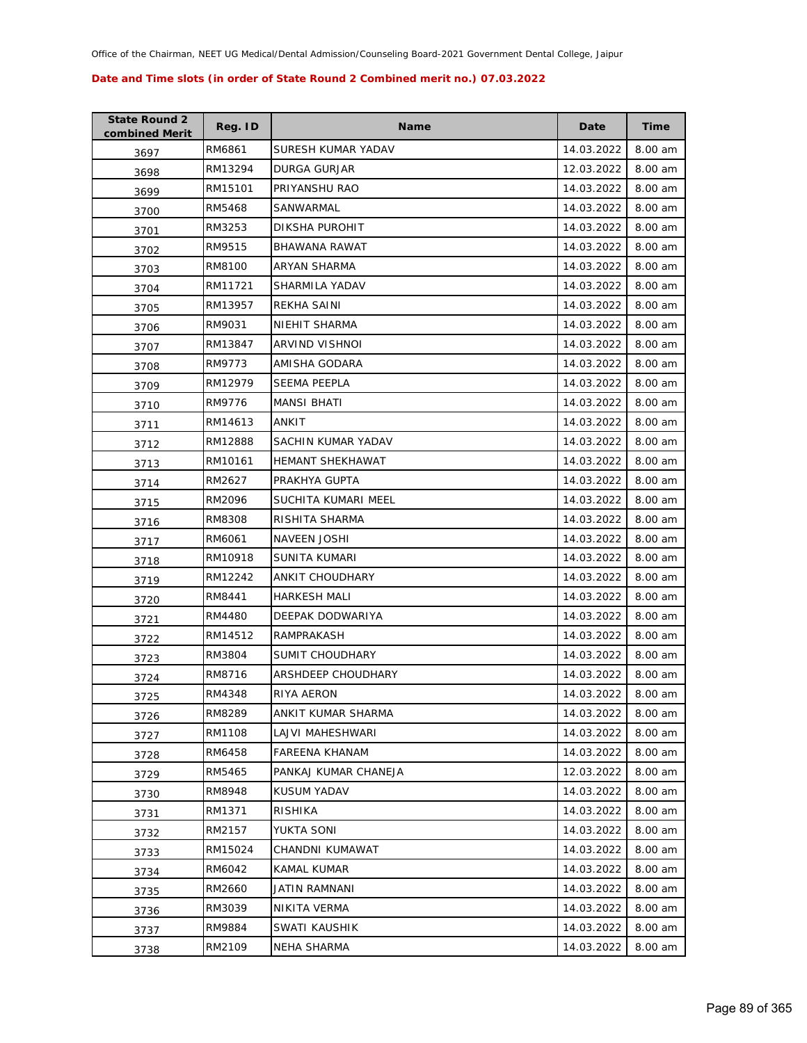| <b>State Round 2</b><br>combined Merit | Reg. ID | <b>Name</b>             | Date       | <b>Time</b> |
|----------------------------------------|---------|-------------------------|------------|-------------|
| 3697                                   | RM6861  | SURESH KUMAR YADAV      | 14.03.2022 | 8.00 am     |
| 3698                                   | RM13294 | DURGA GURJAR            | 12.03.2022 | 8.00 am     |
| 3699                                   | RM15101 | PRIYANSHU RAO           | 14.03.2022 | 8.00 am     |
| 3700                                   | RM5468  | SANWARMAL               | 14.03.2022 | 8.00 am     |
| 3701                                   | RM3253  | DIKSHA PUROHIT          | 14.03.2022 | 8.00 am     |
| 3702                                   | RM9515  | <b>BHAWANA RAWAT</b>    | 14.03.2022 | 8.00 am     |
| 3703                                   | RM8100  | ARYAN SHARMA            | 14.03.2022 | 8.00 am     |
| 3704                                   | RM11721 | SHARMILA YADAV          | 14.03.2022 | 8.00 am     |
| 3705                                   | RM13957 | REKHA SAINI             | 14.03.2022 | 8.00 am     |
| 3706                                   | RM9031  | NIEHIT SHARMA           | 14.03.2022 | 8.00 am     |
| 3707                                   | RM13847 | ARVIND VISHNOI          | 14.03.2022 | 8.00 am     |
| 3708                                   | RM9773  | AMISHA GODARA           | 14.03.2022 | 8.00 am     |
| 3709                                   | RM12979 | SEEMA PEEPLA            | 14.03.2022 | 8.00 am     |
| 3710                                   | RM9776  | <b>MANSI BHATI</b>      | 14.03.2022 | 8.00 am     |
| 3711                                   | RM14613 | ANKIT                   | 14.03.2022 | 8.00 am     |
| 3712                                   | RM12888 | SACHIN KUMAR YADAV      | 14.03.2022 | 8.00 am     |
| 3713                                   | RM10161 | <b>HEMANT SHEKHAWAT</b> | 14.03.2022 | 8.00 am     |
| 3714                                   | RM2627  | PRAKHYA GUPTA           | 14.03.2022 | 8.00 am     |
| 3715                                   | RM2096  | SUCHITA KUMARI MEEL     | 14.03.2022 | 8.00 am     |
| 3716                                   | RM8308  | RISHITA SHARMA          | 14.03.2022 | 8.00 am     |
| 3717                                   | RM6061  | <b>NAVEEN JOSHI</b>     | 14.03.2022 | 8.00 am     |
| 3718                                   | RM10918 | SUNITA KUMARI           | 14.03.2022 | 8.00 am     |
| 3719                                   | RM12242 | ANKIT CHOUDHARY         | 14.03.2022 | 8.00 am     |
| 3720                                   | RM8441  | <b>HARKESH MALI</b>     | 14.03.2022 | 8.00 am     |
| 3721                                   | RM4480  | DEEPAK DODWARIYA        | 14.03.2022 | 8.00 am     |
| 3722                                   | RM14512 | RAMPRAKASH              | 14.03.2022 | 8.00 am     |
| 3723                                   | RM3804  | <b>SUMIT CHOUDHARY</b>  | 14.03.2022 | 8.00 am     |
| 3724                                   | RM8716  | ARSHDEEP CHOUDHARY      | 14.03.2022 | 8.00 am     |
| 3725                                   | RM4348  | RIYA AERON              | 14.03.2022 | 8.00 am     |
| 3726                                   | RM8289  | ANKIT KUMAR SHARMA      | 14.03.2022 | 8.00 am     |
| 3727                                   | RM1108  | LAJVI MAHESHWARI        | 14.03.2022 | 8.00 am     |
| 3728                                   | RM6458  | FAREENA KHANAM          | 14.03.2022 | 8.00 am     |
| 3729                                   | RM5465  | PANKAJ KUMAR CHANEJA    | 12.03.2022 | 8.00 am     |
| 3730                                   | RM8948  | KUSUM YADAV             | 14.03.2022 | 8.00 am     |
| 3731                                   | RM1371  | RISHIKA                 | 14.03.2022 | 8.00 am     |
| 3732                                   | RM2157  | YUKTA SONI              | 14.03.2022 | 8.00 am     |
| 3733                                   | RM15024 | CHANDNI KUMAWAT         | 14.03.2022 | 8.00 am     |
| 3734                                   | RM6042  | KAMAL KUMAR             | 14.03.2022 | 8.00 am     |
| 3735                                   | RM2660  | JATIN RAMNANI           | 14.03.2022 | 8.00 am     |
| 3736                                   | RM3039  | NIKITA VERMA            | 14.03.2022 | 8.00 am     |
| 3737                                   | RM9884  | SWATI KAUSHIK           | 14.03.2022 | 8.00 am     |
| 3738                                   | RM2109  | NEHA SHARMA             | 14.03.2022 | 8.00 am     |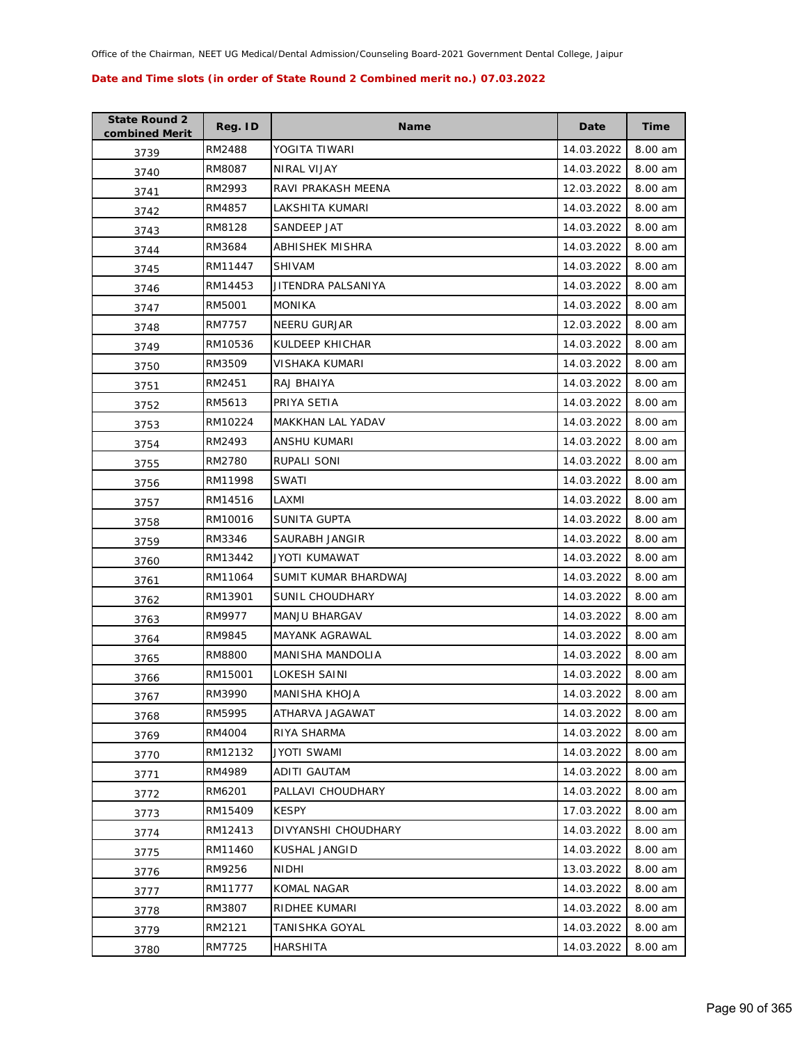| <b>State Round 2</b><br>combined Merit | Reg. ID | <b>Name</b>            | Date       | <b>Time</b> |
|----------------------------------------|---------|------------------------|------------|-------------|
| 3739                                   | RM2488  | YOGITA TIWARI          | 14.03.2022 | 8.00 am     |
| 3740                                   | RM8087  | NIRAL VIJAY            | 14.03.2022 | 8.00 am     |
| 3741                                   | RM2993  | RAVI PRAKASH MEENA     | 12.03.2022 | 8.00 am     |
| 3742                                   | RM4857  | LAKSHITA KUMARI        | 14.03.2022 | 8.00 am     |
| 3743                                   | RM8128  | SANDEEP JAT            | 14.03.2022 | 8.00 am     |
| 3744                                   | RM3684  | <b>ABHISHEK MISHRA</b> | 14.03.2022 | 8.00 am     |
| 3745                                   | RM11447 | <b>SHIVAM</b>          | 14.03.2022 | 8.00 am     |
| 3746                                   | RM14453 | JITENDRA PALSANIYA     | 14.03.2022 | 8.00 am     |
| 3747                                   | RM5001  | <b>MONIKA</b>          | 14.03.2022 | 8.00 am     |
| 3748                                   | RM7757  | <b>NEERU GURJAR</b>    | 12.03.2022 | 8.00 am     |
| 3749                                   | RM10536 | KULDEEP KHICHAR        | 14.03.2022 | 8.00 am     |
| 3750                                   | RM3509  | VISHAKA KUMARI         | 14.03.2022 | 8.00 am     |
| 3751                                   | RM2451  | RAJ BHAIYA             | 14.03.2022 | 8.00 am     |
| 3752                                   | RM5613  | PRIYA SETIA            | 14.03.2022 | 8.00 am     |
| 3753                                   | RM10224 | MAKKHAN LAL YADAV      | 14.03.2022 | 8.00 am     |
| 3754                                   | RM2493  | ANSHU KUMARI           | 14.03.2022 | 8.00 am     |
| 3755                                   | RM2780  | RUPALI SONI            | 14.03.2022 | 8.00 am     |
| 3756                                   | RM11998 | <b>SWATI</b>           | 14.03.2022 | 8.00 am     |
| 3757                                   | RM14516 | LAXMI                  | 14.03.2022 | 8.00 am     |
| 3758                                   | RM10016 | SUNITA GUPTA           | 14.03.2022 | 8.00 am     |
| 3759                                   | RM3346  | SAURABH JANGIR         | 14.03.2022 | 8.00 am     |
| 3760                                   | RM13442 | JYOTI KUMAWAT          | 14.03.2022 | 8.00 am     |
| 3761                                   | RM11064 | SUMIT KUMAR BHARDWAJ   | 14.03.2022 | 8.00 am     |
| 3762                                   | RM13901 | SUNIL CHOUDHARY        | 14.03.2022 | 8.00 am     |
| 3763                                   | RM9977  | <b>MANJU BHARGAV</b>   | 14.03.2022 | 8.00 am     |
| 3764                                   | RM9845  | MAYANK AGRAWAL         | 14.03.2022 | 8.00 am     |
| 3765                                   | RM8800  | MANISHA MANDOLIA       | 14.03.2022 | 8.00 am     |
| 3766                                   | RM15001 | LOKESH SAINI           | 14.03.2022 | 8.00 am     |
| 3767                                   | RM3990  | <b>MANISHA KHOJA</b>   | 14.03.2022 | 8.00 am     |
| 3768                                   | RM5995  | ATHARVA JAGAWAT        | 14.03.2022 | 8.00 am     |
| 3769                                   | RM4004  | RIYA SHARMA            | 14.03.2022 | 8.00 am     |
| 3770                                   | RM12132 | <b>JYOTI SWAMI</b>     | 14.03.2022 | 8.00 am     |
| 3771                                   | RM4989  | ADITI GAUTAM           | 14.03.2022 | 8.00 am     |
| 3772                                   | RM6201  | PALLAVI CHOUDHARY      | 14.03.2022 | 8.00 am     |
| 3773                                   | RM15409 | KESPY                  | 17.03.2022 | 8.00 am     |
| 3774                                   | RM12413 | DIVYANSHI CHOUDHARY    | 14.03.2022 | 8.00 am     |
| 3775                                   | RM11460 | KUSHAL JANGID          | 14.03.2022 | 8.00 am     |
| 3776                                   | RM9256  | <b>NIDHI</b>           | 13.03.2022 | 8.00 am     |
| 3777                                   | RM11777 | KOMAL NAGAR            | 14.03.2022 | 8.00 am     |
| 3778                                   | RM3807  | RIDHEE KUMARI          | 14.03.2022 | 8.00 am     |
| 3779                                   | RM2121  | TANISHKA GOYAL         | 14.03.2022 | 8.00 am     |
| 3780                                   | RM7725  | HARSHITA               | 14.03.2022 | 8.00 am     |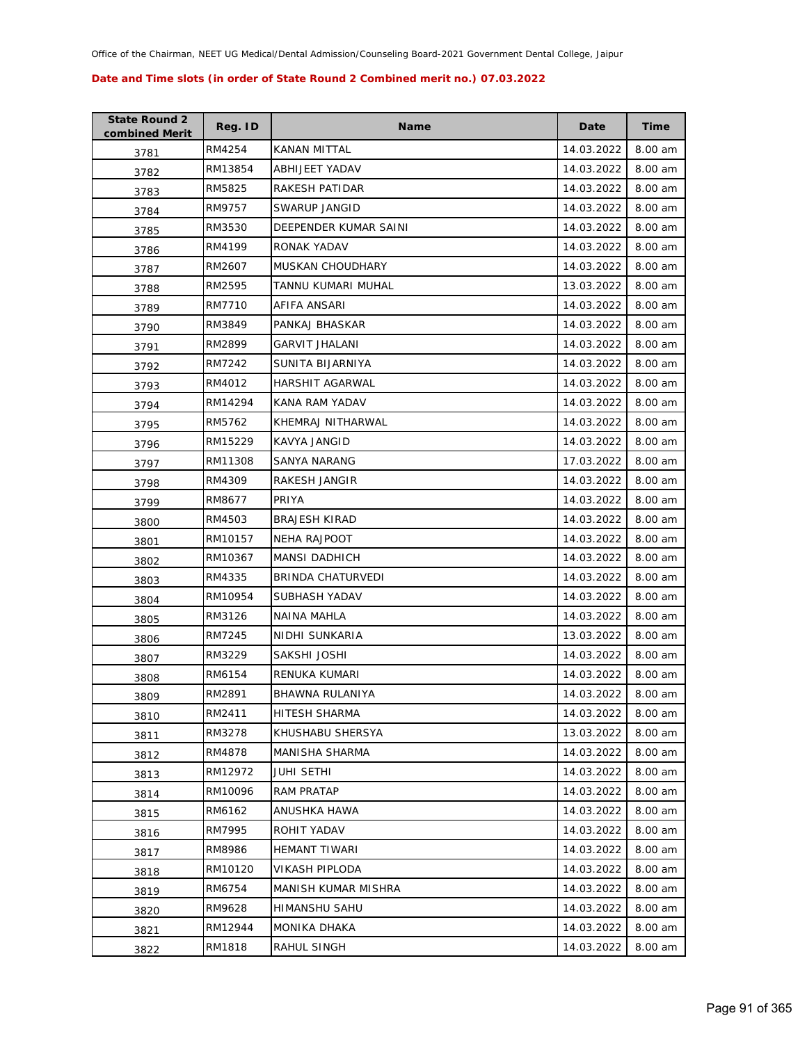| <b>State Round 2</b><br>combined Merit | Reg. ID | <b>Name</b>             | Date       | <b>Time</b> |
|----------------------------------------|---------|-------------------------|------------|-------------|
| 3781                                   | RM4254  | KANAN MITTAL            | 14.03.2022 | 8.00 am     |
| 3782                                   | RM13854 | ABHIJEET YADAV          | 14.03.2022 | 8.00 am     |
| 3783                                   | RM5825  | RAKESH PATIDAR          | 14.03.2022 | 8.00 am     |
| 3784                                   | RM9757  | SWARUP JANGID           | 14.03.2022 | 8.00 am     |
| 3785                                   | RM3530  | DEEPENDER KUMAR SAINI   | 14.03.2022 | 8.00 am     |
| 3786                                   | RM4199  | RONAK YADAV             | 14.03.2022 | 8.00 am     |
| 3787                                   | RM2607  | <b>MUSKAN CHOUDHARY</b> | 14.03.2022 | 8.00 am     |
| 3788                                   | RM2595  | TANNU KUMARI MUHAL      | 13.03.2022 | 8.00 am     |
| 3789                                   | RM7710  | AFIFA ANSARI            | 14.03.2022 | 8.00 am     |
| 3790                                   | RM3849  | PANKAJ BHASKAR          | 14.03.2022 | 8.00 am     |
| 3791                                   | RM2899  | <b>GARVIT JHALANI</b>   | 14.03.2022 | 8.00 am     |
| 3792                                   | RM7242  | SUNITA BIJARNIYA        | 14.03.2022 | 8.00 am     |
| 3793                                   | RM4012  | HARSHIT AGARWAL         | 14.03.2022 | 8.00 am     |
| 3794                                   | RM14294 | KANA RAM YADAV          | 14.03.2022 | 8.00 am     |
| 3795                                   | RM5762  | KHEMRAJ NITHARWAL       | 14.03.2022 | 8.00 am     |
| 3796                                   | RM15229 | KAVYA JANGID            | 14.03.2022 | 8.00 am     |
| 3797                                   | RM11308 | SANYA NARANG            | 17.03.2022 | 8.00 am     |
| 3798                                   | RM4309  | RAKESH JANGIR           | 14.03.2022 | 8.00 am     |
| 3799                                   | RM8677  | PRIYA                   | 14.03.2022 | 8.00 am     |
| 3800                                   | RM4503  | <b>BRAJESH KIRAD</b>    | 14.03.2022 | 8.00 am     |
| 3801                                   | RM10157 | <b>NEHA RAJPOOT</b>     | 14.03.2022 | 8.00 am     |
| 3802                                   | RM10367 | <b>MANSI DADHICH</b>    | 14.03.2022 | 8.00 am     |
| 3803                                   | RM4335  | BRINDA CHATURVEDI       | 14.03.2022 | 8.00 am     |
| 3804                                   | RM10954 | SUBHASH YADAV           | 14.03.2022 | 8.00 am     |
| 3805                                   | RM3126  | NAINA MAHLA             | 14.03.2022 | 8.00 am     |
| 3806                                   | RM7245  | NIDHI SUNKARIA          | 13.03.2022 | 8.00 am     |
| 3807                                   | RM3229  | SAKSHI JOSHI            | 14.03.2022 | 8.00 am     |
| 3808                                   | RM6154  | <b>RENUKA KUMARI</b>    | 14.03.2022 | 8.00 am     |
| 3809                                   | RM2891  | <b>BHAWNA RULANIYA</b>  | 14.03.2022 | 8.00 am     |
| 3810                                   | RM2411  | HITESH SHARMA           | 14.03.2022 | 8.00 am     |
| 3811                                   | RM3278  | KHUSHABU SHERSYA        | 13.03.2022 | 8.00 am     |
| 3812                                   | RM4878  | MANISHA SHARMA          | 14.03.2022 | 8.00 am     |
| 3813                                   | RM12972 | <b>JUHI SETHI</b>       | 14.03.2022 | 8.00 am     |
| 3814                                   | RM10096 | RAM PRATAP              | 14.03.2022 | 8.00 am     |
| 3815                                   | RM6162  | ANUSHKA HAWA            | 14.03.2022 | 8.00 am     |
| 3816                                   | RM7995  | ROHIT YADAV             | 14.03.2022 | 8.00 am     |
| 3817                                   | RM8986  | <b>HEMANT TIWARI</b>    | 14.03.2022 | 8.00 am     |
| 3818                                   | RM10120 | VIKASH PIPLODA          | 14.03.2022 | 8.00 am     |
| 3819                                   | RM6754  | MANISH KUMAR MISHRA     | 14.03.2022 | 8.00 am     |
| 3820                                   | RM9628  | HIMANSHU SAHU           | 14.03.2022 | 8.00 am     |
| 3821                                   | RM12944 | MONIKA DHAKA            | 14.03.2022 | 8.00 am     |
| 3822                                   | RM1818  | RAHUL SINGH             | 14.03.2022 | 8.00 am     |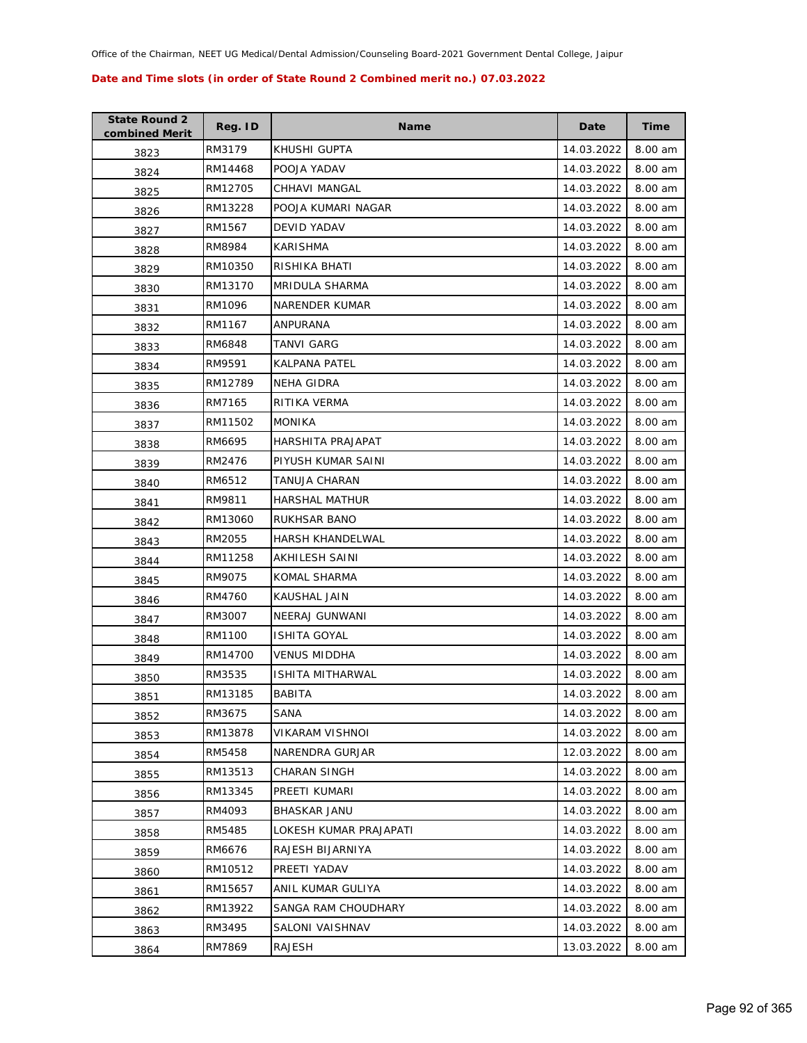| <b>State Round 2</b><br>combined Merit | Reg. ID | <b>Name</b>             | Date       | Time    |
|----------------------------------------|---------|-------------------------|------------|---------|
| 3823                                   | RM3179  | KHUSHI GUPTA            | 14.03.2022 | 8.00 am |
| 3824                                   | RM14468 | POOJA YADAV             | 14.03.2022 | 8.00 am |
| 3825                                   | RM12705 | <b>CHHAVI MANGAL</b>    | 14.03.2022 | 8.00 am |
| 3826                                   | RM13228 | POOJA KUMARI NAGAR      | 14.03.2022 | 8.00 am |
| 3827                                   | RM1567  | DEVID YADAV             | 14.03.2022 | 8.00 am |
| 3828                                   | RM8984  | <b>KARISHMA</b>         | 14.03.2022 | 8.00 am |
| 3829                                   | RM10350 | RISHIKA BHATI           | 14.03.2022 | 8.00 am |
| 3830                                   | RM13170 | MRIDULA SHARMA          | 14.03.2022 | 8.00 am |
| 3831                                   | RM1096  | NARENDER KUMAR          | 14.03.2022 | 8.00 am |
| 3832                                   | RM1167  | ANPURANA                | 14.03.2022 | 8.00 am |
| 3833                                   | RM6848  | TANVI GARG              | 14.03.2022 | 8.00 am |
| 3834                                   | RM9591  | KALPANA PATEL           | 14.03.2022 | 8.00 am |
| 3835                                   | RM12789 | <b>NEHA GIDRA</b>       | 14.03.2022 | 8.00 am |
| 3836                                   | RM7165  | RITIKA VERMA            | 14.03.2022 | 8.00 am |
| 3837                                   | RM11502 | <b>MONIKA</b>           | 14.03.2022 | 8.00 am |
| 3838                                   | RM6695  | HARSHITA PRAJAPAT       | 14.03.2022 | 8.00 am |
| 3839                                   | RM2476  | PIYUSH KUMAR SAINI      | 14.03.2022 | 8.00 am |
| 3840                                   | RM6512  | TANUJA CHARAN           | 14.03.2022 | 8.00 am |
| 3841                                   | RM9811  | HARSHAL MATHUR          | 14.03.2022 | 8.00 am |
| 3842                                   | RM13060 | RUKHSAR BANO            | 14.03.2022 | 8.00 am |
| 3843                                   | RM2055  | <b>HARSH KHANDELWAL</b> | 14.03.2022 | 8.00 am |
| 3844                                   | RM11258 | AKHILESH SAINI          | 14.03.2022 | 8.00 am |
| 3845                                   | RM9075  | KOMAL SHARMA            | 14.03.2022 | 8.00 am |
| 3846                                   | RM4760  | KAUSHAL JAIN            | 14.03.2022 | 8.00 am |
| 3847                                   | RM3007  | NEERAJ GUNWANI          | 14.03.2022 | 8.00 am |
| 3848                                   | RM1100  | <b>ISHITA GOYAL</b>     | 14.03.2022 | 8.00 am |
| 3849                                   | RM14700 | VENUS MIDDHA            | 14.03.2022 | 8.00 am |
| 3850                                   | RM3535  | <b>ISHITA MITHARWAL</b> | 14.03.2022 | 8.00 am |
| 3851                                   | RM13185 | <b>BABITA</b>           | 14.03.2022 | 8.00 am |
| 3852                                   | RM3675  | SANA                    | 14.03.2022 | 8.00 am |
| 3853                                   | RM13878 | VIKARAM VISHNOI         | 14.03.2022 | 8.00 am |
| 3854                                   | RM5458  | NARENDRA GURJAR         | 12.03.2022 | 8.00 am |
| 3855                                   | RM13513 | CHARAN SINGH            | 14.03.2022 | 8.00 am |
| 3856                                   | RM13345 | PREETI KUMARI           | 14.03.2022 | 8.00 am |
| 3857                                   | RM4093  | <b>BHASKAR JANU</b>     | 14.03.2022 | 8.00 am |
| 3858                                   | RM5485  | LOKESH KUMAR PRAJAPATI  | 14.03.2022 | 8.00 am |
| 3859                                   | RM6676  | RAJESH BIJARNIYA        | 14.03.2022 | 8.00 am |
| 3860                                   | RM10512 | PREETI YADAV            | 14.03.2022 | 8.00 am |
| 3861                                   | RM15657 | ANIL KUMAR GULIYA       | 14.03.2022 | 8.00 am |
| 3862                                   | RM13922 | SANGA RAM CHOUDHARY     | 14.03.2022 | 8.00 am |
| 3863                                   | RM3495  | SALONI VAISHNAV         | 14.03.2022 | 8.00 am |
| 3864                                   | RM7869  | RAJESH                  | 13.03.2022 | 8.00 am |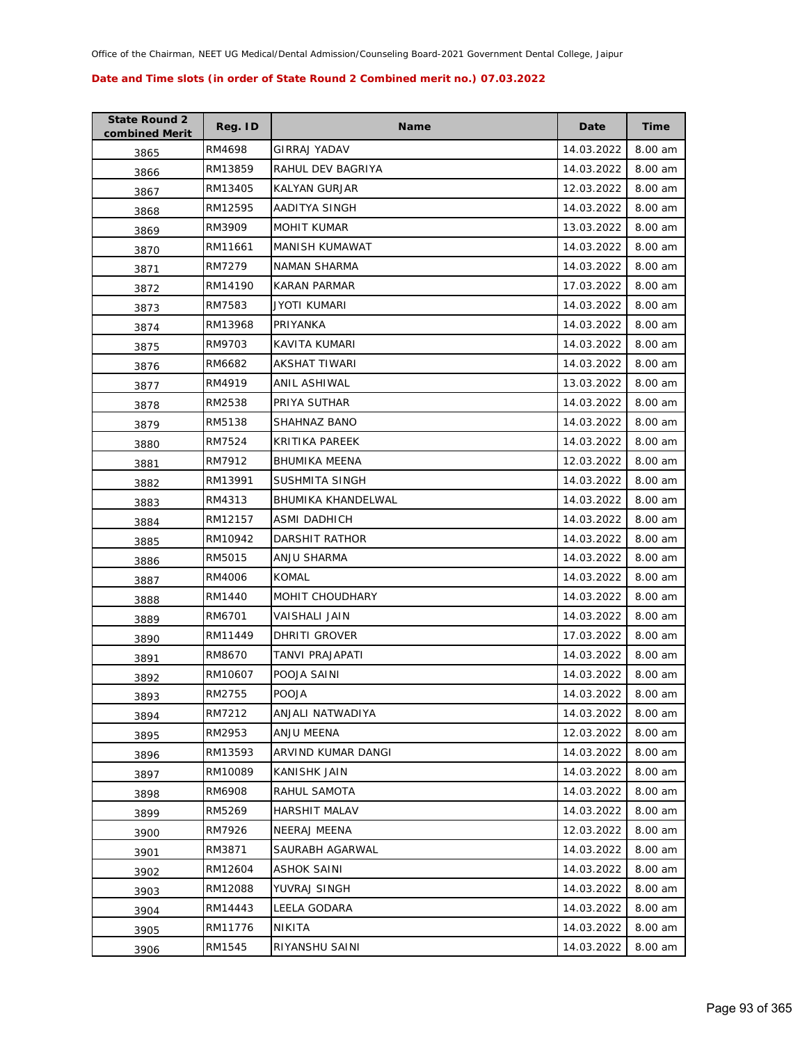| <b>State Round 2</b><br>combined Merit | Reg. ID | <b>Name</b>           | Date       | Time    |
|----------------------------------------|---------|-----------------------|------------|---------|
| 3865                                   | RM4698  | GIRRAJ YADAV          | 14.03.2022 | 8.00 am |
| 3866                                   | RM13859 | RAHUL DEV BAGRIYA     | 14.03.2022 | 8.00 am |
| 3867                                   | RM13405 | <b>KALYAN GURJAR</b>  | 12.03.2022 | 8.00 am |
| 3868                                   | RM12595 | AADITYA SINGH         | 14.03.2022 | 8.00 am |
| 3869                                   | RM3909  | <b>MOHIT KUMAR</b>    | 13.03.2022 | 8.00 am |
| 3870                                   | RM11661 | MANISH KUMAWAT        | 14.03.2022 | 8.00 am |
| 3871                                   | RM7279  | NAMAN SHARMA          | 14.03.2022 | 8.00 am |
| 3872                                   | RM14190 | <b>KARAN PARMAR</b>   | 17.03.2022 | 8.00 am |
| 3873                                   | RM7583  | JYOTI KUMARI          | 14.03.2022 | 8.00 am |
| 3874                                   | RM13968 | PRIYANKA              | 14.03.2022 | 8.00 am |
| 3875                                   | RM9703  | KAVITA KUMARI         | 14.03.2022 | 8.00 am |
| 3876                                   | RM6682  | AKSHAT TIWARI         | 14.03.2022 | 8.00 am |
| 3877                                   | RM4919  | ANIL ASHIWAL          | 13.03.2022 | 8.00 am |
| 3878                                   | RM2538  | PRIYA SUTHAR          | 14.03.2022 | 8.00 am |
| 3879                                   | RM5138  | <b>SHAHNAZ BANO</b>   | 14.03.2022 | 8.00 am |
| 3880                                   | RM7524  | KRITIKA PAREEK        | 14.03.2022 | 8.00 am |
| 3881                                   | RM7912  | <b>BHUMIKA MEENA</b>  | 12.03.2022 | 8.00 am |
| 3882                                   | RM13991 | <b>SUSHMITA SINGH</b> | 14.03.2022 | 8.00 am |
| 3883                                   | RM4313  | BHUMIKA KHANDELWAL    | 14.03.2022 | 8.00 am |
| 3884                                   | RM12157 | ASMI DADHICH          | 14.03.2022 | 8.00 am |
| 3885                                   | RM10942 | DARSHIT RATHOR        | 14.03.2022 | 8.00 am |
| 3886                                   | RM5015  | ANJU SHARMA           | 14.03.2022 | 8.00 am |
| 3887                                   | RM4006  | <b>KOMAL</b>          | 14.03.2022 | 8.00 am |
| 3888                                   | RM1440  | MOHIT CHOUDHARY       | 14.03.2022 | 8.00 am |
| 3889                                   | RM6701  | VAISHALI JAIN         | 14.03.2022 | 8.00 am |
| 3890                                   | RM11449 | DHRITI GROVER         | 17.03.2022 | 8.00 am |
| 3891                                   | RM8670  | TANVI PRAJAPATI       | 14.03.2022 | 8.00 am |
| 3892                                   | RM10607 | POOJA SAINI           | 14.03.2022 | 8.00 am |
| 3893                                   | RM2755  | <b>POOJA</b>          | 14.03.2022 | 8.00 am |
| 3894                                   | RM7212  | ANJALI NATWADIYA      | 14.03.2022 | 8.00 am |
| 3895                                   | RM2953  | ANJU MEENA            | 12.03.2022 | 8.00 am |
| 3896                                   | RM13593 | ARVIND KUMAR DANGI    | 14.03.2022 | 8.00 am |
| 3897                                   | RM10089 | <b>KANISHK JAIN</b>   | 14.03.2022 | 8.00 am |
| 3898                                   | RM6908  | RAHUL SAMOTA          | 14.03.2022 | 8.00 am |
| 3899                                   | RM5269  | <b>HARSHIT MALAV</b>  | 14.03.2022 | 8.00 am |
| 3900                                   | RM7926  | NEERAJ MEENA          | 12.03.2022 | 8.00 am |
| 3901                                   | RM3871  | SAURABH AGARWAL       | 14.03.2022 | 8.00 am |
| 3902                                   | RM12604 | ASHOK SAINI           | 14.03.2022 | 8.00 am |
| 3903                                   | RM12088 | YUVRAJ SINGH          | 14.03.2022 | 8.00 am |
| 3904                                   | RM14443 | LEELA GODARA          | 14.03.2022 | 8.00 am |
| 3905                                   | RM11776 | NIKITA                | 14.03.2022 | 8.00 am |
| 3906                                   | RM1545  | RIYANSHU SAINI        | 14.03.2022 | 8.00 am |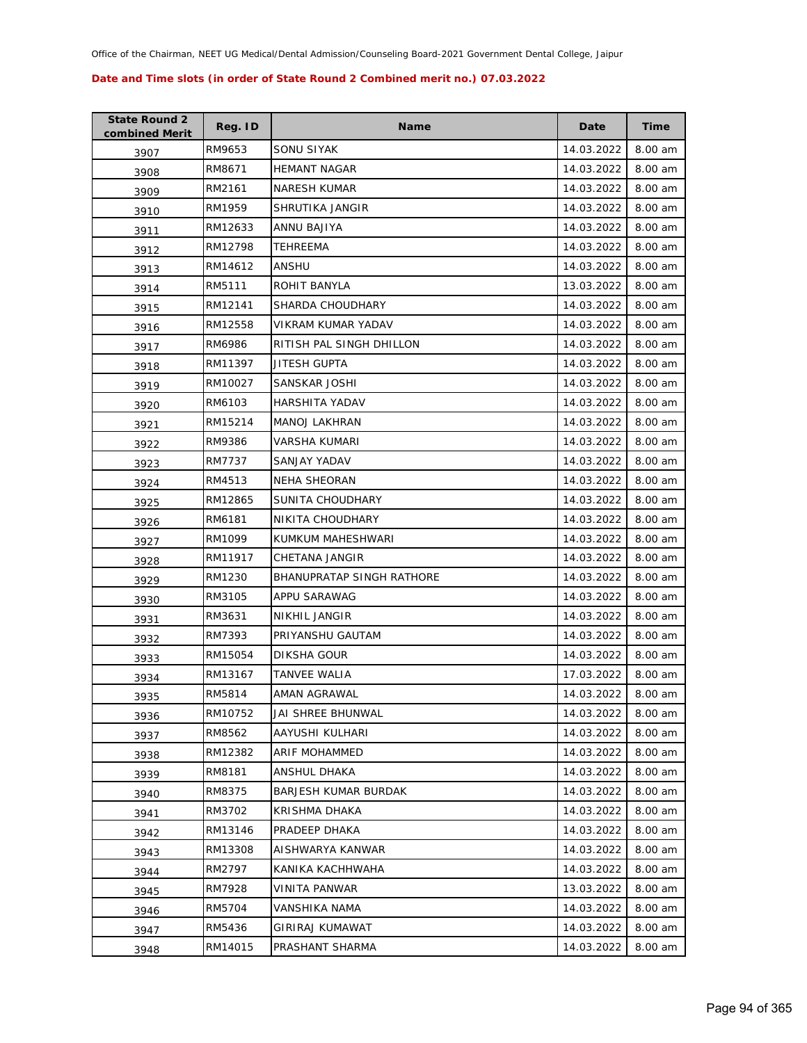| <b>State Round 2</b><br>combined Merit | Reg. ID | <b>Name</b>               | Date       | Time    |
|----------------------------------------|---------|---------------------------|------------|---------|
| 3907                                   | RM9653  | SONU SIYAK                | 14.03.2022 | 8.00 am |
| 3908                                   | RM8671  | <b>HEMANT NAGAR</b>       | 14.03.2022 | 8.00 am |
| 3909                                   | RM2161  | <b>NARESH KUMAR</b>       | 14.03.2022 | 8.00 am |
| 3910                                   | RM1959  | SHRUTIKA JANGIR           | 14.03.2022 | 8.00 am |
| 3911                                   | RM12633 | ANNU BAJIYA               | 14.03.2022 | 8.00 am |
| 3912                                   | RM12798 | <b>TEHREEMA</b>           | 14.03.2022 | 8.00 am |
| 3913                                   | RM14612 | ANSHU                     | 14.03.2022 | 8.00 am |
| 3914                                   | RM5111  | ROHIT BANYLA              | 13.03.2022 | 8.00 am |
| 3915                                   | RM12141 | SHARDA CHOUDHARY          | 14.03.2022 | 8.00 am |
| 3916                                   | RM12558 | VIKRAM KUMAR YADAV        | 14.03.2022 | 8.00 am |
| 3917                                   | RM6986  | RITISH PAL SINGH DHILLON  | 14.03.2022 | 8.00 am |
| 3918                                   | RM11397 | JITESH GUPTA              | 14.03.2022 | 8.00 am |
| 3919                                   | RM10027 | SANSKAR JOSHI             | 14.03.2022 | 8.00 am |
| 3920                                   | RM6103  | <b>HARSHITA YADAV</b>     | 14.03.2022 | 8.00 am |
| 3921                                   | RM15214 | <b>MANOJ LAKHRAN</b>      | 14.03.2022 | 8.00 am |
| 3922                                   | RM9386  | VARSHA KUMARI             | 14.03.2022 | 8.00 am |
| 3923                                   | RM7737  | SANJAY YADAV              | 14.03.2022 | 8.00 am |
| 3924                                   | RM4513  | <b>NEHA SHEORAN</b>       | 14.03.2022 | 8.00 am |
| 3925                                   | RM12865 | SUNITA CHOUDHARY          | 14.03.2022 | 8.00 am |
| 3926                                   | RM6181  | NIKITA CHOUDHARY          | 14.03.2022 | 8.00 am |
| 3927                                   | RM1099  | KUMKUM MAHESHWARI         | 14.03.2022 | 8.00 am |
| 3928                                   | RM11917 | CHETANA JANGIR            | 14.03.2022 | 8.00 am |
| 3929                                   | RM1230  | BHANUPRATAP SINGH RATHORE | 14.03.2022 | 8.00 am |
| 3930                                   | RM3105  | APPU SARAWAG              | 14.03.2022 | 8.00 am |
| 3931                                   | RM3631  | NIKHIL JANGIR             | 14.03.2022 | 8.00 am |
| 3932                                   | RM7393  | PRIYANSHU GAUTAM          | 14.03.2022 | 8.00 am |
| 3933                                   | RM15054 | DIKSHA GOUR               | 14.03.2022 | 8.00 am |
| 3934                                   | RM13167 | TANVEE WALIA              | 17.03.2022 | 8.00 am |
| 3935                                   | RM5814  | AMAN AGRAWAL              | 14.03.2022 | 8.00 am |
| 3936                                   | RM10752 | JAI SHREE BHUNWAL         | 14.03.2022 | 8.00 am |
| 3937                                   | RM8562  | AAYUSHI KULHARI           | 14.03.2022 | 8.00 am |
| 3938                                   | RM12382 | ARIF MOHAMMED             | 14.03.2022 | 8.00 am |
| 3939                                   | RM8181  | ANSHUL DHAKA              | 14.03.2022 | 8.00 am |
| 3940                                   | RM8375  | BARJESH KUMAR BURDAK      | 14.03.2022 | 8.00 am |
| 3941                                   | RM3702  | KRISHMA DHAKA             | 14.03.2022 | 8.00 am |
| 3942                                   | RM13146 | PRADEEP DHAKA             | 14.03.2022 | 8.00 am |
| 3943                                   | RM13308 | AISHWARYA KANWAR          | 14.03.2022 | 8.00 am |
| 3944                                   | RM2797  | KANIKA KACHHWAHA          | 14.03.2022 | 8.00 am |
| 3945                                   | RM7928  | VINITA PANWAR             | 13.03.2022 | 8.00 am |
| 3946                                   | RM5704  | VANSHIKA NAMA             | 14.03.2022 | 8.00 am |
| 3947                                   | RM5436  | GIRIRAJ KUMAWAT           | 14.03.2022 | 8.00 am |
| 3948                                   | RM14015 | PRASHANT SHARMA           | 14.03.2022 | 8.00 am |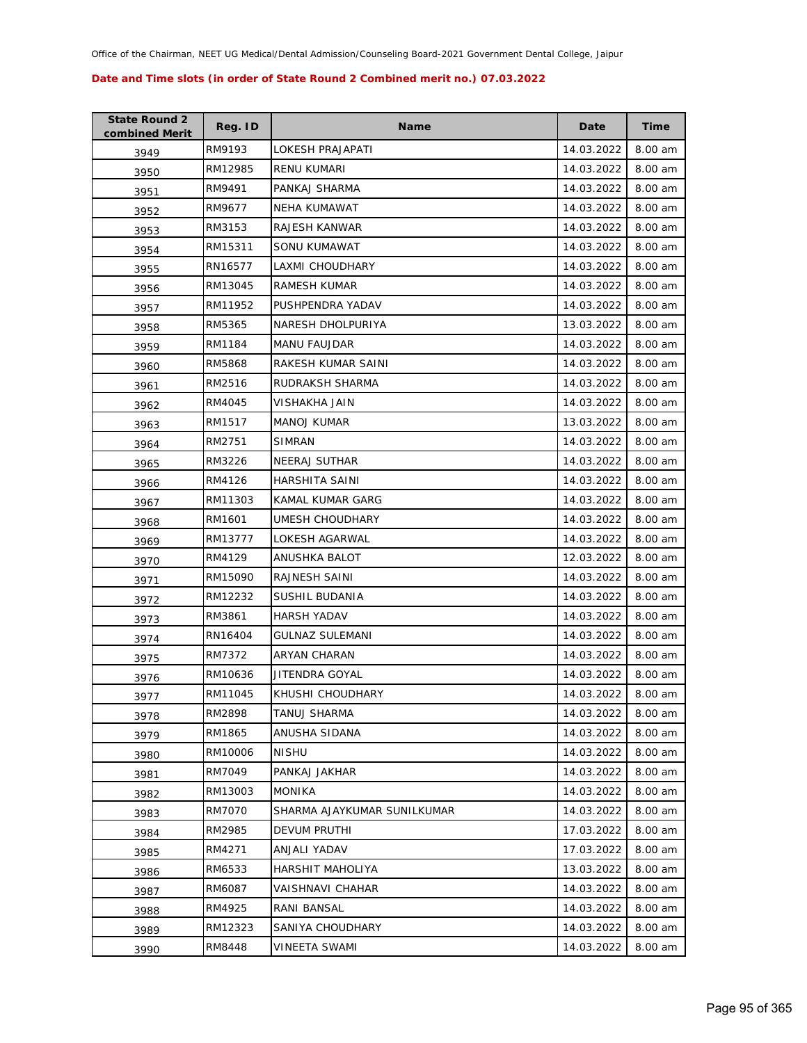| <b>State Round 2</b><br>combined Merit | Reg. ID | <b>Name</b>                 | Date       | <b>Time</b> |
|----------------------------------------|---------|-----------------------------|------------|-------------|
| 3949                                   | RM9193  | LOKESH PRAJAPATI            | 14.03.2022 | 8.00 am     |
| 3950                                   | RM12985 | RENU KUMARI                 | 14.03.2022 | 8.00 am     |
| 3951                                   | RM9491  | PANKAJ SHARMA               | 14.03.2022 | 8.00 am     |
| 3952                                   | RM9677  | <b>NEHA KUMAWAT</b>         | 14.03.2022 | 8.00 am     |
| 3953                                   | RM3153  | RAJESH KANWAR               | 14.03.2022 | 8.00 am     |
| 3954                                   | RM15311 | SONU KUMAWAT                | 14.03.2022 | 8.00 am     |
| 3955                                   | RN16577 | LAXMI CHOUDHARY             | 14.03.2022 | 8.00 am     |
| 3956                                   | RM13045 | RAMESH KUMAR                | 14.03.2022 | 8.00 am     |
| 3957                                   | RM11952 | PUSHPENDRA YADAV            | 14.03.2022 | 8.00 am     |
| 3958                                   | RM5365  | NARESH DHOLPURIYA           | 13.03.2022 | 8.00 am     |
| 3959                                   | RM1184  | <b>MANU FAUJDAR</b>         | 14.03.2022 | 8.00 am     |
| 3960                                   | RM5868  | RAKESH KUMAR SAINI          | 14.03.2022 | 8.00 am     |
| 3961                                   | RM2516  | RUDRAKSH SHARMA             | 14.03.2022 | 8.00 am     |
| 3962                                   | RM4045  | VISHAKHA JAIN               | 14.03.2022 | 8.00 am     |
| 3963                                   | RM1517  | <b>MANOJ KUMAR</b>          | 13.03.2022 | 8.00 am     |
| 3964                                   | RM2751  | <b>SIMRAN</b>               | 14.03.2022 | 8.00 am     |
| 3965                                   | RM3226  | <b>NEERAJ SUTHAR</b>        | 14.03.2022 | 8.00 am     |
| 3966                                   | RM4126  | HARSHITA SAINI              | 14.03.2022 | 8.00 am     |
| 3967                                   | RM11303 | KAMAL KUMAR GARG            | 14.03.2022 | 8.00 am     |
| 3968                                   | RM1601  | UMESH CHOUDHARY             | 14.03.2022 | 8.00 am     |
| 3969                                   | RM13777 | LOKESH AGARWAL              | 14.03.2022 | 8.00 am     |
| 3970                                   | RM4129  | ANUSHKA BALOT               | 12.03.2022 | 8.00 am     |
| 3971                                   | RM15090 | RAJNESH SAINI               | 14.03.2022 | 8.00 am     |
| 3972                                   | RM12232 | SUSHIL BUDANIA              | 14.03.2022 | 8.00 am     |
| 3973                                   | RM3861  | <b>HARSH YADAV</b>          | 14.03.2022 | 8.00 am     |
| 3974                                   | RN16404 | <b>GULNAZ SULEMANI</b>      | 14.03.2022 | 8.00 am     |
| 3975                                   | RM7372  | ARYAN CHARAN                | 14.03.2022 | 8.00 am     |
| 3976                                   | RM10636 | JITENDRA GOYAL              | 14.03.2022 | 8.00 am     |
| 3977                                   | RM11045 | KHUSHI CHOUDHARY            | 14.03.2022 | 8.00 am     |
| 3978                                   | RM2898  | TANUJ SHARMA                | 14.03.2022 | 8.00 am     |
| 3979                                   | RM1865  | ANUSHA SIDANA               | 14.03.2022 | 8.00 am     |
| 3980                                   | RM10006 | <b>NISHU</b>                | 14.03.2022 | 8.00 am     |
| 3981                                   | RM7049  | PANKAJ JAKHAR               | 14.03.2022 | 8.00 am     |
| 3982                                   | RM13003 | <b>MONIKA</b>               | 14.03.2022 | 8.00 am     |
| 3983                                   | RM7070  | SHARMA AJAYKUMAR SUNILKUMAR | 14.03.2022 | 8.00 am     |
| 3984                                   | RM2985  | DEVUM PRUTHI                | 17.03.2022 | 8.00 am     |
| 3985                                   | RM4271  | ANJALI YADAV                | 17.03.2022 | 8.00 am     |
| 3986                                   | RM6533  | HARSHIT MAHOLIYA            | 13.03.2022 | 8.00 am     |
| 3987                                   | RM6087  | VAISHNAVI CHAHAR            | 14.03.2022 | 8.00 am     |
| 3988                                   | RM4925  | RANI BANSAL                 | 14.03.2022 | 8.00 am     |
| 3989                                   | RM12323 | SANIYA CHOUDHARY            | 14.03.2022 | 8.00 am     |
| 3990                                   | RM8448  | VINEETA SWAMI               | 14.03.2022 | 8.00 am     |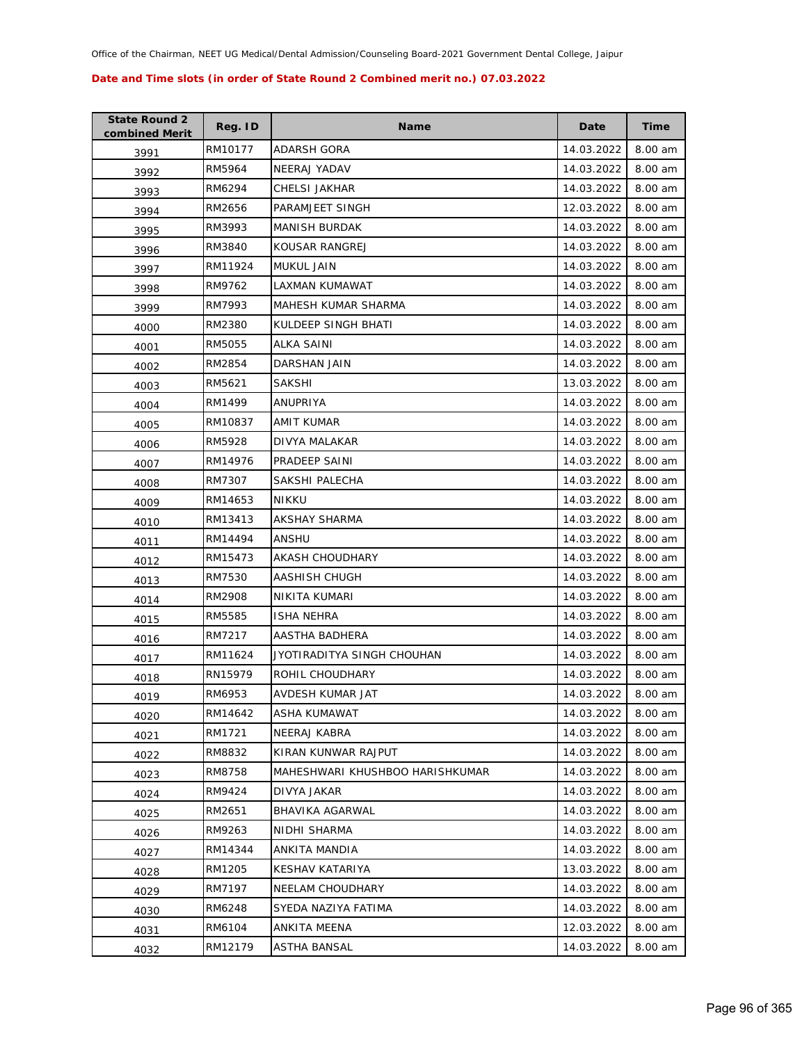| <b>State Round 2</b><br>combined Merit | Reg. ID | <b>Name</b>                     | Date       | <b>Time</b> |
|----------------------------------------|---------|---------------------------------|------------|-------------|
| 3991                                   | RM10177 | ADARSH GORA                     | 14.03.2022 | 8.00 am     |
| 3992                                   | RM5964  | NEERAJ YADAV                    | 14.03.2022 | 8.00 am     |
| 3993                                   | RM6294  | CHELSI JAKHAR                   | 14.03.2022 | 8.00 am     |
| 3994                                   | RM2656  | PARAMJEET SINGH                 | 12.03.2022 | 8.00 am     |
| 3995                                   | RM3993  | <b>MANISH BURDAK</b>            | 14.03.2022 | 8.00 am     |
| 3996                                   | RM3840  | KOUSAR RANGREJ                  | 14.03.2022 | 8.00 am     |
| 3997                                   | RM11924 | <b>MUKUL JAIN</b>               | 14.03.2022 | 8.00 am     |
| 3998                                   | RM9762  | LAXMAN KUMAWAT                  | 14.03.2022 | 8.00 am     |
| 3999                                   | RM7993  | MAHESH KUMAR SHARMA             | 14.03.2022 | 8.00 am     |
| 4000                                   | RM2380  | KULDEEP SINGH BHATI             | 14.03.2022 | 8.00 am     |
| 4001                                   | RM5055  | ALKA SAINI                      | 14.03.2022 | 8.00 am     |
| 4002                                   | RM2854  | DARSHAN JAIN                    | 14.03.2022 | 8.00 am     |
| 4003                                   | RM5621  | <b>SAKSHI</b>                   | 13.03.2022 | 8.00 am     |
| 4004                                   | RM1499  | ANUPRIYA                        | 14.03.2022 | 8.00 am     |
| 4005                                   | RM10837 | AMIT KUMAR                      | 14.03.2022 | 8.00 am     |
| 4006                                   | RM5928  | DIVYA MALAKAR                   | 14.03.2022 | 8.00 am     |
| 4007                                   | RM14976 | PRADEEP SAINI                   | 14.03.2022 | 8.00 am     |
| 4008                                   | RM7307  | SAKSHI PALECHA                  | 14.03.2022 | 8.00 am     |
| 4009                                   | RM14653 | NIKKU                           | 14.03.2022 | 8.00 am     |
| 4010                                   | RM13413 | AKSHAY SHARMA                   | 14.03.2022 | 8.00 am     |
| 4011                                   | RM14494 | ANSHU                           | 14.03.2022 | 8.00 am     |
| 4012                                   | RM15473 | AKASH CHOUDHARY                 | 14.03.2022 | 8.00 am     |
| 4013                                   | RM7530  | AASHISH CHUGH                   | 14.03.2022 | 8.00 am     |
| 4014                                   | RM2908  | NIKITA KUMARI                   | 14.03.2022 | 8.00 am     |
| 4015                                   | RM5585  | ISHA NEHRA                      | 14.03.2022 | 8.00 am     |
| 4016                                   | RM7217  | AASTHA BADHERA                  | 14.03.2022 | 8.00 am     |
| 4017                                   | RM11624 | JYOTIRADITYA SINGH CHOUHAN      | 14.03.2022 | 8.00 am     |
| 4018                                   | RN15979 | ROHIL CHOUDHARY                 | 14.03.2022 | 8.00 am     |
| 4019                                   | RM6953  | AVDESH KUMAR JAT                | 14.03.2022 | 8.00 am     |
| 4020                                   | RM14642 | ASHA KUMAWAT                    | 14.03.2022 | 8.00 am     |
| 4021                                   | RM1721  | NEERAJ KABRA                    | 14.03.2022 | 8.00 am     |
| 4022                                   | RM8832  | KIRAN KUNWAR RAJPUT             | 14.03.2022 | 8.00 am     |
| 4023                                   | RM8758  | MAHESHWARI KHUSHBOO HARISHKUMAR | 14.03.2022 | 8.00 am     |
| 4024                                   | RM9424  | DIVYA JAKAR                     | 14.03.2022 | 8.00 am     |
| 4025                                   | RM2651  | BHAVIKA AGARWAL                 | 14.03.2022 | 8.00 am     |
| 4026                                   | RM9263  | NIDHI SHARMA                    | 14.03.2022 | 8.00 am     |
| 4027                                   | RM14344 | ANKITA MANDIA                   | 14.03.2022 | 8.00 am     |
| 4028                                   | RM1205  | KESHAV KATARIYA                 | 13.03.2022 | 8.00 am     |
| 4029                                   | RM7197  | NEELAM CHOUDHARY                | 14.03.2022 | 8.00 am     |
| 4030                                   | RM6248  | SYEDA NAZIYA FATIMA             | 14.03.2022 | 8.00 am     |
| 4031                                   | RM6104  | ANKITA MEENA                    | 12.03.2022 | 8.00 am     |
| 4032                                   | RM12179 | ASTHA BANSAL                    | 14.03.2022 | 8.00 am     |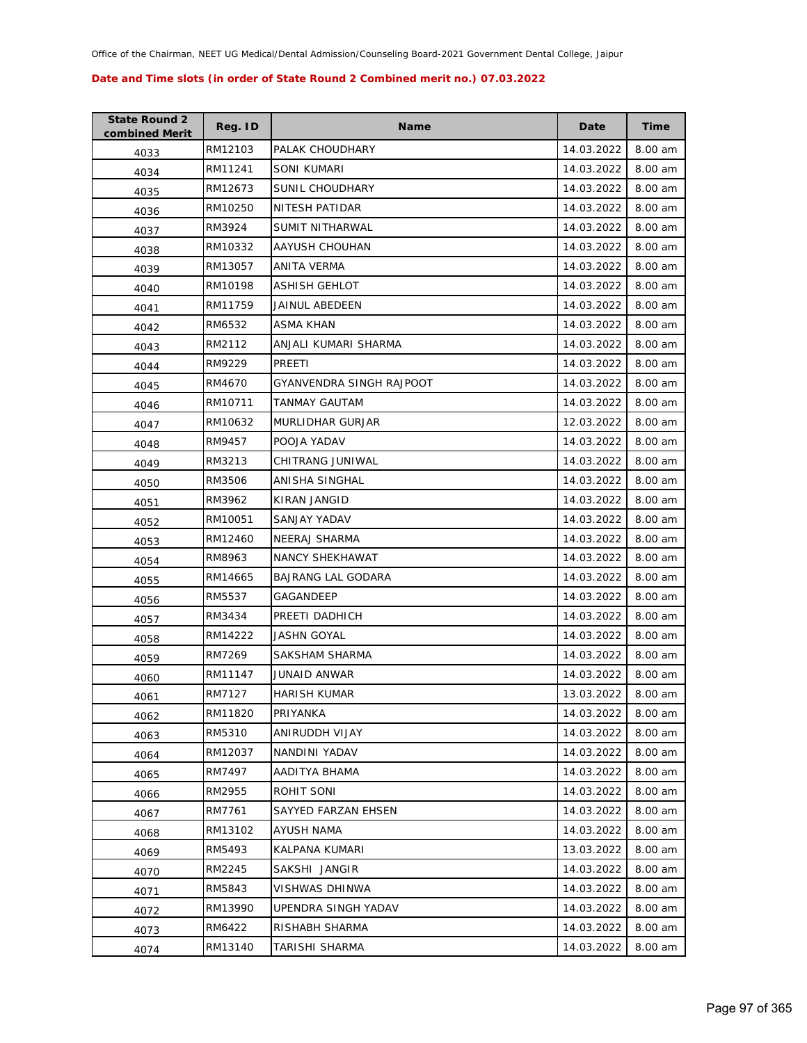| <b>State Round 2</b><br>combined Merit | Reg. ID | <b>Name</b>               | Date       | Time    |
|----------------------------------------|---------|---------------------------|------------|---------|
| 4033                                   | RM12103 | PALAK CHOUDHARY           | 14.03.2022 | 8.00 am |
| 4034                                   | RM11241 | SONI KUMARI               | 14.03.2022 | 8.00 am |
| 4035                                   | RM12673 | SUNIL CHOUDHARY           | 14.03.2022 | 8.00 am |
| 4036                                   | RM10250 | NITESH PATIDAR            | 14.03.2022 | 8.00 am |
| 4037                                   | RM3924  | SUMIT NITHARWAL           | 14.03.2022 | 8.00 am |
| 4038                                   | RM10332 | AAYUSH CHOUHAN            | 14.03.2022 | 8.00 am |
| 4039                                   | RM13057 | ANITA VERMA               | 14.03.2022 | 8.00 am |
| 4040                                   | RM10198 | <b>ASHISH GEHLOT</b>      | 14.03.2022 | 8.00 am |
| 4041                                   | RM11759 | JAINUL ABEDEEN            | 14.03.2022 | 8.00 am |
| 4042                                   | RM6532  | ASMA KHAN                 | 14.03.2022 | 8.00 am |
| 4043                                   | RM2112  | ANJALI KUMARI SHARMA      | 14.03.2022 | 8.00 am |
| 4044                                   | RM9229  | PREETI                    | 14.03.2022 | 8.00 am |
| 4045                                   | RM4670  | GYANVENDRA SINGH RAJPOOT  | 14.03.2022 | 8.00 am |
| 4046                                   | RM10711 | TANMAY GAUTAM             | 14.03.2022 | 8.00 am |
| 4047                                   | RM10632 | <b>MURLIDHAR GURJAR</b>   | 12.03.2022 | 8.00 am |
| 4048                                   | RM9457  | POOJA YADAV               | 14.03.2022 | 8.00 am |
| 4049                                   | RM3213  | CHITRANG JUNIWAL          | 14.03.2022 | 8.00 am |
| 4050                                   | RM3506  | ANISHA SINGHAL            | 14.03.2022 | 8.00 am |
| 4051                                   | RM3962  | KIRAN JANGID              | 14.03.2022 | 8.00 am |
| 4052                                   | RM10051 | SANJAY YADAV              | 14.03.2022 | 8.00 am |
| 4053                                   | RM12460 | NEERAJ SHARMA             | 14.03.2022 | 8.00 am |
| 4054                                   | RM8963  | NANCY SHEKHAWAT           | 14.03.2022 | 8.00 am |
| 4055                                   | RM14665 | <b>BAJRANG LAL GODARA</b> | 14.03.2022 | 8.00 am |
| 4056                                   | RM5537  | GAGANDEEP                 | 14.03.2022 | 8.00 am |
| 4057                                   | RM3434  | PREETI DADHICH            | 14.03.2022 | 8.00 am |
| 4058                                   | RM14222 | <b>JASHN GOYAL</b>        | 14.03.2022 | 8.00 am |
| 4059                                   | RM7269  | SAKSHAM SHARMA            | 14.03.2022 | 8.00 am |
| 4060                                   | RM11147 | <b>JUNAID ANWAR</b>       | 14.03.2022 | 8.00 am |
| 4061                                   | RM7127  | <b>HARISH KUMAR</b>       | 13.03.2022 | 8.00 am |
| 4062                                   | RM11820 | PRIYANKA                  | 14.03.2022 | 8.00 am |
| 4063                                   | RM5310  | ANIRUDDH VIJAY            | 14.03.2022 | 8.00 am |
| 4064                                   | RM12037 | NANDINI YADAV             | 14.03.2022 | 8.00 am |
| 4065                                   | RM7497  | AADITYA BHAMA             | 14.03.2022 | 8.00 am |
| 4066                                   | RM2955  | ROHIT SONI                | 14.03.2022 | 8.00 am |
| 4067                                   | RM7761  | SAYYED FARZAN EHSEN       | 14.03.2022 | 8.00 am |
| 4068                                   | RM13102 | <b>AYUSH NAMA</b>         | 14.03.2022 | 8.00 am |
| 4069                                   | RM5493  | KALPANA KUMARI            | 13.03.2022 | 8.00 am |
| 4070                                   | RM2245  | SAKSHI JANGIR             | 14.03.2022 | 8.00 am |
| 4071                                   | RM5843  | VISHWAS DHINWA            | 14.03.2022 | 8.00 am |
| 4072                                   | RM13990 | UPENDRA SINGH YADAV       | 14.03.2022 | 8.00 am |
| 4073                                   | RM6422  | RISHABH SHARMA            | 14.03.2022 | 8.00 am |
| 4074                                   | RM13140 | TARISHI SHARMA            | 14.03.2022 | 8.00 am |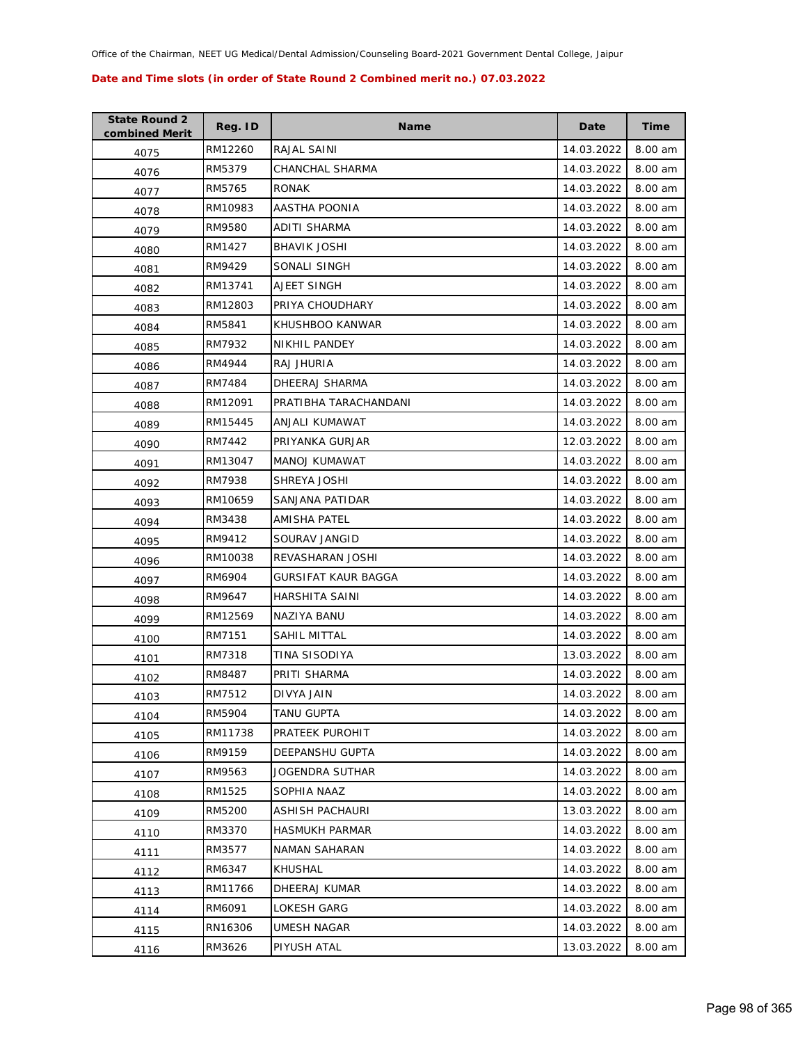| <b>State Round 2</b><br>combined Merit | Reg. ID | <b>Name</b>           | Date       | <b>Time</b> |
|----------------------------------------|---------|-----------------------|------------|-------------|
| 4075                                   | RM12260 | RAJAL SAINI           | 14.03.2022 | 8.00 am     |
| 4076                                   | RM5379  | CHANCHAL SHARMA       | 14.03.2022 | 8.00 am     |
| 4077                                   | RM5765  | <b>RONAK</b>          | 14.03.2022 | 8.00 am     |
| 4078                                   | RM10983 | AASTHA POONIA         | 14.03.2022 | 8.00 am     |
| 4079                                   | RM9580  | ADITI SHARMA          | 14.03.2022 | 8.00 am     |
| 4080                                   | RM1427  | <b>BHAVIK JOSHI</b>   | 14.03.2022 | 8.00 am     |
| 4081                                   | RM9429  | SONALI SINGH          | 14.03.2022 | 8.00 am     |
| 4082                                   | RM13741 | AJEET SINGH           | 14.03.2022 | 8.00 am     |
| 4083                                   | RM12803 | PRIYA CHOUDHARY       | 14.03.2022 | 8.00 am     |
| 4084                                   | RM5841  | KHUSHBOO KANWAR       | 14.03.2022 | 8.00 am     |
| 4085                                   | RM7932  | NIKHIL PANDEY         | 14.03.2022 | 8.00 am     |
| 4086                                   | RM4944  | RAJ JHURIA            | 14.03.2022 | 8.00 am     |
| 4087                                   | RM7484  | DHEERAJ SHARMA        | 14.03.2022 | 8.00 am     |
| 4088                                   | RM12091 | PRATIBHA TARACHANDANI | 14.03.2022 | 8.00 am     |
| 4089                                   | RM15445 | ANJALI KUMAWAT        | 14.03.2022 | 8.00 am     |
| 4090                                   | RM7442  | PRIYANKA GURJAR       | 12.03.2022 | 8.00 am     |
| 4091                                   | RM13047 | MANOJ KUMAWAT         | 14.03.2022 | 8.00 am     |
| 4092                                   | RM7938  | SHREYA JOSHI          | 14.03.2022 | 8.00 am     |
| 4093                                   | RM10659 | SANJANA PATIDAR       | 14.03.2022 | 8.00 am     |
| 4094                                   | RM3438  | AMISHA PATEL          | 14.03.2022 | 8.00 am     |
| 4095                                   | RM9412  | SOURAV JANGID         | 14.03.2022 | 8.00 am     |
| 4096                                   | RM10038 | REVASHARAN JOSHI      | 14.03.2022 | 8.00 am     |
| 4097                                   | RM6904  | GURSIFAT KAUR BAGGA   | 14.03.2022 | 8.00 am     |
| 4098                                   | RM9647  | HARSHITA SAINI        | 14.03.2022 | 8.00 am     |
| 4099                                   | RM12569 | NAZIYA BANU           | 14.03.2022 | 8.00 am     |
| 4100                                   | RM7151  | SAHIL MITTAL          | 14.03.2022 | 8.00 am     |
| 4101                                   | RM7318  | TINA SISODIYA         | 13.03.2022 | 8.00 am     |
| 4102                                   | RM8487  | PRITI SHARMA          | 14.03.2022 | 8.00 am     |
| 4103                                   | RM7512  | DIVYA JAIN            | 14.03.2022 | 8.00 am     |
| 4104                                   | RM5904  | TANU GUPTA            | 14.03.2022 | 8.00 am     |
| 4105                                   | RM11738 | PRATEEK PUROHIT       | 14.03.2022 | 8.00 am     |
| 4106                                   | RM9159  | DEEPANSHU GUPTA       | 14.03.2022 | 8.00 am     |
| 4107                                   | RM9563  | JOGENDRA SUTHAR       | 14.03.2022 | 8.00 am     |
| 4108                                   | RM1525  | SOPHIA NAAZ           | 14.03.2022 | 8.00 am     |
| 4109                                   | RM5200  | ASHISH PACHAURI       | 13.03.2022 | 8.00 am     |
| 4110                                   | RM3370  | <b>HASMUKH PARMAR</b> | 14.03.2022 | 8.00 am     |
| 4111                                   | RM3577  | NAMAN SAHARAN         | 14.03.2022 | 8.00 am     |
| 4112                                   | RM6347  | KHUSHAL               | 14.03.2022 | 8.00 am     |
| 4113                                   | RM11766 | DHEERAJ KUMAR         | 14.03.2022 | 8.00 am     |
| 4114                                   | RM6091  | LOKESH GARG           | 14.03.2022 | 8.00 am     |
| 4115                                   | RN16306 | UMESH NAGAR           | 14.03.2022 | 8.00 am     |
| 4116                                   | RM3626  | PIYUSH ATAL           | 13.03.2022 | 8.00 am     |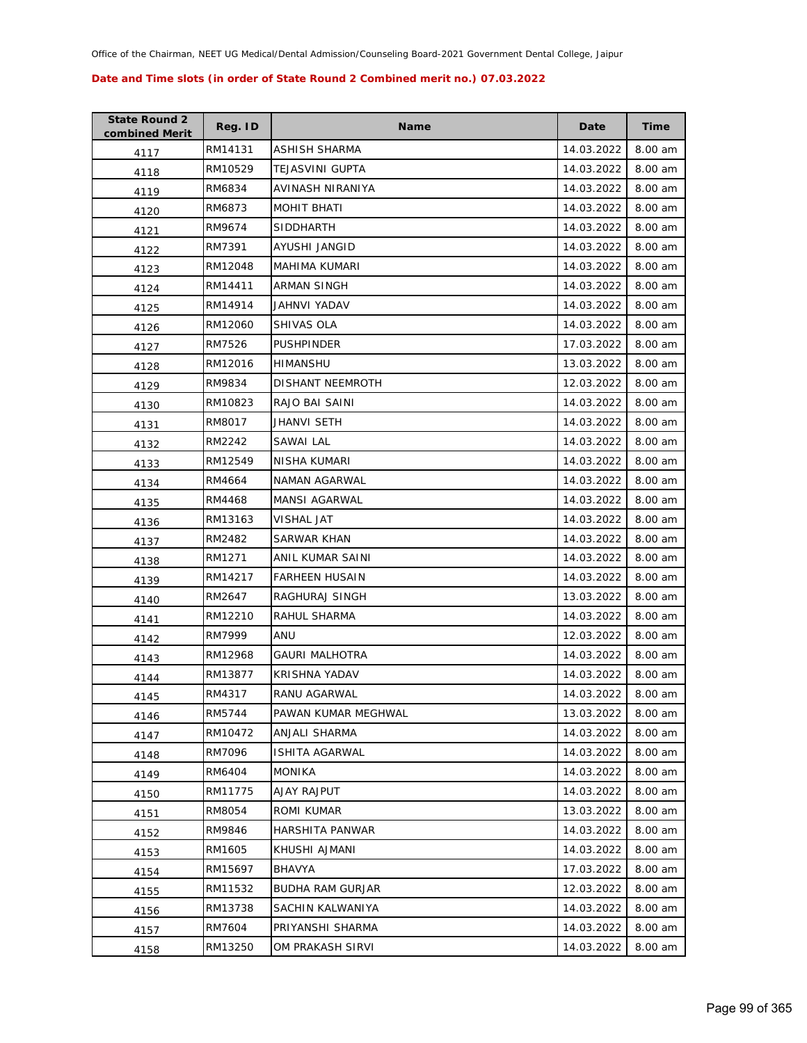| <b>State Round 2</b><br>combined Merit | Reg. ID | <b>Name</b>             | Date       | Time    |
|----------------------------------------|---------|-------------------------|------------|---------|
| 4117                                   | RM14131 | ASHISH SHARMA           | 14.03.2022 | 8.00 am |
| 4118                                   | RM10529 | <b>TEJASVINI GUPTA</b>  | 14.03.2022 | 8.00 am |
| 4119                                   | RM6834  | AVINASH NIRANIYA        | 14.03.2022 | 8.00 am |
| 4120                                   | RM6873  | MOHIT BHATI             | 14.03.2022 | 8.00 am |
| 4121                                   | RM9674  | <b>SIDDHARTH</b>        | 14.03.2022 | 8.00 am |
| 4122                                   | RM7391  | AYUSHI JANGID           | 14.03.2022 | 8.00 am |
| 4123                                   | RM12048 | MAHIMA KUMARI           | 14.03.2022 | 8.00 am |
| 4124                                   | RM14411 | <b>ARMAN SINGH</b>      | 14.03.2022 | 8.00 am |
| 4125                                   | RM14914 | JAHNVI YADAV            | 14.03.2022 | 8.00 am |
| 4126                                   | RM12060 | SHIVAS OLA              | 14.03.2022 | 8.00 am |
| 4127                                   | RM7526  | <b>PUSHPINDER</b>       | 17.03.2022 | 8.00 am |
| 4128                                   | RM12016 | HIMANSHU                | 13.03.2022 | 8.00 am |
| 4129                                   | RM9834  | DISHANT NEEMROTH        | 12.03.2022 | 8.00 am |
| 4130                                   | RM10823 | RAJO BAI SAINI          | 14.03.2022 | 8.00 am |
| 4131                                   | RM8017  | JHANVI SETH             | 14.03.2022 | 8.00 am |
| 4132                                   | RM2242  | SAWAI LAL               | 14.03.2022 | 8.00 am |
| 4133                                   | RM12549 | NISHA KUMARI            | 14.03.2022 | 8.00 am |
| 4134                                   | RM4664  | NAMAN AGARWAL           | 14.03.2022 | 8.00 am |
| 4135                                   | RM4468  | MANSI AGARWAL           | 14.03.2022 | 8.00 am |
| 4136                                   | RM13163 | VISHAL JAT              | 14.03.2022 | 8.00 am |
| 4137                                   | RM2482  | SARWAR KHAN             | 14.03.2022 | 8.00 am |
| 4138                                   | RM1271  | ANIL KUMAR SAINI        | 14.03.2022 | 8.00 am |
| 4139                                   | RM14217 | <b>FARHEEN HUSAIN</b>   | 14.03.2022 | 8.00 am |
| 4140                                   | RM2647  | RAGHURAJ SINGH          | 13.03.2022 | 8.00 am |
| 4141                                   | RM12210 | RAHUL SHARMA            | 14.03.2022 | 8.00 am |
| 4142                                   | RM7999  | ANU                     | 12.03.2022 | 8.00 am |
| 4143                                   | RM12968 | <b>GAURI MALHOTRA</b>   | 14.03.2022 | 8.00 am |
| 4144                                   | RM13877 | <b>KRISHNA YADAV</b>    | 14.03.2022 | 8.00 am |
| 4145                                   | RM4317  | RANU AGARWAL            | 14.03.2022 | 8.00 am |
| 4146                                   | RM5744  | PAWAN KUMAR MEGHWAL     | 13.03.2022 | 8.00 am |
| 4147                                   | RM10472 | ANJALI SHARMA           | 14.03.2022 | 8.00 am |
| 4148                                   | RM7096  | ISHITA AGARWAL          | 14.03.2022 | 8.00 am |
| 4149                                   | RM6404  | <b>MONIKA</b>           | 14.03.2022 | 8.00 am |
| 4150                                   | RM11775 | AJAY RAJPUT             | 14.03.2022 | 8.00 am |
| 4151                                   | RM8054  | ROMI KUMAR              | 13.03.2022 | 8.00 am |
| 4152                                   | RM9846  | HARSHITA PANWAR         | 14.03.2022 | 8.00 am |
| 4153                                   | RM1605  | KHUSHI AJMANI           | 14.03.2022 | 8.00 am |
| 4154                                   | RM15697 | BHAVYA                  | 17.03.2022 | 8.00 am |
| 4155                                   | RM11532 | <b>BUDHA RAM GURJAR</b> | 12.03.2022 | 8.00 am |
| 4156                                   | RM13738 | SACHIN KALWANIYA        | 14.03.2022 | 8.00 am |
| 4157                                   | RM7604  | PRIYANSHI SHARMA        | 14.03.2022 | 8.00 am |
| 4158                                   | RM13250 | OM PRAKASH SIRVI        | 14.03.2022 | 8.00 am |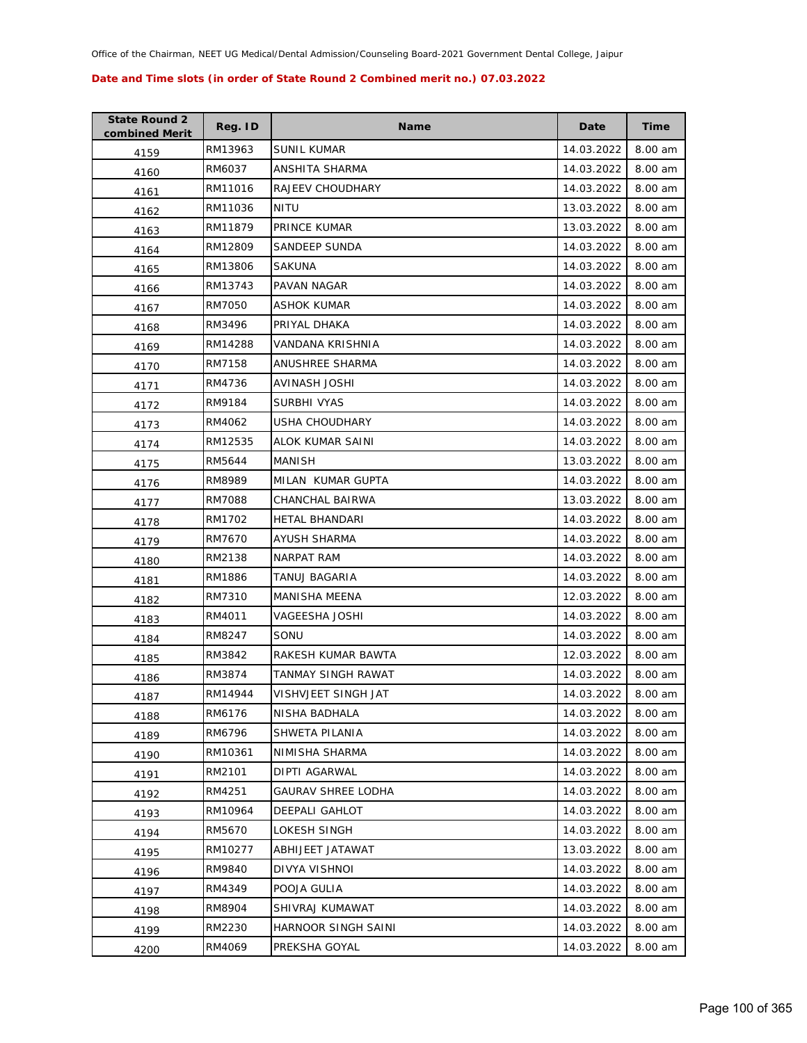| <b>State Round 2</b><br>combined Merit | Reg. ID | <b>Name</b>               | Date       | Time    |
|----------------------------------------|---------|---------------------------|------------|---------|
| 4159                                   | RM13963 | <b>SUNIL KUMAR</b>        | 14.03.2022 | 8.00 am |
| 4160                                   | RM6037  | ANSHITA SHARMA            | 14.03.2022 | 8.00 am |
| 4161                                   | RM11016 | RAJEEV CHOUDHARY          | 14.03.2022 | 8.00 am |
| 4162                                   | RM11036 | NITU                      | 13.03.2022 | 8.00 am |
| 4163                                   | RM11879 | PRINCE KUMAR              | 13.03.2022 | 8.00 am |
| 4164                                   | RM12809 | <b>SANDEEP SUNDA</b>      | 14.03.2022 | 8.00 am |
| 4165                                   | RM13806 | SAKUNA                    | 14.03.2022 | 8.00 am |
| 4166                                   | RM13743 | PAVAN NAGAR               | 14.03.2022 | 8.00 am |
| 4167                                   | RM7050  | ASHOK KUMAR               | 14.03.2022 | 8.00 am |
| 4168                                   | RM3496  | PRIYAL DHAKA              | 14.03.2022 | 8.00 am |
| 4169                                   | RM14288 | VANDANA KRISHNIA          | 14.03.2022 | 8.00 am |
| 4170                                   | RM7158  | ANUSHREE SHARMA           | 14.03.2022 | 8.00 am |
| 4171                                   | RM4736  | <b>AVINASH JOSHI</b>      | 14.03.2022 | 8.00 am |
| 4172                                   | RM9184  | SURBHI VYAS               | 14.03.2022 | 8.00 am |
| 4173                                   | RM4062  | <b>USHA CHOUDHARY</b>     | 14.03.2022 | 8.00 am |
| 4174                                   | RM12535 | ALOK KUMAR SAINI          | 14.03.2022 | 8.00 am |
| 4175                                   | RM5644  | MANISH                    | 13.03.2022 | 8.00 am |
| 4176                                   | RM8989  | MILAN KUMAR GUPTA         | 14.03.2022 | 8.00 am |
| 4177                                   | RM7088  | CHANCHAL BAIRWA           | 13.03.2022 | 8.00 am |
| 4178                                   | RM1702  | HETAL BHANDARI            | 14.03.2022 | 8.00 am |
| 4179                                   | RM7670  | AYUSH SHARMA              | 14.03.2022 | 8.00 am |
| 4180                                   | RM2138  | NARPAT RAM                | 14.03.2022 | 8.00 am |
| 4181                                   | RM1886  | TANUJ BAGARIA             | 14.03.2022 | 8.00 am |
| 4182                                   | RM7310  | <b>MANISHA MEENA</b>      | 12.03.2022 | 8.00 am |
| 4183                                   | RM4011  | VAGEESHA JOSHI            | 14.03.2022 | 8.00 am |
| 4184                                   | RM8247  | SONU                      | 14.03.2022 | 8.00 am |
| 4185                                   | RM3842  | RAKESH KUMAR BAWTA        | 12.03.2022 | 8.00 am |
| 4186                                   | RM3874  | TANMAY SINGH RAWAT        | 14.03.2022 | 8.00 am |
| 4187                                   | RM14944 | VISHVJEET SINGH JAT       | 14.03.2022 | 8.00 am |
| 4188                                   | RM6176  | NISHA BADHALA             | 14.03.2022 | 8.00 am |
| 4189                                   | RM6796  | SHWETA PILANIA            | 14.03.2022 | 8.00 am |
| 4190                                   | RM10361 | NIMISHA SHARMA            | 14.03.2022 | 8.00 am |
| 4191                                   | RM2101  | DIPTI AGARWAL             | 14.03.2022 | 8.00 am |
| 4192                                   | RM4251  | <b>GAURAV SHREE LODHA</b> | 14.03.2022 | 8.00 am |
| 4193                                   | RM10964 | DEEPALI GAHLOT            | 14.03.2022 | 8.00 am |
| 4194                                   | RM5670  | LOKESH SINGH              | 14.03.2022 | 8.00 am |
| 4195                                   | RM10277 | ABHIJEET JATAWAT          | 13.03.2022 | 8.00 am |
| 4196                                   | RM9840  | DIVYA VISHNOI             | 14.03.2022 | 8.00 am |
| 4197                                   | RM4349  | POOJA GULIA               | 14.03.2022 | 8.00 am |
| 4198                                   | RM8904  | SHIVRAJ KUMAWAT           | 14.03.2022 | 8.00 am |
| 4199                                   | RM2230  | HARNOOR SINGH SAINI       | 14.03.2022 | 8.00 am |
| 4200                                   | RM4069  | PREKSHA GOYAL             | 14.03.2022 | 8.00 am |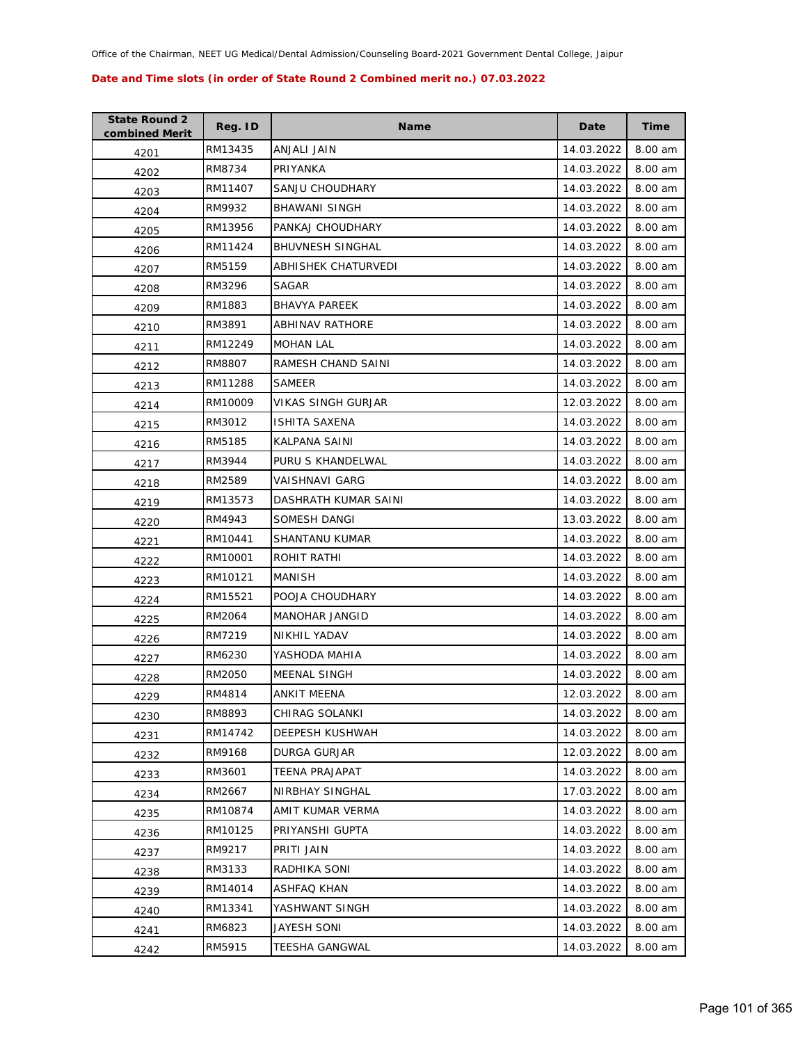| <b>State Round 2</b><br>combined Merit | Reg. ID | <b>Name</b>             | Date       | Time    |
|----------------------------------------|---------|-------------------------|------------|---------|
| 4201                                   | RM13435 | ANJALI JAIN             | 14.03.2022 | 8.00 am |
| 4202                                   | RM8734  | PRIYANKA                | 14.03.2022 | 8.00 am |
| 4203                                   | RM11407 | SANJU CHOUDHARY         | 14.03.2022 | 8.00 am |
| 4204                                   | RM9932  | <b>BHAWANI SINGH</b>    | 14.03.2022 | 8.00 am |
| 4205                                   | RM13956 | PANKAJ CHOUDHARY        | 14.03.2022 | 8.00 am |
| 4206                                   | RM11424 | <b>BHUVNESH SINGHAL</b> | 14.03.2022 | 8.00 am |
| 4207                                   | RM5159  | ABHISHEK CHATURVEDI     | 14.03.2022 | 8.00 am |
| 4208                                   | RM3296  | SAGAR                   | 14.03.2022 | 8.00 am |
| 4209                                   | RM1883  | <b>BHAVYA PAREEK</b>    | 14.03.2022 | 8.00 am |
| 4210                                   | RM3891  | ABHINAV RATHORE         | 14.03.2022 | 8.00 am |
| 4211                                   | RM12249 | <b>MOHAN LAL</b>        | 14.03.2022 | 8.00 am |
| 4212                                   | RM8807  | RAMESH CHAND SAINI      | 14.03.2022 | 8.00 am |
| 4213                                   | RM11288 | <b>SAMEER</b>           | 14.03.2022 | 8.00 am |
| 4214                                   | RM10009 | VIKAS SINGH GURJAR      | 12.03.2022 | 8.00 am |
| 4215                                   | RM3012  | <b>ISHITA SAXENA</b>    | 14.03.2022 | 8.00 am |
| 4216                                   | RM5185  | KALPANA SAINI           | 14.03.2022 | 8.00 am |
| 4217                                   | RM3944  | PURU S KHANDELWAL       | 14.03.2022 | 8.00 am |
| 4218                                   | RM2589  | VAISHNAVI GARG          | 14.03.2022 | 8.00 am |
| 4219                                   | RM13573 | DASHRATH KUMAR SAINI    | 14.03.2022 | 8.00 am |
| 4220                                   | RM4943  | SOMESH DANGI            | 13.03.2022 | 8.00 am |
| 4221                                   | RM10441 | SHANTANU KUMAR          | 14.03.2022 | 8.00 am |
| 4222                                   | RM10001 | ROHIT RATHI             | 14.03.2022 | 8.00 am |
| 4223                                   | RM10121 | MANISH                  | 14.03.2022 | 8.00 am |
| 4224                                   | RM15521 | POOJA CHOUDHARY         | 14.03.2022 | 8.00 am |
| 4225                                   | RM2064  | <b>MANOHAR JANGID</b>   | 14.03.2022 | 8.00 am |
| 4226                                   | RM7219  | <b>NIKHIL YADAV</b>     | 14.03.2022 | 8.00 am |
| 4227                                   | RM6230  | YASHODA MAHIA           | 14.03.2022 | 8.00 am |
| 4228                                   | RM2050  | <b>MEENAL SINGH</b>     | 14.03.2022 | 8.00 am |
| 4229                                   | RM4814  | ANKIT MEENA             | 12.03.2022 | 8.00 am |
| 4230                                   | RM8893  | CHIRAG SOLANKI          | 14.03.2022 | 8.00 am |
| 4231                                   | RM14742 | DEEPESH KUSHWAH         | 14.03.2022 | 8.00 am |
| 4232                                   | RM9168  | DURGA GURJAR            | 12.03.2022 | 8.00 am |
| 4233                                   | RM3601  | <b>TEENA PRAJAPAT</b>   | 14.03.2022 | 8.00 am |
| 4234                                   | RM2667  | NIRBHAY SINGHAL         | 17.03.2022 | 8.00 am |
| 4235                                   | RM10874 | AMIT KUMAR VERMA        | 14.03.2022 | 8.00 am |
| 4236                                   | RM10125 | PRIYANSHI GUPTA         | 14.03.2022 | 8.00 am |
| 4237                                   | RM9217  | PRITI JAIN              | 14.03.2022 | 8.00 am |
| 4238                                   | RM3133  | RADHIKA SONI            | 14.03.2022 | 8.00 am |
| 4239                                   | RM14014 | ASHFAQ KHAN             | 14.03.2022 | 8.00 am |
| 4240                                   | RM13341 | YASHWANT SINGH          | 14.03.2022 | 8.00 am |
| 4241                                   | RM6823  | JAYESH SONI             | 14.03.2022 | 8.00 am |
| 4242                                   | RM5915  | TEESHA GANGWAL          | 14.03.2022 | 8.00 am |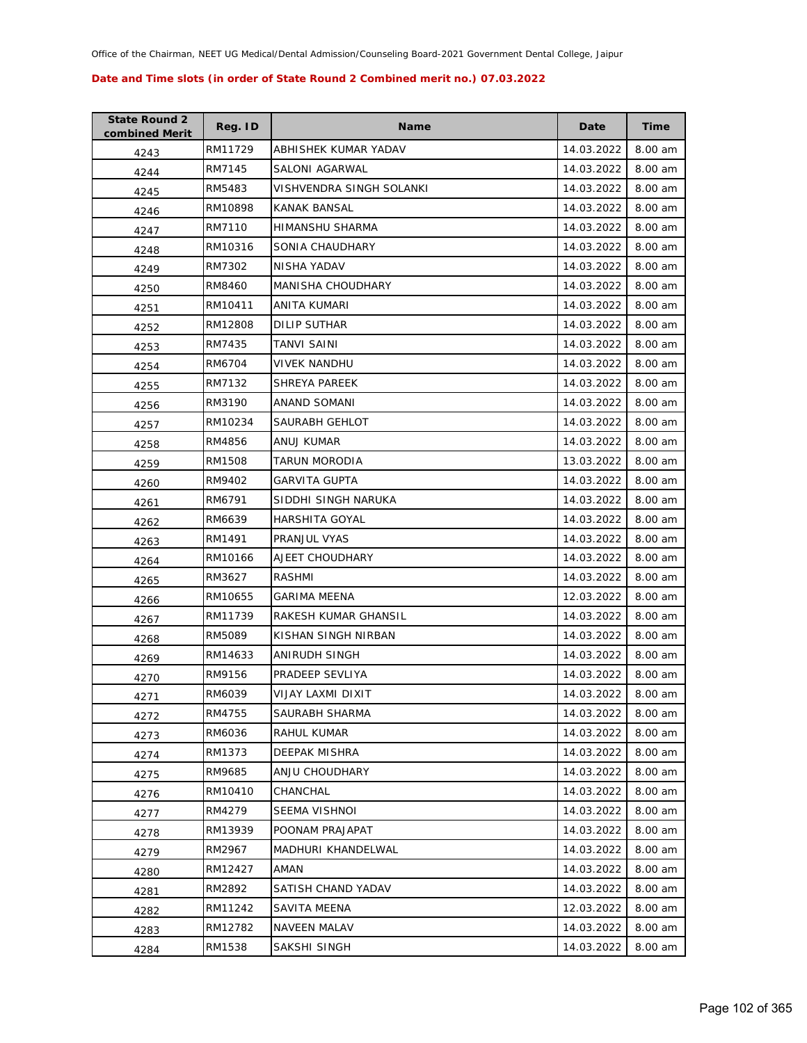| <b>State Round 2</b><br>combined Merit | Reg. ID | <b>Name</b>              | Date       | <b>Time</b> |
|----------------------------------------|---------|--------------------------|------------|-------------|
| 4243                                   | RM11729 | ABHISHEK KUMAR YADAV     | 14.03.2022 | 8.00 am     |
| 4244                                   | RM7145  | SALONI AGARWAL           | 14.03.2022 | 8.00 am     |
| 4245                                   | RM5483  | VISHVENDRA SINGH SOLANKI | 14.03.2022 | 8.00 am     |
| 4246                                   | RM10898 | <b>KANAK BANSAL</b>      | 14.03.2022 | 8.00 am     |
| 4247                                   | RM7110  | HIMANSHU SHARMA          | 14.03.2022 | 8.00 am     |
| 4248                                   | RM10316 | SONIA CHAUDHARY          | 14.03.2022 | 8.00 am     |
| 4249                                   | RM7302  | NISHA YADAV              | 14.03.2022 | 8.00 am     |
| 4250                                   | RM8460  | MANISHA CHOUDHARY        | 14.03.2022 | 8.00 am     |
| 4251                                   | RM10411 | ANITA KUMARI             | 14.03.2022 | 8.00 am     |
| 4252                                   | RM12808 | DILIP SUTHAR             | 14.03.2022 | 8.00 am     |
| 4253                                   | RM7435  | TANVI SAINI              | 14.03.2022 | 8.00 am     |
| 4254                                   | RM6704  | <b>VIVEK NANDHU</b>      | 14.03.2022 | 8.00 am     |
| 4255                                   | RM7132  | <b>SHREYA PAREEK</b>     | 14.03.2022 | 8.00 am     |
| 4256                                   | RM3190  | ANAND SOMANI             | 14.03.2022 | 8.00 am     |
| 4257                                   | RM10234 | SAURABH GEHLOT           | 14.03.2022 | 8.00 am     |
| 4258                                   | RM4856  | ANUJ KUMAR               | 14.03.2022 | 8.00 am     |
| 4259                                   | RM1508  | TARUN MORODIA            | 13.03.2022 | 8.00 am     |
| 4260                                   | RM9402  | <b>GARVITA GUPTA</b>     | 14.03.2022 | 8.00 am     |
| 4261                                   | RM6791  | SIDDHI SINGH NARUKA      | 14.03.2022 | 8.00 am     |
| 4262                                   | RM6639  | HARSHITA GOYAL           | 14.03.2022 | 8.00 am     |
| 4263                                   | RM1491  | PRANJUL VYAS             | 14.03.2022 | 8.00 am     |
| 4264                                   | RM10166 | AJEET CHOUDHARY          | 14.03.2022 | 8.00 am     |
| 4265                                   | RM3627  | RASHMI                   | 14.03.2022 | 8.00 am     |
| 4266                                   | RM10655 | <b>GARIMA MEENA</b>      | 12.03.2022 | 8.00 am     |
| 4267                                   | RM11739 | RAKESH KUMAR GHANSIL     | 14.03.2022 | 8.00 am     |
| 4268                                   | RM5089  | KISHAN SINGH NIRBAN      | 14.03.2022 | 8.00 am     |
| 4269                                   | RM14633 | ANIRUDH SINGH            | 14.03.2022 | 8.00 am     |
| 4270                                   | RM9156  | PRADEEP SEVLIYA          | 14.03.2022 | 8.00 am     |
| 4271                                   | RM6039  | VIJAY LAXMI DIXIT        | 14.03.2022 | 8.00 am     |
| 4272                                   | RM4755  | SAURABH SHARMA           | 14.03.2022 | 8.00 am     |
| 4273                                   | RM6036  | RAHUL KUMAR              | 14.03.2022 | 8.00 am     |
| 4274                                   | RM1373  | DEEPAK MISHRA            | 14.03.2022 | 8.00 am     |
| 4275                                   | RM9685  | ANJU CHOUDHARY           | 14.03.2022 | 8.00 am     |
| 4276                                   | RM10410 | CHANCHAL                 | 14.03.2022 | 8.00 am     |
| 4277                                   | RM4279  | SEEMA VISHNOI            | 14.03.2022 | 8.00 am     |
| 4278                                   | RM13939 | POONAM PRAJAPAT          | 14.03.2022 | 8.00 am     |
| 4279                                   | RM2967  | MADHURI KHANDELWAL       | 14.03.2022 | 8.00 am     |
| 4280                                   | RM12427 | AMAN                     | 14.03.2022 | 8.00 am     |
| 4281                                   | RM2892  | SATISH CHAND YADAV       | 14.03.2022 | 8.00 am     |
| 4282                                   | RM11242 | SAVITA MEENA             | 12.03.2022 | 8.00 am     |
| 4283                                   | RM12782 | <b>NAVEEN MALAV</b>      | 14.03.2022 | 8.00 am     |
| 4284                                   | RM1538  | SAKSHI SINGH             | 14.03.2022 | 8.00 am     |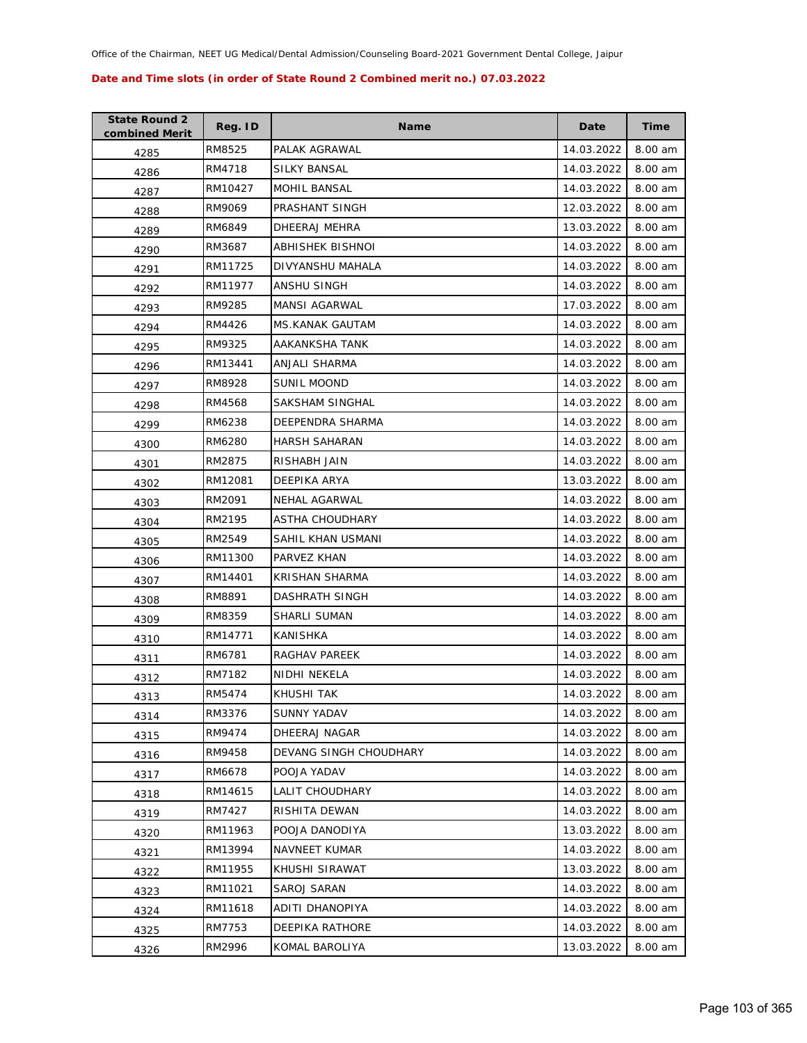| <b>State Round 2</b><br>combined Merit | Reg. ID | <b>Name</b>            | Date       | <b>Time</b> |
|----------------------------------------|---------|------------------------|------------|-------------|
| 4285                                   | RM8525  | PALAK AGRAWAL          | 14.03.2022 | 8.00 am     |
| 4286                                   | RM4718  | <b>SILKY BANSAL</b>    | 14.03.2022 | 8.00 am     |
| 4287                                   | RM10427 | MOHIL BANSAL           | 14.03.2022 | 8.00 am     |
| 4288                                   | RM9069  | PRASHANT SINGH         | 12.03.2022 | 8.00 am     |
| 4289                                   | RM6849  | DHEERAJ MEHRA          | 13.03.2022 | 8.00 am     |
| 4290                                   | RM3687  | ABHISHEK BISHNOI       | 14.03.2022 | 8.00 am     |
| 4291                                   | RM11725 | DIVYANSHU MAHALA       | 14.03.2022 | 8.00 am     |
| 4292                                   | RM11977 | ANSHU SINGH            | 14.03.2022 | 8.00 am     |
| 4293                                   | RM9285  | MANSI AGARWAL          | 17.03.2022 | 8.00 am     |
| 4294                                   | RM4426  | <b>MS.KANAK GAUTAM</b> | 14.03.2022 | 8.00 am     |
| 4295                                   | RM9325  | AAKANKSHA TANK         | 14.03.2022 | 8.00 am     |
| 4296                                   | RM13441 | ANJALI SHARMA          | 14.03.2022 | 8.00 am     |
| 4297                                   | RM8928  | <b>SUNIL MOOND</b>     | 14.03.2022 | 8.00 am     |
| 4298                                   | RM4568  | SAKSHAM SINGHAL        | 14.03.2022 | 8.00 am     |
| 4299                                   | RM6238  | DEEPENDRA SHARMA       | 14.03.2022 | 8.00 am     |
| 4300                                   | RM6280  | <b>HARSH SAHARAN</b>   | 14.03.2022 | 8.00 am     |
| 4301                                   | RM2875  | RISHABH JAIN           | 14.03.2022 | 8.00 am     |
| 4302                                   | RM12081 | DEEPIKA ARYA           | 13.03.2022 | 8.00 am     |
| 4303                                   | RM2091  | NEHAL AGARWAL          | 14.03.2022 | 8.00 am     |
| 4304                                   | RM2195  | ASTHA CHOUDHARY        | 14.03.2022 | 8.00 am     |
| 4305                                   | RM2549  | SAHIL KHAN USMANI      | 14.03.2022 | 8.00 am     |
| 4306                                   | RM11300 | PARVEZ KHAN            | 14.03.2022 | 8.00 am     |
| 4307                                   | RM14401 | <b>KRISHAN SHARMA</b>  | 14.03.2022 | 8.00 am     |
| 4308                                   | RM8891  | DASHRATH SINGH         | 14.03.2022 | 8.00 am     |
| 4309                                   | RM8359  | SHARLI SUMAN           | 14.03.2022 | 8.00 am     |
| 4310                                   | RM14771 | KANISHKA               | 14.03.2022 | 8.00 am     |
| 4311                                   | RM6781  | RAGHAV PAREEK          | 14.03.2022 | 8.00 am     |
| 4312                                   | RM7182  | NIDHI NEKELA           | 14.03.2022 | 8.00 am     |
| 4313                                   | RM5474  | <b>KHUSHI TAK</b>      | 14.03.2022 | 8.00 am     |
| 4314                                   | RM3376  | <b>SUNNY YADAV</b>     | 14.03.2022 | 8.00 am     |
| 4315                                   | RM9474  | DHEERAJ NAGAR          | 14.03.2022 | 8.00 am     |
| 4316                                   | RM9458  | DEVANG SINGH CHOUDHARY | 14.03.2022 | 8.00 am     |
| 4317                                   | RM6678  | POOJA YADAV            | 14.03.2022 | 8.00 am     |
| 4318                                   | RM14615 | LALIT CHOUDHARY        | 14.03.2022 | 8.00 am     |
| 4319                                   | RM7427  | RISHITA DEWAN          | 14.03.2022 | 8.00 am     |
| 4320                                   | RM11963 | POOJA DANODIYA         | 13.03.2022 | 8.00 am     |
| 4321                                   | RM13994 | <b>NAVNEET KUMAR</b>   | 14.03.2022 | 8.00 am     |
| 4322                                   | RM11955 | KHUSHI SIRAWAT         | 13.03.2022 | 8.00 am     |
| 4323                                   | RM11021 | SAROJ SARAN            | 14.03.2022 | 8.00 am     |
| 4324                                   | RM11618 | ADITI DHANOPIYA        | 14.03.2022 | 8.00 am     |
| 4325                                   | RM7753  | DEEPIKA RATHORE        | 14.03.2022 | 8.00 am     |
| 4326                                   | RM2996  | KOMAL BAROLIYA         | 13.03.2022 | 8.00 am     |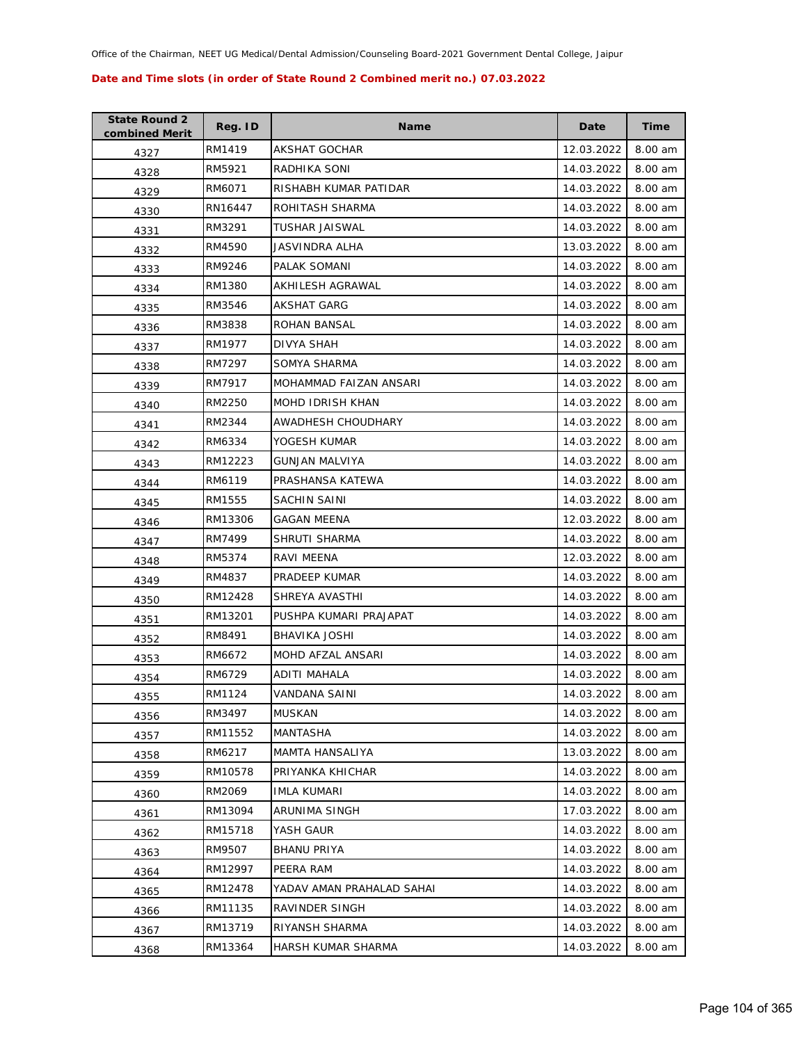| <b>State Round 2</b><br>combined Merit | Reg. ID | <b>Name</b>               | Date       | <b>Time</b> |
|----------------------------------------|---------|---------------------------|------------|-------------|
| 4327                                   | RM1419  | <b>AKSHAT GOCHAR</b>      | 12.03.2022 | 8.00 am     |
| 4328                                   | RM5921  | RADHIKA SONI              | 14.03.2022 | 8.00 am     |
| 4329                                   | RM6071  | RISHABH KUMAR PATIDAR     | 14.03.2022 | 8.00 am     |
| 4330                                   | RN16447 | ROHITASH SHARMA           | 14.03.2022 | 8.00 am     |
| 4331                                   | RM3291  | TUSHAR JAISWAL            | 14.03.2022 | 8.00 am     |
| 4332                                   | RM4590  | JASVINDRA ALHA            | 13.03.2022 | 8.00 am     |
| 4333                                   | RM9246  | PALAK SOMANI              | 14.03.2022 | 8.00 am     |
| 4334                                   | RM1380  | <b>AKHILESH AGRAWAL</b>   | 14.03.2022 | 8.00 am     |
| 4335                                   | RM3546  | <b>AKSHAT GARG</b>        | 14.03.2022 | 8.00 am     |
| 4336                                   | RM3838  | ROHAN BANSAL              | 14.03.2022 | 8.00 am     |
| 4337                                   | RM1977  | DIVYA SHAH                | 14.03.2022 | 8.00 am     |
| 4338                                   | RM7297  | SOMYA SHARMA              | 14.03.2022 | 8.00 am     |
| 4339                                   | RM7917  | MOHAMMAD FAIZAN ANSARI    | 14.03.2022 | 8.00 am     |
| 4340                                   | RM2250  | MOHD IDRISH KHAN          | 14.03.2022 | 8.00 am     |
| 4341                                   | RM2344  | AWADHESH CHOUDHARY        | 14.03.2022 | 8.00 am     |
| 4342                                   | RM6334  | YOGESH KUMAR              | 14.03.2022 | 8.00 am     |
| 4343                                   | RM12223 | <b>GUNJAN MALVIYA</b>     | 14.03.2022 | 8.00 am     |
| 4344                                   | RM6119  | PRASHANSA KATEWA          | 14.03.2022 | 8.00 am     |
| 4345                                   | RM1555  | SACHIN SAINI              | 14.03.2022 | 8.00 am     |
| 4346                                   | RM13306 | <b>GAGAN MEENA</b>        | 12.03.2022 | 8.00 am     |
| 4347                                   | RM7499  | SHRUTI SHARMA             | 14.03.2022 | 8.00 am     |
| 4348                                   | RM5374  | RAVI MEENA                | 12.03.2022 | 8.00 am     |
| 4349                                   | RM4837  | PRADEEP KUMAR             | 14.03.2022 | 8.00 am     |
| 4350                                   | RM12428 | SHREYA AVASTHI            | 14.03.2022 | 8.00 am     |
| 4351                                   | RM13201 | PUSHPA KUMARI PRAJAPAT    | 14.03.2022 | 8.00 am     |
| 4352                                   | RM8491  | <b>BHAVIKA JOSHI</b>      | 14.03.2022 | 8.00 am     |
| 4353                                   | RM6672  | <b>MOHD AFZAL ANSARI</b>  | 14.03.2022 | 8.00 am     |
| 4354                                   | RM6729  | ADITI MAHALA              | 14.03.2022 | 8.00 am     |
| 4355                                   | RM1124  | VANDANA SAINI             | 14.03.2022 | 8.00 am     |
| 4356                                   | RM3497  | <b>MUSKAN</b>             | 14.03.2022 | 8.00 am     |
| 4357                                   | RM11552 | MANTASHA                  | 14.03.2022 | 8.00 am     |
| 4358                                   | RM6217  | MAMTA HANSALIYA           | 13.03.2022 | 8.00 am     |
| 4359                                   | RM10578 | PRIYANKA KHICHAR          | 14.03.2022 | 8.00 am     |
| 4360                                   | RM2069  | <b>IMLA KUMARI</b>        | 14.03.2022 | 8.00 am     |
| 4361                                   | RM13094 | ARUNIMA SINGH             | 17.03.2022 | 8.00 am     |
| 4362                                   | RM15718 | YASH GAUR                 | 14.03.2022 | 8.00 am     |
| 4363                                   | RM9507  | <b>BHANU PRIYA</b>        | 14.03.2022 | 8.00 am     |
| 4364                                   | RM12997 | PEERA RAM                 | 14.03.2022 | 8.00 am     |
| 4365                                   | RM12478 | YADAV AMAN PRAHALAD SAHAI | 14.03.2022 | 8.00 am     |
| 4366                                   | RM11135 | RAVINDER SINGH            | 14.03.2022 | 8.00 am     |
| 4367                                   | RM13719 | RIYANSH SHARMA            | 14.03.2022 | 8.00 am     |
| 4368                                   | RM13364 | HARSH KUMAR SHARMA        | 14.03.2022 | 8.00 am     |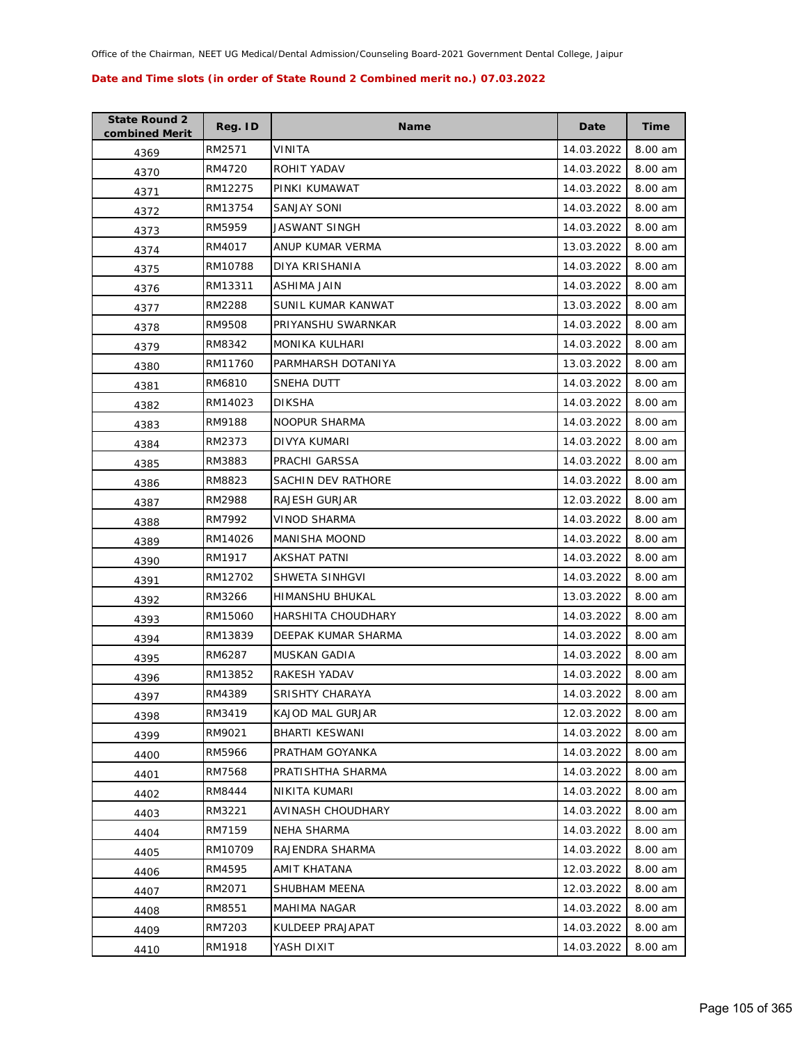| <b>State Round 2</b><br>combined Merit | Reg. ID | <b>Name</b>            | Date       | Time    |
|----------------------------------------|---------|------------------------|------------|---------|
| 4369                                   | RM2571  | VINITA                 | 14.03.2022 | 8.00 am |
| 4370                                   | RM4720  | ROHIT YADAV            | 14.03.2022 | 8.00 am |
| 4371                                   | RM12275 | PINKI KUMAWAT          | 14.03.2022 | 8.00 am |
| 4372                                   | RM13754 | SANJAY SONI            | 14.03.2022 | 8.00 am |
| 4373                                   | RM5959  | JASWANT SINGH          | 14.03.2022 | 8.00 am |
| 4374                                   | RM4017  | ANUP KUMAR VERMA       | 13.03.2022 | 8.00 am |
| 4375                                   | RM10788 | DIYA KRISHANIA         | 14.03.2022 | 8.00 am |
| 4376                                   | RM13311 | ASHIMA JAIN            | 14.03.2022 | 8.00 am |
| 4377                                   | RM2288  | SUNIL KUMAR KANWAT     | 13.03.2022 | 8.00 am |
| 4378                                   | RM9508  | PRIYANSHU SWARNKAR     | 14.03.2022 | 8.00 am |
| 4379                                   | RM8342  | MONIKA KULHARI         | 14.03.2022 | 8.00 am |
| 4380                                   | RM11760 | PARMHARSH DOTANIYA     | 13.03.2022 | 8.00 am |
| 4381                                   | RM6810  | SNEHA DUTT             | 14.03.2022 | 8.00 am |
| 4382                                   | RM14023 | <b>DIKSHA</b>          | 14.03.2022 | 8.00 am |
| 4383                                   | RM9188  | <b>NOOPUR SHARMA</b>   | 14.03.2022 | 8.00 am |
| 4384                                   | RM2373  | DIVYA KUMARI           | 14.03.2022 | 8.00 am |
| 4385                                   | RM3883  | PRACHI GARSSA          | 14.03.2022 | 8.00 am |
| 4386                                   | RM8823  | SACHIN DEV RATHORE     | 14.03.2022 | 8.00 am |
| 4387                                   | RM2988  | RAJESH GURJAR          | 12.03.2022 | 8.00 am |
| 4388                                   | RM7992  | <b>VINOD SHARMA</b>    | 14.03.2022 | 8.00 am |
| 4389                                   | RM14026 | <b>MANISHA MOOND</b>   | 14.03.2022 | 8.00 am |
| 4390                                   | RM1917  | AKSHAT PATNI           | 14.03.2022 | 8.00 am |
| 4391                                   | RM12702 | SHWETA SINHGVI         | 14.03.2022 | 8.00 am |
| 4392                                   | RM3266  | HIMANSHU BHUKAL        | 13.03.2022 | 8.00 am |
| 4393                                   | RM15060 | HARSHITA CHOUDHARY     | 14.03.2022 | 8.00 am |
| 4394                                   | RM13839 | DEEPAK KUMAR SHARMA    | 14.03.2022 | 8.00 am |
| 4395                                   | RM6287  | <b>MUSKAN GADIA</b>    | 14.03.2022 | 8.00 am |
| 4396                                   | RM13852 | RAKESH YADAV           | 14.03.2022 | 8.00 am |
| 4397                                   | RM4389  | <b>SRISHTY CHARAYA</b> | 14.03.2022 | 8.00 am |
| 4398                                   | RM3419  | KAJOD MAL GURJAR       | 12.03.2022 | 8.00 am |
| 4399                                   | RM9021  | <b>BHARTI KESWANI</b>  | 14.03.2022 | 8.00 am |
| 4400                                   | RM5966  | PRATHAM GOYANKA        | 14.03.2022 | 8.00 am |
| 4401                                   | RM7568  | PRATISHTHA SHARMA      | 14.03.2022 | 8.00 am |
| 4402                                   | RM8444  | NIKITA KUMARI          | 14.03.2022 | 8.00 am |
| 4403                                   | RM3221  | AVINASH CHOUDHARY      | 14.03.2022 | 8.00 am |
| 4404                                   | RM7159  | NEHA SHARMA            | 14.03.2022 | 8.00 am |
| 4405                                   | RM10709 | RAJENDRA SHARMA        | 14.03.2022 | 8.00 am |
| 4406                                   | RM4595  | AMIT KHATANA           | 12.03.2022 | 8.00 am |
| 4407                                   | RM2071  | SHUBHAM MEENA          | 12.03.2022 | 8.00 am |
| 4408                                   | RM8551  | MAHIMA NAGAR           | 14.03.2022 | 8.00 am |
| 4409                                   | RM7203  | KULDEEP PRAJAPAT       | 14.03.2022 | 8.00 am |
| 4410                                   | RM1918  | YASH DIXIT             | 14.03.2022 | 8.00 am |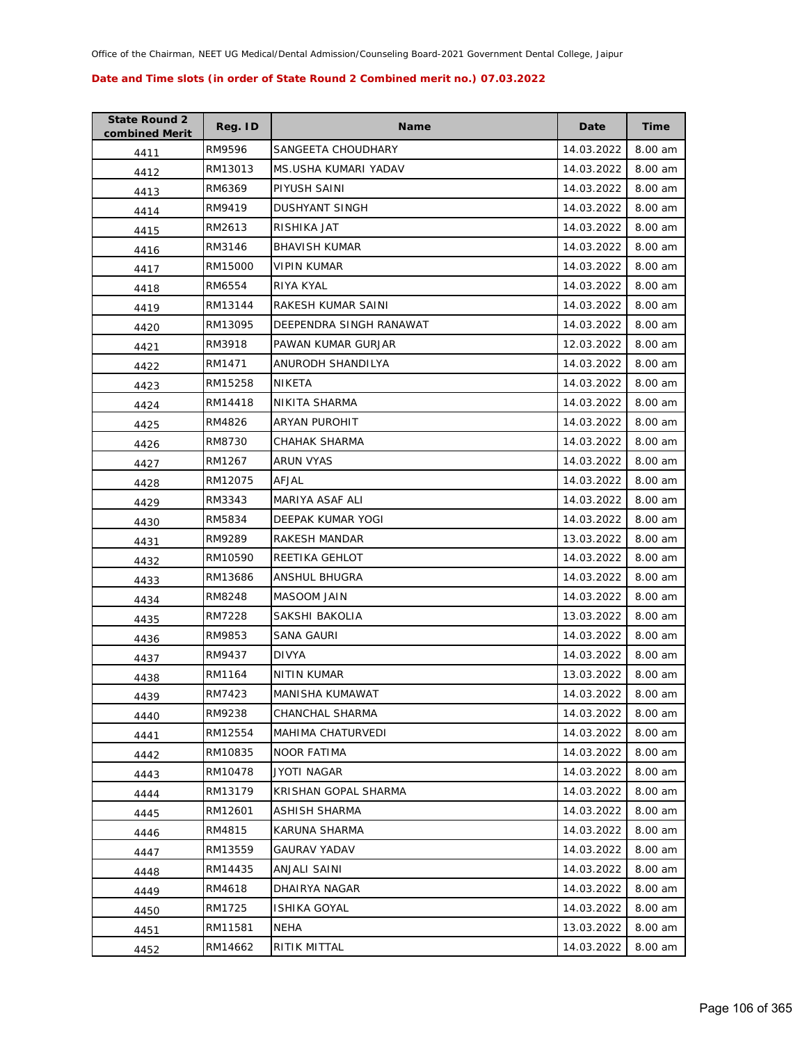| <b>State Round 2</b><br>combined Merit | Reg. ID | <b>Name</b>             | Date       | <b>Time</b> |
|----------------------------------------|---------|-------------------------|------------|-------------|
| 4411                                   | RM9596  | SANGEETA CHOUDHARY      | 14.03.2022 | 8.00 am     |
| 4412                                   | RM13013 | MS.USHA KUMARI YADAV    | 14.03.2022 | 8.00 am     |
| 4413                                   | RM6369  | PIYUSH SAINI            | 14.03.2022 | 8.00 am     |
| 4414                                   | RM9419  | <b>DUSHYANT SINGH</b>   | 14.03.2022 | 8.00 am     |
| 4415                                   | RM2613  | RISHIKA JAT             | 14.03.2022 | 8.00 am     |
| 4416                                   | RM3146  | <b>BHAVISH KUMAR</b>    | 14.03.2022 | 8.00 am     |
| 4417                                   | RM15000 | <b>VIPIN KUMAR</b>      | 14.03.2022 | 8.00 am     |
| 4418                                   | RM6554  | RIYA KYAL               | 14.03.2022 | 8.00 am     |
| 4419                                   | RM13144 | RAKESH KUMAR SAINI      | 14.03.2022 | 8.00 am     |
| 4420                                   | RM13095 | DEEPENDRA SINGH RANAWAT | 14.03.2022 | 8.00 am     |
| 4421                                   | RM3918  | PAWAN KUMAR GURJAR      | 12.03.2022 | 8.00 am     |
| 4422                                   | RM1471  | ANURODH SHANDILYA       | 14.03.2022 | 8.00 am     |
| 4423                                   | RM15258 | NIKETA                  | 14.03.2022 | 8.00 am     |
| 4424                                   | RM14418 | NIKITA SHARMA           | 14.03.2022 | 8.00 am     |
| 4425                                   | RM4826  | ARYAN PUROHIT           | 14.03.2022 | 8.00 am     |
| 4426                                   | RM8730  | CHAHAK SHARMA           | 14.03.2022 | 8.00 am     |
| 4427                                   | RM1267  | <b>ARUN VYAS</b>        | 14.03.2022 | 8.00 am     |
| 4428                                   | RM12075 | AFJAL                   | 14.03.2022 | 8.00 am     |
| 4429                                   | RM3343  | MARIYA ASAF ALI         | 14.03.2022 | 8.00 am     |
| 4430                                   | RM5834  | DEEPAK KUMAR YOGI       | 14.03.2022 | 8.00 am     |
| 4431                                   | RM9289  | RAKESH MANDAR           | 13.03.2022 | 8.00 am     |
| 4432                                   | RM10590 | REETIKA GEHLOT          | 14.03.2022 | 8.00 am     |
| 4433                                   | RM13686 | ANSHUL BHUGRA           | 14.03.2022 | 8.00 am     |
| 4434                                   | RM8248  | MASOOM JAIN             | 14.03.2022 | 8.00 am     |
| 4435                                   | RM7228  | SAKSHI BAKOLIA          | 13.03.2022 | 8.00 am     |
| 4436                                   | RM9853  | <b>SANA GAURI</b>       | 14.03.2022 | 8.00 am     |
| 4437                                   | RM9437  | <b>DIVYA</b>            | 14.03.2022 | 8.00 am     |
| 4438                                   | RM1164  | <b>NITIN KUMAR</b>      | 13.03.2022 | 8.00 am     |
| 4439                                   | RM7423  | MANISHA KUMAWAT         | 14.03.2022 | 8.00 am     |
| 4440                                   | RM9238  | CHANCHAL SHARMA         | 14.03.2022 | 8.00 am     |
| 4441                                   | RM12554 | MAHIMA CHATURVEDI       | 14.03.2022 | 8.00 am     |
| 4442                                   | RM10835 | <b>NOOR FATIMA</b>      | 14.03.2022 | 8.00 am     |
| 4443                                   | RM10478 | JYOTI NAGAR             | 14.03.2022 | 8.00 am     |
| 4444                                   | RM13179 | KRISHAN GOPAL SHARMA    | 14.03.2022 | 8.00 am     |
| 4445                                   | RM12601 | ASHISH SHARMA           | 14.03.2022 | 8.00 am     |
| 4446                                   | RM4815  | KARUNA SHARMA           | 14.03.2022 | 8.00 am     |
| 4447                                   | RM13559 | <b>GAURAV YADAV</b>     | 14.03.2022 | 8.00 am     |
| 4448                                   | RM14435 | ANJALI SAINI            | 14.03.2022 | 8.00 am     |
| 4449                                   | RM4618  | DHAIRYA NAGAR           | 14.03.2022 | 8.00 am     |
| 4450                                   | RM1725  | ISHIKA GOYAL            | 14.03.2022 | 8.00 am     |
| 4451                                   | RM11581 | NEHA                    | 13.03.2022 | 8.00 am     |
| 4452                                   | RM14662 | RITIK MITTAL            | 14.03.2022 | 8.00 am     |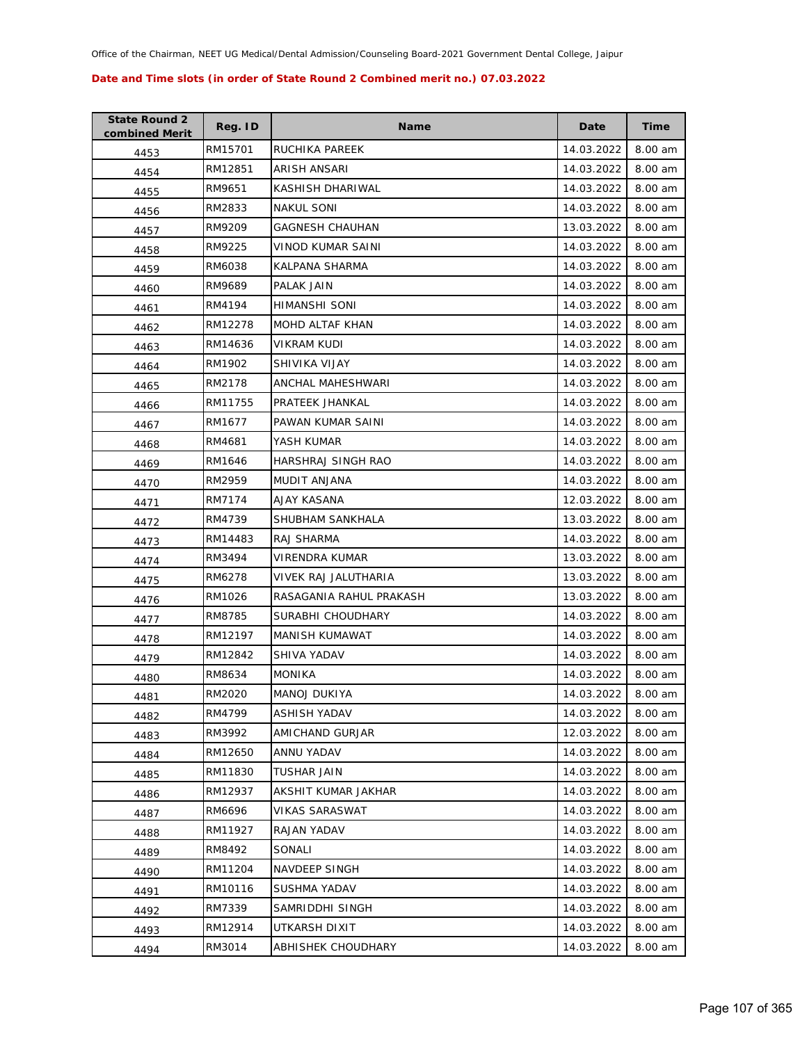| <b>State Round 2</b><br>combined Merit | Reg. ID | <b>Name</b>             | Date       | Time    |
|----------------------------------------|---------|-------------------------|------------|---------|
| 4453                                   | RM15701 | RUCHIKA PAREEK          | 14.03.2022 | 8.00 am |
| 4454                                   | RM12851 | ARISH ANSARI            | 14.03.2022 | 8.00 am |
| 4455                                   | RM9651  | KASHISH DHARIWAL        | 14.03.2022 | 8.00 am |
| 4456                                   | RM2833  | <b>NAKUL SONI</b>       | 14.03.2022 | 8.00 am |
| 4457                                   | RM9209  | GAGNESH CHAUHAN         | 13.03.2022 | 8.00 am |
| 4458                                   | RM9225  | VINOD KUMAR SAINI       | 14.03.2022 | 8.00 am |
| 4459                                   | RM6038  | KALPANA SHARMA          | 14.03.2022 | 8.00 am |
| 4460                                   | RM9689  | PALAK JAIN              | 14.03.2022 | 8.00 am |
| 4461                                   | RM4194  | HIMANSHI SONI           | 14.03.2022 | 8.00 am |
| 4462                                   | RM12278 | MOHD ALTAF KHAN         | 14.03.2022 | 8.00 am |
| 4463                                   | RM14636 | <b>VIKRAM KUDI</b>      | 14.03.2022 | 8.00 am |
| 4464                                   | RM1902  | SHIVIKA VIJAY           | 14.03.2022 | 8.00 am |
| 4465                                   | RM2178  | ANCHAL MAHESHWARI       | 14.03.2022 | 8.00 am |
| 4466                                   | RM11755 | PRATEEK JHANKAL         | 14.03.2022 | 8.00 am |
| 4467                                   | RM1677  | PAWAN KUMAR SAINI       | 14.03.2022 | 8.00 am |
| 4468                                   | RM4681  | YASH KUMAR              | 14.03.2022 | 8.00 am |
| 4469                                   | RM1646  | HARSHRAJ SINGH RAO      | 14.03.2022 | 8.00 am |
| 4470                                   | RM2959  | MUDIT ANJANA            | 14.03.2022 | 8.00 am |
| 4471                                   | RM7174  | AJAY KASANA             | 12.03.2022 | 8.00 am |
| 4472                                   | RM4739  | SHUBHAM SANKHALA        | 13.03.2022 | 8.00 am |
| 4473                                   | RM14483 | RAJ SHARMA              | 14.03.2022 | 8.00 am |
| 4474                                   | RM3494  | VIRENDRA KUMAR          | 13.03.2022 | 8.00 am |
| 4475                                   | RM6278  | VIVEK RAJ JALUTHARIA    | 13.03.2022 | 8.00 am |
| 4476                                   | RM1026  | RASAGANIA RAHUL PRAKASH | 13.03.2022 | 8.00 am |
| 4477                                   | RM8785  | SURABHI CHOUDHARY       | 14.03.2022 | 8.00 am |
| 4478                                   | RM12197 | MANISH KUMAWAT          | 14.03.2022 | 8.00 am |
| 4479                                   | RM12842 | SHIVA YADAV             | 14.03.2022 | 8.00 am |
| 4480                                   | RM8634  | <b>MONIKA</b>           | 14.03.2022 | 8.00 am |
| 4481                                   | RM2020  | <b>MANOJ DUKIYA</b>     | 14.03.2022 | 8.00 am |
| 4482                                   | RM4799  | ASHISH YADAV            | 14.03.2022 | 8.00 am |
| 4483                                   | RM3992  | AMICHAND GURJAR         | 12.03.2022 | 8.00 am |
| 4484                                   | RM12650 | ANNU YADAV              | 14.03.2022 | 8.00 am |
| 4485                                   | RM11830 | <b>TUSHAR JAIN</b>      | 14.03.2022 | 8.00 am |
| 4486                                   | RM12937 | AKSHIT KUMAR JAKHAR     | 14.03.2022 | 8.00 am |
| 4487                                   | RM6696  | VIKAS SARASWAT          | 14.03.2022 | 8.00 am |
| 4488                                   | RM11927 | RAJAN YADAV             | 14.03.2022 | 8.00 am |
| 4489                                   | RM8492  | SONALI                  | 14.03.2022 | 8.00 am |
| 4490                                   | RM11204 | NAVDEEP SINGH           | 14.03.2022 | 8.00 am |
| 4491                                   | RM10116 | SUSHMA YADAV            | 14.03.2022 | 8.00 am |
| 4492                                   | RM7339  | SAMRIDDHI SINGH         | 14.03.2022 | 8.00 am |
| 4493                                   | RM12914 | UTKARSH DIXIT           | 14.03.2022 | 8.00 am |
| 4494                                   | RM3014  | ABHISHEK CHOUDHARY      | 14.03.2022 | 8.00 am |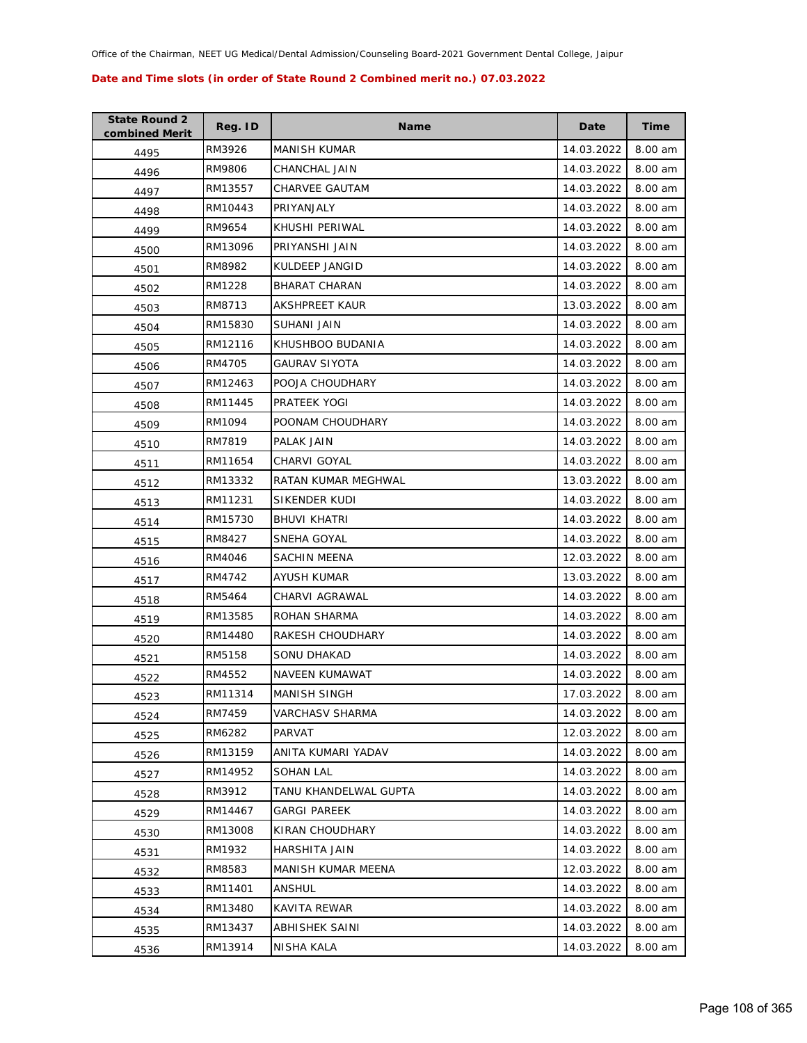| <b>State Round 2</b><br>combined Merit | Reg. ID | <b>Name</b>           | Date       | Time    |
|----------------------------------------|---------|-----------------------|------------|---------|
| 4495                                   | RM3926  | <b>MANISH KUMAR</b>   | 14.03.2022 | 8.00 am |
| 4496                                   | RM9806  | CHANCHAL JAIN         | 14.03.2022 | 8.00 am |
| 4497                                   | RM13557 | CHARVEE GAUTAM        | 14.03.2022 | 8.00 am |
| 4498                                   | RM10443 | PRIYANJALY            | 14.03.2022 | 8.00 am |
| 4499                                   | RM9654  | KHUSHI PERIWAL        | 14.03.2022 | 8.00 am |
| 4500                                   | RM13096 | PRIYANSHI JAIN        | 14.03.2022 | 8.00 am |
| 4501                                   | RM8982  | KULDEEP JANGID        | 14.03.2022 | 8.00 am |
| 4502                                   | RM1228  | <b>BHARAT CHARAN</b>  | 14.03.2022 | 8.00 am |
| 4503                                   | RM8713  | AKSHPREET KAUR        | 13.03.2022 | 8.00 am |
| 4504                                   | RM15830 | SUHANI JAIN           | 14.03.2022 | 8.00 am |
| 4505                                   | RM12116 | KHUSHBOO BUDANIA      | 14.03.2022 | 8.00 am |
| 4506                                   | RM4705  | GAURAV SIYOTA         | 14.03.2022 | 8.00 am |
| 4507                                   | RM12463 | POOJA CHOUDHARY       | 14.03.2022 | 8.00 am |
| 4508                                   | RM11445 | PRATEEK YOGI          | 14.03.2022 | 8.00 am |
| 4509                                   | RM1094  | POONAM CHOUDHARY      | 14.03.2022 | 8.00 am |
| 4510                                   | RM7819  | PALAK JAIN            | 14.03.2022 | 8.00 am |
| 4511                                   | RM11654 | <b>CHARVI GOYAL</b>   | 14.03.2022 | 8.00 am |
| 4512                                   | RM13332 | RATAN KUMAR MEGHWAL   | 13.03.2022 | 8.00 am |
| 4513                                   | RM11231 | SIKENDER KUDI         | 14.03.2022 | 8.00 am |
| 4514                                   | RM15730 | BHUVI KHATRI          | 14.03.2022 | 8.00 am |
| 4515                                   | RM8427  | SNEHA GOYAL           | 14.03.2022 | 8.00 am |
| 4516                                   | RM4046  | SACHIN MEENA          | 12.03.2022 | 8.00 am |
| 4517                                   | RM4742  | AYUSH KUMAR           | 13.03.2022 | 8.00 am |
| 4518                                   | RM5464  | CHARVI AGRAWAL        | 14.03.2022 | 8.00 am |
| 4519                                   | RM13585 | ROHAN SHARMA          | 14.03.2022 | 8.00 am |
| 4520                                   | RM14480 | RAKESH CHOUDHARY      | 14.03.2022 | 8.00 am |
| 4521                                   | RM5158  | SONU DHAKAD           | 14.03.2022 | 8.00 am |
| 4522                                   | RM4552  | NAVEEN KUMAWAT        | 14.03.2022 | 8.00 am |
| 4523                                   | RM11314 | MANISH SINGH          | 17.03.2022 | 8.00 am |
| 4524                                   | RM7459  | VARCHASV SHARMA       | 14.03.2022 | 8.00 am |
| 4525                                   | RM6282  | PARVAT                | 12.03.2022 | 8.00 am |
| 4526                                   | RM13159 | ANITA KUMARI YADAV    | 14.03.2022 | 8.00 am |
| 4527                                   | RM14952 | SOHAN LAL             | 14.03.2022 | 8.00 am |
| 4528                                   | RM3912  | TANU KHANDELWAL GUPTA | 14.03.2022 | 8.00 am |
| 4529                                   | RM14467 | <b>GARGI PAREEK</b>   | 14.03.2022 | 8.00 am |
| 4530                                   | RM13008 | KIRAN CHOUDHARY       | 14.03.2022 | 8.00 am |
| 4531                                   | RM1932  | HARSHITA JAIN         | 14.03.2022 | 8.00 am |
| 4532                                   | RM8583  | MANISH KUMAR MEENA    | 12.03.2022 | 8.00 am |
| 4533                                   | RM11401 | ANSHUL                | 14.03.2022 | 8.00 am |
| 4534                                   | RM13480 | KAVITA REWAR          | 14.03.2022 | 8.00 am |
| 4535                                   | RM13437 | ABHISHEK SAINI        | 14.03.2022 | 8.00 am |
| 4536                                   | RM13914 | NISHA KALA            | 14.03.2022 | 8.00 am |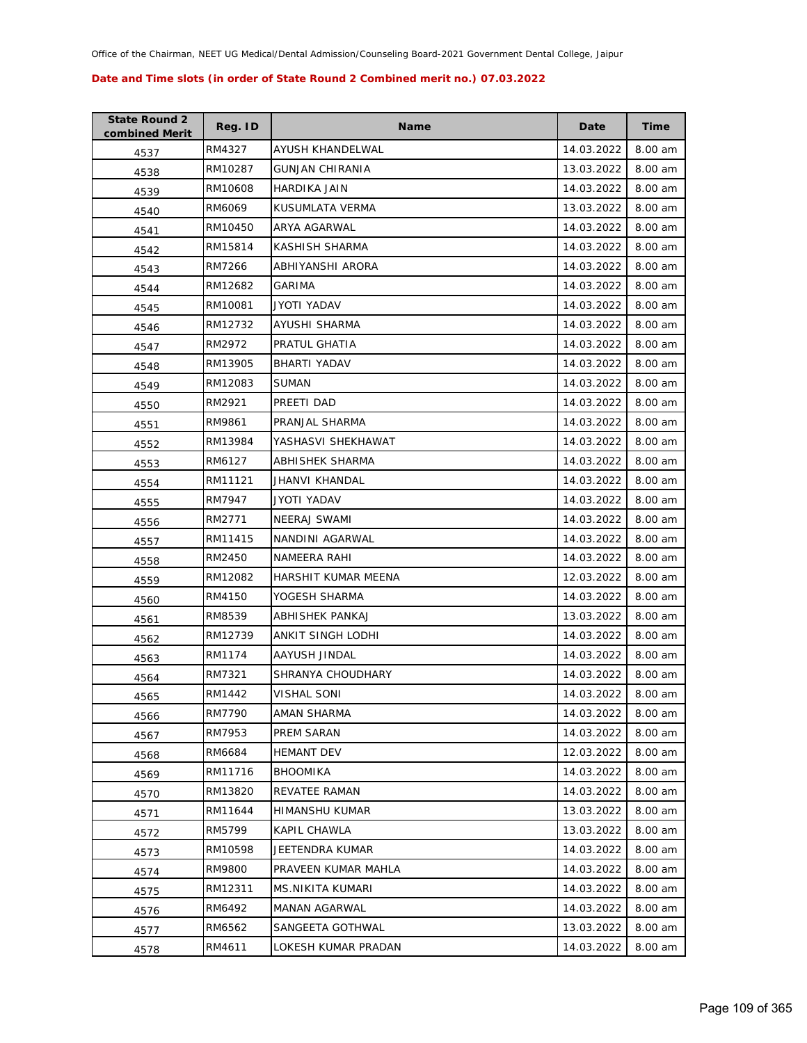| <b>State Round 2</b><br>combined Merit | Reg. ID | <b>Name</b>            | Date       | <b>Time</b> |
|----------------------------------------|---------|------------------------|------------|-------------|
| 4537                                   | RM4327  | AYUSH KHANDELWAL       | 14.03.2022 | 8.00 am     |
| 4538                                   | RM10287 | <b>GUNJAN CHIRANIA</b> | 13.03.2022 | 8.00 am     |
| 4539                                   | RM10608 | HARDIKA JAIN           | 14.03.2022 | 8.00 am     |
| 4540                                   | RM6069  | KUSUMLATA VERMA        | 13.03.2022 | 8.00 am     |
| 4541                                   | RM10450 | ARYA AGARWAL           | 14.03.2022 | 8.00 am     |
| 4542                                   | RM15814 | KASHISH SHARMA         | 14.03.2022 | 8.00 am     |
| 4543                                   | RM7266  | ABHIYANSHI ARORA       | 14.03.2022 | 8.00 am     |
| 4544                                   | RM12682 | GARIMA                 | 14.03.2022 | 8.00 am     |
| 4545                                   | RM10081 | JYOTI YADAV            | 14.03.2022 | 8.00 am     |
| 4546                                   | RM12732 | AYUSHI SHARMA          | 14.03.2022 | 8.00 am     |
| 4547                                   | RM2972  | PRATUL GHATIA          | 14.03.2022 | 8.00 am     |
| 4548                                   | RM13905 | <b>BHARTI YADAV</b>    | 14.03.2022 | 8.00 am     |
| 4549                                   | RM12083 | <b>SUMAN</b>           | 14.03.2022 | 8.00 am     |
| 4550                                   | RM2921  | PREETI DAD             | 14.03.2022 | 8.00 am     |
| 4551                                   | RM9861  | PRANJAL SHARMA         | 14.03.2022 | 8.00 am     |
| 4552                                   | RM13984 | YASHASVI SHEKHAWAT     | 14.03.2022 | 8.00 am     |
| 4553                                   | RM6127  | <b>ABHISHEK SHARMA</b> | 14.03.2022 | 8.00 am     |
| 4554                                   | RM11121 | JHANVI KHANDAL         | 14.03.2022 | 8.00 am     |
| 4555                                   | RM7947  | JYOTI YADAV            | 14.03.2022 | 8.00 am     |
| 4556                                   | RM2771  | <b>NEERAJ SWAMI</b>    | 14.03.2022 | 8.00 am     |
| 4557                                   | RM11415 | NANDINI AGARWAL        | 14.03.2022 | 8.00 am     |
| 4558                                   | RM2450  | NAMEERA RAHI           | 14.03.2022 | 8.00 am     |
| 4559                                   | RM12082 | HARSHIT KUMAR MEENA    | 12.03.2022 | 8.00 am     |
| 4560                                   | RM4150  | YOGESH SHARMA          | 14.03.2022 | 8.00 am     |
| 4561                                   | RM8539  | ABHISHEK PANKAJ        | 13.03.2022 | 8.00 am     |
| 4562                                   | RM12739 | ANKIT SINGH LODHI      | 14.03.2022 | 8.00 am     |
| 4563                                   | RM1174  | AAYUSH JINDAL          | 14.03.2022 | 8.00 am     |
| 4564                                   | RM7321  | SHRANYA CHOUDHARY      | 14.03.2022 | 8.00 am     |
| 4565                                   | RM1442  | <b>VISHAL SONI</b>     | 14.03.2022 | 8.00 am     |
| 4566                                   | RM7790  | AMAN SHARMA            | 14.03.2022 | 8.00 am     |
| 4567                                   | RM7953  | PREM SARAN             | 14.03.2022 | 8.00 am     |
| 4568                                   | RM6684  | <b>HEMANT DEV</b>      | 12.03.2022 | 8.00 am     |
| 4569                                   | RM11716 | <b>BHOOMIKA</b>        | 14.03.2022 | 8.00 am     |
| 4570                                   | RM13820 | <b>REVATEE RAMAN</b>   | 14.03.2022 | 8.00 am     |
| 4571                                   | RM11644 | HIMANSHU KUMAR         | 13.03.2022 | 8.00 am     |
| 4572                                   | RM5799  | <b>KAPIL CHAWLA</b>    | 13.03.2022 | 8.00 am     |
| 4573                                   | RM10598 | JEETENDRA KUMAR        | 14.03.2022 | 8.00 am     |
| 4574                                   | RM9800  | PRAVEEN KUMAR MAHLA    | 14.03.2022 | 8.00 am     |
| 4575                                   | RM12311 | MS.NIKITA KUMARI       | 14.03.2022 | 8.00 am     |
| 4576                                   | RM6492  | MANAN AGARWAL          | 14.03.2022 | 8.00 am     |
| 4577                                   | RM6562  | SANGEETA GOTHWAL       | 13.03.2022 | 8.00 am     |
| 4578                                   | RM4611  | LOKESH KUMAR PRADAN    | 14.03.2022 | 8.00 am     |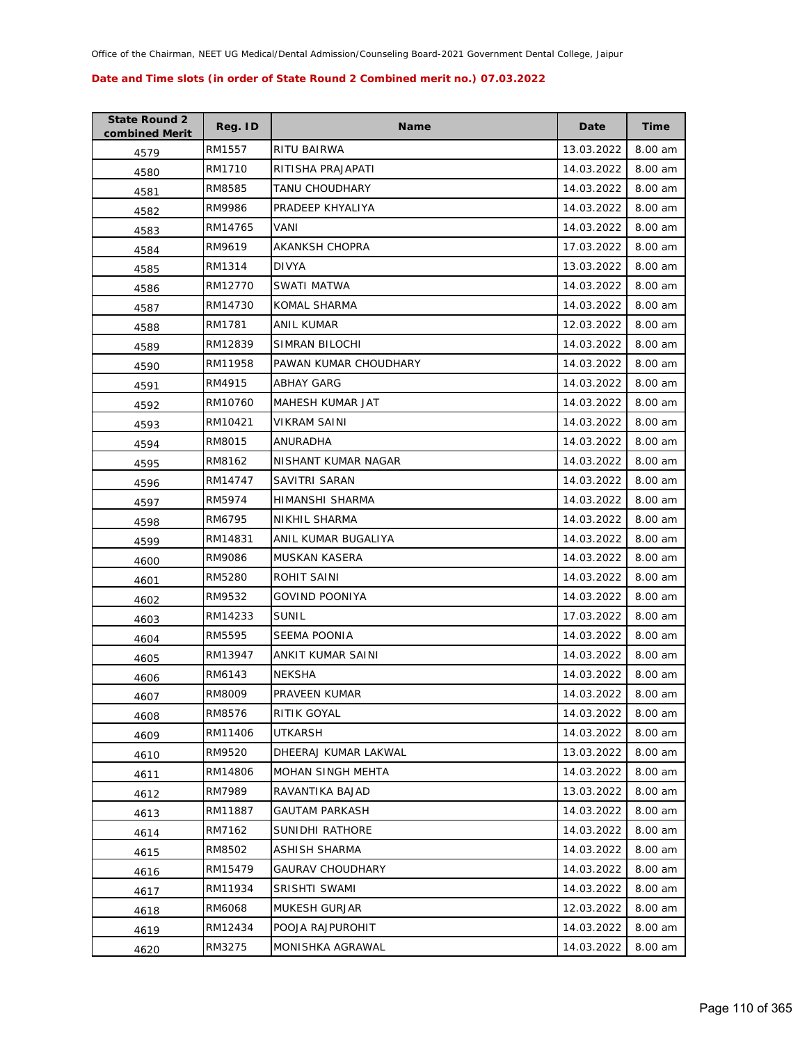| <b>State Round 2</b><br>combined Merit | Reg. ID | <b>Name</b>             | Date       | Time    |
|----------------------------------------|---------|-------------------------|------------|---------|
| 4579                                   | RM1557  | RITU BAIRWA             | 13.03.2022 | 8.00 am |
| 4580                                   | RM1710  | RITISHA PRAJAPATI       | 14.03.2022 | 8.00 am |
| 4581                                   | RM8585  | TANU CHOUDHARY          | 14.03.2022 | 8.00 am |
| 4582                                   | RM9986  | PRADEEP KHYALIYA        | 14.03.2022 | 8.00 am |
| 4583                                   | RM14765 | VANI                    | 14.03.2022 | 8.00 am |
| 4584                                   | RM9619  | <b>AKANKSH CHOPRA</b>   | 17.03.2022 | 8.00 am |
| 4585                                   | RM1314  | <b>DIVYA</b>            | 13.03.2022 | 8.00 am |
| 4586                                   | RM12770 | SWATI MATWA             | 14.03.2022 | 8.00 am |
| 4587                                   | RM14730 | KOMAL SHARMA            | 14.03.2022 | 8.00 am |
| 4588                                   | RM1781  | ANIL KUMAR              | 12.03.2022 | 8.00 am |
| 4589                                   | RM12839 | SIMRAN BILOCHI          | 14.03.2022 | 8.00 am |
| 4590                                   | RM11958 | PAWAN KUMAR CHOUDHARY   | 14.03.2022 | 8.00 am |
| 4591                                   | RM4915  | ABHAY GARG              | 14.03.2022 | 8.00 am |
| 4592                                   | RM10760 | MAHESH KUMAR JAT        | 14.03.2022 | 8.00 am |
| 4593                                   | RM10421 | <b>VIKRAM SAINI</b>     | 14.03.2022 | 8.00 am |
| 4594                                   | RM8015  | ANURADHA                | 14.03.2022 | 8.00 am |
| 4595                                   | RM8162  | NISHANT KUMAR NAGAR     | 14.03.2022 | 8.00 am |
| 4596                                   | RM14747 | SAVITRI SARAN           | 14.03.2022 | 8.00 am |
| 4597                                   | RM5974  | HIMANSHI SHARMA         | 14.03.2022 | 8.00 am |
| 4598                                   | RM6795  | NIKHIL SHARMA           | 14.03.2022 | 8.00 am |
| 4599                                   | RM14831 | ANIL KUMAR BUGALIYA     | 14.03.2022 | 8.00 am |
| 4600                                   | RM9086  | <b>MUSKAN KASERA</b>    | 14.03.2022 | 8.00 am |
| 4601                                   | RM5280  | ROHIT SAINI             | 14.03.2022 | 8.00 am |
| 4602                                   | RM9532  | <b>GOVIND POONIYA</b>   | 14.03.2022 | 8.00 am |
| 4603                                   | RM14233 | SUNIL                   | 17.03.2022 | 8.00 am |
| 4604                                   | RM5595  | <b>SEEMA POONIA</b>     | 14.03.2022 | 8.00 am |
| 4605                                   | RM13947 | ANKIT KUMAR SAINI       | 14.03.2022 | 8.00 am |
| 4606                                   | RM6143  | <b>NEKSHA</b>           | 14.03.2022 | 8.00 am |
| 4607                                   | RM8009  | PRAVEEN KUMAR           | 14.03.2022 | 8.00 am |
| 4608                                   | RM8576  | RITIK GOYAL             | 14.03.2022 | 8.00 am |
| 4609                                   | RM11406 | UTKARSH                 | 14.03.2022 | 8.00 am |
| 4610                                   | RM9520  | DHEERAJ KUMAR LAKWAL    | 13.03.2022 | 8.00 am |
| 4611                                   | RM14806 | MOHAN SINGH MEHTA       | 14.03.2022 | 8.00 am |
| 4612                                   | RM7989  | RAVANTIKA BAJAD         | 13.03.2022 | 8.00 am |
| 4613                                   | RM11887 | <b>GAUTAM PARKASH</b>   | 14.03.2022 | 8.00 am |
| 4614                                   | RM7162  | SUNIDHI RATHORE         | 14.03.2022 | 8.00 am |
| 4615                                   | RM8502  | ASHISH SHARMA           | 14.03.2022 | 8.00 am |
| 4616                                   | RM15479 | <b>GAURAV CHOUDHARY</b> | 14.03.2022 | 8.00 am |
| 4617                                   | RM11934 | SRISHTI SWAMI           | 14.03.2022 | 8.00 am |
| 4618                                   | RM6068  | <b>MUKESH GURJAR</b>    | 12.03.2022 | 8.00 am |
| 4619                                   | RM12434 | POOJA RAJPUROHIT        | 14.03.2022 | 8.00 am |
| 4620                                   | RM3275  | MONISHKA AGRAWAL        | 14.03.2022 | 8.00 am |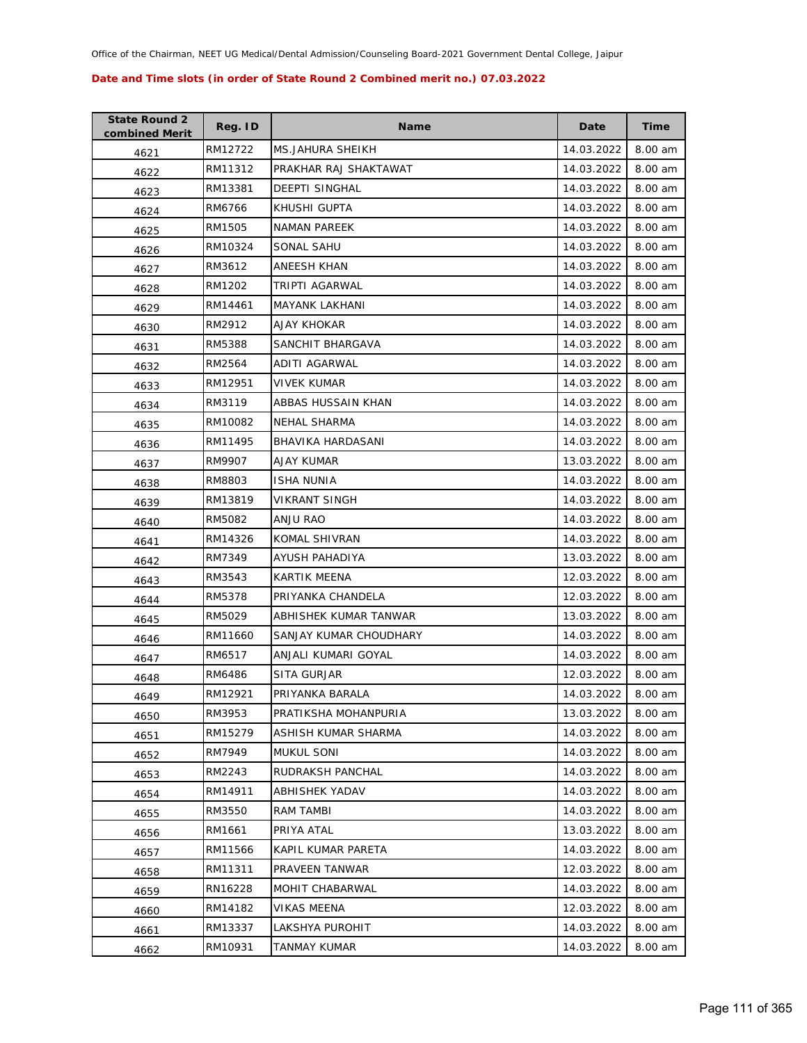| <b>State Round 2</b><br>combined Merit | Reg. ID | <b>Name</b>            | Date       | <b>Time</b> |
|----------------------------------------|---------|------------------------|------------|-------------|
| 4621                                   | RM12722 | MS.JAHURA SHEIKH       | 14.03.2022 | 8.00 am     |
| 4622                                   | RM11312 | PRAKHAR RAJ SHAKTAWAT  | 14.03.2022 | 8.00 am     |
| 4623                                   | RM13381 | <b>DEEPTI SINGHAL</b>  | 14.03.2022 | 8.00 am     |
| 4624                                   | RM6766  | KHUSHI GUPTA           | 14.03.2022 | 8.00 am     |
| 4625                                   | RM1505  | <b>NAMAN PAREEK</b>    | 14.03.2022 | 8.00 am     |
| 4626                                   | RM10324 | SONAL SAHU             | 14.03.2022 | 8.00 am     |
| 4627                                   | RM3612  | ANEESH KHAN            | 14.03.2022 | 8.00 am     |
| 4628                                   | RM1202  | TRIPTI AGARWAL         | 14.03.2022 | 8.00 am     |
| 4629                                   | RM14461 | <b>MAYANK LAKHANI</b>  | 14.03.2022 | 8.00 am     |
| 4630                                   | RM2912  | AJAY KHOKAR            | 14.03.2022 | 8.00 am     |
| 4631                                   | RM5388  | SANCHIT BHARGAVA       | 14.03.2022 | 8.00 am     |
| 4632                                   | RM2564  | ADITI AGARWAL          | 14.03.2022 | 8.00 am     |
| 4633                                   | RM12951 | <b>VIVEK KUMAR</b>     | 14.03.2022 | 8.00 am     |
| 4634                                   | RM3119  | ABBAS HUSSAIN KHAN     | 14.03.2022 | 8.00 am     |
| 4635                                   | RM10082 | NEHAL SHARMA           | 14.03.2022 | 8.00 am     |
| 4636                                   | RM11495 | BHAVIKA HARDASANI      | 14.03.2022 | 8.00 am     |
| 4637                                   | RM9907  | AJAY KUMAR             | 13.03.2022 | 8.00 am     |
| 4638                                   | RM8803  | <b>ISHA NUNIA</b>      | 14.03.2022 | 8.00 am     |
| 4639                                   | RM13819 | <b>VIKRANT SINGH</b>   | 14.03.2022 | 8.00 am     |
| 4640                                   | RM5082  | ANJU RAO               | 14.03.2022 | 8.00 am     |
| 4641                                   | RM14326 | KOMAL SHIVRAN          | 14.03.2022 | 8.00 am     |
| 4642                                   | RM7349  | AYUSH PAHADIYA         | 13.03.2022 | 8.00 am     |
| 4643                                   | RM3543  | KARTIK MEENA           | 12.03.2022 | 8.00 am     |
| 4644                                   | RM5378  | PRIYANKA CHANDELA      | 12.03.2022 | 8.00 am     |
| 4645                                   | RM5029  | ABHISHEK KUMAR TANWAR  | 13.03.2022 | 8.00 am     |
| 4646                                   | RM11660 | SANJAY KUMAR CHOUDHARY | 14.03.2022 | 8.00 am     |
| 4647                                   | RM6517  | ANJALI KUMARI GOYAL    | 14.03.2022 | 8.00 am     |
| 4648                                   | RM6486  | <b>SITA GURJAR</b>     | 12.03.2022 | 8.00 am     |
| 4649                                   | RM12921 | PRIYANKA BARALA        | 14.03.2022 | 8.00 am     |
| 4650                                   | RM3953  | PRATIKSHA MOHANPURIA   | 13.03.2022 | 8.00 am     |
| 4651                                   | RM15279 | ASHISH KUMAR SHARMA    | 14.03.2022 | 8.00 am     |
| 4652                                   | RM7949  | <b>MUKUL SONI</b>      | 14.03.2022 | 8.00 am     |
| 4653                                   | RM2243  | RUDRAKSH PANCHAL       | 14.03.2022 | 8.00 am     |
| 4654                                   | RM14911 | ABHISHEK YADAV         | 14.03.2022 | 8.00 am     |
| 4655                                   | RM3550  | RAM TAMBI              | 14.03.2022 | 8.00 am     |
| 4656                                   | RM1661  | PRIYA ATAL             | 13.03.2022 | 8.00 am     |
| 4657                                   | RM11566 | KAPIL KUMAR PARETA     | 14.03.2022 | 8.00 am     |
| 4658                                   | RM11311 | PRAVEEN TANWAR         | 12.03.2022 | 8.00 am     |
| 4659                                   | RN16228 | MOHIT CHABARWAL        | 14.03.2022 | 8.00 am     |
| 4660                                   | RM14182 | VIKAS MEENA            | 12.03.2022 | 8.00 am     |
| 4661                                   | RM13337 | LAKSHYA PUROHIT        | 14.03.2022 | 8.00 am     |
| 4662                                   | RM10931 | TANMAY KUMAR           | 14.03.2022 | 8.00 am     |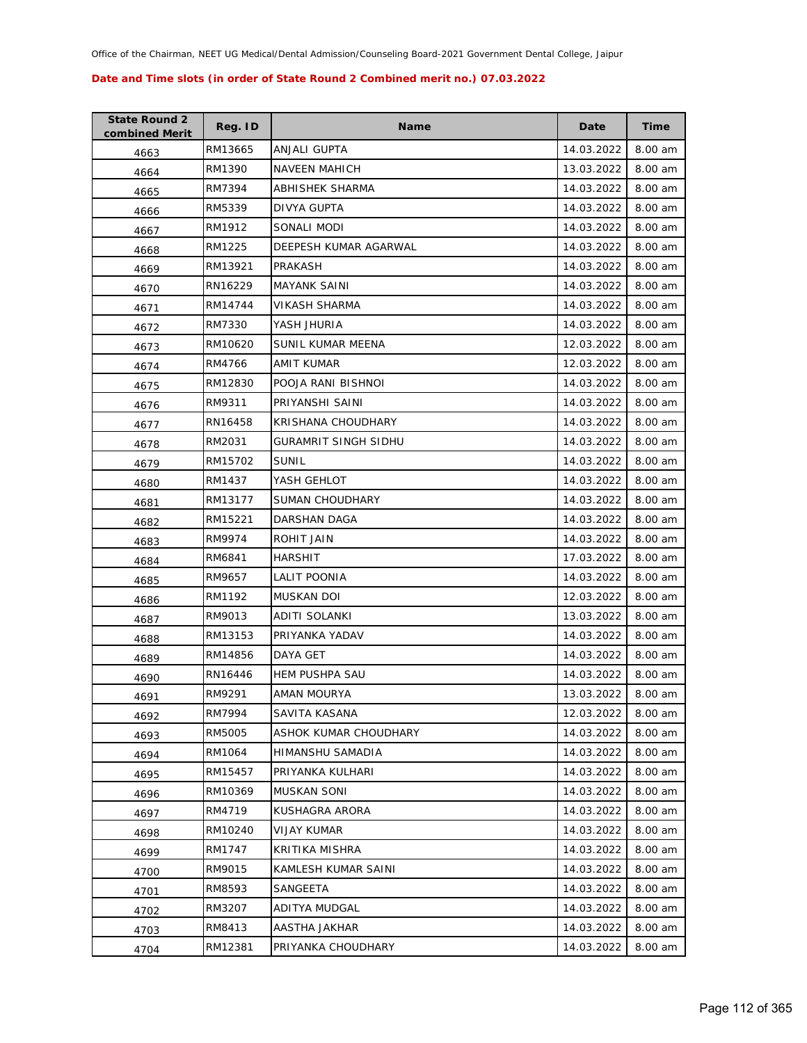| <b>State Round 2</b><br>combined Merit | Reg. ID | <b>Name</b>           | Date       | <b>Time</b> |
|----------------------------------------|---------|-----------------------|------------|-------------|
| 4663                                   | RM13665 | ANJALI GUPTA          | 14.03.2022 | 8.00 am     |
| 4664                                   | RM1390  | <b>NAVEEN MAHICH</b>  | 13.03.2022 | 8.00 am     |
| 4665                                   | RM7394  | ABHISHEK SHARMA       | 14.03.2022 | 8.00 am     |
| 4666                                   | RM5339  | DIVYA GUPTA           | 14.03.2022 | 8.00 am     |
| 4667                                   | RM1912  | SONALI MODI           | 14.03.2022 | 8.00 am     |
| 4668                                   | RM1225  | DEEPESH KUMAR AGARWAL | 14.03.2022 | 8.00 am     |
| 4669                                   | RM13921 | PRAKASH               | 14.03.2022 | 8.00 am     |
| 4670                                   | RN16229 | <b>MAYANK SAINI</b>   | 14.03.2022 | 8.00 am     |
| 4671                                   | RM14744 | VIKASH SHARMA         | 14.03.2022 | 8.00 am     |
| 4672                                   | RM7330  | YASH JHURIA           | 14.03.2022 | 8.00 am     |
| 4673                                   | RM10620 | SUNIL KUMAR MEENA     | 12.03.2022 | 8.00 am     |
| 4674                                   | RM4766  | AMIT KUMAR            | 12.03.2022 | 8.00 am     |
| 4675                                   | RM12830 | POOJA RANI BISHNOI    | 14.03.2022 | 8.00 am     |
| 4676                                   | RM9311  | PRIYANSHI SAINI       | 14.03.2022 | 8.00 am     |
| 4677                                   | RN16458 | KRISHANA CHOUDHARY    | 14.03.2022 | 8.00 am     |
| 4678                                   | RM2031  | GURAMRIT SINGH SIDHU  | 14.03.2022 | 8.00 am     |
| 4679                                   | RM15702 | <b>SUNIL</b>          | 14.03.2022 | 8.00 am     |
| 4680                                   | RM1437  | YASH GEHLOT           | 14.03.2022 | 8.00 am     |
| 4681                                   | RM13177 | SUMAN CHOUDHARY       | 14.03.2022 | 8.00 am     |
| 4682                                   | RM15221 | DARSHAN DAGA          | 14.03.2022 | 8.00 am     |
| 4683                                   | RM9974  | ROHIT JAIN            | 14.03.2022 | 8.00 am     |
| 4684                                   | RM6841  | <b>HARSHIT</b>        | 17.03.2022 | 8.00 am     |
| 4685                                   | RM9657  | LALIT POONIA          | 14.03.2022 | 8.00 am     |
| 4686                                   | RM1192  | <b>MUSKAN DOI</b>     | 12.03.2022 | 8.00 am     |
| 4687                                   | RM9013  | ADITI SOLANKI         | 13.03.2022 | 8.00 am     |
| 4688                                   | RM13153 | PRIYANKA YADAV        | 14.03.2022 | 8.00 am     |
| 4689                                   | RM14856 | DAYA GET              | 14.03.2022 | 8.00 am     |
| 4690                                   | RN16446 | <b>HEM PUSHPA SAU</b> | 14.03.2022 | 8.00 am     |
| 4691                                   | RM9291  | AMAN MOURYA           | 13.03.2022 | 8.00 am     |
| 4692                                   | RM7994  | SAVITA KASANA         | 12.03.2022 | 8.00 am     |
| 4693                                   | RM5005  | ASHOK KUMAR CHOUDHARY | 14.03.2022 | 8.00 am     |
| 4694                                   | RM1064  | HIMANSHU SAMADIA      | 14.03.2022 | 8.00 am     |
| 4695                                   | RM15457 | PRIYANKA KULHARI      | 14.03.2022 | 8.00 am     |
| 4696                                   | RM10369 | <b>MUSKAN SONI</b>    | 14.03.2022 | 8.00 am     |
| 4697                                   | RM4719  | KUSHAGRA ARORA        | 14.03.2022 | 8.00 am     |
| 4698                                   | RM10240 | VIJAY KUMAR           | 14.03.2022 | 8.00 am     |
| 4699                                   | RM1747  | KRITIKA MISHRA        | 14.03.2022 | 8.00 am     |
| 4700                                   | RM9015  | KAMLESH KUMAR SAINI   | 14.03.2022 | 8.00 am     |
| 4701                                   | RM8593  | SANGEETA              | 14.03.2022 | 8.00 am     |
| 4702                                   | RM3207  | ADITYA MUDGAL         | 14.03.2022 | 8.00 am     |
| 4703                                   | RM8413  | AASTHA JAKHAR         | 14.03.2022 | 8.00 am     |
| 4704                                   | RM12381 | PRIYANKA CHOUDHARY    | 14.03.2022 | 8.00 am     |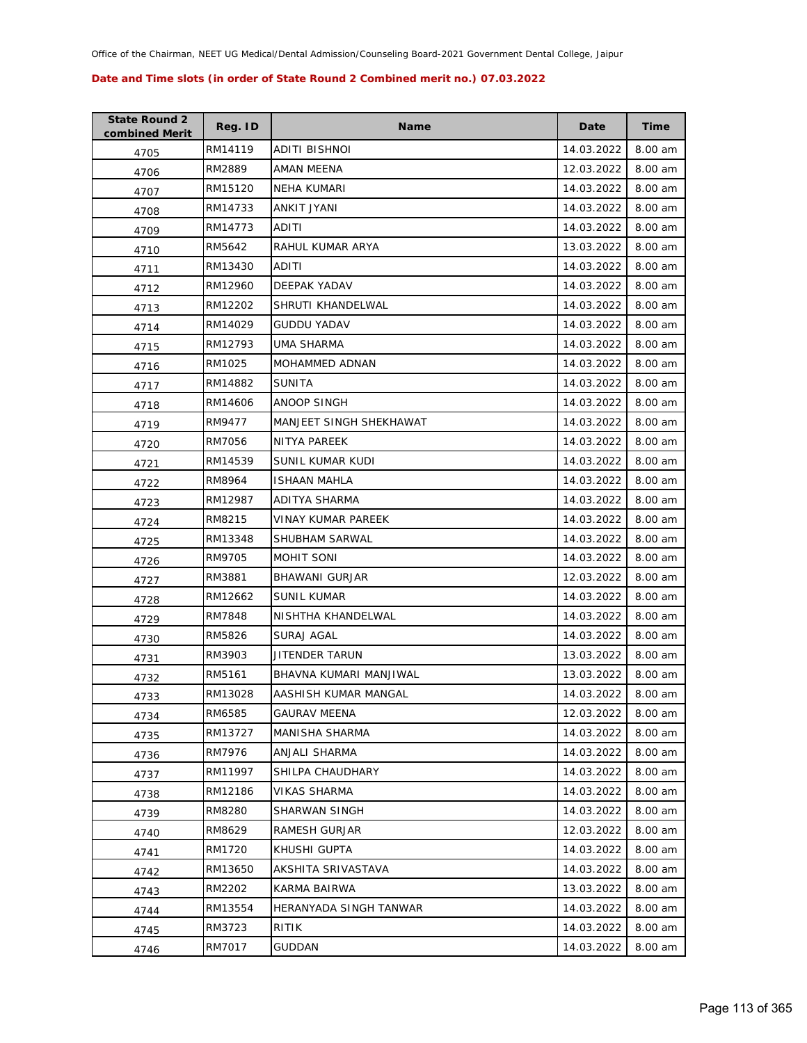| <b>State Round 2</b><br>combined Merit | Reg. ID | <b>Name</b>             | Date       | <b>Time</b> |
|----------------------------------------|---------|-------------------------|------------|-------------|
| 4705                                   | RM14119 | ADITI BISHNOI           | 14.03.2022 | 8.00 am     |
| 4706                                   | RM2889  | AMAN MEENA              | 12.03.2022 | 8.00 am     |
| 4707                                   | RM15120 | <b>NEHA KUMARI</b>      | 14.03.2022 | 8.00 am     |
| 4708                                   | RM14733 | ANKIT JYANI             | 14.03.2022 | 8.00 am     |
| 4709                                   | RM14773 | ADITI                   | 14.03.2022 | 8.00 am     |
| 4710                                   | RM5642  | RAHUL KUMAR ARYA        | 13.03.2022 | 8.00 am     |
| 4711                                   | RM13430 | ADITI                   | 14.03.2022 | 8.00 am     |
| 4712                                   | RM12960 | DEEPAK YADAV            | 14.03.2022 | 8.00 am     |
| 4713                                   | RM12202 | SHRUTI KHANDELWAL       | 14.03.2022 | 8.00 am     |
| 4714                                   | RM14029 | GUDDU YADAV             | 14.03.2022 | 8.00 am     |
| 4715                                   | RM12793 | UMA SHARMA              | 14.03.2022 | 8.00 am     |
| 4716                                   | RM1025  | MOHAMMED ADNAN          | 14.03.2022 | 8.00 am     |
| 4717                                   | RM14882 | <b>SUNITA</b>           | 14.03.2022 | 8.00 am     |
| 4718                                   | RM14606 | <b>ANOOP SINGH</b>      | 14.03.2022 | 8.00 am     |
| 4719                                   | RM9477  | MANJEET SINGH SHEKHAWAT | 14.03.2022 | 8.00 am     |
| 4720                                   | RM7056  | <b>NITYA PAREEK</b>     | 14.03.2022 | 8.00 am     |
| 4721                                   | RM14539 | SUNIL KUMAR KUDI        | 14.03.2022 | 8.00 am     |
| 4722                                   | RM8964  | ISHAAN MAHLA            | 14.03.2022 | 8.00 am     |
| 4723                                   | RM12987 | ADITYA SHARMA           | 14.03.2022 | 8.00 am     |
| 4724                                   | RM8215  | VINAY KUMAR PAREEK      | 14.03.2022 | 8.00 am     |
| 4725                                   | RM13348 | SHUBHAM SARWAL          | 14.03.2022 | 8.00 am     |
| 4726                                   | RM9705  | MOHIT SONI              | 14.03.2022 | 8.00 am     |
| 4727                                   | RM3881  | BHAWANI GURJAR          | 12.03.2022 | 8.00 am     |
| 4728                                   | RM12662 | <b>SUNIL KUMAR</b>      | 14.03.2022 | 8.00 am     |
| 4729                                   | RM7848  | NISHTHA KHANDELWAL      | 14.03.2022 | 8.00 am     |
| 4730                                   | RM5826  | SURAJ AGAL              | 14.03.2022 | 8.00 am     |
| 4731                                   | RM3903  | JITENDER TARUN          | 13.03.2022 | 8.00 am     |
| 4732                                   | RM5161  | BHAVNA KUMARI MANJIWAL  | 13.03.2022 | 8.00 am     |
| 4733                                   | RM13028 | AASHISH KUMAR MANGAL    | 14.03.2022 | 8.00 am     |
| 4734                                   | RM6585  | GAURAV MEENA            | 12.03.2022 | 8.00 am     |
| 4735                                   | RM13727 | MANISHA SHARMA          | 14.03.2022 | 8.00 am     |
| 4736                                   | RM7976  | ANJALI SHARMA           | 14.03.2022 | 8.00 am     |
| 4737                                   | RM11997 | SHILPA CHAUDHARY        | 14.03.2022 | 8.00 am     |
| 4738                                   | RM12186 | VIKAS SHARMA            | 14.03.2022 | 8.00 am     |
| 4739                                   | RM8280  | SHARWAN SINGH           | 14.03.2022 | 8.00 am     |
| 4740                                   | RM8629  | RAMESH GURJAR           | 12.03.2022 | 8.00 am     |
| 4741                                   | RM1720  | KHUSHI GUPTA            | 14.03.2022 | 8.00 am     |
| 4742                                   | RM13650 | AKSHITA SRIVASTAVA      | 14.03.2022 | 8.00 am     |
| 4743                                   | RM2202  | KARMA BAIRWA            | 13.03.2022 | 8.00 am     |
| 4744                                   | RM13554 | HERANYADA SINGH TANWAR  | 14.03.2022 | 8.00 am     |
| 4745                                   | RM3723  | RITIK                   | 14.03.2022 | 8.00 am     |
| 4746                                   | RM7017  | GUDDAN                  | 14.03.2022 | 8.00 am     |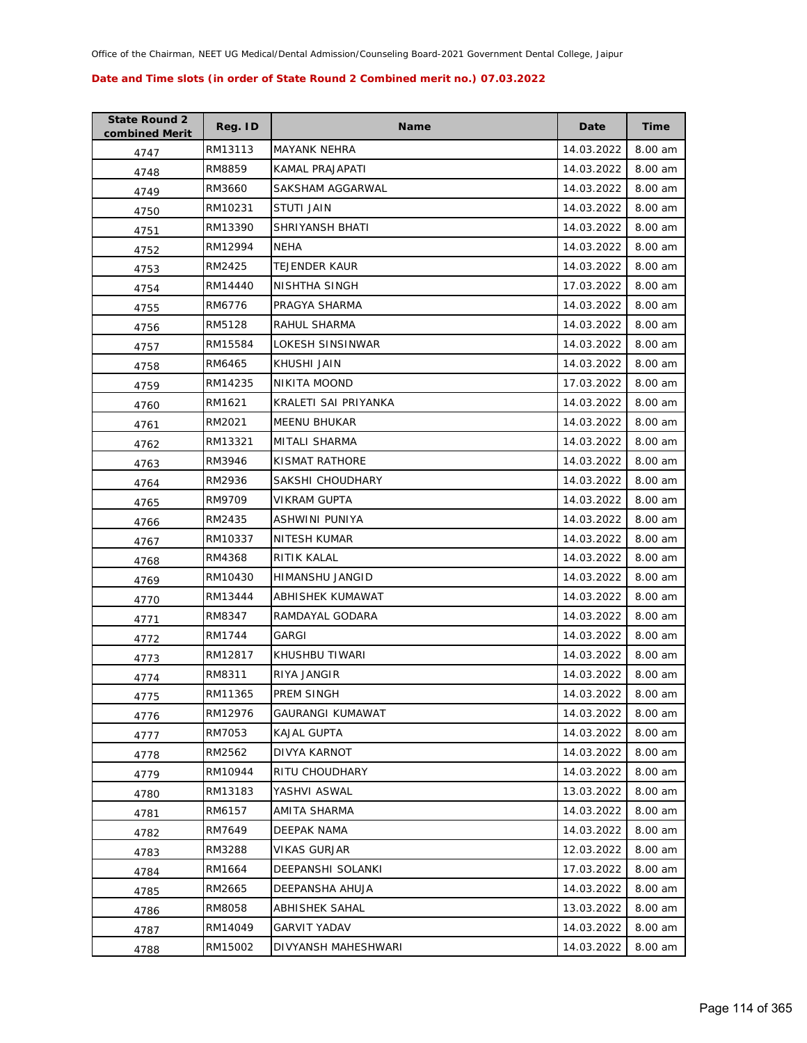| <b>State Round 2</b><br>combined Merit | Reg. ID | <b>Name</b>             | Date       | <b>Time</b> |
|----------------------------------------|---------|-------------------------|------------|-------------|
| 4747                                   | RM13113 | <b>MAYANK NEHRA</b>     | 14.03.2022 | 8.00 am     |
| 4748                                   | RM8859  | KAMAL PRAJAPATI         | 14.03.2022 | 8.00 am     |
| 4749                                   | RM3660  | SAKSHAM AGGARWAL        | 14.03.2022 | 8.00 am     |
| 4750                                   | RM10231 | STUTI JAIN              | 14.03.2022 | 8.00 am     |
| 4751                                   | RM13390 | SHRIYANSH BHATI         | 14.03.2022 | 8.00 am     |
| 4752                                   | RM12994 | NEHA                    | 14.03.2022 | 8.00 am     |
| 4753                                   | RM2425  | <b>TEJENDER KAUR</b>    | 14.03.2022 | 8.00 am     |
| 4754                                   | RM14440 | NISHTHA SINGH           | 17.03.2022 | 8.00 am     |
| 4755                                   | RM6776  | PRAGYA SHARMA           | 14.03.2022 | 8.00 am     |
| 4756                                   | RM5128  | RAHUL SHARMA            | 14.03.2022 | 8.00 am     |
| 4757                                   | RM15584 | LOKESH SINSINWAR        | 14.03.2022 | 8.00 am     |
| 4758                                   | RM6465  | KHUSHI JAIN             | 14.03.2022 | 8.00 am     |
| 4759                                   | RM14235 | NIKITA MOOND            | 17.03.2022 | 8.00 am     |
| 4760                                   | RM1621  | KRALETI SAI PRIYANKA    | 14.03.2022 | 8.00 am     |
| 4761                                   | RM2021  | <b>MEENU BHUKAR</b>     | 14.03.2022 | 8.00 am     |
| 4762                                   | RM13321 | MITALI SHARMA           | 14.03.2022 | 8.00 am     |
| 4763                                   | RM3946  | KISMAT RATHORE          | 14.03.2022 | 8.00 am     |
| 4764                                   | RM2936  | SAKSHI CHOUDHARY        | 14.03.2022 | 8.00 am     |
| 4765                                   | RM9709  | VIKRAM GUPTA            | 14.03.2022 | 8.00 am     |
| 4766                                   | RM2435  | ASHWINI PUNIYA          | 14.03.2022 | 8.00 am     |
| 4767                                   | RM10337 | NITESH KUMAR            | 14.03.2022 | 8.00 am     |
| 4768                                   | RM4368  | RITIK KALAL             | 14.03.2022 | 8.00 am     |
| 4769                                   | RM10430 | HIMANSHU JANGID         | 14.03.2022 | 8.00 am     |
| 4770                                   | RM13444 | ABHISHEK KUMAWAT        | 14.03.2022 | 8.00 am     |
| 4771                                   | RM8347  | RAMDAYAL GODARA         | 14.03.2022 | 8.00 am     |
| 4772                                   | RM1744  | <b>GARGI</b>            | 14.03.2022 | 8.00 am     |
| 4773                                   | RM12817 | KHUSHBU TIWARI          | 14.03.2022 | 8.00 am     |
| 4774                                   | RM8311  | RIYA JANGIR             | 14.03.2022 | 8.00 am     |
| 4775                                   | RM11365 | PREM SINGH              | 14.03.2022 | 8.00 am     |
| 4776                                   | RM12976 | <b>GAURANGI KUMAWAT</b> | 14.03.2022 | 8.00 am     |
| 4777                                   | RM7053  | <b>KAJAL GUPTA</b>      | 14.03.2022 | 8.00 am     |
| 4778                                   | RM2562  | DIVYA KARNOT            | 14.03.2022 | 8.00 am     |
| 4779                                   | RM10944 | RITU CHOUDHARY          | 14.03.2022 | 8.00 am     |
| 4780                                   | RM13183 | YASHVI ASWAL            | 13.03.2022 | 8.00 am     |
| 4781                                   | RM6157  | AMITA SHARMA            | 14.03.2022 | 8.00 am     |
| 4782                                   | RM7649  | DEEPAK NAMA             | 14.03.2022 | 8.00 am     |
| 4783                                   | RM3288  | VIKAS GURJAR            | 12.03.2022 | 8.00 am     |
| 4784                                   | RM1664  | DEEPANSHI SOLANKI       | 17.03.2022 | 8.00 am     |
| 4785                                   | RM2665  | DEEPANSHA AHUJA         | 14.03.2022 | 8.00 am     |
| 4786                                   | RM8058  | ABHISHEK SAHAL          | 13.03.2022 | 8.00 am     |
| 4787                                   | RM14049 | <b>GARVIT YADAV</b>     | 14.03.2022 | 8.00 am     |
| 4788                                   | RM15002 | DIVYANSH MAHESHWARI     | 14.03.2022 | 8.00 am     |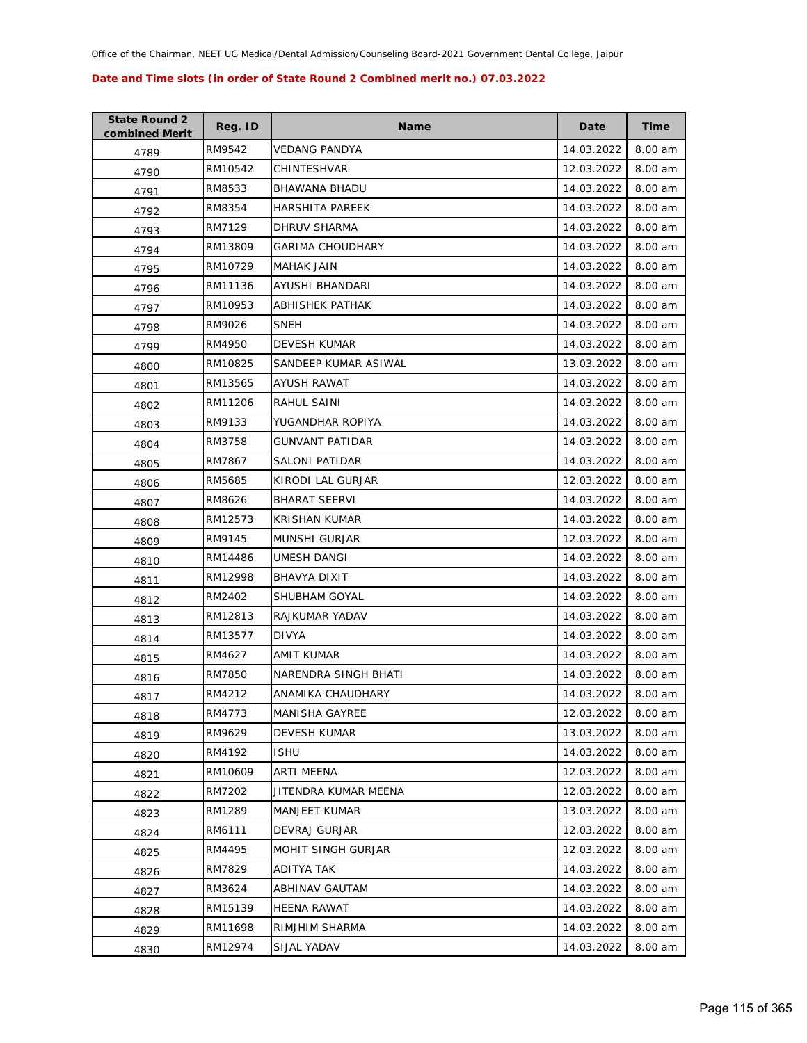| <b>State Round 2</b><br>combined Merit | Reg. ID | <b>Name</b>             | Date       | Time    |
|----------------------------------------|---------|-------------------------|------------|---------|
| 4789                                   | RM9542  | VEDANG PANDYA           | 14.03.2022 | 8.00 am |
| 4790                                   | RM10542 | CHINTESHVAR             | 12.03.2022 | 8.00 am |
| 4791                                   | RM8533  | BHAWANA BHADU           | 14.03.2022 | 8.00 am |
| 4792                                   | RM8354  | <b>HARSHITA PAREEK</b>  | 14.03.2022 | 8.00 am |
| 4793                                   | RM7129  | DHRUV SHARMA            | 14.03.2022 | 8.00 am |
| 4794                                   | RM13809 | <b>GARIMA CHOUDHARY</b> | 14.03.2022 | 8.00 am |
| 4795                                   | RM10729 | MAHAK JAIN              | 14.03.2022 | 8.00 am |
| 4796                                   | RM11136 | AYUSHI BHANDARI         | 14.03.2022 | 8.00 am |
| 4797                                   | RM10953 | ABHISHEK PATHAK         | 14.03.2022 | 8.00 am |
| 4798                                   | RM9026  | <b>SNEH</b>             | 14.03.2022 | 8.00 am |
| 4799                                   | RM4950  | <b>DEVESH KUMAR</b>     | 14.03.2022 | 8.00 am |
| 4800                                   | RM10825 | SANDEEP KUMAR ASIWAL    | 13.03.2022 | 8.00 am |
| 4801                                   | RM13565 | AYUSH RAWAT             | 14.03.2022 | 8.00 am |
| 4802                                   | RM11206 | <b>RAHUL SAINI</b>      | 14.03.2022 | 8.00 am |
| 4803                                   | RM9133  | YUGANDHAR ROPIYA        | 14.03.2022 | 8.00 am |
| 4804                                   | RM3758  | <b>GUNVANT PATIDAR</b>  | 14.03.2022 | 8.00 am |
| 4805                                   | RM7867  | SALONI PATIDAR          | 14.03.2022 | 8.00 am |
| 4806                                   | RM5685  | KIRODI LAL GURJAR       | 12.03.2022 | 8.00 am |
| 4807                                   | RM8626  | <b>BHARAT SEERVI</b>    | 14.03.2022 | 8.00 am |
| 4808                                   | RM12573 | KRISHAN KUMAR           | 14.03.2022 | 8.00 am |
| 4809                                   | RM9145  | <b>MUNSHI GURJAR</b>    | 12.03.2022 | 8.00 am |
| 4810                                   | RM14486 | UMESH DANGI             | 14.03.2022 | 8.00 am |
| 4811                                   | RM12998 | BHAVYA DIXIT            | 14.03.2022 | 8.00 am |
| 4812                                   | RM2402  | SHUBHAM GOYAL           | 14.03.2022 | 8.00 am |
| 4813                                   | RM12813 | RAJKUMAR YADAV          | 14.03.2022 | 8.00 am |
| 4814                                   | RM13577 | <b>DIVYA</b>            | 14.03.2022 | 8.00 am |
| 4815                                   | RM4627  | AMIT KUMAR              | 14.03.2022 | 8.00 am |
| 4816                                   | RM7850  | NARENDRA SINGH BHATI    | 14.03.2022 | 8.00 am |
| 4817                                   | RM4212  | ANAMIKA CHAUDHARY       | 14.03.2022 | 8.00 am |
| 4818                                   | RM4773  | MANISHA GAYREE          | 12.03.2022 | 8.00 am |
| 4819                                   | RM9629  | <b>DEVESH KUMAR</b>     | 13.03.2022 | 8.00 am |
| 4820                                   | RM4192  | <b>ISHU</b>             | 14.03.2022 | 8.00 am |
| 4821                                   | RM10609 | ARTI MEENA              | 12.03.2022 | 8.00 am |
| 4822                                   | RM7202  | JITENDRA KUMAR MEENA    | 12.03.2022 | 8.00 am |
| 4823                                   | RM1289  | MANJEET KUMAR           | 13.03.2022 | 8.00 am |
| 4824                                   | RM6111  | DEVRAJ GURJAR           | 12.03.2022 | 8.00 am |
| 4825                                   | RM4495  | MOHIT SINGH GURJAR      | 12.03.2022 | 8.00 am |
| 4826                                   | RM7829  | ADITYA TAK              | 14.03.2022 | 8.00 am |
| 4827                                   | RM3624  | ABHINAV GAUTAM          | 14.03.2022 | 8.00 am |
| 4828                                   | RM15139 | <b>HEENA RAWAT</b>      | 14.03.2022 | 8.00 am |
| 4829                                   | RM11698 | RIMJHIM SHARMA          | 14.03.2022 | 8.00 am |
| 4830                                   | RM12974 | SIJAL YADAV             | 14.03.2022 | 8.00 am |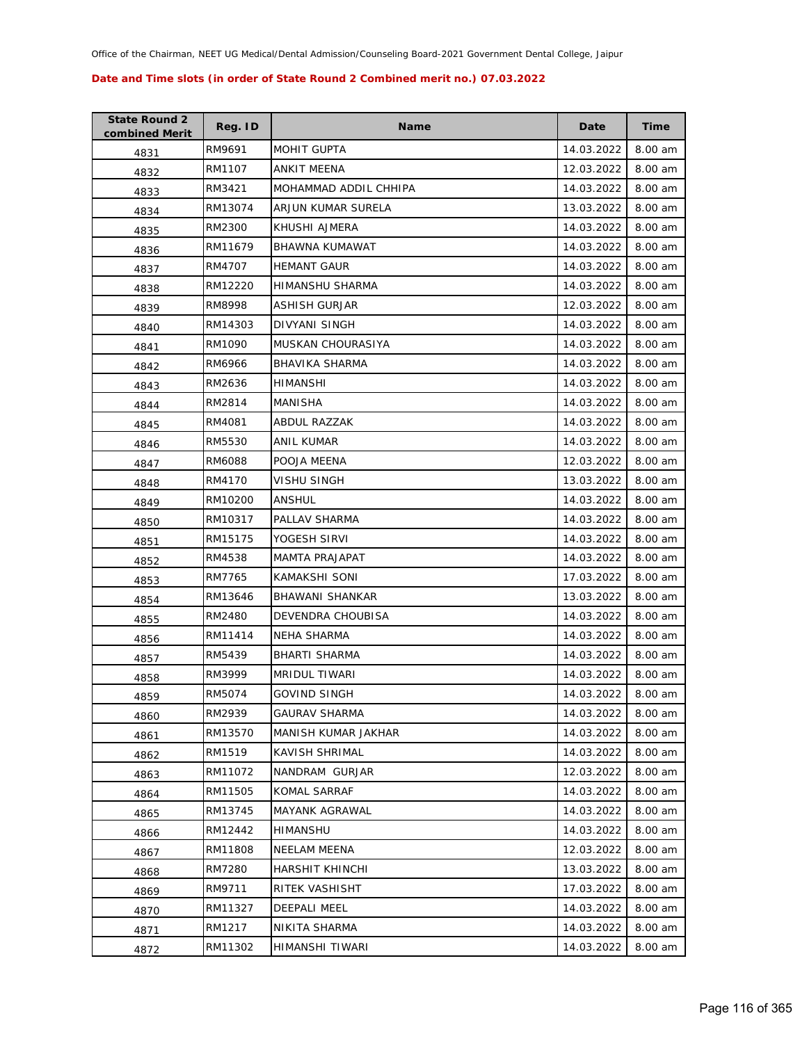| <b>State Round 2</b><br>combined Merit | Reg. ID | <b>Name</b>            | Date       | Time    |
|----------------------------------------|---------|------------------------|------------|---------|
| 4831                                   | RM9691  | <b>MOHIT GUPTA</b>     | 14.03.2022 | 8.00 am |
| 4832                                   | RM1107  | ANKIT MEENA            | 12.03.2022 | 8.00 am |
| 4833                                   | RM3421  | MOHAMMAD ADDIL CHHIPA  | 14.03.2022 | 8.00 am |
| 4834                                   | RM13074 | ARJUN KUMAR SURELA     | 13.03.2022 | 8.00 am |
| 4835                                   | RM2300  | KHUSHI AJMERA          | 14.03.2022 | 8.00 am |
| 4836                                   | RM11679 | BHAWNA KUMAWAT         | 14.03.2022 | 8.00 am |
| 4837                                   | RM4707  | <b>HEMANT GAUR</b>     | 14.03.2022 | 8.00 am |
| 4838                                   | RM12220 | HIMANSHU SHARMA        | 14.03.2022 | 8.00 am |
| 4839                                   | RM8998  | ASHISH GURJAR          | 12.03.2022 | 8.00 am |
| 4840                                   | RM14303 | DIVYANI SINGH          | 14.03.2022 | 8.00 am |
| 4841                                   | RM1090  | MUSKAN CHOURASIYA      | 14.03.2022 | 8.00 am |
| 4842                                   | RM6966  | BHAVIKA SHARMA         | 14.03.2022 | 8.00 am |
| 4843                                   | RM2636  | HIMANSHI               | 14.03.2022 | 8.00 am |
| 4844                                   | RM2814  | MANISHA                | 14.03.2022 | 8.00 am |
| 4845                                   | RM4081  | ABDUL RAZZAK           | 14.03.2022 | 8.00 am |
| 4846                                   | RM5530  | ANIL KUMAR             | 14.03.2022 | 8.00 am |
| 4847                                   | RM6088  | POOJA MEENA            | 12.03.2022 | 8.00 am |
| 4848                                   | RM4170  | VISHU SINGH            | 13.03.2022 | 8.00 am |
| 4849                                   | RM10200 | ANSHUL                 | 14.03.2022 | 8.00 am |
| 4850                                   | RM10317 | PALLAV SHARMA          | 14.03.2022 | 8.00 am |
| 4851                                   | RM15175 | YOGESH SIRVI           | 14.03.2022 | 8.00 am |
| 4852                                   | RM4538  | MAMTA PRAJAPAT         | 14.03.2022 | 8.00 am |
| 4853                                   | RM7765  | KAMAKSHI SONI          | 17.03.2022 | 8.00 am |
| 4854                                   | RM13646 | <b>BHAWANI SHANKAR</b> | 13.03.2022 | 8.00 am |
| 4855                                   | RM2480  | DEVENDRA CHOUBISA      | 14.03.2022 | 8.00 am |
| 4856                                   | RM11414 | <b>NEHA SHARMA</b>     | 14.03.2022 | 8.00 am |
| 4857                                   | RM5439  | <b>BHARTI SHARMA</b>   | 14.03.2022 | 8.00 am |
| 4858                                   | RM3999  | MRIDUL TIWARI          | 14.03.2022 | 8.00 am |
| 4859                                   | RM5074  | <b>GOVIND SINGH</b>    | 14.03.2022 | 8.00 am |
| 4860                                   | RM2939  | <b>GAURAV SHARMA</b>   | 14.03.2022 | 8.00 am |
| 4861                                   | RM13570 | MANISH KUMAR JAKHAR    | 14.03.2022 | 8.00 am |
| 4862                                   | RM1519  | KAVISH SHRIMAL         | 14.03.2022 | 8.00 am |
| 4863                                   | RM11072 | NANDRAM GURJAR         | 12.03.2022 | 8.00 am |
| 4864                                   | RM11505 | KOMAL SARRAF           | 14.03.2022 | 8.00 am |
| 4865                                   | RM13745 | MAYANK AGRAWAL         | 14.03.2022 | 8.00 am |
| 4866                                   | RM12442 | HIMANSHU               | 14.03.2022 | 8.00 am |
| 4867                                   | RM11808 | NEELAM MEENA           | 12.03.2022 | 8.00 am |
| 4868                                   | RM7280  | HARSHIT KHINCHI        | 13.03.2022 | 8.00 am |
| 4869                                   | RM9711  | RITEK VASHISHT         | 17.03.2022 | 8.00 am |
| 4870                                   | RM11327 | <b>DEEPALI MEEL</b>    | 14.03.2022 | 8.00 am |
| 4871                                   | RM1217  | NIKITA SHARMA          | 14.03.2022 | 8.00 am |
| 4872                                   | RM11302 | HIMANSHI TIWARI        | 14.03.2022 | 8.00 am |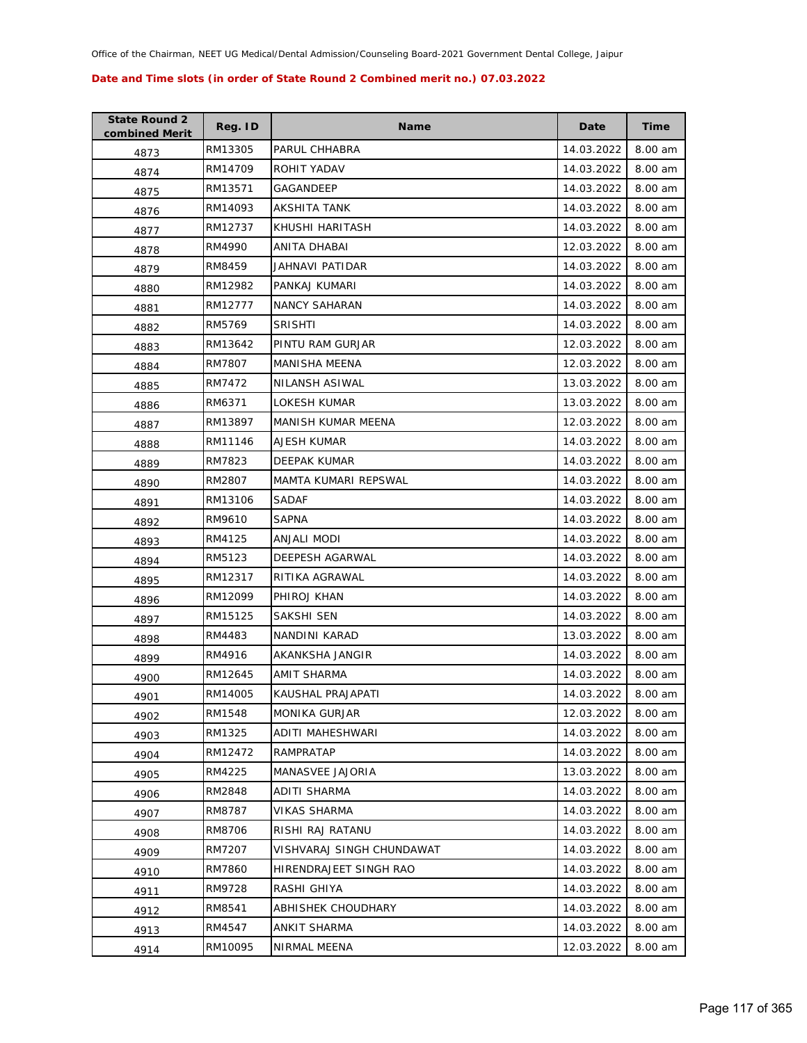| <b>State Round 2</b><br>combined Merit | Reg. ID | <b>Name</b>               | Date       | Time    |
|----------------------------------------|---------|---------------------------|------------|---------|
| 4873                                   | RM13305 | PARUL CHHABRA             | 14.03.2022 | 8.00 am |
| 4874                                   | RM14709 | ROHIT YADAV               | 14.03.2022 | 8.00 am |
| 4875                                   | RM13571 | GAGANDEEP                 | 14.03.2022 | 8.00 am |
| 4876                                   | RM14093 | AKSHITA TANK              | 14.03.2022 | 8.00 am |
| 4877                                   | RM12737 | KHUSHI HARITASH           | 14.03.2022 | 8.00 am |
| 4878                                   | RM4990  | ANITA DHABAI              | 12.03.2022 | 8.00 am |
| 4879                                   | RM8459  | JAHNAVI PATIDAR           | 14.03.2022 | 8.00 am |
| 4880                                   | RM12982 | PANKAJ KUMARI             | 14.03.2022 | 8.00 am |
| 4881                                   | RM12777 | <b>NANCY SAHARAN</b>      | 14.03.2022 | 8.00 am |
| 4882                                   | RM5769  | <b>SRISHTI</b>            | 14.03.2022 | 8.00 am |
| 4883                                   | RM13642 | PINTU RAM GURJAR          | 12.03.2022 | 8.00 am |
| 4884                                   | RM7807  | <b>MANISHA MEENA</b>      | 12.03.2022 | 8.00 am |
| 4885                                   | RM7472  | NILANSH ASIWAL            | 13.03.2022 | 8.00 am |
| 4886                                   | RM6371  | LOKESH KUMAR              | 13.03.2022 | 8.00 am |
| 4887                                   | RM13897 | <b>MANISH KUMAR MEENA</b> | 12.03.2022 | 8.00 am |
| 4888                                   | RM11146 | AJESH KUMAR               | 14.03.2022 | 8.00 am |
| 4889                                   | RM7823  | DEEPAK KUMAR              | 14.03.2022 | 8.00 am |
| 4890                                   | RM2807  | MAMTA KUMARI REPSWAL      | 14.03.2022 | 8.00 am |
| 4891                                   | RM13106 | <b>SADAF</b>              | 14.03.2022 | 8.00 am |
| 4892                                   | RM9610  | <b>SAPNA</b>              | 14.03.2022 | 8.00 am |
| 4893                                   | RM4125  | ANJALI MODI               | 14.03.2022 | 8.00 am |
| 4894                                   | RM5123  | <b>DEEPESH AGARWAL</b>    | 14.03.2022 | 8.00 am |
| 4895                                   | RM12317 | RITIKA AGRAWAL            | 14.03.2022 | 8.00 am |
| 4896                                   | RM12099 | PHIROJ KHAN               | 14.03.2022 | 8.00 am |
| 4897                                   | RM15125 | SAKSHI SEN                | 14.03.2022 | 8.00 am |
| 4898                                   | RM4483  | NANDINI KARAD             | 13.03.2022 | 8.00 am |
| 4899                                   | RM4916  | AKANKSHA JANGIR           | 14.03.2022 | 8.00 am |
| 4900                                   | RM12645 | AMIT SHARMA               | 14.03.2022 | 8.00 am |
| 4901                                   | RM14005 | KAUSHAL PRAJAPATI         | 14.03.2022 | 8.00 am |
| 4902                                   | RM1548  | <b>MONIKA GURJAR</b>      | 12.03.2022 | 8.00 am |
| 4903                                   | RM1325  | ADITI MAHESHWARI          | 14.03.2022 | 8.00 am |
| 4904                                   | RM12472 | <b>RAMPRATAP</b>          | 14.03.2022 | 8.00 am |
| 4905                                   | RM4225  | <b>MANASVEE JAJORIA</b>   | 13.03.2022 | 8.00 am |
| 4906                                   | RM2848  | ADITI SHARMA              | 14.03.2022 | 8.00 am |
| 4907                                   | RM8787  | <b>VIKAS SHARMA</b>       | 14.03.2022 | 8.00 am |
| 4908                                   | RM8706  | RISHI RAJ RATANU          | 14.03.2022 | 8.00 am |
| 4909                                   | RM7207  | VISHVARAJ SINGH CHUNDAWAT | 14.03.2022 | 8.00 am |
| 4910                                   | RM7860  | HIRENDRAJEET SINGH RAO    | 14.03.2022 | 8.00 am |
| 4911                                   | RM9728  | RASHI GHIYA               | 14.03.2022 | 8.00 am |
| 4912                                   | RM8541  | ABHISHEK CHOUDHARY        | 14.03.2022 | 8.00 am |
| 4913                                   | RM4547  | ANKIT SHARMA              | 14.03.2022 | 8.00 am |
| 4914                                   | RM10095 | NIRMAL MEENA              | 12.03.2022 | 8.00 am |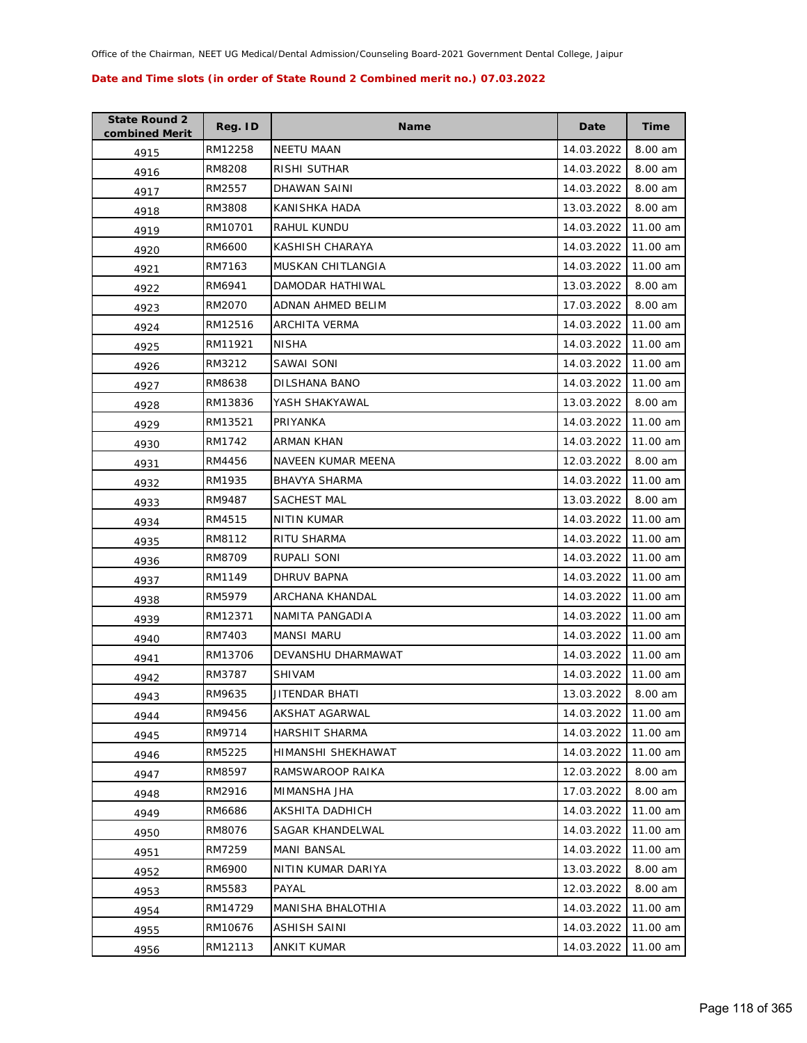| <b>State Round 2</b><br>combined Merit | Reg. ID | <b>Name</b>          | Date       | Time     |
|----------------------------------------|---------|----------------------|------------|----------|
| 4915                                   | RM12258 | <b>NEETU MAAN</b>    | 14.03.2022 | 8.00 am  |
| 4916                                   | RM8208  | RISHI SUTHAR         | 14.03.2022 | 8.00 am  |
| 4917                                   | RM2557  | DHAWAN SAINI         | 14.03.2022 | 8.00 am  |
| 4918                                   | RM3808  | KANISHKA HADA        | 13.03.2022 | 8.00 am  |
| 4919                                   | RM10701 | RAHUL KUNDU          | 14.03.2022 | 11.00 am |
| 4920                                   | RM6600  | KASHISH CHARAYA      | 14.03.2022 | 11.00 am |
| 4921                                   | RM7163  | MUSKAN CHITLANGIA    | 14.03.2022 | 11.00 am |
| 4922                                   | RM6941  | DAMODAR HATHIWAL     | 13.03.2022 | 8.00 am  |
| 4923                                   | RM2070  | ADNAN AHMED BELIM    | 17.03.2022 | 8.00 am  |
| 4924                                   | RM12516 | ARCHITA VERMA        | 14.03.2022 | 11.00 am |
| 4925                                   | RM11921 | <b>NISHA</b>         | 14.03.2022 | 11.00 am |
| 4926                                   | RM3212  | SAWAI SONI           | 14.03.2022 | 11.00 am |
| 4927                                   | RM8638  | DILSHANA BANO        | 14.03.2022 | 11.00 am |
| 4928                                   | RM13836 | YASH SHAKYAWAL       | 13.03.2022 | 8.00 am  |
| 4929                                   | RM13521 | PRIYANKA             | 14.03.2022 | 11.00 am |
| 4930                                   | RM1742  | ARMAN KHAN           | 14.03.2022 | 11.00 am |
| 4931                                   | RM4456  | NAVEEN KUMAR MEENA   | 12.03.2022 | 8.00 am  |
| 4932                                   | RM1935  | <b>BHAVYA SHARMA</b> | 14.03.2022 | 11.00 am |
| 4933                                   | RM9487  | SACHEST MAL          | 13.03.2022 | 8.00 am  |
| 4934                                   | RM4515  | NITIN KUMAR          | 14.03.2022 | 11.00 am |
| 4935                                   | RM8112  | RITU SHARMA          | 14.03.2022 | 11.00 am |
| 4936                                   | RM8709  | RUPALI SONI          | 14.03.2022 | 11.00 am |
| 4937                                   | RM1149  | DHRUV BAPNA          | 14.03.2022 | 11.00 am |
| 4938                                   | RM5979  | ARCHANA KHANDAL      | 14.03.2022 | 11.00 am |
| 4939                                   | RM12371 | NAMITA PANGADIA      | 14.03.2022 | 11.00 am |
| 4940                                   | RM7403  | <b>MANSI MARU</b>    | 14.03.2022 | 11.00 am |
| 4941                                   | RM13706 | DEVANSHU DHARMAWAT   | 14.03.2022 | 11.00 am |
| 4942                                   | RM3787  | <b>SHIVAM</b>        | 14.03.2022 | 11.00 am |
| 4943                                   | RM9635  | JITENDAR BHATI       | 13.03.2022 | 8.00 am  |
| 4944                                   | RM9456  | AKSHAT AGARWAL       | 14.03.2022 | 11.00 am |
| 4945                                   | RM9714  | HARSHIT SHARMA       | 14.03.2022 | 11.00 am |
| 4946                                   | RM5225  | HIMANSHI SHEKHAWAT   | 14.03.2022 | 11.00 am |
| 4947                                   | RM8597  | RAMSWAROOP RAIKA     | 12.03.2022 | 8.00 am  |
| 4948                                   | RM2916  | MIMANSHA JHA         | 17.03.2022 | 8.00 am  |
| 4949                                   | RM6686  | AKSHITA DADHICH      | 14.03.2022 | 11.00 am |
| 4950                                   | RM8076  | SAGAR KHANDELWAL     | 14.03.2022 | 11.00 am |
| 4951                                   | RM7259  | <b>MANI BANSAL</b>   | 14.03.2022 | 11.00 am |
| 4952                                   | RM6900  | NITIN KUMAR DARIYA   | 13.03.2022 | 8.00 am  |
| 4953                                   | RM5583  | PAYAL                | 12.03.2022 | 8.00 am  |
| 4954                                   | RM14729 | MANISHA BHALOTHIA    | 14.03.2022 | 11.00 am |
| 4955                                   | RM10676 | ASHISH SAINI         | 14.03.2022 | 11.00 am |
| 4956                                   | RM12113 | ANKIT KUMAR          | 14.03.2022 | 11.00 am |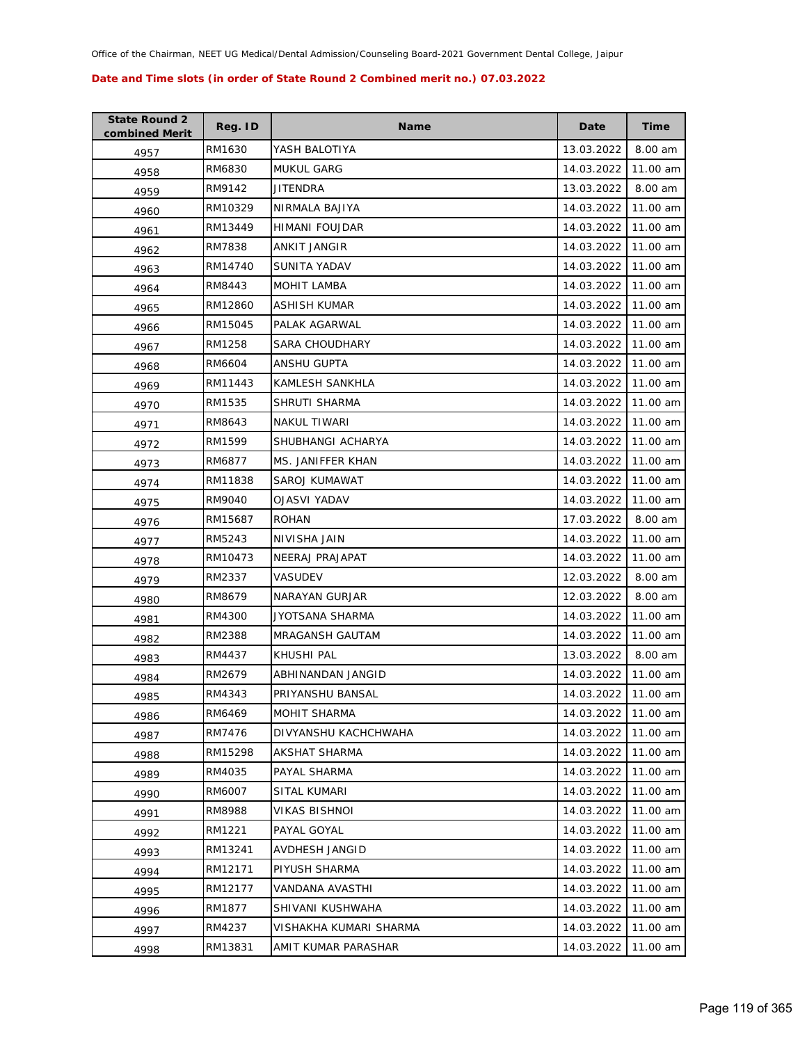| <b>State Round 2</b><br>combined Merit | Reg. ID | Name                   | Date       | Time     |
|----------------------------------------|---------|------------------------|------------|----------|
| 4957                                   | RM1630  | YASH BALOTIYA          | 13.03.2022 | 8.00 am  |
| 4958                                   | RM6830  | <b>MUKUL GARG</b>      | 14.03.2022 | 11.00 am |
| 4959                                   | RM9142  | JITENDRA               | 13.03.2022 | 8.00 am  |
| 4960                                   | RM10329 | NIRMALA BAJIYA         | 14.03.2022 | 11.00 am |
| 4961                                   | RM13449 | HIMANI FOUJDAR         | 14.03.2022 | 11.00 am |
| 4962                                   | RM7838  | <b>ANKIT JANGIR</b>    | 14.03.2022 | 11.00 am |
| 4963                                   | RM14740 | <b>SUNITA YADAV</b>    | 14.03.2022 | 11.00 am |
| 4964                                   | RM8443  | MOHIT LAMBA            | 14.03.2022 | 11.00 am |
| 4965                                   | RM12860 | ASHISH KUMAR           | 14.03.2022 | 11.00 am |
| 4966                                   | RM15045 | PALAK AGARWAL          | 14.03.2022 | 11.00 am |
| 4967                                   | RM1258  | <b>SARA CHOUDHARY</b>  | 14.03.2022 | 11.00 am |
| 4968                                   | RM6604  | ANSHU GUPTA            | 14.03.2022 | 11.00 am |
| 4969                                   | RM11443 | KAMLESH SANKHLA        | 14.03.2022 | 11.00 am |
| 4970                                   | RM1535  | SHRUTI SHARMA          | 14.03.2022 | 11.00 am |
| 4971                                   | RM8643  | <b>NAKUL TIWARI</b>    | 14.03.2022 | 11.00 am |
| 4972                                   | RM1599  | SHUBHANGI ACHARYA      | 14.03.2022 | 11.00 am |
| 4973                                   | RM6877  | MS. JANIFFER KHAN      | 14.03.2022 | 11.00 am |
| 4974                                   | RM11838 | SAROJ KUMAWAT          | 14.03.2022 | 11.00 am |
| 4975                                   | RM9040  | OJASVI YADAV           | 14.03.2022 | 11.00 am |
| 4976                                   | RM15687 | <b>ROHAN</b>           | 17.03.2022 | 8.00 am  |
| 4977                                   | RM5243  | NIVISHA JAIN           | 14.03.2022 | 11.00 am |
| 4978                                   | RM10473 | NEERAJ PRAJAPAT        | 14.03.2022 | 11.00 am |
| 4979                                   | RM2337  | VASUDEV                | 12.03.2022 | 8.00 am  |
| 4980                                   | RM8679  | NARAYAN GURJAR         | 12.03.2022 | 8.00 am  |
| 4981                                   | RM4300  | JYOTSANA SHARMA        | 14.03.2022 | 11.00 am |
| 4982                                   | RM2388  | <b>MRAGANSH GAUTAM</b> | 14.03.2022 | 11.00 am |
| 4983                                   | RM4437  | KHUSHI PAL             | 13.03.2022 | 8.00 am  |
| 4984                                   | RM2679  | ABHINANDAN JANGID      | 14.03.2022 | 11.00 am |
| 4985                                   | RM4343  | PRIYANSHU BANSAL       | 14.03.2022 | 11.00 am |
| 4986                                   | RM6469  | MOHIT SHARMA           | 14.03.2022 | 11.00 am |
| 4987                                   | RM7476  | DIVYANSHU KACHCHWAHA   | 14.03.2022 | 11.00 am |
| 4988                                   | RM15298 | AKSHAT SHARMA          | 14.03.2022 | 11.00 am |
| 4989                                   | RM4035  | PAYAL SHARMA           | 14.03.2022 | 11.00 am |
| 4990                                   | RM6007  | SITAL KUMARI           | 14.03.2022 | 11.00 am |
| 4991                                   | RM8988  | VIKAS BISHNOI          | 14.03.2022 | 11.00 am |
| 4992                                   | RM1221  | PAYAL GOYAL            | 14.03.2022 | 11.00 am |
| 4993                                   | RM13241 | AVDHESH JANGID         | 14.03.2022 | 11.00 am |
| 4994                                   | RM12171 | PIYUSH SHARMA          | 14.03.2022 | 11.00 am |
| 4995                                   | RM12177 | VANDANA AVASTHI        | 14.03.2022 | 11.00 am |
| 4996                                   | RM1877  | SHIVANI KUSHWAHA       | 14.03.2022 | 11.00 am |
| 4997                                   | RM4237  | VISHAKHA KUMARI SHARMA | 14.03.2022 | 11.00 am |
| 4998                                   | RM13831 | AMIT KUMAR PARASHAR    | 14.03.2022 | 11.00 am |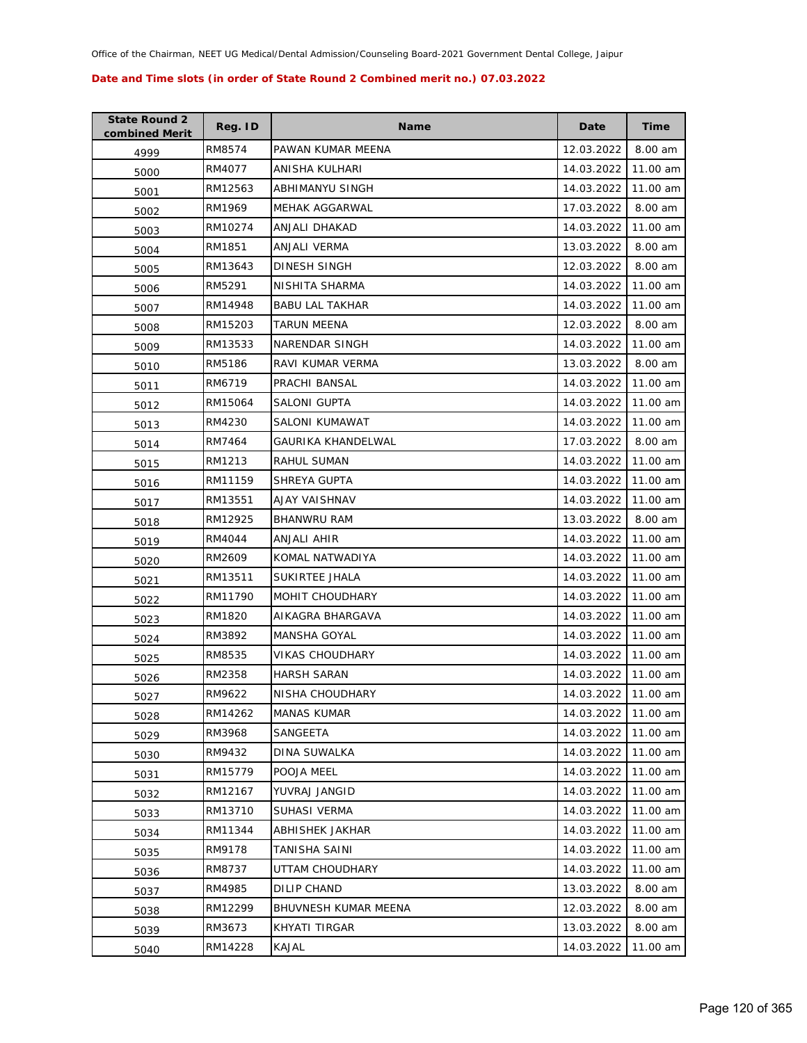| <b>State Round 2</b><br>combined Merit | Reg. ID | <b>Name</b>            | Date       | <b>Time</b> |
|----------------------------------------|---------|------------------------|------------|-------------|
| 4999                                   | RM8574  | PAWAN KUMAR MEENA      | 12.03.2022 | 8.00 am     |
| 5000                                   | RM4077  | ANISHA KULHARI         | 14.03.2022 | 11.00 am    |
| 5001                                   | RM12563 | ABHIMANYU SINGH        | 14.03.2022 | 11.00 am    |
| 5002                                   | RM1969  | <b>MEHAK AGGARWAL</b>  | 17.03.2022 | 8.00 am     |
| 5003                                   | RM10274 | ANJALI DHAKAD          | 14.03.2022 | 11.00 am    |
| 5004                                   | RM1851  | ANJALI VERMA           | 13.03.2022 | 8.00 am     |
| 5005                                   | RM13643 | DINESH SINGH           | 12.03.2022 | 8.00 am     |
| 5006                                   | RM5291  | NISHITA SHARMA         | 14.03.2022 | 11.00 am    |
| 5007                                   | RM14948 | <b>BABU LAL TAKHAR</b> | 14.03.2022 | 11.00 am    |
| 5008                                   | RM15203 | TARUN MEENA            | 12.03.2022 | 8.00 am     |
| 5009                                   | RM13533 | NARENDAR SINGH         | 14.03.2022 | 11.00 am    |
| 5010                                   | RM5186  | RAVI KUMAR VERMA       | 13.03.2022 | 8.00 am     |
| 5011                                   | RM6719  | PRACHI BANSAL          | 14.03.2022 | 11.00 am    |
| 5012                                   | RM15064 | <b>SALONI GUPTA</b>    | 14.03.2022 | 11.00 am    |
| 5013                                   | RM4230  | SALONI KUMAWAT         | 14.03.2022 | 11.00 am    |
| 5014                                   | RM7464  | GAURIKA KHANDELWAL     | 17.03.2022 | 8.00 am     |
| 5015                                   | RM1213  | RAHUL SUMAN            | 14.03.2022 | 11.00 am    |
| 5016                                   | RM11159 | SHREYA GUPTA           | 14.03.2022 | 11.00 am    |
| 5017                                   | RM13551 | AJAY VAISHNAV          | 14.03.2022 | 11.00 am    |
| 5018                                   | RM12925 | <b>BHANWRU RAM</b>     | 13.03.2022 | 8.00 am     |
| 5019                                   | RM4044  | ANJALI AHIR            | 14.03.2022 | 11.00 am    |
| 5020                                   | RM2609  | KOMAL NATWADIYA        | 14.03.2022 | 11.00 am    |
| 5021                                   | RM13511 | SUKIRTEE JHALA         | 14.03.2022 | 11.00 am    |
| 5022                                   | RM11790 | MOHIT CHOUDHARY        | 14.03.2022 | 11.00 am    |
| 5023                                   | RM1820  | AIKAGRA BHARGAVA       | 14.03.2022 | 11.00 am    |
| 5024                                   | RM3892  | <b>MANSHA GOYAL</b>    | 14.03.2022 | 11.00 am    |
| 5025                                   | RM8535  | VIKAS CHOUDHARY        | 14.03.2022 | 11.00 am    |
| 5026                                   | RM2358  | <b>HARSH SARAN</b>     | 14.03.2022 | 11.00 am    |
| 5027                                   | RM9622  | NISHA CHOUDHARY        | 14.03.2022 | 11.00 am    |
| 5028                                   | RM14262 | <b>MANAS KUMAR</b>     | 14.03.2022 | 11.00 am    |
| 5029                                   | RM3968  | SANGEETA               | 14.03.2022 | 11.00 am    |
| 5030                                   | RM9432  | DINA SUWALKA           | 14.03.2022 | 11.00 am    |
| 5031                                   | RM15779 | POOJA MEEL             | 14.03.2022 | 11.00 am    |
| 5032                                   | RM12167 | YUVRAJ JANGID          | 14.03.2022 | 11.00 am    |
| 5033                                   | RM13710 | SUHASI VERMA           | 14.03.2022 | 11.00 am    |
| 5034                                   | RM11344 | ABHISHEK JAKHAR        | 14.03.2022 | 11.00 am    |
| 5035                                   | RM9178  | <b>TANISHA SAINI</b>   | 14.03.2022 | 11.00 am    |
| 5036                                   | RM8737  | UTTAM CHOUDHARY        | 14.03.2022 | 11.00 am    |
| 5037                                   | RM4985  | DILIP CHAND            | 13.03.2022 | 8.00 am     |
| 5038                                   | RM12299 | BHUVNESH KUMAR MEENA   | 12.03.2022 | 8.00 am     |
| 5039                                   | RM3673  | KHYATI TIRGAR          | 13.03.2022 | 8.00 am     |
| 5040                                   | RM14228 | KAJAL                  | 14.03.2022 | 11.00 am    |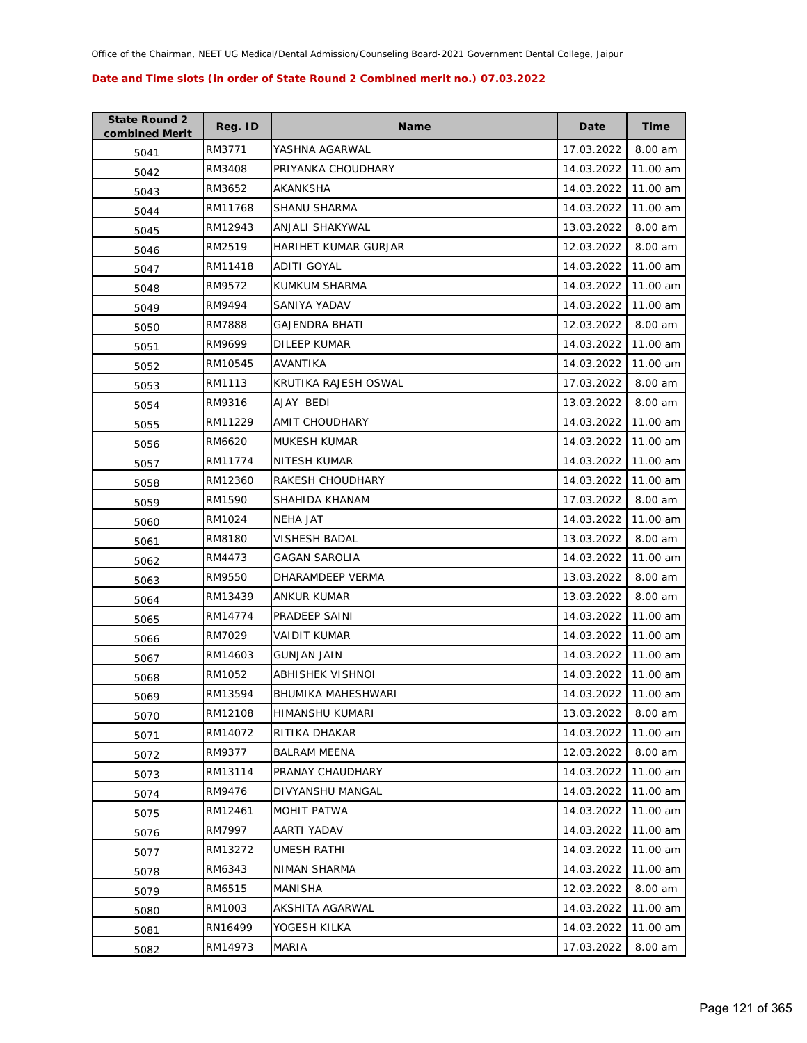| <b>State Round 2</b><br>combined Merit | Reg. ID | <b>Name</b>          | Date       | Time     |
|----------------------------------------|---------|----------------------|------------|----------|
| 5041                                   | RM3771  | YASHNA AGARWAL       | 17.03.2022 | 8.00 am  |
| 5042                                   | RM3408  | PRIYANKA CHOUDHARY   | 14.03.2022 | 11.00 am |
| 5043                                   | RM3652  | AKANKSHA             | 14.03.2022 | 11.00 am |
| 5044                                   | RM11768 | SHANU SHARMA         | 14.03.2022 | 11.00 am |
| 5045                                   | RM12943 | ANJALI SHAKYWAL      | 13.03.2022 | 8.00 am  |
| 5046                                   | RM2519  | HARIHET KUMAR GURJAR | 12.03.2022 | 8.00 am  |
| 5047                                   | RM11418 | ADITI GOYAL          | 14.03.2022 | 11.00 am |
| 5048                                   | RM9572  | KUMKUM SHARMA        | 14.03.2022 | 11.00 am |
| 5049                                   | RM9494  | SANIYA YADAV         | 14.03.2022 | 11.00 am |
| 5050                                   | RM7888  | GAJENDRA BHATI       | 12.03.2022 | 8.00 am  |
| 5051                                   | RM9699  | DILEEP KUMAR         | 14.03.2022 | 11.00 am |
| 5052                                   | RM10545 | AVANTIKA             | 14.03.2022 | 11.00 am |
| 5053                                   | RM1113  | KRUTIKA RAJESH OSWAL | 17.03.2022 | 8.00 am  |
| 5054                                   | RM9316  | AJAY BEDI            | 13.03.2022 | 8.00 am  |
| 5055                                   | RM11229 | AMIT CHOUDHARY       | 14.03.2022 | 11.00 am |
| 5056                                   | RM6620  | <b>MUKESH KUMAR</b>  | 14.03.2022 | 11.00 am |
| 5057                                   | RM11774 | NITESH KUMAR         | 14.03.2022 | 11.00 am |
| 5058                                   | RM12360 | RAKESH CHOUDHARY     | 14.03.2022 | 11.00 am |
| 5059                                   | RM1590  | SHAHIDA KHANAM       | 17.03.2022 | 8.00 am  |
| 5060                                   | RM1024  | <b>NEHA JAT</b>      | 14.03.2022 | 11.00 am |
| 5061                                   | RM8180  | VISHESH BADAL        | 13.03.2022 | 8.00 am  |
| 5062                                   | RM4473  | GAGAN SAROLIA        | 14.03.2022 | 11.00 am |
| 5063                                   | RM9550  | DHARAMDEEP VERMA     | 13.03.2022 | 8.00 am  |
| 5064                                   | RM13439 | ANKUR KUMAR          | 13.03.2022 | 8.00 am  |
| 5065                                   | RM14774 | PRADEEP SAINI        | 14.03.2022 | 11.00 am |
| 5066                                   | RM7029  | VAIDIT KUMAR         | 14.03.2022 | 11.00 am |
| 5067                                   | RM14603 | GUNJAN JAIN          | 14.03.2022 | 11.00 am |
| 5068                                   | RM1052  | ABHISHEK VISHNOI     | 14.03.2022 | 11.00 am |
| 5069                                   | RM13594 | BHUMIKA MAHESHWARI   | 14.03.2022 | 11.00 am |
| 5070                                   | RM12108 | HIMANSHU KUMARI      | 13.03.2022 | 8.00 am  |
| 5071                                   | RM14072 | RITIKA DHAKAR        | 14.03.2022 | 11.00 am |
| 5072                                   | RM9377  | <b>BALRAM MEENA</b>  | 12.03.2022 | 8.00 am  |
| 5073                                   | RM13114 | PRANAY CHAUDHARY     | 14.03.2022 | 11.00 am |
| 5074                                   | RM9476  | DIVYANSHU MANGAL     | 14.03.2022 | 11.00 am |
| 5075                                   | RM12461 | MOHIT PATWA          | 14.03.2022 | 11.00 am |
| 5076                                   | RM7997  | AARTI YADAV          | 14.03.2022 | 11.00 am |
| 5077                                   | RM13272 | UMESH RATHI          | 14.03.2022 | 11.00 am |
| 5078                                   | RM6343  | NIMAN SHARMA         | 14.03.2022 | 11.00 am |
| 5079                                   | RM6515  | MANISHA              | 12.03.2022 | 8.00 am  |
| 5080                                   | RM1003  | AKSHITA AGARWAL      | 14.03.2022 | 11.00 am |
| 5081                                   | RN16499 | YOGESH KILKA         | 14.03.2022 | 11.00 am |
| 5082                                   | RM14973 | MARIA                | 17.03.2022 | 8.00 am  |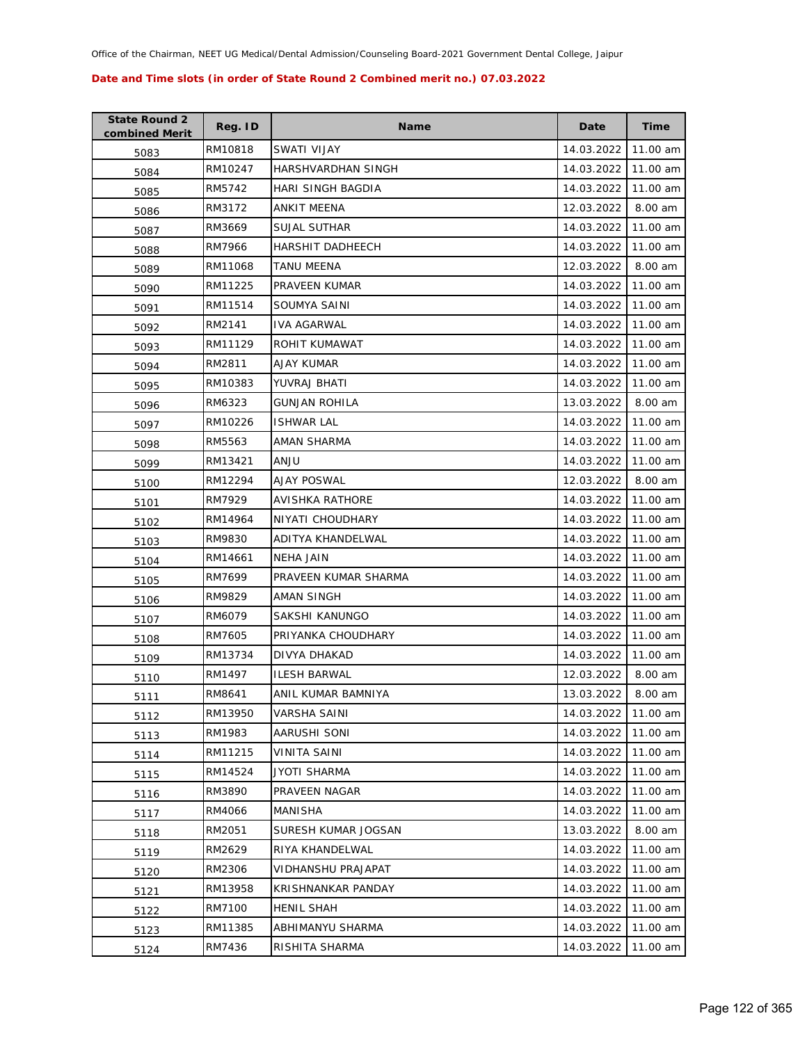| <b>State Round 2</b><br>combined Merit | Reg. ID | <b>Name</b>          | Date       | Time     |
|----------------------------------------|---------|----------------------|------------|----------|
| 5083                                   | RM10818 | SWATI VIJAY          | 14.03.2022 | 11.00 am |
| 5084                                   | RM10247 | HARSHVARDHAN SINGH   | 14.03.2022 | 11.00 am |
| 5085                                   | RM5742  | HARI SINGH BAGDIA    | 14.03.2022 | 11.00 am |
| 5086                                   | RM3172  | ANKIT MEENA          | 12.03.2022 | 8.00 am  |
| 5087                                   | RM3669  | SUJAL SUTHAR         | 14.03.2022 | 11.00 am |
| 5088                                   | RM7966  | HARSHIT DADHEECH     | 14.03.2022 | 11.00 am |
| 5089                                   | RM11068 | TANU MEENA           | 12.03.2022 | 8.00 am  |
| 5090                                   | RM11225 | PRAVEEN KUMAR        | 14.03.2022 | 11.00 am |
| 5091                                   | RM11514 | SOUMYA SAINI         | 14.03.2022 | 11.00 am |
| 5092                                   | RM2141  | IVA AGARWAL          | 14.03.2022 | 11.00 am |
| 5093                                   | RM11129 | ROHIT KUMAWAT        | 14.03.2022 | 11.00 am |
| 5094                                   | RM2811  | AJAY KUMAR           | 14.03.2022 | 11.00 am |
| 5095                                   | RM10383 | YUVRAJ BHATI         | 14.03.2022 | 11.00 am |
| 5096                                   | RM6323  | GUNJAN ROHILA        | 13.03.2022 | 8.00 am  |
| 5097                                   | RM10226 | <b>ISHWAR LAL</b>    | 14.03.2022 | 11.00 am |
| 5098                                   | RM5563  | AMAN SHARMA          | 14.03.2022 | 11.00 am |
| 5099                                   | RM13421 | ULIAA                | 14.03.2022 | 11.00 am |
| 5100                                   | RM12294 | AJAY POSWAL          | 12.03.2022 | 8.00 am  |
| 5101                                   | RM7929  | AVISHKA RATHORE      | 14.03.2022 | 11.00 am |
| 5102                                   | RM14964 | NIYATI CHOUDHARY     | 14.03.2022 | 11.00 am |
| 5103                                   | RM9830  | ADITYA KHANDELWAL    | 14.03.2022 | 11.00 am |
| 5104                                   | RM14661 | NEHA JAIN            | 14.03.2022 | 11.00 am |
| 5105                                   | RM7699  | PRAVEEN KUMAR SHARMA | 14.03.2022 | 11.00 am |
| 5106                                   | RM9829  | AMAN SINGH           | 14.03.2022 | 11.00 am |
| 5107                                   | RM6079  | SAKSHI KANUNGO       | 14.03.2022 | 11.00 am |
| 5108                                   | RM7605  | PRIYANKA CHOUDHARY   | 14.03.2022 | 11.00 am |
| 5109                                   | RM13734 | DIVYA DHAKAD         | 14.03.2022 | 11.00 am |
| 5110                                   | RM1497  | <b>ILESH BARWAL</b>  | 12.03.2022 | 8.00 am  |
| 5111                                   | RM8641  | ANIL KUMAR BAMNIYA   | 13.03.2022 | 8.00 am  |
| 5112                                   | RM13950 | VARSHA SAINI         | 14.03.2022 | 11.00 am |
| 5113                                   | RM1983  | AARUSHI SONI         | 14.03.2022 | 11.00 am |
| 5114                                   | RM11215 | VINITA SAINI         | 14.03.2022 | 11.00 am |
| 5115                                   | RM14524 | JYOTI SHARMA         | 14.03.2022 | 11.00 am |
| 5116                                   | RM3890  | PRAVEEN NAGAR        | 14.03.2022 | 11.00 am |
| 5117                                   | RM4066  | MANISHA              | 14.03.2022 | 11.00 am |
| 5118                                   | RM2051  | SURESH KUMAR JOGSAN  | 13.03.2022 | 8.00 am  |
| 5119                                   | RM2629  | RIYA KHANDELWAL      | 14.03.2022 | 11.00 am |
| 5120                                   | RM2306  | VIDHANSHU PRAJAPAT   | 14.03.2022 | 11.00 am |
| 5121                                   | RM13958 | KRISHNANKAR PANDAY   | 14.03.2022 | 11.00 am |
| 5122                                   | RM7100  | HENIL SHAH           | 14.03.2022 | 11.00 am |
| 5123                                   | RM11385 | ABHIMANYU SHARMA     | 14.03.2022 | 11.00 am |
| 5124                                   | RM7436  | RISHITA SHARMA       | 14.03.2022 | 11.00 am |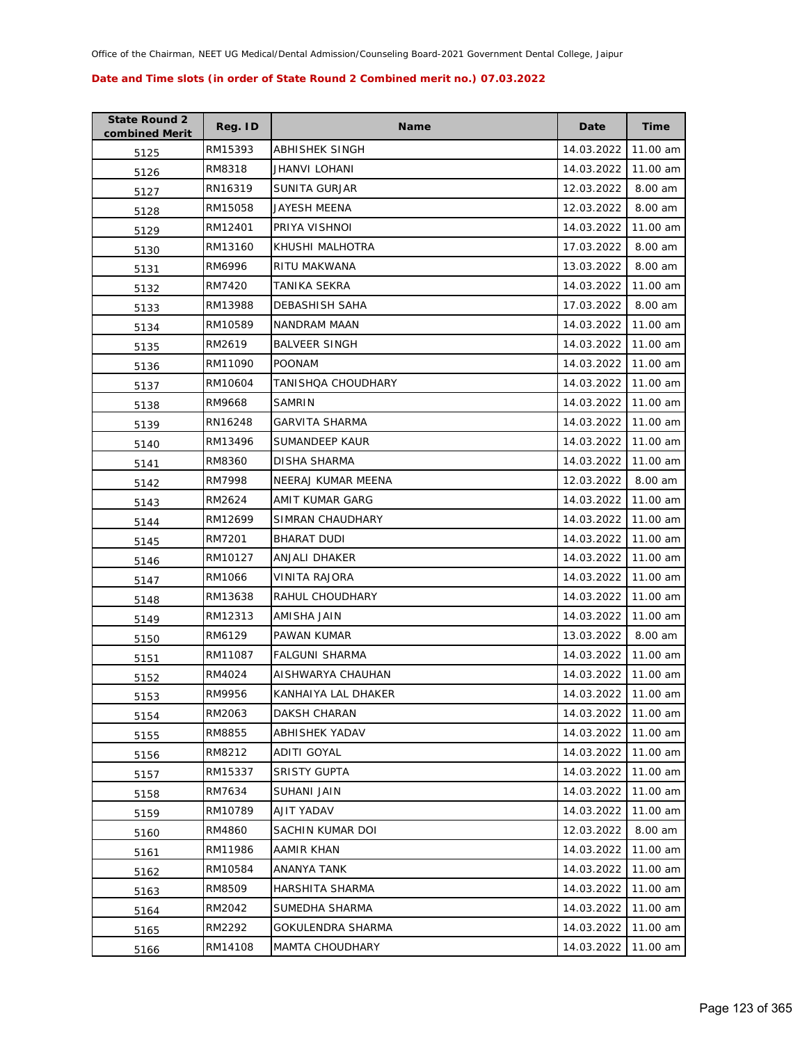| <b>State Round 2</b><br>combined Merit | Reg. ID | <b>Name</b>            | Date       | <b>Time</b> |
|----------------------------------------|---------|------------------------|------------|-------------|
| 5125                                   | RM15393 | ABHISHEK SINGH         | 14.03.2022 | 11.00 am    |
| 5126                                   | RM8318  | JHANVI LOHANI          | 14.03.2022 | 11.00 am    |
| 5127                                   | RN16319 | <b>SUNITA GURJAR</b>   | 12.03.2022 | 8.00 am     |
| 5128                                   | RM15058 | JAYESH MEENA           | 12.03.2022 | 8.00 am     |
| 5129                                   | RM12401 | PRIYA VISHNOI          | 14.03.2022 | 11.00 am    |
| 5130                                   | RM13160 | KHUSHI MALHOTRA        | 17.03.2022 | 8.00 am     |
| 5131                                   | RM6996  | RITU MAKWANA           | 13.03.2022 | 8.00 am     |
| 5132                                   | RM7420  | TANIKA SEKRA           | 14.03.2022 | 11.00 am    |
| 5133                                   | RM13988 | DEBASHISH SAHA         | 17.03.2022 | 8.00 am     |
| 5134                                   | RM10589 | NANDRAM MAAN           | 14.03.2022 | 11.00 am    |
| 5135                                   | RM2619  | <b>BALVEER SINGH</b>   | 14.03.2022 | 11.00 am    |
| 5136                                   | RM11090 | <b>POONAM</b>          | 14.03.2022 | 11.00 am    |
| 5137                                   | RM10604 | TANISHQA CHOUDHARY     | 14.03.2022 | 11.00 am    |
| 5138                                   | RM9668  | SAMRIN                 | 14.03.2022 | 11.00 am    |
| 5139                                   | RN16248 | <b>GARVITA SHARMA</b>  | 14.03.2022 | 11.00 am    |
| 5140                                   | RM13496 | <b>SUMANDEEP KAUR</b>  | 14.03.2022 | 11.00 am    |
| 5141                                   | RM8360  | <b>DISHA SHARMA</b>    | 14.03.2022 | 11.00 am    |
| 5142                                   | RM7998  | NEERAJ KUMAR MEENA     | 12.03.2022 | 8.00 am     |
| 5143                                   | RM2624  | AMIT KUMAR GARG        | 14.03.2022 | 11.00 am    |
| 5144                                   | RM12699 | SIMRAN CHAUDHARY       | 14.03.2022 | 11.00 am    |
| 5145                                   | RM7201  | BHARAT DUDI            | 14.03.2022 | 11.00 am    |
| 5146                                   | RM10127 | ANJALI DHAKER          | 14.03.2022 | 11.00 am    |
| 5147                                   | RM1066  | VINITA RAJORA          | 14.03.2022 | 11.00 am    |
| 5148                                   | RM13638 | RAHUL CHOUDHARY        | 14.03.2022 | 11.00 am    |
| 5149                                   | RM12313 | AMISHA JAIN            | 14.03.2022 | 11.00 am    |
| 5150                                   | RM6129  | PAWAN KUMAR            | 13.03.2022 | 8.00 am     |
| 5151                                   | RM11087 | <b>FALGUNI SHARMA</b>  | 14.03.2022 | 11.00 am    |
| 5152                                   | RM4024  | AISHWARYA CHAUHAN      | 14.03.2022 | 11.00 am    |
| 5153                                   | RM9956  | KANHAIYA LAL DHAKER    | 14.03.2022 | 11.00 am    |
| 5154                                   | RM2063  | DAKSH CHARAN           | 14.03.2022 | 11.00 am    |
| 5155                                   | RM8855  | ABHISHEK YADAV         | 14.03.2022 | 11.00 am    |
| 5156                                   | RM8212  | ADITI GOYAL            | 14.03.2022 | 11.00 am    |
| 5157                                   | RM15337 | <b>SRISTY GUPTA</b>    | 14.03.2022 | 11.00 am    |
| 5158                                   | RM7634  | SUHANI JAIN            | 14.03.2022 | 11.00 am    |
| 5159                                   | RM10789 | AJIT YADAV             | 14.03.2022 | 11.00 am    |
| 5160                                   | RM4860  | SACHIN KUMAR DOI       | 12.03.2022 | 8.00 am     |
| 5161                                   | RM11986 | AAMIR KHAN             | 14.03.2022 | 11.00 am    |
| 5162                                   | RM10584 | ANANYA TANK            | 14.03.2022 | 11.00 am    |
| 5163                                   | RM8509  | HARSHITA SHARMA        | 14.03.2022 | 11.00 am    |
| 5164                                   | RM2042  | SUMEDHA SHARMA         | 14.03.2022 | 11.00 am    |
| 5165                                   | RM2292  | GOKULENDRA SHARMA      | 14.03.2022 | 11.00 am    |
| 5166                                   | RM14108 | <b>MAMTA CHOUDHARY</b> | 14.03.2022 | 11.00 am    |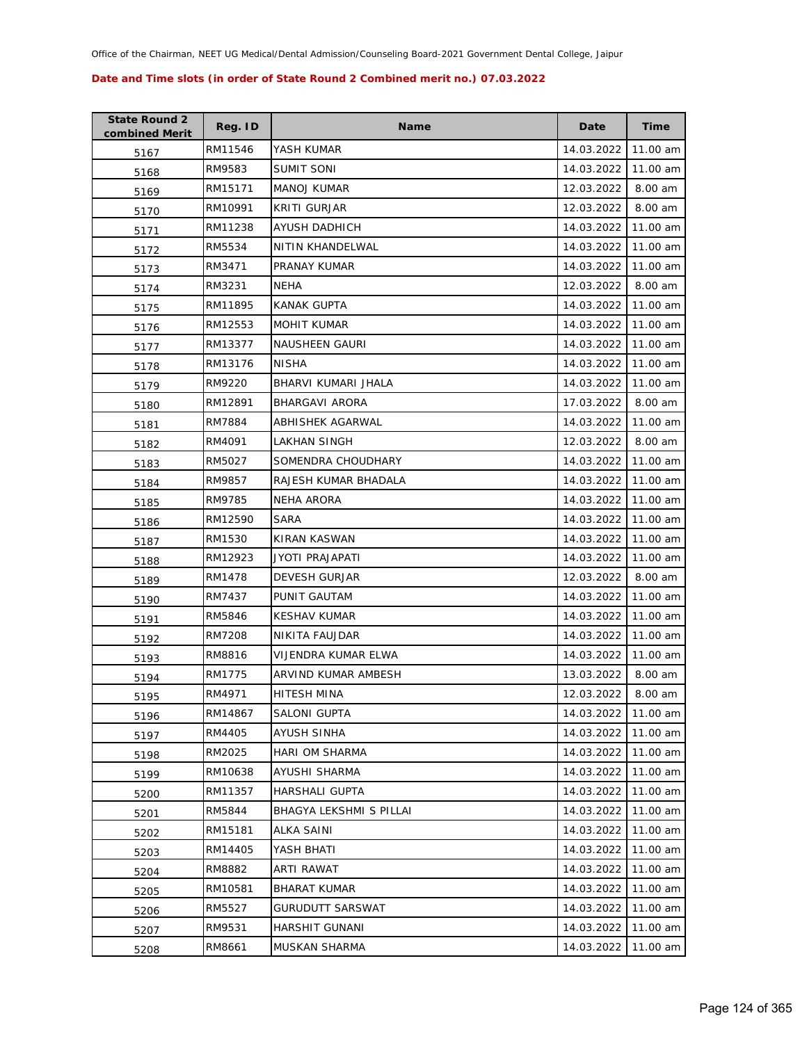| <b>State Round 2</b><br>combined Merit | Reg. ID | <b>Name</b>             | Date       | <b>Time</b> |
|----------------------------------------|---------|-------------------------|------------|-------------|
| 5167                                   | RM11546 | YASH KUMAR              | 14.03.2022 | 11.00 am    |
| 5168                                   | RM9583  | <b>SUMIT SONI</b>       | 14.03.2022 | 11.00 am    |
| 5169                                   | RM15171 | <b>MANOJ KUMAR</b>      | 12.03.2022 | 8.00 am     |
| 5170                                   | RM10991 | <b>KRITI GURJAR</b>     | 12.03.2022 | 8.00 am     |
| 5171                                   | RM11238 | AYUSH DADHICH           | 14.03.2022 | 11.00 am    |
| 5172                                   | RM5534  | NITIN KHANDELWAL        | 14.03.2022 | 11.00 am    |
| 5173                                   | RM3471  | PRANAY KUMAR            | 14.03.2022 | 11.00 am    |
| 5174                                   | RM3231  | NEHA                    | 12.03.2022 | 8.00 am     |
| 5175                                   | RM11895 | KANAK GUPTA             | 14.03.2022 | 11.00 am    |
| 5176                                   | RM12553 | <b>MOHIT KUMAR</b>      | 14.03.2022 | 11.00 am    |
| 5177                                   | RM13377 | NAUSHEEN GAURI          | 14.03.2022 | 11.00 am    |
| 5178                                   | RM13176 | <b>NISHA</b>            | 14.03.2022 | 11.00 am    |
| 5179                                   | RM9220  | BHARVI KUMARI JHALA     | 14.03.2022 | 11.00 am    |
| 5180                                   | RM12891 | BHARGAVI ARORA          | 17.03.2022 | 8.00 am     |
| 5181                                   | RM7884  | ABHISHEK AGARWAL        | 14.03.2022 | 11.00 am    |
| 5182                                   | RM4091  | LAKHAN SINGH            | 12.03.2022 | 8.00 am     |
| 5183                                   | RM5027  | SOMENDRA CHOUDHARY      | 14.03.2022 | 11.00 am    |
| 5184                                   | RM9857  | RAJESH KUMAR BHADALA    | 14.03.2022 | 11.00 am    |
| 5185                                   | RM9785  | NEHA ARORA              | 14.03.2022 | 11.00 am    |
| 5186                                   | RM12590 | SARA                    | 14.03.2022 | 11.00 am    |
| 5187                                   | RM1530  | KIRAN KASWAN            | 14.03.2022 | 11.00 am    |
| 5188                                   | RM12923 | JYOTI PRAJAPATI         | 14.03.2022 | 11.00 am    |
| 5189                                   | RM1478  | <b>DEVESH GURJAR</b>    | 12.03.2022 | 8.00 am     |
| 5190                                   | RM7437  | PUNIT GAUTAM            | 14.03.2022 | 11.00 am    |
| 5191                                   | RM5846  | <b>KESHAV KUMAR</b>     | 14.03.2022 | 11.00 am    |
| 5192                                   | RM7208  | NIKITA FAUJDAR          | 14.03.2022 | 11.00 am    |
| 5193                                   | RM8816  | VIJENDRA KUMAR ELWA     | 14.03.2022 | 11.00 am    |
| 5194                                   | RM1775  | ARVIND KUMAR AMBESH     | 13.03.2022 | 8.00 am     |
| 5195                                   | RM4971  | HITESH MINA             | 12.03.2022 | 8.00 am     |
| 5196                                   | RM14867 | SALONI GUPTA            | 14.03.2022 | 11.00 am    |
| 5197                                   | RM4405  | <b>AYUSH SINHA</b>      | 14.03.2022 | 11.00 am    |
| 5198                                   | RM2025  | HARI OM SHARMA          | 14.03.2022 | 11.00 am    |
| 5199                                   | RM10638 | AYUSHI SHARMA           | 14.03.2022 | 11.00 am    |
| 5200                                   | RM11357 | HARSHALI GUPTA          | 14.03.2022 | 11.00 am    |
| 5201                                   | RM5844  | BHAGYA LEKSHMI S PILLAI | 14.03.2022 | 11.00 am    |
| 5202                                   | RM15181 | ALKA SAINI              | 14.03.2022 | 11.00 am    |
| 5203                                   | RM14405 | YASH BHATI              | 14.03.2022 | 11.00 am    |
| 5204                                   | RM8882  | ARTI RAWAT              | 14.03.2022 | 11.00 am    |
| 5205                                   | RM10581 | <b>BHARAT KUMAR</b>     | 14.03.2022 | 11.00 am    |
| 5206                                   | RM5527  | <b>GURUDUTT SARSWAT</b> | 14.03.2022 | 11.00 am    |
| 5207                                   | RM9531  | HARSHIT GUNANI          | 14.03.2022 | 11.00 am    |
| 5208                                   | RM8661  | MUSKAN SHARMA           | 14.03.2022 | 11.00 am    |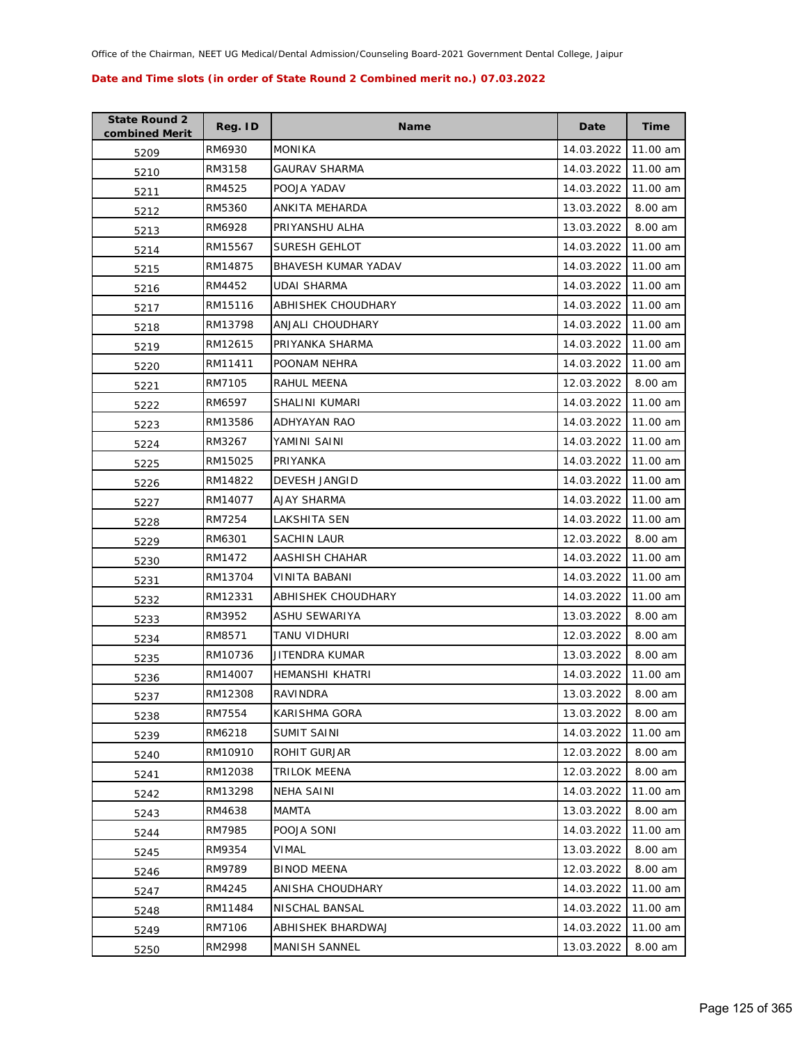| <b>State Round 2</b><br>combined Merit | Reg. ID | <b>Name</b>          | Date       | <b>Time</b> |
|----------------------------------------|---------|----------------------|------------|-------------|
| 5209                                   | RM6930  | <b>MONIKA</b>        | 14.03.2022 | 11.00 am    |
| 5210                                   | RM3158  | <b>GAURAV SHARMA</b> | 14.03.2022 | 11.00 am    |
| 5211                                   | RM4525  | POOJA YADAV          | 14.03.2022 | 11.00 am    |
| 5212                                   | RM5360  | ANKITA MEHARDA       | 13.03.2022 | 8.00 am     |
| 5213                                   | RM6928  | PRIYANSHU ALHA       | 13.03.2022 | 8.00 am     |
| 5214                                   | RM15567 | <b>SURESH GEHLOT</b> | 14.03.2022 | 11.00 am    |
| 5215                                   | RM14875 | BHAVESH KUMAR YADAV  | 14.03.2022 | 11.00 am    |
| 5216                                   | RM4452  | <b>UDAI SHARMA</b>   | 14.03.2022 | 11.00 am    |
| 5217                                   | RM15116 | ABHISHEK CHOUDHARY   | 14.03.2022 | 11.00 am    |
| 5218                                   | RM13798 | ANJALI CHOUDHARY     | 14.03.2022 | 11.00 am    |
| 5219                                   | RM12615 | PRIYANKA SHARMA      | 14.03.2022 | 11.00 am    |
| 5220                                   | RM11411 | POONAM NEHRA         | 14.03.2022 | 11.00 am    |
| 5221                                   | RM7105  | RAHUL MEENA          | 12.03.2022 | 8.00 am     |
| 5222                                   | RM6597  | SHALINI KUMARI       | 14.03.2022 | 11.00 am    |
| 5223                                   | RM13586 | <b>ADHYAYAN RAO</b>  | 14.03.2022 | 11.00 am    |
| 5224                                   | RM3267  | YAMINI SAINI         | 14.03.2022 | 11.00 am    |
| 5225                                   | RM15025 | PRIYANKA             | 14.03.2022 | 11.00 am    |
| 5226                                   | RM14822 | DEVESH JANGID        | 14.03.2022 | 11.00 am    |
| 5227                                   | RM14077 | AJAY SHARMA          | 14.03.2022 | 11.00 am    |
| 5228                                   | RM7254  | LAKSHITA SEN         | 14.03.2022 | 11.00 am    |
| 5229                                   | RM6301  | <b>SACHIN LAUR</b>   | 12.03.2022 | 8.00 am     |
| 5230                                   | RM1472  | AASHISH CHAHAR       | 14.03.2022 | 11.00 am    |
| 5231                                   | RM13704 | VINITA BABANI        | 14.03.2022 | 11.00 am    |
| 5232                                   | RM12331 | ABHISHEK CHOUDHARY   | 14.03.2022 | 11.00 am    |
| 5233                                   | RM3952  | ASHU SEWARIYA        | 13.03.2022 | 8.00 am     |
| 5234                                   | RM8571  | TANU VIDHURI         | 12.03.2022 | 8.00 am     |
| 5235                                   | RM10736 | JITENDRA KUMAR       | 13.03.2022 | 8.00 am     |
| 5236                                   | RM14007 | HEMANSHI KHATRI      | 14.03.2022 | 11.00 am    |
| 5237                                   | RM12308 | RAVINDRA             | 13.03.2022 | 8.00 am     |
| 5238                                   | RM7554  | KARISHMA GORA        | 13.03.2022 | 8.00 am     |
| 5239                                   | RM6218  | SUMIT SAINI          | 14.03.2022 | 11.00 am    |
| 5240                                   | RM10910 | ROHIT GURJAR         | 12.03.2022 | 8.00 am     |
| 5241                                   | RM12038 | <b>TRILOK MEENA</b>  | 12.03.2022 | 8.00 am     |
| 5242                                   | RM13298 | NEHA SAINI           | 14.03.2022 | 11.00 am    |
| 5243                                   | RM4638  | <b>MAMTA</b>         | 13.03.2022 | 8.00 am     |
| 5244                                   | RM7985  | POOJA SONI           | 14.03.2022 | 11.00 am    |
| 5245                                   | RM9354  | <b>VIMAL</b>         | 13.03.2022 | 8.00 am     |
| 5246                                   | RM9789  | <b>BINOD MEENA</b>   | 12.03.2022 | 8.00 am     |
| 5247                                   | RM4245  | ANISHA CHOUDHARY     | 14.03.2022 | 11.00 am    |
| 5248                                   | RM11484 | NISCHAL BANSAL       | 14.03.2022 | 11.00 am    |
| 5249                                   | RM7106  | ABHISHEK BHARDWAJ    | 14.03.2022 | 11.00 am    |
| 5250                                   | RM2998  | MANISH SANNEL        | 13.03.2022 | 8.00 am     |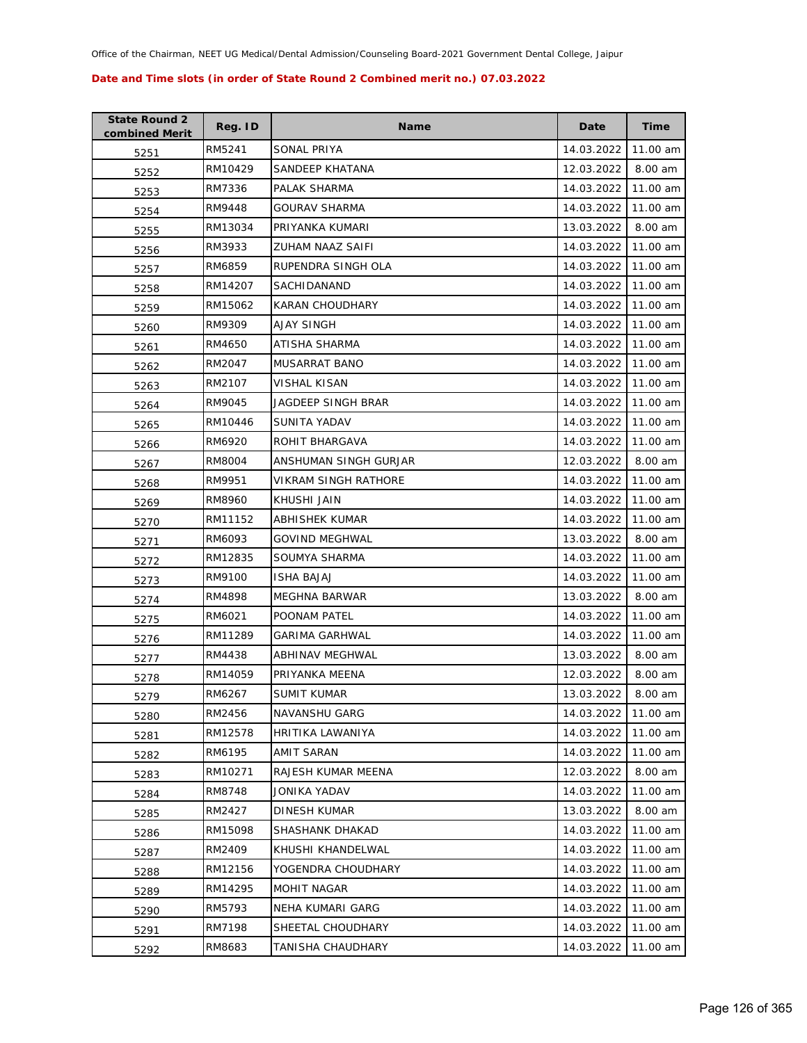| <b>State Round 2</b><br>combined Merit | Reg. ID | <b>Name</b>           | Date       | <b>Time</b> |
|----------------------------------------|---------|-----------------------|------------|-------------|
| 5251                                   | RM5241  | SONAL PRIYA           | 14.03.2022 | 11.00 am    |
| 5252                                   | RM10429 | SANDEEP KHATANA       | 12.03.2022 | 8.00 am     |
| 5253                                   | RM7336  | PALAK SHARMA          | 14.03.2022 | 11.00 am    |
| 5254                                   | RM9448  | <b>GOURAV SHARMA</b>  | 14.03.2022 | 11.00 am    |
| 5255                                   | RM13034 | PRIYANKA KUMARI       | 13.03.2022 | 8.00 am     |
| 5256                                   | RM3933  | ZUHAM NAAZ SAIFI      | 14.03.2022 | 11.00 am    |
| 5257                                   | RM6859  | RUPENDRA SINGH OLA    | 14.03.2022 | 11.00 am    |
| 5258                                   | RM14207 | <b>SACHIDANAND</b>    | 14.03.2022 | 11.00 am    |
| 5259                                   | RM15062 | KARAN CHOUDHARY       | 14.03.2022 | 11.00 am    |
| 5260                                   | RM9309  | AJAY SINGH            | 14.03.2022 | 11.00 am    |
| 5261                                   | RM4650  | ATISHA SHARMA         | 14.03.2022 | 11.00 am    |
| 5262                                   | RM2047  | MUSARRAT BANO         | 14.03.2022 | 11.00 am    |
| 5263                                   | RM2107  | VISHAL KISAN          | 14.03.2022 | 11.00 am    |
| 5264                                   | RM9045  | JAGDEEP SINGH BRAR    | 14.03.2022 | 11.00 am    |
| 5265                                   | RM10446 | SUNITA YADAV          | 14.03.2022 | 11.00 am    |
| 5266                                   | RM6920  | ROHIT BHARGAVA        | 14.03.2022 | 11.00 am    |
| 5267                                   | RM8004  | ANSHUMAN SINGH GURJAR | 12.03.2022 | 8.00 am     |
| 5268                                   | RM9951  | VIKRAM SINGH RATHORE  | 14.03.2022 | 11.00 am    |
| 5269                                   | RM8960  | KHUSHI JAIN           | 14.03.2022 | 11.00 am    |
| 5270                                   | RM11152 | ABHISHEK KUMAR        | 14.03.2022 | 11.00 am    |
| 5271                                   | RM6093  | <b>GOVIND MEGHWAL</b> | 13.03.2022 | 8.00 am     |
| 5272                                   | RM12835 | SOUMYA SHARMA         | 14.03.2022 | 11.00 am    |
| 5273                                   | RM9100  | ISHA BAJAJ            | 14.03.2022 | 11.00 am    |
| 5274                                   | RM4898  | MEGHNA BARWAR         | 13.03.2022 | 8.00 am     |
| 5275                                   | RM6021  | POONAM PATEL          | 14.03.2022 | 11.00 am    |
| 5276                                   | RM11289 | <b>GARIMA GARHWAL</b> | 14.03.2022 | 11.00 am    |
| 5277                                   | RM4438  | ABHINAV MEGHWAL       | 13.03.2022 | 8.00 am     |
| 5278                                   | RM14059 | PRIYANKA MEENA        | 12.03.2022 | 8.00 am     |
| 5279                                   | RM6267  | <b>SUMIT KUMAR</b>    | 13.03.2022 | 8.00 am     |
| 5280                                   | RM2456  | NAVANSHU GARG         | 14.03.2022 | 11.00 am    |
| 5281                                   | RM12578 | HRITIKA LAWANIYA      | 14.03.2022 | 11.00 am    |
| 5282                                   | RM6195  | AMIT SARAN            | 14.03.2022 | 11.00 am    |
| 5283                                   | RM10271 | RAJESH KUMAR MEENA    | 12.03.2022 | 8.00 am     |
| 5284                                   | RM8748  | JONIKA YADAV          | 14.03.2022 | 11.00 am    |
| 5285                                   | RM2427  | DINESH KUMAR          | 13.03.2022 | 8.00 am     |
| 5286                                   | RM15098 | SHASHANK DHAKAD       | 14.03.2022 | 11.00 am    |
| 5287                                   | RM2409  | KHUSHI KHANDELWAL     | 14.03.2022 | 11.00 am    |
| 5288                                   | RM12156 | YOGENDRA CHOUDHARY    | 14.03.2022 | 11.00 am    |
| 5289                                   | RM14295 | MOHIT NAGAR           | 14.03.2022 | 11.00 am    |
| 5290                                   | RM5793  | NEHA KUMARI GARG      | 14.03.2022 | 11.00 am    |
| 5291                                   | RM7198  | SHEETAL CHOUDHARY     | 14.03.2022 | 11.00 am    |
| 5292                                   | RM8683  | TANISHA CHAUDHARY     | 14.03.2022 | 11.00 am    |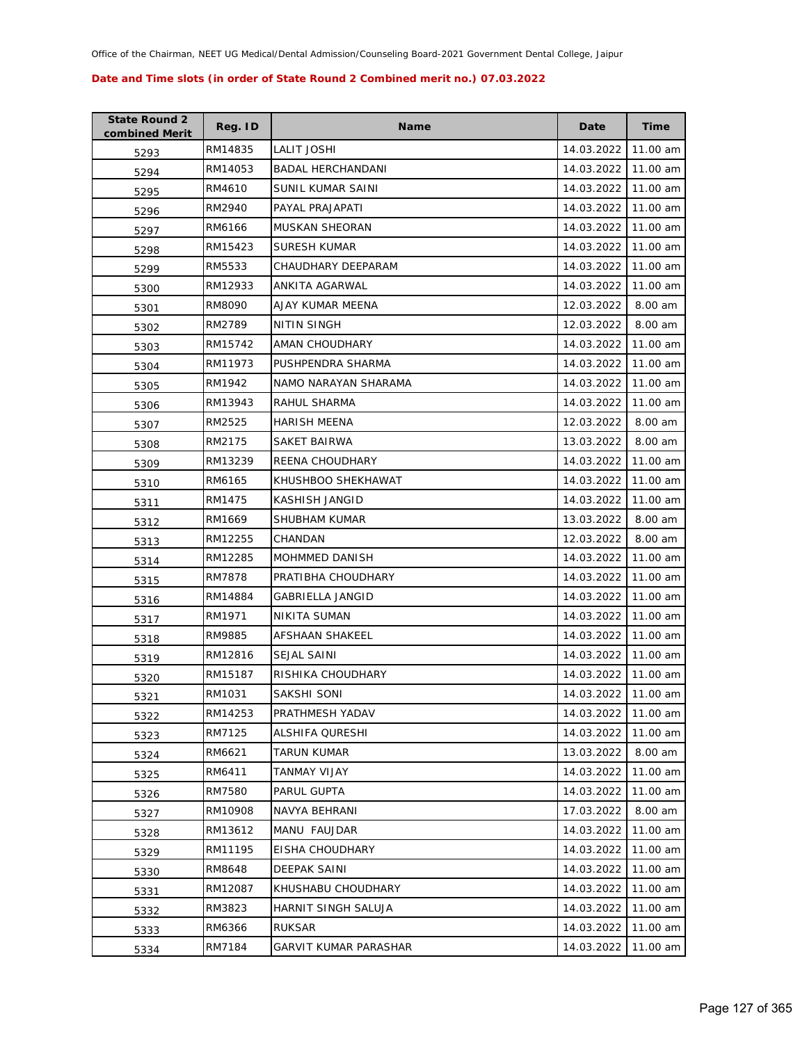| <b>State Round 2</b><br>combined Merit | Reg. ID | <b>Name</b>              | Date       | <b>Time</b> |
|----------------------------------------|---------|--------------------------|------------|-------------|
| 5293                                   | RM14835 | LALIT JOSHI              | 14.03.2022 | 11.00 am    |
| 5294                                   | RM14053 | <b>BADAL HERCHANDANI</b> | 14.03.2022 | 11.00 am    |
| 5295                                   | RM4610  | SUNIL KUMAR SAINI        | 14.03.2022 | 11.00 am    |
| 5296                                   | RM2940  | PAYAL PRAJAPATI          | 14.03.2022 | 11.00 am    |
| 5297                                   | RM6166  | MUSKAN SHEORAN           | 14.03.2022 | 11.00 am    |
| 5298                                   | RM15423 | SURESH KUMAR             | 14.03.2022 | 11.00 am    |
| 5299                                   | RM5533  | CHAUDHARY DEEPARAM       | 14.03.2022 | 11.00 am    |
| 5300                                   | RM12933 | ANKITA AGARWAL           | 14.03.2022 | 11.00 am    |
| 5301                                   | RM8090  | AJAY KUMAR MEENA         | 12.03.2022 | 8.00 am     |
| 5302                                   | RM2789  | NITIN SINGH              | 12.03.2022 | 8.00 am     |
| 5303                                   | RM15742 | AMAN CHOUDHARY           | 14.03.2022 | 11.00 am    |
| 5304                                   | RM11973 | PUSHPENDRA SHARMA        | 14.03.2022 | 11.00 am    |
| 5305                                   | RM1942  | NAMO NARAYAN SHARAMA     | 14.03.2022 | 11.00 am    |
| 5306                                   | RM13943 | RAHUL SHARMA             | 14.03.2022 | 11.00 am    |
| 5307                                   | RM2525  | <b>HARISH MEENA</b>      | 12.03.2022 | 8.00 am     |
| 5308                                   | RM2175  | SAKET BAIRWA             | 13.03.2022 | 8.00 am     |
| 5309                                   | RM13239 | REENA CHOUDHARY          | 14.03.2022 | 11.00 am    |
| 5310                                   | RM6165  | KHUSHBOO SHEKHAWAT       | 14.03.2022 | 11.00 am    |
| 5311                                   | RM1475  | KASHISH JANGID           | 14.03.2022 | 11.00 am    |
| 5312                                   | RM1669  | SHUBHAM KUMAR            | 13.03.2022 | 8.00 am     |
| 5313                                   | RM12255 | CHANDAN                  | 12.03.2022 | 8.00 am     |
| 5314                                   | RM12285 | <b>MOHMMED DANISH</b>    | 14.03.2022 | 11.00 am    |
| 5315                                   | RM7878  | PRATIBHA CHOUDHARY       | 14.03.2022 | 11.00 am    |
| 5316                                   | RM14884 | GABRIELLA JANGID         | 14.03.2022 | 11.00 am    |
| 5317                                   | RM1971  | NIKITA SUMAN             | 14.03.2022 | 11.00 am    |
| 5318                                   | RM9885  | <b>AFSHAAN SHAKEEL</b>   | 14.03.2022 | 11.00 am    |
| 5319                                   | RM12816 | <b>SEJAL SAINI</b>       | 14.03.2022 | 11.00 am    |
| 5320                                   | RM15187 | RISHIKA CHOUDHARY        | 14.03.2022 | 11.00 am    |
| 5321                                   | RM1031  | <b>SAKSHI SONI</b>       | 14.03.2022 | 11.00 am    |
| 5322                                   | RM14253 | PRATHMESH YADAV          | 14.03.2022 | 11.00 am    |
| 5323                                   | RM7125  | ALSHIFA QURESHI          | 14.03.2022 | 11.00 am    |
| 5324                                   | RM6621  | TARUN KUMAR              | 13.03.2022 | 8.00 am     |
| 5325                                   | RM6411  | TANMAY VIJAY             | 14.03.2022 | 11.00 am    |
| 5326                                   | RM7580  | PARUL GUPTA              | 14.03.2022 | 11.00 am    |
| 5327                                   | RM10908 | NAVYA BEHRANI            | 17.03.2022 | 8.00 am     |
| 5328                                   | RM13612 | MANU FAUJDAR             | 14.03.2022 | 11.00 am    |
| 5329                                   | RM11195 | EISHA CHOUDHARY          | 14.03.2022 | 11.00 am    |
| 5330                                   | RM8648  | DEEPAK SAINI             | 14.03.2022 | 11.00 am    |
| 5331                                   | RM12087 | KHUSHABU CHOUDHARY       | 14.03.2022 | 11.00 am    |
| 5332                                   | RM3823  | HARNIT SINGH SALUJA      | 14.03.2022 | 11.00 am    |
| 5333                                   | RM6366  | <b>RUKSAR</b>            | 14.03.2022 | 11.00 am    |
| 5334                                   | RM7184  | GARVIT KUMAR PARASHAR    | 14.03.2022 | 11.00 am    |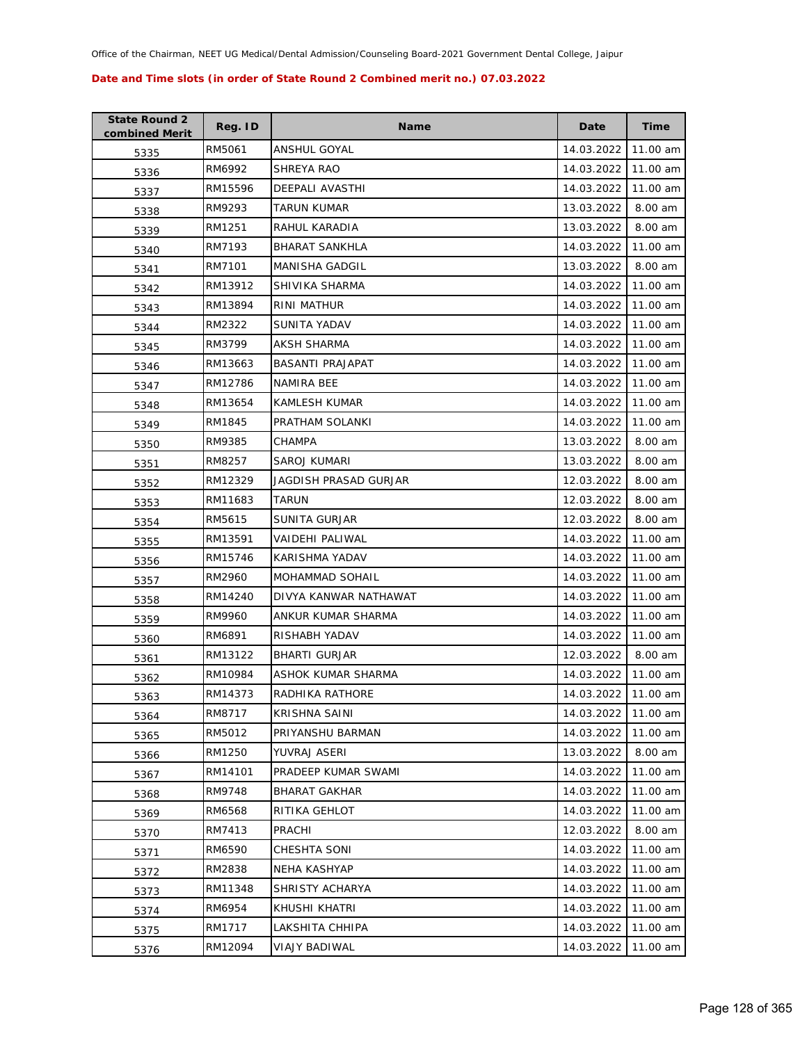| <b>State Round 2</b><br>combined Merit | Reg. ID | <b>Name</b>             | Date       | Time     |
|----------------------------------------|---------|-------------------------|------------|----------|
| 5335                                   | RM5061  | ANSHUL GOYAL            | 14.03.2022 | 11.00 am |
| 5336                                   | RM6992  | SHREYA RAO              | 14.03.2022 | 11.00 am |
| 5337                                   | RM15596 | <b>DEEPALI AVASTHI</b>  | 14.03.2022 | 11.00 am |
| 5338                                   | RM9293  | TARUN KUMAR             | 13.03.2022 | 8.00 am  |
| 5339                                   | RM1251  | RAHUL KARADIA           | 13.03.2022 | 8.00 am  |
| 5340                                   | RM7193  | <b>BHARAT SANKHLA</b>   | 14.03.2022 | 11.00 am |
| 5341                                   | RM7101  | <b>MANISHA GADGIL</b>   | 13.03.2022 | 8.00 am  |
| 5342                                   | RM13912 | SHIVIKA SHARMA          | 14.03.2022 | 11.00 am |
| 5343                                   | RM13894 | RINI MATHUR             | 14.03.2022 | 11.00 am |
| 5344                                   | RM2322  | SUNITA YADAV            | 14.03.2022 | 11.00 am |
| 5345                                   | RM3799  | <b>AKSH SHARMA</b>      | 14.03.2022 | 11.00 am |
| 5346                                   | RM13663 | <b>BASANTI PRAJAPAT</b> | 14.03.2022 | 11.00 am |
| 5347                                   | RM12786 | NAMIRA BEE              | 14.03.2022 | 11.00 am |
| 5348                                   | RM13654 | KAMLESH KUMAR           | 14.03.2022 | 11.00 am |
| 5349                                   | RM1845  | PRATHAM SOLANKI         | 14.03.2022 | 11.00 am |
| 5350                                   | RM9385  | CHAMPA                  | 13.03.2022 | 8.00 am  |
| 5351                                   | RM8257  | SAROJ KUMARI            | 13.03.2022 | 8.00 am  |
| 5352                                   | RM12329 | JAGDISH PRASAD GURJAR   | 12.03.2022 | 8.00 am  |
| 5353                                   | RM11683 | TARUN                   | 12.03.2022 | 8.00 am  |
| 5354                                   | RM5615  | SUNITA GURJAR           | 12.03.2022 | 8.00 am  |
| 5355                                   | RM13591 | VAIDEHI PALIWAL         | 14.03.2022 | 11.00 am |
| 5356                                   | RM15746 | KARISHMA YADAV          | 14.03.2022 | 11.00 am |
| 5357                                   | RM2960  | MOHAMMAD SOHAIL         | 14.03.2022 | 11.00 am |
| 5358                                   | RM14240 | DIVYA KANWAR NATHAWAT   | 14.03.2022 | 11.00 am |
| 5359                                   | RM9960  | ANKUR KUMAR SHARMA      | 14.03.2022 | 11.00 am |
| 5360                                   | RM6891  | RISHABH YADAV           | 14.03.2022 | 11.00 am |
| 5361                                   | RM13122 | <b>BHARTI GURJAR</b>    | 12.03.2022 | 8.00 am  |
| 5362                                   | RM10984 | ASHOK KUMAR SHARMA      | 14.03.2022 | 11.00 am |
| 5363                                   | RM14373 | RADHIKA RATHORE         | 14.03.2022 | 11.00 am |
| 5364                                   | RM8717  | <b>KRISHNA SAINI</b>    | 14.03.2022 | 11.00 am |
| 5365                                   | RM5012  | PRIYANSHU BARMAN        | 14.03.2022 | 11.00 am |
| 5366                                   | RM1250  | YUVRAJ ASERI            | 13.03.2022 | 8.00 am  |
| 5367                                   | RM14101 | PRADEEP KUMAR SWAMI     | 14.03.2022 | 11.00 am |
| 5368                                   | RM9748  | <b>BHARAT GAKHAR</b>    | 14.03.2022 | 11.00 am |
| 5369                                   | RM6568  | RITIKA GEHLOT           | 14.03.2022 | 11.00 am |
| 5370                                   | RM7413  | PRACHI                  | 12.03.2022 | 8.00 am  |
| 5371                                   | RM6590  | CHESHTA SONI            | 14.03.2022 | 11.00 am |
| 5372                                   | RM2838  | NEHA KASHYAP            | 14.03.2022 | 11.00 am |
| 5373                                   | RM11348 | SHRISTY ACHARYA         | 14.03.2022 | 11.00 am |
| 5374                                   | RM6954  | KHUSHI KHATRI           | 14.03.2022 | 11.00 am |
| 5375                                   | RM1717  | LAKSHITA CHHIPA         | 14.03.2022 | 11.00 am |
| 5376                                   | RM12094 | VIAJY BADIWAL           | 14.03.2022 | 11.00 am |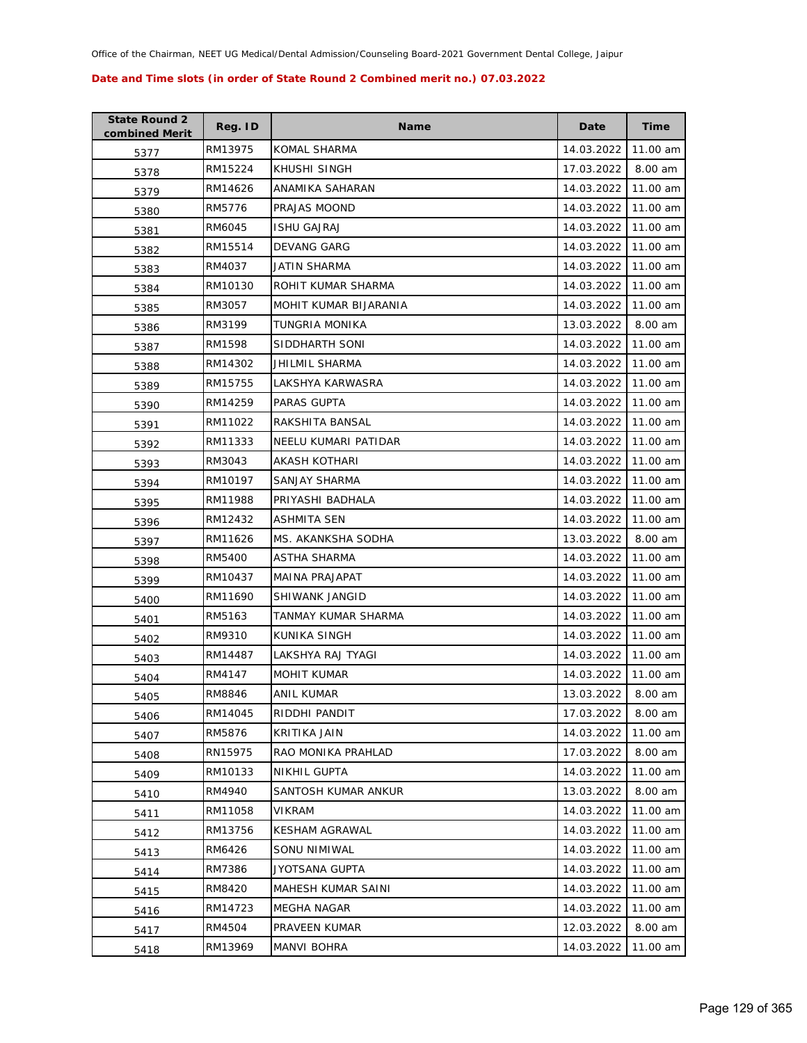| <b>State Round 2</b><br>combined Merit | Reg. ID | <b>Name</b>           | Date       | <b>Time</b> |
|----------------------------------------|---------|-----------------------|------------|-------------|
| 5377                                   | RM13975 | KOMAL SHARMA          | 14.03.2022 | 11.00 am    |
| 5378                                   | RM15224 | KHUSHI SINGH          | 17.03.2022 | 8.00 am     |
| 5379                                   | RM14626 | ANAMIKA SAHARAN       | 14.03.2022 | 11.00 am    |
| 5380                                   | RM5776  | PRAJAS MOOND          | 14.03.2022 | 11.00 am    |
| 5381                                   | RM6045  | <b>ISHU GAJRAJ</b>    | 14.03.2022 | 11.00 am    |
| 5382                                   | RM15514 | DEVANG GARG           | 14.03.2022 | 11.00 am    |
| 5383                                   | RM4037  | JATIN SHARMA          | 14.03.2022 | 11.00 am    |
| 5384                                   | RM10130 | ROHIT KUMAR SHARMA    | 14.03.2022 | 11.00 am    |
| 5385                                   | RM3057  | MOHIT KUMAR BIJARANIA | 14.03.2022 | 11.00 am    |
| 5386                                   | RM3199  | TUNGRIA MONIKA        | 13.03.2022 | 8.00 am     |
| 5387                                   | RM1598  | SIDDHARTH SONI        | 14.03.2022 | 11.00 am    |
| 5388                                   | RM14302 | JHILMIL SHARMA        | 14.03.2022 | 11.00 am    |
| 5389                                   | RM15755 | LAKSHYA KARWASRA      | 14.03.2022 | 11.00 am    |
| 5390                                   | RM14259 | PARAS GUPTA           | 14.03.2022 | 11.00 am    |
| 5391                                   | RM11022 | RAKSHITA BANSAL       | 14.03.2022 | 11.00 am    |
| 5392                                   | RM11333 | NEELU KUMARI PATIDAR  | 14.03.2022 | 11.00 am    |
| 5393                                   | RM3043  | <b>AKASH KOTHARI</b>  | 14.03.2022 | 11.00 am    |
| 5394                                   | RM10197 | SANJAY SHARMA         | 14.03.2022 | 11.00 am    |
| 5395                                   | RM11988 | PRIYASHI BADHALA      | 14.03.2022 | 11.00 am    |
| 5396                                   | RM12432 | ASHMITA SEN           | 14.03.2022 | 11.00 am    |
| 5397                                   | RM11626 | MS. AKANKSHA SODHA    | 13.03.2022 | 8.00 am     |
| 5398                                   | RM5400  | ASTHA SHARMA          | 14.03.2022 | 11.00 am    |
| 5399                                   | RM10437 | MAINA PRAJAPAT        | 14.03.2022 | 11.00 am    |
| 5400                                   | RM11690 | SHIWANK JANGID        | 14.03.2022 | 11.00 am    |
| 5401                                   | RM5163  | TANMAY KUMAR SHARMA   | 14.03.2022 | 11.00 am    |
| 5402                                   | RM9310  | KUNIKA SINGH          | 14.03.2022 | 11.00 am    |
| 5403                                   | RM14487 | LAKSHYA RAJ TYAGI     | 14.03.2022 | 11.00 am    |
| 5404                                   | RM4147  | <b>MOHIT KUMAR</b>    | 14.03.2022 | 11.00 am    |
| 5405                                   | RM8846  | <b>ANIL KUMAR</b>     | 13.03.2022 | 8.00 am     |
| 5406                                   | RM14045 | RIDDHI PANDIT         | 17.03.2022 | 8.00 am     |
| 5407                                   | RM5876  | KRITIKA JAIN          | 14.03.2022 | 11.00 am    |
| 5408                                   | RN15975 | RAO MONIKA PRAHLAD    | 17.03.2022 | 8.00 am     |
| 5409                                   | RM10133 | NIKHIL GUPTA          | 14.03.2022 | 11.00 am    |
| 5410                                   | RM4940  | SANTOSH KUMAR ANKUR   | 13.03.2022 | 8.00 am     |
| 5411                                   | RM11058 | <b>VIKRAM</b>         | 14.03.2022 | 11.00 am    |
| 5412                                   | RM13756 | <b>KESHAM AGRAWAL</b> | 14.03.2022 | 11.00 am    |
| 5413                                   | RM6426  | <b>SONU NIMIWAL</b>   | 14.03.2022 | 11.00 am    |
| 5414                                   | RM7386  | JYOTSANA GUPTA        | 14.03.2022 | 11.00 am    |
| 5415                                   | RM8420  | MAHESH KUMAR SAINI    | 14.03.2022 | 11.00 am    |
| 5416                                   | RM14723 | MEGHA NAGAR           | 14.03.2022 | 11.00 am    |
| 5417                                   | RM4504  | PRAVEEN KUMAR         | 12.03.2022 | 8.00 am     |
| 5418                                   | RM13969 | MANVI BOHRA           | 14.03.2022 | 11.00 am    |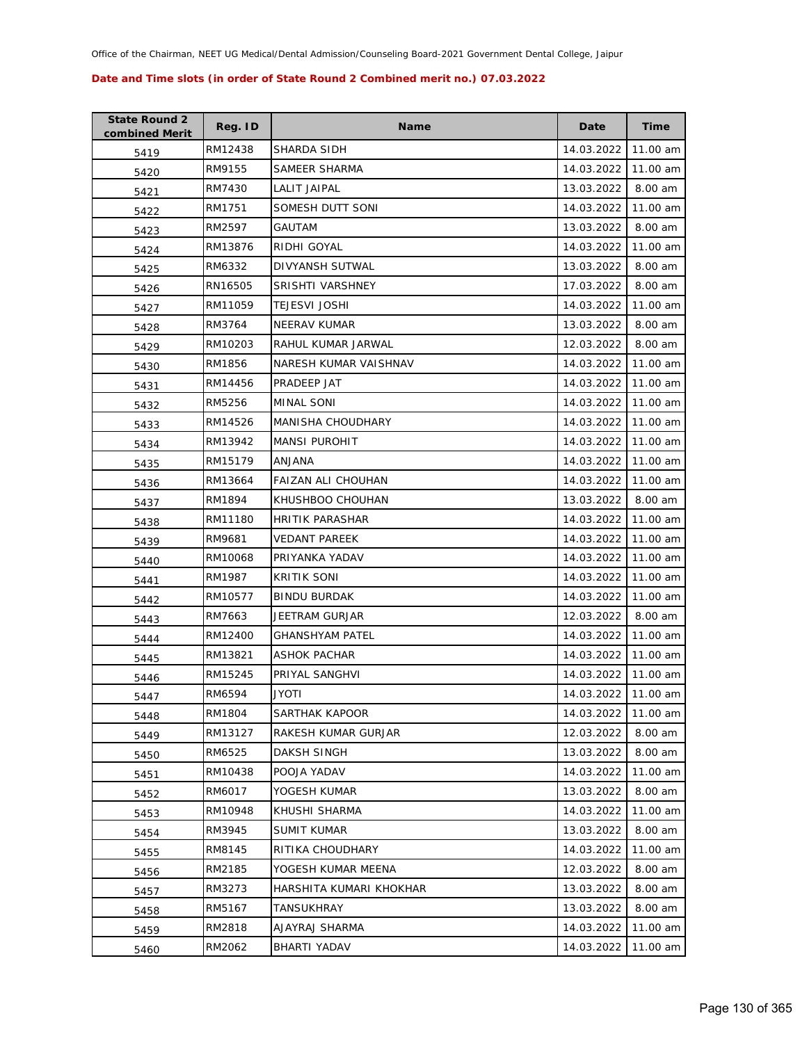| <b>State Round 2</b><br>combined Merit | Reg. ID | <b>Name</b>               | Date       | <b>Time</b> |
|----------------------------------------|---------|---------------------------|------------|-------------|
| 5419                                   | RM12438 | SHARDA SIDH               | 14.03.2022 | 11.00 am    |
| 5420                                   | RM9155  | SAMEER SHARMA             | 14.03.2022 | 11.00 am    |
| 5421                                   | RM7430  | LALIT JAIPAL              | 13.03.2022 | 8.00 am     |
| 5422                                   | RM1751  | SOMESH DUTT SONI          | 14.03.2022 | 11.00 am    |
| 5423                                   | RM2597  | GAUTAM                    | 13.03.2022 | 8.00 am     |
| 5424                                   | RM13876 | RIDHI GOYAL               | 14.03.2022 | 11.00 am    |
| 5425                                   | RM6332  | <b>DIVYANSH SUTWAL</b>    | 13.03.2022 | 8.00 am     |
| 5426                                   | RN16505 | SRISHTI VARSHNEY          | 17.03.2022 | 8.00 am     |
| 5427                                   | RM11059 | <b>TEJESVI JOSHI</b>      | 14.03.2022 | 11.00 am    |
| 5428                                   | RM3764  | <b>NEERAV KUMAR</b>       | 13.03.2022 | 8.00 am     |
| 5429                                   | RM10203 | RAHUL KUMAR JARWAL        | 12.03.2022 | 8.00 am     |
| 5430                                   | RM1856  | NARESH KUMAR VAISHNAV     | 14.03.2022 | 11.00 am    |
| 5431                                   | RM14456 | PRADEEP JAT               | 14.03.2022 | 11.00 am    |
| 5432                                   | RM5256  | MINAL SONI                | 14.03.2022 | 11.00 am    |
| 5433                                   | RM14526 | <b>MANISHA CHOUDHARY</b>  | 14.03.2022 | 11.00 am    |
| 5434                                   | RM13942 | <b>MANSI PUROHIT</b>      | 14.03.2022 | 11.00 am    |
| 5435                                   | RM15179 | <b>ANJANA</b>             | 14.03.2022 | 11.00 am    |
| 5436                                   | RM13664 | <b>FAIZAN ALI CHOUHAN</b> | 14.03.2022 | 11.00 am    |
| 5437                                   | RM1894  | KHUSHBOO CHOUHAN          | 13.03.2022 | 8.00 am     |
| 5438                                   | RM11180 | <b>HRITIK PARASHAR</b>    | 14.03.2022 | 11.00 am    |
| 5439                                   | RM9681  | <b>VEDANT PAREEK</b>      | 14.03.2022 | 11.00 am    |
| 5440                                   | RM10068 | PRIYANKA YADAV            | 14.03.2022 | 11.00 am    |
| 5441                                   | RM1987  | <b>KRITIK SONI</b>        | 14.03.2022 | 11.00 am    |
| 5442                                   | RM10577 | <b>BINDU BURDAK</b>       | 14.03.2022 | 11.00 am    |
| 5443                                   | RM7663  | JEETRAM GURJAR            | 12.03.2022 | 8.00 am     |
| 5444                                   | RM12400 | <b>GHANSHYAM PATEL</b>    | 14.03.2022 | 11.00 am    |
| 5445                                   | RM13821 | ASHOK PACHAR              | 14.03.2022 | 11.00 am    |
| 5446                                   | RM15245 | PRIYAL SANGHVI            | 14.03.2022 | 11.00 am    |
| 5447                                   | RM6594  | <b>ITOYL</b>              | 14.03.2022 | 11.00 am    |
| 5448                                   | RM1804  | SARTHAK KAPOOR            | 14.03.2022 | 11.00 am    |
| 5449                                   | RM13127 | RAKESH KUMAR GURJAR       | 12.03.2022 | 8.00 am     |
| 5450                                   | RM6525  | <b>DAKSH SINGH</b>        | 13.03.2022 | 8.00 am     |
| 5451                                   | RM10438 | POOJA YADAV               | 14.03.2022 | 11.00 am    |
| 5452                                   | RM6017  | YOGESH KUMAR              | 13.03.2022 | 8.00 am     |
| 5453                                   | RM10948 | KHUSHI SHARMA             | 14.03.2022 | 11.00 am    |
| 5454                                   | RM3945  | <b>SUMIT KUMAR</b>        | 13.03.2022 | 8.00 am     |
| 5455                                   | RM8145  | RITIKA CHOUDHARY          | 14.03.2022 | 11.00 am    |
| 5456                                   | RM2185  | YOGESH KUMAR MEENA        | 12.03.2022 | 8.00 am     |
| 5457                                   | RM3273  | HARSHITA KUMARI KHOKHAR   | 13.03.2022 | 8.00 am     |
| 5458                                   | RM5167  | TANSUKHRAY                | 13.03.2022 | 8.00 am     |
| 5459                                   | RM2818  | AJAYRAJ SHARMA            | 14.03.2022 | 11.00 am    |
| 5460                                   | RM2062  | BHARTI YADAV              | 14.03.2022 | 11.00 am    |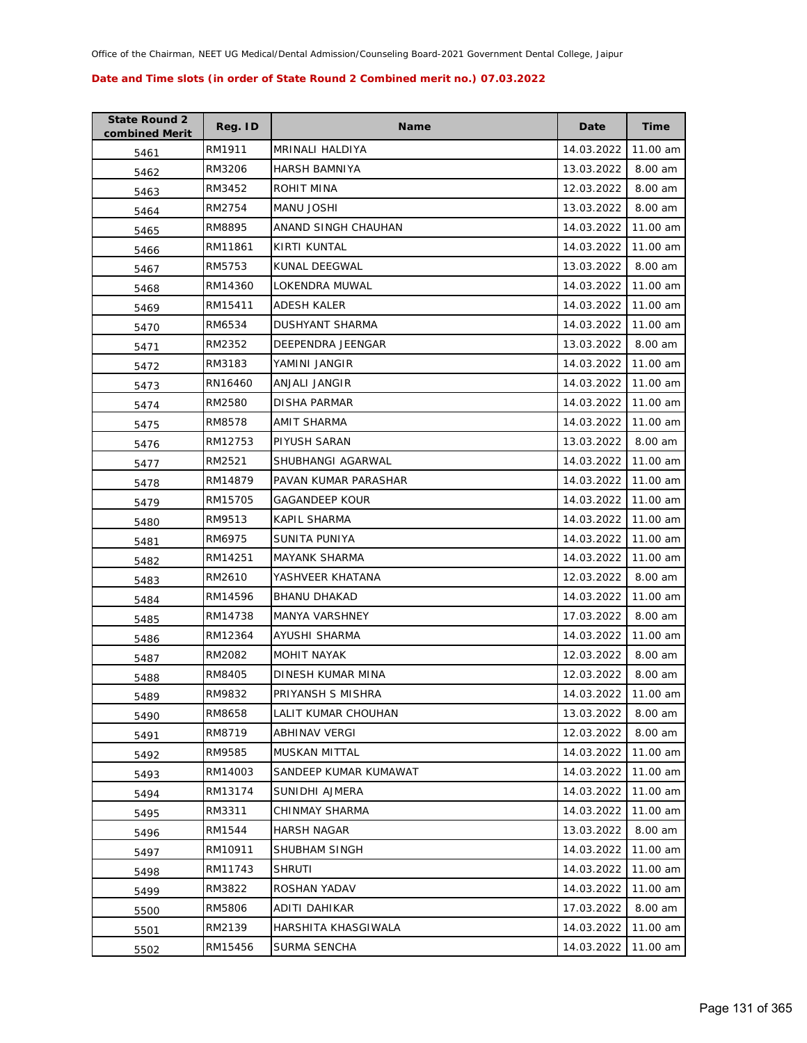| <b>State Round 2</b><br>combined Merit | Reg. ID | <b>Name</b>           | Date       | <b>Time</b> |
|----------------------------------------|---------|-----------------------|------------|-------------|
| 5461                                   | RM1911  | MRINALI HALDIYA       | 14.03.2022 | 11.00 am    |
| 5462                                   | RM3206  | <b>HARSH BAMNIYA</b>  | 13.03.2022 | 8.00 am     |
| 5463                                   | RM3452  | ROHIT MINA            | 12.03.2022 | 8.00 am     |
| 5464                                   | RM2754  | MANU JOSHI            | 13.03.2022 | 8.00 am     |
| 5465                                   | RM8895  | ANAND SINGH CHAUHAN   | 14.03.2022 | 11.00 am    |
| 5466                                   | RM11861 | KIRTI KUNTAL          | 14.03.2022 | 11.00 am    |
| 5467                                   | RM5753  | <b>KUNAL DEEGWAL</b>  | 13.03.2022 | 8.00 am     |
| 5468                                   | RM14360 | LOKENDRA MUWAL        | 14.03.2022 | 11.00 am    |
| 5469                                   | RM15411 | <b>ADESH KALER</b>    | 14.03.2022 | 11.00 am    |
| 5470                                   | RM6534  | DUSHYANT SHARMA       | 14.03.2022 | 11.00 am    |
| 5471                                   | RM2352  | DEEPENDRA JEENGAR     | 13.03.2022 | 8.00 am     |
| 5472                                   | RM3183  | YAMINI JANGIR         | 14.03.2022 | 11.00 am    |
| 5473                                   | RN16460 | ANJALI JANGIR         | 14.03.2022 | 11.00 am    |
| 5474                                   | RM2580  | DISHA PARMAR          | 14.03.2022 | 11.00 am    |
| 5475                                   | RM8578  | AMIT SHARMA           | 14.03.2022 | 11.00 am    |
| 5476                                   | RM12753 | PIYUSH SARAN          | 13.03.2022 | 8.00 am     |
| 5477                                   | RM2521  | SHUBHANGI AGARWAL     | 14.03.2022 | 11.00 am    |
| 5478                                   | RM14879 | PAVAN KUMAR PARASHAR  | 14.03.2022 | 11.00 am    |
| 5479                                   | RM15705 | <b>GAGANDEEP KOUR</b> | 14.03.2022 | 11.00 am    |
| 5480                                   | RM9513  | KAPIL SHARMA          | 14.03.2022 | 11.00 am    |
| 5481                                   | RM6975  | SUNITA PUNIYA         | 14.03.2022 | 11.00 am    |
| 5482                                   | RM14251 | <b>MAYANK SHARMA</b>  | 14.03.2022 | 11.00 am    |
| 5483                                   | RM2610  | YASHVEER KHATANA      | 12.03.2022 | 8.00 am     |
| 5484                                   | RM14596 | <b>BHANU DHAKAD</b>   | 14.03.2022 | 11.00 am    |
| 5485                                   | RM14738 | MANYA VARSHNEY        | 17.03.2022 | 8.00 am     |
| 5486                                   | RM12364 | AYUSHI SHARMA         | 14.03.2022 | 11.00 am    |
| 5487                                   | RM2082  | MOHIT NAYAK           | 12.03.2022 | 8.00 am     |
| 5488                                   | RM8405  | DINESH KUMAR MINA     | 12.03.2022 | 8.00 am     |
| 5489                                   | RM9832  | PRIYANSH S MISHRA     | 14.03.2022 | 11.00 am    |
| 5490                                   | RM8658  | LALIT KUMAR CHOUHAN   | 13.03.2022 | 8.00 am     |
| 5491                                   | RM8719  | ABHINAV VERGI         | 12.03.2022 | 8.00 am     |
| 5492                                   | RM9585  | MUSKAN MITTAL         | 14.03.2022 | 11.00 am    |
| 5493                                   | RM14003 | SANDEEP KUMAR KUMAWAT | 14.03.2022 | 11.00 am    |
| 5494                                   | RM13174 | SUNIDHI AJMERA        | 14.03.2022 | 11.00 am    |
| 5495                                   | RM3311  | CHINMAY SHARMA        | 14.03.2022 | 11.00 am    |
| 5496                                   | RM1544  | <b>HARSH NAGAR</b>    | 13.03.2022 | 8.00 am     |
| 5497                                   | RM10911 | SHUBHAM SINGH         | 14.03.2022 | 11.00 am    |
| 5498                                   | RM11743 | <b>SHRUTI</b>         | 14.03.2022 | 11.00 am    |
| 5499                                   | RM3822  | ROSHAN YADAV          | 14.03.2022 | 11.00 am    |
| 5500                                   | RM5806  | ADITI DAHIKAR         | 17.03.2022 | 8.00 am     |
| 5501                                   | RM2139  | HARSHITA KHASGIWALA   | 14.03.2022 | 11.00 am    |
| 5502                                   | RM15456 | SURMA SENCHA          | 14.03.2022 | 11.00 am    |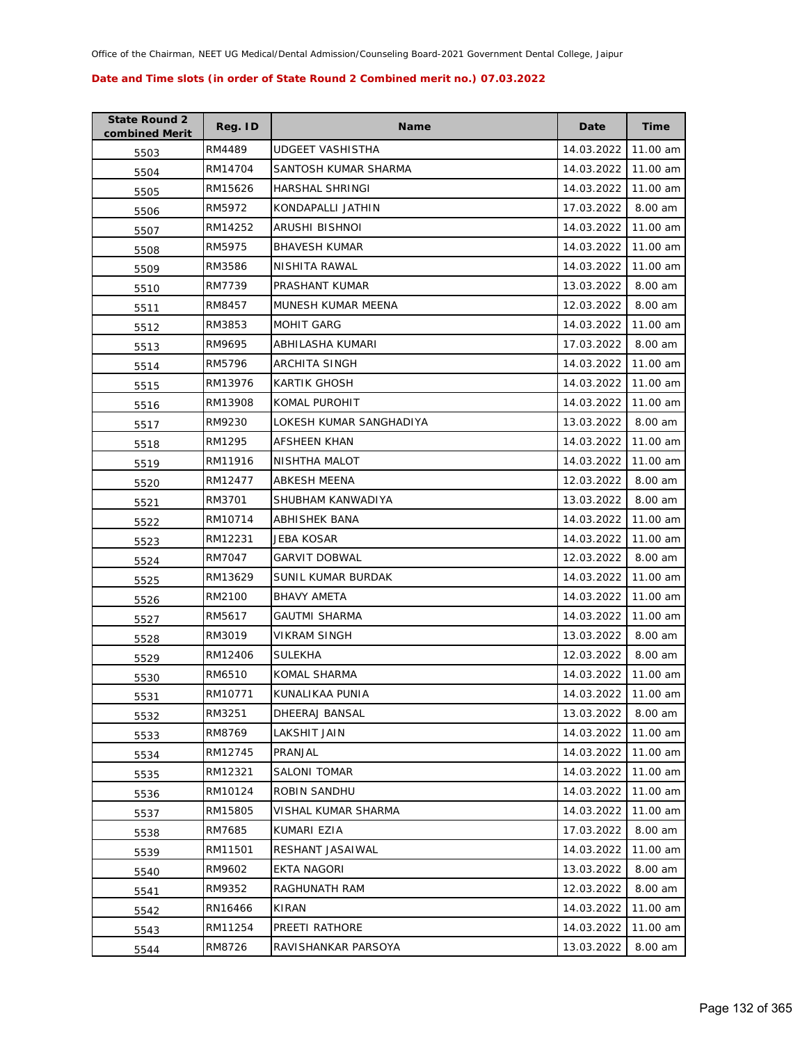| <b>State Round 2</b><br>combined Merit | Reg. ID | <b>Name</b>             | Date       | <b>Time</b> |
|----------------------------------------|---------|-------------------------|------------|-------------|
| 5503                                   | RM4489  | UDGEET VASHISTHA        | 14.03.2022 | 11.00 am    |
| 5504                                   | RM14704 | SANTOSH KUMAR SHARMA    | 14.03.2022 | 11.00 am    |
| 5505                                   | RM15626 | HARSHAL SHRINGI         | 14.03.2022 | 11.00 am    |
| 5506                                   | RM5972  | KONDAPALLI JATHIN       | 17.03.2022 | 8.00 am     |
| 5507                                   | RM14252 | ARUSHI BISHNOI          | 14.03.2022 | 11.00 am    |
| 5508                                   | RM5975  | <b>BHAVESH KUMAR</b>    | 14.03.2022 | 11.00 am    |
| 5509                                   | RM3586  | NISHITA RAWAL           | 14.03.2022 | 11.00 am    |
| 5510                                   | RM7739  | PRASHANT KUMAR          | 13.03.2022 | 8.00 am     |
| 5511                                   | RM8457  | MUNESH KUMAR MEENA      | 12.03.2022 | 8.00 am     |
| 5512                                   | RM3853  | <b>MOHIT GARG</b>       | 14.03.2022 | 11.00 am    |
| 5513                                   | RM9695  | ABHILASHA KUMARI        | 17.03.2022 | 8.00 am     |
| 5514                                   | RM5796  | ARCHITA SINGH           | 14.03.2022 | 11.00 am    |
| 5515                                   | RM13976 | <b>KARTIK GHOSH</b>     | 14.03.2022 | 11.00 am    |
| 5516                                   | RM13908 | KOMAL PUROHIT           | 14.03.2022 | 11.00 am    |
| 5517                                   | RM9230  | LOKESH KUMAR SANGHADIYA | 13.03.2022 | 8.00 am     |
| 5518                                   | RM1295  | AFSHEEN KHAN            | 14.03.2022 | 11.00 am    |
| 5519                                   | RM11916 | NISHTHA MALOT           | 14.03.2022 | 11.00 am    |
| 5520                                   | RM12477 | <b>ABKESH MEENA</b>     | 12.03.2022 | 8.00 am     |
| 5521                                   | RM3701  | SHUBHAM KANWADIYA       | 13.03.2022 | 8.00 am     |
| 5522                                   | RM10714 | ABHISHEK BANA           | 14.03.2022 | 11.00 am    |
| 5523                                   | RM12231 | JEBA KOSAR              | 14.03.2022 | 11.00 am    |
| 5524                                   | RM7047  | <b>GARVIT DOBWAL</b>    | 12.03.2022 | 8.00 am     |
| 5525                                   | RM13629 | SUNIL KUMAR BURDAK      | 14.03.2022 | 11.00 am    |
| 5526                                   | RM2100  | <b>BHAVY AMETA</b>      | 14.03.2022 | 11.00 am    |
| 5527                                   | RM5617  | GAUTMI SHARMA           | 14.03.2022 | 11.00 am    |
| 5528                                   | RM3019  | <b>VIKRAM SINGH</b>     | 13.03.2022 | 8.00 am     |
| 5529                                   | RM12406 | SULEKHA                 | 12.03.2022 | 8.00 am     |
| 5530                                   | RM6510  | <b>KOMAL SHARMA</b>     | 14.03.2022 | 11.00 am    |
| 5531                                   | RM10771 | KUNALIKAA PUNIA         | 14.03.2022 | 11.00 am    |
| 5532                                   | RM3251  | DHEERAJ BANSAL          | 13.03.2022 | 8.00 am     |
| 5533                                   | RM8769  | LAKSHIT JAIN            | 14.03.2022 | 11.00 am    |
| 5534                                   | RM12745 | PRANJAL                 | 14.03.2022 | 11.00 am    |
| 5535                                   | RM12321 | <b>SALONI TOMAR</b>     | 14.03.2022 | 11.00 am    |
| 5536                                   | RM10124 | ROBIN SANDHU            | 14.03.2022 | 11.00 am    |
| 5537                                   | RM15805 | VISHAL KUMAR SHARMA     | 14.03.2022 | 11.00 am    |
| 5538                                   | RM7685  | KUMARI EZIA             | 17.03.2022 | 8.00 am     |
| 5539                                   | RM11501 | RESHANT JASAIWAL        | 14.03.2022 | 11.00 am    |
| 5540                                   | RM9602  | <b>EKTA NAGORI</b>      | 13.03.2022 | 8.00 am     |
| 5541                                   | RM9352  | RAGHUNATH RAM           | 12.03.2022 | 8.00 am     |
| 5542                                   | RN16466 | KIRAN                   | 14.03.2022 | 11.00 am    |
| 5543                                   | RM11254 | PREETI RATHORE          | 14.03.2022 | 11.00 am    |
| 5544                                   | RM8726  | RAVISHANKAR PARSOYA     | 13.03.2022 | 8.00 am     |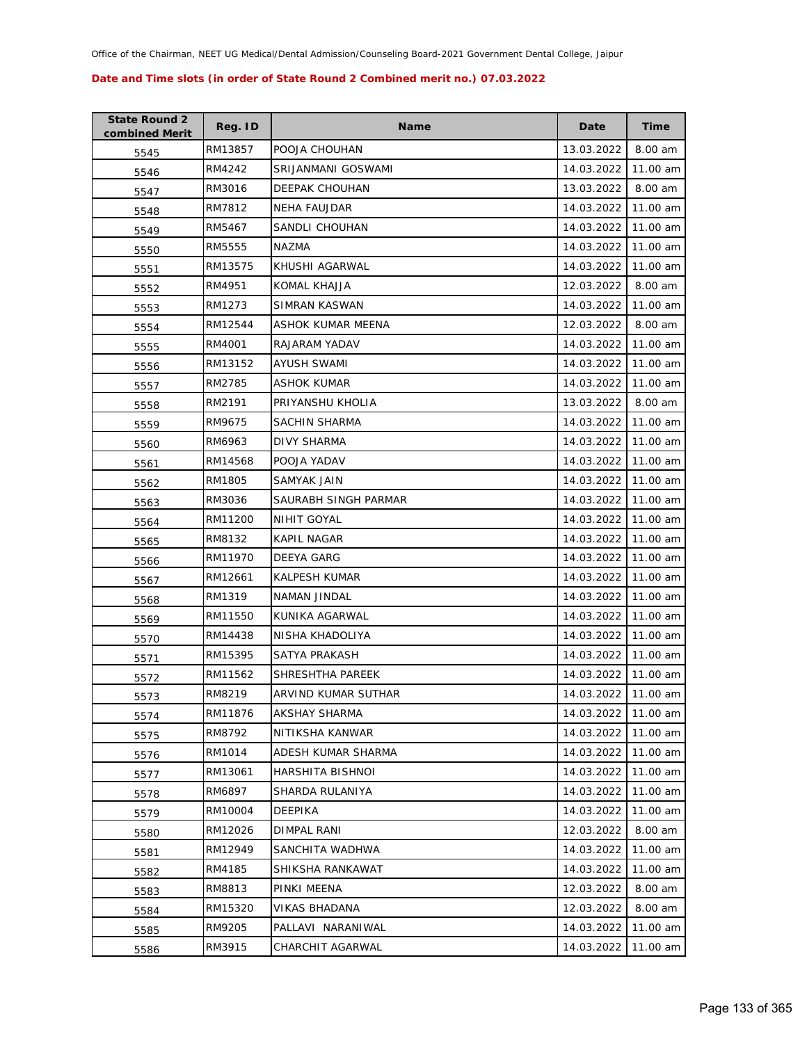| <b>State Round 2</b><br>combined Merit | Reg. ID | <b>Name</b>             | Date       | Time     |
|----------------------------------------|---------|-------------------------|------------|----------|
| 5545                                   | RM13857 | POOJA CHOUHAN           | 13.03.2022 | 8.00 am  |
| 5546                                   | RM4242  | SRIJANMANI GOSWAMI      | 14.03.2022 | 11.00 am |
| 5547                                   | RM3016  | <b>DEEPAK CHOUHAN</b>   | 13.03.2022 | 8.00 am  |
| 5548                                   | RM7812  | NEHA FAUJDAR            | 14.03.2022 | 11.00 am |
| 5549                                   | RM5467  | SANDLI CHOUHAN          | 14.03.2022 | 11.00 am |
| 5550                                   | RM5555  | NAZMA                   | 14.03.2022 | 11.00 am |
| 5551                                   | RM13575 | KHUSHI AGARWAL          | 14.03.2022 | 11.00 am |
| 5552                                   | RM4951  | KOMAL KHAJJA            | 12.03.2022 | 8.00 am  |
| 5553                                   | RM1273  | SIMRAN KASWAN           | 14.03.2022 | 11.00 am |
| 5554                                   | RM12544 | ASHOK KUMAR MEENA       | 12.03.2022 | 8.00 am  |
| 5555                                   | RM4001  | RAJARAM YADAV           | 14.03.2022 | 11.00 am |
| 5556                                   | RM13152 | AYUSH SWAMI             | 14.03.2022 | 11.00 am |
| 5557                                   | RM2785  | ASHOK KUMAR             | 14.03.2022 | 11.00 am |
| 5558                                   | RM2191  | PRIYANSHU KHOLIA        | 13.03.2022 | 8.00 am  |
| 5559                                   | RM9675  | SACHIN SHARMA           | 14.03.2022 | 11.00 am |
| 5560                                   | RM6963  | DIVY SHARMA             | 14.03.2022 | 11.00 am |
| 5561                                   | RM14568 | POOJA YADAV             | 14.03.2022 | 11.00 am |
| 5562                                   | RM1805  | SAMYAK JAIN             | 14.03.2022 | 11.00 am |
| 5563                                   | RM3036  | SAURABH SINGH PARMAR    | 14.03.2022 | 11.00 am |
| 5564                                   | RM11200 | NIHIT GOYAL             | 14.03.2022 | 11.00 am |
| 5565                                   | RM8132  | KAPIL NAGAR             | 14.03.2022 | 11.00 am |
| 5566                                   | RM11970 | DEEYA GARG              | 14.03.2022 | 11.00 am |
| 5567                                   | RM12661 | KALPESH KUMAR           | 14.03.2022 | 11.00 am |
| 5568                                   | RM1319  | NAMAN JINDAL            | 14.03.2022 | 11.00 am |
| 5569                                   | RM11550 | KUNIKA AGARWAL          | 14.03.2022 | 11.00 am |
| 5570                                   | RM14438 | NISHA KHADOLIYA         | 14.03.2022 | 11.00 am |
| 5571                                   | RM15395 | SATYA PRAKASH           | 14.03.2022 | 11.00 am |
| 5572                                   | RM11562 | SHRESHTHA PAREEK        | 14.03.2022 | 11.00 am |
| 5573                                   | RM8219  | ARVIND KUMAR SUTHAR     | 14.03.2022 | 11.00 am |
| 5574                                   | RM11876 | AKSHAY SHARMA           | 14.03.2022 | 11.00 am |
| 5575                                   | RM8792  | NITIKSHA KANWAR         | 14.03.2022 | 11.00 am |
| 5576                                   | RM1014  | ADESH KUMAR SHARMA      | 14.03.2022 | 11.00 am |
| 5577                                   | RM13061 | <b>HARSHITA BISHNOI</b> | 14.03.2022 | 11.00 am |
| 5578                                   | RM6897  | SHARDA RULANIYA         | 14.03.2022 | 11.00 am |
| 5579                                   | RM10004 | DEEPIKA                 | 14.03.2022 | 11.00 am |
| 5580                                   | RM12026 | DIMPAL RANI             | 12.03.2022 | 8.00 am  |
| 5581                                   | RM12949 | SANCHITA WADHWA         | 14.03.2022 | 11.00 am |
| 5582                                   | RM4185  | SHIKSHA RANKAWAT        | 14.03.2022 | 11.00 am |
| 5583                                   | RM8813  | PINKI MEENA             | 12.03.2022 | 8.00 am  |
| 5584                                   | RM15320 | VIKAS BHADANA           | 12.03.2022 | 8.00 am  |
| 5585                                   | RM9205  | PALLAVI NARANIWAL       | 14.03.2022 | 11.00 am |
| 5586                                   | RM3915  | CHARCHIT AGARWAL        | 14.03.2022 | 11.00 am |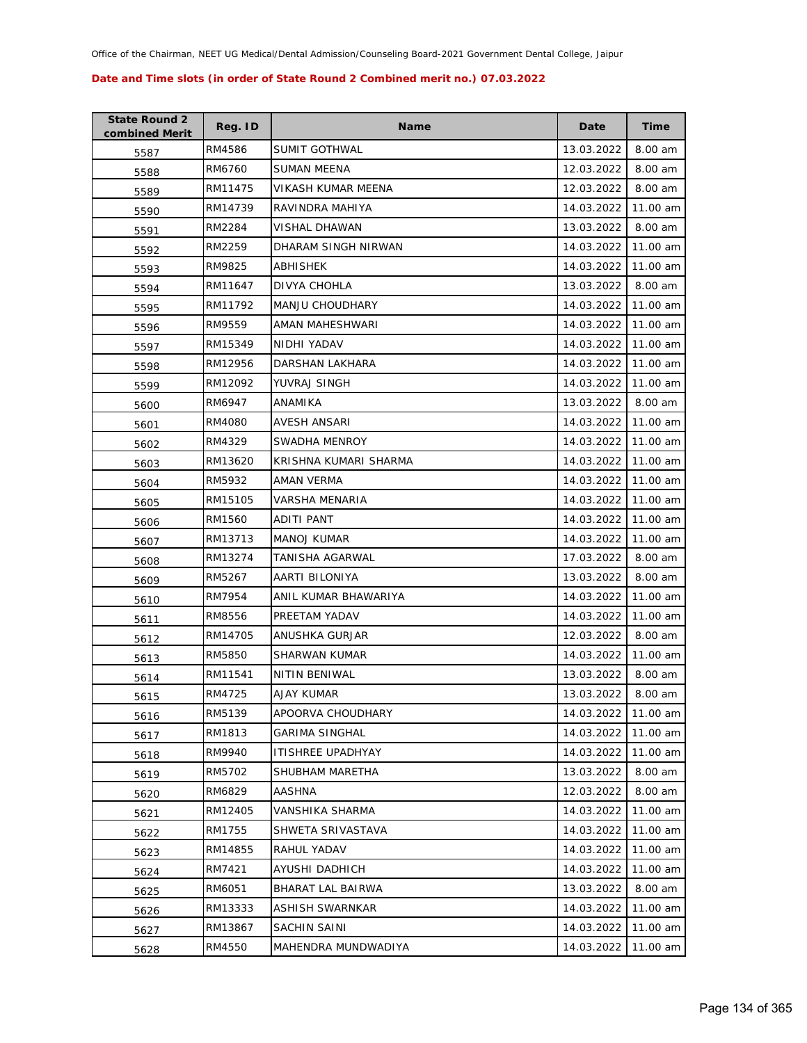| <b>State Round 2</b><br>combined Merit | Reg. ID | <b>Name</b>              | Date       | Time     |
|----------------------------------------|---------|--------------------------|------------|----------|
| 5587                                   | RM4586  | <b>SUMIT GOTHWAL</b>     | 13.03.2022 | 8.00 am  |
| 5588                                   | RM6760  | SUMAN MEENA              | 12.03.2022 | 8.00 am  |
| 5589                                   | RM11475 | VIKASH KUMAR MEENA       | 12.03.2022 | 8.00 am  |
| 5590                                   | RM14739 | RAVINDRA MAHIYA          | 14.03.2022 | 11.00 am |
| 5591                                   | RM2284  | VISHAL DHAWAN            | 13.03.2022 | 8.00 am  |
| 5592                                   | RM2259  | DHARAM SINGH NIRWAN      | 14.03.2022 | 11.00 am |
| 5593                                   | RM9825  | ABHISHEK                 | 14.03.2022 | 11.00 am |
| 5594                                   | RM11647 | DIVYA CHOHLA             | 13.03.2022 | 8.00 am  |
| 5595                                   | RM11792 | <b>MANJU CHOUDHARY</b>   | 14.03.2022 | 11.00 am |
| 5596                                   | RM9559  | AMAN MAHESHWARI          | 14.03.2022 | 11.00 am |
| 5597                                   | RM15349 | NIDHI YADAV              | 14.03.2022 | 11.00 am |
| 5598                                   | RM12956 | DARSHAN LAKHARA          | 14.03.2022 | 11.00 am |
| 5599                                   | RM12092 | YUVRAJ SINGH             | 14.03.2022 | 11.00 am |
| 5600                                   | RM6947  | ANAMIKA                  | 13.03.2022 | 8.00 am  |
| 5601                                   | RM4080  | AVESH ANSARI             | 14.03.2022 | 11.00 am |
| 5602                                   | RM4329  | <b>SWADHA MENROY</b>     | 14.03.2022 | 11.00 am |
| 5603                                   | RM13620 | KRISHNA KUMARI SHARMA    | 14.03.2022 | 11.00 am |
| 5604                                   | RM5932  | AMAN VERMA               | 14.03.2022 | 11.00 am |
| 5605                                   | RM15105 | VARSHA MENARIA           | 14.03.2022 | 11.00 am |
| 5606                                   | RM1560  | ADITI PANT               | 14.03.2022 | 11.00 am |
| 5607                                   | RM13713 | <b>MANOJ KUMAR</b>       | 14.03.2022 | 11.00 am |
| 5608                                   | RM13274 | TANISHA AGARWAL          | 17.03.2022 | 8.00 am  |
| 5609                                   | RM5267  | AARTI BILONIYA           | 13.03.2022 | 8.00 am  |
| 5610                                   | RM7954  | ANIL KUMAR BHAWARIYA     | 14.03.2022 | 11.00 am |
| 5611                                   | RM8556  | PREETAM YADAV            | 14.03.2022 | 11.00 am |
| 5612                                   | RM14705 | ANUSHKA GURJAR           | 12.03.2022 | 8.00 am  |
| 5613                                   | RM5850  | SHARWAN KUMAR            | 14.03.2022 | 11.00 am |
| 5614                                   | RM11541 | NITIN BENIWAL            | 13.03.2022 | 8.00 am  |
| 5615                                   | RM4725  | <b>AJAY KUMAR</b>        | 13.03.2022 | 8.00 am  |
| 5616                                   | RM5139  | APOORVA CHOUDHARY        | 14.03.2022 | 11.00 am |
| 5617                                   | RM1813  | <b>GARIMA SINGHAL</b>    | 14.03.2022 | 11.00 am |
| 5618                                   | RM9940  | <b>ITISHREE UPADHYAY</b> | 14.03.2022 | 11.00 am |
| 5619                                   | RM5702  | SHUBHAM MARETHA          | 13.03.2022 | 8.00 am  |
| 5620                                   | RM6829  | <b>AASHNA</b>            | 12.03.2022 | 8.00 am  |
| 5621                                   | RM12405 | VANSHIKA SHARMA          | 14.03.2022 | 11.00 am |
| 5622                                   | RM1755  | SHWETA SRIVASTAVA        | 14.03.2022 | 11.00 am |
| 5623                                   | RM14855 | RAHUL YADAV              | 14.03.2022 | 11.00 am |
| 5624                                   | RM7421  | AYUSHI DADHICH           | 14.03.2022 | 11.00 am |
| 5625                                   | RM6051  | BHARAT LAL BAIRWA        | 13.03.2022 | 8.00 am  |
| 5626                                   | RM13333 | ASHISH SWARNKAR          | 14.03.2022 | 11.00 am |
| 5627                                   | RM13867 | SACHIN SAINI             | 14.03.2022 | 11.00 am |
| 5628                                   | RM4550  | MAHENDRA MUNDWADIYA      | 14.03.2022 | 11.00 am |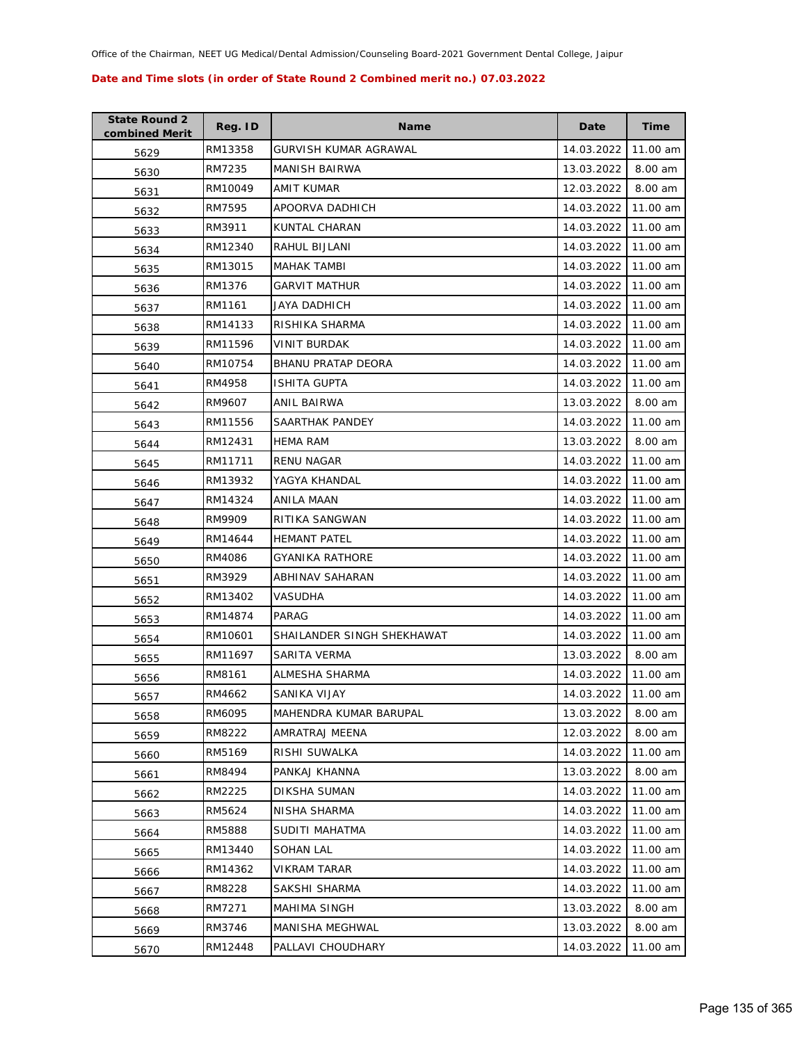| <b>State Round 2</b><br>combined Merit | Reg. ID | <b>Name</b>                | Date       | <b>Time</b> |
|----------------------------------------|---------|----------------------------|------------|-------------|
| 5629                                   | RM13358 | GURVISH KUMAR AGRAWAL      | 14.03.2022 | 11.00 am    |
| 5630                                   | RM7235  | <b>MANISH BAIRWA</b>       | 13.03.2022 | 8.00 am     |
| 5631                                   | RM10049 | AMIT KUMAR                 | 12.03.2022 | 8.00 am     |
| 5632                                   | RM7595  | APOORVA DADHICH            | 14.03.2022 | 11.00 am    |
| 5633                                   | RM3911  | KUNTAL CHARAN              | 14.03.2022 | 11.00 am    |
| 5634                                   | RM12340 | RAHUL BIJLANI              | 14.03.2022 | 11.00 am    |
| 5635                                   | RM13015 | MAHAK TAMBI                | 14.03.2022 | 11.00 am    |
| 5636                                   | RM1376  | <b>GARVIT MATHUR</b>       | 14.03.2022 | 11.00 am    |
| 5637                                   | RM1161  | <b>JAYA DADHICH</b>        | 14.03.2022 | 11.00 am    |
| 5638                                   | RM14133 | RISHIKA SHARMA             | 14.03.2022 | 11.00 am    |
| 5639                                   | RM11596 | VINIT BURDAK               | 14.03.2022 | 11.00 am    |
| 5640                                   | RM10754 | <b>BHANU PRATAP DEORA</b>  | 14.03.2022 | 11.00 am    |
| 5641                                   | RM4958  | <b>ISHITA GUPTA</b>        | 14.03.2022 | 11.00 am    |
| 5642                                   | RM9607  | ANIL BAIRWA                | 13.03.2022 | 8.00 am     |
| 5643                                   | RM11556 | SAARTHAK PANDEY            | 14.03.2022 | 11.00 am    |
| 5644                                   | RM12431 | HEMA RAM                   | 13.03.2022 | 8.00 am     |
| 5645                                   | RM11711 | <b>RENU NAGAR</b>          | 14.03.2022 | 11.00 am    |
| 5646                                   | RM13932 | YAGYA KHANDAL              | 14.03.2022 | 11.00 am    |
| 5647                                   | RM14324 | ANILA MAAN                 | 14.03.2022 | 11.00 am    |
| 5648                                   | RM9909  | RITIKA SANGWAN             | 14.03.2022 | 11.00 am    |
| 5649                                   | RM14644 | <b>HEMANT PATEL</b>        | 14.03.2022 | 11.00 am    |
| 5650                                   | RM4086  | GYANIKA RATHORE            | 14.03.2022 | 11.00 am    |
| 5651                                   | RM3929  | ABHINAV SAHARAN            | 14.03.2022 | 11.00 am    |
| 5652                                   | RM13402 | <b>VASUDHA</b>             | 14.03.2022 | 11.00 am    |
| 5653                                   | RM14874 | PARAG                      | 14.03.2022 | 11.00 am    |
| 5654                                   | RM10601 | SHAILANDER SINGH SHEKHAWAT | 14.03.2022 | 11.00 am    |
| 5655                                   | RM11697 | SARITA VERMA               | 13.03.2022 | 8.00 am     |
| 5656                                   | RM8161  | ALMESHA SHARMA             | 14.03.2022 | 11.00 am    |
| 5657                                   | RM4662  | SANIKA VIJAY               | 14.03.2022 | 11.00 am    |
| 5658                                   | RM6095  | MAHENDRA KUMAR BARUPAL     | 13.03.2022 | 8.00 am     |
| 5659                                   | RM8222  | AMRATRAJ MEENA             | 12.03.2022 | 8.00 am     |
| 5660                                   | RM5169  | RISHI SUWALKA              | 14.03.2022 | 11.00 am    |
| 5661                                   | RM8494  | PANKAJ KHANNA              | 13.03.2022 | 8.00 am     |
| 5662                                   | RM2225  | DIKSHA SUMAN               | 14.03.2022 | 11.00 am    |
| 5663                                   | RM5624  | NISHA SHARMA               | 14.03.2022 | 11.00 am    |
| 5664                                   | RM5888  | SUDITI MAHATMA             | 14.03.2022 | 11.00 am    |
| 5665                                   | RM13440 | SOHAN LAL                  | 14.03.2022 | 11.00 am    |
| 5666                                   | RM14362 | VIKRAM TARAR               | 14.03.2022 | 11.00 am    |
| 5667                                   | RM8228  | SAKSHI SHARMA              | 14.03.2022 | 11.00 am    |
| 5668                                   | RM7271  | MAHIMA SINGH               | 13.03.2022 | 8.00 am     |
| 5669                                   | RM3746  | MANISHA MEGHWAL            | 13.03.2022 | 8.00 am     |
| 5670                                   | RM12448 | PALLAVI CHOUDHARY          | 14.03.2022 | 11.00 am    |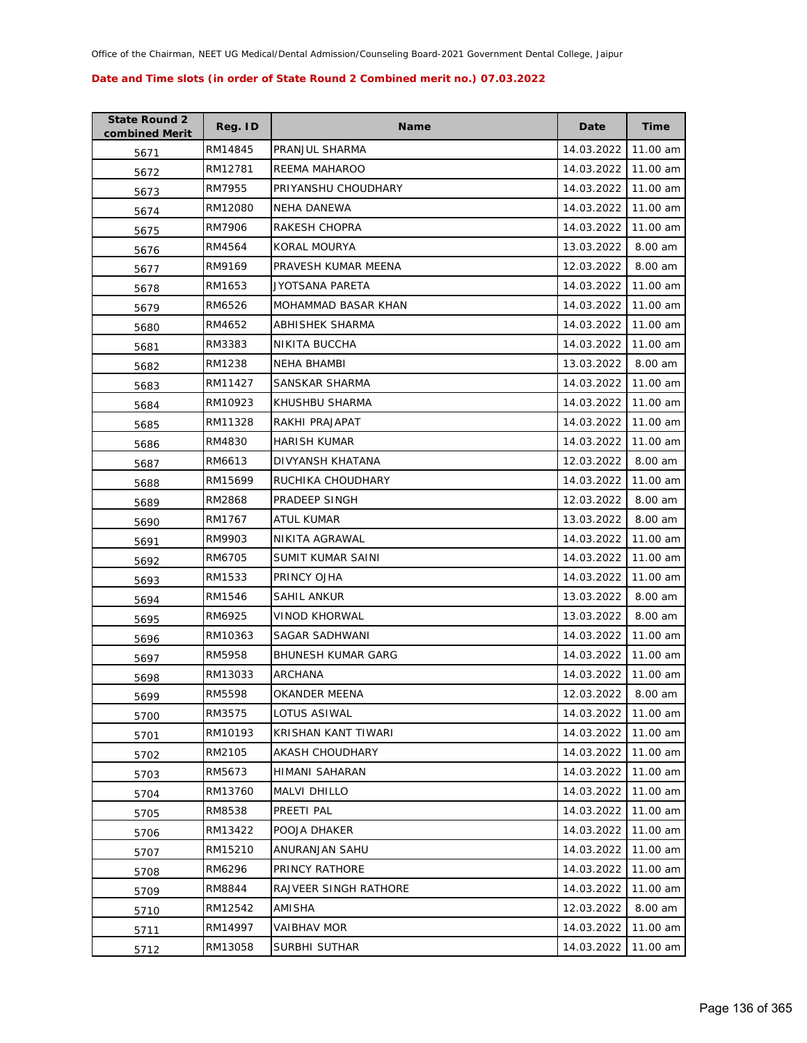| <b>State Round 2</b><br>combined Merit | Reg. ID | <b>Name</b>               | Date       | Time     |
|----------------------------------------|---------|---------------------------|------------|----------|
| 5671                                   | RM14845 | PRANJUL SHARMA            | 14.03.2022 | 11.00 am |
| 5672                                   | RM12781 | REEMA MAHAROO             | 14.03.2022 | 11.00 am |
| 5673                                   | RM7955  | PRIYANSHU CHOUDHARY       | 14.03.2022 | 11.00 am |
| 5674                                   | RM12080 | NEHA DANEWA               | 14.03.2022 | 11.00 am |
| 5675                                   | RM7906  | RAKESH CHOPRA             | 14.03.2022 | 11.00 am |
| 5676                                   | RM4564  | KORAL MOURYA              | 13.03.2022 | 8.00 am  |
| 5677                                   | RM9169  | PRAVESH KUMAR MEENA       | 12.03.2022 | 8.00 am  |
| 5678                                   | RM1653  | JYOTSANA PARETA           | 14.03.2022 | 11.00 am |
| 5679                                   | RM6526  | MOHAMMAD BASAR KHAN       | 14.03.2022 | 11.00 am |
| 5680                                   | RM4652  | ABHISHEK SHARMA           | 14.03.2022 | 11.00 am |
| 5681                                   | RM3383  | NIKITA BUCCHA             | 14.03.2022 | 11.00 am |
| 5682                                   | RM1238  | NEHA BHAMBI               | 13.03.2022 | 8.00 am  |
| 5683                                   | RM11427 | SANSKAR SHARMA            | 14.03.2022 | 11.00 am |
| 5684                                   | RM10923 | KHUSHBU SHARMA            | 14.03.2022 | 11.00 am |
| 5685                                   | RM11328 | RAKHI PRAJAPAT            | 14.03.2022 | 11.00 am |
| 5686                                   | RM4830  | HARISH KUMAR              | 14.03.2022 | 11.00 am |
| 5687                                   | RM6613  | DIVYANSH KHATANA          | 12.03.2022 | 8.00 am  |
| 5688                                   | RM15699 | RUCHIKA CHOUDHARY         | 14.03.2022 | 11.00 am |
| 5689                                   | RM2868  | PRADEEP SINGH             | 12.03.2022 | 8.00 am  |
| 5690                                   | RM1767  | ATUL KUMAR                | 13.03.2022 | 8.00 am  |
| 5691                                   | RM9903  | NIKITA AGRAWAL            | 14.03.2022 | 11.00 am |
| 5692                                   | RM6705  | SUMIT KUMAR SAINI         | 14.03.2022 | 11.00 am |
| 5693                                   | RM1533  | PRINCY OJHA               | 14.03.2022 | 11.00 am |
| 5694                                   | RM1546  | SAHIL ANKUR               | 13.03.2022 | 8.00 am  |
| 5695                                   | RM6925  | VINOD KHORWAL             | 13.03.2022 | 8.00 am  |
| 5696                                   | RM10363 | SAGAR SADHWANI            | 14.03.2022 | 11.00 am |
| 5697                                   | RM5958  | <b>BHUNESH KUMAR GARG</b> | 14.03.2022 | 11.00 am |
| 5698                                   | RM13033 | ARCHANA                   | 14.03.2022 | 11.00 am |
| 5699                                   | RM5598  | OKANDER MEENA             | 12.03.2022 | 8.00 am  |
| 5700                                   | RM3575  | LOTUS ASIWAL              | 14.03.2022 | 11.00 am |
| 5701                                   | RM10193 | KRISHAN KANT TIWARI       | 14.03.2022 | 11.00 am |
| 5702                                   | RM2105  | <b>AKASH CHOUDHARY</b>    | 14.03.2022 | 11.00 am |
| 5703                                   | RM5673  | <b>HIMANI SAHARAN</b>     | 14.03.2022 | 11.00 am |
| 5704                                   | RM13760 | MALVI DHILLO              | 14.03.2022 | 11.00 am |
| 5705                                   | RM8538  | PREETI PAL                | 14.03.2022 | 11.00 am |
| 5706                                   | RM13422 | POOJA DHAKER              | 14.03.2022 | 11.00 am |
| 5707                                   | RM15210 | ANURANJAN SAHU            | 14.03.2022 | 11.00 am |
| 5708                                   | RM6296  | PRINCY RATHORE            | 14.03.2022 | 11.00 am |
| 5709                                   | RM8844  | RAJVEER SINGH RATHORE     | 14.03.2022 | 11.00 am |
| 5710                                   | RM12542 | AMISHA                    | 12.03.2022 | 8.00 am  |
| 5711                                   | RM14997 | VAIBHAV MOR               | 14.03.2022 | 11.00 am |
| 5712                                   | RM13058 | SURBHI SUTHAR             | 14.03.2022 | 11.00 am |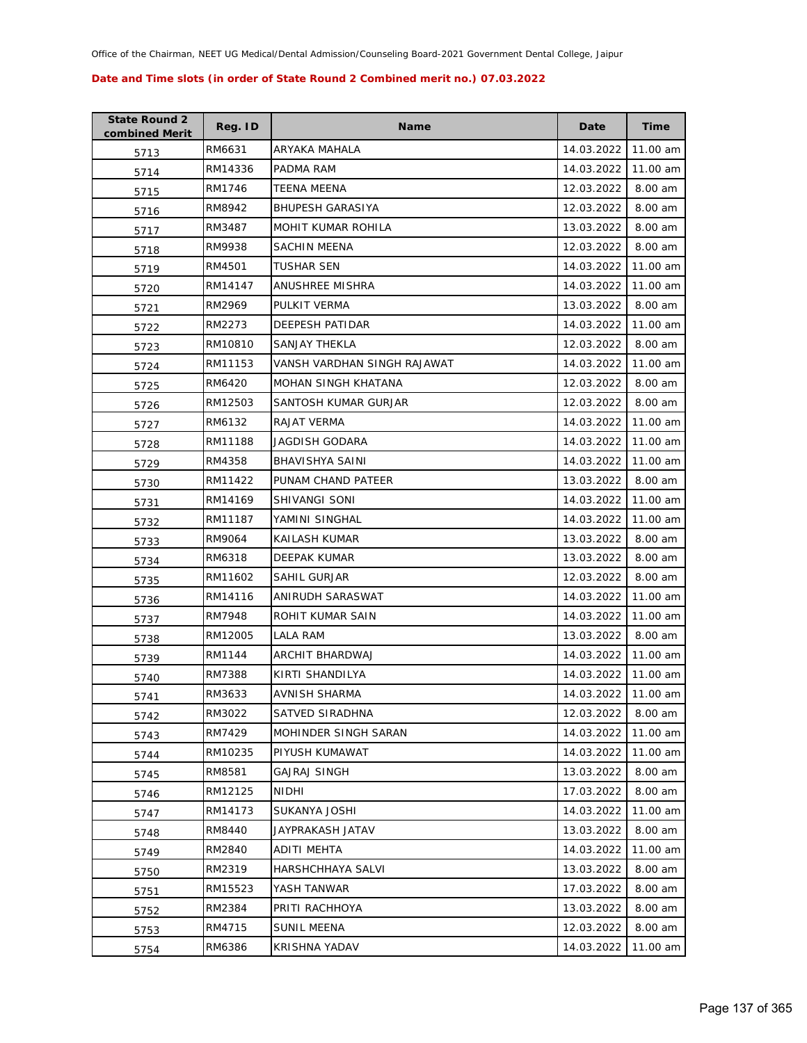| <b>State Round 2</b><br>combined Merit | Reg. ID | <b>Name</b>                 | Date       | <b>Time</b> |
|----------------------------------------|---------|-----------------------------|------------|-------------|
| 5713                                   | RM6631  | ARYAKA MAHALA               | 14.03.2022 | 11.00 am    |
| 5714                                   | RM14336 | PADMA RAM                   | 14.03.2022 | 11.00 am    |
| 5715                                   | RM1746  | TEENA MEENA                 | 12.03.2022 | 8.00 am     |
| 5716                                   | RM8942  | <b>BHUPESH GARASIYA</b>     | 12.03.2022 | 8.00 am     |
| 5717                                   | RM3487  | MOHIT KUMAR ROHILA          | 13.03.2022 | 8.00 am     |
| 5718                                   | RM9938  | SACHIN MEENA                | 12.03.2022 | 8.00 am     |
| 5719                                   | RM4501  | TUSHAR SEN                  | 14.03.2022 | 11.00 am    |
| 5720                                   | RM14147 | ANUSHREE MISHRA             | 14.03.2022 | 11.00 am    |
| 5721                                   | RM2969  | PULKIT VERMA                | 13.03.2022 | 8.00 am     |
| 5722                                   | RM2273  | DEEPESH PATIDAR             | 14.03.2022 | 11.00 am    |
| 5723                                   | RM10810 | SANJAY THEKLA               | 12.03.2022 | 8.00 am     |
| 5724                                   | RM11153 | VANSH VARDHAN SINGH RAJAWAT | 14.03.2022 | 11.00 am    |
| 5725                                   | RM6420  | MOHAN SINGH KHATANA         | 12.03.2022 | 8.00 am     |
| 5726                                   | RM12503 | SANTOSH KUMAR GURJAR        | 12.03.2022 | 8.00 am     |
| 5727                                   | RM6132  | RAJAT VERMA                 | 14.03.2022 | 11.00 am    |
| 5728                                   | RM11188 | JAGDISH GODARA              | 14.03.2022 | 11.00 am    |
| 5729                                   | RM4358  | BHAVISHYA SAINI             | 14.03.2022 | 11.00 am    |
| 5730                                   | RM11422 | PUNAM CHAND PATEER          | 13.03.2022 | 8.00 am     |
| 5731                                   | RM14169 | SHIVANGI SONI               | 14.03.2022 | 11.00 am    |
| 5732                                   | RM11187 | YAMINI SINGHAL              | 14.03.2022 | 11.00 am    |
| 5733                                   | RM9064  | KAILASH KUMAR               | 13.03.2022 | 8.00 am     |
| 5734                                   | RM6318  | <b>DEEPAK KUMAR</b>         | 13.03.2022 | 8.00 am     |
| 5735                                   | RM11602 | SAHIL GURJAR                | 12.03.2022 | 8.00 am     |
| 5736                                   | RM14116 | ANIRUDH SARASWAT            | 14.03.2022 | 11.00 am    |
| 5737                                   | RM7948  | ROHIT KUMAR SAIN            | 14.03.2022 | 11.00 am    |
| 5738                                   | RM12005 | LALA RAM                    | 13.03.2022 | 8.00 am     |
| 5739                                   | RM1144  | ARCHIT BHARDWAJ             | 14.03.2022 | 11.00 am    |
| 5740                                   | RM7388  | KIRTI SHANDILYA             | 14.03.2022 | 11.00 am    |
| 5741                                   | RM3633  | AVNISH SHARMA               | 14.03.2022 | 11.00 am    |
| 5742                                   | RM3022  | SATVED SIRADHNA             | 12.03.2022 | 8.00 am     |
| 5743                                   | RM7429  | MOHINDER SINGH SARAN        | 14.03.2022 | 11.00 am    |
| 5744                                   | RM10235 | PIYUSH KUMAWAT              | 14.03.2022 | 11.00 am    |
| 5745                                   | RM8581  | GAJRAJ SINGH                | 13.03.2022 | 8.00 am     |
| 5746                                   | RM12125 | <b>NIDHI</b>                | 17.03.2022 | 8.00 am     |
| 5747                                   | RM14173 | SUKANYA JOSHI               | 14.03.2022 | 11.00 am    |
| 5748                                   | RM8440  | JAYPRAKASH JATAV            | 13.03.2022 | 8.00 am     |
| 5749                                   | RM2840  | <b>ADITI MEHTA</b>          | 14.03.2022 | 11.00 am    |
| 5750                                   | RM2319  | HARSHCHHAYA SALVI           | 13.03.2022 | 8.00 am     |
| 5751                                   | RM15523 | YASH TANWAR                 | 17.03.2022 | 8.00 am     |
| 5752                                   | RM2384  | PRITI RACHHOYA              | 13.03.2022 | 8.00 am     |
| 5753                                   | RM4715  | <b>SUNIL MEENA</b>          | 12.03.2022 | 8.00 am     |
| 5754                                   | RM6386  | KRISHNA YADAV               | 14.03.2022 | 11.00 am    |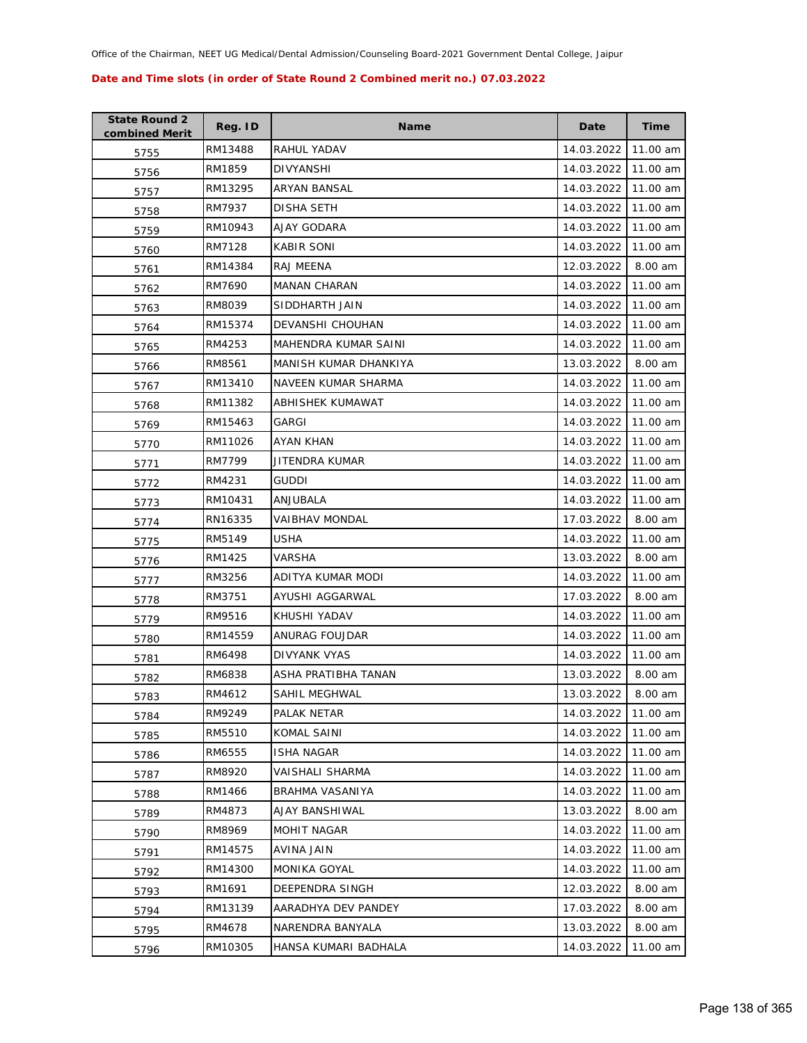| <b>State Round 2</b><br>combined Merit | Reg. ID | <b>Name</b>           | Date       | <b>Time</b> |
|----------------------------------------|---------|-----------------------|------------|-------------|
| 5755                                   | RM13488 | RAHUL YADAV           | 14.03.2022 | 11.00 am    |
| 5756                                   | RM1859  | DIVYANSHI             | 14.03.2022 | 11.00 am    |
| 5757                                   | RM13295 | ARYAN BANSAL          | 14.03.2022 | 11.00 am    |
| 5758                                   | RM7937  | DISHA SETH            | 14.03.2022 | 11.00 am    |
| 5759                                   | RM10943 | AJAY GODARA           | 14.03.2022 | 11.00 am    |
| 5760                                   | RM7128  | <b>KABIR SONI</b>     | 14.03.2022 | 11.00 am    |
| 5761                                   | RM14384 | RAJ MEENA             | 12.03.2022 | 8.00 am     |
| 5762                                   | RM7690  | <b>MANAN CHARAN</b>   | 14.03.2022 | 11.00 am    |
| 5763                                   | RM8039  | SIDDHARTH JAIN        | 14.03.2022 | 11.00 am    |
| 5764                                   | RM15374 | DEVANSHI CHOUHAN      | 14.03.2022 | 11.00 am    |
| 5765                                   | RM4253  | MAHENDRA KUMAR SAINI  | 14.03.2022 | 11.00 am    |
| 5766                                   | RM8561  | MANISH KUMAR DHANKIYA | 13.03.2022 | 8.00 am     |
| 5767                                   | RM13410 | NAVEEN KUMAR SHARMA   | 14.03.2022 | 11.00 am    |
| 5768                                   | RM11382 | ABHISHEK KUMAWAT      | 14.03.2022 | 11.00 am    |
| 5769                                   | RM15463 | GARGI                 | 14.03.2022 | 11.00 am    |
| 5770                                   | RM11026 | AYAN KHAN             | 14.03.2022 | 11.00 am    |
| 5771                                   | RM7799  | JITENDRA KUMAR        | 14.03.2022 | 11.00 am    |
| 5772                                   | RM4231  | <b>GUDDI</b>          | 14.03.2022 | 11.00 am    |
| 5773                                   | RM10431 | ANJUBALA              | 14.03.2022 | 11.00 am    |
| 5774                                   | RN16335 | VAIBHAV MONDAL        | 17.03.2022 | 8.00 am     |
| 5775                                   | RM5149  | USHA                  | 14.03.2022 | 11.00 am    |
| 5776                                   | RM1425  | VARSHA                | 13.03.2022 | 8.00 am     |
| 5777                                   | RM3256  | ADITYA KUMAR MODI     | 14.03.2022 | 11.00 am    |
| 5778                                   | RM3751  | AYUSHI AGGARWAL       | 17.03.2022 | 8.00 am     |
| 5779                                   | RM9516  | KHUSHI YADAV          | 14.03.2022 | 11.00 am    |
| 5780                                   | RM14559 | ANURAG FOUJDAR        | 14.03.2022 | 11.00 am    |
| 5781                                   | RM6498  | DIVYANK VYAS          | 14.03.2022 | 11.00 am    |
| 5782                                   | RM6838  | ASHA PRATIBHA TANAN   | 13.03.2022 | 8.00 am     |
| 5783                                   | RM4612  | <b>SAHIL MEGHWAL</b>  | 13.03.2022 | 8.00 am     |
| 5784                                   | RM9249  | PALAK NETAR           | 14.03.2022 | 11.00 am    |
| 5785                                   | RM5510  | KOMAL SAINI           | 14.03.2022 | 11.00 am    |
| 5786                                   | RM6555  | <b>ISHA NAGAR</b>     | 14.03.2022 | 11.00 am    |
| 5787                                   | RM8920  | VAISHALI SHARMA       | 14.03.2022 | 11.00 am    |
| 5788                                   | RM1466  | BRAHMA VASANIYA       | 14.03.2022 | 11.00 am    |
| 5789                                   | RM4873  | AJAY BANSHIWAL        | 13.03.2022 | 8.00 am     |
| 5790                                   | RM8969  | MOHIT NAGAR           | 14.03.2022 | 11.00 am    |
| 5791                                   | RM14575 | AVINA JAIN            | 14.03.2022 | 11.00 am    |
| 5792                                   | RM14300 | MONIKA GOYAL          | 14.03.2022 | 11.00 am    |
| 5793                                   | RM1691  | DEEPENDRA SINGH       | 12.03.2022 | 8.00 am     |
| 5794                                   | RM13139 | AARADHYA DEV PANDEY   | 17.03.2022 | 8.00 am     |
| 5795                                   | RM4678  | NARENDRA BANYALA      | 13.03.2022 | 8.00 am     |
| 5796                                   | RM10305 | HANSA KUMARI BADHALA  | 14.03.2022 | 11.00 am    |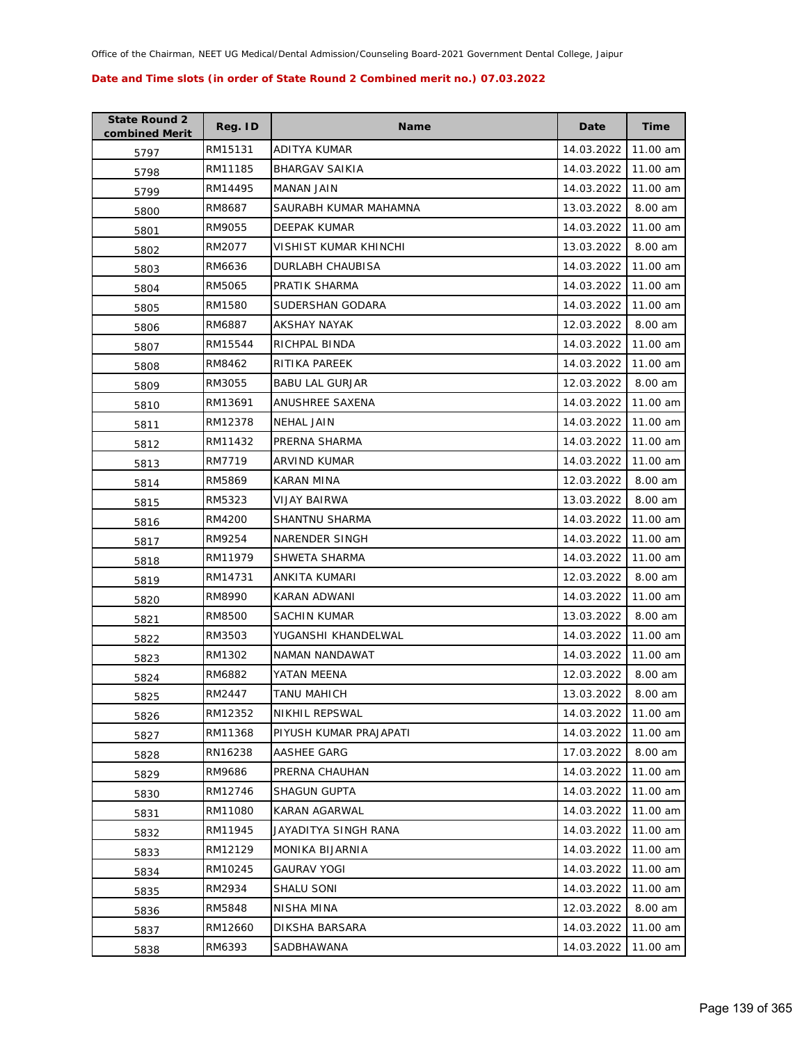| <b>State Round 2</b><br>combined Merit | Reg. ID | <b>Name</b>             | Date       | <b>Time</b> |
|----------------------------------------|---------|-------------------------|------------|-------------|
| 5797                                   | RM15131 | <b>ADITYA KUMAR</b>     | 14.03.2022 | 11.00 am    |
| 5798                                   | RM11185 | <b>BHARGAV SAIKIA</b>   | 14.03.2022 | 11.00 am    |
| 5799                                   | RM14495 | MANAN JAIN              | 14.03.2022 | 11.00 am    |
| 5800                                   | RM8687  | SAURABH KUMAR MAHAMNA   | 13.03.2022 | 8.00 am     |
| 5801                                   | RM9055  | DEEPAK KUMAR            | 14.03.2022 | 11.00 am    |
| 5802                                   | RM2077  | VISHIST KUMAR KHINCHI   | 13.03.2022 | 8.00 am     |
| 5803                                   | RM6636  | <b>DURLABH CHAUBISA</b> | 14.03.2022 | 11.00 am    |
| 5804                                   | RM5065  | PRATIK SHARMA           | 14.03.2022 | 11.00 am    |
| 5805                                   | RM1580  | SUDERSHAN GODARA        | 14.03.2022 | 11.00 am    |
| 5806                                   | RM6887  | AKSHAY NAYAK            | 12.03.2022 | 8.00 am     |
| 5807                                   | RM15544 | RICHPAL BINDA           | 14.03.2022 | 11.00 am    |
| 5808                                   | RM8462  | RITIKA PAREEK           | 14.03.2022 | 11.00 am    |
| 5809                                   | RM3055  | <b>BABU LAL GURJAR</b>  | 12.03.2022 | 8.00 am     |
| 5810                                   | RM13691 | ANUSHREE SAXENA         | 14.03.2022 | 11.00 am    |
| 5811                                   | RM12378 | NEHAL JAIN              | 14.03.2022 | 11.00 am    |
| 5812                                   | RM11432 | PRERNA SHARMA           | 14.03.2022 | 11.00 am    |
| 5813                                   | RM7719  | <b>ARVIND KUMAR</b>     | 14.03.2022 | 11.00 am    |
| 5814                                   | RM5869  | KARAN MINA              | 12.03.2022 | 8.00 am     |
| 5815                                   | RM5323  | VIJAY BAIRWA            | 13.03.2022 | 8.00 am     |
| 5816                                   | RM4200  | SHANTNU SHARMA          | 14.03.2022 | 11.00 am    |
| 5817                                   | RM9254  | NARENDER SINGH          | 14.03.2022 | 11.00 am    |
| 5818                                   | RM11979 | SHWETA SHARMA           | 14.03.2022 | 11.00 am    |
| 5819                                   | RM14731 | ANKITA KUMARI           | 12.03.2022 | 8.00 am     |
| 5820                                   | RM8990  | KARAN ADWANI            | 14.03.2022 | 11.00 am    |
| 5821                                   | RM8500  | SACHIN KUMAR            | 13.03.2022 | 8.00 am     |
| 5822                                   | RM3503  | YUGANSHI KHANDELWAL     | 14.03.2022 | 11.00 am    |
| 5823                                   | RM1302  | NAMAN NANDAWAT          | 14.03.2022 | 11.00 am    |
| 5824                                   | RM6882  | YATAN MEENA             | 12.03.2022 | 8.00 am     |
| 5825                                   | RM2447  | <b>TANU MAHICH</b>      | 13.03.2022 | 8.00 am     |
| 5826                                   | RM12352 | NIKHIL REPSWAL          | 14.03.2022 | 11.00 am    |
| 5827                                   | RM11368 | PIYUSH KUMAR PRAJAPATI  | 14.03.2022 | 11.00 am    |
| 5828                                   | RN16238 | AASHEE GARG             | 17.03.2022 | 8.00 am     |
| 5829                                   | RM9686  | PRERNA CHAUHAN          | 14.03.2022 | 11.00 am    |
| 5830                                   | RM12746 | <b>SHAGUN GUPTA</b>     | 14.03.2022 | 11.00 am    |
| 5831                                   | RM11080 | KARAN AGARWAL           | 14.03.2022 | 11.00 am    |
| 5832                                   | RM11945 | JAYADITYA SINGH RANA    | 14.03.2022 | 11.00 am    |
| 5833                                   | RM12129 | MONIKA BIJARNIA         | 14.03.2022 | 11.00 am    |
| 5834                                   | RM10245 | <b>GAURAV YOGI</b>      | 14.03.2022 | 11.00 am    |
| 5835                                   | RM2934  | SHALU SONI              | 14.03.2022 | 11.00 am    |
| 5836                                   | RM5848  | NISHA MINA              | 12.03.2022 | 8.00 am     |
| 5837                                   | RM12660 | DIKSHA BARSARA          | 14.03.2022 | 11.00 am    |
| 5838                                   | RM6393  | SADBHAWANA              | 14.03.2022 | 11.00 am    |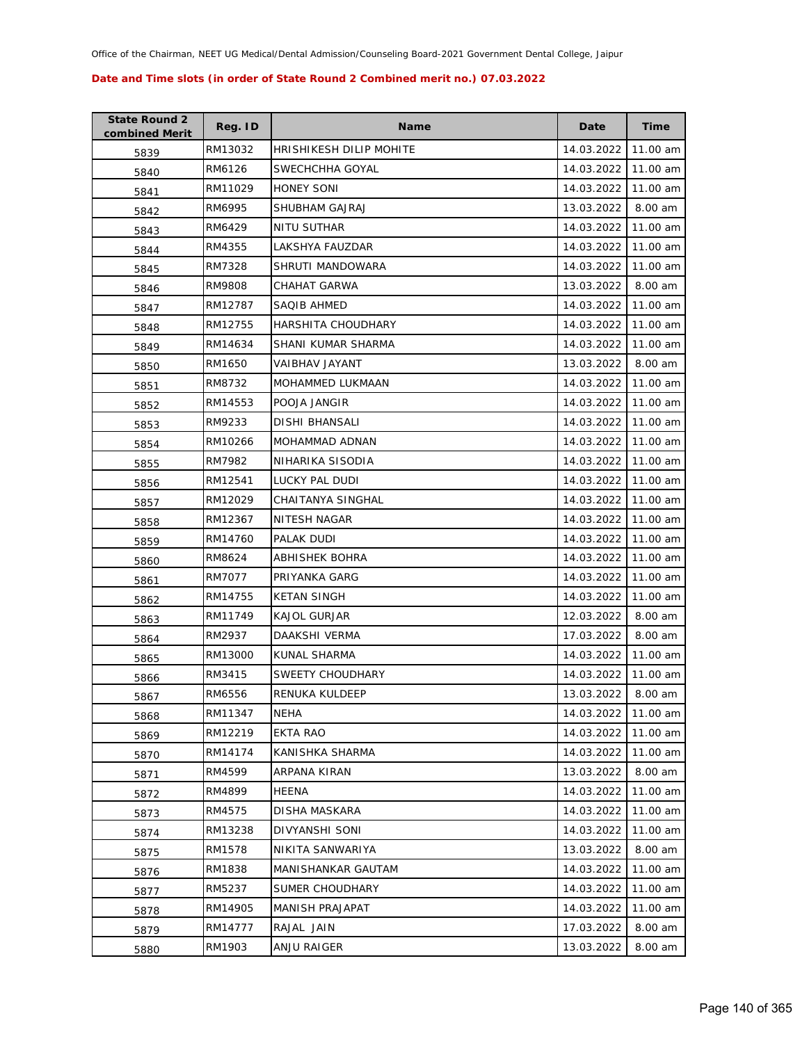| <b>State Round 2</b><br>combined Merit | Reg. ID | <b>Name</b>             | Date       | <b>Time</b> |
|----------------------------------------|---------|-------------------------|------------|-------------|
| 5839                                   | RM13032 | HRISHIKESH DILIP MOHITE | 14.03.2022 | 11.00 am    |
| 5840                                   | RM6126  | SWECHCHHA GOYAL         | 14.03.2022 | 11.00 am    |
| 5841                                   | RM11029 | HONEY SONI              | 14.03.2022 | 11.00 am    |
| 5842                                   | RM6995  | SHUBHAM GAJRAJ          | 13.03.2022 | 8.00 am     |
| 5843                                   | RM6429  | NITU SUTHAR             | 14.03.2022 | 11.00 am    |
| 5844                                   | RM4355  | LAKSHYA FAUZDAR         | 14.03.2022 | 11.00 am    |
| 5845                                   | RM7328  | SHRUTI MANDOWARA        | 14.03.2022 | 11.00 am    |
| 5846                                   | RM9808  | CHAHAT GARWA            | 13.03.2022 | 8.00 am     |
| 5847                                   | RM12787 | SAQIB AHMED             | 14.03.2022 | 11.00 am    |
| 5848                                   | RM12755 | HARSHITA CHOUDHARY      | 14.03.2022 | 11.00 am    |
| 5849                                   | RM14634 | SHANI KUMAR SHARMA      | 14.03.2022 | 11.00 am    |
| 5850                                   | RM1650  | VAIBHAV JAYANT          | 13.03.2022 | 8.00 am     |
| 5851                                   | RM8732  | MOHAMMED LUKMAAN        | 14.03.2022 | 11.00 am    |
| 5852                                   | RM14553 | POOJA JANGIR            | 14.03.2022 | 11.00 am    |
| 5853                                   | RM9233  | DISHI BHANSALI          | 14.03.2022 | 11.00 am    |
| 5854                                   | RM10266 | MOHAMMAD ADNAN          | 14.03.2022 | 11.00 am    |
| 5855                                   | RM7982  | NIHARIKA SISODIA        | 14.03.2022 | 11.00 am    |
| 5856                                   | RM12541 | LUCKY PAL DUDI          | 14.03.2022 | 11.00 am    |
| 5857                                   | RM12029 | CHAITANYA SINGHAL       | 14.03.2022 | 11.00 am    |
| 5858                                   | RM12367 | NITESH NAGAR            | 14.03.2022 | 11.00 am    |
| 5859                                   | RM14760 | PALAK DUDI              | 14.03.2022 | 11.00 am    |
| 5860                                   | RM8624  | ABHISHEK BOHRA          | 14.03.2022 | 11.00 am    |
| 5861                                   | RM7077  | PRIYANKA GARG           | 14.03.2022 | 11.00 am    |
| 5862                                   | RM14755 | <b>KETAN SINGH</b>      | 14.03.2022 | 11.00 am    |
| 5863                                   | RM11749 | <b>KAJOL GURJAR</b>     | 12.03.2022 | 8.00 am     |
| 5864                                   | RM2937  | DAAKSHI VERMA           | 17.03.2022 | 8.00 am     |
| 5865                                   | RM13000 | KUNAL SHARMA            | 14.03.2022 | 11.00 am    |
| 5866                                   | RM3415  | SWEETY CHOUDHARY        | 14.03.2022 | 11.00 am    |
| 5867                                   | RM6556  | RENUKA KULDEEP          | 13.03.2022 | 8.00 am     |
| 5868                                   | RM11347 | NEHA                    | 14.03.2022 | 11.00 am    |
| 5869                                   | RM12219 | <b>EKTA RAO</b>         | 14.03.2022 | 11.00 am    |
| 5870                                   | RM14174 | KANISHKA SHARMA         | 14.03.2022 | 11.00 am    |
| 5871                                   | RM4599  | ARPANA KIRAN            | 13.03.2022 | 8.00 am     |
| 5872                                   | RM4899  | HEENA                   | 14.03.2022 | 11.00 am    |
| 5873                                   | RM4575  | <b>DISHA MASKARA</b>    | 14.03.2022 | 11.00 am    |
| 5874                                   | RM13238 | DIVYANSHI SONI          | 14.03.2022 | 11.00 am    |
| 5875                                   | RM1578  | NIKITA SANWARIYA        | 13.03.2022 | 8.00 am     |
| 5876                                   | RM1838  | MANISHANKAR GAUTAM      | 14.03.2022 | 11.00 am    |
| 5877                                   | RM5237  | SUMER CHOUDHARY         | 14.03.2022 | 11.00 am    |
| 5878                                   | RM14905 | MANISH PRAJAPAT         | 14.03.2022 | 11.00 am    |
| 5879                                   | RM14777 | RAJAL JAIN              | 17.03.2022 | 8.00 am     |
| 5880                                   | RM1903  | ANJU RAIGER             | 13.03.2022 | 8.00 am     |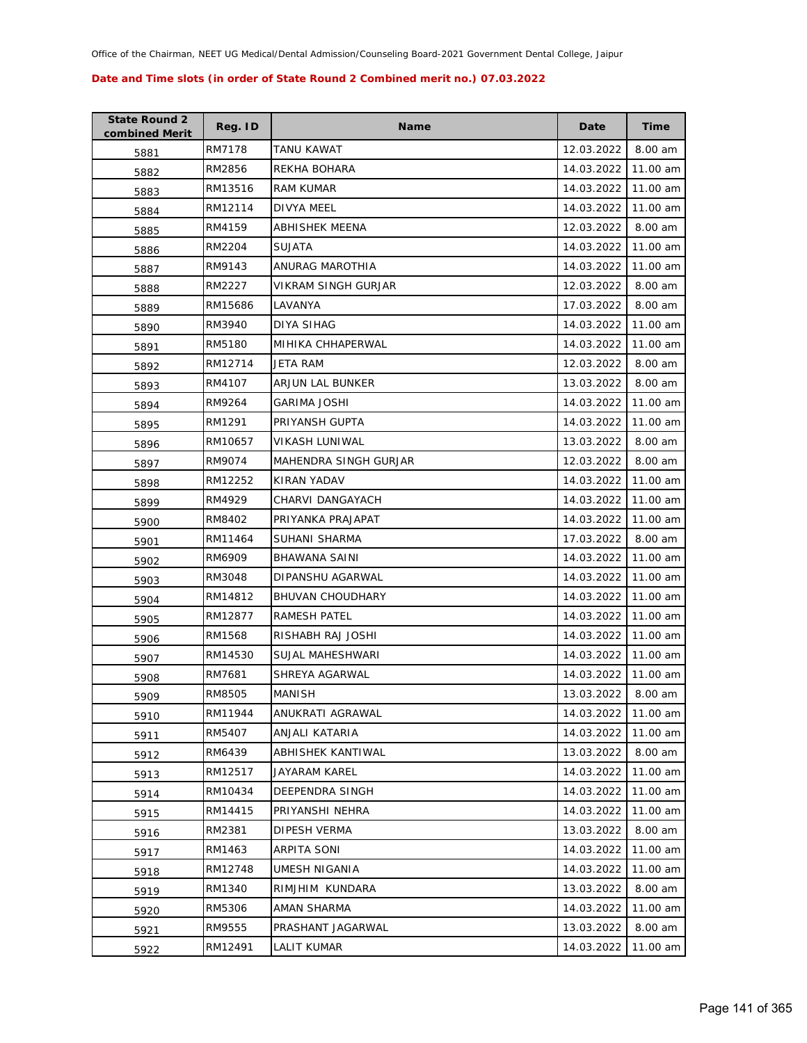| <b>State Round 2</b><br>combined Merit | Reg. ID | <b>Name</b>                  | Date       | Time     |
|----------------------------------------|---------|------------------------------|------------|----------|
| 5881                                   | RM7178  | TANU KAWAT                   | 12.03.2022 | 8.00 am  |
| 5882                                   | RM2856  | REKHA BOHARA                 | 14.03.2022 | 11.00 am |
| 5883                                   | RM13516 | <b>RAM KUMAR</b>             | 14.03.2022 | 11.00 am |
| 5884                                   | RM12114 | DIVYA MEEL                   | 14.03.2022 | 11.00 am |
| 5885                                   | RM4159  | ABHISHEK MEENA               | 12.03.2022 | 8.00 am  |
| 5886                                   | RM2204  | <b>SUJATA</b>                | 14.03.2022 | 11.00 am |
| 5887                                   | RM9143  | ANURAG MAROTHIA              | 14.03.2022 | 11.00 am |
| 5888                                   | RM2227  | VIKRAM SINGH GURJAR          | 12.03.2022 | 8.00 am  |
| 5889                                   | RM15686 | LAVANYA                      | 17.03.2022 | 8.00 am  |
| 5890                                   | RM3940  | DIYA SIHAG                   | 14.03.2022 | 11.00 am |
| 5891                                   | RM5180  | MIHIKA CHHAPERWAL            | 14.03.2022 | 11.00 am |
| 5892                                   | RM12714 | JETA RAM                     | 12.03.2022 | 8.00 am  |
| 5893                                   | RM4107  | ARJUN LAL BUNKER             | 13.03.2022 | 8.00 am  |
| 5894                                   | RM9264  | GARIMA JOSHI                 | 14.03.2022 | 11.00 am |
| 5895                                   | RM1291  | PRIYANSH GUPTA               | 14.03.2022 | 11.00 am |
| 5896                                   | RM10657 | VIKASH LUNIWAL               | 13.03.2022 | 8.00 am  |
| 5897                                   | RM9074  | <b>MAHENDRA SINGH GURJAR</b> | 12.03.2022 | 8.00 am  |
| 5898                                   | RM12252 | KIRAN YADAV                  | 14.03.2022 | 11.00 am |
| 5899                                   | RM4929  | CHARVI DANGAYACH             | 14.03.2022 | 11.00 am |
| 5900                                   | RM8402  | PRIYANKA PRAJAPAT            | 14.03.2022 | 11.00 am |
| 5901                                   | RM11464 | SUHANI SHARMA                | 17.03.2022 | 8.00 am  |
| 5902                                   | RM6909  | <b>BHAWANA SAINI</b>         | 14.03.2022 | 11.00 am |
| 5903                                   | RM3048  | DIPANSHU AGARWAL             | 14.03.2022 | 11.00 am |
| 5904                                   | RM14812 | <b>BHUVAN CHOUDHARY</b>      | 14.03.2022 | 11.00 am |
| 5905                                   | RM12877 | RAMESH PATEL                 | 14.03.2022 | 11.00 am |
| 5906                                   | RM1568  | RISHABH RAJ JOSHI            | 14.03.2022 | 11.00 am |
| 5907                                   | RM14530 | SUJAL MAHESHWARI             | 14.03.2022 | 11.00 am |
| 5908                                   | RM7681  | SHREYA AGARWAL               | 14.03.2022 | 11.00 am |
| 5909                                   | RM8505  | <b>MANISH</b>                | 13.03.2022 | 8.00 am  |
| 5910                                   | RM11944 | ANUKRATI AGRAWAL             | 14.03.2022 | 11.00 am |
| 5911                                   | RM5407  | ANJALI KATARIA               | 14.03.2022 | 11.00 am |
| 5912                                   | RM6439  | ABHISHEK KANTIWAL            | 13.03.2022 | 8.00 am  |
| 5913                                   | RM12517 | <b>JAYARAM KAREL</b>         | 14.03.2022 | 11.00 am |
| 5914                                   | RM10434 | DEEPENDRA SINGH              | 14.03.2022 | 11.00 am |
| 5915                                   | RM14415 | PRIYANSHI NEHRA              | 14.03.2022 | 11.00 am |
| 5916                                   | RM2381  | DIPESH VERMA                 | 13.03.2022 | 8.00 am  |
| 5917                                   | RM1463  | ARPITA SONI                  | 14.03.2022 | 11.00 am |
| 5918                                   | RM12748 | UMESH NIGANIA                | 14.03.2022 | 11.00 am |
| 5919                                   | RM1340  | RIMJHIM KUNDARA              | 13.03.2022 | 8.00 am  |
| 5920                                   | RM5306  | AMAN SHARMA                  | 14.03.2022 | 11.00 am |
| 5921                                   | RM9555  | PRASHANT JAGARWAL            | 13.03.2022 | 8.00 am  |
| 5922                                   | RM12491 | LALIT KUMAR                  | 14.03.2022 | 11.00 am |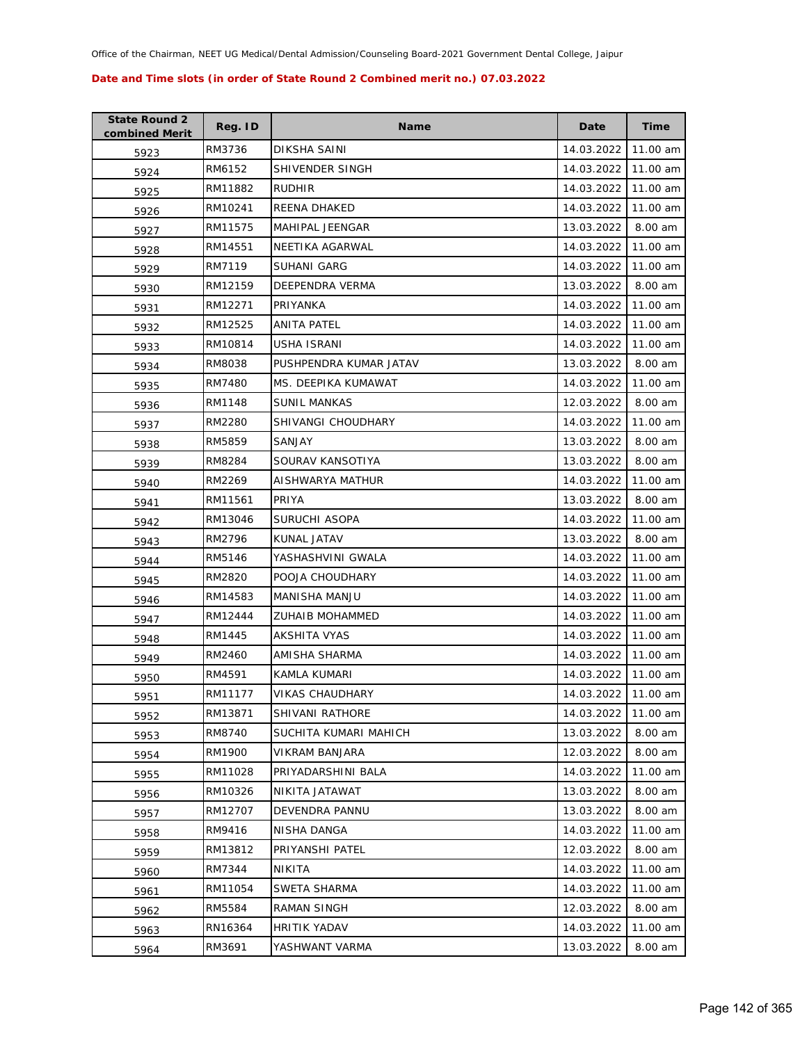| <b>State Round 2</b><br>combined Merit | Reg. ID | <b>Name</b>            | Date                | <b>Time</b> |
|----------------------------------------|---------|------------------------|---------------------|-------------|
| 5923                                   | RM3736  | DIKSHA SAINI           | 14.03.2022          | 11.00 am    |
| 5924                                   | RM6152  | SHIVENDER SINGH        | 14.03.2022          | 11.00 am    |
| 5925                                   | RM11882 | <b>RUDHIR</b>          | 14.03.2022          | 11.00 am    |
| 5926                                   | RM10241 | REENA DHAKED           | 14.03.2022          | 11.00 am    |
| 5927                                   | RM11575 | MAHIPAL JEENGAR        | 13.03.2022          | 8.00 am     |
| 5928                                   | RM14551 | NEETIKA AGARWAL        | 14.03.2022          | 11.00 am    |
| 5929                                   | RM7119  | SUHANI GARG            | 14.03.2022          | 11.00 am    |
| 5930                                   | RM12159 | DEEPENDRA VERMA        | 13.03.2022          | 8.00 am     |
| 5931                                   | RM12271 | PRIYANKA               | 14.03.2022          | 11.00 am    |
| 5932                                   | RM12525 | ANITA PATEL            | 14.03.2022          | 11.00 am    |
| 5933                                   | RM10814 | USHA ISRANI            | 14.03.2022          | 11.00 am    |
| 5934                                   | RM8038  | PUSHPENDRA KUMAR JATAV | 13.03.2022          | 8.00 am     |
| 5935                                   | RM7480  | MS. DEEPIKA KUMAWAT    | 14.03.2022          | 11.00 am    |
| 5936                                   | RM1148  | <b>SUNIL MANKAS</b>    | 12.03.2022          | 8.00 am     |
| 5937                                   | RM2280  | SHIVANGI CHOUDHARY     | 14.03.2022          | 11.00 am    |
| 5938                                   | RM5859  | SANJAY                 | 13.03.2022          | 8.00 am     |
| 5939                                   | RM8284  | SOURAV KANSOTIYA       | 13.03.2022          | 8.00 am     |
| 5940                                   | RM2269  | AISHWARYA MATHUR       | 14.03.2022          | 11.00 am    |
| 5941                                   | RM11561 | PRIYA                  | 13.03.2022          | 8.00 am     |
| 5942                                   | RM13046 | SURUCHI ASOPA          | 14.03.2022          | 11.00 am    |
| 5943                                   | RM2796  | KUNAL JATAV            | 13.03.2022          | 8.00 am     |
| 5944                                   | RM5146  | YASHASHVINI GWALA      | 14.03.2022          | 11.00 am    |
| 5945                                   | RM2820  | POOJA CHOUDHARY        | 14.03.2022          | 11.00 am    |
| 5946                                   | RM14583 | MANISHA MANJU          | 14.03.2022          | 11.00 am    |
| 5947                                   | RM12444 | ZUHAIB MOHAMMED        | 14.03.2022          | 11.00 am    |
| 5948                                   | RM1445  | AKSHITA VYAS           | 14.03.2022          | 11.00 am    |
| 5949                                   | RM2460  | AMISHA SHARMA          | 14.03.2022          | 11.00 am    |
| 5950                                   | RM4591  | KAMLA KUMARI           | 14.03.2022          | 11.00 am    |
| 5951                                   | RM11177 | <b>VIKAS CHAUDHARY</b> | 14.03.2022 11.00 am |             |
| 5952                                   | RM13871 | SHIVANI RATHORE        | 14.03.2022          | 11.00 am    |
| 5953                                   | RM8740  | SUCHITA KUMARI MAHICH  | 13.03.2022          | 8.00 am     |
| 5954                                   | RM1900  | VIKRAM BANJARA         | 12.03.2022          | 8.00 am     |
| 5955                                   | RM11028 | PRIYADARSHINI BALA     | 14.03.2022          | 11.00 am    |
| 5956                                   | RM10326 | NIKITA JATAWAT         | 13.03.2022          | 8.00 am     |
| 5957                                   | RM12707 | DEVENDRA PANNU         | 13.03.2022          | 8.00 am     |
| 5958                                   | RM9416  | NISHA DANGA            | 14.03.2022          | 11.00 am    |
| 5959                                   | RM13812 | PRIYANSHI PATEL        | 12.03.2022          | 8.00 am     |
| 5960                                   | RM7344  | NIKITA                 | 14.03.2022          | 11.00 am    |
| 5961                                   | RM11054 | SWETA SHARMA           | 14.03.2022          | 11.00 am    |
| 5962                                   | RM5584  | RAMAN SINGH            | 12.03.2022          | 8.00 am     |
| 5963                                   | RN16364 | <b>HRITIK YADAV</b>    | 14.03.2022          | 11.00 am    |
| 5964                                   | RM3691  | YASHWANT VARMA         | 13.03.2022          | 8.00 am     |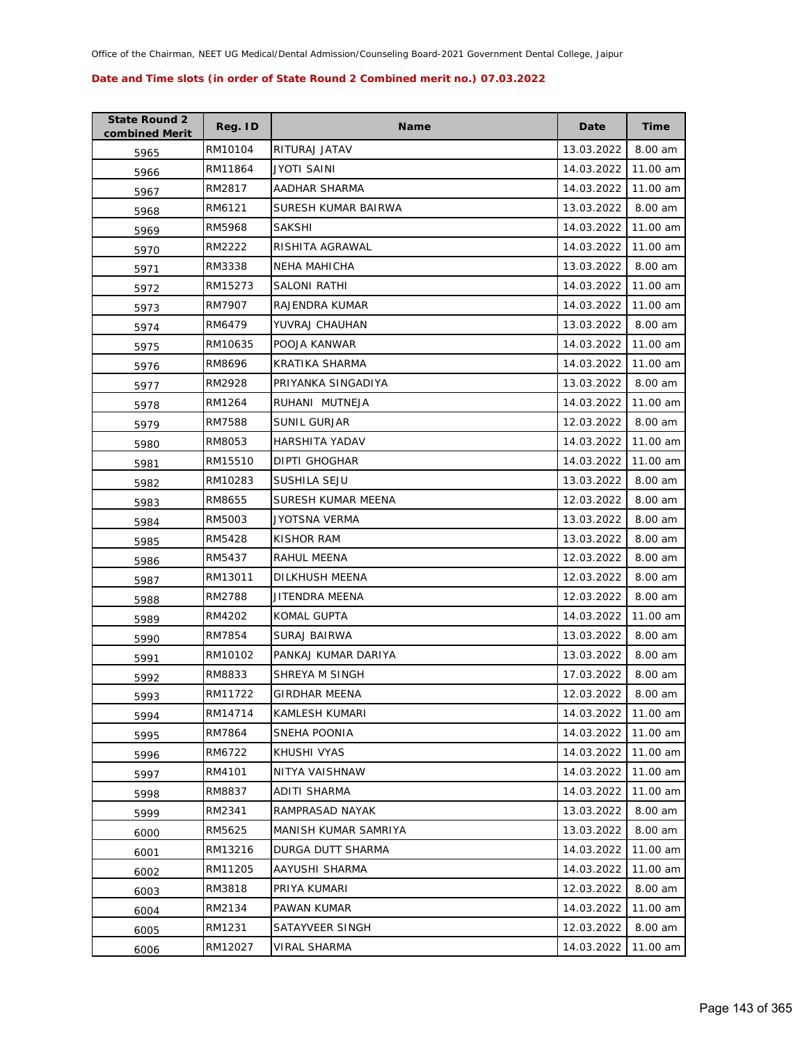| <b>State Round 2</b><br>combined Merit | Reg. ID | <b>Name</b>          | Date       | <b>Time</b> |
|----------------------------------------|---------|----------------------|------------|-------------|
| 5965                                   | RM10104 | RITURAJ JATAV        | 13.03.2022 | 8.00 am     |
| 5966                                   | RM11864 | JYOTI SAINI          | 14.03.2022 | 11.00 am    |
| 5967                                   | RM2817  | AADHAR SHARMA        | 14.03.2022 | 11.00 am    |
| 5968                                   | RM6121  | SURESH KUMAR BAIRWA  | 13.03.2022 | 8.00 am     |
| 5969                                   | RM5968  | <b>SAKSHI</b>        | 14.03.2022 | 11.00 am    |
| 5970                                   | RM2222  | RISHITA AGRAWAL      | 14.03.2022 | 11.00 am    |
| 5971                                   | RM3338  | <b>NEHA MAHICHA</b>  | 13.03.2022 | 8.00 am     |
| 5972                                   | RM15273 | <b>SALONI RATHI</b>  | 14.03.2022 | 11.00 am    |
| 5973                                   | RM7907  | RAJENDRA KUMAR       | 14.03.2022 | 11.00 am    |
| 5974                                   | RM6479  | YUVRAJ CHAUHAN       | 13.03.2022 | 8.00 am     |
| 5975                                   | RM10635 | POOJA KANWAR         | 14.03.2022 | 11.00 am    |
| 5976                                   | RM8696  | KRATIKA SHARMA       | 14.03.2022 | 11.00 am    |
| 5977                                   | RM2928  | PRIYANKA SINGADIYA   | 13.03.2022 | 8.00 am     |
| 5978                                   | RM1264  | RUHANI MUTNEJA       | 14.03.2022 | 11.00 am    |
| 5979                                   | RM7588  | <b>SUNIL GURJAR</b>  | 12.03.2022 | 8.00 am     |
| 5980                                   | RM8053  | HARSHITA YADAV       | 14.03.2022 | 11.00 am    |
| 5981                                   | RM15510 | DIPTI GHOGHAR        | 14.03.2022 | 11.00 am    |
| 5982                                   | RM10283 | <b>SUSHILA SEJU</b>  | 13.03.2022 | 8.00 am     |
| 5983                                   | RM8655  | SURESH KUMAR MEENA   | 12.03.2022 | 8.00 am     |
| 5984                                   | RM5003  | JYOTSNA VERMA        | 13.03.2022 | 8.00 am     |
| 5985                                   | RM5428  | KISHOR RAM           | 13.03.2022 | 8.00 am     |
| 5986                                   | RM5437  | RAHUL MEENA          | 12.03.2022 | 8.00 am     |
| 5987                                   | RM13011 | DILKHUSH MEENA       | 12.03.2022 | 8.00 am     |
| 5988                                   | RM2788  | JITENDRA MEENA       | 12.03.2022 | 8.00 am     |
| 5989                                   | RM4202  | KOMAL GUPTA          | 14.03.2022 | 11.00 am    |
| 5990                                   | RM7854  | SURAJ BAIRWA         | 13.03.2022 | 8.00 am     |
| 5991                                   | RM10102 | PANKAJ KUMAR DARIYA  | 13.03.2022 | 8.00 am     |
| 5992                                   | RM8833  | SHREYA M SINGH       | 17.03.2022 | 8.00 am     |
| 5993                                   | RM11722 | <b>GIRDHAR MEENA</b> | 12.03.2022 | 8.00 am     |
| 5994                                   | RM14714 | KAMLESH KUMARI       | 14.03.2022 | 11.00 am    |
| 5995                                   | RM7864  | SNEHA POONIA         | 14.03.2022 | 11.00 am    |
| 5996                                   | RM6722  | KHUSHI VYAS          | 14.03.2022 | 11.00 am    |
| 5997                                   | RM4101  | NITYA VAISHNAW       | 14.03.2022 | 11.00 am    |
| 5998                                   | RM8837  | ADITI SHARMA         | 14.03.2022 | 11.00 am    |
| 5999                                   | RM2341  | RAMPRASAD NAYAK      | 13.03.2022 | 8.00 am     |
| 6000                                   | RM5625  | MANISH KUMAR SAMRIYA | 13.03.2022 | 8.00 am     |
| 6001                                   | RM13216 | DURGA DUTT SHARMA    | 14.03.2022 | 11.00 am    |
| 6002                                   | RM11205 | AAYUSHI SHARMA       | 14.03.2022 | 11.00 am    |
| 6003                                   | RM3818  | PRIYA KUMARI         | 12.03.2022 | 8.00 am     |
| 6004                                   | RM2134  | PAWAN KUMAR          | 14.03.2022 | 11.00 am    |
| 6005                                   | RM1231  | SATAYVEER SINGH      | 12.03.2022 | 8.00 am     |
| 6006                                   | RM12027 | VIRAL SHARMA         | 14.03.2022 | 11.00 am    |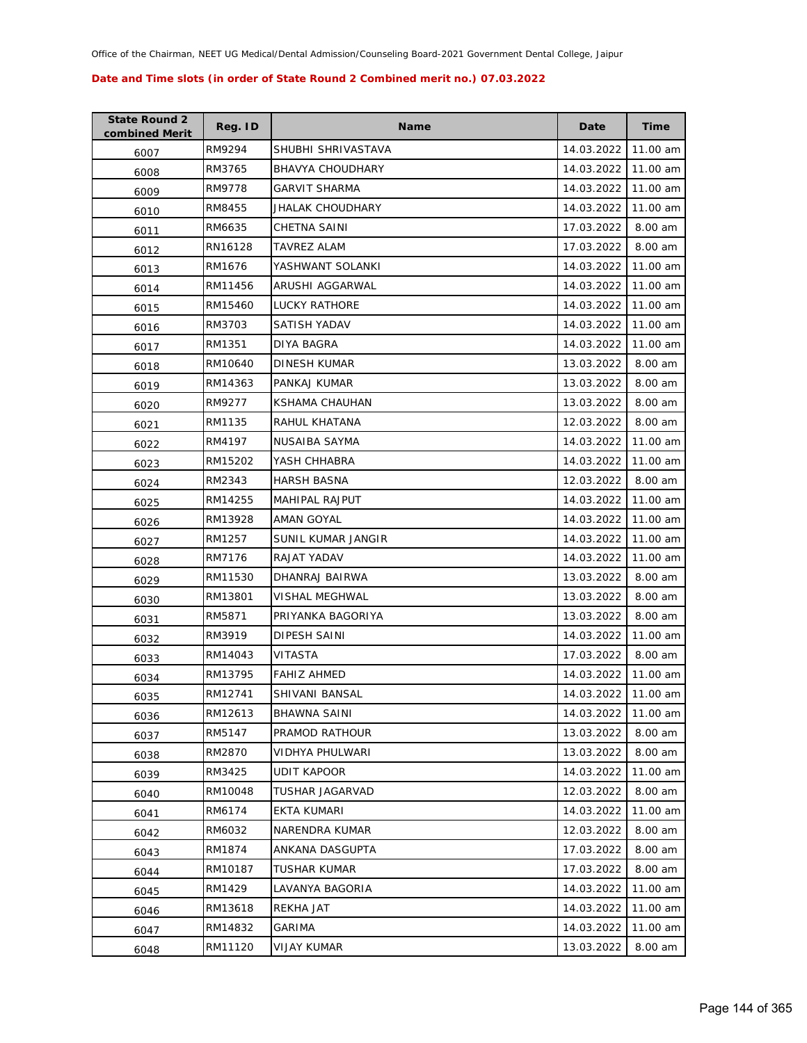| <b>State Round 2</b><br>combined Merit | Reg. ID | <b>Name</b>             | Date       | <b>Time</b> |
|----------------------------------------|---------|-------------------------|------------|-------------|
| 6007                                   | RM9294  | SHUBHI SHRIVASTAVA      | 14.03.2022 | 11.00 am    |
| 6008                                   | RM3765  | <b>BHAVYA CHOUDHARY</b> | 14.03.2022 | 11.00 am    |
| 6009                                   | RM9778  | GARVIT SHARMA           | 14.03.2022 | 11.00 am    |
| 6010                                   | RM8455  | JHALAK CHOUDHARY        | 14.03.2022 | 11.00 am    |
| 6011                                   | RM6635  | CHETNA SAINI            | 17.03.2022 | 8.00 am     |
| 6012                                   | RN16128 | TAVREZ ALAM             | 17.03.2022 | 8.00 am     |
| 6013                                   | RM1676  | YASHWANT SOLANKI        | 14.03.2022 | 11.00 am    |
| 6014                                   | RM11456 | ARUSHI AGGARWAL         | 14.03.2022 | 11.00 am    |
| 6015                                   | RM15460 | <b>LUCKY RATHORE</b>    | 14.03.2022 | 11.00 am    |
| 6016                                   | RM3703  | SATISH YADAV            | 14.03.2022 | 11.00 am    |
| 6017                                   | RM1351  | DIYA BAGRA              | 14.03.2022 | 11.00 am    |
| 6018                                   | RM10640 | DINESH KUMAR            | 13.03.2022 | 8.00 am     |
| 6019                                   | RM14363 | PANKAJ KUMAR            | 13.03.2022 | 8.00 am     |
| 6020                                   | RM9277  | <b>KSHAMA CHAUHAN</b>   | 13.03.2022 | 8.00 am     |
| 6021                                   | RM1135  | RAHUL KHATANA           | 12.03.2022 | 8.00 am     |
| 6022                                   | RM4197  | NUSAIBA SAYMA           | 14.03.2022 | 11.00 am    |
| 6023                                   | RM15202 | YASH CHHABRA            | 14.03.2022 | 11.00 am    |
| 6024                                   | RM2343  | <b>HARSH BASNA</b>      | 12.03.2022 | 8.00 am     |
| 6025                                   | RM14255 | MAHIPAL RAJPUT          | 14.03.2022 | 11.00 am    |
| 6026                                   | RM13928 | AMAN GOYAL              | 14.03.2022 | 11.00 am    |
| 6027                                   | RM1257  | SUNIL KUMAR JANGIR      | 14.03.2022 | 11.00 am    |
| 6028                                   | RM7176  | RAJAT YADAV             | 14.03.2022 | 11.00 am    |
| 6029                                   | RM11530 | DHANRAJ BAIRWA          | 13.03.2022 | 8.00 am     |
| 6030                                   | RM13801 | VISHAL MEGHWAL          | 13.03.2022 | 8.00 am     |
| 6031                                   | RM5871  | PRIYANKA BAGORIYA       | 13.03.2022 | 8.00 am     |
| 6032                                   | RM3919  | <b>DIPESH SAINI</b>     | 14.03.2022 | 11.00 am    |
| 6033                                   | RM14043 | VITASTA                 | 17.03.2022 | 8.00 am     |
| 6034                                   | RM13795 | <b>FAHIZ AHMED</b>      | 14.03.2022 | 11.00 am    |
| 6035                                   | RM12741 | SHIVANI BANSAL          | 14.03.2022 | 11.00 am    |
| 6036                                   | RM12613 | <b>BHAWNA SAINI</b>     | 14.03.2022 | 11.00 am    |
| 6037                                   | RM5147  | PRAMOD RATHOUR          | 13.03.2022 | 8.00 am     |
| 6038                                   | RM2870  | VIDHYA PHULWARI         | 13.03.2022 | 8.00 am     |
| 6039                                   | RM3425  | UDIT KAPOOR             | 14.03.2022 | 11.00 am    |
| 6040                                   | RM10048 | TUSHAR JAGARVAD         | 12.03.2022 | 8.00 am     |
| 6041                                   | RM6174  | EKTA KUMARI             | 14.03.2022 | 11.00 am    |
| 6042                                   | RM6032  | NARENDRA KUMAR          | 12.03.2022 | 8.00 am     |
| 6043                                   | RM1874  | ANKANA DASGUPTA         | 17.03.2022 | 8.00 am     |
| 6044                                   | RM10187 | TUSHAR KUMAR            | 17.03.2022 | 8.00 am     |
| 6045                                   | RM1429  | LAVANYA BAGORIA         | 14.03.2022 | 11.00 am    |
| 6046                                   | RM13618 | REKHA JAT               | 14.03.2022 | 11.00 am    |
| 6047                                   | RM14832 | GARIMA                  | 14.03.2022 | 11.00 am    |
| 6048                                   | RM11120 | <b>VIJAY KUMAR</b>      | 13.03.2022 | 8.00 am     |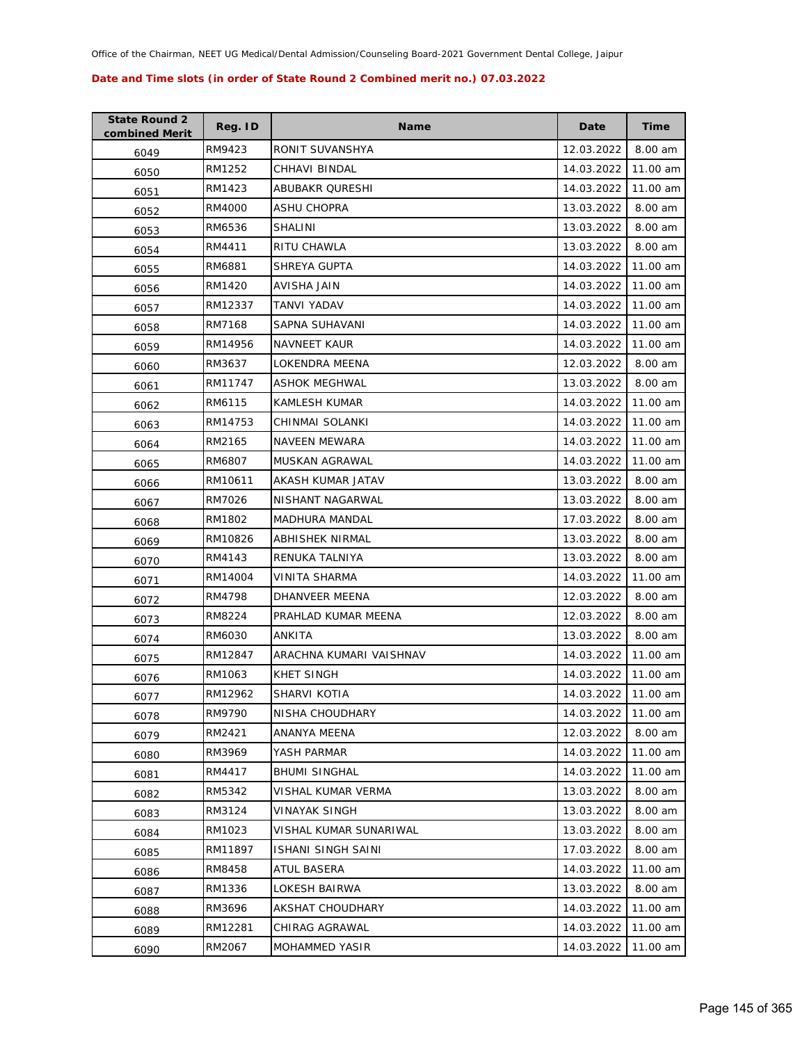| <b>State Round 2</b><br>combined Merit | Reg. ID | <b>Name</b>               | Date       | Time     |
|----------------------------------------|---------|---------------------------|------------|----------|
| 6049                                   | RM9423  | RONIT SUVANSHYA           | 12.03.2022 | 8.00 am  |
| 6050                                   | RM1252  | CHHAVI BINDAL             | 14.03.2022 | 11.00 am |
| 6051                                   | RM1423  | ABUBAKR QURESHI           | 14.03.2022 | 11.00 am |
| 6052                                   | RM4000  | <b>ASHU CHOPRA</b>        | 13.03.2022 | 8.00 am  |
| 6053                                   | RM6536  | SHALINI                   | 13.03.2022 | 8.00 am  |
| 6054                                   | RM4411  | <b>RITU CHAWLA</b>        | 13.03.2022 | 8.00 am  |
| 6055                                   | RM6881  | SHREYA GUPTA              | 14.03.2022 | 11.00 am |
| 6056                                   | RM1420  | AVISHA JAIN               | 14.03.2022 | 11.00 am |
| 6057                                   | RM12337 | TANVI YADAV               | 14.03.2022 | 11.00 am |
| 6058                                   | RM7168  | SAPNA SUHAVANI            | 14.03.2022 | 11.00 am |
| 6059                                   | RM14956 | <b>NAVNEET KAUR</b>       | 14.03.2022 | 11.00 am |
| 6060                                   | RM3637  | LOKENDRA MEENA            | 12.03.2022 | 8.00 am  |
| 6061                                   | RM11747 | ASHOK MEGHWAL             | 13.03.2022 | 8.00 am  |
| 6062                                   | RM6115  | KAMLESH KUMAR             | 14.03.2022 | 11.00 am |
| 6063                                   | RM14753 | CHINMAI SOLANKI           | 14.03.2022 | 11.00 am |
| 6064                                   | RM2165  | <b>NAVEEN MEWARA</b>      | 14.03.2022 | 11.00 am |
| 6065                                   | RM6807  | MUSKAN AGRAWAL            | 14.03.2022 | 11.00 am |
| 6066                                   | RM10611 | AKASH KUMAR JATAV         | 13.03.2022 | 8.00 am  |
| 6067                                   | RM7026  | NISHANT NAGARWAL          | 13.03.2022 | 8.00 am  |
| 6068                                   | RM1802  | <b>MADHURA MANDAL</b>     | 17.03.2022 | 8.00 am  |
| 6069                                   | RM10826 | ABHISHEK NIRMAL           | 13.03.2022 | 8.00 am  |
| 6070                                   | RM4143  | RENUKA TALNIYA            | 13.03.2022 | 8.00 am  |
| 6071                                   | RM14004 | VINITA SHARMA             | 14.03.2022 | 11.00 am |
| 6072                                   | RM4798  | DHANVEER MEENA            | 12.03.2022 | 8.00 am  |
| 6073                                   | RM8224  | PRAHLAD KUMAR MEENA       | 12.03.2022 | 8.00 am  |
| 6074                                   | RM6030  | ANKITA                    | 13.03.2022 | 8.00 am  |
| 6075                                   | RM12847 | ARACHNA KUMARI VAISHNAV   | 14.03.2022 | 11.00 am |
| 6076                                   | RM1063  | KHET SINGH                | 14.03.2022 | 11.00 am |
| 6077                                   | RM12962 | SHARVI KOTIA              | 14.03.2022 | 11.00 am |
| 6078                                   | RM9790  | NISHA CHOUDHARY           | 14.03.2022 | 11.00 am |
| 6079                                   | RM2421  | ANANYA MEENA              | 12.03.2022 | 8.00 am  |
| 6080                                   | RM3969  | YASH PARMAR               | 14.03.2022 | 11.00 am |
| 6081                                   | RM4417  | <b>BHUMI SINGHAL</b>      | 14.03.2022 | 11.00 am |
| 6082                                   | RM5342  | VISHAL KUMAR VERMA        | 13.03.2022 | 8.00 am  |
| 6083                                   | RM3124  | VINAYAK SINGH             | 13.03.2022 | 8.00 am  |
| 6084                                   | RM1023  | VISHAL KUMAR SUNARIWAL    | 13.03.2022 | 8.00 am  |
| 6085                                   | RM11897 | <b>ISHANI SINGH SAINI</b> | 17.03.2022 | 8.00 am  |
| 6086                                   | RM8458  | ATUL BASERA               | 14.03.2022 | 11.00 am |
| 6087                                   | RM1336  | LOKESH BAIRWA             | 13.03.2022 | 8.00 am  |
| 6088                                   | RM3696  | AKSHAT CHOUDHARY          | 14.03.2022 | 11.00 am |
| 6089                                   | RM12281 | CHIRAG AGRAWAL            | 14.03.2022 | 11.00 am |
| 6090                                   | RM2067  | MOHAMMED YASIR            | 14.03.2022 | 11.00 am |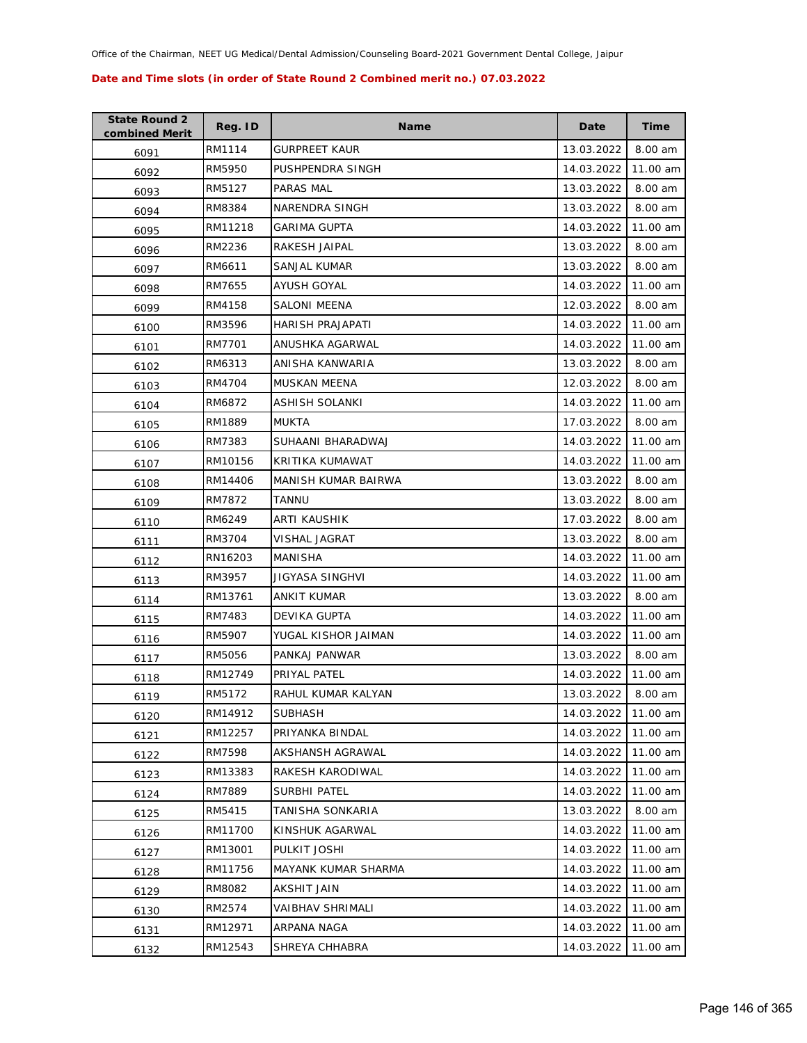| <b>State Round 2</b><br>combined Merit | Reg. ID | <b>Name</b>          | Date       | <b>Time</b> |
|----------------------------------------|---------|----------------------|------------|-------------|
| 6091                                   | RM1114  | <b>GURPREET KAUR</b> | 13.03.2022 | 8.00 am     |
| 6092                                   | RM5950  | PUSHPENDRA SINGH     | 14.03.2022 | 11.00 am    |
| 6093                                   | RM5127  | PARAS MAL            | 13.03.2022 | 8.00 am     |
| 6094                                   | RM8384  | NARENDRA SINGH       | 13.03.2022 | 8.00 am     |
| 6095                                   | RM11218 | <b>GARIMA GUPTA</b>  | 14.03.2022 | 11.00 am    |
| 6096                                   | RM2236  | RAKESH JAIPAL        | 13.03.2022 | 8.00 am     |
| 6097                                   | RM6611  | SANJAL KUMAR         | 13.03.2022 | 8.00 am     |
| 6098                                   | RM7655  | AYUSH GOYAL          | 14.03.2022 | 11.00 am    |
| 6099                                   | RM4158  | SALONI MEENA         | 12.03.2022 | 8.00 am     |
| 6100                                   | RM3596  | HARISH PRAJAPATI     | 14.03.2022 | 11.00 am    |
| 6101                                   | RM7701  | ANUSHKA AGARWAL      | 14.03.2022 | 11.00 am    |
| 6102                                   | RM6313  | ANISHA KANWARIA      | 13.03.2022 | 8.00 am     |
| 6103                                   | RM4704  | MUSKAN MEENA         | 12.03.2022 | 8.00 am     |
| 6104                                   | RM6872  | ASHISH SOLANKI       | 14.03.2022 | 11.00 am    |
| 6105                                   | RM1889  | <b>MUKTA</b>         | 17.03.2022 | 8.00 am     |
| 6106                                   | RM7383  | SUHAANI BHARADWAJ    | 14.03.2022 | 11.00 am    |
| 6107                                   | RM10156 | KRITIKA KUMAWAT      | 14.03.2022 | 11.00 am    |
| 6108                                   | RM14406 | MANISH KUMAR BAIRWA  | 13.03.2022 | 8.00 am     |
| 6109                                   | RM7872  | <b>TANNU</b>         | 13.03.2022 | 8.00 am     |
| 6110                                   | RM6249  | ARTI KAUSHIK         | 17.03.2022 | 8.00 am     |
| 6111                                   | RM3704  | VISHAL JAGRAT        | 13.03.2022 | 8.00 am     |
| 6112                                   | RN16203 | <b>MANISHA</b>       | 14.03.2022 | 11.00 am    |
| 6113                                   | RM3957  | JIGYASA SINGHVI      | 14.03.2022 | 11.00 am    |
| 6114                                   | RM13761 | ANKIT KUMAR          | 13.03.2022 | 8.00 am     |
| 6115                                   | RM7483  | DEVIKA GUPTA         | 14.03.2022 | 11.00 am    |
| 6116                                   | RM5907  | YUGAL KISHOR JAIMAN  | 14.03.2022 | 11.00 am    |
| 6117                                   | RM5056  | PANKAJ PANWAR        | 13.03.2022 | 8.00 am     |
| 6118                                   | RM12749 | PRIYAL PATEL         | 14.03.2022 | 11.00 am    |
| 6119                                   | RM5172  | RAHUL KUMAR KALYAN   | 13.03.2022 | 8.00 am     |
| 6120                                   | RM14912 | <b>SUBHASH</b>       | 14.03.2022 | 11.00 am    |
| 6121                                   | RM12257 | PRIYANKA BINDAL      | 14.03.2022 | 11.00 am    |
| 6122                                   | RM7598  | AKSHANSH AGRAWAL     | 14.03.2022 | 11.00 am    |
| 6123                                   | RM13383 | RAKESH KARODIWAL     | 14.03.2022 | 11.00 am    |
| 6124                                   | RM7889  | SURBHI PATEL         | 14.03.2022 | 11.00 am    |
| 6125                                   | RM5415  | TANISHA SONKARIA     | 13.03.2022 | 8.00 am     |
| 6126                                   | RM11700 | KINSHUK AGARWAL      | 14.03.2022 | 11.00 am    |
| 6127                                   | RM13001 | PULKIT JOSHI         | 14.03.2022 | 11.00 am    |
| 6128                                   | RM11756 | MAYANK KUMAR SHARMA  | 14.03.2022 | 11.00 am    |
| 6129                                   | RM8082  | AKSHIT JAIN          | 14.03.2022 | 11.00 am    |
| 6130                                   | RM2574  | VAIBHAV SHRIMALI     | 14.03.2022 | 11.00 am    |
| 6131                                   | RM12971 | ARPANA NAGA          | 14.03.2022 | 11.00 am    |
| 6132                                   | RM12543 | SHREYA CHHABRA       | 14.03.2022 | 11.00 am    |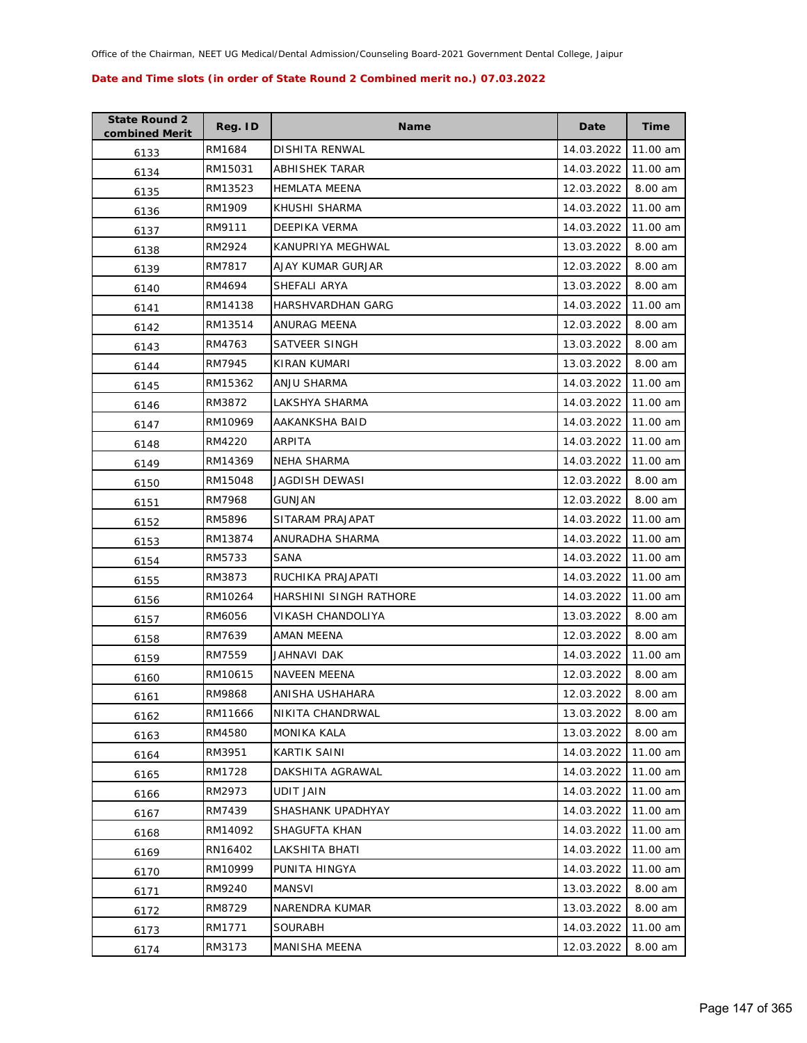| <b>State Round 2</b><br>combined Merit | Reg. ID | <b>Name</b>            | Date       | <b>Time</b> |
|----------------------------------------|---------|------------------------|------------|-------------|
| 6133                                   | RM1684  | DISHITA RENWAL         | 14.03.2022 | 11.00 am    |
| 6134                                   | RM15031 | ABHISHEK TARAR         | 14.03.2022 | 11.00 am    |
| 6135                                   | RM13523 | <b>HEMLATA MEENA</b>   | 12.03.2022 | 8.00 am     |
| 6136                                   | RM1909  | KHUSHI SHARMA          | 14.03.2022 | 11.00 am    |
| 6137                                   | RM9111  | DEEPIKA VERMA          | 14.03.2022 | 11.00 am    |
| 6138                                   | RM2924  | KANUPRIYA MEGHWAL      | 13.03.2022 | 8.00 am     |
| 6139                                   | RM7817  | AJAY KUMAR GURJAR      | 12.03.2022 | 8.00 am     |
| 6140                                   | RM4694  | SHEFALI ARYA           | 13.03.2022 | 8.00 am     |
| 6141                                   | RM14138 | HARSHVARDHAN GARG      | 14.03.2022 | 11.00 am    |
| 6142                                   | RM13514 | ANURAG MEENA           | 12.03.2022 | 8.00 am     |
| 6143                                   | RM4763  | SATVEER SINGH          | 13.03.2022 | 8.00 am     |
| 6144                                   | RM7945  | KIRAN KUMARI           | 13.03.2022 | 8.00 am     |
| 6145                                   | RM15362 | ANJU SHARMA            | 14.03.2022 | 11.00 am    |
| 6146                                   | RM3872  | LAKSHYA SHARMA         | 14.03.2022 | 11.00 am    |
| 6147                                   | RM10969 | AAKANKSHA BAID         | 14.03.2022 | 11.00 am    |
| 6148                                   | RM4220  | ARPITA                 | 14.03.2022 | 11.00 am    |
| 6149                                   | RM14369 | <b>NEHA SHARMA</b>     | 14.03.2022 | 11.00 am    |
| 6150                                   | RM15048 | JAGDISH DEWASI         | 12.03.2022 | 8.00 am     |
| 6151                                   | RM7968  | GUNJAN                 | 12.03.2022 | 8.00 am     |
| 6152                                   | RM5896  | SITARAM PRAJAPAT       | 14.03.2022 | 11.00 am    |
| 6153                                   | RM13874 | ANURADHA SHARMA        | 14.03.2022 | 11.00 am    |
| 6154                                   | RM5733  | SANA                   | 14.03.2022 | 11.00 am    |
| 6155                                   | RM3873  | RUCHIKA PRAJAPATI      | 14.03.2022 | 11.00 am    |
| 6156                                   | RM10264 | HARSHINI SINGH RATHORE | 14.03.2022 | 11.00 am    |
| 6157                                   | RM6056  | VIKASH CHANDOLIYA      | 13.03.2022 | 8.00 am     |
| 6158                                   | RM7639  | AMAN MEENA             | 12.03.2022 | 8.00 am     |
| 6159                                   | RM7559  | JAHNAVI DAK            | 14.03.2022 | 11.00 am    |
| 6160                                   | RM10615 | <b>NAVEEN MEENA</b>    | 12.03.2022 | 8.00 am     |
| 6161                                   | RM9868  | ANISHA USHAHARA        | 12.03.2022 | 8.00 am     |
| 6162                                   | RM11666 | NIKITA CHANDRWAL       | 13.03.2022 | 8.00 am     |
| 6163                                   | RM4580  | MONIKA KALA            | 13.03.2022 | 8.00 am     |
| 6164                                   | RM3951  | KARTIK SAINI           | 14.03.2022 | 11.00 am    |
| 6165                                   | RM1728  | DAKSHITA AGRAWAL       | 14.03.2022 | 11.00 am    |
| 6166                                   | RM2973  | UDIT JAIN              | 14.03.2022 | 11.00 am    |
| 6167                                   | RM7439  | SHASHANK UPADHYAY      | 14.03.2022 | 11.00 am    |
| 6168                                   | RM14092 | SHAGUFTA KHAN          | 14.03.2022 | 11.00 am    |
| 6169                                   | RN16402 | LAKSHITA BHATI         | 14.03.2022 | 11.00 am    |
| 6170                                   | RM10999 | PUNITA HINGYA          | 14.03.2022 | 11.00 am    |
| 6171                                   | RM9240  | MANSVI                 | 13.03.2022 | 8.00 am     |
| 6172                                   | RM8729  | NARENDRA KUMAR         | 13.03.2022 | 8.00 am     |
| 6173                                   | RM1771  | <b>SOURABH</b>         | 14.03.2022 | 11.00 am    |
| 6174                                   | RM3173  | MANISHA MEENA          | 12.03.2022 | 8.00 am     |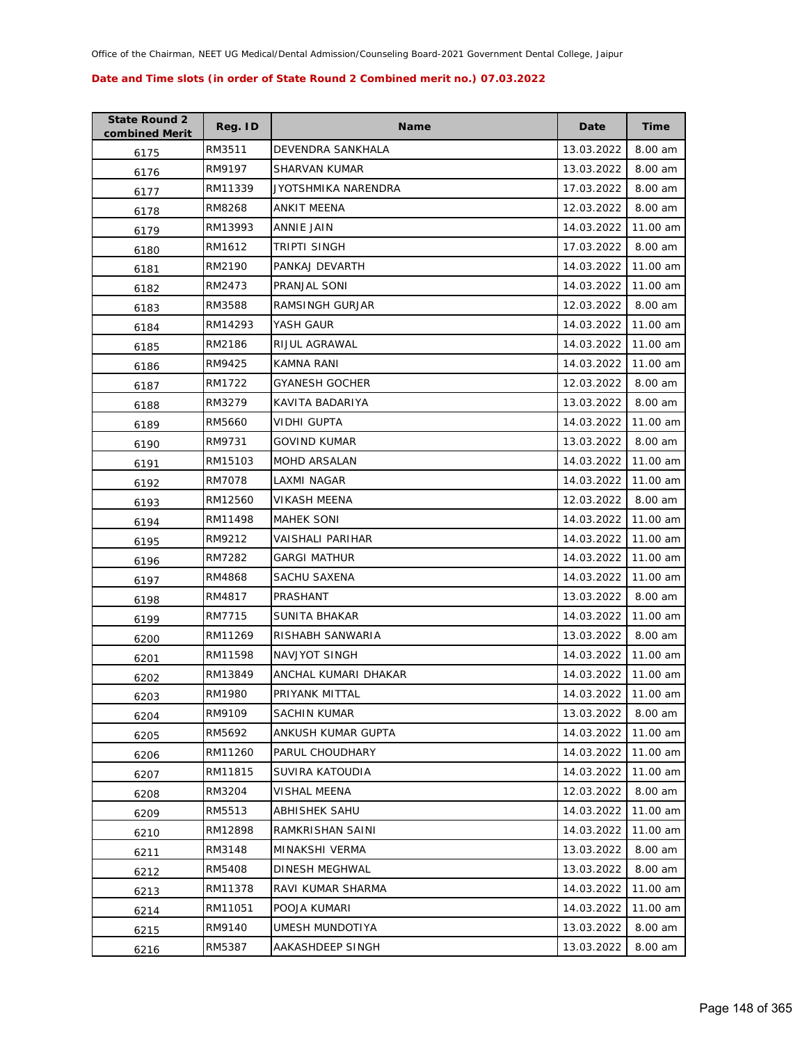| <b>State Round 2</b><br>combined Merit | Reg. ID | <b>Name</b>           | Date       | <b>Time</b> |
|----------------------------------------|---------|-----------------------|------------|-------------|
| 6175                                   | RM3511  | DEVENDRA SANKHALA     | 13.03.2022 | 8.00 am     |
| 6176                                   | RM9197  | SHARVAN KUMAR         | 13.03.2022 | 8.00 am     |
| 6177                                   | RM11339 | JYOTSHMIKA NARENDRA   | 17.03.2022 | 8.00 am     |
| 6178                                   | RM8268  | ANKIT MEENA           | 12.03.2022 | 8.00 am     |
| 6179                                   | RM13993 | ANNIE JAIN            | 14.03.2022 | 11.00 am    |
| 6180                                   | RM1612  | TRIPTI SINGH          | 17.03.2022 | 8.00 am     |
| 6181                                   | RM2190  | PANKAJ DEVARTH        | 14.03.2022 | 11.00 am    |
| 6182                                   | RM2473  | PRANJAL SONI          | 14.03.2022 | 11.00 am    |
| 6183                                   | RM3588  | RAMSINGH GURJAR       | 12.03.2022 | 8.00 am     |
| 6184                                   | RM14293 | YASH GAUR             | 14.03.2022 | 11.00 am    |
| 6185                                   | RM2186  | RIJUL AGRAWAL         | 14.03.2022 | 11.00 am    |
| 6186                                   | RM9425  | KAMNA RANI            | 14.03.2022 | 11.00 am    |
| 6187                                   | RM1722  | <b>GYANESH GOCHER</b> | 12.03.2022 | 8.00 am     |
| 6188                                   | RM3279  | KAVITA BADARIYA       | 13.03.2022 | 8.00 am     |
| 6189                                   | RM5660  | VIDHI GUPTA           | 14.03.2022 | 11.00 am    |
| 6190                                   | RM9731  | <b>GOVIND KUMAR</b>   | 13.03.2022 | 8.00 am     |
| 6191                                   | RM15103 | <b>MOHD ARSALAN</b>   | 14.03.2022 | 11.00 am    |
| 6192                                   | RM7078  | <b>LAXMI NAGAR</b>    | 14.03.2022 | 11.00 am    |
| 6193                                   | RM12560 | VIKASH MEENA          | 12.03.2022 | 8.00 am     |
| 6194                                   | RM11498 | <b>MAHEK SONI</b>     | 14.03.2022 | 11.00 am    |
| 6195                                   | RM9212  | VAISHALI PARIHAR      | 14.03.2022 | 11.00 am    |
| 6196                                   | RM7282  | GARGI MATHUR          | 14.03.2022 | 11.00 am    |
| 6197                                   | RM4868  | SACHU SAXENA          | 14.03.2022 | 11.00 am    |
| 6198                                   | RM4817  | PRASHANT              | 13.03.2022 | 8.00 am     |
| 6199                                   | RM7715  | SUNITA BHAKAR         | 14.03.2022 | 11.00 am    |
| 6200                                   | RM11269 | RISHABH SANWARIA      | 13.03.2022 | 8.00 am     |
| 6201                                   | RM11598 | NAVJYOT SINGH         | 14.03.2022 | 11.00 am    |
| 6202                                   | RM13849 | ANCHAL KUMARI DHAKAR  | 14.03.2022 | 11.00 am    |
| 6203                                   | RM1980  | PRIYANK MITTAL        | 14.03.2022 | 11.00 am    |
| 6204                                   | RM9109  | <b>SACHIN KUMAR</b>   | 13.03.2022 | 8.00 am     |
| 6205                                   | RM5692  | ANKUSH KUMAR GUPTA    | 14.03.2022 | 11.00 am    |
| 6206                                   | RM11260 | PARUL CHOUDHARY       | 14.03.2022 | 11.00 am    |
| 6207                                   | RM11815 | SUVIRA KATOUDIA       | 14.03.2022 | 11.00 am    |
| 6208                                   | RM3204  | VISHAL MEENA          | 12.03.2022 | 8.00 am     |
| 6209                                   | RM5513  | <b>ABHISHEK SAHU</b>  | 14.03.2022 | 11.00 am    |
| 6210                                   | RM12898 | RAMKRISHAN SAINI      | 14.03.2022 | 11.00 am    |
| 6211                                   | RM3148  | MINAKSHI VERMA        | 13.03.2022 | 8.00 am     |
| 6212                                   | RM5408  | DINESH MEGHWAL        | 13.03.2022 | 8.00 am     |
| 6213                                   | RM11378 | RAVI KUMAR SHARMA     | 14.03.2022 | 11.00 am    |
| 6214                                   | RM11051 | POOJA KUMARI          | 14.03.2022 | 11.00 am    |
| 6215                                   | RM9140  | UMESH MUNDOTIYA       | 13.03.2022 | 8.00 am     |
| 6216                                   | RM5387  | AAKASHDEEP SINGH      | 13.03.2022 | 8.00 am     |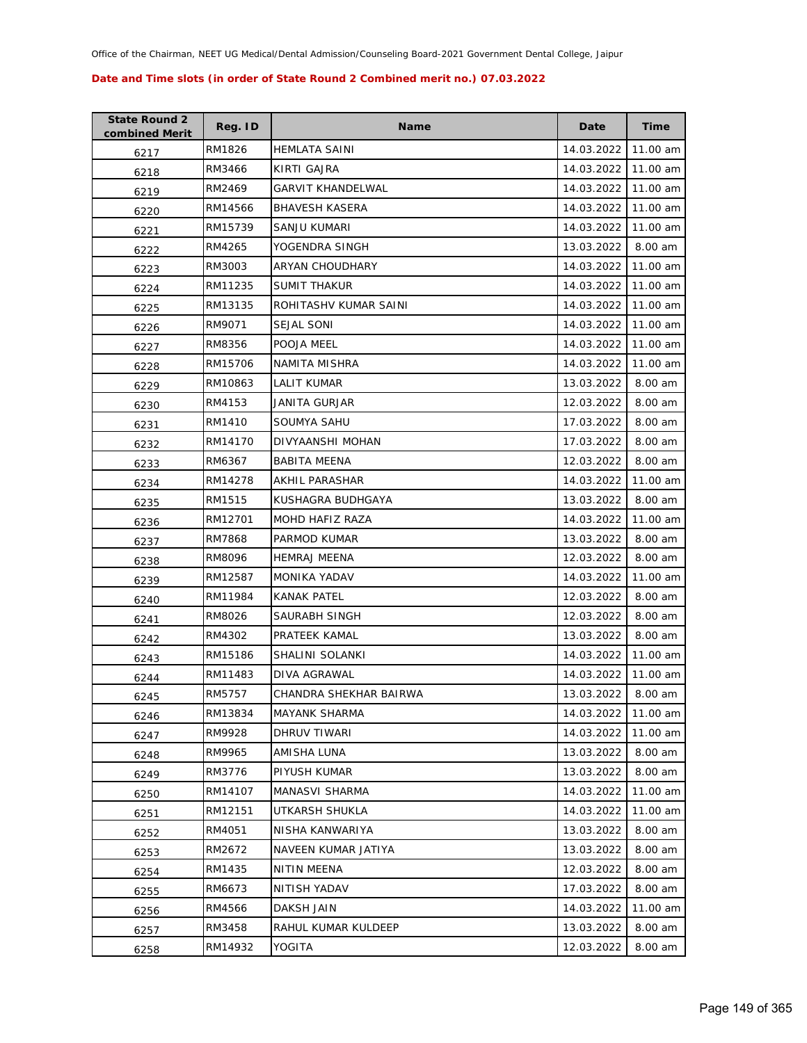| <b>State Round 2</b><br>combined Merit | Reg. ID | <b>Name</b>              | Date       | <b>Time</b> |
|----------------------------------------|---------|--------------------------|------------|-------------|
| 6217                                   | RM1826  | <b>HEMLATA SAINI</b>     | 14.03.2022 | 11.00 am    |
| 6218                                   | RM3466  | KIRTI GAJRA              | 14.03.2022 | 11.00 am    |
| 6219                                   | RM2469  | <b>GARVIT KHANDELWAL</b> | 14.03.2022 | 11.00 am    |
| 6220                                   | RM14566 | <b>BHAVESH KASERA</b>    | 14.03.2022 | 11.00 am    |
| 6221                                   | RM15739 | SANJU KUMARI             | 14.03.2022 | 11.00 am    |
| 6222                                   | RM4265  | YOGENDRA SINGH           | 13.03.2022 | 8.00 am     |
| 6223                                   | RM3003  | ARYAN CHOUDHARY          | 14.03.2022 | 11.00 am    |
| 6224                                   | RM11235 | <b>SUMIT THAKUR</b>      | 14.03.2022 | 11.00 am    |
| 6225                                   | RM13135 | ROHITASHV KUMAR SAINI    | 14.03.2022 | 11.00 am    |
| 6226                                   | RM9071  | <b>SEJAL SONI</b>        | 14.03.2022 | 11.00 am    |
| 6227                                   | RM8356  | POOJA MEEL               | 14.03.2022 | 11.00 am    |
| 6228                                   | RM15706 | NAMITA MISHRA            | 14.03.2022 | 11.00 am    |
| 6229                                   | RM10863 | LALIT KUMAR              | 13.03.2022 | 8.00 am     |
| 6230                                   | RM4153  | JANITA GURJAR            | 12.03.2022 | 8.00 am     |
| 6231                                   | RM1410  | SOUMYA SAHU              | 17.03.2022 | 8.00 am     |
| 6232                                   | RM14170 | DIVYAANSHI MOHAN         | 17.03.2022 | 8.00 am     |
| 6233                                   | RM6367  | <b>BABITA MEENA</b>      | 12.03.2022 | 8.00 am     |
| 6234                                   | RM14278 | <b>AKHIL PARASHAR</b>    | 14.03.2022 | 11.00 am    |
| 6235                                   | RM1515  | KUSHAGRA BUDHGAYA        | 13.03.2022 | 8.00 am     |
| 6236                                   | RM12701 | MOHD HAFIZ RAZA          | 14.03.2022 | 11.00 am    |
| 6237                                   | RM7868  | PARMOD KUMAR             | 13.03.2022 | 8.00 am     |
| 6238                                   | RM8096  | <b>HEMRAJ MEENA</b>      | 12.03.2022 | 8.00 am     |
| 6239                                   | RM12587 | MONIKA YADAV             | 14.03.2022 | 11.00 am    |
| 6240                                   | RM11984 | <b>KANAK PATEL</b>       | 12.03.2022 | 8.00 am     |
| 6241                                   | RM8026  | SAURABH SINGH            | 12.03.2022 | 8.00 am     |
| 6242                                   | RM4302  | PRATEEK KAMAL            | 13.03.2022 | 8.00 am     |
| 6243                                   | RM15186 | SHALINI SOLANKI          | 14.03.2022 | 11.00 am    |
| 6244                                   | RM11483 | DIVA AGRAWAL             | 14.03.2022 | 11.00 am    |
| 6245                                   | RM5757  | CHANDRA SHEKHAR BAIRWA   | 13.03.2022 | 8.00 am     |
| 6246                                   | RM13834 | <b>MAYANK SHARMA</b>     | 14.03.2022 | 11.00 am    |
| 6247                                   | RM9928  | DHRUV TIWARI             | 14.03.2022 | 11.00 am    |
| 6248                                   | RM9965  | AMISHA LUNA              | 13.03.2022 | 8.00 am     |
| 6249                                   | RM3776  | PIYUSH KUMAR             | 13.03.2022 | 8.00 am     |
| 6250                                   | RM14107 | MANASVI SHARMA           | 14.03.2022 | 11.00 am    |
| 6251                                   | RM12151 | UTKARSH SHUKLA           | 14.03.2022 | 11.00 am    |
| 6252                                   | RM4051  | NISHA KANWARIYA          | 13.03.2022 | 8.00 am     |
| 6253                                   | RM2672  | NAVEEN KUMAR JATIYA      | 13.03.2022 | 8.00 am     |
| 6254                                   | RM1435  | NITIN MEENA              | 12.03.2022 | 8.00 am     |
| 6255                                   | RM6673  | NITISH YADAV             | 17.03.2022 | 8.00 am     |
| 6256                                   | RM4566  | DAKSH JAIN               | 14.03.2022 | 11.00 am    |
| 6257                                   | RM3458  | RAHUL KUMAR KULDEEP      | 13.03.2022 | 8.00 am     |
| 6258                                   | RM14932 | YOGITA                   | 12.03.2022 | 8.00 am     |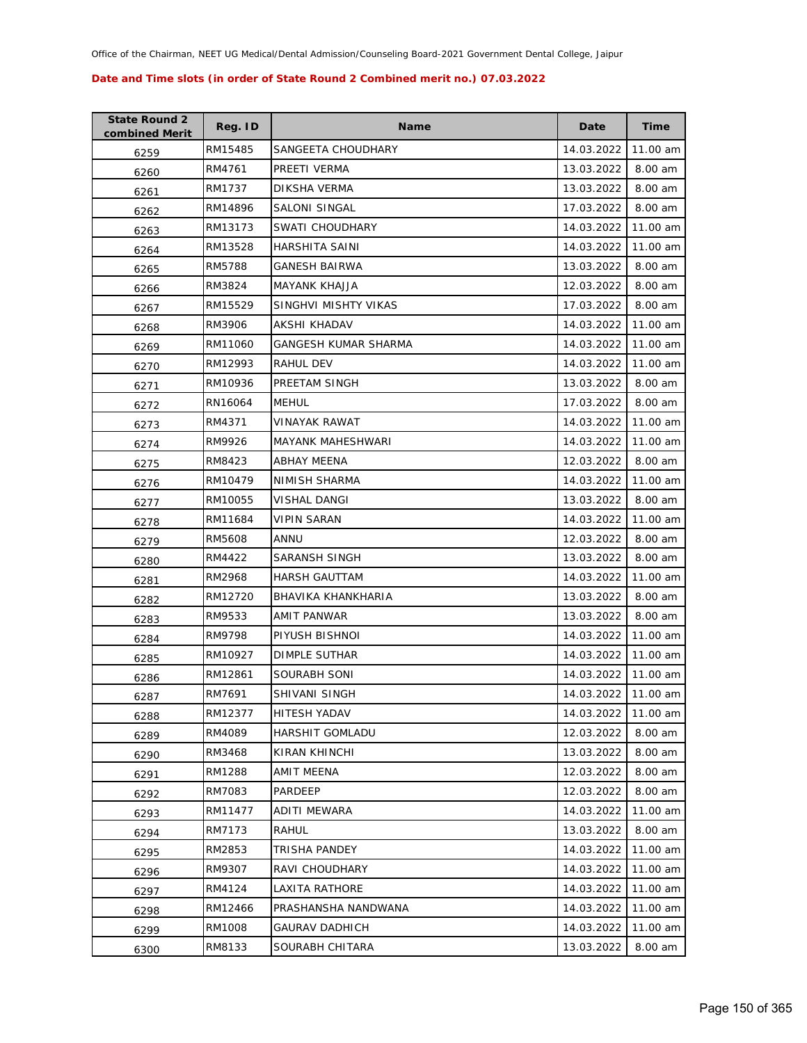| <b>State Round 2</b><br>combined Merit | Reg. ID | <b>Name</b>           | Date       | <b>Time</b> |
|----------------------------------------|---------|-----------------------|------------|-------------|
| 6259                                   | RM15485 | SANGEETA CHOUDHARY    | 14.03.2022 | 11.00 am    |
| 6260                                   | RM4761  | PREETI VERMA          | 13.03.2022 | 8.00 am     |
| 6261                                   | RM1737  | DIKSHA VERMA          | 13.03.2022 | 8.00 am     |
| 6262                                   | RM14896 | SALONI SINGAL         | 17.03.2022 | 8.00 am     |
| 6263                                   | RM13173 | SWATI CHOUDHARY       | 14.03.2022 | 11.00 am    |
| 6264                                   | RM13528 | HARSHITA SAINI        | 14.03.2022 | 11.00 am    |
| 6265                                   | RM5788  | GANESH BAIRWA         | 13.03.2022 | 8.00 am     |
| 6266                                   | RM3824  | <b>MAYANK KHAJJA</b>  | 12.03.2022 | 8.00 am     |
| 6267                                   | RM15529 | SINGHVI MISHTY VIKAS  | 17.03.2022 | 8.00 am     |
| 6268                                   | RM3906  | AKSHI KHADAV          | 14.03.2022 | 11.00 am    |
| 6269                                   | RM11060 | GANGESH KUMAR SHARMA  | 14.03.2022 | 11.00 am    |
| 6270                                   | RM12993 | RAHUL DEV             | 14.03.2022 | 11.00 am    |
| 6271                                   | RM10936 | PREETAM SINGH         | 13.03.2022 | 8.00 am     |
| 6272                                   | RN16064 | <b>MEHUL</b>          | 17.03.2022 | 8.00 am     |
| 6273                                   | RM4371  | <b>VINAYAK RAWAT</b>  | 14.03.2022 | 11.00 am    |
| 6274                                   | RM9926  | MAYANK MAHESHWARI     | 14.03.2022 | 11.00 am    |
| 6275                                   | RM8423  | <b>ABHAY MEENA</b>    | 12.03.2022 | 8.00 am     |
| 6276                                   | RM10479 | NIMISH SHARMA         | 14.03.2022 | 11.00 am    |
| 6277                                   | RM10055 | VISHAL DANGI          | 13.03.2022 | 8.00 am     |
| 6278                                   | RM11684 | <b>VIPIN SARAN</b>    | 14.03.2022 | 11.00 am    |
| 6279                                   | RM5608  | ANNU                  | 12.03.2022 | 8.00 am     |
| 6280                                   | RM4422  | <b>SARANSH SINGH</b>  | 13.03.2022 | 8.00 am     |
| 6281                                   | RM2968  | <b>HARSH GAUTTAM</b>  | 14.03.2022 | 11.00 am    |
| 6282                                   | RM12720 | BHAVIKA KHANKHARIA    | 13.03.2022 | 8.00 am     |
| 6283                                   | RM9533  | AMIT PANWAR           | 13.03.2022 | 8.00 am     |
| 6284                                   | RM9798  | PIYUSH BISHNOI        | 14.03.2022 | 11.00 am    |
| 6285                                   | RM10927 | DIMPLE SUTHAR         | 14.03.2022 | 11.00 am    |
| 6286                                   | RM12861 | SOURABH SONI          | 14.03.2022 | 11.00 am    |
| 6287                                   | RM7691  | SHIVANI SINGH         | 14.03.2022 | 11.00 am    |
| 6288                                   | RM12377 | HITESH YADAV          | 14.03.2022 | 11.00 am    |
| 6289                                   | RM4089  | HARSHIT GOMLADU       | 12.03.2022 | 8.00 am     |
| 6290                                   | RM3468  | KIRAN KHINCHI         | 13.03.2022 | 8.00 am     |
| 6291                                   | RM1288  | AMIT MEENA            | 12.03.2022 | 8.00 am     |
| 6292                                   | RM7083  | <b>PARDEEP</b>        | 12.03.2022 | 8.00 am     |
| 6293                                   | RM11477 | <b>ADITI MEWARA</b>   | 14.03.2022 | 11.00 am    |
| 6294                                   | RM7173  | RAHUL                 | 13.03.2022 | 8.00 am     |
| 6295                                   | RM2853  | TRISHA PANDEY         | 14.03.2022 | 11.00 am    |
| 6296                                   | RM9307  | RAVI CHOUDHARY        | 14.03.2022 | 11.00 am    |
| 6297                                   | RM4124  | LAXITA RATHORE        | 14.03.2022 | 11.00 am    |
| 6298                                   | RM12466 | PRASHANSHA NANDWANA   | 14.03.2022 | 11.00 am    |
| 6299                                   | RM1008  | <b>GAURAV DADHICH</b> | 14.03.2022 | 11.00 am    |
| 6300                                   | RM8133  | SOURABH CHITARA       | 13.03.2022 | 8.00 am     |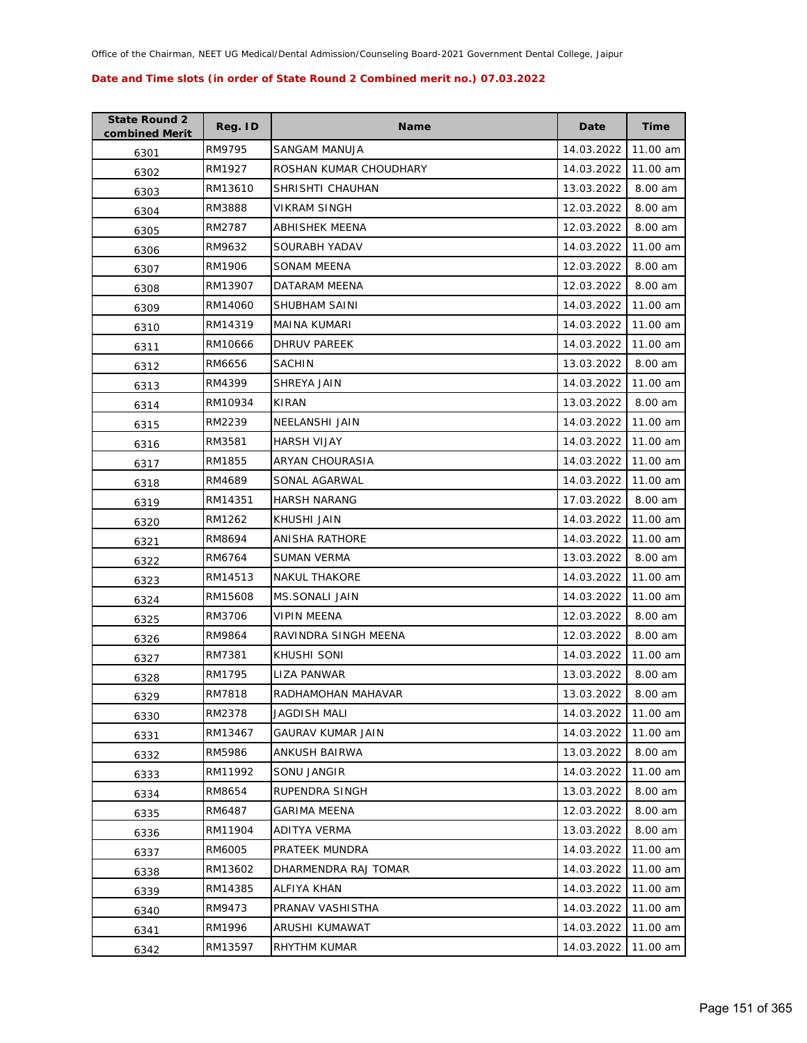| <b>State Round 2</b><br>combined Merit | Reg. ID | <b>Name</b>            | Date       | <b>Time</b> |
|----------------------------------------|---------|------------------------|------------|-------------|
| 6301                                   | RM9795  | <b>SANGAM MANUJA</b>   | 14.03.2022 | 11.00 am    |
| 6302                                   | RM1927  | ROSHAN KUMAR CHOUDHARY | 14.03.2022 | 11.00 am    |
| 6303                                   | RM13610 | SHRISHTI CHAUHAN       | 13.03.2022 | 8.00 am     |
| 6304                                   | RM3888  | VIKRAM SINGH           | 12.03.2022 | 8.00 am     |
| 6305                                   | RM2787  | ABHISHEK MEENA         | 12.03.2022 | 8.00 am     |
| 6306                                   | RM9632  | SOURABH YADAV          | 14.03.2022 | 11.00 am    |
| 6307                                   | RM1906  | SONAM MEENA            | 12.03.2022 | 8.00 am     |
| 6308                                   | RM13907 | DATARAM MEENA          | 12.03.2022 | 8.00 am     |
| 6309                                   | RM14060 | SHUBHAM SAINI          | 14.03.2022 | 11.00 am    |
| 6310                                   | RM14319 | MAINA KUMARI           | 14.03.2022 | 11.00 am    |
| 6311                                   | RM10666 | DHRUV PAREEK           | 14.03.2022 | 11.00 am    |
| 6312                                   | RM6656  | <b>SACHIN</b>          | 13.03.2022 | 8.00 am     |
| 6313                                   | RM4399  | SHREYA JAIN            | 14.03.2022 | 11.00 am    |
| 6314                                   | RM10934 | KIRAN                  | 13.03.2022 | 8.00 am     |
| 6315                                   | RM2239  | <b>NEELANSHI JAIN</b>  | 14.03.2022 | 11.00 am    |
| 6316                                   | RM3581  | HARSH VIJAY            | 14.03.2022 | 11.00 am    |
| 6317                                   | RM1855  | <b>ARYAN CHOURASIA</b> | 14.03.2022 | 11.00 am    |
| 6318                                   | RM4689  | SONAL AGARWAL          | 14.03.2022 | 11.00 am    |
| 6319                                   | RM14351 | <b>HARSH NARANG</b>    | 17.03.2022 | 8.00 am     |
| 6320                                   | RM1262  | KHUSHI JAIN            | 14.03.2022 | 11.00 am    |
| 6321                                   | RM8694  | ANISHA RATHORE         | 14.03.2022 | 11.00 am    |
| 6322                                   | RM6764  | SUMAN VERMA            | 13.03.2022 | 8.00 am     |
| 6323                                   | RM14513 | <b>NAKUL THAKORE</b>   | 14.03.2022 | 11.00 am    |
| 6324                                   | RM15608 | <b>MS.SONALI JAIN</b>  | 14.03.2022 | 11.00 am    |
| 6325                                   | RM3706  | <b>VIPIN MEENA</b>     | 12.03.2022 | 8.00 am     |
| 6326                                   | RM9864  | RAVINDRA SINGH MEENA   | 12.03.2022 | 8.00 am     |
| 6327                                   | RM7381  | KHUSHI SONI            | 14.03.2022 | 11.00 am    |
| 6328                                   | RM1795  | LIZA PANWAR            | 13.03.2022 | 8.00 am     |
| 6329                                   | RM7818  | RADHAMOHAN MAHAVAR     | 13.03.2022 | 8.00 am     |
| 6330                                   | RM2378  | JAGDISH MALI           | 14.03.2022 | 11.00 am    |
| 6331                                   | RM13467 | GAURAV KUMAR JAIN      | 14.03.2022 | 11.00 am    |
| 6332                                   | RM5986  | ANKUSH BAIRWA          | 13.03.2022 | 8.00 am     |
| 6333                                   | RM11992 | SONU JANGIR            | 14.03.2022 | 11.00 am    |
| 6334                                   | RM8654  | RUPENDRA SINGH         | 13.03.2022 | 8.00 am     |
| 6335                                   | RM6487  | <b>GARIMA MEENA</b>    | 12.03.2022 | 8.00 am     |
| 6336                                   | RM11904 | ADITYA VERMA           | 13.03.2022 | 8.00 am     |
| 6337                                   | RM6005  | PRATEEK MUNDRA         | 14.03.2022 | 11.00 am    |
| 6338                                   | RM13602 | DHARMENDRA RAJ TOMAR   | 14.03.2022 | 11.00 am    |
| 6339                                   | RM14385 | ALFIYA KHAN            | 14.03.2022 | 11.00 am    |
| 6340                                   | RM9473  | PRANAV VASHISTHA       | 14.03.2022 | 11.00 am    |
| 6341                                   | RM1996  | ARUSHI KUMAWAT         | 14.03.2022 | 11.00 am    |
| 6342                                   | RM13597 | RHYTHM KUMAR           | 14.03.2022 | 11.00 am    |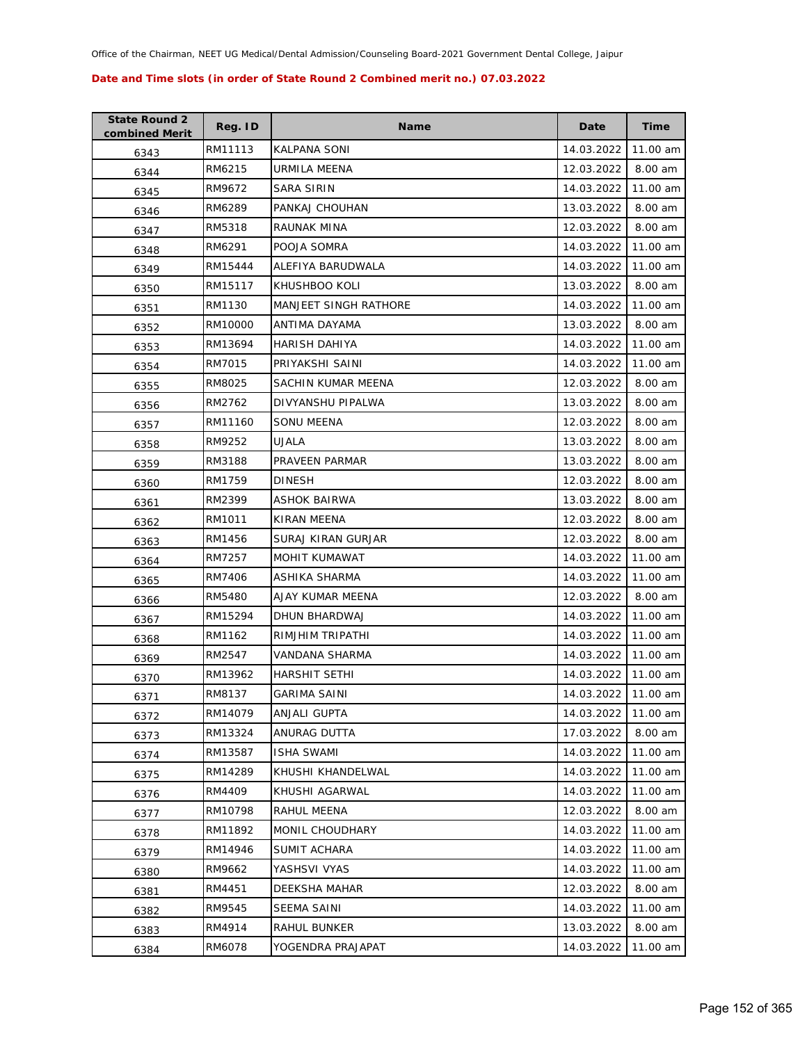| <b>State Round 2</b><br>combined Merit | Reg. ID | <b>Name</b>                  | Date       | <b>Time</b> |
|----------------------------------------|---------|------------------------------|------------|-------------|
| 6343                                   | RM11113 | KALPANA SONI                 | 14.03.2022 | 11.00 am    |
| 6344                                   | RM6215  | URMILA MEENA                 | 12.03.2022 | 8.00 am     |
| 6345                                   | RM9672  | SARA SIRIN                   | 14.03.2022 | 11.00 am    |
| 6346                                   | RM6289  | PANKAJ CHOUHAN               | 13.03.2022 | 8.00 am     |
| 6347                                   | RM5318  | RAUNAK MINA                  | 12.03.2022 | 8.00 am     |
| 6348                                   | RM6291  | POOJA SOMRA                  | 14.03.2022 | 11.00 am    |
| 6349                                   | RM15444 | ALEFIYA BARUDWALA            | 14.03.2022 | 11.00 am    |
| 6350                                   | RM15117 | KHUSHBOO KOLI                | 13.03.2022 | 8.00 am     |
| 6351                                   | RM1130  | <b>MANJEET SINGH RATHORE</b> | 14.03.2022 | 11.00 am    |
| 6352                                   | RM10000 | ANTIMA DAYAMA                | 13.03.2022 | 8.00 am     |
| 6353                                   | RM13694 | HARISH DAHIYA                | 14.03.2022 | 11.00 am    |
| 6354                                   | RM7015  | PRIYAKSHI SAINI              | 14.03.2022 | 11.00 am    |
| 6355                                   | RM8025  | SACHIN KUMAR MEENA           | 12.03.2022 | 8.00 am     |
| 6356                                   | RM2762  | DIVYANSHU PIPALWA            | 13.03.2022 | 8.00 am     |
| 6357                                   | RM11160 | SONU MEENA                   | 12.03.2022 | 8.00 am     |
| 6358                                   | RM9252  | UJALA                        | 13.03.2022 | 8.00 am     |
| 6359                                   | RM3188  | PRAVEEN PARMAR               | 13.03.2022 | 8.00 am     |
| 6360                                   | RM1759  | DINESH                       | 12.03.2022 | 8.00 am     |
| 6361                                   | RM2399  | ASHOK BAIRWA                 | 13.03.2022 | 8.00 am     |
| 6362                                   | RM1011  | KIRAN MEENA                  | 12.03.2022 | 8.00 am     |
| 6363                                   | RM1456  | SURAJ KIRAN GURJAR           | 12.03.2022 | 8.00 am     |
| 6364                                   | RM7257  | MOHIT KUMAWAT                | 14.03.2022 | 11.00 am    |
| 6365                                   | RM7406  | ASHIKA SHARMA                | 14.03.2022 | 11.00 am    |
| 6366                                   | RM5480  | AJAY KUMAR MEENA             | 12.03.2022 | 8.00 am     |
| 6367                                   | RM15294 | DHUN BHARDWAJ                | 14.03.2022 | 11.00 am    |
| 6368                                   | RM1162  | RIMJHIM TRIPATHI             | 14.03.2022 | 11.00 am    |
| 6369                                   | RM2547  | VANDANA SHARMA               | 14.03.2022 | 11.00 am    |
| 6370                                   | RM13962 | <b>HARSHIT SETHI</b>         | 14.03.2022 | 11.00 am    |
| 6371                                   | RM8137  | <b>GARIMA SAINI</b>          | 14.03.2022 | 11.00 am    |
| 6372                                   | RM14079 | ANJALI GUPTA                 | 14.03.2022 | 11.00 am    |
| 6373                                   | RM13324 | ANURAG DUTTA                 | 17.03.2022 | 8.00 am     |
| 6374                                   | RM13587 | <b>ISHA SWAMI</b>            | 14.03.2022 | 11.00 am    |
| 6375                                   | RM14289 | KHUSHI KHANDELWAL            | 14.03.2022 | 11.00 am    |
| 6376                                   | RM4409  | KHUSHI AGARWAL               | 14.03.2022 | 11.00 am    |
| 6377                                   | RM10798 | RAHUL MEENA                  | 12.03.2022 | 8.00 am     |
| 6378                                   | RM11892 | MONIL CHOUDHARY              | 14.03.2022 | 11.00 am    |
| 6379                                   | RM14946 | SUMIT ACHARA                 | 14.03.2022 | 11.00 am    |
| 6380                                   | RM9662  | YASHSVI VYAS                 | 14.03.2022 | 11.00 am    |
| 6381                                   | RM4451  | DEEKSHA MAHAR                | 12.03.2022 | 8.00 am     |
| 6382                                   | RM9545  | SEEMA SAINI                  | 14.03.2022 | 11.00 am    |
| 6383                                   | RM4914  | RAHUL BUNKER                 | 13.03.2022 | 8.00 am     |
| 6384                                   | RM6078  | YOGENDRA PRAJAPAT            | 14.03.2022 | 11.00 am    |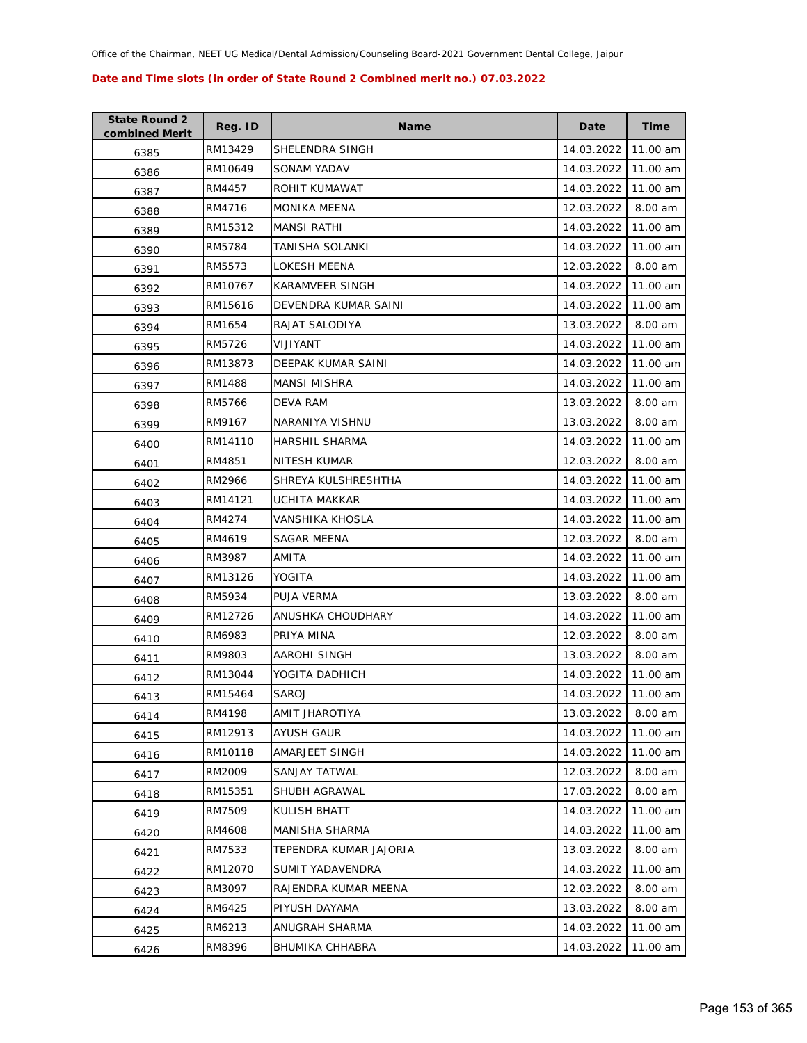| <b>State Round 2</b><br>combined Merit | Reg. ID | <b>Name</b>            | Date       | <b>Time</b> |
|----------------------------------------|---------|------------------------|------------|-------------|
| 6385                                   | RM13429 | SHELENDRA SINGH        | 14.03.2022 | 11.00 am    |
| 6386                                   | RM10649 | <b>SONAM YADAV</b>     | 14.03.2022 | 11.00 am    |
| 6387                                   | RM4457  | ROHIT KUMAWAT          | 14.03.2022 | 11.00 am    |
| 6388                                   | RM4716  | <b>MONIKA MEENA</b>    | 12.03.2022 | 8.00 am     |
| 6389                                   | RM15312 | <b>MANSI RATHI</b>     | 14.03.2022 | 11.00 am    |
| 6390                                   | RM5784  | TANISHA SOLANKI        | 14.03.2022 | 11.00 am    |
| 6391                                   | RM5573  | LOKESH MEENA           | 12.03.2022 | 8.00 am     |
| 6392                                   | RM10767 | <b>KARAMVEER SINGH</b> | 14.03.2022 | 11.00 am    |
| 6393                                   | RM15616 | DEVENDRA KUMAR SAINI   | 14.03.2022 | 11.00 am    |
| 6394                                   | RM1654  | RAJAT SALODIYA         | 13.03.2022 | 8.00 am     |
| 6395                                   | RM5726  | VIJIYANT               | 14.03.2022 | 11.00 am    |
| 6396                                   | RM13873 | DEEPAK KUMAR SAINI     | 14.03.2022 | 11.00 am    |
| 6397                                   | RM1488  | <b>MANSI MISHRA</b>    | 14.03.2022 | 11.00 am    |
| 6398                                   | RM5766  | <b>DEVA RAM</b>        | 13.03.2022 | 8.00 am     |
| 6399                                   | RM9167  | NARANIYA VISHNU        | 13.03.2022 | 8.00 am     |
| 6400                                   | RM14110 | <b>HARSHIL SHARMA</b>  | 14.03.2022 | 11.00 am    |
| 6401                                   | RM4851  | <b>NITESH KUMAR</b>    | 12.03.2022 | 8.00 am     |
| 6402                                   | RM2966  | SHREYA KULSHRESHTHA    | 14.03.2022 | 11.00 am    |
| 6403                                   | RM14121 | UCHITA MAKKAR          | 14.03.2022 | 11.00 am    |
| 6404                                   | RM4274  | VANSHIKA KHOSLA        | 14.03.2022 | 11.00 am    |
| 6405                                   | RM4619  | SAGAR MEENA            | 12.03.2022 | 8.00 am     |
| 6406                                   | RM3987  | AMITA                  | 14.03.2022 | 11.00 am    |
| 6407                                   | RM13126 | YOGITA                 | 14.03.2022 | 11.00 am    |
| 6408                                   | RM5934  | PUJA VERMA             | 13.03.2022 | 8.00 am     |
| 6409                                   | RM12726 | ANUSHKA CHOUDHARY      | 14.03.2022 | 11.00 am    |
| 6410                                   | RM6983  | PRIYA MINA             | 12.03.2022 | 8.00 am     |
| 6411                                   | RM9803  | AAROHI SINGH           | 13.03.2022 | 8.00 am     |
| 6412                                   | RM13044 | YOGITA DADHICH         | 14.03.2022 | 11.00 am    |
| 6413                                   | RM15464 | SAROJ                  | 14.03.2022 | 11.00 am    |
| 6414                                   | RM4198  | AMIT JHAROTIYA         | 13.03.2022 | 8.00 am     |
| 6415                                   | RM12913 | AYUSH GAUR             | 14.03.2022 | 11.00 am    |
| 6416                                   | RM10118 | AMARJEET SINGH         | 14.03.2022 | 11.00 am    |
| 6417                                   | RM2009  | SANJAY TATWAL          | 12.03.2022 | 8.00 am     |
| 6418                                   | RM15351 | SHUBH AGRAWAL          | 17.03.2022 | 8.00 am     |
| 6419                                   | RM7509  | KULISH BHATT           | 14.03.2022 | 11.00 am    |
| 6420                                   | RM4608  | MANISHA SHARMA         | 14.03.2022 | 11.00 am    |
| 6421                                   | RM7533  | TEPENDRA KUMAR JAJORIA | 13.03.2022 | 8.00 am     |
| 6422                                   | RM12070 | SUMIT YADAVENDRA       | 14.03.2022 | 11.00 am    |
| 6423                                   | RM3097  | RAJENDRA KUMAR MEENA   | 12.03.2022 | 8.00 am     |
| 6424                                   | RM6425  | PIYUSH DAYAMA          | 13.03.2022 | 8.00 am     |
| 6425                                   | RM6213  | ANUGRAH SHARMA         | 14.03.2022 | 11.00 am    |
| 6426                                   | RM8396  | <b>BHUMIKA CHHABRA</b> | 14.03.2022 | 11.00 am    |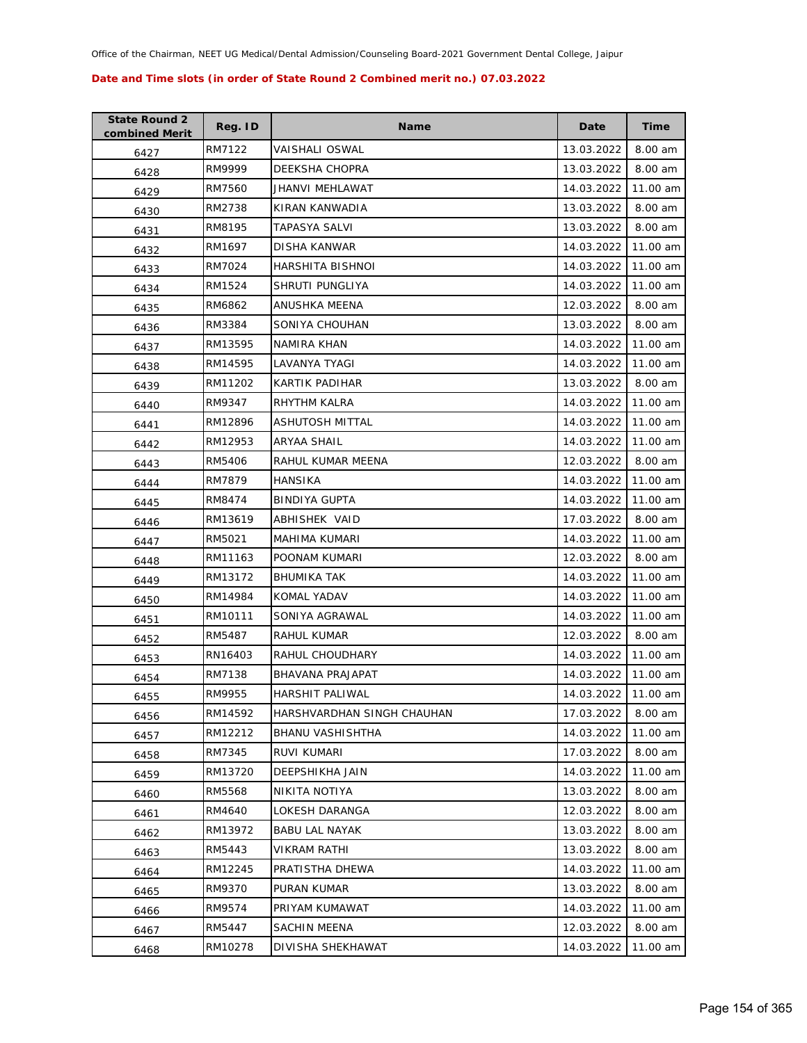| <b>State Round 2</b><br>combined Merit | Reg. ID | <b>Name</b>                | Date       | Time     |
|----------------------------------------|---------|----------------------------|------------|----------|
| 6427                                   | RM7122  | VAISHALI OSWAL             | 13.03.2022 | 8.00 am  |
| 6428                                   | RM9999  | DEEKSHA CHOPRA             | 13.03.2022 | 8.00 am  |
| 6429                                   | RM7560  | JHANVI MEHLAWAT            | 14.03.2022 | 11.00 am |
| 6430                                   | RM2738  | KIRAN KANWADIA             | 13.03.2022 | 8.00 am  |
| 6431                                   | RM8195  | TAPASYA SALVI              | 13.03.2022 | 8.00 am  |
| 6432                                   | RM1697  | DISHA KANWAR               | 14.03.2022 | 11.00 am |
| 6433                                   | RM7024  | HARSHITA BISHNOI           | 14.03.2022 | 11.00 am |
| 6434                                   | RM1524  | SHRUTI PUNGLIYA            | 14.03.2022 | 11.00 am |
| 6435                                   | RM6862  | ANUSHKA MEENA              | 12.03.2022 | 8.00 am  |
| 6436                                   | RM3384  | SONIYA CHOUHAN             | 13.03.2022 | 8.00 am  |
| 6437                                   | RM13595 | NAMIRA KHAN                | 14.03.2022 | 11.00 am |
| 6438                                   | RM14595 | LAVANYA TYAGI              | 14.03.2022 | 11.00 am |
| 6439                                   | RM11202 | KARTIK PADIHAR             | 13.03.2022 | 8.00 am  |
| 6440                                   | RM9347  | RHYTHM KALRA               | 14.03.2022 | 11.00 am |
| 6441                                   | RM12896 | ASHUTOSH MITTAL            | 14.03.2022 | 11.00 am |
| 6442                                   | RM12953 | ARYAA SHAIL                | 14.03.2022 | 11.00 am |
| 6443                                   | RM5406  | RAHUL KUMAR MEENA          | 12.03.2022 | 8.00 am  |
| 6444                                   | RM7879  | HANSIKA                    | 14.03.2022 | 11.00 am |
| 6445                                   | RM8474  | <b>BINDIYA GUPTA</b>       | 14.03.2022 | 11.00 am |
| 6446                                   | RM13619 | ABHISHEK VAID              | 17.03.2022 | 8.00 am  |
| 6447                                   | RM5021  | MAHIMA KUMARI              | 14.03.2022 | 11.00 am |
| 6448                                   | RM11163 | POONAM KUMARI              | 12.03.2022 | 8.00 am  |
| 6449                                   | RM13172 | <b>BHUMIKA TAK</b>         | 14.03.2022 | 11.00 am |
| 6450                                   | RM14984 | KOMAL YADAV                | 14.03.2022 | 11.00 am |
| 6451                                   | RM10111 | SONIYA AGRAWAL             | 14.03.2022 | 11.00 am |
| 6452                                   | RM5487  | RAHUL KUMAR                | 12.03.2022 | 8.00 am  |
| 6453                                   | RN16403 | RAHUL CHOUDHARY            | 14.03.2022 | 11.00 am |
| 6454                                   | RM7138  | BHAVANA PRAJAPAT           | 14.03.2022 | 11.00 am |
| 6455                                   | RM9955  | <b>HARSHIT PALIWAL</b>     | 14.03.2022 | 11.00 am |
| 6456                                   | RM14592 | HARSHVARDHAN SINGH CHAUHAN | 17.03.2022 | 8.00 am  |
| 6457                                   | RM12212 | <b>BHANU VASHISHTHA</b>    | 14.03.2022 | 11.00 am |
| 6458                                   | RM7345  | RUVI KUMARI                | 17.03.2022 | 8.00 am  |
| 6459                                   | RM13720 | DEEPSHIKHA JAIN            | 14.03.2022 | 11.00 am |
| 6460                                   | RM5568  | NIKITA NOTIYA              | 13.03.2022 | 8.00 am  |
| 6461                                   | RM4640  | LOKESH DARANGA             | 12.03.2022 | 8.00 am  |
| 6462                                   | RM13972 | <b>BABU LAL NAYAK</b>      | 13.03.2022 | 8.00 am  |
| 6463                                   | RM5443  | <b>VIKRAM RATHI</b>        | 13.03.2022 | 8.00 am  |
| 6464                                   | RM12245 | PRATISTHA DHEWA            | 14.03.2022 | 11.00 am |
| 6465                                   | RM9370  | PURAN KUMAR                | 13.03.2022 | 8.00 am  |
| 6466                                   | RM9574  | PRIYAM KUMAWAT             | 14.03.2022 | 11.00 am |
| 6467                                   | RM5447  | SACHIN MEENA               | 12.03.2022 | 8.00 am  |
| 6468                                   | RM10278 | DIVISHA SHEKHAWAT          | 14.03.2022 | 11.00 am |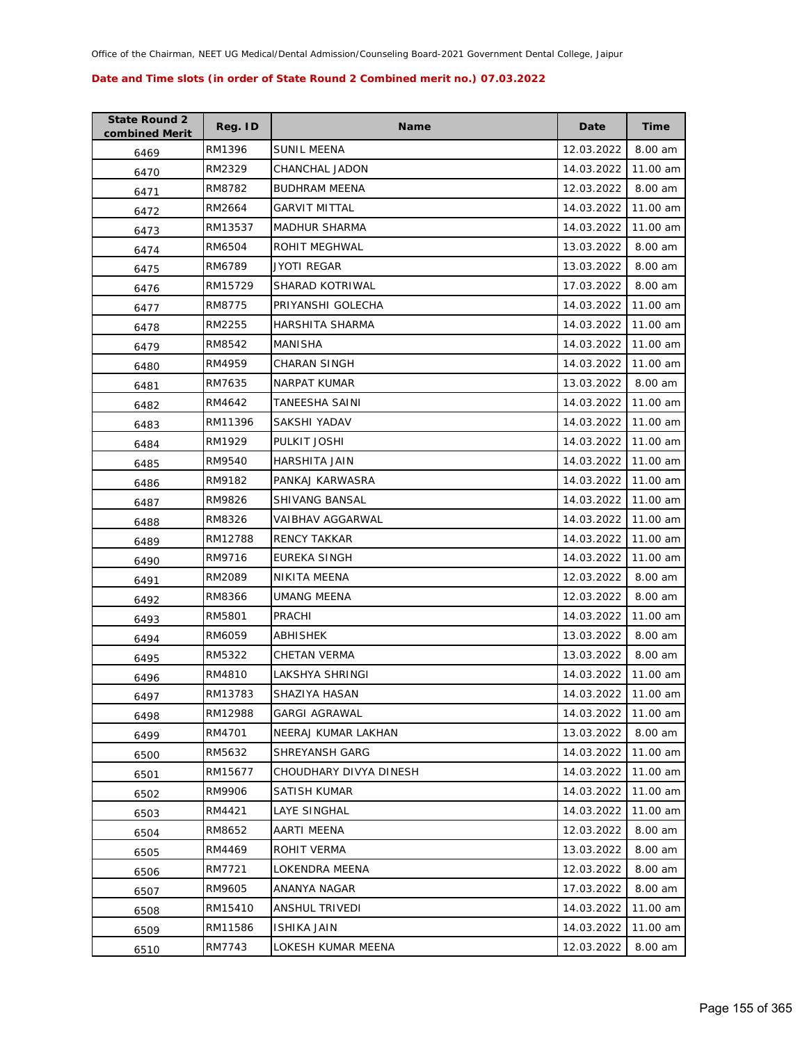| <b>State Round 2</b><br>combined Merit | Reg. ID | Name                   | Date       | Time     |
|----------------------------------------|---------|------------------------|------------|----------|
| 6469                                   | RM1396  | <b>SUNIL MEENA</b>     | 12.03.2022 | 8.00 am  |
| 6470                                   | RM2329  | CHANCHAL JADON         | 14.03.2022 | 11.00 am |
| 6471                                   | RM8782  | <b>BUDHRAM MEENA</b>   | 12.03.2022 | 8.00 am  |
| 6472                                   | RM2664  | <b>GARVIT MITTAL</b>   | 14.03.2022 | 11.00 am |
| 6473                                   | RM13537 | <b>MADHUR SHARMA</b>   | 14.03.2022 | 11.00 am |
| 6474                                   | RM6504  | ROHIT MEGHWAL          | 13.03.2022 | 8.00 am  |
| 6475                                   | RM6789  | JYOTI REGAR            | 13.03.2022 | 8.00 am  |
| 6476                                   | RM15729 | SHARAD KOTRIWAL        | 17.03.2022 | 8.00 am  |
| 6477                                   | RM8775  | PRIYANSHI GOLECHA      | 14.03.2022 | 11.00 am |
| 6478                                   | RM2255  | HARSHITA SHARMA        | 14.03.2022 | 11.00 am |
| 6479                                   | RM8542  | MANISHA                | 14.03.2022 | 11.00 am |
| 6480                                   | RM4959  | CHARAN SINGH           | 14.03.2022 | 11.00 am |
| 6481                                   | RM7635  | NARPAT KUMAR           | 13.03.2022 | 8.00 am  |
| 6482                                   | RM4642  | TANEESHA SAINI         | 14.03.2022 | 11.00 am |
| 6483                                   | RM11396 | SAKSHI YADAV           | 14.03.2022 | 11.00 am |
| 6484                                   | RM1929  | PULKIT JOSHI           | 14.03.2022 | 11.00 am |
| 6485                                   | RM9540  | HARSHITA JAIN          | 14.03.2022 | 11.00 am |
| 6486                                   | RM9182  | PANKAJ KARWASRA        | 14.03.2022 | 11.00 am |
| 6487                                   | RM9826  | SHIVANG BANSAL         | 14.03.2022 | 11.00 am |
| 6488                                   | RM8326  | VAIBHAV AGGARWAL       | 14.03.2022 | 11.00 am |
| 6489                                   | RM12788 | <b>RENCY TAKKAR</b>    | 14.03.2022 | 11.00 am |
| 6490                                   | RM9716  | EUREKA SINGH           | 14.03.2022 | 11.00 am |
| 6491                                   | RM2089  | NIKITA MEENA           | 12.03.2022 | 8.00 am  |
| 6492                                   | RM8366  | UMANG MEENA            | 12.03.2022 | 8.00 am  |
| 6493                                   | RM5801  | PRACHI                 | 14.03.2022 | 11.00 am |
| 6494                                   | RM6059  | ABHISHEK               | 13.03.2022 | 8.00 am  |
| 6495                                   | RM5322  | <b>CHETAN VERMA</b>    | 13.03.2022 | 8.00 am  |
| 6496                                   | RM4810  | LAKSHYA SHRINGI        | 14.03.2022 | 11.00 am |
| 6497                                   | RM13783 | SHAZIYA HASAN          | 14.03.2022 | 11.00 am |
| 6498                                   | RM12988 | <b>GARGI AGRAWAL</b>   | 14.03.2022 | 11.00 am |
| 6499                                   | RM4701  | NEERAJ KUMAR LAKHAN    | 13.03.2022 | 8.00 am  |
| 6500                                   | RM5632  | SHREYANSH GARG         | 14.03.2022 | 11.00 am |
| 6501                                   | RM15677 | CHOUDHARY DIVYA DINESH | 14.03.2022 | 11.00 am |
| 6502                                   | RM9906  | SATISH KUMAR           | 14.03.2022 | 11.00 am |
| 6503                                   | RM4421  | LAYE SINGHAL           | 14.03.2022 | 11.00 am |
| 6504                                   | RM8652  | AARTI MEENA            | 12.03.2022 | 8.00 am  |
| 6505                                   | RM4469  | ROHIT VERMA            | 13.03.2022 | 8.00 am  |
| 6506                                   | RM7721  | LOKENDRA MEENA         | 12.03.2022 | 8.00 am  |
| 6507                                   | RM9605  | ANANYA NAGAR           | 17.03.2022 | 8.00 am  |
| 6508                                   | RM15410 | ANSHUL TRIVEDI         | 14.03.2022 | 11.00 am |
| 6509                                   | RM11586 | <b>ISHIKA JAIN</b>     | 14.03.2022 | 11.00 am |
| 6510                                   | RM7743  | LOKESH KUMAR MEENA     | 12.03.2022 | 8.00 am  |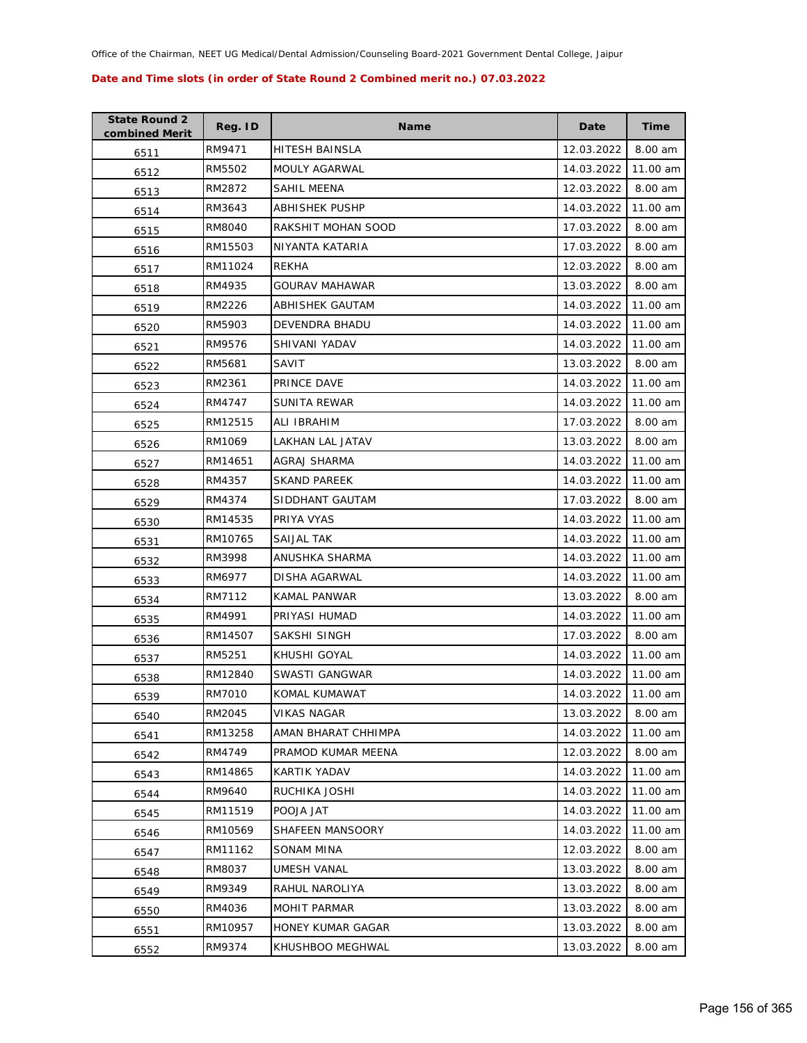| <b>State Round 2</b><br>combined Merit | Reg. ID | Name                    | Date       | Time     |
|----------------------------------------|---------|-------------------------|------------|----------|
| 6511                                   | RM9471  | HITESH BAINSLA          | 12.03.2022 | 8.00 am  |
| 6512                                   | RM5502  | MOULY AGARWAL           | 14.03.2022 | 11.00 am |
| 6513                                   | RM2872  | SAHIL MEENA             | 12.03.2022 | 8.00 am  |
| 6514                                   | RM3643  | ABHISHEK PUSHP          | 14.03.2022 | 11.00 am |
| 6515                                   | RM8040  | RAKSHIT MOHAN SOOD      | 17.03.2022 | 8.00 am  |
| 6516                                   | RM15503 | NIYANTA KATARIA         | 17.03.2022 | 8.00 am  |
| 6517                                   | RM11024 | REKHA                   | 12.03.2022 | 8.00 am  |
| 6518                                   | RM4935  | GOURAV MAHAWAR          | 13.03.2022 | 8.00 am  |
| 6519                                   | RM2226  | ABHISHEK GAUTAM         | 14.03.2022 | 11.00 am |
| 6520                                   | RM5903  | DEVENDRA BHADU          | 14.03.2022 | 11.00 am |
| 6521                                   | RM9576  | SHIVANI YADAV           | 14.03.2022 | 11.00 am |
| 6522                                   | RM5681  | SAVIT                   | 13.03.2022 | 8.00 am  |
| 6523                                   | RM2361  | PRINCE DAVE             | 14.03.2022 | 11.00 am |
| 6524                                   | RM4747  | SUNITA REWAR            | 14.03.2022 | 11.00 am |
| 6525                                   | RM12515 | ALI IBRAHIM             | 17.03.2022 | 8.00 am  |
| 6526                                   | RM1069  | <b>LAKHAN LAL JATAV</b> | 13.03.2022 | 8.00 am  |
| 6527                                   | RM14651 | AGRAJ SHARMA            | 14.03.2022 | 11.00 am |
| 6528                                   | RM4357  | <b>SKAND PAREEK</b>     | 14.03.2022 | 11.00 am |
| 6529                                   | RM4374  | SIDDHANT GAUTAM         | 17.03.2022 | 8.00 am  |
| 6530                                   | RM14535 | PRIYA VYAS              | 14.03.2022 | 11.00 am |
| 6531                                   | RM10765 | SAIJAL TAK              | 14.03.2022 | 11.00 am |
| 6532                                   | RM3998  | ANUSHKA SHARMA          | 14.03.2022 | 11.00 am |
| 6533                                   | RM6977  | DISHA AGARWAL           | 14.03.2022 | 11.00 am |
| 6534                                   | RM7112  | KAMAL PANWAR            | 13.03.2022 | 8.00 am  |
| 6535                                   | RM4991  | PRIYASI HUMAD           | 14.03.2022 | 11.00 am |
| 6536                                   | RM14507 | SAKSHI SINGH            | 17.03.2022 | 8.00 am  |
| 6537                                   | RM5251  | KHUSHI GOYAL            | 14.03.2022 | 11.00 am |
| 6538                                   | RM12840 | SWASTI GANGWAR          | 14.03.2022 | 11.00 am |
| 6539                                   | RM7010  | KOMAL KUMAWAT           | 14.03.2022 | 11.00 am |
| 6540                                   | RM2045  | <b>VIKAS NAGAR</b>      | 13.03.2022 | 8.00 am  |
| 6541                                   | RM13258 | AMAN BHARAT CHHIMPA     | 14.03.2022 | 11.00 am |
| 6542                                   | RM4749  | PRAMOD KUMAR MEENA      | 12.03.2022 | 8.00 am  |
| 6543                                   | RM14865 | KARTIK YADAV            | 14.03.2022 | 11.00 am |
| 6544                                   | RM9640  | RUCHIKA JOSHI           | 14.03.2022 | 11.00 am |
| 6545                                   | RM11519 | POOJA JAT               | 14.03.2022 | 11.00 am |
| 6546                                   | RM10569 | SHAFEEN MANSOORY        | 14.03.2022 | 11.00 am |
| 6547                                   | RM11162 | SONAM MINA              | 12.03.2022 | 8.00 am  |
| 6548                                   | RM8037  | UMESH VANAL             | 13.03.2022 | 8.00 am  |
| 6549                                   | RM9349  | RAHUL NAROLIYA          | 13.03.2022 | 8.00 am  |
| 6550                                   | RM4036  | MOHIT PARMAR            | 13.03.2022 | 8.00 am  |
| 6551                                   | RM10957 | HONEY KUMAR GAGAR       | 13.03.2022 | 8.00 am  |
| 6552                                   | RM9374  | KHUSHBOO MEGHWAL        | 13.03.2022 | 8.00 am  |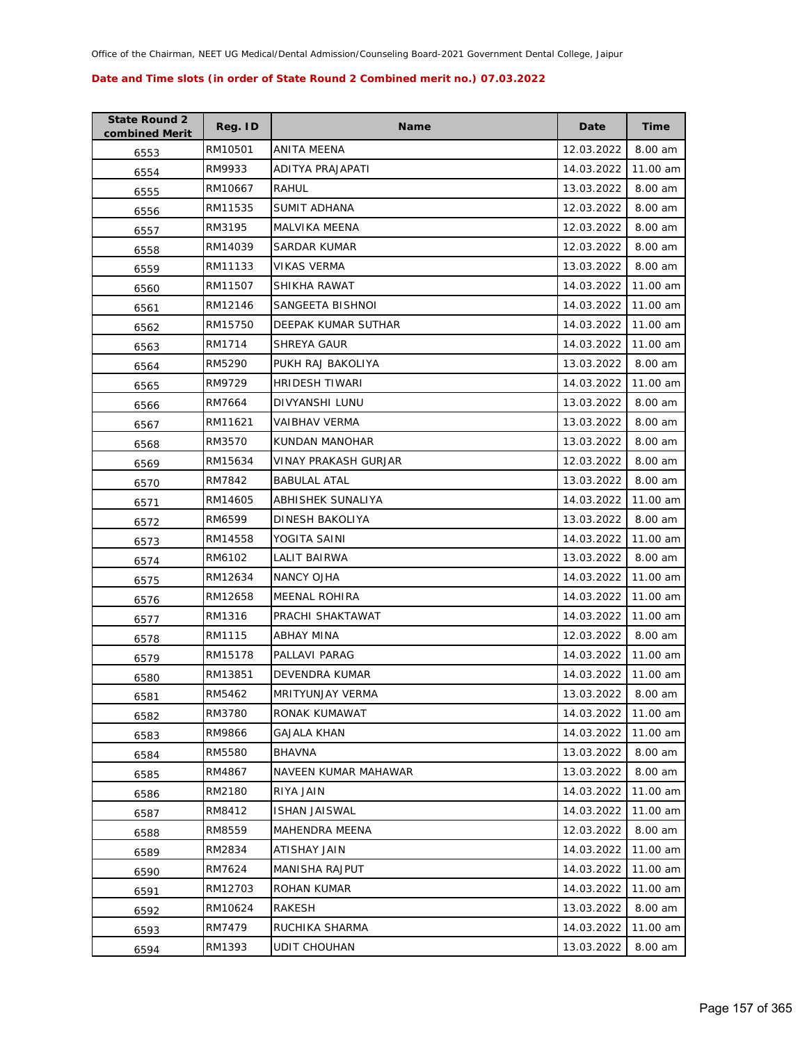| <b>State Round 2</b><br>combined Merit | Reg. ID | Name                    | Date       | Time     |
|----------------------------------------|---------|-------------------------|------------|----------|
| 6553                                   | RM10501 | ANITA MEENA             | 12.03.2022 | 8.00 am  |
| 6554                                   | RM9933  | ADITYA PRAJAPATI        | 14.03.2022 | 11.00 am |
| 6555                                   | RM10667 | RAHUL                   | 13.03.2022 | 8.00 am  |
| 6556                                   | RM11535 | SUMIT ADHANA            | 12.03.2022 | 8.00 am  |
| 6557                                   | RM3195  | MALVIKA MEENA           | 12.03.2022 | 8.00 am  |
| 6558                                   | RM14039 | SARDAR KUMAR            | 12.03.2022 | 8.00 am  |
| 6559                                   | RM11133 | VIKAS VERMA             | 13.03.2022 | 8.00 am  |
| 6560                                   | RM11507 | SHIKHA RAWAT            | 14.03.2022 | 11.00 am |
| 6561                                   | RM12146 | SANGEETA BISHNOI        | 14.03.2022 | 11.00 am |
| 6562                                   | RM15750 | DEEPAK KUMAR SUTHAR     | 14.03.2022 | 11.00 am |
| 6563                                   | RM1714  | SHREYA GAUR             | 14.03.2022 | 11.00 am |
| 6564                                   | RM5290  | PUKH RAJ BAKOLIYA       | 13.03.2022 | 8.00 am  |
| 6565                                   | RM9729  | <b>HRIDESH TIWARI</b>   | 14.03.2022 | 11.00 am |
| 6566                                   | RM7664  | DIVYANSHI LUNU          | 13.03.2022 | 8.00 am  |
| 6567                                   | RM11621 | <b>VAIBHAV VERMA</b>    | 13.03.2022 | 8.00 am  |
| 6568                                   | RM3570  | KUNDAN MANOHAR          | 13.03.2022 | 8.00 am  |
| 6569                                   | RM15634 | VINAY PRAKASH GURJAR    | 12.03.2022 | 8.00 am  |
| 6570                                   | RM7842  | <b>BABULAL ATAL</b>     | 13.03.2022 | 8.00 am  |
| 6571                                   | RM14605 | ABHISHEK SUNALIYA       | 14.03.2022 | 11.00 am |
| 6572                                   | RM6599  | DINESH BAKOLIYA         | 13.03.2022 | 8.00 am  |
| 6573                                   | RM14558 | YOGITA SAINI            | 14.03.2022 | 11.00 am |
| 6574                                   | RM6102  | LALIT BAIRWA            | 13.03.2022 | 8.00 am  |
| 6575                                   | RM12634 | NANCY OJHA              | 14.03.2022 | 11.00 am |
| 6576                                   | RM12658 | <b>MEENAL ROHIRA</b>    | 14.03.2022 | 11.00 am |
| 6577                                   | RM1316  | PRACHI SHAKTAWAT        | 14.03.2022 | 11.00 am |
| 6578                                   | RM1115  | <b>ABHAY MINA</b>       | 12.03.2022 | 8.00 am  |
| 6579                                   | RM15178 | PALLAVI PARAG           | 14.03.2022 | 11.00 am |
| 6580                                   | RM13851 | DEVENDRA KUMAR          | 14.03.2022 | 11.00 am |
| 6581                                   | RM5462  | <b>MRITYUNJAY VERMA</b> | 13.03.2022 | 8.00 am  |
| 6582                                   | RM3780  | RONAK KUMAWAT           | 14.03.2022 | 11.00 am |
| 6583                                   | RM9866  | GAJALA KHAN             | 14.03.2022 | 11.00 am |
| 6584                                   | RM5580  | <b>BHAVNA</b>           | 13.03.2022 | 8.00 am  |
| 6585                                   | RM4867  | NAVEEN KUMAR MAHAWAR    | 13.03.2022 | 8.00 am  |
| 6586                                   | RM2180  | RIYA JAIN               | 14.03.2022 | 11.00 am |
| 6587                                   | RM8412  | <b>ISHAN JAISWAL</b>    | 14.03.2022 | 11.00 am |
| 6588                                   | RM8559  | MAHENDRA MEENA          | 12.03.2022 | 8.00 am  |
| 6589                                   | RM2834  | ATISHAY JAIN            | 14.03.2022 | 11.00 am |
| 6590                                   | RM7624  | MANISHA RAJPUT          | 14.03.2022 | 11.00 am |
| 6591                                   | RM12703 | ROHAN KUMAR             | 14.03.2022 | 11.00 am |
| 6592                                   | RM10624 | RAKESH                  | 13.03.2022 | 8.00 am  |
| 6593                                   | RM7479  | RUCHIKA SHARMA          | 14.03.2022 | 11.00 am |
| 6594                                   | RM1393  | <b>UDIT CHOUHAN</b>     | 13.03.2022 | 8.00 am  |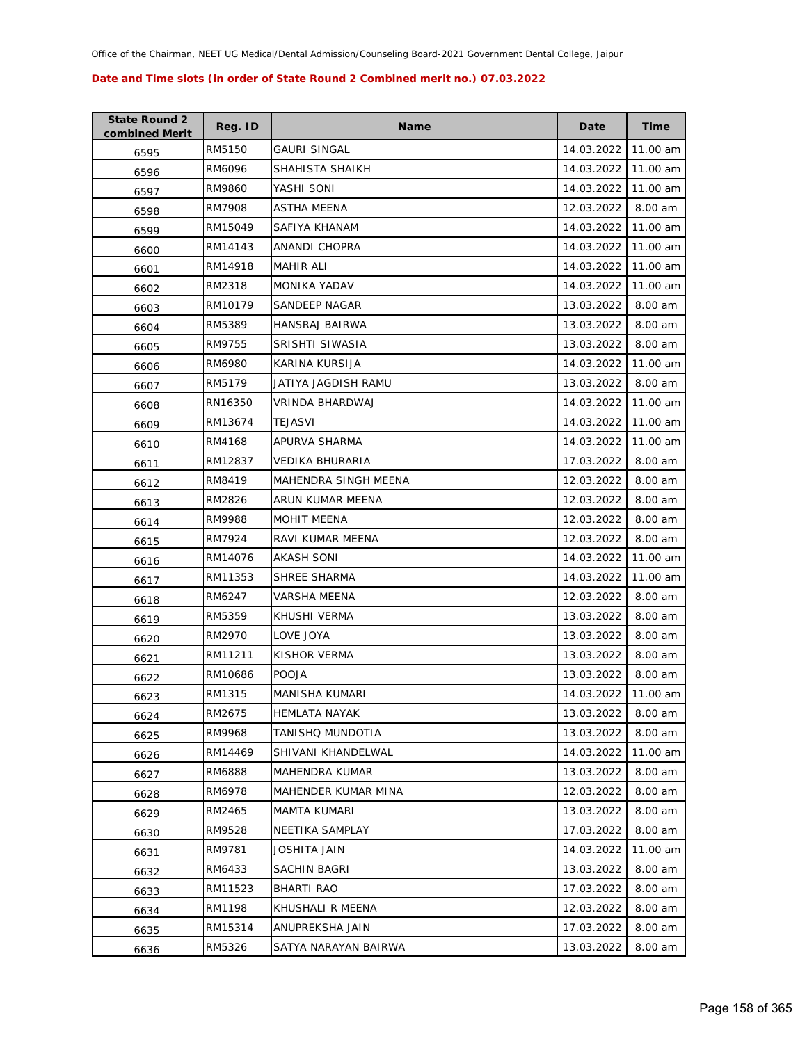| <b>State Round 2</b><br>combined Merit | Reg. ID | <b>Name</b>            | Date       | <b>Time</b> |
|----------------------------------------|---------|------------------------|------------|-------------|
| 6595                                   | RM5150  | GAURI SINGAL           | 14.03.2022 | 11.00 am    |
| 6596                                   | RM6096  | SHAHISTA SHAIKH        | 14.03.2022 | 11.00 am    |
| 6597                                   | RM9860  | YASHI SONI             | 14.03.2022 | 11.00 am    |
| 6598                                   | RM7908  | ASTHA MEENA            | 12.03.2022 | 8.00 am     |
| 6599                                   | RM15049 | SAFIYA KHANAM          | 14.03.2022 | 11.00 am    |
| 6600                                   | RM14143 | ANANDI CHOPRA          | 14.03.2022 | 11.00 am    |
| 6601                                   | RM14918 | <b>MAHIR ALI</b>       | 14.03.2022 | 11.00 am    |
| 6602                                   | RM2318  | <b>MONIKA YADAV</b>    | 14.03.2022 | 11.00 am    |
| 6603                                   | RM10179 | SANDEEP NAGAR          | 13.03.2022 | 8.00 am     |
| 6604                                   | RM5389  | HANSRAJ BAIRWA         | 13.03.2022 | 8.00 am     |
| 6605                                   | RM9755  | SRISHTI SIWASIA        | 13.03.2022 | 8.00 am     |
| 6606                                   | RM6980  | KARINA KURSIJA         | 14.03.2022 | 11.00 am    |
| 6607                                   | RM5179  | JATIYA JAGDISH RAMU    | 13.03.2022 | 8.00 am     |
| 6608                                   | RN16350 | VRINDA BHARDWAJ        | 14.03.2022 | 11.00 am    |
| 6609                                   | RM13674 | TEJASVI                | 14.03.2022 | 11.00 am    |
| 6610                                   | RM4168  | APURVA SHARMA          | 14.03.2022 | 11.00 am    |
| 6611                                   | RM12837 | <b>VEDIKA BHURARIA</b> | 17.03.2022 | 8.00 am     |
| 6612                                   | RM8419  | MAHENDRA SINGH MEENA   | 12.03.2022 | 8.00 am     |
| 6613                                   | RM2826  | ARUN KUMAR MEENA       | 12.03.2022 | 8.00 am     |
| 6614                                   | RM9988  | <b>MOHIT MEENA</b>     | 12.03.2022 | 8.00 am     |
| 6615                                   | RM7924  | RAVI KUMAR MEENA       | 12.03.2022 | 8.00 am     |
| 6616                                   | RM14076 | AKASH SONI             | 14.03.2022 | 11.00 am    |
| 6617                                   | RM11353 | SHREE SHARMA           | 14.03.2022 | 11.00 am    |
| 6618                                   | RM6247  | VARSHA MEENA           | 12.03.2022 | 8.00 am     |
| 6619                                   | RM5359  | KHUSHI VERMA           | 13.03.2022 | 8.00 am     |
| 6620                                   | RM2970  | LOVE JOYA              | 13.03.2022 | 8.00 am     |
| 6621                                   | RM11211 | KISHOR VERMA           | 13.03.2022 | 8.00 am     |
| 6622                                   | RM10686 | <b>POOJA</b>           | 13.03.2022 | 8.00 am     |
| 6623                                   | RM1315  | MANISHA KUMARI         | 14.03.2022 | 11.00 am    |
| 6624                                   | RM2675  | <b>HEMLATA NAYAK</b>   | 13.03.2022 | 8.00 am     |
| 6625                                   | RM9968  | TANISHQ MUNDOTIA       | 13.03.2022 | 8.00 am     |
| 6626                                   | RM14469 | SHIVANI KHANDELWAL     | 14.03.2022 | 11.00 am    |
| 6627                                   | RM6888  | MAHENDRA KUMAR         | 13.03.2022 | 8.00 am     |
| 6628                                   | RM6978  | MAHENDER KUMAR MINA    | 12.03.2022 | 8.00 am     |
| 6629                                   | RM2465  | <b>MAMTA KUMARI</b>    | 13.03.2022 | 8.00 am     |
| 6630                                   | RM9528  | NEETIKA SAMPLAY        | 17.03.2022 | 8.00 am     |
| 6631                                   | RM9781  | JOSHITA JAIN           | 14.03.2022 | 11.00 am    |
| 6632                                   | RM6433  | SACHIN BAGRI           | 13.03.2022 | 8.00 am     |
| 6633                                   | RM11523 | BHARTI RAO             | 17.03.2022 | 8.00 am     |
| 6634                                   | RM1198  | KHUSHALI R MEENA       | 12.03.2022 | 8.00 am     |
| 6635                                   | RM15314 | ANUPREKSHA JAIN        | 17.03.2022 | 8.00 am     |
| 6636                                   | RM5326  | SATYA NARAYAN BAIRWA   | 13.03.2022 | 8.00 am     |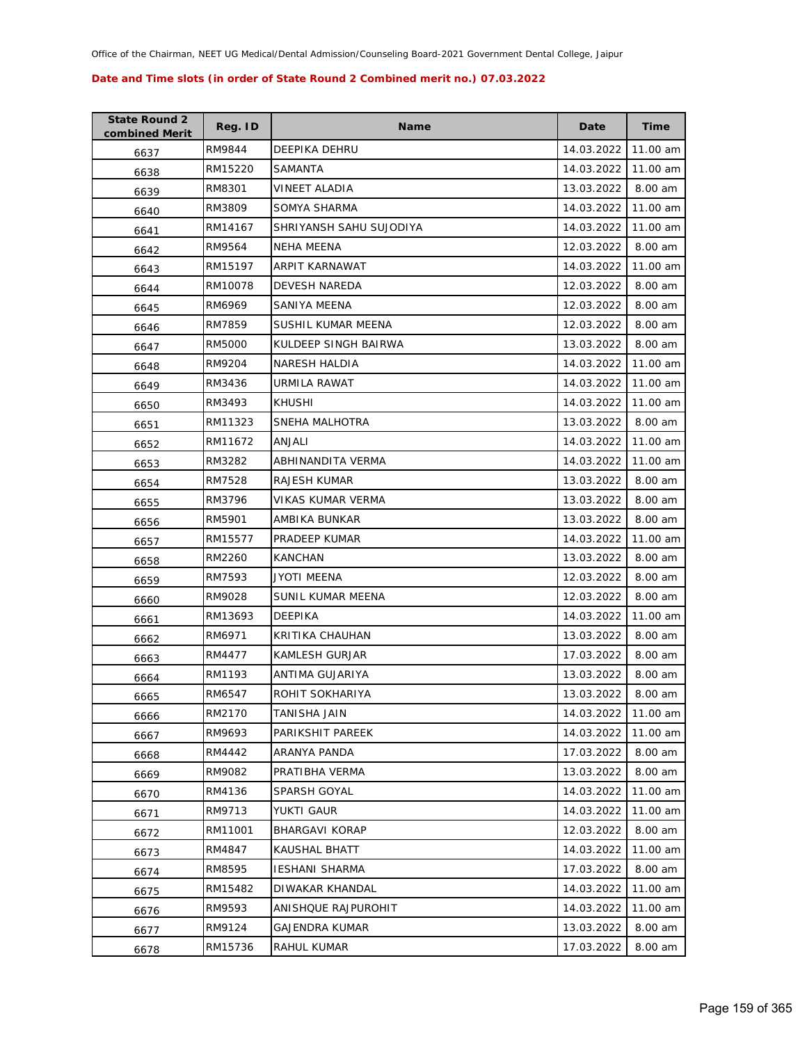| <b>State Round 2</b><br>combined Merit | Reg. ID | <b>Name</b>             | Date       | Time     |
|----------------------------------------|---------|-------------------------|------------|----------|
| 6637                                   | RM9844  | DEEPIKA DEHRU           | 14.03.2022 | 11.00 am |
| 6638                                   | RM15220 | SAMANTA                 | 14.03.2022 | 11.00 am |
| 6639                                   | RM8301  | VINEET ALADIA           | 13.03.2022 | 8.00 am  |
| 6640                                   | RM3809  | SOMYA SHARMA            | 14.03.2022 | 11.00 am |
| 6641                                   | RM14167 | SHRIYANSH SAHU SUJODIYA | 14.03.2022 | 11.00 am |
| 6642                                   | RM9564  | <b>NEHA MEENA</b>       | 12.03.2022 | 8.00 am  |
| 6643                                   | RM15197 | ARPIT KARNAWAT          | 14.03.2022 | 11.00 am |
| 6644                                   | RM10078 | <b>DEVESH NAREDA</b>    | 12.03.2022 | 8.00 am  |
| 6645                                   | RM6969  | SANIYA MEENA            | 12.03.2022 | 8.00 am  |
| 6646                                   | RM7859  | SUSHIL KUMAR MEENA      | 12.03.2022 | 8.00 am  |
| 6647                                   | RM5000  | KULDEEP SINGH BAIRWA    | 13.03.2022 | 8.00 am  |
| 6648                                   | RM9204  | NARESH HALDIA           | 14.03.2022 | 11.00 am |
| 6649                                   | RM3436  | URMILA RAWAT            | 14.03.2022 | 11.00 am |
| 6650                                   | RM3493  | KHUSHI                  | 14.03.2022 | 11.00 am |
| 6651                                   | RM11323 | SNEHA MALHOTRA          | 13.03.2022 | 8.00 am  |
| 6652                                   | RM11672 | ANJALI                  | 14.03.2022 | 11.00 am |
| 6653                                   | RM3282  | ABHINANDITA VERMA       | 14.03.2022 | 11.00 am |
| 6654                                   | RM7528  | <b>RAJESH KUMAR</b>     | 13.03.2022 | 8.00 am  |
| 6655                                   | RM3796  | VIKAS KUMAR VERMA       | 13.03.2022 | 8.00 am  |
| 6656                                   | RM5901  | AMBIKA BUNKAR           | 13.03.2022 | 8.00 am  |
| 6657                                   | RM15577 | PRADEEP KUMAR           | 14.03.2022 | 11.00 am |
| 6658                                   | RM2260  | <b>KANCHAN</b>          | 13.03.2022 | 8.00 am  |
| 6659                                   | RM7593  | JYOTI MEENA             | 12.03.2022 | 8.00 am  |
| 6660                                   | RM9028  | SUNIL KUMAR MEENA       | 12.03.2022 | 8.00 am  |
| 6661                                   | RM13693 | DEEPIKA                 | 14.03.2022 | 11.00 am |
| 6662                                   | RM6971  | KRITIKA CHAUHAN         | 13.03.2022 | 8.00 am  |
| 6663                                   | RM4477  | KAMLESH GURJAR          | 17.03.2022 | 8.00 am  |
| 6664                                   | RM1193  | ANTIMA GUJARIYA         | 13.03.2022 | 8.00 am  |
| 6665                                   | RM6547  | ROHIT SOKHARIYA         | 13.03.2022 | 8.00 am  |
| 6666                                   | RM2170  | TANISHA JAIN            | 14.03.2022 | 11.00 am |
| 6667                                   | RM9693  | PARIKSHIT PAREEK        | 14.03.2022 | 11.00 am |
| 6668                                   | RM4442  | ARANYA PANDA            | 17.03.2022 | 8.00 am  |
| 6669                                   | RM9082  | PRATIBHA VERMA          | 13.03.2022 | 8.00 am  |
| 6670                                   | RM4136  | SPARSH GOYAL            | 14.03.2022 | 11.00 am |
| 6671                                   | RM9713  | YUKTI GAUR              | 14.03.2022 | 11.00 am |
| 6672                                   | RM11001 | <b>BHARGAVI KORAP</b>   | 12.03.2022 | 8.00 am  |
| 6673                                   | RM4847  | KAUSHAL BHATT           | 14.03.2022 | 11.00 am |
| 6674                                   | RM8595  | <b>IESHANI SHARMA</b>   | 17.03.2022 | 8.00 am  |
| 6675                                   | RM15482 | DIWAKAR KHANDAL         | 14.03.2022 | 11.00 am |
| 6676                                   | RM9593  | ANISHQUE RAJPUROHIT     | 14.03.2022 | 11.00 am |
| 6677                                   | RM9124  | <b>GAJENDRA KUMAR</b>   | 13.03.2022 | 8.00 am  |
| 6678                                   | RM15736 | RAHUL KUMAR             | 17.03.2022 | 8.00 am  |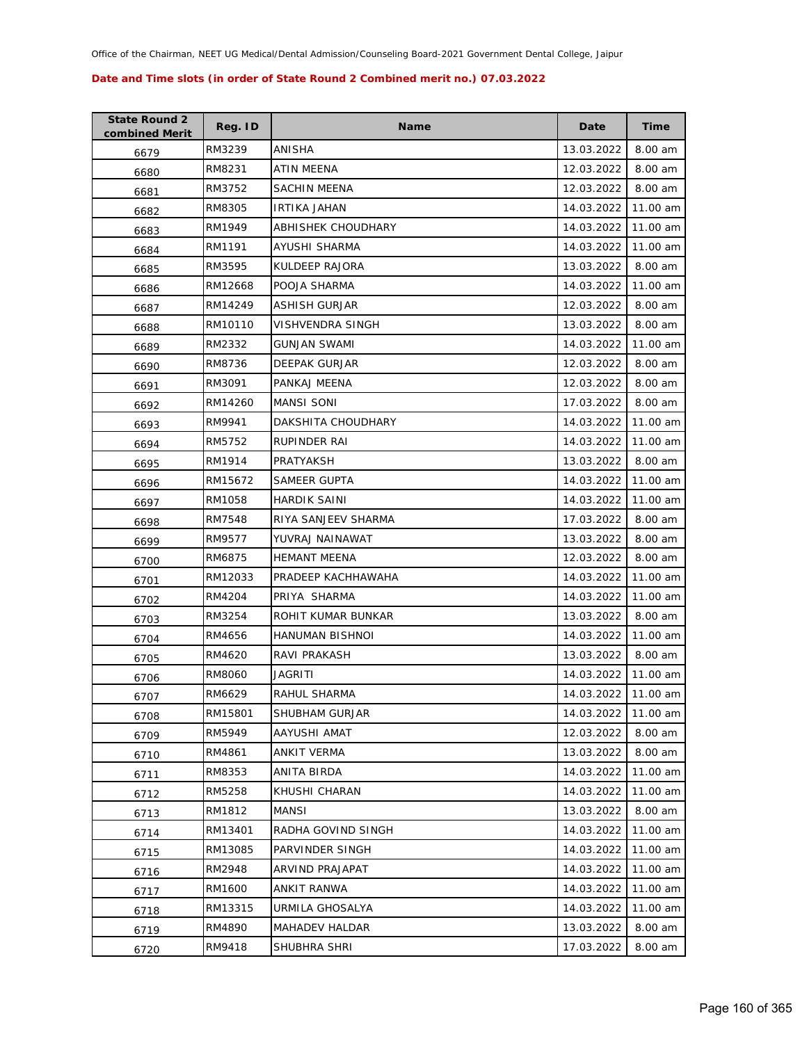| <b>State Round 2</b><br>combined Merit | Reg. ID | <b>Name</b>         | Date       | Time     |
|----------------------------------------|---------|---------------------|------------|----------|
| 6679                                   | RM3239  | ANISHA              | 13.03.2022 | 8.00 am  |
| 6680                                   | RM8231  | ATIN MEENA          | 12.03.2022 | 8.00 am  |
| 6681                                   | RM3752  | SACHIN MEENA        | 12.03.2022 | 8.00 am  |
| 6682                                   | RM8305  | <b>IRTIKA JAHAN</b> | 14.03.2022 | 11.00 am |
| 6683                                   | RM1949  | ABHISHEK CHOUDHARY  | 14.03.2022 | 11.00 am |
| 6684                                   | RM1191  | AYUSHI SHARMA       | 14.03.2022 | 11.00 am |
| 6685                                   | RM3595  | KULDEEP RAJORA      | 13.03.2022 | 8.00 am  |
| 6686                                   | RM12668 | POOJA SHARMA        | 14.03.2022 | 11.00 am |
| 6687                                   | RM14249 | ASHISH GURJAR       | 12.03.2022 | 8.00 am  |
| 6688                                   | RM10110 | VISHVENDRA SINGH    | 13.03.2022 | 8.00 am  |
| 6689                                   | RM2332  | <b>GUNJAN SWAMI</b> | 14.03.2022 | 11.00 am |
| 6690                                   | RM8736  | DEEPAK GURJAR       | 12.03.2022 | 8.00 am  |
| 6691                                   | RM3091  | PANKAJ MEENA        | 12.03.2022 | 8.00 am  |
| 6692                                   | RM14260 | <b>MANSI SONI</b>   | 17.03.2022 | 8.00 am  |
| 6693                                   | RM9941  | DAKSHITA CHOUDHARY  | 14.03.2022 | 11.00 am |
| 6694                                   | RM5752  | <b>RUPINDER RAI</b> | 14.03.2022 | 11.00 am |
| 6695                                   | RM1914  | PRATYAKSH           | 13.03.2022 | 8.00 am  |
| 6696                                   | RM15672 | SAMEER GUPTA        | 14.03.2022 | 11.00 am |
| 6697                                   | RM1058  | <b>HARDIK SAINI</b> | 14.03.2022 | 11.00 am |
| 6698                                   | RM7548  | RIYA SANJEEV SHARMA | 17.03.2022 | 8.00 am  |
| 6699                                   | RM9577  | YUVRAJ NAINAWAT     | 13.03.2022 | 8.00 am  |
| 6700                                   | RM6875  | <b>HEMANT MEENA</b> | 12.03.2022 | 8.00 am  |
| 6701                                   | RM12033 | PRADEEP KACHHAWAHA  | 14.03.2022 | 11.00 am |
| 6702                                   | RM4204  | PRIYA SHARMA        | 14.03.2022 | 11.00 am |
| 6703                                   | RM3254  | ROHIT KUMAR BUNKAR  | 13.03.2022 | 8.00 am  |
| 6704                                   | RM4656  | HANUMAN BISHNOI     | 14.03.2022 | 11.00 am |
| 6705                                   | RM4620  | <b>RAVI PRAKASH</b> | 13.03.2022 | 8.00 am  |
| 6706                                   | RM8060  | JAGRITI             | 14.03.2022 | 11.00 am |
| 6707                                   | RM6629  | RAHUL SHARMA        | 14.03.2022 | 11.00 am |
| 6708                                   | RM15801 | SHUBHAM GURJAR      | 14.03.2022 | 11.00 am |
| 6709                                   | RM5949  | AAYUSHI AMAT        | 12.03.2022 | 8.00 am  |
| 6710                                   | RM4861  | ANKIT VERMA         | 13.03.2022 | 8.00 am  |
| 6711                                   | RM8353  | ANITA BIRDA         | 14.03.2022 | 11.00 am |
| 6712                                   | RM5258  | KHUSHI CHARAN       | 14.03.2022 | 11.00 am |
| 6713                                   | RM1812  | MANSI               | 13.03.2022 | 8.00 am  |
| 6714                                   | RM13401 | RADHA GOVIND SINGH  | 14.03.2022 | 11.00 am |
| 6715                                   | RM13085 | PARVINDER SINGH     | 14.03.2022 | 11.00 am |
| 6716                                   | RM2948  | ARVIND PRAJAPAT     | 14.03.2022 | 11.00 am |
| 6717                                   | RM1600  | ANKIT RANWA         | 14.03.2022 | 11.00 am |
| 6718                                   | RM13315 | URMILA GHOSALYA     | 14.03.2022 | 11.00 am |
| 6719                                   | RM4890  | MAHADEV HALDAR      | 13.03.2022 | 8.00 am  |
| 6720                                   | RM9418  | SHUBHRA SHRI        | 17.03.2022 | 8.00 am  |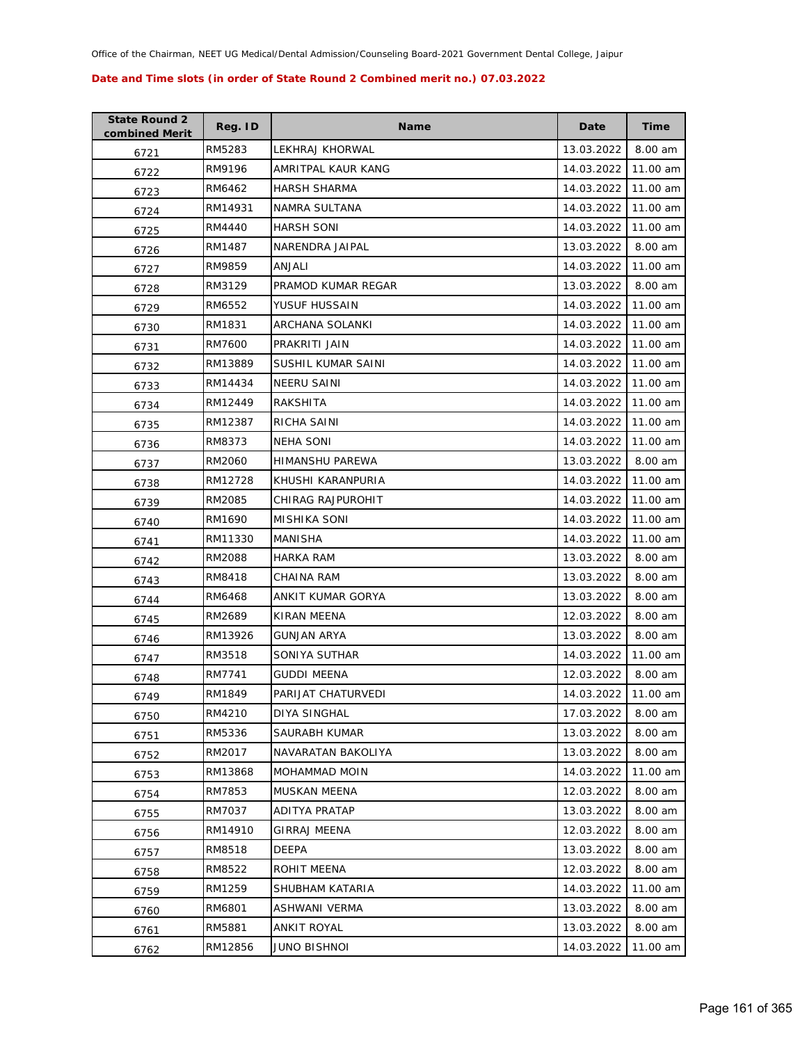| <b>State Round 2</b><br>combined Merit | Reg. ID | <b>Name</b>          | Date       | <b>Time</b> |
|----------------------------------------|---------|----------------------|------------|-------------|
| 6721                                   | RM5283  | LEKHRAJ KHORWAL      | 13.03.2022 | 8.00 am     |
| 6722                                   | RM9196  | AMRITPAL KAUR KANG   | 14.03.2022 | 11.00 am    |
| 6723                                   | RM6462  | <b>HARSH SHARMA</b>  | 14.03.2022 | 11.00 am    |
| 6724                                   | RM14931 | NAMRA SULTANA        | 14.03.2022 | 11.00 am    |
| 6725                                   | RM4440  | <b>HARSH SONI</b>    | 14.03.2022 | 11.00 am    |
| 6726                                   | RM1487  | NARENDRA JAIPAL      | 13.03.2022 | 8.00 am     |
| 6727                                   | RM9859  | ANJALI               | 14.03.2022 | 11.00 am    |
| 6728                                   | RM3129  | PRAMOD KUMAR REGAR   | 13.03.2022 | 8.00 am     |
| 6729                                   | RM6552  | YUSUF HUSSAIN        | 14.03.2022 | 11.00 am    |
| 6730                                   | RM1831  | ARCHANA SOLANKI      | 14.03.2022 | 11.00 am    |
| 6731                                   | RM7600  | PRAKRITI JAIN        | 14.03.2022 | 11.00 am    |
| 6732                                   | RM13889 | SUSHIL KUMAR SAINI   | 14.03.2022 | 11.00 am    |
| 6733                                   | RM14434 | <b>NEERU SAINI</b>   | 14.03.2022 | 11.00 am    |
| 6734                                   | RM12449 | RAKSHITA             | 14.03.2022 | 11.00 am    |
| 6735                                   | RM12387 | RICHA SAINI          | 14.03.2022 | 11.00 am    |
| 6736                                   | RM8373  | <b>NEHA SONI</b>     | 14.03.2022 | 11.00 am    |
| 6737                                   | RM2060  | HIMANSHU PAREWA      | 13.03.2022 | 8.00 am     |
| 6738                                   | RM12728 | KHUSHI KARANPURIA    | 14.03.2022 | 11.00 am    |
| 6739                                   | RM2085  | CHIRAG RAJPUROHIT    | 14.03.2022 | 11.00 am    |
| 6740                                   | RM1690  | MISHIKA SONI         | 14.03.2022 | 11.00 am    |
| 6741                                   | RM11330 | MANISHA              | 14.03.2022 | 11.00 am    |
| 6742                                   | RM2088  | <b>HARKA RAM</b>     | 13.03.2022 | 8.00 am     |
| 6743                                   | RM8418  | CHAINA RAM           | 13.03.2022 | 8.00 am     |
| 6744                                   | RM6468  | ANKIT KUMAR GORYA    | 13.03.2022 | 8.00 am     |
| 6745                                   | RM2689  | KIRAN MEENA          | 12.03.2022 | 8.00 am     |
| 6746                                   | RM13926 | <b>GUNJAN ARYA</b>   | 13.03.2022 | 8.00 am     |
| 6747                                   | RM3518  | SONIYA SUTHAR        | 14.03.2022 | 11.00 am    |
| 6748                                   | RM7741  | <b>GUDDI MEENA</b>   | 12.03.2022 | 8.00 am     |
| 6749                                   | RM1849  | PARIJAT CHATURVEDI   | 14.03.2022 | 11.00 am    |
| 6750                                   | RM4210  | DIYA SINGHAL         | 17.03.2022 | 8.00 am     |
| 6751                                   | RM5336  | SAURABH KUMAR        | 13.03.2022 | 8.00 am     |
| 6752                                   | RM2017  | NAVARATAN BAKOLIYA   | 13.03.2022 | 8.00 am     |
| 6753                                   | RM13868 | MOHAMMAD MOIN        | 14.03.2022 | 11.00 am    |
| 6754                                   | RM7853  | MUSKAN MEENA         | 12.03.2022 | 8.00 am     |
| 6755                                   | RM7037  | <b>ADITYA PRATAP</b> | 13.03.2022 | 8.00 am     |
| 6756                                   | RM14910 | <b>GIRRAJ MEENA</b>  | 12.03.2022 | 8.00 am     |
| 6757                                   | RM8518  | <b>DEEPA</b>         | 13.03.2022 | 8.00 am     |
| 6758                                   | RM8522  | ROHIT MEENA          | 12.03.2022 | 8.00 am     |
| 6759                                   | RM1259  | SHUBHAM KATARIA      | 14.03.2022 | 11.00 am    |
| 6760                                   | RM6801  | ASHWANI VERMA        | 13.03.2022 | 8.00 am     |
| 6761                                   | RM5881  | ANKIT ROYAL          | 13.03.2022 | 8.00 am     |
| 6762                                   | RM12856 | <b>JUNO BISHNOI</b>  | 14.03.2022 | 11.00 am    |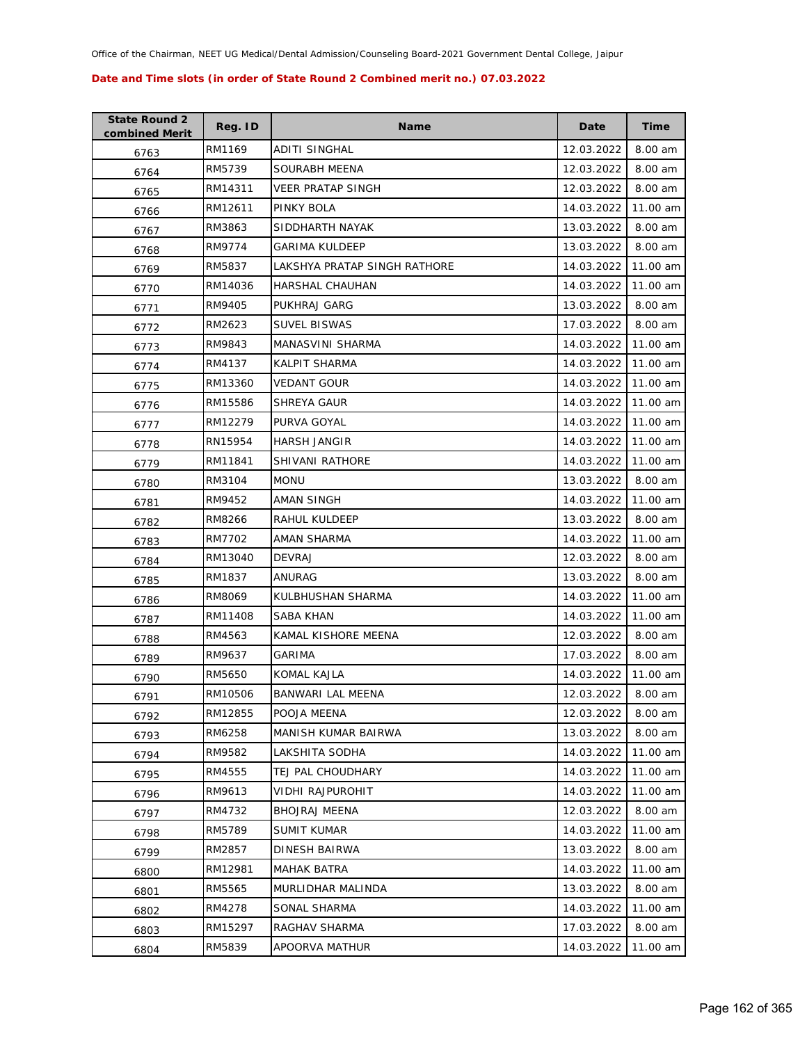| <b>State Round 2</b><br>combined Merit | Reg. ID | <b>Name</b>                  | Date       | <b>Time</b> |
|----------------------------------------|---------|------------------------------|------------|-------------|
| 6763                                   | RM1169  | ADITI SINGHAL                | 12.03.2022 | 8.00 am     |
| 6764                                   | RM5739  | SOURABH MEENA                | 12.03.2022 | 8.00 am     |
| 6765                                   | RM14311 | <b>VEER PRATAP SINGH</b>     | 12.03.2022 | 8.00 am     |
| 6766                                   | RM12611 | PINKY BOLA                   | 14.03.2022 | 11.00 am    |
| 6767                                   | RM3863  | SIDDHARTH NAYAK              | 13.03.2022 | 8.00 am     |
| 6768                                   | RM9774  | <b>GARIMA KULDEEP</b>        | 13.03.2022 | 8.00 am     |
| 6769                                   | RM5837  | LAKSHYA PRATAP SINGH RATHORE | 14.03.2022 | 11.00 am    |
| 6770                                   | RM14036 | HARSHAL CHAUHAN              | 14.03.2022 | 11.00 am    |
| 6771                                   | RM9405  | PUKHRAJ GARG                 | 13.03.2022 | 8.00 am     |
| 6772                                   | RM2623  | <b>SUVEL BISWAS</b>          | 17.03.2022 | 8.00 am     |
| 6773                                   | RM9843  | MANASVINI SHARMA             | 14.03.2022 | 11.00 am    |
| 6774                                   | RM4137  | KALPIT SHARMA                | 14.03.2022 | 11.00 am    |
| 6775                                   | RM13360 | <b>VEDANT GOUR</b>           | 14.03.2022 | 11.00 am    |
| 6776                                   | RM15586 | SHREYA GAUR                  | 14.03.2022 | 11.00 am    |
| 6777                                   | RM12279 | PURVA GOYAL                  | 14.03.2022 | 11.00 am    |
| 6778                                   | RN15954 | <b>HARSH JANGIR</b>          | 14.03.2022 | 11.00 am    |
| 6779                                   | RM11841 | <b>SHIVANI RATHORE</b>       | 14.03.2022 | 11.00 am    |
| 6780                                   | RM3104  | <b>MONU</b>                  | 13.03.2022 | 8.00 am     |
| 6781                                   | RM9452  | AMAN SINGH                   | 14.03.2022 | 11.00 am    |
| 6782                                   | RM8266  | RAHUL KULDEEP                | 13.03.2022 | 8.00 am     |
| 6783                                   | RM7702  | AMAN SHARMA                  | 14.03.2022 | 11.00 am    |
| 6784                                   | RM13040 | <b>DEVRAJ</b>                | 12.03.2022 | 8.00 am     |
| 6785                                   | RM1837  | ANURAG                       | 13.03.2022 | 8.00 am     |
| 6786                                   | RM8069  | KULBHUSHAN SHARMA            | 14.03.2022 | 11.00 am    |
| 6787                                   | RM11408 | SABA KHAN                    | 14.03.2022 | 11.00 am    |
| 6788                                   | RM4563  | KAMAL KISHORE MEENA          | 12.03.2022 | 8.00 am     |
| 6789                                   | RM9637  | GARIMA                       | 17.03.2022 | 8.00 am     |
| 6790                                   | RM5650  | KOMAL KAJLA                  | 14.03.2022 | 11.00 am    |
| 6791                                   | RM10506 | <b>BANWARI LAL MEENA</b>     | 12.03.2022 | 8.00 am     |
| 6792                                   | RM12855 | POOJA MEENA                  | 12.03.2022 | 8.00 am     |
| 6793                                   | RM6258  | MANISH KUMAR BAIRWA          | 13.03.2022 | 8.00 am     |
| 6794                                   | RM9582  | LAKSHITA SODHA               | 14.03.2022 | 11.00 am    |
| 6795                                   | RM4555  | TEJ PAL CHOUDHARY            | 14.03.2022 | 11.00 am    |
| 6796                                   | RM9613  | VIDHI RAJPUROHIT             | 14.03.2022 | 11.00 am    |
| 6797                                   | RM4732  | <b>BHOJRAJ MEENA</b>         | 12.03.2022 | 8.00 am     |
| 6798                                   | RM5789  | <b>SUMIT KUMAR</b>           | 14.03.2022 | 11.00 am    |
| 6799                                   | RM2857  | <b>DINESH BAIRWA</b>         | 13.03.2022 | 8.00 am     |
| 6800                                   | RM12981 | <b>MAHAK BATRA</b>           | 14.03.2022 | 11.00 am    |
| 6801                                   | RM5565  | MURLIDHAR MALINDA            | 13.03.2022 | 8.00 am     |
| 6802                                   | RM4278  | SONAL SHARMA                 | 14.03.2022 | 11.00 am    |
| 6803                                   | RM15297 | RAGHAV SHARMA                | 17.03.2022 | 8.00 am     |
| 6804                                   | RM5839  | APOORVA MATHUR               | 14.03.2022 | 11.00 am    |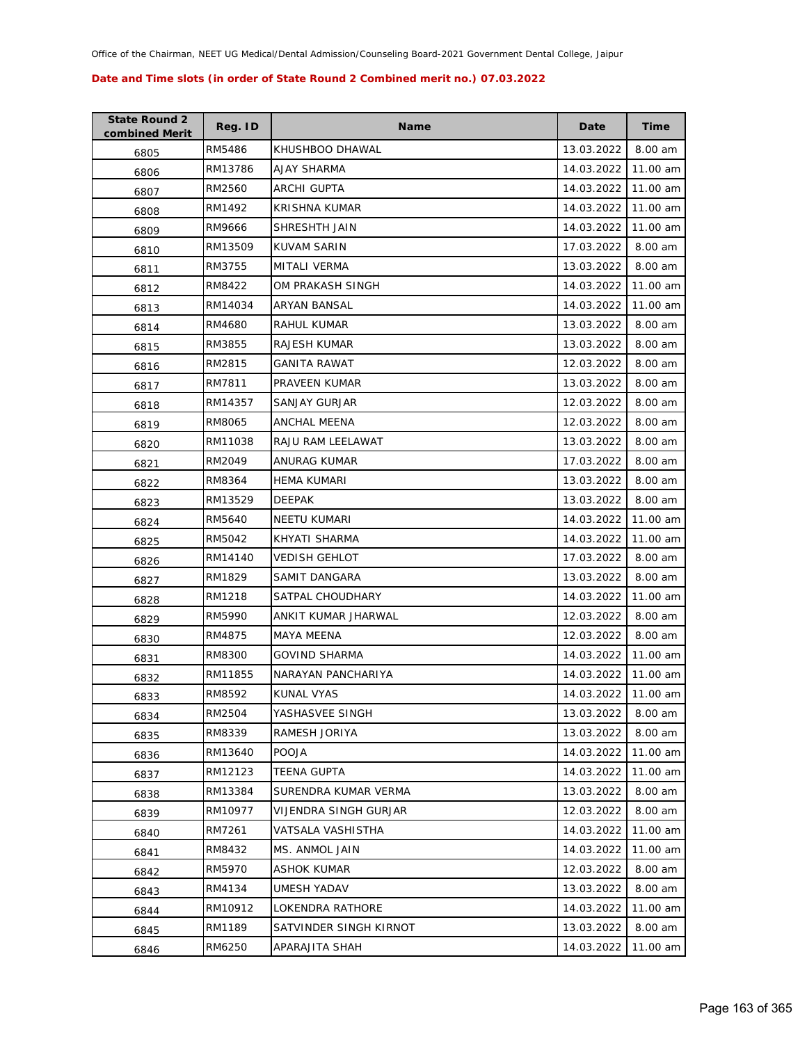| <b>State Round 2</b><br>combined Merit | Reg. ID | <b>Name</b>            | Date       | Time     |
|----------------------------------------|---------|------------------------|------------|----------|
| 6805                                   | RM5486  | KHUSHBOO DHAWAL        | 13.03.2022 | 8.00 am  |
| 6806                                   | RM13786 | AJAY SHARMA            | 14.03.2022 | 11.00 am |
| 6807                                   | RM2560  | ARCHI GUPTA            | 14.03.2022 | 11.00 am |
| 6808                                   | RM1492  | KRISHNA KUMAR          | 14.03.2022 | 11.00 am |
| 6809                                   | RM9666  | SHRESHTH JAIN          | 14.03.2022 | 11.00 am |
| 6810                                   | RM13509 | <b>KUVAM SARIN</b>     | 17.03.2022 | 8.00 am  |
| 6811                                   | RM3755  | <b>MITALI VERMA</b>    | 13.03.2022 | 8.00 am  |
| 6812                                   | RM8422  | OM PRAKASH SINGH       | 14.03.2022 | 11.00 am |
| 6813                                   | RM14034 | ARYAN BANSAL           | 14.03.2022 | 11.00 am |
| 6814                                   | RM4680  | RAHUL KUMAR            | 13.03.2022 | 8.00 am  |
| 6815                                   | RM3855  | RAJESH KUMAR           | 13.03.2022 | 8.00 am  |
| 6816                                   | RM2815  | GANITA RAWAT           | 12.03.2022 | 8.00 am  |
| 6817                                   | RM7811  | PRAVEEN KUMAR          | 13.03.2022 | 8.00 am  |
| 6818                                   | RM14357 | SANJAY GURJAR          | 12.03.2022 | 8.00 am  |
| 6819                                   | RM8065  | ANCHAL MEENA           | 12.03.2022 | 8.00 am  |
| 6820                                   | RM11038 | RAJU RAM LEELAWAT      | 13.03.2022 | 8.00 am  |
| 6821                                   | RM2049  | <b>ANURAG KUMAR</b>    | 17.03.2022 | 8.00 am  |
| 6822                                   | RM8364  | HEMA KUMARI            | 13.03.2022 | 8.00 am  |
| 6823                                   | RM13529 | <b>DEEPAK</b>          | 13.03.2022 | 8.00 am  |
| 6824                                   | RM5640  | <b>NEETU KUMARI</b>    | 14.03.2022 | 11.00 am |
| 6825                                   | RM5042  | KHYATI SHARMA          | 14.03.2022 | 11.00 am |
| 6826                                   | RM14140 | <b>VEDISH GEHLOT</b>   | 17.03.2022 | 8.00 am  |
| 6827                                   | RM1829  | SAMIT DANGARA          | 13.03.2022 | 8.00 am  |
| 6828                                   | RM1218  | SATPAL CHOUDHARY       | 14.03.2022 | 11.00 am |
| 6829                                   | RM5990  | ANKIT KUMAR JHARWAL    | 12.03.2022 | 8.00 am  |
| 6830                                   | RM4875  | <b>MAYA MEENA</b>      | 12.03.2022 | 8.00 am  |
| 6831                                   | RM8300  | <b>GOVIND SHARMA</b>   | 14.03.2022 | 11.00 am |
| 6832                                   | RM11855 | NARAYAN PANCHARIYA     | 14.03.2022 | 11.00 am |
| 6833                                   | RM8592  | <b>KUNAL VYAS</b>      | 14.03.2022 | 11.00 am |
| 6834                                   | RM2504  | YASHASVEE SINGH        | 13.03.2022 | 8.00 am  |
| 6835                                   | RM8339  | RAMESH JORIYA          | 13.03.2022 | 8.00 am  |
| 6836                                   | RM13640 | <b>POOJA</b>           | 14.03.2022 | 11.00 am |
| 6837                                   | RM12123 | <b>TEENA GUPTA</b>     | 14.03.2022 | 11.00 am |
| 6838                                   | RM13384 | SURENDRA KUMAR VERMA   | 13.03.2022 | 8.00 am  |
| 6839                                   | RM10977 | VIJENDRA SINGH GURJAR  | 12.03.2022 | 8.00 am  |
| 6840                                   | RM7261  | VATSALA VASHISTHA      | 14.03.2022 | 11.00 am |
| 6841                                   | RM8432  | MS. ANMOL JAIN         | 14.03.2022 | 11.00 am |
| 6842                                   | RM5970  | ASHOK KUMAR            | 12.03.2022 | 8.00 am  |
| 6843                                   | RM4134  | UMESH YADAV            | 13.03.2022 | 8.00 am  |
| 6844                                   | RM10912 | LOKENDRA RATHORE       | 14.03.2022 | 11.00 am |
| 6845                                   | RM1189  | SATVINDER SINGH KIRNOT | 13.03.2022 | 8.00 am  |
| 6846                                   | RM6250  | APARAJITA SHAH         | 14.03.2022 | 11.00 am |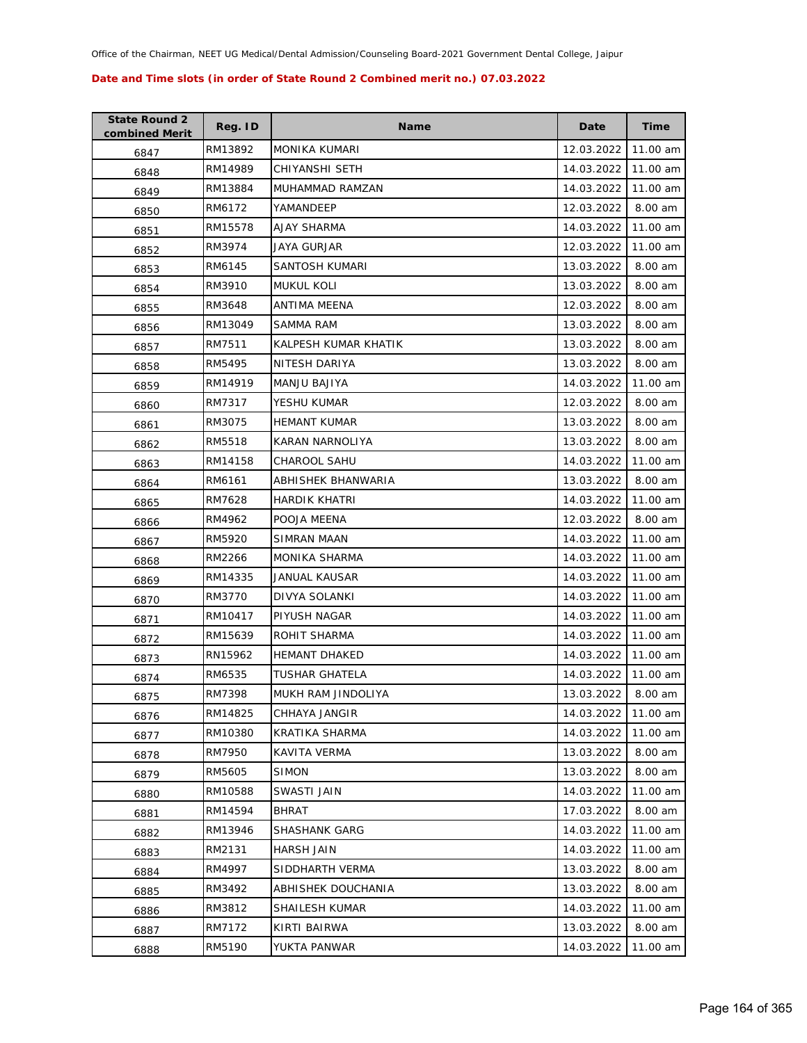| <b>State Round 2</b><br>combined Merit | Reg. ID | <b>Name</b>            | Date       | <b>Time</b> |
|----------------------------------------|---------|------------------------|------------|-------------|
| 6847                                   | RM13892 | <b>MONIKA KUMARI</b>   | 12.03.2022 | 11.00 am    |
| 6848                                   | RM14989 | CHIYANSHI SETH         | 14.03.2022 | 11.00 am    |
| 6849                                   | RM13884 | MUHAMMAD RAMZAN        | 14.03.2022 | 11.00 am    |
| 6850                                   | RM6172  | YAMANDEEP              | 12.03.2022 | 8.00 am     |
| 6851                                   | RM15578 | AJAY SHARMA            | 14.03.2022 | 11.00 am    |
| 6852                                   | RM3974  | <b>JAYA GURJAR</b>     | 12.03.2022 | 11.00 am    |
| 6853                                   | RM6145  | SANTOSH KUMARI         | 13.03.2022 | 8.00 am     |
| 6854                                   | RM3910  | <b>MUKUL KOLI</b>      | 13.03.2022 | 8.00 am     |
| 6855                                   | RM3648  | ANTIMA MEENA           | 12.03.2022 | 8.00 am     |
| 6856                                   | RM13049 | SAMMA RAM              | 13.03.2022 | 8.00 am     |
| 6857                                   | RM7511  | KALPESH KUMAR KHATIK   | 13.03.2022 | 8.00 am     |
| 6858                                   | RM5495  | NITESH DARIYA          | 13.03.2022 | 8.00 am     |
| 6859                                   | RM14919 | MANJU BAJIYA           | 14.03.2022 | 11.00 am    |
| 6860                                   | RM7317  | YESHU KUMAR            | 12.03.2022 | 8.00 am     |
| 6861                                   | RM3075  | <b>HEMANT KUMAR</b>    | 13.03.2022 | 8.00 am     |
| 6862                                   | RM5518  | <b>KARAN NARNOLIYA</b> | 13.03.2022 | 8.00 am     |
| 6863                                   | RM14158 | <b>CHAROOL SAHU</b>    | 14.03.2022 | 11.00 am    |
| 6864                                   | RM6161  | ABHISHEK BHANWARIA     | 13.03.2022 | 8.00 am     |
| 6865                                   | RM7628  | <b>HARDIK KHATRI</b>   | 14.03.2022 | 11.00 am    |
| 6866                                   | RM4962  | POOJA MEENA            | 12.03.2022 | 8.00 am     |
| 6867                                   | RM5920  | SIMRAN MAAN            | 14.03.2022 | 11.00 am    |
| 6868                                   | RM2266  | MONIKA SHARMA          | 14.03.2022 | 11.00 am    |
| 6869                                   | RM14335 | JANUAL KAUSAR          | 14.03.2022 | 11.00 am    |
| 6870                                   | RM3770  | DIVYA SOLANKI          | 14.03.2022 | 11.00 am    |
| 6871                                   | RM10417 | PIYUSH NAGAR           | 14.03.2022 | 11.00 am    |
| 6872                                   | RM15639 | ROHIT SHARMA           | 14.03.2022 | 11.00 am    |
| 6873                                   | RN15962 | <b>HEMANT DHAKED</b>   | 14.03.2022 | 11.00 am    |
| 6874                                   | RM6535  | TUSHAR GHATELA         | 14.03.2022 | 11.00 am    |
| 6875                                   | RM7398  | MUKH RAM JINDOLIYA     | 13.03.2022 | 8.00 am     |
| 6876                                   | RM14825 | CHHAYA JANGIR          | 14.03.2022 | 11.00 am    |
| 6877                                   | RM10380 | KRATIKA SHARMA         | 14.03.2022 | 11.00 am    |
| 6878                                   | RM7950  | KAVITA VERMA           | 13.03.2022 | 8.00 am     |
| 6879                                   | RM5605  | <b>SIMON</b>           | 13.03.2022 | 8.00 am     |
| 6880                                   | RM10588 | SWASTI JAIN            | 14.03.2022 | 11.00 am    |
| 6881                                   | RM14594 | BHRAT                  | 17.03.2022 | 8.00 am     |
| 6882                                   | RM13946 | <b>SHASHANK GARG</b>   | 14.03.2022 | 11.00 am    |
| 6883                                   | RM2131  | HARSH JAIN             | 14.03.2022 | 11.00 am    |
| 6884                                   | RM4997  | SIDDHARTH VERMA        | 13.03.2022 | 8.00 am     |
| 6885                                   | RM3492  | ABHISHEK DOUCHANIA     | 13.03.2022 | 8.00 am     |
| 6886                                   | RM3812  | SHAILESH KUMAR         | 14.03.2022 | 11.00 am    |
| 6887                                   | RM7172  | KIRTI BAIRWA           | 13.03.2022 | 8.00 am     |
| 6888                                   | RM5190  | YUKTA PANWAR           | 14.03.2022 | 11.00 am    |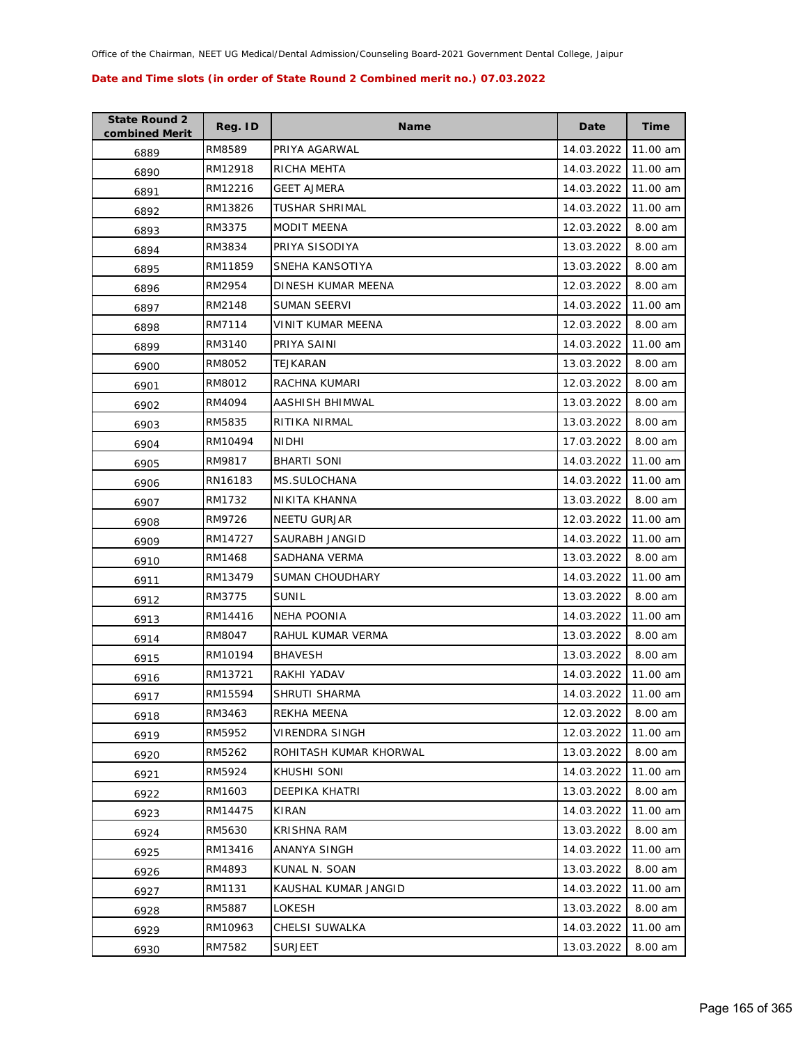| <b>State Round 2</b><br>combined Merit | Reg. ID | Name                   | Date       | <b>Time</b> |
|----------------------------------------|---------|------------------------|------------|-------------|
| 6889                                   | RM8589  | PRIYA AGARWAL          | 14.03.2022 | 11.00 am    |
| 6890                                   | RM12918 | RICHA MEHTA            | 14.03.2022 | 11.00 am    |
| 6891                                   | RM12216 | <b>GEET AJMERA</b>     | 14.03.2022 | 11.00 am    |
| 6892                                   | RM13826 | <b>TUSHAR SHRIMAL</b>  | 14.03.2022 | 11.00 am    |
| 6893                                   | RM3375  | <b>MODIT MEENA</b>     | 12.03.2022 | 8.00 am     |
| 6894                                   | RM3834  | PRIYA SISODIYA         | 13.03.2022 | 8.00 am     |
| 6895                                   | RM11859 | SNEHA KANSOTIYA        | 13.03.2022 | 8.00 am     |
| 6896                                   | RM2954  | DINESH KUMAR MEENA     | 12.03.2022 | 8.00 am     |
| 6897                                   | RM2148  | SUMAN SEERVI           | 14.03.2022 | 11.00 am    |
| 6898                                   | RM7114  | VINIT KUMAR MEENA      | 12.03.2022 | 8.00 am     |
| 6899                                   | RM3140  | PRIYA SAINI            | 14.03.2022 | 11.00 am    |
| 6900                                   | RM8052  | TEJKARAN               | 13.03.2022 | 8.00 am     |
| 6901                                   | RM8012  | RACHNA KUMARI          | 12.03.2022 | 8.00 am     |
| 6902                                   | RM4094  | AASHISH BHIMWAL        | 13.03.2022 | 8.00 am     |
| 6903                                   | RM5835  | RITIKA NIRMAL          | 13.03.2022 | 8.00 am     |
| 6904                                   | RM10494 | NIDHI                  | 17.03.2022 | 8.00 am     |
| 6905                                   | RM9817  | <b>BHARTI SONI</b>     | 14.03.2022 | 11.00 am    |
| 6906                                   | RN16183 | MS.SULOCHANA           | 14.03.2022 | 11.00 am    |
| 6907                                   | RM1732  | NIKITA KHANNA          | 13.03.2022 | 8.00 am     |
| 6908                                   | RM9726  | NEETU GURJAR           | 12.03.2022 | 11.00 am    |
| 6909                                   | RM14727 | SAURABH JANGID         | 14.03.2022 | 11.00 am    |
| 6910                                   | RM1468  | SADHANA VERMA          | 13.03.2022 | 8.00 am     |
| 6911                                   | RM13479 | <b>SUMAN CHOUDHARY</b> | 14.03.2022 | 11.00 am    |
| 6912                                   | RM3775  | <b>SUNIL</b>           | 13.03.2022 | 8.00 am     |
| 6913                                   | RM14416 | NEHA POONIA            | 14.03.2022 | 11.00 am    |
| 6914                                   | RM8047  | RAHUL KUMAR VERMA      | 13.03.2022 | 8.00 am     |
| 6915                                   | RM10194 | <b>BHAVESH</b>         | 13.03.2022 | 8.00 am     |
| 6916                                   | RM13721 | RAKHI YADAV            | 14.03.2022 | 11.00 am    |
| 6917                                   | RM15594 | SHRUTI SHARMA          | 14.03.2022 | 11.00 am    |
| 6918                                   | RM3463  | REKHA MEENA            | 12.03.2022 | 8.00 am     |
| 6919                                   | RM5952  | VIRENDRA SINGH         | 12.03.2022 | 11.00 am    |
| 6920                                   | RM5262  | ROHITASH KUMAR KHORWAL | 13.03.2022 | 8.00 am     |
| 6921                                   | RM5924  | KHUSHI SONI            | 14.03.2022 | 11.00 am    |
| 6922                                   | RM1603  | DEEPIKA KHATRI         | 13.03.2022 | 8.00 am     |
| 6923                                   | RM14475 | KIRAN                  | 14.03.2022 | 11.00 am    |
| 6924                                   | RM5630  | KRISHNA RAM            | 13.03.2022 | 8.00 am     |
| 6925                                   | RM13416 | ANANYA SINGH           | 14.03.2022 | 11.00 am    |
| 6926                                   | RM4893  | KUNAL N. SOAN          | 13.03.2022 | 8.00 am     |
| 6927                                   | RM1131  | KAUSHAL KUMAR JANGID   | 14.03.2022 | 11.00 am    |
| 6928                                   | RM5887  | LOKESH                 | 13.03.2022 | 8.00 am     |
| 6929                                   | RM10963 | CHELSI SUWALKA         | 14.03.2022 | 11.00 am    |
| 6930                                   | RM7582  | <b>SURJEET</b>         | 13.03.2022 | 8.00 am     |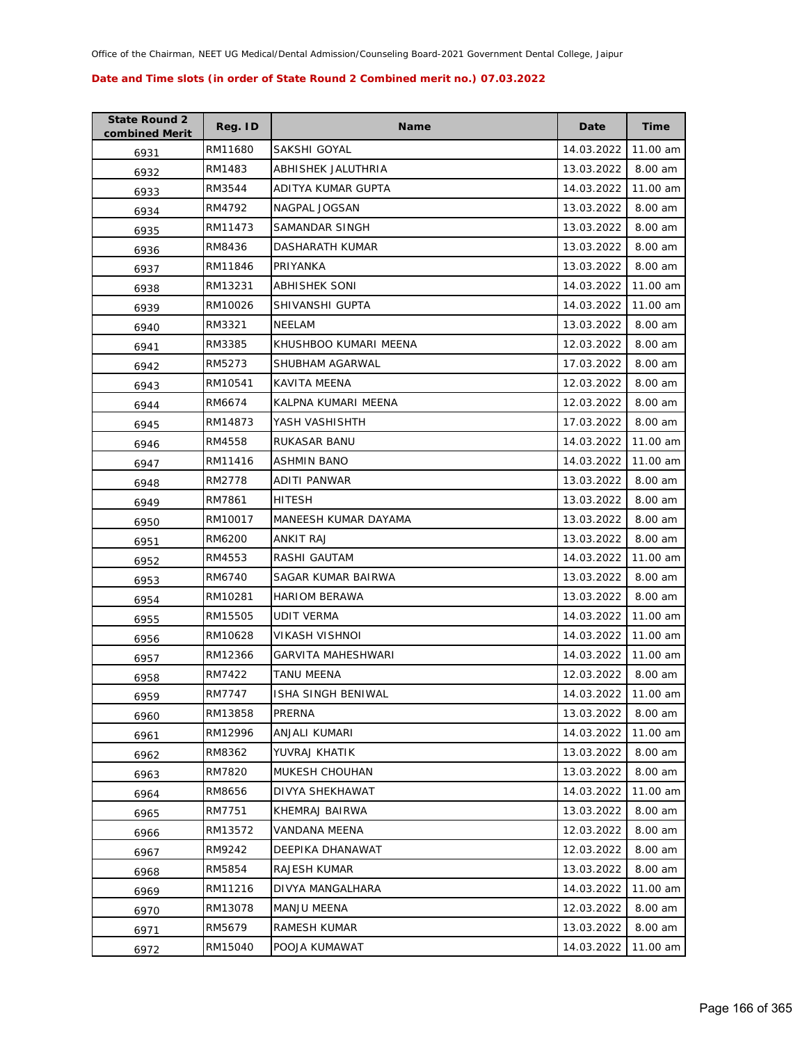| <b>State Round 2</b><br>combined Merit | Reg. ID | <b>Name</b>               | Date       | <b>Time</b> |
|----------------------------------------|---------|---------------------------|------------|-------------|
| 6931                                   | RM11680 | SAKSHI GOYAL              | 14.03.2022 | 11.00 am    |
| 6932                                   | RM1483  | ABHISHEK JALUTHRIA        | 13.03.2022 | 8.00 am     |
| 6933                                   | RM3544  | ADITYA KUMAR GUPTA        | 14.03.2022 | 11.00 am    |
| 6934                                   | RM4792  | NAGPAL JOGSAN             | 13.03.2022 | 8.00 am     |
| 6935                                   | RM11473 | SAMANDAR SINGH            | 13.03.2022 | 8.00 am     |
| 6936                                   | RM8436  | <b>DASHARATH KUMAR</b>    | 13.03.2022 | 8.00 am     |
| 6937                                   | RM11846 | PRIYANKA                  | 13.03.2022 | 8.00 am     |
| 6938                                   | RM13231 | <b>ABHISHEK SONI</b>      | 14.03.2022 | 11.00 am    |
| 6939                                   | RM10026 | SHIVANSHI GUPTA           | 14.03.2022 | 11.00 am    |
| 6940                                   | RM3321  | NEELAM                    | 13.03.2022 | 8.00 am     |
| 6941                                   | RM3385  | KHUSHBOO KUMARI MEENA     | 12.03.2022 | 8.00 am     |
| 6942                                   | RM5273  | SHUBHAM AGARWAL           | 17.03.2022 | 8.00 am     |
| 6943                                   | RM10541 | <b>KAVITA MEENA</b>       | 12.03.2022 | 8.00 am     |
| 6944                                   | RM6674  | KALPNA KUMARI MEENA       | 12.03.2022 | 8.00 am     |
| 6945                                   | RM14873 | YASH VASHISHTH            | 17.03.2022 | 8.00 am     |
| 6946                                   | RM4558  | RUKASAR BANU              | 14.03.2022 | 11.00 am    |
| 6947                                   | RM11416 | <b>ASHMIN BANO</b>        | 14.03.2022 | 11.00 am    |
| 6948                                   | RM2778  | ADITI PANWAR              | 13.03.2022 | 8.00 am     |
| 6949                                   | RM7861  | <b>HITESH</b>             | 13.03.2022 | 8.00 am     |
| 6950                                   | RM10017 | MANEESH KUMAR DAYAMA      | 13.03.2022 | 8.00 am     |
| 6951                                   | RM6200  | ANKIT RAJ                 | 13.03.2022 | 8.00 am     |
| 6952                                   | RM4553  | RASHI GAUTAM              | 14.03.2022 | 11.00 am    |
| 6953                                   | RM6740  | SAGAR KUMAR BAIRWA        | 13.03.2022 | 8.00 am     |
| 6954                                   | RM10281 | <b>HARIOM BERAWA</b>      | 13.03.2022 | 8.00 am     |
| 6955                                   | RM15505 | <b>UDIT VERMA</b>         | 14.03.2022 | 11.00 am    |
| 6956                                   | RM10628 | VIKASH VISHNOI            | 14.03.2022 | 11.00 am    |
| 6957                                   | RM12366 | GARVITA MAHESHWARI        | 14.03.2022 | 11.00 am    |
| 6958                                   | RM7422  | TANU MEENA                | 12.03.2022 | 8.00 am     |
| 6959                                   | RM7747  | <b>ISHA SINGH BENIWAL</b> | 14.03.2022 | 11.00 am    |
| 6960                                   | RM13858 | PRERNA                    | 13.03.2022 | 8.00 am     |
| 6961                                   | RM12996 | ANJALI KUMARI             | 14.03.2022 | 11.00 am    |
| 6962                                   | RM8362  | YUVRAJ KHATIK             | 13.03.2022 | 8.00 am     |
| 6963                                   | RM7820  | MUKESH CHOUHAN            | 13.03.2022 | 8.00 am     |
| 6964                                   | RM8656  | DIVYA SHEKHAWAT           | 14.03.2022 | 11.00 am    |
| 6965                                   | RM7751  | KHEMRAJ BAIRWA            | 13.03.2022 | 8.00 am     |
| 6966                                   | RM13572 | <b>VANDANA MEENA</b>      | 12.03.2022 | 8.00 am     |
| 6967                                   | RM9242  | DEEPIKA DHANAWAT          | 12.03.2022 | 8.00 am     |
| 6968                                   | RM5854  | RAJESH KUMAR              | 13.03.2022 | 8.00 am     |
| 6969                                   | RM11216 | DIVYA MANGALHARA          | 14.03.2022 | 11.00 am    |
| 6970                                   | RM13078 | <b>MANJU MEENA</b>        | 12.03.2022 | 8.00 am     |
| 6971                                   | RM5679  | RAMESH KUMAR              | 13.03.2022 | 8.00 am     |
| 6972                                   | RM15040 | POOJA KUMAWAT             | 14.03.2022 | 11.00 am    |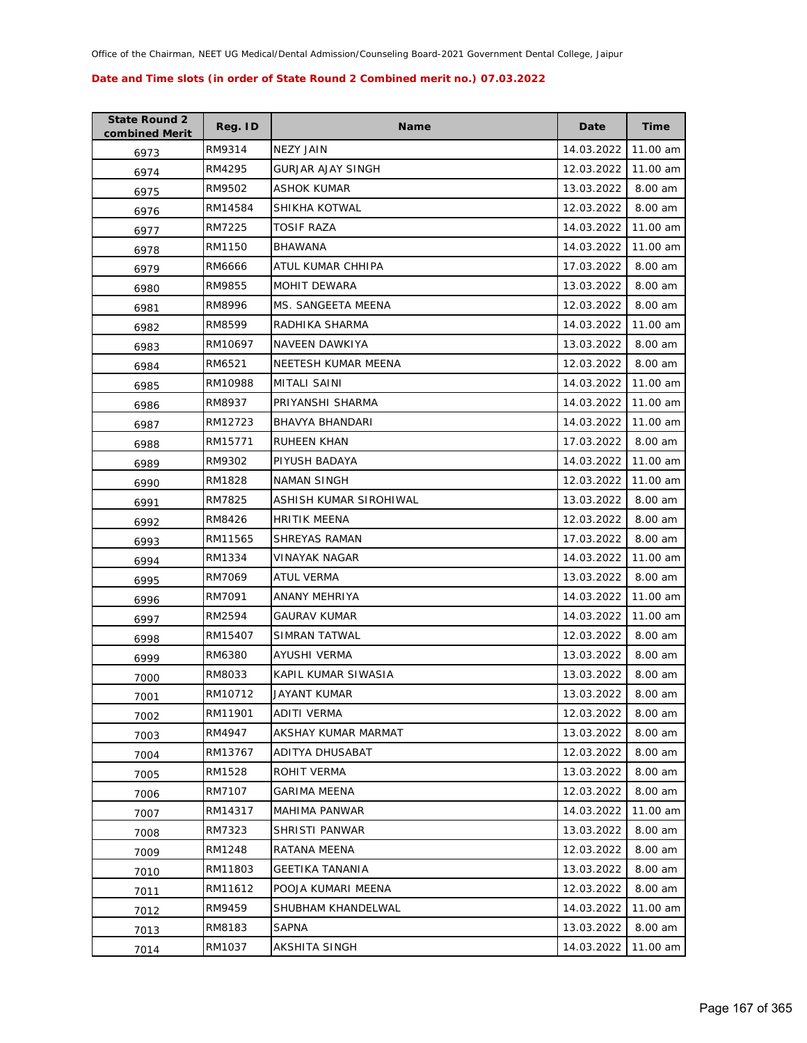| <b>State Round 2</b><br>combined Merit | Reg. ID | <b>Name</b>            | Date       | <b>Time</b> |
|----------------------------------------|---------|------------------------|------------|-------------|
| 6973                                   | RM9314  | <b>NEZY JAIN</b>       | 14.03.2022 | 11.00 am    |
| 6974                                   | RM4295  | GURJAR AJAY SINGH      | 12.03.2022 | 11.00 am    |
| 6975                                   | RM9502  | ASHOK KUMAR            | 13.03.2022 | 8.00 am     |
| 6976                                   | RM14584 | SHIKHA KOTWAL          | 12.03.2022 | 8.00 am     |
| 6977                                   | RM7225  | TOSIF RAZA             | 14.03.2022 | 11.00 am    |
| 6978                                   | RM1150  | <b>BHAWANA</b>         | 14.03.2022 | 11.00 am    |
| 6979                                   | RM6666  | ATUL KUMAR CHHIPA      | 17.03.2022 | 8.00 am     |
| 6980                                   | RM9855  | MOHIT DEWARA           | 13.03.2022 | 8.00 am     |
| 6981                                   | RM8996  | MS. SANGEETA MEENA     | 12.03.2022 | 8.00 am     |
| 6982                                   | RM8599  | RADHIKA SHARMA         | 14.03.2022 | 11.00 am    |
| 6983                                   | RM10697 | NAVEEN DAWKIYA         | 13.03.2022 | 8.00 am     |
| 6984                                   | RM6521  | NEETESH KUMAR MEENA    | 12.03.2022 | 8.00 am     |
| 6985                                   | RM10988 | MITALI SAINI           | 14.03.2022 | 11.00 am    |
| 6986                                   | RM8937  | PRIYANSHI SHARMA       | 14.03.2022 | 11.00 am    |
| 6987                                   | RM12723 | BHAVYA BHANDARI        | 14.03.2022 | 11.00 am    |
| 6988                                   | RM15771 | <b>RUHEEN KHAN</b>     | 17.03.2022 | 8.00 am     |
| 6989                                   | RM9302  | PIYUSH BADAYA          | 14.03.2022 | 11.00 am    |
| 6990                                   | RM1828  | <b>NAMAN SINGH</b>     | 12.03.2022 | 11.00 am    |
| 6991                                   | RM7825  | ASHISH KUMAR SIROHIWAL | 13.03.2022 | 8.00 am     |
| 6992                                   | RM8426  | <b>HRITIK MEENA</b>    | 12.03.2022 | 8.00 am     |
| 6993                                   | RM11565 | SHREYAS RAMAN          | 17.03.2022 | 8.00 am     |
| 6994                                   | RM1334  | VINAYAK NAGAR          | 14.03.2022 | 11.00 am    |
| 6995                                   | RM7069  | ATUL VERMA             | 13.03.2022 | 8.00 am     |
| 6996                                   | RM7091  | ANANY MEHRIYA          | 14.03.2022 | 11.00 am    |
| 6997                                   | RM2594  | GAURAV KUMAR           | 14.03.2022 | 11.00 am    |
| 6998                                   | RM15407 | SIMRAN TATWAL          | 12.03.2022 | 8.00 am     |
| 6999                                   | RM6380  | AYUSHI VERMA           | 13.03.2022 | 8.00 am     |
| 7000                                   | RM8033  | KAPIL KUMAR SIWASIA    | 13.03.2022 | 8.00 am     |
| 7001                                   | RM10712 | <b>JAYANT KUMAR</b>    | 13.03.2022 | 8.00 am     |
| 7002                                   | RM11901 | ADITI VERMA            | 12.03.2022 | 8.00 am     |
| 7003                                   | RM4947  | AKSHAY KUMAR MARMAT    | 13.03.2022 | 8.00 am     |
| 7004                                   | RM13767 | ADITYA DHUSABAT        | 12.03.2022 | 8.00 am     |
| 7005                                   | RM1528  | ROHIT VERMA            | 13.03.2022 | 8.00 am     |
| 7006                                   | RM7107  | <b>GARIMA MEENA</b>    | 12.03.2022 | 8.00 am     |
| 7007                                   | RM14317 | MAHIMA PANWAR          | 14.03.2022 | 11.00 am    |
| 7008                                   | RM7323  | SHRISTI PANWAR         | 13.03.2022 | 8.00 am     |
| 7009                                   | RM1248  | RATANA MEENA           | 12.03.2022 | 8.00 am     |
| 7010                                   | RM11803 | <b>GEETIKA TANANIA</b> | 13.03.2022 | 8.00 am     |
| 7011                                   | RM11612 | POOJA KUMARI MEENA     | 12.03.2022 | 8.00 am     |
| 7012                                   | RM9459  | SHUBHAM KHANDELWAL     | 14.03.2022 | 11.00 am    |
| 7013                                   | RM8183  | <b>SAPNA</b>           | 13.03.2022 | 8.00 am     |
| 7014                                   | RM1037  | AKSHITA SINGH          | 14.03.2022 | 11.00 am    |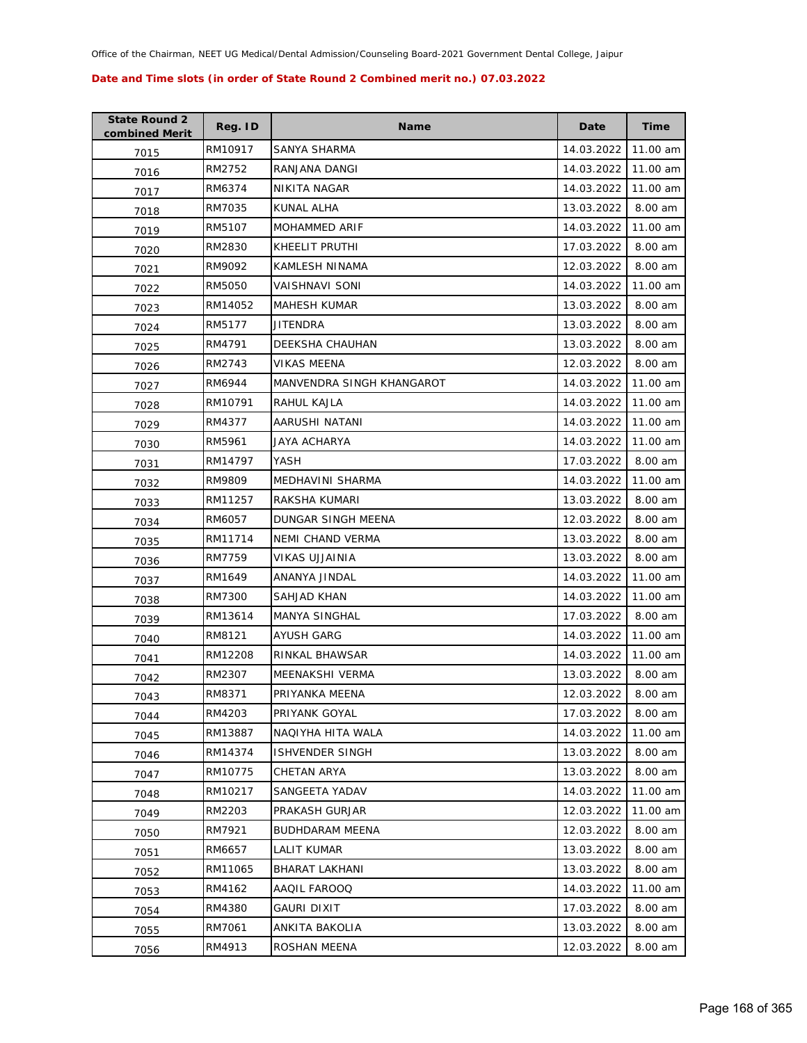| <b>State Round 2</b><br>combined Merit | Reg. ID | <b>Name</b>               | Date       | <b>Time</b> |
|----------------------------------------|---------|---------------------------|------------|-------------|
| 7015                                   | RM10917 | SANYA SHARMA              | 14.03.2022 | 11.00 am    |
| 7016                                   | RM2752  | RANJANA DANGI             | 14.03.2022 | 11.00 am    |
| 7017                                   | RM6374  | NIKITA NAGAR              | 14.03.2022 | 11.00 am    |
| 7018                                   | RM7035  | KUNAL ALHA                | 13.03.2022 | 8.00 am     |
| 7019                                   | RM5107  | <b>MOHAMMED ARIF</b>      | 14.03.2022 | 11.00 am    |
| 7020                                   | RM2830  | KHEELIT PRUTHI            | 17.03.2022 | 8.00 am     |
| 7021                                   | RM9092  | <b>KAMLESH NINAMA</b>     | 12.03.2022 | 8.00 am     |
| 7022                                   | RM5050  | VAISHNAVI SONI            | 14.03.2022 | 11.00 am    |
| 7023                                   | RM14052 | <b>MAHESH KUMAR</b>       | 13.03.2022 | 8.00 am     |
| 7024                                   | RM5177  | JITENDRA                  | 13.03.2022 | 8.00 am     |
| 7025                                   | RM4791  | DEEKSHA CHAUHAN           | 13.03.2022 | 8.00 am     |
| 7026                                   | RM2743  | VIKAS MEENA               | 12.03.2022 | 8.00 am     |
| 7027                                   | RM6944  | MANVENDRA SINGH KHANGAROT | 14.03.2022 | 11.00 am    |
| 7028                                   | RM10791 | RAHUL KAJLA               | 14.03.2022 | 11.00 am    |
| 7029                                   | RM4377  | AARUSHI NATANI            | 14.03.2022 | 11.00 am    |
| 7030                                   | RM5961  | JAYA ACHARYA              | 14.03.2022 | 11.00 am    |
| 7031                                   | RM14797 | YASH                      | 17.03.2022 | 8.00 am     |
| 7032                                   | RM9809  | MEDHAVINI SHARMA          | 14.03.2022 | 11.00 am    |
| 7033                                   | RM11257 | RAKSHA KUMARI             | 13.03.2022 | 8.00 am     |
| 7034                                   | RM6057  | DUNGAR SINGH MEENA        | 12.03.2022 | 8.00 am     |
| 7035                                   | RM11714 | NEMI CHAND VERMA          | 13.03.2022 | 8.00 am     |
| 7036                                   | RM7759  | VIKAS UJJAINIA            | 13.03.2022 | 8.00 am     |
| 7037                                   | RM1649  | ANANYA JINDAL             | 14.03.2022 | 11.00 am    |
| 7038                                   | RM7300  | SAHJAD KHAN               | 14.03.2022 | 11.00 am    |
| 7039                                   | RM13614 | MANYA SINGHAL             | 17.03.2022 | 8.00 am     |
| 7040                                   | RM8121  | <b>AYUSH GARG</b>         | 14.03.2022 | 11.00 am    |
| 7041                                   | RM12208 | RINKAL BHAWSAR            | 14.03.2022 | 11.00 am    |
| 7042                                   | RM2307  | MEENAKSHI VERMA           | 13.03.2022 | 8.00 am     |
| 7043                                   | RM8371  | PRIYANKA MEENA            | 12.03.2022 | 8.00 am     |
| 7044                                   | RM4203  | PRIYANK GOYAL             | 17.03.2022 | 8.00 am     |
| 7045                                   | RM13887 | NAQIYHA HITA WALA         | 14.03.2022 | 11.00 am    |
| 7046                                   | RM14374 | <b>ISHVENDER SINGH</b>    | 13.03.2022 | 8.00 am     |
| 7047                                   | RM10775 | CHETAN ARYA               | 13.03.2022 | 8.00 am     |
| 7048                                   | RM10217 | SANGEETA YADAV            | 14.03.2022 | 11.00 am    |
| 7049                                   | RM2203  | PRAKASH GURJAR            | 12.03.2022 | 11.00 am    |
| 7050                                   | RM7921  | <b>BUDHDARAM MEENA</b>    | 12.03.2022 | 8.00 am     |
| 7051                                   | RM6657  | LALIT KUMAR               | 13.03.2022 | 8.00 am     |
| 7052                                   | RM11065 | BHARAT LAKHANI            | 13.03.2022 | 8.00 am     |
| 7053                                   | RM4162  | AAQIL FAROOQ              | 14.03.2022 | 11.00 am    |
| 7054                                   | RM4380  | GAURI DIXIT               | 17.03.2022 | 8.00 am     |
| 7055                                   | RM7061  | ANKITA BAKOLIA            | 13.03.2022 | 8.00 am     |
| 7056                                   | RM4913  | ROSHAN MEENA              | 12.03.2022 | 8.00 am     |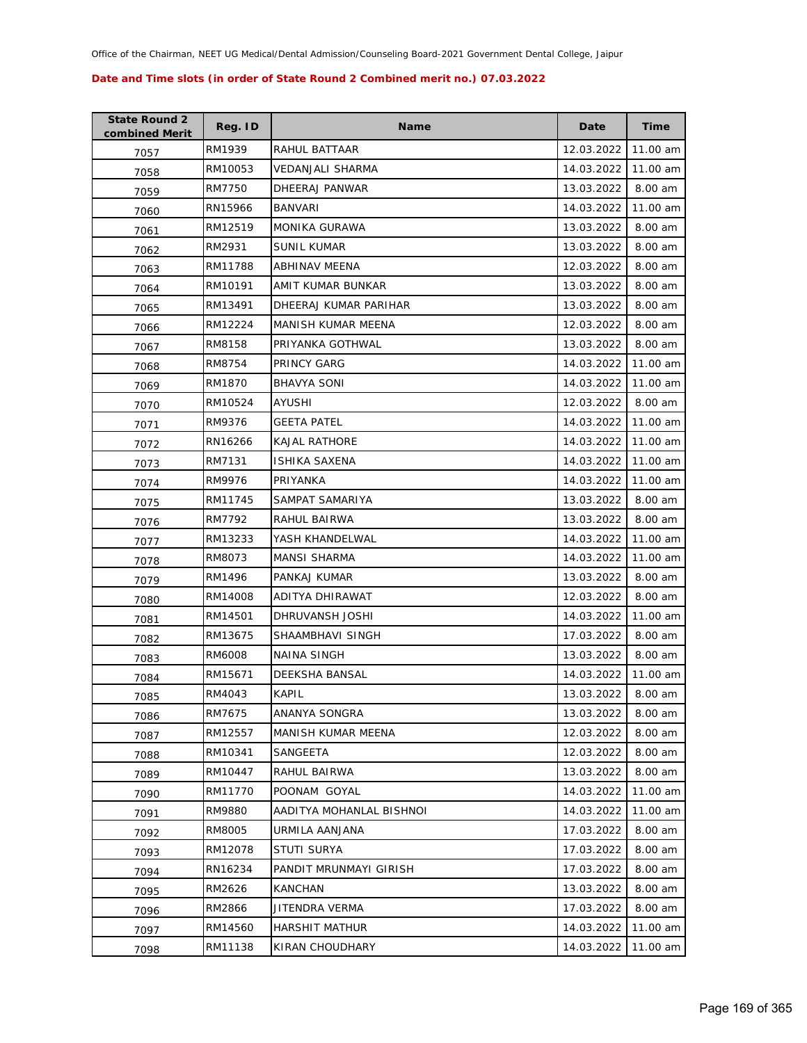| <b>State Round 2</b><br>combined Merit | Reg. ID | <b>Name</b>              | Date       | <b>Time</b> |
|----------------------------------------|---------|--------------------------|------------|-------------|
| 7057                                   | RM1939  | RAHUL BATTAAR            | 12.03.2022 | 11.00 am    |
| 7058                                   | RM10053 | VEDANJALI SHARMA         | 14.03.2022 | 11.00 am    |
| 7059                                   | RM7750  | DHEERAJ PANWAR           | 13.03.2022 | 8.00 am     |
| 7060                                   | RN15966 | <b>BANVARI</b>           | 14.03.2022 | 11.00 am    |
| 7061                                   | RM12519 | MONIKA GURAWA            | 13.03.2022 | 8.00 am     |
| 7062                                   | RM2931  | <b>SUNIL KUMAR</b>       | 13.03.2022 | 8.00 am     |
| 7063                                   | RM11788 | ABHINAV MEENA            | 12.03.2022 | 8.00 am     |
| 7064                                   | RM10191 | AMIT KUMAR BUNKAR        | 13.03.2022 | 8.00 am     |
| 7065                                   | RM13491 | DHEERAJ KUMAR PARIHAR    | 13.03.2022 | 8.00 am     |
| 7066                                   | RM12224 | MANISH KUMAR MEENA       | 12.03.2022 | 8.00 am     |
| 7067                                   | RM8158  | PRIYANKA GOTHWAL         | 13.03.2022 | 8.00 am     |
| 7068                                   | RM8754  | PRINCY GARG              | 14.03.2022 | 11.00 am    |
| 7069                                   | RM1870  | <b>BHAVYA SONI</b>       | 14.03.2022 | 11.00 am    |
| 7070                                   | RM10524 | AYUSHI                   | 12.03.2022 | 8.00 am     |
| 7071                                   | RM9376  | <b>GEETA PATEL</b>       | 14.03.2022 | 11.00 am    |
| 7072                                   | RN16266 | <b>KAJAL RATHORE</b>     | 14.03.2022 | 11.00 am    |
| 7073                                   | RM7131  | ISHIKA SAXENA            | 14.03.2022 | 11.00 am    |
| 7074                                   | RM9976  | PRIYANKA                 | 14.03.2022 | 11.00 am    |
| 7075                                   | RM11745 | SAMPAT SAMARIYA          | 13.03.2022 | 8.00 am     |
| 7076                                   | RM7792  | RAHUL BAIRWA             | 13.03.2022 | 8.00 am     |
| 7077                                   | RM13233 | YASH KHANDELWAL          | 14.03.2022 | 11.00 am    |
| 7078                                   | RM8073  | <b>MANSI SHARMA</b>      | 14.03.2022 | 11.00 am    |
| 7079                                   | RM1496  | PANKAJ KUMAR             | 13.03.2022 | 8.00 am     |
| 7080                                   | RM14008 | ADITYA DHIRAWAT          | 12.03.2022 | 8.00 am     |
| 7081                                   | RM14501 | DHRUVANSH JOSHI          | 14.03.2022 | 11.00 am    |
| 7082                                   | RM13675 | SHAAMBHAVI SINGH         | 17.03.2022 | 8.00 am     |
| 7083                                   | RM6008  | NAINA SINGH              | 13.03.2022 | 8.00 am     |
| 7084                                   | RM15671 | DEEKSHA BANSAL           | 14.03.2022 | 11.00 am    |
| 7085                                   | RM4043  | <b>KAPIL</b>             | 13.03.2022 | 8.00 am     |
| 7086                                   | RM7675  | ANANYA SONGRA            | 13.03.2022 | 8.00 am     |
| 7087                                   | RM12557 | MANISH KUMAR MEENA       | 12.03.2022 | 8.00 am     |
| 7088                                   | RM10341 | SANGEETA                 | 12.03.2022 | 8.00 am     |
| 7089                                   | RM10447 | RAHUL BAIRWA             | 13.03.2022 | 8.00 am     |
| 7090                                   | RM11770 | POONAM GOYAL             | 14.03.2022 | 11.00 am    |
| 7091                                   | RM9880  | AADITYA MOHANLAL BISHNOI | 14.03.2022 | 11.00 am    |
| 7092                                   | RM8005  | URMILA AANJANA           | 17.03.2022 | 8.00 am     |
| 7093                                   | RM12078 | <b>STUTI SURYA</b>       | 17.03.2022 | 8.00 am     |
| 7094                                   | RN16234 | PANDIT MRUNMAYI GIRISH   | 17.03.2022 | 8.00 am     |
| 7095                                   | RM2626  | <b>KANCHAN</b>           | 13.03.2022 | 8.00 am     |
| 7096                                   | RM2866  | JITENDRA VERMA           | 17.03.2022 | 8.00 am     |
| 7097                                   | RM14560 | <b>HARSHIT MATHUR</b>    | 14.03.2022 | 11.00 am    |
| 7098                                   | RM11138 | KIRAN CHOUDHARY          | 14.03.2022 | 11.00 am    |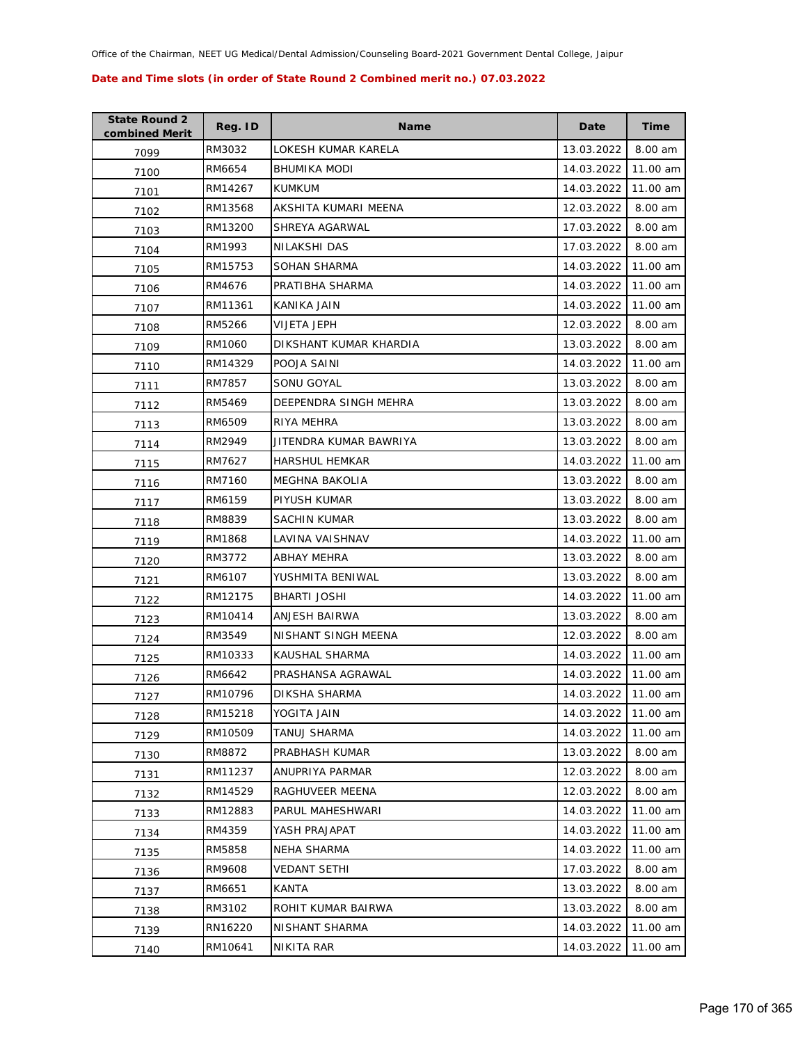| <b>State Round 2</b><br>combined Merit | Reg. ID | <b>Name</b>            | Date       | <b>Time</b> |
|----------------------------------------|---------|------------------------|------------|-------------|
| 7099                                   | RM3032  | LOKESH KUMAR KARELA    | 13.03.2022 | 8.00 am     |
| 7100                                   | RM6654  | <b>BHUMIKA MODI</b>    | 14.03.2022 | 11.00 am    |
| 7101                                   | RM14267 | <b>KUMKUM</b>          | 14.03.2022 | 11.00 am    |
| 7102                                   | RM13568 | AKSHITA KUMARI MEENA   | 12.03.2022 | 8.00 am     |
| 7103                                   | RM13200 | SHREYA AGARWAL         | 17.03.2022 | 8.00 am     |
| 7104                                   | RM1993  | NILAKSHI DAS           | 17.03.2022 | 8.00 am     |
| 7105                                   | RM15753 | SOHAN SHARMA           | 14.03.2022 | 11.00 am    |
| 7106                                   | RM4676  | PRATIBHA SHARMA        | 14.03.2022 | 11.00 am    |
| 7107                                   | RM11361 | KANIKA JAIN            | 14.03.2022 | 11.00 am    |
| 7108                                   | RM5266  | VIJETA JEPH            | 12.03.2022 | 8.00 am     |
| 7109                                   | RM1060  | DIKSHANT KUMAR KHARDIA | 13.03.2022 | 8.00 am     |
| 7110                                   | RM14329 | POOJA SAINI            | 14.03.2022 | 11.00 am    |
| 7111                                   | RM7857  | SONU GOYAL             | 13.03.2022 | 8.00 am     |
| 7112                                   | RM5469  | DEEPENDRA SINGH MEHRA  | 13.03.2022 | 8.00 am     |
| 7113                                   | RM6509  | RIYA MEHRA             | 13.03.2022 | 8.00 am     |
| 7114                                   | RM2949  | JITENDRA KUMAR BAWRIYA | 13.03.2022 | 8.00 am     |
| 7115                                   | RM7627  | <b>HARSHUL HEMKAR</b>  | 14.03.2022 | 11.00 am    |
| 7116                                   | RM7160  | MEGHNA BAKOLIA         | 13.03.2022 | 8.00 am     |
| 7117                                   | RM6159  | PIYUSH KUMAR           | 13.03.2022 | 8.00 am     |
| 7118                                   | RM8839  | SACHIN KUMAR           | 13.03.2022 | 8.00 am     |
| 7119                                   | RM1868  | LAVINA VAISHNAV        | 14.03.2022 | 11.00 am    |
| 7120                                   | RM3772  | ABHAY MEHRA            | 13.03.2022 | 8.00 am     |
| 7121                                   | RM6107  | YUSHMITA BENIWAL       | 13.03.2022 | 8.00 am     |
| 7122                                   | RM12175 | <b>BHARTI JOSHI</b>    | 14.03.2022 | 11.00 am    |
| 7123                                   | RM10414 | ANJESH BAIRWA          | 13.03.2022 | 8.00 am     |
| 7124                                   | RM3549  | NISHANT SINGH MEENA    | 12.03.2022 | 8.00 am     |
| 7125                                   | RM10333 | KAUSHAL SHARMA         | 14.03.2022 | 11.00 am    |
| 7126                                   | RM6642  | PRASHANSA AGRAWAL      | 14.03.2022 | 11.00 am    |
| 7127                                   | RM10796 | DIKSHA SHARMA          | 14.03.2022 | 11.00 am    |
| 7128                                   | RM15218 | YOGITA JAIN            | 14.03.2022 | 11.00 am    |
| 7129                                   | RM10509 | TANUJ SHARMA           | 14.03.2022 | 11.00 am    |
| 7130                                   | RM8872  | PRABHASH KUMAR         | 13.03.2022 | 8.00 am     |
| 7131                                   | RM11237 | ANUPRIYA PARMAR        | 12.03.2022 | 8.00 am     |
| 7132                                   | RM14529 | RAGHUVEER MEENA        | 12.03.2022 | 8.00 am     |
| 7133                                   | RM12883 | PARUL MAHESHWARI       | 14.03.2022 | 11.00 am    |
| 7134                                   | RM4359  | YASH PRAJAPAT          | 14.03.2022 | 11.00 am    |
| 7135                                   | RM5858  | NEHA SHARMA            | 14.03.2022 | 11.00 am    |
| 7136                                   | RM9608  | VEDANT SETHI           | 17.03.2022 | 8.00 am     |
| 7137                                   | RM6651  | KANTA                  | 13.03.2022 | 8.00 am     |
| 7138                                   | RM3102  | ROHIT KUMAR BAIRWA     | 13.03.2022 | 8.00 am     |
| 7139                                   | RN16220 | NISHANT SHARMA         | 14.03.2022 | 11.00 am    |
| 7140                                   | RM10641 | NIKITA RAR             | 14.03.2022 | 11.00 am    |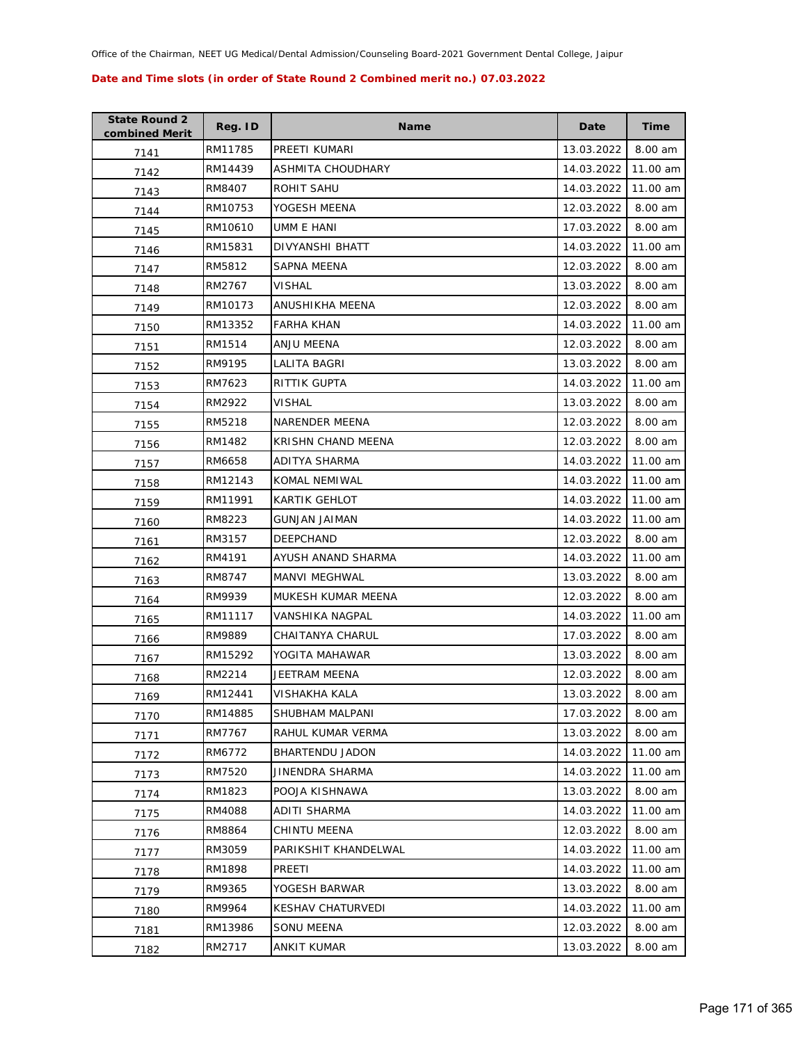| <b>State Round 2</b><br>combined Merit | Reg. ID | <b>Name</b>            | Date       | <b>Time</b> |
|----------------------------------------|---------|------------------------|------------|-------------|
| 7141                                   | RM11785 | PREETI KUMARI          | 13.03.2022 | 8.00 am     |
| 7142                                   | RM14439 | ASHMITA CHOUDHARY      | 14.03.2022 | 11.00 am    |
| 7143                                   | RM8407  | ROHIT SAHU             | 14.03.2022 | 11.00 am    |
| 7144                                   | RM10753 | YOGESH MEENA           | 12.03.2022 | 8.00 am     |
| 7145                                   | RM10610 | UMM E HANI             | 17.03.2022 | 8.00 am     |
| 7146                                   | RM15831 | DIVYANSHI BHATT        | 14.03.2022 | 11.00 am    |
| 7147                                   | RM5812  | SAPNA MEENA            | 12.03.2022 | 8.00 am     |
| 7148                                   | RM2767  | <b>VISHAL</b>          | 13.03.2022 | 8.00 am     |
| 7149                                   | RM10173 | ANUSHIKHA MEENA        | 12.03.2022 | 8.00 am     |
| 7150                                   | RM13352 | <b>FARHA KHAN</b>      | 14.03.2022 | 11.00 am    |
| 7151                                   | RM1514  | ANJU MEENA             | 12.03.2022 | 8.00 am     |
| 7152                                   | RM9195  | LALITA BAGRI           | 13.03.2022 | 8.00 am     |
| 7153                                   | RM7623  | RITTIK GUPTA           | 14.03.2022 | 11.00 am    |
| 7154                                   | RM2922  | VISHAL                 | 13.03.2022 | 8.00 am     |
| 7155                                   | RM5218  | NARENDER MEENA         | 12.03.2022 | 8.00 am     |
| 7156                                   | RM1482  | KRISHN CHAND MEENA     | 12.03.2022 | 8.00 am     |
| 7157                                   | RM6658  | ADITYA SHARMA          | 14.03.2022 | 11.00 am    |
| 7158                                   | RM12143 | KOMAL NEMIWAL          | 14.03.2022 | 11.00 am    |
| 7159                                   | RM11991 | KARTIK GEHLOT          | 14.03.2022 | 11.00 am    |
| 7160                                   | RM8223  | <b>GUNJAN JAIMAN</b>   | 14.03.2022 | 11.00 am    |
| 7161                                   | RM3157  | <b>DEEPCHAND</b>       | 12.03.2022 | 8.00 am     |
| 7162                                   | RM4191  | AYUSH ANAND SHARMA     | 14.03.2022 | 11.00 am    |
| 7163                                   | RM8747  | MANVI MEGHWAL          | 13.03.2022 | 8.00 am     |
| 7164                                   | RM9939  | MUKESH KUMAR MEENA     | 12.03.2022 | 8.00 am     |
| 7165                                   | RM11117 | VANSHIKA NAGPAL        | 14.03.2022 | 11.00 am    |
| 7166                                   | RM9889  | CHAITANYA CHARUL       | 17.03.2022 | 8.00 am     |
| 7167                                   | RM15292 | YOGITA MAHAWAR         | 13.03.2022 | 8.00 am     |
| 7168                                   | RM2214  | JEETRAM MEENA          | 12.03.2022 | 8.00 am     |
| 7169                                   | RM12441 | VISHAKHA KALA          | 13.03.2022 | 8.00 am     |
| 7170                                   | RM14885 | SHUBHAM MALPANI        | 17.03.2022 | 8.00 am     |
| 7171                                   | RM7767  | RAHUL KUMAR VERMA      | 13.03.2022 | 8.00 am     |
| 7172                                   | RM6772  | BHARTENDU JADON        | 14.03.2022 | 11.00 am    |
| 7173                                   | RM7520  | <b>JINENDRA SHARMA</b> | 14.03.2022 | 11.00 am    |
| 7174                                   | RM1823  | POOJA KISHNAWA         | 13.03.2022 | 8.00 am     |
| 7175                                   | RM4088  | ADITI SHARMA           | 14.03.2022 | 11.00 am    |
| 7176                                   | RM8864  | CHINTU MEENA           | 12.03.2022 | 8.00 am     |
| 7177                                   | RM3059  | PARIKSHIT KHANDELWAL   | 14.03.2022 | 11.00 am    |
| 7178                                   | RM1898  | PREETI                 | 14.03.2022 | 11.00 am    |
| 7179                                   | RM9365  | YOGESH BARWAR          | 13.03.2022 | 8.00 am     |
| 7180                                   | RM9964  | KESHAV CHATURVEDI      | 14.03.2022 | 11.00 am    |
| 7181                                   | RM13986 | SONU MEENA             | 12.03.2022 | 8.00 am     |
| 7182                                   | RM2717  | ANKIT KUMAR            | 13.03.2022 | 8.00 am     |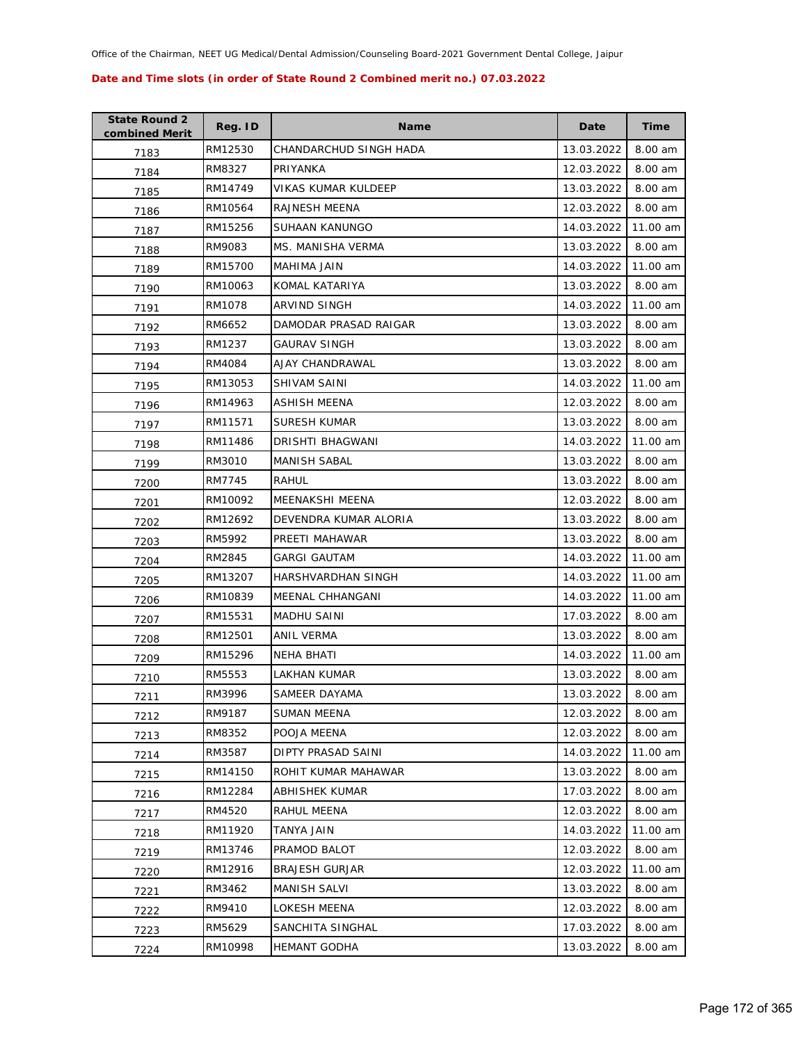| <b>State Round 2</b><br>combined Merit | Reg. ID | <b>Name</b>            | Date       | <b>Time</b> |
|----------------------------------------|---------|------------------------|------------|-------------|
| 7183                                   | RM12530 | CHANDARCHUD SINGH HADA | 13.03.2022 | 8.00 am     |
| 7184                                   | RM8327  | PRIYANKA               | 12.03.2022 | 8.00 am     |
| 7185                                   | RM14749 | VIKAS KUMAR KULDEEP    | 13.03.2022 | 8.00 am     |
| 7186                                   | RM10564 | RAJNESH MEENA          | 12.03.2022 | 8.00 am     |
| 7187                                   | RM15256 | SUHAAN KANUNGO         | 14.03.2022 | 11.00 am    |
| 7188                                   | RM9083  | MS. MANISHA VERMA      | 13.03.2022 | 8.00 am     |
| 7189                                   | RM15700 | MAHIMA JAIN            | 14.03.2022 | 11.00 am    |
| 7190                                   | RM10063 | KOMAL KATARIYA         | 13.03.2022 | 8.00 am     |
| 7191                                   | RM1078  | ARVIND SINGH           | 14.03.2022 | 11.00 am    |
| 7192                                   | RM6652  | DAMODAR PRASAD RAIGAR  | 13.03.2022 | 8.00 am     |
| 7193                                   | RM1237  | <b>GAURAV SINGH</b>    | 13.03.2022 | 8.00 am     |
| 7194                                   | RM4084  | AJAY CHANDRAWAL        | 13.03.2022 | 8.00 am     |
| 7195                                   | RM13053 | SHIVAM SAINI           | 14.03.2022 | 11.00 am    |
| 7196                                   | RM14963 | ASHISH MEENA           | 12.03.2022 | 8.00 am     |
| 7197                                   | RM11571 | SURESH KUMAR           | 13.03.2022 | 8.00 am     |
| 7198                                   | RM11486 | DRISHTI BHAGWANI       | 14.03.2022 | 11.00 am    |
| 7199                                   | RM3010  | <b>MANISH SABAL</b>    | 13.03.2022 | 8.00 am     |
| 7200                                   | RM7745  | RAHUL                  | 13.03.2022 | 8.00 am     |
| 7201                                   | RM10092 | MEENAKSHI MEENA        | 12.03.2022 | 8.00 am     |
| 7202                                   | RM12692 | DEVENDRA KUMAR ALORIA  | 13.03.2022 | 8.00 am     |
| 7203                                   | RM5992  | PREETI MAHAWAR         | 13.03.2022 | 8.00 am     |
| 7204                                   | RM2845  | GARGI GAUTAM           | 14.03.2022 | 11.00 am    |
| 7205                                   | RM13207 | HARSHVARDHAN SINGH     | 14.03.2022 | 11.00 am    |
| 7206                                   | RM10839 | MEENAL CHHANGANI       | 14.03.2022 | 11.00 am    |
| 7207                                   | RM15531 | <b>MADHU SAINI</b>     | 17.03.2022 | 8.00 am     |
| 7208                                   | RM12501 | ANIL VERMA             | 13.03.2022 | 8.00 am     |
| 7209                                   | RM15296 | NEHA BHATI             | 14.03.2022 | 11.00 am    |
| 7210                                   | RM5553  | LAKHAN KUMAR           | 13.03.2022 | 8.00 am     |
| 7211                                   | RM3996  | SAMEER DAYAMA          | 13.03.2022 | 8.00 am     |
| 7212                                   | RM9187  | SUMAN MEENA            | 12.03.2022 | 8.00 am     |
| 7213                                   | RM8352  | POOJA MEENA            | 12.03.2022 | 8.00 am     |
| 7214                                   | RM3587  | DIPTY PRASAD SAINI     | 14.03.2022 | 11.00 am    |
| 7215                                   | RM14150 | ROHIT KUMAR MAHAWAR    | 13.03.2022 | 8.00 am     |
| 7216                                   | RM12284 | ABHISHEK KUMAR         | 17.03.2022 | 8.00 am     |
| 7217                                   | RM4520  | RAHUL MEENA            | 12.03.2022 | $8.00$ am   |
| 7218                                   | RM11920 | TANYA JAIN             | 14.03.2022 | 11.00 am    |
| 7219                                   | RM13746 | PRAMOD BALOT           | 12.03.2022 | 8.00 am     |
| 7220                                   | RM12916 | <b>BRAJESH GURJAR</b>  | 12.03.2022 | 11.00 am    |
| 7221                                   | RM3462  | MANISH SALVI           | 13.03.2022 | 8.00 am     |
| 7222                                   | RM9410  | LOKESH MEENA           | 12.03.2022 | 8.00 am     |
| 7223                                   | RM5629  | SANCHITA SINGHAL       | 17.03.2022 | 8.00 am     |
| 7224                                   | RM10998 | <b>HEMANT GODHA</b>    | 13.03.2022 | 8.00 am     |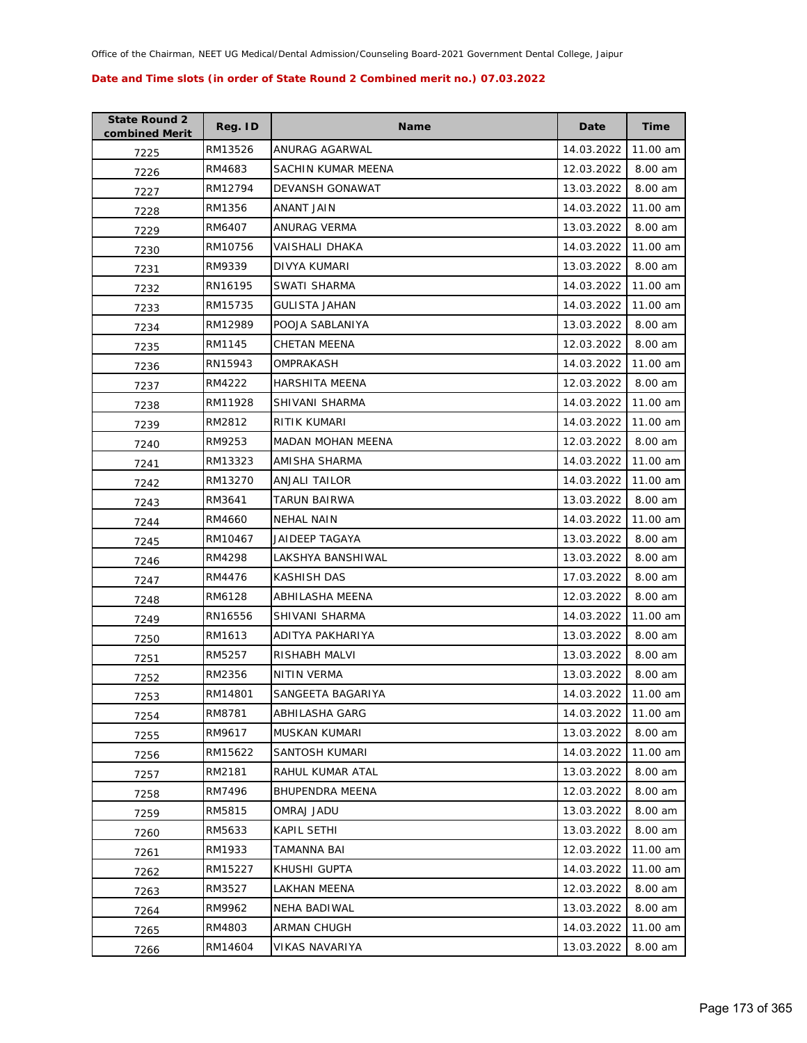| <b>State Round 2</b><br>combined Merit | Reg. ID | <b>Name</b>              | Date       | Time     |
|----------------------------------------|---------|--------------------------|------------|----------|
| 7225                                   | RM13526 | ANURAG AGARWAL           | 14.03.2022 | 11.00 am |
| 7226                                   | RM4683  | SACHIN KUMAR MEENA       | 12.03.2022 | 8.00 am  |
| 7227                                   | RM12794 | <b>DEVANSH GONAWAT</b>   | 13.03.2022 | 8.00 am  |
| 7228                                   | RM1356  | <b>ANANT JAIN</b>        | 14.03.2022 | 11.00 am |
| 7229                                   | RM6407  | ANURAG VERMA             | 13.03.2022 | 8.00 am  |
| 7230                                   | RM10756 | VAISHALI DHAKA           | 14.03.2022 | 11.00 am |
| 7231                                   | RM9339  | DIVYA KUMARI             | 13.03.2022 | 8.00 am  |
| 7232                                   | RN16195 | SWATI SHARMA             | 14.03.2022 | 11.00 am |
| 7233                                   | RM15735 | <b>GULISTA JAHAN</b>     | 14.03.2022 | 11.00 am |
| 7234                                   | RM12989 | POOJA SABLANIYA          | 13.03.2022 | 8.00 am  |
| 7235                                   | RM1145  | CHETAN MEENA             | 12.03.2022 | 8.00 am  |
| 7236                                   | RN15943 | OMPRAKASH                | 14.03.2022 | 11.00 am |
| 7237                                   | RM4222  | <b>HARSHITA MEENA</b>    | 12.03.2022 | 8.00 am  |
| 7238                                   | RM11928 | SHIVANI SHARMA           | 14.03.2022 | 11.00 am |
| 7239                                   | RM2812  | RITIK KUMARI             | 14.03.2022 | 11.00 am |
| 7240                                   | RM9253  | <b>MADAN MOHAN MEENA</b> | 12.03.2022 | 8.00 am  |
| 7241                                   | RM13323 | AMISHA SHARMA            | 14.03.2022 | 11.00 am |
| 7242                                   | RM13270 | ANJALI TAILOR            | 14.03.2022 | 11.00 am |
| 7243                                   | RM3641  | TARUN BAIRWA             | 13.03.2022 | 8.00 am  |
| 7244                                   | RM4660  | <b>NEHAL NAIN</b>        | 14.03.2022 | 11.00 am |
| 7245                                   | RM10467 | <b>JAIDEEP TAGAYA</b>    | 13.03.2022 | 8.00 am  |
| 7246                                   | RM4298  | LAKSHYA BANSHIWAL        | 13.03.2022 | 8.00 am  |
| 7247                                   | RM4476  | KASHISH DAS              | 17.03.2022 | 8.00 am  |
| 7248                                   | RM6128  | ABHILASHA MEENA          | 12.03.2022 | 8.00 am  |
| 7249                                   | RN16556 | SHIVANI SHARMA           | 14.03.2022 | 11.00 am |
| 7250                                   | RM1613  | ADITYA PAKHARIYA         | 13.03.2022 | 8.00 am  |
| 7251                                   | RM5257  | RISHABH MALVI            | 13.03.2022 | 8.00 am  |
| 7252                                   | RM2356  | NITIN VERMA              | 13.03.2022 | 8.00 am  |
| 7253                                   | RM14801 | SANGEETA BAGARIYA        | 14.03.2022 | 11.00 am |
| 7254                                   | RM8781  | ABHILASHA GARG           | 14.03.2022 | 11.00 am |
| 7255                                   | RM9617  | MUSKAN KUMARI            | 13.03.2022 | 8.00 am  |
| 7256                                   | RM15622 | SANTOSH KUMARI           | 14.03.2022 | 11.00 am |
| 7257                                   | RM2181  | RAHUL KUMAR ATAL         | 13.03.2022 | 8.00 am  |
| 7258                                   | RM7496  | BHUPENDRA MEENA          | 12.03.2022 | 8.00 am  |
| 7259                                   | RM5815  | OMRAJ JADU               | 13.03.2022 | 8.00 am  |
| 7260                                   | RM5633  | KAPIL SETHI              | 13.03.2022 | 8.00 am  |
| 7261                                   | RM1933  | <b>TAMANNA BAI</b>       | 12.03.2022 | 11.00 am |
| 7262                                   | RM15227 | KHUSHI GUPTA             | 14.03.2022 | 11.00 am |
| 7263                                   | RM3527  | LAKHAN MEENA             | 12.03.2022 | 8.00 am  |
| 7264                                   | RM9962  | NEHA BADIWAL             | 13.03.2022 | 8.00 am  |
| 7265                                   | RM4803  | ARMAN CHUGH              | 14.03.2022 | 11.00 am |
| 7266                                   | RM14604 | VIKAS NAVARIYA           | 13.03.2022 | 8.00 am  |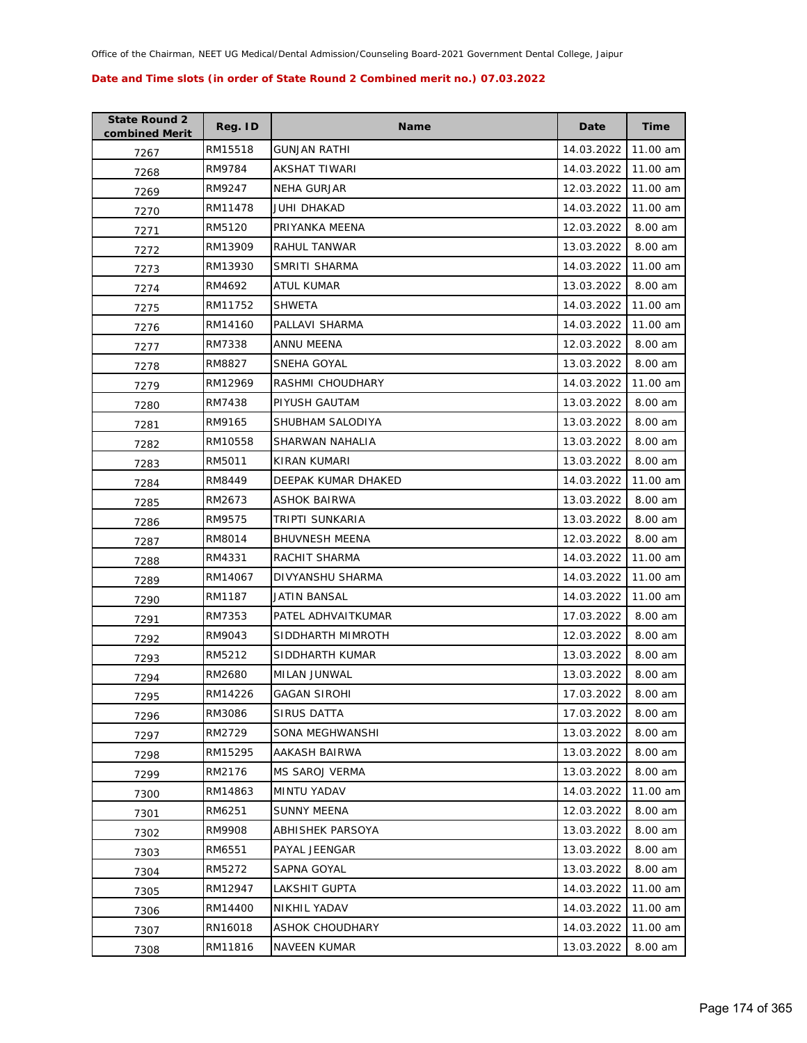| <b>State Round 2</b><br>combined Merit | Reg. ID | <b>Name</b>             | Date       | <b>Time</b> |
|----------------------------------------|---------|-------------------------|------------|-------------|
| 7267                                   | RM15518 | GUNJAN RATHI            | 14.03.2022 | 11.00 am    |
| 7268                                   | RM9784  | AKSHAT TIWARI           | 14.03.2022 | 11.00 am    |
| 7269                                   | RM9247  | NEHA GURJAR             | 12.03.2022 | 11.00 am    |
| 7270                                   | RM11478 | JUHI DHAKAD             | 14.03.2022 | 11.00 am    |
| 7271                                   | RM5120  | PRIYANKA MEENA          | 12.03.2022 | 8.00 am     |
| 7272                                   | RM13909 | RAHUL TANWAR            | 13.03.2022 | 8.00 am     |
| 7273                                   | RM13930 | SMRITI SHARMA           | 14.03.2022 | 11.00 am    |
| 7274                                   | RM4692  | ATUL KUMAR              | 13.03.2022 | 8.00 am     |
| 7275                                   | RM11752 | <b>SHWETA</b>           | 14.03.2022 | 11.00 am    |
| 7276                                   | RM14160 | PALLAVI SHARMA          | 14.03.2022 | 11.00 am    |
| 7277                                   | RM7338  | ANNU MEENA              | 12.03.2022 | 8.00 am     |
| 7278                                   | RM8827  | SNEHA GOYAL             | 13.03.2022 | 8.00 am     |
| 7279                                   | RM12969 | RASHMI CHOUDHARY        | 14.03.2022 | 11.00 am    |
| 7280                                   | RM7438  | PIYUSH GAUTAM           | 13.03.2022 | 8.00 am     |
| 7281                                   | RM9165  | SHUBHAM SALODIYA        | 13.03.2022 | 8.00 am     |
| 7282                                   | RM10558 | SHARWAN NAHALIA         | 13.03.2022 | 8.00 am     |
| 7283                                   | RM5011  | KIRAN KUMARI            | 13.03.2022 | 8.00 am     |
| 7284                                   | RM8449  | DEEPAK KUMAR DHAKED     | 14.03.2022 | 11.00 am    |
| 7285                                   | RM2673  | ASHOK BAIRWA            | 13.03.2022 | 8.00 am     |
| 7286                                   | RM9575  | TRIPTI SUNKARIA         | 13.03.2022 | 8.00 am     |
| 7287                                   | RM8014  | <b>BHUVNESH MEENA</b>   | 12.03.2022 | 8.00 am     |
| 7288                                   | RM4331  | RACHIT SHARMA           | 14.03.2022 | 11.00 am    |
| 7289                                   | RM14067 | DIVYANSHU SHARMA        | 14.03.2022 | 11.00 am    |
| 7290                                   | RM1187  | JATIN BANSAL            | 14.03.2022 | 11.00 am    |
| 7291                                   | RM7353  | PATEL ADHVAITKUMAR      | 17.03.2022 | 8.00 am     |
| 7292                                   | RM9043  | SIDDHARTH MIMROTH       | 12.03.2022 | 8.00 am     |
| 7293                                   | RM5212  | SIDDHARTH KUMAR         | 13.03.2022 | 8.00 am     |
| 7294                                   | RM2680  | MILAN JUNWAL            | 13.03.2022 | 8.00 am     |
| 7295                                   | RM14226 | <b>GAGAN SIROHI</b>     | 17.03.2022 | 8.00 am     |
| 7296                                   | RM3086  | SIRUS DATTA             | 17.03.2022 | 8.00 am     |
| 7297                                   | RM2729  | SONA MEGHWANSHI         | 13.03.2022 | 8.00 am     |
| 7298                                   | RM15295 | AAKASH BAIRWA           | 13.03.2022 | 8.00 am     |
| 7299                                   | RM2176  | <b>MS SAROJ VERMA</b>   | 13.03.2022 | 8.00 am     |
| 7300                                   | RM14863 | <b>MINTU YADAV</b>      | 14.03.2022 | 11.00 am    |
| 7301                                   | RM6251  | <b>SUNNY MEENA</b>      | 12.03.2022 | 8.00 am     |
| 7302                                   | RM9908  | <b>ABHISHEK PARSOYA</b> | 13.03.2022 | 8.00 am     |
| 7303                                   | RM6551  | PAYAL JEENGAR           | 13.03.2022 | 8.00 am     |
| 7304                                   | RM5272  | SAPNA GOYAL             | 13.03.2022 | 8.00 am     |
| 7305                                   | RM12947 | LAKSHIT GUPTA           | 14.03.2022 | 11.00 am    |
| 7306                                   | RM14400 | NIKHIL YADAV            | 14.03.2022 | 11.00 am    |
| 7307                                   | RN16018 | ASHOK CHOUDHARY         | 14.03.2022 | 11.00 am    |
| 7308                                   | RM11816 | <b>NAVEEN KUMAR</b>     | 13.03.2022 | 8.00 am     |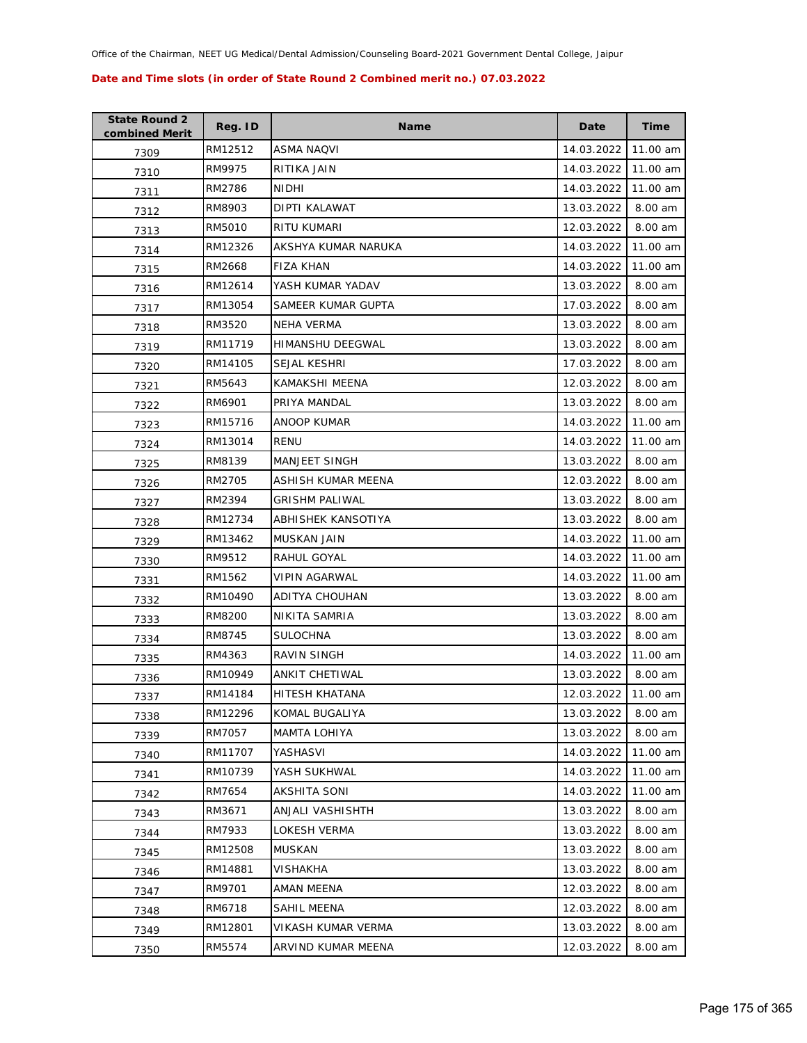| <b>State Round 2</b><br>combined Merit | Reg. ID | <b>Name</b>           | Date       | <b>Time</b> |
|----------------------------------------|---------|-----------------------|------------|-------------|
| 7309                                   | RM12512 | ASMA NAQVI            | 14.03.2022 | 11.00 am    |
| 7310                                   | RM9975  | RITIKA JAIN           | 14.03.2022 | 11.00 am    |
| 7311                                   | RM2786  | NIDHI                 | 14.03.2022 | 11.00 am    |
| 7312                                   | RM8903  | <b>DIPTI KALAWAT</b>  | 13.03.2022 | 8.00 am     |
| 7313                                   | RM5010  | RITU KUMARI           | 12.03.2022 | 8.00 am     |
| 7314                                   | RM12326 | AKSHYA KUMAR NARUKA   | 14.03.2022 | 11.00 am    |
| 7315                                   | RM2668  | <b>FIZA KHAN</b>      | 14.03.2022 | 11.00 am    |
| 7316                                   | RM12614 | YASH KUMAR YADAV      | 13.03.2022 | 8.00 am     |
| 7317                                   | RM13054 | SAMEER KUMAR GUPTA    | 17.03.2022 | 8.00 am     |
| 7318                                   | RM3520  | NEHA VERMA            | 13.03.2022 | 8.00 am     |
| 7319                                   | RM11719 | HIMANSHU DEEGWAL      | 13.03.2022 | 8.00 am     |
| 7320                                   | RM14105 | SEJAL KESHRI          | 17.03.2022 | 8.00 am     |
| 7321                                   | RM5643  | KAMAKSHI MEENA        | 12.03.2022 | 8.00 am     |
| 7322                                   | RM6901  | PRIYA MANDAL          | 13.03.2022 | 8.00 am     |
| 7323                                   | RM15716 | ANOOP KUMAR           | 14.03.2022 | 11.00 am    |
| 7324                                   | RM13014 | RENU                  | 14.03.2022 | 11.00 am    |
| 7325                                   | RM8139  | <b>MANJEET SINGH</b>  | 13.03.2022 | 8.00 am     |
| 7326                                   | RM2705  | ASHISH KUMAR MEENA    | 12.03.2022 | 8.00 am     |
| 7327                                   | RM2394  | <b>GRISHM PALIWAL</b> | 13.03.2022 | 8.00 am     |
| 7328                                   | RM12734 | ABHISHEK KANSOTIYA    | 13.03.2022 | 8.00 am     |
| 7329                                   | RM13462 | MUSKAN JAIN           | 14.03.2022 | 11.00 am    |
| 7330                                   | RM9512  | RAHUL GOYAL           | 14.03.2022 | 11.00 am    |
| 7331                                   | RM1562  | VIPIN AGARWAL         | 14.03.2022 | 11.00 am    |
| 7332                                   | RM10490 | ADITYA CHOUHAN        | 13.03.2022 | 8.00 am     |
| 7333                                   | RM8200  | NIKITA SAMRIA         | 13.03.2022 | 8.00 am     |
| 7334                                   | RM8745  | <b>SULOCHNA</b>       | 13.03.2022 | 8.00 am     |
| 7335                                   | RM4363  | RAVIN SINGH           | 14.03.2022 | 11.00 am    |
| 7336                                   | RM10949 | <b>ANKIT CHETIWAL</b> | 13.03.2022 | 8.00 am     |
| 7337                                   | RM14184 | <b>HITESH KHATANA</b> | 12.03.2022 | 11.00 am    |
| 7338                                   | RM12296 | KOMAL BUGALIYA        | 13.03.2022 | 8.00 am     |
| 7339                                   | RM7057  | <b>MAMTA LOHIYA</b>   | 13.03.2022 | 8.00 am     |
| 7340                                   | RM11707 | YASHASVI              | 14.03.2022 | 11.00 am    |
| 7341                                   | RM10739 | YASH SUKHWAL          | 14.03.2022 | 11.00 am    |
| 7342                                   | RM7654  | AKSHITA SONI          | 14.03.2022 | 11.00 am    |
| 7343                                   | RM3671  | ANJALI VASHISHTH      | 13.03.2022 | 8.00 am     |
| 7344                                   | RM7933  | LOKESH VERMA          | 13.03.2022 | 8.00 am     |
| 7345                                   | RM12508 | <b>MUSKAN</b>         | 13.03.2022 | 8.00 am     |
| 7346                                   | RM14881 | VISHAKHA              | 13.03.2022 | 8.00 am     |
| 7347                                   | RM9701  | AMAN MEENA            | 12.03.2022 | 8.00 am     |
| 7348                                   | RM6718  | SAHIL MEENA           | 12.03.2022 | 8.00 am     |
| 7349                                   | RM12801 | VIKASH KUMAR VERMA    | 13.03.2022 | 8.00 am     |
| 7350                                   | RM5574  | ARVIND KUMAR MEENA    | 12.03.2022 | 8.00 am     |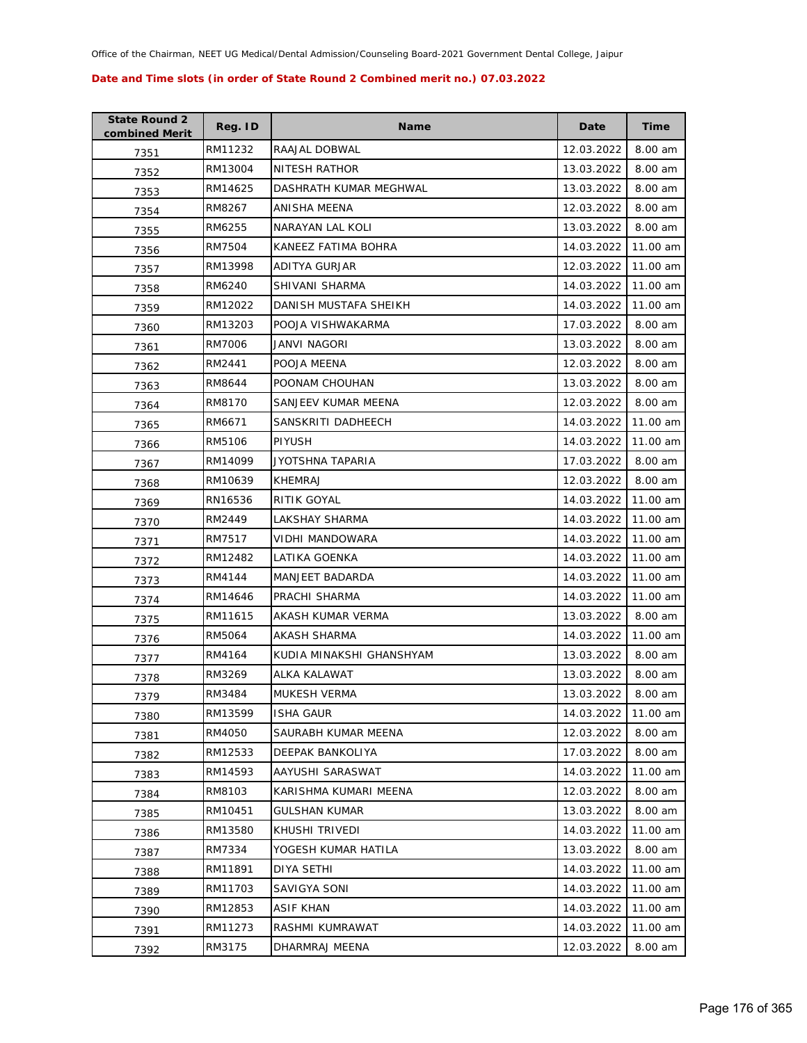| <b>State Round 2</b><br>combined Merit | Reg. ID | <b>Name</b>              | Date       | <b>Time</b> |
|----------------------------------------|---------|--------------------------|------------|-------------|
| 7351                                   | RM11232 | RAAJAL DOBWAL            | 12.03.2022 | 8.00 am     |
| 7352                                   | RM13004 | NITESH RATHOR            | 13.03.2022 | 8.00 am     |
| 7353                                   | RM14625 | DASHRATH KUMAR MEGHWAL   | 13.03.2022 | 8.00 am     |
| 7354                                   | RM8267  | ANISHA MEENA             | 12.03.2022 | 8.00 am     |
| 7355                                   | RM6255  | NARAYAN LAL KOLI         | 13.03.2022 | 8.00 am     |
| 7356                                   | RM7504  | KANEEZ FATIMA BOHRA      | 14.03.2022 | 11.00 am    |
| 7357                                   | RM13998 | ADITYA GURJAR            | 12.03.2022 | 11.00 am    |
| 7358                                   | RM6240  | SHIVANI SHARMA           | 14.03.2022 | 11.00 am    |
| 7359                                   | RM12022 | DANISH MUSTAFA SHEIKH    | 14.03.2022 | 11.00 am    |
| 7360                                   | RM13203 | POOJA VISHWAKARMA        | 17.03.2022 | 8.00 am     |
| 7361                                   | RM7006  | JANVI NAGORI             | 13.03.2022 | 8.00 am     |
| 7362                                   | RM2441  | POOJA MEENA              | 12.03.2022 | 8.00 am     |
| 7363                                   | RM8644  | POONAM CHOUHAN           | 13.03.2022 | 8.00 am     |
| 7364                                   | RM8170  | SANJEEV KUMAR MEENA      | 12.03.2022 | 8.00 am     |
| 7365                                   | RM6671  | SANSKRITI DADHEECH       | 14.03.2022 | 11.00 am    |
| 7366                                   | RM5106  | <b>PIYUSH</b>            | 14.03.2022 | 11.00 am    |
| 7367                                   | RM14099 | JYOTSHNA TAPARIA         | 17.03.2022 | 8.00 am     |
| 7368                                   | RM10639 | <b>KHEMRAJ</b>           | 12.03.2022 | 8.00 am     |
| 7369                                   | RN16536 | RITIK GOYAL              | 14.03.2022 | 11.00 am    |
| 7370                                   | RM2449  | LAKSHAY SHARMA           | 14.03.2022 | 11.00 am    |
| 7371                                   | RM7517  | VIDHI MANDOWARA          | 14.03.2022 | 11.00 am    |
| 7372                                   | RM12482 | LATIKA GOENKA            | 14.03.2022 | 11.00 am    |
| 7373                                   | RM4144  | MANJEET BADARDA          | 14.03.2022 | 11.00 am    |
| 7374                                   | RM14646 | PRACHI SHARMA            | 14.03.2022 | 11.00 am    |
| 7375                                   | RM11615 | AKASH KUMAR VERMA        | 13.03.2022 | 8.00 am     |
| 7376                                   | RM5064  | <b>AKASH SHARMA</b>      | 14.03.2022 | 11.00 am    |
| 7377                                   | RM4164  | KUDIA MINAKSHI GHANSHYAM | 13.03.2022 | 8.00 am     |
| 7378                                   | RM3269  | ALKA KALAWAT             | 13.03.2022 | 8.00 am     |
| 7379                                   | RM3484  | MUKESH VERMA             | 13.03.2022 | 8.00 am     |
| 7380                                   | RM13599 | <b>ISHA GAUR</b>         | 14.03.2022 | 11.00 am    |
| 7381                                   | RM4050  | SAURABH KUMAR MEENA      | 12.03.2022 | 8.00 am     |
| 7382                                   | RM12533 | DEEPAK BANKOLIYA         | 17.03.2022 | 8.00 am     |
| 7383                                   | RM14593 | AAYUSHI SARASWAT         | 14.03.2022 | 11.00 am    |
| 7384                                   | RM8103  | KARISHMA KUMARI MEENA    | 12.03.2022 | 8.00 am     |
| 7385                                   | RM10451 | <b>GULSHAN KUMAR</b>     | 13.03.2022 | 8.00 am     |
| 7386                                   | RM13580 | KHUSHI TRIVEDI           | 14.03.2022 | 11.00 am    |
| 7387                                   | RM7334  | YOGESH KUMAR HATILA      | 13.03.2022 | 8.00 am     |
| 7388                                   | RM11891 | DIYA SETHI               | 14.03.2022 | 11.00 am    |
| 7389                                   | RM11703 | SAVIGYA SONI             | 14.03.2022 | 11.00 am    |
| 7390                                   | RM12853 | ASIF KHAN                | 14.03.2022 | 11.00 am    |
| 7391                                   | RM11273 | RASHMI KUMRAWAT          | 14.03.2022 | 11.00 am    |
| 7392                                   | RM3175  | DHARMRAJ MEENA           | 12.03.2022 | 8.00 am     |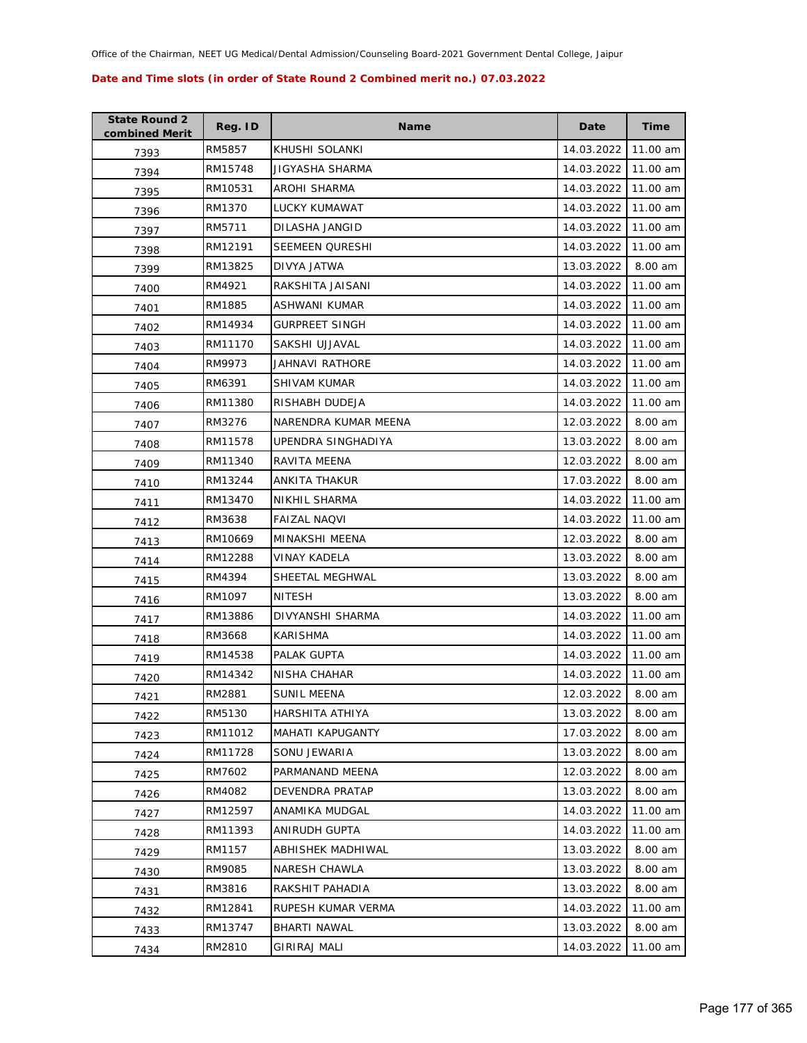| <b>State Round 2</b><br>combined Merit | Reg. ID | <b>Name</b>              | Date       | <b>Time</b> |
|----------------------------------------|---------|--------------------------|------------|-------------|
| 7393                                   | RM5857  | KHUSHI SOLANKI           | 14.03.2022 | 11.00 am    |
| 7394                                   | RM15748 | JIGYASHA SHARMA          | 14.03.2022 | 11.00 am    |
| 7395                                   | RM10531 | AROHI SHARMA             | 14.03.2022 | 11.00 am    |
| 7396                                   | RM1370  | LUCKY KUMAWAT            | 14.03.2022 | 11.00 am    |
| 7397                                   | RM5711  | DILASHA JANGID           | 14.03.2022 | 11.00 am    |
| 7398                                   | RM12191 | <b>SEEMEEN QURESHI</b>   | 14.03.2022 | 11.00 am    |
| 7399                                   | RM13825 | DIVYA JATWA              | 13.03.2022 | 8.00 am     |
| 7400                                   | RM4921  | RAKSHITA JAISANI         | 14.03.2022 | 11.00 am    |
| 7401                                   | RM1885  | ASHWANI KUMAR            | 14.03.2022 | 11.00 am    |
| 7402                                   | RM14934 | <b>GURPREET SINGH</b>    | 14.03.2022 | 11.00 am    |
| 7403                                   | RM11170 | SAKSHI UJJAVAL           | 14.03.2022 | 11.00 am    |
| 7404                                   | RM9973  | JAHNAVI RATHORE          | 14.03.2022 | 11.00 am    |
| 7405                                   | RM6391  | <b>SHIVAM KUMAR</b>      | 14.03.2022 | 11.00 am    |
| 7406                                   | RM11380 | RISHABH DUDEJA           | 14.03.2022 | 11.00 am    |
| 7407                                   | RM3276  | NARENDRA KUMAR MEENA     | 12.03.2022 | 8.00 am     |
| 7408                                   | RM11578 | UPENDRA SINGHADIYA       | 13.03.2022 | 8.00 am     |
| 7409                                   | RM11340 | RAVITA MEENA             | 12.03.2022 | 8.00 am     |
| 7410                                   | RM13244 | ANKITA THAKUR            | 17.03.2022 | 8.00 am     |
| 7411                                   | RM13470 | NIKHIL SHARMA            | 14.03.2022 | 11.00 am    |
| 7412                                   | RM3638  | <b>FAIZAL NAQVI</b>      | 14.03.2022 | 11.00 am    |
| 7413                                   | RM10669 | MINAKSHI MEENA           | 12.03.2022 | 8.00 am     |
| 7414                                   | RM12288 | <b>VINAY KADELA</b>      | 13.03.2022 | 8.00 am     |
| 7415                                   | RM4394  | SHEETAL MEGHWAL          | 13.03.2022 | 8.00 am     |
| 7416                                   | RM1097  | <b>NITESH</b>            | 13.03.2022 | 8.00 am     |
| 7417                                   | RM13886 | DIVYANSHI SHARMA         | 14.03.2022 | 11.00 am    |
| 7418                                   | RM3668  | <b>KARISHMA</b>          | 14.03.2022 | 11.00 am    |
| 7419                                   | RM14538 | PALAK GUPTA              | 14.03.2022 | 11.00 am    |
| 7420                                   | RM14342 | <b>NISHA CHAHAR</b>      | 14.03.2022 | 11.00 am    |
| 7421                                   | RM2881  | <b>SUNIL MEENA</b>       | 12.03.2022 | 8.00 am     |
| 7422                                   | RM5130  | HARSHITA ATHIYA          | 13.03.2022 | 8.00 am     |
| 7423                                   | RM11012 | MAHATI KAPUGANTY         | 17.03.2022 | 8.00 am     |
| 7424                                   | RM11728 | SONU JEWARIA             | 13.03.2022 | 8.00 am     |
| 7425                                   | RM7602  | PARMANAND MEENA          | 12.03.2022 | 8.00 am     |
| 7426                                   | RM4082  | DEVENDRA PRATAP          | 13.03.2022 | 8.00 am     |
| 7427                                   | RM12597 | ANAMIKA MUDGAL           | 14.03.2022 | 11.00 am    |
| 7428                                   | RM11393 | ANIRUDH GUPTA            | 14.03.2022 | 11.00 am    |
| 7429                                   | RM1157  | <b>ABHISHEK MADHIWAL</b> | 13.03.2022 | 8.00 am     |
| 7430                                   | RM9085  | NARESH CHAWLA            | 13.03.2022 | 8.00 am     |
| 7431                                   | RM3816  | RAKSHIT PAHADIA          | 13.03.2022 | 8.00 am     |
| 7432                                   | RM12841 | RUPESH KUMAR VERMA       | 14.03.2022 | 11.00 am    |
| 7433                                   | RM13747 | BHARTI NAWAL             | 13.03.2022 | 8.00 am     |
| 7434                                   | RM2810  | <b>GIRIRAJ MALI</b>      | 14.03.2022 | 11.00 am    |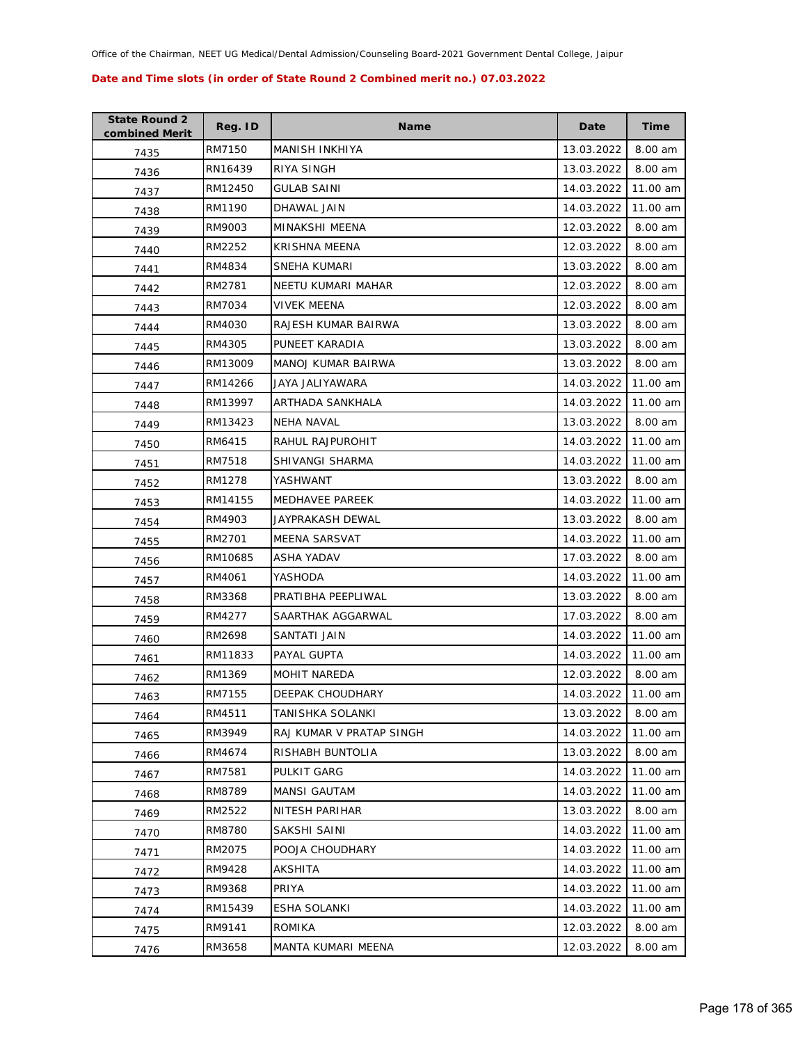| <b>State Round 2</b><br>combined Merit | Reg. ID | <b>Name</b>              | Date       | <b>Time</b> |
|----------------------------------------|---------|--------------------------|------------|-------------|
| 7435                                   | RM7150  | <b>MANISH INKHIYA</b>    | 13.03.2022 | 8.00 am     |
| 7436                                   | RN16439 | RIYA SINGH               | 13.03.2022 | 8.00 am     |
| 7437                                   | RM12450 | GULAB SAINI              | 14.03.2022 | 11.00 am    |
| 7438                                   | RM1190  | DHAWAL JAIN              | 14.03.2022 | 11.00 am    |
| 7439                                   | RM9003  | MINAKSHI MEENA           | 12.03.2022 | 8.00 am     |
| 7440                                   | RM2252  | KRISHNA MEENA            | 12.03.2022 | 8.00 am     |
| 7441                                   | RM4834  | <b>SNEHA KUMARI</b>      | 13.03.2022 | 8.00 am     |
| 7442                                   | RM2781  | NEETU KUMARI MAHAR       | 12.03.2022 | 8.00 am     |
| 7443                                   | RM7034  | <b>VIVEK MEENA</b>       | 12.03.2022 | 8.00 am     |
| 7444                                   | RM4030  | RAJESH KUMAR BAIRWA      | 13.03.2022 | 8.00 am     |
| 7445                                   | RM4305  | PUNEET KARADIA           | 13.03.2022 | 8.00 am     |
| 7446                                   | RM13009 | MANOJ KUMAR BAIRWA       | 13.03.2022 | 8.00 am     |
| 7447                                   | RM14266 | JAYA JALIYAWARA          | 14.03.2022 | 11.00 am    |
| 7448                                   | RM13997 | ARTHADA SANKHALA         | 14.03.2022 | 11.00 am    |
| 7449                                   | RM13423 | <b>NEHA NAVAL</b>        | 13.03.2022 | 8.00 am     |
| 7450                                   | RM6415  | RAHUL RAJPUROHIT         | 14.03.2022 | 11.00 am    |
| 7451                                   | RM7518  | SHIVANGI SHARMA          | 14.03.2022 | 11.00 am    |
| 7452                                   | RM1278  | YASHWANT                 | 13.03.2022 | 8.00 am     |
| 7453                                   | RM14155 | MEDHAVEE PAREEK          | 14.03.2022 | 11.00 am    |
| 7454                                   | RM4903  | JAYPRAKASH DEWAL         | 13.03.2022 | 8.00 am     |
| 7455                                   | RM2701  | <b>MEENA SARSVAT</b>     | 14.03.2022 | 11.00 am    |
| 7456                                   | RM10685 | ASHA YADAV               | 17.03.2022 | 8.00 am     |
| 7457                                   | RM4061  | YASHODA                  | 14.03.2022 | 11.00 am    |
| 7458                                   | RM3368  | PRATIBHA PEEPLIWAL       | 13.03.2022 | 8.00 am     |
| 7459                                   | RM4277  | SAARTHAK AGGARWAL        | 17.03.2022 | 8.00 am     |
| 7460                                   | RM2698  | SANTATI JAIN             | 14.03.2022 | 11.00 am    |
| 7461                                   | RM11833 | PAYAL GUPTA              | 14.03.2022 | 11.00 am    |
| 7462                                   | RM1369  | MOHIT NAREDA             | 12.03.2022 | 8.00 am     |
| 7463                                   | RM7155  | DEEPAK CHOUDHARY         | 14.03.2022 | 11.00 am    |
| 7464                                   | RM4511  | TANISHKA SOLANKI         | 13.03.2022 | 8.00 am     |
| 7465                                   | RM3949  | RAJ KUMAR V PRATAP SINGH | 14.03.2022 | 11.00 am    |
| 7466                                   | RM4674  | RISHABH BUNTOLIA         | 13.03.2022 | 8.00 am     |
| 7467                                   | RM7581  | PULKIT GARG              | 14.03.2022 | 11.00 am    |
| 7468                                   | RM8789  | <b>MANSI GAUTAM</b>      | 14.03.2022 | 11.00 am    |
| 7469                                   | RM2522  | NITESH PARIHAR           | 13.03.2022 | 8.00 am     |
| 7470                                   | RM8780  | SAKSHI SAINI             | 14.03.2022 | 11.00 am    |
| 7471                                   | RM2075  | POOJA CHOUDHARY          | 14.03.2022 | 11.00 am    |
| 7472                                   | RM9428  | AKSHITA                  | 14.03.2022 | 11.00 am    |
| 7473                                   | RM9368  | PRIYA                    | 14.03.2022 | 11.00 am    |
| 7474                                   | RM15439 | <b>ESHA SOLANKI</b>      | 14.03.2022 | 11.00 am    |
| 7475                                   | RM9141  | ROMIKA                   | 12.03.2022 | 8.00 am     |
| 7476                                   | RM3658  | MANTA KUMARI MEENA       | 12.03.2022 | 8.00 am     |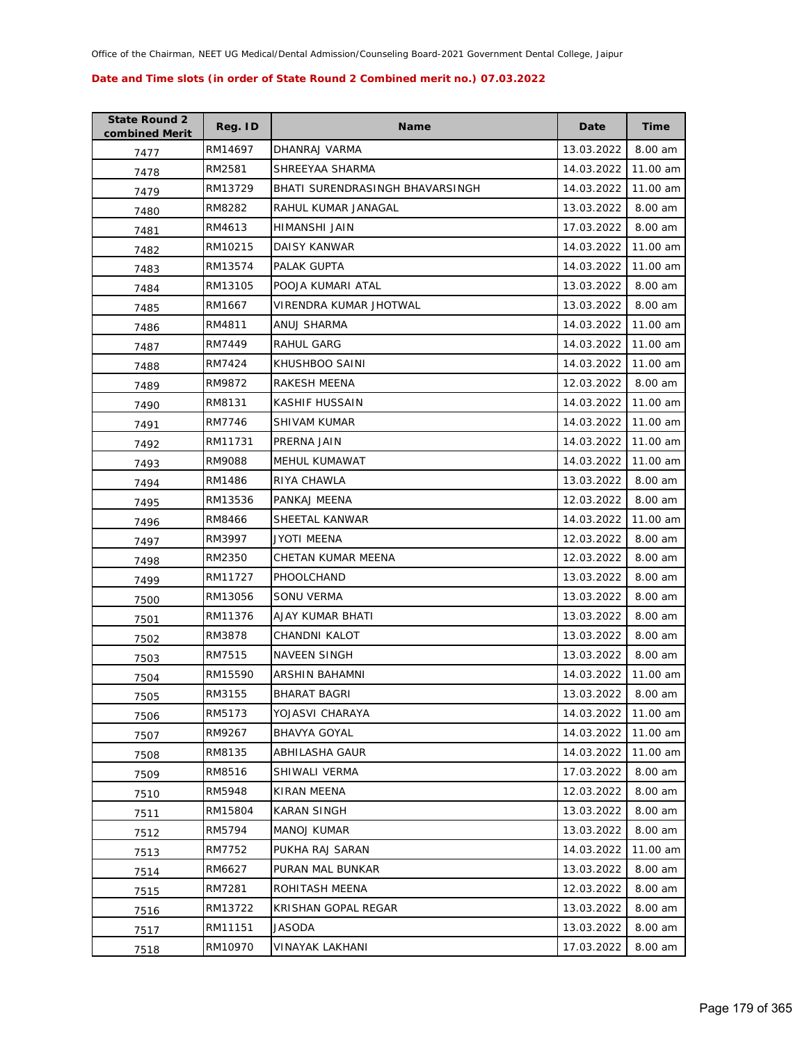| <b>State Round 2</b><br>combined Merit | Reg. ID | <b>Name</b>                     | Date       | Time     |
|----------------------------------------|---------|---------------------------------|------------|----------|
| 7477                                   | RM14697 | DHANRAJ VARMA                   | 13.03.2022 | 8.00 am  |
| 7478                                   | RM2581  | SHREEYAA SHARMA                 | 14.03.2022 | 11.00 am |
| 7479                                   | RM13729 | BHATI SURENDRASINGH BHAVARSINGH | 14.03.2022 | 11.00 am |
| 7480                                   | RM8282  | RAHUL KUMAR JANAGAL             | 13.03.2022 | 8.00 am  |
| 7481                                   | RM4613  | HIMANSHI JAIN                   | 17.03.2022 | 8.00 am  |
| 7482                                   | RM10215 | DAISY KANWAR                    | 14.03.2022 | 11.00 am |
| 7483                                   | RM13574 | PALAK GUPTA                     | 14.03.2022 | 11.00 am |
| 7484                                   | RM13105 | POOJA KUMARI ATAL               | 13.03.2022 | 8.00 am  |
| 7485                                   | RM1667  | VIRENDRA KUMAR JHOTWAL          | 13.03.2022 | 8.00 am  |
| 7486                                   | RM4811  | ANUJ SHARMA                     | 14.03.2022 | 11.00 am |
| 7487                                   | RM7449  | RAHUL GARG                      | 14.03.2022 | 11.00 am |
| 7488                                   | RM7424  | KHUSHBOO SAINI                  | 14.03.2022 | 11.00 am |
| 7489                                   | RM9872  | RAKESH MEENA                    | 12.03.2022 | 8.00 am  |
| 7490                                   | RM8131  | KASHIF HUSSAIN                  | 14.03.2022 | 11.00 am |
| 7491                                   | RM7746  | <b>SHIVAM KUMAR</b>             | 14.03.2022 | 11.00 am |
| 7492                                   | RM11731 | PRERNA JAIN                     | 14.03.2022 | 11.00 am |
| 7493                                   | RM9088  | <b>MEHUL KUMAWAT</b>            | 14.03.2022 | 11.00 am |
| 7494                                   | RM1486  | RIYA CHAWLA                     | 13.03.2022 | 8.00 am  |
| 7495                                   | RM13536 | PANKAJ MEENA                    | 12.03.2022 | 8.00 am  |
| 7496                                   | RM8466  | SHEETAL KANWAR                  | 14.03.2022 | 11.00 am |
| 7497                                   | RM3997  | <b>JYOTI MEENA</b>              | 12.03.2022 | 8.00 am  |
| 7498                                   | RM2350  | CHETAN KUMAR MEENA              | 12.03.2022 | 8.00 am  |
| 7499                                   | RM11727 | PHOOLCHAND                      | 13.03.2022 | 8.00 am  |
| 7500                                   | RM13056 | SONU VERMA                      | 13.03.2022 | 8.00 am  |
| 7501                                   | RM11376 | AJAY KUMAR BHATI                | 13.03.2022 | 8.00 am  |
| 7502                                   | RM3878  | CHANDNI KALOT                   | 13.03.2022 | 8.00 am  |
| 7503                                   | RM7515  | NAVEEN SINGH                    | 13.03.2022 | 8.00 am  |
| 7504                                   | RM15590 | <b>ARSHIN BAHAMNI</b>           | 14.03.2022 | 11.00 am |
| 7505                                   | RM3155  | <b>BHARAT BAGRI</b>             | 13.03.2022 | 8.00 am  |
| 7506                                   | RM5173  | YOJASVI CHARAYA                 | 14.03.2022 | 11.00 am |
| 7507                                   | RM9267  | <b>BHAVYA GOYAL</b>             | 14.03.2022 | 11.00 am |
| 7508                                   | RM8135  | ABHILASHA GAUR                  | 14.03.2022 | 11.00 am |
| 7509                                   | RM8516  | SHIWALI VERMA                   | 17.03.2022 | 8.00 am  |
| 7510                                   | RM5948  | <b>KIRAN MEENA</b>              | 12.03.2022 | 8.00 am  |
| 7511                                   | RM15804 | KARAN SINGH                     | 13.03.2022 | 8.00 am  |
| 7512                                   | RM5794  | <b>MANOJ KUMAR</b>              | 13.03.2022 | 8.00 am  |
| 7513                                   | RM7752  | PUKHA RAJ SARAN                 | 14.03.2022 | 11.00 am |
| 7514                                   | RM6627  | PURAN MAL BUNKAR                | 13.03.2022 | 8.00 am  |
| 7515                                   | RM7281  | ROHITASH MEENA                  | 12.03.2022 | 8.00 am  |
| 7516                                   | RM13722 | KRISHAN GOPAL REGAR             | 13.03.2022 | 8.00 am  |
| 7517                                   | RM11151 | JASODA                          | 13.03.2022 | 8.00 am  |
| 7518                                   | RM10970 | <b>VINAYAK LAKHANI</b>          | 17.03.2022 | 8.00 am  |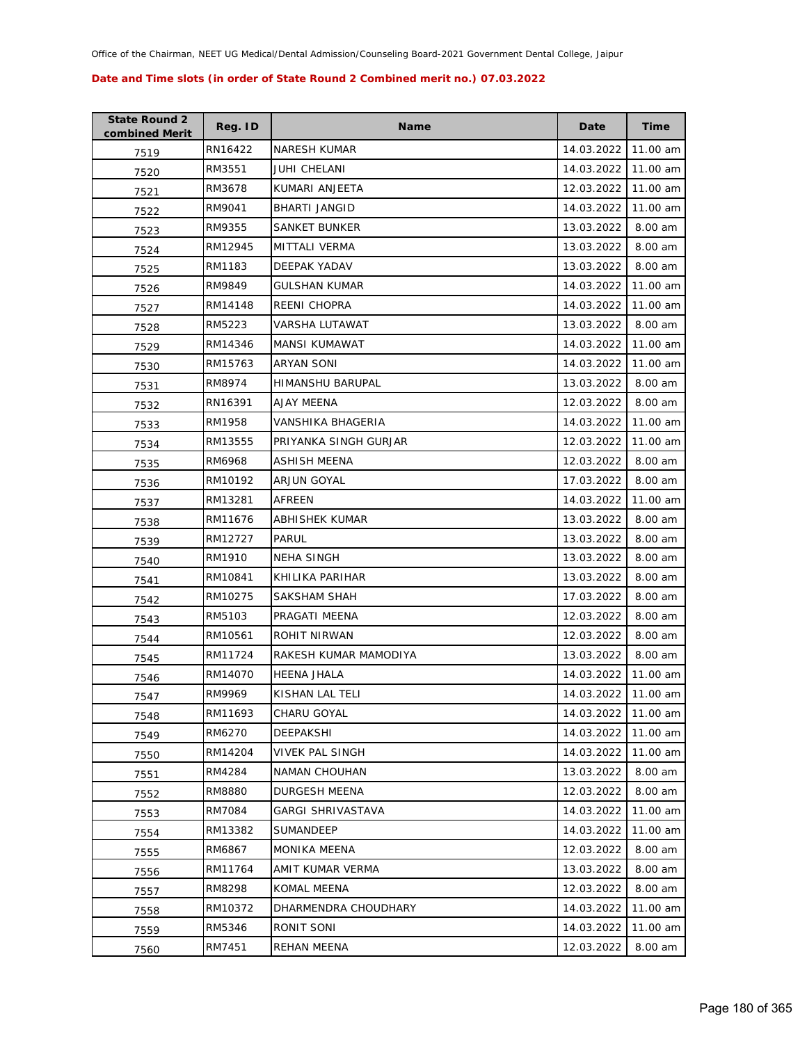| <b>State Round 2</b><br>combined Merit | Reg. ID | <b>Name</b>              | Date       | <b>Time</b> |
|----------------------------------------|---------|--------------------------|------------|-------------|
| 7519                                   | RN16422 | <b>NARESH KUMAR</b>      | 14.03.2022 | 11.00 am    |
| 7520                                   | RM3551  | JUHI CHELANI             | 14.03.2022 | 11.00 am    |
| 7521                                   | RM3678  | KUMARI ANJEETA           | 12.03.2022 | 11.00 am    |
| 7522                                   | RM9041  | <b>BHARTI JANGID</b>     | 14.03.2022 | 11.00 am    |
| 7523                                   | RM9355  | SANKET BUNKER            | 13.03.2022 | 8.00 am     |
| 7524                                   | RM12945 | MITTALI VERMA            | 13.03.2022 | 8.00 am     |
| 7525                                   | RM1183  | DEEPAK YADAV             | 13.03.2022 | 8.00 am     |
| 7526                                   | RM9849  | <b>GULSHAN KUMAR</b>     | 14.03.2022 | 11.00 am    |
| 7527                                   | RM14148 | <b>REENI CHOPRA</b>      | 14.03.2022 | 11.00 am    |
| 7528                                   | RM5223  | VARSHA LUTAWAT           | 13.03.2022 | 8.00 am     |
| 7529                                   | RM14346 | MANSI KUMAWAT            | 14.03.2022 | 11.00 am    |
| 7530                                   | RM15763 | <b>ARYAN SONI</b>        | 14.03.2022 | 11.00 am    |
| 7531                                   | RM8974  | HIMANSHU BARUPAL         | 13.03.2022 | 8.00 am     |
| 7532                                   | RN16391 | AJAY MEENA               | 12.03.2022 | 8.00 am     |
| 7533                                   | RM1958  | VANSHIKA BHAGERIA        | 14.03.2022 | 11.00 am    |
| 7534                                   | RM13555 | PRIYANKA SINGH GURJAR    | 12.03.2022 | 11.00 am    |
| 7535                                   | RM6968  | ASHISH MEENA             | 12.03.2022 | 8.00 am     |
| 7536                                   | RM10192 | <b>ARJUN GOYAL</b>       | 17.03.2022 | 8.00 am     |
| 7537                                   | RM13281 | AFREEN                   | 14.03.2022 | 11.00 am    |
| 7538                                   | RM11676 | ABHISHEK KUMAR           | 13.03.2022 | 8.00 am     |
| 7539                                   | RM12727 | <b>PARUL</b>             | 13.03.2022 | 8.00 am     |
| 7540                                   | RM1910  | <b>NEHA SINGH</b>        | 13.03.2022 | 8.00 am     |
| 7541                                   | RM10841 | KHILIKA PARIHAR          | 13.03.2022 | 8.00 am     |
| 7542                                   | RM10275 | SAKSHAM SHAH             | 17.03.2022 | 8.00 am     |
| 7543                                   | RM5103  | PRAGATI MEENA            | 12.03.2022 | 8.00 am     |
| 7544                                   | RM10561 | <b>ROHIT NIRWAN</b>      | 12.03.2022 | 8.00 am     |
| 7545                                   | RM11724 | RAKESH KUMAR MAMODIYA    | 13.03.2022 | 8.00 am     |
| 7546                                   | RM14070 | <b>HEENA JHALA</b>       | 14.03.2022 | 11.00 am    |
| 7547                                   | RM9969  | KISHAN LAL TELI          | 14.03.2022 | 11.00 am    |
| 7548                                   | RM11693 | CHARU GOYAL              | 14.03.2022 | 11.00 am    |
| 7549                                   | RM6270  | DEEPAKSHI                | 14.03.2022 | 11.00 am    |
| 7550                                   | RM14204 | <b>VIVEK PAL SINGH</b>   | 14.03.2022 | 11.00 am    |
| 7551                                   | RM4284  | <b>NAMAN CHOUHAN</b>     | 13.03.2022 | 8.00 am     |
| 7552                                   | RM8880  | DURGESH MEENA            | 12.03.2022 | 8.00 am     |
| 7553                                   | RM7084  | <b>GARGI SHRIVASTAVA</b> | 14.03.2022 | 11.00 am    |
| 7554                                   | RM13382 | SUMANDEEP                | 14.03.2022 | 11.00 am    |
| 7555                                   | RM6867  | <b>MONIKA MEENA</b>      | 12.03.2022 | 8.00 am     |
| 7556                                   | RM11764 | AMIT KUMAR VERMA         | 13.03.2022 | 8.00 am     |
| 7557                                   | RM8298  | KOMAL MEENA              | 12.03.2022 | 8.00 am     |
| 7558                                   | RM10372 | DHARMENDRA CHOUDHARY     | 14.03.2022 | 11.00 am    |
| 7559                                   | RM5346  | RONIT SONI               | 14.03.2022 | 11.00 am    |
| 7560                                   | RM7451  | REHAN MEENA              | 12.03.2022 | 8.00 am     |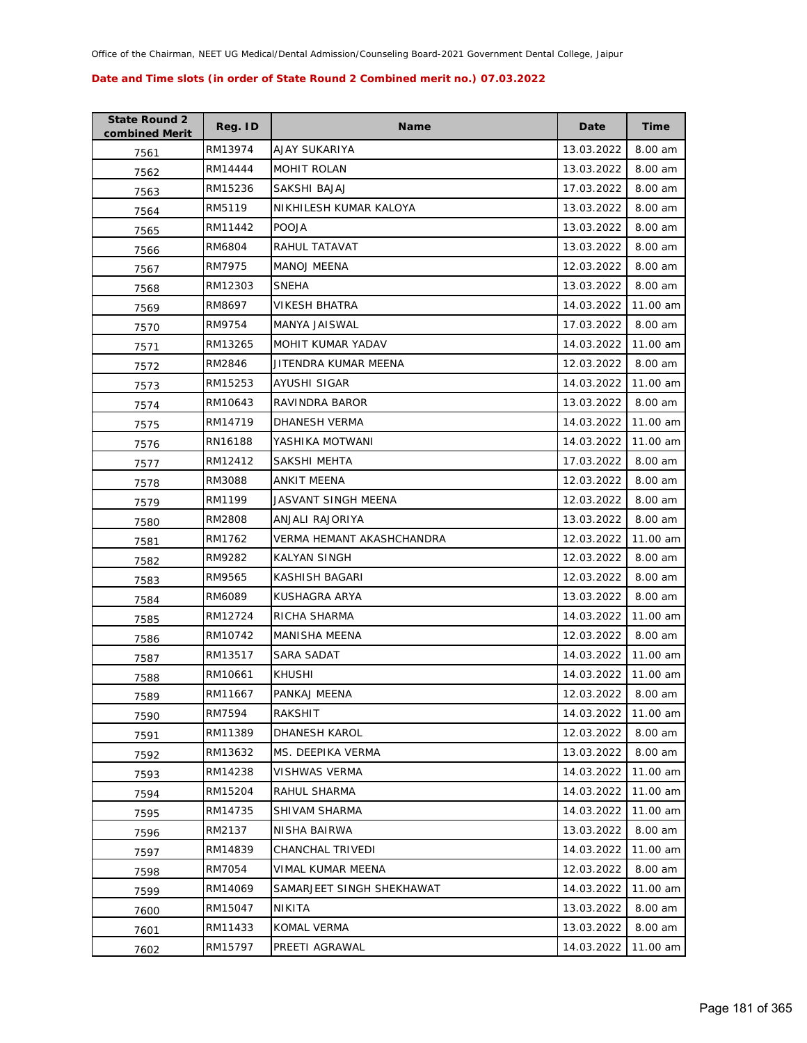| <b>State Round 2</b><br>combined Merit | Reg. ID | <b>Name</b>               | Date       | <b>Time</b> |
|----------------------------------------|---------|---------------------------|------------|-------------|
| 7561                                   | RM13974 | AJAY SUKARIYA             | 13.03.2022 | 8.00 am     |
| 7562                                   | RM14444 | MOHIT ROLAN               | 13.03.2022 | 8.00 am     |
| 7563                                   | RM15236 | SAKSHI BAJAJ              | 17.03.2022 | 8.00 am     |
| 7564                                   | RM5119  | NIKHILESH KUMAR KALOYA    | 13.03.2022 | 8.00 am     |
| 7565                                   | RM11442 | <b>POOJA</b>              | 13.03.2022 | 8.00 am     |
| 7566                                   | RM6804  | RAHUL TATAVAT             | 13.03.2022 | 8.00 am     |
| 7567                                   | RM7975  | <b>MANOJ MEENA</b>        | 12.03.2022 | 8.00 am     |
| 7568                                   | RM12303 | <b>SNEHA</b>              | 13.03.2022 | 8.00 am     |
| 7569                                   | RM8697  | VIKESH BHATRA             | 14.03.2022 | 11.00 am    |
| 7570                                   | RM9754  | MANYA JAISWAL             | 17.03.2022 | 8.00 am     |
| 7571                                   | RM13265 | MOHIT KUMAR YADAV         | 14.03.2022 | 11.00 am    |
| 7572                                   | RM2846  | JITENDRA KUMAR MEENA      | 12.03.2022 | 8.00 am     |
| 7573                                   | RM15253 | AYUSHI SIGAR              | 14.03.2022 | 11.00 am    |
| 7574                                   | RM10643 | RAVINDRA BAROR            | 13.03.2022 | 8.00 am     |
| 7575                                   | RM14719 | <b>DHANESH VERMA</b>      | 14.03.2022 | 11.00 am    |
| 7576                                   | RN16188 | YASHIKA MOTWANI           | 14.03.2022 | 11.00 am    |
| 7577                                   | RM12412 | SAKSHI MEHTA              | 17.03.2022 | 8.00 am     |
| 7578                                   | RM3088  | ANKIT MEENA               | 12.03.2022 | 8.00 am     |
| 7579                                   | RM1199  | JASVANT SINGH MEENA       | 12.03.2022 | 8.00 am     |
| 7580                                   | RM2808  | ANJALI RAJORIYA           | 13.03.2022 | 8.00 am     |
| 7581                                   | RM1762  | VERMA HEMANT AKASHCHANDRA | 12.03.2022 | 11.00 am    |
| 7582                                   | RM9282  | <b>KALYAN SINGH</b>       | 12.03.2022 | 8.00 am     |
| 7583                                   | RM9565  | KASHISH BAGARI            | 12.03.2022 | 8.00 am     |
| 7584                                   | RM6089  | KUSHAGRA ARYA             | 13.03.2022 | 8.00 am     |
| 7585                                   | RM12724 | RICHA SHARMA              | 14.03.2022 | 11.00 am    |
| 7586                                   | RM10742 | <b>MANISHA MEENA</b>      | 12.03.2022 | 8.00 am     |
| 7587                                   | RM13517 | SARA SADAT                | 14.03.2022 | 11.00 am    |
| 7588                                   | RM10661 | <b>KHUSHI</b>             | 14.03.2022 | 11.00 am    |
| 7589                                   | RM11667 | PANKAJ MEENA              | 12.03.2022 | 8.00 am     |
| 7590                                   | RM7594  | RAKSHIT                   | 14.03.2022 | 11.00 am    |
| 7591                                   | RM11389 | <b>DHANESH KAROL</b>      | 12.03.2022 | 8.00 am     |
| 7592                                   | RM13632 | MS. DEEPIKA VERMA         | 13.03.2022 | 8.00 am     |
| 7593                                   | RM14238 | VISHWAS VERMA             | 14.03.2022 | 11.00 am    |
| 7594                                   | RM15204 | RAHUL SHARMA              | 14.03.2022 | 11.00 am    |
| 7595                                   | RM14735 | SHIVAM SHARMA             | 14.03.2022 | 11.00 am    |
| 7596                                   | RM2137  | NISHA BAIRWA              | 13.03.2022 | 8.00 am     |
| 7597                                   | RM14839 | CHANCHAL TRIVEDI          | 14.03.2022 | 11.00 am    |
| 7598                                   | RM7054  | VIMAL KUMAR MEENA         | 12.03.2022 | 8.00 am     |
| 7599                                   | RM14069 | SAMARJEET SINGH SHEKHAWAT | 14.03.2022 | 11.00 am    |
| 7600                                   | RM15047 | NIKITA                    | 13.03.2022 | 8.00 am     |
| 7601                                   | RM11433 | KOMAL VERMA               | 13.03.2022 | 8.00 am     |
| 7602                                   | RM15797 | PREETI AGRAWAL            | 14.03.2022 | 11.00 am    |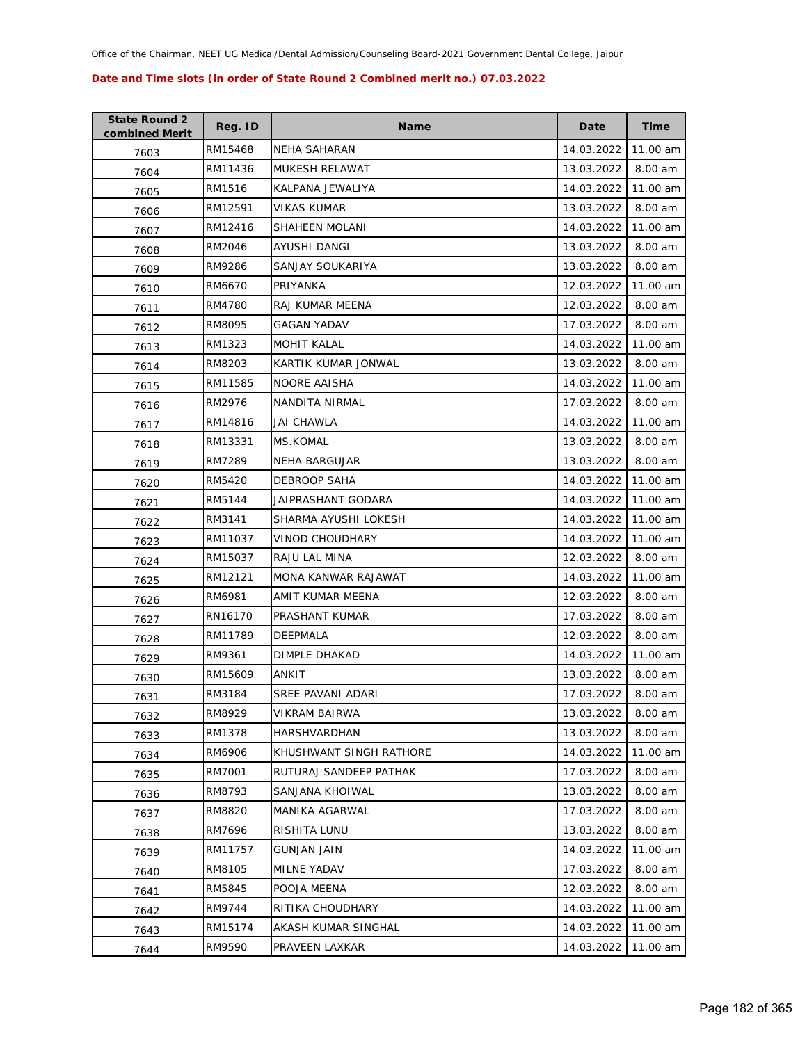| <b>State Round 2</b><br>combined Merit | Reg. ID | <b>Name</b>             | Date       | <b>Time</b> |
|----------------------------------------|---------|-------------------------|------------|-------------|
| 7603                                   | RM15468 | NEHA SAHARAN            | 14.03.2022 | 11.00 am    |
| 7604                                   | RM11436 | MUKESH RELAWAT          | 13.03.2022 | 8.00 am     |
| 7605                                   | RM1516  | KALPANA JEWALIYA        | 14.03.2022 | 11.00 am    |
| 7606                                   | RM12591 | <b>VIKAS KUMAR</b>      | 13.03.2022 | 8.00 am     |
| 7607                                   | RM12416 | SHAHEEN MOLANI          | 14.03.2022 | 11.00 am    |
| 7608                                   | RM2046  | AYUSHI DANGI            | 13.03.2022 | 8.00 am     |
| 7609                                   | RM9286  | SANJAY SOUKARIYA        | 13.03.2022 | 8.00 am     |
| 7610                                   | RM6670  | PRIYANKA                | 12.03.2022 | 11.00 am    |
| 7611                                   | RM4780  | RAJ KUMAR MEENA         | 12.03.2022 | 8.00 am     |
| 7612                                   | RM8095  | GAGAN YADAV             | 17.03.2022 | 8.00 am     |
| 7613                                   | RM1323  | <b>MOHIT KALAL</b>      | 14.03.2022 | 11.00 am    |
| 7614                                   | RM8203  | KARTIK KUMAR JONWAL     | 13.03.2022 | 8.00 am     |
| 7615                                   | RM11585 | NOORE AAISHA            | 14.03.2022 | 11.00 am    |
| 7616                                   | RM2976  | NANDITA NIRMAL          | 17.03.2022 | 8.00 am     |
| 7617                                   | RM14816 | <b>JAI CHAWLA</b>       | 14.03.2022 | 11.00 am    |
| 7618                                   | RM13331 | MS.KOMAL                | 13.03.2022 | 8.00 am     |
| 7619                                   | RM7289  | <b>NEHA BARGUJAR</b>    | 13.03.2022 | 8.00 am     |
| 7620                                   | RM5420  | <b>DEBROOP SAHA</b>     | 14.03.2022 | 11.00 am    |
| 7621                                   | RM5144  | JAIPRASHANT GODARA      | 14.03.2022 | 11.00 am    |
| 7622                                   | RM3141  | SHARMA AYUSHI LOKESH    | 14.03.2022 | 11.00 am    |
| 7623                                   | RM11037 | <b>VINOD CHOUDHARY</b>  | 14.03.2022 | 11.00 am    |
| 7624                                   | RM15037 | RAJU LAL MINA           | 12.03.2022 | 8.00 am     |
| 7625                                   | RM12121 | MONA KANWAR RAJAWAT     | 14.03.2022 | 11.00 am    |
| 7626                                   | RM6981  | AMIT KUMAR MEENA        | 12.03.2022 | 8.00 am     |
| 7627                                   | RN16170 | PRASHANT KUMAR          | 17.03.2022 | 8.00 am     |
| 7628                                   | RM11789 | <b>DEEPMALA</b>         | 12.03.2022 | 8.00 am     |
| 7629                                   | RM9361  | DIMPLE DHAKAD           | 14.03.2022 | 11.00 am    |
| 7630                                   | RM15609 | ANKIT                   | 13.03.2022 | 8.00 am     |
| 7631                                   | RM3184  | SREE PAVANI ADARI       | 17.03.2022 | 8.00 am     |
| 7632                                   | RM8929  | <b>VIKRAM BAIRWA</b>    | 13.03.2022 | 8.00 am     |
| 7633                                   | RM1378  | HARSHVARDHAN            | 13.03.2022 | 8.00 am     |
| 7634                                   | RM6906  | KHUSHWANT SINGH RATHORE | 14.03.2022 | 11.00 am    |
| 7635                                   | RM7001  | RUTURAJ SANDEEP PATHAK  | 17.03.2022 | 8.00 am     |
| 7636                                   | RM8793  | SANJANA KHOIWAL         | 13.03.2022 | 8.00 am     |
| 7637                                   | RM8820  | MANIKA AGARWAL          | 17.03.2022 | 8.00 am     |
| 7638                                   | RM7696  | RISHITA LUNU            | 13.03.2022 | 8.00 am     |
| 7639                                   | RM11757 | <b>GUNJAN JAIN</b>      | 14.03.2022 | 11.00 am    |
| 7640                                   | RM8105  | MILNE YADAV             | 17.03.2022 | 8.00 am     |
| 7641                                   | RM5845  | POOJA MEENA             | 12.03.2022 | 8.00 am     |
| 7642                                   | RM9744  | RITIKA CHOUDHARY        | 14.03.2022 | 11.00 am    |
| 7643                                   | RM15174 | AKASH KUMAR SINGHAL     | 14.03.2022 | 11.00 am    |
| 7644                                   | RM9590  | PRAVEEN LAXKAR          | 14.03.2022 | 11.00 am    |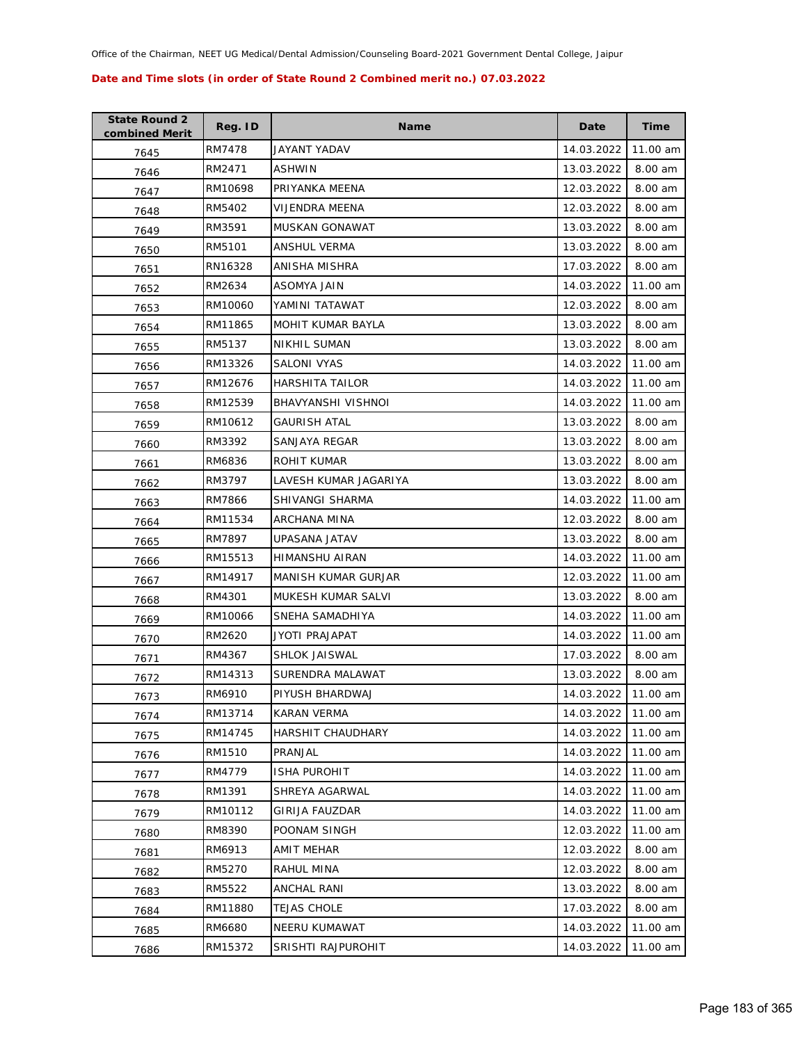| <b>State Round 2</b><br>combined Merit | Reg. ID | <b>Name</b>            | Date       | <b>Time</b> |
|----------------------------------------|---------|------------------------|------------|-------------|
| 7645                                   | RM7478  | JAYANT YADAV           | 14.03.2022 | 11.00 am    |
| 7646                                   | RM2471  | ASHWIN                 | 13.03.2022 | 8.00 am     |
| 7647                                   | RM10698 | PRIYANKA MEENA         | 12.03.2022 | 8.00 am     |
| 7648                                   | RM5402  | <b>VIJENDRA MEENA</b>  | 12.03.2022 | 8.00 am     |
| 7649                                   | RM3591  | MUSKAN GONAWAT         | 13.03.2022 | 8.00 am     |
| 7650                                   | RM5101  | ANSHUL VERMA           | 13.03.2022 | 8.00 am     |
| 7651                                   | RN16328 | ANISHA MISHRA          | 17.03.2022 | 8.00 am     |
| 7652                                   | RM2634  | <b>ASOMYA JAIN</b>     | 14.03.2022 | 11.00 am    |
| 7653                                   | RM10060 | YAMINI TATAWAT         | 12.03.2022 | 8.00 am     |
| 7654                                   | RM11865 | MOHIT KUMAR BAYLA      | 13.03.2022 | 8.00 am     |
| 7655                                   | RM5137  | <b>NIKHIL SUMAN</b>    | 13.03.2022 | 8.00 am     |
| 7656                                   | RM13326 | SALONI VYAS            | 14.03.2022 | 11.00 am    |
| 7657                                   | RM12676 | <b>HARSHITA TAILOR</b> | 14.03.2022 | 11.00 am    |
| 7658                                   | RM12539 | BHAVYANSHI VISHNOI     | 14.03.2022 | 11.00 am    |
| 7659                                   | RM10612 | <b>GAURISH ATAL</b>    | 13.03.2022 | 8.00 am     |
| 7660                                   | RM3392  | SANJAYA REGAR          | 13.03.2022 | 8.00 am     |
| 7661                                   | RM6836  | ROHIT KUMAR            | 13.03.2022 | 8.00 am     |
| 7662                                   | RM3797  | LAVESH KUMAR JAGARIYA  | 13.03.2022 | 8.00 am     |
| 7663                                   | RM7866  | SHIVANGI SHARMA        | 14.03.2022 | 11.00 am    |
| 7664                                   | RM11534 | ARCHANA MINA           | 12.03.2022 | 8.00 am     |
| 7665                                   | RM7897  | UPASANA JATAV          | 13.03.2022 | 8.00 am     |
| 7666                                   | RM15513 | HIMANSHU AIRAN         | 14.03.2022 | 11.00 am    |
| 7667                                   | RM14917 | MANISH KUMAR GURJAR    | 12.03.2022 | 11.00 am    |
| 7668                                   | RM4301  | MUKESH KUMAR SALVI     | 13.03.2022 | 8.00 am     |
| 7669                                   | RM10066 | SNEHA SAMADHIYA        | 14.03.2022 | 11.00 am    |
| 7670                                   | RM2620  | JYOTI PRAJAPAT         | 14.03.2022 | 11.00 am    |
| 7671                                   | RM4367  | <b>SHLOK JAISWAL</b>   | 17.03.2022 | 8.00 am     |
| 7672                                   | RM14313 | SURENDRA MALAWAT       | 13.03.2022 | 8.00 am     |
| 7673                                   | RM6910  | PIYUSH BHARDWAJ        | 14.03.2022 | 11.00 am    |
| 7674                                   | RM13714 | KARAN VERMA            | 14.03.2022 | 11.00 am    |
| 7675                                   | RM14745 | HARSHIT CHAUDHARY      | 14.03.2022 | 11.00 am    |
| 7676                                   | RM1510  | PRANJAL                | 14.03.2022 | 11.00 am    |
| 7677                                   | RM4779  | <b>ISHA PUROHIT</b>    | 14.03.2022 | 11.00 am    |
| 7678                                   | RM1391  | SHREYA AGARWAL         | 14.03.2022 | 11.00 am    |
| 7679                                   | RM10112 | <b>GIRIJA FAUZDAR</b>  | 14.03.2022 | 11.00 am    |
| 7680                                   | RM8390  | POONAM SINGH           | 12.03.2022 | 11.00 am    |
| 7681                                   | RM6913  | AMIT MEHAR             | 12.03.2022 | 8.00 am     |
| 7682                                   | RM5270  | RAHUL MINA             | 12.03.2022 | 8.00 am     |
| 7683                                   | RM5522  | ANCHAL RANI            | 13.03.2022 | 8.00 am     |
| 7684                                   | RM11880 | TEJAS CHOLE            | 17.03.2022 | 8.00 am     |
| 7685                                   | RM6680  | NEERU KUMAWAT          | 14.03.2022 | 11.00 am    |
| 7686                                   | RM15372 | SRISHTI RAJPUROHIT     | 14.03.2022 | 11.00 am    |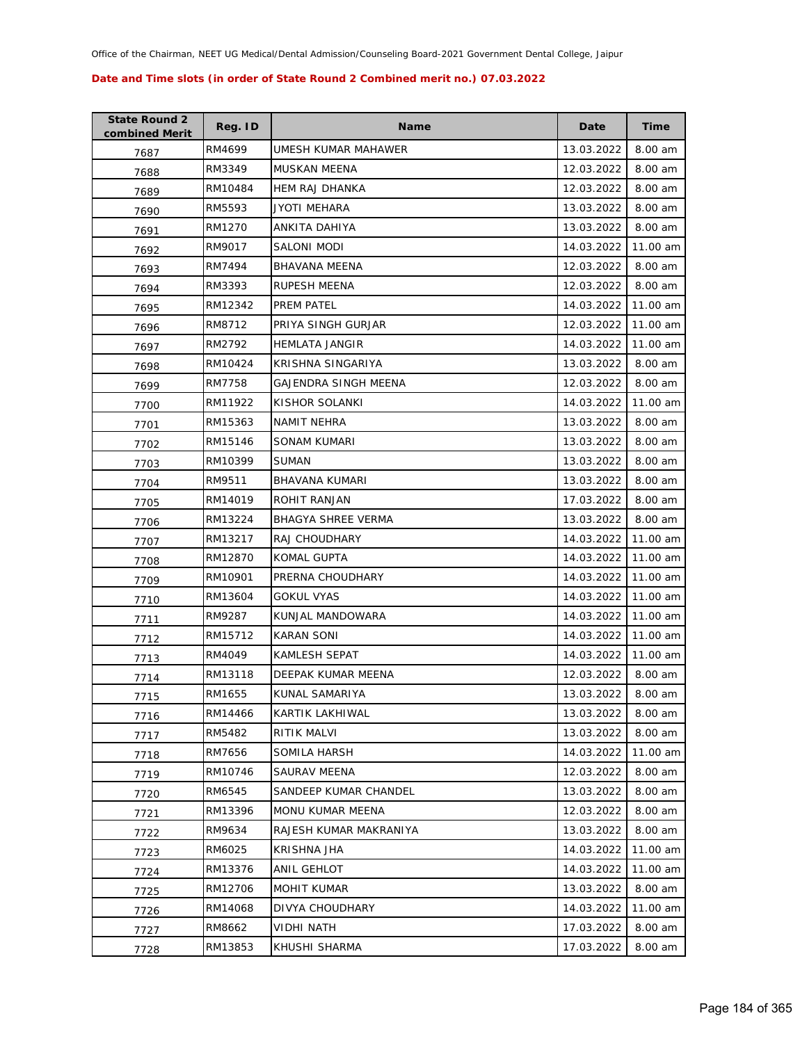| <b>State Round 2</b><br>combined Merit | Reg. ID | <b>Name</b>            | Date       | <b>Time</b> |
|----------------------------------------|---------|------------------------|------------|-------------|
| 7687                                   | RM4699  | UMESH KUMAR MAHAWER    | 13.03.2022 | 8.00 am     |
| 7688                                   | RM3349  | MUSKAN MEENA           | 12.03.2022 | 8.00 am     |
| 7689                                   | RM10484 | HEM RAJ DHANKA         | 12.03.2022 | 8.00 am     |
| 7690                                   | RM5593  | JYOTI MEHARA           | 13.03.2022 | 8.00 am     |
| 7691                                   | RM1270  | ANKITA DAHIYA          | 13.03.2022 | 8.00 am     |
| 7692                                   | RM9017  | SALONI MODI            | 14.03.2022 | 11.00 am    |
| 7693                                   | RM7494  | <b>BHAVANA MEENA</b>   | 12.03.2022 | 8.00 am     |
| 7694                                   | RM3393  | RUPESH MEENA           | 12.03.2022 | 8.00 am     |
| 7695                                   | RM12342 | PREM PATEL             | 14.03.2022 | 11.00 am    |
| 7696                                   | RM8712  | PRIYA SINGH GURJAR     | 12.03.2022 | 11.00 am    |
| 7697                                   | RM2792  | <b>HEMLATA JANGIR</b>  | 14.03.2022 | 11.00 am    |
| 7698                                   | RM10424 | KRISHNA SINGARIYA      | 13.03.2022 | 8.00 am     |
| 7699                                   | RM7758  | GAJENDRA SINGH MEENA   | 12.03.2022 | 8.00 am     |
| 7700                                   | RM11922 | KISHOR SOLANKI         | 14.03.2022 | 11.00 am    |
| 7701                                   | RM15363 | NAMIT NEHRA            | 13.03.2022 | 8.00 am     |
| 7702                                   | RM15146 | SONAM KUMARI           | 13.03.2022 | 8.00 am     |
| 7703                                   | RM10399 | <b>SUMAN</b>           | 13.03.2022 | 8.00 am     |
| 7704                                   | RM9511  | <b>BHAVANA KUMARI</b>  | 13.03.2022 | 8.00 am     |
| 7705                                   | RM14019 | ROHIT RANJAN           | 17.03.2022 | 8.00 am     |
| 7706                                   | RM13224 | BHAGYA SHREE VERMA     | 13.03.2022 | 8.00 am     |
| 7707                                   | RM13217 | RAJ CHOUDHARY          | 14.03.2022 | 11.00 am    |
| 7708                                   | RM12870 | <b>KOMAL GUPTA</b>     | 14.03.2022 | 11.00 am    |
| 7709                                   | RM10901 | PRERNA CHOUDHARY       | 14.03.2022 | 11.00 am    |
| 7710                                   | RM13604 | <b>GOKUL VYAS</b>      | 14.03.2022 | 11.00 am    |
| 7711                                   | RM9287  | KUNJAL MANDOWARA       | 14.03.2022 | 11.00 am    |
| 7712                                   | RM15712 | <b>KARAN SONI</b>      | 14.03.2022 | 11.00 am    |
| 7713                                   | RM4049  | <b>KAMLESH SEPAT</b>   | 14.03.2022 | 11.00 am    |
| 7714                                   | RM13118 | DEEPAK KUMAR MEENA     | 12.03.2022 | 8.00 am     |
| 7715                                   | RM1655  | KUNAL SAMARIYA         | 13.03.2022 | 8.00 am     |
| 7716                                   | RM14466 | KARTIK LAKHIWAL        | 13.03.2022 | 8.00 am     |
| 7717                                   | RM5482  | <b>RITIK MALVI</b>     | 13.03.2022 | 8.00 am     |
| 7718                                   | RM7656  | SOMILA HARSH           | 14.03.2022 | 11.00 am    |
| 7719                                   | RM10746 | SAURAV MEENA           | 12.03.2022 | 8.00 am     |
| 7720                                   | RM6545  | SANDEEP KUMAR CHANDEL  | 13.03.2022 | 8.00 am     |
| 7721                                   | RM13396 | MONU KUMAR MEENA       | 12.03.2022 | 8.00 am     |
| 7722                                   | RM9634  | RAJESH KUMAR MAKRANIYA | 13.03.2022 | 8.00 am     |
| 7723                                   | RM6025  | KRISHNA JHA            | 14.03.2022 | 11.00 am    |
| 7724                                   | RM13376 | ANIL GEHLOT            | 14.03.2022 | 11.00 am    |
| 7725                                   | RM12706 | MOHIT KUMAR            | 13.03.2022 | 8.00 am     |
| 7726                                   | RM14068 | DIVYA CHOUDHARY        | 14.03.2022 | 11.00 am    |
| 7727                                   | RM8662  | VIDHI NATH             | 17.03.2022 | 8.00 am     |
| 7728                                   | RM13853 | KHUSHI SHARMA          | 17.03.2022 | 8.00 am     |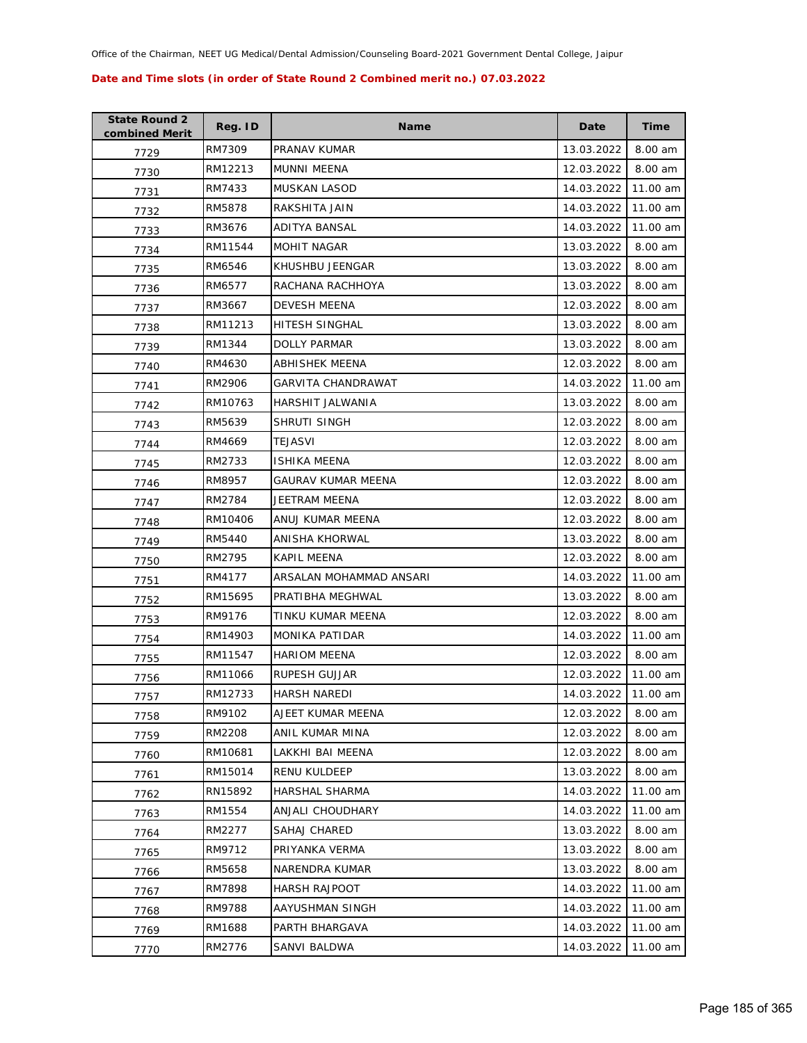| <b>State Round 2</b><br>combined Merit | Reg. ID | <b>Name</b>             | Date       | <b>Time</b> |
|----------------------------------------|---------|-------------------------|------------|-------------|
| 7729                                   | RM7309  | PRANAV KUMAR            | 13.03.2022 | 8.00 am     |
| 7730                                   | RM12213 | MUNNI MEENA             | 12.03.2022 | 8.00 am     |
| 7731                                   | RM7433  | <b>MUSKAN LASOD</b>     | 14.03.2022 | 11.00 am    |
| 7732                                   | RM5878  | RAKSHITA JAIN           | 14.03.2022 | 11.00 am    |
| 7733                                   | RM3676  | ADITYA BANSAL           | 14.03.2022 | 11.00 am    |
| 7734                                   | RM11544 | <b>MOHIT NAGAR</b>      | 13.03.2022 | 8.00 am     |
| 7735                                   | RM6546  | KHUSHBU JEENGAR         | 13.03.2022 | 8.00 am     |
| 7736                                   | RM6577  | RACHANA RACHHOYA        | 13.03.2022 | 8.00 am     |
| 7737                                   | RM3667  | <b>DEVESH MEENA</b>     | 12.03.2022 | 8.00 am     |
| 7738                                   | RM11213 | HITESH SINGHAL          | 13.03.2022 | 8.00 am     |
| 7739                                   | RM1344  | DOLLY PARMAR            | 13.03.2022 | 8.00 am     |
| 7740                                   | RM4630  | ABHISHEK MEENA          | 12.03.2022 | 8.00 am     |
| 7741                                   | RM2906  | GARVITA CHANDRAWAT      | 14.03.2022 | 11.00 am    |
| 7742                                   | RM10763 | <b>HARSHIT JALWANIA</b> | 13.03.2022 | 8.00 am     |
| 7743                                   | RM5639  | SHRUTI SINGH            | 12.03.2022 | 8.00 am     |
| 7744                                   | RM4669  | TEJASVI                 | 12.03.2022 | 8.00 am     |
| 7745                                   | RM2733  | <b>ISHIKA MEENA</b>     | 12.03.2022 | 8.00 am     |
| 7746                                   | RM8957  | GAURAV KUMAR MEENA      | 12.03.2022 | 8.00 am     |
| 7747                                   | RM2784  | JEETRAM MEENA           | 12.03.2022 | 8.00 am     |
| 7748                                   | RM10406 | ANUJ KUMAR MEENA        | 12.03.2022 | 8.00 am     |
| 7749                                   | RM5440  | ANISHA KHORWAL          | 13.03.2022 | 8.00 am     |
| 7750                                   | RM2795  | KAPIL MEENA             | 12.03.2022 | 8.00 am     |
| 7751                                   | RM4177  | ARSALAN MOHAMMAD ANSARI | 14.03.2022 | 11.00 am    |
| 7752                                   | RM15695 | PRATIBHA MEGHWAL        | 13.03.2022 | 8.00 am     |
| 7753                                   | RM9176  | TINKU KUMAR MEENA       | 12.03.2022 | 8.00 am     |
| 7754                                   | RM14903 | <b>MONIKA PATIDAR</b>   | 14.03.2022 | 11.00 am    |
| 7755                                   | RM11547 | <b>HARIOM MEENA</b>     | 12.03.2022 | 8.00 am     |
| 7756                                   | RM11066 | RUPESH GUJJAR           | 12.03.2022 | 11.00 am    |
| 7757                                   | RM12733 | <b>HARSH NAREDI</b>     | 14.03.2022 | 11.00 am    |
| 7758                                   | RM9102  | AJEET KUMAR MEENA       | 12.03.2022 | 8.00 am     |
| 7759                                   | RM2208  | ANIL KUMAR MINA         | 12.03.2022 | $8.00$ am   |
| 7760                                   | RM10681 | LAKKHI BAI MEENA        | 12.03.2022 | 8.00 am     |
| 7761                                   | RM15014 | <b>RENU KULDEEP</b>     | 13.03.2022 | 8.00 am     |
| 7762                                   | RN15892 | HARSHAL SHARMA          | 14.03.2022 | 11.00 am    |
| 7763                                   | RM1554  | ANJALI CHOUDHARY        | 14.03.2022 | 11.00 am    |
| 7764                                   | RM2277  | SAHAJ CHARED            | 13.03.2022 | 8.00 am     |
| 7765                                   | RM9712  | PRIYANKA VERMA          | 13.03.2022 | 8.00 am     |
| 7766                                   | RM5658  | NARENDRA KUMAR          | 13.03.2022 | 8.00 am     |
| 7767                                   | RM7898  | <b>HARSH RAJPOOT</b>    | 14.03.2022 | 11.00 am    |
| 7768                                   | RM9788  | AAYUSHMAN SINGH         | 14.03.2022 | 11.00 am    |
| 7769                                   | RM1688  | PARTH BHARGAVA          | 14.03.2022 | 11.00 am    |
| 7770                                   | RM2776  | SANVI BALDWA            | 14.03.2022 | 11.00 am    |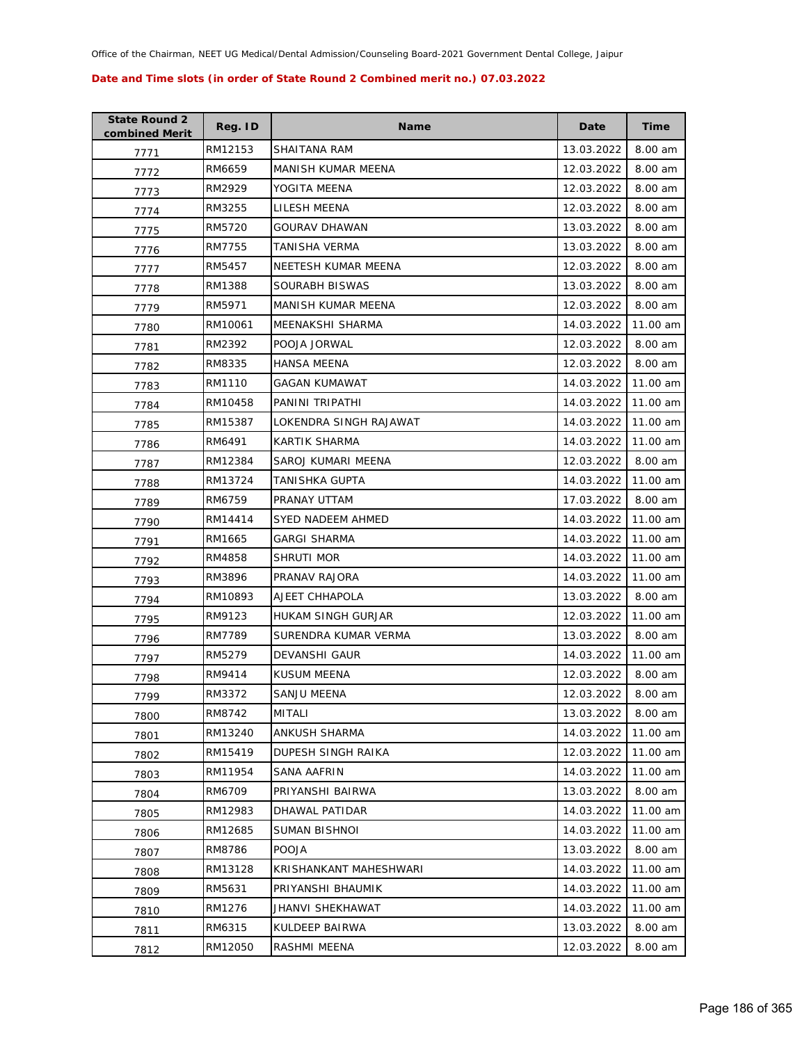| <b>State Round 2</b><br>combined Merit | Reg. ID | <b>Name</b>            | Date       | <b>Time</b> |
|----------------------------------------|---------|------------------------|------------|-------------|
| 7771                                   | RM12153 | SHAITANA RAM           | 13.03.2022 | 8.00 am     |
| 7772                                   | RM6659  | MANISH KUMAR MEENA     | 12.03.2022 | 8.00 am     |
| 7773                                   | RM2929  | YOGITA MEENA           | 12.03.2022 | 8.00 am     |
| 7774                                   | RM3255  | LILESH MEENA           | 12.03.2022 | 8.00 am     |
| 7775                                   | RM5720  | <b>GOURAV DHAWAN</b>   | 13.03.2022 | 8.00 am     |
| 7776                                   | RM7755  | TANISHA VERMA          | 13.03.2022 | 8.00 am     |
| 7777                                   | RM5457  | NEETESH KUMAR MEENA    | 12.03.2022 | 8.00 am     |
| 7778                                   | RM1388  | SOURABH BISWAS         | 13.03.2022 | 8.00 am     |
| 7779                                   | RM5971  | MANISH KUMAR MEENA     | 12.03.2022 | 8.00 am     |
| 7780                                   | RM10061 | MEENAKSHI SHARMA       | 14.03.2022 | 11.00 am    |
| 7781                                   | RM2392  | POOJA JORWAL           | 12.03.2022 | 8.00 am     |
| 7782                                   | RM8335  | HANSA MEENA            | 12.03.2022 | 8.00 am     |
| 7783                                   | RM1110  | <b>GAGAN KUMAWAT</b>   | 14.03.2022 | 11.00 am    |
| 7784                                   | RM10458 | PANINI TRIPATHI        | 14.03.2022 | 11.00 am    |
| 7785                                   | RM15387 | LOKENDRA SINGH RAJAWAT | 14.03.2022 | 11.00 am    |
| 7786                                   | RM6491  | KARTIK SHARMA          | 14.03.2022 | 11.00 am    |
| 7787                                   | RM12384 | SAROJ KUMARI MEENA     | 12.03.2022 | 8.00 am     |
| 7788                                   | RM13724 | TANISHKA GUPTA         | 14.03.2022 | 11.00 am    |
| 7789                                   | RM6759  | PRANAY UTTAM           | 17.03.2022 | 8.00 am     |
| 7790                                   | RM14414 | SYED NADEEM AHMED      | 14.03.2022 | 11.00 am    |
| 7791                                   | RM1665  | <b>GARGI SHARMA</b>    | 14.03.2022 | 11.00 am    |
| 7792                                   | RM4858  | SHRUTI MOR             | 14.03.2022 | 11.00 am    |
| 7793                                   | RM3896  | PRANAV RAJORA          | 14.03.2022 | 11.00 am    |
| 7794                                   | RM10893 | AJEET CHHAPOLA         | 13.03.2022 | 8.00 am     |
| 7795                                   | RM9123  | HUKAM SINGH GURJAR     | 12.03.2022 | 11.00 am    |
| 7796                                   | RM7789  | SURENDRA KUMAR VERMA   | 13.03.2022 | 8.00 am     |
| 7797                                   | RM5279  | DEVANSHI GAUR          | 14.03.2022 | 11.00 am    |
| 7798                                   | RM9414  | <b>KUSUM MEENA</b>     | 12.03.2022 | 8.00 am     |
| 7799                                   | RM3372  | <b>SANJU MEENA</b>     | 12.03.2022 | 8.00 am     |
| 7800                                   | RM8742  | MITALI                 | 13.03.2022 | 8.00 am     |
| 7801                                   | RM13240 | ANKUSH SHARMA          | 14.03.2022 | 11.00 am    |
| 7802                                   | RM15419 | DUPESH SINGH RAIKA     | 12.03.2022 | 11.00 am    |
| 7803                                   | RM11954 | SANA AAFRIN            | 14.03.2022 | 11.00 am    |
| 7804                                   | RM6709  | PRIYANSHI BAIRWA       | 13.03.2022 | 8.00 am     |
| 7805                                   | RM12983 | DHAWAL PATIDAR         | 14.03.2022 | 11.00 am    |
| 7806                                   | RM12685 | SUMAN BISHNOI          | 14.03.2022 | 11.00 am    |
| 7807                                   | RM8786  | <b>POOJA</b>           | 13.03.2022 | 8.00 am     |
| 7808                                   | RM13128 | KRISHANKANT MAHESHWARI | 14.03.2022 | 11.00 am    |
| 7809                                   | RM5631  | PRIYANSHI BHAUMIK      | 14.03.2022 | 11.00 am    |
| 7810                                   | RM1276  | JHANVI SHEKHAWAT       | 14.03.2022 | 11.00 am    |
| 7811                                   | RM6315  | KULDEEP BAIRWA         | 13.03.2022 | 8.00 am     |
| 7812                                   | RM12050 | RASHMI MEENA           | 12.03.2022 | 8.00 am     |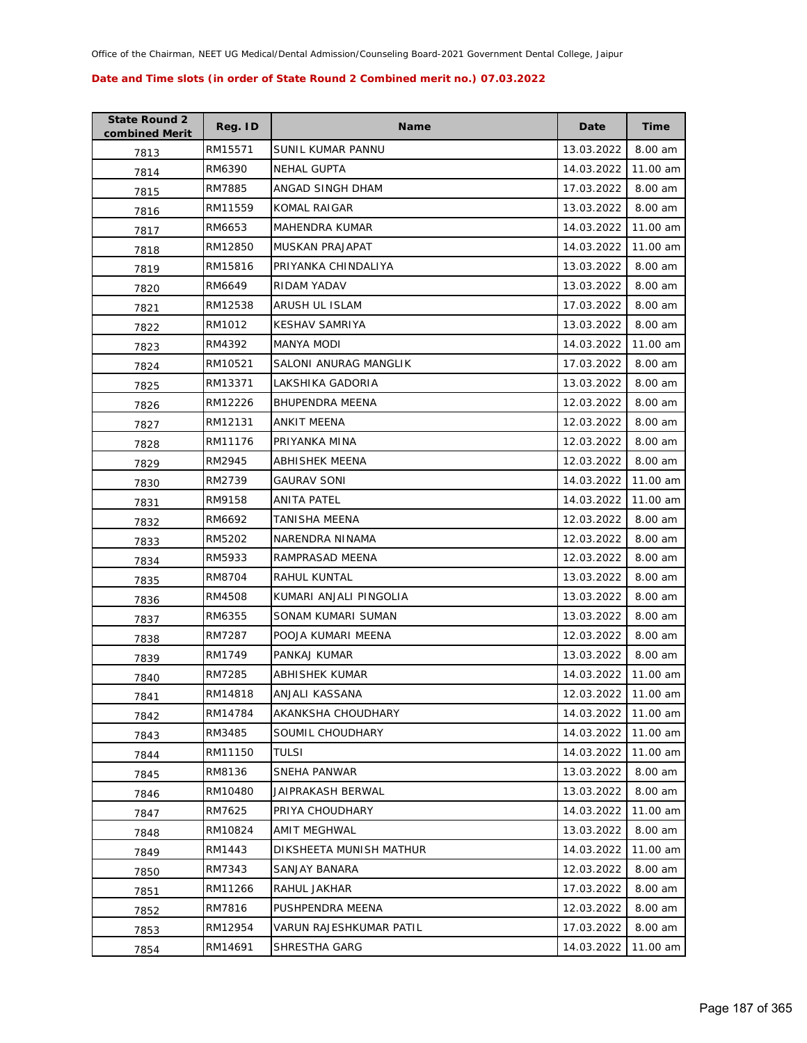| <b>State Round 2</b><br>combined Merit | Reg. ID | <b>Name</b>             | Date                | <b>Time</b> |
|----------------------------------------|---------|-------------------------|---------------------|-------------|
| 7813                                   | RM15571 | SUNIL KUMAR PANNU       | 13.03.2022          | 8.00 am     |
| 7814                                   | RM6390  | <b>NEHAL GUPTA</b>      | 14.03.2022          | 11.00 am    |
| 7815                                   | RM7885  | ANGAD SINGH DHAM        | 17.03.2022          | 8.00 am     |
| 7816                                   | RM11559 | KOMAL RAIGAR            | 13.03.2022          | 8.00 am     |
| 7817                                   | RM6653  | MAHENDRA KUMAR          | 14.03.2022          | 11.00 am    |
| 7818                                   | RM12850 | MUSKAN PRAJAPAT         | 14.03.2022          | 11.00 am    |
| 7819                                   | RM15816 | PRIYANKA CHINDALIYA     | 13.03.2022          | 8.00 am     |
| 7820                                   | RM6649  | RIDAM YADAV             | 13.03.2022          | 8.00 am     |
| 7821                                   | RM12538 | ARUSH UL ISLAM          | 17.03.2022          | 8.00 am     |
| 7822                                   | RM1012  | <b>KESHAV SAMRIYA</b>   | 13.03.2022          | 8.00 am     |
| 7823                                   | RM4392  | MANYA MODI              | 14.03.2022          | 11.00 am    |
| 7824                                   | RM10521 | SALONI ANURAG MANGLIK   | 17.03.2022          | 8.00 am     |
| 7825                                   | RM13371 | LAKSHIKA GADORIA        | 13.03.2022          | 8.00 am     |
| 7826                                   | RM12226 | <b>BHUPENDRA MEENA</b>  | 12.03.2022          | 8.00 am     |
| 7827                                   | RM12131 | ANKIT MEENA             | 12.03.2022          | 8.00 am     |
| 7828                                   | RM11176 | PRIYANKA MINA           | 12.03.2022          | 8.00 am     |
| 7829                                   | RM2945  | ABHISHEK MEENA          | 12.03.2022          | 8.00 am     |
| 7830                                   | RM2739  | GAURAV SONI             | 14.03.2022          | 11.00 am    |
| 7831                                   | RM9158  | ANITA PATEL             | 14.03.2022          | 11.00 am    |
| 7832                                   | RM6692  | TANISHA MEENA           | 12.03.2022          | 8.00 am     |
| 7833                                   | RM5202  | NARENDRA NINAMA         | 12.03.2022          | 8.00 am     |
| 7834                                   | RM5933  | RAMPRASAD MEENA         | 12.03.2022          | 8.00 am     |
| 7835                                   | RM8704  | RAHUL KUNTAL            | 13.03.2022          | 8.00 am     |
| 7836                                   | RM4508  | KUMARI ANJALI PINGOLIA  | 13.03.2022          | 8.00 am     |
| 7837                                   | RM6355  | SONAM KUMARI SUMAN      | 13.03.2022          | 8.00 am     |
| 7838                                   | RM7287  | POOJA KUMARI MEENA      | 12.03.2022          | 8.00 am     |
| 7839                                   | RM1749  | PANKAJ KUMAR            | 13.03.2022          | 8.00 am     |
| 7840                                   | RM7285  | ABHISHEK KUMAR          | 14.03.2022          | 11.00 am    |
| 7841                                   | RM14818 | ANJALI KASSANA          | 12.03.2022 11.00 am |             |
| 7842                                   | RM14784 | AKANKSHA CHOUDHARY      | 14.03.2022          | 11.00 am    |
| 7843                                   | RM3485  | SOUMIL CHOUDHARY        | 14.03.2022          | 11.00 am    |
| 7844                                   | RM11150 | TULSI                   | 14.03.2022          | 11.00 am    |
| 7845                                   | RM8136  | SNEHA PANWAR            | 13.03.2022          | 8.00 am     |
| 7846                                   | RM10480 | JAIPRAKASH BERWAL       | 13.03.2022          | 8.00 am     |
| 7847                                   | RM7625  | PRIYA CHOUDHARY         | 14.03.2022          | 11.00 am    |
| 7848                                   | RM10824 | <b>AMIT MEGHWAL</b>     | 13.03.2022          | 8.00 am     |
| 7849                                   | RM1443  | DIKSHEETA MUNISH MATHUR | 14.03.2022          | 11.00 am    |
| 7850                                   | RM7343  | SANJAY BANARA           | 12.03.2022          | 8.00 am     |
| 7851                                   | RM11266 | RAHUL JAKHAR            | 17.03.2022          | 8.00 am     |
| 7852                                   | RM7816  | PUSHPENDRA MEENA        | 12.03.2022          | 8.00 am     |
| 7853                                   | RM12954 | VARUN RAJESHKUMAR PATIL | 17.03.2022          | 8.00 am     |
| 7854                                   | RM14691 | SHRESTHA GARG           | 14.03.2022          | 11.00 am    |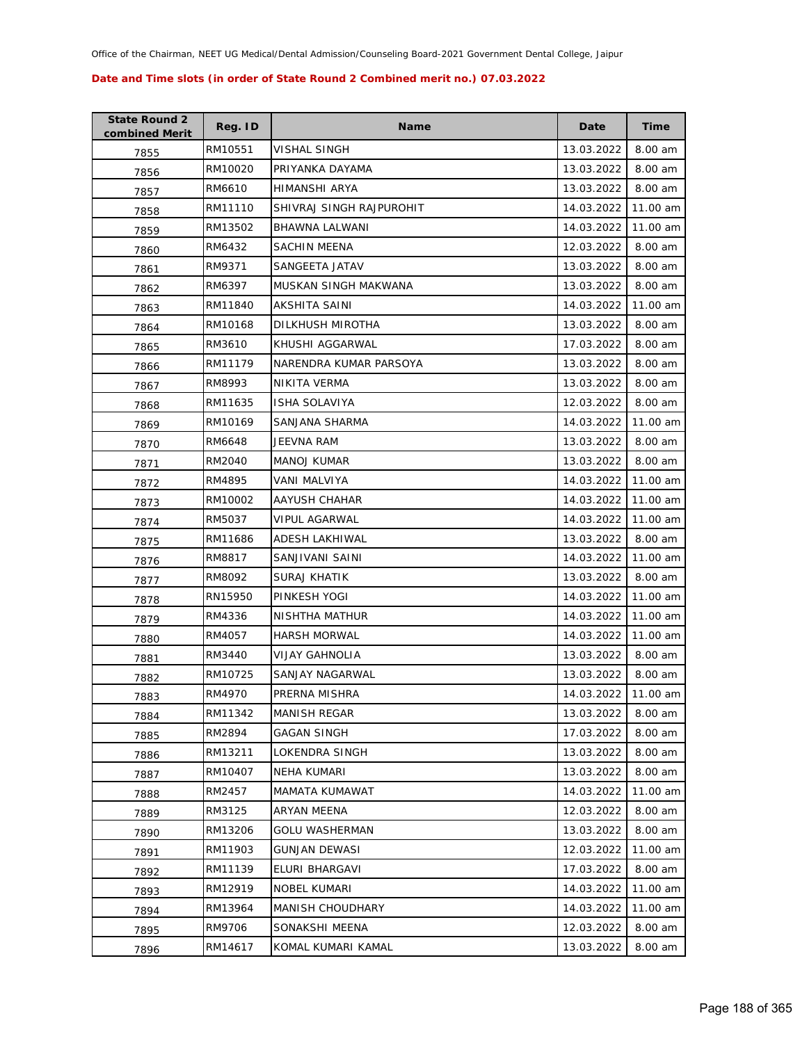| <b>State Round 2</b><br>combined Merit | Reg. ID | <b>Name</b>              | Date       | <b>Time</b> |
|----------------------------------------|---------|--------------------------|------------|-------------|
| 7855                                   | RM10551 | VISHAL SINGH             | 13.03.2022 | 8.00 am     |
| 7856                                   | RM10020 | PRIYANKA DAYAMA          | 13.03.2022 | 8.00 am     |
| 7857                                   | RM6610  | HIMANSHI ARYA            | 13.03.2022 | 8.00 am     |
| 7858                                   | RM11110 | SHIVRAJ SINGH RAJPUROHIT | 14.03.2022 | 11.00 am    |
| 7859                                   | RM13502 | BHAWNA LALWANI           | 14.03.2022 | 11.00 am    |
| 7860                                   | RM6432  | SACHIN MEENA             | 12.03.2022 | 8.00 am     |
| 7861                                   | RM9371  | SANGEETA JATAV           | 13.03.2022 | 8.00 am     |
| 7862                                   | RM6397  | MUSKAN SINGH MAKWANA     | 13.03.2022 | 8.00 am     |
| 7863                                   | RM11840 | AKSHITA SAINI            | 14.03.2022 | 11.00 am    |
| 7864                                   | RM10168 | DILKHUSH MIROTHA         | 13.03.2022 | 8.00 am     |
| 7865                                   | RM3610  | KHUSHI AGGARWAL          | 17.03.2022 | 8.00 am     |
| 7866                                   | RM11179 | NARENDRA KUMAR PARSOYA   | 13.03.2022 | 8.00 am     |
| 7867                                   | RM8993  | NIKITA VERMA             | 13.03.2022 | 8.00 am     |
| 7868                                   | RM11635 | ISHA SOLAVIYA            | 12.03.2022 | 8.00 am     |
| 7869                                   | RM10169 | SANJANA SHARMA           | 14.03.2022 | 11.00 am    |
| 7870                                   | RM6648  | JEEVNA RAM               | 13.03.2022 | 8.00 am     |
| 7871                                   | RM2040  | <b>MANOJ KUMAR</b>       | 13.03.2022 | 8.00 am     |
| 7872                                   | RM4895  | VANI MALVIYA             | 14.03.2022 | 11.00 am    |
| 7873                                   | RM10002 | AAYUSH CHAHAR            | 14.03.2022 | 11.00 am    |
| 7874                                   | RM5037  | <b>VIPUL AGARWAL</b>     | 14.03.2022 | 11.00 am    |
| 7875                                   | RM11686 | ADESH LAKHIWAL           | 13.03.2022 | 8.00 am     |
| 7876                                   | RM8817  | SANJIVANI SAINI          | 14.03.2022 | 11.00 am    |
| 7877                                   | RM8092  | SURAJ KHATIK             | 13.03.2022 | 8.00 am     |
| 7878                                   | RN15950 | PINKESH YOGI             | 14.03.2022 | 11.00 am    |
| 7879                                   | RM4336  | NISHTHA MATHUR           | 14.03.2022 | 11.00 am    |
| 7880                                   | RM4057  | <b>HARSH MORWAL</b>      | 14.03.2022 | 11.00 am    |
| 7881                                   | RM3440  | <b>VIJAY GAHNOLIA</b>    | 13.03.2022 | 8.00 am     |
| 7882                                   | RM10725 | SANJAY NAGARWAL          | 13.03.2022 | 8.00 am     |
| 7883                                   | RM4970  | PRERNA MISHRA            | 14.03.2022 | 11.00 am    |
| 7884                                   | RM11342 | <b>MANISH REGAR</b>      | 13.03.2022 | 8.00 am     |
| 7885                                   | RM2894  | <b>GAGAN SINGH</b>       | 17.03.2022 | 8.00 am     |
| 7886                                   | RM13211 | LOKENDRA SINGH           | 13.03.2022 | 8.00 am     |
| 7887                                   | RM10407 | NEHA KUMARI              | 13.03.2022 | 8.00 am     |
| 7888                                   | RM2457  | MAMATA KUMAWAT           | 14.03.2022 | 11.00 am    |
| 7889                                   | RM3125  | ARYAN MEENA              | 12.03.2022 | 8.00 am     |
| 7890                                   | RM13206 | <b>GOLU WASHERMAN</b>    | 13.03.2022 | 8.00 am     |
| 7891                                   | RM11903 | <b>GUNJAN DEWASI</b>     | 12.03.2022 | 11.00 am    |
| 7892                                   | RM11139 | ELURI BHARGAVI           | 17.03.2022 | 8.00 am     |
| 7893                                   | RM12919 | <b>NOBEL KUMARI</b>      | 14.03.2022 | 11.00 am    |
| 7894                                   | RM13964 | MANISH CHOUDHARY         | 14.03.2022 | 11.00 am    |
| 7895                                   | RM9706  | SONAKSHI MEENA           | 12.03.2022 | 8.00 am     |
| 7896                                   | RM14617 | KOMAL KUMARI KAMAL       | 13.03.2022 | 8.00 am     |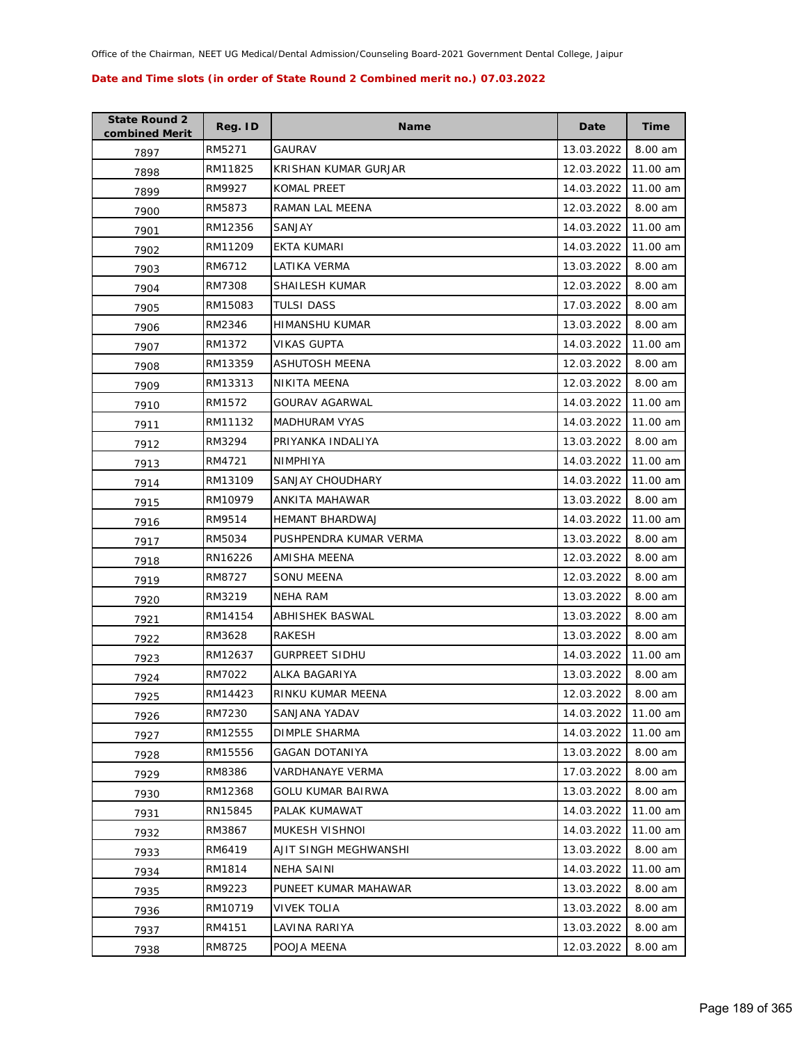| <b>State Round 2</b><br>combined Merit | Reg. ID | <b>Name</b>              | Date       | Time     |
|----------------------------------------|---------|--------------------------|------------|----------|
| 7897                                   | RM5271  | <b>GAURAV</b>            | 13.03.2022 | 8.00 am  |
| 7898                                   | RM11825 | KRISHAN KUMAR GURJAR     | 12.03.2022 | 11.00 am |
| 7899                                   | RM9927  | KOMAL PREET              | 14.03.2022 | 11.00 am |
| 7900                                   | RM5873  | RAMAN LAL MEENA          | 12.03.2022 | 8.00 am  |
| 7901                                   | RM12356 | SANJAY                   | 14.03.2022 | 11.00 am |
| 7902                                   | RM11209 | EKTA KUMARI              | 14.03.2022 | 11.00 am |
| 7903                                   | RM6712  | LATIKA VERMA             | 13.03.2022 | 8.00 am  |
| 7904                                   | RM7308  | SHAILESH KUMAR           | 12.03.2022 | 8.00 am  |
| 7905                                   | RM15083 | <b>TULSI DASS</b>        | 17.03.2022 | 8.00 am  |
| 7906                                   | RM2346  | HIMANSHU KUMAR           | 13.03.2022 | 8.00 am  |
| 7907                                   | RM1372  | VIKAS GUPTA              | 14.03.2022 | 11.00 am |
| 7908                                   | RM13359 | <b>ASHUTOSH MEENA</b>    | 12.03.2022 | 8.00 am  |
| 7909                                   | RM13313 | NIKITA MEENA             | 12.03.2022 | 8.00 am  |
| 7910                                   | RM1572  | GOURAV AGARWAL           | 14.03.2022 | 11.00 am |
| 7911                                   | RM11132 | <b>MADHURAM VYAS</b>     | 14.03.2022 | 11.00 am |
| 7912                                   | RM3294  | PRIYANKA INDALIYA        | 13.03.2022 | 8.00 am  |
| 7913                                   | RM4721  | NIMPHIYA                 | 14.03.2022 | 11.00 am |
| 7914                                   | RM13109 | SANJAY CHOUDHARY         | 14.03.2022 | 11.00 am |
| 7915                                   | RM10979 | ANKITA MAHAWAR           | 13.03.2022 | 8.00 am  |
| 7916                                   | RM9514  | HEMANT BHARDWAJ          | 14.03.2022 | 11.00 am |
| 7917                                   | RM5034  | PUSHPENDRA KUMAR VERMA   | 13.03.2022 | 8.00 am  |
| 7918                                   | RN16226 | AMISHA MEENA             | 12.03.2022 | 8.00 am  |
| 7919                                   | RM8727  | SONU MEENA               | 12.03.2022 | 8.00 am  |
| 7920                                   | RM3219  | <b>NEHA RAM</b>          | 13.03.2022 | 8.00 am  |
| 7921                                   | RM14154 | ABHISHEK BASWAL          | 13.03.2022 | 8.00 am  |
| 7922                                   | RM3628  | <b>RAKESH</b>            | 13.03.2022 | 8.00 am  |
| 7923                                   | RM12637 | <b>GURPREET SIDHU</b>    | 14.03.2022 | 11.00 am |
| 7924                                   | RM7022  | ALKA BAGARIYA            | 13.03.2022 | 8.00 am  |
| 7925                                   | RM14423 | RINKU KUMAR MEENA        | 12.03.2022 | 8.00 am  |
| 7926                                   | RM7230  | SANJANA YADAV            | 14.03.2022 | 11.00 am |
| 7927                                   | RM12555 | DIMPLE SHARMA            | 14.03.2022 | 11.00 am |
| 7928                                   | RM15556 | <b>GAGAN DOTANIYA</b>    | 13.03.2022 | 8.00 am  |
| 7929                                   | RM8386  | <b>VARDHANAYE VERMA</b>  | 17.03.2022 | 8.00 am  |
| 7930                                   | RM12368 | <b>GOLU KUMAR BAIRWA</b> | 13.03.2022 | 8.00 am  |
| 7931                                   | RN15845 | PALAK KUMAWAT            | 14.03.2022 | 11.00 am |
| 7932                                   | RM3867  | MUKESH VISHNOI           | 14.03.2022 | 11.00 am |
| 7933                                   | RM6419  | AJIT SINGH MEGHWANSHI    | 13.03.2022 | 8.00 am  |
| 7934                                   | RM1814  | NEHA SAINI               | 14.03.2022 | 11.00 am |
| 7935                                   | RM9223  | PUNEET KUMAR MAHAWAR     | 13.03.2022 | 8.00 am  |
| 7936                                   | RM10719 | <b>VIVEK TOLIA</b>       | 13.03.2022 | 8.00 am  |
| 7937                                   | RM4151  | LAVINA RARIYA            | 13.03.2022 | 8.00 am  |
| 7938                                   | RM8725  | POOJA MEENA              | 12.03.2022 | 8.00 am  |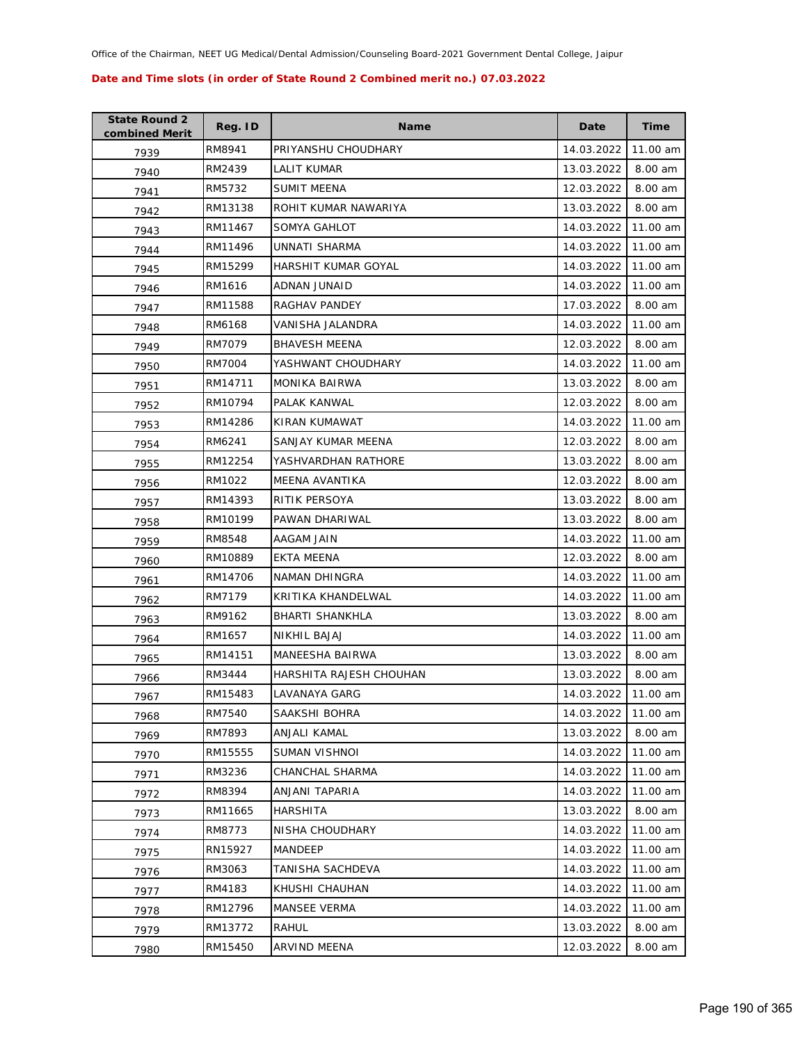| <b>State Round 2</b><br>combined Merit | Reg. ID | <b>Name</b>             | Date       | <b>Time</b> |
|----------------------------------------|---------|-------------------------|------------|-------------|
| 7939                                   | RM8941  | PRIYANSHU CHOUDHARY     | 14.03.2022 | 11.00 am    |
| 7940                                   | RM2439  | LALIT KUMAR             | 13.03.2022 | 8.00 am     |
| 7941                                   | RM5732  | <b>SUMIT MEENA</b>      | 12.03.2022 | 8.00 am     |
| 7942                                   | RM13138 | ROHIT KUMAR NAWARIYA    | 13.03.2022 | 8.00 am     |
| 7943                                   | RM11467 | SOMYA GAHLOT            | 14.03.2022 | 11.00 am    |
| 7944                                   | RM11496 | UNNATI SHARMA           | 14.03.2022 | 11.00 am    |
| 7945                                   | RM15299 | HARSHIT KUMAR GOYAL     | 14.03.2022 | 11.00 am    |
| 7946                                   | RM1616  | ADNAN JUNAID            | 14.03.2022 | 11.00 am    |
| 7947                                   | RM11588 | RAGHAV PANDEY           | 17.03.2022 | 8.00 am     |
| 7948                                   | RM6168  | VANISHA JALANDRA        | 14.03.2022 | 11.00 am    |
| 7949                                   | RM7079  | <b>BHAVESH MEENA</b>    | 12.03.2022 | 8.00 am     |
| 7950                                   | RM7004  | YASHWANT CHOUDHARY      | 14.03.2022 | 11.00 am    |
| 7951                                   | RM14711 | <b>MONIKA BAIRWA</b>    | 13.03.2022 | 8.00 am     |
| 7952                                   | RM10794 | PALAK KANWAL            | 12.03.2022 | 8.00 am     |
| 7953                                   | RM14286 | KIRAN KUMAWAT           | 14.03.2022 | 11.00 am    |
| 7954                                   | RM6241  | SANJAY KUMAR MEENA      | 12.03.2022 | 8.00 am     |
| 7955                                   | RM12254 | YASHVARDHAN RATHORE     | 13.03.2022 | 8.00 am     |
| 7956                                   | RM1022  | MEENA AVANTIKA          | 12.03.2022 | 8.00 am     |
| 7957                                   | RM14393 | RITIK PERSOYA           | 13.03.2022 | 8.00 am     |
| 7958                                   | RM10199 | PAWAN DHARIWAL          | 13.03.2022 | 8.00 am     |
| 7959                                   | RM8548  | AAGAM JAIN              | 14.03.2022 | 11.00 am    |
| 7960                                   | RM10889 | EKTA MEENA              | 12.03.2022 | 8.00 am     |
| 7961                                   | RM14706 | NAMAN DHINGRA           | 14.03.2022 | 11.00 am    |
| 7962                                   | RM7179  | KRITIKA KHANDELWAL      | 14.03.2022 | 11.00 am    |
| 7963                                   | RM9162  | <b>BHARTI SHANKHLA</b>  | 13.03.2022 | 8.00 am     |
| 7964                                   | RM1657  | <b>NIKHIL BAJAJ</b>     | 14.03.2022 | 11.00 am    |
| 7965                                   | RM14151 | <b>MANEESHA BAIRWA</b>  | 13.03.2022 | 8.00 am     |
| 7966                                   | RM3444  | HARSHITA RAJESH CHOUHAN | 13.03.2022 | 8.00 am     |
| 7967                                   | RM15483 | LAVANAYA GARG           | 14.03.2022 | 11.00 am    |
| 7968                                   | RM7540  | SAAKSHI BOHRA           | 14.03.2022 | 11.00 am    |
| 7969                                   | RM7893  | ANJALI KAMAL            | 13.03.2022 | 8.00 am     |
| 7970                                   | RM15555 | <b>SUMAN VISHNOI</b>    | 14.03.2022 | 11.00 am    |
| 7971                                   | RM3236  | CHANCHAL SHARMA         | 14.03.2022 | 11.00 am    |
| 7972                                   | RM8394  | ANJANI TAPARIA          | 14.03.2022 | 11.00 am    |
| 7973                                   | RM11665 | <b>HARSHITA</b>         | 13.03.2022 | 8.00 am     |
| 7974                                   | RM8773  | NISHA CHOUDHARY         | 14.03.2022 | 11.00 am    |
| 7975                                   | RN15927 | MANDEEP                 | 14.03.2022 | 11.00 am    |
| 7976                                   | RM3063  | TANISHA SACHDEVA        | 14.03.2022 | 11.00 am    |
| 7977                                   | RM4183  | KHUSHI CHAUHAN          | 14.03.2022 | 11.00 am    |
| 7978                                   | RM12796 | <b>MANSEE VERMA</b>     | 14.03.2022 | 11.00 am    |
| 7979                                   | RM13772 | RAHUL                   | 13.03.2022 | 8.00 am     |
| 7980                                   | RM15450 | ARVIND MEENA            | 12.03.2022 | 8.00 am     |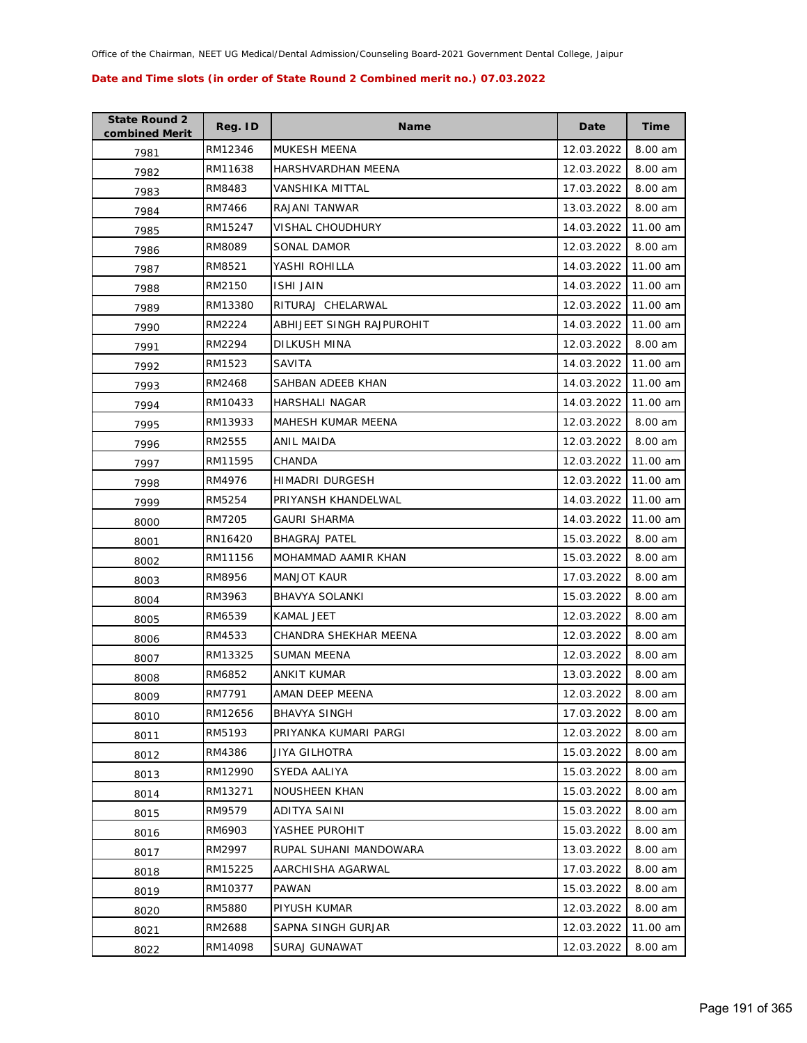| <b>State Round 2</b><br>combined Merit | Reg. ID | <b>Name</b>               | Date       | <b>Time</b> |
|----------------------------------------|---------|---------------------------|------------|-------------|
| 7981                                   | RM12346 | MUKESH MEENA              | 12.03.2022 | 8.00 am     |
| 7982                                   | RM11638 | HARSHVARDHAN MEENA        | 12.03.2022 | 8.00 am     |
| 7983                                   | RM8483  | VANSHIKA MITTAL           | 17.03.2022 | 8.00 am     |
| 7984                                   | RM7466  | RAJANI TANWAR             | 13.03.2022 | 8.00 am     |
| 7985                                   | RM15247 | VISHAL CHOUDHURY          | 14.03.2022 | 11.00 am    |
| 7986                                   | RM8089  | SONAL DAMOR               | 12.03.2022 | 8.00 am     |
| 7987                                   | RM8521  | YASHI ROHILLA             | 14.03.2022 | 11.00 am    |
| 7988                                   | RM2150  | <b>ISHI JAIN</b>          | 14.03.2022 | 11.00 am    |
| 7989                                   | RM13380 | RITURAJ CHELARWAL         | 12.03.2022 | 11.00 am    |
| 7990                                   | RM2224  | ABHIJEET SINGH RAJPUROHIT | 14.03.2022 | 11.00 am    |
| 7991                                   | RM2294  | DILKUSH MINA              | 12.03.2022 | 8.00 am     |
| 7992                                   | RM1523  | SAVITA                    | 14.03.2022 | 11.00 am    |
| 7993                                   | RM2468  | SAHBAN ADEEB KHAN         | 14.03.2022 | 11.00 am    |
| 7994                                   | RM10433 | HARSHALI NAGAR            | 14.03.2022 | 11.00 am    |
| 7995                                   | RM13933 | <b>MAHESH KUMAR MEENA</b> | 12.03.2022 | 8.00 am     |
| 7996                                   | RM2555  | <b>ANIL MAIDA</b>         | 12.03.2022 | 8.00 am     |
| 7997                                   | RM11595 | CHANDA                    | 12.03.2022 | 11.00 am    |
| 7998                                   | RM4976  | HIMADRI DURGESH           | 12.03.2022 | 11.00 am    |
| 7999                                   | RM5254  | PRIYANSH KHANDELWAL       | 14.03.2022 | 11.00 am    |
| 8000                                   | RM7205  | GAURI SHARMA              | 14.03.2022 | 11.00 am    |
| 8001                                   | RN16420 | <b>BHAGRAJ PATEL</b>      | 15.03.2022 | 8.00 am     |
| 8002                                   | RM11156 | MOHAMMAD AAMIR KHAN       | 15.03.2022 | 8.00 am     |
| 8003                                   | RM8956  | <b>MANJOT KAUR</b>        | 17.03.2022 | 8.00 am     |
| 8004                                   | RM3963  | <b>BHAVYA SOLANKI</b>     | 15.03.2022 | 8.00 am     |
| 8005                                   | RM6539  | KAMAL JEET                | 12.03.2022 | 8.00 am     |
| 8006                                   | RM4533  | CHANDRA SHEKHAR MEENA     | 12.03.2022 | 8.00 am     |
| 8007                                   | RM13325 | SUMAN MEENA               | 12.03.2022 | 8.00 am     |
| 8008                                   | RM6852  | ANKIT KUMAR               | 13.03.2022 | 8.00 am     |
| 8009                                   | RM7791  | AMAN DEEP MEENA           | 12.03.2022 | 8.00 am     |
| 8010                                   | RM12656 | <b>BHAVYA SINGH</b>       | 17.03.2022 | 8.00 am     |
| 8011                                   | RM5193  | PRIYANKA KUMARI PARGI     | 12.03.2022 | 8.00 am     |
| 8012                                   | RM4386  | JIYA GILHOTRA             | 15.03.2022 | 8.00 am     |
| 8013                                   | RM12990 | SYEDA AALIYA              | 15.03.2022 | 8.00 am     |
| 8014                                   | RM13271 | <b>NOUSHEEN KHAN</b>      | 15.03.2022 | 8.00 am     |
| 8015                                   | RM9579  | <b>ADITYA SAINI</b>       | 15.03.2022 | 8.00 am     |
| 8016                                   | RM6903  | YASHEE PUROHIT            | 15.03.2022 | 8.00 am     |
| 8017                                   | RM2997  | RUPAL SUHANI MANDOWARA    | 13.03.2022 | 8.00 am     |
| 8018                                   | RM15225 | AARCHISHA AGARWAL         | 17.03.2022 | 8.00 am     |
| 8019                                   | RM10377 | PAWAN                     | 15.03.2022 | 8.00 am     |
| 8020                                   | RM5880  | PIYUSH KUMAR              | 12.03.2022 | 8.00 am     |
| 8021                                   | RM2688  | SAPNA SINGH GURJAR        | 12.03.2022 | 11.00 am    |
| 8022                                   | RM14098 | SURAJ GUNAWAT             | 12.03.2022 | 8.00 am     |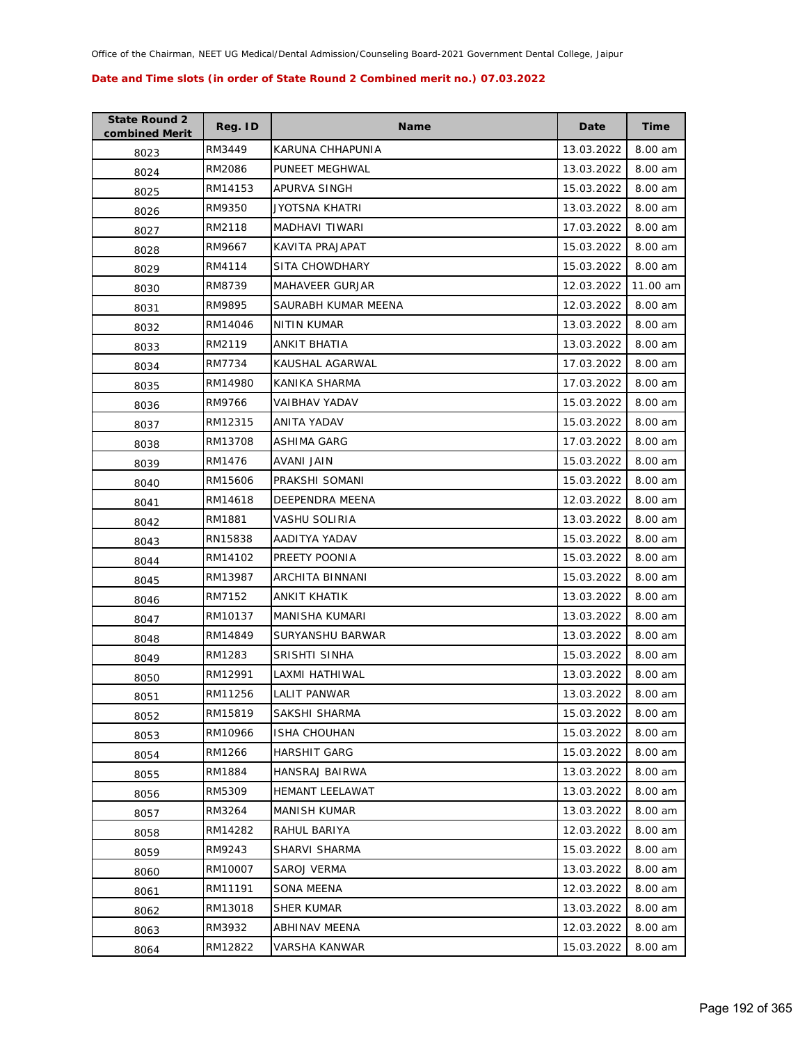| <b>State Round 2</b><br>combined Merit | Reg. ID | <b>Name</b>            | Date       | Time     |
|----------------------------------------|---------|------------------------|------------|----------|
| 8023                                   | RM3449  | KARUNA CHHAPUNIA       | 13.03.2022 | 8.00 am  |
| 8024                                   | RM2086  | PUNEET MEGHWAL         | 13.03.2022 | 8.00 am  |
| 8025                                   | RM14153 | APURVA SINGH           | 15.03.2022 | 8.00 am  |
| 8026                                   | RM9350  | JYOTSNA KHATRI         | 13.03.2022 | 8.00 am  |
| 8027                                   | RM2118  | MADHAVI TIWARI         | 17.03.2022 | 8.00 am  |
| 8028                                   | RM9667  | KAVITA PRAJAPAT        | 15.03.2022 | 8.00 am  |
| 8029                                   | RM4114  | SITA CHOWDHARY         | 15.03.2022 | 8.00 am  |
| 8030                                   | RM8739  | <b>MAHAVEER GURJAR</b> | 12.03.2022 | 11.00 am |
| 8031                                   | RM9895  | SAURABH KUMAR MEENA    | 12.03.2022 | 8.00 am  |
| 8032                                   | RM14046 | <b>NITIN KUMAR</b>     | 13.03.2022 | 8.00 am  |
| 8033                                   | RM2119  | ANKIT BHATIA           | 13.03.2022 | 8.00 am  |
| 8034                                   | RM7734  | KAUSHAL AGARWAL        | 17.03.2022 | 8.00 am  |
| 8035                                   | RM14980 | KANIKA SHARMA          | 17.03.2022 | 8.00 am  |
| 8036                                   | RM9766  | VAIBHAV YADAV          | 15.03.2022 | 8.00 am  |
| 8037                                   | RM12315 | ANITA YADAV            | 15.03.2022 | 8.00 am  |
| 8038                                   | RM13708 | <b>ASHIMA GARG</b>     | 17.03.2022 | 8.00 am  |
| 8039                                   | RM1476  | AVANI JAIN             | 15.03.2022 | 8.00 am  |
| 8040                                   | RM15606 | PRAKSHI SOMANI         | 15.03.2022 | 8.00 am  |
| 8041                                   | RM14618 | DEEPENDRA MEENA        | 12.03.2022 | 8.00 am  |
| 8042                                   | RM1881  | VASHU SOLIRIA          | 13.03.2022 | 8.00 am  |
| 8043                                   | RN15838 | AADITYA YADAV          | 15.03.2022 | 8.00 am  |
| 8044                                   | RM14102 | PREETY POONIA          | 15.03.2022 | 8.00 am  |
| 8045                                   | RM13987 | ARCHITA BINNANI        | 15.03.2022 | 8.00 am  |
| 8046                                   | RM7152  | ANKIT KHATIK           | 13.03.2022 | 8.00 am  |
| 8047                                   | RM10137 | MANISHA KUMARI         | 13.03.2022 | 8.00 am  |
| 8048                                   | RM14849 | SURYANSHU BARWAR       | 13.03.2022 | 8.00 am  |
| 8049                                   | RM1283  | SRISHTI SINHA          | 15.03.2022 | 8.00 am  |
| 8050                                   | RM12991 | LAXMI HATHIWAL         | 13.03.2022 | 8.00 am  |
| 8051                                   | RM11256 | LALIT PANWAR           | 13.03.2022 | 8.00 am  |
| 8052                                   | RM15819 | SAKSHI SHARMA          | 15.03.2022 | 8.00 am  |
| 8053                                   | RM10966 | <b>ISHA CHOUHAN</b>    | 15.03.2022 | 8.00 am  |
| 8054                                   | RM1266  | <b>HARSHIT GARG</b>    | 15.03.2022 | 8.00 am  |
| 8055                                   | RM1884  | HANSRAJ BAIRWA         | 13.03.2022 | 8.00 am  |
| 8056                                   | RM5309  | HEMANT LEELAWAT        | 13.03.2022 | 8.00 am  |
| 8057                                   | RM3264  | <b>MANISH KUMAR</b>    | 13.03.2022 | 8.00 am  |
| 8058                                   | RM14282 | RAHUL BARIYA           | 12.03.2022 | 8.00 am  |
| 8059                                   | RM9243  | SHARVI SHARMA          | 15.03.2022 | 8.00 am  |
| 8060                                   | RM10007 | SAROJ VERMA            | 13.03.2022 | 8.00 am  |
| 8061                                   | RM11191 | SONA MEENA             | 12.03.2022 | 8.00 am  |
| 8062                                   | RM13018 | SHER KUMAR             | 13.03.2022 | 8.00 am  |
| 8063                                   | RM3932  | ABHINAV MEENA          | 12.03.2022 | 8.00 am  |
| 8064                                   | RM12822 | VARSHA KANWAR          | 15.03.2022 | 8.00 am  |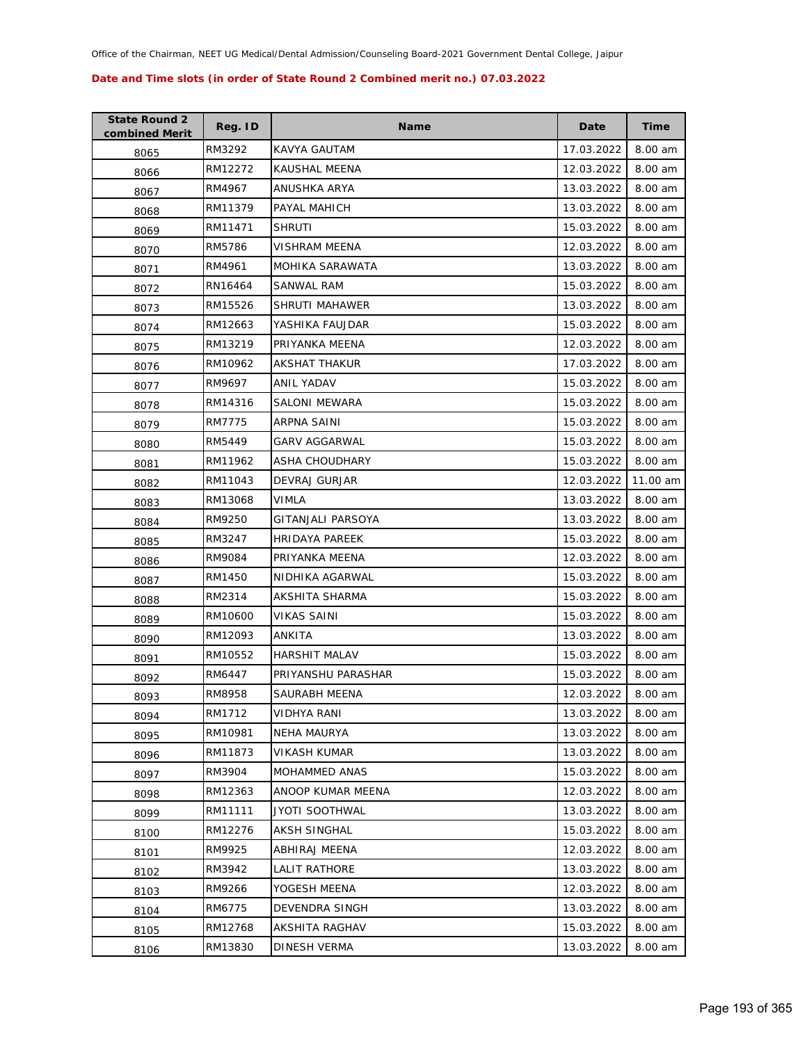| <b>State Round 2</b><br>combined Merit | Reg. ID | Name                 | Date       | Time     |
|----------------------------------------|---------|----------------------|------------|----------|
| 8065                                   | RM3292  | KAVYA GAUTAM         | 17.03.2022 | 8.00 am  |
| 8066                                   | RM12272 | KAUSHAL MEENA        | 12.03.2022 | 8.00 am  |
| 8067                                   | RM4967  | ANUSHKA ARYA         | 13.03.2022 | 8.00 am  |
| 8068                                   | RM11379 | PAYAL MAHICH         | 13.03.2022 | 8.00 am  |
| 8069                                   | RM11471 | <b>SHRUTI</b>        | 15.03.2022 | 8.00 am  |
| 8070                                   | RM5786  | VISHRAM MEENA        | 12.03.2022 | 8.00 am  |
| 8071                                   | RM4961  | MOHIKA SARAWATA      | 13.03.2022 | 8.00 am  |
| 8072                                   | RN16464 | SANWAL RAM           | 15.03.2022 | 8.00 am  |
| 8073                                   | RM15526 | SHRUTI MAHAWER       | 13.03.2022 | 8.00 am  |
| 8074                                   | RM12663 | YASHIKA FAUJDAR      | 15.03.2022 | 8.00 am  |
| 8075                                   | RM13219 | PRIYANKA MEENA       | 12.03.2022 | 8.00 am  |
| 8076                                   | RM10962 | AKSHAT THAKUR        | 17.03.2022 | 8.00 am  |
| 8077                                   | RM9697  | ANIL YADAV           | 15.03.2022 | 8.00 am  |
| 8078                                   | RM14316 | <b>SALONI MEWARA</b> | 15.03.2022 | 8.00 am  |
| 8079                                   | RM7775  | ARPNA SAINI          | 15.03.2022 | 8.00 am  |
| 8080                                   | RM5449  | <b>GARV AGGARWAL</b> | 15.03.2022 | 8.00 am  |
| 8081                                   | RM11962 | ASHA CHOUDHARY       | 15.03.2022 | 8.00 am  |
| 8082                                   | RM11043 | DEVRAJ GURJAR        | 12.03.2022 | 11.00 am |
| 8083                                   | RM13068 | VIMLA                | 13.03.2022 | 8.00 am  |
| 8084                                   | RM9250  | GITANJALI PARSOYA    | 13.03.2022 | 8.00 am  |
| 8085                                   | RM3247  | HRIDAYA PAREEK       | 15.03.2022 | 8.00 am  |
| 8086                                   | RM9084  | PRIYANKA MEENA       | 12.03.2022 | 8.00 am  |
| 8087                                   | RM1450  | NIDHIKA AGARWAL      | 15.03.2022 | 8.00 am  |
| 8088                                   | RM2314  | AKSHITA SHARMA       | 15.03.2022 | 8.00 am  |
| 8089                                   | RM10600 | VIKAS SAINI          | 15.03.2022 | 8.00 am  |
| 8090                                   | RM12093 | ANKITA               | 13.03.2022 | 8.00 am  |
| 8091                                   | RM10552 | <b>HARSHIT MALAV</b> | 15.03.2022 | 8.00 am  |
| 8092                                   | RM6447  | PRIYANSHU PARASHAR   | 15.03.2022 | 8.00 am  |
| 8093                                   | RM8958  | <b>SAURABH MEENA</b> | 12.03.2022 | 8.00 am  |
| 8094                                   | RM1712  | <b>VIDHYA RANI</b>   | 13.03.2022 | 8.00 am  |
| 8095                                   | RM10981 | <b>NEHA MAURYA</b>   | 13.03.2022 | 8.00 am  |
| 8096                                   | RM11873 | <b>VIKASH KUMAR</b>  | 13.03.2022 | 8.00 am  |
| 8097                                   | RM3904  | MOHAMMED ANAS        | 15.03.2022 | 8.00 am  |
| 8098                                   | RM12363 | ANOOP KUMAR MEENA    | 12.03.2022 | 8.00 am  |
| 8099                                   | RM11111 | JYOTI SOOTHWAL       | 13.03.2022 | 8.00 am  |
| 8100                                   | RM12276 | <b>AKSH SINGHAL</b>  | 15.03.2022 | 8.00 am  |
| 8101                                   | RM9925  | ABHIRAJ MEENA        | 12.03.2022 | 8.00 am  |
| 8102                                   | RM3942  | LALIT RATHORE        | 13.03.2022 | 8.00 am  |
| 8103                                   | RM9266  | YOGESH MEENA         | 12.03.2022 | 8.00 am  |
| 8104                                   | RM6775  | DEVENDRA SINGH       | 13.03.2022 | 8.00 am  |
| 8105                                   | RM12768 | AKSHITA RAGHAV       | 15.03.2022 | 8.00 am  |
| 8106                                   | RM13830 | DINESH VERMA         | 13.03.2022 | 8.00 am  |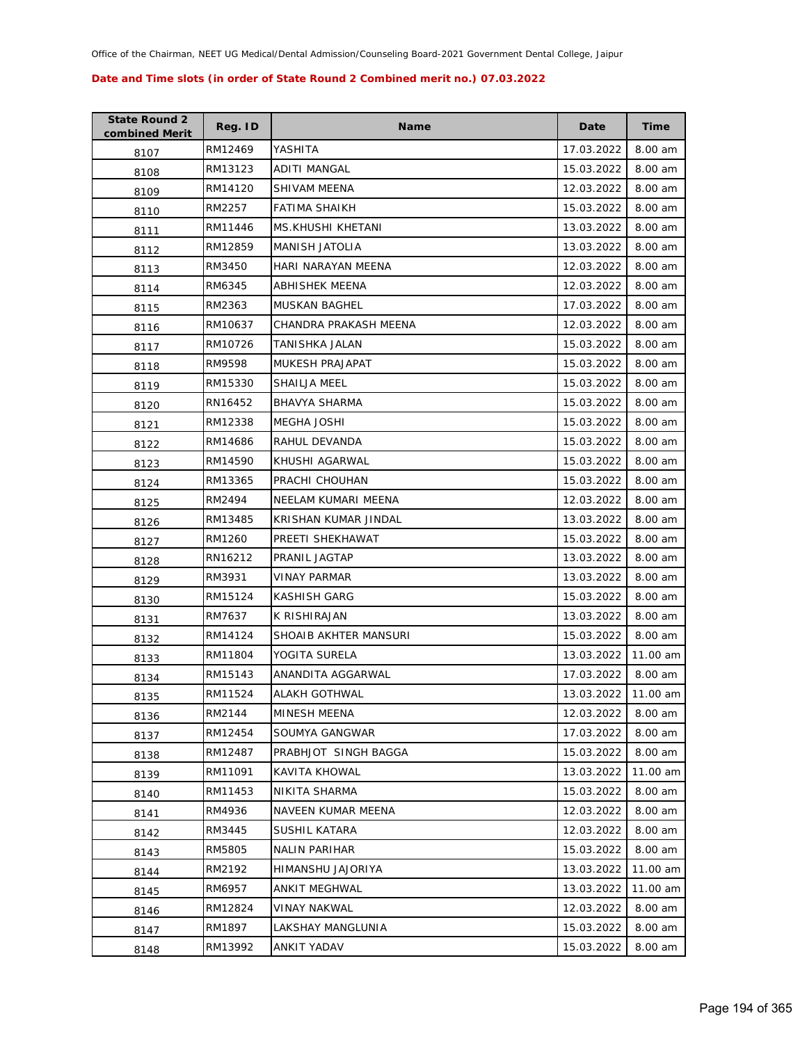| <b>State Round 2</b><br>combined Merit | Reg. ID | <b>Name</b>           | Date       | <b>Time</b> |
|----------------------------------------|---------|-----------------------|------------|-------------|
| 8107                                   | RM12469 | YASHITA               | 17.03.2022 | 8.00 am     |
| 8108                                   | RM13123 | ADITI MANGAL          | 15.03.2022 | 8.00 am     |
| 8109                                   | RM14120 | SHIVAM MEENA          | 12.03.2022 | 8.00 am     |
| 8110                                   | RM2257  | <b>FATIMA SHAIKH</b>  | 15.03.2022 | 8.00 am     |
| 8111                                   | RM11446 | MS.KHUSHI KHETANI     | 13.03.2022 | 8.00 am     |
| 8112                                   | RM12859 | <b>MANISH JATOLIA</b> | 13.03.2022 | 8.00 am     |
| 8113                                   | RM3450  | HARI NARAYAN MEENA    | 12.03.2022 | 8.00 am     |
| 8114                                   | RM6345  | <b>ABHISHEK MEENA</b> | 12.03.2022 | 8.00 am     |
| 8115                                   | RM2363  | <b>MUSKAN BAGHEL</b>  | 17.03.2022 | 8.00 am     |
| 8116                                   | RM10637 | CHANDRA PRAKASH MEENA | 12.03.2022 | 8.00 am     |
| 8117                                   | RM10726 | TANISHKA JALAN        | 15.03.2022 | 8.00 am     |
| 8118                                   | RM9598  | MUKESH PRAJAPAT       | 15.03.2022 | 8.00 am     |
| 8119                                   | RM15330 | SHAILJA MEEL          | 15.03.2022 | 8.00 am     |
| 8120                                   | RN16452 | <b>BHAVYA SHARMA</b>  | 15.03.2022 | 8.00 am     |
| 8121                                   | RM12338 | <b>MEGHA JOSHI</b>    | 15.03.2022 | 8.00 am     |
| 8122                                   | RM14686 | RAHUL DEVANDA         | 15.03.2022 | 8.00 am     |
| 8123                                   | RM14590 | KHUSHI AGARWAL        | 15.03.2022 | 8.00 am     |
| 8124                                   | RM13365 | PRACHI CHOUHAN        | 15.03.2022 | 8.00 am     |
| 8125                                   | RM2494  | NEELAM KUMARI MEENA   | 12.03.2022 | 8.00 am     |
| 8126                                   | RM13485 | KRISHAN KUMAR JINDAL  | 13.03.2022 | 8.00 am     |
| 8127                                   | RM1260  | PREETI SHEKHAWAT      | 15.03.2022 | 8.00 am     |
| 8128                                   | RN16212 | PRANIL JAGTAP         | 13.03.2022 | 8.00 am     |
| 8129                                   | RM3931  | <b>VINAY PARMAR</b>   | 13.03.2022 | 8.00 am     |
| 8130                                   | RM15124 | <b>KASHISH GARG</b>   | 15.03.2022 | 8.00 am     |
| 8131                                   | RM7637  | K RISHIRAJAN          | 13.03.2022 | 8.00 am     |
| 8132                                   | RM14124 | SHOAIB AKHTER MANSURI | 15.03.2022 | 8.00 am     |
| 8133                                   | RM11804 | YOGITA SURELA         | 13.03.2022 | 11.00 am    |
| 8134                                   | RM15143 | ANANDITA AGGARWAL     | 17.03.2022 | 8.00 am     |
| 8135                                   | RM11524 | ALAKH GOTHWAL         | 13.03.2022 | 11.00 am    |
| 8136                                   | RM2144  | MINESH MEENA          | 12.03.2022 | 8.00 am     |
| 8137                                   | RM12454 | SOUMYA GANGWAR        | 17.03.2022 | 8.00 am     |
| 8138                                   | RM12487 | PRABHJOT SINGH BAGGA  | 15.03.2022 | 8.00 am     |
| 8139                                   | RM11091 | <b>KAVITA KHOWAL</b>  | 13.03.2022 | 11.00 am    |
| 8140                                   | RM11453 | NIKITA SHARMA         | 15.03.2022 | 8.00 am     |
| 8141                                   | RM4936  | NAVEEN KUMAR MEENA    | 12.03.2022 | 8.00 am     |
| 8142                                   | RM3445  | SUSHIL KATARA         | 12.03.2022 | 8.00 am     |
| 8143                                   | RM5805  | <b>NALIN PARIHAR</b>  | 15.03.2022 | 8.00 am     |
| 8144                                   | RM2192  | HIMANSHU JAJORIYA     | 13.03.2022 | 11.00 am    |
| 8145                                   | RM6957  | ANKIT MEGHWAL         | 13.03.2022 | 11.00 am    |
| 8146                                   | RM12824 | <b>VINAY NAKWAL</b>   | 12.03.2022 | 8.00 am     |
| 8147                                   | RM1897  | LAKSHAY MANGLUNIA     | 15.03.2022 | 8.00 am     |
| 8148                                   | RM13992 | ANKIT YADAV           | 15.03.2022 | 8.00 am     |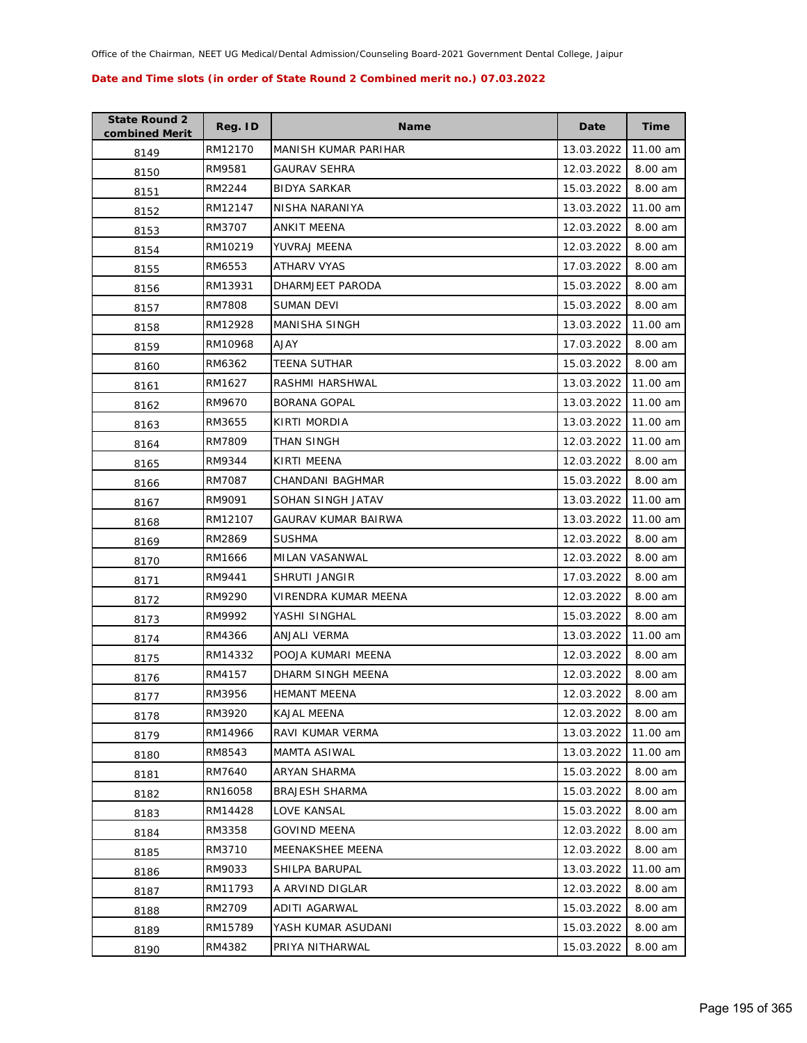| <b>State Round 2</b><br>combined Merit | Reg. ID | <b>Name</b>           | Date       | <b>Time</b> |
|----------------------------------------|---------|-----------------------|------------|-------------|
| 8149                                   | RM12170 | MANISH KUMAR PARIHAR  | 13.03.2022 | 11.00 am    |
| 8150                                   | RM9581  | <b>GAURAV SEHRA</b>   | 12.03.2022 | 8.00 am     |
| 8151                                   | RM2244  | <b>BIDYA SARKAR</b>   | 15.03.2022 | 8.00 am     |
| 8152                                   | RM12147 | NISHA NARANIYA        | 13.03.2022 | 11.00 am    |
| 8153                                   | RM3707  | ANKIT MEENA           | 12.03.2022 | 8.00 am     |
| 8154                                   | RM10219 | YUVRAJ MEENA          | 12.03.2022 | 8.00 am     |
| 8155                                   | RM6553  | <b>ATHARV VYAS</b>    | 17.03.2022 | 8.00 am     |
| 8156                                   | RM13931 | DHARMJEET PARODA      | 15.03.2022 | 8.00 am     |
| 8157                                   | RM7808  | <b>SUMAN DEVI</b>     | 15.03.2022 | 8.00 am     |
| 8158                                   | RM12928 | MANISHA SINGH         | 13.03.2022 | 11.00 am    |
| 8159                                   | RM10968 | AJAY                  | 17.03.2022 | 8.00 am     |
| 8160                                   | RM6362  | <b>TEENA SUTHAR</b>   | 15.03.2022 | 8.00 am     |
| 8161                                   | RM1627  | RASHMI HARSHWAL       | 13.03.2022 | 11.00 am    |
| 8162                                   | RM9670  | <b>BORANA GOPAL</b>   | 13.03.2022 | 11.00 am    |
| 8163                                   | RM3655  | KIRTI MORDIA          | 13.03.2022 | 11.00 am    |
| 8164                                   | RM7809  | THAN SINGH            | 12.03.2022 | 11.00 am    |
| 8165                                   | RM9344  | KIRTI MEENA           | 12.03.2022 | 8.00 am     |
| 8166                                   | RM7087  | CHANDANI BAGHMAR      | 15.03.2022 | 8.00 am     |
| 8167                                   | RM9091  | SOHAN SINGH JATAV     | 13.03.2022 | 11.00 am    |
| 8168                                   | RM12107 | GAURAV KUMAR BAIRWA   | 13.03.2022 | 11.00 am    |
| 8169                                   | RM2869  | <b>SUSHMA</b>         | 12.03.2022 | 8.00 am     |
| 8170                                   | RM1666  | MILAN VASANWAL        | 12.03.2022 | 8.00 am     |
| 8171                                   | RM9441  | SHRUTI JANGIR         | 17.03.2022 | 8.00 am     |
| 8172                                   | RM9290  | VIRENDRA KUMAR MEENA  | 12.03.2022 | 8.00 am     |
| 8173                                   | RM9992  | YASHI SINGHAL         | 15.03.2022 | 8.00 am     |
| 8174                                   | RM4366  | <b>ANJALI VERMA</b>   | 13.03.2022 | 11.00 am    |
| 8175                                   | RM14332 | POOJA KUMARI MEENA    | 12.03.2022 | 8.00 am     |
| 8176                                   | RM4157  | DHARM SINGH MEENA     | 12.03.2022 | 8.00 am     |
| 8177                                   | RM3956  | <b>HEMANT MEENA</b>   | 12.03.2022 | 8.00 am     |
| 8178                                   | RM3920  | KAJAL MEENA           | 12.03.2022 | 8.00 am     |
| 8179                                   | RM14966 | RAVI KUMAR VERMA      | 13.03.2022 | 11.00 am    |
| 8180                                   | RM8543  | MAMTA ASIWAL          | 13.03.2022 | 11.00 am    |
| 8181                                   | RM7640  | ARYAN SHARMA          | 15.03.2022 | 8.00 am     |
| 8182                                   | RN16058 | <b>BRAJESH SHARMA</b> | 15.03.2022 | 8.00 am     |
| 8183                                   | RM14428 | LOVE KANSAL           | 15.03.2022 | 8.00 am     |
| 8184                                   | RM3358  | <b>GOVIND MEENA</b>   | 12.03.2022 | 8.00 am     |
| 8185                                   | RM3710  | MEENAKSHEE MEENA      | 12.03.2022 | 8.00 am     |
| 8186                                   | RM9033  | SHILPA BARUPAL        | 13.03.2022 | 11.00 am    |
| 8187                                   | RM11793 | A ARVIND DIGLAR       | 12.03.2022 | 8.00 am     |
| 8188                                   | RM2709  | ADITI AGARWAL         | 15.03.2022 | 8.00 am     |
| 8189                                   | RM15789 | YASH KUMAR ASUDANI    | 15.03.2022 | 8.00 am     |
| 8190                                   | RM4382  | PRIYA NITHARWAL       | 15.03.2022 | 8.00 am     |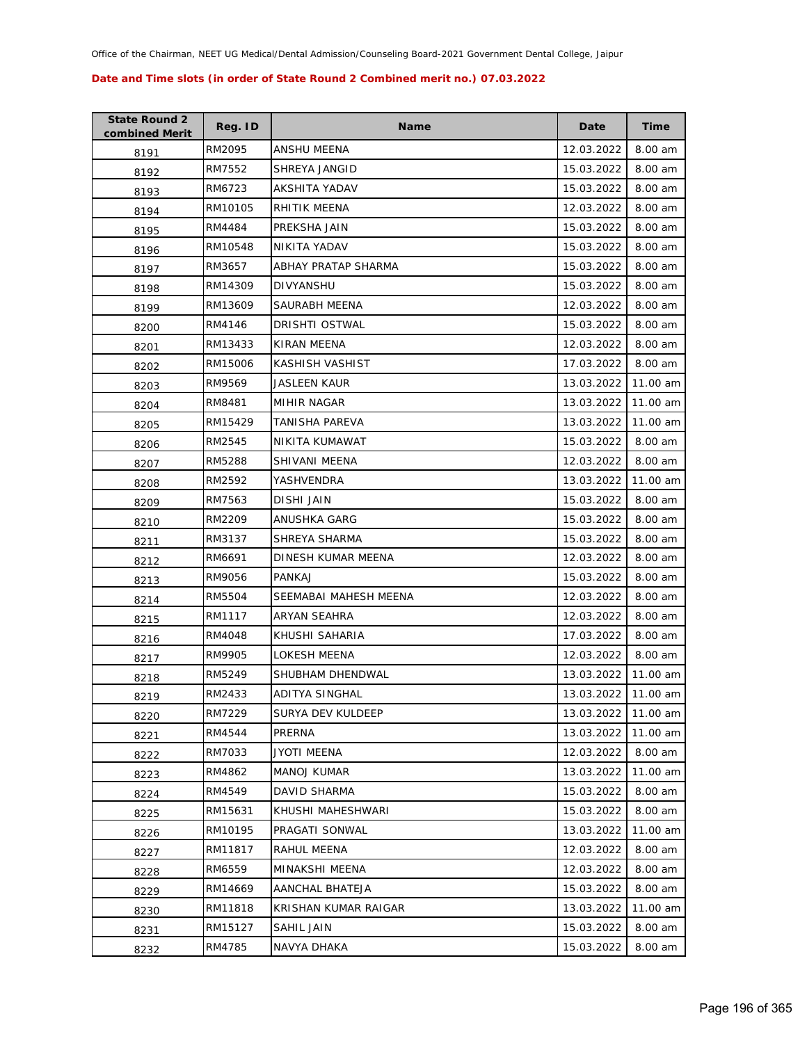| <b>State Round 2</b><br>combined Merit | Reg. ID | Name                  | Date       | Time     |
|----------------------------------------|---------|-----------------------|------------|----------|
| 8191                                   | RM2095  | ANSHU MEENA           | 12.03.2022 | 8.00 am  |
| 8192                                   | RM7552  | SHREYA JANGID         | 15.03.2022 | 8.00 am  |
| 8193                                   | RM6723  | AKSHITA YADAV         | 15.03.2022 | 8.00 am  |
| 8194                                   | RM10105 | RHITIK MEENA          | 12.03.2022 | 8.00 am  |
| 8195                                   | RM4484  | PREKSHA JAIN          | 15.03.2022 | 8.00 am  |
| 8196                                   | RM10548 | NIKITA YADAV          | 15.03.2022 | 8.00 am  |
| 8197                                   | RM3657  | ABHAY PRATAP SHARMA   | 15.03.2022 | 8.00 am  |
| 8198                                   | RM14309 | DIVYANSHU             | 15.03.2022 | 8.00 am  |
| 8199                                   | RM13609 | SAURABH MEENA         | 12.03.2022 | 8.00 am  |
| 8200                                   | RM4146  | DRISHTI OSTWAL        | 15.03.2022 | 8.00 am  |
| 8201                                   | RM13433 | KIRAN MEENA           | 12.03.2022 | 8.00 am  |
| 8202                                   | RM15006 | KASHISH VASHIST       | 17.03.2022 | 8.00 am  |
| 8203                                   | RM9569  | JASLEEN KAUR          | 13.03.2022 | 11.00 am |
| 8204                                   | RM8481  | MIHIR NAGAR           | 13.03.2022 | 11.00 am |
| 8205                                   | RM15429 | TANISHA PAREVA        | 13.03.2022 | 11.00 am |
| 8206                                   | RM2545  | NIKITA KUMAWAT        | 15.03.2022 | 8.00 am  |
| 8207                                   | RM5288  | SHIVANI MEENA         | 12.03.2022 | 8.00 am  |
| 8208                                   | RM2592  | YASHVENDRA            | 13.03.2022 | 11.00 am |
| 8209                                   | RM7563  | DISHI JAIN            | 15.03.2022 | 8.00 am  |
| 8210                                   | RM2209  | ANUSHKA GARG          | 15.03.2022 | 8.00 am  |
| 8211                                   | RM3137  | SHREYA SHARMA         | 15.03.2022 | 8.00 am  |
| 8212                                   | RM6691  | DINESH KUMAR MEENA    | 12.03.2022 | 8.00 am  |
| 8213                                   | RM9056  | PANKAJ                | 15.03.2022 | 8.00 am  |
| 8214                                   | RM5504  | SEEMABAI MAHESH MEENA | 12.03.2022 | 8.00 am  |
| 8215                                   | RM1117  | ARYAN SEAHRA          | 12.03.2022 | 8.00 am  |
| 8216                                   | RM4048  | KHUSHI SAHARIA        | 17.03.2022 | 8.00 am  |
| 8217                                   | RM9905  | LOKESH MEENA          | 12.03.2022 | 8.00 am  |
| 8218                                   | RM5249  | SHUBHAM DHENDWAL      | 13.03.2022 | 11.00 am |
| 8219                                   | RM2433  | <b>ADITYA SINGHAL</b> | 13.03.2022 | 11.00 am |
| 8220                                   | RM7229  | SURYA DEV KULDEEP     | 13.03.2022 | 11.00 am |
| 8221                                   | RM4544  | PRERNA                | 13.03.2022 | 11.00 am |
| 8222                                   | RM7033  | JYOTI MEENA           | 12.03.2022 | 8.00 am  |
| 8223                                   | RM4862  | <b>MANOJ KUMAR</b>    | 13.03.2022 | 11.00 am |
| 8224                                   | RM4549  | <b>DAVID SHARMA</b>   | 15.03.2022 | 8.00 am  |
| 8225                                   | RM15631 | KHUSHI MAHESHWARI     | 15.03.2022 | 8.00 am  |
| 8226                                   | RM10195 | PRAGATI SONWAL        | 13.03.2022 | 11.00 am |
| 8227                                   | RM11817 | RAHUL MEENA           | 12.03.2022 | 8.00 am  |
| 8228                                   | RM6559  | MINAKSHI MEENA        | 12.03.2022 | 8.00 am  |
| 8229                                   | RM14669 | AANCHAL BHATEJA       | 15.03.2022 | 8.00 am  |
| 8230                                   | RM11818 | KRISHAN KUMAR RAIGAR  | 13.03.2022 | 11.00 am |
| 8231                                   | RM15127 | SAHIL JAIN            | 15.03.2022 | 8.00 am  |
| 8232                                   | RM4785  | NAVYA DHAKA           | 15.03.2022 | 8.00 am  |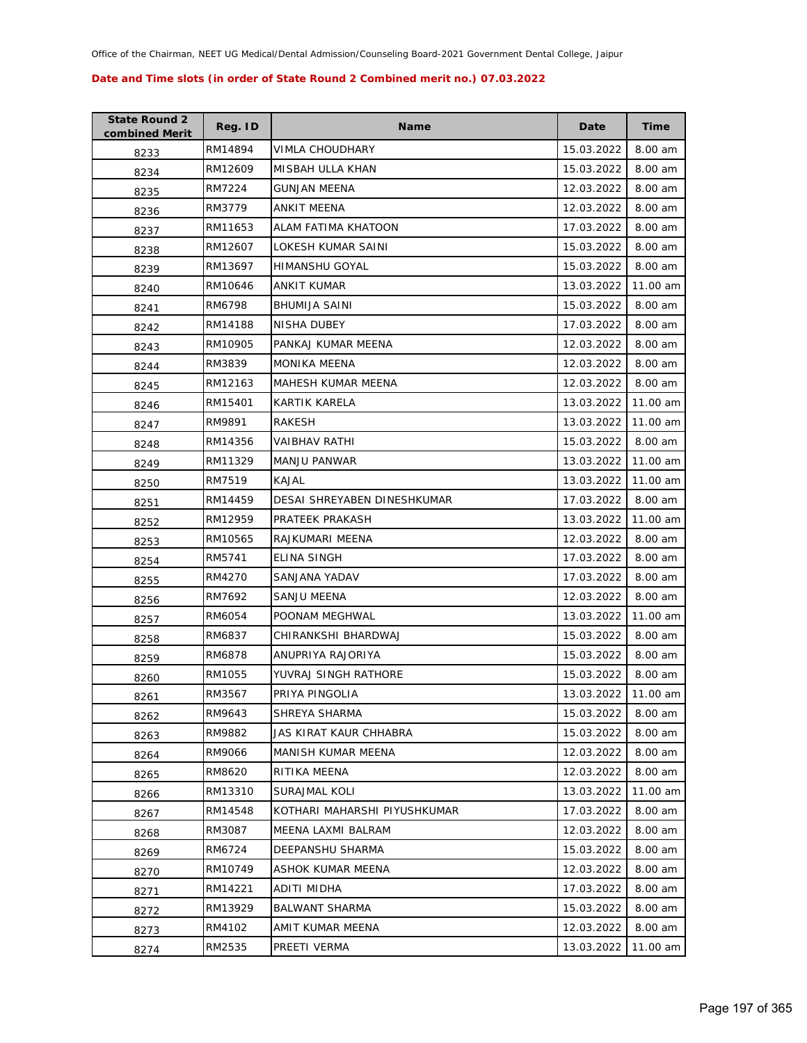| <b>State Round 2</b><br>combined Merit | Reg. ID | <b>Name</b>                  | Date       | Time      |
|----------------------------------------|---------|------------------------------|------------|-----------|
| 8233                                   | RM14894 | VIMLA CHOUDHARY              | 15.03.2022 | 8.00 am   |
| 8234                                   | RM12609 | MISBAH ULLA KHAN             | 15.03.2022 | 8.00 am   |
| 8235                                   | RM7224  | <b>GUNJAN MEENA</b>          | 12.03.2022 | 8.00 am   |
| 8236                                   | RM3779  | ANKIT MEENA                  | 12.03.2022 | 8.00 am   |
| 8237                                   | RM11653 | ALAM FATIMA KHATOON          | 17.03.2022 | 8.00 am   |
| 8238                                   | RM12607 | LOKESH KUMAR SAINI           | 15.03.2022 | 8.00 am   |
| 8239                                   | RM13697 | <b>HIMANSHU GOYAL</b>        | 15.03.2022 | 8.00 am   |
| 8240                                   | RM10646 | <b>ANKIT KUMAR</b>           | 13.03.2022 | 11.00 am  |
| 8241                                   | RM6798  | <b>BHUMIJA SAINI</b>         | 15.03.2022 | 8.00 am   |
| 8242                                   | RM14188 | NISHA DUBEY                  | 17.03.2022 | 8.00 am   |
| 8243                                   | RM10905 | PANKAJ KUMAR MEENA           | 12.03.2022 | 8.00 am   |
| 8244                                   | RM3839  | <b>MONIKA MEENA</b>          | 12.03.2022 | 8.00 am   |
| 8245                                   | RM12163 | MAHESH KUMAR MEENA           | 12.03.2022 | 8.00 am   |
| 8246                                   | RM15401 | KARTIK KARELA                | 13.03.2022 | 11.00 am  |
| 8247                                   | RM9891  | RAKESH                       | 13.03.2022 | 11.00 am  |
| 8248                                   | RM14356 | VAIBHAV RATHI                | 15.03.2022 | 8.00 am   |
| 8249                                   | RM11329 | <b>MANJU PANWAR</b>          | 13.03.2022 | 11.00 am  |
| 8250                                   | RM7519  | KAJAL                        | 13.03.2022 | 11.00 am  |
| 8251                                   | RM14459 | DESAI SHREYABEN DINESHKUMAR  | 17.03.2022 | 8.00 am   |
| 8252                                   | RM12959 | PRATEEK PRAKASH              | 13.03.2022 | 11.00 am  |
| 8253                                   | RM10565 | RAJKUMARI MEENA              | 12.03.2022 | 8.00 am   |
| 8254                                   | RM5741  | ELINA SINGH                  | 17.03.2022 | 8.00 am   |
| 8255                                   | RM4270  | SANJANA YADAV                | 17.03.2022 | 8.00 am   |
| 8256                                   | RM7692  | SANJU MEENA                  | 12.03.2022 | 8.00 am   |
| 8257                                   | RM6054  | POONAM MEGHWAL               | 13.03.2022 | 11.00 am  |
| 8258                                   | RM6837  | CHIRANKSHI BHARDWAJ          | 15.03.2022 | 8.00 am   |
| 8259                                   | RM6878  | ANUPRIYA RAJORIYA            | 15.03.2022 | $8.00$ am |
| 8260                                   | RM1055  | YUVRAJ SINGH RATHORE         | 15.03.2022 | 8.00 am   |
| 8261                                   | RM3567  | PRIYA PINGOLIA               | 13.03.2022 | 11.00 am  |
| 8262                                   | RM9643  | SHREYA SHARMA                | 15.03.2022 | 8.00 am   |
| 8263                                   | RM9882  | JAS KIRAT KAUR CHHABRA       | 15.03.2022 | 8.00 am   |
| 8264                                   | RM9066  | MANISH KUMAR MEENA           | 12.03.2022 | 8.00 am   |
| 8265                                   | RM8620  | RITIKA MEENA                 | 12.03.2022 | 8.00 am   |
| 8266                                   | RM13310 | <b>SURAJMAL KOLI</b>         | 13.03.2022 | 11.00 am  |
| 8267                                   | RM14548 | KOTHARI MAHARSHI PIYUSHKUMAR | 17.03.2022 | 8.00 am   |
| 8268                                   | RM3087  | MEENA LAXMI BALRAM           | 12.03.2022 | 8.00 am   |
| 8269                                   | RM6724  | DEEPANSHU SHARMA             | 15.03.2022 | 8.00 am   |
| 8270                                   | RM10749 | ASHOK KUMAR MEENA            | 12.03.2022 | 8.00 am   |
| 8271                                   | RM14221 | ADITI MIDHA                  | 17.03.2022 | 8.00 am   |
| 8272                                   | RM13929 | <b>BALWANT SHARMA</b>        | 15.03.2022 | 8.00 am   |
| 8273                                   | RM4102  | AMIT KUMAR MEENA             | 12.03.2022 | 8.00 am   |
| 8274                                   | RM2535  | PREETI VERMA                 | 13.03.2022 | 11.00 am  |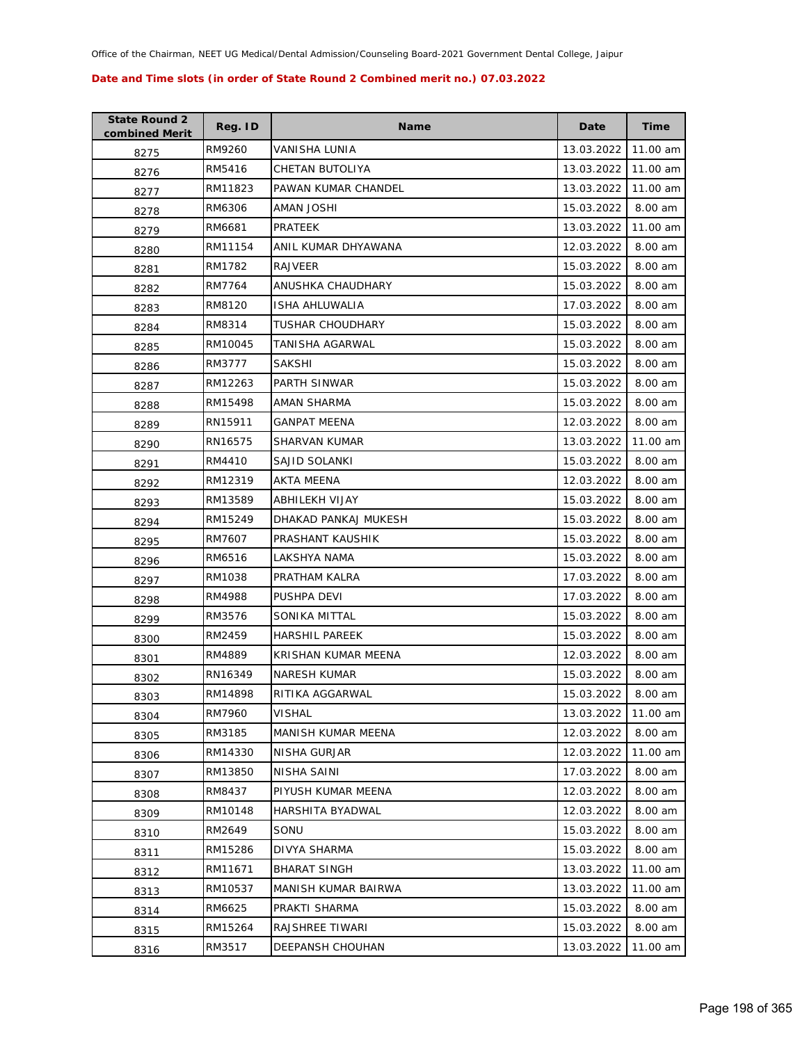| <b>State Round 2</b><br>combined Merit | Reg. ID | <b>Name</b>           | Date       | Time     |
|----------------------------------------|---------|-----------------------|------------|----------|
| 8275                                   | RM9260  | VANISHA LUNIA         | 13.03.2022 | 11.00 am |
| 8276                                   | RM5416  | CHETAN BUTOLIYA       | 13.03.2022 | 11.00 am |
| 8277                                   | RM11823 | PAWAN KUMAR CHANDEL   | 13.03.2022 | 11.00 am |
| 8278                                   | RM6306  | <b>IHZOL VAMA</b>     | 15.03.2022 | 8.00 am  |
| 8279                                   | RM6681  | PRATEEK               | 13.03.2022 | 11.00 am |
| 8280                                   | RM11154 | ANIL KUMAR DHYAWANA   | 12.03.2022 | 8.00 am  |
| 8281                                   | RM1782  | RAJVEER               | 15.03.2022 | 8.00 am  |
| 8282                                   | RM7764  | ANUSHKA CHAUDHARY     | 15.03.2022 | 8.00 am  |
| 8283                                   | RM8120  | ISHA AHLUWALIA        | 17.03.2022 | 8.00 am  |
| 8284                                   | RM8314  | TUSHAR CHOUDHARY      | 15.03.2022 | 8.00 am  |
| 8285                                   | RM10045 | TANISHA AGARWAL       | 15.03.2022 | 8.00 am  |
| 8286                                   | RM3777  | SAKSHI                | 15.03.2022 | 8.00 am  |
| 8287                                   | RM12263 | PARTH SINWAR          | 15.03.2022 | 8.00 am  |
| 8288                                   | RM15498 | AMAN SHARMA           | 15.03.2022 | 8.00 am  |
| 8289                                   | RN15911 | <b>GANPAT MEENA</b>   | 12.03.2022 | 8.00 am  |
| 8290                                   | RN16575 | SHARVAN KUMAR         | 13.03.2022 | 11.00 am |
| 8291                                   | RM4410  | SAJID SOLANKI         | 15.03.2022 | 8.00 am  |
| 8292                                   | RM12319 | AKTA MEENA            | 12.03.2022 | 8.00 am  |
| 8293                                   | RM13589 | ABHILEKH VIJAY        | 15.03.2022 | 8.00 am  |
| 8294                                   | RM15249 | DHAKAD PANKAJ MUKESH  | 15.03.2022 | 8.00 am  |
| 8295                                   | RM7607  | PRASHANT KAUSHIK      | 15.03.2022 | 8.00 am  |
| 8296                                   | RM6516  | LAKSHYA NAMA          | 15.03.2022 | 8.00 am  |
| 8297                                   | RM1038  | PRATHAM KALRA         | 17.03.2022 | 8.00 am  |
| 8298                                   | RM4988  | PUSHPA DEVI           | 17.03.2022 | 8.00 am  |
| 8299                                   | RM3576  | SONIKA MITTAL         | 15.03.2022 | 8.00 am  |
| 8300                                   | RM2459  | <b>HARSHIL PAREEK</b> | 15.03.2022 | 8.00 am  |
| 8301                                   | RM4889  | KRISHAN KUMAR MEENA   | 12.03.2022 | 8.00 am  |
| 8302                                   | RN16349 | <b>NARESH KUMAR</b>   | 15.03.2022 | 8.00 am  |
| 8303                                   | RM14898 | RITIKA AGGARWAL       | 15.03.2022 | 8.00 am  |
| 8304                                   | RM7960  | VISHAL                | 13.03.2022 | 11.00 am |
| 8305                                   | RM3185  | MANISH KUMAR MEENA    | 12.03.2022 | 8.00 am  |
| 8306                                   | RM14330 | NISHA GURJAR          | 12.03.2022 | 11.00 am |
| 8307                                   | RM13850 | NISHA SAINI           | 17.03.2022 | 8.00 am  |
| 8308                                   | RM8437  | PIYUSH KUMAR MEENA    | 12.03.2022 | 8.00 am  |
| 8309                                   | RM10148 | HARSHITA BYADWAL      | 12.03.2022 | 8.00 am  |
| 8310                                   | RM2649  | SONU                  | 15.03.2022 | 8.00 am  |
| 8311                                   | RM15286 | DIVYA SHARMA          | 15.03.2022 | 8.00 am  |
| 8312                                   | RM11671 | BHARAT SINGH          | 13.03.2022 | 11.00 am |
| 8313                                   | RM10537 | MANISH KUMAR BAIRWA   | 13.03.2022 | 11.00 am |
| 8314                                   | RM6625  | PRAKTI SHARMA         | 15.03.2022 | 8.00 am  |
| 8315                                   | RM15264 | RAJSHREE TIWARI       | 15.03.2022 | 8.00 am  |
| 8316                                   | RM3517  | DEEPANSH CHOUHAN      | 13.03.2022 | 11.00 am |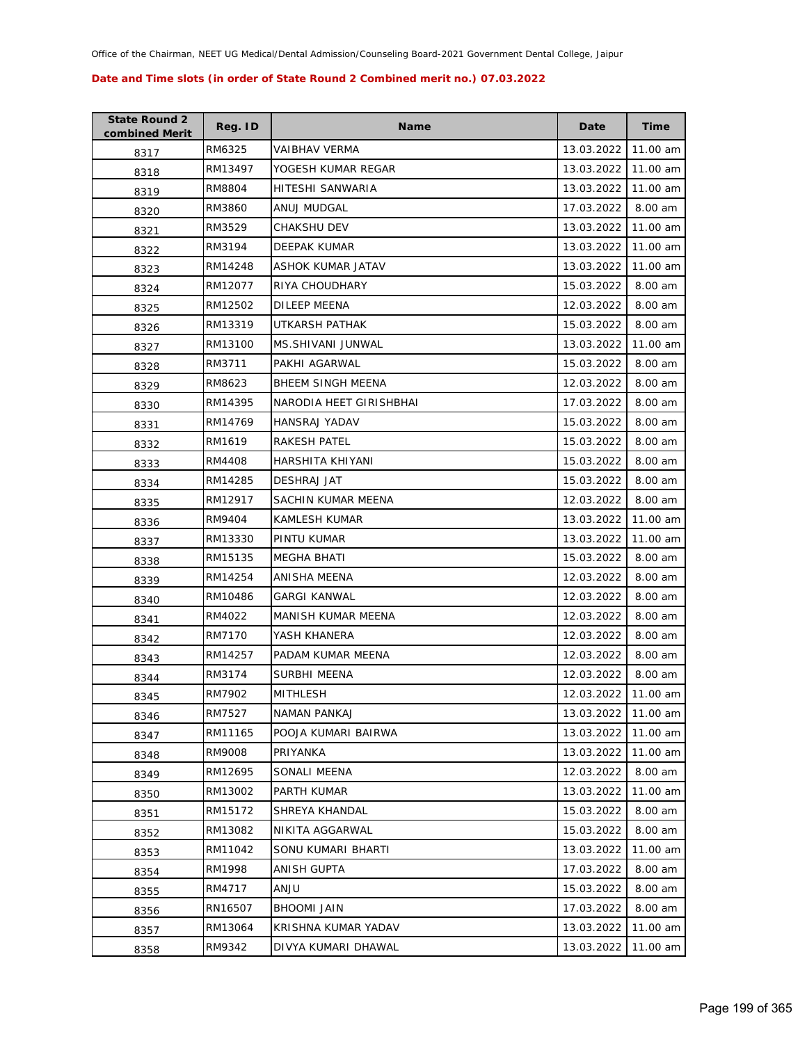| <b>State Round 2</b><br>combined Merit | Reg. ID | <b>Name</b>              | Date       | <b>Time</b> |
|----------------------------------------|---------|--------------------------|------------|-------------|
| 8317                                   | RM6325  | VAIBHAV VERMA            | 13.03.2022 | 11.00 am    |
| 8318                                   | RM13497 | YOGESH KUMAR REGAR       | 13.03.2022 | 11.00 am    |
| 8319                                   | RM8804  | HITESHI SANWARIA         | 13.03.2022 | 11.00 am    |
| 8320                                   | RM3860  | ANUJ MUDGAL              | 17.03.2022 | 8.00 am     |
| 8321                                   | RM3529  | CHAKSHU DEV              | 13.03.2022 | 11.00 am    |
| 8322                                   | RM3194  | DEEPAK KUMAR             | 13.03.2022 | 11.00 am    |
| 8323                                   | RM14248 | ASHOK KUMAR JATAV        | 13.03.2022 | 11.00 am    |
| 8324                                   | RM12077 | RIYA CHOUDHARY           | 15.03.2022 | 8.00 am     |
| 8325                                   | RM12502 | DILEEP MEENA             | 12.03.2022 | 8.00 am     |
| 8326                                   | RM13319 | UTKARSH PATHAK           | 15.03.2022 | 8.00 am     |
| 8327                                   | RM13100 | MS.SHIVANI JUNWAL        | 13.03.2022 | 11.00 am    |
| 8328                                   | RM3711  | PAKHI AGARWAL            | 15.03.2022 | 8.00 am     |
| 8329                                   | RM8623  | <b>BHEEM SINGH MEENA</b> | 12.03.2022 | 8.00 am     |
| 8330                                   | RM14395 | NARODIA HEET GIRISHBHAI  | 17.03.2022 | 8.00 am     |
| 8331                                   | RM14769 | HANSRAJ YADAV            | 15.03.2022 | 8.00 am     |
| 8332                                   | RM1619  | <b>RAKESH PATEL</b>      | 15.03.2022 | 8.00 am     |
| 8333                                   | RM4408  | HARSHITA KHIYANI         | 15.03.2022 | 8.00 am     |
| 8334                                   | RM14285 | <b>DESHRAJ JAT</b>       | 15.03.2022 | 8.00 am     |
| 8335                                   | RM12917 | SACHIN KUMAR MEENA       | 12.03.2022 | 8.00 am     |
| 8336                                   | RM9404  | <b>KAMLESH KUMAR</b>     | 13.03.2022 | 11.00 am    |
| 8337                                   | RM13330 | PINTU KUMAR              | 13.03.2022 | 11.00 am    |
| 8338                                   | RM15135 | <b>MEGHA BHATI</b>       | 15.03.2022 | 8.00 am     |
| 8339                                   | RM14254 | ANISHA MEENA             | 12.03.2022 | 8.00 am     |
| 8340                                   | RM10486 | <b>GARGI KANWAL</b>      | 12.03.2022 | 8.00 am     |
| 8341                                   | RM4022  | MANISH KUMAR MEENA       | 12.03.2022 | 8.00 am     |
| 8342                                   | RM7170  | YASH KHANERA             | 12.03.2022 | 8.00 am     |
| 8343                                   | RM14257 | PADAM KUMAR MEENA        | 12.03.2022 | 8.00 am     |
| 8344                                   | RM3174  | SURBHI MEENA             | 12.03.2022 | 8.00 am     |
| 8345                                   | RM7902  | <b>MITHLESH</b>          | 12.03.2022 | 11.00 am    |
| 8346                                   | RM7527  | <b>NAMAN PANKAJ</b>      | 13.03.2022 | 11.00 am    |
| 8347                                   | RM11165 | POOJA KUMARI BAIRWA      | 13.03.2022 | 11.00 am    |
| 8348                                   | RM9008  | PRIYANKA                 | 13.03.2022 | 11.00 am    |
| 8349                                   | RM12695 | SONALI MEENA             | 12.03.2022 | 8.00 am     |
| 8350                                   | RM13002 | <b>PARTH KUMAR</b>       | 13.03.2022 | 11.00 am    |
| 8351                                   | RM15172 | SHREYA KHANDAL           | 15.03.2022 | 8.00 am     |
| 8352                                   | RM13082 | NIKITA AGGARWAL          | 15.03.2022 | 8.00 am     |
| 8353                                   | RM11042 | SONU KUMARI BHARTI       | 13.03.2022 | 11.00 am    |
| 8354                                   | RM1998  | ANISH GUPTA              | 17.03.2022 | 8.00 am     |
| 8355                                   | RM4717  | <b>ULIA</b>              | 15.03.2022 | 8.00 am     |
| 8356                                   | RN16507 | <b>BHOOMI JAIN</b>       | 17.03.2022 | 8.00 am     |
| 8357                                   | RM13064 | KRISHNA KUMAR YADAV      | 13.03.2022 | 11.00 am    |
| 8358                                   | RM9342  | DIVYA KUMARI DHAWAL      | 13.03.2022 | 11.00 am    |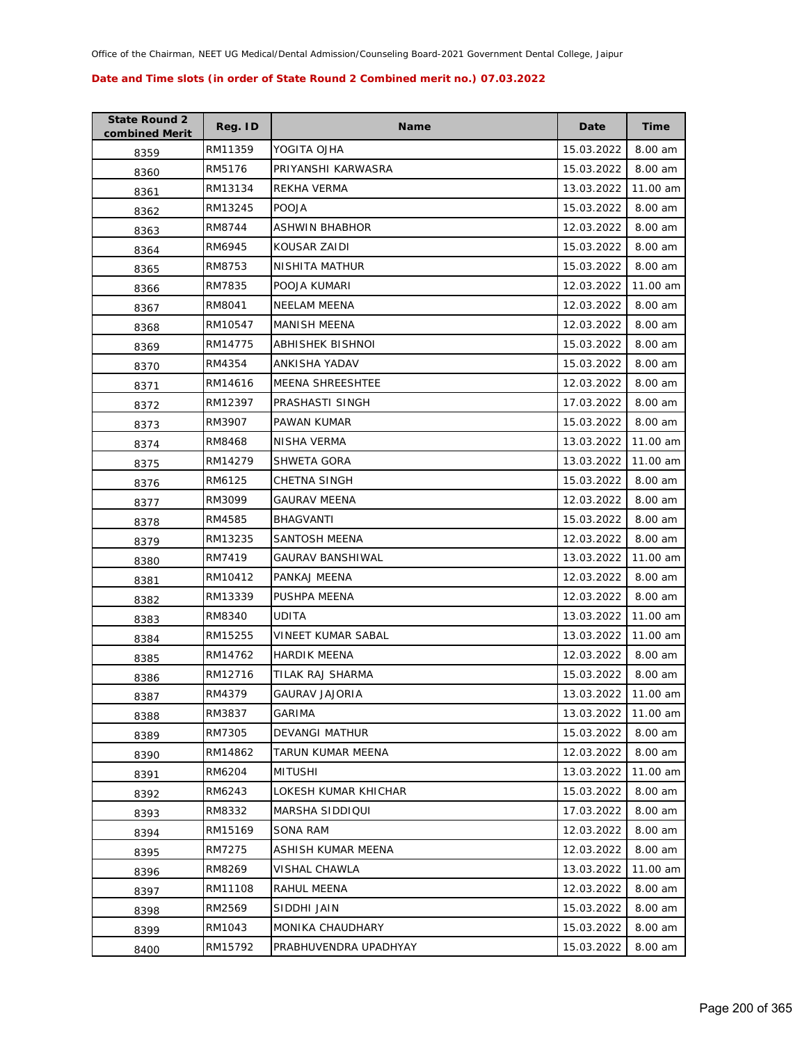| <b>State Round 2</b><br>combined Merit | Reg. ID | <b>Name</b>             | Date       | Time     |
|----------------------------------------|---------|-------------------------|------------|----------|
| 8359                                   | RM11359 | YOGITA OJHA             | 15.03.2022 | 8.00 am  |
| 8360                                   | RM5176  | PRIYANSHI KARWASRA      | 15.03.2022 | 8.00 am  |
| 8361                                   | RM13134 | REKHA VERMA             | 13.03.2022 | 11.00 am |
| 8362                                   | RM13245 | <b>POOJA</b>            | 15.03.2022 | 8.00 am  |
| 8363                                   | RM8744  | ASHWIN BHABHOR          | 12.03.2022 | 8.00 am  |
| 8364                                   | RM6945  | KOUSAR ZAIDI            | 15.03.2022 | 8.00 am  |
| 8365                                   | RM8753  | NISHITA MATHUR          | 15.03.2022 | 8.00 am  |
| 8366                                   | RM7835  | POOJA KUMARI            | 12.03.2022 | 11.00 am |
| 8367                                   | RM8041  | NEELAM MEENA            | 12.03.2022 | 8.00 am  |
| 8368                                   | RM10547 | MANISH MEENA            | 12.03.2022 | 8.00 am  |
| 8369                                   | RM14775 | ABHISHEK BISHNOI        | 15.03.2022 | 8.00 am  |
| 8370                                   | RM4354  | ANKISHA YADAV           | 15.03.2022 | 8.00 am  |
| 8371                                   | RM14616 | <b>MEENA SHREESHTEE</b> | 12.03.2022 | 8.00 am  |
| 8372                                   | RM12397 | PRASHASTI SINGH         | 17.03.2022 | 8.00 am  |
| 8373                                   | RM3907  | PAWAN KUMAR             | 15.03.2022 | 8.00 am  |
| 8374                                   | RM8468  | NISHA VERMA             | 13.03.2022 | 11.00 am |
| 8375                                   | RM14279 | SHWETA GORA             | 13.03.2022 | 11.00 am |
| 8376                                   | RM6125  | <b>CHETNA SINGH</b>     | 15.03.2022 | 8.00 am  |
| 8377                                   | RM3099  | <b>GAURAV MEENA</b>     | 12.03.2022 | 8.00 am  |
| 8378                                   | RM4585  | BHAGVANTI               | 15.03.2022 | 8.00 am  |
| 8379                                   | RM13235 | SANTOSH MEENA           | 12.03.2022 | 8.00 am  |
| 8380                                   | RM7419  | GAURAV BANSHIWAL        | 13.03.2022 | 11.00 am |
| 8381                                   | RM10412 | PANKAJ MEENA            | 12.03.2022 | 8.00 am  |
| 8382                                   | RM13339 | PUSHPA MEENA            | 12.03.2022 | 8.00 am  |
| 8383                                   | RM8340  | UDITA                   | 13.03.2022 | 11.00 am |
| 8384                                   | RM15255 | VINEET KUMAR SABAL      | 13.03.2022 | 11.00 am |
| 8385                                   | RM14762 | <b>HARDIK MEENA</b>     | 12.03.2022 | 8.00 am  |
| 8386                                   | RM12716 | TILAK RAJ SHARMA        | 15.03.2022 | 8.00 am  |
| 8387                                   | RM4379  | <b>GAURAV JAJORIA</b>   | 13.03.2022 | 11.00 am |
| 8388                                   | RM3837  | GARIMA                  | 13.03.2022 | 11.00 am |
| 8389                                   | RM7305  | <b>DEVANGI MATHUR</b>   | 15.03.2022 | 8.00 am  |
| 8390                                   | RM14862 | TARUN KUMAR MEENA       | 12.03.2022 | 8.00 am  |
| 8391                                   | RM6204  | <b>MITUSHI</b>          | 13.03.2022 | 11.00 am |
| 8392                                   | RM6243  | LOKESH KUMAR KHICHAR    | 15.03.2022 | 8.00 am  |
| 8393                                   | RM8332  | MARSHA SIDDIQUI         | 17.03.2022 | 8.00 am  |
| 8394                                   | RM15169 | SONA RAM                | 12.03.2022 | 8.00 am  |
| 8395                                   | RM7275  | ASHISH KUMAR MEENA      | 12.03.2022 | 8.00 am  |
| 8396                                   | RM8269  | VISHAL CHAWLA           | 13.03.2022 | 11.00 am |
| 8397                                   | RM11108 | RAHUL MEENA             | 12.03.2022 | 8.00 am  |
| 8398                                   | RM2569  | SIDDHI JAIN             | 15.03.2022 | 8.00 am  |
| 8399                                   | RM1043  | MONIKA CHAUDHARY        | 15.03.2022 | 8.00 am  |
| 8400                                   | RM15792 | PRABHUVENDRA UPADHYAY   | 15.03.2022 | 8.00 am  |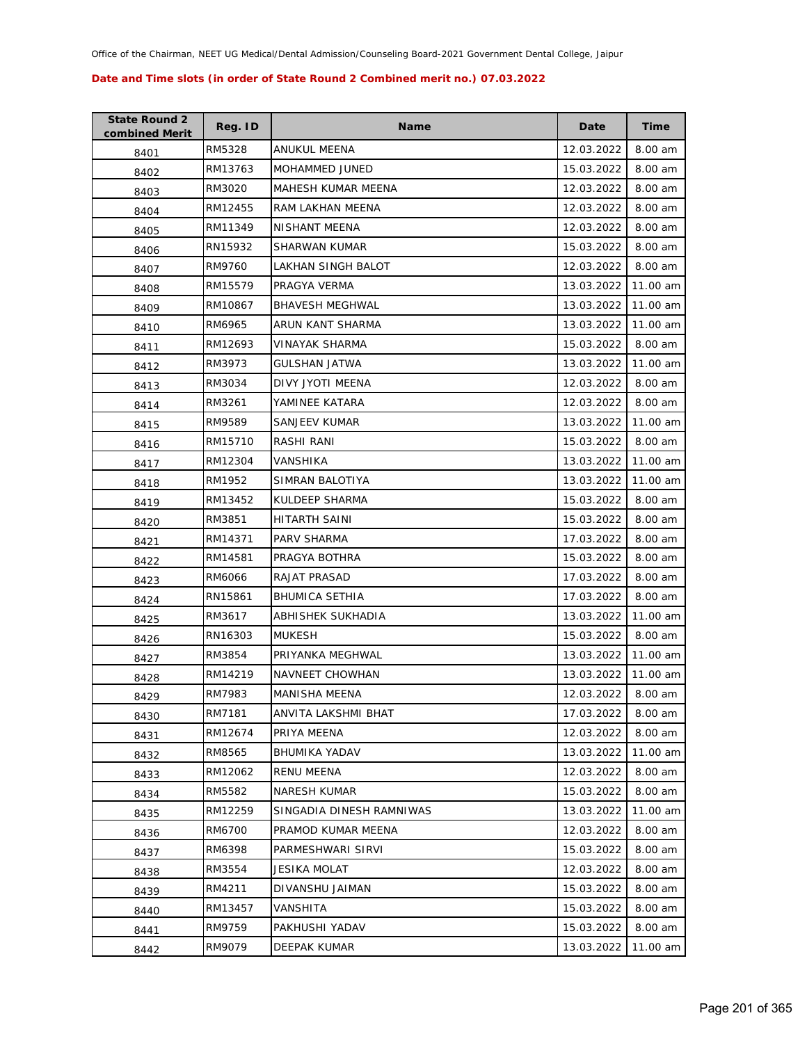| <b>State Round 2</b><br>combined Merit | Reg. ID | <b>Name</b>              | Date       | <b>Time</b> |
|----------------------------------------|---------|--------------------------|------------|-------------|
| 8401                                   | RM5328  | ANUKUL MEENA             | 12.03.2022 | 8.00 am     |
| 8402                                   | RM13763 | MOHAMMED JUNED           | 15.03.2022 | 8.00 am     |
| 8403                                   | RM3020  | MAHESH KUMAR MEENA       | 12.03.2022 | 8.00 am     |
| 8404                                   | RM12455 | RAM LAKHAN MEENA         | 12.03.2022 | 8.00 am     |
| 8405                                   | RM11349 | NISHANT MEENA            | 12.03.2022 | 8.00 am     |
| 8406                                   | RN15932 | <b>SHARWAN KUMAR</b>     | 15.03.2022 | 8.00 am     |
| 8407                                   | RM9760  | LAKHAN SINGH BALOT       | 12.03.2022 | 8.00 am     |
| 8408                                   | RM15579 | PRAGYA VERMA             | 13.03.2022 | 11.00 am    |
| 8409                                   | RM10867 | <b>BHAVESH MEGHWAL</b>   | 13.03.2022 | 11.00 am    |
| 8410                                   | RM6965  | ARUN KANT SHARMA         | 13.03.2022 | 11.00 am    |
| 8411                                   | RM12693 | VINAYAK SHARMA           | 15.03.2022 | 8.00 am     |
| 8412                                   | RM3973  | <b>GULSHAN JATWA</b>     | 13.03.2022 | 11.00 am    |
| 8413                                   | RM3034  | DIVY JYOTI MEENA         | 12.03.2022 | 8.00 am     |
| 8414                                   | RM3261  | YAMINEE KATARA           | 12.03.2022 | 8.00 am     |
| 8415                                   | RM9589  | SANJEEV KUMAR            | 13.03.2022 | 11.00 am    |
| 8416                                   | RM15710 | RASHI RANI               | 15.03.2022 | 8.00 am     |
| 8417                                   | RM12304 | VANSHIKA                 | 13.03.2022 | 11.00 am    |
| 8418                                   | RM1952  | SIMRAN BALOTIYA          | 13.03.2022 | 11.00 am    |
| 8419                                   | RM13452 | KULDEEP SHARMA           | 15.03.2022 | 8.00 am     |
| 8420                                   | RM3851  | HITARTH SAINI            | 15.03.2022 | 8.00 am     |
| 8421                                   | RM14371 | PARV SHARMA              | 17.03.2022 | 8.00 am     |
| 8422                                   | RM14581 | PRAGYA BOTHRA            | 15.03.2022 | 8.00 am     |
| 8423                                   | RM6066  | RAJAT PRASAD             | 17.03.2022 | 8.00 am     |
| 8424                                   | RN15861 | <b>BHUMICA SETHIA</b>    | 17.03.2022 | 8.00 am     |
| 8425                                   | RM3617  | ABHISHEK SUKHADIA        | 13.03.2022 | 11.00 am    |
| 8426                                   | RN16303 | <b>MUKESH</b>            | 15.03.2022 | 8.00 am     |
| 8427                                   | RM3854  | PRIYANKA MEGHWAL         | 13.03.2022 | 11.00 am    |
| 8428                                   | RM14219 | NAVNEET CHOWHAN          | 13.03.2022 | 11.00 am    |
| 8429                                   | RM7983  | MANISHA MEENA            | 12.03.2022 | 8.00 am     |
| 8430                                   | RM7181  | ANVITA LAKSHMI BHAT      | 17.03.2022 | 8.00 am     |
| 8431                                   | RM12674 | PRIYA MEENA              | 12.03.2022 | 8.00 am     |
| 8432                                   | RM8565  | <b>BHUMIKA YADAV</b>     | 13.03.2022 | 11.00 am    |
| 8433                                   | RM12062 | RENU MEENA               | 12.03.2022 | 8.00 am     |
| 8434                                   | RM5582  | <b>NARESH KUMAR</b>      | 15.03.2022 | 8.00 am     |
| 8435                                   | RM12259 | SINGADIA DINESH RAMNIWAS | 13.03.2022 | 11.00 am    |
| 8436                                   | RM6700  | PRAMOD KUMAR MEENA       | 12.03.2022 | 8.00 am     |
| 8437                                   | RM6398  | PARMESHWARI SIRVI        | 15.03.2022 | 8.00 am     |
| 8438                                   | RM3554  | JESIKA MOLAT             | 12.03.2022 | 8.00 am     |
| 8439                                   | RM4211  | DIVANSHU JAIMAN          | 15.03.2022 | 8.00 am     |
| 8440                                   | RM13457 | VANSHITA                 | 15.03.2022 | 8.00 am     |
| 8441                                   | RM9759  | PAKHUSHI YADAV           | 15.03.2022 | 8.00 am     |
| 8442                                   | RM9079  | DEEPAK KUMAR             | 13.03.2022 | 11.00 am    |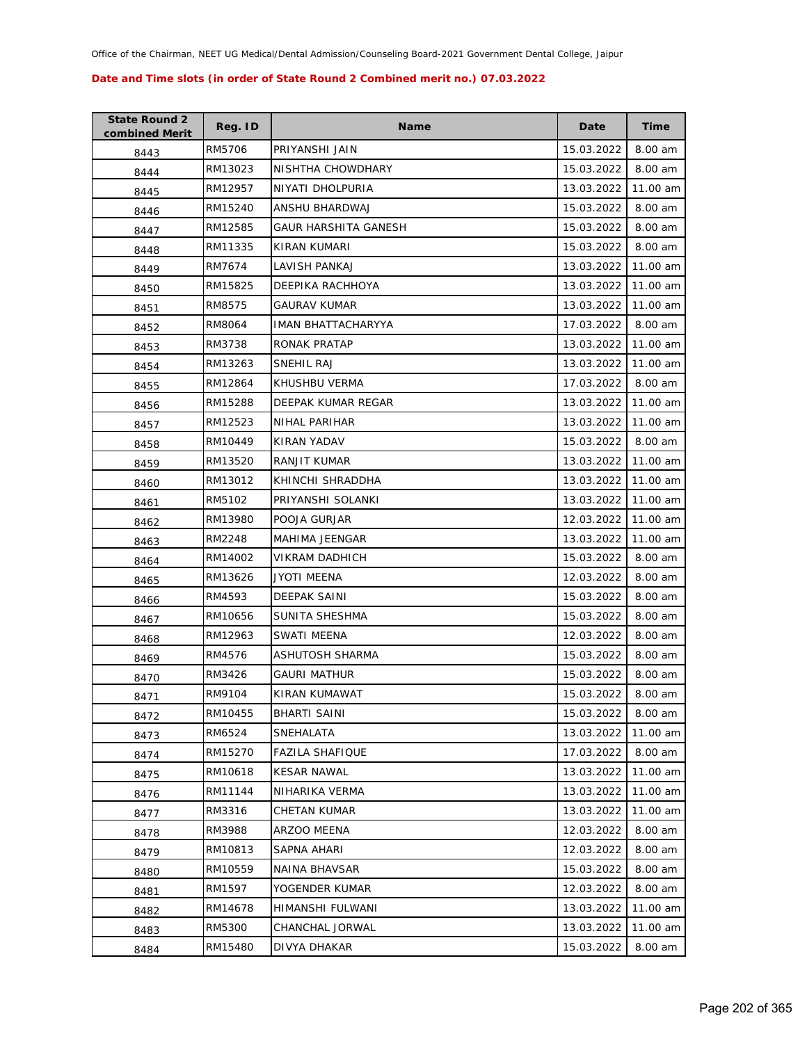| <b>State Round 2</b><br>combined Merit | Reg. ID | <b>Name</b>            | Date       | Time     |
|----------------------------------------|---------|------------------------|------------|----------|
| 8443                                   | RM5706  | PRIYANSHI JAIN         | 15.03.2022 | 8.00 am  |
| 8444                                   | RM13023 | NISHTHA CHOWDHARY      | 15.03.2022 | 8.00 am  |
| 8445                                   | RM12957 | NIYATI DHOLPURIA       | 13.03.2022 | 11.00 am |
| 8446                                   | RM15240 | ANSHU BHARDWAJ         | 15.03.2022 | 8.00 am  |
| 8447                                   | RM12585 | GAUR HARSHITA GANESH   | 15.03.2022 | 8.00 am  |
| 8448                                   | RM11335 | KIRAN KUMARI           | 15.03.2022 | 8.00 am  |
| 8449                                   | RM7674  | LAVISH PANKAJ          | 13.03.2022 | 11.00 am |
| 8450                                   | RM15825 | DEEPIKA RACHHOYA       | 13.03.2022 | 11.00 am |
| 8451                                   | RM8575  | GAURAV KUMAR           | 13.03.2022 | 11.00 am |
| 8452                                   | RM8064  | IMAN BHATTACHARYYA     | 17.03.2022 | 8.00 am  |
| 8453                                   | RM3738  | RONAK PRATAP           | 13.03.2022 | 11.00 am |
| 8454                                   | RM13263 | SNEHIL RAJ             | 13.03.2022 | 11.00 am |
| 8455                                   | RM12864 | KHUSHBU VERMA          | 17.03.2022 | 8.00 am  |
| 8456                                   | RM15288 | DEEPAK KUMAR REGAR     | 13.03.2022 | 11.00 am |
| 8457                                   | RM12523 | NIHAL PARIHAR          | 13.03.2022 | 11.00 am |
| 8458                                   | RM10449 | <b>KIRAN YADAV</b>     | 15.03.2022 | 8.00 am  |
| 8459                                   | RM13520 | RANJIT KUMAR           | 13.03.2022 | 11.00 am |
| 8460                                   | RM13012 | KHINCHI SHRADDHA       | 13.03.2022 | 11.00 am |
| 8461                                   | RM5102  | PRIYANSHI SOLANKI      | 13.03.2022 | 11.00 am |
| 8462                                   | RM13980 | POOJA GURJAR           | 12.03.2022 | 11.00 am |
| 8463                                   | RM2248  | MAHIMA JEENGAR         | 13.03.2022 | 11.00 am |
| 8464                                   | RM14002 | VIKRAM DADHICH         | 15.03.2022 | 8.00 am  |
| 8465                                   | RM13626 | JYOTI MEENA            | 12.03.2022 | 8.00 am  |
| 8466                                   | RM4593  | DEEPAK SAINI           | 15.03.2022 | 8.00 am  |
| 8467                                   | RM10656 | SUNITA SHESHMA         | 15.03.2022 | 8.00 am  |
| 8468                                   | RM12963 | SWATI MEENA            | 12.03.2022 | 8.00 am  |
| 8469                                   | RM4576  | ASHUTOSH SHARMA        | 15.03.2022 | 8.00 am  |
| 8470                                   | RM3426  | GAURI MATHUR           | 15.03.2022 | 8.00 am  |
| 8471                                   | RM9104  | KIRAN KUMAWAT          | 15.03.2022 | 8.00 am  |
| 8472                                   | RM10455 | <b>BHARTI SAINI</b>    | 15.03.2022 | 8.00 am  |
| 8473                                   | RM6524  | SNEHALATA              | 13.03.2022 | 11.00 am |
| 8474                                   | RM15270 | <b>FAZILA SHAFIQUE</b> | 17.03.2022 | 8.00 am  |
| 8475                                   | RM10618 | <b>KESAR NAWAL</b>     | 13.03.2022 | 11.00 am |
| 8476                                   | RM11144 | NIHARIKA VERMA         | 13.03.2022 | 11.00 am |
| 8477                                   | RM3316  | CHETAN KUMAR           | 13.03.2022 | 11.00 am |
| 8478                                   | RM3988  | ARZOO MEENA            | 12.03.2022 | 8.00 am  |
| 8479                                   | RM10813 | SAPNA AHARI            | 12.03.2022 | 8.00 am  |
| 8480                                   | RM10559 | NAINA BHAVSAR          | 15.03.2022 | 8.00 am  |
| 8481                                   | RM1597  | YOGENDER KUMAR         | 12.03.2022 | 8.00 am  |
| 8482                                   | RM14678 | HIMANSHI FULWANI       | 13.03.2022 | 11.00 am |
| 8483                                   | RM5300  | CHANCHAL JORWAL        | 13.03.2022 | 11.00 am |
| 8484                                   | RM15480 | DIVYA DHAKAR           | 15.03.2022 | 8.00 am  |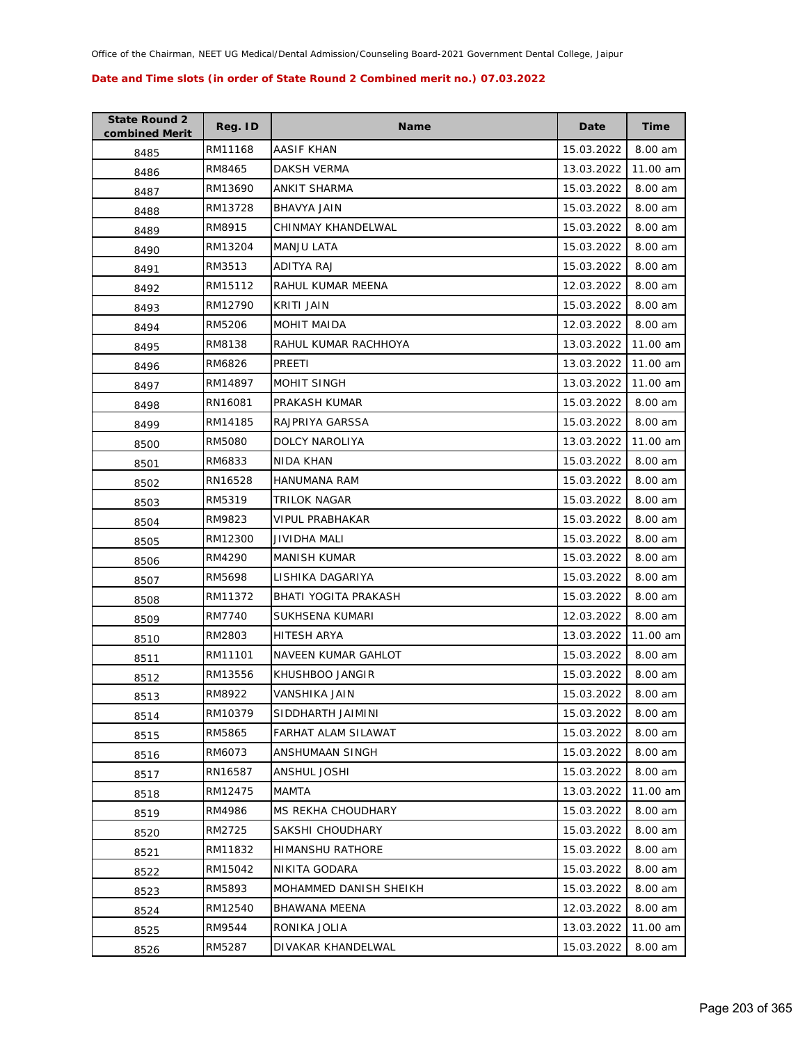| <b>State Round 2</b><br>combined Merit | Reg. ID | <b>Name</b>            | Date       | Time      |
|----------------------------------------|---------|------------------------|------------|-----------|
| 8485                                   | RM11168 | AASIF KHAN             | 15.03.2022 | 8.00 am   |
| 8486                                   | RM8465  | DAKSH VERMA            | 13.03.2022 | 11.00 am  |
| 8487                                   | RM13690 | ANKIT SHARMA           | 15.03.2022 | 8.00 am   |
| 8488                                   | RM13728 | BHAVYA JAIN            | 15.03.2022 | 8.00 am   |
| 8489                                   | RM8915  | CHINMAY KHANDELWAL     | 15.03.2022 | 8.00 am   |
| 8490                                   | RM13204 | <b>MANJU LATA</b>      | 15.03.2022 | 8.00 am   |
| 8491                                   | RM3513  | ADITYA RAJ             | 15.03.2022 | 8.00 am   |
| 8492                                   | RM15112 | RAHUL KUMAR MEENA      | 12.03.2022 | 8.00 am   |
| 8493                                   | RM12790 | KRITI JAIN             | 15.03.2022 | 8.00 am   |
| 8494                                   | RM5206  | MOHIT MAIDA            | 12.03.2022 | 8.00 am   |
| 8495                                   | RM8138  | RAHUL KUMAR RACHHOYA   | 13.03.2022 | 11.00 am  |
| 8496                                   | RM6826  | PREETI                 | 13.03.2022 | 11.00 am  |
| 8497                                   | RM14897 | MOHIT SINGH            | 13.03.2022 | 11.00 am  |
| 8498                                   | RN16081 | PRAKASH KUMAR          | 15.03.2022 | 8.00 am   |
| 8499                                   | RM14185 | RAJPRIYA GARSSA        | 15.03.2022 | 8.00 am   |
| 8500                                   | RM5080  | DOLCY NAROLIYA         | 13.03.2022 | 11.00 am  |
| 8501                                   | RM6833  | NIDA KHAN              | 15.03.2022 | 8.00 am   |
| 8502                                   | RN16528 | <b>HANUMANA RAM</b>    | 15.03.2022 | 8.00 am   |
| 8503                                   | RM5319  | TRILOK NAGAR           | 15.03.2022 | 8.00 am   |
| 8504                                   | RM9823  | VIPUL PRABHAKAR        | 15.03.2022 | 8.00 am   |
| 8505                                   | RM12300 | JIVIDHA MALI           | 15.03.2022 | 8.00 am   |
| 8506                                   | RM4290  | <b>MANISH KUMAR</b>    | 15.03.2022 | 8.00 am   |
| 8507                                   | RM5698  | LISHIKA DAGARIYA       | 15.03.2022 | 8.00 am   |
| 8508                                   | RM11372 | BHATI YOGITA PRAKASH   | 15.03.2022 | 8.00 am   |
| 8509                                   | RM7740  | SUKHSENA KUMARI        | 12.03.2022 | 8.00 am   |
| 8510                                   | RM2803  | <b>HITESH ARYA</b>     | 13.03.2022 | 11.00 am  |
| 8511                                   | RM11101 | NAVEEN KUMAR GAHLOT    | 15.03.2022 | $8.00$ am |
| 8512                                   | RM13556 | KHUSHBOO JANGIR        | 15.03.2022 | 8.00 am   |
| 8513                                   | RM8922  | VANSHIKA JAIN          | 15.03.2022 | 8.00 am   |
| 8514                                   | RM10379 | SIDDHARTH JAIMINI      | 15.03.2022 | 8.00 am   |
| 8515                                   | RM5865  | FARHAT ALAM SILAWAT    | 15.03.2022 | 8.00 am   |
| 8516                                   | RM6073  | ANSHUMAAN SINGH        | 15.03.2022 | 8.00 am   |
| 8517                                   | RN16587 | ANSHUL JOSHI           | 15.03.2022 | 8.00 am   |
| 8518                                   | RM12475 | MAMTA                  | 13.03.2022 | 11.00 am  |
| 8519                                   | RM4986  | MS REKHA CHOUDHARY     | 15.03.2022 | 8.00 am   |
| 8520                                   | RM2725  | SAKSHI CHOUDHARY       | 15.03.2022 | 8.00 am   |
| 8521                                   | RM11832 | HIMANSHU RATHORE       | 15.03.2022 | 8.00 am   |
| 8522                                   | RM15042 | NIKITA GODARA          | 15.03.2022 | 8.00 am   |
| 8523                                   | RM5893  | MOHAMMED DANISH SHEIKH | 15.03.2022 | 8.00 am   |
| 8524                                   | RM12540 | BHAWANA MEENA          | 12.03.2022 | 8.00 am   |
| 8525                                   | RM9544  | RONIKA JOLIA           | 13.03.2022 | 11.00 am  |
| 8526                                   | RM5287  | DIVAKAR KHANDELWAL     | 15.03.2022 | 8.00 am   |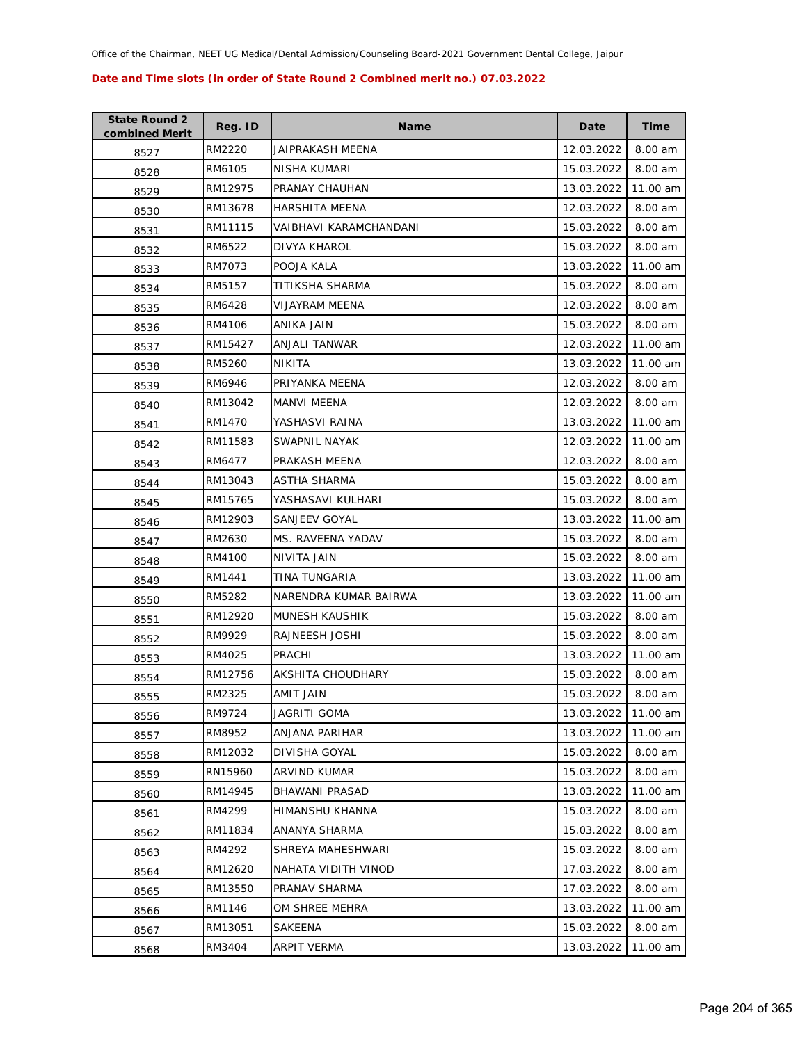| <b>State Round 2</b><br>combined Merit | Reg. ID | <b>Name</b>            | Date       | Time     |
|----------------------------------------|---------|------------------------|------------|----------|
| 8527                                   | RM2220  | JAIPRAKASH MEENA       | 12.03.2022 | 8.00 am  |
| 8528                                   | RM6105  | NISHA KUMARI           | 15.03.2022 | 8.00 am  |
| 8529                                   | RM12975 | PRANAY CHAUHAN         | 13.03.2022 | 11.00 am |
| 8530                                   | RM13678 | <b>HARSHITA MEENA</b>  | 12.03.2022 | 8.00 am  |
| 8531                                   | RM11115 | VAIBHAVI KARAMCHANDANI | 15.03.2022 | 8.00 am  |
| 8532                                   | RM6522  | DIVYA KHAROL           | 15.03.2022 | 8.00 am  |
| 8533                                   | RM7073  | POOJA KALA             | 13.03.2022 | 11.00 am |
| 8534                                   | RM5157  | TITIKSHA SHARMA        | 15.03.2022 | 8.00 am  |
| 8535                                   | RM6428  | VIJAYRAM MEENA         | 12.03.2022 | 8.00 am  |
| 8536                                   | RM4106  | ANIKA JAIN             | 15.03.2022 | 8.00 am  |
| 8537                                   | RM15427 | ANJALI TANWAR          | 12.03.2022 | 11.00 am |
| 8538                                   | RM5260  | NIKITA                 | 13.03.2022 | 11.00 am |
| 8539                                   | RM6946  | PRIYANKA MEENA         | 12.03.2022 | 8.00 am  |
| 8540                                   | RM13042 | MANVI MEENA            | 12.03.2022 | 8.00 am  |
| 8541                                   | RM1470  | YASHASVI RAINA         | 13.03.2022 | 11.00 am |
| 8542                                   | RM11583 | SWAPNIL NAYAK          | 12.03.2022 | 11.00 am |
| 8543                                   | RM6477  | PRAKASH MEENA          | 12.03.2022 | 8.00 am  |
| 8544                                   | RM13043 | ASTHA SHARMA           | 15.03.2022 | 8.00 am  |
| 8545                                   | RM15765 | YASHASAVI KULHARI      | 15.03.2022 | 8.00 am  |
| 8546                                   | RM12903 | SANJEEV GOYAL          | 13.03.2022 | 11.00 am |
| 8547                                   | RM2630  | MS. RAVEENA YADAV      | 15.03.2022 | 8.00 am  |
| 8548                                   | RM4100  | NIVITA JAIN            | 15.03.2022 | 8.00 am  |
| 8549                                   | RM1441  | TINA TUNGARIA          | 13.03.2022 | 11.00 am |
| 8550                                   | RM5282  | NARENDRA KUMAR BAIRWA  | 13.03.2022 | 11.00 am |
| 8551                                   | RM12920 | MUNESH KAUSHIK         | 15.03.2022 | 8.00 am  |
| 8552                                   | RM9929  | RAJNEESH JOSHI         | 15.03.2022 | 8.00 am  |
| 8553                                   | RM4025  | PRACHI                 | 13.03.2022 | 11.00 am |
| 8554                                   | RM12756 | AKSHITA CHOUDHARY      | 15.03.2022 | 8.00 am  |
| 8555                                   | RM2325  | AMIT JAIN              | 15.03.2022 | 8.00 am  |
| 8556                                   | RM9724  | JAGRITI GOMA           | 13.03.2022 | 11.00 am |
| 8557                                   | RM8952  | ANJANA PARIHAR         | 13.03.2022 | 11.00 am |
| 8558                                   | RM12032 | DIVISHA GOYAL          | 15.03.2022 | 8.00 am  |
| 8559                                   | RN15960 | ARVIND KUMAR           | 15.03.2022 | 8.00 am  |
| 8560                                   | RM14945 | BHAWANI PRASAD         | 13.03.2022 | 11.00 am |
| 8561                                   | RM4299  | HIMANSHU KHANNA        | 15.03.2022 | 8.00 am  |
| 8562                                   | RM11834 | ANANYA SHARMA          | 15.03.2022 | 8.00 am  |
| 8563                                   | RM4292  | SHREYA MAHESHWARI      | 15.03.2022 | 8.00 am  |
| 8564                                   | RM12620 | NAHATA VIDITH VINOD    | 17.03.2022 | 8.00 am  |
| 8565                                   | RM13550 | PRANAV SHARMA          | 17.03.2022 | 8.00 am  |
| 8566                                   | RM1146  | OM SHREE MEHRA         | 13.03.2022 | 11.00 am |
| 8567                                   | RM13051 | SAKEENA                | 15.03.2022 | 8.00 am  |
| 8568                                   | RM3404  | ARPIT VERMA            | 13.03.2022 | 11.00 am |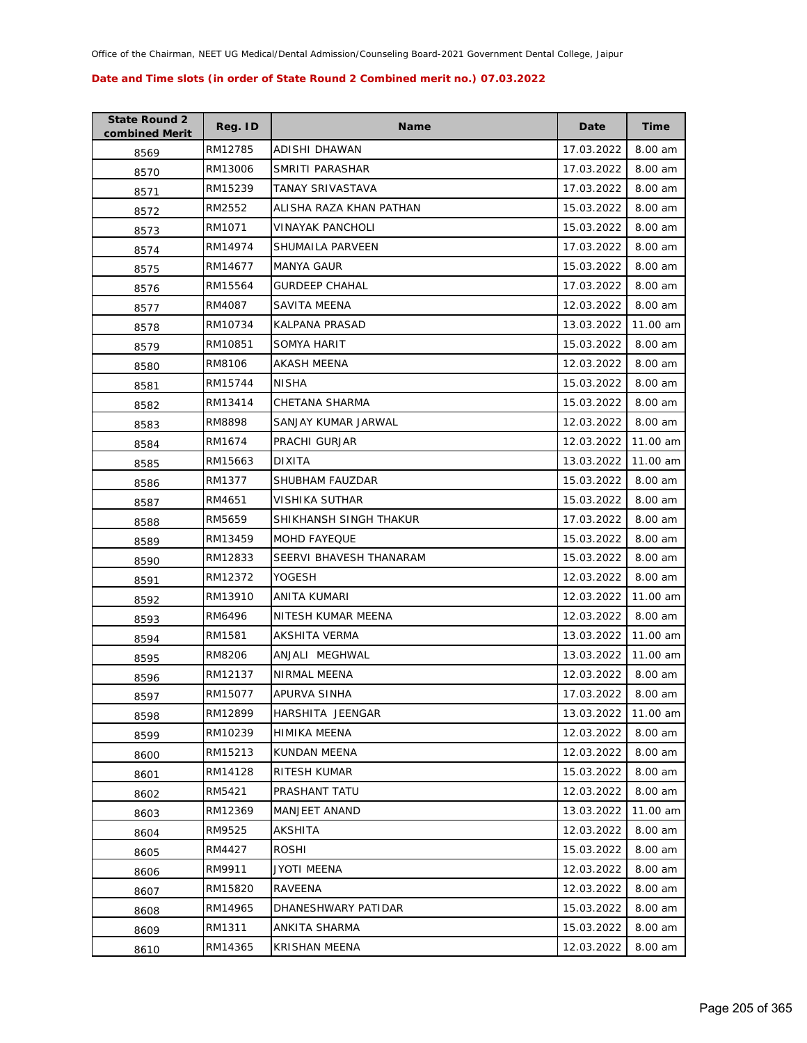| <b>State Round 2</b><br>combined Merit | Reg. ID | <b>Name</b>             | Date       | <b>Time</b> |
|----------------------------------------|---------|-------------------------|------------|-------------|
| 8569                                   | RM12785 | ADISHI DHAWAN           | 17.03.2022 | 8.00 am     |
| 8570                                   | RM13006 | SMRITI PARASHAR         | 17.03.2022 | 8.00 am     |
| 8571                                   | RM15239 | TANAY SRIVASTAVA        | 17.03.2022 | 8.00 am     |
| 8572                                   | RM2552  | ALISHA RAZA KHAN PATHAN | 15.03.2022 | 8.00 am     |
| 8573                                   | RM1071  | VINAYAK PANCHOLI        | 15.03.2022 | 8.00 am     |
| 8574                                   | RM14974 | SHUMAILA PARVEEN        | 17.03.2022 | 8.00 am     |
| 8575                                   | RM14677 | MANYA GAUR              | 15.03.2022 | 8.00 am     |
| 8576                                   | RM15564 | <b>GURDEEP CHAHAL</b>   | 17.03.2022 | 8.00 am     |
| 8577                                   | RM4087  | SAVITA MEENA            | 12.03.2022 | 8.00 am     |
| 8578                                   | RM10734 | KALPANA PRASAD          | 13.03.2022 | 11.00 am    |
| 8579                                   | RM10851 | SOMYA HARIT             | 15.03.2022 | 8.00 am     |
| 8580                                   | RM8106  | AKASH MEENA             | 12.03.2022 | 8.00 am     |
| 8581                                   | RM15744 | <b>NISHA</b>            | 15.03.2022 | 8.00 am     |
| 8582                                   | RM13414 | CHETANA SHARMA          | 15.03.2022 | 8.00 am     |
| 8583                                   | RM8898  | SANJAY KUMAR JARWAL     | 12.03.2022 | 8.00 am     |
| 8584                                   | RM1674  | PRACHI GURJAR           | 12.03.2022 | 11.00 am    |
| 8585                                   | RM15663 | <b>DIXITA</b>           | 13.03.2022 | 11.00 am    |
| 8586                                   | RM1377  | SHUBHAM FAUZDAR         | 15.03.2022 | 8.00 am     |
| 8587                                   | RM4651  | VISHIKA SUTHAR          | 15.03.2022 | 8.00 am     |
| 8588                                   | RM5659  | SHIKHANSH SINGH THAKUR  | 17.03.2022 | 8.00 am     |
| 8589                                   | RM13459 | <b>MOHD FAYEQUE</b>     | 15.03.2022 | 8.00 am     |
| 8590                                   | RM12833 | SEERVI BHAVESH THANARAM | 15.03.2022 | 8.00 am     |
| 8591                                   | RM12372 | YOGESH                  | 12.03.2022 | 8.00 am     |
| 8592                                   | RM13910 | ANITA KUMARI            | 12.03.2022 | 11.00 am    |
| 8593                                   | RM6496  | NITESH KUMAR MEENA      | 12.03.2022 | 8.00 am     |
| 8594                                   | RM1581  | <b>AKSHITA VERMA</b>    | 13.03.2022 | 11.00 am    |
| 8595                                   | RM8206  | ANJALI MEGHWAL          | 13.03.2022 | 11.00 am    |
| 8596                                   | RM12137 | NIRMAL MEENA            | 12.03.2022 | 8.00 am     |
| 8597                                   | RM15077 | APURVA SINHA            | 17.03.2022 | 8.00 am     |
| 8598                                   | RM12899 | HARSHITA JEENGAR        | 13.03.2022 | 11.00 am    |
| 8599                                   | RM10239 | HIMIKA MEENA            | 12.03.2022 | 8.00 am     |
| 8600                                   | RM15213 | KUNDAN MEENA            | 12.03.2022 | 8.00 am     |
| 8601                                   | RM14128 | RITESH KUMAR            | 15.03.2022 | 8.00 am     |
| 8602                                   | RM5421  | PRASHANT TATU           | 12.03.2022 | 8.00 am     |
| 8603                                   | RM12369 | <b>MANJEET ANAND</b>    | 13.03.2022 | 11.00 am    |
| 8604                                   | RM9525  | AKSHITA                 | 12.03.2022 | 8.00 am     |
| 8605                                   | RM4427  | <b>ROSHI</b>            | 15.03.2022 | 8.00 am     |
| 8606                                   | RM9911  | JYOTI MEENA             | 12.03.2022 | 8.00 am     |
| 8607                                   | RM15820 | RAVEENA                 | 12.03.2022 | 8.00 am     |
| 8608                                   | RM14965 | DHANESHWARY PATIDAR     | 15.03.2022 | 8.00 am     |
| 8609                                   | RM1311  | ANKITA SHARMA           | 15.03.2022 | 8.00 am     |
| 8610                                   | RM14365 | <b>KRISHAN MEENA</b>    | 12.03.2022 | 8.00 am     |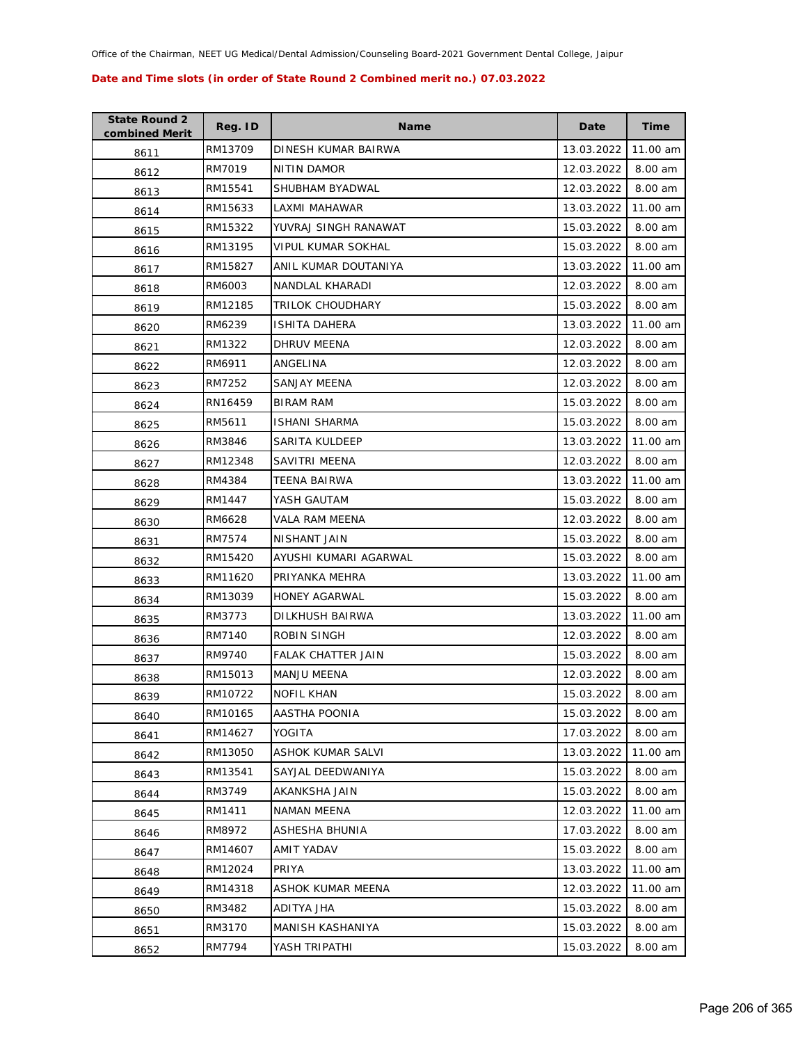| <b>State Round 2</b><br>combined Merit | Reg. ID | <b>Name</b>           | Date       | Time     |
|----------------------------------------|---------|-----------------------|------------|----------|
| 8611                                   | RM13709 | DINESH KUMAR BAIRWA   | 13.03.2022 | 11.00 am |
| 8612                                   | RM7019  | NITIN DAMOR           | 12.03.2022 | 8.00 am  |
| 8613                                   | RM15541 | SHUBHAM BYADWAL       | 12.03.2022 | 8.00 am  |
| 8614                                   | RM15633 | LAXMI MAHAWAR         | 13.03.2022 | 11.00 am |
| 8615                                   | RM15322 | YUVRAJ SINGH RANAWAT  | 15.03.2022 | 8.00 am  |
| 8616                                   | RM13195 | VIPUL KUMAR SOKHAL    | 15.03.2022 | 8.00 am  |
| 8617                                   | RM15827 | ANIL KUMAR DOUTANIYA  | 13.03.2022 | 11.00 am |
| 8618                                   | RM6003  | NANDLAL KHARADI       | 12.03.2022 | 8.00 am  |
| 8619                                   | RM12185 | TRILOK CHOUDHARY      | 15.03.2022 | 8.00 am  |
| 8620                                   | RM6239  | ISHITA DAHERA         | 13.03.2022 | 11.00 am |
| 8621                                   | RM1322  | DHRUV MEENA           | 12.03.2022 | 8.00 am  |
| 8622                                   | RM6911  | ANGELINA              | 12.03.2022 | 8.00 am  |
| 8623                                   | RM7252  | SANJAY MEENA          | 12.03.2022 | 8.00 am  |
| 8624                                   | RN16459 | BIRAM RAM             | 15.03.2022 | 8.00 am  |
| 8625                                   | RM5611  | <b>ISHANI SHARMA</b>  | 15.03.2022 | 8.00 am  |
| 8626                                   | RM3846  | SARITA KULDEEP        | 13.03.2022 | 11.00 am |
| 8627                                   | RM12348 | SAVITRI MEENA         | 12.03.2022 | 8.00 am  |
| 8628                                   | RM4384  | TEENA BAIRWA          | 13.03.2022 | 11.00 am |
| 8629                                   | RM1447  | YASH GAUTAM           | 15.03.2022 | 8.00 am  |
| 8630                                   | RM6628  | VALA RAM MEENA        | 12.03.2022 | 8.00 am  |
| 8631                                   | RM7574  | NISHANT JAIN          | 15.03.2022 | 8.00 am  |
| 8632                                   | RM15420 | AYUSHI KUMARI AGARWAL | 15.03.2022 | 8.00 am  |
| 8633                                   | RM11620 | PRIYANKA MEHRA        | 13.03.2022 | 11.00 am |
| 8634                                   | RM13039 | <b>HONEY AGARWAL</b>  | 15.03.2022 | 8.00 am  |
| 8635                                   | RM3773  | DILKHUSH BAIRWA       | 13.03.2022 | 11.00 am |
| 8636                                   | RM7140  | ROBIN SINGH           | 12.03.2022 | 8.00 am  |
| 8637                                   | RM9740  | FALAK CHATTER JAIN    | 15.03.2022 | 8.00 am  |
| 8638                                   | RM15013 | MANJU MEENA           | 12.03.2022 | 8.00 am  |
| 8639                                   | RM10722 | <b>NOFIL KHAN</b>     | 15.03.2022 | 8.00 am  |
| 8640                                   | RM10165 | AASTHA POONIA         | 15.03.2022 | 8.00 am  |
| 8641                                   | RM14627 | YOGITA                | 17.03.2022 | 8.00 am  |
| 8642                                   | RM13050 | ASHOK KUMAR SALVI     | 13.03.2022 | 11.00 am |
| 8643                                   | RM13541 | SAYJAL DEEDWANIYA     | 15.03.2022 | 8.00 am  |
| 8644                                   | RM3749  | AKANKSHA JAIN         | 15.03.2022 | 8.00 am  |
| 8645                                   | RM1411  | NAMAN MEENA           | 12.03.2022 | 11.00 am |
| 8646                                   | RM8972  | ASHESHA BHUNIA        | 17.03.2022 | 8.00 am  |
| 8647                                   | RM14607 | AMIT YADAV            | 15.03.2022 | 8.00 am  |
| 8648                                   | RM12024 | PRIYA                 | 13.03.2022 | 11.00 am |
| 8649                                   | RM14318 | ASHOK KUMAR MEENA     | 12.03.2022 | 11.00 am |
| 8650                                   | RM3482  | ADITYA JHA            | 15.03.2022 | 8.00 am  |
| 8651                                   | RM3170  | MANISH KASHANIYA      | 15.03.2022 | 8.00 am  |
| 8652                                   | RM7794  | YASH TRIPATHI         | 15.03.2022 | 8.00 am  |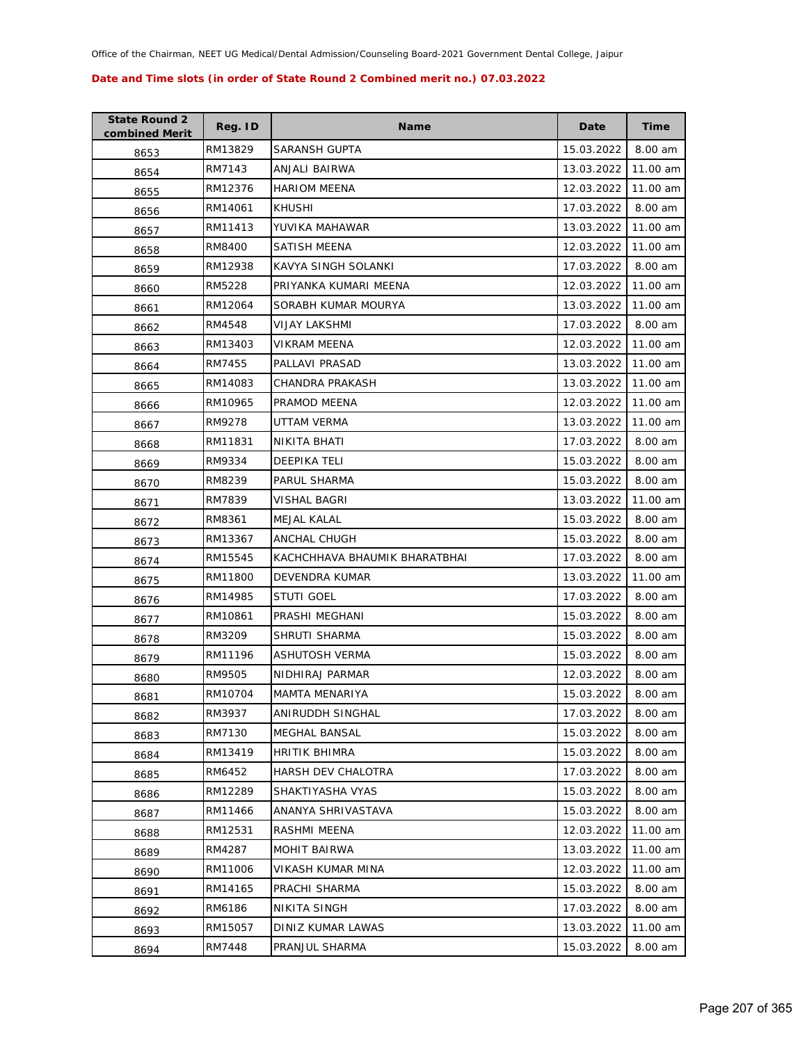| <b>State Round 2</b><br>combined Merit | Reg. ID | <b>Name</b>                   | Date       | <b>Time</b> |
|----------------------------------------|---------|-------------------------------|------------|-------------|
| 8653                                   | RM13829 | SARANSH GUPTA                 | 15.03.2022 | 8.00 am     |
| 8654                                   | RM7143  | ANJALI BAIRWA                 | 13.03.2022 | 11.00 am    |
| 8655                                   | RM12376 | <b>HARIOM MEENA</b>           | 12.03.2022 | 11.00 am    |
| 8656                                   | RM14061 | <b>KHUSHI</b>                 | 17.03.2022 | 8.00 am     |
| 8657                                   | RM11413 | YUVIKA MAHAWAR                | 13.03.2022 | 11.00 am    |
| 8658                                   | RM8400  | SATISH MEENA                  | 12.03.2022 | 11.00 am    |
| 8659                                   | RM12938 | KAVYA SINGH SOLANKI           | 17.03.2022 | 8.00 am     |
| 8660                                   | RM5228  | PRIYANKA KUMARI MEENA         | 12.03.2022 | 11.00 am    |
| 8661                                   | RM12064 | SORABH KUMAR MOURYA           | 13.03.2022 | 11.00 am    |
| 8662                                   | RM4548  | VIJAY LAKSHMI                 | 17.03.2022 | 8.00 am     |
| 8663                                   | RM13403 | VIKRAM MEENA                  | 12.03.2022 | 11.00 am    |
| 8664                                   | RM7455  | PALLAVI PRASAD                | 13.03.2022 | 11.00 am    |
| 8665                                   | RM14083 | CHANDRA PRAKASH               | 13.03.2022 | 11.00 am    |
| 8666                                   | RM10965 | PRAMOD MEENA                  | 12.03.2022 | 11.00 am    |
| 8667                                   | RM9278  | UTTAM VERMA                   | 13.03.2022 | 11.00 am    |
| 8668                                   | RM11831 | NIKITA BHATI                  | 17.03.2022 | 8.00 am     |
| 8669                                   | RM9334  | <b>DEEPIKA TELI</b>           | 15.03.2022 | 8.00 am     |
| 8670                                   | RM8239  | PARUL SHARMA                  | 15.03.2022 | 8.00 am     |
| 8671                                   | RM7839  | VISHAL BAGRI                  | 13.03.2022 | 11.00 am    |
| 8672                                   | RM8361  | <b>MEJAL KALAL</b>            | 15.03.2022 | 8.00 am     |
| 8673                                   | RM13367 | ANCHAL CHUGH                  | 15.03.2022 | 8.00 am     |
| 8674                                   | RM15545 | KACHCHHAVA BHAUMIK BHARATBHAI | 17.03.2022 | 8.00 am     |
| 8675                                   | RM11800 | DEVENDRA KUMAR                | 13.03.2022 | 11.00 am    |
| 8676                                   | RM14985 | <b>STUTI GOEL</b>             | 17.03.2022 | 8.00 am     |
| 8677                                   | RM10861 | PRASHI MEGHANI                | 15.03.2022 | 8.00 am     |
| 8678                                   | RM3209  | <b>SHRUTI SHARMA</b>          | 15.03.2022 | 8.00 am     |
| 8679                                   | RM11196 | ASHUTOSH VERMA                | 15.03.2022 | 8.00 am     |
| 8680                                   | RM9505  | NIDHIRAJ PARMAR               | 12.03.2022 | 8.00 am     |
| 8681                                   | RM10704 | <b>MAMTA MENARIYA</b>         | 15.03.2022 | 8.00 am     |
| 8682                                   | RM3937  | ANIRUDDH SINGHAL              | 17.03.2022 | 8.00 am     |
| 8683                                   | RM7130  | MEGHAL BANSAL                 | 15.03.2022 | 8.00 am     |
| 8684                                   | RM13419 | HRITIK BHIMRA                 | 15.03.2022 | 8.00 am     |
| 8685                                   | RM6452  | HARSH DEV CHALOTRA            | 17.03.2022 | 8.00 am     |
| 8686                                   | RM12289 | SHAKTIYASHA VYAS              | 15.03.2022 | 8.00 am     |
| 8687                                   | RM11466 | ANANYA SHRIVASTAVA            | 15.03.2022 | 8.00 am     |
| 8688                                   | RM12531 | RASHMI MEENA                  | 12.03.2022 | 11.00 am    |
| 8689                                   | RM4287  | <b>MOHIT BAIRWA</b>           | 13.03.2022 | 11.00 am    |
| 8690                                   | RM11006 | VIKASH KUMAR MINA             | 12.03.2022 | 11.00 am    |
| 8691                                   | RM14165 | PRACHI SHARMA                 | 15.03.2022 | 8.00 am     |
| 8692                                   | RM6186  | NIKITA SINGH                  | 17.03.2022 | 8.00 am     |
| 8693                                   | RM15057 | DINIZ KUMAR LAWAS             | 13.03.2022 | 11.00 am    |
| 8694                                   | RM7448  | PRANJUL SHARMA                | 15.03.2022 | 8.00 am     |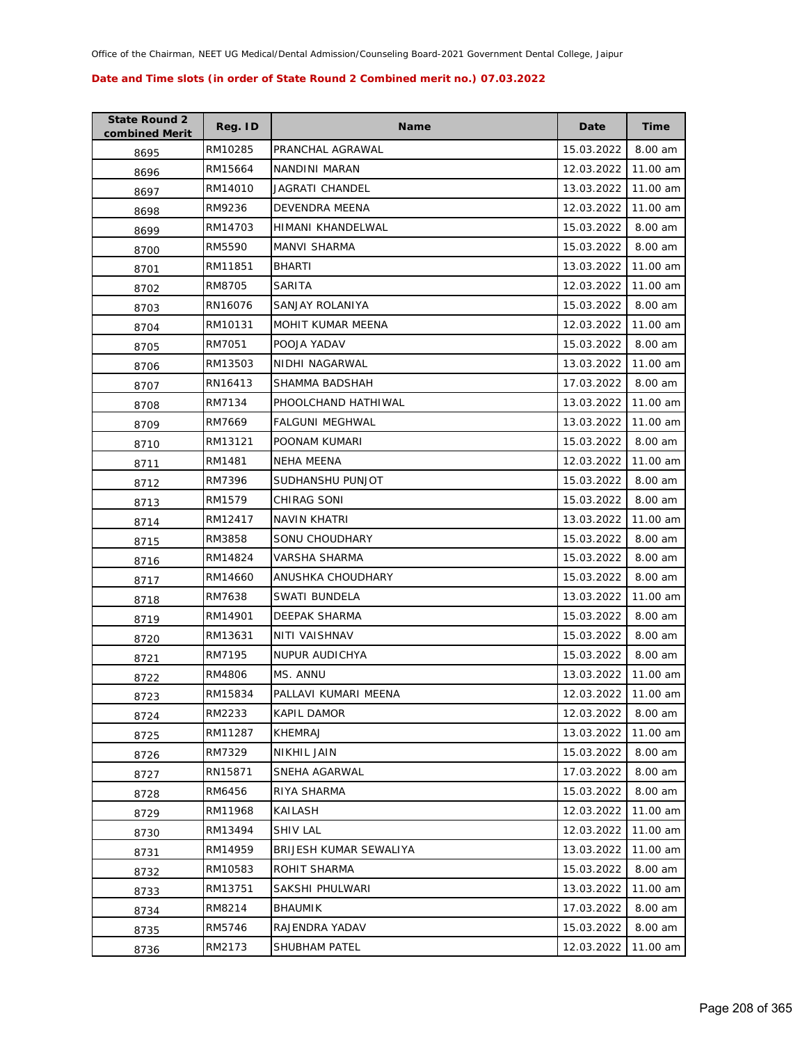| <b>State Round 2</b><br>combined Merit | Reg. ID | <b>Name</b>            | Date       | <b>Time</b> |
|----------------------------------------|---------|------------------------|------------|-------------|
| 8695                                   | RM10285 | PRANCHAL AGRAWAL       | 15.03.2022 | 8.00 am     |
| 8696                                   | RM15664 | NANDINI MARAN          | 12.03.2022 | 11.00 am    |
| 8697                                   | RM14010 | JAGRATI CHANDEL        | 13.03.2022 | 11.00 am    |
| 8698                                   | RM9236  | DEVENDRA MEENA         | 12.03.2022 | 11.00 am    |
| 8699                                   | RM14703 | HIMANI KHANDELWAL      | 15.03.2022 | 8.00 am     |
| 8700                                   | RM5590  | MANVI SHARMA           | 15.03.2022 | 8.00 am     |
| 8701                                   | RM11851 | <b>BHARTI</b>          | 13.03.2022 | 11.00 am    |
| 8702                                   | RM8705  | SARITA                 | 12.03.2022 | 11.00 am    |
| 8703                                   | RN16076 | SANJAY ROLANIYA        | 15.03.2022 | 8.00 am     |
| 8704                                   | RM10131 | MOHIT KUMAR MEENA      | 12.03.2022 | 11.00 am    |
| 8705                                   | RM7051  | POOJA YADAV            | 15.03.2022 | 8.00 am     |
| 8706                                   | RM13503 | NIDHI NAGARWAL         | 13.03.2022 | 11.00 am    |
| 8707                                   | RN16413 | SHAMMA BADSHAH         | 17.03.2022 | 8.00 am     |
| 8708                                   | RM7134  | PHOOLCHAND HATHIWAL    | 13.03.2022 | 11.00 am    |
| 8709                                   | RM7669  | FALGUNI MEGHWAL        | 13.03.2022 | 11.00 am    |
| 8710                                   | RM13121 | POONAM KUMARI          | 15.03.2022 | 8.00 am     |
| 8711                                   | RM1481  | <b>NEHA MEENA</b>      | 12.03.2022 | 11.00 am    |
| 8712                                   | RM7396  | SUDHANSHU PUNJOT       | 15.03.2022 | 8.00 am     |
| 8713                                   | RM1579  | CHIRAG SONI            | 15.03.2022 | 8.00 am     |
| 8714                                   | RM12417 | NAVIN KHATRI           | 13.03.2022 | 11.00 am    |
| 8715                                   | RM3858  | <b>SONU CHOUDHARY</b>  | 15.03.2022 | 8.00 am     |
| 8716                                   | RM14824 | VARSHA SHARMA          | 15.03.2022 | 8.00 am     |
| 8717                                   | RM14660 | ANUSHKA CHOUDHARY      | 15.03.2022 | 8.00 am     |
| 8718                                   | RM7638  | SWATI BUNDELA          | 13.03.2022 | 11.00 am    |
| 8719                                   | RM14901 | DEEPAK SHARMA          | 15.03.2022 | 8.00 am     |
| 8720                                   | RM13631 | NITI VAISHNAV          | 15.03.2022 | 8.00 am     |
| 8721                                   | RM7195  | <b>NUPUR AUDICHYA</b>  | 15.03.2022 | 8.00 am     |
| 8722                                   | RM4806  | MS. ANNU               | 13.03.2022 | 11.00 am    |
| 8723                                   | RM15834 | PALLAVI KUMARI MEENA   | 12.03.2022 | 11.00 am    |
| 8724                                   | RM2233  | <b>KAPIL DAMOR</b>     | 12.03.2022 | 8.00 am     |
| 8725                                   | RM11287 | KHEMRAJ                | 13.03.2022 | 11.00 am    |
| 8726                                   | RM7329  | NIKHIL JAIN            | 15.03.2022 | 8.00 am     |
| 8727                                   | RN15871 | SNEHA AGARWAL          | 17.03.2022 | 8.00 am     |
| 8728                                   | RM6456  | RIYA SHARMA            | 15.03.2022 | 8.00 am     |
| 8729                                   | RM11968 | KAILASH                | 12.03.2022 | 11.00 am    |
| 8730                                   | RM13494 | <b>SHIV LAL</b>        | 12.03.2022 | 11.00 am    |
| 8731                                   | RM14959 | BRIJESH KUMAR SEWALIYA | 13.03.2022 | 11.00 am    |
| 8732                                   | RM10583 | ROHIT SHARMA           | 15.03.2022 | 8.00 am     |
| 8733                                   | RM13751 | SAKSHI PHULWARI        | 13.03.2022 | 11.00 am    |
| 8734                                   | RM8214  | <b>BHAUMIK</b>         | 17.03.2022 | 8.00 am     |
| 8735                                   | RM5746  | RAJENDRA YADAV         | 15.03.2022 | 8.00 am     |
| 8736                                   | RM2173  | SHUBHAM PATEL          | 12.03.2022 | 11.00 am    |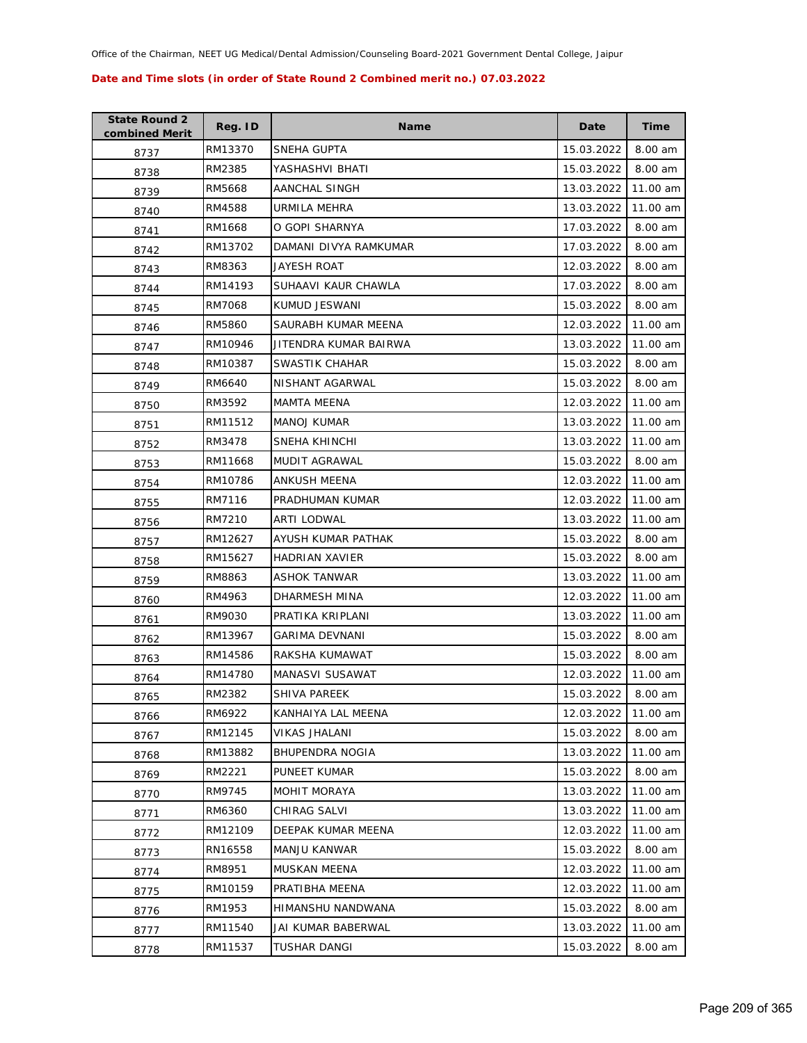| <b>State Round 2</b><br>combined Merit | Reg. ID | Name                   | Date       | <b>Time</b> |
|----------------------------------------|---------|------------------------|------------|-------------|
| 8737                                   | RM13370 | SNEHA GUPTA            | 15.03.2022 | 8.00 am     |
| 8738                                   | RM2385  | YASHASHVI BHATI        | 15.03.2022 | 8.00 am     |
| 8739                                   | RM5668  | AANCHAL SINGH          | 13.03.2022 | 11.00 am    |
| 8740                                   | RM4588  | URMILA MEHRA           | 13.03.2022 | 11.00 am    |
| 8741                                   | RM1668  | O GOPI SHARNYA         | 17.03.2022 | 8.00 am     |
| 8742                                   | RM13702 | DAMANI DIVYA RAMKUMAR  | 17.03.2022 | 8.00 am     |
| 8743                                   | RM8363  | JAYESH ROAT            | 12.03.2022 | 8.00 am     |
| 8744                                   | RM14193 | SUHAAVI KAUR CHAWLA    | 17.03.2022 | 8.00 am     |
| 8745                                   | RM7068  | KUMUD JESWANI          | 15.03.2022 | 8.00 am     |
| 8746                                   | RM5860  | SAURABH KUMAR MEENA    | 12.03.2022 | 11.00 am    |
| 8747                                   | RM10946 | JITENDRA KUMAR BAIRWA  | 13.03.2022 | 11.00 am    |
| 8748                                   | RM10387 | SWASTIK CHAHAR         | 15.03.2022 | 8.00 am     |
| 8749                                   | RM6640  | NISHANT AGARWAL        | 15.03.2022 | 8.00 am     |
| 8750                                   | RM3592  | <b>MAMTA MEENA</b>     | 12.03.2022 | 11.00 am    |
| 8751                                   | RM11512 | <b>MANOJ KUMAR</b>     | 13.03.2022 | 11.00 am    |
| 8752                                   | RM3478  | SNEHA KHINCHI          | 13.03.2022 | 11.00 am    |
| 8753                                   | RM11668 | <b>MUDIT AGRAWAL</b>   | 15.03.2022 | 8.00 am     |
| 8754                                   | RM10786 | ANKUSH MEENA           | 12.03.2022 | 11.00 am    |
| 8755                                   | RM7116  | PRADHUMAN KUMAR        | 12.03.2022 | 11.00 am    |
| 8756                                   | RM7210  | ARTI LODWAL            | 13.03.2022 | 11.00 am    |
| 8757                                   | RM12627 | AYUSH KUMAR PATHAK     | 15.03.2022 | 8.00 am     |
| 8758                                   | RM15627 | <b>HADRIAN XAVIER</b>  | 15.03.2022 | 8.00 am     |
| 8759                                   | RM8863  | ASHOK TANWAR           | 13.03.2022 | 11.00 am    |
| 8760                                   | RM4963  | DHARMESH MINA          | 12.03.2022 | 11.00 am    |
| 8761                                   | RM9030  | PRATIKA KRIPLANI       | 13.03.2022 | 11.00 am    |
| 8762                                   | RM13967 | <b>GARIMA DEVNANI</b>  | 15.03.2022 | 8.00 am     |
| 8763                                   | RM14586 | RAKSHA KUMAWAT         | 15.03.2022 | 8.00 am     |
| 8764                                   | RM14780 | MANASVI SUSAWAT        | 12.03.2022 | 11.00 am    |
| 8765                                   | RM2382  | <b>SHIVA PAREEK</b>    | 15.03.2022 | 8.00 am     |
| 8766                                   | RM6922  | KANHAIYA LAL MEENA     | 12.03.2022 | 11.00 am    |
| 8767                                   | RM12145 | <b>VIKAS JHALANI</b>   | 15.03.2022 | 8.00 am     |
| 8768                                   | RM13882 | <b>BHUPENDRA NOGIA</b> | 13.03.2022 | 11.00 am    |
| 8769                                   | RM2221  | PUNEET KUMAR           | 15.03.2022 | 8.00 am     |
| 8770                                   | RM9745  | <b>MOHIT MORAYA</b>    | 13.03.2022 | 11.00 am    |
| 8771                                   | RM6360  | CHIRAG SALVI           | 13.03.2022 | 11.00 am    |
| 8772                                   | RM12109 | DEEPAK KUMAR MEENA     | 12.03.2022 | 11.00 am    |
| 8773                                   | RN16558 | <b>MANJU KANWAR</b>    | 15.03.2022 | 8.00 am     |
| 8774                                   | RM8951  | <b>MUSKAN MEENA</b>    | 12.03.2022 | 11.00 am    |
| 8775                                   | RM10159 | PRATIBHA MEENA         | 12.03.2022 | 11.00 am    |
| 8776                                   | RM1953  | HIMANSHU NANDWANA      | 15.03.2022 | 8.00 am     |
| 8777                                   | RM11540 | JAI KUMAR BABERWAL     | 13.03.2022 | 11.00 am    |
| 8778                                   | RM11537 | <b>TUSHAR DANGI</b>    | 15.03.2022 | 8.00 am     |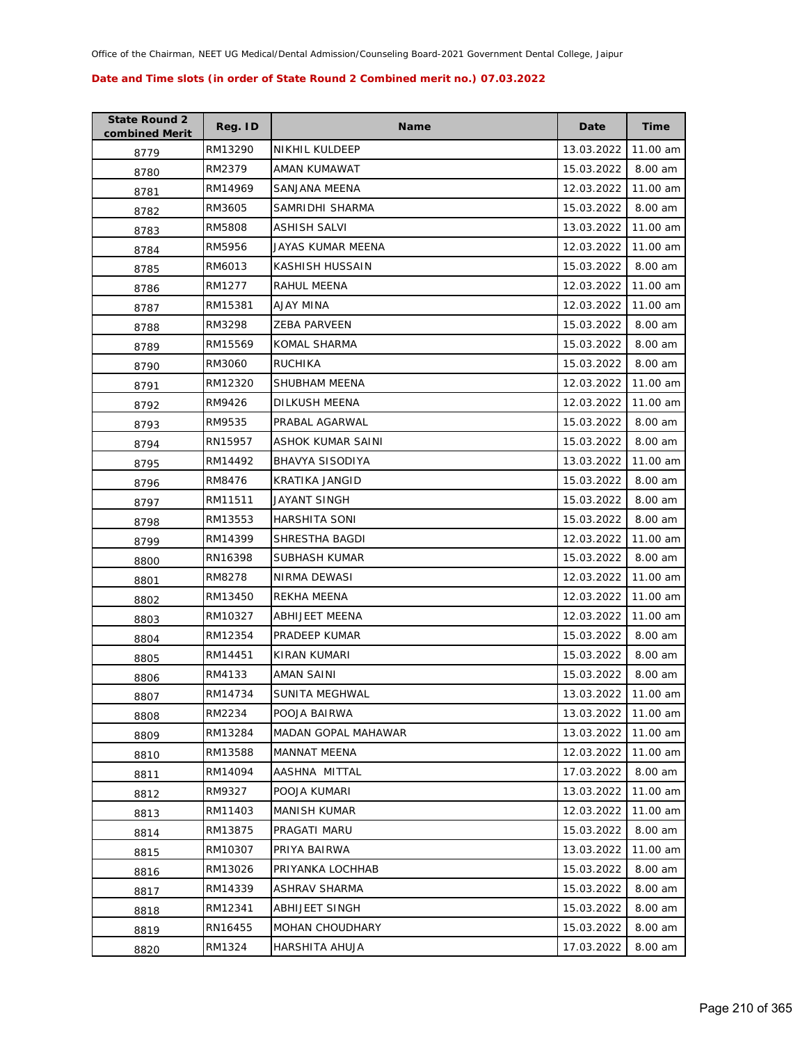| <b>State Round 2</b><br>combined Merit | Reg. ID | Name                   | Date       | <b>Time</b> |
|----------------------------------------|---------|------------------------|------------|-------------|
| 8779                                   | RM13290 | NIKHIL KULDEEP         | 13.03.2022 | 11.00 am    |
| 8780                                   | RM2379  | AMAN KUMAWAT           | 15.03.2022 | 8.00 am     |
| 8781                                   | RM14969 | <b>SANJANA MEENA</b>   | 12.03.2022 | 11.00 am    |
| 8782                                   | RM3605  | SAMRIDHI SHARMA        | 15.03.2022 | 8.00 am     |
| 8783                                   | RM5808  | ASHISH SALVI           | 13.03.2022 | 11.00 am    |
| 8784                                   | RM5956  | JAYAS KUMAR MEENA      | 12.03.2022 | 11.00 am    |
| 8785                                   | RM6013  | KASHISH HUSSAIN        | 15.03.2022 | 8.00 am     |
| 8786                                   | RM1277  | RAHUL MEENA            | 12.03.2022 | 11.00 am    |
| 8787                                   | RM15381 | AJAY MINA              | 12.03.2022 | 11.00 am    |
| 8788                                   | RM3298  | <b>ZEBA PARVEEN</b>    | 15.03.2022 | 8.00 am     |
| 8789                                   | RM15569 | KOMAL SHARMA           | 15.03.2022 | 8.00 am     |
| 8790                                   | RM3060  | RUCHIKA                | 15.03.2022 | 8.00 am     |
| 8791                                   | RM12320 | SHUBHAM MEENA          | 12.03.2022 | 11.00 am    |
| 8792                                   | RM9426  | DILKUSH MEENA          | 12.03.2022 | 11.00 am    |
| 8793                                   | RM9535  | PRABAL AGARWAL         | 15.03.2022 | 8.00 am     |
| 8794                                   | RN15957 | ASHOK KUMAR SAINI      | 15.03.2022 | 8.00 am     |
| 8795                                   | RM14492 | <b>BHAVYA SISODIYA</b> | 13.03.2022 | 11.00 am    |
| 8796                                   | RM8476  | KRATIKA JANGID         | 15.03.2022 | 8.00 am     |
| 8797                                   | RM11511 | JAYANT SINGH           | 15.03.2022 | 8.00 am     |
| 8798                                   | RM13553 | HARSHITA SONI          | 15.03.2022 | 8.00 am     |
| 8799                                   | RM14399 | SHRESTHA BAGDI         | 12.03.2022 | 11.00 am    |
| 8800                                   | RN16398 | SUBHASH KUMAR          | 15.03.2022 | 8.00 am     |
| 8801                                   | RM8278  | NIRMA DEWASI           | 12.03.2022 | 11.00 am    |
| 8802                                   | RM13450 | REKHA MEENA            | 12.03.2022 | 11.00 am    |
| 8803                                   | RM10327 | ABHIJEET MEENA         | 12.03.2022 | 11.00 am    |
| 8804                                   | RM12354 | PRADEEP KUMAR          | 15.03.2022 | 8.00 am     |
| 8805                                   | RM14451 | KIRAN KUMARI           | 15.03.2022 | 8.00 am     |
| 8806                                   | RM4133  | AMAN SAINI             | 15.03.2022 | 8.00 am     |
| 8807                                   | RM14734 | SUNITA MEGHWAL         | 13.03.2022 | 11.00 am    |
| 8808                                   | RM2234  | POOJA BAIRWA           | 13.03.2022 | 11.00 am    |
| 8809                                   | RM13284 | MADAN GOPAL MAHAWAR    | 13.03.2022 | 11.00 am    |
| 8810                                   | RM13588 | <b>MANNAT MEENA</b>    | 12.03.2022 | 11.00 am    |
| 8811                                   | RM14094 | AASHNA MITTAL          | 17.03.2022 | 8.00 am     |
| 8812                                   | RM9327  | POOJA KUMARI           | 13.03.2022 | 11.00 am    |
| 8813                                   | RM11403 | <b>MANISH KUMAR</b>    | 12.03.2022 | 11.00 am    |
| 8814                                   | RM13875 | PRAGATI MARU           | 15.03.2022 | 8.00 am     |
| 8815                                   | RM10307 | PRIYA BAIRWA           | 13.03.2022 | 11.00 am    |
| 8816                                   | RM13026 | PRIYANKA LOCHHAB       | 15.03.2022 | 8.00 am     |
| 8817                                   | RM14339 | ASHRAV SHARMA          | 15.03.2022 | 8.00 am     |
| 8818                                   | RM12341 | ABHIJEET SINGH         | 15.03.2022 | 8.00 am     |
| 8819                                   | RN16455 | <b>MOHAN CHOUDHARY</b> | 15.03.2022 | 8.00 am     |
| 8820                                   | RM1324  | HARSHITA AHUJA         | 17.03.2022 | 8.00 am     |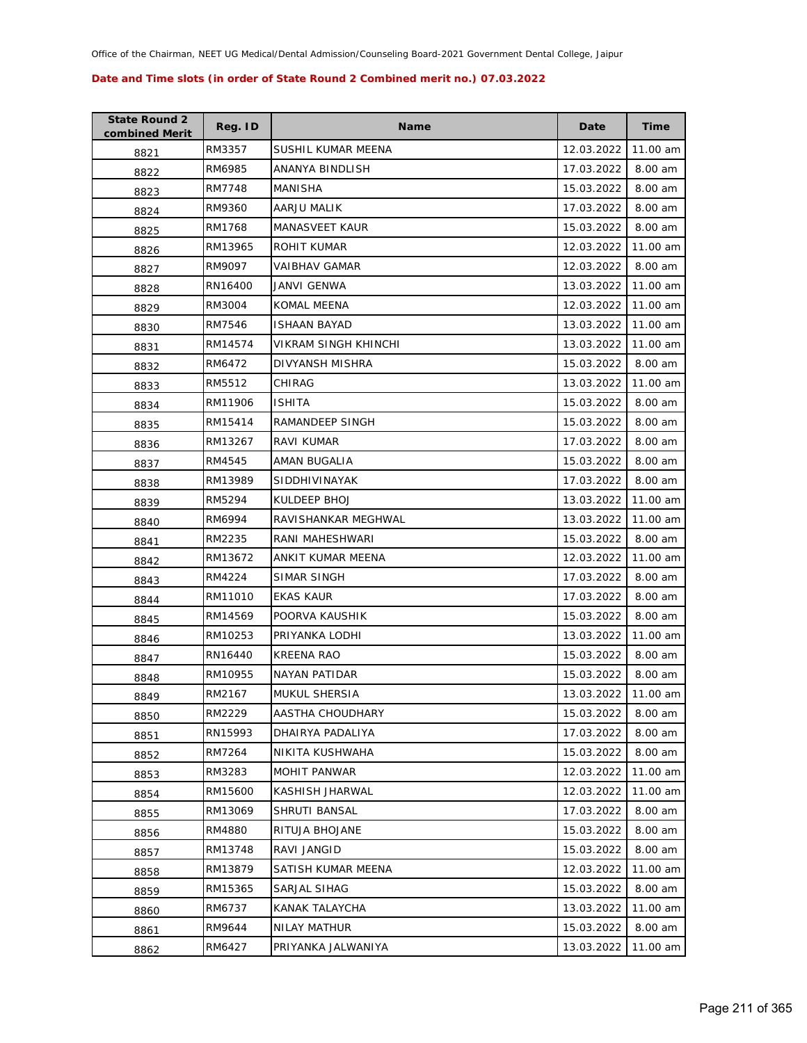| <b>State Round 2</b><br>combined Merit | Reg. ID | <b>Name</b>           | Date       | <b>Time</b> |
|----------------------------------------|---------|-----------------------|------------|-------------|
| 8821                                   | RM3357  | SUSHIL KUMAR MEENA    | 12.03.2022 | 11.00 am    |
| 8822                                   | RM6985  | ANANYA BINDLISH       | 17.03.2022 | 8.00 am     |
| 8823                                   | RM7748  | MANISHA               | 15.03.2022 | 8.00 am     |
| 8824                                   | RM9360  | AARJU MALIK           | 17.03.2022 | 8.00 am     |
| 8825                                   | RM1768  | <b>MANASVEET KAUR</b> | 15.03.2022 | 8.00 am     |
| 8826                                   | RM13965 | ROHIT KUMAR           | 12.03.2022 | 11.00 am    |
| 8827                                   | RM9097  | <b>VAIBHAV GAMAR</b>  | 12.03.2022 | 8.00 am     |
| 8828                                   | RN16400 | JANVI GENWA           | 13.03.2022 | 11.00 am    |
| 8829                                   | RM3004  | KOMAL MEENA           | 12.03.2022 | 11.00 am    |
| 8830                                   | RM7546  | <b>ISHAAN BAYAD</b>   | 13.03.2022 | 11.00 am    |
| 8831                                   | RM14574 | VIKRAM SINGH KHINCHI  | 13.03.2022 | 11.00 am    |
| 8832                                   | RM6472  | DIVYANSH MISHRA       | 15.03.2022 | 8.00 am     |
| 8833                                   | RM5512  | CHIRAG                | 13.03.2022 | 11.00 am    |
| 8834                                   | RM11906 | <b>ISHITA</b>         | 15.03.2022 | 8.00 am     |
| 8835                                   | RM15414 | RAMANDEEP SINGH       | 15.03.2022 | 8.00 am     |
| 8836                                   | RM13267 | RAVI KUMAR            | 17.03.2022 | 8.00 am     |
| 8837                                   | RM4545  | AMAN BUGALIA          | 15.03.2022 | 8.00 am     |
| 8838                                   | RM13989 | <b>SIDDHIVINAYAK</b>  | 17.03.2022 | 8.00 am     |
| 8839                                   | RM5294  | KULDEEP BHOJ          | 13.03.2022 | 11.00 am    |
| 8840                                   | RM6994  | RAVISHANKAR MEGHWAL   | 13.03.2022 | 11.00 am    |
| 8841                                   | RM2235  | RANI MAHESHWARI       | 15.03.2022 | 8.00 am     |
| 8842                                   | RM13672 | ANKIT KUMAR MEENA     | 12.03.2022 | 11.00 am    |
| 8843                                   | RM4224  | SIMAR SINGH           | 17.03.2022 | 8.00 am     |
| 8844                                   | RM11010 | <b>EKAS KAUR</b>      | 17.03.2022 | 8.00 am     |
| 8845                                   | RM14569 | POORVA KAUSHIK        | 15.03.2022 | 8.00 am     |
| 8846                                   | RM10253 | PRIYANKA LODHI        | 13.03.2022 | 11.00 am    |
| 8847                                   | RN16440 | KREENA RAO            | 15.03.2022 | 8.00 am     |
| 8848                                   | RM10955 | <b>NAYAN PATIDAR</b>  | 15.03.2022 | 8.00 am     |
| 8849                                   | RM2167  | MUKUL SHERSIA         | 13.03.2022 | 11.00 am    |
| 8850                                   | RM2229  | AASTHA CHOUDHARY      | 15.03.2022 | 8.00 am     |
| 8851                                   | RN15993 | DHAIRYA PADALIYA      | 17.03.2022 | 8.00 am     |
| 8852                                   | RM7264  | NIKITA KUSHWAHA       | 15.03.2022 | 8.00 am     |
| 8853                                   | RM3283  | MOHIT PANWAR          | 12.03.2022 | 11.00 am    |
| 8854                                   | RM15600 | KASHISH JHARWAL       | 12.03.2022 | 11.00 am    |
| 8855                                   | RM13069 | SHRUTI BANSAL         | 17.03.2022 | 8.00 am     |
| 8856                                   | RM4880  | RITUJA BHOJANE        | 15.03.2022 | 8.00 am     |
| 8857                                   | RM13748 | RAVI JANGID           | 15.03.2022 | 8.00 am     |
| 8858                                   | RM13879 | SATISH KUMAR MEENA    | 12.03.2022 | 11.00 am    |
| 8859                                   | RM15365 | SARJAL SIHAG          | 15.03.2022 | 8.00 am     |
| 8860                                   | RM6737  | KANAK TALAYCHA        | 13.03.2022 | 11.00 am    |
| 8861                                   | RM9644  | <b>NILAY MATHUR</b>   | 15.03.2022 | 8.00 am     |
| 8862                                   | RM6427  | PRIYANKA JALWANIYA    | 13.03.2022 | 11.00 am    |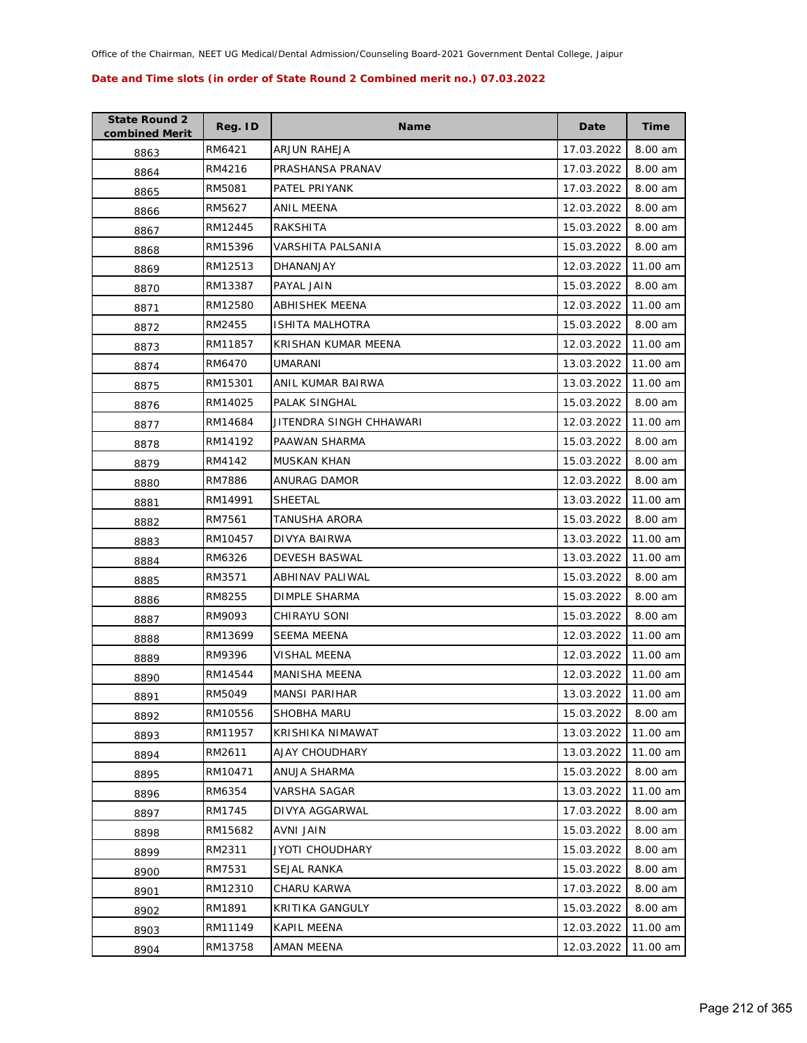| <b>State Round 2</b><br>combined Merit | Reg. ID | Name                    | Date       | Time     |
|----------------------------------------|---------|-------------------------|------------|----------|
| 8863                                   | RM6421  | ARJUN RAHEJA            | 17.03.2022 | 8.00 am  |
| 8864                                   | RM4216  | PRASHANSA PRANAV        | 17.03.2022 | 8.00 am  |
| 8865                                   | RM5081  | PATEL PRIYANK           | 17.03.2022 | 8.00 am  |
| 8866                                   | RM5627  | ANIL MEENA              | 12.03.2022 | 8.00 am  |
| 8867                                   | RM12445 | RAKSHITA                | 15.03.2022 | 8.00 am  |
| 8868                                   | RM15396 | VARSHITA PALSANIA       | 15.03.2022 | 8.00 am  |
| 8869                                   | RM12513 | <b>DHANANJAY</b>        | 12.03.2022 | 11.00 am |
| 8870                                   | RM13387 | PAYAL JAIN              | 15.03.2022 | 8.00 am  |
| 8871                                   | RM12580 | ABHISHEK MEENA          | 12.03.2022 | 11.00 am |
| 8872                                   | RM2455  | ISHITA MALHOTRA         | 15.03.2022 | 8.00 am  |
| 8873                                   | RM11857 | KRISHAN KUMAR MEENA     | 12.03.2022 | 11.00 am |
| 8874                                   | RM6470  | UMARANI                 | 13.03.2022 | 11.00 am |
| 8875                                   | RM15301 | ANIL KUMAR BAIRWA       | 13.03.2022 | 11.00 am |
| 8876                                   | RM14025 | PALAK SINGHAL           | 15.03.2022 | 8.00 am  |
| 8877                                   | RM14684 | JITENDRA SINGH CHHAWARI | 12.03.2022 | 11.00 am |
| 8878                                   | RM14192 | PAAWAN SHARMA           | 15.03.2022 | 8.00 am  |
| 8879                                   | RM4142  | MUSKAN KHAN             | 15.03.2022 | 8.00 am  |
| 8880                                   | RM7886  | ANURAG DAMOR            | 12.03.2022 | 8.00 am  |
| 8881                                   | RM14991 | SHEETAL                 | 13.03.2022 | 11.00 am |
| 8882                                   | RM7561  | TANUSHA ARORA           | 15.03.2022 | 8.00 am  |
| 8883                                   | RM10457 | DIVYA BAIRWA            | 13.03.2022 | 11.00 am |
| 8884                                   | RM6326  | DEVESH BASWAL           | 13.03.2022 | 11.00 am |
| 8885                                   | RM3571  | ABHINAV PALIWAL         | 15.03.2022 | 8.00 am  |
| 8886                                   | RM8255  | DIMPLE SHARMA           | 15.03.2022 | 8.00 am  |
| 8887                                   | RM9093  | CHIRAYU SONI            | 15.03.2022 | 8.00 am  |
| 8888                                   | RM13699 | <b>SEEMA MEENA</b>      | 12.03.2022 | 11.00 am |
| 8889                                   | RM9396  | VISHAL MEENA            | 12.03.2022 | 11.00 am |
| 8890                                   | RM14544 | <b>MANISHA MEENA</b>    | 12.03.2022 | 11.00 am |
| 8891                                   | RM5049  | <b>MANSI PARIHAR</b>    | 13.03.2022 | 11.00 am |
| 8892                                   | RM10556 | SHOBHA MARU             | 15.03.2022 | 8.00 am  |
| 8893                                   | RM11957 | KRISHIKA NIMAWAT        | 13.03.2022 | 11.00 am |
| 8894                                   | RM2611  | AJAY CHOUDHARY          | 13.03.2022 | 11.00 am |
| 8895                                   | RM10471 | ANUJA SHARMA            | 15.03.2022 | 8.00 am  |
| 8896                                   | RM6354  | VARSHA SAGAR            | 13.03.2022 | 11.00 am |
| 8897                                   | RM1745  | DIVYA AGGARWAL          | 17.03.2022 | 8.00 am  |
| 8898                                   | RM15682 | AVNI JAIN               | 15.03.2022 | 8.00 am  |
| 8899                                   | RM2311  | JYOTI CHOUDHARY         | 15.03.2022 | 8.00 am  |
| 8900                                   | RM7531  | SEJAL RANKA             | 15.03.2022 | 8.00 am  |
| 8901                                   | RM12310 | CHARU KARWA             | 17.03.2022 | 8.00 am  |
| 8902                                   | RM1891  | KRITIKA GANGULY         | 15.03.2022 | 8.00 am  |
| 8903                                   | RM11149 | KAPIL MEENA             | 12.03.2022 | 11.00 am |
| 8904                                   | RM13758 | AMAN MEENA              | 12.03.2022 | 11.00 am |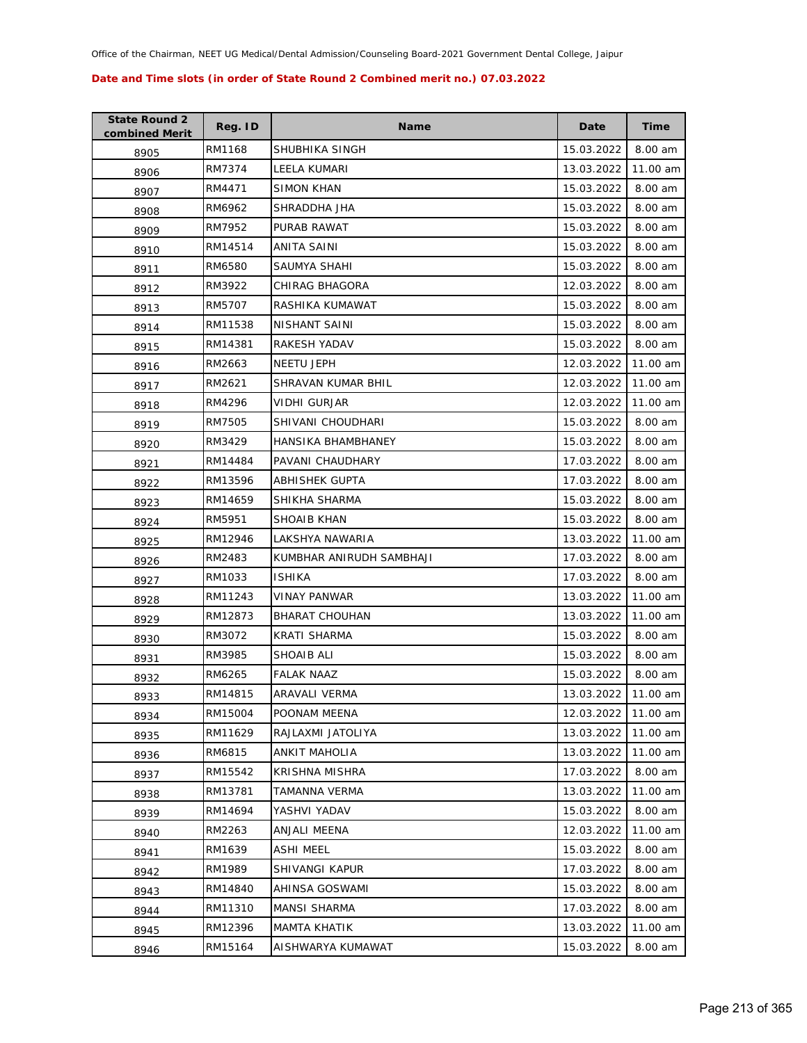| <b>State Round 2</b><br>combined Merit | Reg. ID | <b>Name</b>               | Date       | Time     |
|----------------------------------------|---------|---------------------------|------------|----------|
| 8905                                   | RM1168  | SHUBHIKA SINGH            | 15.03.2022 | 8.00 am  |
| 8906                                   | RM7374  | LEELA KUMARI              | 13.03.2022 | 11.00 am |
| 8907                                   | RM4471  | <b>SIMON KHAN</b>         | 15.03.2022 | 8.00 am  |
| 8908                                   | RM6962  | SHRADDHA JHA              | 15.03.2022 | 8.00 am  |
| 8909                                   | RM7952  | PURAB RAWAT               | 15.03.2022 | 8.00 am  |
| 8910                                   | RM14514 | ANITA SAINI               | 15.03.2022 | 8.00 am  |
| 8911                                   | RM6580  | SAUMYA SHAHI              | 15.03.2022 | 8.00 am  |
| 8912                                   | RM3922  | CHIRAG BHAGORA            | 12.03.2022 | 8.00 am  |
| 8913                                   | RM5707  | RASHIKA KUMAWAT           | 15.03.2022 | 8.00 am  |
| 8914                                   | RM11538 | NISHANT SAINI             | 15.03.2022 | 8.00 am  |
| 8915                                   | RM14381 | RAKESH YADAV              | 15.03.2022 | 8.00 am  |
| 8916                                   | RM2663  | NEETU JEPH                | 12.03.2022 | 11.00 am |
| 8917                                   | RM2621  | SHRAVAN KUMAR BHIL        | 12.03.2022 | 11.00 am |
| 8918                                   | RM4296  | VIDHI GURJAR              | 12.03.2022 | 11.00 am |
| 8919                                   | RM7505  | SHIVANI CHOUDHARI         | 15.03.2022 | 8.00 am  |
| 8920                                   | RM3429  | <b>HANSIKA BHAMBHANEY</b> | 15.03.2022 | 8.00 am  |
| 8921                                   | RM14484 | PAVANI CHAUDHARY          | 17.03.2022 | 8.00 am  |
| 8922                                   | RM13596 | ABHISHEK GUPTA            | 17.03.2022 | 8.00 am  |
| 8923                                   | RM14659 | SHIKHA SHARMA             | 15.03.2022 | 8.00 am  |
| 8924                                   | RM5951  | SHOAIB KHAN               | 15.03.2022 | 8.00 am  |
| 8925                                   | RM12946 | LAKSHYA NAWARIA           | 13.03.2022 | 11.00 am |
| 8926                                   | RM2483  | KUMBHAR ANIRUDH SAMBHAJI  | 17.03.2022 | 8.00 am  |
| 8927                                   | RM1033  | ISHIKA                    | 17.03.2022 | 8.00 am  |
| 8928                                   | RM11243 | VINAY PANWAR              | 13.03.2022 | 11.00 am |
| 8929                                   | RM12873 | <b>BHARAT CHOUHAN</b>     | 13.03.2022 | 11.00 am |
| 8930                                   | RM3072  | <b>KRATI SHARMA</b>       | 15.03.2022 | 8.00 am  |
| 8931                                   | RM3985  | SHOAIB ALI                | 15.03.2022 | 8.00 am  |
| 8932                                   | RM6265  | <b>FALAK NAAZ</b>         | 15.03.2022 | 8.00 am  |
| 8933                                   | RM14815 | ARAVALI VERMA             | 13.03.2022 | 11.00 am |
| 8934                                   | RM15004 | POONAM MEENA              | 12.03.2022 | 11.00 am |
| 8935                                   | RM11629 | RAJLAXMI JATOLIYA         | 13.03.2022 | 11.00 am |
| 8936                                   | RM6815  | <b>ANKIT MAHOLIA</b>      | 13.03.2022 | 11.00 am |
| 8937                                   | RM15542 | KRISHNA MISHRA            | 17.03.2022 | 8.00 am  |
| 8938                                   | RM13781 | TAMANNA VERMA             | 13.03.2022 | 11.00 am |
| 8939                                   | RM14694 | YASHVI YADAV              | 15.03.2022 | 8.00 am  |
| 8940                                   | RM2263  | ANJALI MEENA              | 12.03.2022 | 11.00 am |
| 8941                                   | RM1639  | <b>ASHI MEEL</b>          | 15.03.2022 | 8.00 am  |
| 8942                                   | RM1989  | SHIVANGI KAPUR            | 17.03.2022 | 8.00 am  |
| 8943                                   | RM14840 | AHINSA GOSWAMI            | 15.03.2022 | 8.00 am  |
| 8944                                   | RM11310 | <b>MANSI SHARMA</b>       | 17.03.2022 | 8.00 am  |
| 8945                                   | RM12396 | <b>MAMTA KHATIK</b>       | 13.03.2022 | 11.00 am |
| 8946                                   | RM15164 | AISHWARYA KUMAWAT         | 15.03.2022 | 8.00 am  |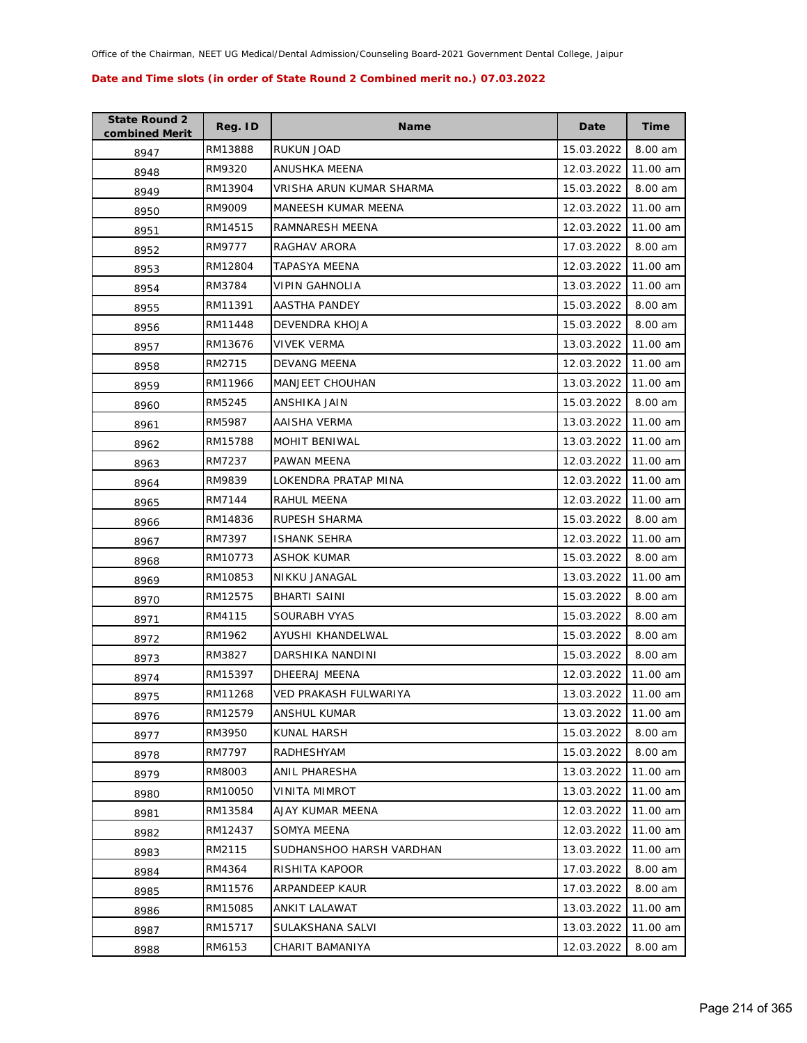| <b>State Round 2</b><br>combined Merit | Reg. ID | Name                     | Date       | <b>Time</b> |
|----------------------------------------|---------|--------------------------|------------|-------------|
| 8947                                   | RM13888 | RUKUN JOAD               | 15.03.2022 | 8.00 am     |
| 8948                                   | RM9320  | ANUSHKA MEENA            | 12.03.2022 | 11.00 am    |
| 8949                                   | RM13904 | VRISHA ARUN KUMAR SHARMA | 15.03.2022 | 8.00 am     |
| 8950                                   | RM9009  | MANEESH KUMAR MEENA      | 12.03.2022 | 11.00 am    |
| 8951                                   | RM14515 | RAMNARESH MEENA          | 12.03.2022 | 11.00 am    |
| 8952                                   | RM9777  | RAGHAV ARORA             | 17.03.2022 | 8.00 am     |
| 8953                                   | RM12804 | TAPASYA MEENA            | 12.03.2022 | 11.00 am    |
| 8954                                   | RM3784  | VIPIN GAHNOLIA           | 13.03.2022 | 11.00 am    |
| 8955                                   | RM11391 | AASTHA PANDEY            | 15.03.2022 | 8.00 am     |
| 8956                                   | RM11448 | DEVENDRA KHOJA           | 15.03.2022 | 8.00 am     |
| 8957                                   | RM13676 | VIVEK VERMA              | 13.03.2022 | 11.00 am    |
| 8958                                   | RM2715  | DEVANG MEENA             | 12.03.2022 | 11.00 am    |
| 8959                                   | RM11966 | <b>MANJEET CHOUHAN</b>   | 13.03.2022 | 11.00 am    |
| 8960                                   | RM5245  | ANSHIKA JAIN             | 15.03.2022 | 8.00 am     |
| 8961                                   | RM5987  | AAISHA VERMA             | 13.03.2022 | 11.00 am    |
| 8962                                   | RM15788 | MOHIT BENIWAL            | 13.03.2022 | 11.00 am    |
| 8963                                   | RM7237  | PAWAN MEENA              | 12.03.2022 | 11.00 am    |
| 8964                                   | RM9839  | LOKENDRA PRATAP MINA     | 12.03.2022 | 11.00 am    |
| 8965                                   | RM7144  | RAHUL MEENA              | 12.03.2022 | 11.00 am    |
| 8966                                   | RM14836 | RUPESH SHARMA            | 15.03.2022 | 8.00 am     |
| 8967                                   | RM7397  | <b>ISHANK SEHRA</b>      | 12.03.2022 | 11.00 am    |
| 8968                                   | RM10773 | ASHOK KUMAR              | 15.03.2022 | 8.00 am     |
| 8969                                   | RM10853 | NIKKU JANAGAL            | 13.03.2022 | 11.00 am    |
| 8970                                   | RM12575 | <b>BHARTI SAINI</b>      | 15.03.2022 | 8.00 am     |
| 8971                                   | RM4115  | SOURABH VYAS             | 15.03.2022 | 8.00 am     |
| 8972                                   | RM1962  | AYUSHI KHANDELWAL        | 15.03.2022 | 8.00 am     |
| 8973                                   | RM3827  | DARSHIKA NANDINI         | 15.03.2022 | 8.00 am     |
| 8974                                   | RM15397 | DHEERAJ MEENA            | 12.03.2022 | 11.00 am    |
| 8975                                   | RM11268 | VED PRAKASH FULWARIYA    | 13.03.2022 | 11.00 am    |
| 8976                                   | RM12579 | ANSHUL KUMAR             | 13.03.2022 | 11.00 am    |
| 8977                                   | RM3950  | KUNAL HARSH              | 15.03.2022 | 8.00 am     |
| 8978                                   | RM7797  | RADHESHYAM               | 15.03.2022 | 8.00 am     |
| 8979                                   | RM8003  | ANIL PHARESHA            | 13.03.2022 | 11.00 am    |
| 8980                                   | RM10050 | VINITA MIMROT            | 13.03.2022 | 11.00 am    |
| 8981                                   | RM13584 | AJAY KUMAR MEENA         | 12.03.2022 | 11.00 am    |
| 8982                                   | RM12437 | SOMYA MEENA              | 12.03.2022 | 11.00 am    |
| 8983                                   | RM2115  | SUDHANSHOO HARSH VARDHAN | 13.03.2022 | 11.00 am    |
| 8984                                   | RM4364  | RISHITA KAPOOR           | 17.03.2022 | 8.00 am     |
| 8985                                   | RM11576 | ARPANDEEP KAUR           | 17.03.2022 | 8.00 am     |
| 8986                                   | RM15085 | ANKIT LALAWAT            | 13.03.2022 | 11.00 am    |
| 8987                                   | RM15717 | SULAKSHANA SALVI         | 13.03.2022 | 11.00 am    |
| 8988                                   | RM6153  | CHARIT BAMANIYA          | 12.03.2022 | 8.00 am     |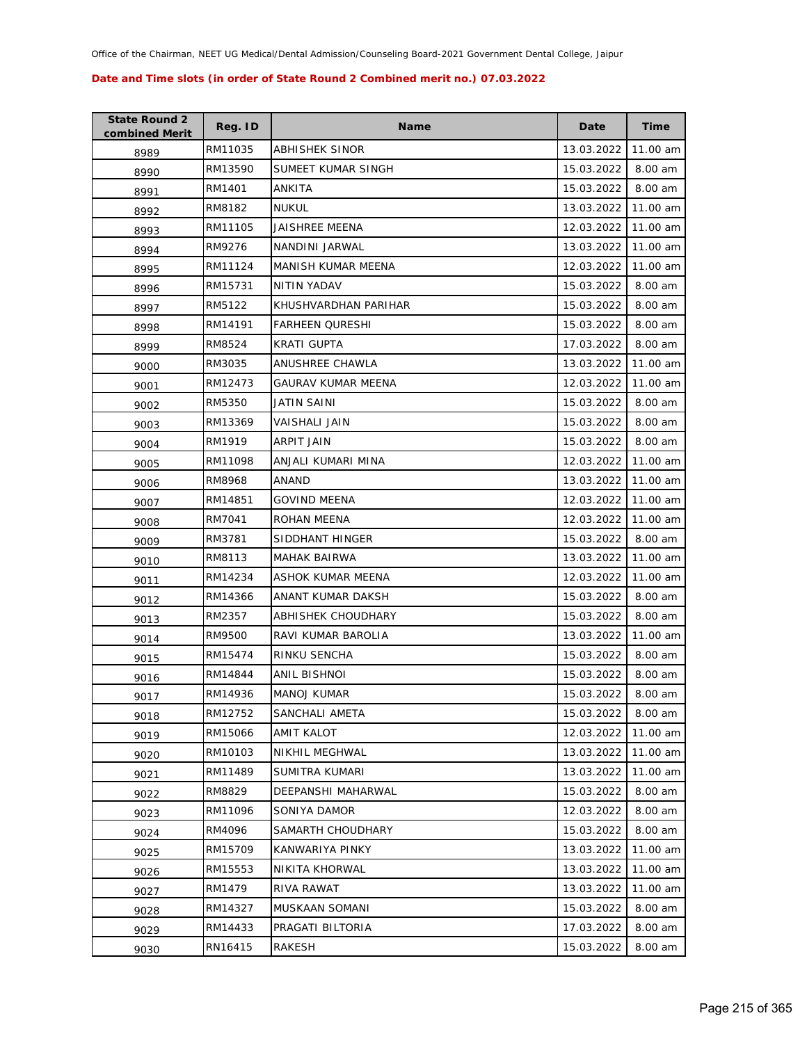| <b>State Round 2</b><br>combined Merit | Reg. ID | <b>Name</b>               | Date       | Time     |
|----------------------------------------|---------|---------------------------|------------|----------|
| 8989                                   | RM11035 | <b>ABHISHEK SINOR</b>     | 13.03.2022 | 11.00 am |
| 8990                                   | RM13590 | SUMEET KUMAR SINGH        | 15.03.2022 | 8.00 am  |
| 8991                                   | RM1401  | ANKITA                    | 15.03.2022 | 8.00 am  |
| 8992                                   | RM8182  | <b>NUKUL</b>              | 13.03.2022 | 11.00 am |
| 8993                                   | RM11105 | JAISHREE MEENA            | 12.03.2022 | 11.00 am |
| 8994                                   | RM9276  | NANDINI JARWAL            | 13.03.2022 | 11.00 am |
| 8995                                   | RM11124 | MANISH KUMAR MEENA        | 12.03.2022 | 11.00 am |
| 8996                                   | RM15731 | <b>NITIN YADAV</b>        | 15.03.2022 | 8.00 am  |
| 8997                                   | RM5122  | KHUSHVARDHAN PARIHAR      | 15.03.2022 | 8.00 am  |
| 8998                                   | RM14191 | FARHEEN QURESHI           | 15.03.2022 | 8.00 am  |
| 8999                                   | RM8524  | KRATI GUPTA               | 17.03.2022 | 8.00 am  |
| 9000                                   | RM3035  | ANUSHREE CHAWLA           | 13.03.2022 | 11.00 am |
| 9001                                   | RM12473 | <b>GAURAV KUMAR MEENA</b> | 12.03.2022 | 11.00 am |
| 9002                                   | RM5350  | JATIN SAINI               | 15.03.2022 | 8.00 am  |
| 9003                                   | RM13369 | VAISHALI JAIN             | 15.03.2022 | 8.00 am  |
| 9004                                   | RM1919  | ARPIT JAIN                | 15.03.2022 | 8.00 am  |
| 9005                                   | RM11098 | ANJALI KUMARI MINA        | 12.03.2022 | 11.00 am |
| 9006                                   | RM8968  | ANAND                     | 13.03.2022 | 11.00 am |
| 9007                                   | RM14851 | <b>GOVIND MEENA</b>       | 12.03.2022 | 11.00 am |
| 9008                                   | RM7041  | ROHAN MEENA               | 12.03.2022 | 11.00 am |
| 9009                                   | RM3781  | SIDDHANT HINGER           | 15.03.2022 | 8.00 am  |
| 9010                                   | RM8113  | MAHAK BAIRWA              | 13.03.2022 | 11.00 am |
| 9011                                   | RM14234 | ASHOK KUMAR MEENA         | 12.03.2022 | 11.00 am |
| 9012                                   | RM14366 | ANANT KUMAR DAKSH         | 15.03.2022 | 8.00 am  |
| 9013                                   | RM2357  | ABHISHEK CHOUDHARY        | 15.03.2022 | 8.00 am  |
| 9014                                   | RM9500  | RAVI KUMAR BAROLIA        | 13.03.2022 | 11.00 am |
| 9015                                   | RM15474 | RINKU SENCHA              | 15.03.2022 | 8.00 am  |
| 9016                                   | RM14844 | ANIL BISHNOI              | 15.03.2022 | 8.00 am  |
| 9017                                   | RM14936 | <b>MANOJ KUMAR</b>        | 15.03.2022 | 8.00 am  |
| 9018                                   | RM12752 | SANCHALI AMETA            | 15.03.2022 | 8.00 am  |
| 9019                                   | RM15066 | AMIT KALOT                | 12.03.2022 | 11.00 am |
| 9020                                   | RM10103 | NIKHIL MEGHWAL            | 13.03.2022 | 11.00 am |
| 9021                                   | RM11489 | SUMITRA KUMARI            | 13.03.2022 | 11.00 am |
| 9022                                   | RM8829  | DEEPANSHI MAHARWAL        | 15.03.2022 | 8.00 am  |
| 9023                                   | RM11096 | SONIYA DAMOR              | 12.03.2022 | 8.00 am  |
| 9024                                   | RM4096  | SAMARTH CHOUDHARY         | 15.03.2022 | 8.00 am  |
| 9025                                   | RM15709 | KANWARIYA PINKY           | 13.03.2022 | 11.00 am |
| 9026                                   | RM15553 | NIKITA KHORWAL            | 13.03.2022 | 11.00 am |
| 9027                                   | RM1479  | RIVA RAWAT                | 13.03.2022 | 11.00 am |
| 9028                                   | RM14327 | MUSKAAN SOMANI            | 15.03.2022 | 8.00 am  |
| 9029                                   | RM14433 | PRAGATI BILTORIA          | 17.03.2022 | 8.00 am  |
| 9030                                   | RN16415 | RAKESH                    | 15.03.2022 | 8.00 am  |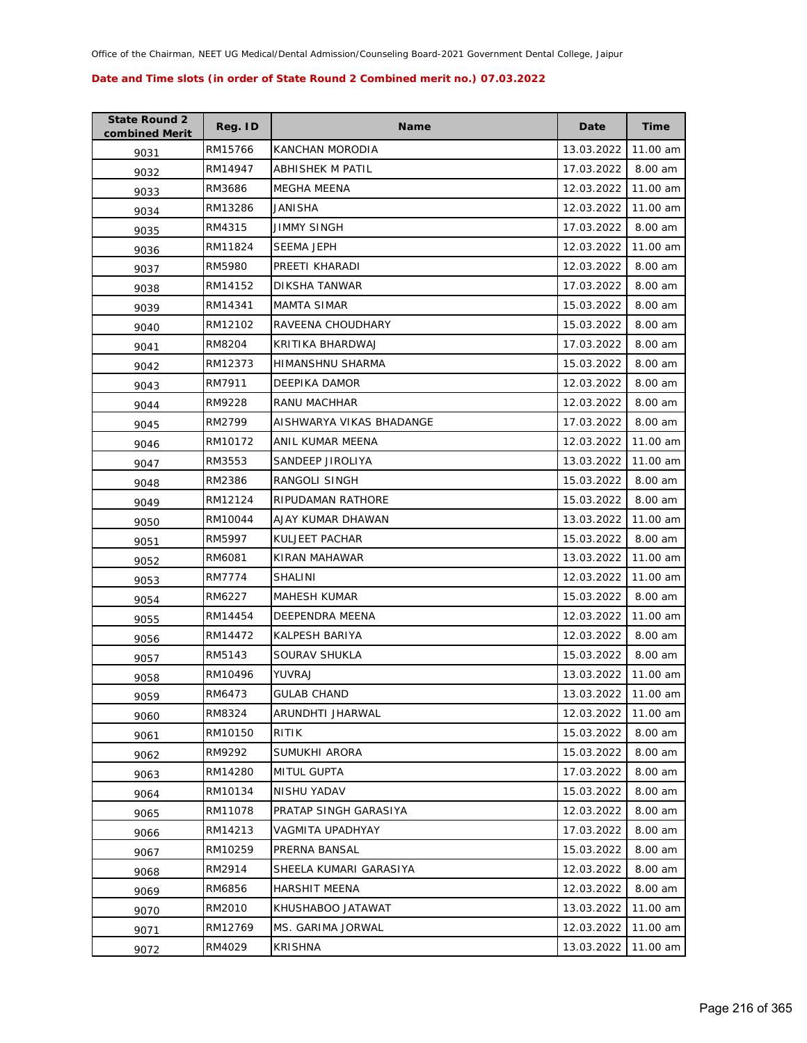| <b>State Round 2</b><br>combined Merit | Reg. ID | <b>Name</b>              | Date       | <b>Time</b> |
|----------------------------------------|---------|--------------------------|------------|-------------|
| 9031                                   | RM15766 | KANCHAN MORODIA          | 13.03.2022 | 11.00 am    |
| 9032                                   | RM14947 | ABHISHEK M PATIL         | 17.03.2022 | 8.00 am     |
| 9033                                   | RM3686  | MEGHA MEENA              | 12.03.2022 | 11.00 am    |
| 9034                                   | RM13286 | JANISHA                  | 12.03.2022 | 11.00 am    |
| 9035                                   | RM4315  | JIMMY SINGH              | 17.03.2022 | 8.00 am     |
| 9036                                   | RM11824 | SEEMA JEPH               | 12.03.2022 | 11.00 am    |
| 9037                                   | RM5980  | PREETI KHARADI           | 12.03.2022 | 8.00 am     |
| 9038                                   | RM14152 | DIKSHA TANWAR            | 17.03.2022 | 8.00 am     |
| 9039                                   | RM14341 | <b>MAMTA SIMAR</b>       | 15.03.2022 | 8.00 am     |
| 9040                                   | RM12102 | RAVEENA CHOUDHARY        | 15.03.2022 | 8.00 am     |
| 9041                                   | RM8204  | KRITIKA BHARDWAJ         | 17.03.2022 | 8.00 am     |
| 9042                                   | RM12373 | HIMANSHNU SHARMA         | 15.03.2022 | 8.00 am     |
| 9043                                   | RM7911  | DEEPIKA DAMOR            | 12.03.2022 | 8.00 am     |
| 9044                                   | RM9228  | RANU MACHHAR             | 12.03.2022 | 8.00 am     |
| 9045                                   | RM2799  | AISHWARYA VIKAS BHADANGE | 17.03.2022 | 8.00 am     |
| 9046                                   | RM10172 | ANIL KUMAR MEENA         | 12.03.2022 | 11.00 am    |
| 9047                                   | RM3553  | SANDEEP JIROLIYA         | 13.03.2022 | 11.00 am    |
| 9048                                   | RM2386  | RANGOLI SINGH            | 15.03.2022 | 8.00 am     |
| 9049                                   | RM12124 | RIPUDAMAN RATHORE        | 15.03.2022 | 8.00 am     |
| 9050                                   | RM10044 | AJAY KUMAR DHAWAN        | 13.03.2022 | 11.00 am    |
| 9051                                   | RM5997  | KULJEET PACHAR           | 15.03.2022 | 8.00 am     |
| 9052                                   | RM6081  | KIRAN MAHAWAR            | 13.03.2022 | 11.00 am    |
| 9053                                   | RM7774  | SHALINI                  | 12.03.2022 | 11.00 am    |
| 9054                                   | RM6227  | <b>MAHESH KUMAR</b>      | 15.03.2022 | 8.00 am     |
| 9055                                   | RM14454 | DEEPENDRA MEENA          | 12.03.2022 | 11.00 am    |
| 9056                                   | RM14472 | KALPESH BARIYA           | 12.03.2022 | 8.00 am     |
| 9057                                   | RM5143  | SOURAV SHUKLA            | 15.03.2022 | 8.00 am     |
| 9058                                   | RM10496 | YUVRAJ                   | 13.03.2022 | 11.00 am    |
| 9059                                   | RM6473  | <b>GULAB CHAND</b>       | 13.03.2022 | 11.00 am    |
| 9060                                   | RM8324  | ARUNDHTI JHARWAL         | 12.03.2022 | 11.00 am    |
| 9061                                   | RM10150 | RITIK                    | 15.03.2022 | 8.00 am     |
| 9062                                   | RM9292  | SUMUKHI ARORA            | 15.03.2022 | 8.00 am     |
| 9063                                   | RM14280 | <b>MITUL GUPTA</b>       | 17.03.2022 | 8.00 am     |
| 9064                                   | RM10134 | NISHU YADAV              | 15.03.2022 | 8.00 am     |
| 9065                                   | RM11078 | PRATAP SINGH GARASIYA    | 12.03.2022 | 8.00 am     |
| 9066                                   | RM14213 | <b>VAGMITA UPADHYAY</b>  | 17.03.2022 | 8.00 am     |
| 9067                                   | RM10259 | PRERNA BANSAL            | 15.03.2022 | 8.00 am     |
| 9068                                   | RM2914  | SHEELA KUMARI GARASIYA   | 12.03.2022 | 8.00 am     |
| 9069                                   | RM6856  | <b>HARSHIT MEENA</b>     | 12.03.2022 | 8.00 am     |
| 9070                                   | RM2010  | KHUSHABOO JATAWAT        | 13.03.2022 | 11.00 am    |
| 9071                                   | RM12769 | MS. GARIMA JORWAL        | 12.03.2022 | 11.00 am    |
| 9072                                   | RM4029  | <b>KRISHNA</b>           | 13.03.2022 | 11.00 am    |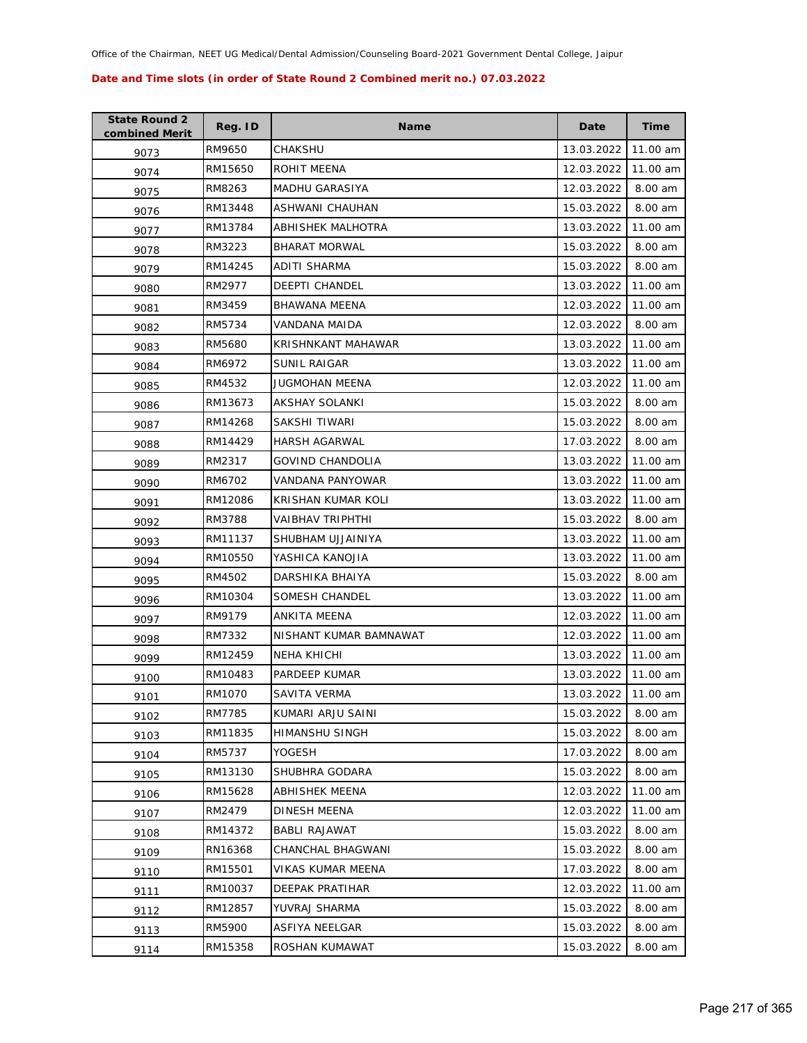| <b>State Round 2</b><br>combined Merit | Reg. ID | <b>Name</b>            | Date       | <b>Time</b> |
|----------------------------------------|---------|------------------------|------------|-------------|
| 9073                                   | RM9650  | CHAKSHU                | 13.03.2022 | 11.00 am    |
| 9074                                   | RM15650 | ROHIT MEENA            | 12.03.2022 | 11.00 am    |
| 9075                                   | RM8263  | MADHU GARASIYA         | 12.03.2022 | 8.00 am     |
| 9076                                   | RM13448 | ASHWANI CHAUHAN        | 15.03.2022 | 8.00 am     |
| 9077                                   | RM13784 | ABHISHEK MALHOTRA      | 13.03.2022 | 11.00 am    |
| 9078                                   | RM3223  | <b>BHARAT MORWAL</b>   | 15.03.2022 | 8.00 am     |
| 9079                                   | RM14245 | ADITI SHARMA           | 15.03.2022 | 8.00 am     |
| 9080                                   | RM2977  | <b>DEEPTI CHANDEL</b>  | 13.03.2022 | 11.00 am    |
| 9081                                   | RM3459  | <b>BHAWANA MEENA</b>   | 12.03.2022 | 11.00 am    |
| 9082                                   | RM5734  | VANDANA MAIDA          | 12.03.2022 | 8.00 am     |
| 9083                                   | RM5680  | KRISHNKANT MAHAWAR     | 13.03.2022 | 11.00 am    |
| 9084                                   | RM6972  | SUNIL RAIGAR           | 13.03.2022 | 11.00 am    |
| 9085                                   | RM4532  | <b>JUGMOHAN MEENA</b>  | 12.03.2022 | 11.00 am    |
| 9086                                   | RM13673 | AKSHAY SOLANKI         | 15.03.2022 | 8.00 am     |
| 9087                                   | RM14268 | SAKSHI TIWARI          | 15.03.2022 | 8.00 am     |
| 9088                                   | RM14429 | <b>HARSH AGARWAL</b>   | 17.03.2022 | 8.00 am     |
| 9089                                   | RM2317  | GOVIND CHANDOLIA       | 13.03.2022 | 11.00 am    |
| 9090                                   | RM6702  | VANDANA PANYOWAR       | 13.03.2022 | 11.00 am    |
| 9091                                   | RM12086 | KRISHAN KUMAR KOLI     | 13.03.2022 | 11.00 am    |
| 9092                                   | RM3788  | VAIBHAV TRIPHTHI       | 15.03.2022 | 8.00 am     |
| 9093                                   | RM11137 | SHUBHAM UJJAINIYA      | 13.03.2022 | 11.00 am    |
| 9094                                   | RM10550 | YASHICA KANOJIA        | 13.03.2022 | 11.00 am    |
| 9095                                   | RM4502  | DARSHIKA BHAIYA        | 15.03.2022 | 8.00 am     |
| 9096                                   | RM10304 | SOMESH CHANDEL         | 13.03.2022 | 11.00 am    |
| 9097                                   | RM9179  | ANKITA MEENA           | 12.03.2022 | 11.00 am    |
| 9098                                   | RM7332  | NISHANT KUMAR BAMNAWAT | 12.03.2022 | 11.00 am    |
| 9099                                   | RM12459 | NEHA KHICHI            | 13.03.2022 | 11.00 am    |
| 9100                                   | RM10483 | PARDEEP KUMAR          | 13.03.2022 | 11.00 am    |
| 9101                                   | RM1070  | SAVITA VERMA           | 13.03.2022 | 11.00 am    |
| 9102                                   | RM7785  | KUMARI ARJU SAINI      | 15.03.2022 | 8.00 am     |
| 9103                                   | RM11835 | <b>HIMANSHU SINGH</b>  | 15.03.2022 | 8.00 am     |
| 9104                                   | RM5737  | YOGESH                 | 17.03.2022 | 8.00 am     |
| 9105                                   | RM13130 | SHUBHRA GODARA         | 15.03.2022 | 8.00 am     |
| 9106                                   | RM15628 | <b>ABHISHEK MEENA</b>  | 12.03.2022 | 11.00 am    |
| 9107                                   | RM2479  | DINESH MEENA           | 12.03.2022 | 11.00 am    |
| 9108                                   | RM14372 | <b>BABLI RAJAWAT</b>   | 15.03.2022 | 8.00 am     |
| 9109                                   | RN16368 | CHANCHAL BHAGWANI      | 15.03.2022 | 8.00 am     |
| 9110                                   | RM15501 | VIKAS KUMAR MEENA      | 17.03.2022 | 8.00 am     |
| 9111                                   | RM10037 | <b>DEEPAK PRATIHAR</b> | 12.03.2022 | 11.00 am    |
| 9112                                   | RM12857 | YUVRAJ SHARMA          | 15.03.2022 | 8.00 am     |
| 9113                                   | RM5900  | ASFIYA NEELGAR         | 15.03.2022 | 8.00 am     |
| 9114                                   | RM15358 | ROSHAN KUMAWAT         | 15.03.2022 | 8.00 am     |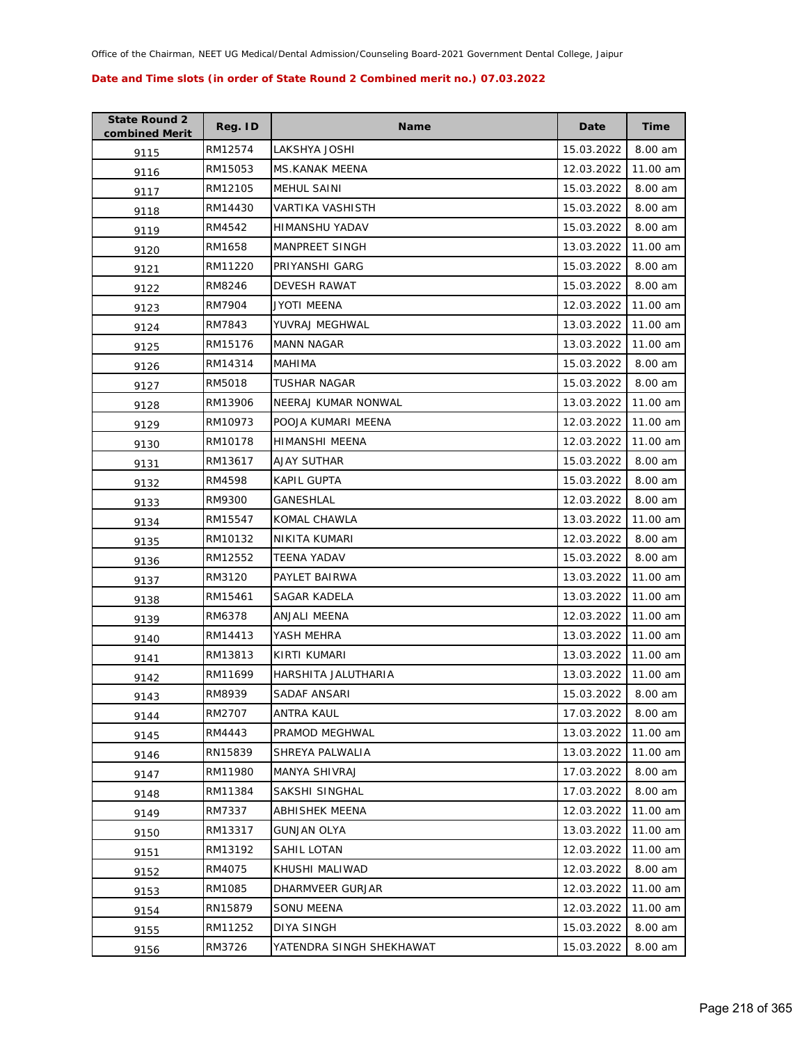| <b>State Round 2</b><br>combined Merit | Reg. ID | <b>Name</b>              | Date       | <b>Time</b> |
|----------------------------------------|---------|--------------------------|------------|-------------|
| 9115                                   | RM12574 | LAKSHYA JOSHI            | 15.03.2022 | 8.00 am     |
| 9116                                   | RM15053 | MS.KANAK MEENA           | 12.03.2022 | 11.00 am    |
| 9117                                   | RM12105 | MEHUL SAINI              | 15.03.2022 | 8.00 am     |
| 9118                                   | RM14430 | VARTIKA VASHISTH         | 15.03.2022 | 8.00 am     |
| 9119                                   | RM4542  | HIMANSHU YADAV           | 15.03.2022 | 8.00 am     |
| 9120                                   | RM1658  | <b>MANPREET SINGH</b>    | 13.03.2022 | 11.00 am    |
| 9121                                   | RM11220 | PRIYANSHI GARG           | 15.03.2022 | 8.00 am     |
| 9122                                   | RM8246  | DEVESH RAWAT             | 15.03.2022 | 8.00 am     |
| 9123                                   | RM7904  | JYOTI MEENA              | 12.03.2022 | 11.00 am    |
| 9124                                   | RM7843  | YUVRAJ MEGHWAL           | 13.03.2022 | 11.00 am    |
| 9125                                   | RM15176 | <b>MANN NAGAR</b>        | 13.03.2022 | 11.00 am    |
| 9126                                   | RM14314 | MAHIMA                   | 15.03.2022 | 8.00 am     |
| 9127                                   | RM5018  | TUSHAR NAGAR             | 15.03.2022 | 8.00 am     |
| 9128                                   | RM13906 | NEERAJ KUMAR NONWAL      | 13.03.2022 | 11.00 am    |
| 9129                                   | RM10973 | POOJA KUMARI MEENA       | 12.03.2022 | 11.00 am    |
| 9130                                   | RM10178 | HIMANSHI MEENA           | 12.03.2022 | 11.00 am    |
| 9131                                   | RM13617 | <b>AJAY SUTHAR</b>       | 15.03.2022 | 8.00 am     |
| 9132                                   | RM4598  | KAPIL GUPTA              | 15.03.2022 | 8.00 am     |
| 9133                                   | RM9300  | GANESHLAL                | 12.03.2022 | 8.00 am     |
| 9134                                   | RM15547 | KOMAL CHAWLA             | 13.03.2022 | 11.00 am    |
| 9135                                   | RM10132 | NIKITA KUMARI            | 12.03.2022 | 8.00 am     |
| 9136                                   | RM12552 | TEENA YADAV              | 15.03.2022 | 8.00 am     |
| 9137                                   | RM3120  | PAYLET BAIRWA            | 13.03.2022 | 11.00 am    |
| 9138                                   | RM15461 | SAGAR KADELA             | 13.03.2022 | 11.00 am    |
| 9139                                   | RM6378  | ANJALI MEENA             | 12.03.2022 | 11.00 am    |
| 9140                                   | RM14413 | YASH MEHRA               | 13.03.2022 | 11.00 am    |
| 9141                                   | RM13813 | KIRTI KUMARI             | 13.03.2022 | 11.00 am    |
| 9142                                   | RM11699 | HARSHITA JALUTHARIA      | 13.03.2022 | 11.00 am    |
| 9143                                   | RM8939  | SADAF ANSARI             | 15.03.2022 | 8.00 am     |
| 9144                                   | RM2707  | ANTRA KAUL               | 17.03.2022 | 8.00 am     |
| 9145                                   | RM4443  | PRAMOD MEGHWAL           | 13.03.2022 | 11.00 am    |
| 9146                                   | RN15839 | SHREYA PALWALIA          | 13.03.2022 | 11.00 am    |
| 9147                                   | RM11980 | MANYA SHIVRAJ            | 17.03.2022 | 8.00 am     |
| 9148                                   | RM11384 | SAKSHI SINGHAL           | 17.03.2022 | 8.00 am     |
| 9149                                   | RM7337  | <b>ABHISHEK MEENA</b>    | 12.03.2022 | 11.00 am    |
| 9150                                   | RM13317 | <b>GUNJAN OLYA</b>       | 13.03.2022 | 11.00 am    |
| 9151                                   | RM13192 | <b>SAHIL LOTAN</b>       | 12.03.2022 | 11.00 am    |
| 9152                                   | RM4075  | KHUSHI MALIWAD           | 12.03.2022 | 8.00 am     |
| 9153                                   | RM1085  | DHARMVEER GURJAR         | 12.03.2022 | 11.00 am    |
| 9154                                   | RN15879 | SONU MEENA               | 12.03.2022 | 11.00 am    |
| 9155                                   | RM11252 | <b>DIYA SINGH</b>        | 15.03.2022 | 8.00 am     |
| 9156                                   | RM3726  | YATENDRA SINGH SHEKHAWAT | 15.03.2022 | 8.00 am     |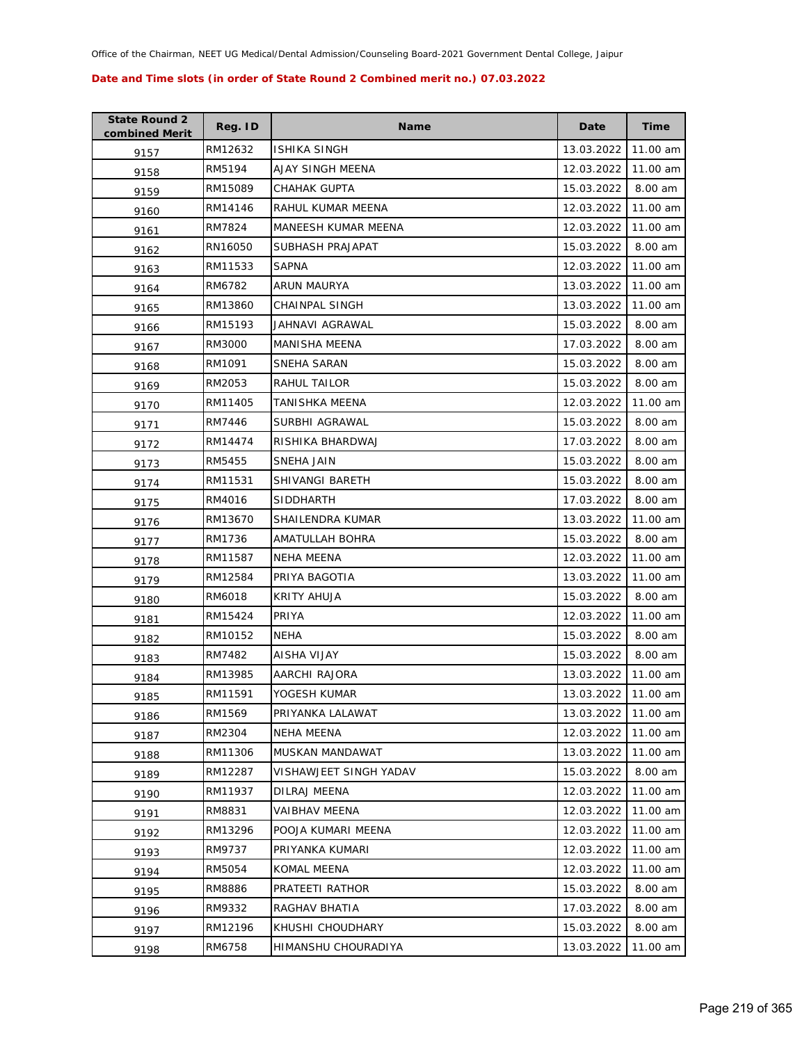| <b>State Round 2</b><br>combined Merit | Reg. ID | <b>Name</b>            | Date       | <b>Time</b> |
|----------------------------------------|---------|------------------------|------------|-------------|
| 9157                                   | RM12632 | ISHIKA SINGH           | 13.03.2022 | 11.00 am    |
| 9158                                   | RM5194  | AJAY SINGH MEENA       | 12.03.2022 | 11.00 am    |
| 9159                                   | RM15089 | CHAHAK GUPTA           | 15.03.2022 | 8.00 am     |
| 9160                                   | RM14146 | RAHUL KUMAR MEENA      | 12.03.2022 | 11.00 am    |
| 9161                                   | RM7824  | MANEESH KUMAR MEENA    | 12.03.2022 | 11.00 am    |
| 9162                                   | RN16050 | SUBHASH PRAJAPAT       | 15.03.2022 | 8.00 am     |
| 9163                                   | RM11533 | <b>SAPNA</b>           | 12.03.2022 | 11.00 am    |
| 9164                                   | RM6782  | ARUN MAURYA            | 13.03.2022 | 11.00 am    |
| 9165                                   | RM13860 | CHAINPAL SINGH         | 13.03.2022 | 11.00 am    |
| 9166                                   | RM15193 | JAHNAVI AGRAWAL        | 15.03.2022 | 8.00 am     |
| 9167                                   | RM3000  | <b>MANISHA MEENA</b>   | 17.03.2022 | 8.00 am     |
| 9168                                   | RM1091  | SNEHA SARAN            | 15.03.2022 | 8.00 am     |
| 9169                                   | RM2053  | RAHUL TAILOR           | 15.03.2022 | 8.00 am     |
| 9170                                   | RM11405 | TANISHKA MEENA         | 12.03.2022 | 11.00 am    |
| 9171                                   | RM7446  | SURBHI AGRAWAL         | 15.03.2022 | 8.00 am     |
| 9172                                   | RM14474 | RISHIKA BHARDWAJ       | 17.03.2022 | 8.00 am     |
| 9173                                   | RM5455  | SNEHA JAIN             | 15.03.2022 | 8.00 am     |
| 9174                                   | RM11531 | <b>SHIVANGI BARETH</b> | 15.03.2022 | 8.00 am     |
| 9175                                   | RM4016  | <b>SIDDHARTH</b>       | 17.03.2022 | 8.00 am     |
| 9176                                   | RM13670 | SHAILENDRA KUMAR       | 13.03.2022 | 11.00 am    |
| 9177                                   | RM1736  | AMATULLAH BOHRA        | 15.03.2022 | 8.00 am     |
| 9178                                   | RM11587 | <b>NEHA MEENA</b>      | 12.03.2022 | 11.00 am    |
| 9179                                   | RM12584 | PRIYA BAGOTIA          | 13.03.2022 | 11.00 am    |
| 9180                                   | RM6018  | KRITY AHUJA            | 15.03.2022 | 8.00 am     |
| 9181                                   | RM15424 | PRIYA                  | 12.03.2022 | 11.00 am    |
| 9182                                   | RM10152 | <b>NEHA</b>            | 15.03.2022 | 8.00 am     |
| 9183                                   | RM7482  | AISHA VIJAY            | 15.03.2022 | 8.00 am     |
| 9184                                   | RM13985 | <b>AARCHI RAJORA</b>   | 13.03.2022 | 11.00 am    |
| 9185                                   | RM11591 | YOGESH KUMAR           | 13.03.2022 | 11.00 am    |
| 9186                                   | RM1569  | PRIYANKA LALAWAT       | 13.03.2022 | 11.00 am    |
| 9187                                   | RM2304  | NEHA MEENA             | 12.03.2022 | 11.00 am    |
| 9188                                   | RM11306 | MUSKAN MANDAWAT        | 13.03.2022 | 11.00 am    |
| 9189                                   | RM12287 | VISHAWJEET SINGH YADAV | 15.03.2022 | 8.00 am     |
| 9190                                   | RM11937 | DILRAJ MEENA           | 12.03.2022 | 11.00 am    |
| 9191                                   | RM8831  | VAIBHAV MEENA          | 12.03.2022 | 11.00 am    |
| 9192                                   | RM13296 | POOJA KUMARI MEENA     | 12.03.2022 | 11.00 am    |
| 9193                                   | RM9737  | PRIYANKA KUMARI        | 12.03.2022 | 11.00 am    |
| 9194                                   | RM5054  | KOMAL MEENA            | 12.03.2022 | 11.00 am    |
| 9195                                   | RM8886  | PRATEETI RATHOR        | 15.03.2022 | 8.00 am     |
| 9196                                   | RM9332  | RAGHAV BHATIA          | 17.03.2022 | 8.00 am     |
| 9197                                   | RM12196 | KHUSHI CHOUDHARY       | 15.03.2022 | 8.00 am     |
| 9198                                   | RM6758  | HIMANSHU CHOURADIYA    | 13.03.2022 | 11.00 am    |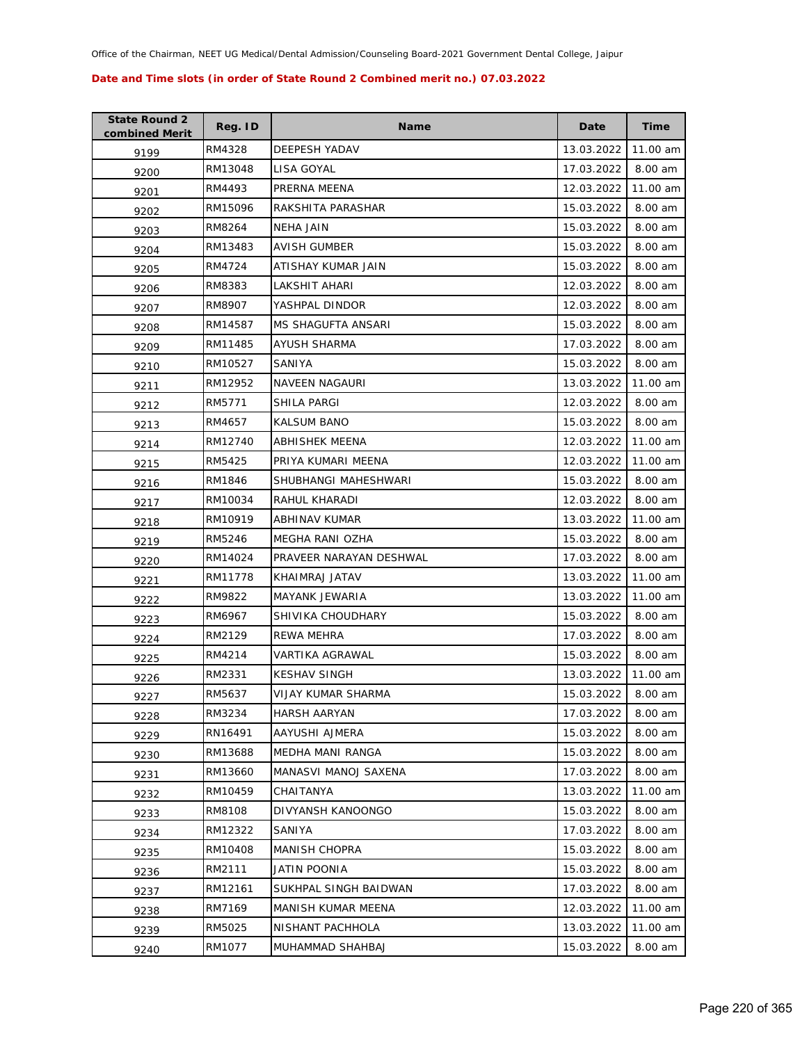| <b>State Round 2</b><br>combined Merit | Reg. ID | <b>Name</b>             | Date       | <b>Time</b> |
|----------------------------------------|---------|-------------------------|------------|-------------|
| 9199                                   | RM4328  | DEEPESH YADAV           | 13.03.2022 | 11.00 am    |
| 9200                                   | RM13048 | LISA GOYAL              | 17.03.2022 | 8.00 am     |
| 9201                                   | RM4493  | PRERNA MEENA            | 12.03.2022 | 11.00 am    |
| 9202                                   | RM15096 | RAKSHITA PARASHAR       | 15.03.2022 | 8.00 am     |
| 9203                                   | RM8264  | NEHA JAIN               | 15.03.2022 | 8.00 am     |
| 9204                                   | RM13483 | <b>AVISH GUMBER</b>     | 15.03.2022 | 8.00 am     |
| 9205                                   | RM4724  | ATISHAY KUMAR JAIN      | 15.03.2022 | 8.00 am     |
| 9206                                   | RM8383  | LAKSHIT AHARI           | 12.03.2022 | 8.00 am     |
| 9207                                   | RM8907  | YASHPAL DINDOR          | 12.03.2022 | 8.00 am     |
| 9208                                   | RM14587 | MS SHAGUFTA ANSARI      | 15.03.2022 | 8.00 am     |
| 9209                                   | RM11485 | AYUSH SHARMA            | 17.03.2022 | 8.00 am     |
| 9210                                   | RM10527 | SANIYA                  | 15.03.2022 | 8.00 am     |
| 9211                                   | RM12952 | <b>NAVEEN NAGAURI</b>   | 13.03.2022 | 11.00 am    |
| 9212                                   | RM5771  | SHILA PARGI             | 12.03.2022 | 8.00 am     |
| 9213                                   | RM4657  | <b>KALSUM BANO</b>      | 15.03.2022 | 8.00 am     |
| 9214                                   | RM12740 | <b>ABHISHEK MEENA</b>   | 12.03.2022 | 11.00 am    |
| 9215                                   | RM5425  | PRIYA KUMARI MEENA      | 12.03.2022 | 11.00 am    |
| 9216                                   | RM1846  | SHUBHANGI MAHESHWARI    | 15.03.2022 | 8.00 am     |
| 9217                                   | RM10034 | RAHUL KHARADI           | 12.03.2022 | 8.00 am     |
| 9218                                   | RM10919 | ABHINAV KUMAR           | 13.03.2022 | 11.00 am    |
| 9219                                   | RM5246  | MEGHA RANI OZHA         | 15.03.2022 | 8.00 am     |
| 9220                                   | RM14024 | PRAVEER NARAYAN DESHWAL | 17.03.2022 | 8.00 am     |
| 9221                                   | RM11778 | KHAIMRAJ JATAV          | 13.03.2022 | 11.00 am    |
| 9222                                   | RM9822  | MAYANK JEWARIA          | 13.03.2022 | 11.00 am    |
| 9223                                   | RM6967  | SHIVIKA CHOUDHARY       | 15.03.2022 | 8.00 am     |
| 9224                                   | RM2129  | <b>REWA MEHRA</b>       | 17.03.2022 | 8.00 am     |
| 9225                                   | RM4214  | VARTIKA AGRAWAL         | 15.03.2022 | 8.00 am     |
| 9226                                   | RM2331  | <b>KESHAV SINGH</b>     | 13.03.2022 | 11.00 am    |
| 9227                                   | RM5637  | VIJAY KUMAR SHARMA      | 15.03.2022 | 8.00 am     |
| 9228                                   | RM3234  | <b>HARSH AARYAN</b>     | 17.03.2022 | 8.00 am     |
| 9229                                   | RN16491 | AAYUSHI AJMERA          | 15.03.2022 | 8.00 am     |
| 9230                                   | RM13688 | MEDHA MANI RANGA        | 15.03.2022 | 8.00 am     |
| 9231                                   | RM13660 | MANASVI MANOJ SAXENA    | 17.03.2022 | 8.00 am     |
| 9232                                   | RM10459 | CHAITANYA               | 13.03.2022 | 11.00 am    |
| 9233                                   | RM8108  | DIVYANSH KANOONGO       | 15.03.2022 | 8.00 am     |
| 9234                                   | RM12322 | SANIYA                  | 17.03.2022 | 8.00 am     |
| 9235                                   | RM10408 | <b>MANISH CHOPRA</b>    | 15.03.2022 | 8.00 am     |
| 9236                                   | RM2111  | JATIN POONIA            | 15.03.2022 | 8.00 am     |
| 9237                                   | RM12161 | SUKHPAL SINGH BAIDWAN   | 17.03.2022 | 8.00 am     |
| 9238                                   | RM7169  | MANISH KUMAR MEENA      | 12.03.2022 | 11.00 am    |
| 9239                                   | RM5025  | NISHANT PACHHOLA        | 13.03.2022 | 11.00 am    |
| 9240                                   | RM1077  | MUHAMMAD SHAHBAJ        | 15.03.2022 | 8.00 am     |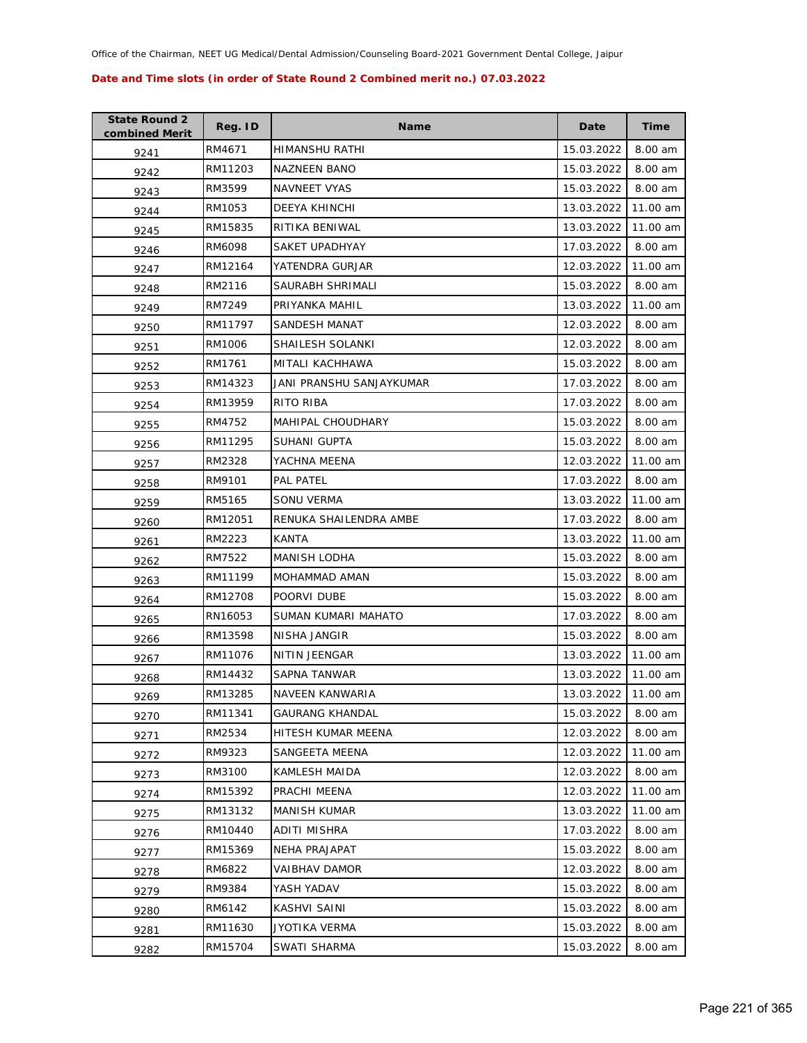| <b>State Round 2</b><br>combined Merit | Reg. ID | <b>Name</b>              | Date       | Time     |
|----------------------------------------|---------|--------------------------|------------|----------|
| 9241                                   | RM4671  | HIMANSHU RATHI           | 15.03.2022 | 8.00 am  |
| 9242                                   | RM11203 | <b>NAZNEEN BANO</b>      | 15.03.2022 | 8.00 am  |
| 9243                                   | RM3599  | <b>NAVNEET VYAS</b>      | 15.03.2022 | 8.00 am  |
| 9244                                   | RM1053  | DEEYA KHINCHI            | 13.03.2022 | 11.00 am |
| 9245                                   | RM15835 | RITIKA BENIWAL           | 13.03.2022 | 11.00 am |
| 9246                                   | RM6098  | SAKET UPADHYAY           | 17.03.2022 | 8.00 am  |
| 9247                                   | RM12164 | YATENDRA GURJAR          | 12.03.2022 | 11.00 am |
| 9248                                   | RM2116  | SAURABH SHRIMALI         | 15.03.2022 | 8.00 am  |
| 9249                                   | RM7249  | PRIYANKA MAHIL           | 13.03.2022 | 11.00 am |
| 9250                                   | RM11797 | SANDESH MANAT            | 12.03.2022 | 8.00 am  |
| 9251                                   | RM1006  | SHAILESH SOLANKI         | 12.03.2022 | 8.00 am  |
| 9252                                   | RM1761  | MITALI KACHHAWA          | 15.03.2022 | 8.00 am  |
| 9253                                   | RM14323 | JANI PRANSHU SANJAYKUMAR | 17.03.2022 | 8.00 am  |
| 9254                                   | RM13959 | RITO RIBA                | 17.03.2022 | 8.00 am  |
| 9255                                   | RM4752  | <b>MAHIPAL CHOUDHARY</b> | 15.03.2022 | 8.00 am  |
| 9256                                   | RM11295 | SUHANI GUPTA             | 15.03.2022 | 8.00 am  |
| 9257                                   | RM2328  | YACHNA MEENA             | 12.03.2022 | 11.00 am |
| 9258                                   | RM9101  | PAL PATEL                | 17.03.2022 | 8.00 am  |
| 9259                                   | RM5165  | SONU VERMA               | 13.03.2022 | 11.00 am |
| 9260                                   | RM12051 | RENUKA SHAILENDRA AMBE   | 17.03.2022 | 8.00 am  |
| 9261                                   | RM2223  | KANTA                    | 13.03.2022 | 11.00 am |
| 9262                                   | RM7522  | MANISH LODHA             | 15.03.2022 | 8.00 am  |
| 9263                                   | RM11199 | MOHAMMAD AMAN            | 15.03.2022 | 8.00 am  |
| 9264                                   | RM12708 | POORVI DUBE              | 15.03.2022 | 8.00 am  |
| 9265                                   | RN16053 | SUMAN KUMARI MAHATO      | 17.03.2022 | 8.00 am  |
| 9266                                   | RM13598 | NISHA JANGIR             | 15.03.2022 | 8.00 am  |
| 9267                                   | RM11076 | <b>NITIN JEENGAR</b>     | 13.03.2022 | 11.00 am |
| 9268                                   | RM14432 | SAPNA TANWAR             | 13.03.2022 | 11.00 am |
| 9269                                   | RM13285 | NAVEEN KANWARIA          | 13.03.2022 | 11.00 am |
| 9270                                   | RM11341 | <b>GAURANG KHANDAL</b>   | 15.03.2022 | 8.00 am  |
| 9271                                   | RM2534  | HITESH KUMAR MEENA       | 12.03.2022 | 8.00 am  |
| 9272                                   | RM9323  | SANGEETA MEENA           | 12.03.2022 | 11.00 am |
| 9273                                   | RM3100  | KAMLESH MAIDA            | 12.03.2022 | 8.00 am  |
| 9274                                   | RM15392 | PRACHI MEENA             | 12.03.2022 | 11.00 am |
| 9275                                   | RM13132 | <b>MANISH KUMAR</b>      | 13.03.2022 | 11.00 am |
| 9276                                   | RM10440 | ADITI MISHRA             | 17.03.2022 | 8.00 am  |
| 9277                                   | RM15369 | NEHA PRAJAPAT            | 15.03.2022 | 8.00 am  |
| 9278                                   | RM6822  | VAIBHAV DAMOR            | 12.03.2022 | 8.00 am  |
| 9279                                   | RM9384  | YASH YADAV               | 15.03.2022 | 8.00 am  |
| 9280                                   | RM6142  | KASHVI SAINI             | 15.03.2022 | 8.00 am  |
| 9281                                   | RM11630 | JYOTIKA VERMA            | 15.03.2022 | 8.00 am  |
| 9282                                   | RM15704 | SWATI SHARMA             | 15.03.2022 | 8.00 am  |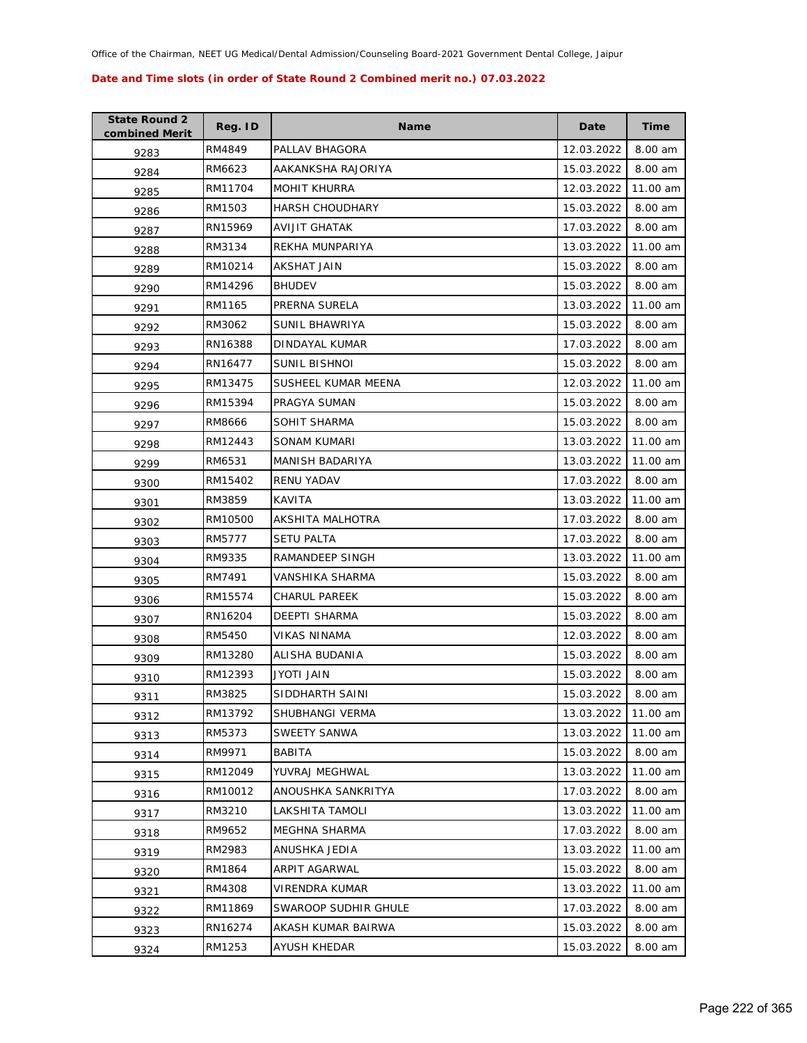| <b>State Round 2</b><br>combined Merit | Reg. ID | <b>Name</b>            | Date       | <b>Time</b> |
|----------------------------------------|---------|------------------------|------------|-------------|
| 9283                                   | RM4849  | PALLAV BHAGORA         | 12.03.2022 | 8.00 am     |
| 9284                                   | RM6623  | AAKANKSHA RAJORIYA     | 15.03.2022 | 8.00 am     |
| 9285                                   | RM11704 | <b>MOHIT KHURRA</b>    | 12.03.2022 | 11.00 am    |
| 9286                                   | RM1503  | <b>HARSH CHOUDHARY</b> | 15.03.2022 | 8.00 am     |
| 9287                                   | RN15969 | AVIJIT GHATAK          | 17.03.2022 | 8.00 am     |
| 9288                                   | RM3134  | REKHA MUNPARIYA        | 13.03.2022 | 11.00 am    |
| 9289                                   | RM10214 | <b>AKSHAT JAIN</b>     | 15.03.2022 | 8.00 am     |
| 9290                                   | RM14296 | <b>BHUDEV</b>          | 15.03.2022 | 8.00 am     |
| 9291                                   | RM1165  | PRERNA SURELA          | 13.03.2022 | 11.00 am    |
| 9292                                   | RM3062  | SUNIL BHAWRIYA         | 15.03.2022 | 8.00 am     |
| 9293                                   | RN16388 | DINDAYAL KUMAR         | 17.03.2022 | 8.00 am     |
| 9294                                   | RN16477 | SUNIL BISHNOI          | 15.03.2022 | 8.00 am     |
| 9295                                   | RM13475 | SUSHEEL KUMAR MEENA    | 12.03.2022 | 11.00 am    |
| 9296                                   | RM15394 | PRAGYA SUMAN           | 15.03.2022 | 8.00 am     |
| 9297                                   | RM8666  | SOHIT SHARMA           | 15.03.2022 | 8.00 am     |
| 9298                                   | RM12443 | SONAM KUMARI           | 13.03.2022 | 11.00 am    |
| 9299                                   | RM6531  | MANISH BADARIYA        | 13.03.2022 | 11.00 am    |
| 9300                                   | RM15402 | <b>RENU YADAV</b>      | 17.03.2022 | 8.00 am     |
| 9301                                   | RM3859  | KAVITA                 | 13.03.2022 | 11.00 am    |
| 9302                                   | RM10500 | AKSHITA MALHOTRA       | 17.03.2022 | 8.00 am     |
| 9303                                   | RM5777  | <b>SETU PALTA</b>      | 17.03.2022 | 8.00 am     |
| 9304                                   | RM9335  | RAMANDEEP SINGH        | 13.03.2022 | 11.00 am    |
| 9305                                   | RM7491  | VANSHIKA SHARMA        | 15.03.2022 | 8.00 am     |
| 9306                                   | RM15574 | CHARUL PAREEK          | 15.03.2022 | 8.00 am     |
| 9307                                   | RN16204 | <b>DEEPTI SHARMA</b>   | 15.03.2022 | 8.00 am     |
| 9308                                   | RM5450  | <b>VIKAS NINAMA</b>    | 12.03.2022 | 8.00 am     |
| 9309                                   | RM13280 | ALISHA BUDANIA         | 15.03.2022 | 8.00 am     |
| 9310                                   | RM12393 | JYOTI JAIN             | 15.03.2022 | 8.00 am     |
| 9311                                   | RM3825  | SIDDHARTH SAINI        | 15.03.2022 | 8.00 am     |
| 9312                                   | RM13792 | SHUBHANGI VERMA        | 13.03.2022 | 11.00 am    |
| 9313                                   | RM5373  | SWEETY SANWA           | 13.03.2022 | 11.00 am    |
| 9314                                   | RM9971  | <b>BABITA</b>          | 15.03.2022 | 8.00 am     |
| 9315                                   | RM12049 | YUVRAJ MEGHWAL         | 13.03.2022 | 11.00 am    |
| 9316                                   | RM10012 | ANOUSHKA SANKRITYA     | 17.03.2022 | 8.00 am     |
| 9317                                   | RM3210  | LAKSHITA TAMOLI        | 13.03.2022 | 11.00 am    |
| 9318                                   | RM9652  | MEGHNA SHARMA          | 17.03.2022 | 8.00 am     |
| 9319                                   | RM2983  | ANUSHKA JEDIA          | 13.03.2022 | 11.00 am    |
| 9320                                   | RM1864  | ARPIT AGARWAL          | 15.03.2022 | 8.00 am     |
| 9321                                   | RM4308  | VIRENDRA KUMAR         | 13.03.2022 | 11.00 am    |
| 9322                                   | RM11869 | SWAROOP SUDHIR GHULE   | 17.03.2022 | 8.00 am     |
| 9323                                   | RN16274 | AKASH KUMAR BAIRWA     | 15.03.2022 | 8.00 am     |
| 9324                                   | RM1253  | AYUSH KHEDAR           | 15.03.2022 | 8.00 am     |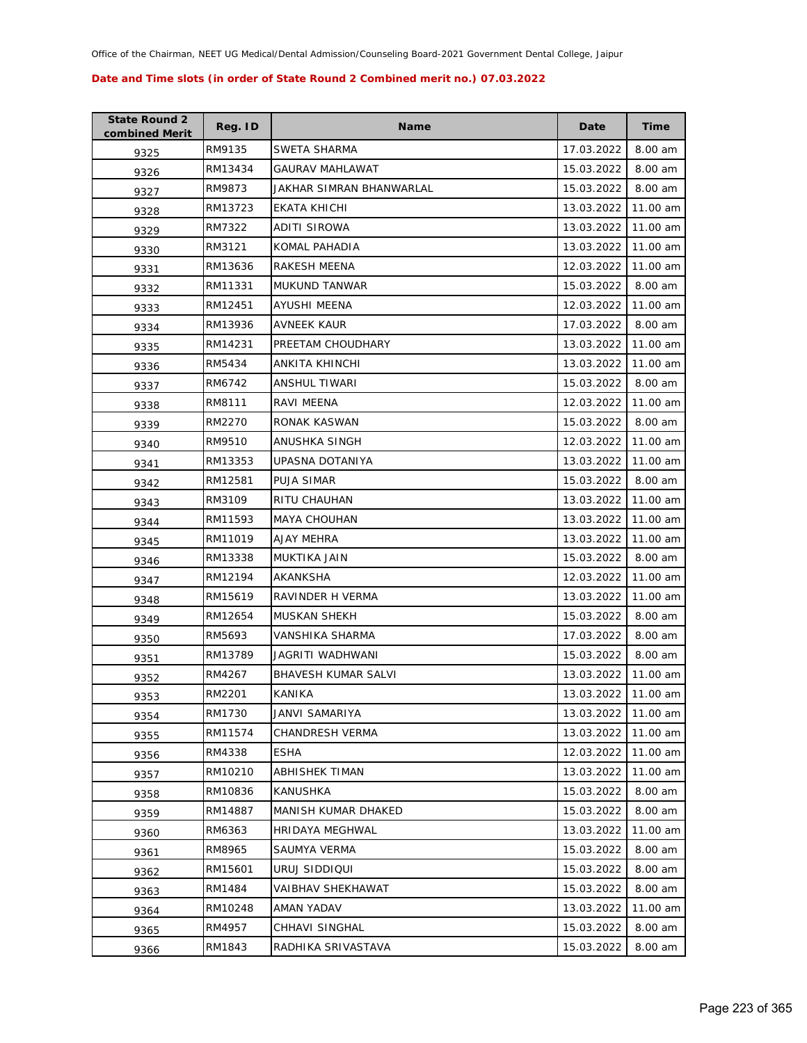| <b>State Round 2</b><br>combined Merit | Reg. ID | <b>Name</b>              | Date       | Time     |
|----------------------------------------|---------|--------------------------|------------|----------|
| 9325                                   | RM9135  | SWETA SHARMA             | 17.03.2022 | 8.00 am  |
| 9326                                   | RM13434 | GAURAV MAHLAWAT          | 15.03.2022 | 8.00 am  |
| 9327                                   | RM9873  | JAKHAR SIMRAN BHANWARLAL | 15.03.2022 | 8.00 am  |
| 9328                                   | RM13723 | EKATA KHICHI             | 13.03.2022 | 11.00 am |
| 9329                                   | RM7322  | ADITI SIROWA             | 13.03.2022 | 11.00 am |
| 9330                                   | RM3121  | KOMAL PAHADIA            | 13.03.2022 | 11.00 am |
| 9331                                   | RM13636 | <b>RAKESH MEENA</b>      | 12.03.2022 | 11.00 am |
| 9332                                   | RM11331 | MUKUND TANWAR            | 15.03.2022 | 8.00 am  |
| 9333                                   | RM12451 | AYUSHI MEENA             | 12.03.2022 | 11.00 am |
| 9334                                   | RM13936 | AVNEEK KAUR              | 17.03.2022 | 8.00 am  |
| 9335                                   | RM14231 | PREETAM CHOUDHARY        | 13.03.2022 | 11.00 am |
| 9336                                   | RM5434  | ANKITA KHINCHI           | 13.03.2022 | 11.00 am |
| 9337                                   | RM6742  | <b>ANSHUL TIWARI</b>     | 15.03.2022 | 8.00 am  |
| 9338                                   | RM8111  | RAVI MEENA               | 12.03.2022 | 11.00 am |
| 9339                                   | RM2270  | RONAK KASWAN             | 15.03.2022 | 8.00 am  |
| 9340                                   | RM9510  | ANUSHKA SINGH            | 12.03.2022 | 11.00 am |
| 9341                                   | RM13353 | UPASNA DOTANIYA          | 13.03.2022 | 11.00 am |
| 9342                                   | RM12581 | PUJA SIMAR               | 15.03.2022 | 8.00 am  |
| 9343                                   | RM3109  | RITU CHAUHAN             | 13.03.2022 | 11.00 am |
| 9344                                   | RM11593 | MAYA CHOUHAN             | 13.03.2022 | 11.00 am |
| 9345                                   | RM11019 | AJAY MEHRA               | 13.03.2022 | 11.00 am |
| 9346                                   | RM13338 | MUKTIKA JAIN             | 15.03.2022 | 8.00 am  |
| 9347                                   | RM12194 | AKANKSHA                 | 12.03.2022 | 11.00 am |
| 9348                                   | RM15619 | RAVINDER H VERMA         | 13.03.2022 | 11.00 am |
| 9349                                   | RM12654 | MUSKAN SHEKH             | 15.03.2022 | 8.00 am  |
| 9350                                   | RM5693  | <b>VANSHIKA SHARMA</b>   | 17.03.2022 | 8.00 am  |
| 9351                                   | RM13789 | JAGRITI WADHWANI         | 15.03.2022 | 8.00 am  |
| 9352                                   | RM4267  | BHAVESH KUMAR SALVI      | 13.03.2022 | 11.00 am |
| 9353                                   | RM2201  | KANIKA                   | 13.03.2022 | 11.00 am |
| 9354                                   | RM1730  | JANVI SAMARIYA           | 13.03.2022 | 11.00 am |
| 9355                                   | RM11574 | CHANDRESH VERMA          | 13.03.2022 | 11.00 am |
| 9356                                   | RM4338  | ESHA                     | 12.03.2022 | 11.00 am |
| 9357                                   | RM10210 | ABHISHEK TIMAN           | 13.03.2022 | 11.00 am |
| 9358                                   | RM10836 | KANUSHKA                 | 15.03.2022 | 8.00 am  |
| 9359                                   | RM14887 | MANISH KUMAR DHAKED      | 15.03.2022 | 8.00 am  |
| 9360                                   | RM6363  | HRIDAYA MEGHWAL          | 13.03.2022 | 11.00 am |
| 9361                                   | RM8965  | SAUMYA VERMA             | 15.03.2022 | 8.00 am  |
| 9362                                   | RM15601 | URUJ SIDDIQUI            | 15.03.2022 | 8.00 am  |
| 9363                                   | RM1484  | VAIBHAV SHEKHAWAT        | 15.03.2022 | 8.00 am  |
| 9364                                   | RM10248 | AMAN YADAV               | 13.03.2022 | 11.00 am |
| 9365                                   | RM4957  | CHHAVI SINGHAL           | 15.03.2022 | 8.00 am  |
| 9366                                   | RM1843  | RADHIKA SRIVASTAVA       | 15.03.2022 | 8.00 am  |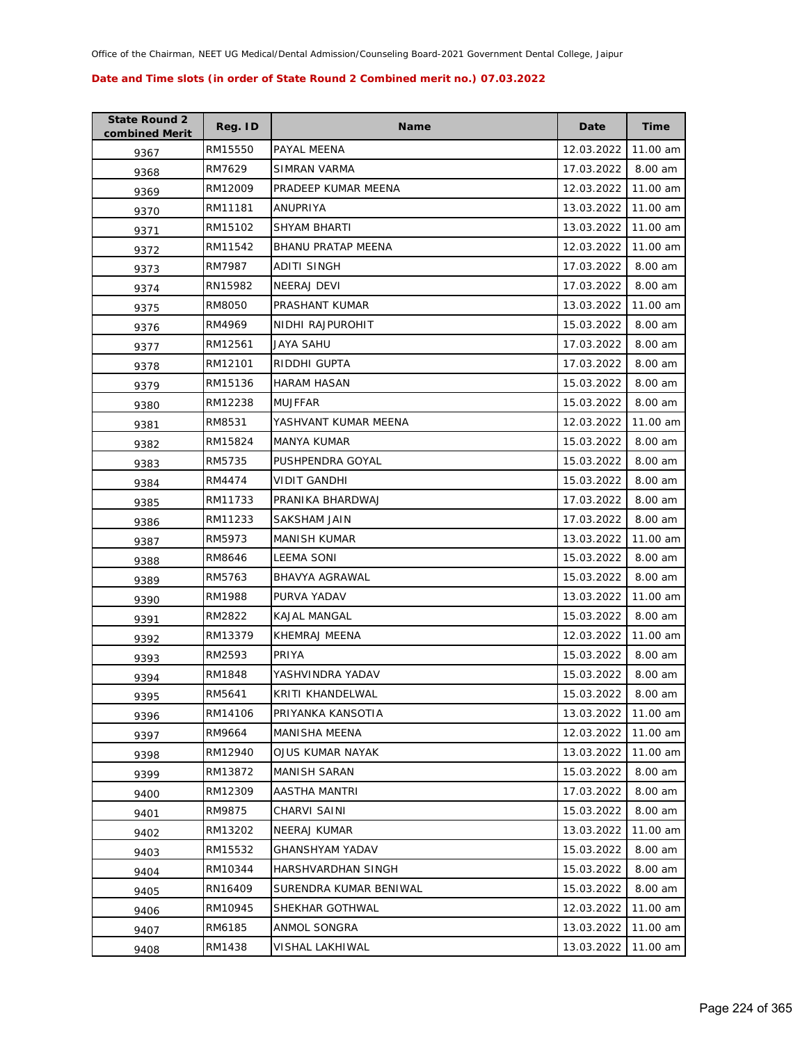| <b>State Round 2</b><br>combined Merit | Reg. ID | <b>Name</b>            | Date       | Time     |
|----------------------------------------|---------|------------------------|------------|----------|
| 9367                                   | RM15550 | PAYAL MEENA            | 12.03.2022 | 11.00 am |
| 9368                                   | RM7629  | SIMRAN VARMA           | 17.03.2022 | 8.00 am  |
| 9369                                   | RM12009 | PRADEEP KUMAR MEENA    | 12.03.2022 | 11.00 am |
| 9370                                   | RM11181 | ANUPRIYA               | 13.03.2022 | 11.00 am |
| 9371                                   | RM15102 | SHYAM BHARTI           | 13.03.2022 | 11.00 am |
| 9372                                   | RM11542 | BHANU PRATAP MEENA     | 12.03.2022 | 11.00 am |
| 9373                                   | RM7987  | ADITI SINGH            | 17.03.2022 | 8.00 am  |
| 9374                                   | RN15982 | NEERAJ DEVI            | 17.03.2022 | 8.00 am  |
| 9375                                   | RM8050  | PRASHANT KUMAR         | 13.03.2022 | 11.00 am |
| 9376                                   | RM4969  | NIDHI RAJPUROHIT       | 15.03.2022 | 8.00 am  |
| 9377                                   | RM12561 | JAYA SAHU              | 17.03.2022 | 8.00 am  |
| 9378                                   | RM12101 | RIDDHI GUPTA           | 17.03.2022 | 8.00 am  |
| 9379                                   | RM15136 | <b>HARAM HASAN</b>     | 15.03.2022 | 8.00 am  |
| 9380                                   | RM12238 | MUJFFAR                | 15.03.2022 | 8.00 am  |
| 9381                                   | RM8531  | YASHVANT KUMAR MEENA   | 12.03.2022 | 11.00 am |
| 9382                                   | RM15824 | MANYA KUMAR            | 15.03.2022 | 8.00 am  |
| 9383                                   | RM5735  | PUSHPENDRA GOYAL       | 15.03.2022 | 8.00 am  |
| 9384                                   | RM4474  | VIDIT GANDHI           | 15.03.2022 | 8.00 am  |
| 9385                                   | RM11733 | PRANIKA BHARDWAJ       | 17.03.2022 | 8.00 am  |
| 9386                                   | RM11233 | SAKSHAM JAIN           | 17.03.2022 | 8.00 am  |
| 9387                                   | RM5973  | MANISH KUMAR           | 13.03.2022 | 11.00 am |
| 9388                                   | RM8646  | LEEMA SONI             | 15.03.2022 | 8.00 am  |
| 9389                                   | RM5763  | BHAVYA AGRAWAL         | 15.03.2022 | 8.00 am  |
| 9390                                   | RM1988  | PURVA YADAV            | 13.03.2022 | 11.00 am |
| 9391                                   | RM2822  | KAJAL MANGAL           | 15.03.2022 | 8.00 am  |
| 9392                                   | RM13379 | KHEMRAJ MEENA          | 12.03.2022 | 11.00 am |
| 9393                                   | RM2593  | PRIYA                  | 15.03.2022 | 8.00 am  |
| 9394                                   | RM1848  | YASHVINDRA YADAV       | 15.03.2022 | 8.00 am  |
| 9395                                   | RM5641  | KRITI KHANDELWAL       | 15.03.2022 | 8.00 am  |
| 9396                                   | RM14106 | PRIYANKA KANSOTIA      | 13.03.2022 | 11.00 am |
| 9397                                   | RM9664  | MANISHA MEENA          | 12.03.2022 | 11.00 am |
| 9398                                   | RM12940 | OJUS KUMAR NAYAK       | 13.03.2022 | 11.00 am |
| 9399                                   | RM13872 | MANISH SARAN           | 15.03.2022 | 8.00 am  |
| 9400                                   | RM12309 | AASTHA MANTRI          | 17.03.2022 | 8.00 am  |
| 9401                                   | RM9875  | CHARVI SAINI           | 15.03.2022 | 8.00 am  |
| 9402                                   | RM13202 | <b>NEERAJ KUMAR</b>    | 13.03.2022 | 11.00 am |
| 9403                                   | RM15532 | <b>GHANSHYAM YADAV</b> | 15.03.2022 | 8.00 am  |
| 9404                                   | RM10344 | HARSHVARDHAN SINGH     | 15.03.2022 | 8.00 am  |
| 9405                                   | RN16409 | SURENDRA KUMAR BENIWAL | 15.03.2022 | 8.00 am  |
| 9406                                   | RM10945 | SHEKHAR GOTHWAL        | 12.03.2022 | 11.00 am |
| 9407                                   | RM6185  | ANMOL SONGRA           | 13.03.2022 | 11.00 am |
| 9408                                   | RM1438  | VISHAL LAKHIWAL        | 13.03.2022 | 11.00 am |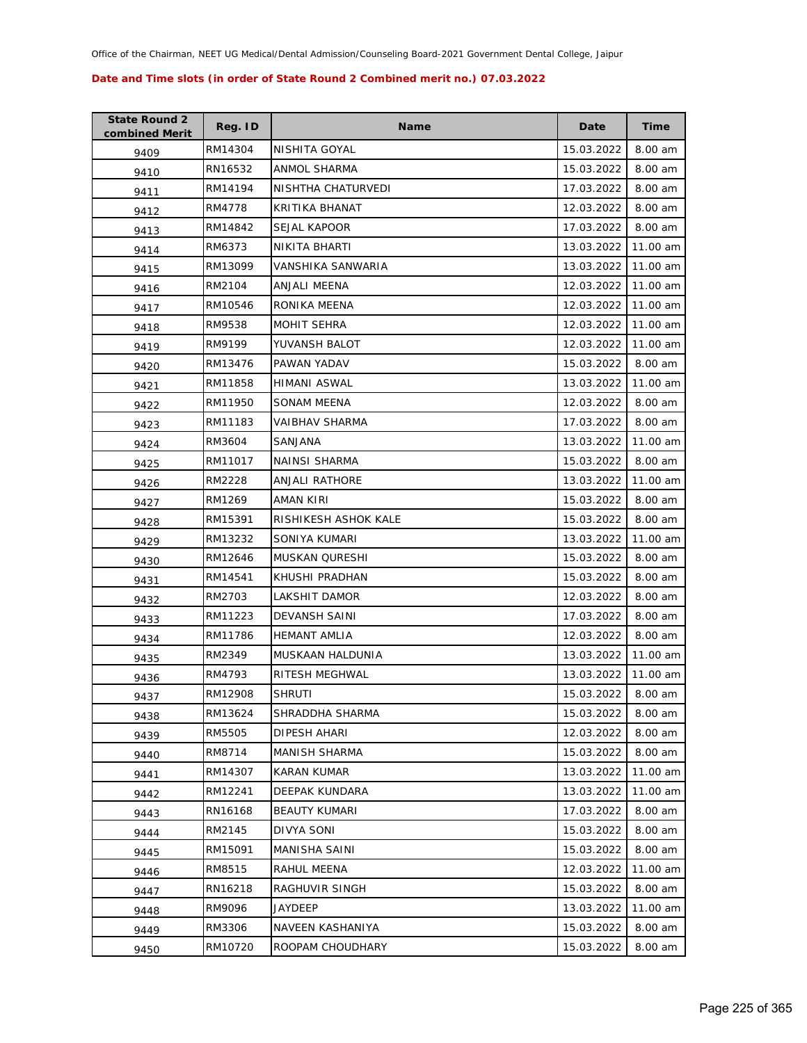| <b>State Round 2</b><br>combined Merit | Reg. ID | <b>Name</b>           | Date       | <b>Time</b> |
|----------------------------------------|---------|-----------------------|------------|-------------|
| 9409                                   | RM14304 | NISHITA GOYAL         | 15.03.2022 | 8.00 am     |
| 9410                                   | RN16532 | ANMOL SHARMA          | 15.03.2022 | 8.00 am     |
| 9411                                   | RM14194 | NISHTHA CHATURVEDI    | 17.03.2022 | 8.00 am     |
| 9412                                   | RM4778  | KRITIKA BHANAT        | 12.03.2022 | 8.00 am     |
| 9413                                   | RM14842 | SEJAL KAPOOR          | 17.03.2022 | 8.00 am     |
| 9414                                   | RM6373  | NIKITA BHARTI         | 13.03.2022 | 11.00 am    |
| 9415                                   | RM13099 | VANSHIKA SANWARIA     | 13.03.2022 | 11.00 am    |
| 9416                                   | RM2104  | ANJALI MEENA          | 12.03.2022 | 11.00 am    |
| 9417                                   | RM10546 | RONIKA MEENA          | 12.03.2022 | 11.00 am    |
| 9418                                   | RM9538  | MOHIT SEHRA           | 12.03.2022 | 11.00 am    |
| 9419                                   | RM9199  | YUVANSH BALOT         | 12.03.2022 | 11.00 am    |
| 9420                                   | RM13476 | PAWAN YADAV           | 15.03.2022 | 8.00 am     |
| 9421                                   | RM11858 | HIMANI ASWAL          | 13.03.2022 | 11.00 am    |
| 9422                                   | RM11950 | SONAM MEENA           | 12.03.2022 | 8.00 am     |
| 9423                                   | RM11183 | <b>VAIBHAV SHARMA</b> | 17.03.2022 | 8.00 am     |
| 9424                                   | RM3604  | SANJANA               | 13.03.2022 | 11.00 am    |
| 9425                                   | RM11017 | <b>NAINSI SHARMA</b>  | 15.03.2022 | 8.00 am     |
| 9426                                   | RM2228  | ANJALI RATHORE        | 13.03.2022 | 11.00 am    |
| 9427                                   | RM1269  | AMAN KIRI             | 15.03.2022 | 8.00 am     |
| 9428                                   | RM15391 | RISHIKESH ASHOK KALE  | 15.03.2022 | 8.00 am     |
| 9429                                   | RM13232 | SONIYA KUMARI         | 13.03.2022 | 11.00 am    |
| 9430                                   | RM12646 | <b>MUSKAN QURESHI</b> | 15.03.2022 | 8.00 am     |
| 9431                                   | RM14541 | KHUSHI PRADHAN        | 15.03.2022 | 8.00 am     |
| 9432                                   | RM2703  | LAKSHIT DAMOR         | 12.03.2022 | 8.00 am     |
| 9433                                   | RM11223 | DEVANSH SAINI         | 17.03.2022 | 8.00 am     |
| 9434                                   | RM11786 | <b>HEMANT AMLIA</b>   | 12.03.2022 | 8.00 am     |
| 9435                                   | RM2349  | MUSKAAN HALDUNIA      | 13.03.2022 | 11.00 am    |
| 9436                                   | RM4793  | RITESH MEGHWAL        | 13.03.2022 | 11.00 am    |
| 9437                                   | RM12908 | <b>SHRUTI</b>         | 15.03.2022 | 8.00 am     |
| 9438                                   | RM13624 | SHRADDHA SHARMA       | 15.03.2022 | 8.00 am     |
| 9439                                   | RM5505  | <b>DIPESH AHARI</b>   | 12.03.2022 | 8.00 am     |
| 9440                                   | RM8714  | MANISH SHARMA         | 15.03.2022 | 8.00 am     |
| 9441                                   | RM14307 | KARAN KUMAR           | 13.03.2022 | 11.00 am    |
| 9442                                   | RM12241 | DEEPAK KUNDARA        | 13.03.2022 | 11.00 am    |
| 9443                                   | RN16168 | <b>BEAUTY KUMARI</b>  | 17.03.2022 | 8.00 am     |
| 9444                                   | RM2145  | DIVYA SONI            | 15.03.2022 | 8.00 am     |
| 9445                                   | RM15091 | MANISHA SAINI         | 15.03.2022 | 8.00 am     |
| 9446                                   | RM8515  | RAHUL MEENA           | 12.03.2022 | 11.00 am    |
| 9447                                   | RN16218 | RAGHUVIR SINGH        | 15.03.2022 | 8.00 am     |
| 9448                                   | RM9096  | JAYDEEP               | 13.03.2022 | 11.00 am    |
| 9449                                   | RM3306  | NAVEEN KASHANIYA      | 15.03.2022 | 8.00 am     |
| 9450                                   | RM10720 | ROOPAM CHOUDHARY      | 15.03.2022 | 8.00 am     |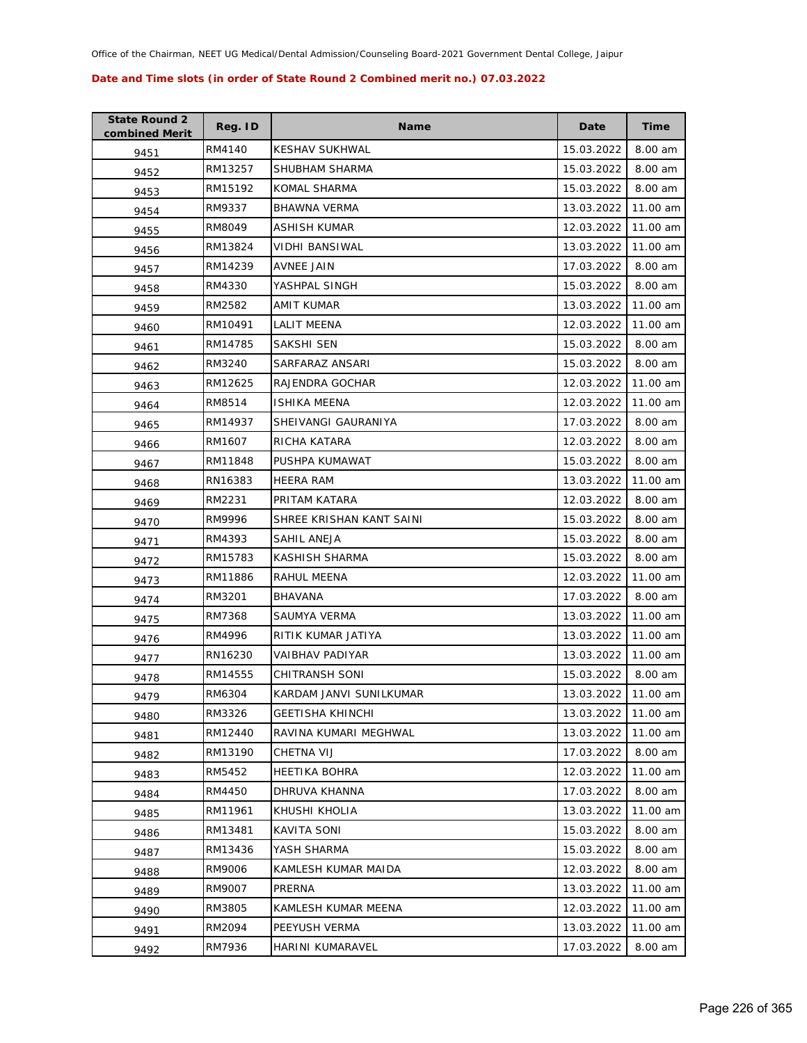| <b>State Round 2</b><br>combined Merit | Reg. ID | <b>Name</b>              | Date       | Time     |
|----------------------------------------|---------|--------------------------|------------|----------|
| 9451                                   | RM4140  | <b>KESHAV SUKHWAL</b>    | 15.03.2022 | 8.00 am  |
| 9452                                   | RM13257 | SHUBHAM SHARMA           | 15.03.2022 | 8.00 am  |
| 9453                                   | RM15192 | <b>KOMAL SHARMA</b>      | 15.03.2022 | 8.00 am  |
| 9454                                   | RM9337  | <b>BHAWNA VERMA</b>      | 13.03.2022 | 11.00 am |
| 9455                                   | RM8049  | ASHISH KUMAR             | 12.03.2022 | 11.00 am |
| 9456                                   | RM13824 | <b>VIDHI BANSIWAL</b>    | 13.03.2022 | 11.00 am |
| 9457                                   | RM14239 | AVNEE JAIN               | 17.03.2022 | 8.00 am  |
| 9458                                   | RM4330  | YASHPAL SINGH            | 15.03.2022 | 8.00 am  |
| 9459                                   | RM2582  | AMIT KUMAR               | 13.03.2022 | 11.00 am |
| 9460                                   | RM10491 | LALIT MEENA              | 12.03.2022 | 11.00 am |
| 9461                                   | RM14785 | SAKSHI SEN               | 15.03.2022 | 8.00 am  |
| 9462                                   | RM3240  | SARFARAZ ANSARI          | 15.03.2022 | 8.00 am  |
| 9463                                   | RM12625 | RAJENDRA GOCHAR          | 12.03.2022 | 11.00 am |
| 9464                                   | RM8514  | <b>ISHIKA MEENA</b>      | 12.03.2022 | 11.00 am |
| 9465                                   | RM14937 | SHEIVANGI GAURANIYA      | 17.03.2022 | 8.00 am  |
| 9466                                   | RM1607  | RICHA KATARA             | 12.03.2022 | 8.00 am  |
| 9467                                   | RM11848 | PUSHPA KUMAWAT           | 15.03.2022 | 8.00 am  |
| 9468                                   | RN16383 | HEERA RAM                | 13.03.2022 | 11.00 am |
| 9469                                   | RM2231  | PRITAM KATARA            | 12.03.2022 | 8.00 am  |
| 9470                                   | RM9996  | SHREE KRISHAN KANT SAINI | 15.03.2022 | 8.00 am  |
| 9471                                   | RM4393  | SAHIL ANEJA              | 15.03.2022 | 8.00 am  |
| 9472                                   | RM15783 | KASHISH SHARMA           | 15.03.2022 | 8.00 am  |
| 9473                                   | RM11886 | RAHUL MEENA              | 12.03.2022 | 11.00 am |
| 9474                                   | RM3201  | <b>BHAVANA</b>           | 17.03.2022 | 8.00 am  |
| 9475                                   | RM7368  | SAUMYA VERMA             | 13.03.2022 | 11.00 am |
| 9476                                   | RM4996  | RITIK KUMAR JATIYA       | 13.03.2022 | 11.00 am |
| 9477                                   | RN16230 | <b>VAIBHAV PADIYAR</b>   | 13.03.2022 | 11.00 am |
| 9478                                   | RM14555 | <b>CHITRANSH SONI</b>    | 15.03.2022 | 8.00 am  |
| 9479                                   | RM6304  | KARDAM JANVI SUNILKUMAR  | 13.03.2022 | 11.00 am |
| 9480                                   | RM3326  | <b>GEETISHA KHINCHI</b>  | 13.03.2022 | 11.00 am |
| 9481                                   | RM12440 | RAVINA KUMARI MEGHWAL    | 13.03.2022 | 11.00 am |
| 9482                                   | RM13190 | CHETNA VIJ               | 17.03.2022 | 8.00 am  |
| 9483                                   | RM5452  | <b>HEETIKA BOHRA</b>     | 12.03.2022 | 11.00 am |
| 9484                                   | RM4450  | DHRUVA KHANNA            | 17.03.2022 | 8.00 am  |
| 9485                                   | RM11961 | KHUSHI KHOLIA            | 13.03.2022 | 11.00 am |
| 9486                                   | RM13481 | KAVITA SONI              | 15.03.2022 | 8.00 am  |
| 9487                                   | RM13436 | YASH SHARMA              | 15.03.2022 | 8.00 am  |
| 9488                                   | RM9006  | KAMLESH KUMAR MAIDA      | 12.03.2022 | 8.00 am  |
| 9489                                   | RM9007  | PRERNA                   | 13.03.2022 | 11.00 am |
| 9490                                   | RM3805  | KAMLESH KUMAR MEENA      | 12.03.2022 | 11.00 am |
| 9491                                   | RM2094  | PEEYUSH VERMA            | 13.03.2022 | 11.00 am |
| 9492                                   | RM7936  | HARINI KUMARAVEL         | 17.03.2022 | 8.00 am  |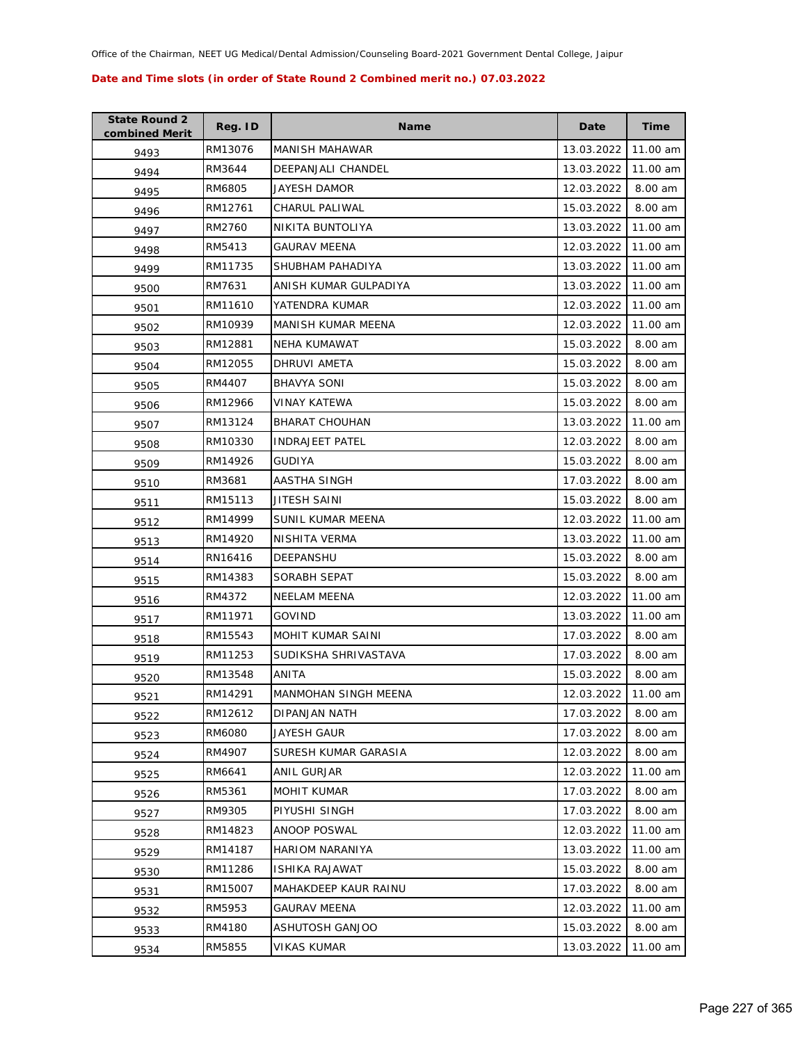| <b>State Round 2</b><br>combined Merit | Reg. ID | <b>Name</b>            | Date       | <b>Time</b> |
|----------------------------------------|---------|------------------------|------------|-------------|
| 9493                                   | RM13076 | <b>MANISH MAHAWAR</b>  | 13.03.2022 | 11.00 am    |
| 9494                                   | RM3644  | DEEPANJALI CHANDEL     | 13.03.2022 | 11.00 am    |
| 9495                                   | RM6805  | JAYESH DAMOR           | 12.03.2022 | 8.00 am     |
| 9496                                   | RM12761 | CHARUL PALIWAL         | 15.03.2022 | 8.00 am     |
| 9497                                   | RM2760  | NIKITA BUNTOLIYA       | 13.03.2022 | 11.00 am    |
| 9498                                   | RM5413  | <b>GAURAV MEENA</b>    | 12.03.2022 | 11.00 am    |
| 9499                                   | RM11735 | SHUBHAM PAHADIYA       | 13.03.2022 | 11.00 am    |
| 9500                                   | RM7631  | ANISH KUMAR GULPADIYA  | 13.03.2022 | 11.00 am    |
| 9501                                   | RM11610 | YATENDRA KUMAR         | 12.03.2022 | 11.00 am    |
| 9502                                   | RM10939 | MANISH KUMAR MEENA     | 12.03.2022 | 11.00 am    |
| 9503                                   | RM12881 | <b>NEHA KUMAWAT</b>    | 15.03.2022 | 8.00 am     |
| 9504                                   | RM12055 | DHRUVI AMETA           | 15.03.2022 | 8.00 am     |
| 9505                                   | RM4407  | <b>BHAVYA SONI</b>     | 15.03.2022 | 8.00 am     |
| 9506                                   | RM12966 | VINAY KATEWA           | 15.03.2022 | 8.00 am     |
| 9507                                   | RM13124 | <b>BHARAT CHOUHAN</b>  | 13.03.2022 | 11.00 am    |
| 9508                                   | RM10330 | <b>INDRAJEET PATEL</b> | 12.03.2022 | 8.00 am     |
| 9509                                   | RM14926 | <b>GUDIYA</b>          | 15.03.2022 | 8.00 am     |
| 9510                                   | RM3681  | AASTHA SINGH           | 17.03.2022 | 8.00 am     |
| 9511                                   | RM15113 | JITESH SAINI           | 15.03.2022 | 8.00 am     |
| 9512                                   | RM14999 | SUNIL KUMAR MEENA      | 12.03.2022 | 11.00 am    |
| 9513                                   | RM14920 | NISHITA VERMA          | 13.03.2022 | 11.00 am    |
| 9514                                   | RN16416 | DEEPANSHU              | 15.03.2022 | 8.00 am     |
| 9515                                   | RM14383 | SORABH SEPAT           | 15.03.2022 | 8.00 am     |
| 9516                                   | RM4372  | <b>NEELAM MEENA</b>    | 12.03.2022 | 11.00 am    |
| 9517                                   | RM11971 | GOVIND                 | 13.03.2022 | 11.00 am    |
| 9518                                   | RM15543 | MOHIT KUMAR SAINI      | 17.03.2022 | 8.00 am     |
| 9519                                   | RM11253 | SUDIKSHA SHRIVASTAVA   | 17.03.2022 | 8.00 am     |
| 9520                                   | RM13548 | ANITA                  | 15.03.2022 | 8.00 am     |
| 9521                                   | RM14291 | MANMOHAN SINGH MEENA   | 12.03.2022 | 11.00 am    |
| 9522                                   | RM12612 | DIPANJAN NATH          | 17.03.2022 | 8.00 am     |
| 9523                                   | RM6080  | JAYESH GAUR            | 17.03.2022 | 8.00 am     |
| 9524                                   | RM4907  | SURESH KUMAR GARASIA   | 12.03.2022 | 8.00 am     |
| 9525                                   | RM6641  | ANIL GURJAR            | 12.03.2022 | 11.00 am    |
| 9526                                   | RM5361  | MOHIT KUMAR            | 17.03.2022 | 8.00 am     |
| 9527                                   | RM9305  | PIYUSHI SINGH          | 17.03.2022 | 8.00 am     |
| 9528                                   | RM14823 | <b>ANOOP POSWAL</b>    | 12.03.2022 | 11.00 am    |
| 9529                                   | RM14187 | <b>HARIOM NARANIYA</b> | 13.03.2022 | 11.00 am    |
| 9530                                   | RM11286 | ISHIKA RAJAWAT         | 15.03.2022 | 8.00 am     |
| 9531                                   | RM15007 | MAHAKDEEP KAUR RAINU   | 17.03.2022 | 8.00 am     |
| 9532                                   | RM5953  | <b>GAURAV MEENA</b>    | 12.03.2022 | 11.00 am    |
| 9533                                   | RM4180  | ASHUTOSH GANJOO        | 15.03.2022 | 8.00 am     |
| 9534                                   | RM5855  | VIKAS KUMAR            | 13.03.2022 | 11.00 am    |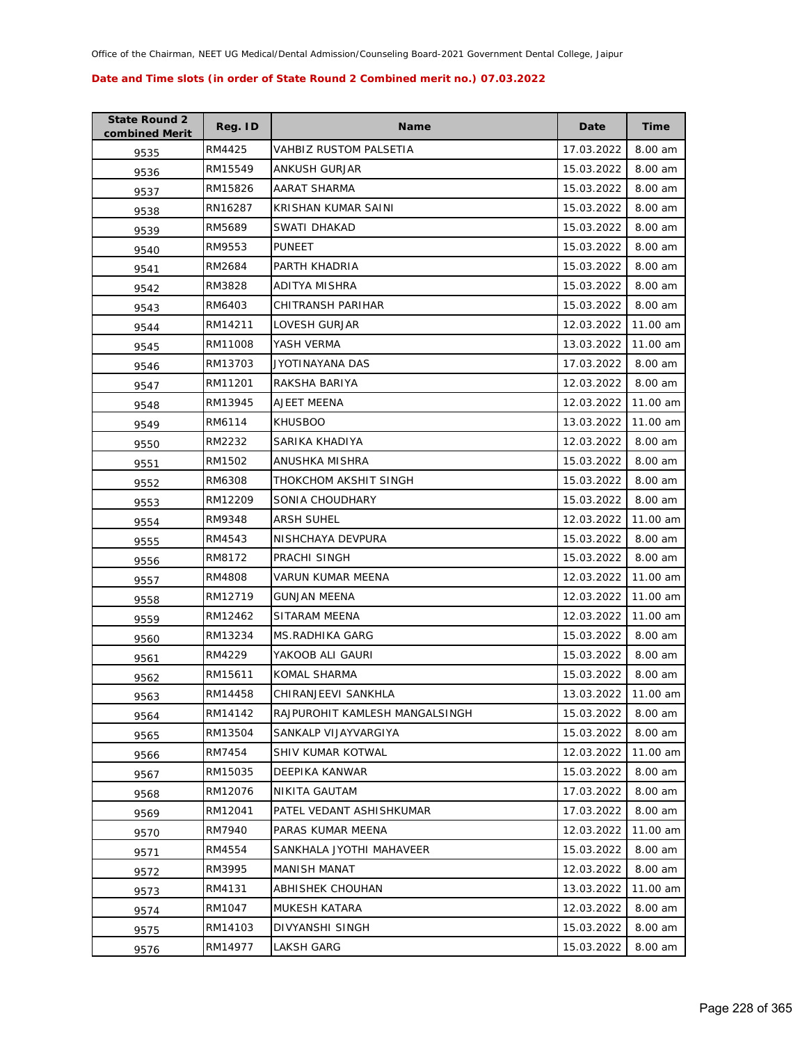| <b>State Round 2</b><br>combined Merit | Reg. ID | <b>Name</b>                    | Date       | <b>Time</b> |
|----------------------------------------|---------|--------------------------------|------------|-------------|
| 9535                                   | RM4425  | VAHBIZ RUSTOM PALSETIA         | 17.03.2022 | 8.00 am     |
| 9536                                   | RM15549 | ANKUSH GURJAR                  | 15.03.2022 | 8.00 am     |
| 9537                                   | RM15826 | AARAT SHARMA                   | 15.03.2022 | 8.00 am     |
| 9538                                   | RN16287 | KRISHAN KUMAR SAINI            | 15.03.2022 | 8.00 am     |
| 9539                                   | RM5689  | SWATI DHAKAD                   | 15.03.2022 | 8.00 am     |
| 9540                                   | RM9553  | <b>PUNEET</b>                  | 15.03.2022 | 8.00 am     |
| 9541                                   | RM2684  | PARTH KHADRIA                  | 15.03.2022 | 8.00 am     |
| 9542                                   | RM3828  | <b>ADITYA MISHRA</b>           | 15.03.2022 | 8.00 am     |
| 9543                                   | RM6403  | CHITRANSH PARIHAR              | 15.03.2022 | 8.00 am     |
| 9544                                   | RM14211 | LOVESH GURJAR                  | 12.03.2022 | 11.00 am    |
| 9545                                   | RM11008 | YASH VERMA                     | 13.03.2022 | 11.00 am    |
| 9546                                   | RM13703 | JYOTINAYANA DAS                | 17.03.2022 | 8.00 am     |
| 9547                                   | RM11201 | RAKSHA BARIYA                  | 12.03.2022 | 8.00 am     |
| 9548                                   | RM13945 | AJEET MEENA                    | 12.03.2022 | 11.00 am    |
| 9549                                   | RM6114  | <b>KHUSBOO</b>                 | 13.03.2022 | 11.00 am    |
| 9550                                   | RM2232  | SARIKA KHADIYA                 | 12.03.2022 | 8.00 am     |
| 9551                                   | RM1502  | ANUSHKA MISHRA                 | 15.03.2022 | 8.00 am     |
| 9552                                   | RM6308  | THOKCHOM AKSHIT SINGH          | 15.03.2022 | 8.00 am     |
| 9553                                   | RM12209 | SONIA CHOUDHARY                | 15.03.2022 | 8.00 am     |
| 9554                                   | RM9348  | <b>ARSH SUHEL</b>              | 12.03.2022 | 11.00 am    |
| 9555                                   | RM4543  | NISHCHAYA DEVPURA              | 15.03.2022 | 8.00 am     |
| 9556                                   | RM8172  | PRACHI SINGH                   | 15.03.2022 | 8.00 am     |
| 9557                                   | RM4808  | VARUN KUMAR MEENA              | 12.03.2022 | 11.00 am    |
| 9558                                   | RM12719 | <b>GUNJAN MEENA</b>            | 12.03.2022 | 11.00 am    |
| 9559                                   | RM12462 | SITARAM MEENA                  | 12.03.2022 | 11.00 am    |
| 9560                                   | RM13234 | MS.RADHIKA GARG                | 15.03.2022 | 8.00 am     |
| 9561                                   | RM4229  | YAKOOB ALI GAURI               | 15.03.2022 | 8.00 am     |
| 9562                                   | RM15611 | KOMAL SHARMA                   | 15.03.2022 | 8.00 am     |
| 9563                                   | RM14458 | CHIRANJEEVI SANKHLA            | 13.03.2022 | 11.00 am    |
| 9564                                   | RM14142 | RAJPUROHIT KAMLESH MANGALSINGH | 15.03.2022 | 8.00 am     |
| 9565                                   | RM13504 | SANKALP VIJAYVARGIYA           | 15.03.2022 | 8.00 am     |
| 9566                                   | RM7454  | SHIV KUMAR KOTWAL              | 12.03.2022 | 11.00 am    |
| 9567                                   | RM15035 | <b>DEEPIKA KANWAR</b>          | 15.03.2022 | 8.00 am     |
| 9568                                   | RM12076 | <b>NIKITA GAUTAM</b>           | 17.03.2022 | 8.00 am     |
| 9569                                   | RM12041 | PATEL VEDANT ASHISHKUMAR       | 17.03.2022 | 8.00 am     |
| 9570                                   | RM7940  | PARAS KUMAR MEENA              | 12.03.2022 | 11.00 am    |
| 9571                                   | RM4554  | SANKHALA JYOTHI MAHAVEER       | 15.03.2022 | 8.00 am     |
| 9572                                   | RM3995  | MANISH MANAT                   | 12.03.2022 | 8.00 am     |
| 9573                                   | RM4131  | ABHISHEK CHOUHAN               | 13.03.2022 | 11.00 am    |
| 9574                                   | RM1047  | MUKESH KATARA                  | 12.03.2022 | 8.00 am     |
| 9575                                   | RM14103 | DIVYANSHI SINGH                | 15.03.2022 | 8.00 am     |
| 9576                                   | RM14977 | LAKSH GARG                     | 15.03.2022 | 8.00 am     |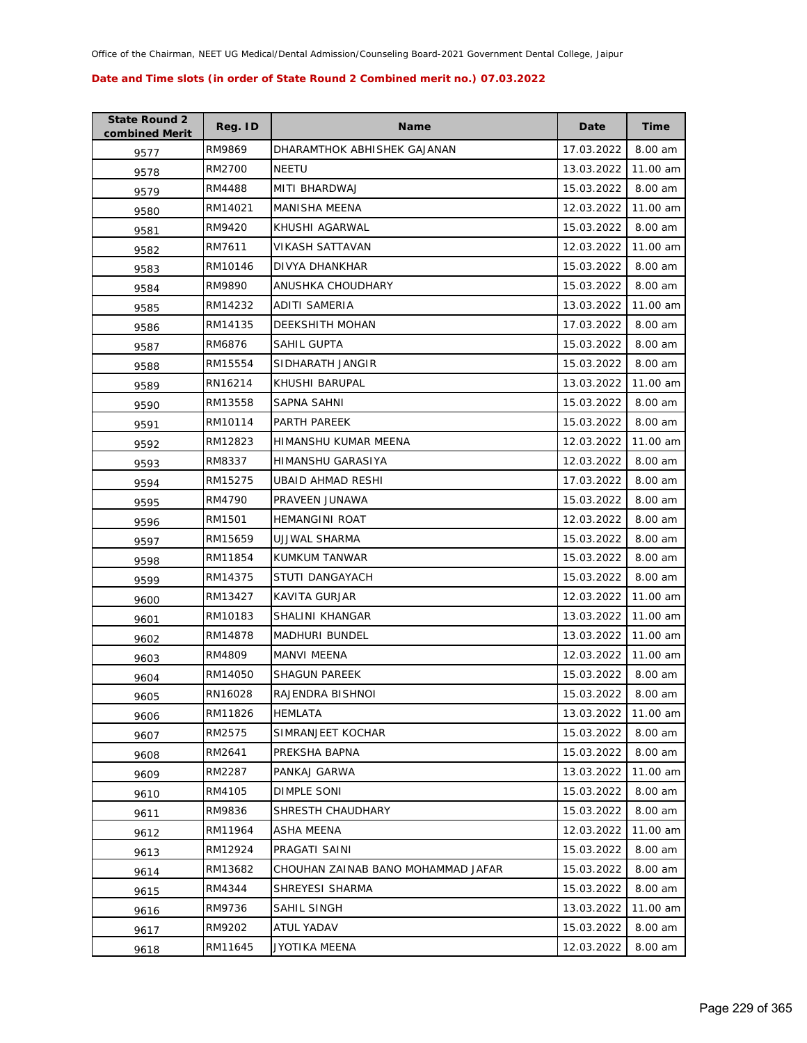| <b>State Round 2</b><br>combined Merit | Reg. ID | <b>Name</b>                        | Date       | <b>Time</b> |
|----------------------------------------|---------|------------------------------------|------------|-------------|
| 9577                                   | RM9869  | DHARAMTHOK ABHISHEK GAJANAN        | 17.03.2022 | 8.00 am     |
| 9578                                   | RM2700  | <b>NEETU</b>                       | 13.03.2022 | 11.00 am    |
| 9579                                   | RM4488  | MITI BHARDWAJ                      | 15.03.2022 | 8.00 am     |
| 9580                                   | RM14021 | <b>MANISHA MEENA</b>               | 12.03.2022 | 11.00 am    |
| 9581                                   | RM9420  | KHUSHI AGARWAL                     | 15.03.2022 | 8.00 am     |
| 9582                                   | RM7611  | VIKASH SATTAVAN                    | 12.03.2022 | 11.00 am    |
| 9583                                   | RM10146 | <b>DIVYA DHANKHAR</b>              | 15.03.2022 | 8.00 am     |
| 9584                                   | RM9890  | ANUSHKA CHOUDHARY                  | 15.03.2022 | 8.00 am     |
| 9585                                   | RM14232 | ADITI SAMERIA                      | 13.03.2022 | 11.00 am    |
| 9586                                   | RM14135 | DEEKSHITH MOHAN                    | 17.03.2022 | 8.00 am     |
| 9587                                   | RM6876  | SAHIL GUPTA                        | 15.03.2022 | 8.00 am     |
| 9588                                   | RM15554 | SIDHARATH JANGIR                   | 15.03.2022 | 8.00 am     |
| 9589                                   | RN16214 | KHUSHI BARUPAL                     | 13.03.2022 | 11.00 am    |
| 9590                                   | RM13558 | <b>SAPNA SAHNI</b>                 | 15.03.2022 | 8.00 am     |
| 9591                                   | RM10114 | PARTH PAREEK                       | 15.03.2022 | 8.00 am     |
| 9592                                   | RM12823 | HIMANSHU KUMAR MEENA               | 12.03.2022 | 11.00 am    |
| 9593                                   | RM8337  | HIMANSHU GARASIYA                  | 12.03.2022 | 8.00 am     |
| 9594                                   | RM15275 | UBAID AHMAD RESHI                  | 17.03.2022 | 8.00 am     |
| 9595                                   | RM4790  | PRAVEEN JUNAWA                     | 15.03.2022 | 8.00 am     |
| 9596                                   | RM1501  | <b>HEMANGINI ROAT</b>              | 12.03.2022 | 8.00 am     |
| 9597                                   | RM15659 | UJJWAL SHARMA                      | 15.03.2022 | 8.00 am     |
| 9598                                   | RM11854 | KUMKUM TANWAR                      | 15.03.2022 | 8.00 am     |
| 9599                                   | RM14375 | STUTI DANGAYACH                    | 15.03.2022 | 8.00 am     |
| 9600                                   | RM13427 | KAVITA GURJAR                      | 12.03.2022 | 11.00 am    |
| 9601                                   | RM10183 | SHALINI KHANGAR                    | 13.03.2022 | 11.00 am    |
| 9602                                   | RM14878 | <b>MADHURI BUNDEL</b>              | 13.03.2022 | 11.00 am    |
| 9603                                   | RM4809  | <b>MANVI MEENA</b>                 | 12.03.2022 | 11.00 am    |
| 9604                                   | RM14050 | <b>SHAGUN PAREEK</b>               | 15.03.2022 | 8.00 am     |
| 9605                                   | RN16028 | RAJENDRA BISHNOI                   | 15.03.2022 | 8.00 am     |
| 9606                                   | RM11826 | HEMLATA                            | 13.03.2022 | 11.00 am    |
| 9607                                   | RM2575  | SIMRANJEET KOCHAR                  | 15.03.2022 | 8.00 am     |
| 9608                                   | RM2641  | PREKSHA BAPNA                      | 15.03.2022 | 8.00 am     |
| 9609                                   | RM2287  | PANKAJ GARWA                       | 13.03.2022 | 11.00 am    |
| 9610                                   | RM4105  | <b>DIMPLE SONI</b>                 | 15.03.2022 | 8.00 am     |
| 9611                                   | RM9836  | SHRESTH CHAUDHARY                  | 15.03.2022 | 8.00 am     |
| 9612                                   | RM11964 | <b>ASHA MEENA</b>                  | 12.03.2022 | 11.00 am    |
| 9613                                   | RM12924 | PRAGATI SAINI                      | 15.03.2022 | 8.00 am     |
| 9614                                   | RM13682 | CHOUHAN ZAINAB BANO MOHAMMAD JAFAR | 15.03.2022 | 8.00 am     |
| 9615                                   | RM4344  | SHREYESI SHARMA                    | 15.03.2022 | 8.00 am     |
| 9616                                   | RM9736  | SAHIL SINGH                        | 13.03.2022 | 11.00 am    |
| 9617                                   | RM9202  | ATUL YADAV                         | 15.03.2022 | 8.00 am     |
| 9618                                   | RM11645 | JYOTIKA MEENA                      | 12.03.2022 | 8.00 am     |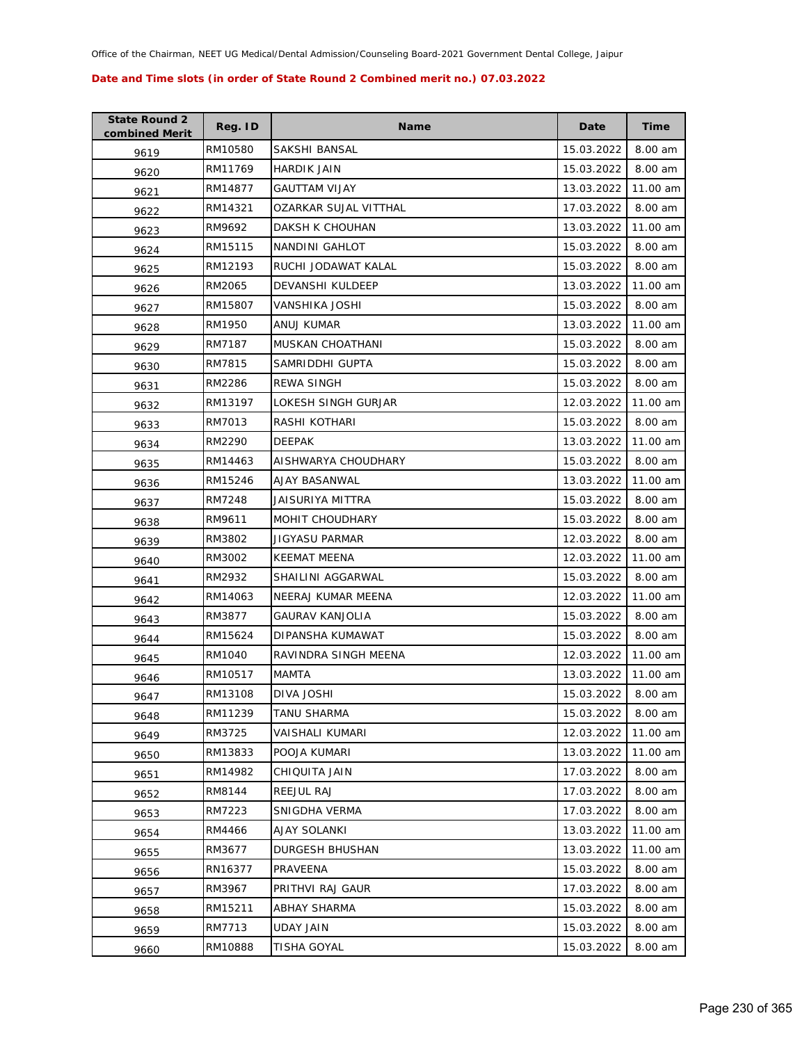| <b>State Round 2</b><br>combined Merit | Reg. ID | <b>Name</b>           | Date       | <b>Time</b> |
|----------------------------------------|---------|-----------------------|------------|-------------|
| 9619                                   | RM10580 | <b>SAKSHI BANSAL</b>  | 15.03.2022 | 8.00 am     |
| 9620                                   | RM11769 | <b>HARDIK JAIN</b>    | 15.03.2022 | 8.00 am     |
| 9621                                   | RM14877 | <b>GAUTTAM VIJAY</b>  | 13.03.2022 | 11.00 am    |
| 9622                                   | RM14321 | OZARKAR SUJAL VITTHAL | 17.03.2022 | 8.00 am     |
| 9623                                   | RM9692  | DAKSH K CHOUHAN       | 13.03.2022 | 11.00 am    |
| 9624                                   | RM15115 | NANDINI GAHLOT        | 15.03.2022 | 8.00 am     |
| 9625                                   | RM12193 | RUCHI JODAWAT KALAL   | 15.03.2022 | 8.00 am     |
| 9626                                   | RM2065  | DEVANSHI KULDEEP      | 13.03.2022 | 11.00 am    |
| 9627                                   | RM15807 | VANSHIKA JOSHI        | 15.03.2022 | 8.00 am     |
| 9628                                   | RM1950  | ANUJ KUMAR            | 13.03.2022 | 11.00 am    |
| 9629                                   | RM7187  | MUSKAN CHOATHANI      | 15.03.2022 | 8.00 am     |
| 9630                                   | RM7815  | SAMRIDDHI GUPTA       | 15.03.2022 | 8.00 am     |
| 9631                                   | RM2286  | <b>REWA SINGH</b>     | 15.03.2022 | 8.00 am     |
| 9632                                   | RM13197 | LOKESH SINGH GURJAR   | 12.03.2022 | 11.00 am    |
| 9633                                   | RM7013  | RASHI KOTHARI         | 15.03.2022 | 8.00 am     |
| 9634                                   | RM2290  | <b>DEEPAK</b>         | 13.03.2022 | 11.00 am    |
| 9635                                   | RM14463 | AISHWARYA CHOUDHARY   | 15.03.2022 | 8.00 am     |
| 9636                                   | RM15246 | AJAY BASANWAL         | 13.03.2022 | 11.00 am    |
| 9637                                   | RM7248  | JAISURIYA MITTRA      | 15.03.2022 | 8.00 am     |
| 9638                                   | RM9611  | MOHIT CHOUDHARY       | 15.03.2022 | 8.00 am     |
| 9639                                   | RM3802  | JIGYASU PARMAR        | 12.03.2022 | 8.00 am     |
| 9640                                   | RM3002  | <b>KEEMAT MEENA</b>   | 12.03.2022 | 11.00 am    |
| 9641                                   | RM2932  | SHAILINI AGGARWAL     | 15.03.2022 | 8.00 am     |
| 9642                                   | RM14063 | NEERAJ KUMAR MEENA    | 12.03.2022 | 11.00 am    |
| 9643                                   | RM3877  | GAURAV KANJOLIA       | 15.03.2022 | 8.00 am     |
| 9644                                   | RM15624 | DIPANSHA KUMAWAT      | 15.03.2022 | 8.00 am     |
| 9645                                   | RM1040  | RAVINDRA SINGH MEENA  | 12.03.2022 | 11.00 am    |
| 9646                                   | RM10517 | MAMTA                 | 13.03.2022 | 11.00 am    |
| 9647                                   | RM13108 | DIVA JOSHI            | 15.03.2022 | 8.00 am     |
| 9648                                   | RM11239 | TANU SHARMA           | 15.03.2022 | 8.00 am     |
| 9649                                   | RM3725  | VAISHALI KUMARI       | 12.03.2022 | 11.00 am    |
| 9650                                   | RM13833 | POOJA KUMARI          | 13.03.2022 | 11.00 am    |
| 9651                                   | RM14982 | CHIQUITA JAIN         | 17.03.2022 | 8.00 am     |
| 9652                                   | RM8144  | REEJUL RAJ            | 17.03.2022 | 8.00 am     |
| 9653                                   | RM7223  | SNIGDHA VERMA         | 17.03.2022 | 8.00 am     |
| 9654                                   | RM4466  | AJAY SOLANKI          | 13.03.2022 | 11.00 am    |
| 9655                                   | RM3677  | DURGESH BHUSHAN       | 13.03.2022 | 11.00 am    |
| 9656                                   | RN16377 | PRAVEENA              | 15.03.2022 | 8.00 am     |
| 9657                                   | RM3967  | PRITHVI RAJ GAUR      | 17.03.2022 | 8.00 am     |
| 9658                                   | RM15211 | ABHAY SHARMA          | 15.03.2022 | 8.00 am     |
| 9659                                   | RM7713  | <b>UDAY JAIN</b>      | 15.03.2022 | 8.00 am     |
| 9660                                   | RM10888 | TISHA GOYAL           | 15.03.2022 | 8.00 am     |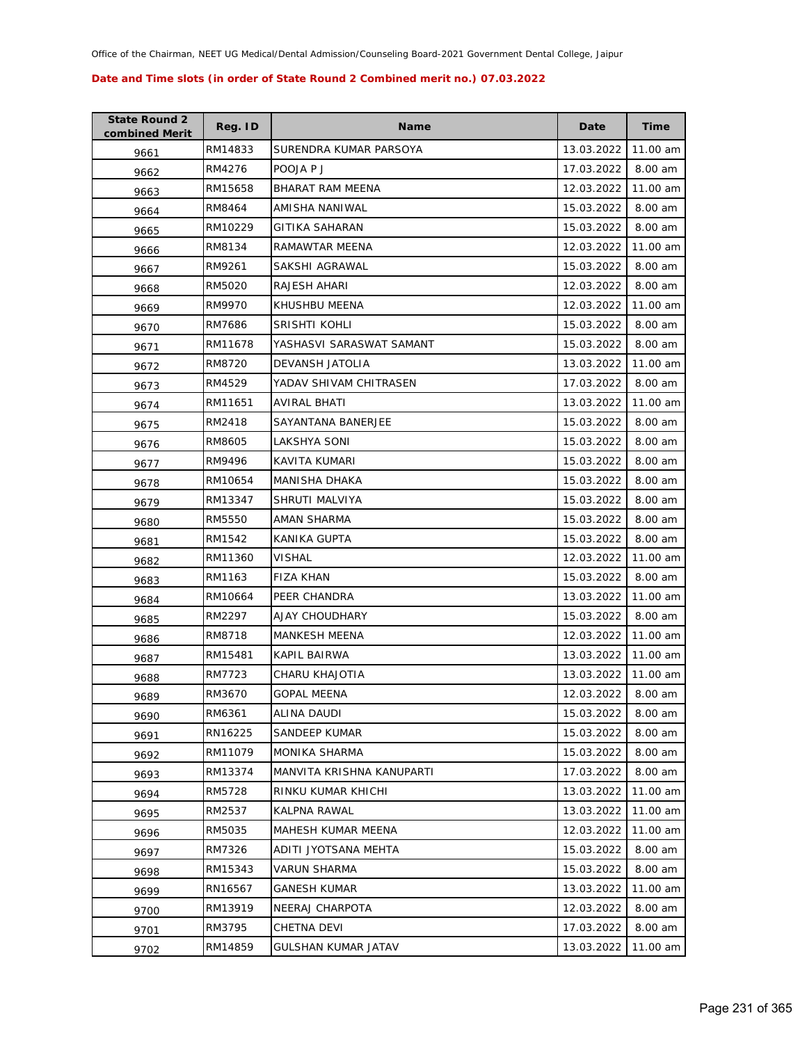| <b>State Round 2</b><br>combined Merit | Reg. ID | <b>Name</b>               | Date       | <b>Time</b> |
|----------------------------------------|---------|---------------------------|------------|-------------|
| 9661                                   | RM14833 | SURENDRA KUMAR PARSOYA    | 13.03.2022 | 11.00 am    |
| 9662                                   | RM4276  | POOJA P J                 | 17.03.2022 | 8.00 am     |
| 9663                                   | RM15658 | BHARAT RAM MEENA          | 12.03.2022 | 11.00 am    |
| 9664                                   | RM8464  | AMISHA NANIWAL            | 15.03.2022 | 8.00 am     |
| 9665                                   | RM10229 | GITIKA SAHARAN            | 15.03.2022 | 8.00 am     |
| 9666                                   | RM8134  | RAMAWTAR MEENA            | 12.03.2022 | 11.00 am    |
| 9667                                   | RM9261  | SAKSHI AGRAWAL            | 15.03.2022 | 8.00 am     |
| 9668                                   | RM5020  | RAJESH AHARI              | 12.03.2022 | 8.00 am     |
| 9669                                   | RM9970  | KHUSHBU MEENA             | 12.03.2022 | 11.00 am    |
| 9670                                   | RM7686  | SRISHTI KOHLI             | 15.03.2022 | 8.00 am     |
| 9671                                   | RM11678 | YASHASVI SARASWAT SAMANT  | 15.03.2022 | 8.00 am     |
| 9672                                   | RM8720  | DEVANSH JATOLIA           | 13.03.2022 | 11.00 am    |
| 9673                                   | RM4529  | YADAV SHIVAM CHITRASEN    | 17.03.2022 | 8.00 am     |
| 9674                                   | RM11651 | AVIRAL BHATI              | 13.03.2022 | 11.00 am    |
| 9675                                   | RM2418  | SAYANTANA BANERJEE        | 15.03.2022 | 8.00 am     |
| 9676                                   | RM8605  | LAKSHYA SONI              | 15.03.2022 | 8.00 am     |
| 9677                                   | RM9496  | KAVITA KUMARI             | 15.03.2022 | 8.00 am     |
| 9678                                   | RM10654 | MANISHA DHAKA             | 15.03.2022 | 8.00 am     |
| 9679                                   | RM13347 | SHRUTI MALVIYA            | 15.03.2022 | 8.00 am     |
| 9680                                   | RM5550  | AMAN SHARMA               | 15.03.2022 | 8.00 am     |
| 9681                                   | RM1542  | KANIKA GUPTA              | 15.03.2022 | 8.00 am     |
| 9682                                   | RM11360 | VISHAL                    | 12.03.2022 | 11.00 am    |
| 9683                                   | RM1163  | FIZA KHAN                 | 15.03.2022 | 8.00 am     |
| 9684                                   | RM10664 | PEER CHANDRA              | 13.03.2022 | 11.00 am    |
| 9685                                   | RM2297  | AJAY CHOUDHARY            | 15.03.2022 | 8.00 am     |
| 9686                                   | RM8718  | <b>MANKESH MEENA</b>      | 12.03.2022 | 11.00 am    |
| 9687                                   | RM15481 | KAPIL BAIRWA              | 13.03.2022 | 11.00 am    |
| 9688                                   | RM7723  | CHARU KHAJOTIA            | 13.03.2022 | 11.00 am    |
| 9689                                   | RM3670  | <b>GOPAL MEENA</b>        | 12.03.2022 | 8.00 am     |
| 9690                                   | RM6361  | ALINA DAUDI               | 15.03.2022 | 8.00 am     |
| 9691                                   | RN16225 | SANDEEP KUMAR             | 15.03.2022 | 8.00 am     |
| 9692                                   | RM11079 | MONIKA SHARMA             | 15.03.2022 | 8.00 am     |
| 9693                                   | RM13374 | MANVITA KRISHNA KANUPARTI | 17.03.2022 | 8.00 am     |
| 9694                                   | RM5728  | RINKU KUMAR KHICHI        | 13.03.2022 | 11.00 am    |
| 9695                                   | RM2537  | <b>KALPNA RAWAL</b>       | 13.03.2022 | 11.00 am    |
| 9696                                   | RM5035  | MAHESH KUMAR MEENA        | 12.03.2022 | 11.00 am    |
| 9697                                   | RM7326  | ADITI JYOTSANA MEHTA      | 15.03.2022 | 8.00 am     |
| 9698                                   | RM15343 | <b>VARUN SHARMA</b>       | 15.03.2022 | 8.00 am     |
| 9699                                   | RN16567 | <b>GANESH KUMAR</b>       | 13.03.2022 | 11.00 am    |
| 9700                                   | RM13919 | NEERAJ CHARPOTA           | 12.03.2022 | 8.00 am     |
| 9701                                   | RM3795  | <b>CHETNA DEVI</b>        | 17.03.2022 | 8.00 am     |
| 9702                                   | RM14859 | GULSHAN KUMAR JATAV       | 13.03.2022 | 11.00 am    |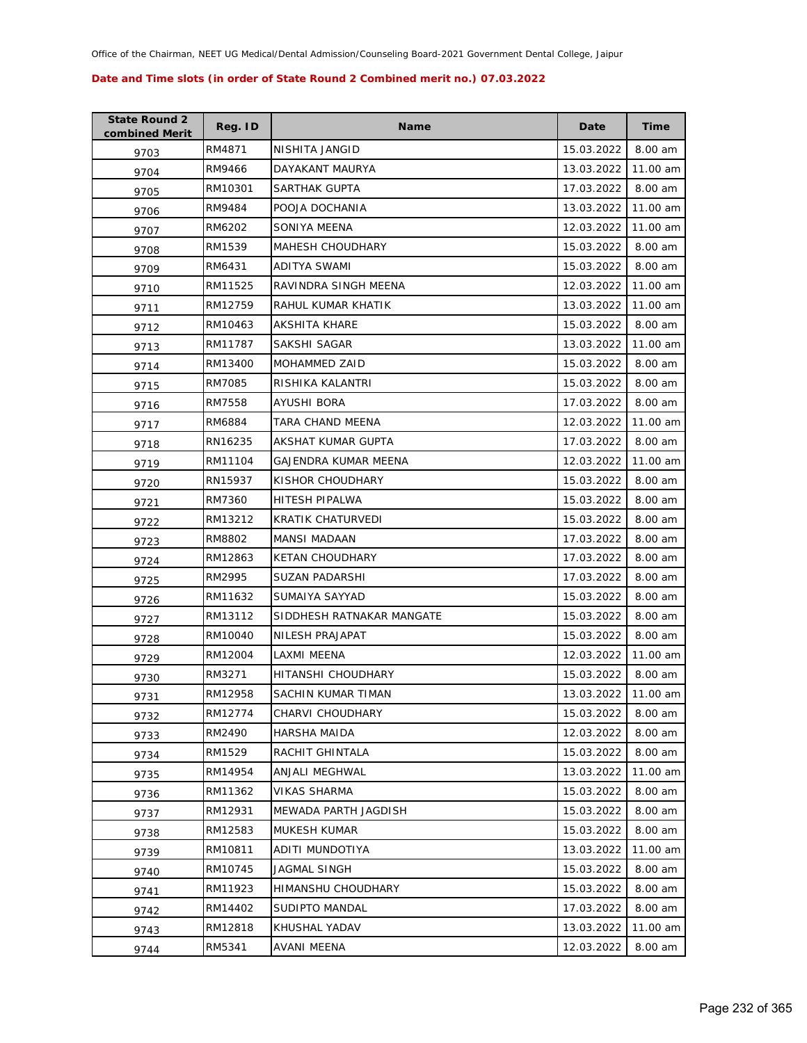| <b>State Round 2</b><br>combined Merit | Reg. ID | <b>Name</b>                 | Date       | <b>Time</b> |
|----------------------------------------|---------|-----------------------------|------------|-------------|
| 9703                                   | RM4871  | NISHITA JANGID              | 15.03.2022 | 8.00 am     |
| 9704                                   | RM9466  | DAYAKANT MAURYA             | 13.03.2022 | 11.00 am    |
| 9705                                   | RM10301 | SARTHAK GUPTA               | 17.03.2022 | 8.00 am     |
| 9706                                   | RM9484  | POOJA DOCHANIA              | 13.03.2022 | 11.00 am    |
| 9707                                   | RM6202  | SONIYA MEENA                | 12.03.2022 | 11.00 am    |
| 9708                                   | RM1539  | <b>MAHESH CHOUDHARY</b>     | 15.03.2022 | 8.00 am     |
| 9709                                   | RM6431  | ADITYA SWAMI                | 15.03.2022 | 8.00 am     |
| 9710                                   | RM11525 | RAVINDRA SINGH MEENA        | 12.03.2022 | 11.00 am    |
| 9711                                   | RM12759 | RAHUL KUMAR KHATIK          | 13.03.2022 | 11.00 am    |
| 9712                                   | RM10463 | AKSHITA KHARE               | 15.03.2022 | 8.00 am     |
| 9713                                   | RM11787 | SAKSHI SAGAR                | 13.03.2022 | 11.00 am    |
| 9714                                   | RM13400 | MOHAMMED ZAID               | 15.03.2022 | 8.00 am     |
| 9715                                   | RM7085  | RISHIKA KALANTRI            | 15.03.2022 | 8.00 am     |
| 9716                                   | RM7558  | AYUSHI BORA                 | 17.03.2022 | 8.00 am     |
| 9717                                   | RM6884  | TARA CHAND MEENA            | 12.03.2022 | 11.00 am    |
| 9718                                   | RN16235 | AKSHAT KUMAR GUPTA          | 17.03.2022 | 8.00 am     |
| 9719                                   | RM11104 | <b>GAJENDRA KUMAR MEENA</b> | 12.03.2022 | 11.00 am    |
| 9720                                   | RN15937 | KISHOR CHOUDHARY            | 15.03.2022 | 8.00 am     |
| 9721                                   | RM7360  | HITESH PIPALWA              | 15.03.2022 | 8.00 am     |
| 9722                                   | RM13212 | KRATIK CHATURVEDI           | 15.03.2022 | 8.00 am     |
| 9723                                   | RM8802  | <b>MANSI MADAAN</b>         | 17.03.2022 | 8.00 am     |
| 9724                                   | RM12863 | <b>KETAN CHOUDHARY</b>      | 17.03.2022 | 8.00 am     |
| 9725                                   | RM2995  | SUZAN PADARSHI              | 17.03.2022 | 8.00 am     |
| 9726                                   | RM11632 | SUMAIYA SAYYAD              | 15.03.2022 | 8.00 am     |
| 9727                                   | RM13112 | SIDDHESH RATNAKAR MANGATE   | 15.03.2022 | 8.00 am     |
| 9728                                   | RM10040 | NILESH PRAJAPAT             | 15.03.2022 | 8.00 am     |
| 9729                                   | RM12004 | LAXMI MEENA                 | 12.03.2022 | 11.00 am    |
| 9730                                   | RM3271  | HITANSHI CHOUDHARY          | 15.03.2022 | 8.00 am     |
| 9731                                   | RM12958 | SACHIN KUMAR TIMAN          | 13.03.2022 | 11.00 am    |
| 9732                                   | RM12774 | CHARVI CHOUDHARY            | 15.03.2022 | 8.00 am     |
| 9733                                   | RM2490  | HARSHA MAIDA                | 12.03.2022 | 8.00 am     |
| 9734                                   | RM1529  | RACHIT GHINTALA             | 15.03.2022 | 8.00 am     |
| 9735                                   | RM14954 | ANJALI MEGHWAL              | 13.03.2022 | 11.00 am    |
| 9736                                   | RM11362 | <b>VIKAS SHARMA</b>         | 15.03.2022 | 8.00 am     |
| 9737                                   | RM12931 | MEWADA PARTH JAGDISH        | 15.03.2022 | 8.00 am     |
| 9738                                   | RM12583 | <b>MUKESH KUMAR</b>         | 15.03.2022 | 8.00 am     |
| 9739                                   | RM10811 | ADITI MUNDOTIYA             | 13.03.2022 | 11.00 am    |
| 9740                                   | RM10745 | JAGMAL SINGH                | 15.03.2022 | 8.00 am     |
| 9741                                   | RM11923 | HIMANSHU CHOUDHARY          | 15.03.2022 | 8.00 am     |
| 9742                                   | RM14402 | SUDIPTO MANDAL              | 17.03.2022 | 8.00 am     |
| 9743                                   | RM12818 | KHUSHAL YADAV               | 13.03.2022 | 11.00 am    |
| 9744                                   | RM5341  | AVANI MEENA                 | 12.03.2022 | 8.00 am     |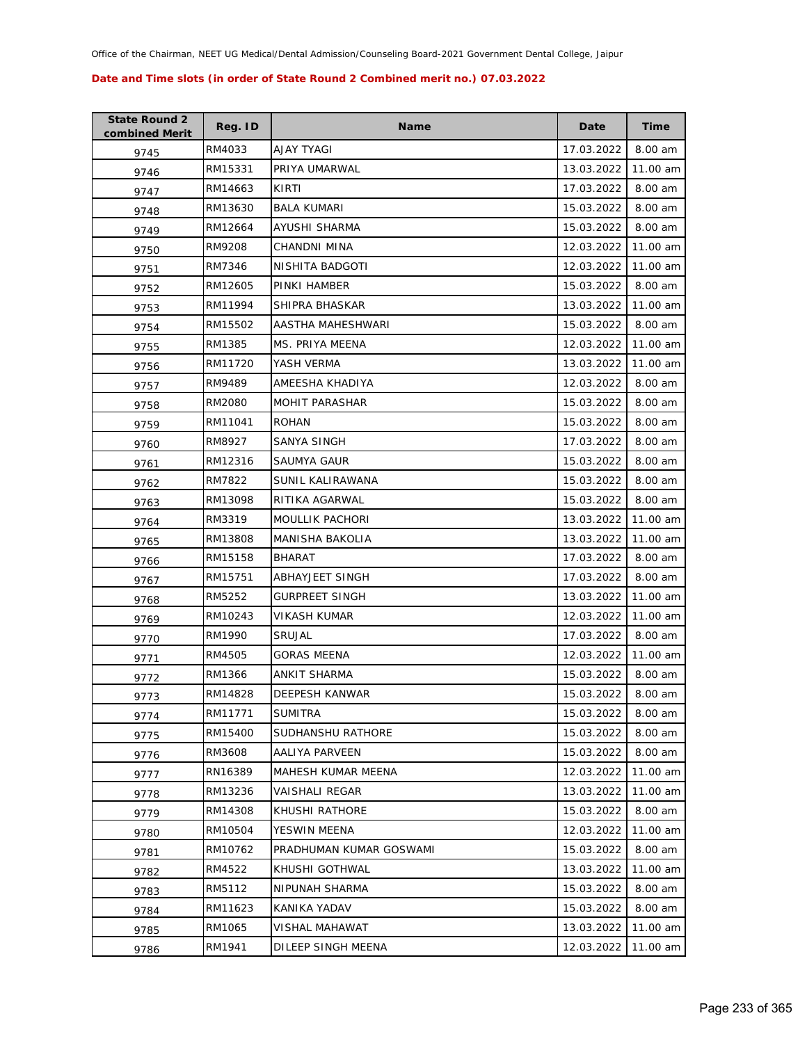| <b>State Round 2</b><br>combined Merit | Reg. ID | <b>Name</b>             | Date       | <b>Time</b> |
|----------------------------------------|---------|-------------------------|------------|-------------|
| 9745                                   | RM4033  | <b>AJAY TYAGI</b>       | 17.03.2022 | 8.00 am     |
| 9746                                   | RM15331 | PRIYA UMARWAL           | 13.03.2022 | 11.00 am    |
| 9747                                   | RM14663 | KIRTI                   | 17.03.2022 | 8.00 am     |
| 9748                                   | RM13630 | <b>BALA KUMARI</b>      | 15.03.2022 | 8.00 am     |
| 9749                                   | RM12664 | AYUSHI SHARMA           | 15.03.2022 | 8.00 am     |
| 9750                                   | RM9208  | <b>CHANDNI MINA</b>     | 12.03.2022 | 11.00 am    |
| 9751                                   | RM7346  | NISHITA BADGOTI         | 12.03.2022 | 11.00 am    |
| 9752                                   | RM12605 | PINKI HAMBER            | 15.03.2022 | 8.00 am     |
| 9753                                   | RM11994 | SHIPRA BHASKAR          | 13.03.2022 | 11.00 am    |
| 9754                                   | RM15502 | AASTHA MAHESHWARI       | 15.03.2022 | 8.00 am     |
| 9755                                   | RM1385  | MS. PRIYA MEENA         | 12.03.2022 | 11.00 am    |
| 9756                                   | RM11720 | YASH VERMA              | 13.03.2022 | 11.00 am    |
| 9757                                   | RM9489  | AMEESHA KHADIYA         | 12.03.2022 | 8.00 am     |
| 9758                                   | RM2080  | <b>MOHIT PARASHAR</b>   | 15.03.2022 | 8.00 am     |
| 9759                                   | RM11041 | <b>ROHAN</b>            | 15.03.2022 | 8.00 am     |
| 9760                                   | RM8927  | SANYA SINGH             | 17.03.2022 | 8.00 am     |
| 9761                                   | RM12316 | SAUMYA GAUR             | 15.03.2022 | 8.00 am     |
| 9762                                   | RM7822  | SUNIL KALIRAWANA        | 15.03.2022 | 8.00 am     |
| 9763                                   | RM13098 | RITIKA AGARWAL          | 15.03.2022 | 8.00 am     |
| 9764                                   | RM3319  | <b>MOULLIK PACHORI</b>  | 13.03.2022 | 11.00 am    |
| 9765                                   | RM13808 | MANISHA BAKOLIA         | 13.03.2022 | 11.00 am    |
| 9766                                   | RM15158 | <b>BHARAT</b>           | 17.03.2022 | 8.00 am     |
| 9767                                   | RM15751 | ABHAYJEET SINGH         | 17.03.2022 | 8.00 am     |
| 9768                                   | RM5252  | <b>GURPREET SINGH</b>   | 13.03.2022 | 11.00 am    |
| 9769                                   | RM10243 | VIKASH KUMAR            | 12.03.2022 | 11.00 am    |
| 9770                                   | RM1990  | <b>SRUJAL</b>           | 17.03.2022 | 8.00 am     |
| 9771                                   | RM4505  | GORAS MEENA             | 12.03.2022 | 11.00 am    |
| 9772                                   | RM1366  | <b>ANKIT SHARMA</b>     | 15.03.2022 | 8.00 am     |
| 9773                                   | RM14828 | <b>DEEPESH KANWAR</b>   | 15.03.2022 | 8.00 am     |
| 9774                                   | RM11771 | <b>SUMITRA</b>          | 15.03.2022 | 8.00 am     |
| 9775                                   | RM15400 | SUDHANSHU RATHORE       | 15.03.2022 | 8.00 am     |
| 9776                                   | RM3608  | AALIYA PARVEEN          | 15.03.2022 | 8.00 am     |
| 9777                                   | RN16389 | MAHESH KUMAR MEENA      | 12.03.2022 | 11.00 am    |
| 9778                                   | RM13236 | <b>VAISHALI REGAR</b>   | 13.03.2022 | 11.00 am    |
| 9779                                   | RM14308 | KHUSHI RATHORE          | 15.03.2022 | 8.00 am     |
| 9780                                   | RM10504 | YESWIN MEENA            | 12.03.2022 | 11.00 am    |
| 9781                                   | RM10762 | PRADHUMAN KUMAR GOSWAMI | 15.03.2022 | 8.00 am     |
| 9782                                   | RM4522  | KHUSHI GOTHWAL          | 13.03.2022 | 11.00 am    |
| 9783                                   | RM5112  | NIPUNAH SHARMA          | 15.03.2022 | 8.00 am     |
| 9784                                   | RM11623 | KANIKA YADAV            | 15.03.2022 | 8.00 am     |
| 9785                                   | RM1065  | VISHAL MAHAWAT          | 13.03.2022 | 11.00 am    |
| 9786                                   | RM1941  | DILEEP SINGH MEENA      | 12.03.2022 | 11.00 am    |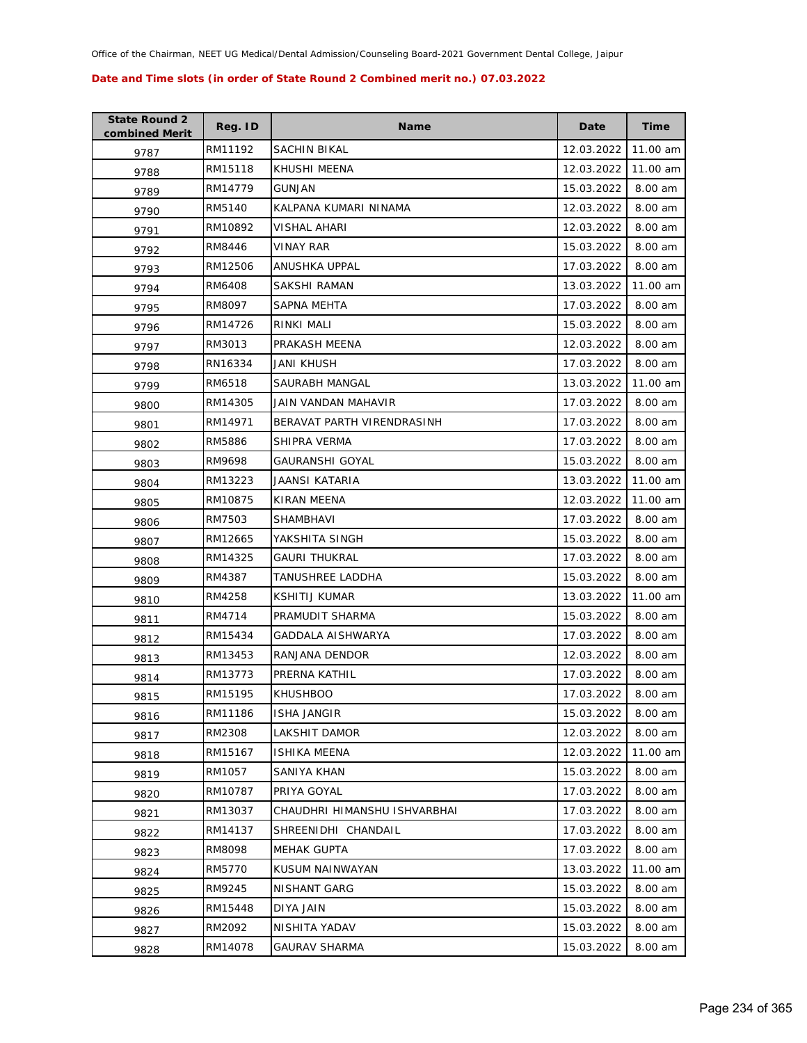| <b>State Round 2</b><br>combined Merit | Reg. ID | <b>Name</b>                  | Date       | <b>Time</b> |
|----------------------------------------|---------|------------------------------|------------|-------------|
| 9787                                   | RM11192 | SACHIN BIKAL                 | 12.03.2022 | 11.00 am    |
| 9788                                   | RM15118 | KHUSHI MEENA                 | 12.03.2022 | 11.00 am    |
| 9789                                   | RM14779 | GUNJAN                       | 15.03.2022 | 8.00 am     |
| 9790                                   | RM5140  | KALPANA KUMARI NINAMA        | 12.03.2022 | 8.00 am     |
| 9791                                   | RM10892 | VISHAL AHARI                 | 12.03.2022 | 8.00 am     |
| 9792                                   | RM8446  | <b>VINAY RAR</b>             | 15.03.2022 | 8.00 am     |
| 9793                                   | RM12506 | <b>ANUSHKA UPPAL</b>         | 17.03.2022 | 8.00 am     |
| 9794                                   | RM6408  | SAKSHI RAMAN                 | 13.03.2022 | 11.00 am    |
| 9795                                   | RM8097  | SAPNA MEHTA                  | 17.03.2022 | 8.00 am     |
| 9796                                   | RM14726 | RINKI MALI                   | 15.03.2022 | 8.00 am     |
| 9797                                   | RM3013  | PRAKASH MEENA                | 12.03.2022 | 8.00 am     |
| 9798                                   | RN16334 | JANI KHUSH                   | 17.03.2022 | 8.00 am     |
| 9799                                   | RM6518  | SAURABH MANGAL               | 13.03.2022 | 11.00 am    |
| 9800                                   | RM14305 | JAIN VANDAN MAHAVIR          | 17.03.2022 | 8.00 am     |
| 9801                                   | RM14971 | BERAVAT PARTH VIRENDRASINH   | 17.03.2022 | 8.00 am     |
| 9802                                   | RM5886  | SHIPRA VERMA                 | 17.03.2022 | 8.00 am     |
| 9803                                   | RM9698  | GAURANSHI GOYAL              | 15.03.2022 | 8.00 am     |
| 9804                                   | RM13223 | JAANSI KATARIA               | 13.03.2022 | 11.00 am    |
| 9805                                   | RM10875 | KIRAN MEENA                  | 12.03.2022 | 11.00 am    |
| 9806                                   | RM7503  | SHAMBHAVI                    | 17.03.2022 | 8.00 am     |
| 9807                                   | RM12665 | YAKSHITA SINGH               | 15.03.2022 | 8.00 am     |
| 9808                                   | RM14325 | <b>GAURI THUKRAL</b>         | 17.03.2022 | 8.00 am     |
| 9809                                   | RM4387  | TANUSHREE LADDHA             | 15.03.2022 | 8.00 am     |
| 9810                                   | RM4258  | <b>KSHITIJ KUMAR</b>         | 13.03.2022 | 11.00 am    |
| 9811                                   | RM4714  | PRAMUDIT SHARMA              | 15.03.2022 | 8.00 am     |
| 9812                                   | RM15434 | GADDALA AISHWARYA            | 17.03.2022 | 8.00 am     |
| 9813                                   | RM13453 | RANJANA DENDOR               | 12.03.2022 | 8.00 am     |
| 9814                                   | RM13773 | PRERNA KATHIL                | 17.03.2022 | 8.00 am     |
| 9815                                   | RM15195 | <b>KHUSHBOO</b>              | 17.03.2022 | 8.00 am     |
| 9816                                   | RM11186 | <b>ISHA JANGIR</b>           | 15.03.2022 | 8.00 am     |
| 9817                                   | RM2308  | LAKSHIT DAMOR                | 12.03.2022 | 8.00 am     |
| 9818                                   | RM15167 | <b>ISHIKA MEENA</b>          | 12.03.2022 | 11.00 am    |
| 9819                                   | RM1057  | SANIYA KHAN                  | 15.03.2022 | 8.00 am     |
| 9820                                   | RM10787 | PRIYA GOYAL                  | 17.03.2022 | 8.00 am     |
| 9821                                   | RM13037 | CHAUDHRI HIMANSHU ISHVARBHAI | 17.03.2022 | 8.00 am     |
| 9822                                   | RM14137 | SHREENIDHI CHANDAIL          | 17.03.2022 | 8.00 am     |
| 9823                                   | RM8098  | MEHAK GUPTA                  | 17.03.2022 | 8.00 am     |
| 9824                                   | RM5770  | KUSUM NAINWAYAN              | 13.03.2022 | 11.00 am    |
| 9825                                   | RM9245  | NISHANT GARG                 | 15.03.2022 | 8.00 am     |
| 9826                                   | RM15448 | DIYA JAIN                    | 15.03.2022 | 8.00 am     |
| 9827                                   | RM2092  | NISHITA YADAV                | 15.03.2022 | 8.00 am     |
| 9828                                   | RM14078 | <b>GAURAV SHARMA</b>         | 15.03.2022 | 8.00 am     |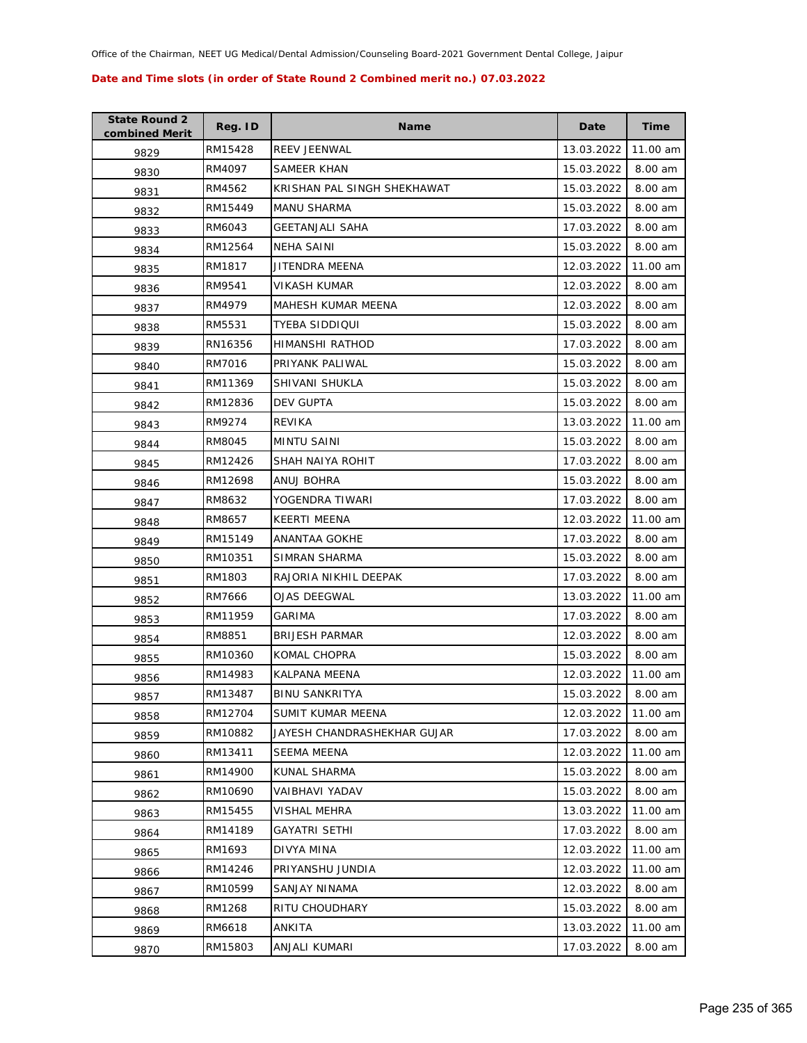| <b>State Round 2</b><br>combined Merit | Reg. ID | <b>Name</b>                 | Date       | Time     |
|----------------------------------------|---------|-----------------------------|------------|----------|
| 9829                                   | RM15428 | <b>REEV JEENWAL</b>         | 13.03.2022 | 11.00 am |
| 9830                                   | RM4097  | SAMEER KHAN                 | 15.03.2022 | 8.00 am  |
| 9831                                   | RM4562  | KRISHAN PAL SINGH SHEKHAWAT | 15.03.2022 | 8.00 am  |
| 9832                                   | RM15449 | <b>MANU SHARMA</b>          | 15.03.2022 | 8.00 am  |
| 9833                                   | RM6043  | GEETANJALI SAHA             | 17.03.2022 | 8.00 am  |
| 9834                                   | RM12564 | NEHA SAINI                  | 15.03.2022 | 8.00 am  |
| 9835                                   | RM1817  | JITENDRA MEENA              | 12.03.2022 | 11.00 am |
| 9836                                   | RM9541  | VIKASH KUMAR                | 12.03.2022 | 8.00 am  |
| 9837                                   | RM4979  | MAHESH KUMAR MEENA          | 12.03.2022 | 8.00 am  |
| 9838                                   | RM5531  | TYEBA SIDDIQUI              | 15.03.2022 | 8.00 am  |
| 9839                                   | RN16356 | HIMANSHI RATHOD             | 17.03.2022 | 8.00 am  |
| 9840                                   | RM7016  | PRIYANK PALIWAL             | 15.03.2022 | 8.00 am  |
| 9841                                   | RM11369 | SHIVANI SHUKLA              | 15.03.2022 | 8.00 am  |
| 9842                                   | RM12836 | DEV GUPTA                   | 15.03.2022 | 8.00 am  |
| 9843                                   | RM9274  | <b>REVIKA</b>               | 13.03.2022 | 11.00 am |
| 9844                                   | RM8045  | <b>MINTU SAINI</b>          | 15.03.2022 | 8.00 am  |
| 9845                                   | RM12426 | SHAH NAIYA ROHIT            | 17.03.2022 | 8.00 am  |
| 9846                                   | RM12698 | ANUJ BOHRA                  | 15.03.2022 | 8.00 am  |
| 9847                                   | RM8632  | YOGENDRA TIWARI             | 17.03.2022 | 8.00 am  |
| 9848                                   | RM8657  | KEERTI MEENA                | 12.03.2022 | 11.00 am |
| 9849                                   | RM15149 | ANANTAA GOKHE               | 17.03.2022 | 8.00 am  |
| 9850                                   | RM10351 | SIMRAN SHARMA               | 15.03.2022 | 8.00 am  |
| 9851                                   | RM1803  | RAJORIA NIKHIL DEEPAK       | 17.03.2022 | 8.00 am  |
| 9852                                   | RM7666  | OJAS DEEGWAL                | 13.03.2022 | 11.00 am |
| 9853                                   | RM11959 | GARIMA                      | 17.03.2022 | 8.00 am  |
| 9854                                   | RM8851  | <b>BRIJESH PARMAR</b>       | 12.03.2022 | 8.00 am  |
| 9855                                   | RM10360 | KOMAL CHOPRA                | 15.03.2022 | 8.00 am  |
| 9856                                   | RM14983 | KALPANA MEENA               | 12.03.2022 | 11.00 am |
| 9857                                   | RM13487 | <b>BINU SANKRITYA</b>       | 15.03.2022 | 8.00 am  |
| 9858                                   | RM12704 | SUMIT KUMAR MEENA           | 12.03.2022 | 11.00 am |
| 9859                                   | RM10882 | JAYESH CHANDRASHEKHAR GUJAR | 17.03.2022 | 8.00 am  |
| 9860                                   | RM13411 | SEEMA MEENA                 | 12.03.2022 | 11.00 am |
| 9861                                   | RM14900 | KUNAL SHARMA                | 15.03.2022 | 8.00 am  |
| 9862                                   | RM10690 | VAIBHAVI YADAV              | 15.03.2022 | 8.00 am  |
| 9863                                   | RM15455 | VISHAL MEHRA                | 13.03.2022 | 11.00 am |
| 9864                                   | RM14189 | <b>GAYATRI SETHI</b>        | 17.03.2022 | 8.00 am  |
| 9865                                   | RM1693  | DIVYA MINA                  | 12.03.2022 | 11.00 am |
| 9866                                   | RM14246 | PRIYANSHU JUNDIA            | 12.03.2022 | 11.00 am |
| 9867                                   | RM10599 | SANJAY NINAMA               | 12.03.2022 | 8.00 am  |
| 9868                                   | RM1268  | RITU CHOUDHARY              | 15.03.2022 | 8.00 am  |
| 9869                                   | RM6618  | ANKITA                      | 13.03.2022 | 11.00 am |
| 9870                                   | RM15803 | ANJALI KUMARI               | 17.03.2022 | 8.00 am  |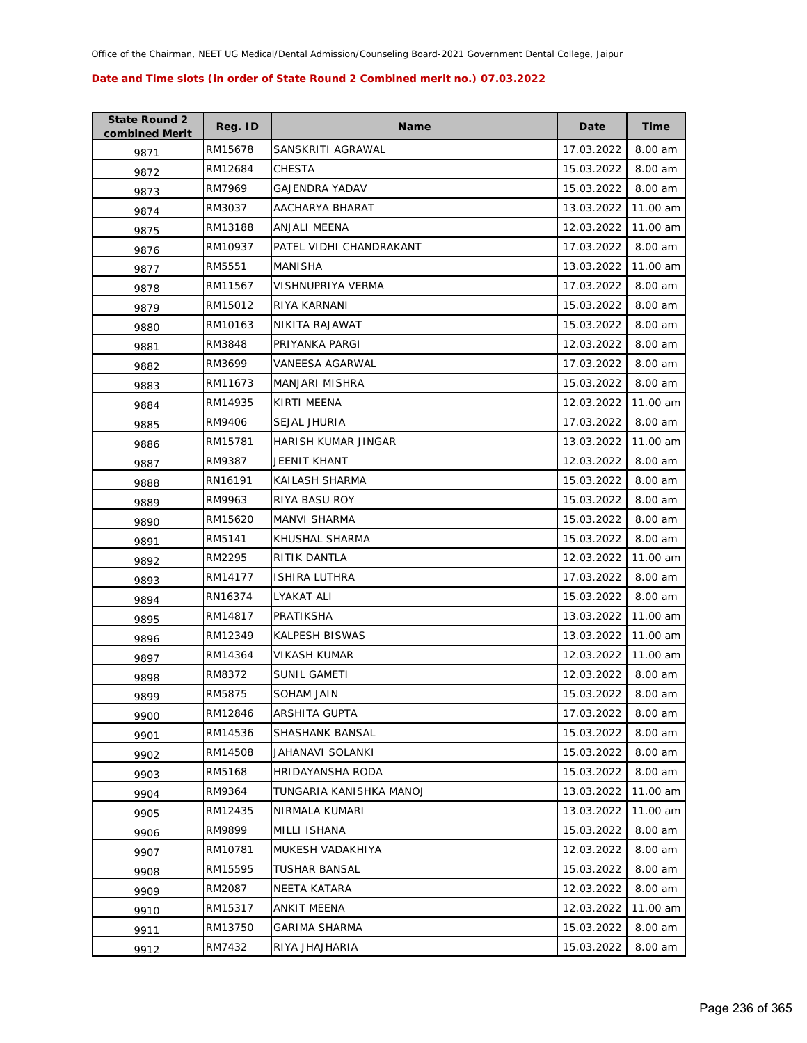| <b>State Round 2</b><br>combined Merit | Reg. ID | <b>Name</b>             | Date       | <b>Time</b> |
|----------------------------------------|---------|-------------------------|------------|-------------|
| 9871                                   | RM15678 | SANSKRITI AGRAWAL       | 17.03.2022 | 8.00 am     |
| 9872                                   | RM12684 | <b>CHESTA</b>           | 15.03.2022 | 8.00 am     |
| 9873                                   | RM7969  | GAJENDRA YADAV          | 15.03.2022 | 8.00 am     |
| 9874                                   | RM3037  | AACHARYA BHARAT         | 13.03.2022 | 11.00 am    |
| 9875                                   | RM13188 | ANJALI MEENA            | 12.03.2022 | 11.00 am    |
| 9876                                   | RM10937 | PATEL VIDHI CHANDRAKANT | 17.03.2022 | 8.00 am     |
| 9877                                   | RM5551  | MANISHA                 | 13.03.2022 | 11.00 am    |
| 9878                                   | RM11567 | VISHNUPRIYA VERMA       | 17.03.2022 | 8.00 am     |
| 9879                                   | RM15012 | RIYA KARNANI            | 15.03.2022 | 8.00 am     |
| 9880                                   | RM10163 | NIKITA RAJAWAT          | 15.03.2022 | 8.00 am     |
| 9881                                   | RM3848  | PRIYANKA PARGI          | 12.03.2022 | 8.00 am     |
| 9882                                   | RM3699  | VANEESA AGARWAL         | 17.03.2022 | 8.00 am     |
| 9883                                   | RM11673 | <b>MANJARI MISHRA</b>   | 15.03.2022 | 8.00 am     |
| 9884                                   | RM14935 | KIRTI MEENA             | 12.03.2022 | 11.00 am    |
| 9885                                   | RM9406  | SEJAL JHURIA            | 17.03.2022 | 8.00 am     |
| 9886                                   | RM15781 | HARISH KUMAR JINGAR     | 13.03.2022 | 11.00 am    |
| 9887                                   | RM9387  | JEENIT KHANT            | 12.03.2022 | 8.00 am     |
| 9888                                   | RN16191 | KAILASH SHARMA          | 15.03.2022 | 8.00 am     |
| 9889                                   | RM9963  | RIYA BASU ROY           | 15.03.2022 | 8.00 am     |
| 9890                                   | RM15620 | <b>MANVI SHARMA</b>     | 15.03.2022 | 8.00 am     |
| 9891                                   | RM5141  | KHUSHAL SHARMA          | 15.03.2022 | 8.00 am     |
| 9892                                   | RM2295  | RITIK DANTLA            | 12.03.2022 | 11.00 am    |
| 9893                                   | RM14177 | <b>ISHIRA LUTHRA</b>    | 17.03.2022 | 8.00 am     |
| 9894                                   | RN16374 | LYAKAT ALI              | 15.03.2022 | 8.00 am     |
| 9895                                   | RM14817 | PRATIKSHA               | 13.03.2022 | 11.00 am    |
| 9896                                   | RM12349 | KALPESH BISWAS          | 13.03.2022 | 11.00 am    |
| 9897                                   | RM14364 | VIKASH KUMAR            | 12.03.2022 | 11.00 am    |
| 9898                                   | RM8372  | SUNIL GAMETI            | 12.03.2022 | 8.00 am     |
| 9899                                   | RM5875  | <b>SOHAM JAIN</b>       | 15.03.2022 | 8.00 am     |
| 9900                                   | RM12846 | ARSHITA GUPTA           | 17.03.2022 | 8.00 am     |
| 9901                                   | RM14536 | SHASHANK BANSAL         | 15.03.2022 | 8.00 am     |
| 9902                                   | RM14508 | JAHANAVI SOLANKI        | 15.03.2022 | 8.00 am     |
| 9903                                   | RM5168  | HRIDAYANSHA RODA        | 15.03.2022 | 8.00 am     |
| 9904                                   | RM9364  | TUNGARIA KANISHKA MANOJ | 13.03.2022 | 11.00 am    |
| 9905                                   | RM12435 | NIRMALA KUMARI          | 13.03.2022 | 11.00 am    |
| 9906                                   | RM9899  | MILLI ISHANA            | 15.03.2022 | 8.00 am     |
| 9907                                   | RM10781 | MUKESH VADAKHIYA        | 12.03.2022 | 8.00 am     |
| 9908                                   | RM15595 | <b>TUSHAR BANSAL</b>    | 15.03.2022 | 8.00 am     |
| 9909                                   | RM2087  | NEETA KATARA            | 12.03.2022 | 8.00 am     |
| 9910                                   | RM15317 | ANKIT MEENA             | 12.03.2022 | 11.00 am    |
| 9911                                   | RM13750 | <b>GARIMA SHARMA</b>    | 15.03.2022 | 8.00 am     |
| 9912                                   | RM7432  | RIYA JHAJHARIA          | 15.03.2022 | 8.00 am     |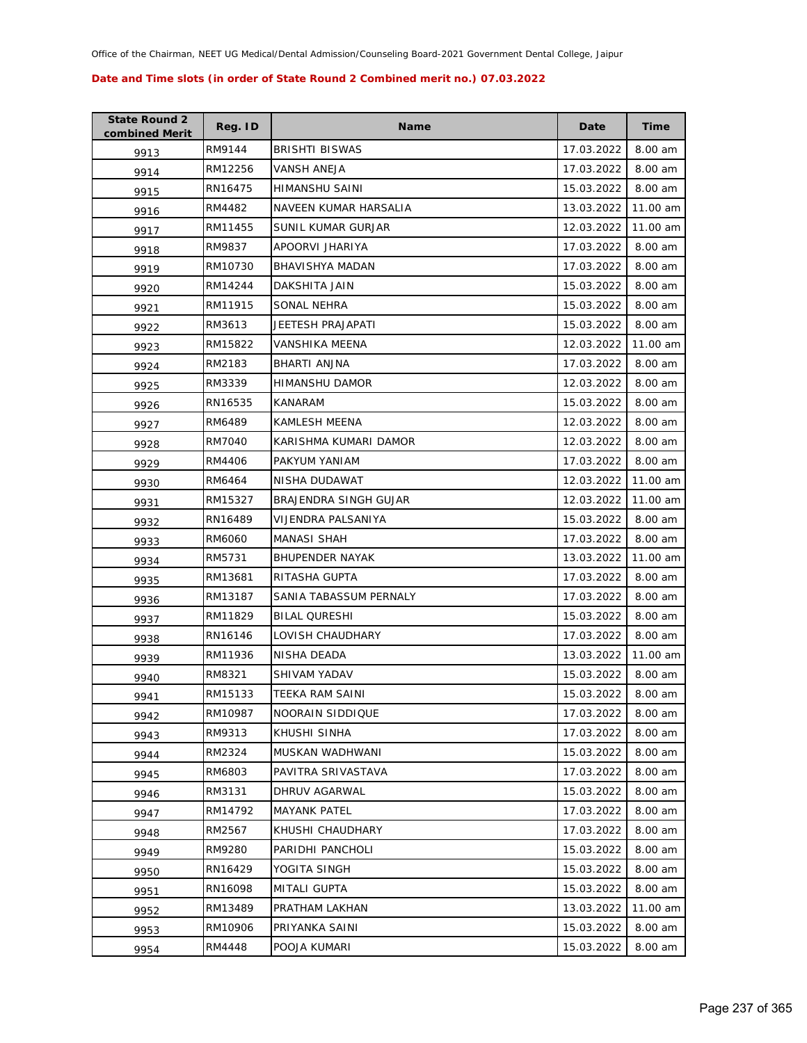| <b>State Round 2</b><br>combined Merit | Reg. ID       | <b>Name</b>            | Date       | <b>Time</b> |
|----------------------------------------|---------------|------------------------|------------|-------------|
| 9913                                   | RM9144        | <b>BRISHTI BISWAS</b>  | 17.03.2022 | 8.00 am     |
| 9914                                   | RM12256       | <b>VANSH ANEJA</b>     | 17.03.2022 | 8.00 am     |
| 9915                                   | RN16475       | HIMANSHU SAINI         | 15.03.2022 | 8.00 am     |
| 9916                                   | RM4482        | NAVEEN KUMAR HARSALIA  | 13.03.2022 | 11.00 am    |
| 9917                                   | RM11455       | SUNIL KUMAR GURJAR     | 12.03.2022 | 11.00 am    |
| 9918                                   | RM9837        | APOORVI JHARIYA        | 17.03.2022 | 8.00 am     |
| 9919                                   | RM10730       | <b>BHAVISHYA MADAN</b> | 17.03.2022 | 8.00 am     |
| 9920                                   | RM14244       | DAKSHITA JAIN          | 15.03.2022 | 8.00 am     |
| 9921                                   | RM11915       | SONAL NEHRA            | 15.03.2022 | 8.00 am     |
| 9922                                   | RM3613        | JEETESH PRAJAPATI      | 15.03.2022 | 8.00 am     |
| 9923                                   | RM15822       | VANSHIKA MEENA         | 12.03.2022 | 11.00 am    |
| 9924                                   | RM2183        | BHARTI ANJNA           | 17.03.2022 | 8.00 am     |
| 9925                                   | RM3339        | HIMANSHU DAMOR         | 12.03.2022 | 8.00 am     |
| 9926                                   | RN16535       | KANARAM                | 15.03.2022 | 8.00 am     |
| 9927                                   | RM6489        | <b>KAMLESH MEENA</b>   | 12.03.2022 | 8.00 am     |
| 9928                                   | <b>RM7040</b> | KARISHMA KUMARI DAMOR  | 12.03.2022 | 8.00 am     |
| 9929                                   | RM4406        | PAKYUM YANIAM          | 17.03.2022 | 8.00 am     |
| 9930                                   | RM6464        | NISHA DUDAWAT          | 12.03.2022 | 11.00 am    |
| 9931                                   | RM15327       | BRAJENDRA SINGH GUJAR  | 12.03.2022 | 11.00 am    |
| 9932                                   | RN16489       | VIJENDRA PALSANIYA     | 15.03.2022 | 8.00 am     |
| 9933                                   | RM6060        | MANASI SHAH            | 17.03.2022 | 8.00 am     |
| 9934                                   | RM5731        | <b>BHUPENDER NAYAK</b> | 13.03.2022 | 11.00 am    |
| 9935                                   | RM13681       | RITASHA GUPTA          | 17.03.2022 | 8.00 am     |
| 9936                                   | RM13187       | SANIA TABASSUM PERNALY | 17.03.2022 | 8.00 am     |
| 9937                                   | RM11829       | <b>BILAL QURESHI</b>   | 15.03.2022 | 8.00 am     |
| 9938                                   | RN16146       | LOVISH CHAUDHARY       | 17.03.2022 | 8.00 am     |
| 9939                                   | RM11936       | NISHA DEADA            | 13.03.2022 | 11.00 am    |
| 9940                                   | RM8321        | SHIVAM YADAV           | 15.03.2022 | 8.00 am     |
| 9941                                   | RM15133       | TEEKA RAM SAINI        | 15.03.2022 | 8.00 am     |
| 9942                                   | RM10987       | NOORAIN SIDDIQUE       | 17.03.2022 | 8.00 am     |
| 9943                                   | RM9313        | KHUSHI SINHA           | 17.03.2022 | 8.00 am     |
| 9944                                   | RM2324        | MUSKAN WADHWANI        | 15.03.2022 | 8.00 am     |
| 9945                                   | RM6803        | PAVITRA SRIVASTAVA     | 17.03.2022 | 8.00 am     |
| 9946                                   | RM3131        | DHRUV AGARWAL          | 15.03.2022 | 8.00 am     |
| 9947                                   | RM14792       | <b>MAYANK PATEL</b>    | 17.03.2022 | 8.00 am     |
| 9948                                   | RM2567        | KHUSHI CHAUDHARY       | 17.03.2022 | 8.00 am     |
| 9949                                   | RM9280        | PARIDHI PANCHOLI       | 15.03.2022 | 8.00 am     |
| 9950                                   | RN16429       | YOGITA SINGH           | 15.03.2022 | 8.00 am     |
| 9951                                   | RN16098       | MITALI GUPTA           | 15.03.2022 | 8.00 am     |
| 9952                                   | RM13489       | PRATHAM LAKHAN         | 13.03.2022 | 11.00 am    |
| 9953                                   | RM10906       | PRIYANKA SAINI         | 15.03.2022 | 8.00 am     |
| 9954                                   | RM4448        | POOJA KUMARI           | 15.03.2022 | 8.00 am     |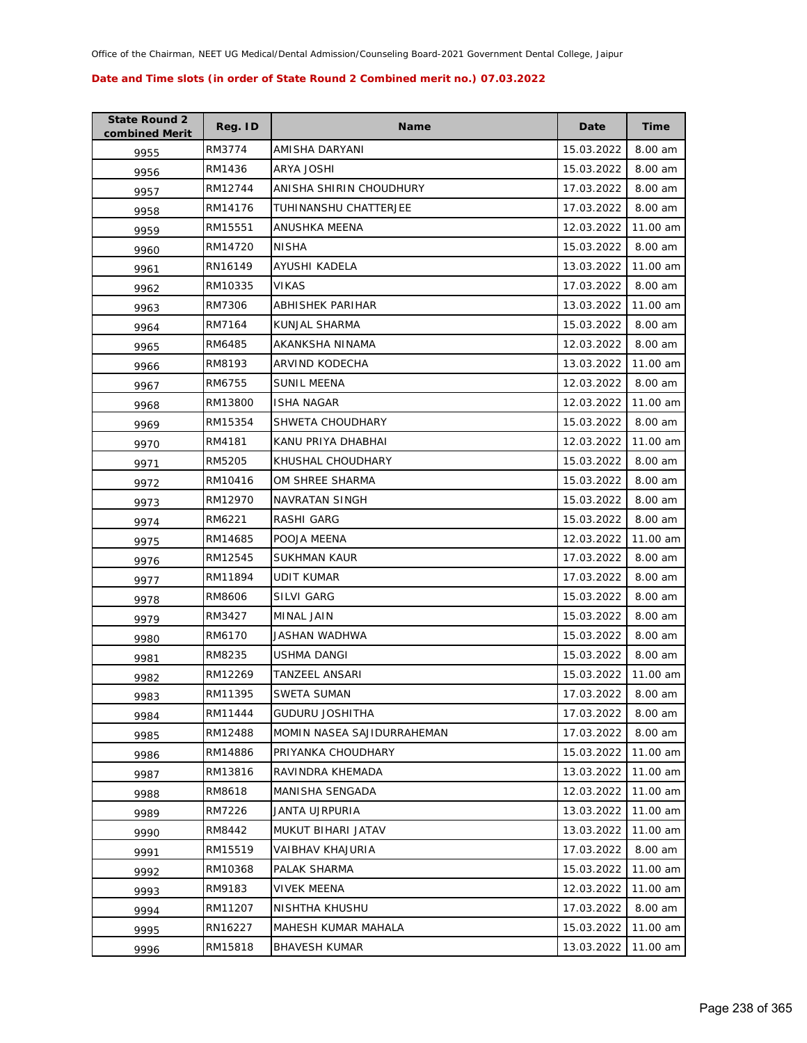| <b>State Round 2</b><br>combined Merit | Reg. ID | <b>Name</b>                | Date       | Time     |
|----------------------------------------|---------|----------------------------|------------|----------|
| 9955                                   | RM3774  | AMISHA DARYANI             | 15.03.2022 | 8.00 am  |
| 9956                                   | RM1436  | ARYA JOSHI                 | 15.03.2022 | 8.00 am  |
| 9957                                   | RM12744 | ANISHA SHIRIN CHOUDHURY    | 17.03.2022 | 8.00 am  |
| 9958                                   | RM14176 | TUHINANSHU CHATTERJEE      | 17.03.2022 | 8.00 am  |
| 9959                                   | RM15551 | ANUSHKA MEENA              | 12.03.2022 | 11.00 am |
| 9960                                   | RM14720 | <b>NISHA</b>               | 15.03.2022 | 8.00 am  |
| 9961                                   | RN16149 | AYUSHI KADELA              | 13.03.2022 | 11.00 am |
| 9962                                   | RM10335 | VIKAS                      | 17.03.2022 | 8.00 am  |
| 9963                                   | RM7306  | ABHISHEK PARIHAR           | 13.03.2022 | 11.00 am |
| 9964                                   | RM7164  | KUNJAL SHARMA              | 15.03.2022 | 8.00 am  |
| 9965                                   | RM6485  | AKANKSHA NINAMA            | 12.03.2022 | 8.00 am  |
| 9966                                   | RM8193  | ARVIND KODECHA             | 13.03.2022 | 11.00 am |
| 9967                                   | RM6755  | SUNIL MEENA                | 12.03.2022 | 8.00 am  |
| 9968                                   | RM13800 | <b>ISHA NAGAR</b>          | 12.03.2022 | 11.00 am |
| 9969                                   | RM15354 | SHWETA CHOUDHARY           | 15.03.2022 | 8.00 am  |
| 9970                                   | RM4181  | KANU PRIYA DHABHAI         | 12.03.2022 | 11.00 am |
| 9971                                   | RM5205  | KHUSHAL CHOUDHARY          | 15.03.2022 | 8.00 am  |
| 9972                                   | RM10416 | OM SHREE SHARMA            | 15.03.2022 | 8.00 am  |
| 9973                                   | RM12970 | NAVRATAN SINGH             | 15.03.2022 | 8.00 am  |
| 9974                                   | RM6221  | RASHI GARG                 | 15.03.2022 | 8.00 am  |
| 9975                                   | RM14685 | POOJA MEENA                | 12.03.2022 | 11.00 am |
| 9976                                   | RM12545 | SUKHMAN KAUR               | 17.03.2022 | 8.00 am  |
| 9977                                   | RM11894 | UDIT KUMAR                 | 17.03.2022 | 8.00 am  |
| 9978                                   | RM8606  | SILVI GARG                 | 15.03.2022 | 8.00 am  |
| 9979                                   | RM3427  | MINAL JAIN                 | 15.03.2022 | 8.00 am  |
| 9980                                   | RM6170  | JASHAN WADHWA              | 15.03.2022 | 8.00 am  |
| 9981                                   | RM8235  | USHMA DANGI                | 15.03.2022 | 8.00 am  |
| 9982                                   | RM12269 | TANZEEL ANSARI             | 15.03.2022 | 11.00 am |
| 9983                                   | RM11395 | <b>SWETA SUMAN</b>         | 17.03.2022 | 8.00 am  |
| 9984                                   | RM11444 | <b>GUDURU JOSHITHA</b>     | 17.03.2022 | 8.00 am  |
| 9985                                   | RM12488 | MOMIN NASEA SAJIDURRAHEMAN | 17.03.2022 | 8.00 am  |
| 9986                                   | RM14886 | PRIYANKA CHOUDHARY         | 15.03.2022 | 11.00 am |
| 9987                                   | RM13816 | RAVINDRA KHEMADA           | 13.03.2022 | 11.00 am |
| 9988                                   | RM8618  | MANISHA SENGADA            | 12.03.2022 | 11.00 am |
| 9989                                   | RM7226  | JANTA UJRPURIA             | 13.03.2022 | 11.00 am |
| 9990                                   | RM8442  | MUKUT BIHARI JATAV         | 13.03.2022 | 11.00 am |
| 9991                                   | RM15519 | VAIBHAV KHAJURIA           | 17.03.2022 | 8.00 am  |
| 9992                                   | RM10368 | PALAK SHARMA               | 15.03.2022 | 11.00 am |
| 9993                                   | RM9183  | VIVEK MEENA                | 12.03.2022 | 11.00 am |
| 9994                                   | RM11207 | NISHTHA KHUSHU             | 17.03.2022 | 8.00 am  |
| 9995                                   | RN16227 | MAHESH KUMAR MAHALA        | 15.03.2022 | 11.00 am |
| 9996                                   | RM15818 | <b>BHAVESH KUMAR</b>       | 13.03.2022 | 11.00 am |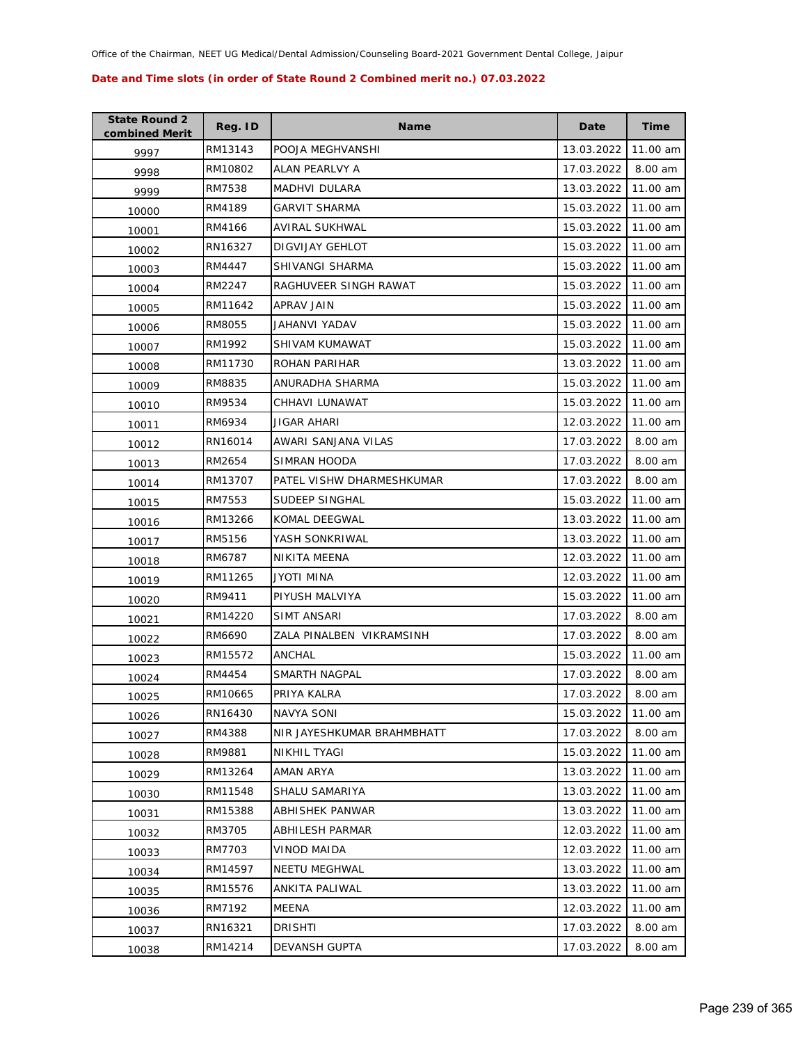| <b>State Round 2</b><br>combined Merit | Reg. ID | <b>Name</b>                | Date       | <b>Time</b> |
|----------------------------------------|---------|----------------------------|------------|-------------|
| 9997                                   | RM13143 | POOJA MEGHVANSHI           | 13.03.2022 | 11.00 am    |
| 9998                                   | RM10802 | ALAN PEARLVY A             | 17.03.2022 | 8.00 am     |
| 9999                                   | RM7538  | MADHVI DULARA              | 13.03.2022 | 11.00 am    |
| 10000                                  | RM4189  | <b>GARVIT SHARMA</b>       | 15.03.2022 | 11.00 am    |
| 10001                                  | RM4166  | AVIRAL SUKHWAL             | 15.03.2022 | 11.00 am    |
| 10002                                  | RN16327 | DIGVIJAY GEHLOT            | 15.03.2022 | 11.00 am    |
| 10003                                  | RM4447  | SHIVANGI SHARMA            | 15.03.2022 | 11.00 am    |
| 10004                                  | RM2247  | RAGHUVEER SINGH RAWAT      | 15.03.2022 | 11.00 am    |
| 10005                                  | RM11642 | APRAV JAIN                 | 15.03.2022 | 11.00 am    |
| 10006                                  | RM8055  | JAHANVI YADAV              | 15.03.2022 | 11.00 am    |
| 10007                                  | RM1992  | SHIVAM KUMAWAT             | 15.03.2022 | 11.00 am    |
| 10008                                  | RM11730 | ROHAN PARIHAR              | 13.03.2022 | 11.00 am    |
| 10009                                  | RM8835  | ANURADHA SHARMA            | 15.03.2022 | 11.00 am    |
| 10010                                  | RM9534  | CHHAVI LUNAWAT             | 15.03.2022 | 11.00 am    |
| 10011                                  | RM6934  | JIGAR AHARI                | 12.03.2022 | 11.00 am    |
| 10012                                  | RN16014 | AWARI SANJANA VILAS        | 17.03.2022 | 8.00 am     |
| 10013                                  | RM2654  | SIMRAN HOODA               | 17.03.2022 | 8.00 am     |
| 10014                                  | RM13707 | PATEL VISHW DHARMESHKUMAR  | 17.03.2022 | 8.00 am     |
| 10015                                  | RM7553  | SUDEEP SINGHAL             | 15.03.2022 | 11.00 am    |
| 10016                                  | RM13266 | KOMAL DEEGWAL              | 13.03.2022 | 11.00 am    |
| 10017                                  | RM5156  | YASH SONKRIWAL             | 13.03.2022 | 11.00 am    |
| 10018                                  | RM6787  | NIKITA MEENA               | 12.03.2022 | 11.00 am    |
| 10019                                  | RM11265 | JYOTI MINA                 | 12.03.2022 | 11.00 am    |
| 10020                                  | RM9411  | PIYUSH MALVIYA             | 15.03.2022 | 11.00 am    |
| 10021                                  | RM14220 | SIMT ANSARI                | 17.03.2022 | 8.00 am     |
| 10022                                  | RM6690  | ZALA PINALBEN VIKRAMSINH   | 17.03.2022 | 8.00 am     |
| 10023                                  | RM15572 | ANCHAL                     | 15.03.2022 | 11.00 am    |
| 10024                                  | RM4454  | SMARTH NAGPAL              | 17.03.2022 | 8.00 am     |
| 10025                                  | RM10665 | PRIYA KALRA                | 17.03.2022 | 8.00 am     |
| 10026                                  | RN16430 | NAVYA SONI                 | 15.03.2022 | 11.00 am    |
| 10027                                  | RM4388  | NIR JAYESHKUMAR BRAHMBHATT | 17.03.2022 | 8.00 am     |
| 10028                                  | RM9881  | NIKHIL TYAGI               | 15.03.2022 | 11.00 am    |
| 10029                                  | RM13264 | AMAN ARYA                  | 13.03.2022 | 11.00 am    |
| 10030                                  | RM11548 | SHALU SAMARIYA             | 13.03.2022 | 11.00 am    |
| 10031                                  | RM15388 | ABHISHEK PANWAR            | 13.03.2022 | 11.00 am    |
| 10032                                  | RM3705  | <b>ABHILESH PARMAR</b>     | 12.03.2022 | 11.00 am    |
| 10033                                  | RM7703  | VINOD MAIDA                | 12.03.2022 | 11.00 am    |
| 10034                                  | RM14597 | NEETU MEGHWAL              | 13.03.2022 | 11.00 am    |
| 10035                                  | RM15576 | ANKITA PALIWAL             | 13.03.2022 | 11.00 am    |
| 10036                                  | RM7192  | MEENA                      | 12.03.2022 | 11.00 am    |
| 10037                                  | RN16321 | DRISHTI                    | 17.03.2022 | 8.00 am     |
| 10038                                  | RM14214 | <b>DEVANSH GUPTA</b>       | 17.03.2022 | 8.00 am     |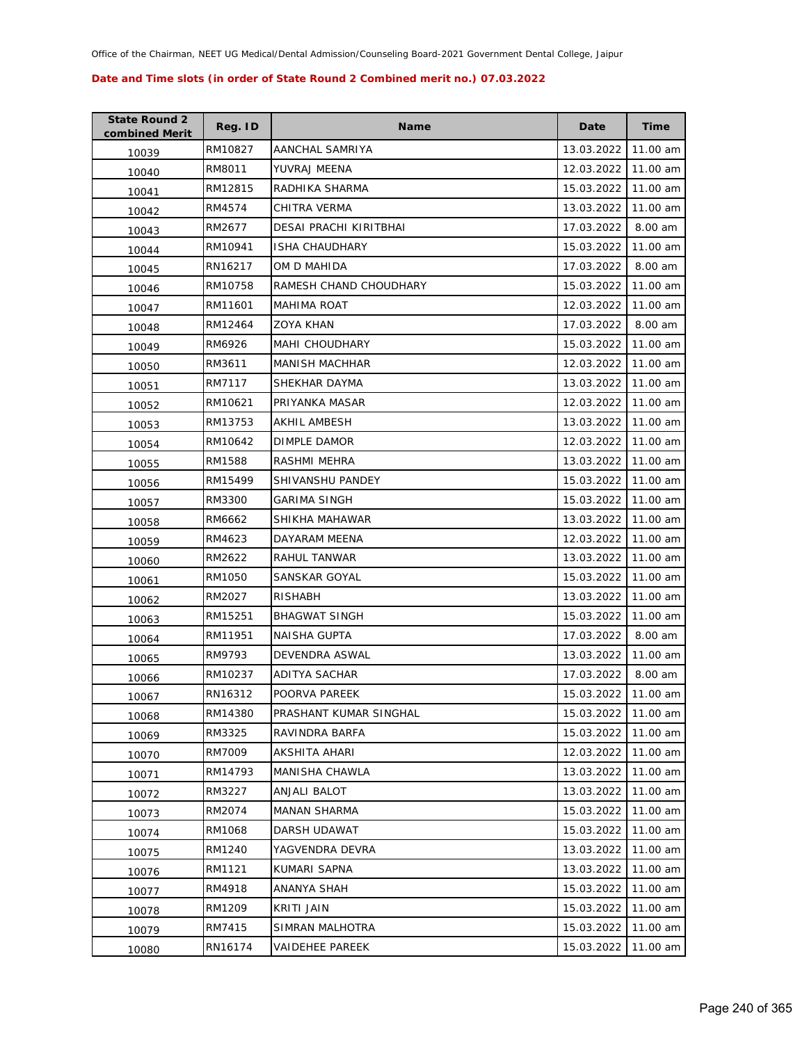| <b>State Round 2</b><br>combined Merit | Reg. ID | <b>Name</b>            | Date       | <b>Time</b> |
|----------------------------------------|---------|------------------------|------------|-------------|
| 10039                                  | RM10827 | AANCHAL SAMRIYA        | 13.03.2022 | 11.00 am    |
| 10040                                  | RM8011  | YUVRAJ MEENA           | 12.03.2022 | 11.00 am    |
| 10041                                  | RM12815 | RADHIKA SHARMA         | 15.03.2022 | 11.00 am    |
| 10042                                  | RM4574  | CHITRA VERMA           | 13.03.2022 | 11.00 am    |
| 10043                                  | RM2677  | DESAI PRACHI KIRITBHAI | 17.03.2022 | 8.00 am     |
| 10044                                  | RM10941 | <b>ISHA CHAUDHARY</b>  | 15.03.2022 | 11.00 am    |
| 10045                                  | RN16217 | OM D MAHIDA            | 17.03.2022 | 8.00 am     |
| 10046                                  | RM10758 | RAMESH CHAND CHOUDHARY | 15.03.2022 | 11.00 am    |
| 10047                                  | RM11601 | <b>MAHIMA ROAT</b>     | 12.03.2022 | 11.00 am    |
| 10048                                  | RM12464 | ZOYA KHAN              | 17.03.2022 | 8.00 am     |
| 10049                                  | RM6926  | <b>MAHI CHOUDHARY</b>  | 15.03.2022 | 11.00 am    |
| 10050                                  | RM3611  | <b>MANISH MACHHAR</b>  | 12.03.2022 | 11.00 am    |
| 10051                                  | RM7117  | SHEKHAR DAYMA          | 13.03.2022 | 11.00 am    |
| 10052                                  | RM10621 | PRIYANKA MASAR         | 12.03.2022 | 11.00 am    |
| 10053                                  | RM13753 | <b>AKHIL AMBESH</b>    | 13.03.2022 | 11.00 am    |
| 10054                                  | RM10642 | DIMPLE DAMOR           | 12.03.2022 | 11.00 am    |
| 10055                                  | RM1588  | RASHMI MEHRA           | 13.03.2022 | 11.00 am    |
| 10056                                  | RM15499 | SHIVANSHU PANDEY       | 15.03.2022 | 11.00 am    |
| 10057                                  | RM3300  | <b>GARIMA SINGH</b>    | 15.03.2022 | 11.00 am    |
| 10058                                  | RM6662  | SHIKHA MAHAWAR         | 13.03.2022 | 11.00 am    |
| 10059                                  | RM4623  | DAYARAM MEENA          | 12.03.2022 | 11.00 am    |
| 10060                                  | RM2622  | RAHUL TANWAR           | 13.03.2022 | 11.00 am    |
| 10061                                  | RM1050  | SANSKAR GOYAL          | 15.03.2022 | 11.00 am    |
| 10062                                  | RM2027  | RISHABH                | 13.03.2022 | 11.00 am    |
| 10063                                  | RM15251 | <b>BHAGWAT SINGH</b>   | 15.03.2022 | 11.00 am    |
| 10064                                  | RM11951 | <b>NAISHA GUPTA</b>    | 17.03.2022 | 8.00 am     |
| 10065                                  | RM9793  | DEVENDRA ASWAL         | 13.03.2022 | 11.00 am    |
| 10066                                  | RM10237 | <b>ADITYA SACHAR</b>   | 17.03.2022 | 8.00 am     |
| 10067                                  | RN16312 | POORVA PAREEK          | 15.03.2022 | 11.00 am    |
| 10068                                  | RM14380 | PRASHANT KUMAR SINGHAL | 15.03.2022 | 11.00 am    |
| 10069                                  | RM3325  | RAVINDRA BARFA         | 15.03.2022 | 11.00 am    |
| 10070                                  | RM7009  | AKSHITA AHARI          | 12.03.2022 | 11.00 am    |
| 10071                                  | RM14793 | MANISHA CHAWLA         | 13.03.2022 | 11.00 am    |
| 10072                                  | RM3227  | <b>ANJALI BALOT</b>    | 13.03.2022 | 11.00 am    |
| 10073                                  | RM2074  | <b>MANAN SHARMA</b>    | 15.03.2022 | 11.00 am    |
| 10074                                  | RM1068  | DARSH UDAWAT           | 15.03.2022 | 11.00 am    |
| 10075                                  | RM1240  | YAGVENDRA DEVRA        | 13.03.2022 | 11.00 am    |
| 10076                                  | RM1121  | KUMARI SAPNA           | 13.03.2022 | 11.00 am    |
| 10077                                  | RM4918  | ANANYA SHAH            | 15.03.2022 | 11.00 am    |
| 10078                                  | RM1209  | KRITI JAIN             | 15.03.2022 | 11.00 am    |
| 10079                                  | RM7415  | SIMRAN MALHOTRA        | 15.03.2022 | 11.00 am    |
| 10080                                  | RN16174 | <b>VAIDEHEE PAREEK</b> | 15.03.2022 | 11.00 am    |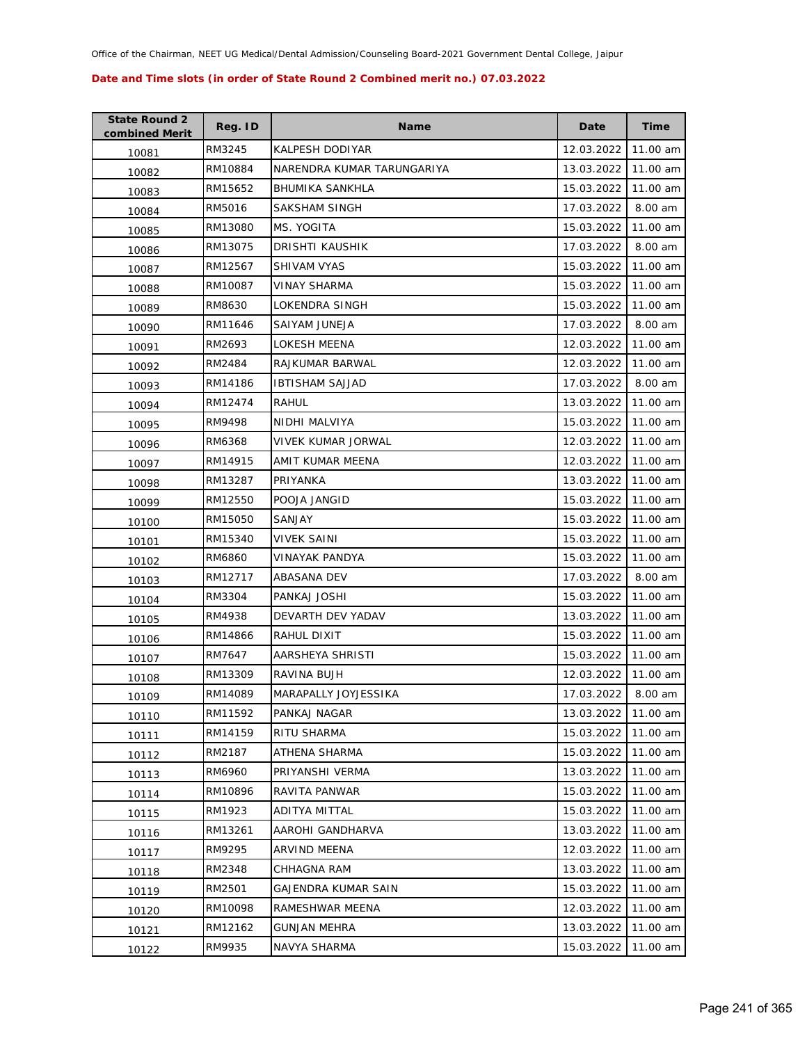| <b>State Round 2</b><br>combined Merit | Reg. ID | <b>Name</b>                | Date       | <b>Time</b> |
|----------------------------------------|---------|----------------------------|------------|-------------|
| 10081                                  | RM3245  | KALPESH DODIYAR            | 12.03.2022 | 11.00 am    |
| 10082                                  | RM10884 | NARENDRA KUMAR TARUNGARIYA | 13.03.2022 | 11.00 am    |
| 10083                                  | RM15652 | <b>BHUMIKA SANKHLA</b>     | 15.03.2022 | 11.00 am    |
| 10084                                  | RM5016  | SAKSHAM SINGH              | 17.03.2022 | 8.00 am     |
| 10085                                  | RM13080 | MS. YOGITA                 | 15.03.2022 | 11.00 am    |
| 10086                                  | RM13075 | DRISHTI KAUSHIK            | 17.03.2022 | 8.00 am     |
| 10087                                  | RM12567 | SHIVAM VYAS                | 15.03.2022 | 11.00 am    |
| 10088                                  | RM10087 | <b>VINAY SHARMA</b>        | 15.03.2022 | 11.00 am    |
| 10089                                  | RM8630  | LOKENDRA SINGH             | 15.03.2022 | 11.00 am    |
| 10090                                  | RM11646 | SAIYAM JUNEJA              | 17.03.2022 | 8.00 am     |
| 10091                                  | RM2693  | LOKESH MEENA               | 12.03.2022 | 11.00 am    |
| 10092                                  | RM2484  | RAJKUMAR BARWAL            | 12.03.2022 | 11.00 am    |
| 10093                                  | RM14186 | <b>IBTISHAM SAJJAD</b>     | 17.03.2022 | 8.00 am     |
| 10094                                  | RM12474 | RAHUL                      | 13.03.2022 | 11.00 am    |
| 10095                                  | RM9498  | NIDHI MALVIYA              | 15.03.2022 | 11.00 am    |
| 10096                                  | RM6368  | VIVEK KUMAR JORWAL         | 12.03.2022 | 11.00 am    |
| 10097                                  | RM14915 | AMIT KUMAR MEENA           | 12.03.2022 | 11.00 am    |
| 10098                                  | RM13287 | PRIYANKA                   | 13.03.2022 | 11.00 am    |
| 10099                                  | RM12550 | POOJA JANGID               | 15.03.2022 | 11.00 am    |
| 10100                                  | RM15050 | SANJAY                     | 15.03.2022 | 11.00 am    |
| 10101                                  | RM15340 | <b>VIVEK SAINI</b>         | 15.03.2022 | 11.00 am    |
| 10102                                  | RM6860  | VINAYAK PANDYA             | 15.03.2022 | 11.00 am    |
| 10103                                  | RM12717 | ABASANA DEV                | 17.03.2022 | 8.00 am     |
| 10104                                  | RM3304  | PANKAJ JOSHI               | 15.03.2022 | 11.00 am    |
| 10105                                  | RM4938  | DEVARTH DEV YADAV          | 13.03.2022 | 11.00 am    |
| 10106                                  | RM14866 | RAHUL DIXIT                | 15.03.2022 | 11.00 am    |
| 10107                                  | RM7647  | AARSHEYA SHRISTI           | 15.03.2022 | 11.00 am    |
| 10108                                  | RM13309 | RAVINA BUJH                | 12.03.2022 | 11.00 am    |
| 10109                                  | RM14089 | MARAPALLY JOYJESSIKA       | 17.03.2022 | 8.00 am     |
| 10110                                  | RM11592 | PANKAJ NAGAR               | 13.03.2022 | 11.00 am    |
| 10111                                  | RM14159 | RITU SHARMA                | 15.03.2022 | 11.00 am    |
| 10112                                  | RM2187  | ATHENA SHARMA              | 15.03.2022 | 11.00 am    |
| 10113                                  | RM6960  | PRIYANSHI VERMA            | 13.03.2022 | 11.00 am    |
| 10114                                  | RM10896 | RAVITA PANWAR              | 15.03.2022 | 11.00 am    |
| 10115                                  | RM1923  | ADITYA MITTAL              | 15.03.2022 | 11.00 am    |
| 10116                                  | RM13261 | AAROHI GANDHARVA           | 13.03.2022 | 11.00 am    |
| 10117                                  | RM9295  | <b>ARVIND MEENA</b>        | 12.03.2022 | 11.00 am    |
| 10118                                  | RM2348  | CHHAGNA RAM                | 13.03.2022 | 11.00 am    |
| 10119                                  | RM2501  | GAJENDRA KUMAR SAIN        | 15.03.2022 | 11.00 am    |
| 10120                                  | RM10098 | RAMESHWAR MEENA            | 12.03.2022 | 11.00 am    |
| 10121                                  | RM12162 | <b>GUNJAN MEHRA</b>        | 13.03.2022 | 11.00 am    |
| 10122                                  | RM9935  | NAVYA SHARMA               | 15.03.2022 | 11.00 am    |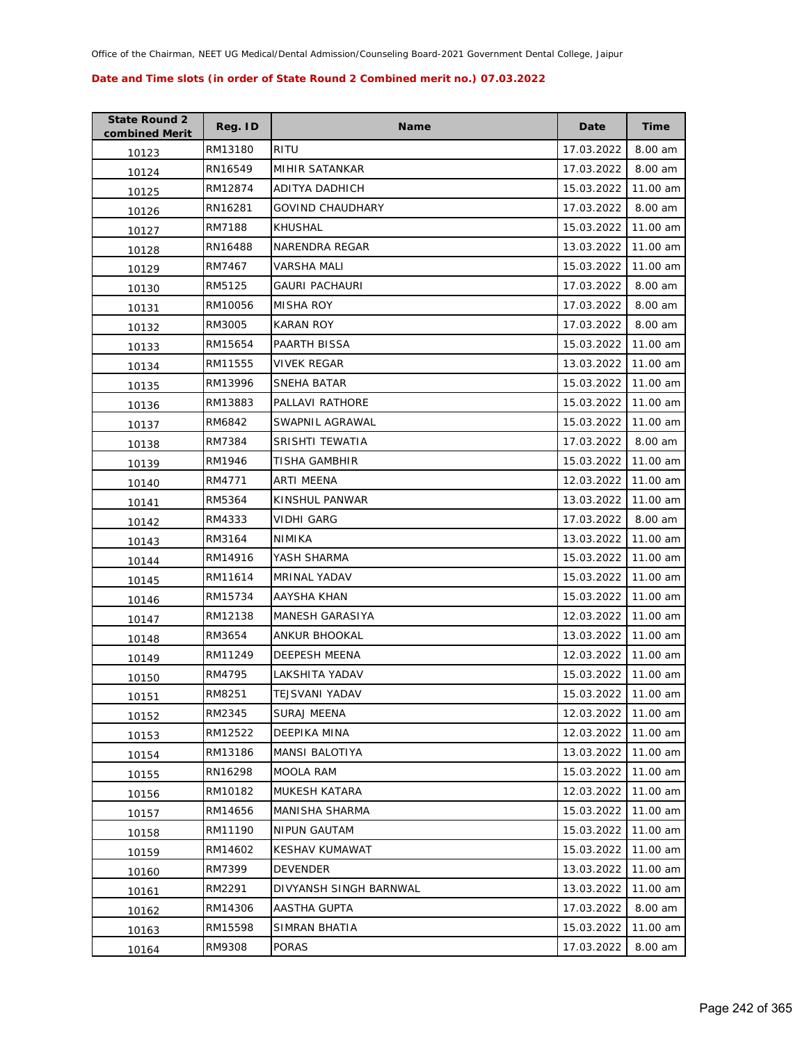| <b>State Round 2</b><br>combined Merit | Reg. ID | <b>Name</b>             | Date       | <b>Time</b> |
|----------------------------------------|---------|-------------------------|------------|-------------|
| 10123                                  | RM13180 | <b>RITU</b>             | 17.03.2022 | 8.00 am     |
| 10124                                  | RN16549 | MIHIR SATANKAR          | 17.03.2022 | 8.00 am     |
| 10125                                  | RM12874 | ADITYA DADHICH          | 15.03.2022 | 11.00 am    |
| 10126                                  | RN16281 | <b>GOVIND CHAUDHARY</b> | 17.03.2022 | 8.00 am     |
| 10127                                  | RM7188  | KHUSHAL                 | 15.03.2022 | 11.00 am    |
| 10128                                  | RN16488 | NARENDRA REGAR          | 13.03.2022 | 11.00 am    |
| 10129                                  | RM7467  | VARSHA MALI             | 15.03.2022 | 11.00 am    |
| 10130                                  | RM5125  | GAURI PACHAURI          | 17.03.2022 | 8.00 am     |
| 10131                                  | RM10056 | MISHA ROY               | 17.03.2022 | 8.00 am     |
| 10132                                  | RM3005  | KARAN ROY               | 17.03.2022 | 8.00 am     |
| 10133                                  | RM15654 | PAARTH BISSA            | 15.03.2022 | 11.00 am    |
| 10134                                  | RM11555 | VIVEK REGAR             | 13.03.2022 | 11.00 am    |
| 10135                                  | RM13996 | SNEHA BATAR             | 15.03.2022 | 11.00 am    |
| 10136                                  | RM13883 | <b>PALLAVI RATHORE</b>  | 15.03.2022 | 11.00 am    |
| 10137                                  | RM6842  | SWAPNIL AGRAWAL         | 15.03.2022 | 11.00 am    |
| 10138                                  | RM7384  | <b>SRISHTI TEWATIA</b>  | 17.03.2022 | 8.00 am     |
| 10139                                  | RM1946  | TISHA GAMBHIR           | 15.03.2022 | 11.00 am    |
| 10140                                  | RM4771  | ARTI MEENA              | 12.03.2022 | 11.00 am    |
| 10141                                  | RM5364  | KINSHUL PANWAR          | 13.03.2022 | 11.00 am    |
| 10142                                  | RM4333  | VIDHI GARG              | 17.03.2022 | 8.00 am     |
| 10143                                  | RM3164  | NIMIKA                  | 13.03.2022 | 11.00 am    |
| 10144                                  | RM14916 | YASH SHARMA             | 15.03.2022 | 11.00 am    |
| 10145                                  | RM11614 | <b>MRINAL YADAV</b>     | 15.03.2022 | 11.00 am    |
| 10146                                  | RM15734 | AAYSHA KHAN             | 15.03.2022 | 11.00 am    |
| 10147                                  | RM12138 | MANESH GARASIYA         | 12.03.2022 | 11.00 am    |
| 10148                                  | RM3654  | ANKUR BHOOKAL           | 13.03.2022 | 11.00 am    |
| 10149                                  | RM11249 | <b>DEEPESH MEENA</b>    | 12.03.2022 | 11.00 am    |
| 10150                                  | RM4795  | <b>LAKSHITA YADAV</b>   | 15.03.2022 | 11.00 am    |
| 10151                                  | RM8251  | <b>TEJSVANI YADAV</b>   | 15.03.2022 | 11.00 am    |
| 10152                                  | RM2345  | <b>SURAJ MEENA</b>      | 12.03.2022 | 11.00 am    |
| 10153                                  | RM12522 | DEEPIKA MINA            | 12.03.2022 | 11.00 am    |
| 10154                                  | RM13186 | <b>MANSI BALOTIYA</b>   | 13.03.2022 | 11.00 am    |
| 10155                                  | RN16298 | <b>MOOLA RAM</b>        | 15.03.2022 | 11.00 am    |
| 10156                                  | RM10182 | <b>MUKESH KATARA</b>    | 12.03.2022 | 11.00 am    |
| 10157                                  | RM14656 | MANISHA SHARMA          | 15.03.2022 | 11.00 am    |
| 10158                                  | RM11190 | NIPUN GAUTAM            | 15.03.2022 | 11.00 am    |
| 10159                                  | RM14602 | KESHAV KUMAWAT          | 15.03.2022 | 11.00 am    |
| 10160                                  | RM7399  | <b>DEVENDER</b>         | 13.03.2022 | 11.00 am    |
| 10161                                  | RM2291  | DIVYANSH SINGH BARNWAL  | 13.03.2022 | 11.00 am    |
| 10162                                  | RM14306 | AASTHA GUPTA            | 17.03.2022 | 8.00 am     |
| 10163                                  | RM15598 | SIMRAN BHATIA           | 15.03.2022 | 11.00 am    |
| 10164                                  | RM9308  | <b>PORAS</b>            | 17.03.2022 | 8.00 am     |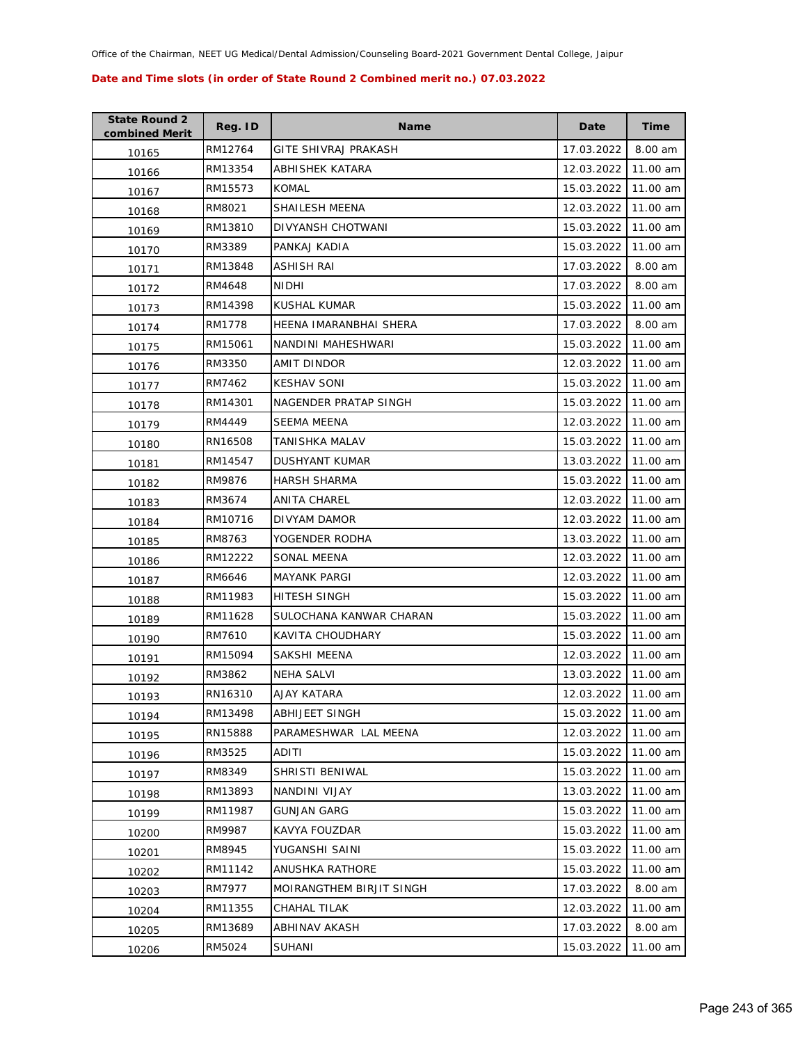| <b>State Round 2</b><br>combined Merit | Reg. ID | <b>Name</b>              | Date       | <b>Time</b> |
|----------------------------------------|---------|--------------------------|------------|-------------|
| 10165                                  | RM12764 | GITE SHIVRAJ PRAKASH     | 17.03.2022 | 8.00 am     |
| 10166                                  | RM13354 | ABHISHEK KATARA          | 12.03.2022 | 11.00 am    |
| 10167                                  | RM15573 | KOMAL                    | 15.03.2022 | 11.00 am    |
| 10168                                  | RM8021  | SHAILESH MEENA           | 12.03.2022 | 11.00 am    |
| 10169                                  | RM13810 | DIVYANSH CHOTWANI        | 15.03.2022 | 11.00 am    |
| 10170                                  | RM3389  | PANKAJ KADIA             | 15.03.2022 | 11.00 am    |
| 10171                                  | RM13848 | ASHISH RAI               | 17.03.2022 | 8.00 am     |
| 10172                                  | RM4648  | NIDHI                    | 17.03.2022 | 8.00 am     |
| 10173                                  | RM14398 | KUSHAL KUMAR             | 15.03.2022 | 11.00 am    |
| 10174                                  | RM1778  | HEENA IMARANBHAI SHERA   | 17.03.2022 | 8.00 am     |
| 10175                                  | RM15061 | NANDINI MAHESHWARI       | 15.03.2022 | 11.00 am    |
| 10176                                  | RM3350  | AMIT DINDOR              | 12.03.2022 | 11.00 am    |
| 10177                                  | RM7462  | <b>KESHAV SONI</b>       | 15.03.2022 | 11.00 am    |
| 10178                                  | RM14301 | NAGENDER PRATAP SINGH    | 15.03.2022 | 11.00 am    |
| 10179                                  | RM4449  | <b>SEEMA MEENA</b>       | 12.03.2022 | 11.00 am    |
| 10180                                  | RN16508 | TANISHKA MALAV           | 15.03.2022 | 11.00 am    |
| 10181                                  | RM14547 | DUSHYANT KUMAR           | 13.03.2022 | 11.00 am    |
| 10182                                  | RM9876  | <b>HARSH SHARMA</b>      | 15.03.2022 | 11.00 am    |
| 10183                                  | RM3674  | ANITA CHAREL             | 12.03.2022 | 11.00 am    |
| 10184                                  | RM10716 | DIVYAM DAMOR             | 12.03.2022 | 11.00 am    |
| 10185                                  | RM8763  | YOGENDER RODHA           | 13.03.2022 | 11.00 am    |
| 10186                                  | RM12222 | SONAL MEENA              | 12.03.2022 | 11.00 am    |
| 10187                                  | RM6646  | <b>MAYANK PARGI</b>      | 12.03.2022 | 11.00 am    |
| 10188                                  | RM11983 | HITESH SINGH             | 15.03.2022 | 11.00 am    |
| 10189                                  | RM11628 | SULOCHANA KANWAR CHARAN  | 15.03.2022 | 11.00 am    |
| 10190                                  | RM7610  | KAVITA CHOUDHARY         | 15.03.2022 | 11.00 am    |
| 10191                                  | RM15094 | SAKSHI MEENA             | 12.03.2022 | 11.00 am    |
| 10192                                  | RM3862  | NEHA SALVI               | 13.03.2022 | 11.00 am    |
| 10193                                  | RN16310 | AJAY KATARA              | 12.03.2022 | 11.00 am    |
| 10194                                  | RM13498 | <b>ABHIJEET SINGH</b>    | 15.03.2022 | 11.00 am    |
| 10195                                  | RN15888 | PARAMESHWAR LAL MEENA    | 12.03.2022 | 11.00 am    |
| 10196                                  | RM3525  | ADITI                    | 15.03.2022 | 11.00 am    |
| 10197                                  | RM8349  | SHRISTI BENIWAL          | 15.03.2022 | 11.00 am    |
| 10198                                  | RM13893 | NANDINI VIJAY            | 13.03.2022 | 11.00 am    |
| 10199                                  | RM11987 | <b>GUNJAN GARG</b>       | 15.03.2022 | 11.00 am    |
| 10200                                  | RM9987  | KAVYA FOUZDAR            | 15.03.2022 | 11.00 am    |
| 10201                                  | RM8945  | YUGANSHI SAINI           | 15.03.2022 | 11.00 am    |
| 10202                                  | RM11142 | ANUSHKA RATHORE          | 15.03.2022 | 11.00 am    |
| 10203                                  | RM7977  | MOIRANGTHEM BIRJIT SINGH | 17.03.2022 | 8.00 am     |
| 10204                                  | RM11355 | CHAHAL TILAK             | 12.03.2022 | 11.00 am    |
| 10205                                  | RM13689 | ABHINAV AKASH            | 17.03.2022 | 8.00 am     |
| 10206                                  | RM5024  | <b>SUHANI</b>            | 15.03.2022 | 11.00 am    |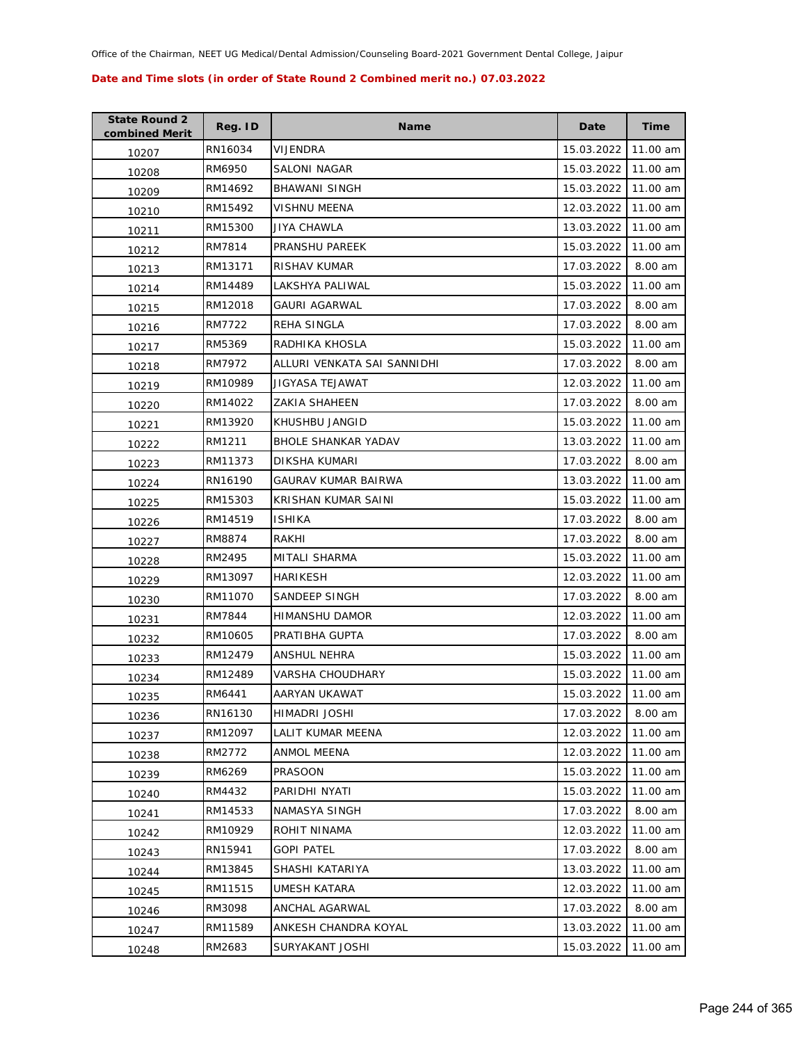| <b>State Round 2</b><br>combined Merit | Reg. ID | <b>Name</b>                 | Date       | <b>Time</b> |
|----------------------------------------|---------|-----------------------------|------------|-------------|
| 10207                                  | RN16034 | VIJENDRA                    | 15.03.2022 | 11.00 am    |
| 10208                                  | RM6950  | SALONI NAGAR                | 15.03.2022 | 11.00 am    |
| 10209                                  | RM14692 | <b>BHAWANI SINGH</b>        | 15.03.2022 | 11.00 am    |
| 10210                                  | RM15492 | <b>VISHNU MEENA</b>         | 12.03.2022 | 11.00 am    |
| 10211                                  | RM15300 | JIYA CHAWLA                 | 13.03.2022 | 11.00 am    |
| 10212                                  | RM7814  | PRANSHU PAREEK              | 15.03.2022 | 11.00 am    |
| 10213                                  | RM13171 | RISHAV KUMAR                | 17.03.2022 | 8.00 am     |
| 10214                                  | RM14489 | LAKSHYA PALIWAL             | 15.03.2022 | 11.00 am    |
| 10215                                  | RM12018 | <b>GAURI AGARWAL</b>        | 17.03.2022 | 8.00 am     |
| 10216                                  | RM7722  | REHA SINGLA                 | 17.03.2022 | 8.00 am     |
| 10217                                  | RM5369  | RADHIKA KHOSLA              | 15.03.2022 | 11.00 am    |
| 10218                                  | RM7972  | ALLURI VENKATA SAI SANNIDHI | 17.03.2022 | 8.00 am     |
| 10219                                  | RM10989 | JIGYASA TEJAWAT             | 12.03.2022 | 11.00 am    |
| 10220                                  | RM14022 | ZAKIA SHAHEEN               | 17.03.2022 | 8.00 am     |
| 10221                                  | RM13920 | KHUSHBU JANGID              | 15.03.2022 | 11.00 am    |
| 10222                                  | RM1211  | BHOLE SHANKAR YADAV         | 13.03.2022 | 11.00 am    |
| 10223                                  | RM11373 | <b>DIKSHA KUMARI</b>        | 17.03.2022 | 8.00 am     |
| 10224                                  | RN16190 | GAURAV KUMAR BAIRWA         | 13.03.2022 | 11.00 am    |
| 10225                                  | RM15303 | KRISHAN KUMAR SAINI         | 15.03.2022 | 11.00 am    |
| 10226                                  | RM14519 | <b>ISHIKA</b>               | 17.03.2022 | 8.00 am     |
| 10227                                  | RM8874  | RAKHI                       | 17.03.2022 | 8.00 am     |
| 10228                                  | RM2495  | MITALI SHARMA               | 15.03.2022 | 11.00 am    |
| 10229                                  | RM13097 | HARIKESH                    | 12.03.2022 | 11.00 am    |
| 10230                                  | RM11070 | SANDEEP SINGH               | 17.03.2022 | 8.00 am     |
| 10231                                  | RM7844  | HIMANSHU DAMOR              | 12.03.2022 | 11.00 am    |
| 10232                                  | RM10605 | PRATIBHA GUPTA              | 17.03.2022 | 8.00 am     |
| 10233                                  | RM12479 | <b>ANSHUL NEHRA</b>         | 15.03.2022 | 11.00 am    |
| 10234                                  | RM12489 | <b>VARSHA CHOUDHARY</b>     | 15.03.2022 | 11.00 am    |
| 10235                                  | RM6441  | AARYAN UKAWAT               | 15.03.2022 | 11.00 am    |
| 10236                                  | RN16130 | HIMADRI JOSHI               | 17.03.2022 | 8.00 am     |
| 10237                                  | RM12097 | LALIT KUMAR MEENA           | 12.03.2022 | 11.00 am    |
| 10238                                  | RM2772  | ANMOL MEENA                 | 12.03.2022 | 11.00 am    |
| 10239                                  | RM6269  | <b>PRASOON</b>              | 15.03.2022 | 11.00 am    |
| 10240                                  | RM4432  | PARIDHI NYATI               | 15.03.2022 | 11.00 am    |
| 10241                                  | RM14533 | NAMASYA SINGH               | 17.03.2022 | 8.00 am     |
| 10242                                  | RM10929 | ROHIT NINAMA                | 12.03.2022 | 11.00 am    |
| 10243                                  | RN15941 | <b>GOPI PATEL</b>           | 17.03.2022 | 8.00 am     |
| 10244                                  | RM13845 | SHASHI KATARIYA             | 13.03.2022 | 11.00 am    |
| 10245                                  | RM11515 | UMESH KATARA                | 12.03.2022 | 11.00 am    |
| 10246                                  | RM3098  | ANCHAL AGARWAL              | 17.03.2022 | 8.00 am     |
| 10247                                  | RM11589 | ANKESH CHANDRA KOYAL        | 13.03.2022 | 11.00 am    |
| 10248                                  | RM2683  | SURYAKANT JOSHI             | 15.03.2022 | 11.00 am    |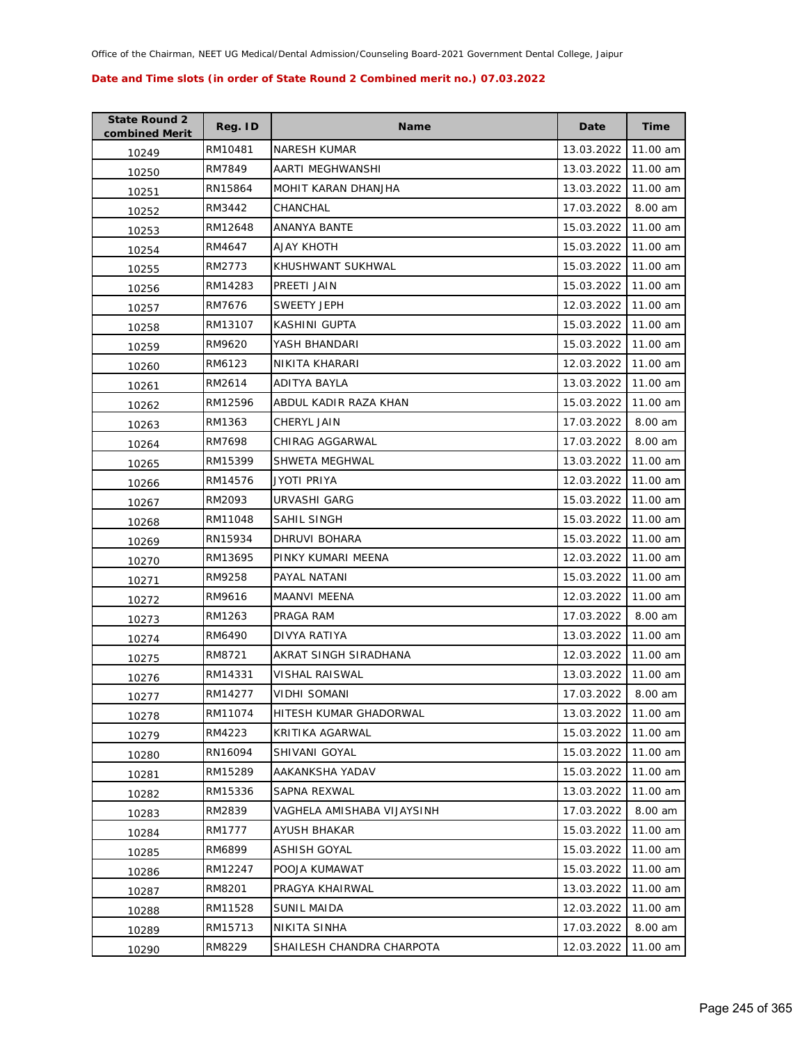| <b>State Round 2</b><br>combined Merit | Reg. ID | <b>Name</b>                | Date       | <b>Time</b> |
|----------------------------------------|---------|----------------------------|------------|-------------|
| 10249                                  | RM10481 | <b>NARESH KUMAR</b>        | 13.03.2022 | 11.00 am    |
| 10250                                  | RM7849  | AARTI MEGHWANSHI           | 13.03.2022 | 11.00 am    |
| 10251                                  | RN15864 | MOHIT KARAN DHANJHA        | 13.03.2022 | 11.00 am    |
| 10252                                  | RM3442  | CHANCHAL                   | 17.03.2022 | 8.00 am     |
| 10253                                  | RM12648 | ANANYA BANTE               | 15.03.2022 | 11.00 am    |
| 10254                                  | RM4647  | <b>AJAY KHOTH</b>          | 15.03.2022 | 11.00 am    |
| 10255                                  | RM2773  | KHUSHWANT SUKHWAL          | 15.03.2022 | 11.00 am    |
| 10256                                  | RM14283 | PREETI JAIN                | 15.03.2022 | 11.00 am    |
| 10257                                  | RM7676  | <b>SWEETY JEPH</b>         | 12.03.2022 | 11.00 am    |
| 10258                                  | RM13107 | KASHINI GUPTA              | 15.03.2022 | 11.00 am    |
| 10259                                  | RM9620  | YASH BHANDARI              | 15.03.2022 | 11.00 am    |
| 10260                                  | RM6123  | NIKITA KHARARI             | 12.03.2022 | 11.00 am    |
| 10261                                  | RM2614  | ADITYA BAYLA               | 13.03.2022 | 11.00 am    |
| 10262                                  | RM12596 | ABDUL KADIR RAZA KHAN      | 15.03.2022 | 11.00 am    |
| 10263                                  | RM1363  | <b>CHERYL JAIN</b>         | 17.03.2022 | 8.00 am     |
| 10264                                  | RM7698  | CHIRAG AGGARWAL            | 17.03.2022 | 8.00 am     |
| 10265                                  | RM15399 | SHWETA MEGHWAL             | 13.03.2022 | 11.00 am    |
| 10266                                  | RM14576 | JYOTI PRIYA                | 12.03.2022 | 11.00 am    |
| 10267                                  | RM2093  | URVASHI GARG               | 15.03.2022 | 11.00 am    |
| 10268                                  | RM11048 | SAHIL SINGH                | 15.03.2022 | 11.00 am    |
| 10269                                  | RN15934 | DHRUVI BOHARA              | 15.03.2022 | 11.00 am    |
| 10270                                  | RM13695 | PINKY KUMARI MEENA         | 12.03.2022 | 11.00 am    |
| 10271                                  | RM9258  | PAYAL NATANI               | 15.03.2022 | 11.00 am    |
| 10272                                  | RM9616  | MAANVI MEENA               | 12.03.2022 | 11.00 am    |
| 10273                                  | RM1263  | PRAGA RAM                  | 17.03.2022 | 8.00 am     |
| 10274                                  | RM6490  | DIVYA RATIYA               | 13.03.2022 | 11.00 am    |
| 10275                                  | RM8721  | AKRAT SINGH SIRADHANA      | 12.03.2022 | 11.00 am    |
| 10276                                  | RM14331 | <b>VISHAL RAISWAL</b>      | 13.03.2022 | 11.00 am    |
| 10277                                  | RM14277 | <b>VIDHI SOMANI</b>        | 17.03.2022 | 8.00 am     |
| 10278                                  | RM11074 | HITESH KUMAR GHADORWAL     | 13.03.2022 | 11.00 am    |
| 10279                                  | RM4223  | KRITIKA AGARWAL            | 15.03.2022 | 11.00 am    |
| 10280                                  | RN16094 | <b>SHIVANI GOYAL</b>       | 15.03.2022 | 11.00 am    |
| 10281                                  | RM15289 | AAKANKSHA YADAV            | 15.03.2022 | 11.00 am    |
| 10282                                  | RM15336 | SAPNA REXWAL               | 13.03.2022 | 11.00 am    |
| 10283                                  | RM2839  | VAGHELA AMISHABA VIJAYSINH | 17.03.2022 | 8.00 am     |
| 10284                                  | RM1777  | AYUSH BHAKAR               | 15.03.2022 | 11.00 am    |
| 10285                                  | RM6899  | <b>ASHISH GOYAL</b>        | 15.03.2022 | 11.00 am    |
| 10286                                  | RM12247 | POOJA KUMAWAT              | 15.03.2022 | 11.00 am    |
| 10287                                  | RM8201  | PRAGYA KHAIRWAL            | 13.03.2022 | 11.00 am    |
| 10288                                  | RM11528 | SUNIL MAIDA                | 12.03.2022 | 11.00 am    |
| 10289                                  | RM15713 | NIKITA SINHA               | 17.03.2022 | 8.00 am     |
| 10290                                  | RM8229  | SHAILESH CHANDRA CHARPOTA  | 12.03.2022 | 11.00 am    |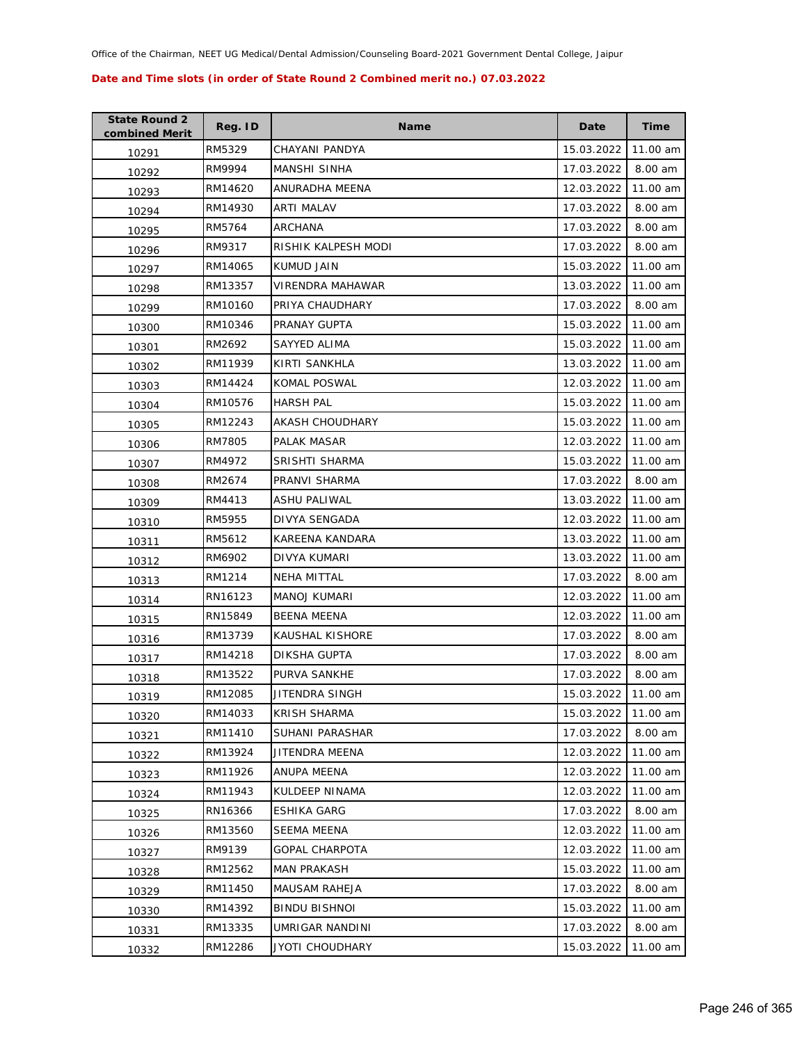| <b>State Round 2</b><br>combined Merit | Reg. ID | <b>Name</b>            | Date       | Time     |
|----------------------------------------|---------|------------------------|------------|----------|
| 10291                                  | RM5329  | CHAYANI PANDYA         | 15.03.2022 | 11.00 am |
| 10292                                  | RM9994  | MANSHI SINHA           | 17.03.2022 | 8.00 am  |
| 10293                                  | RM14620 | ANURADHA MEENA         | 12.03.2022 | 11.00 am |
| 10294                                  | RM14930 | ARTI MALAV             | 17.03.2022 | 8.00 am  |
| 10295                                  | RM5764  | ARCHANA                | 17.03.2022 | 8.00 am  |
| 10296                                  | RM9317  | RISHIK KALPESH MODI    | 17.03.2022 | 8.00 am  |
| 10297                                  | RM14065 | KUMUD JAIN             | 15.03.2022 | 11.00 am |
| 10298                                  | RM13357 | VIRENDRA MAHAWAR       | 13.03.2022 | 11.00 am |
| 10299                                  | RM10160 | PRIYA CHAUDHARY        | 17.03.2022 | 8.00 am  |
| 10300                                  | RM10346 | PRANAY GUPTA           | 15.03.2022 | 11.00 am |
| 10301                                  | RM2692  | SAYYED ALIMA           | 15.03.2022 | 11.00 am |
| 10302                                  | RM11939 | KIRTI SANKHLA          | 13.03.2022 | 11.00 am |
| 10303                                  | RM14424 | <b>KOMAL POSWAL</b>    | 12.03.2022 | 11.00 am |
| 10304                                  | RM10576 | <b>HARSH PAL</b>       | 15.03.2022 | 11.00 am |
| 10305                                  | RM12243 | AKASH CHOUDHARY        | 15.03.2022 | 11.00 am |
| 10306                                  | RM7805  | PALAK MASAR            | 12.03.2022 | 11.00 am |
| 10307                                  | RM4972  | <b>SRISHTI SHARMA</b>  | 15.03.2022 | 11.00 am |
| 10308                                  | RM2674  | PRANVI SHARMA          | 17.03.2022 | 8.00 am  |
| 10309                                  | RM4413  | ASHU PALIWAL           | 13.03.2022 | 11.00 am |
| 10310                                  | RM5955  | DIVYA SENGADA          | 12.03.2022 | 11.00 am |
| 10311                                  | RM5612  | KAREENA KANDARA        | 13.03.2022 | 11.00 am |
| 10312                                  | RM6902  | DIVYA KUMARI           | 13.03.2022 | 11.00 am |
| 10313                                  | RM1214  | NEHA MITTAL            | 17.03.2022 | 8.00 am  |
| 10314                                  | RN16123 | <b>MANOJ KUMARI</b>    | 12.03.2022 | 11.00 am |
| 10315                                  | RN15849 | BEENA MEENA            | 12.03.2022 | 11.00 am |
| 10316                                  | RM13739 | <b>KAUSHAL KISHORE</b> | 17.03.2022 | 8.00 am  |
| 10317                                  | RM14218 | DIKSHA GUPTA           | 17.03.2022 | 8.00 am  |
| 10318                                  | RM13522 | PURVA SANKHE           | 17.03.2022 | 8.00 am  |
| 10319                                  | RM12085 | JITENDRA SINGH         | 15.03.2022 | 11.00 am |
| 10320                                  | RM14033 | KRISH SHARMA           | 15.03.2022 | 11.00 am |
| 10321                                  | RM11410 | SUHANI PARASHAR        | 17.03.2022 | 8.00 am  |
| 10322                                  | RM13924 | JITENDRA MEENA         | 12.03.2022 | 11.00 am |
| 10323                                  | RM11926 | ANUPA MEENA            | 12.03.2022 | 11.00 am |
| 10324                                  | RM11943 | KULDEEP NINAMA         | 12.03.2022 | 11.00 am |
| 10325                                  | RN16366 | ESHIKA GARG            | 17.03.2022 | 8.00 am  |
| 10326                                  | RM13560 | SEEMA MEENA            | 12.03.2022 | 11.00 am |
| 10327                                  | RM9139  | <b>GOPAL CHARPOTA</b>  | 12.03.2022 | 11.00 am |
| 10328                                  | RM12562 | MAN PRAKASH            | 15.03.2022 | 11.00 am |
| 10329                                  | RM11450 | MAUSAM RAHEJA          | 17.03.2022 | 8.00 am  |
| 10330                                  | RM14392 | <b>BINDU BISHNOI</b>   | 15.03.2022 | 11.00 am |
| 10331                                  | RM13335 | UMRIGAR NANDINI        | 17.03.2022 | 8.00 am  |
| 10332                                  | RM12286 | JYOTI CHOUDHARY        | 15.03.2022 | 11.00 am |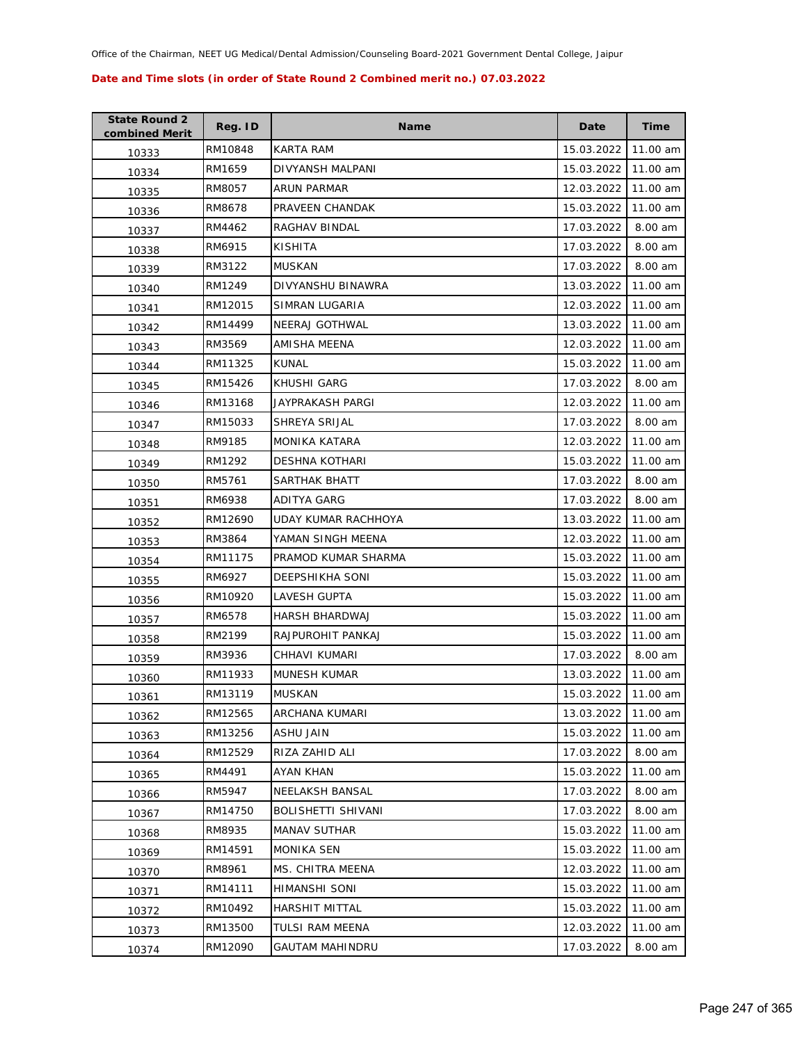| <b>State Round 2</b><br>combined Merit | Reg. ID | <b>Name</b>           | Date       | Time     |
|----------------------------------------|---------|-----------------------|------------|----------|
| 10333                                  | RM10848 | KARTA RAM             | 15.03.2022 | 11.00 am |
| 10334                                  | RM1659  | DIVYANSH MALPANI      | 15.03.2022 | 11.00 am |
| 10335                                  | RM8057  | ARUN PARMAR           | 12.03.2022 | 11.00 am |
| 10336                                  | RM8678  | PRAVEEN CHANDAK       | 15.03.2022 | 11.00 am |
| 10337                                  | RM4462  | RAGHAV BINDAL         | 17.03.2022 | 8.00 am  |
| 10338                                  | RM6915  | KISHITA               | 17.03.2022 | 8.00 am  |
| 10339                                  | RM3122  | <b>MUSKAN</b>         | 17.03.2022 | 8.00 am  |
| 10340                                  | RM1249  | DIVYANSHU BINAWRA     | 13.03.2022 | 11.00 am |
| 10341                                  | RM12015 | SIMRAN LUGARIA        | 12.03.2022 | 11.00 am |
| 10342                                  | RM14499 | NEERAJ GOTHWAL        | 13.03.2022 | 11.00 am |
| 10343                                  | RM3569  | AMISHA MEENA          | 12.03.2022 | 11.00 am |
| 10344                                  | RM11325 | KUNAL                 | 15.03.2022 | 11.00 am |
| 10345                                  | RM15426 | KHUSHI GARG           | 17.03.2022 | 8.00 am  |
| 10346                                  | RM13168 | JAYPRAKASH PARGI      | 12.03.2022 | 11.00 am |
| 10347                                  | RM15033 | SHREYA SRIJAL         | 17.03.2022 | 8.00 am  |
| 10348                                  | RM9185  | <b>MONIKA KATARA</b>  | 12.03.2022 | 11.00 am |
| 10349                                  | RM1292  | <b>DESHNA KOTHARI</b> | 15.03.2022 | 11.00 am |
| 10350                                  | RM5761  | SARTHAK BHATT         | 17.03.2022 | 8.00 am  |
| 10351                                  | RM6938  | ADITYA GARG           | 17.03.2022 | 8.00 am  |
| 10352                                  | RM12690 | UDAY KUMAR RACHHOYA   | 13.03.2022 | 11.00 am |
| 10353                                  | RM3864  | YAMAN SINGH MEENA     | 12.03.2022 | 11.00 am |
| 10354                                  | RM11175 | PRAMOD KUMAR SHARMA   | 15.03.2022 | 11.00 am |
| 10355                                  | RM6927  | DEEPSHIKHA SONI       | 15.03.2022 | 11.00 am |
| 10356                                  | RM10920 | LAVESH GUPTA          | 15.03.2022 | 11.00 am |
| 10357                                  | RM6578  | HARSH BHARDWAJ        | 15.03.2022 | 11.00 am |
| 10358                                  | RM2199  | RAJPUROHIT PANKAJ     | 15.03.2022 | 11.00 am |
| 10359                                  | RM3936  | CHHAVI KUMARI         | 17.03.2022 | 8.00 am  |
| 10360                                  | RM11933 | MUNESH KUMAR          | 13.03.2022 | 11.00 am |
| 10361                                  | RM13119 | <b>MUSKAN</b>         | 15.03.2022 | 11.00 am |
| 10362                                  | RM12565 | ARCHANA KUMARI        | 13.03.2022 | 11.00 am |
| 10363                                  | RM13256 | ASHU JAIN             | 15.03.2022 | 11.00 am |
| 10364                                  | RM12529 | RIZA ZAHID ALI        | 17.03.2022 | 8.00 am  |
| 10365                                  | RM4491  | AYAN KHAN             | 15.03.2022 | 11.00 am |
| 10366                                  | RM5947  | NEELAKSH BANSAL       | 17.03.2022 | 8.00 am  |
| 10367                                  | RM14750 | BOLISHETTI SHIVANI    | 17.03.2022 | 8.00 am  |
| 10368                                  | RM8935  | <b>MANAV SUTHAR</b>   | 15.03.2022 | 11.00 am |
| 10369                                  | RM14591 | <b>MONIKA SEN</b>     | 15.03.2022 | 11.00 am |
| 10370                                  | RM8961  | MS. CHITRA MEENA      | 12.03.2022 | 11.00 am |
| 10371                                  | RM14111 | HIMANSHI SONI         | 15.03.2022 | 11.00 am |
| 10372                                  | RM10492 | HARSHIT MITTAL        | 15.03.2022 | 11.00 am |
| 10373                                  | RM13500 | TULSI RAM MEENA       | 12.03.2022 | 11.00 am |
| 10374                                  | RM12090 | GAUTAM MAHINDRU       | 17.03.2022 | 8.00 am  |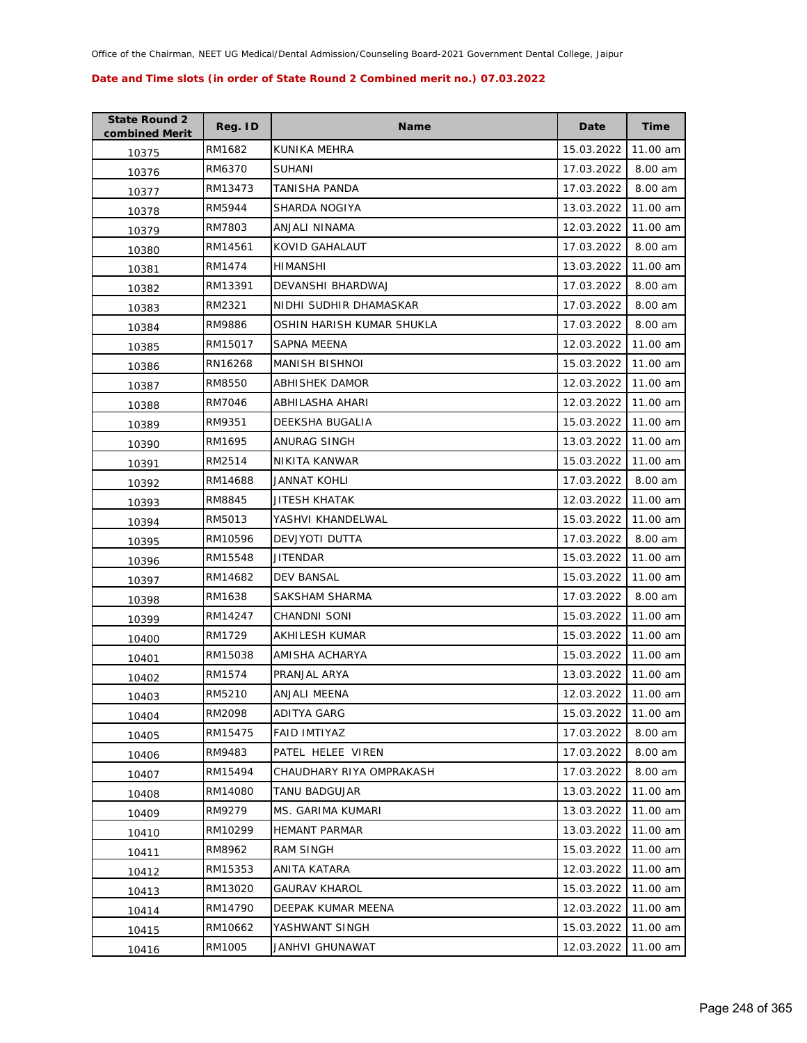| <b>State Round 2</b><br>combined Merit | Reg. ID | <b>Name</b>               | Date       | <b>Time</b> |
|----------------------------------------|---------|---------------------------|------------|-------------|
| 10375                                  | RM1682  | KUNIKA MEHRA              | 15.03.2022 | 11.00 am    |
| 10376                                  | RM6370  | <b>SUHANI</b>             | 17.03.2022 | 8.00 am     |
| 10377                                  | RM13473 | TANISHA PANDA             | 17.03.2022 | 8.00 am     |
| 10378                                  | RM5944  | SHARDA NOGIYA             | 13.03.2022 | 11.00 am    |
| 10379                                  | RM7803  | ANJALI NINAMA             | 12.03.2022 | 11.00 am    |
| 10380                                  | RM14561 | KOVID GAHALAUT            | 17.03.2022 | 8.00 am     |
| 10381                                  | RM1474  | HIMANSHI                  | 13.03.2022 | 11.00 am    |
| 10382                                  | RM13391 | DEVANSHI BHARDWAJ         | 17.03.2022 | 8.00 am     |
| 10383                                  | RM2321  | NIDHI SUDHIR DHAMASKAR    | 17.03.2022 | 8.00 am     |
| 10384                                  | RM9886  | OSHIN HARISH KUMAR SHUKLA | 17.03.2022 | 8.00 am     |
| 10385                                  | RM15017 | SAPNA MEENA               | 12.03.2022 | 11.00 am    |
| 10386                                  | RN16268 | <b>MANISH BISHNOI</b>     | 15.03.2022 | 11.00 am    |
| 10387                                  | RM8550  | ABHISHEK DAMOR            | 12.03.2022 | 11.00 am    |
| 10388                                  | RM7046  | ABHILASHA AHARI           | 12.03.2022 | 11.00 am    |
| 10389                                  | RM9351  | DEEKSHA BUGALIA           | 15.03.2022 | 11.00 am    |
| 10390                                  | RM1695  | ANURAG SINGH              | 13.03.2022 | 11.00 am    |
| 10391                                  | RM2514  | NIKITA KANWAR             | 15.03.2022 | 11.00 am    |
| 10392                                  | RM14688 | <b>JANNAT KOHLI</b>       | 17.03.2022 | 8.00 am     |
| 10393                                  | RM8845  | JITESH KHATAK             | 12.03.2022 | 11.00 am    |
| 10394                                  | RM5013  | YASHVI KHANDELWAL         | 15.03.2022 | 11.00 am    |
| 10395                                  | RM10596 | DEVJYOTI DUTTA            | 17.03.2022 | 8.00 am     |
| 10396                                  | RM15548 | JITENDAR                  | 15.03.2022 | 11.00 am    |
| 10397                                  | RM14682 | DEV BANSAL                | 15.03.2022 | 11.00 am    |
| 10398                                  | RM1638  | SAKSHAM SHARMA            | 17.03.2022 | 8.00 am     |
| 10399                                  | RM14247 | <b>CHANDNI SONI</b>       | 15.03.2022 | 11.00 am    |
| 10400                                  | RM1729  | AKHILESH KUMAR            | 15.03.2022 | 11.00 am    |
| 10401                                  | RM15038 | AMISHA ACHARYA            | 15.03.2022 | 11.00 am    |
| 10402                                  | RM1574  | PRANJAL ARYA              | 13.03.2022 | 11.00 am    |
| 10403                                  | RM5210  | ANJALI MEENA              | 12.03.2022 | 11.00 am    |
| 10404                                  | RM2098  | ADITYA GARG               | 15.03.2022 | 11.00 am    |
| 10405                                  | RM15475 | FAID IMTIYAZ              | 17.03.2022 | 8.00 am     |
| 10406                                  | RM9483  | PATEL HELEE VIREN         | 17.03.2022 | 8.00 am     |
| 10407                                  | RM15494 | CHAUDHARY RIYA OMPRAKASH  | 17.03.2022 | 8.00 am     |
| 10408                                  | RM14080 | TANU BADGUJAR             | 13.03.2022 | 11.00 am    |
| 10409                                  | RM9279  | MS. GARIMA KUMARI         | 13.03.2022 | 11.00 am    |
| 10410                                  | RM10299 | <b>HEMANT PARMAR</b>      | 13.03.2022 | 11.00 am    |
| 10411                                  | RM8962  | RAM SINGH                 | 15.03.2022 | 11.00 am    |
| 10412                                  | RM15353 | ANITA KATARA              | 12.03.2022 | 11.00 am    |
| 10413                                  | RM13020 | <b>GAURAV KHAROL</b>      | 15.03.2022 | 11.00 am    |
| 10414                                  | RM14790 | DEEPAK KUMAR MEENA        | 12.03.2022 | 11.00 am    |
| 10415                                  | RM10662 | YASHWANT SINGH            | 15.03.2022 | 11.00 am    |
| 10416                                  | RM1005  | JANHVI GHUNAWAT           | 12.03.2022 | 11.00 am    |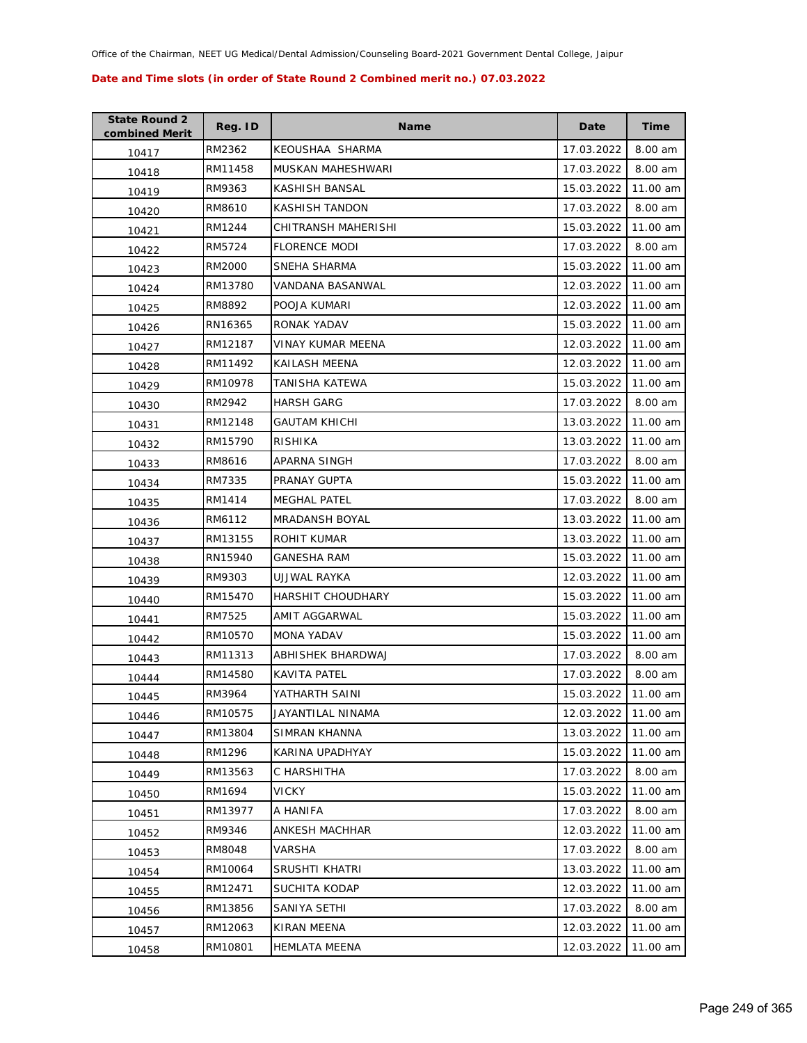| <b>State Round 2</b><br>combined Merit | Reg. ID | <b>Name</b>           | Date       | <b>Time</b> |
|----------------------------------------|---------|-----------------------|------------|-------------|
| 10417                                  | RM2362  | KEOUSHAA SHARMA       | 17.03.2022 | 8.00 am     |
| 10418                                  | RM11458 | MUSKAN MAHESHWARI     | 17.03.2022 | 8.00 am     |
| 10419                                  | RM9363  | KASHISH BANSAL        | 15.03.2022 | 11.00 am    |
| 10420                                  | RM8610  | KASHISH TANDON        | 17.03.2022 | 8.00 am     |
| 10421                                  | RM1244  | CHITRANSH MAHERISHI   | 15.03.2022 | 11.00 am    |
| 10422                                  | RM5724  | <b>FLORENCE MODI</b>  | 17.03.2022 | 8.00 am     |
| 10423                                  | RM2000  | SNEHA SHARMA          | 15.03.2022 | 11.00 am    |
| 10424                                  | RM13780 | VANDANA BASANWAL      | 12.03.2022 | 11.00 am    |
| 10425                                  | RM8892  | POOJA KUMARI          | 12.03.2022 | 11.00 am    |
| 10426                                  | RN16365 | RONAK YADAV           | 15.03.2022 | 11.00 am    |
| 10427                                  | RM12187 | VINAY KUMAR MEENA     | 12.03.2022 | 11.00 am    |
| 10428                                  | RM11492 | KAILASH MEENA         | 12.03.2022 | 11.00 am    |
| 10429                                  | RM10978 | TANISHA KATEWA        | 15.03.2022 | 11.00 am    |
| 10430                                  | RM2942  | <b>HARSH GARG</b>     | 17.03.2022 | 8.00 am     |
| 10431                                  | RM12148 | <b>GAUTAM KHICHI</b>  | 13.03.2022 | 11.00 am    |
| 10432                                  | RM15790 | <b>RISHIKA</b>        | 13.03.2022 | 11.00 am    |
| 10433                                  | RM8616  | APARNA SINGH          | 17.03.2022 | 8.00 am     |
| 10434                                  | RM7335  | PRANAY GUPTA          | 15.03.2022 | 11.00 am    |
| 10435                                  | RM1414  | <b>MEGHAL PATEL</b>   | 17.03.2022 | 8.00 am     |
| 10436                                  | RM6112  | <b>MRADANSH BOYAL</b> | 13.03.2022 | 11.00 am    |
| 10437                                  | RM13155 | ROHIT KUMAR           | 13.03.2022 | 11.00 am    |
| 10438                                  | RN15940 | GANESHA RAM           | 15.03.2022 | 11.00 am    |
| 10439                                  | RM9303  | UJJWAL RAYKA          | 12.03.2022 | 11.00 am    |
| 10440                                  | RM15470 | HARSHIT CHOUDHARY     | 15.03.2022 | 11.00 am    |
| 10441                                  | RM7525  | AMIT AGGARWAL         | 15.03.2022 | 11.00 am    |
| 10442                                  | RM10570 | MONA YADAV            | 15.03.2022 | 11.00 am    |
| 10443                                  | RM11313 | ABHISHEK BHARDWAJ     | 17.03.2022 | 8.00 am     |
| 10444                                  | RM14580 | KAVITA PATEL          | 17.03.2022 | 8.00 am     |
| 10445                                  | RM3964  | YATHARTH SAINI        | 15.03.2022 | 11.00 am    |
| 10446                                  | RM10575 | JAYANTILAL NINAMA     | 12.03.2022 | 11.00 am    |
| 10447                                  | RM13804 | SIMRAN KHANNA         | 13.03.2022 | 11.00 am    |
| 10448                                  | RM1296  | KARINA UPADHYAY       | 15.03.2022 | 11.00 am    |
| 10449                                  | RM13563 | C HARSHITHA           | 17.03.2022 | 8.00 am     |
| 10450                                  | RM1694  | <b>VICKY</b>          | 15.03.2022 | 11.00 am    |
| 10451                                  | RM13977 | A HANIFA              | 17.03.2022 | 8.00 am     |
| 10452                                  | RM9346  | ANKESH MACHHAR        | 12.03.2022 | 11.00 am    |
| 10453                                  | RM8048  | <b>VARSHA</b>         | 17.03.2022 | 8.00 am     |
| 10454                                  | RM10064 | SRUSHTI KHATRI        | 13.03.2022 | 11.00 am    |
| 10455                                  | RM12471 | SUCHITA KODAP         | 12.03.2022 | 11.00 am    |
| 10456                                  | RM13856 | SANIYA SETHI          | 17.03.2022 | 8.00 am     |
| 10457                                  | RM12063 | KIRAN MEENA           | 12.03.2022 | 11.00 am    |
| 10458                                  | RM10801 | <b>HEMLATA MEENA</b>  | 12.03.2022 | 11.00 am    |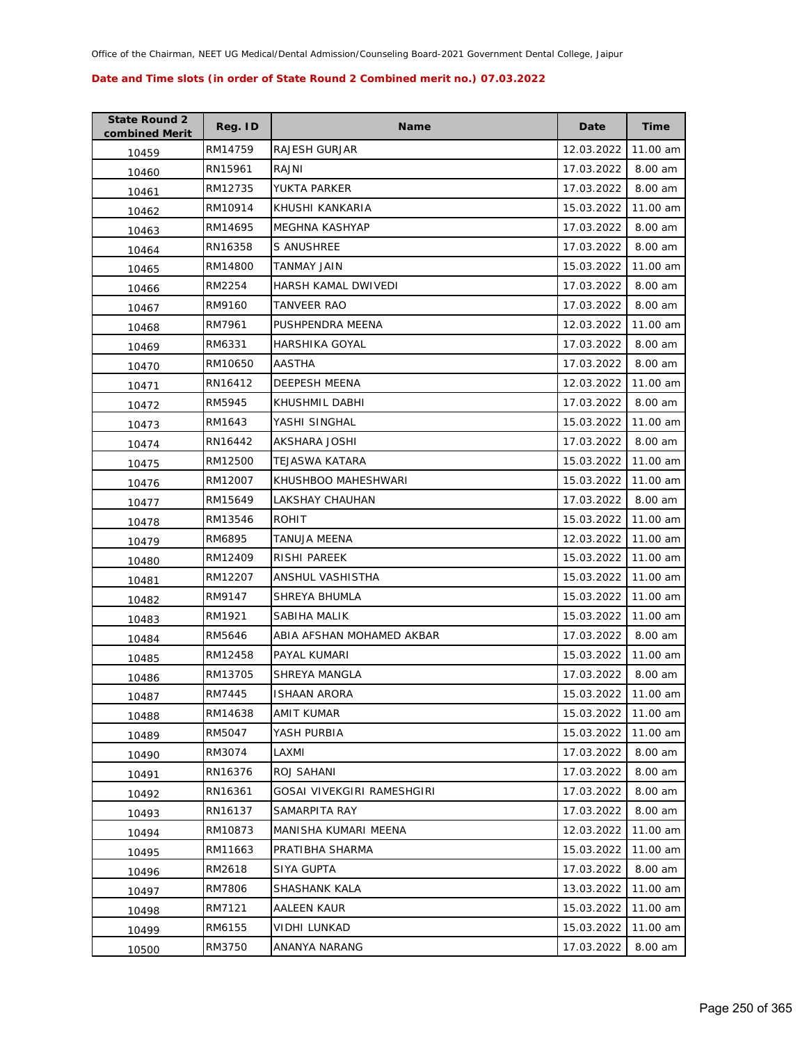| <b>State Round 2</b><br>combined Merit | Reg. ID | <b>Name</b>                | Date       | <b>Time</b> |
|----------------------------------------|---------|----------------------------|------------|-------------|
| 10459                                  | RM14759 | <b>RAJESH GURJAR</b>       | 12.03.2022 | 11.00 am    |
| 10460                                  | RN15961 | RAJNI                      | 17.03.2022 | 8.00 am     |
| 10461                                  | RM12735 | <b>YUKTA PARKER</b>        | 17.03.2022 | 8.00 am     |
| 10462                                  | RM10914 | KHUSHI KANKARIA            | 15.03.2022 | 11.00 am    |
| 10463                                  | RM14695 | MEGHNA KASHYAP             | 17.03.2022 | 8.00 am     |
| 10464                                  | RN16358 | S ANUSHREE                 | 17.03.2022 | 8.00 am     |
| 10465                                  | RM14800 | <b>TANMAY JAIN</b>         | 15.03.2022 | 11.00 am    |
| 10466                                  | RM2254  | HARSH KAMAL DWIVEDI        | 17.03.2022 | 8.00 am     |
| 10467                                  | RM9160  | TANVEER RAO                | 17.03.2022 | 8.00 am     |
| 10468                                  | RM7961  | PUSHPENDRA MEENA           | 12.03.2022 | 11.00 am    |
| 10469                                  | RM6331  | HARSHIKA GOYAL             | 17.03.2022 | 8.00 am     |
| 10470                                  | RM10650 | AASTHA                     | 17.03.2022 | 8.00 am     |
| 10471                                  | RN16412 | <b>DEEPESH MEENA</b>       | 12.03.2022 | 11.00 am    |
| 10472                                  | RM5945  | KHUSHMIL DABHI             | 17.03.2022 | 8.00 am     |
| 10473                                  | RM1643  | YASHI SINGHAL              | 15.03.2022 | 11.00 am    |
| 10474                                  | RN16442 | AKSHARA JOSHI              | 17.03.2022 | 8.00 am     |
| 10475                                  | RM12500 | TEJASWA KATARA             | 15.03.2022 | 11.00 am    |
| 10476                                  | RM12007 | KHUSHBOO MAHESHWARI        | 15.03.2022 | 11.00 am    |
| 10477                                  | RM15649 | LAKSHAY CHAUHAN            | 17.03.2022 | 8.00 am     |
| 10478                                  | RM13546 | ROHIT                      | 15.03.2022 | 11.00 am    |
| 10479                                  | RM6895  | TANUJA MEENA               | 12.03.2022 | 11.00 am    |
| 10480                                  | RM12409 | RISHI PAREEK               | 15.03.2022 | 11.00 am    |
| 10481                                  | RM12207 | ANSHUL VASHISTHA           | 15.03.2022 | 11.00 am    |
| 10482                                  | RM9147  | SHREYA BHUMLA              | 15.03.2022 | 11.00 am    |
| 10483                                  | RM1921  | SABIHA MALIK               | 15.03.2022 | 11.00 am    |
| 10484                                  | RM5646  | ABIA AFSHAN MOHAMED AKBAR  | 17.03.2022 | 8.00 am     |
| 10485                                  | RM12458 | PAYAL KUMARI               | 15.03.2022 | 11.00 am    |
| 10486                                  | RM13705 | <b>SHREYA MANGLA</b>       | 17.03.2022 | 8.00 am     |
| 10487                                  | RM7445  | <b>ISHAAN ARORA</b>        | 15.03.2022 | 11.00 am    |
| 10488                                  | RM14638 | AMIT KUMAR                 | 15.03.2022 | 11.00 am    |
| 10489                                  | RM5047  | YASH PURBIA                | 15.03.2022 | 11.00 am    |
| 10490                                  | RM3074  | LAXMI                      | 17.03.2022 | 8.00 am     |
| 10491                                  | RN16376 | ROJ SAHANI                 | 17.03.2022 | 8.00 am     |
| 10492                                  | RN16361 | GOSAI VIVEKGIRI RAMESHGIRI | 17.03.2022 | 8.00 am     |
| 10493                                  | RN16137 | SAMARPITA RAY              | 17.03.2022 | 8.00 am     |
| 10494                                  | RM10873 | MANISHA KUMARI MEENA       | 12.03.2022 | 11.00 am    |
| 10495                                  | RM11663 | PRATIBHA SHARMA            | 15.03.2022 | 11.00 am    |
| 10496                                  | RM2618  | <b>SIYA GUPTA</b>          | 17.03.2022 | 8.00 am     |
| 10497                                  | RM7806  | SHASHANK KALA              | 13.03.2022 | 11.00 am    |
| 10498                                  | RM7121  | AALEEN KAUR                | 15.03.2022 | 11.00 am    |
| 10499                                  | RM6155  | VIDHI LUNKAD               | 15.03.2022 | 11.00 am    |
| 10500                                  | RM3750  | ANANYA NARANG              | 17.03.2022 | 8.00 am     |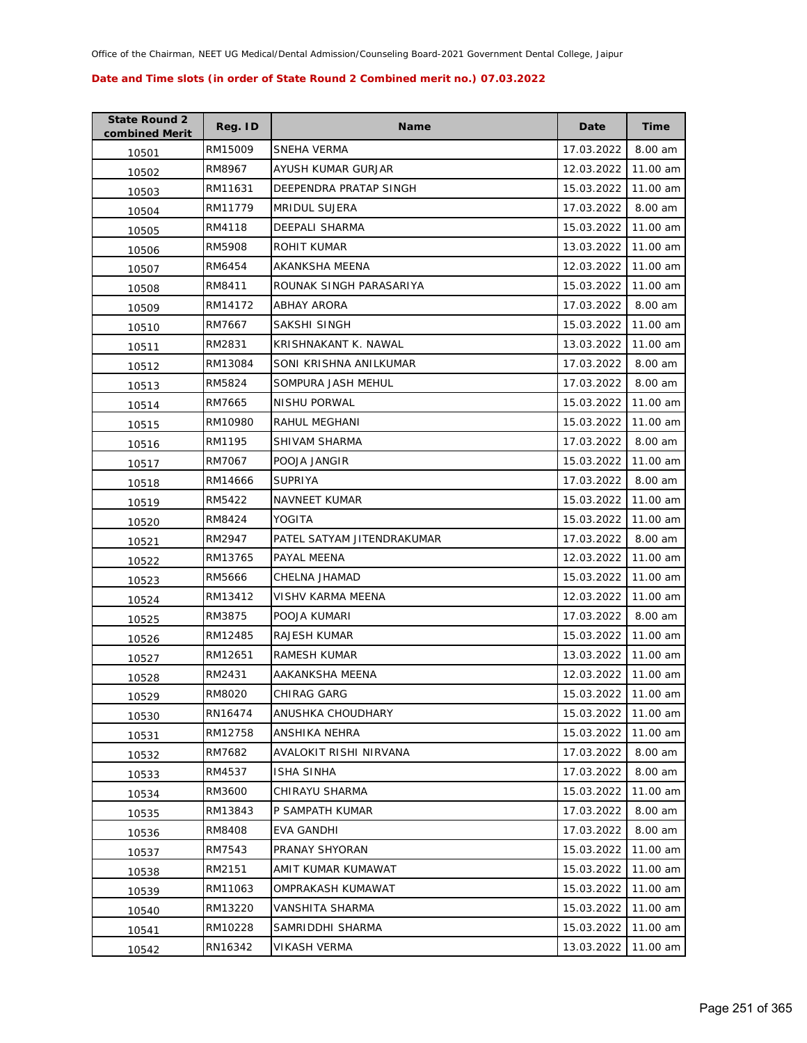| <b>State Round 2</b><br>combined Merit | Reg. ID | <b>Name</b>                | Date       | Time     |
|----------------------------------------|---------|----------------------------|------------|----------|
| 10501                                  | RM15009 | SNEHA VERMA                | 17.03.2022 | 8.00 am  |
| 10502                                  | RM8967  | AYUSH KUMAR GURJAR         | 12.03.2022 | 11.00 am |
| 10503                                  | RM11631 | DEEPENDRA PRATAP SINGH     | 15.03.2022 | 11.00 am |
| 10504                                  | RM11779 | <b>MRIDUL SUJERA</b>       | 17.03.2022 | 8.00 am  |
| 10505                                  | RM4118  | DEEPALI SHARMA             | 15.03.2022 | 11.00 am |
| 10506                                  | RM5908  | ROHIT KUMAR                | 13.03.2022 | 11.00 am |
| 10507                                  | RM6454  | AKANKSHA MEENA             | 12.03.2022 | 11.00 am |
| 10508                                  | RM8411  | ROUNAK SINGH PARASARIYA    | 15.03.2022 | 11.00 am |
| 10509                                  | RM14172 | <b>ABHAY ARORA</b>         | 17.03.2022 | 8.00 am  |
| 10510                                  | RM7667  | SAKSHI SINGH               | 15.03.2022 | 11.00 am |
| 10511                                  | RM2831  | KRISHNAKANT K. NAWAL       | 13.03.2022 | 11.00 am |
| 10512                                  | RM13084 | SONI KRISHNA ANILKUMAR     | 17.03.2022 | 8.00 am  |
| 10513                                  | RM5824  | SOMPURA JASH MEHUL         | 17.03.2022 | 8.00 am  |
| 10514                                  | RM7665  | NISHU PORWAL               | 15.03.2022 | 11.00 am |
| 10515                                  | RM10980 | RAHUL MEGHANI              | 15.03.2022 | 11.00 am |
| 10516                                  | RM1195  | SHIVAM SHARMA              | 17.03.2022 | 8.00 am  |
| 10517                                  | RM7067  | POOJA JANGIR               | 15.03.2022 | 11.00 am |
| 10518                                  | RM14666 | <b>SUPRIYA</b>             | 17.03.2022 | 8.00 am  |
| 10519                                  | RM5422  | <b>NAVNEET KUMAR</b>       | 15.03.2022 | 11.00 am |
| 10520                                  | RM8424  | YOGITA                     | 15.03.2022 | 11.00 am |
| 10521                                  | RM2947  | PATEL SATYAM JITENDRAKUMAR | 17.03.2022 | 8.00 am  |
| 10522                                  | RM13765 | PAYAL MEENA                | 12.03.2022 | 11.00 am |
| 10523                                  | RM5666  | CHELNA JHAMAD              | 15.03.2022 | 11.00 am |
| 10524                                  | RM13412 | VISHV KARMA MEENA          | 12.03.2022 | 11.00 am |
| 10525                                  | RM3875  | POOJA KUMARI               | 17.03.2022 | 8.00 am  |
| 10526                                  | RM12485 | RAJESH KUMAR               | 15.03.2022 | 11.00 am |
| 10527                                  | RM12651 | RAMESH KUMAR               | 13.03.2022 | 11.00 am |
| 10528                                  | RM2431  | AAKANKSHA MEENA            | 12.03.2022 | 11.00 am |
| 10529                                  | RM8020  | CHIRAG GARG                | 15.03.2022 | 11.00 am |
| 10530                                  | RN16474 | ANUSHKA CHOUDHARY          | 15.03.2022 | 11.00 am |
| 10531                                  | RM12758 | ANSHIKA NEHRA              | 15.03.2022 | 11.00 am |
| 10532                                  | RM7682  | AVALOKIT RISHI NIRVANA     | 17.03.2022 | 8.00 am  |
| 10533                                  | RM4537  | <b>ISHA SINHA</b>          | 17.03.2022 | 8.00 am  |
| 10534                                  | RM3600  | CHIRAYU SHARMA             | 15.03.2022 | 11.00 am |
| 10535                                  | RM13843 | P SAMPATH KUMAR            | 17.03.2022 | 8.00 am  |
| 10536                                  | RM8408  | <b>EVA GANDHI</b>          | 17.03.2022 | 8.00 am  |
| 10537                                  | RM7543  | PRANAY SHYORAN             | 15.03.2022 | 11.00 am |
| 10538                                  | RM2151  | AMIT KUMAR KUMAWAT         | 15.03.2022 | 11.00 am |
| 10539                                  | RM11063 | OMPRAKASH KUMAWAT          | 15.03.2022 | 11.00 am |
| 10540                                  | RM13220 | VANSHITA SHARMA            | 15.03.2022 | 11.00 am |
| 10541                                  | RM10228 | SAMRIDDHI SHARMA           | 15.03.2022 | 11.00 am |
| 10542                                  | RN16342 | VIKASH VERMA               | 13.03.2022 | 11.00 am |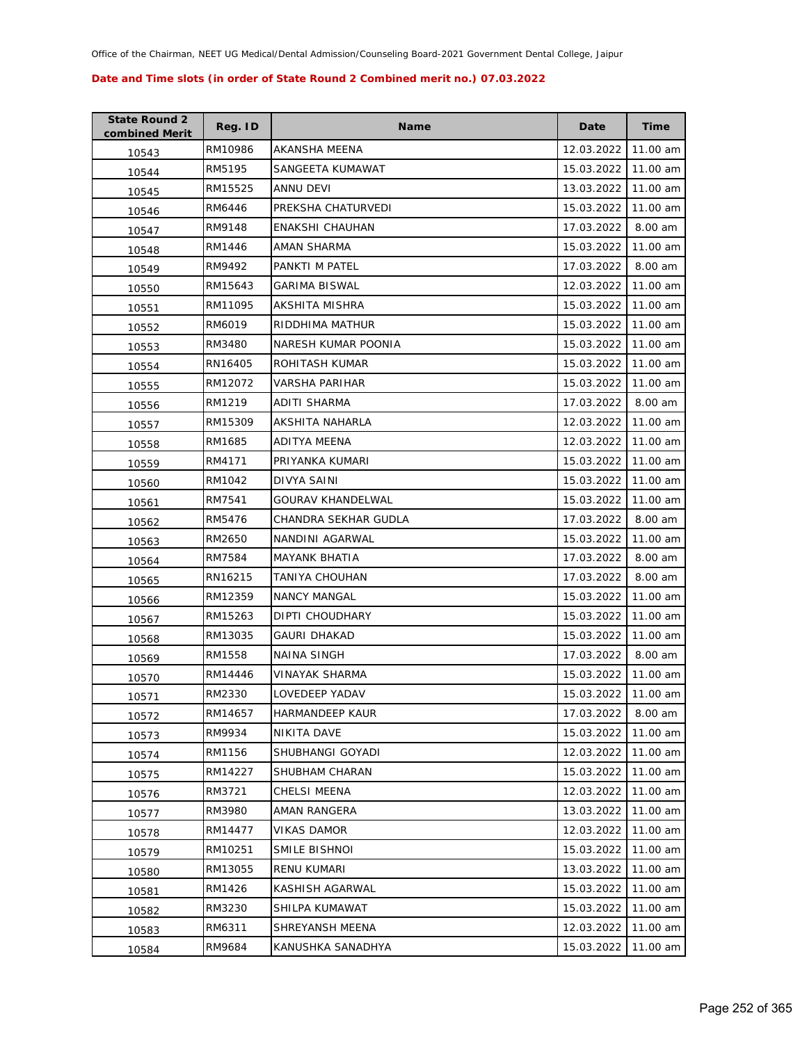| <b>State Round 2</b><br>combined Merit | Reg. ID | <b>Name</b>              | Date                | <b>Time</b> |
|----------------------------------------|---------|--------------------------|---------------------|-------------|
| 10543                                  | RM10986 | AKANSHA MEENA            | 12.03.2022          | 11.00 am    |
| 10544                                  | RM5195  | SANGEETA KUMAWAT         | 15.03.2022          | 11.00 am    |
| 10545                                  | RM15525 | ANNU DEVI                | 13.03.2022          | 11.00 am    |
| 10546                                  | RM6446  | PREKSHA CHATURVEDI       | 15.03.2022          | 11.00 am    |
| 10547                                  | RM9148  | ENAKSHI CHAUHAN          | 17.03.2022          | 8.00 am     |
| 10548                                  | RM1446  | AMAN SHARMA              | 15.03.2022          | 11.00 am    |
| 10549                                  | RM9492  | PANKTI M PATEL           | 17.03.2022          | 8.00 am     |
| 10550                                  | RM15643 | <b>GARIMA BISWAL</b>     | 12.03.2022          | 11.00 am    |
| 10551                                  | RM11095 | AKSHITA MISHRA           | 15.03.2022          | 11.00 am    |
| 10552                                  | RM6019  | RIDDHIMA MATHUR          | 15.03.2022          | 11.00 am    |
| 10553                                  | RM3480  | NARESH KUMAR POONIA      | 15.03.2022          | 11.00 am    |
| 10554                                  | RN16405 | ROHITASH KUMAR           | 15.03.2022          | 11.00 am    |
| 10555                                  | RM12072 | VARSHA PARIHAR           | 15.03.2022          | 11.00 am    |
| 10556                                  | RM1219  | <b>ADITI SHARMA</b>      | 17.03.2022          | 8.00 am     |
| 10557                                  | RM15309 | AKSHITA NAHARLA          | 12.03.2022          | 11.00 am    |
| 10558                                  | RM1685  | ADITYA MEENA             | 12.03.2022          | 11.00 am    |
| 10559                                  | RM4171  | PRIYANKA KUMARI          | 15.03.2022          | 11.00 am    |
| 10560                                  | RM1042  | <b>DIVYA SAINI</b>       | 15.03.2022          | 11.00 am    |
| 10561                                  | RM7541  | <b>GOURAV KHANDELWAL</b> | 15.03.2022          | 11.00 am    |
| 10562                                  | RM5476  | CHANDRA SEKHAR GUDLA     | 17.03.2022          | 8.00 am     |
| 10563                                  | RM2650  | NANDINI AGARWAL          | 15.03.2022          | 11.00 am    |
| 10564                                  | RM7584  | <b>MAYANK BHATIA</b>     | 17.03.2022          | 8.00 am     |
| 10565                                  | RN16215 | TANIYA CHOUHAN           | 17.03.2022          | 8.00 am     |
| 10566                                  | RM12359 | <b>NANCY MANGAL</b>      | 15.03.2022          | 11.00 am    |
| 10567                                  | RM15263 | DIPTI CHOUDHARY          | 15.03.2022          | 11.00 am    |
| 10568                                  | RM13035 | <b>GAURI DHAKAD</b>      | 15.03.2022          | 11.00 am    |
| 10569                                  | RM1558  | NAINA SINGH              | 17.03.2022          | 8.00 am     |
| 10570                                  | RM14446 | VINAYAK SHARMA           | 15.03.2022          | 11.00 am    |
| 10571                                  | RM2330  | <b>LOVEDEEP YADAV</b>    | 15.03.2022 11.00 am |             |
| 10572                                  | RM14657 | HARMANDEEP KAUR          | 17.03.2022          | 8.00 am     |
| 10573                                  | RM9934  | NIKITA DAVE              | 15.03.2022          | 11.00 am    |
| 10574                                  | RM1156  | SHUBHANGI GOYADI         | 12.03.2022          | 11.00 am    |
| 10575                                  | RM14227 | SHUBHAM CHARAN           | 15.03.2022          | 11.00 am    |
| 10576                                  | RM3721  | CHELSI MEENA             | 12.03.2022          | 11.00 am    |
| 10577                                  | RM3980  | AMAN RANGERA             | 13.03.2022          | 11.00 am    |
| 10578                                  | RM14477 | <b>VIKAS DAMOR</b>       | 12.03.2022          | 11.00 am    |
| 10579                                  | RM10251 | SMILE BISHNOI            | 15.03.2022          | 11.00 am    |
| 10580                                  | RM13055 | <b>RENU KUMARI</b>       | 13.03.2022          | 11.00 am    |
| 10581                                  | RM1426  | KASHISH AGARWAL          | 15.03.2022          | 11.00 am    |
| 10582                                  | RM3230  | SHILPA KUMAWAT           | 15.03.2022          | 11.00 am    |
| 10583                                  | RM6311  | SHREYANSH MEENA          | 12.03.2022          | 11.00 am    |
| 10584                                  | RM9684  | KANUSHKA SANADHYA        | 15.03.2022          | 11.00 am    |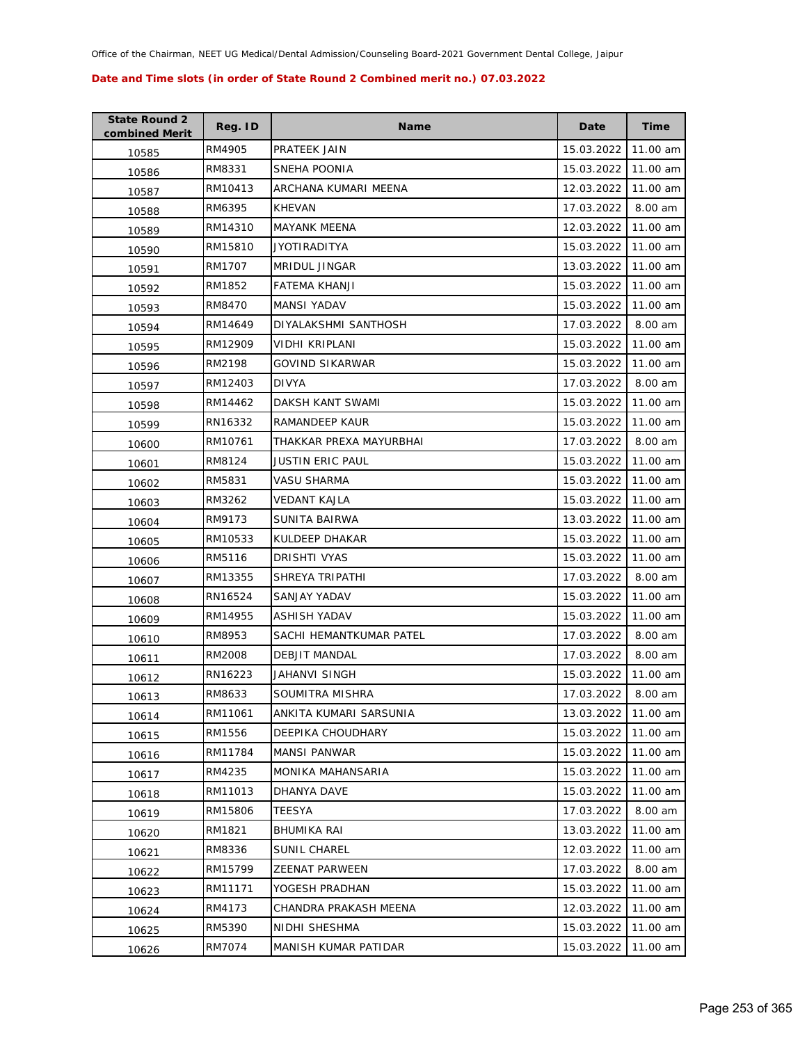| <b>State Round 2</b><br>combined Merit | Reg. ID | <b>Name</b>             | Date       | Time     |
|----------------------------------------|---------|-------------------------|------------|----------|
| 10585                                  | RM4905  | PRATEEK JAIN            | 15.03.2022 | 11.00 am |
| 10586                                  | RM8331  | SNEHA POONIA            | 15.03.2022 | 11.00 am |
| 10587                                  | RM10413 | ARCHANA KUMARI MEENA    | 12.03.2022 | 11.00 am |
| 10588                                  | RM6395  | <b>KHEVAN</b>           | 17.03.2022 | 8.00 am  |
| 10589                                  | RM14310 | <b>MAYANK MEENA</b>     | 12.03.2022 | 11.00 am |
| 10590                                  | RM15810 | JYOTIRADITYA            | 15.03.2022 | 11.00 am |
| 10591                                  | RM1707  | MRIDUL JINGAR           | 13.03.2022 | 11.00 am |
| 10592                                  | RM1852  | FATEMA KHANJI           | 15.03.2022 | 11.00 am |
| 10593                                  | RM8470  | <b>MANSI YADAV</b>      | 15.03.2022 | 11.00 am |
| 10594                                  | RM14649 | DIYALAKSHMI SANTHOSH    | 17.03.2022 | 8.00 am  |
| 10595                                  | RM12909 | VIDHI KRIPLANI          | 15.03.2022 | 11.00 am |
| 10596                                  | RM2198  | GOVIND SIKARWAR         | 15.03.2022 | 11.00 am |
| 10597                                  | RM12403 | <b>DIVYA</b>            | 17.03.2022 | 8.00 am  |
| 10598                                  | RM14462 | DAKSH KANT SWAMI        | 15.03.2022 | 11.00 am |
| 10599                                  | RN16332 | RAMANDEEP KAUR          | 15.03.2022 | 11.00 am |
| 10600                                  | RM10761 | THAKKAR PREXA MAYURBHAI | 17.03.2022 | 8.00 am  |
| 10601                                  | RM8124  | JUSTIN ERIC PAUL        | 15.03.2022 | 11.00 am |
| 10602                                  | RM5831  | VASU SHARMA             | 15.03.2022 | 11.00 am |
| 10603                                  | RM3262  | VEDANT KAJLA            | 15.03.2022 | 11.00 am |
| 10604                                  | RM9173  | SUNITA BAIRWA           | 13.03.2022 | 11.00 am |
| 10605                                  | RM10533 | KULDEEP DHAKAR          | 15.03.2022 | 11.00 am |
| 10606                                  | RM5116  | DRISHTI VYAS            | 15.03.2022 | 11.00 am |
| 10607                                  | RM13355 | SHREYA TRIPATHI         | 17.03.2022 | 8.00 am  |
| 10608                                  | RN16524 | SANJAY YADAV            | 15.03.2022 | 11.00 am |
| 10609                                  | RM14955 | ASHISH YADAV            | 15.03.2022 | 11.00 am |
| 10610                                  | RM8953  | SACHI HEMANTKUMAR PATEL | 17.03.2022 | 8.00 am  |
| 10611                                  | RM2008  | DEBJIT MANDAL           | 17.03.2022 | 8.00 am  |
| 10612                                  | RN16223 | JAHANVI SINGH           | 15.03.2022 | 11.00 am |
| 10613                                  | RM8633  | SOUMITRA MISHRA         | 17.03.2022 | 8.00 am  |
| 10614                                  | RM11061 | ANKITA KUMARI SARSUNIA  | 13.03.2022 | 11.00 am |
| 10615                                  | RM1556  | DEEPIKA CHOUDHARY       | 15.03.2022 | 11.00 am |
| 10616                                  | RM11784 | <b>MANSI PANWAR</b>     | 15.03.2022 | 11.00 am |
| 10617                                  | RM4235  | MONIKA MAHANSARIA       | 15.03.2022 | 11.00 am |
| 10618                                  | RM11013 | DHANYA DAVE             | 15.03.2022 | 11.00 am |
| 10619                                  | RM15806 | TEESYA                  | 17.03.2022 | 8.00 am  |
| 10620                                  | RM1821  | BHUMIKA RAI             | 13.03.2022 | 11.00 am |
| 10621                                  | RM8336  | <b>SUNIL CHAREL</b>     | 12.03.2022 | 11.00 am |
| 10622                                  | RM15799 | ZEENAT PARWEEN          | 17.03.2022 | 8.00 am  |
| 10623                                  | RM11171 | YOGESH PRADHAN          | 15.03.2022 | 11.00 am |
| 10624                                  | RM4173  | CHANDRA PRAKASH MEENA   | 12.03.2022 | 11.00 am |
| 10625                                  | RM5390  | NIDHI SHESHMA           | 15.03.2022 | 11.00 am |
| 10626                                  | RM7074  | MANISH KUMAR PATIDAR    | 15.03.2022 | 11.00 am |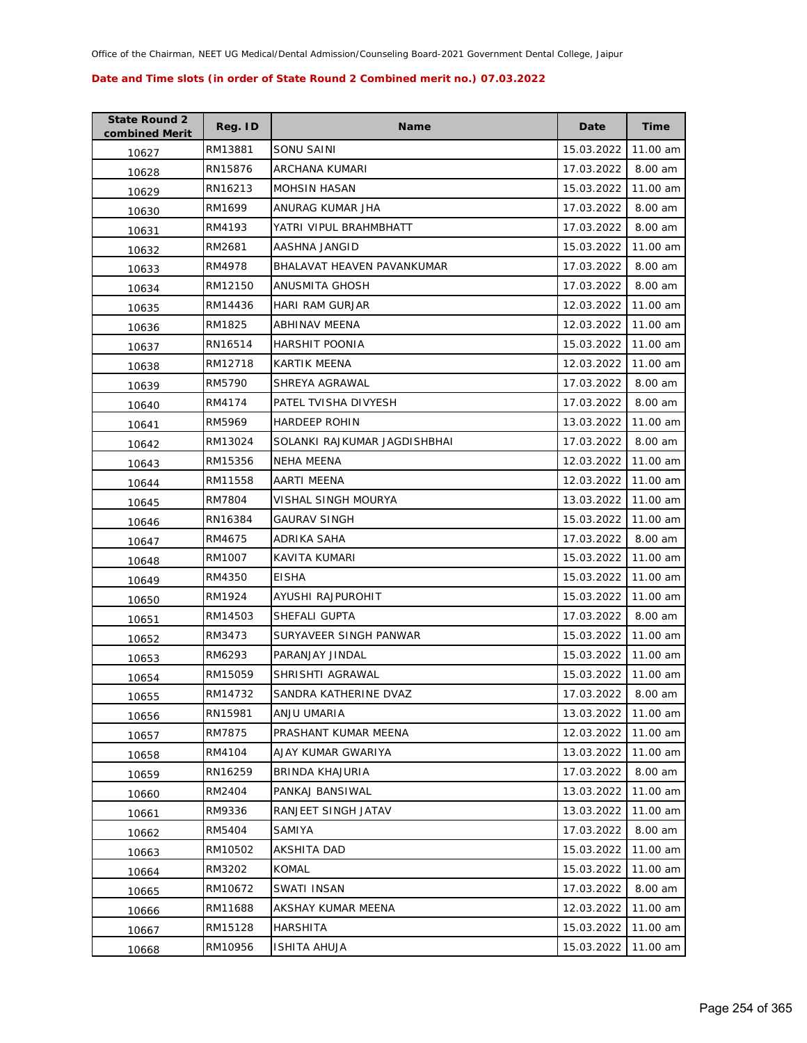| <b>State Round 2</b><br>combined Merit | Reg. ID | <b>Name</b>                  | Date       | <b>Time</b> |
|----------------------------------------|---------|------------------------------|------------|-------------|
| 10627                                  | RM13881 | SONU SAINI                   | 15.03.2022 | 11.00 am    |
| 10628                                  | RN15876 | ARCHANA KUMARI               | 17.03.2022 | 8.00 am     |
| 10629                                  | RN16213 | <b>MOHSIN HASAN</b>          | 15.03.2022 | 11.00 am    |
| 10630                                  | RM1699  | ANURAG KUMAR JHA             | 17.03.2022 | 8.00 am     |
| 10631                                  | RM4193  | YATRI VIPUL BRAHMBHATT       | 17.03.2022 | 8.00 am     |
| 10632                                  | RM2681  | AASHNA JANGID                | 15.03.2022 | 11.00 am    |
| 10633                                  | RM4978  | BHALAVAT HEAVEN PAVANKUMAR   | 17.03.2022 | 8.00 am     |
| 10634                                  | RM12150 | <b>ANUSMITA GHOSH</b>        | 17.03.2022 | 8.00 am     |
| 10635                                  | RM14436 | <b>HARI RAM GURJAR</b>       | 12.03.2022 | 11.00 am    |
| 10636                                  | RM1825  | ABHINAV MEENA                | 12.03.2022 | 11.00 am    |
| 10637                                  | RN16514 | <b>HARSHIT POONIA</b>        | 15.03.2022 | 11.00 am    |
| 10638                                  | RM12718 | KARTIK MEENA                 | 12.03.2022 | 11.00 am    |
| 10639                                  | RM5790  | SHREYA AGRAWAL               | 17.03.2022 | 8.00 am     |
| 10640                                  | RM4174  | PATEL TVISHA DIVYESH         | 17.03.2022 | 8.00 am     |
| 10641                                  | RM5969  | <b>HARDEEP ROHIN</b>         | 13.03.2022 | 11.00 am    |
| 10642                                  | RM13024 | SOLANKI RAJKUMAR JAGDISHBHAI | 17.03.2022 | 8.00 am     |
| 10643                                  | RM15356 | <b>NEHA MEENA</b>            | 12.03.2022 | 11.00 am    |
| 10644                                  | RM11558 | AARTI MEENA                  | 12.03.2022 | 11.00 am    |
| 10645                                  | RM7804  | VISHAL SINGH MOURYA          | 13.03.2022 | 11.00 am    |
| 10646                                  | RN16384 | GAURAV SINGH                 | 15.03.2022 | 11.00 am    |
| 10647                                  | RM4675  | ADRIKA SAHA                  | 17.03.2022 | 8.00 am     |
| 10648                                  | RM1007  | KAVITA KUMARI                | 15.03.2022 | 11.00 am    |
| 10649                                  | RM4350  | <b>EISHA</b>                 | 15.03.2022 | 11.00 am    |
| 10650                                  | RM1924  | AYUSHI RAJPUROHIT            | 15.03.2022 | 11.00 am    |
| 10651                                  | RM14503 | SHEFALI GUPTA                | 17.03.2022 | 8.00 am     |
| 10652                                  | RM3473  | SURYAVEER SINGH PANWAR       | 15.03.2022 | 11.00 am    |
| 10653                                  | RM6293  | PARANJAY JINDAL              | 15.03.2022 | 11.00 am    |
| 10654                                  | RM15059 | SHRISHTI AGRAWAL             | 15.03.2022 | 11.00 am    |
| 10655                                  | RM14732 | SANDRA KATHERINE DVAZ        | 17.03.2022 | 8.00 am     |
| 10656                                  | RN15981 | ANJU UMARIA                  | 13.03.2022 | 11.00 am    |
| 10657                                  | RM7875  | PRASHANT KUMAR MEENA         | 12.03.2022 | 11.00 am    |
| 10658                                  | RM4104  | AJAY KUMAR GWARIYA           | 13.03.2022 | 11.00 am    |
| 10659                                  | RN16259 | BRINDA KHAJURIA              | 17.03.2022 | 8.00 am     |
| 10660                                  | RM2404  | PANKAJ BANSIWAL              | 13.03.2022 | 11.00 am    |
| 10661                                  | RM9336  | RANJEET SINGH JATAV          | 13.03.2022 | 11.00 am    |
| 10662                                  | RM5404  | SAMIYA                       | 17.03.2022 | 8.00 am     |
| 10663                                  | RM10502 | AKSHITA DAD                  | 15.03.2022 | 11.00 am    |
| 10664                                  | RM3202  | KOMAL                        | 15.03.2022 | 11.00 am    |
| 10665                                  | RM10672 | SWATI INSAN                  | 17.03.2022 | 8.00 am     |
| 10666                                  | RM11688 | AKSHAY KUMAR MEENA           | 12.03.2022 | 11.00 am    |
| 10667                                  | RM15128 | <b>HARSHITA</b>              | 15.03.2022 | 11.00 am    |
| 10668                                  | RM10956 | <b>ISHITA AHUJA</b>          | 15.03.2022 | 11.00 am    |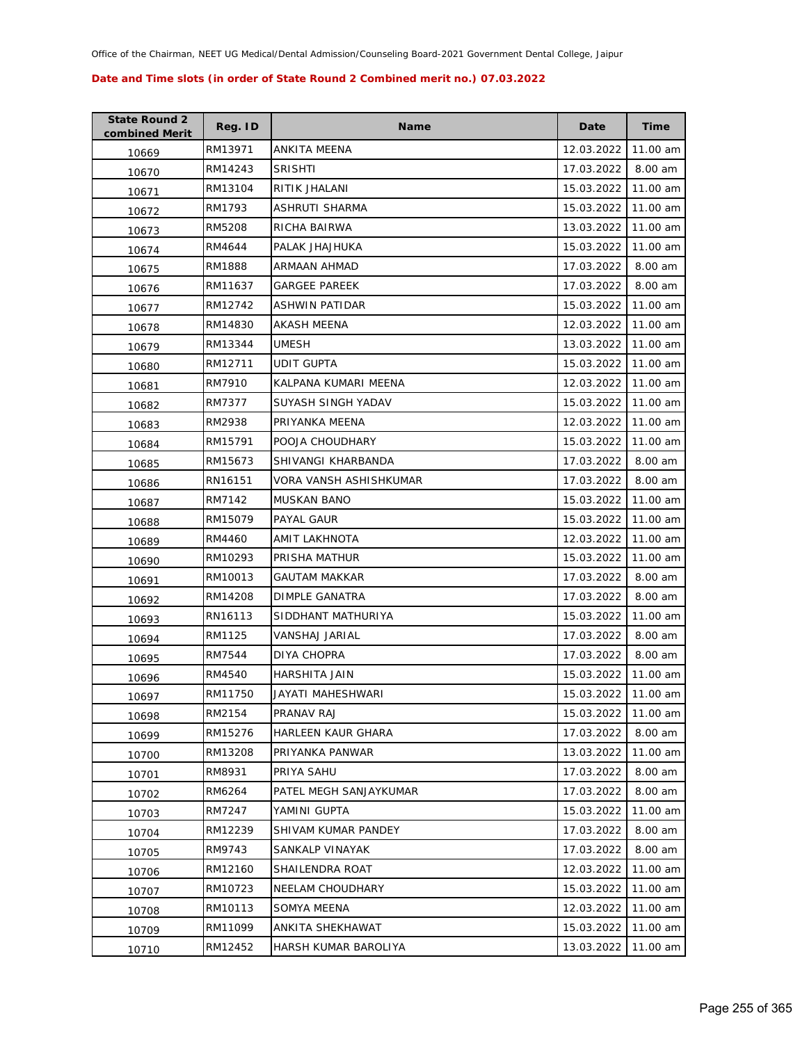| <b>State Round 2</b><br>combined Merit | Reg. ID | Name                   | Date       | <b>Time</b> |
|----------------------------------------|---------|------------------------|------------|-------------|
| 10669                                  | RM13971 | <b>ANKITA MEENA</b>    | 12.03.2022 | 11.00 am    |
| 10670                                  | RM14243 | <b>SRISHTI</b>         | 17.03.2022 | 8.00 am     |
| 10671                                  | RM13104 | RITIK JHALANI          | 15.03.2022 | 11.00 am    |
| 10672                                  | RM1793  | ASHRUTI SHARMA         | 15.03.2022 | 11.00 am    |
| 10673                                  | RM5208  | RICHA BAIRWA           | 13.03.2022 | 11.00 am    |
| 10674                                  | RM4644  | PALAK JHAJHUKA         | 15.03.2022 | 11.00 am    |
| 10675                                  | RM1888  | ARMAAN AHMAD           | 17.03.2022 | 8.00 am     |
| 10676                                  | RM11637 | <b>GARGEE PAREEK</b>   | 17.03.2022 | 8.00 am     |
| 10677                                  | RM12742 | ASHWIN PATIDAR         | 15.03.2022 | 11.00 am    |
| 10678                                  | RM14830 | AKASH MEENA            | 12.03.2022 | 11.00 am    |
| 10679                                  | RM13344 | UMESH                  | 13.03.2022 | 11.00 am    |
| 10680                                  | RM12711 | UDIT GUPTA             | 15.03.2022 | 11.00 am    |
| 10681                                  | RM7910  | KALPANA KUMARI MEENA   | 12.03.2022 | 11.00 am    |
| 10682                                  | RM7377  | SUYASH SINGH YADAV     | 15.03.2022 | 11.00 am    |
| 10683                                  | RM2938  | PRIYANKA MEENA         | 12.03.2022 | 11.00 am    |
| 10684                                  | RM15791 | POOJA CHOUDHARY        | 15.03.2022 | 11.00 am    |
| 10685                                  | RM15673 | SHIVANGI KHARBANDA     | 17.03.2022 | 8.00 am     |
| 10686                                  | RN16151 | VORA VANSH ASHISHKUMAR | 17.03.2022 | 8.00 am     |
| 10687                                  | RM7142  | MUSKAN BANO            | 15.03.2022 | 11.00 am    |
| 10688                                  | RM15079 | PAYAL GAUR             | 15.03.2022 | 11.00 am    |
| 10689                                  | RM4460  | AMIT LAKHNOTA          | 12.03.2022 | 11.00 am    |
| 10690                                  | RM10293 | PRISHA MATHUR          | 15.03.2022 | 11.00 am    |
| 10691                                  | RM10013 | <b>GAUTAM MAKKAR</b>   | 17.03.2022 | 8.00 am     |
| 10692                                  | RM14208 | DIMPLE GANATRA         | 17.03.2022 | 8.00 am     |
| 10693                                  | RN16113 | SIDDHANT MATHURIYA     | 15.03.2022 | 11.00 am    |
| 10694                                  | RM1125  | VANSHAJ JARIAL         | 17.03.2022 | 8.00 am     |
| 10695                                  | RM7544  | <b>DIYA CHOPRA</b>     | 17.03.2022 | 8.00 am     |
| 10696                                  | RM4540  | <b>HARSHITA JAIN</b>   | 15.03.2022 | 11.00 am    |
| 10697                                  | RM11750 | JAYATI MAHESHWARI      | 15.03.2022 | 11.00 am    |
| 10698                                  | RM2154  | PRANAV RAJ             | 15.03.2022 | 11.00 am    |
| 10699                                  | RM15276 | HARLEEN KAUR GHARA     | 17.03.2022 | 8.00 am     |
| 10700                                  | RM13208 | PRIYANKA PANWAR        | 13.03.2022 | 11.00 am    |
| 10701                                  | RM8931  | PRIYA SAHU             | 17.03.2022 | 8.00 am     |
| 10702                                  | RM6264  | PATEL MEGH SANJAYKUMAR | 17.03.2022 | 8.00 am     |
| 10703                                  | RM7247  | YAMINI GUPTA           | 15.03.2022 | 11.00 am    |
| 10704                                  | RM12239 | SHIVAM KUMAR PANDEY    | 17.03.2022 | 8.00 am     |
| 10705                                  | RM9743  | SANKALP VINAYAK        | 17.03.2022 | 8.00 am     |
| 10706                                  | RM12160 | SHAILENDRA ROAT        | 12.03.2022 | 11.00 am    |
| 10707                                  | RM10723 | NEELAM CHOUDHARY       | 15.03.2022 | 11.00 am    |
| 10708                                  | RM10113 | SOMYA MEENA            | 12.03.2022 | 11.00 am    |
| 10709                                  | RM11099 | ANKITA SHEKHAWAT       | 15.03.2022 | 11.00 am    |
| 10710                                  | RM12452 | HARSH KUMAR BAROLIYA   | 13.03.2022 | 11.00 am    |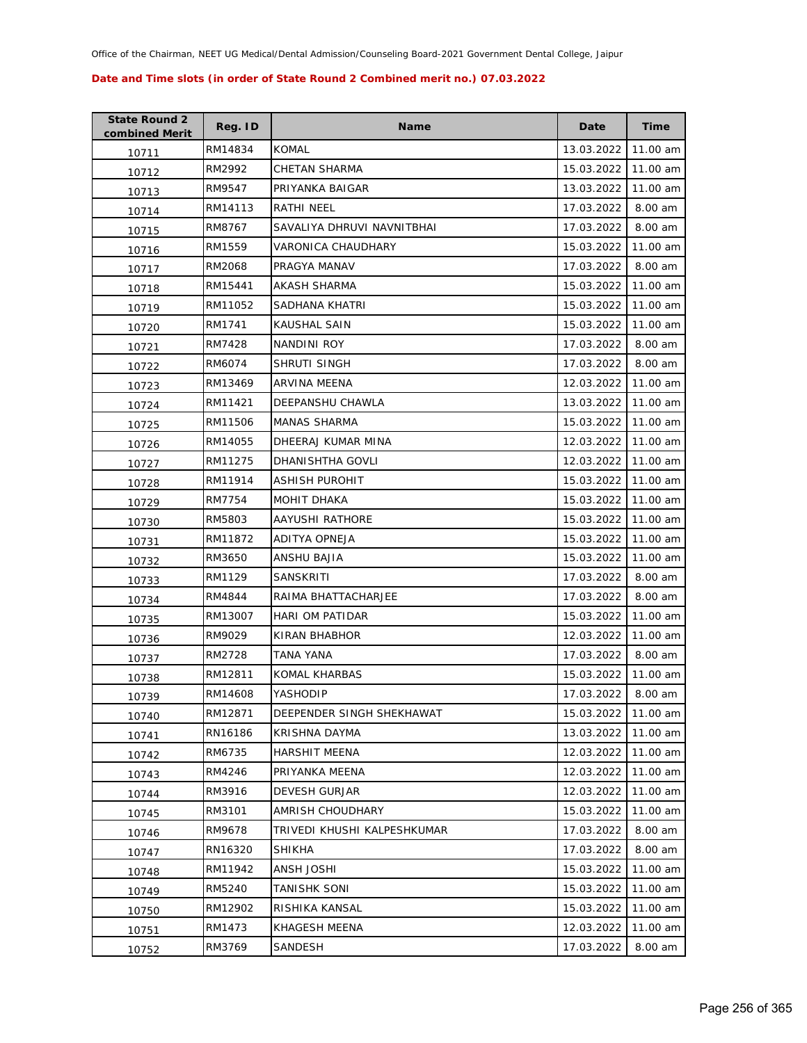| <b>State Round 2</b><br>combined Merit | Reg. ID | <b>Name</b>                 | Date       | Time     |
|----------------------------------------|---------|-----------------------------|------------|----------|
| 10711                                  | RM14834 | <b>KOMAL</b>                | 13.03.2022 | 11.00 am |
| 10712                                  | RM2992  | CHETAN SHARMA               | 15.03.2022 | 11.00 am |
| 10713                                  | RM9547  | PRIYANKA BAIGAR             | 13.03.2022 | 11.00 am |
| 10714                                  | RM14113 | RATHI NEEL                  | 17.03.2022 | 8.00 am  |
| 10715                                  | RM8767  | SAVALIYA DHRUVI NAVNITBHAI  | 17.03.2022 | 8.00 am  |
| 10716                                  | RM1559  | VARONICA CHAUDHARY          | 15.03.2022 | 11.00 am |
| 10717                                  | RM2068  | PRAGYA MANAV                | 17.03.2022 | 8.00 am  |
| 10718                                  | RM15441 | <b>AKASH SHARMA</b>         | 15.03.2022 | 11.00 am |
| 10719                                  | RM11052 | SADHANA KHATRI              | 15.03.2022 | 11.00 am |
| 10720                                  | RM1741  | KAUSHAL SAIN                | 15.03.2022 | 11.00 am |
| 10721                                  | RM7428  | NANDINI ROY                 | 17.03.2022 | 8.00 am  |
| 10722                                  | RM6074  | SHRUTI SINGH                | 17.03.2022 | 8.00 am  |
| 10723                                  | RM13469 | <b>ARVINA MEENA</b>         | 12.03.2022 | 11.00 am |
| 10724                                  | RM11421 | DEEPANSHU CHAWLA            | 13.03.2022 | 11.00 am |
| 10725                                  | RM11506 | <b>MANAS SHARMA</b>         | 15.03.2022 | 11.00 am |
| 10726                                  | RM14055 | DHEERAJ KUMAR MINA          | 12.03.2022 | 11.00 am |
| 10727                                  | RM11275 | DHANISHTHA GOVLI            | 12.03.2022 | 11.00 am |
| 10728                                  | RM11914 | ASHISH PUROHIT              | 15.03.2022 | 11.00 am |
| 10729                                  | RM7754  | <b>MOHIT DHAKA</b>          | 15.03.2022 | 11.00 am |
| 10730                                  | RM5803  | AAYUSHI RATHORE             | 15.03.2022 | 11.00 am |
| 10731                                  | RM11872 | ADITYA OPNEJA               | 15.03.2022 | 11.00 am |
| 10732                                  | RM3650  | ANSHU BAJIA                 | 15.03.2022 | 11.00 am |
| 10733                                  | RM1129  | SANSKRITI                   | 17.03.2022 | 8.00 am  |
| 10734                                  | RM4844  | RAIMA BHATTACHARJEE         | 17.03.2022 | 8.00 am  |
| 10735                                  | RM13007 | HARI OM PATIDAR             | 15.03.2022 | 11.00 am |
| 10736                                  | RM9029  | KIRAN BHABHOR               | 12.03.2022 | 11.00 am |
| 10737                                  | RM2728  | TANA YANA                   | 17.03.2022 | 8.00 am  |
| 10738                                  | RM12811 | KOMAL KHARBAS               | 15.03.2022 | 11.00 am |
| 10739                                  | RM14608 | YASHODIP                    | 17.03.2022 | 8.00 am  |
| 10740                                  | RM12871 | DEEPENDER SINGH SHEKHAWAT   | 15.03.2022 | 11.00 am |
| 10741                                  | RN16186 | <b>KRISHNA DAYMA</b>        | 13.03.2022 | 11.00 am |
| 10742                                  | RM6735  | HARSHIT MEENA               | 12.03.2022 | 11.00 am |
| 10743                                  | RM4246  | PRIYANKA MEENA              | 12.03.2022 | 11.00 am |
| 10744                                  | RM3916  | <b>DEVESH GURJAR</b>        | 12.03.2022 | 11.00 am |
| 10745                                  | RM3101  | AMRISH CHOUDHARY            | 15.03.2022 | 11.00 am |
| 10746                                  | RM9678  | TRIVEDI KHUSHI KALPESHKUMAR | 17.03.2022 | 8.00 am  |
| 10747                                  | RN16320 | <b>SHIKHA</b>               | 17.03.2022 | 8.00 am  |
| 10748                                  | RM11942 | ANSH JOSHI                  | 15.03.2022 | 11.00 am |
| 10749                                  | RM5240  | <b>TANISHK SONI</b>         | 15.03.2022 | 11.00 am |
| 10750                                  | RM12902 | RISHIKA KANSAL              | 15.03.2022 | 11.00 am |
| 10751                                  | RM1473  | KHAGESH MEENA               | 12.03.2022 | 11.00 am |
| 10752                                  | RM3769  | SANDESH                     | 17.03.2022 | 8.00 am  |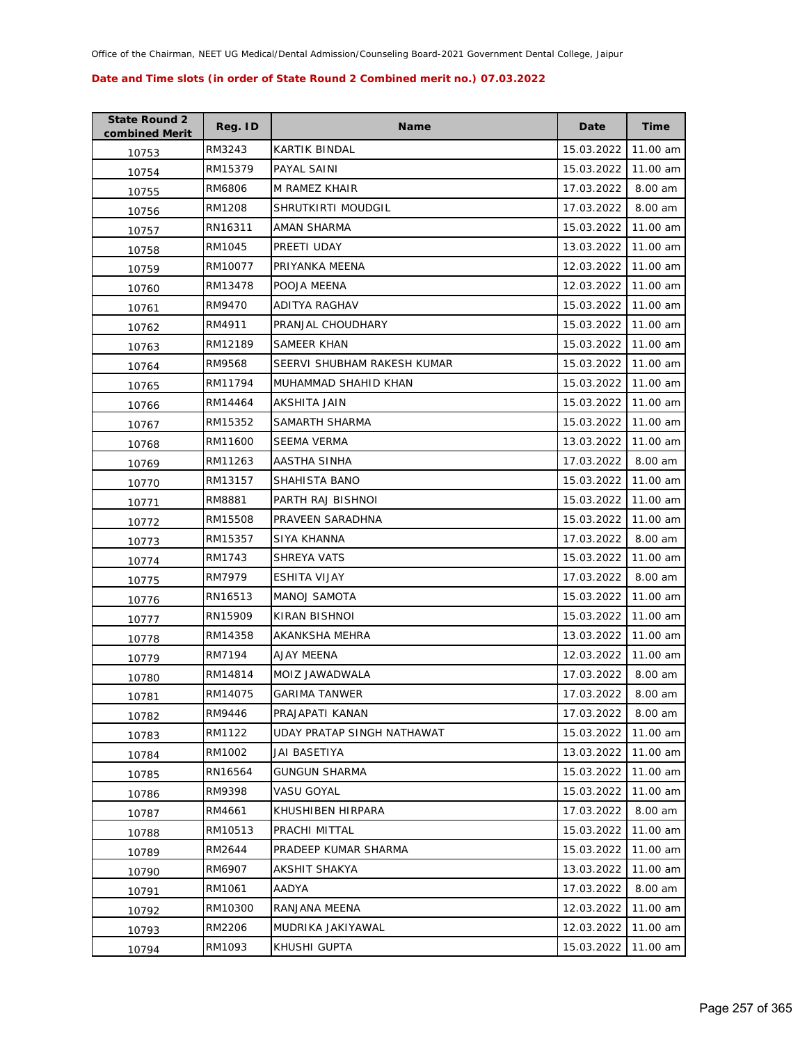| <b>State Round 2</b><br>combined Merit | Reg. ID | Name                        | Date       | <b>Time</b> |
|----------------------------------------|---------|-----------------------------|------------|-------------|
| 10753                                  | RM3243  | KARTIK BINDAL               | 15.03.2022 | 11.00 am    |
| 10754                                  | RM15379 | PAYAL SAINI                 | 15.03.2022 | 11.00 am    |
| 10755                                  | RM6806  | M RAMEZ KHAIR               | 17.03.2022 | 8.00 am     |
| 10756                                  | RM1208  | SHRUTKIRTI MOUDGIL          | 17.03.2022 | 8.00 am     |
| 10757                                  | RN16311 | AMAN SHARMA                 | 15.03.2022 | 11.00 am    |
| 10758                                  | RM1045  | PREETI UDAY                 | 13.03.2022 | 11.00 am    |
| 10759                                  | RM10077 | PRIYANKA MEENA              | 12.03.2022 | 11.00 am    |
| 10760                                  | RM13478 | POOJA MEENA                 | 12.03.2022 | 11.00 am    |
| 10761                                  | RM9470  | ADITYA RAGHAV               | 15.03.2022 | 11.00 am    |
| 10762                                  | RM4911  | PRANJAL CHOUDHARY           | 15.03.2022 | 11.00 am    |
| 10763                                  | RM12189 | SAMEER KHAN                 | 15.03.2022 | 11.00 am    |
| 10764                                  | RM9568  | SEERVI SHUBHAM RAKESH KUMAR | 15.03.2022 | 11.00 am    |
| 10765                                  | RM11794 | MUHAMMAD SHAHID KHAN        | 15.03.2022 | 11.00 am    |
| 10766                                  | RM14464 | AKSHITA JAIN                | 15.03.2022 | 11.00 am    |
| 10767                                  | RM15352 | SAMARTH SHARMA              | 15.03.2022 | 11.00 am    |
| 10768                                  | RM11600 | <b>SEEMA VERMA</b>          | 13.03.2022 | 11.00 am    |
| 10769                                  | RM11263 | AASTHA SINHA                | 17.03.2022 | 8.00 am     |
| 10770                                  | RM13157 | SHAHISTA BANO               | 15.03.2022 | 11.00 am    |
| 10771                                  | RM8881  | PARTH RAJ BISHNOI           | 15.03.2022 | 11.00 am    |
| 10772                                  | RM15508 | PRAVEEN SARADHNA            | 15.03.2022 | 11.00 am    |
| 10773                                  | RM15357 | SIYA KHANNA                 | 17.03.2022 | 8.00 am     |
| 10774                                  | RM1743  | SHREYA VATS                 | 15.03.2022 | 11.00 am    |
| 10775                                  | RM7979  | ESHITA VIJAY                | 17.03.2022 | 8.00 am     |
| 10776                                  | RN16513 | <b>MANOJ SAMOTA</b>         | 15.03.2022 | 11.00 am    |
| 10777                                  | RN15909 | KIRAN BISHNOI               | 15.03.2022 | 11.00 am    |
| 10778                                  | RM14358 | AKANKSHA MEHRA              | 13.03.2022 | 11.00 am    |
| 10779                                  | RM7194  | AJAY MEENA                  | 12.03.2022 | 11.00 am    |
| 10780                                  | RM14814 | MOIZ JAWADWALA              | 17.03.2022 | 8.00 am     |
| 10781                                  | RM14075 | <b>GARIMA TANWER</b>        | 17.03.2022 | 8.00 am     |
| 10782                                  | RM9446  | PRAJAPATI KANAN             | 17.03.2022 | 8.00 am     |
| 10783                                  | RM1122  | UDAY PRATAP SINGH NATHAWAT  | 15.03.2022 | 11.00 am    |
| 10784                                  | RM1002  | JAI BASETIYA                | 13.03.2022 | 11.00 am    |
| 10785                                  | RN16564 | <b>GUNGUN SHARMA</b>        | 15.03.2022 | 11.00 am    |
| 10786                                  | RM9398  | VASU GOYAL                  | 15.03.2022 | 11.00 am    |
| 10787                                  | RM4661  | KHUSHIBEN HIRPARA           | 17.03.2022 | 8.00 am     |
| 10788                                  | RM10513 | PRACHI MITTAL               | 15.03.2022 | 11.00 am    |
| 10789                                  | RM2644  | PRADEEP KUMAR SHARMA        | 15.03.2022 | 11.00 am    |
| 10790                                  | RM6907  | AKSHIT SHAKYA               | 13.03.2022 | 11.00 am    |
| 10791                                  | RM1061  | AADYA                       | 17.03.2022 | 8.00 am     |
| 10792                                  | RM10300 | RANJANA MEENA               | 12.03.2022 | 11.00 am    |
| 10793                                  | RM2206  | MUDRIKA JAKIYAWAL           | 12.03.2022 | 11.00 am    |
| 10794                                  | RM1093  | KHUSHI GUPTA                | 15.03.2022 | 11.00 am    |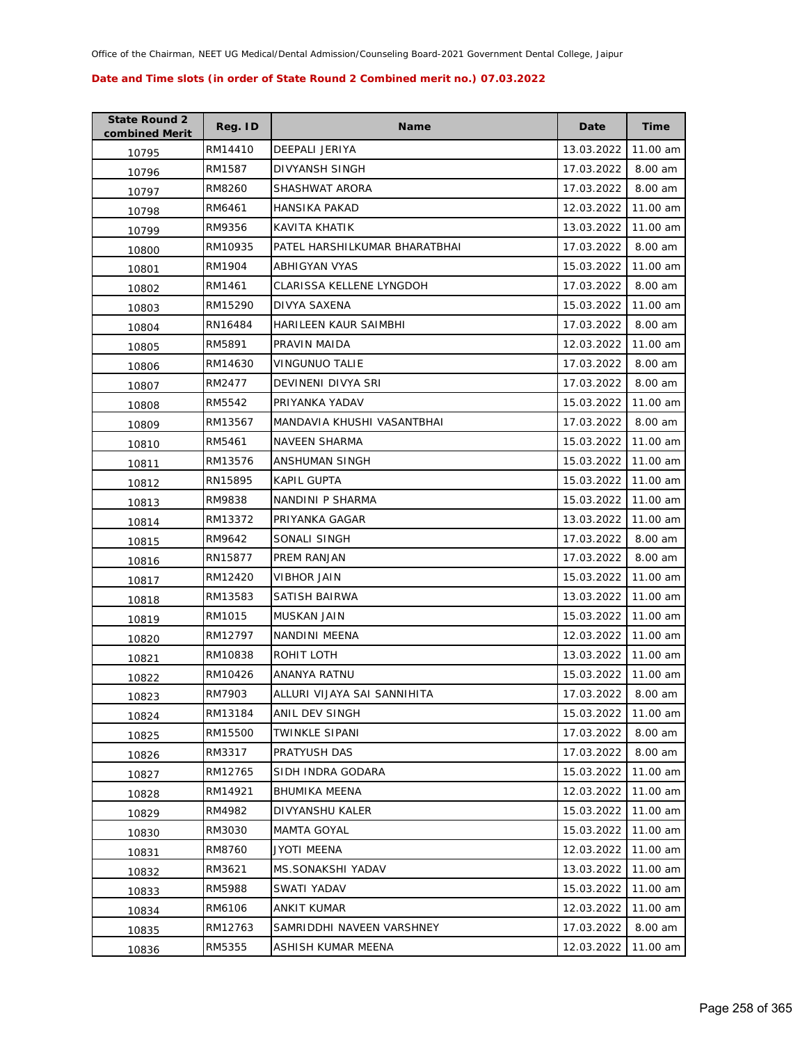| <b>State Round 2</b><br>combined Merit | Reg. ID | Name                          | Date       | <b>Time</b> |
|----------------------------------------|---------|-------------------------------|------------|-------------|
| 10795                                  | RM14410 | DEEPALI JERIYA                | 13.03.2022 | 11.00 am    |
| 10796                                  | RM1587  | DIVYANSH SINGH                | 17.03.2022 | 8.00 am     |
| 10797                                  | RM8260  | SHASHWAT ARORA                | 17.03.2022 | 8.00 am     |
| 10798                                  | RM6461  | HANSIKA PAKAD                 | 12.03.2022 | 11.00 am    |
| 10799                                  | RM9356  | KAVITA KHATIK                 | 13.03.2022 | 11.00 am    |
| 10800                                  | RM10935 | PATEL HARSHILKUMAR BHARATBHAI | 17.03.2022 | 8.00 am     |
| 10801                                  | RM1904  | ABHIGYAN VYAS                 | 15.03.2022 | 11.00 am    |
| 10802                                  | RM1461  | CLARISSA KELLENE LYNGDOH      | 17.03.2022 | 8.00 am     |
| 10803                                  | RM15290 | DIVYA SAXENA                  | 15.03.2022 | 11.00 am    |
| 10804                                  | RN16484 | HARILEEN KAUR SAIMBHI         | 17.03.2022 | 8.00 am     |
| 10805                                  | RM5891  | PRAVIN MAIDA                  | 12.03.2022 | 11.00 am    |
| 10806                                  | RM14630 | VINGUNUO TALIE                | 17.03.2022 | 8.00 am     |
| 10807                                  | RM2477  | DEVINENI DIVYA SRI            | 17.03.2022 | 8.00 am     |
| 10808                                  | RM5542  | PRIYANKA YADAV                | 15.03.2022 | 11.00 am    |
| 10809                                  | RM13567 | MANDAVIA KHUSHI VASANTBHAI    | 17.03.2022 | 8.00 am     |
| 10810                                  | RM5461  | <b>NAVEEN SHARMA</b>          | 15.03.2022 | 11.00 am    |
| 10811                                  | RM13576 | ANSHUMAN SINGH                | 15.03.2022 | 11.00 am    |
| 10812                                  | RN15895 | KAPIL GUPTA                   | 15.03.2022 | 11.00 am    |
| 10813                                  | RM9838  | NANDINI P SHARMA              | 15.03.2022 | 11.00 am    |
| 10814                                  | RM13372 | PRIYANKA GAGAR                | 13.03.2022 | 11.00 am    |
| 10815                                  | RM9642  | SONALI SINGH                  | 17.03.2022 | 8.00 am     |
| 10816                                  | RN15877 | PREM RANJAN                   | 17.03.2022 | 8.00 am     |
| 10817                                  | RM12420 | VIBHOR JAIN                   | 15.03.2022 | 11.00 am    |
| 10818                                  | RM13583 | SATISH BAIRWA                 | 13.03.2022 | 11.00 am    |
| 10819                                  | RM1015  | MUSKAN JAIN                   | 15.03.2022 | 11.00 am    |
| 10820                                  | RM12797 | NANDINI MEENA                 | 12.03.2022 | 11.00 am    |
| 10821                                  | RM10838 | ROHIT LOTH                    | 13.03.2022 | 11.00 am    |
| 10822                                  | RM10426 | <b>ANANYA RATNU</b>           | 15.03.2022 | 11.00 am    |
| 10823                                  | RM7903  | ALLURI VIJAYA SAI SANNIHITA   | 17.03.2022 | 8.00 am     |
| 10824                                  | RM13184 | ANIL DEV SINGH                | 15.03.2022 | 11.00 am    |
| 10825                                  | RM15500 | TWINKLE SIPANI                | 17.03.2022 | 8.00 am     |
| 10826                                  | RM3317  | PRATYUSH DAS                  | 17.03.2022 | 8.00 am     |
| 10827                                  | RM12765 | SIDH INDRA GODARA             | 15.03.2022 | 11.00 am    |
| 10828                                  | RM14921 | <b>BHUMIKA MEENA</b>          | 12.03.2022 | 11.00 am    |
| 10829                                  | RM4982  | DIVYANSHU KALER               | 15.03.2022 | 11.00 am    |
| 10830                                  | RM3030  | <b>MAMTA GOYAL</b>            | 15.03.2022 | 11.00 am    |
| 10831                                  | RM8760  | <b>JYOTI MEENA</b>            | 12.03.2022 | 11.00 am    |
| 10832                                  | RM3621  | MS.SONAKSHI YADAV             | 13.03.2022 | 11.00 am    |
| 10833                                  | RM5988  | SWATI YADAV                   | 15.03.2022 | 11.00 am    |
| 10834                                  | RM6106  | ANKIT KUMAR                   | 12.03.2022 | 11.00 am    |
| 10835                                  | RM12763 | SAMRIDDHI NAVEEN VARSHNEY     | 17.03.2022 | 8.00 am     |
| 10836                                  | RM5355  | ASHISH KUMAR MEENA            | 12.03.2022 | 11.00 am    |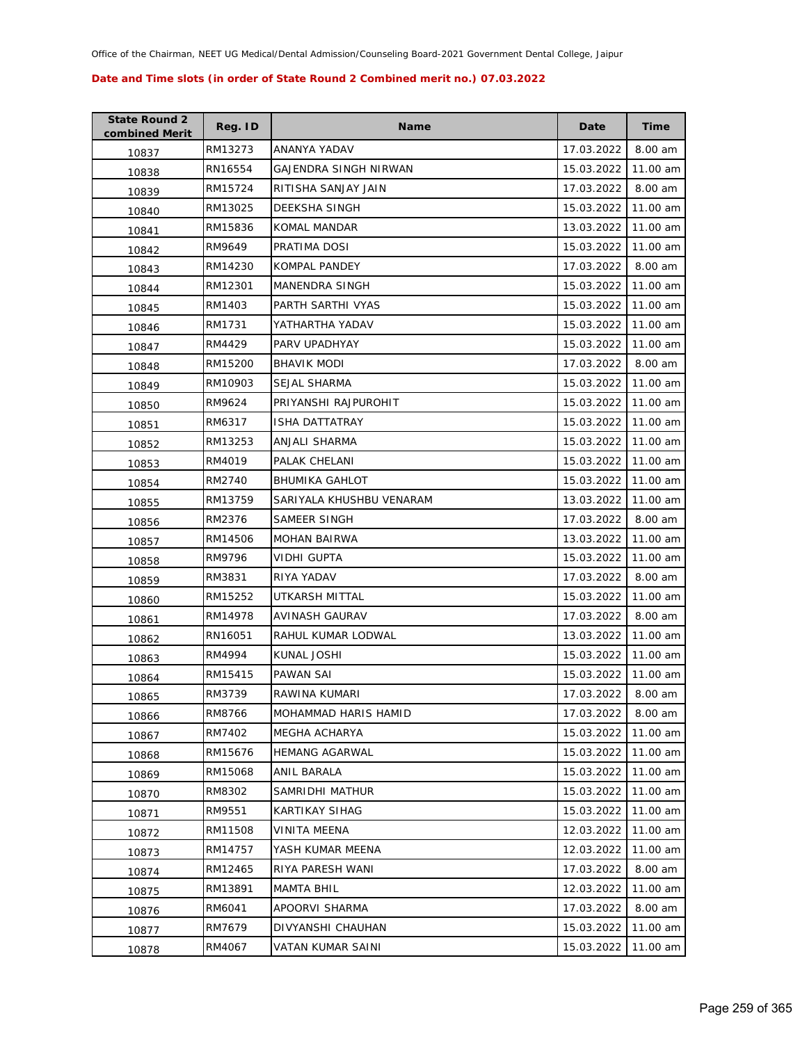| <b>State Round 2</b><br>combined Merit | Reg. ID | <b>Name</b>              | Date       | <b>Time</b> |
|----------------------------------------|---------|--------------------------|------------|-------------|
| 10837                                  | RM13273 | ANANYA YADAV             | 17.03.2022 | 8.00 am     |
| 10838                                  | RN16554 | GAJENDRA SINGH NIRWAN    | 15.03.2022 | 11.00 am    |
| 10839                                  | RM15724 | RITISHA SANJAY JAIN      | 17.03.2022 | 8.00 am     |
| 10840                                  | RM13025 | DEEKSHA SINGH            | 15.03.2022 | 11.00 am    |
| 10841                                  | RM15836 | KOMAL MANDAR             | 13.03.2022 | 11.00 am    |
| 10842                                  | RM9649  | PRATIMA DOSI             | 15.03.2022 | 11.00 am    |
| 10843                                  | RM14230 | KOMPAL PANDEY            | 17.03.2022 | 8.00 am     |
| 10844                                  | RM12301 | MANENDRA SINGH           | 15.03.2022 | 11.00 am    |
| 10845                                  | RM1403  | PARTH SARTHI VYAS        | 15.03.2022 | 11.00 am    |
| 10846                                  | RM1731  | YATHARTHA YADAV          | 15.03.2022 | 11.00 am    |
| 10847                                  | RM4429  | PARV UPADHYAY            | 15.03.2022 | 11.00 am    |
| 10848                                  | RM15200 | <b>BHAVIK MODI</b>       | 17.03.2022 | 8.00 am     |
| 10849                                  | RM10903 | <b>SEJAL SHARMA</b>      | 15.03.2022 | 11.00 am    |
| 10850                                  | RM9624  | PRIYANSHI RAJPUROHIT     | 15.03.2022 | 11.00 am    |
| 10851                                  | RM6317  | <b>ISHA DATTATRAY</b>    | 15.03.2022 | 11.00 am    |
| 10852                                  | RM13253 | ANJALI SHARMA            | 15.03.2022 | 11.00 am    |
| 10853                                  | RM4019  | PALAK CHELANI            | 15.03.2022 | 11.00 am    |
| 10854                                  | RM2740  | <b>BHUMIKA GAHLOT</b>    | 15.03.2022 | 11.00 am    |
| 10855                                  | RM13759 | SARIYALA KHUSHBU VENARAM | 13.03.2022 | 11.00 am    |
| 10856                                  | RM2376  | SAMEER SINGH             | 17.03.2022 | 8.00 am     |
| 10857                                  | RM14506 | <b>MOHAN BAIRWA</b>      | 13.03.2022 | 11.00 am    |
| 10858                                  | RM9796  | VIDHI GUPTA              | 15.03.2022 | 11.00 am    |
| 10859                                  | RM3831  | RIYA YADAV               | 17.03.2022 | 8.00 am     |
| 10860                                  | RM15252 | UTKARSH MITTAL           | 15.03.2022 | 11.00 am    |
| 10861                                  | RM14978 | AVINASH GAURAV           | 17.03.2022 | 8.00 am     |
| 10862                                  | RN16051 | RAHUL KUMAR LODWAL       | 13.03.2022 | 11.00 am    |
| 10863                                  | RM4994  | KUNAL JOSHI              | 15.03.2022 | 11.00 am    |
| 10864                                  | RM15415 | <b>PAWAN SAI</b>         | 15.03.2022 | 11.00 am    |
| 10865                                  | RM3739  | RAWINA KUMARI            | 17.03.2022 | 8.00 am     |
| 10866                                  | RM8766  | MOHAMMAD HARIS HAMID     | 17.03.2022 | 8.00 am     |
| 10867                                  | RM7402  | MEGHA ACHARYA            | 15.03.2022 | 11.00 am    |
| 10868                                  | RM15676 | <b>HEMANG AGARWAL</b>    | 15.03.2022 | 11.00 am    |
| 10869                                  | RM15068 | ANIL BARALA              | 15.03.2022 | 11.00 am    |
| 10870                                  | RM8302  | SAMRIDHI MATHUR          | 15.03.2022 | 11.00 am    |
| 10871                                  | RM9551  | KARTIKAY SIHAG           | 15.03.2022 | 11.00 am    |
| 10872                                  | RM11508 | VINITA MEENA             | 12.03.2022 | 11.00 am    |
| 10873                                  | RM14757 | YASH KUMAR MEENA         | 12.03.2022 | 11.00 am    |
| 10874                                  | RM12465 | RIYA PARESH WANI         | 17.03.2022 | 8.00 am     |
| 10875                                  | RM13891 | MAMTA BHIL               | 12.03.2022 | 11.00 am    |
| 10876                                  | RM6041  | APOORVI SHARMA           | 17.03.2022 | 8.00 am     |
| 10877                                  | RM7679  | DIVYANSHI CHAUHAN        | 15.03.2022 | 11.00 am    |
| 10878                                  | RM4067  | VATAN KUMAR SAINI        | 15.03.2022 | 11.00 am    |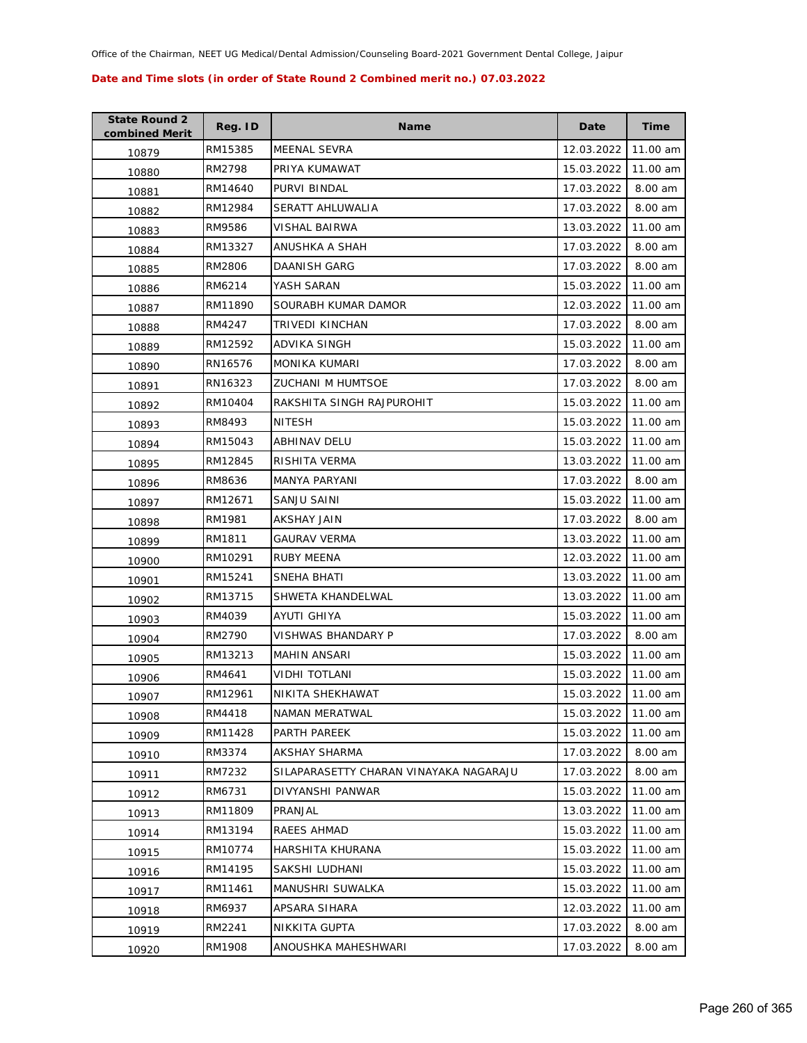| <b>State Round 2</b><br>combined Merit | Reg. ID | Name                                   | Date       | <b>Time</b> |
|----------------------------------------|---------|----------------------------------------|------------|-------------|
| 10879                                  | RM15385 | <b>MEENAL SEVRA</b>                    | 12.03.2022 | 11.00 am    |
| 10880                                  | RM2798  | PRIYA KUMAWAT                          | 15.03.2022 | 11.00 am    |
| 10881                                  | RM14640 | PURVI BINDAL                           | 17.03.2022 | 8.00 am     |
| 10882                                  | RM12984 | SERATT AHLUWALIA                       | 17.03.2022 | 8.00 am     |
| 10883                                  | RM9586  | VISHAL BAIRWA                          | 13.03.2022 | 11.00 am    |
| 10884                                  | RM13327 | ANUSHKA A SHAH                         | 17.03.2022 | 8.00 am     |
| 10885                                  | RM2806  | DAANISH GARG                           | 17.03.2022 | 8.00 am     |
| 10886                                  | RM6214  | YASH SARAN                             | 15.03.2022 | 11.00 am    |
| 10887                                  | RM11890 | SOURABH KUMAR DAMOR                    | 12.03.2022 | 11.00 am    |
| 10888                                  | RM4247  | TRIVEDI KINCHAN                        | 17.03.2022 | 8.00 am     |
| 10889                                  | RM12592 | ADVIKA SINGH                           | 15.03.2022 | 11.00 am    |
| 10890                                  | RN16576 | <b>MONIKA KUMARI</b>                   | 17.03.2022 | 8.00 am     |
| 10891                                  | RN16323 | <b>ZUCHANI M HUMTSOE</b>               | 17.03.2022 | 8.00 am     |
| 10892                                  | RM10404 | RAKSHITA SINGH RAJPUROHIT              | 15.03.2022 | 11.00 am    |
| 10893                                  | RM8493  | <b>NITESH</b>                          | 15.03.2022 | 11.00 am    |
| 10894                                  | RM15043 | <b>ABHINAV DELU</b>                    | 15.03.2022 | 11.00 am    |
| 10895                                  | RM12845 | RISHITA VERMA                          | 13.03.2022 | 11.00 am    |
| 10896                                  | RM8636  | MANYA PARYANI                          | 17.03.2022 | 8.00 am     |
| 10897                                  | RM12671 | SANJU SAINI                            | 15.03.2022 | 11.00 am    |
| 10898                                  | RM1981  | AKSHAY JAIN                            | 17.03.2022 | 8.00 am     |
| 10899                                  | RM1811  | <b>GAURAV VERMA</b>                    | 13.03.2022 | 11.00 am    |
| 10900                                  | RM10291 | <b>RUBY MEENA</b>                      | 12.03.2022 | 11.00 am    |
| 10901                                  | RM15241 | SNEHA BHATI                            | 13.03.2022 | 11.00 am    |
| 10902                                  | RM13715 | SHWETA KHANDELWAL                      | 13.03.2022 | 11.00 am    |
| 10903                                  | RM4039  | AYUTI GHIYA                            | 15.03.2022 | 11.00 am    |
| 10904                                  | RM2790  | VISHWAS BHANDARY P                     | 17.03.2022 | 8.00 am     |
| 10905                                  | RM13213 | <b>MAHIN ANSARI</b>                    | 15.03.2022 | 11.00 am    |
| 10906                                  | RM4641  | VIDHI TOTLANI                          | 15.03.2022 | 11.00 am    |
| 10907                                  | RM12961 | NIKITA SHEKHAWAT                       | 15.03.2022 | 11.00 am    |
| 10908                                  | RM4418  | NAMAN MERATWAL                         | 15.03.2022 | 11.00 am    |
| 10909                                  | RM11428 | PARTH PAREEK                           | 15.03.2022 | 11.00 am    |
| 10910                                  | RM3374  | AKSHAY SHARMA                          | 17.03.2022 | 8.00 am     |
| 10911                                  | RM7232  | SILAPARASETTY CHARAN VINAYAKA NAGARAJU | 17.03.2022 | 8.00 am     |
| 10912                                  | RM6731  | DIVYANSHI PANWAR                       | 15.03.2022 | 11.00 am    |
| 10913                                  | RM11809 | PRANJAL                                | 13.03.2022 | 11.00 am    |
| 10914                                  | RM13194 | RAEES AHMAD                            | 15.03.2022 | 11.00 am    |
| 10915                                  | RM10774 | HARSHITA KHURANA                       | 15.03.2022 | 11.00 am    |
| 10916                                  | RM14195 | SAKSHI LUDHANI                         | 15.03.2022 | 11.00 am    |
| 10917                                  | RM11461 | MANUSHRI SUWALKA                       | 15.03.2022 | 11.00 am    |
| 10918                                  | RM6937  | APSARA SIHARA                          | 12.03.2022 | 11.00 am    |
| 10919                                  | RM2241  | NIKKITA GUPTA                          | 17.03.2022 | 8.00 am     |
| 10920                                  | RM1908  | ANOUSHKA MAHESHWARI                    | 17.03.2022 | 8.00 am     |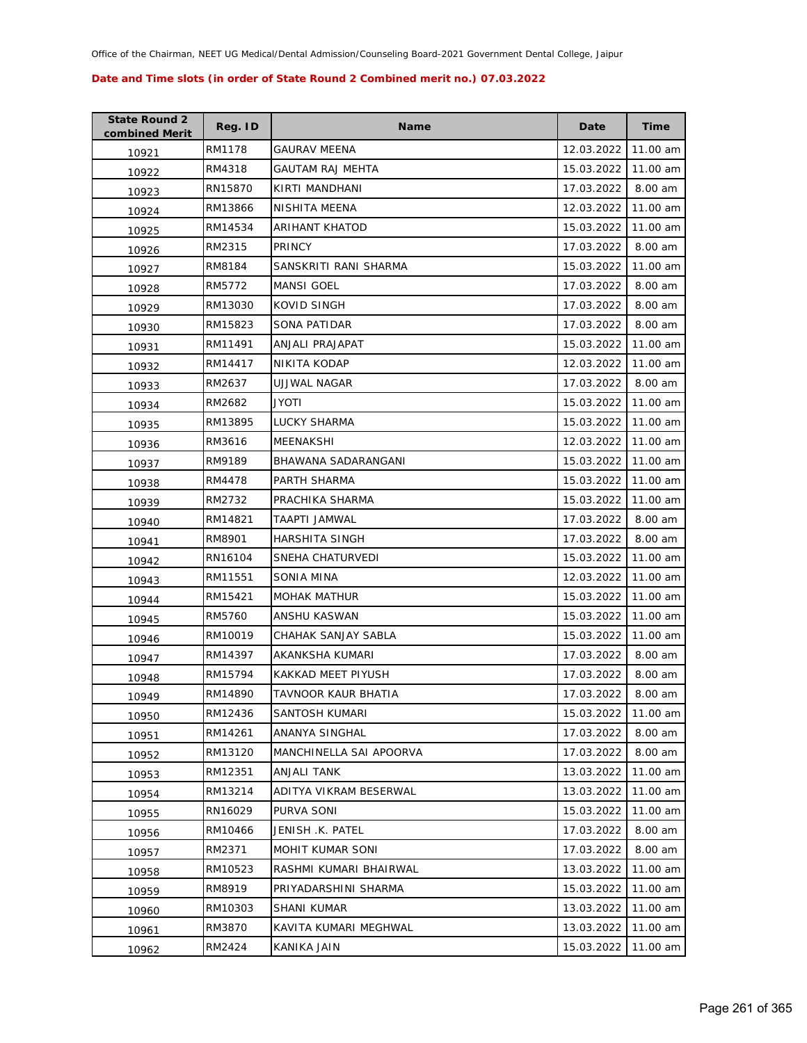| <b>State Round 2</b><br>combined Merit | Reg. ID | Name                    | Date       | <b>Time</b> |
|----------------------------------------|---------|-------------------------|------------|-------------|
| 10921                                  | RM1178  | GAURAV MEENA            | 12.03.2022 | 11.00 am    |
| 10922                                  | RM4318  | <b>GAUTAM RAJ MEHTA</b> | 15.03.2022 | 11.00 am    |
| 10923                                  | RN15870 | KIRTI MANDHANI          | 17.03.2022 | 8.00 am     |
| 10924                                  | RM13866 | NISHITA MEENA           | 12.03.2022 | 11.00 am    |
| 10925                                  | RM14534 | ARIHANT KHATOD          | 15.03.2022 | 11.00 am    |
| 10926                                  | RM2315  | <b>PRINCY</b>           | 17.03.2022 | 8.00 am     |
| 10927                                  | RM8184  | SANSKRITI RANI SHARMA   | 15.03.2022 | 11.00 am    |
| 10928                                  | RM5772  | <b>MANSI GOEL</b>       | 17.03.2022 | 8.00 am     |
| 10929                                  | RM13030 | KOVID SINGH             | 17.03.2022 | 8.00 am     |
| 10930                                  | RM15823 | SONA PATIDAR            | 17.03.2022 | 8.00 am     |
| 10931                                  | RM11491 | ANJALI PRAJAPAT         | 15.03.2022 | 11.00 am    |
| 10932                                  | RM14417 | NIKITA KODAP            | 12.03.2022 | 11.00 am    |
| 10933                                  | RM2637  | UJJWAL NAGAR            | 17.03.2022 | 8.00 am     |
| 10934                                  | RM2682  | JYOTI                   | 15.03.2022 | 11.00 am    |
| 10935                                  | RM13895 | LUCKY SHARMA            | 15.03.2022 | 11.00 am    |
| 10936                                  | RM3616  | MEENAKSHI               | 12.03.2022 | 11.00 am    |
| 10937                                  | RM9189  | BHAWANA SADARANGANI     | 15.03.2022 | 11.00 am    |
| 10938                                  | RM4478  | PARTH SHARMA            | 15.03.2022 | 11.00 am    |
| 10939                                  | RM2732  | PRACHIKA SHARMA         | 15.03.2022 | 11.00 am    |
| 10940                                  | RM14821 | TAAPTI JAMWAL           | 17.03.2022 | 8.00 am     |
| 10941                                  | RM8901  | HARSHITA SINGH          | 17.03.2022 | 8.00 am     |
| 10942                                  | RN16104 | SNEHA CHATURVEDI        | 15.03.2022 | 11.00 am    |
| 10943                                  | RM11551 | SONIA MINA              | 12.03.2022 | 11.00 am    |
| 10944                                  | RM15421 | <b>MOHAK MATHUR</b>     | 15.03.2022 | 11.00 am    |
| 10945                                  | RM5760  | ANSHU KASWAN            | 15.03.2022 | 11.00 am    |
| 10946                                  | RM10019 | CHAHAK SANJAY SABLA     | 15.03.2022 | 11.00 am    |
| 10947                                  | RM14397 | AKANKSHA KUMARI         | 17.03.2022 | 8.00 am     |
| 10948                                  | RM15794 | KAKKAD MEET PIYUSH      | 17.03.2022 | 8.00 am     |
| 10949                                  | RM14890 | TAVNOOR KAUR BHATIA     | 17.03.2022 | 8.00 am     |
| 10950                                  | RM12436 | SANTOSH KUMARI          | 15.03.2022 | 11.00 am    |
| 10951                                  | RM14261 | ANANYA SINGHAL          | 17.03.2022 | 8.00 am     |
| 10952                                  | RM13120 | MANCHINELLA SAI APOORVA | 17.03.2022 | 8.00 am     |
| 10953                                  | RM12351 | ANJALI TANK             | 13.03.2022 | 11.00 am    |
| 10954                                  | RM13214 | ADITYA VIKRAM BESERWAL  | 13.03.2022 | 11.00 am    |
| 10955                                  | RN16029 | PURVA SONI              | 15.03.2022 | 11.00 am    |
| 10956                                  | RM10466 | JENISH .K. PATEL        | 17.03.2022 | 8.00 am     |
| 10957                                  | RM2371  | MOHIT KUMAR SONI        | 17.03.2022 | 8.00 am     |
| 10958                                  | RM10523 | RASHMI KUMARI BHAIRWAL  | 13.03.2022 | 11.00 am    |
| 10959                                  | RM8919  | PRIYADARSHINI SHARMA    | 15.03.2022 | 11.00 am    |
| 10960                                  | RM10303 | SHANI KUMAR             | 13.03.2022 | 11.00 am    |
| 10961                                  | RM3870  | KAVITA KUMARI MEGHWAL   | 13.03.2022 | 11.00 am    |
| 10962                                  | RM2424  | <b>KANIKA JAIN</b>      | 15.03.2022 | 11.00 am    |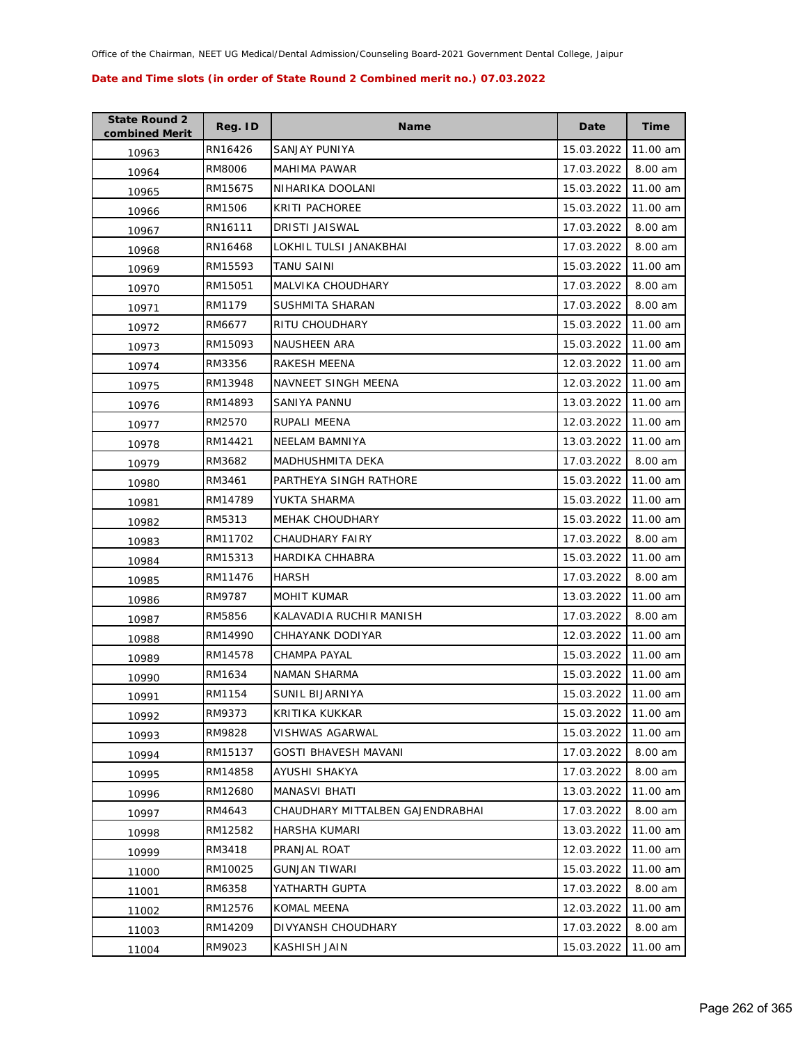| <b>State Round 2</b><br>combined Merit | Reg. ID | <b>Name</b>                      | Date       | Time     |
|----------------------------------------|---------|----------------------------------|------------|----------|
| 10963                                  | RN16426 | SANJAY PUNIYA                    | 15.03.2022 | 11.00 am |
| 10964                                  | RM8006  | MAHIMA PAWAR                     | 17.03.2022 | 8.00 am  |
| 10965                                  | RM15675 | NIHARIKA DOOLANI                 | 15.03.2022 | 11.00 am |
| 10966                                  | RM1506  | KRITI PACHOREE                   | 15.03.2022 | 11.00 am |
| 10967                                  | RN16111 | DRISTI JAISWAL                   | 17.03.2022 | 8.00 am  |
| 10968                                  | RN16468 | LOKHIL TULSI JANAKBHAI           | 17.03.2022 | 8.00 am  |
| 10969                                  | RM15593 | TANU SAINI                       | 15.03.2022 | 11.00 am |
| 10970                                  | RM15051 | MALVIKA CHOUDHARY                | 17.03.2022 | 8.00 am  |
| 10971                                  | RM1179  | SUSHMITA SHARAN                  | 17.03.2022 | 8.00 am  |
| 10972                                  | RM6677  | RITU CHOUDHARY                   | 15.03.2022 | 11.00 am |
| 10973                                  | RM15093 | NAUSHEEN ARA                     | 15.03.2022 | 11.00 am |
| 10974                                  | RM3356  | RAKESH MEENA                     | 12.03.2022 | 11.00 am |
| 10975                                  | RM13948 | <b>NAVNEET SINGH MEENA</b>       | 12.03.2022 | 11.00 am |
| 10976                                  | RM14893 | SANIYA PANNU                     | 13.03.2022 | 11.00 am |
| 10977                                  | RM2570  | RUPALI MEENA                     | 12.03.2022 | 11.00 am |
| 10978                                  | RM14421 | <b>NEELAM BAMNIYA</b>            | 13.03.2022 | 11.00 am |
| 10979                                  | RM3682  | MADHUSHMITA DEKA                 | 17.03.2022 | 8.00 am  |
| 10980                                  | RM3461  | PARTHEYA SINGH RATHORE           | 15.03.2022 | 11.00 am |
| 10981                                  | RM14789 | YUKTA SHARMA                     | 15.03.2022 | 11.00 am |
| 10982                                  | RM5313  | MEHAK CHOUDHARY                  | 15.03.2022 | 11.00 am |
| 10983                                  | RM11702 | CHAUDHARY FAIRY                  | 17.03.2022 | 8.00 am  |
| 10984                                  | RM15313 | HARDIKA CHHABRA                  | 15.03.2022 | 11.00 am |
| 10985                                  | RM11476 | HARSH                            | 17.03.2022 | 8.00 am  |
| 10986                                  | RM9787  | <b>MOHIT KUMAR</b>               | 13.03.2022 | 11.00 am |
| 10987                                  | RM5856  | KALAVADIA RUCHIR MANISH          | 17.03.2022 | 8.00 am  |
| 10988                                  | RM14990 | CHHAYANK DODIYAR                 | 12.03.2022 | 11.00 am |
| 10989                                  | RM14578 | CHAMPA PAYAL                     | 15.03.2022 | 11.00 am |
| 10990                                  | RM1634  | NAMAN SHARMA                     | 15.03.2022 | 11.00 am |
| 10991                                  | RM1154  | SUNIL BIJARNIYA                  | 15.03.2022 | 11.00 am |
| 10992                                  | RM9373  | KRITIKA KUKKAR                   | 15.03.2022 | 11.00 am |
| 10993                                  | RM9828  | VISHWAS AGARWAL                  | 15.03.2022 | 11.00 am |
| 10994                                  | RM15137 | <b>GOSTI BHAVESH MAVANI</b>      | 17.03.2022 | 8.00 am  |
| 10995                                  | RM14858 | AYUSHI SHAKYA                    | 17.03.2022 | 8.00 am  |
| 10996                                  | RM12680 | MANASVI BHATI                    | 13.03.2022 | 11.00 am |
| 10997                                  | RM4643  | CHAUDHARY MITTALBEN GAJENDRABHAI | 17.03.2022 | 8.00 am  |
| 10998                                  | RM12582 | HARSHA KUMARI                    | 13.03.2022 | 11.00 am |
| 10999                                  | RM3418  | PRANJAL ROAT                     | 12.03.2022 | 11.00 am |
| 11000                                  | RM10025 | GUNJAN TIWARI                    | 15.03.2022 | 11.00 am |
| 11001                                  | RM6358  | YATHARTH GUPTA                   | 17.03.2022 | 8.00 am  |
| 11002                                  | RM12576 | KOMAL MEENA                      | 12.03.2022 | 11.00 am |
| 11003                                  | RM14209 | DIVYANSH CHOUDHARY               | 17.03.2022 | 8.00 am  |
| 11004                                  | RM9023  | KASHISH JAIN                     | 15.03.2022 | 11.00 am |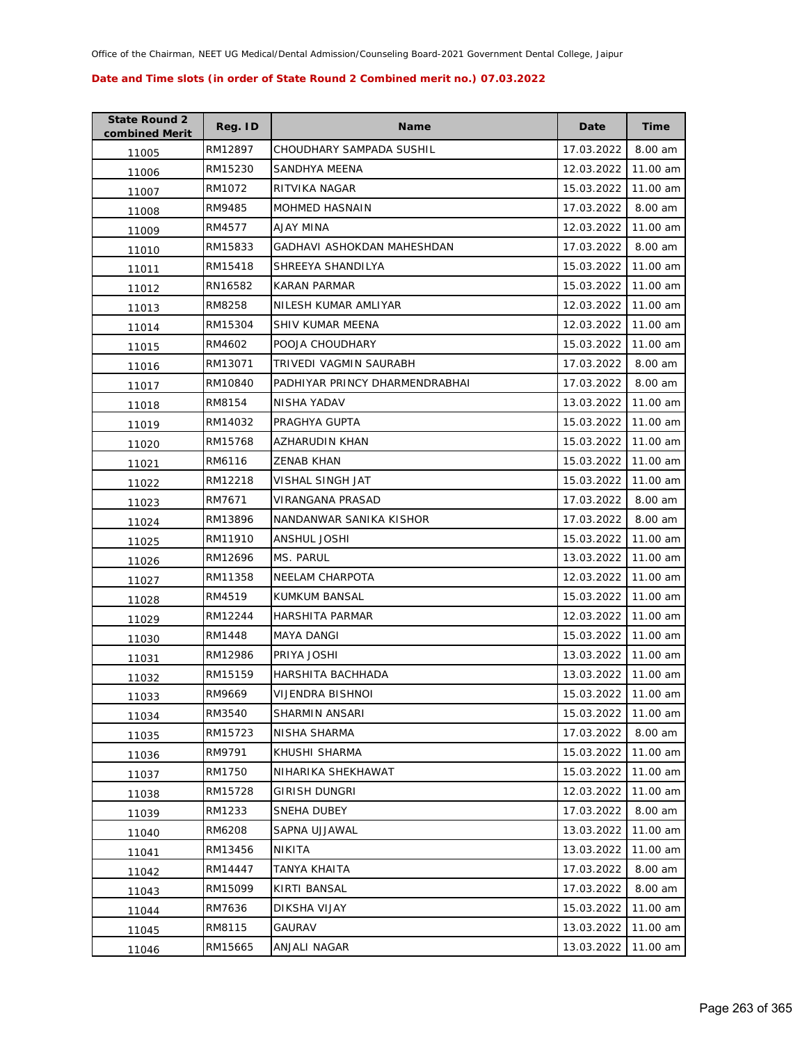| <b>State Round 2</b><br>combined Merit | Reg. ID | <b>Name</b>                    | Date       | <b>Time</b> |
|----------------------------------------|---------|--------------------------------|------------|-------------|
| 11005                                  | RM12897 | CHOUDHARY SAMPADA SUSHIL       | 17.03.2022 | 8.00 am     |
| 11006                                  | RM15230 | SANDHYA MEENA                  | 12.03.2022 | 11.00 am    |
| 11007                                  | RM1072  | RITVIKA NAGAR                  | 15.03.2022 | 11.00 am    |
| 11008                                  | RM9485  | <b>MOHMED HASNAIN</b>          | 17.03.2022 | 8.00 am     |
| 11009                                  | RM4577  | AJAY MINA                      | 12.03.2022 | 11.00 am    |
| 11010                                  | RM15833 | GADHAVI ASHOKDAN MAHESHDAN     | 17.03.2022 | 8.00 am     |
| 11011                                  | RM15418 | SHREEYA SHANDILYA              | 15.03.2022 | 11.00 am    |
| 11012                                  | RN16582 | <b>KARAN PARMAR</b>            | 15.03.2022 | 11.00 am    |
| 11013                                  | RM8258  | NILESH KUMAR AMLIYAR           | 12.03.2022 | 11.00 am    |
| 11014                                  | RM15304 | SHIV KUMAR MEENA               | 12.03.2022 | 11.00 am    |
| 11015                                  | RM4602  | POOJA CHOUDHARY                | 15.03.2022 | 11.00 am    |
| 11016                                  | RM13071 | TRIVEDI VAGMIN SAURABH         | 17.03.2022 | 8.00 am     |
| 11017                                  | RM10840 | PADHIYAR PRINCY DHARMENDRABHAI | 17.03.2022 | 8.00 am     |
| 11018                                  | RM8154  | NISHA YADAV                    | 13.03.2022 | 11.00 am    |
| 11019                                  | RM14032 | PRAGHYA GUPTA                  | 15.03.2022 | 11.00 am    |
| 11020                                  | RM15768 | AZHARUDIN KHAN                 | 15.03.2022 | 11.00 am    |
| 11021                                  | RM6116  | <b>ZENAB KHAN</b>              | 15.03.2022 | 11.00 am    |
| 11022                                  | RM12218 | VISHAL SINGH JAT               | 15.03.2022 | 11.00 am    |
| 11023                                  | RM7671  | VIRANGANA PRASAD               | 17.03.2022 | 8.00 am     |
| 11024                                  | RM13896 | NANDANWAR SANIKA KISHOR        | 17.03.2022 | 8.00 am     |
| 11025                                  | RM11910 | ANSHUL JOSHI                   | 15.03.2022 | 11.00 am    |
| 11026                                  | RM12696 | MS. PARUL                      | 13.03.2022 | 11.00 am    |
| 11027                                  | RM11358 | NEELAM CHARPOTA                | 12.03.2022 | 11.00 am    |
| 11028                                  | RM4519  | KUMKUM BANSAL                  | 15.03.2022 | 11.00 am    |
| 11029                                  | RM12244 | HARSHITA PARMAR                | 12.03.2022 | 11.00 am    |
| 11030                                  | RM1448  | MAYA DANGI                     | 15.03.2022 | 11.00 am    |
| 11031                                  | RM12986 | PRIYA JOSHI                    | 13.03.2022 | 11.00 am    |
| 11032                                  | RM15159 | HARSHITA BACHHADA              | 13.03.2022 | 11.00 am    |
| 11033                                  | RM9669  | VIJENDRA BISHNOI               | 15.03.2022 | 11.00 am    |
| 11034                                  | RM3540  | SHARMIN ANSARI                 | 15.03.2022 | 11.00 am    |
| 11035                                  | RM15723 | NISHA SHARMA                   | 17.03.2022 | 8.00 am     |
| 11036                                  | RM9791  | KHUSHI SHARMA                  | 15.03.2022 | 11.00 am    |
| 11037                                  | RM1750  | NIHARIKA SHEKHAWAT             | 15.03.2022 | 11.00 am    |
| 11038                                  | RM15728 | <b>GIRISH DUNGRI</b>           | 12.03.2022 | 11.00 am    |
| 11039                                  | RM1233  | <b>SNEHA DUBEY</b>             | 17.03.2022 | 8.00 am     |
| 11040                                  | RM6208  | SAPNA UJJAWAL                  | 13.03.2022 | 11.00 am    |
| 11041                                  | RM13456 | NIKITA                         | 13.03.2022 | 11.00 am    |
| 11042                                  | RM14447 | TANYA KHAITA                   | 17.03.2022 | 8.00 am     |
| 11043                                  | RM15099 | KIRTI BANSAL                   | 17.03.2022 | 8.00 am     |
| 11044                                  | RM7636  | DIKSHA VIJAY                   | 15.03.2022 | 11.00 am    |
| 11045                                  | RM8115  | GAURAV                         | 13.03.2022 | 11.00 am    |
| 11046                                  | RM15665 | ANJALI NAGAR                   | 13.03.2022 | 11.00 am    |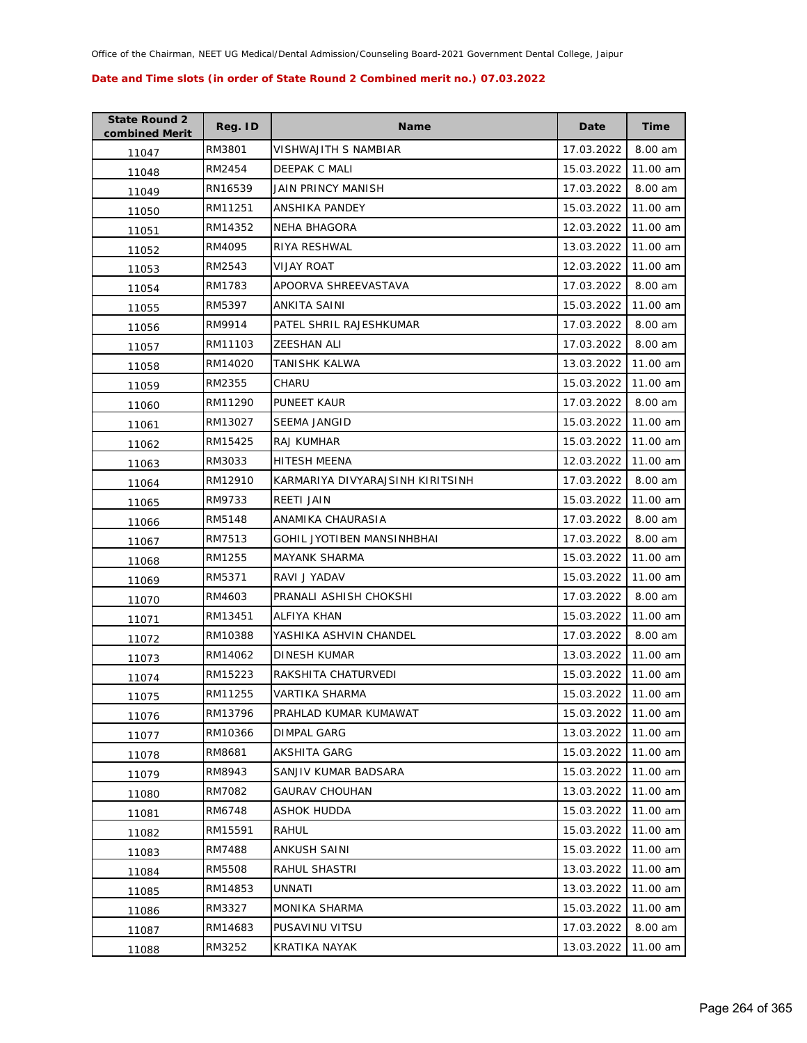| <b>State Round 2</b><br>combined Merit | Reg. ID | <b>Name</b>                      | Date                | Time     |
|----------------------------------------|---------|----------------------------------|---------------------|----------|
| 11047                                  | RM3801  | VISHWAJITH S NAMBIAR             | 17.03.2022          | 8.00 am  |
| 11048                                  | RM2454  | DEEPAK C MALI                    | 15.03.2022          | 11.00 am |
| 11049                                  | RN16539 | JAIN PRINCY MANISH               | 17.03.2022          | 8.00 am  |
| 11050                                  | RM11251 | ANSHIKA PANDEY                   | 15.03.2022          | 11.00 am |
| 11051                                  | RM14352 | NEHA BHAGORA                     | 12.03.2022          | 11.00 am |
| 11052                                  | RM4095  | RIYA RESHWAL                     | 13.03.2022          | 11.00 am |
| 11053                                  | RM2543  | <b>VIJAY ROAT</b>                | 12.03.2022          | 11.00 am |
| 11054                                  | RM1783  | APOORVA SHREEVASTAVA             | 17.03.2022          | 8.00 am  |
| 11055                                  | RM5397  | ANKITA SAINI                     | 15.03.2022          | 11.00 am |
| 11056                                  | RM9914  | PATEL SHRIL RAJESHKUMAR          | 17.03.2022          | 8.00 am  |
| 11057                                  | RM11103 | ZEESHAN ALI                      | 17.03.2022          | 8.00 am  |
| 11058                                  | RM14020 | TANISHK KALWA                    | 13.03.2022          | 11.00 am |
| 11059                                  | RM2355  | CHARU                            | 15.03.2022          | 11.00 am |
| 11060                                  | RM11290 | PUNEET KAUR                      | 17.03.2022          | 8.00 am  |
| 11061                                  | RM13027 | SEEMA JANGID                     | 15.03.2022          | 11.00 am |
| 11062                                  | RM15425 | RAJ KUMHAR                       | 15.03.2022          | 11.00 am |
| 11063                                  | RM3033  | <b>HITESH MEENA</b>              | 12.03.2022          | 11.00 am |
| 11064                                  | RM12910 | KARMARIYA DIVYARAJSINH KIRITSINH | 17.03.2022          | 8.00 am  |
| 11065                                  | RM9733  | REETI JAIN                       | 15.03.2022          | 11.00 am |
| 11066                                  | RM5148  | ANAMIKA CHAURASIA                | 17.03.2022          | 8.00 am  |
| 11067                                  | RM7513  | GOHIL JYOTIBEN MANSINHBHAI       | 17.03.2022          | 8.00 am  |
| 11068                                  | RM1255  | MAYANK SHARMA                    | 15.03.2022          | 11.00 am |
| 11069                                  | RM5371  | RAVI J YADAV                     | 15.03.2022          | 11.00 am |
| 11070                                  | RM4603  | PRANALI ASHISH CHOKSHI           | 17.03.2022          | 8.00 am  |
| 11071                                  | RM13451 | ALFIYA KHAN                      | 15.03.2022          | 11.00 am |
| 11072                                  | RM10388 | YASHIKA ASHVIN CHANDEL           | 17.03.2022          | 8.00 am  |
| 11073                                  | RM14062 | DINESH KUMAR                     | 13.03.2022          | 11.00 am |
| 11074                                  | RM15223 | RAKSHITA CHATURVEDI              | 15.03.2022          | 11.00 am |
| 11075                                  | RM11255 | VARTIKA SHARMA                   | 15.03.2022 11.00 am |          |
| 11076                                  | RM13796 | PRAHLAD KUMAR KUMAWAT            | 15.03.2022          | 11.00 am |
| 11077                                  | RM10366 | DIMPAL GARG                      | 13.03.2022          | 11.00 am |
| 11078                                  | RM8681  | <b>AKSHITA GARG</b>              | 15.03.2022          | 11.00 am |
| 11079                                  | RM8943  | SANJIV KUMAR BADSARA             | 15.03.2022          | 11.00 am |
| 11080                                  | RM7082  | <b>GAURAV CHOUHAN</b>            | 13.03.2022          | 11.00 am |
| 11081                                  | RM6748  | ASHOK HUDDA                      | 15.03.2022          | 11.00 am |
| 11082                                  | RM15591 | RAHUL                            | 15.03.2022          | 11.00 am |
| 11083                                  | RM7488  | ANKUSH SAINI                     | 15.03.2022          | 11.00 am |
| 11084                                  | RM5508  | RAHUL SHASTRI                    | 13.03.2022          | 11.00 am |
| 11085                                  | RM14853 | UNNATI                           | 13.03.2022          | 11.00 am |
| 11086                                  | RM3327  | MONIKA SHARMA                    | 15.03.2022          | 11.00 am |
| 11087                                  | RM14683 | PUSAVINU VITSU                   | 17.03.2022          | 8.00 am  |
| 11088                                  | RM3252  | <b>KRATIKA NAYAK</b>             | 13.03.2022          | 11.00 am |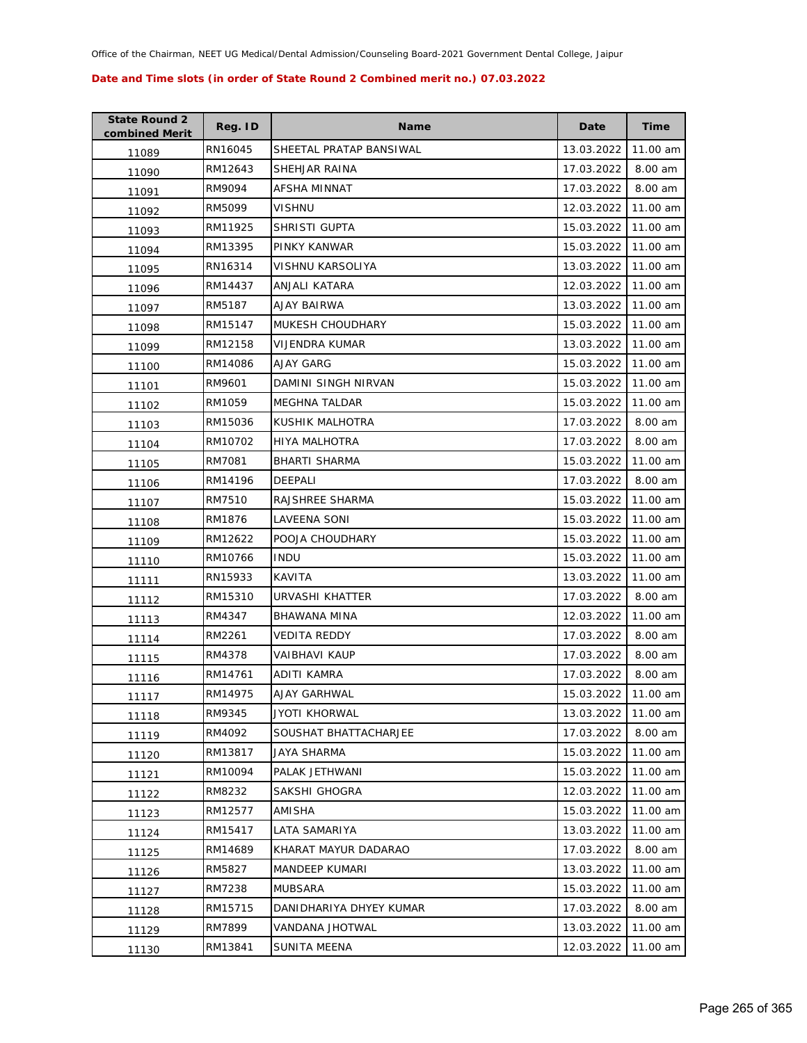| <b>State Round 2</b><br>combined Merit | Reg. ID | <b>Name</b>             | Date       | <b>Time</b> |
|----------------------------------------|---------|-------------------------|------------|-------------|
| 11089                                  | RN16045 | SHEETAL PRATAP BANSIWAL | 13.03.2022 | 11.00 am    |
| 11090                                  | RM12643 | SHEHJAR RAINA           | 17.03.2022 | 8.00 am     |
| 11091                                  | RM9094  | AFSHA MINNAT            | 17.03.2022 | 8.00 am     |
| 11092                                  | RM5099  | <b>VISHNU</b>           | 12.03.2022 | 11.00 am    |
| 11093                                  | RM11925 | SHRISTI GUPTA           | 15.03.2022 | 11.00 am    |
| 11094                                  | RM13395 | PINKY KANWAR            | 15.03.2022 | 11.00 am    |
| 11095                                  | RN16314 | VISHNU KARSOLIYA        | 13.03.2022 | 11.00 am    |
| 11096                                  | RM14437 | ANJALI KATARA           | 12.03.2022 | 11.00 am    |
| 11097                                  | RM5187  | AJAY BAIRWA             | 13.03.2022 | 11.00 am    |
| 11098                                  | RM15147 | MUKESH CHOUDHARY        | 15.03.2022 | 11.00 am    |
| 11099                                  | RM12158 | VIJENDRA KUMAR          | 13.03.2022 | 11.00 am    |
| 11100                                  | RM14086 | AJAY GARG               | 15.03.2022 | 11.00 am    |
| 11101                                  | RM9601  | DAMINI SINGH NIRVAN     | 15.03.2022 | 11.00 am    |
| 11102                                  | RM1059  | MEGHNA TALDAR           | 15.03.2022 | 11.00 am    |
| 11103                                  | RM15036 | KUSHIK MALHOTRA         | 17.03.2022 | 8.00 am     |
| 11104                                  | RM10702 | <b>HIYA MALHOTRA</b>    | 17.03.2022 | 8.00 am     |
| 11105                                  | RM7081  | <b>BHARTI SHARMA</b>    | 15.03.2022 | 11.00 am    |
| 11106                                  | RM14196 | DEEPALI                 | 17.03.2022 | 8.00 am     |
| 11107                                  | RM7510  | RAJSHREE SHARMA         | 15.03.2022 | 11.00 am    |
| 11108                                  | RM1876  | LAVEENA SONI            | 15.03.2022 | 11.00 am    |
| 11109                                  | RM12622 | POOJA CHOUDHARY         | 15.03.2022 | 11.00 am    |
| 11110                                  | RM10766 | <b>INDU</b>             | 15.03.2022 | 11.00 am    |
| 11111                                  | RN15933 | KAVITA                  | 13.03.2022 | 11.00 am    |
| 11112                                  | RM15310 | URVASHI KHATTER         | 17.03.2022 | 8.00 am     |
| 11113                                  | RM4347  | BHAWANA MINA            | 12.03.2022 | 11.00 am    |
| 11114                                  | RM2261  | VEDITA REDDY            | 17.03.2022 | 8.00 am     |
| 11115                                  | RM4378  | VAIBHAVI KAUP           | 17.03.2022 | 8.00 am     |
| 11116                                  | RM14761 | ADITI KAMRA             | 17.03.2022 | 8.00 am     |
| 11117                                  | RM14975 | AJAY GARHWAL            | 15.03.2022 | 11.00 am    |
| 11118                                  | RM9345  | <b>JYOTI KHORWAL</b>    | 13.03.2022 | 11.00 am    |
| 11119                                  | RM4092  | SOUSHAT BHATTACHARJEE   | 17.03.2022 | 8.00 am     |
| 11120                                  | RM13817 | JAYA SHARMA             | 15.03.2022 | 11.00 am    |
| 11121                                  | RM10094 | PALAK JETHWANI          | 15.03.2022 | 11.00 am    |
| 11122                                  | RM8232  | SAKSHI GHOGRA           | 12.03.2022 | 11.00 am    |
| 11123                                  | RM12577 | AMISHA                  | 15.03.2022 | 11.00 am    |
| 11124                                  | RM15417 | LATA SAMARIYA           | 13.03.2022 | 11.00 am    |
| 11125                                  | RM14689 | KHARAT MAYUR DADARAO    | 17.03.2022 | 8.00 am     |
| 11126                                  | RM5827  | MANDEEP KUMARI          | 13.03.2022 | 11.00 am    |
| 11127                                  | RM7238  | MUBSARA                 | 15.03.2022 | 11.00 am    |
| 11128                                  | RM15715 | DANIDHARIYA DHYEY KUMAR | 17.03.2022 | 8.00 am     |
| 11129                                  | RM7899  | VANDANA JHOTWAL         | 13.03.2022 | 11.00 am    |
| 11130                                  | RM13841 | SUNITA MEENA            | 12.03.2022 | 11.00 am    |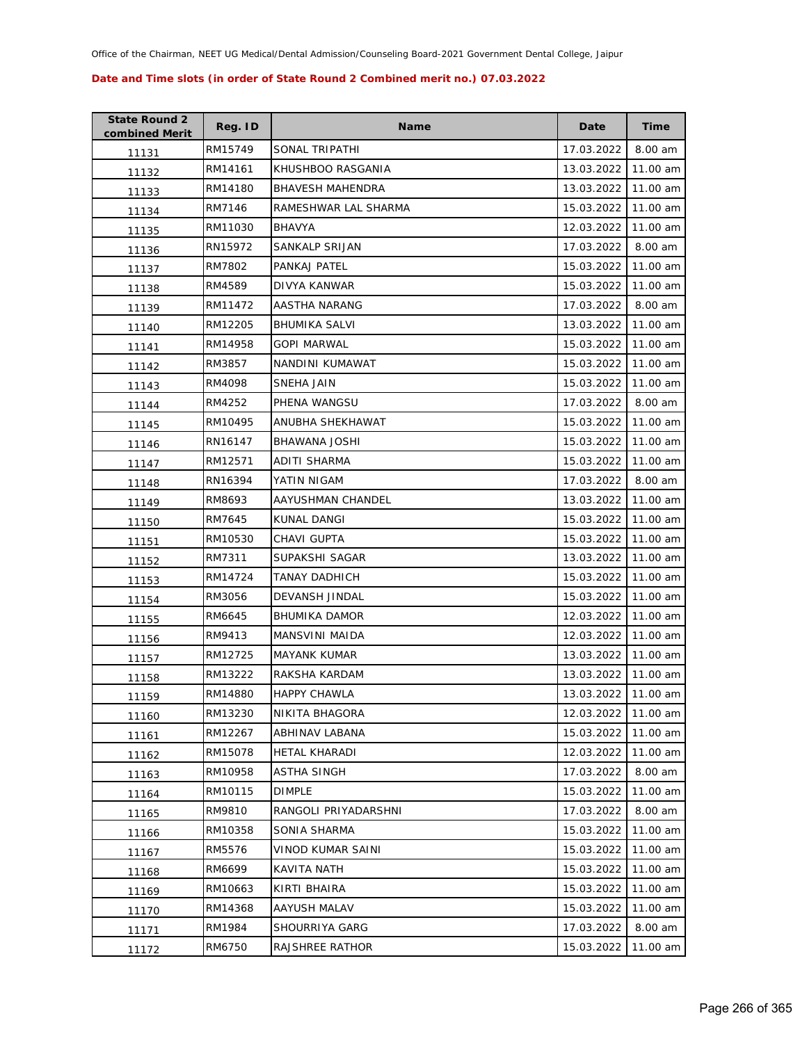| <b>State Round 2</b><br>combined Merit | Reg. ID | <b>Name</b>             | Date       | Time     |
|----------------------------------------|---------|-------------------------|------------|----------|
| 11131                                  | RM15749 | SONAL TRIPATHI          | 17.03.2022 | 8.00 am  |
| 11132                                  | RM14161 | KHUSHBOO RASGANIA       | 13.03.2022 | 11.00 am |
| 11133                                  | RM14180 | <b>BHAVESH MAHENDRA</b> | 13.03.2022 | 11.00 am |
| 11134                                  | RM7146  | RAMESHWAR LAL SHARMA    | 15.03.2022 | 11.00 am |
| 11135                                  | RM11030 | BHAVYA                  | 12.03.2022 | 11.00 am |
| 11136                                  | RN15972 | SANKALP SRIJAN          | 17.03.2022 | 8.00 am  |
| 11137                                  | RM7802  | PANKAJ PATEL            | 15.03.2022 | 11.00 am |
| 11138                                  | RM4589  | DIVYA KANWAR            | 15.03.2022 | 11.00 am |
| 11139                                  | RM11472 | AASTHA NARANG           | 17.03.2022 | 8.00 am  |
| 11140                                  | RM12205 | BHUMIKA SALVI           | 13.03.2022 | 11.00 am |
| 11141                                  | RM14958 | GOPI MARWAL             | 15.03.2022 | 11.00 am |
| 11142                                  | RM3857  | NANDINI KUMAWAT         | 15.03.2022 | 11.00 am |
| 11143                                  | RM4098  | <b>SNEHA JAIN</b>       | 15.03.2022 | 11.00 am |
| 11144                                  | RM4252  | PHENA WANGSU            | 17.03.2022 | 8.00 am  |
| 11145                                  | RM10495 | ANUBHA SHEKHAWAT        | 15.03.2022 | 11.00 am |
| 11146                                  | RN16147 | <b>BHAWANA JOSHI</b>    | 15.03.2022 | 11.00 am |
| 11147                                  | RM12571 | ADITI SHARMA            | 15.03.2022 | 11.00 am |
| 11148                                  | RN16394 | YATIN NIGAM             | 17.03.2022 | 8.00 am  |
| 11149                                  | RM8693  | AAYUSHMAN CHANDEL       | 13.03.2022 | 11.00 am |
| 11150                                  | RM7645  | KUNAL DANGI             | 15.03.2022 | 11.00 am |
| 11151                                  | RM10530 | CHAVI GUPTA             | 15.03.2022 | 11.00 am |
| 11152                                  | RM7311  | SUPAKSHI SAGAR          | 13.03.2022 | 11.00 am |
| 11153                                  | RM14724 | TANAY DADHICH           | 15.03.2022 | 11.00 am |
| 11154                                  | RM3056  | DEVANSH JINDAL          | 15.03.2022 | 11.00 am |
| 11155                                  | RM6645  | <b>BHUMIKA DAMOR</b>    | 12.03.2022 | 11.00 am |
| 11156                                  | RM9413  | MANSVINI MAIDA          | 12.03.2022 | 11.00 am |
| 11157                                  | RM12725 | MAYANK KUMAR            | 13.03.2022 | 11.00 am |
| 11158                                  | RM13222 | RAKSHA KARDAM           | 13.03.2022 | 11.00 am |
| 11159                                  | RM14880 | <b>HAPPY CHAWLA</b>     | 13.03.2022 | 11.00 am |
| 11160                                  | RM13230 | NIKITA BHAGORA          | 12.03.2022 | 11.00 am |
| 11161                                  | RM12267 | ABHINAV LABANA          | 15.03.2022 | 11.00 am |
| 11162                                  | RM15078 | HETAL KHARADI           | 12.03.2022 | 11.00 am |
| 11163                                  | RM10958 | ASTHA SINGH             | 17.03.2022 | 8.00 am  |
| 11164                                  | RM10115 | <b>DIMPLE</b>           | 15.03.2022 | 11.00 am |
| 11165                                  | RM9810  | RANGOLI PRIYADARSHNI    | 17.03.2022 | 8.00 am  |
| 11166                                  | RM10358 | SONIA SHARMA            | 15.03.2022 | 11.00 am |
| 11167                                  | RM5576  | VINOD KUMAR SAINI       | 15.03.2022 | 11.00 am |
| 11168                                  | RM6699  | KAVITA NATH             | 15.03.2022 | 11.00 am |
| 11169                                  | RM10663 | KIRTI BHAIRA            | 15.03.2022 | 11.00 am |
| 11170                                  | RM14368 | AAYUSH MALAV            | 15.03.2022 | 11.00 am |
| 11171                                  | RM1984  | SHOURRIYA GARG          | 17.03.2022 | 8.00 am  |
| 11172                                  | RM6750  | RAJSHREE RATHOR         | 15.03.2022 | 11.00 am |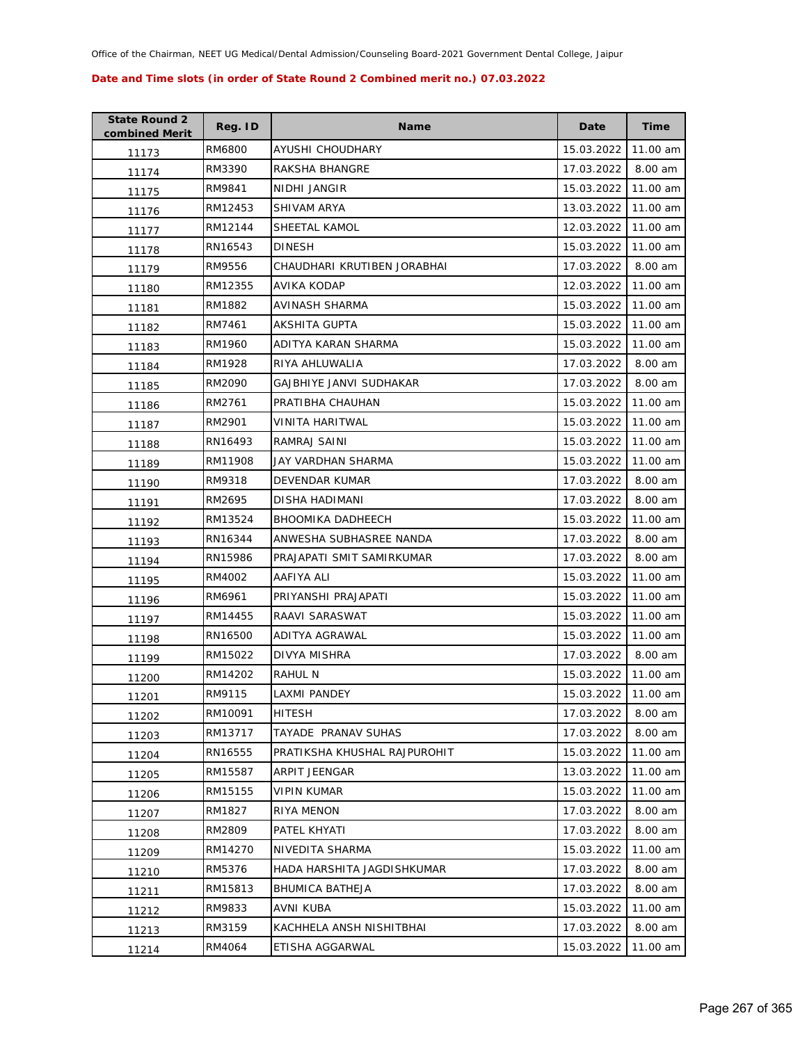| <b>State Round 2</b><br>combined Merit | Reg. ID | <b>Name</b>                  | Date       | <b>Time</b> |
|----------------------------------------|---------|------------------------------|------------|-------------|
| 11173                                  | RM6800  | AYUSHI CHOUDHARY             | 15.03.2022 | 11.00 am    |
| 11174                                  | RM3390  | RAKSHA BHANGRE               | 17.03.2022 | 8.00 am     |
| 11175                                  | RM9841  | NIDHI JANGIR                 | 15.03.2022 | 11.00 am    |
| 11176                                  | RM12453 | SHIVAM ARYA                  | 13.03.2022 | 11.00 am    |
| 11177                                  | RM12144 | SHEETAL KAMOL                | 12.03.2022 | 11.00 am    |
| 11178                                  | RN16543 | <b>DINESH</b>                | 15.03.2022 | 11.00 am    |
| 11179                                  | RM9556  | CHAUDHARI KRUTIBEN JORABHAI  | 17.03.2022 | 8.00 am     |
| 11180                                  | RM12355 | AVIKA KODAP                  | 12.03.2022 | 11.00 am    |
| 11181                                  | RM1882  | AVINASH SHARMA               | 15.03.2022 | 11.00 am    |
| 11182                                  | RM7461  | AKSHITA GUPTA                | 15.03.2022 | 11.00 am    |
| 11183                                  | RM1960  | ADITYA KARAN SHARMA          | 15.03.2022 | 11.00 am    |
| 11184                                  | RM1928  | RIYA AHLUWALIA               | 17.03.2022 | 8.00 am     |
| 11185                                  | RM2090  | GAJBHIYE JANVI SUDHAKAR      | 17.03.2022 | 8.00 am     |
| 11186                                  | RM2761  | PRATIBHA CHAUHAN             | 15.03.2022 | 11.00 am    |
| 11187                                  | RM2901  | VINITA HARITWAL              | 15.03.2022 | 11.00 am    |
| 11188                                  | RN16493 | RAMRAJ SAINI                 | 15.03.2022 | 11.00 am    |
| 11189                                  | RM11908 | JAY VARDHAN SHARMA           | 15.03.2022 | 11.00 am    |
| 11190                                  | RM9318  | DEVENDAR KUMAR               | 17.03.2022 | 8.00 am     |
| 11191                                  | RM2695  | DISHA HADIMANI               | 17.03.2022 | 8.00 am     |
| 11192                                  | RM13524 | <b>BHOOMIKA DADHEECH</b>     | 15.03.2022 | 11.00 am    |
| 11193                                  | RN16344 | ANWESHA SUBHASREE NANDA      | 17.03.2022 | 8.00 am     |
| 11194                                  | RN15986 | PRAJAPATI SMIT SAMIRKUMAR    | 17.03.2022 | 8.00 am     |
| 11195                                  | RM4002  | AAFIYA ALI                   | 15.03.2022 | 11.00 am    |
| 11196                                  | RM6961  | PRIYANSHI PRAJAPATI          | 15.03.2022 | 11.00 am    |
| 11197                                  | RM14455 | RAAVI SARASWAT               | 15.03.2022 | 11.00 am    |
| 11198                                  | RN16500 | ADITYA AGRAWAL               | 15.03.2022 | 11.00 am    |
| 11199                                  | RM15022 | DIVYA MISHRA                 | 17.03.2022 | 8.00 am     |
| 11200                                  | RM14202 | RAHUL N                      | 15.03.2022 | 11.00 am    |
| 11201                                  | RM9115  | LAXMI PANDEY                 | 15.03.2022 | 11.00 am    |
| 11202                                  | RM10091 | <b>HITESH</b>                | 17.03.2022 | 8.00 am     |
| 11203                                  | RM13717 | TAYADE PRANAV SUHAS          | 17.03.2022 | 8.00 am     |
| 11204                                  | RN16555 | PRATIKSHA KHUSHAL RAJPUROHIT | 15.03.2022 | 11.00 am    |
| 11205                                  | RM15587 | ARPIT JEENGAR                | 13.03.2022 | 11.00 am    |
| 11206                                  | RM15155 | <b>VIPIN KUMAR</b>           | 15.03.2022 | 11.00 am    |
| 11207                                  | RM1827  | RIYA MENON                   | 17.03.2022 | 8.00 am     |
| 11208                                  | RM2809  | PATEL KHYATI                 | 17.03.2022 | 8.00 am     |
| 11209                                  | RM14270 | NIVEDITA SHARMA              | 15.03.2022 | 11.00 am    |
| 11210                                  | RM5376  | HADA HARSHITA JAGDISHKUMAR   | 17.03.2022 | 8.00 am     |
| 11211                                  | RM15813 | <b>BHUMICA BATHEJA</b>       | 17.03.2022 | 8.00 am     |
| 11212                                  | RM9833  | AVNI KUBA                    | 15.03.2022 | 11.00 am    |
| 11213                                  | RM3159  | KACHHELA ANSH NISHITBHAI     | 17.03.2022 | 8.00 am     |
| 11214                                  | RM4064  | ETISHA AGGARWAL              | 15.03.2022 | 11.00 am    |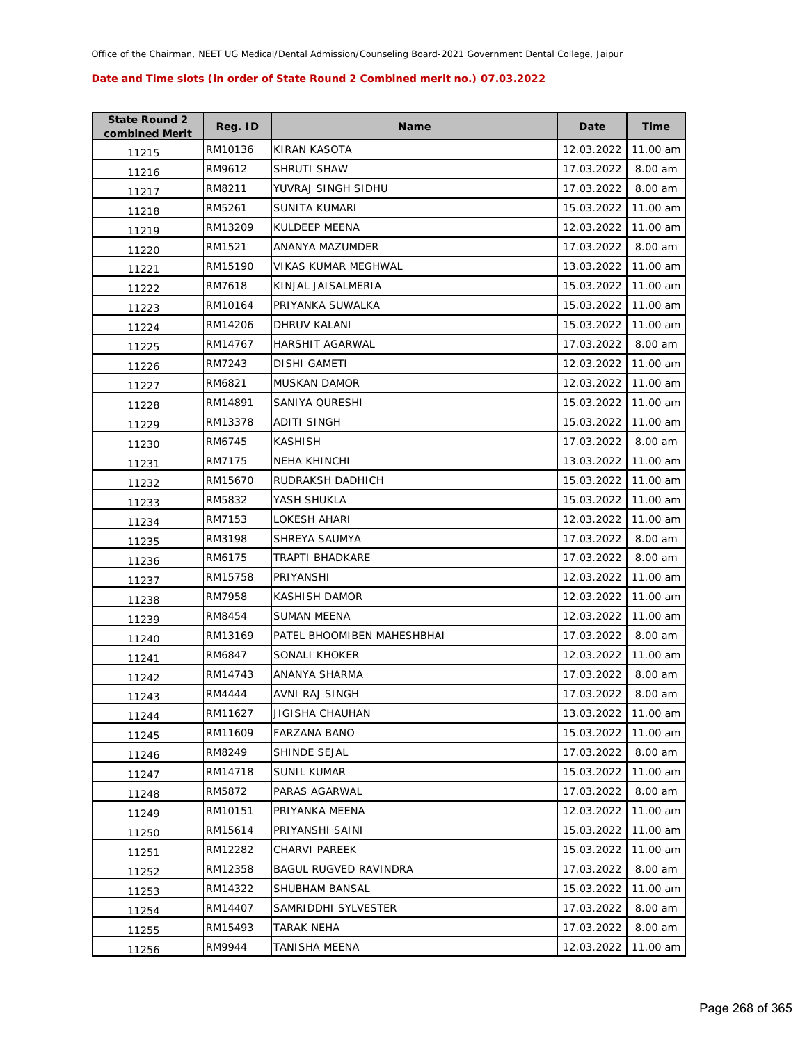| <b>State Round 2</b><br>combined Merit | Reg. ID | <b>Name</b>                | Date       | <b>Time</b> |
|----------------------------------------|---------|----------------------------|------------|-------------|
| 11215                                  | RM10136 | KIRAN KASOTA               | 12.03.2022 | 11.00 am    |
| 11216                                  | RM9612  | SHRUTI SHAW                | 17.03.2022 | 8.00 am     |
| 11217                                  | RM8211  | YUVRAJ SINGH SIDHU         | 17.03.2022 | 8.00 am     |
| 11218                                  | RM5261  | SUNITA KUMARI              | 15.03.2022 | 11.00 am    |
| 11219                                  | RM13209 | KULDEEP MEENA              | 12.03.2022 | 11.00 am    |
| 11220                                  | RM1521  | ANANYA MAZUMDER            | 17.03.2022 | 8.00 am     |
| 11221                                  | RM15190 | VIKAS KUMAR MEGHWAL        | 13.03.2022 | 11.00 am    |
| 11222                                  | RM7618  | KINJAL JAISALMERIA         | 15.03.2022 | 11.00 am    |
| 11223                                  | RM10164 | PRIYANKA SUWALKA           | 15.03.2022 | 11.00 am    |
| 11224                                  | RM14206 | DHRUV KALANI               | 15.03.2022 | 11.00 am    |
| 11225                                  | RM14767 | HARSHIT AGARWAL            | 17.03.2022 | 8.00 am     |
| 11226                                  | RM7243  | DISHI GAMETI               | 12.03.2022 | 11.00 am    |
| 11227                                  | RM6821  | <b>MUSKAN DAMOR</b>        | 12.03.2022 | 11.00 am    |
| 11228                                  | RM14891 | SANIYA QURESHI             | 15.03.2022 | 11.00 am    |
| 11229                                  | RM13378 | <b>ADITI SINGH</b>         | 15.03.2022 | 11.00 am    |
| 11230                                  | RM6745  | KASHISH                    | 17.03.2022 | 8.00 am     |
| 11231                                  | RM7175  | <b>NEHA KHINCHI</b>        | 13.03.2022 | 11.00 am    |
| 11232                                  | RM15670 | RUDRAKSH DADHICH           | 15.03.2022 | 11.00 am    |
| 11233                                  | RM5832  | YASH SHUKLA                | 15.03.2022 | 11.00 am    |
| 11234                                  | RM7153  | LOKESH AHARI               | 12.03.2022 | 11.00 am    |
| 11235                                  | RM3198  | SHREYA SAUMYA              | 17.03.2022 | 8.00 am     |
| 11236                                  | RM6175  | TRAPTI BHADKARE            | 17.03.2022 | 8.00 am     |
| 11237                                  | RM15758 | PRIYANSHI                  | 12.03.2022 | 11.00 am    |
| 11238                                  | RM7958  | KASHISH DAMOR              | 12.03.2022 | 11.00 am    |
| 11239                                  | RM8454  | SUMAN MEENA                | 12.03.2022 | 11.00 am    |
| 11240                                  | RM13169 | PATEL BHOOMIBEN MAHESHBHAI | 17.03.2022 | 8.00 am     |
| 11241                                  | RM6847  | SONALI KHOKER              | 12.03.2022 | 11.00 am    |
| 11242                                  | RM14743 | ANANYA SHARMA              | 17.03.2022 | 8.00 am     |
| 11243                                  | RM4444  | <b>AVNI RAJ SINGH</b>      | 17.03.2022 | 8.00 am     |
| 11244                                  | RM11627 | JIGISHA CHAUHAN            | 13.03.2022 | 11.00 am    |
| 11245                                  | RM11609 | <b>FARZANA BANO</b>        | 15.03.2022 | 11.00 am    |
| 11246                                  | RM8249  | SHINDE SEJAL               | 17.03.2022 | 8.00 am     |
| 11247                                  | RM14718 | SUNIL KUMAR                | 15.03.2022 | 11.00 am    |
| 11248                                  | RM5872  | PARAS AGARWAL              | 17.03.2022 | 8.00 am     |
| 11249                                  | RM10151 | PRIYANKA MEENA             | 12.03.2022 | 11.00 am    |
| 11250                                  | RM15614 | PRIYANSHI SAINI            | 15.03.2022 | 11.00 am    |
| 11251                                  | RM12282 | CHARVI PAREEK              | 15.03.2022 | 11.00 am    |
| 11252                                  | RM12358 | BAGUL RUGVED RAVINDRA      | 17.03.2022 | 8.00 am     |
| 11253                                  | RM14322 | SHUBHAM BANSAL             | 15.03.2022 | 11.00 am    |
| 11254                                  | RM14407 | SAMRIDDHI SYLVESTER        | 17.03.2022 | 8.00 am     |
| 11255                                  | RM15493 | TARAK NEHA                 | 17.03.2022 | 8.00 am     |
| 11256                                  | RM9944  | TANISHA MEENA              | 12.03.2022 | 11.00 am    |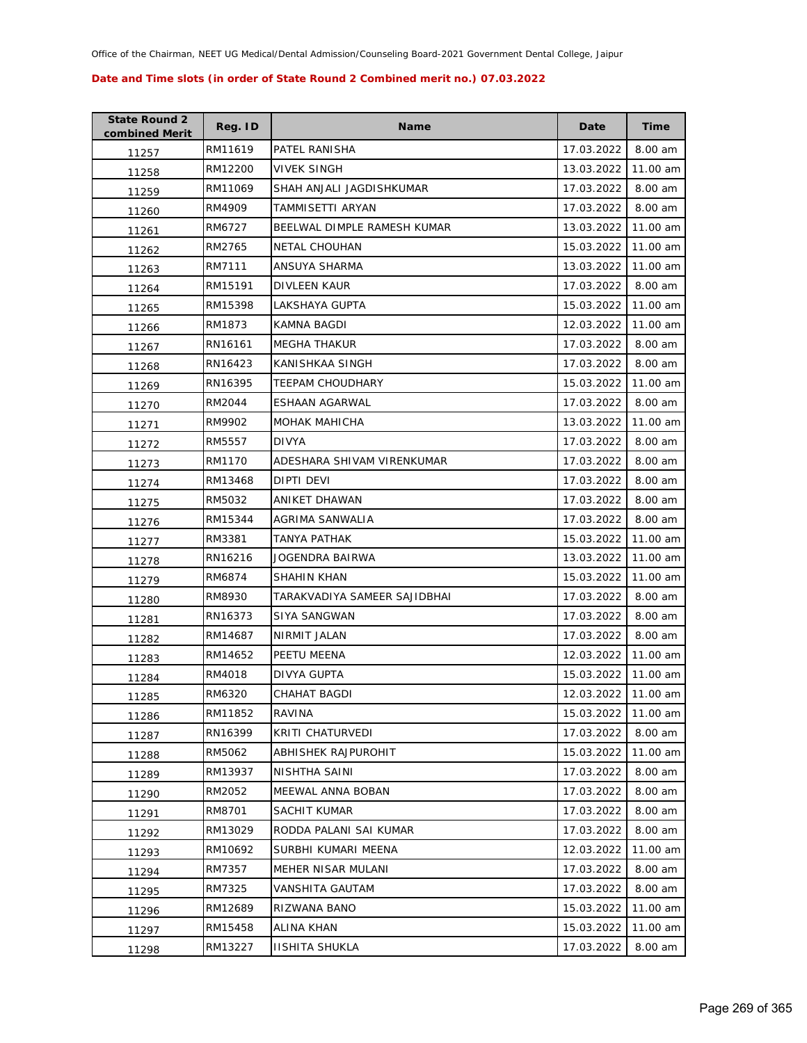| <b>State Round 2</b><br>combined Merit | Reg. ID | <b>Name</b>                  | Date       | Time     |
|----------------------------------------|---------|------------------------------|------------|----------|
| 11257                                  | RM11619 | PATEL RANISHA                | 17.03.2022 | 8.00 am  |
| 11258                                  | RM12200 | <b>VIVEK SINGH</b>           | 13.03.2022 | 11.00 am |
| 11259                                  | RM11069 | SHAH ANJALI JAGDISHKUMAR     | 17.03.2022 | 8.00 am  |
| 11260                                  | RM4909  | TAMMISETTI ARYAN             | 17.03.2022 | 8.00 am  |
| 11261                                  | RM6727  | BEELWAL DIMPLE RAMESH KUMAR  | 13.03.2022 | 11.00 am |
| 11262                                  | RM2765  | <b>NETAL CHOUHAN</b>         | 15.03.2022 | 11.00 am |
| 11263                                  | RM7111  | ANSUYA SHARMA                | 13.03.2022 | 11.00 am |
| 11264                                  | RM15191 | DIVLEEN KAUR                 | 17.03.2022 | 8.00 am  |
| 11265                                  | RM15398 | LAKSHAYA GUPTA               | 15.03.2022 | 11.00 am |
| 11266                                  | RM1873  | KAMNA BAGDI                  | 12.03.2022 | 11.00 am |
| 11267                                  | RN16161 | <b>MEGHA THAKUR</b>          | 17.03.2022 | 8.00 am  |
| 11268                                  | RN16423 | KANISHKAA SINGH              | 17.03.2022 | 8.00 am  |
| 11269                                  | RN16395 | <b>TEEPAM CHOUDHARY</b>      | 15.03.2022 | 11.00 am |
| 11270                                  | RM2044  | ESHAAN AGARWAL               | 17.03.2022 | 8.00 am  |
| 11271                                  | RM9902  | <b>MOHAK MAHICHA</b>         | 13.03.2022 | 11.00 am |
| 11272                                  | RM5557  | <b>DIVYA</b>                 | 17.03.2022 | 8.00 am  |
| 11273                                  | RM1170  | ADESHARA SHIVAM VIRENKUMAR   | 17.03.2022 | 8.00 am  |
| 11274                                  | RM13468 | DIPTI DEVI                   | 17.03.2022 | 8.00 am  |
| 11275                                  | RM5032  | ANIKET DHAWAN                | 17.03.2022 | 8.00 am  |
| 11276                                  | RM15344 | AGRIMA SANWALIA              | 17.03.2022 | 8.00 am  |
| 11277                                  | RM3381  | <b>TANYA PATHAK</b>          | 15.03.2022 | 11.00 am |
| 11278                                  | RN16216 | JOGENDRA BAIRWA              | 13.03.2022 | 11.00 am |
| 11279                                  | RM6874  | SHAHIN KHAN                  | 15.03.2022 | 11.00 am |
| 11280                                  | RM8930  | TARAKVADIYA SAMEER SAJIDBHAI | 17.03.2022 | 8.00 am  |
| 11281                                  | RN16373 | SIYA SANGWAN                 | 17.03.2022 | 8.00 am  |
| 11282                                  | RM14687 | NIRMIT JALAN                 | 17.03.2022 | 8.00 am  |
| 11283                                  | RM14652 | PEETU MEENA                  | 12.03.2022 | 11.00 am |
| 11284                                  | RM4018  | <b>DIVYA GUPTA</b>           | 15.03.2022 | 11.00 am |
| 11285                                  | RM6320  | <b>CHAHAT BAGDI</b>          | 12.03.2022 | 11.00 am |
| 11286                                  | RM11852 | RAVINA                       | 15.03.2022 | 11.00 am |
| 11287                                  | RN16399 | KRITI CHATURVEDI             | 17.03.2022 | 8.00 am  |
| 11288                                  | RM5062  | ABHISHEK RAJPUROHIT          | 15.03.2022 | 11.00 am |
| 11289                                  | RM13937 | NISHTHA SAINI                | 17.03.2022 | 8.00 am  |
| 11290                                  | RM2052  | MEEWAL ANNA BOBAN            | 17.03.2022 | 8.00 am  |
| 11291                                  | RM8701  | SACHIT KUMAR                 | 17.03.2022 | 8.00 am  |
| 11292                                  | RM13029 | RODDA PALANI SAI KUMAR       | 17.03.2022 | 8.00 am  |
| 11293                                  | RM10692 | SURBHI KUMARI MEENA          | 12.03.2022 | 11.00 am |
| 11294                                  | RM7357  | MEHER NISAR MULANI           | 17.03.2022 | 8.00 am  |
| 11295                                  | RM7325  | VANSHITA GAUTAM              | 17.03.2022 | 8.00 am  |
| 11296                                  | RM12689 | RIZWANA BANO                 | 15.03.2022 | 11.00 am |
| 11297                                  | RM15458 | ALINA KHAN                   | 15.03.2022 | 11.00 am |
| 11298                                  | RM13227 | <b>IISHITA SHUKLA</b>        | 17.03.2022 | 8.00 am  |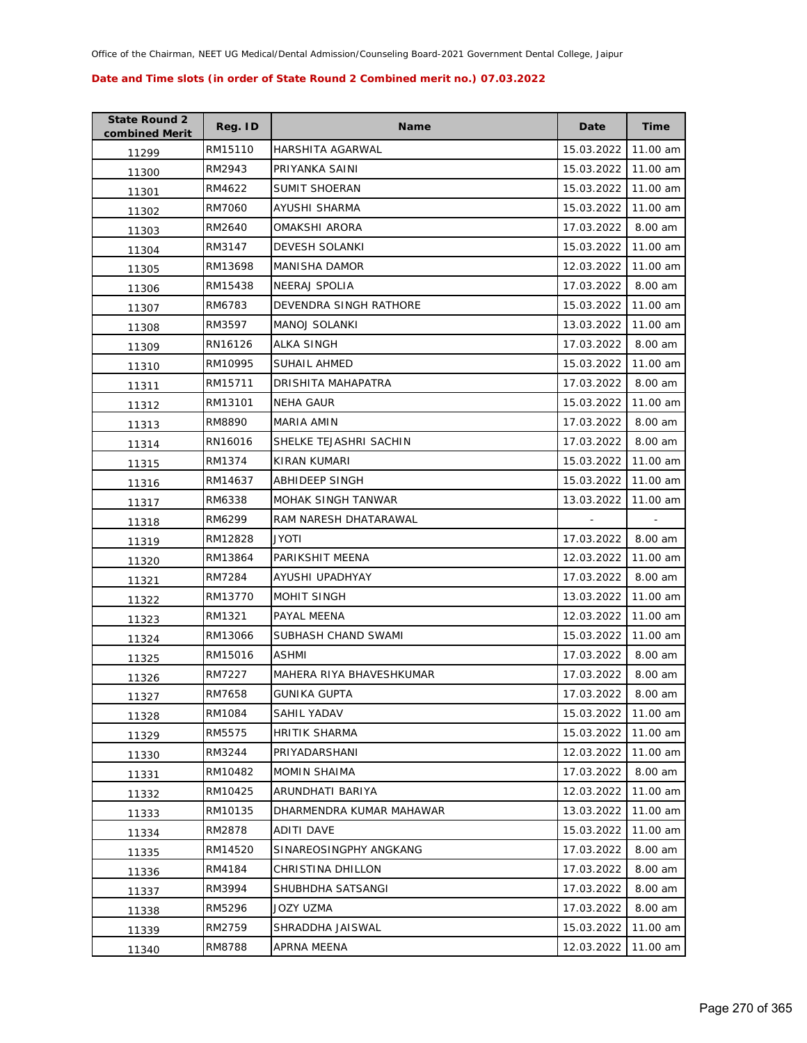| <b>State Round 2</b><br>combined Merit | Reg. ID | <b>Name</b>              | Date       | <b>Time</b> |
|----------------------------------------|---------|--------------------------|------------|-------------|
| 11299                                  | RM15110 | HARSHITA AGARWAL         | 15.03.2022 | 11.00 am    |
| 11300                                  | RM2943  | PRIYANKA SAINI           | 15.03.2022 | 11.00 am    |
| 11301                                  | RM4622  | <b>SUMIT SHOERAN</b>     | 15.03.2022 | 11.00 am    |
| 11302                                  | RM7060  | AYUSHI SHARMA            | 15.03.2022 | 11.00 am    |
| 11303                                  | RM2640  | OMAKSHI ARORA            | 17.03.2022 | 8.00 am     |
| 11304                                  | RM3147  | <b>DEVESH SOLANKI</b>    | 15.03.2022 | 11.00 am    |
| 11305                                  | RM13698 | <b>MANISHA DAMOR</b>     | 12.03.2022 | 11.00 am    |
| 11306                                  | RM15438 | <b>NEERAJ SPOLIA</b>     | 17.03.2022 | 8.00 am     |
| 11307                                  | RM6783  | DEVENDRA SINGH RATHORE   | 15.03.2022 | 11.00 am    |
| 11308                                  | RM3597  | <b>MANOJ SOLANKI</b>     | 13.03.2022 | 11.00 am    |
| 11309                                  | RN16126 | ALKA SINGH               | 17.03.2022 | 8.00 am     |
| 11310                                  | RM10995 | SUHAIL AHMED             | 15.03.2022 | 11.00 am    |
| 11311                                  | RM15711 | DRISHITA MAHAPATRA       | 17.03.2022 | 8.00 am     |
| 11312                                  | RM13101 | NEHA GAUR                | 15.03.2022 | 11.00 am    |
| 11313                                  | RM8890  | <b>MARIA AMIN</b>        | 17.03.2022 | 8.00 am     |
| 11314                                  | RN16016 | SHELKE TEJASHRI SACHIN   | 17.03.2022 | 8.00 am     |
| 11315                                  | RM1374  | KIRAN KUMARI             | 15.03.2022 | 11.00 am    |
| 11316                                  | RM14637 | ABHIDEEP SINGH           | 15.03.2022 | 11.00 am    |
| 11317                                  | RM6338  | MOHAK SINGH TANWAR       | 13.03.2022 | 11.00 am    |
| 11318                                  | RM6299  | RAM NARESH DHATARAWAL    |            |             |
| 11319                                  | RM12828 | <b>ITOYL</b>             | 17.03.2022 | 8.00 am     |
| 11320                                  | RM13864 | PARIKSHIT MEENA          | 12.03.2022 | 11.00 am    |
| 11321                                  | RM7284  | AYUSHI UPADHYAY          | 17.03.2022 | 8.00 am     |
| 11322                                  | RM13770 | MOHIT SINGH              | 13.03.2022 | 11.00 am    |
| 11323                                  | RM1321  | PAYAL MEENA              | 12.03.2022 | 11.00 am    |
| 11324                                  | RM13066 | SUBHASH CHAND SWAMI      | 15.03.2022 | 11.00 am    |
| 11325                                  | RM15016 | ASHMI                    | 17.03.2022 | 8.00 am     |
| 11326                                  | RM7227  | MAHERA RIYA BHAVESHKUMAR | 17.03.2022 | 8.00 am     |
| 11327                                  | RM7658  | <b>GUNIKA GUPTA</b>      | 17.03.2022 | 8.00 am     |
| 11328                                  | RM1084  | SAHIL YADAV              | 15.03.2022 | 11.00 am    |
| 11329                                  | RM5575  | <b>HRITIK SHARMA</b>     | 15.03.2022 | 11.00 am    |
| 11330                                  | RM3244  | PRIYADARSHANI            | 12.03.2022 | 11.00 am    |
| 11331                                  | RM10482 | <b>MOMIN SHAIMA</b>      | 17.03.2022 | 8.00 am     |
| 11332                                  | RM10425 | ARUNDHATI BARIYA         | 12.03.2022 | 11.00 am    |
| 11333                                  | RM10135 | DHARMENDRA KUMAR MAHAWAR | 13.03.2022 | 11.00 am    |
| 11334                                  | RM2878  | ADITI DAVE               | 15.03.2022 | 11.00 am    |
| 11335                                  | RM14520 | SINAREOSINGPHY ANGKANG   | 17.03.2022 | 8.00 am     |
| 11336                                  | RM4184  | CHRISTINA DHILLON        | 17.03.2022 | 8.00 am     |
| 11337                                  | RM3994  | SHUBHDHA SATSANGI        | 17.03.2022 | 8.00 am     |
| 11338                                  | RM5296  | JOZY UZMA                | 17.03.2022 | 8.00 am     |
| 11339                                  | RM2759  | SHRADDHA JAISWAL         | 15.03.2022 | 11.00 am    |
| 11340                                  | RM8788  | APRNA MEENA              | 12.03.2022 | 11.00 am    |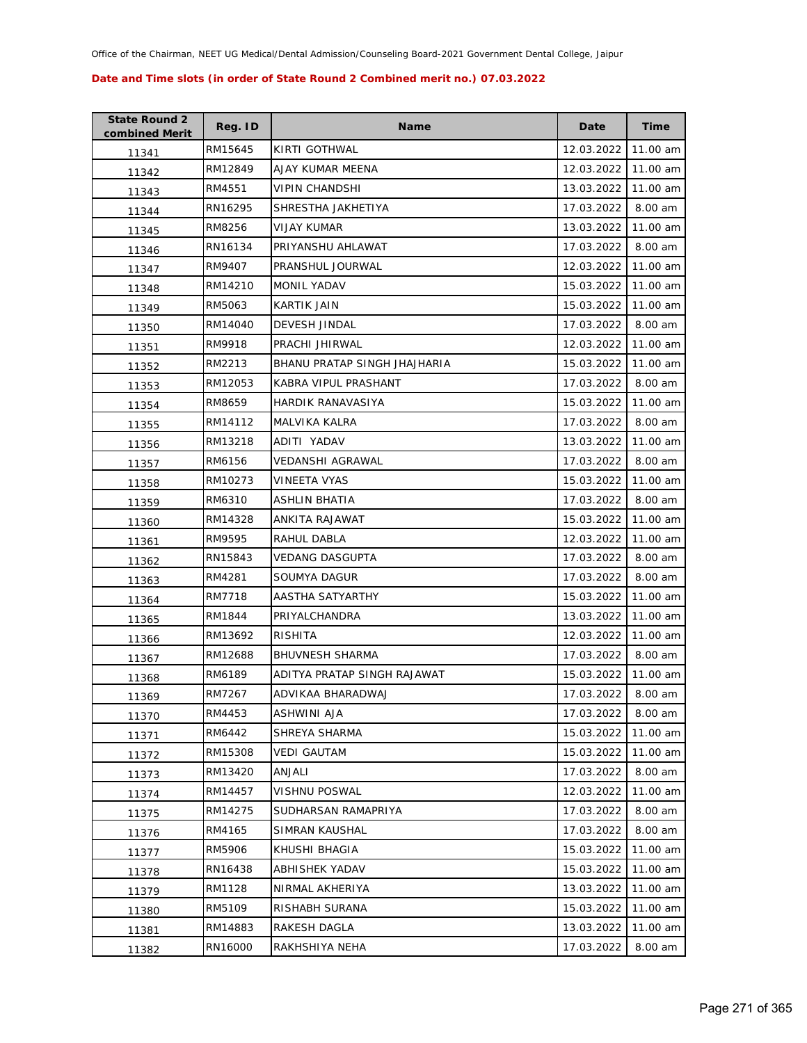| <b>State Round 2</b><br>combined Merit | Reg. ID | <b>Name</b>                  | Date       | <b>Time</b> |
|----------------------------------------|---------|------------------------------|------------|-------------|
| 11341                                  | RM15645 | KIRTI GOTHWAL                | 12.03.2022 | 11.00 am    |
| 11342                                  | RM12849 | AJAY KUMAR MEENA             | 12.03.2022 | 11.00 am    |
| 11343                                  | RM4551  | VIPIN CHANDSHI               | 13.03.2022 | 11.00 am    |
| 11344                                  | RN16295 | SHRESTHA JAKHETIYA           | 17.03.2022 | 8.00 am     |
| 11345                                  | RM8256  | VIJAY KUMAR                  | 13.03.2022 | 11.00 am    |
| 11346                                  | RN16134 | PRIYANSHU AHLAWAT            | 17.03.2022 | 8.00 am     |
| 11347                                  | RM9407  | PRANSHUL JOURWAL             | 12.03.2022 | 11.00 am    |
| 11348                                  | RM14210 | <b>MONIL YADAV</b>           | 15.03.2022 | 11.00 am    |
| 11349                                  | RM5063  | KARTIK JAIN                  | 15.03.2022 | 11.00 am    |
| 11350                                  | RM14040 | DEVESH JINDAL                | 17.03.2022 | 8.00 am     |
| 11351                                  | RM9918  | PRACHI JHIRWAL               | 12.03.2022 | 11.00 am    |
| 11352                                  | RM2213  | BHANU PRATAP SINGH JHAJHARIA | 15.03.2022 | 11.00 am    |
| 11353                                  | RM12053 | KABRA VIPUL PRASHANT         | 17.03.2022 | 8.00 am     |
| 11354                                  | RM8659  | HARDIK RANAVASIYA            | 15.03.2022 | 11.00 am    |
| 11355                                  | RM14112 | MALVIKA KALRA                | 17.03.2022 | 8.00 am     |
| 11356                                  | RM13218 | ADITI YADAV                  | 13.03.2022 | 11.00 am    |
| 11357                                  | RM6156  | VEDANSHI AGRAWAL             | 17.03.2022 | 8.00 am     |
| 11358                                  | RM10273 | VINEETA VYAS                 | 15.03.2022 | 11.00 am    |
| 11359                                  | RM6310  | ASHLIN BHATIA                | 17.03.2022 | 8.00 am     |
| 11360                                  | RM14328 | ANKITA RAJAWAT               | 15.03.2022 | 11.00 am    |
| 11361                                  | RM9595  | RAHUL DABLA                  | 12.03.2022 | 11.00 am    |
| 11362                                  | RN15843 | <b>VEDANG DASGUPTA</b>       | 17.03.2022 | 8.00 am     |
| 11363                                  | RM4281  | SOUMYA DAGUR                 | 17.03.2022 | 8.00 am     |
| 11364                                  | RM7718  | AASTHA SATYARTHY             | 15.03.2022 | 11.00 am    |
| 11365                                  | RM1844  | PRIYALCHANDRA                | 13.03.2022 | 11.00 am    |
| 11366                                  | RM13692 | <b>RISHITA</b>               | 12.03.2022 | 11.00 am    |
| 11367                                  | RM12688 | <b>BHUVNESH SHARMA</b>       | 17.03.2022 | 8.00 am     |
| 11368                                  | RM6189  | ADITYA PRATAP SINGH RAJAWAT  | 15.03.2022 | 11.00 am    |
| 11369                                  | RM7267  | ADVIKAA BHARADWAJ            | 17.03.2022 | 8.00 am     |
| 11370                                  | RM4453  | ASHWINI AJA                  | 17.03.2022 | 8.00 am     |
| 11371                                  | RM6442  | SHREYA SHARMA                | 15.03.2022 | 11.00 am    |
| 11372                                  | RM15308 | <b>VEDI GAUTAM</b>           | 15.03.2022 | 11.00 am    |
| 11373                                  | RM13420 | ANJALI                       | 17.03.2022 | 8.00 am     |
| 11374                                  | RM14457 | <b>VISHNU POSWAL</b>         | 12.03.2022 | 11.00 am    |
| 11375                                  | RM14275 | SUDHARSAN RAMAPRIYA          | 17.03.2022 | 8.00 am     |
| 11376                                  | RM4165  | SIMRAN KAUSHAL               | 17.03.2022 | 8.00 am     |
| 11377                                  | RM5906  | KHUSHI BHAGIA                | 15.03.2022 | 11.00 am    |
| 11378                                  | RN16438 | ABHISHEK YADAV               | 15.03.2022 | 11.00 am    |
| 11379                                  | RM1128  | NIRMAL AKHERIYA              | 13.03.2022 | 11.00 am    |
| 11380                                  | RM5109  | RISHABH SURANA               | 15.03.2022 | 11.00 am    |
| 11381                                  | RM14883 | RAKESH DAGLA                 | 13.03.2022 | 11.00 am    |
| 11382                                  | RN16000 | RAKHSHIYA NEHA               | 17.03.2022 | 8.00 am     |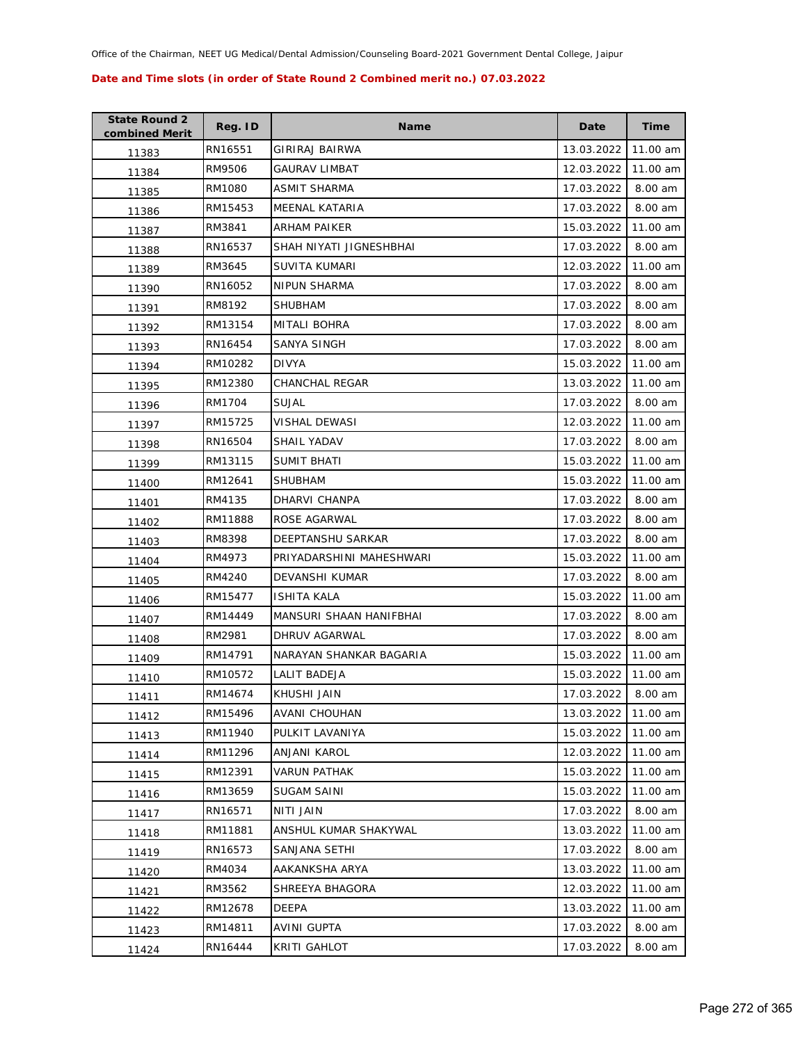| <b>State Round 2</b><br>combined Merit | Reg. ID | <b>Name</b>              | Date       | <b>Time</b> |
|----------------------------------------|---------|--------------------------|------------|-------------|
| 11383                                  | RN16551 | GIRIRAJ BAIRWA           | 13.03.2022 | 11.00 am    |
| 11384                                  | RM9506  | GAURAV LIMBAT            | 12.03.2022 | 11.00 am    |
| 11385                                  | RM1080  | ASMIT SHARMA             | 17.03.2022 | 8.00 am     |
| 11386                                  | RM15453 | MEENAL KATARIA           | 17.03.2022 | 8.00 am     |
| 11387                                  | RM3841  | ARHAM PAIKER             | 15.03.2022 | 11.00 am    |
| 11388                                  | RN16537 | SHAH NIYATI JIGNESHBHAI  | 17.03.2022 | 8.00 am     |
| 11389                                  | RM3645  | SUVITA KUMARI            | 12.03.2022 | 11.00 am    |
| 11390                                  | RN16052 | NIPUN SHARMA             | 17.03.2022 | 8.00 am     |
| 11391                                  | RM8192  | <b>SHUBHAM</b>           | 17.03.2022 | 8.00 am     |
| 11392                                  | RM13154 | MITALI BOHRA             | 17.03.2022 | 8.00 am     |
| 11393                                  | RN16454 | SANYA SINGH              | 17.03.2022 | 8.00 am     |
| 11394                                  | RM10282 | <b>DIVYA</b>             | 15.03.2022 | 11.00 am    |
| 11395                                  | RM12380 | <b>CHANCHAL REGAR</b>    | 13.03.2022 | 11.00 am    |
| 11396                                  | RM1704  | SUJAL                    | 17.03.2022 | 8.00 am     |
| 11397                                  | RM15725 | VISHAL DEWASI            | 12.03.2022 | 11.00 am    |
| 11398                                  | RN16504 | SHAIL YADAV              | 17.03.2022 | 8.00 am     |
| 11399                                  | RM13115 | <b>SUMIT BHATI</b>       | 15.03.2022 | 11.00 am    |
| 11400                                  | RM12641 | <b>SHUBHAM</b>           | 15.03.2022 | 11.00 am    |
| 11401                                  | RM4135  | DHARVI CHANPA            | 17.03.2022 | 8.00 am     |
| 11402                                  | RM11888 | ROSE AGARWAL             | 17.03.2022 | 8.00 am     |
| 11403                                  | RM8398  | DEEPTANSHU SARKAR        | 17.03.2022 | 8.00 am     |
| 11404                                  | RM4973  | PRIYADARSHINI MAHESHWARI | 15.03.2022 | 11.00 am    |
| 11405                                  | RM4240  | DEVANSHI KUMAR           | 17.03.2022 | 8.00 am     |
| 11406                                  | RM15477 | <b>ISHITA KALA</b>       | 15.03.2022 | 11.00 am    |
| 11407                                  | RM14449 | MANSURI SHAAN HANIFBHAI  | 17.03.2022 | 8.00 am     |
| 11408                                  | RM2981  | DHRUV AGARWAL            | 17.03.2022 | 8.00 am     |
| 11409                                  | RM14791 | NARAYAN SHANKAR BAGARIA  | 15.03.2022 | 11.00 am    |
| 11410                                  | RM10572 | <b>LALIT BADEJA</b>      | 15.03.2022 | 11.00 am    |
| 11411                                  | RM14674 | KHUSHI JAIN              | 17.03.2022 | 8.00 am     |
| 11412                                  | RM15496 | <b>AVANI CHOUHAN</b>     | 13.03.2022 | 11.00 am    |
| 11413                                  | RM11940 | PULKIT LAVANIYA          | 15.03.2022 | 11.00 am    |
| 11414                                  | RM11296 | ANJANI KAROL             | 12.03.2022 | 11.00 am    |
| 11415                                  | RM12391 | <b>VARUN PATHAK</b>      | 15.03.2022 | 11.00 am    |
| 11416                                  | RM13659 | SUGAM SAINI              | 15.03.2022 | 11.00 am    |
| 11417                                  | RN16571 | NITI JAIN                | 17.03.2022 | 8.00 am     |
| 11418                                  | RM11881 | ANSHUL KUMAR SHAKYWAL    | 13.03.2022 | 11.00 am    |
| 11419                                  | RN16573 | SANJANA SETHI            | 17.03.2022 | 8.00 am     |
| 11420                                  | RM4034  | AAKANKSHA ARYA           | 13.03.2022 | 11.00 am    |
| 11421                                  | RM3562  | SHREEYA BHAGORA          | 12.03.2022 | 11.00 am    |
| 11422                                  | RM12678 | DEEPA                    | 13.03.2022 | 11.00 am    |
| 11423                                  | RM14811 | AVINI GUPTA              | 17.03.2022 | 8.00 am     |
| 11424                                  | RN16444 | KRITI GAHLOT             | 17.03.2022 | 8.00 am     |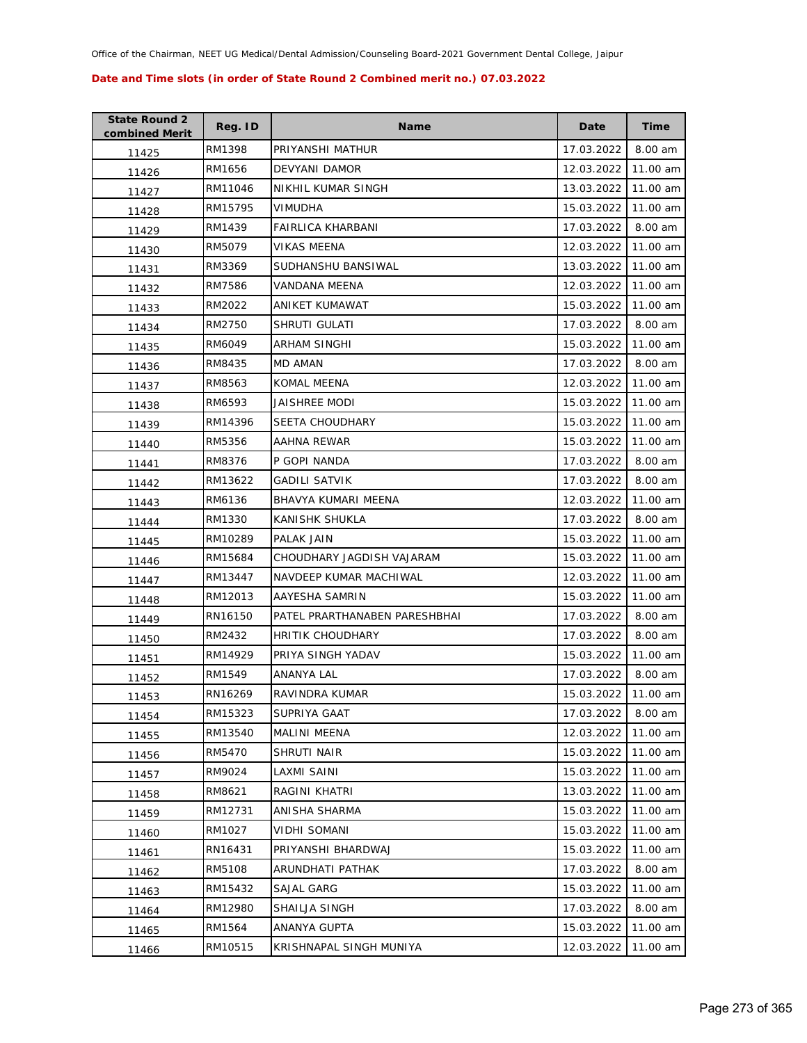| <b>State Round 2</b><br>combined Merit | Reg. ID | <b>Name</b>                   | Date       | Time     |
|----------------------------------------|---------|-------------------------------|------------|----------|
| 11425                                  | RM1398  | PRIYANSHI MATHUR              | 17.03.2022 | 8.00 am  |
| 11426                                  | RM1656  | DEVYANI DAMOR                 | 12.03.2022 | 11.00 am |
| 11427                                  | RM11046 | NIKHIL KUMAR SINGH            | 13.03.2022 | 11.00 am |
| 11428                                  | RM15795 | <b>VIMUDHA</b>                | 15.03.2022 | 11.00 am |
| 11429                                  | RM1439  | FAIRLICA KHARBANI             | 17.03.2022 | 8.00 am  |
| 11430                                  | RM5079  | <b>VIKAS MEENA</b>            | 12.03.2022 | 11.00 am |
| 11431                                  | RM3369  | SUDHANSHU BANSIWAL            | 13.03.2022 | 11.00 am |
| 11432                                  | RM7586  | VANDANA MEENA                 | 12.03.2022 | 11.00 am |
| 11433                                  | RM2022  | ANIKET KUMAWAT                | 15.03.2022 | 11.00 am |
| 11434                                  | RM2750  | SHRUTI GULATI                 | 17.03.2022 | 8.00 am  |
| 11435                                  | RM6049  | ARHAM SINGHI                  | 15.03.2022 | 11.00 am |
| 11436                                  | RM8435  | MD AMAN                       | 17.03.2022 | 8.00 am  |
| 11437                                  | RM8563  | <b>KOMAL MEENA</b>            | 12.03.2022 | 11.00 am |
| 11438                                  | RM6593  | JAISHREE MODI                 | 15.03.2022 | 11.00 am |
| 11439                                  | RM14396 | <b>SEETA CHOUDHARY</b>        | 15.03.2022 | 11.00 am |
| 11440                                  | RM5356  | AAHNA REWAR                   | 15.03.2022 | 11.00 am |
| 11441                                  | RM8376  | P GOPI NANDA                  | 17.03.2022 | 8.00 am  |
| 11442                                  | RM13622 | <b>GADILI SATVIK</b>          | 17.03.2022 | 8.00 am  |
| 11443                                  | RM6136  | BHAVYA KUMARI MEENA           | 12.03.2022 | 11.00 am |
| 11444                                  | RM1330  | KANISHK SHUKLA                | 17.03.2022 | 8.00 am  |
| 11445                                  | RM10289 | PALAK JAIN                    | 15.03.2022 | 11.00 am |
| 11446                                  | RM15684 | CHOUDHARY JAGDISH VAJARAM     | 15.03.2022 | 11.00 am |
| 11447                                  | RM13447 | NAVDEEP KUMAR MACHIWAL        | 12.03.2022 | 11.00 am |
| 11448                                  | RM12013 | AAYESHA SAMRIN                | 15.03.2022 | 11.00 am |
| 11449                                  | RN16150 | PATEL PRARTHANABEN PARESHBHAI | 17.03.2022 | 8.00 am  |
| 11450                                  | RM2432  | HRITIK CHOUDHARY              | 17.03.2022 | 8.00 am  |
| 11451                                  | RM14929 | PRIYA SINGH YADAV             | 15.03.2022 | 11.00 am |
| 11452                                  | RM1549  | ANANYA LAL                    | 17.03.2022 | 8.00 am  |
| 11453                                  | RN16269 | RAVINDRA KUMAR                | 15.03.2022 | 11.00 am |
| 11454                                  | RM15323 | SUPRIYA GAAT                  | 17.03.2022 | 8.00 am  |
| 11455                                  | RM13540 | MALINI MEENA                  | 12.03.2022 | 11.00 am |
| 11456                                  | RM5470  | SHRUTI NAIR                   | 15.03.2022 | 11.00 am |
| 11457                                  | RM9024  | LAXMI SAINI                   | 15.03.2022 | 11.00 am |
| 11458                                  | RM8621  | RAGINI KHATRI                 | 13.03.2022 | 11.00 am |
| 11459                                  | RM12731 | ANISHA SHARMA                 | 15.03.2022 | 11.00 am |
| 11460                                  | RM1027  | VIDHI SOMANI                  | 15.03.2022 | 11.00 am |
| 11461                                  | RN16431 | PRIYANSHI BHARDWAJ            | 15.03.2022 | 11.00 am |
| 11462                                  | RM5108  | ARUNDHATI PATHAK              | 17.03.2022 | 8.00 am  |
| 11463                                  | RM15432 | SAJAL GARG                    | 15.03.2022 | 11.00 am |
| 11464                                  | RM12980 | SHAILJA SINGH                 | 17.03.2022 | 8.00 am  |
| 11465                                  | RM1564  | ANANYA GUPTA                  | 15.03.2022 | 11.00 am |
| 11466                                  | RM10515 | KRISHNAPAL SINGH MUNIYA       | 12.03.2022 | 11.00 am |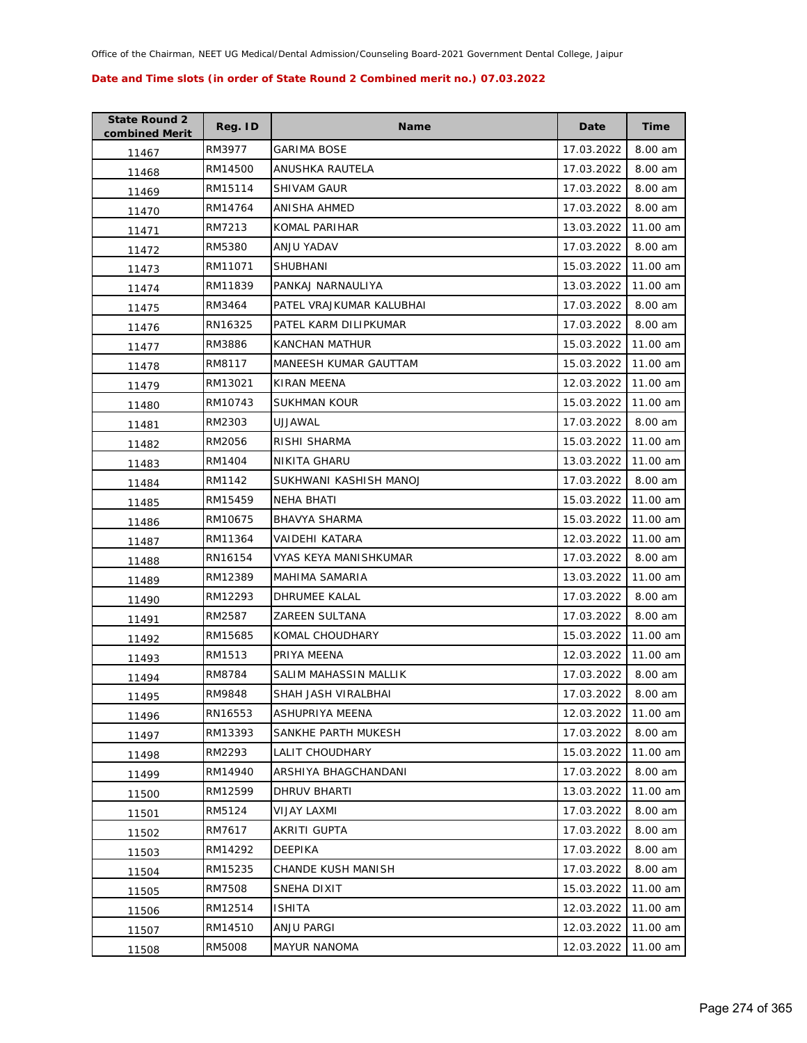| <b>State Round 2</b><br>combined Merit | Reg. ID | Name                     | Date       | <b>Time</b> |
|----------------------------------------|---------|--------------------------|------------|-------------|
| 11467                                  | RM3977  | GARIMA BOSE              | 17.03.2022 | 8.00 am     |
| 11468                                  | RM14500 | ANUSHKA RAUTELA          | 17.03.2022 | 8.00 am     |
| 11469                                  | RM15114 | <b>SHIVAM GAUR</b>       | 17.03.2022 | 8.00 am     |
| 11470                                  | RM14764 | ANISHA AHMED             | 17.03.2022 | 8.00 am     |
| 11471                                  | RM7213  | KOMAL PARIHAR            | 13.03.2022 | 11.00 am    |
| 11472                                  | RM5380  | ANJU YADAV               | 17.03.2022 | 8.00 am     |
| 11473                                  | RM11071 | SHUBHANI                 | 15.03.2022 | 11.00 am    |
| 11474                                  | RM11839 | PANKAJ NARNAULIYA        | 13.03.2022 | 11.00 am    |
| 11475                                  | RM3464  | PATEL VRAJKUMAR KALUBHAI | 17.03.2022 | 8.00 am     |
| 11476                                  | RN16325 | PATEL KARM DILIPKUMAR    | 17.03.2022 | 8.00 am     |
| 11477                                  | RM3886  | KANCHAN MATHUR           | 15.03.2022 | 11.00 am    |
| 11478                                  | RM8117  | MANEESH KUMAR GAUTTAM    | 15.03.2022 | 11.00 am    |
| 11479                                  | RM13021 | KIRAN MEENA              | 12.03.2022 | 11.00 am    |
| 11480                                  | RM10743 | <b>SUKHMAN KOUR</b>      | 15.03.2022 | 11.00 am    |
| 11481                                  | RM2303  | UJJAWAL                  | 17.03.2022 | 8.00 am     |
| 11482                                  | RM2056  | RISHI SHARMA             | 15.03.2022 | 11.00 am    |
| 11483                                  | RM1404  | <b>NIKITA GHARU</b>      | 13.03.2022 | 11.00 am    |
| 11484                                  | RM1142  | SUKHWANI KASHISH MANOJ   | 17.03.2022 | 8.00 am     |
| 11485                                  | RM15459 | NEHA BHATI               | 15.03.2022 | 11.00 am    |
| 11486                                  | RM10675 | <b>BHAVYA SHARMA</b>     | 15.03.2022 | 11.00 am    |
| 11487                                  | RM11364 | VAIDEHI KATARA           | 12.03.2022 | 11.00 am    |
| 11488                                  | RN16154 | VYAS KEYA MANISHKUMAR    | 17.03.2022 | 8.00 am     |
| 11489                                  | RM12389 | MAHIMA SAMARIA           | 13.03.2022 | 11.00 am    |
| 11490                                  | RM12293 | DHRUMEE KALAL            | 17.03.2022 | 8.00 am     |
| 11491                                  | RM2587  | <b>ZAREEN SULTANA</b>    | 17.03.2022 | 8.00 am     |
| 11492                                  | RM15685 | KOMAL CHOUDHARY          | 15.03.2022 | 11.00 am    |
| 11493                                  | RM1513  | PRIYA MEENA              | 12.03.2022 | 11.00 am    |
| 11494                                  | RM8784  | SALIM MAHASSIN MALLIK    | 17.03.2022 | 8.00 am     |
| 11495                                  | RM9848  | SHAH JASH VIRALBHAI      | 17.03.2022 | 8.00 am     |
| 11496                                  | RN16553 | ASHUPRIYA MEENA          | 12.03.2022 | 11.00 am    |
| 11497                                  | RM13393 | SANKHE PARTH MUKESH      | 17.03.2022 | 8.00 am     |
| 11498                                  | RM2293  | <b>LALIT CHOUDHARY</b>   | 15.03.2022 | 11.00 am    |
| 11499                                  | RM14940 | ARSHIYA BHAGCHANDANI     | 17.03.2022 | 8.00 am     |
| 11500                                  | RM12599 | DHRUV BHARTI             | 13.03.2022 | 11.00 am    |
| 11501                                  | RM5124  | <b>VIJAY LAXMI</b>       | 17.03.2022 | 8.00 am     |
| 11502                                  | RM7617  | AKRITI GUPTA             | 17.03.2022 | 8.00 am     |
| 11503                                  | RM14292 | DEEPIKA                  | 17.03.2022 | 8.00 am     |
| 11504                                  | RM15235 | CHANDE KUSH MANISH       | 17.03.2022 | 8.00 am     |
| 11505                                  | RM7508  | SNEHA DIXIT              | 15.03.2022 | 11.00 am    |
| 11506                                  | RM12514 | <b>ISHITA</b>            | 12.03.2022 | 11.00 am    |
| 11507                                  | RM14510 | ANJU PARGI               | 12.03.2022 | 11.00 am    |
| 11508                                  | RM5008  | <b>MAYUR NANOMA</b>      | 12.03.2022 | 11.00 am    |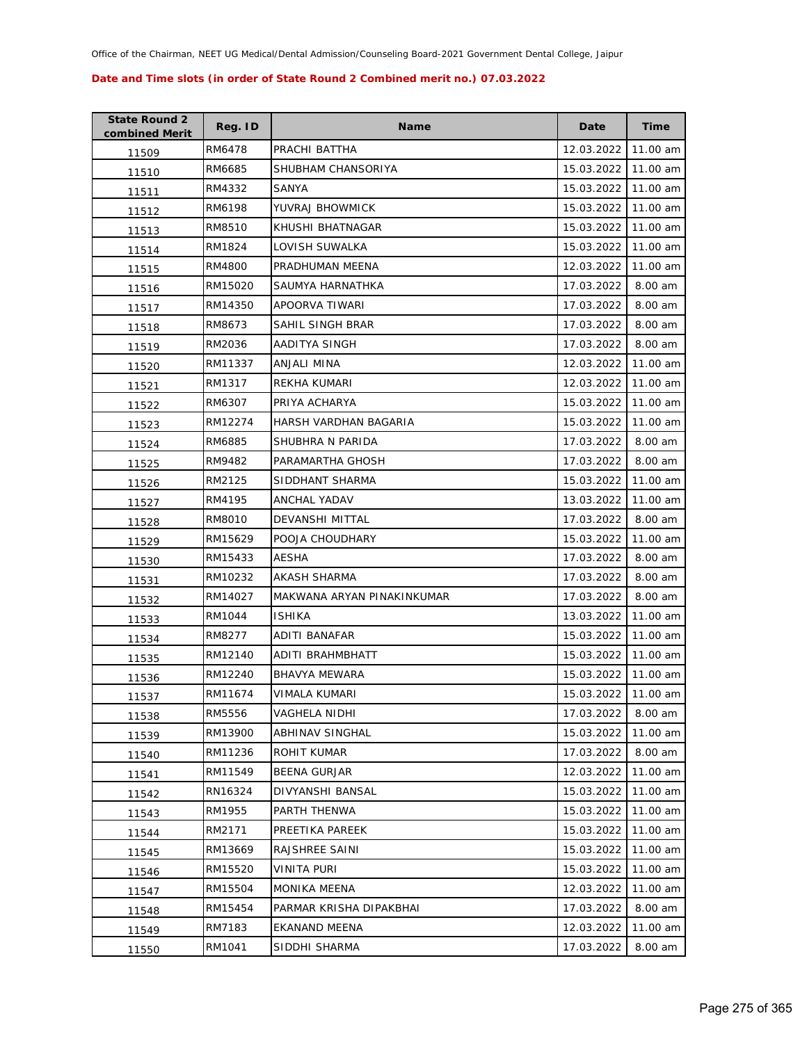| <b>State Round 2</b><br>combined Merit | Reg. ID | Name                       | Date       | <b>Time</b> |
|----------------------------------------|---------|----------------------------|------------|-------------|
| 11509                                  | RM6478  | PRACHI BATTHA              | 12.03.2022 | 11.00 am    |
| 11510                                  | RM6685  | SHUBHAM CHANSORIYA         | 15.03.2022 | 11.00 am    |
| 11511                                  | RM4332  | SANYA                      | 15.03.2022 | 11.00 am    |
| 11512                                  | RM6198  | YUVRAJ BHOWMICK            | 15.03.2022 | 11.00 am    |
| 11513                                  | RM8510  | KHUSHI BHATNAGAR           | 15.03.2022 | 11.00 am    |
| 11514                                  | RM1824  | LOVISH SUWALKA             | 15.03.2022 | 11.00 am    |
| 11515                                  | RM4800  | PRADHUMAN MEENA            | 12.03.2022 | 11.00 am    |
| 11516                                  | RM15020 | SAUMYA HARNATHKA           | 17.03.2022 | 8.00 am     |
| 11517                                  | RM14350 | APOORVA TIWARI             | 17.03.2022 | 8.00 am     |
| 11518                                  | RM8673  | SAHIL SINGH BRAR           | 17.03.2022 | 8.00 am     |
| 11519                                  | RM2036  | AADITYA SINGH              | 17.03.2022 | 8.00 am     |
| 11520                                  | RM11337 | ANJALI MINA                | 12.03.2022 | 11.00 am    |
| 11521                                  | RM1317  | REKHA KUMARI               | 12.03.2022 | 11.00 am    |
| 11522                                  | RM6307  | PRIYA ACHARYA              | 15.03.2022 | 11.00 am    |
| 11523                                  | RM12274 | HARSH VARDHAN BAGARIA      | 15.03.2022 | 11.00 am    |
| 11524                                  | RM6885  | SHUBHRA N PARIDA           | 17.03.2022 | 8.00 am     |
| 11525                                  | RM9482  | PARAMARTHA GHOSH           | 17.03.2022 | 8.00 am     |
| 11526                                  | RM2125  | SIDDHANT SHARMA            | 15.03.2022 | 11.00 am    |
| 11527                                  | RM4195  | ANCHAL YADAV               | 13.03.2022 | 11.00 am    |
| 11528                                  | RM8010  | DEVANSHI MITTAL            | 17.03.2022 | 8.00 am     |
| 11529                                  | RM15629 | POOJA CHOUDHARY            | 15.03.2022 | 11.00 am    |
| 11530                                  | RM15433 | <b>AESHA</b>               | 17.03.2022 | 8.00 am     |
| 11531                                  | RM10232 | AKASH SHARMA               | 17.03.2022 | 8.00 am     |
| 11532                                  | RM14027 | MAKWANA ARYAN PINAKINKUMAR | 17.03.2022 | 8.00 am     |
| 11533                                  | RM1044  | <b>ISHIKA</b>              | 13.03.2022 | 11.00 am    |
| 11534                                  | RM8277  | <b>ADITI BANAFAR</b>       | 15.03.2022 | 11.00 am    |
| 11535                                  | RM12140 | ADITI BRAHMBHATT           | 15.03.2022 | 11.00 am    |
| 11536                                  | RM12240 | <b>BHAVYA MEWARA</b>       | 15.03.2022 | 11.00 am    |
| 11537                                  | RM11674 | VIMALA KUMARI              | 15.03.2022 | 11.00 am    |
| 11538                                  | RM5556  | <b>VAGHELA NIDHI</b>       | 17.03.2022 | 8.00 am     |
| 11539                                  | RM13900 | ABHINAV SINGHAL            | 15.03.2022 | 11.00 am    |
| 11540                                  | RM11236 | ROHIT KUMAR                | 17.03.2022 | 8.00 am     |
| 11541                                  | RM11549 | <b>BEENA GURJAR</b>        | 12.03.2022 | 11.00 am    |
| 11542                                  | RN16324 | DIVYANSHI BANSAL           | 15.03.2022 | 11.00 am    |
| 11543                                  | RM1955  | PARTH THENWA               | 15.03.2022 | 11.00 am    |
| 11544                                  | RM2171  | PREETIKA PAREEK            | 15.03.2022 | 11.00 am    |
| 11545                                  | RM13669 | RAJSHREE SAINI             | 15.03.2022 | 11.00 am    |
| 11546                                  | RM15520 | VINITA PURI                | 15.03.2022 | 11.00 am    |
| 11547                                  | RM15504 | MONIKA MEENA               | 12.03.2022 | 11.00 am    |
| 11548                                  | RM15454 | PARMAR KRISHA DIPAKBHAI    | 17.03.2022 | 8.00 am     |
| 11549                                  | RM7183  | EKANAND MEENA              | 12.03.2022 | 11.00 am    |
| 11550                                  | RM1041  | SIDDHI SHARMA              | 17.03.2022 | 8.00 am     |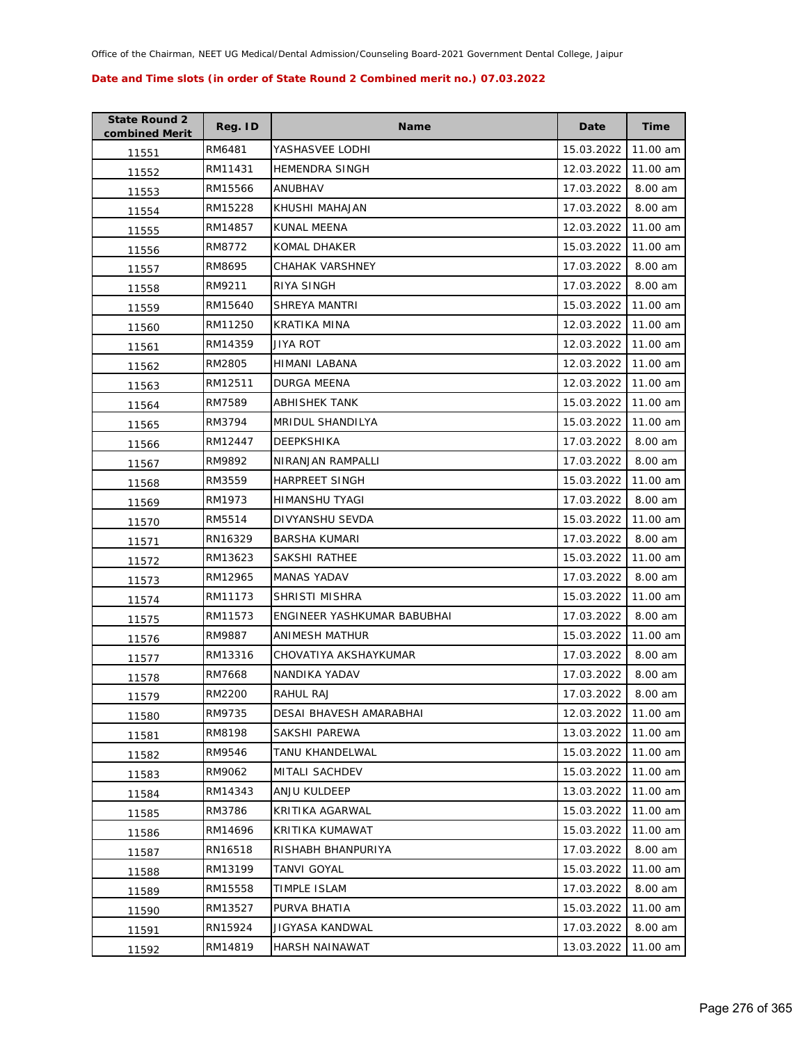| <b>State Round 2</b><br>combined Merit | Reg. ID | <b>Name</b>                 | Date       | <b>Time</b> |
|----------------------------------------|---------|-----------------------------|------------|-------------|
| 11551                                  | RM6481  | YASHASVEE LODHI             | 15.03.2022 | 11.00 am    |
| 11552                                  | RM11431 | <b>HEMENDRA SINGH</b>       | 12.03.2022 | 11.00 am    |
| 11553                                  | RM15566 | ANUBHAV                     | 17.03.2022 | 8.00 am     |
| 11554                                  | RM15228 | KHUSHI MAHAJAN              | 17.03.2022 | 8.00 am     |
| 11555                                  | RM14857 | KUNAL MEENA                 | 12.03.2022 | 11.00 am    |
| 11556                                  | RM8772  | KOMAL DHAKER                | 15.03.2022 | 11.00 am    |
| 11557                                  | RM8695  | CHAHAK VARSHNEY             | 17.03.2022 | 8.00 am     |
| 11558                                  | RM9211  | RIYA SINGH                  | 17.03.2022 | 8.00 am     |
| 11559                                  | RM15640 | SHREYA MANTRI               | 15.03.2022 | 11.00 am    |
| 11560                                  | RM11250 | KRATIKA MINA                | 12.03.2022 | 11.00 am    |
| 11561                                  | RM14359 | JIYA ROT                    | 12.03.2022 | 11.00 am    |
| 11562                                  | RM2805  | HIMANI LABANA               | 12.03.2022 | 11.00 am    |
| 11563                                  | RM12511 | <b>DURGA MEENA</b>          | 12.03.2022 | 11.00 am    |
| 11564                                  | RM7589  | ABHISHEK TANK               | 15.03.2022 | 11.00 am    |
| 11565                                  | RM3794  | MRIDUL SHANDILYA            | 15.03.2022 | 11.00 am    |
| 11566                                  | RM12447 | DEEPKSHIKA                  | 17.03.2022 | 8.00 am     |
| 11567                                  | RM9892  | NIRANJAN RAMPALLI           | 17.03.2022 | 8.00 am     |
| 11568                                  | RM3559  | <b>HARPREET SINGH</b>       | 15.03.2022 | 11.00 am    |
| 11569                                  | RM1973  | HIMANSHU TYAGI              | 17.03.2022 | 8.00 am     |
| 11570                                  | RM5514  | DIVYANSHU SEVDA             | 15.03.2022 | 11.00 am    |
| 11571                                  | RN16329 | BARSHA KUMARI               | 17.03.2022 | 8.00 am     |
| 11572                                  | RM13623 | SAKSHI RATHEE               | 15.03.2022 | 11.00 am    |
| 11573                                  | RM12965 | MANAS YADAV                 | 17.03.2022 | 8.00 am     |
| 11574                                  | RM11173 | SHRISTI MISHRA              | 15.03.2022 | 11.00 am    |
| 11575                                  | RM11573 | ENGINEER YASHKUMAR BABUBHAI | 17.03.2022 | 8.00 am     |
| 11576                                  | RM9887  | ANIMESH MATHUR              | 15.03.2022 | 11.00 am    |
| 11577                                  | RM13316 | CHOVATIYA AKSHAYKUMAR       | 17.03.2022 | 8.00 am     |
| 11578                                  | RM7668  | NANDIKA YADAV               | 17.03.2022 | 8.00 am     |
| 11579                                  | RM2200  | RAHUL RAJ                   | 17.03.2022 | 8.00 am     |
| 11580                                  | RM9735  | DESAI BHAVESH AMARABHAI     | 12.03.2022 | 11.00 am    |
| 11581                                  | RM8198  | SAKSHI PAREWA               | 13.03.2022 | 11.00 am    |
| 11582                                  | RM9546  | TANU KHANDELWAL             | 15.03.2022 | 11.00 am    |
| 11583                                  | RM9062  | MITALI SACHDEV              | 15.03.2022 | 11.00 am    |
| 11584                                  | RM14343 | ANJU KULDEEP                | 13.03.2022 | 11.00 am    |
| 11585                                  | RM3786  | KRITIKA AGARWAL             | 15.03.2022 | 11.00 am    |
| 11586                                  | RM14696 | KRITIKA KUMAWAT             | 15.03.2022 | 11.00 am    |
| 11587                                  | RN16518 | RISHABH BHANPURIYA          | 17.03.2022 | 8.00 am     |
| 11588                                  | RM13199 | TANVI GOYAL                 | 15.03.2022 | 11.00 am    |
| 11589                                  | RM15558 | TIMPLE ISLAM                | 17.03.2022 | 8.00 am     |
| 11590                                  | RM13527 | PURVA BHATIA                | 15.03.2022 | 11.00 am    |
| 11591                                  | RN15924 | JIGYASA KANDWAL             | 17.03.2022 | 8.00 am     |
| 11592                                  | RM14819 | HARSH NAINAWAT              | 13.03.2022 | 11.00 am    |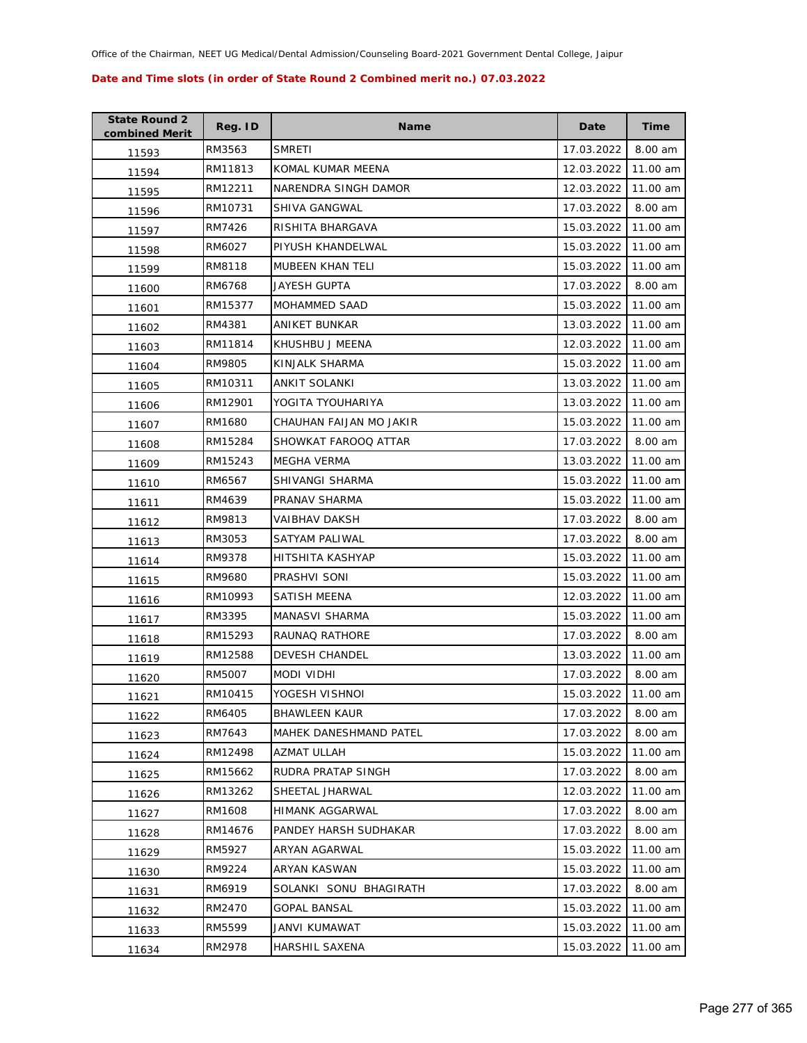| <b>State Round 2</b><br>combined Merit | Reg. ID | <b>Name</b>                   | Date       | Time     |
|----------------------------------------|---------|-------------------------------|------------|----------|
| 11593                                  | RM3563  | <b>SMRETI</b>                 | 17.03.2022 | 8.00 am  |
| 11594                                  | RM11813 | KOMAL KUMAR MEENA             | 12.03.2022 | 11.00 am |
| 11595                                  | RM12211 | NARENDRA SINGH DAMOR          | 12.03.2022 | 11.00 am |
| 11596                                  | RM10731 | SHIVA GANGWAL                 | 17.03.2022 | 8.00 am  |
| 11597                                  | RM7426  | RISHITA BHARGAVA              | 15.03.2022 | 11.00 am |
| 11598                                  | RM6027  | PIYUSH KHANDELWAL             | 15.03.2022 | 11.00 am |
| 11599                                  | RM8118  | MUBEEN KHAN TELI              | 15.03.2022 | 11.00 am |
| 11600                                  | RM6768  | JAYESH GUPTA                  | 17.03.2022 | 8.00 am  |
| 11601                                  | RM15377 | MOHAMMED SAAD                 | 15.03.2022 | 11.00 am |
| 11602                                  | RM4381  | ANIKET BUNKAR                 | 13.03.2022 | 11.00 am |
| 11603                                  | RM11814 | KHUSHBU J MEENA               | 12.03.2022 | 11.00 am |
| 11604                                  | RM9805  | KINJALK SHARMA                | 15.03.2022 | 11.00 am |
| 11605                                  | RM10311 | ANKIT SOLANKI                 | 13.03.2022 | 11.00 am |
| 11606                                  | RM12901 | YOGITA TYOUHARIYA             | 13.03.2022 | 11.00 am |
| 11607                                  | RM1680  | CHAUHAN FAIJAN MO JAKIR       | 15.03.2022 | 11.00 am |
| 11608                                  | RM15284 | SHOWKAT FAROOQ ATTAR          | 17.03.2022 | 8.00 am  |
| 11609                                  | RM15243 | MEGHA VERMA                   | 13.03.2022 | 11.00 am |
| 11610                                  | RM6567  | SHIVANGI SHARMA               | 15.03.2022 | 11.00 am |
| 11611                                  | RM4639  | PRANAV SHARMA                 | 15.03.2022 | 11.00 am |
| 11612                                  | RM9813  | VAIBHAV DAKSH                 | 17.03.2022 | 8.00 am  |
| 11613                                  | RM3053  | SATYAM PALIWAL                | 17.03.2022 | 8.00 am  |
| 11614                                  | RM9378  | HITSHITA KASHYAP              | 15.03.2022 | 11.00 am |
| 11615                                  | RM9680  | PRASHVI SONI                  | 15.03.2022 | 11.00 am |
| 11616                                  | RM10993 | SATISH MEENA                  | 12.03.2022 | 11.00 am |
| 11617                                  | RM3395  | MANASVI SHARMA                | 15.03.2022 | 11.00 am |
| 11618                                  | RM15293 | RAUNAQ RATHORE                | 17.03.2022 | 8.00 am  |
| 11619                                  | RM12588 | <b>DEVESH CHANDEL</b>         | 13.03.2022 | 11.00 am |
| 11620                                  | RM5007  | MODI VIDHI                    | 17.03.2022 | 8.00 am  |
| 11621                                  | RM10415 | YOGESH VISHNOI                | 15.03.2022 | 11.00 am |
| 11622                                  | RM6405  | <b>BHAWLEEN KAUR</b>          | 17.03.2022 | 8.00 am  |
| 11623                                  | RM7643  | <b>MAHEK DANESHMAND PATEL</b> | 17.03.2022 | 8.00 am  |
| 11624                                  | RM12498 | <b>AZMAT ULLAH</b>            | 15.03.2022 | 11.00 am |
| 11625                                  | RM15662 | RUDRA PRATAP SINGH            | 17.03.2022 | 8.00 am  |
| 11626                                  | RM13262 | SHEETAL JHARWAL               | 12.03.2022 | 11.00 am |
| 11627                                  | RM1608  | HIMANK AGGARWAL               | 17.03.2022 | 8.00 am  |
| 11628                                  | RM14676 | PANDEY HARSH SUDHAKAR         | 17.03.2022 | 8.00 am  |
| 11629                                  | RM5927  | <b>ARYAN AGARWAL</b>          | 15.03.2022 | 11.00 am |
| 11630                                  | RM9224  | ARYAN KASWAN                  | 15.03.2022 | 11.00 am |
| 11631                                  | RM6919  | SOLANKI SONU BHAGIRATH        | 17.03.2022 | 8.00 am  |
| 11632                                  | RM2470  | GOPAL BANSAL                  | 15.03.2022 | 11.00 am |
| 11633                                  | RM5599  | JANVI KUMAWAT                 | 15.03.2022 | 11.00 am |
| 11634                                  | RM2978  | HARSHIL SAXENA                | 15.03.2022 | 11.00 am |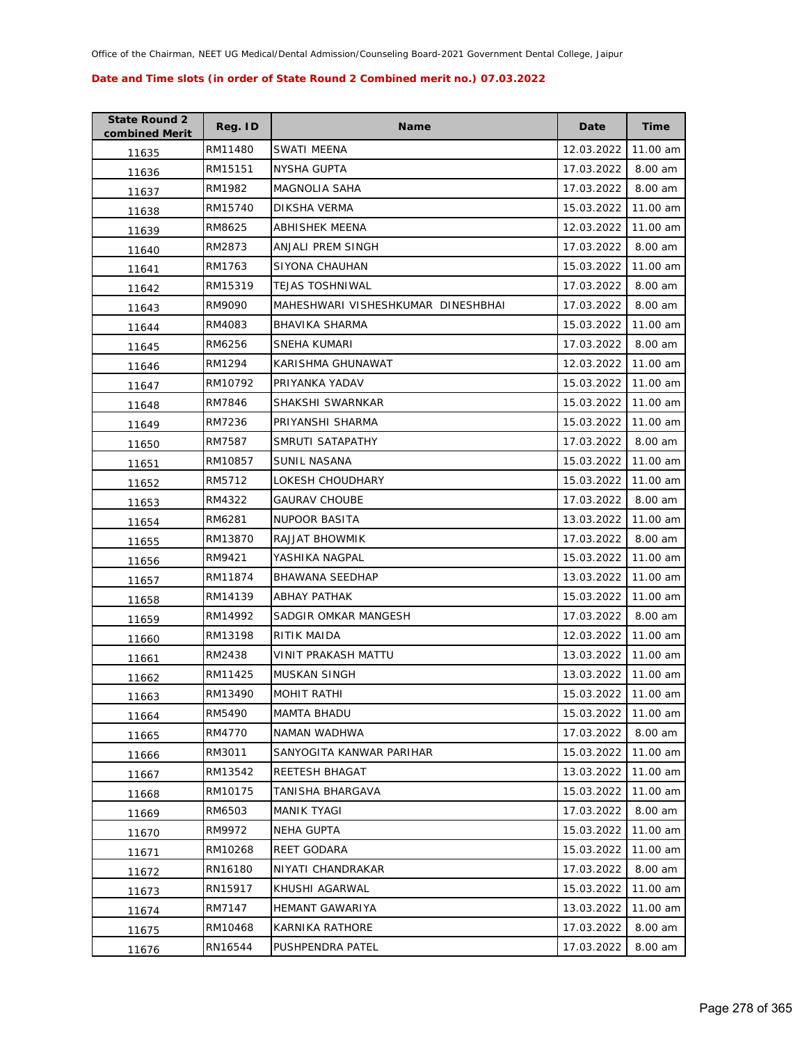| <b>State Round 2</b><br>combined Merit | Reg. ID | Name                               | Date       | <b>Time</b> |
|----------------------------------------|---------|------------------------------------|------------|-------------|
| 11635                                  | RM11480 | SWATI MEENA                        | 12.03.2022 | 11.00 am    |
| 11636                                  | RM15151 | NYSHA GUPTA                        | 17.03.2022 | 8.00 am     |
| 11637                                  | RM1982  | MAGNOLIA SAHA                      | 17.03.2022 | 8.00 am     |
| 11638                                  | RM15740 | DIKSHA VERMA                       | 15.03.2022 | 11.00 am    |
| 11639                                  | RM8625  | ABHISHEK MEENA                     | 12.03.2022 | 11.00 am    |
| 11640                                  | RM2873  | <b>ANJALI PREM SINGH</b>           | 17.03.2022 | 8.00 am     |
| 11641                                  | RM1763  | SIYONA CHAUHAN                     | 15.03.2022 | 11.00 am    |
| 11642                                  | RM15319 | <b>TEJAS TOSHNIWAL</b>             | 17.03.2022 | 8.00 am     |
| 11643                                  | RM9090  | MAHESHWARI VISHESHKUMAR DINESHBHAI | 17.03.2022 | 8.00 am     |
| 11644                                  | RM4083  | <b>BHAVIKA SHARMA</b>              | 15.03.2022 | 11.00 am    |
| 11645                                  | RM6256  | SNEHA KUMARI                       | 17.03.2022 | 8.00 am     |
| 11646                                  | RM1294  | KARISHMA GHUNAWAT                  | 12.03.2022 | 11.00 am    |
| 11647                                  | RM10792 | PRIYANKA YADAV                     | 15.03.2022 | 11.00 am    |
| 11648                                  | RM7846  | SHAKSHI SWARNKAR                   | 15.03.2022 | 11.00 am    |
| 11649                                  | RM7236  | PRIYANSHI SHARMA                   | 15.03.2022 | 11.00 am    |
| 11650                                  | RM7587  | SMRUTI SATAPATHY                   | 17.03.2022 | 8.00 am     |
| 11651                                  | RM10857 | <b>SUNIL NASANA</b>                | 15.03.2022 | 11.00 am    |
| 11652                                  | RM5712  | LOKESH CHOUDHARY                   | 15.03.2022 | 11.00 am    |
| 11653                                  | RM4322  | <b>GAURAV CHOUBE</b>               | 17.03.2022 | 8.00 am     |
| 11654                                  | RM6281  | <b>NUPOOR BASITA</b>               | 13.03.2022 | 11.00 am    |
| 11655                                  | RM13870 | RAJJAT BHOWMIK                     | 17.03.2022 | 8.00 am     |
| 11656                                  | RM9421  | YASHIKA NAGPAL                     | 15.03.2022 | 11.00 am    |
| 11657                                  | RM11874 | <b>BHAWANA SEEDHAP</b>             | 13.03.2022 | 11.00 am    |
| 11658                                  | RM14139 | <b>ABHAY PATHAK</b>                | 15.03.2022 | 11.00 am    |
| 11659                                  | RM14992 | SADGIR OMKAR MANGESH               | 17.03.2022 | 8.00 am     |
| 11660                                  | RM13198 | RITIK MAIDA                        | 12.03.2022 | 11.00 am    |
| 11661                                  | RM2438  | <b>VINIT PRAKASH MATTU</b>         | 13.03.2022 | 11.00 am    |
| 11662                                  | RM11425 | <b>MUSKAN SINGH</b>                | 13.03.2022 | 11.00 am    |
| 11663                                  | RM13490 | <b>MOHIT RATHI</b>                 | 15.03.2022 | 11.00 am    |
| 11664                                  | RM5490  | <b>MAMTA BHADU</b>                 | 15.03.2022 | 11.00 am    |
| 11665                                  | RM4770  | NAMAN WADHWA                       | 17.03.2022 | 8.00 am     |
| 11666                                  | RM3011  | SANYOGITA KANWAR PARIHAR           | 15.03.2022 | 11.00 am    |
| 11667                                  | RM13542 | <b>REETESH BHAGAT</b>              | 13.03.2022 | 11.00 am    |
| 11668                                  | RM10175 | TANISHA BHARGAVA                   | 15.03.2022 | 11.00 am    |
| 11669                                  | RM6503  | MANIK TYAGI                        | 17.03.2022 | 8.00 am     |
| 11670                                  | RM9972  | <b>NEHA GUPTA</b>                  | 15.03.2022 | 11.00 am    |
| 11671                                  | RM10268 | <b>REET GODARA</b>                 | 15.03.2022 | 11.00 am    |
| 11672                                  | RN16180 | NIYATI CHANDRAKAR                  | 17.03.2022 | 8.00 am     |
| 11673                                  | RN15917 | KHUSHI AGARWAL                     | 15.03.2022 | 11.00 am    |
| 11674                                  | RM7147  | <b>HEMANT GAWARIYA</b>             | 13.03.2022 | 11.00 am    |
| 11675                                  | RM10468 | KARNIKA RATHORE                    | 17.03.2022 | 8.00 am     |
| 11676                                  | RN16544 | PUSHPENDRA PATEL                   | 17.03.2022 | 8.00 am     |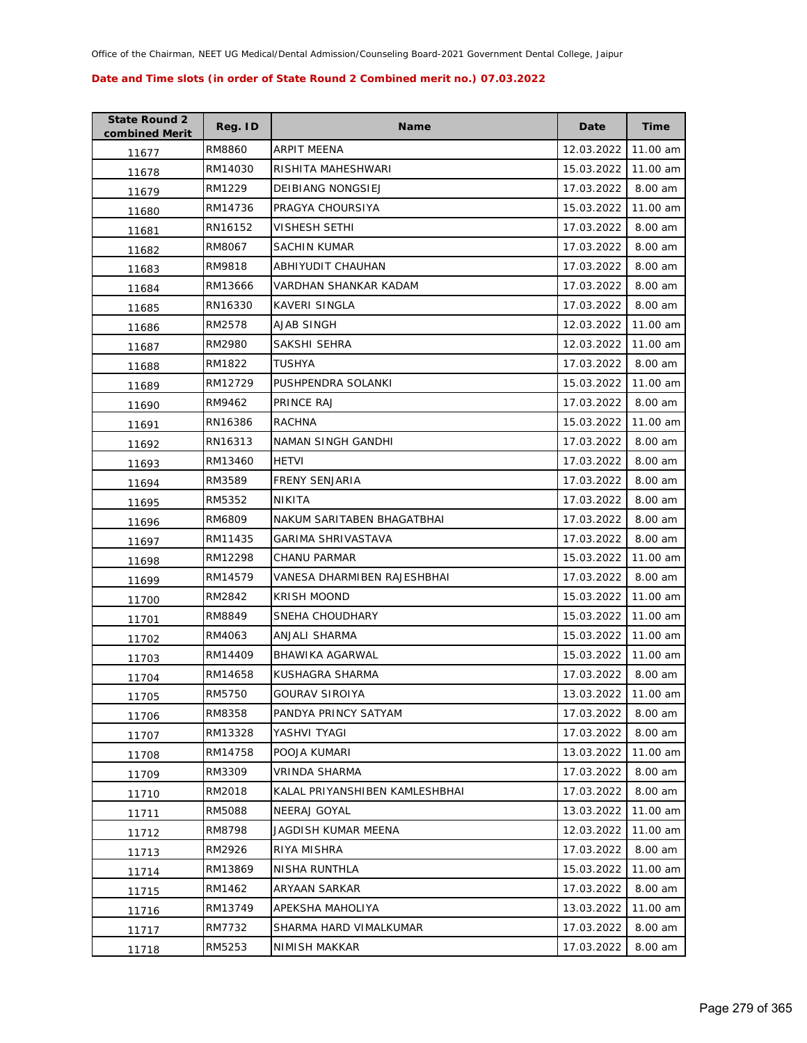| <b>State Round 2</b><br>combined Merit | Reg. ID | <b>Name</b>                    | Date       | <b>Time</b> |
|----------------------------------------|---------|--------------------------------|------------|-------------|
| 11677                                  | RM8860  | ARPIT MEENA                    | 12.03.2022 | 11.00 am    |
| 11678                                  | RM14030 | RISHITA MAHESHWARI             | 15.03.2022 | 11.00 am    |
| 11679                                  | RM1229  | <b>DEIBIANG NONGSIEJ</b>       | 17.03.2022 | 8.00 am     |
| 11680                                  | RM14736 | PRAGYA CHOURSIYA               | 15.03.2022 | 11.00 am    |
| 11681                                  | RN16152 | VISHESH SETHI                  | 17.03.2022 | 8.00 am     |
| 11682                                  | RM8067  | <b>SACHIN KUMAR</b>            | 17.03.2022 | 8.00 am     |
| 11683                                  | RM9818  | <b>ABHIYUDIT CHAUHAN</b>       | 17.03.2022 | 8.00 am     |
| 11684                                  | RM13666 | VARDHAN SHANKAR KADAM          | 17.03.2022 | 8.00 am     |
| 11685                                  | RN16330 | KAVERI SINGLA                  | 17.03.2022 | 8.00 am     |
| 11686                                  | RM2578  | AJAB SINGH                     | 12.03.2022 | 11.00 am    |
| 11687                                  | RM2980  | SAKSHI SEHRA                   | 12.03.2022 | 11.00 am    |
| 11688                                  | RM1822  | TUSHYA                         | 17.03.2022 | 8.00 am     |
| 11689                                  | RM12729 | PUSHPENDRA SOLANKI             | 15.03.2022 | 11.00 am    |
| 11690                                  | RM9462  | PRINCE RAJ                     | 17.03.2022 | 8.00 am     |
| 11691                                  | RN16386 | <b>RACHNA</b>                  | 15.03.2022 | 11.00 am    |
| 11692                                  | RN16313 | NAMAN SINGH GANDHI             | 17.03.2022 | 8.00 am     |
| 11693                                  | RM13460 | <b>HETVI</b>                   | 17.03.2022 | 8.00 am     |
| 11694                                  | RM3589  | <b>FRENY SENJARIA</b>          | 17.03.2022 | 8.00 am     |
| 11695                                  | RM5352  | NIKITA                         | 17.03.2022 | 8.00 am     |
| 11696                                  | RM6809  | NAKUM SARITABEN BHAGATBHAI     | 17.03.2022 | 8.00 am     |
| 11697                                  | RM11435 | GARIMA SHRIVASTAVA             | 17.03.2022 | 8.00 am     |
| 11698                                  | RM12298 | <b>CHANU PARMAR</b>            | 15.03.2022 | 11.00 am    |
| 11699                                  | RM14579 | VANESA DHARMIBEN RAJESHBHAI    | 17.03.2022 | 8.00 am     |
| 11700                                  | RM2842  | <b>KRISH MOOND</b>             | 15.03.2022 | 11.00 am    |
| 11701                                  | RM8849  | SNEHA CHOUDHARY                | 15.03.2022 | 11.00 am    |
| 11702                                  | RM4063  | ANJALI SHARMA                  | 15.03.2022 | 11.00 am    |
| 11703                                  | RM14409 | BHAWIKA AGARWAL                | 15.03.2022 | 11.00 am    |
| 11704                                  | RM14658 | KUSHAGRA SHARMA                | 17.03.2022 | 8.00 am     |
| 11705                                  | RM5750  | <b>GOURAV SIROIYA</b>          | 13.03.2022 | 11.00 am    |
| 11706                                  | RM8358  | PANDYA PRINCY SATYAM           | 17.03.2022 | 8.00 am     |
| 11707                                  | RM13328 | YASHVI TYAGI                   | 17.03.2022 | 8.00 am     |
| 11708                                  | RM14758 | POOJA KUMARI                   | 13.03.2022 | 11.00 am    |
| 11709                                  | RM3309  | VRINDA SHARMA                  | 17.03.2022 | 8.00 am     |
| 11710                                  | RM2018  | KALAL PRIYANSHIBEN KAMLESHBHAI | 17.03.2022 | 8.00 am     |
| 11711                                  | RM5088  | NEERAJ GOYAL                   | 13.03.2022 | 11.00 am    |
| 11712                                  | RM8798  | JAGDISH KUMAR MEENA            | 12.03.2022 | 11.00 am    |
| 11713                                  | RM2926  | RIYA MISHRA                    | 17.03.2022 | 8.00 am     |
| 11714                                  | RM13869 | NISHA RUNTHLA                  | 15.03.2022 | 11.00 am    |
| 11715                                  | RM1462  | ARYAAN SARKAR                  | 17.03.2022 | 8.00 am     |
| 11716                                  | RM13749 | APEKSHA MAHOLIYA               | 13.03.2022 | 11.00 am    |
| 11717                                  | RM7732  | SHARMA HARD VIMALKUMAR         | 17.03.2022 | 8.00 am     |
| 11718                                  | RM5253  | NIMISH MAKKAR                  | 17.03.2022 | 8.00 am     |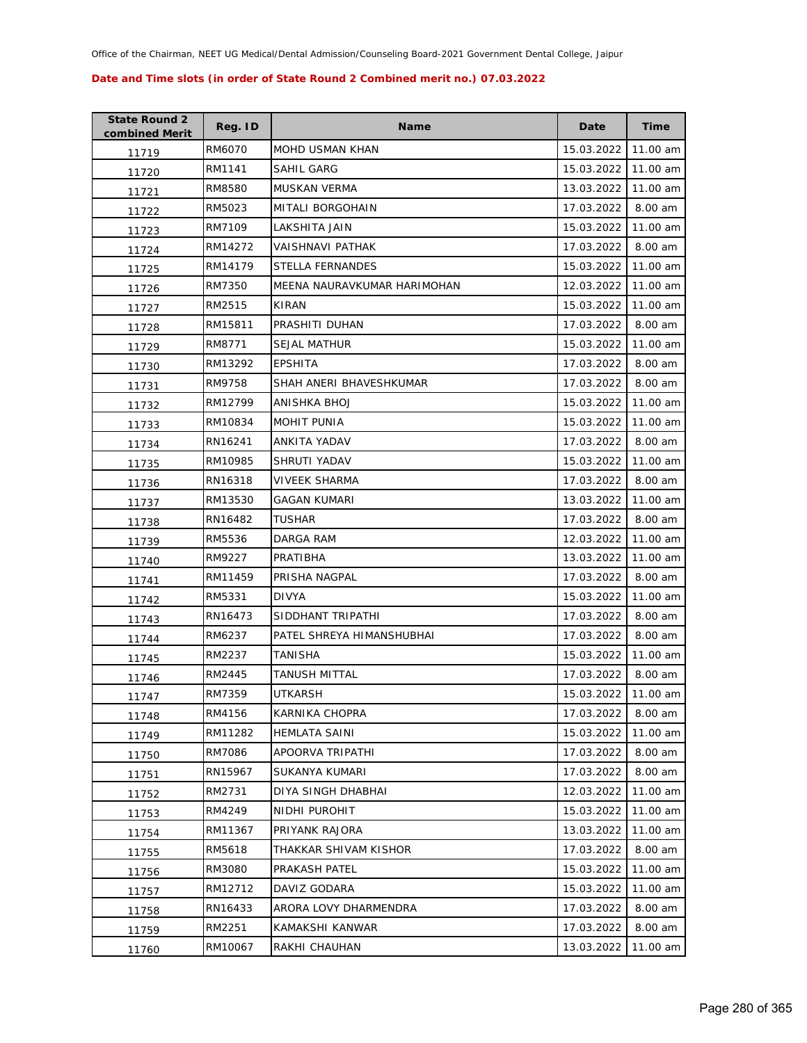| <b>State Round 2</b><br>combined Merit | Reg. ID | <b>Name</b>                 | Date       | <b>Time</b> |
|----------------------------------------|---------|-----------------------------|------------|-------------|
| 11719                                  | RM6070  | <b>MOHD USMAN KHAN</b>      | 15.03.2022 | 11.00 am    |
| 11720                                  | RM1141  | SAHIL GARG                  | 15.03.2022 | 11.00 am    |
| 11721                                  | RM8580  | MUSKAN VERMA                | 13.03.2022 | 11.00 am    |
| 11722                                  | RM5023  | MITALI BORGOHAIN            | 17.03.2022 | 8.00 am     |
| 11723                                  | RM7109  | LAKSHITA JAIN               | 15.03.2022 | 11.00 am    |
| 11724                                  | RM14272 | VAISHNAVI PATHAK            | 17.03.2022 | 8.00 am     |
| 11725                                  | RM14179 | <b>STELLA FERNANDES</b>     | 15.03.2022 | 11.00 am    |
| 11726                                  | RM7350  | MEENA NAURAVKUMAR HARIMOHAN | 12.03.2022 | 11.00 am    |
| 11727                                  | RM2515  | KIRAN                       | 15.03.2022 | 11.00 am    |
| 11728                                  | RM15811 | PRASHITI DUHAN              | 17.03.2022 | 8.00 am     |
| 11729                                  | RM8771  | <b>SEJAL MATHUR</b>         | 15.03.2022 | 11.00 am    |
| 11730                                  | RM13292 | <b>EPSHITA</b>              | 17.03.2022 | 8.00 am     |
| 11731                                  | RM9758  | SHAH ANERI BHAVESHKUMAR     | 17.03.2022 | 8.00 am     |
| 11732                                  | RM12799 | ANISHKA BHOJ                | 15.03.2022 | 11.00 am    |
| 11733                                  | RM10834 | <b>MOHIT PUNIA</b>          | 15.03.2022 | 11.00 am    |
| 11734                                  | RN16241 | ANKITA YADAV                | 17.03.2022 | 8.00 am     |
| 11735                                  | RM10985 | SHRUTI YADAV                | 15.03.2022 | 11.00 am    |
| 11736                                  | RN16318 | VIVEEK SHARMA               | 17.03.2022 | 8.00 am     |
| 11737                                  | RM13530 | <b>GAGAN KUMARI</b>         | 13.03.2022 | 11.00 am    |
| 11738                                  | RN16482 | <b>TUSHAR</b>               | 17.03.2022 | 8.00 am     |
| 11739                                  | RM5536  | DARGA RAM                   | 12.03.2022 | 11.00 am    |
| 11740                                  | RM9227  | PRATIBHA                    | 13.03.2022 | 11.00 am    |
| 11741                                  | RM11459 | PRISHA NAGPAL               | 17.03.2022 | 8.00 am     |
| 11742                                  | RM5331  | <b>DIVYA</b>                | 15.03.2022 | 11.00 am    |
| 11743                                  | RN16473 | SIDDHANT TRIPATHI           | 17.03.2022 | 8.00 am     |
| 11744                                  | RM6237  | PATEL SHREYA HIMANSHUBHAI   | 17.03.2022 | 8.00 am     |
| 11745                                  | RM2237  | TANISHA                     | 15.03.2022 | 11.00 am    |
| 11746                                  | RM2445  | TANUSH MITTAL               | 17.03.2022 | 8.00 am     |
| 11747                                  | RM7359  | <b>UTKARSH</b>              | 15.03.2022 | 11.00 am    |
| 11748                                  | RM4156  | KARNIKA CHOPRA              | 17.03.2022 | 8.00 am     |
| 11749                                  | RM11282 | <b>HEMLATA SAINI</b>        | 15.03.2022 | 11.00 am    |
| 11750                                  | RM7086  | APOORVA TRIPATHI            | 17.03.2022 | 8.00 am     |
| 11751                                  | RN15967 | <b>SUKANYA KUMARI</b>       | 17.03.2022 | 8.00 am     |
| 11752                                  | RM2731  | DIYA SINGH DHABHAI          | 12.03.2022 | 11.00 am    |
| 11753                                  | RM4249  | NIDHI PUROHIT               | 15.03.2022 | 11.00 am    |
| 11754                                  | RM11367 | PRIYANK RAJORA              | 13.03.2022 | 11.00 am    |
| 11755                                  | RM5618  | THAKKAR SHIVAM KISHOR       | 17.03.2022 | 8.00 am     |
| 11756                                  | RM3080  | PRAKASH PATEL               | 15.03.2022 | 11.00 am    |
| 11757                                  | RM12712 | DAVIZ GODARA                | 15.03.2022 | 11.00 am    |
| 11758                                  | RN16433 | ARORA LOVY DHARMENDRA       | 17.03.2022 | 8.00 am     |
| 11759                                  | RM2251  | KAMAKSHI KANWAR             | 17.03.2022 | 8.00 am     |
| 11760                                  | RM10067 | RAKHI CHAUHAN               | 13.03.2022 | 11.00 am    |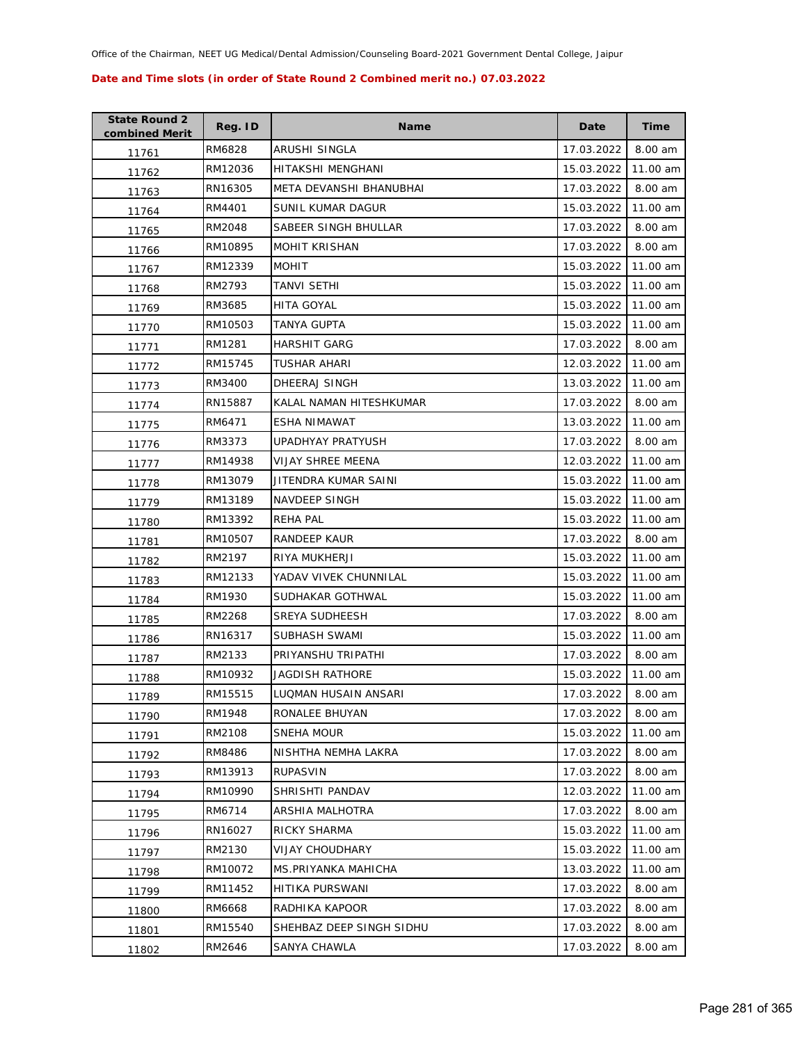| <b>State Round 2</b><br>combined Merit | Reg. ID | Name                     | Date       | <b>Time</b> |
|----------------------------------------|---------|--------------------------|------------|-------------|
| 11761                                  | RM6828  | ARUSHI SINGLA            | 17.03.2022 | 8.00 am     |
| 11762                                  | RM12036 | HITAKSHI MENGHANI        | 15.03.2022 | 11.00 am    |
| 11763                                  | RN16305 | META DEVANSHI BHANUBHAI  | 17.03.2022 | 8.00 am     |
| 11764                                  | RM4401  | SUNIL KUMAR DAGUR        | 15.03.2022 | 11.00 am    |
| 11765                                  | RM2048  | SABEER SINGH BHULLAR     | 17.03.2022 | 8.00 am     |
| 11766                                  | RM10895 | <b>MOHIT KRISHAN</b>     | 17.03.2022 | 8.00 am     |
| 11767                                  | RM12339 | <b>MOHIT</b>             | 15.03.2022 | 11.00 am    |
| 11768                                  | RM2793  | TANVI SETHI              | 15.03.2022 | 11.00 am    |
| 11769                                  | RM3685  | <b>HITA GOYAL</b>        | 15.03.2022 | 11.00 am    |
| 11770                                  | RM10503 | TANYA GUPTA              | 15.03.2022 | 11.00 am    |
| 11771                                  | RM1281  | <b>HARSHIT GARG</b>      | 17.03.2022 | 8.00 am     |
| 11772                                  | RM15745 | TUSHAR AHARI             | 12.03.2022 | 11.00 am    |
| 11773                                  | RM3400  | DHEERAJ SINGH            | 13.03.2022 | 11.00 am    |
| 11774                                  | RN15887 | KALAL NAMAN HITESHKUMAR  | 17.03.2022 | 8.00 am     |
| 11775                                  | RM6471  | ESHA NIMAWAT             | 13.03.2022 | 11.00 am    |
| 11776                                  | RM3373  | UPADHYAY PRATYUSH        | 17.03.2022 | 8.00 am     |
| 11777                                  | RM14938 | VIJAY SHREE MEENA        | 12.03.2022 | 11.00 am    |
| 11778                                  | RM13079 | JITENDRA KUMAR SAINI     | 15.03.2022 | 11.00 am    |
| 11779                                  | RM13189 | NAVDEEP SINGH            | 15.03.2022 | 11.00 am    |
| 11780                                  | RM13392 | <b>REHA PAL</b>          | 15.03.2022 | 11.00 am    |
| 11781                                  | RM10507 | RANDEEP KAUR             | 17.03.2022 | 8.00 am     |
| 11782                                  | RM2197  | RIYA MUKHERJI            | 15.03.2022 | 11.00 am    |
| 11783                                  | RM12133 | YADAV VIVEK CHUNNILAL    | 15.03.2022 | 11.00 am    |
| 11784                                  | RM1930  | SUDHAKAR GOTHWAL         | 15.03.2022 | 11.00 am    |
| 11785                                  | RM2268  | SREYA SUDHEESH           | 17.03.2022 | 8.00 am     |
| 11786                                  | RN16317 | SUBHASH SWAMI            | 15.03.2022 | 11.00 am    |
| 11787                                  | RM2133  | PRIYANSHU TRIPATHI       | 17.03.2022 | 8.00 am     |
| 11788                                  | RM10932 | JAGDISH RATHORE          | 15.03.2022 | 11.00 am    |
| 11789                                  | RM15515 | LUQMAN HUSAIN ANSARI     | 17.03.2022 | 8.00 am     |
| 11790                                  | RM1948  | RONALEE BHUYAN           | 17.03.2022 | 8.00 am     |
| 11791                                  | RM2108  | SNEHA MOUR               | 15.03.2022 | 11.00 am    |
| 11792                                  | RM8486  | NISHTHA NEMHA LAKRA      | 17.03.2022 | 8.00 am     |
| 11793                                  | RM13913 | <b>RUPASVIN</b>          | 17.03.2022 | 8.00 am     |
| 11794                                  | RM10990 | SHRISHTI PANDAV          | 12.03.2022 | 11.00 am    |
| 11795                                  | RM6714  | ARSHIA MALHOTRA          | 17.03.2022 | 8.00 am     |
| 11796                                  | RN16027 | RICKY SHARMA             | 15.03.2022 | 11.00 am    |
| 11797                                  | RM2130  | <b>VIJAY CHOUDHARY</b>   | 15.03.2022 | 11.00 am    |
| 11798                                  | RM10072 | MS.PRIYANKA MAHICHA      | 13.03.2022 | 11.00 am    |
| 11799                                  | RM11452 | HITIKA PURSWANI          | 17.03.2022 | 8.00 am     |
| 11800                                  | RM6668  | RADHIKA KAPOOR           | 17.03.2022 | 8.00 am     |
| 11801                                  | RM15540 | SHEHBAZ DEEP SINGH SIDHU | 17.03.2022 | 8.00 am     |
| 11802                                  | RM2646  | SANYA CHAWLA             | 17.03.2022 | 8.00 am     |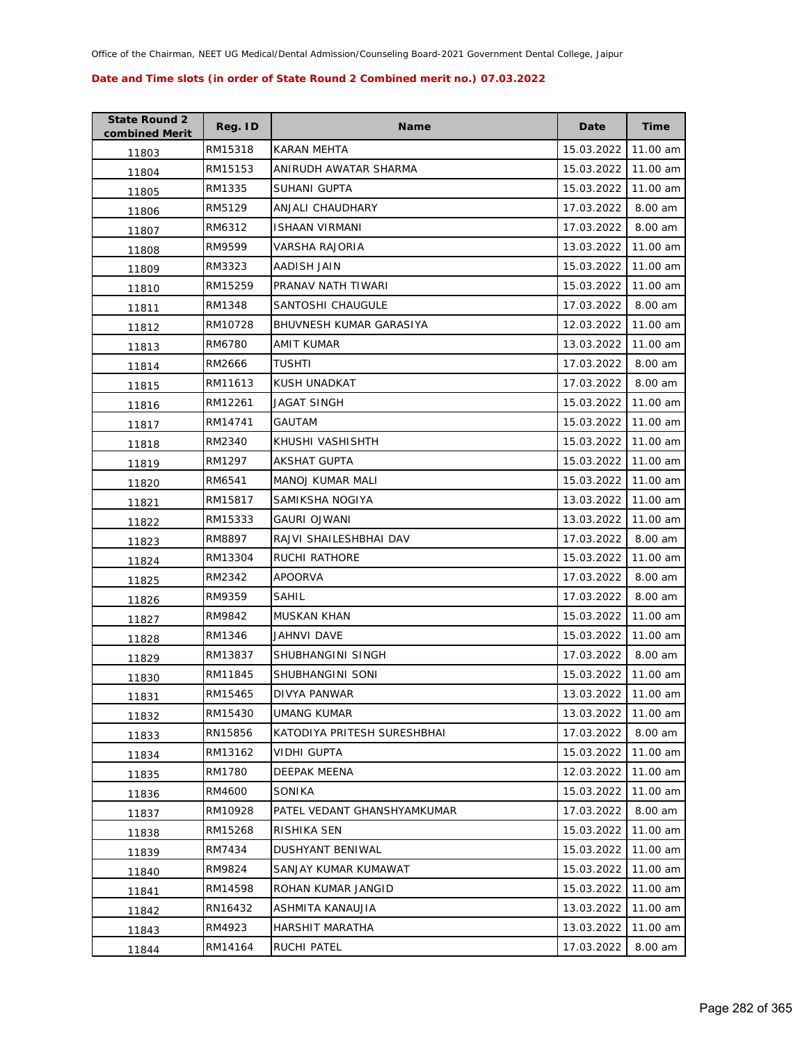| <b>State Round 2</b><br>combined Merit | Reg. ID | <b>Name</b>                 | Date       | <b>Time</b> |
|----------------------------------------|---------|-----------------------------|------------|-------------|
| 11803                                  | RM15318 | KARAN MEHTA                 | 15.03.2022 | 11.00 am    |
| 11804                                  | RM15153 | ANIRUDH AWATAR SHARMA       | 15.03.2022 | 11.00 am    |
| 11805                                  | RM1335  | <b>SUHANI GUPTA</b>         | 15.03.2022 | 11.00 am    |
| 11806                                  | RM5129  | ANJALI CHAUDHARY            | 17.03.2022 | 8.00 am     |
| 11807                                  | RM6312  | <b>ISHAAN VIRMANI</b>       | 17.03.2022 | 8.00 am     |
| 11808                                  | RM9599  | VARSHA RAJORIA              | 13.03.2022 | 11.00 am    |
| 11809                                  | RM3323  | AADISH JAIN                 | 15.03.2022 | 11.00 am    |
| 11810                                  | RM15259 | PRANAV NATH TIWARI          | 15.03.2022 | 11.00 am    |
| 11811                                  | RM1348  | SANTOSHI CHAUGULE           | 17.03.2022 | 8.00 am     |
| 11812                                  | RM10728 | BHUVNESH KUMAR GARASIYA     | 12.03.2022 | 11.00 am    |
| 11813                                  | RM6780  | AMIT KUMAR                  | 13.03.2022 | 11.00 am    |
| 11814                                  | RM2666  | TUSHTI                      | 17.03.2022 | 8.00 am     |
| 11815                                  | RM11613 | <b>KUSH UNADKAT</b>         | 17.03.2022 | 8.00 am     |
| 11816                                  | RM12261 | JAGAT SINGH                 | 15.03.2022 | 11.00 am    |
| 11817                                  | RM14741 | GAUTAM                      | 15.03.2022 | 11.00 am    |
| 11818                                  | RM2340  | KHUSHI VASHISHTH            | 15.03.2022 | 11.00 am    |
| 11819                                  | RM1297  | <b>AKSHAT GUPTA</b>         | 15.03.2022 | 11.00 am    |
| 11820                                  | RM6541  | <b>MANOJ KUMAR MALI</b>     | 15.03.2022 | 11.00 am    |
| 11821                                  | RM15817 | SAMIKSHA NOGIYA             | 13.03.2022 | 11.00 am    |
| 11822                                  | RM15333 | <b>GAURI OJWANI</b>         | 13.03.2022 | 11.00 am    |
| 11823                                  | RM8897  | RAJVI SHAILESHBHAI DAV      | 17.03.2022 | 8.00 am     |
| 11824                                  | RM13304 | RUCHI RATHORE               | 15.03.2022 | 11.00 am    |
| 11825                                  | RM2342  | APOORVA                     | 17.03.2022 | 8.00 am     |
| 11826                                  | RM9359  | SAHIL                       | 17.03.2022 | 8.00 am     |
| 11827                                  | RM9842  | MUSKAN KHAN                 | 15.03.2022 | 11.00 am    |
| 11828                                  | RM1346  | <b>JAHNVI DAVE</b>          | 15.03.2022 | 11.00 am    |
| 11829                                  | RM13837 | SHUBHANGINI SINGH           | 17.03.2022 | 8.00 am     |
| 11830                                  | RM11845 | SHUBHANGINI SONI            | 15.03.2022 | 11.00 am    |
| 11831                                  | RM15465 | DIVYA PANWAR                | 13.03.2022 | 11.00 am    |
| 11832                                  | RM15430 | UMANG KUMAR                 | 13.03.2022 | 11.00 am    |
| 11833                                  | RN15856 | KATODIYA PRITESH SURESHBHAI | 17.03.2022 | 8.00 am     |
| 11834                                  | RM13162 | VIDHI GUPTA                 | 15.03.2022 | 11.00 am    |
| 11835                                  | RM1780  | DEEPAK MEENA                | 12.03.2022 | 11.00 am    |
| 11836                                  | RM4600  | SONIKA                      | 15.03.2022 | 11.00 am    |
| 11837                                  | RM10928 | PATEL VEDANT GHANSHYAMKUMAR | 17.03.2022 | 8.00 am     |
| 11838                                  | RM15268 | RISHIKA SEN                 | 15.03.2022 | 11.00 am    |
| 11839                                  | RM7434  | <b>DUSHYANT BENIWAL</b>     | 15.03.2022 | 11.00 am    |
| 11840                                  | RM9824  | SANJAY KUMAR KUMAWAT        | 15.03.2022 | 11.00 am    |
| 11841                                  | RM14598 | ROHAN KUMAR JANGID          | 15.03.2022 | 11.00 am    |
| 11842                                  | RN16432 | ASHMITA KANAUJIA            | 13.03.2022 | 11.00 am    |
| 11843                                  | RM4923  | HARSHIT MARATHA             | 13.03.2022 | 11.00 am    |
| 11844                                  | RM14164 | RUCHI PATEL                 | 17.03.2022 | 8.00 am     |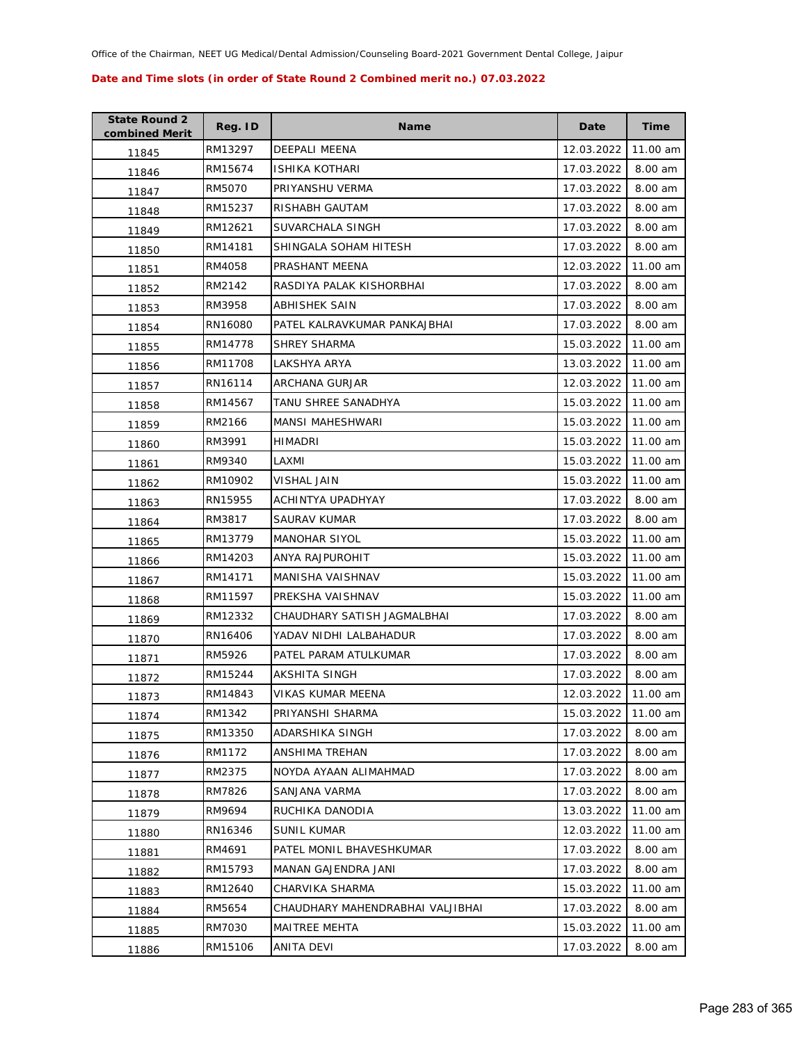| <b>State Round 2</b><br>combined Merit | Reg. ID | <b>Name</b>                      | Date       | <b>Time</b> |
|----------------------------------------|---------|----------------------------------|------------|-------------|
| 11845                                  | RM13297 | DEEPALI MEENA                    | 12.03.2022 | 11.00 am    |
| 11846                                  | RM15674 | ISHIKA KOTHARI                   | 17.03.2022 | 8.00 am     |
| 11847                                  | RM5070  | PRIYANSHU VERMA                  | 17.03.2022 | 8.00 am     |
| 11848                                  | RM15237 | RISHABH GAUTAM                   | 17.03.2022 | 8.00 am     |
| 11849                                  | RM12621 | SUVARCHALA SINGH                 | 17.03.2022 | 8.00 am     |
| 11850                                  | RM14181 | SHINGALA SOHAM HITESH            | 17.03.2022 | 8.00 am     |
| 11851                                  | RM4058  | PRASHANT MEENA                   | 12.03.2022 | 11.00 am    |
| 11852                                  | RM2142  | RASDIYA PALAK KISHORBHAI         | 17.03.2022 | 8.00 am     |
| 11853                                  | RM3958  | ABHISHEK SAIN                    | 17.03.2022 | 8.00 am     |
| 11854                                  | RN16080 | PATEL KALRAVKUMAR PANKAJBHAI     | 17.03.2022 | 8.00 am     |
| 11855                                  | RM14778 | SHREY SHARMA                     | 15.03.2022 | 11.00 am    |
| 11856                                  | RM11708 | LAKSHYA ARYA                     | 13.03.2022 | 11.00 am    |
| 11857                                  | RN16114 | ARCHANA GURJAR                   | 12.03.2022 | 11.00 am    |
| 11858                                  | RM14567 | TANU SHREE SANADHYA              | 15.03.2022 | 11.00 am    |
| 11859                                  | RM2166  | <b>MANSI MAHESHWARI</b>          | 15.03.2022 | 11.00 am    |
| 11860                                  | RM3991  | HIMADRI                          | 15.03.2022 | 11.00 am    |
| 11861                                  | RM9340  | LAXMI                            | 15.03.2022 | 11.00 am    |
| 11862                                  | RM10902 | VISHAL JAIN                      | 15.03.2022 | 11.00 am    |
| 11863                                  | RN15955 | ACHINTYA UPADHYAY                | 17.03.2022 | 8.00 am     |
| 11864                                  | RM3817  | SAURAV KUMAR                     | 17.03.2022 | 8.00 am     |
| 11865                                  | RM13779 | MANOHAR SIYOL                    | 15.03.2022 | 11.00 am    |
| 11866                                  | RM14203 | ANYA RAJPUROHIT                  | 15.03.2022 | 11.00 am    |
| 11867                                  | RM14171 | MANISHA VAISHNAV                 | 15.03.2022 | 11.00 am    |
| 11868                                  | RM11597 | PREKSHA VAISHNAV                 | 15.03.2022 | 11.00 am    |
| 11869                                  | RM12332 | CHAUDHARY SATISH JAGMALBHAI      | 17.03.2022 | 8.00 am     |
| 11870                                  | RN16406 | YADAV NIDHI LALBAHADUR           | 17.03.2022 | 8.00 am     |
| 11871                                  | RM5926  | PATEL PARAM ATULKUMAR            | 17.03.2022 | 8.00 am     |
| 11872                                  | RM15244 | AKSHITA SINGH                    | 17.03.2022 | 8.00 am     |
| 11873                                  | RM14843 | VIKAS KUMAR MEENA                | 12.03.2022 | 11.00 am    |
| 11874                                  | RM1342  | PRIYANSHI SHARMA                 | 15.03.2022 | 11.00 am    |
| 11875                                  | RM13350 | ADARSHIKA SINGH                  | 17.03.2022 | 8.00 am     |
| 11876                                  | RM1172  | ANSHIMA TREHAN                   | 17.03.2022 | 8.00 am     |
| 11877                                  | RM2375  | NOYDA AYAAN ALIMAHMAD            | 17.03.2022 | 8.00 am     |
| 11878                                  | RM7826  | SANJANA VARMA                    | 17.03.2022 | 8.00 am     |
| 11879                                  | RM9694  | RUCHIKA DANODIA                  | 13.03.2022 | 11.00 am    |
| 11880                                  | RN16346 | <b>SUNIL KUMAR</b>               | 12.03.2022 | 11.00 am    |
| 11881                                  | RM4691  | PATEL MONIL BHAVESHKUMAR         | 17.03.2022 | 8.00 am     |
| 11882                                  | RM15793 | MANAN GAJENDRA JANI              | 17.03.2022 | 8.00 am     |
| 11883                                  | RM12640 | CHARVIKA SHARMA                  | 15.03.2022 | 11.00 am    |
| 11884                                  | RM5654  | CHAUDHARY MAHENDRABHAI VALJIBHAI | 17.03.2022 | 8.00 am     |
| 11885                                  | RM7030  | MAITREE MEHTA                    | 15.03.2022 | 11.00 am    |
| 11886                                  | RM15106 | ANITA DEVI                       | 17.03.2022 | 8.00 am     |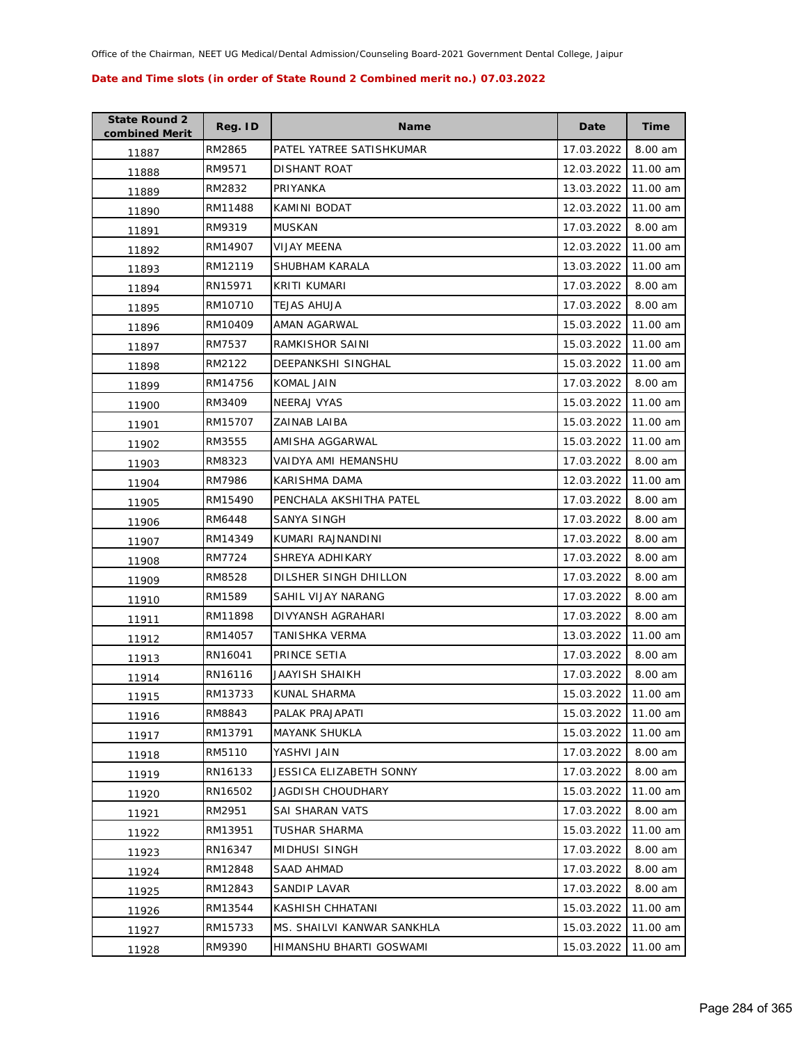| <b>State Round 2</b><br>combined Merit | Reg. ID | <b>Name</b>                | Date       | <b>Time</b> |
|----------------------------------------|---------|----------------------------|------------|-------------|
| 11887                                  | RM2865  | PATEL YATREE SATISHKUMAR   | 17.03.2022 | 8.00 am     |
| 11888                                  | RM9571  | <b>DISHANT ROAT</b>        | 12.03.2022 | 11.00 am    |
| 11889                                  | RM2832  | PRIYANKA                   | 13.03.2022 | 11.00 am    |
| 11890                                  | RM11488 | KAMINI BODAT               | 12.03.2022 | 11.00 am    |
| 11891                                  | RM9319  | <b>MUSKAN</b>              | 17.03.2022 | 8.00 am     |
| 11892                                  | RM14907 | <b>VIJAY MEENA</b>         | 12.03.2022 | 11.00 am    |
| 11893                                  | RM12119 | SHUBHAM KARALA             | 13.03.2022 | 11.00 am    |
| 11894                                  | RN15971 | KRITI KUMARI               | 17.03.2022 | 8.00 am     |
| 11895                                  | RM10710 | TEJAS AHUJA                | 17.03.2022 | 8.00 am     |
| 11896                                  | RM10409 | AMAN AGARWAL               | 15.03.2022 | 11.00 am    |
| 11897                                  | RM7537  | RAMKISHOR SAINI            | 15.03.2022 | 11.00 am    |
| 11898                                  | RM2122  | DEEPANKSHI SINGHAL         | 15.03.2022 | 11.00 am    |
| 11899                                  | RM14756 | KOMAL JAIN                 | 17.03.2022 | 8.00 am     |
| 11900                                  | RM3409  | <b>NEERAJ VYAS</b>         | 15.03.2022 | 11.00 am    |
| 11901                                  | RM15707 | ZAINAB LAIBA               | 15.03.2022 | 11.00 am    |
| 11902                                  | RM3555  | AMISHA AGGARWAL            | 15.03.2022 | 11.00 am    |
| 11903                                  | RM8323  | VAIDYA AMI HEMANSHU        | 17.03.2022 | 8.00 am     |
| 11904                                  | RM7986  | KARISHMA DAMA              | 12.03.2022 | 11.00 am    |
| 11905                                  | RM15490 | PENCHALA AKSHITHA PATEL    | 17.03.2022 | 8.00 am     |
| 11906                                  | RM6448  | SANYA SINGH                | 17.03.2022 | 8.00 am     |
| 11907                                  | RM14349 | KUMARI RAJNANDINI          | 17.03.2022 | 8.00 am     |
| 11908                                  | RM7724  | SHREYA ADHIKARY            | 17.03.2022 | 8.00 am     |
| 11909                                  | RM8528  | DILSHER SINGH DHILLON      | 17.03.2022 | 8.00 am     |
| 11910                                  | RM1589  | SAHIL VIJAY NARANG         | 17.03.2022 | 8.00 am     |
| 11911                                  | RM11898 | DIVYANSH AGRAHARI          | 17.03.2022 | 8.00 am     |
| 11912                                  | RM14057 | TANISHKA VERMA             | 13.03.2022 | 11.00 am    |
| 11913                                  | RN16041 | PRINCE SETIA               | 17.03.2022 | 8.00 am     |
| 11914                                  | RN16116 | JAAYISH SHAIKH             | 17.03.2022 | 8.00 am     |
| 11915                                  | RM13733 | KUNAL SHARMA               | 15.03.2022 | 11.00 am    |
| 11916                                  | RM8843  | PALAK PRAJAPATI            | 15.03.2022 | 11.00 am    |
| 11917                                  | RM13791 | <b>MAYANK SHUKLA</b>       | 15.03.2022 | 11.00 am    |
| 11918                                  | RM5110  | YASHVI JAIN                | 17.03.2022 | 8.00 am     |
| 11919                                  | RN16133 | JESSICA ELIZABETH SONNY    | 17.03.2022 | 8.00 am     |
| 11920                                  | RN16502 | JAGDISH CHOUDHARY          | 15.03.2022 | 11.00 am    |
| 11921                                  | RM2951  | SAI SHARAN VATS            | 17.03.2022 | 8.00 am     |
| 11922                                  | RM13951 | <b>TUSHAR SHARMA</b>       | 15.03.2022 | 11.00 am    |
| 11923                                  | RN16347 | MIDHUSI SINGH              | 17.03.2022 | 8.00 am     |
| 11924                                  | RM12848 | SAAD AHMAD                 | 17.03.2022 | 8.00 am     |
| 11925                                  | RM12843 | SANDIP LAVAR               | 17.03.2022 | 8.00 am     |
| 11926                                  | RM13544 | KASHISH CHHATANI           | 15.03.2022 | 11.00 am    |
| 11927                                  | RM15733 | MS. SHAILVI KANWAR SANKHLA | 15.03.2022 | 11.00 am    |
| 11928                                  | RM9390  | HIMANSHU BHARTI GOSWAMI    | 15.03.2022 | 11.00 am    |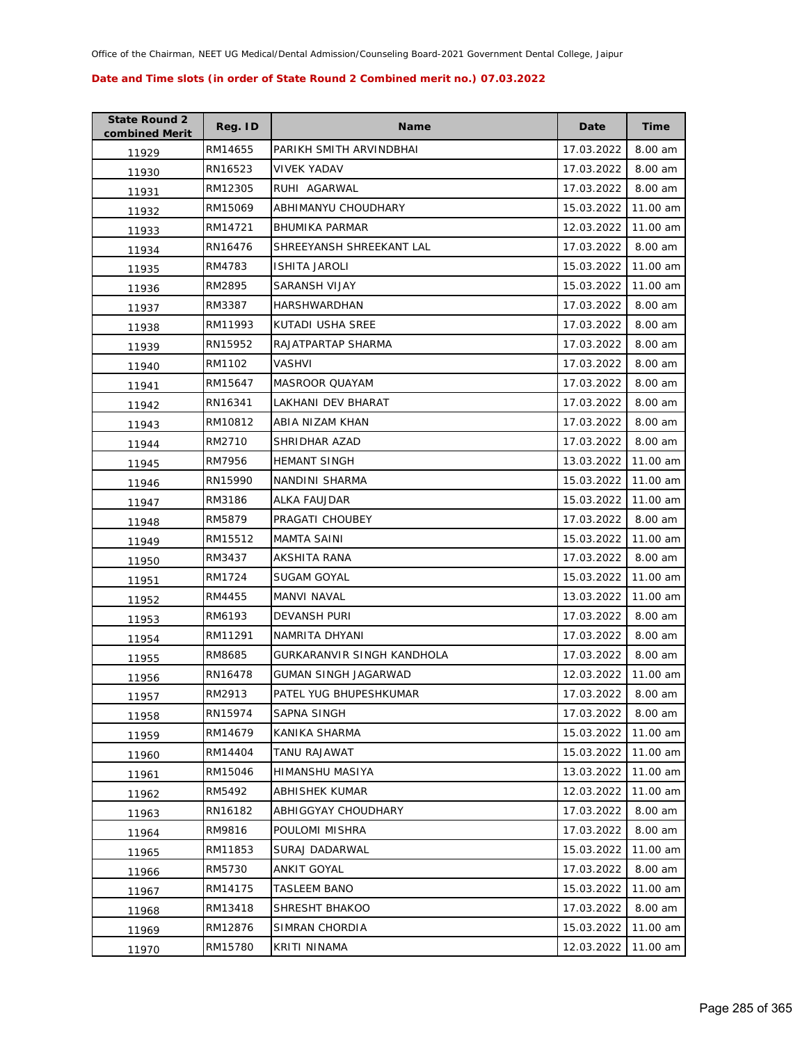| <b>State Round 2</b><br>combined Merit | Reg. ID | <b>Name</b>                | Date       | <b>Time</b> |
|----------------------------------------|---------|----------------------------|------------|-------------|
| 11929                                  | RM14655 | PARIKH SMITH ARVINDBHAI    | 17.03.2022 | 8.00 am     |
| 11930                                  | RN16523 | <b>VIVEK YADAV</b>         | 17.03.2022 | 8.00 am     |
| 11931                                  | RM12305 | RUHI AGARWAL               | 17.03.2022 | 8.00 am     |
| 11932                                  | RM15069 | ABHIMANYU CHOUDHARY        | 15.03.2022 | 11.00 am    |
| 11933                                  | RM14721 | <b>BHUMIKA PARMAR</b>      | 12.03.2022 | 11.00 am    |
| 11934                                  | RN16476 | SHREEYANSH SHREEKANT LAL   | 17.03.2022 | 8.00 am     |
| 11935                                  | RM4783  | <b>ISHITA JAROLI</b>       | 15.03.2022 | 11.00 am    |
| 11936                                  | RM2895  | SARANSH VIJAY              | 15.03.2022 | 11.00 am    |
| 11937                                  | RM3387  | HARSHWARDHAN               | 17.03.2022 | 8.00 am     |
| 11938                                  | RM11993 | KUTADI USHA SREE           | 17.03.2022 | 8.00 am     |
| 11939                                  | RN15952 | RAJATPARTAP SHARMA         | 17.03.2022 | 8.00 am     |
| 11940                                  | RM1102  | VASHVI                     | 17.03.2022 | 8.00 am     |
| 11941                                  | RM15647 | <b>MASROOR QUAYAM</b>      | 17.03.2022 | 8.00 am     |
| 11942                                  | RN16341 | LAKHANI DEV BHARAT         | 17.03.2022 | 8.00 am     |
| 11943                                  | RM10812 | ABIA NIZAM KHAN            | 17.03.2022 | 8.00 am     |
| 11944                                  | RM2710  | SHRIDHAR AZAD              | 17.03.2022 | 8.00 am     |
| 11945                                  | RM7956  | <b>HEMANT SINGH</b>        | 13.03.2022 | 11.00 am    |
| 11946                                  | RN15990 | NANDINI SHARMA             | 15.03.2022 | 11.00 am    |
| 11947                                  | RM3186  | ALKA FAUJDAR               | 15.03.2022 | 11.00 am    |
| 11948                                  | RM5879  | PRAGATI CHOUBEY            | 17.03.2022 | 8.00 am     |
| 11949                                  | RM15512 | MAMTA SAINI                | 15.03.2022 | 11.00 am    |
| 11950                                  | RM3437  | AKSHITA RANA               | 17.03.2022 | 8.00 am     |
| 11951                                  | RM1724  | SUGAM GOYAL                | 15.03.2022 | 11.00 am    |
| 11952                                  | RM4455  | MANVI NAVAL                | 13.03.2022 | 11.00 am    |
| 11953                                  | RM6193  | <b>DEVANSH PURI</b>        | 17.03.2022 | 8.00 am     |
| 11954                                  | RM11291 | NAMRITA DHYANI             | 17.03.2022 | 8.00 am     |
| 11955                                  | RM8685  | GURKARANVIR SINGH KANDHOLA | 17.03.2022 | 8.00 am     |
| 11956                                  | RN16478 | GUMAN SINGH JAGARWAD       | 12.03.2022 | 11.00 am    |
| 11957                                  | RM2913  | PATEL YUG BHUPESHKUMAR     | 17.03.2022 | 8.00 am     |
| 11958                                  | RN15974 | SAPNA SINGH                | 17.03.2022 | 8.00 am     |
| 11959                                  | RM14679 | KANIKA SHARMA              | 15.03.2022 | 11.00 am    |
| 11960                                  | RM14404 | TANU RAJAWAT               | 15.03.2022 | 11.00 am    |
| 11961                                  | RM15046 | HIMANSHU MASIYA            | 13.03.2022 | 11.00 am    |
| 11962                                  | RM5492  | ABHISHEK KUMAR             | 12.03.2022 | 11.00 am    |
| 11963                                  | RN16182 | ABHIGGYAY CHOUDHARY        | 17.03.2022 | 8.00 am     |
| 11964                                  | RM9816  | POULOMI MISHRA             | 17.03.2022 | 8.00 am     |
| 11965                                  | RM11853 | SURAJ DADARWAL             | 15.03.2022 | 11.00 am    |
| 11966                                  | RM5730  | ANKIT GOYAL                | 17.03.2022 | 8.00 am     |
| 11967                                  | RM14175 | <b>TASLEEM BANO</b>        | 15.03.2022 | 11.00 am    |
| 11968                                  | RM13418 | SHRESHT BHAKOO             | 17.03.2022 | 8.00 am     |
| 11969                                  | RM12876 | SIMRAN CHORDIA             | 15.03.2022 | 11.00 am    |
| 11970                                  | RM15780 | KRITI NINAMA               | 12.03.2022 | 11.00 am    |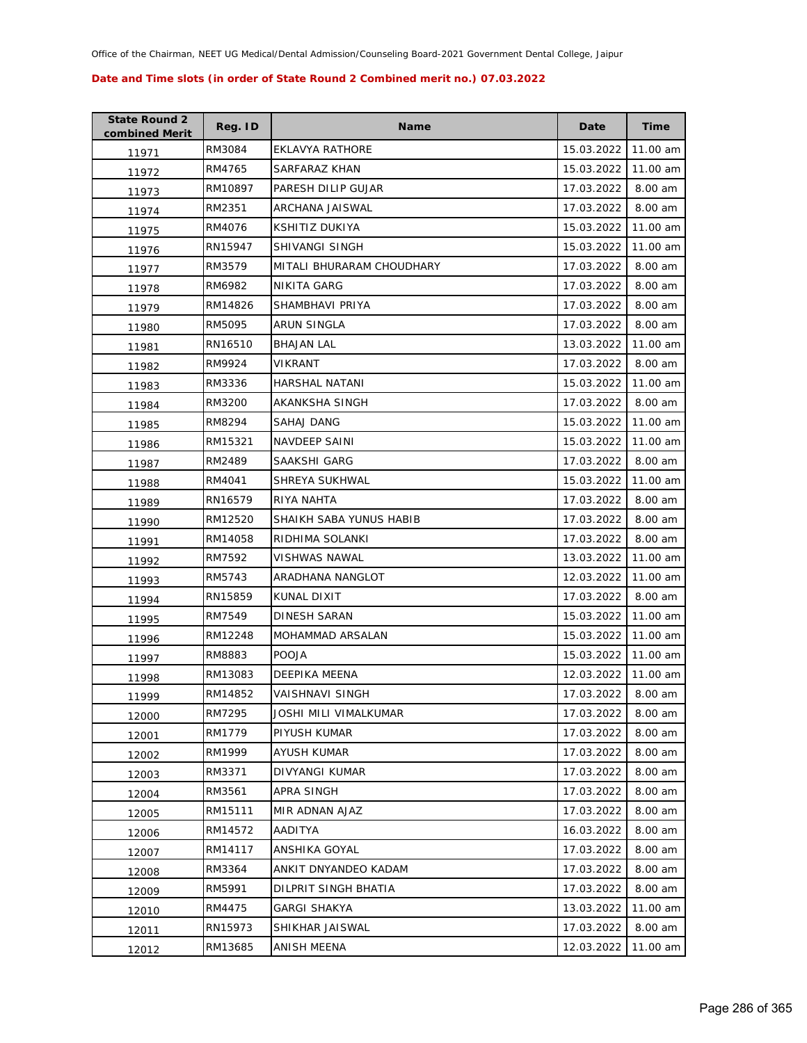| <b>State Round 2</b><br>combined Merit | Reg. ID | <b>Name</b>               | Date       | <b>Time</b> |
|----------------------------------------|---------|---------------------------|------------|-------------|
| 11971                                  | RM3084  | <b>EKLAVYA RATHORE</b>    | 15.03.2022 | 11.00 am    |
| 11972                                  | RM4765  | SARFARAZ KHAN             | 15.03.2022 | 11.00 am    |
| 11973                                  | RM10897 | PARESH DILIP GUJAR        | 17.03.2022 | 8.00 am     |
| 11974                                  | RM2351  | ARCHANA JAISWAL           | 17.03.2022 | 8.00 am     |
| 11975                                  | RM4076  | KSHITIZ DUKIYA            | 15.03.2022 | 11.00 am    |
| 11976                                  | RN15947 | <b>SHIVANGI SINGH</b>     | 15.03.2022 | 11.00 am    |
| 11977                                  | RM3579  | MITALI BHURARAM CHOUDHARY | 17.03.2022 | 8.00 am     |
| 11978                                  | RM6982  | <b>NIKITA GARG</b>        | 17.03.2022 | 8.00 am     |
| 11979                                  | RM14826 | SHAMBHAVI PRIYA           | 17.03.2022 | 8.00 am     |
| 11980                                  | RM5095  | ARUN SINGLA               | 17.03.2022 | 8.00 am     |
| 11981                                  | RN16510 | <b>BHAJAN LAL</b>         | 13.03.2022 | 11.00 am    |
| 11982                                  | RM9924  | VIKRANT                   | 17.03.2022 | 8.00 am     |
| 11983                                  | RM3336  | HARSHAL NATANI            | 15.03.2022 | 11.00 am    |
| 11984                                  | RM3200  | AKANKSHA SINGH            | 17.03.2022 | 8.00 am     |
| 11985                                  | RM8294  | SAHAJ DANG                | 15.03.2022 | 11.00 am    |
| 11986                                  | RM15321 | <b>NAVDEEP SAINI</b>      | 15.03.2022 | 11.00 am    |
| 11987                                  | RM2489  | SAAKSHI GARG              | 17.03.2022 | 8.00 am     |
| 11988                                  | RM4041  | SHREYA SUKHWAL            | 15.03.2022 | 11.00 am    |
| 11989                                  | RN16579 | RIYA NAHTA                | 17.03.2022 | 8.00 am     |
| 11990                                  | RM12520 | SHAIKH SABA YUNUS HABIB   | 17.03.2022 | 8.00 am     |
| 11991                                  | RM14058 | RIDHIMA SOLANKI           | 17.03.2022 | 8.00 am     |
| 11992                                  | RM7592  | VISHWAS NAWAL             | 13.03.2022 | 11.00 am    |
| 11993                                  | RM5743  | ARADHANA NANGLOT          | 12.03.2022 | 11.00 am    |
| 11994                                  | RN15859 | KUNAL DIXIT               | 17.03.2022 | 8.00 am     |
| 11995                                  | RM7549  | DINESH SARAN              | 15.03.2022 | 11.00 am    |
| 11996                                  | RM12248 | MOHAMMAD ARSALAN          | 15.03.2022 | 11.00 am    |
| 11997                                  | RM8883  | <b>POOJA</b>              | 15.03.2022 | 11.00 am    |
| 11998                                  | RM13083 | DEEPIKA MEENA             | 12.03.2022 | 11.00 am    |
| 11999                                  | RM14852 | <b>VAISHNAVI SINGH</b>    | 17.03.2022 | 8.00 am     |
| 12000                                  | RM7295  | JOSHI MILI VIMALKUMAR     | 17.03.2022 | 8.00 am     |
| 12001                                  | RM1779  | PIYUSH KUMAR              | 17.03.2022 | 8.00 am     |
| 12002                                  | RM1999  | <b>AYUSH KUMAR</b>        | 17.03.2022 | 8.00 am     |
| 12003                                  | RM3371  | DIVYANGI KUMAR            | 17.03.2022 | 8.00 am     |
| 12004                                  | RM3561  | APRA SINGH                | 17.03.2022 | 8.00 am     |
| 12005                                  | RM15111 | MIR ADNAN AJAZ            | 17.03.2022 | 8.00 am     |
| 12006                                  | RM14572 | AADITYA                   | 16.03.2022 | 8.00 am     |
| 12007                                  | RM14117 | ANSHIKA GOYAL             | 17.03.2022 | 8.00 am     |
| 12008                                  | RM3364  | ANKIT DNYANDEO KADAM      | 17.03.2022 | 8.00 am     |
| 12009                                  | RM5991  | DILPRIT SINGH BHATIA      | 17.03.2022 | 8.00 am     |
| 12010                                  | RM4475  | <b>GARGI SHAKYA</b>       | 13.03.2022 | 11.00 am    |
| 12011                                  | RN15973 | SHIKHAR JAISWAL           | 17.03.2022 | 8.00 am     |
| 12012                                  | RM13685 | ANISH MEENA               | 12.03.2022 | 11.00 am    |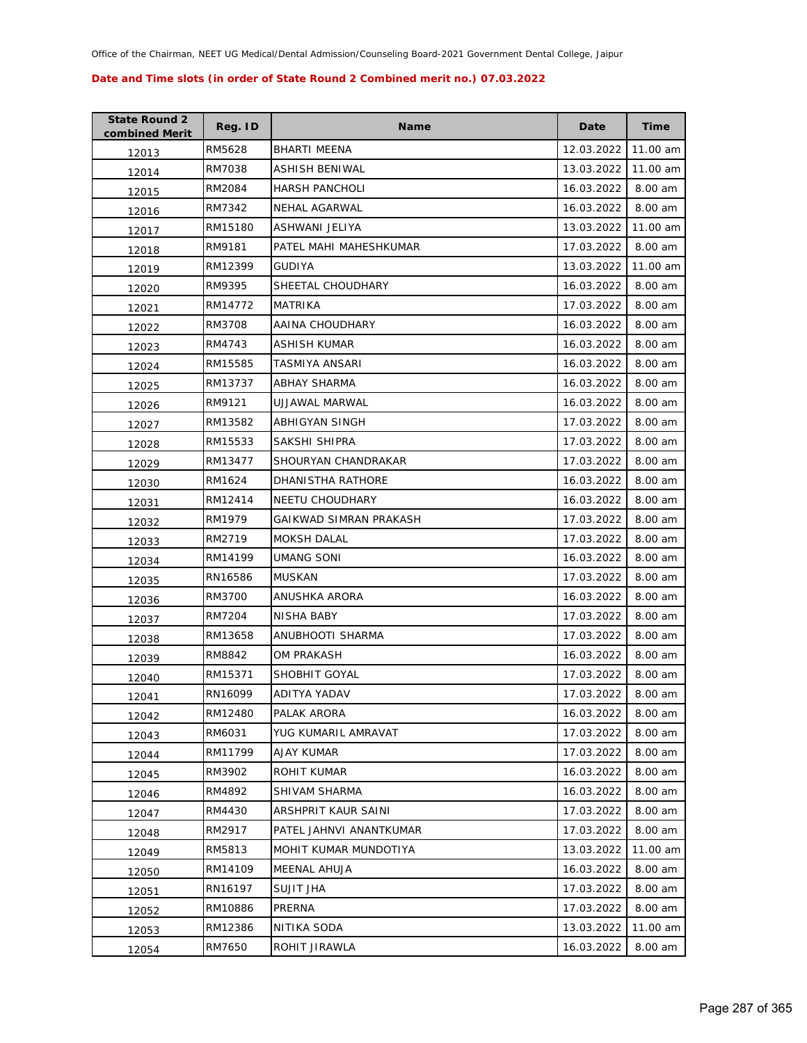| <b>State Round 2</b><br>combined Merit | Reg. ID | <b>Name</b>             | Date       | <b>Time</b> |
|----------------------------------------|---------|-------------------------|------------|-------------|
| 12013                                  | RM5628  | <b>BHARTI MEENA</b>     | 12.03.2022 | 11.00 am    |
| 12014                                  | RM7038  | ASHISH BENIWAL          | 13.03.2022 | 11.00 am    |
| 12015                                  | RM2084  | <b>HARSH PANCHOLI</b>   | 16.03.2022 | 8.00 am     |
| 12016                                  | RM7342  | NEHAL AGARWAL           | 16.03.2022 | 8.00 am     |
| 12017                                  | RM15180 | ASHWANI JELIYA          | 13.03.2022 | 11.00 am    |
| 12018                                  | RM9181  | PATEL MAHI MAHESHKUMAR  | 17.03.2022 | 8.00 am     |
| 12019                                  | RM12399 | <b>GUDIYA</b>           | 13.03.2022 | 11.00 am    |
| 12020                                  | RM9395  | SHEETAL CHOUDHARY       | 16.03.2022 | 8.00 am     |
| 12021                                  | RM14772 | MATRIKA                 | 17.03.2022 | 8.00 am     |
| 12022                                  | RM3708  | AAINA CHOUDHARY         | 16.03.2022 | 8.00 am     |
| 12023                                  | RM4743  | ASHISH KUMAR            | 16.03.2022 | 8.00 am     |
| 12024                                  | RM15585 | TASMIYA ANSARI          | 16.03.2022 | 8.00 am     |
| 12025                                  | RM13737 | <b>ABHAY SHARMA</b>     | 16.03.2022 | 8.00 am     |
| 12026                                  | RM9121  | UJJAWAL MARWAL          | 16.03.2022 | 8.00 am     |
| 12027                                  | RM13582 | ABHIGYAN SINGH          | 17.03.2022 | 8.00 am     |
| 12028                                  | RM15533 | SAKSHI SHIPRA           | 17.03.2022 | 8.00 am     |
| 12029                                  | RM13477 | SHOURYAN CHANDRAKAR     | 17.03.2022 | 8.00 am     |
| 12030                                  | RM1624  | DHANISTHA RATHORE       | 16.03.2022 | 8.00 am     |
| 12031                                  | RM12414 | NEETU CHOUDHARY         | 16.03.2022 | 8.00 am     |
| 12032                                  | RM1979  | GAIKWAD SIMRAN PRAKASH  | 17.03.2022 | 8.00 am     |
| 12033                                  | RM2719  | <b>MOKSH DALAL</b>      | 17.03.2022 | 8.00 am     |
| 12034                                  | RM14199 | UMANG SONI              | 16.03.2022 | 8.00 am     |
| 12035                                  | RN16586 | MUSKAN                  | 17.03.2022 | 8.00 am     |
| 12036                                  | RM3700  | ANUSHKA ARORA           | 16.03.2022 | 8.00 am     |
| 12037                                  | RM7204  | NISHA BABY              | 17.03.2022 | 8.00 am     |
| 12038                                  | RM13658 | ANUBHOOTI SHARMA        | 17.03.2022 | 8.00 am     |
| 12039                                  | RM8842  | OM PRAKASH              | 16.03.2022 | 8.00 am     |
| 12040                                  | RM15371 | SHOBHIT GOYAL           | 17.03.2022 | 8.00 am     |
| 12041                                  | RN16099 | ADITYA YADAV            | 17.03.2022 | 8.00 am     |
| 12042                                  | RM12480 | PALAK ARORA             | 16.03.2022 | 8.00 am     |
| 12043                                  | RM6031  | YUG KUMARIL AMRAVAT     | 17.03.2022 | 8.00 am     |
| 12044                                  | RM11799 | AJAY KUMAR              | 17.03.2022 | 8.00 am     |
| 12045                                  | RM3902  | ROHIT KUMAR             | 16.03.2022 | 8.00 am     |
| 12046                                  | RM4892  | SHIVAM SHARMA           | 16.03.2022 | 8.00 am     |
| 12047                                  | RM4430  | ARSHPRIT KAUR SAINI     | 17.03.2022 | 8.00 am     |
| 12048                                  | RM2917  | PATEL JAHNVI ANANTKUMAR | 17.03.2022 | 8.00 am     |
| 12049                                  | RM5813  | MOHIT KUMAR MUNDOTIYA   | 13.03.2022 | 11.00 am    |
| 12050                                  | RM14109 | MEENAL AHUJA            | 16.03.2022 | 8.00 am     |
| 12051                                  | RN16197 | <b>SUJIT JHA</b>        | 17.03.2022 | 8.00 am     |
| 12052                                  | RM10886 | PRERNA                  | 17.03.2022 | 8.00 am     |
| 12053                                  | RM12386 | NITIKA SODA             | 13.03.2022 | 11.00 am    |
| 12054                                  | RM7650  | ROHIT JIRAWLA           | 16.03.2022 | 8.00 am     |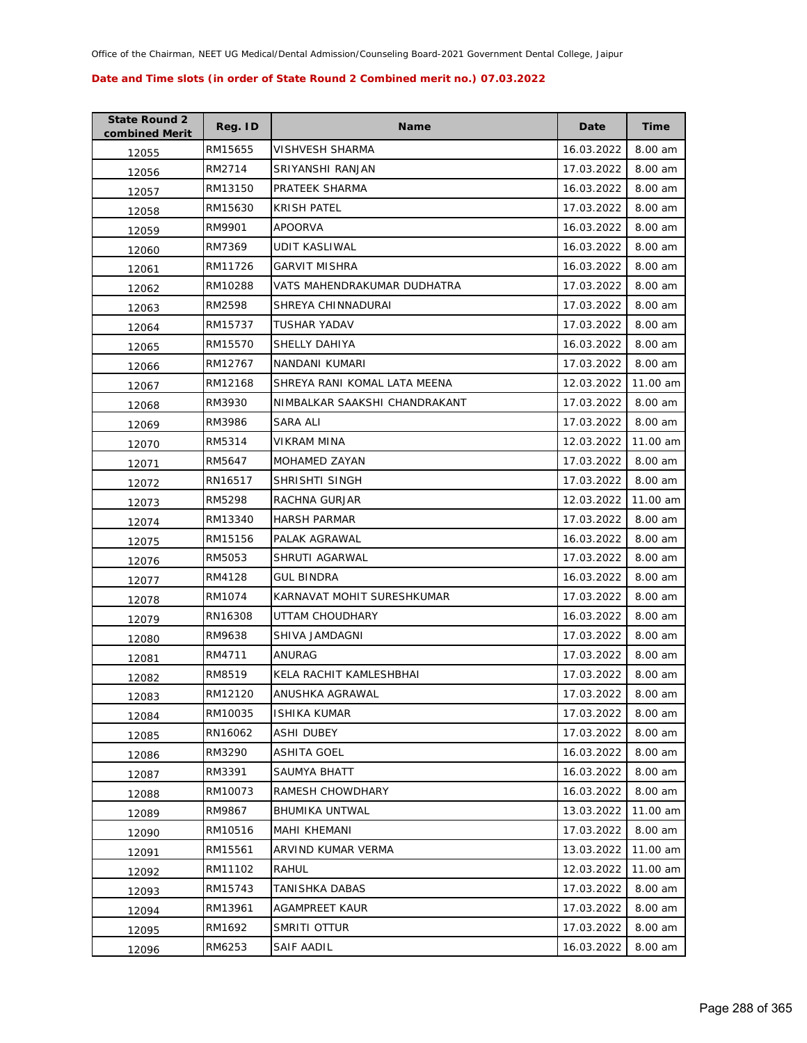| <b>State Round 2</b><br>combined Merit | Reg. ID | <b>Name</b>                   | Date       | Time     |
|----------------------------------------|---------|-------------------------------|------------|----------|
| 12055                                  | RM15655 | VISHVESH SHARMA               | 16.03.2022 | 8.00 am  |
| 12056                                  | RM2714  | SRIYANSHI RANJAN              | 17.03.2022 | 8.00 am  |
| 12057                                  | RM13150 | PRATEEK SHARMA                | 16.03.2022 | 8.00 am  |
| 12058                                  | RM15630 | <b>KRISH PATEL</b>            | 17.03.2022 | 8.00 am  |
| 12059                                  | RM9901  | <b>APOORVA</b>                | 16.03.2022 | 8.00 am  |
| 12060                                  | RM7369  | UDIT KASLIWAL                 | 16.03.2022 | 8.00 am  |
| 12061                                  | RM11726 | GARVIT MISHRA                 | 16.03.2022 | 8.00 am  |
| 12062                                  | RM10288 | VATS MAHENDRAKUMAR DUDHATRA   | 17.03.2022 | 8.00 am  |
| 12063                                  | RM2598  | SHREYA CHINNADURAI            | 17.03.2022 | 8.00 am  |
| 12064                                  | RM15737 | TUSHAR YADAV                  | 17.03.2022 | 8.00 am  |
| 12065                                  | RM15570 | SHELLY DAHIYA                 | 16.03.2022 | 8.00 am  |
| 12066                                  | RM12767 | NANDANI KUMARI                | 17.03.2022 | 8.00 am  |
| 12067                                  | RM12168 | SHREYA RANI KOMAL LATA MEENA  | 12.03.2022 | 11.00 am |
| 12068                                  | RM3930  | NIMBALKAR SAAKSHI CHANDRAKANT | 17.03.2022 | 8.00 am  |
| 12069                                  | RM3986  | SARA ALI                      | 17.03.2022 | 8.00 am  |
| 12070                                  | RM5314  | VIKRAM MINA                   | 12.03.2022 | 11.00 am |
| 12071                                  | RM5647  | <b>MOHAMED ZAYAN</b>          | 17.03.2022 | 8.00 am  |
| 12072                                  | RN16517 | SHRISHTI SINGH                | 17.03.2022 | 8.00 am  |
| 12073                                  | RM5298  | RACHNA GURJAR                 | 12.03.2022 | 11.00 am |
| 12074                                  | RM13340 | <b>HARSH PARMAR</b>           | 17.03.2022 | 8.00 am  |
| 12075                                  | RM15156 | PALAK AGRAWAL                 | 16.03.2022 | 8.00 am  |
| 12076                                  | RM5053  | SHRUTI AGARWAL                | 17.03.2022 | 8.00 am  |
| 12077                                  | RM4128  | GUL BINDRA                    | 16.03.2022 | 8.00 am  |
| 12078                                  | RM1074  | KARNAVAT MOHIT SURESHKUMAR    | 17.03.2022 | 8.00 am  |
| 12079                                  | RN16308 | UTTAM CHOUDHARY               | 16.03.2022 | 8.00 am  |
| 12080                                  | RM9638  | SHIVA JAMDAGNI                | 17.03.2022 | 8.00 am  |
| 12081                                  | RM4711  | ANURAG                        | 17.03.2022 | 8.00 am  |
| 12082                                  | RM8519  | KELA RACHIT KAMLESHBHAI       | 17.03.2022 | 8.00 am  |
| 12083                                  | RM12120 | ANUSHKA AGRAWAL               | 17.03.2022 | 8.00 am  |
| 12084                                  | RM10035 | ISHIKA KUMAR                  | 17.03.2022 | 8.00 am  |
| 12085                                  | RN16062 | ASHI DUBEY                    | 17.03.2022 | 8.00 am  |
| 12086                                  | RM3290  | <b>ASHITA GOEL</b>            | 16.03.2022 | 8.00 am  |
| 12087                                  | RM3391  | SAUMYA BHATT                  | 16.03.2022 | 8.00 am  |
| 12088                                  | RM10073 | RAMESH CHOWDHARY              | 16.03.2022 | 8.00 am  |
| 12089                                  | RM9867  | <b>BHUMIKA UNTWAL</b>         | 13.03.2022 | 11.00 am |
| 12090                                  | RM10516 | <b>MAHI KHEMANI</b>           | 17.03.2022 | 8.00 am  |
| 12091                                  | RM15561 | ARVIND KUMAR VERMA            | 13.03.2022 | 11.00 am |
| 12092                                  | RM11102 | RAHUL                         | 12.03.2022 | 11.00 am |
| 12093                                  | RM15743 | TANISHKA DABAS                | 17.03.2022 | 8.00 am  |
| 12094                                  | RM13961 | AGAMPREET KAUR                | 17.03.2022 | 8.00 am  |
| 12095                                  | RM1692  | SMRITI OTTUR                  | 17.03.2022 | 8.00 am  |
| 12096                                  | RM6253  | <b>SAIF AADIL</b>             | 16.03.2022 | 8.00 am  |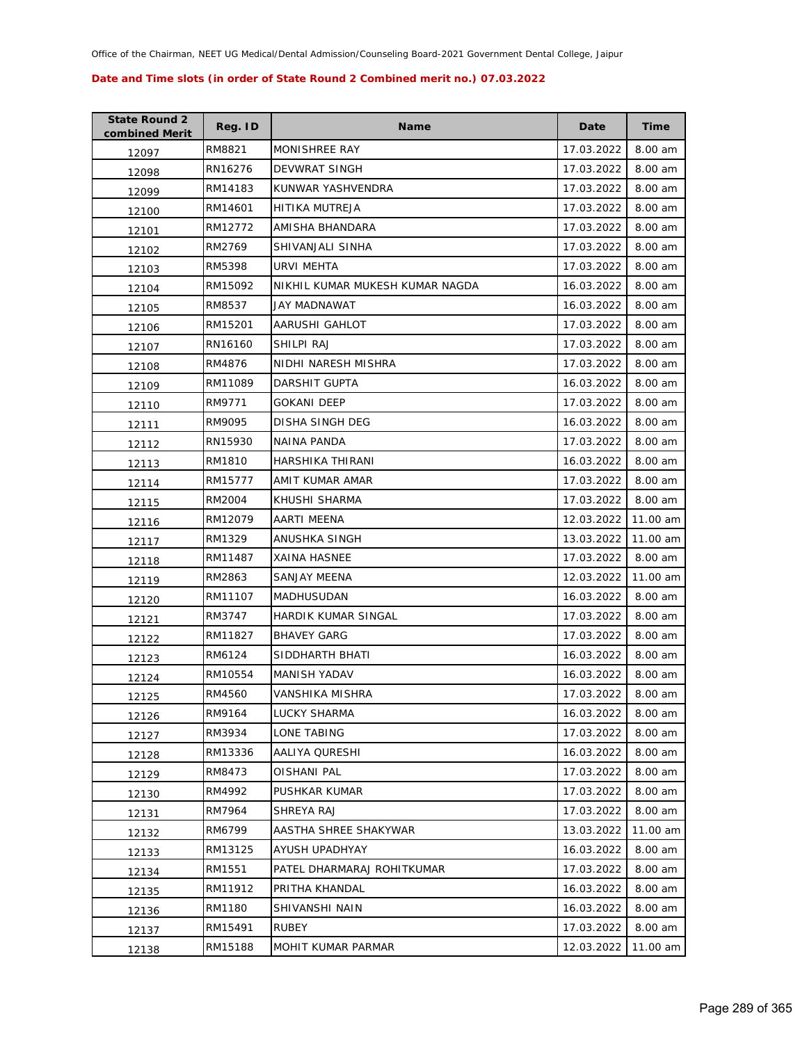| <b>State Round 2</b><br>combined Merit | Reg. ID | <b>Name</b>                     | Date       | <b>Time</b> |
|----------------------------------------|---------|---------------------------------|------------|-------------|
| 12097                                  | RM8821  | <b>MONISHREE RAY</b>            | 17.03.2022 | 8.00 am     |
| 12098                                  | RN16276 | DEVWRAT SINGH                   | 17.03.2022 | 8.00 am     |
| 12099                                  | RM14183 | KUNWAR YASHVENDRA               | 17.03.2022 | 8.00 am     |
| 12100                                  | RM14601 | HITIKA MUTREJA                  | 17.03.2022 | 8.00 am     |
| 12101                                  | RM12772 | AMISHA BHANDARA                 | 17.03.2022 | 8.00 am     |
| 12102                                  | RM2769  | SHIVANJALI SINHA                | 17.03.2022 | 8.00 am     |
| 12103                                  | RM5398  | URVI MEHTA                      | 17.03.2022 | 8.00 am     |
| 12104                                  | RM15092 | NIKHIL KUMAR MUKESH KUMAR NAGDA | 16.03.2022 | 8.00 am     |
| 12105                                  | RM8537  | JAY MADNAWAT                    | 16.03.2022 | 8.00 am     |
| 12106                                  | RM15201 | AARUSHI GAHLOT                  | 17.03.2022 | 8.00 am     |
| 12107                                  | RN16160 | SHILPI RAJ                      | 17.03.2022 | 8.00 am     |
| 12108                                  | RM4876  | NIDHI NARESH MISHRA             | 17.03.2022 | 8.00 am     |
| 12109                                  | RM11089 | DARSHIT GUPTA                   | 16.03.2022 | 8.00 am     |
| 12110                                  | RM9771  | GOKANI DEEP                     | 17.03.2022 | 8.00 am     |
| 12111                                  | RM9095  | <b>DISHA SINGH DEG</b>          | 16.03.2022 | 8.00 am     |
| 12112                                  | RN15930 | <b>NAINA PANDA</b>              | 17.03.2022 | 8.00 am     |
| 12113                                  | RM1810  | <b>HARSHIKA THIRANI</b>         | 16.03.2022 | 8.00 am     |
| 12114                                  | RM15777 | AMIT KUMAR AMAR                 | 17.03.2022 | 8.00 am     |
| 12115                                  | RM2004  | KHUSHI SHARMA                   | 17.03.2022 | 8.00 am     |
| 12116                                  | RM12079 | AARTI MEENA                     | 12.03.2022 | 11.00 am    |
| 12117                                  | RM1329  | ANUSHKA SINGH                   | 13.03.2022 | 11.00 am    |
| 12118                                  | RM11487 | <b>XAINA HASNEE</b>             | 17.03.2022 | 8.00 am     |
| 12119                                  | RM2863  | SANJAY MEENA                    | 12.03.2022 | 11.00 am    |
| 12120                                  | RM11107 | MADHUSUDAN                      | 16.03.2022 | 8.00 am     |
| 12121                                  | RM3747  | HARDIK KUMAR SINGAL             | 17.03.2022 | 8.00 am     |
| 12122                                  | RM11827 | <b>BHAVEY GARG</b>              | 17.03.2022 | 8.00 am     |
| 12123                                  | RM6124  | SIDDHARTH BHATI                 | 16.03.2022 | 8.00 am     |
| 12124                                  | RM10554 | MANISH YADAV                    | 16.03.2022 | 8.00 am     |
| 12125                                  | RM4560  | VANSHIKA MISHRA                 | 17.03.2022 | 8.00 am     |
| 12126                                  | RM9164  | LUCKY SHARMA                    | 16.03.2022 | 8.00 am     |
| 12127                                  | RM3934  | LONE TABING                     | 17.03.2022 | 8.00 am     |
| 12128                                  | RM13336 | AALIYA QURESHI                  | 16.03.2022 | 8.00 am     |
| 12129                                  | RM8473  | OISHANI PAL                     | 17.03.2022 | 8.00 am     |
| 12130                                  | RM4992  | PUSHKAR KUMAR                   | 17.03.2022 | 8.00 am     |
| 12131                                  | RM7964  | SHREYA RAJ                      | 17.03.2022 | 8.00 am     |
| 12132                                  | RM6799  | AASTHA SHREE SHAKYWAR           | 13.03.2022 | 11.00 am    |
| 12133                                  | RM13125 | AYUSH UPADHYAY                  | 16.03.2022 | 8.00 am     |
| 12134                                  | RM1551  | PATEL DHARMARAJ ROHITKUMAR      | 17.03.2022 | 8.00 am     |
| 12135                                  | RM11912 | PRITHA KHANDAL                  | 16.03.2022 | 8.00 am     |
| 12136                                  | RM1180  | SHIVANSHI NAIN                  | 16.03.2022 | 8.00 am     |
| 12137                                  | RM15491 | <b>RUBEY</b>                    | 17.03.2022 | 8.00 am     |
| 12138                                  | RM15188 | MOHIT KUMAR PARMAR              | 12.03.2022 | 11.00 am    |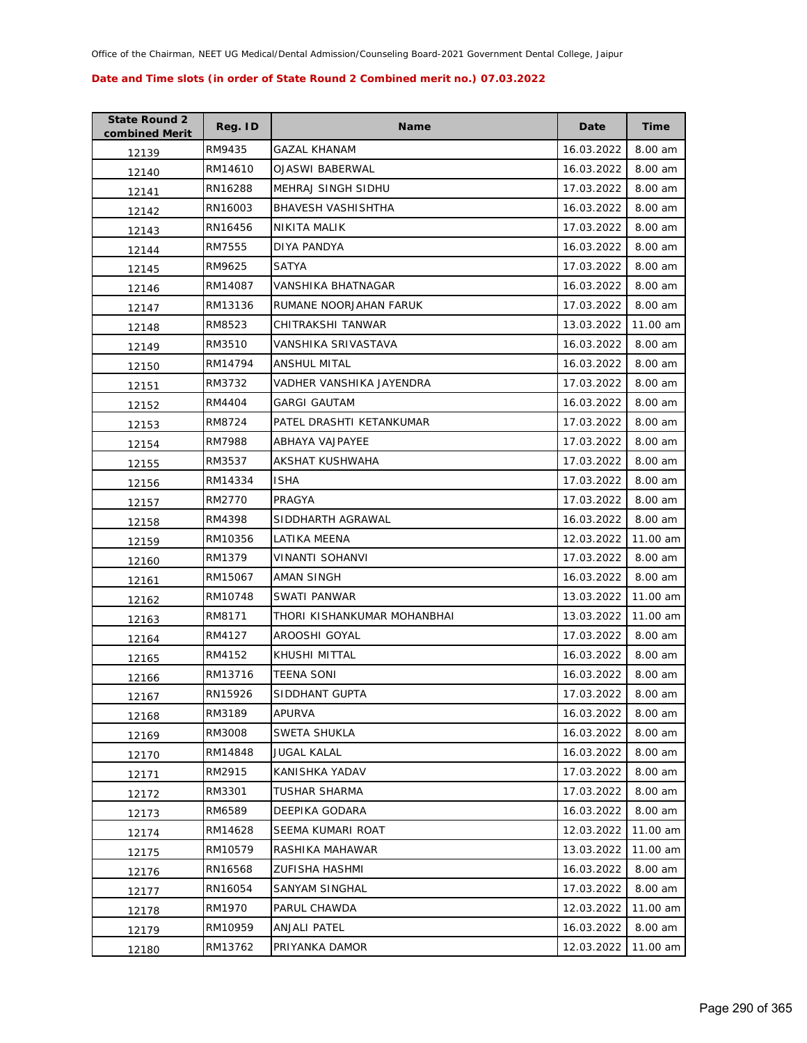| <b>State Round 2</b><br>combined Merit | Reg. ID | <b>Name</b>                 | Date       | Time     |
|----------------------------------------|---------|-----------------------------|------------|----------|
| 12139                                  | RM9435  | GAZAL KHANAM                | 16.03.2022 | 8.00 am  |
| 12140                                  | RM14610 | OJASWI BABERWAL             | 16.03.2022 | 8.00 am  |
| 12141                                  | RN16288 | MEHRAJ SINGH SIDHU          | 17.03.2022 | 8.00 am  |
| 12142                                  | RN16003 | BHAVESH VASHISHTHA          | 16.03.2022 | 8.00 am  |
| 12143                                  | RN16456 | NIKITA MALIK                | 17.03.2022 | 8.00 am  |
| 12144                                  | RM7555  | DIYA PANDYA                 | 16.03.2022 | 8.00 am  |
| 12145                                  | RM9625  | SATYA                       | 17.03.2022 | 8.00 am  |
| 12146                                  | RM14087 | VANSHIKA BHATNAGAR          | 16.03.2022 | 8.00 am  |
| 12147                                  | RM13136 | RUMANE NOORJAHAN FARUK      | 17.03.2022 | 8.00 am  |
| 12148                                  | RM8523  | CHITRAKSHI TANWAR           | 13.03.2022 | 11.00 am |
| 12149                                  | RM3510  | VANSHIKA SRIVASTAVA         | 16.03.2022 | 8.00 am  |
| 12150                                  | RM14794 | ANSHUL MITAL                | 16.03.2022 | 8.00 am  |
| 12151                                  | RM3732  | VADHER VANSHIKA JAYENDRA    | 17.03.2022 | 8.00 am  |
| 12152                                  | RM4404  | GARGI GAUTAM                | 16.03.2022 | 8.00 am  |
| 12153                                  | RM8724  | PATEL DRASHTI KETANKUMAR    | 17.03.2022 | 8.00 am  |
| 12154                                  | RM7988  | ABHAYA VAJPAYEE             | 17.03.2022 | 8.00 am  |
| 12155                                  | RM3537  | AKSHAT KUSHWAHA             | 17.03.2022 | 8.00 am  |
| 12156                                  | RM14334 | <b>ISHA</b>                 | 17.03.2022 | 8.00 am  |
| 12157                                  | RM2770  | PRAGYA                      | 17.03.2022 | 8.00 am  |
| 12158                                  | RM4398  | SIDDHARTH AGRAWAL           | 16.03.2022 | 8.00 am  |
| 12159                                  | RM10356 | LATIKA MEENA                | 12.03.2022 | 11.00 am |
| 12160                                  | RM1379  | VINANTI SOHANVI             | 17.03.2022 | 8.00 am  |
| 12161                                  | RM15067 | AMAN SINGH                  | 16.03.2022 | 8.00 am  |
| 12162                                  | RM10748 | SWATI PANWAR                | 13.03.2022 | 11.00 am |
| 12163                                  | RM8171  | THORI KISHANKUMAR MOHANBHAI | 13.03.2022 | 11.00 am |
| 12164                                  | RM4127  | AROOSHI GOYAL               | 17.03.2022 | 8.00 am  |
| 12165                                  | RM4152  | KHUSHI MITTAL               | 16.03.2022 | 8.00 am  |
| 12166                                  | RM13716 | TEENA SONI                  | 16.03.2022 | 8.00 am  |
| 12167                                  | RN15926 | SIDDHANT GUPTA              | 17.03.2022 | 8.00 am  |
| 12168                                  | RM3189  | <b>APURVA</b>               | 16.03.2022 | 8.00 am  |
| 12169                                  | RM3008  | SWETA SHUKLA                | 16.03.2022 | 8.00 am  |
| 12170                                  | RM14848 | <b>JUGAL KALAL</b>          | 16.03.2022 | 8.00 am  |
| 12171                                  | RM2915  | KANISHKA YADAV              | 17.03.2022 | 8.00 am  |
| 12172                                  | RM3301  | TUSHAR SHARMA               | 17.03.2022 | 8.00 am  |
| 12173                                  | RM6589  | DEEPIKA GODARA              | 16.03.2022 | 8.00 am  |
| 12174                                  | RM14628 | SEEMA KUMARI ROAT           | 12.03.2022 | 11.00 am |
| 12175                                  | RM10579 | RASHIKA MAHAWAR             | 13.03.2022 | 11.00 am |
| 12176                                  | RN16568 | <b>ZUFISHA HASHMI</b>       | 16.03.2022 | 8.00 am  |
| 12177                                  | RN16054 | SANYAM SINGHAL              | 17.03.2022 | 8.00 am  |
| 12178                                  | RM1970  | PARUL CHAWDA                | 12.03.2022 | 11.00 am |
| 12179                                  | RM10959 | ANJALI PATEL                | 16.03.2022 | 8.00 am  |
| 12180                                  | RM13762 | PRIYANKA DAMOR              | 12.03.2022 | 11.00 am |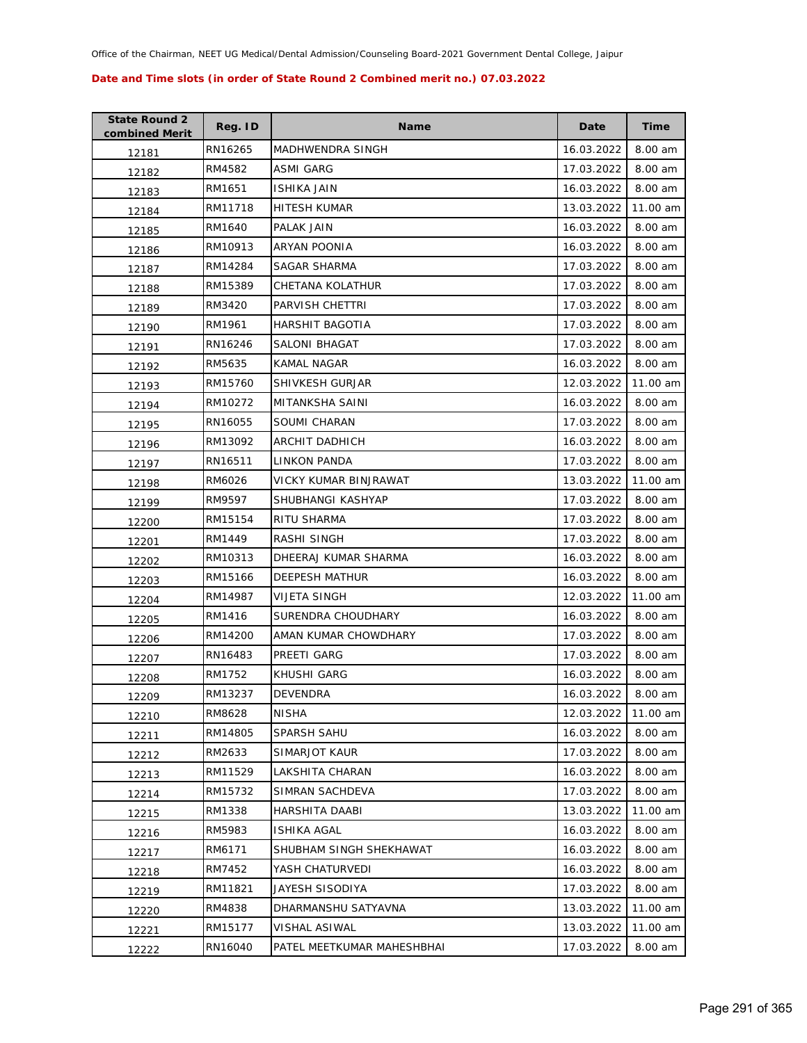| <b>State Round 2</b><br>combined Merit | Reg. ID | <b>Name</b>                | Date       | <b>Time</b> |
|----------------------------------------|---------|----------------------------|------------|-------------|
| 12181                                  | RN16265 | MADHWENDRA SINGH           | 16.03.2022 | 8.00 am     |
| 12182                                  | RM4582  | ASMI GARG                  | 17.03.2022 | 8.00 am     |
| 12183                                  | RM1651  | ISHIKA JAIN                | 16.03.2022 | 8.00 am     |
| 12184                                  | RM11718 | HITESH KUMAR               | 13.03.2022 | 11.00 am    |
| 12185                                  | RM1640  | PALAK JAIN                 | 16.03.2022 | 8.00 am     |
| 12186                                  | RM10913 | ARYAN POONIA               | 16.03.2022 | 8.00 am     |
| 12187                                  | RM14284 | SAGAR SHARMA               | 17.03.2022 | 8.00 am     |
| 12188                                  | RM15389 | CHETANA KOLATHUR           | 17.03.2022 | 8.00 am     |
| 12189                                  | RM3420  | PARVISH CHETTRI            | 17.03.2022 | 8.00 am     |
| 12190                                  | RM1961  | HARSHIT BAGOTIA            | 17.03.2022 | 8.00 am     |
| 12191                                  | RN16246 | SALONI BHAGAT              | 17.03.2022 | 8.00 am     |
| 12192                                  | RM5635  | KAMAL NAGAR                | 16.03.2022 | 8.00 am     |
| 12193                                  | RM15760 | SHIVKESH GURJAR            | 12.03.2022 | 11.00 am    |
| 12194                                  | RM10272 | MITANKSHA SAINI            | 16.03.2022 | 8.00 am     |
| 12195                                  | RN16055 | SOUMI CHARAN               | 17.03.2022 | 8.00 am     |
| 12196                                  | RM13092 | <b>ARCHIT DADHICH</b>      | 16.03.2022 | 8.00 am     |
| 12197                                  | RN16511 | <b>LINKON PANDA</b>        | 17.03.2022 | 8.00 am     |
| 12198                                  | RM6026  | VICKY KUMAR BINJRAWAT      | 13.03.2022 | 11.00 am    |
| 12199                                  | RM9597  | SHUBHANGI KASHYAP          | 17.03.2022 | 8.00 am     |
| 12200                                  | RM15154 | RITU SHARMA                | 17.03.2022 | 8.00 am     |
| 12201                                  | RM1449  | RASHI SINGH                | 17.03.2022 | 8.00 am     |
| 12202                                  | RM10313 | DHEERAJ KUMAR SHARMA       | 16.03.2022 | 8.00 am     |
| 12203                                  | RM15166 | DEEPESH MATHUR             | 16.03.2022 | 8.00 am     |
| 12204                                  | RM14987 | VIJETA SINGH               | 12.03.2022 | 11.00 am    |
| 12205                                  | RM1416  | SURENDRA CHOUDHARY         | 16.03.2022 | 8.00 am     |
| 12206                                  | RM14200 | AMAN KUMAR CHOWDHARY       | 17.03.2022 | 8.00 am     |
| 12207                                  | RN16483 | PREETI GARG                | 17.03.2022 | $8.00$ am   |
| 12208                                  | RM1752  | KHUSHI GARG                | 16.03.2022 | 8.00 am     |
| 12209                                  | RM13237 | <b>DEVENDRA</b>            | 16.03.2022 | 8.00 am     |
| 12210                                  | RM8628  | NISHA                      | 12.03.2022 | 11.00 am    |
| 12211                                  | RM14805 | SPARSH SAHU                | 16.03.2022 | 8.00 am     |
| 12212                                  | RM2633  | SIMARJOT KAUR              | 17.03.2022 | 8.00 am     |
| 12213                                  | RM11529 | LAKSHITA CHARAN            | 16.03.2022 | 8.00 am     |
| 12214                                  | RM15732 | SIMRAN SACHDEVA            | 17.03.2022 | 8.00 am     |
| 12215                                  | RM1338  | HARSHITA DAABI             | 13.03.2022 | 11.00 am    |
| 12216                                  | RM5983  | <b>ISHIKA AGAL</b>         | 16.03.2022 | 8.00 am     |
| 12217                                  | RM6171  | SHUBHAM SINGH SHEKHAWAT    | 16.03.2022 | 8.00 am     |
| 12218                                  | RM7452  | YASH CHATURVEDI            | 16.03.2022 | 8.00 am     |
| 12219                                  | RM11821 | JAYESH SISODIYA            | 17.03.2022 | 8.00 am     |
| 12220                                  | RM4838  | DHARMANSHU SATYAVNA        | 13.03.2022 | 11.00 am    |
| 12221                                  | RM15177 | VISHAL ASIWAL              | 13.03.2022 | 11.00 am    |
| 12222                                  | RN16040 | PATEL MEETKUMAR MAHESHBHAI | 17.03.2022 | 8.00 am     |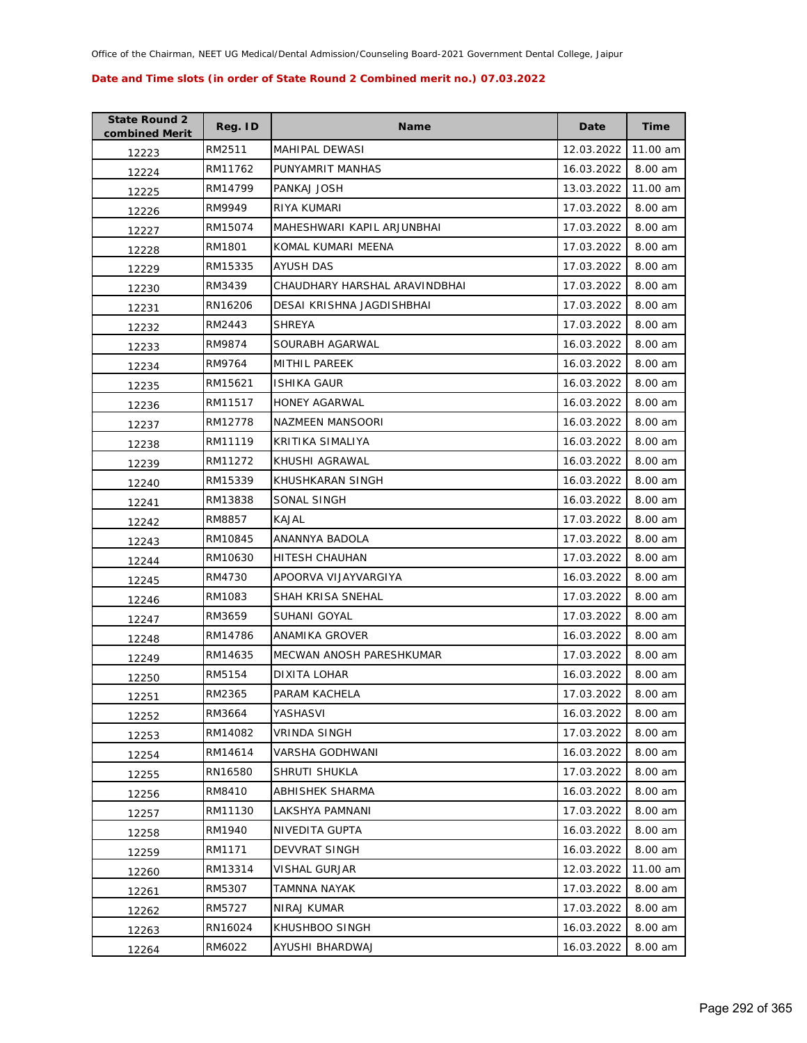| <b>State Round 2</b><br>combined Merit | Reg. ID | <b>Name</b>                   | Date       | <b>Time</b> |
|----------------------------------------|---------|-------------------------------|------------|-------------|
| 12223                                  | RM2511  | MAHIPAL DEWASI                | 12.03.2022 | 11.00 am    |
| 12224                                  | RM11762 | PUNYAMRIT MANHAS              | 16.03.2022 | 8.00 am     |
| 12225                                  | RM14799 | PANKAJ JOSH                   | 13.03.2022 | 11.00 am    |
| 12226                                  | RM9949  | RIYA KUMARI                   | 17.03.2022 | 8.00 am     |
| 12227                                  | RM15074 | MAHESHWARI KAPIL ARJUNBHAI    | 17.03.2022 | 8.00 am     |
| 12228                                  | RM1801  | KOMAL KUMARI MEENA            | 17.03.2022 | 8.00 am     |
| 12229                                  | RM15335 | AYUSH DAS                     | 17.03.2022 | 8.00 am     |
| 12230                                  | RM3439  | CHAUDHARY HARSHAL ARAVINDBHAI | 17.03.2022 | 8.00 am     |
| 12231                                  | RN16206 | DESAI KRISHNA JAGDISHBHAI     | 17.03.2022 | 8.00 am     |
| 12232                                  | RM2443  | SHREYA                        | 17.03.2022 | 8.00 am     |
| 12233                                  | RM9874  | SOURABH AGARWAL               | 16.03.2022 | 8.00 am     |
| 12234                                  | RM9764  | MITHIL PAREEK                 | 16.03.2022 | 8.00 am     |
| 12235                                  | RM15621 | <b>ISHIKA GAUR</b>            | 16.03.2022 | 8.00 am     |
| 12236                                  | RM11517 | <b>HONEY AGARWAL</b>          | 16.03.2022 | 8.00 am     |
| 12237                                  | RM12778 | NAZMEEN MANSOORI              | 16.03.2022 | 8.00 am     |
| 12238                                  | RM11119 | KRITIKA SIMALIYA              | 16.03.2022 | 8.00 am     |
| 12239                                  | RM11272 | KHUSHI AGRAWAL                | 16.03.2022 | 8.00 am     |
| 12240                                  | RM15339 | KHUSHKARAN SINGH              | 16.03.2022 | 8.00 am     |
| 12241                                  | RM13838 | SONAL SINGH                   | 16.03.2022 | 8.00 am     |
| 12242                                  | RM8857  | KAJAL                         | 17.03.2022 | 8.00 am     |
| 12243                                  | RM10845 | ANANNYA BADOLA                | 17.03.2022 | 8.00 am     |
| 12244                                  | RM10630 | HITESH CHAUHAN                | 17.03.2022 | 8.00 am     |
| 12245                                  | RM4730  | APOORVA VIJAYVARGIYA          | 16.03.2022 | 8.00 am     |
| 12246                                  | RM1083  | SHAH KRISA SNEHAL             | 17.03.2022 | 8.00 am     |
| 12247                                  | RM3659  | SUHANI GOYAL                  | 17.03.2022 | 8.00 am     |
| 12248                                  | RM14786 | ANAMIKA GROVER                | 16.03.2022 | 8.00 am     |
| 12249                                  | RM14635 | MECWAN ANOSH PARESHKUMAR      | 17.03.2022 | 8.00 am     |
| 12250                                  | RM5154  | DIXITA LOHAR                  | 16.03.2022 | 8.00 am     |
| 12251                                  | RM2365  | PARAM KACHELA                 | 17.03.2022 | 8.00 am     |
| 12252                                  | RM3664  | YASHASVI                      | 16.03.2022 | 8.00 am     |
| 12253                                  | RM14082 | VRINDA SINGH                  | 17.03.2022 | 8.00 am     |
| 12254                                  | RM14614 | VARSHA GODHWANI               | 16.03.2022 | 8.00 am     |
| 12255                                  | RN16580 | SHRUTI SHUKLA                 | 17.03.2022 | 8.00 am     |
| 12256                                  | RM8410  | <b>ABHISHEK SHARMA</b>        | 16.03.2022 | 8.00 am     |
| 12257                                  | RM11130 | LAKSHYA PAMNANI               | 17.03.2022 | 8.00 am     |
| 12258                                  | RM1940  | NIVEDITA GUPTA                | 16.03.2022 | 8.00 am     |
| 12259                                  | RM1171  | <b>DEVVRAT SINGH</b>          | 16.03.2022 | 8.00 am     |
| 12260                                  | RM13314 | VISHAL GURJAR                 | 12.03.2022 | 11.00 am    |
| 12261                                  | RM5307  | TAMNNA NAYAK                  | 17.03.2022 | 8.00 am     |
| 12262                                  | RM5727  | NIRAJ KUMAR                   | 17.03.2022 | 8.00 am     |
| 12263                                  | RN16024 | KHUSHBOO SINGH                | 16.03.2022 | 8.00 am     |
| 12264                                  | RM6022  | AYUSHI BHARDWAJ               | 16.03.2022 | 8.00 am     |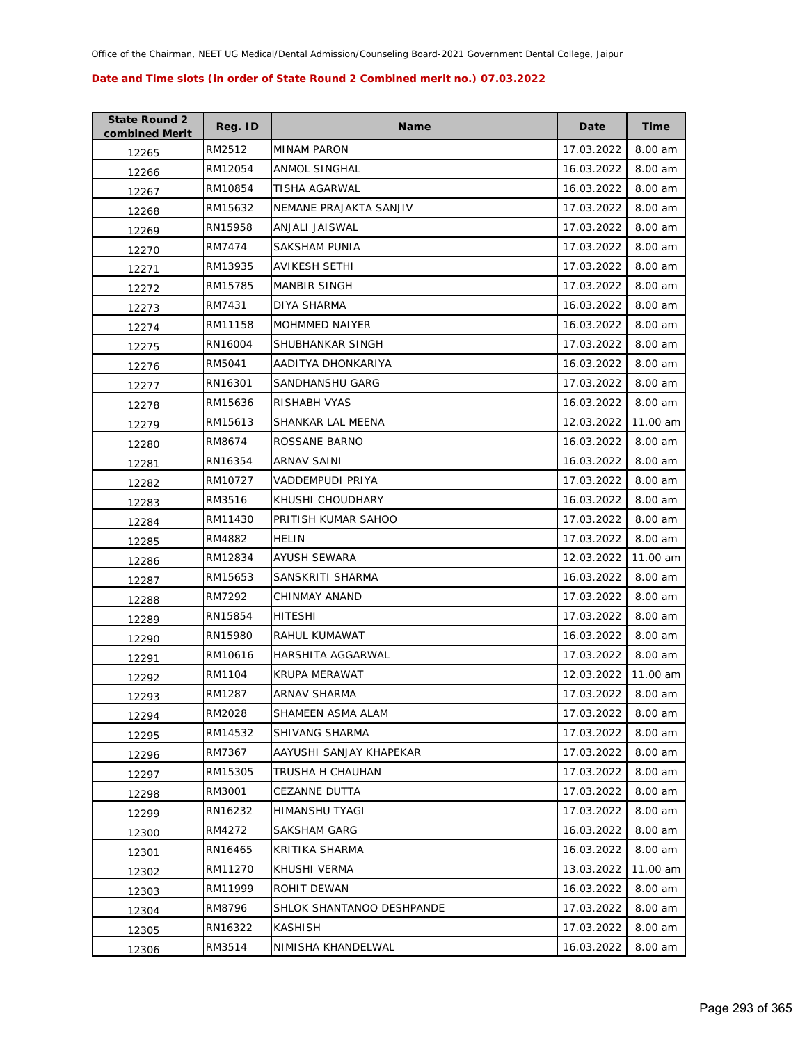| <b>State Round 2</b><br>combined Merit | Reg. ID | Name                      | Date       | Time     |
|----------------------------------------|---------|---------------------------|------------|----------|
| 12265                                  | RM2512  | <b>MINAM PARON</b>        | 17.03.2022 | 8.00 am  |
| 12266                                  | RM12054 | ANMOL SINGHAL             | 16.03.2022 | 8.00 am  |
| 12267                                  | RM10854 | TISHA AGARWAL             | 16.03.2022 | 8.00 am  |
| 12268                                  | RM15632 | NEMANE PRAJAKTA SANJIV    | 17.03.2022 | 8.00 am  |
| 12269                                  | RN15958 | ANJALI JAISWAL            | 17.03.2022 | 8.00 am  |
| 12270                                  | RM7474  | SAKSHAM PUNIA             | 17.03.2022 | 8.00 am  |
| 12271                                  | RM13935 | AVIKESH SETHI             | 17.03.2022 | 8.00 am  |
| 12272                                  | RM15785 | <b>MANBIR SINGH</b>       | 17.03.2022 | 8.00 am  |
| 12273                                  | RM7431  | DIYA SHARMA               | 16.03.2022 | 8.00 am  |
| 12274                                  | RM11158 | <b>MOHMMED NAIYER</b>     | 16.03.2022 | 8.00 am  |
| 12275                                  | RN16004 | SHUBHANKAR SINGH          | 17.03.2022 | 8.00 am  |
| 12276                                  | RM5041  | AADITYA DHONKARIYA        | 16.03.2022 | 8.00 am  |
| 12277                                  | RN16301 | SANDHANSHU GARG           | 17.03.2022 | 8.00 am  |
| 12278                                  | RM15636 | RISHABH VYAS              | 16.03.2022 | 8.00 am  |
| 12279                                  | RM15613 | SHANKAR LAL MEENA         | 12.03.2022 | 11.00 am |
| 12280                                  | RM8674  | ROSSANE BARNO             | 16.03.2022 | 8.00 am  |
| 12281                                  | RN16354 | ARNAV SAINI               | 16.03.2022 | 8.00 am  |
| 12282                                  | RM10727 | VADDEMPUDI PRIYA          | 17.03.2022 | 8.00 am  |
| 12283                                  | RM3516  | KHUSHI CHOUDHARY          | 16.03.2022 | 8.00 am  |
| 12284                                  | RM11430 | PRITISH KUMAR SAHOO       | 17.03.2022 | 8.00 am  |
| 12285                                  | RM4882  | <b>HELIN</b>              | 17.03.2022 | 8.00 am  |
| 12286                                  | RM12834 | AYUSH SEWARA              | 12.03.2022 | 11.00 am |
| 12287                                  | RM15653 | SANSKRITI SHARMA          | 16.03.2022 | 8.00 am  |
| 12288                                  | RM7292  | CHINMAY ANAND             | 17.03.2022 | 8.00 am  |
| 12289                                  | RN15854 | HITESHI                   | 17.03.2022 | 8.00 am  |
| 12290                                  | RN15980 | RAHUL KUMAWAT             | 16.03.2022 | 8.00 am  |
| 12291                                  | RM10616 | HARSHITA AGGARWAL         | 17.03.2022 | 8.00 am  |
| 12292                                  | RM1104  | KRUPA MERAWAT             | 12.03.2022 | 11.00 am |
| 12293                                  | RM1287  | <b>ARNAV SHARMA</b>       | 17.03.2022 | 8.00 am  |
| 12294                                  | RM2028  | SHAMEEN ASMA ALAM         | 17.03.2022 | 8.00 am  |
| 12295                                  | RM14532 | <b>SHIVANG SHARMA</b>     | 17.03.2022 | 8.00 am  |
| 12296                                  | RM7367  | AAYUSHI SANJAY KHAPEKAR   | 17.03.2022 | 8.00 am  |
| 12297                                  | RM15305 | TRUSHA H CHAUHAN          | 17.03.2022 | 8.00 am  |
| 12298                                  | RM3001  | <b>CEZANNE DUTTA</b>      | 17.03.2022 | 8.00 am  |
| 12299                                  | RN16232 | HIMANSHU TYAGI            | 17.03.2022 | 8.00 am  |
| 12300                                  | RM4272  | SAKSHAM GARG              | 16.03.2022 | 8.00 am  |
| 12301                                  | RN16465 | KRITIKA SHARMA            | 16.03.2022 | 8.00 am  |
| 12302                                  | RM11270 | KHUSHI VERMA              | 13.03.2022 | 11.00 am |
| 12303                                  | RM11999 | ROHIT DEWAN               | 16.03.2022 | 8.00 am  |
| 12304                                  | RM8796  | SHLOK SHANTANOO DESHPANDE | 17.03.2022 | 8.00 am  |
| 12305                                  | RN16322 | KASHISH                   | 17.03.2022 | 8.00 am  |
| 12306                                  | RM3514  | NIMISHA KHANDELWAL        | 16.03.2022 | 8.00 am  |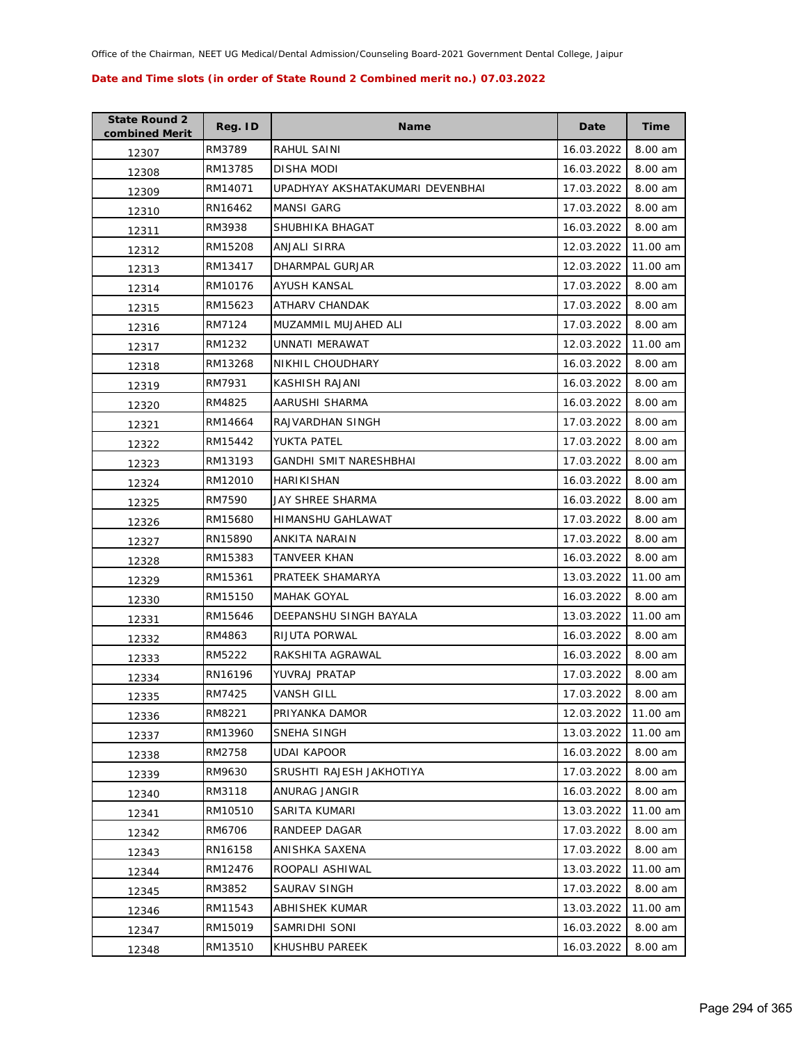| <b>State Round 2</b><br>combined Merit | Reg. ID | <b>Name</b>                      | Date       | Time     |
|----------------------------------------|---------|----------------------------------|------------|----------|
| 12307                                  | RM3789  | RAHUL SAINI                      | 16.03.2022 | 8.00 am  |
| 12308                                  | RM13785 | DISHA MODI                       | 16.03.2022 | 8.00 am  |
| 12309                                  | RM14071 | UPADHYAY AKSHATAKUMARI DEVENBHAI | 17.03.2022 | 8.00 am  |
| 12310                                  | RN16462 | <b>MANSI GARG</b>                | 17.03.2022 | 8.00 am  |
| 12311                                  | RM3938  | SHUBHIKA BHAGAT                  | 16.03.2022 | 8.00 am  |
| 12312                                  | RM15208 | ANJALI SIRRA                     | 12.03.2022 | 11.00 am |
| 12313                                  | RM13417 | DHARMPAL GURJAR                  | 12.03.2022 | 11.00 am |
| 12314                                  | RM10176 | AYUSH KANSAL                     | 17.03.2022 | 8.00 am  |
| 12315                                  | RM15623 | ATHARV CHANDAK                   | 17.03.2022 | 8.00 am  |
| 12316                                  | RM7124  | MUZAMMIL MUJAHED ALI             | 17.03.2022 | 8.00 am  |
| 12317                                  | RM1232  | UNNATI MERAWAT                   | 12.03.2022 | 11.00 am |
| 12318                                  | RM13268 | NIKHIL CHOUDHARY                 | 16.03.2022 | 8.00 am  |
| 12319                                  | RM7931  | KASHISH RAJANI                   | 16.03.2022 | 8.00 am  |
| 12320                                  | RM4825  | AARUSHI SHARMA                   | 16.03.2022 | 8.00 am  |
| 12321                                  | RM14664 | RAJVARDHAN SINGH                 | 17.03.2022 | 8.00 am  |
| 12322                                  | RM15442 | YUKTA PATEL                      | 17.03.2022 | 8.00 am  |
| 12323                                  | RM13193 | GANDHI SMIT NARESHBHAI           | 17.03.2022 | 8.00 am  |
| 12324                                  | RM12010 | HARIKISHAN                       | 16.03.2022 | 8.00 am  |
| 12325                                  | RM7590  | JAY SHREE SHARMA                 | 16.03.2022 | 8.00 am  |
| 12326                                  | RM15680 | HIMANSHU GAHLAWAT                | 17.03.2022 | 8.00 am  |
| 12327                                  | RN15890 | ANKITA NARAIN                    | 17.03.2022 | 8.00 am  |
| 12328                                  | RM15383 | TANVEER KHAN                     | 16.03.2022 | 8.00 am  |
| 12329                                  | RM15361 | PRATEEK SHAMARYA                 | 13.03.2022 | 11.00 am |
| 12330                                  | RM15150 | <b>MAHAK GOYAL</b>               | 16.03.2022 | 8.00 am  |
| 12331                                  | RM15646 | DEEPANSHU SINGH BAYALA           | 13.03.2022 | 11.00 am |
| 12332                                  | RM4863  | RIJUTA PORWAL                    | 16.03.2022 | 8.00 am  |
| 12333                                  | RM5222  | RAKSHITA AGRAWAL                 | 16.03.2022 | 8.00 am  |
| 12334                                  | RN16196 | YUVRAJ PRATAP                    | 17.03.2022 | 8.00 am  |
| 12335                                  | RM7425  | VANSH GILL                       | 17.03.2022 | 8.00 am  |
| 12336                                  | RM8221  | PRIYANKA DAMOR                   | 12.03.2022 | 11.00 am |
| 12337                                  | RM13960 | SNEHA SINGH                      | 13.03.2022 | 11.00 am |
| 12338                                  | RM2758  | UDAI KAPOOR                      | 16.03.2022 | 8.00 am  |
| 12339                                  | RM9630  | SRUSHTI RAJESH JAKHOTIYA         | 17.03.2022 | 8.00 am  |
| 12340                                  | RM3118  | ANURAG JANGIR                    | 16.03.2022 | 8.00 am  |
| 12341                                  | RM10510 | SARITA KUMARI                    | 13.03.2022 | 11.00 am |
| 12342                                  | RM6706  | RANDEEP DAGAR                    | 17.03.2022 | 8.00 am  |
| 12343                                  | RN16158 | ANISHKA SAXENA                   | 17.03.2022 | 8.00 am  |
| 12344                                  | RM12476 | ROOPALI ASHIWAL                  | 13.03.2022 | 11.00 am |
| 12345                                  | RM3852  | SAURAV SINGH                     | 17.03.2022 | 8.00 am  |
| 12346                                  | RM11543 | ABHISHEK KUMAR                   | 13.03.2022 | 11.00 am |
| 12347                                  | RM15019 | SAMRIDHI SONI                    | 16.03.2022 | 8.00 am  |
| 12348                                  | RM13510 | KHUSHBU PAREEK                   | 16.03.2022 | 8.00 am  |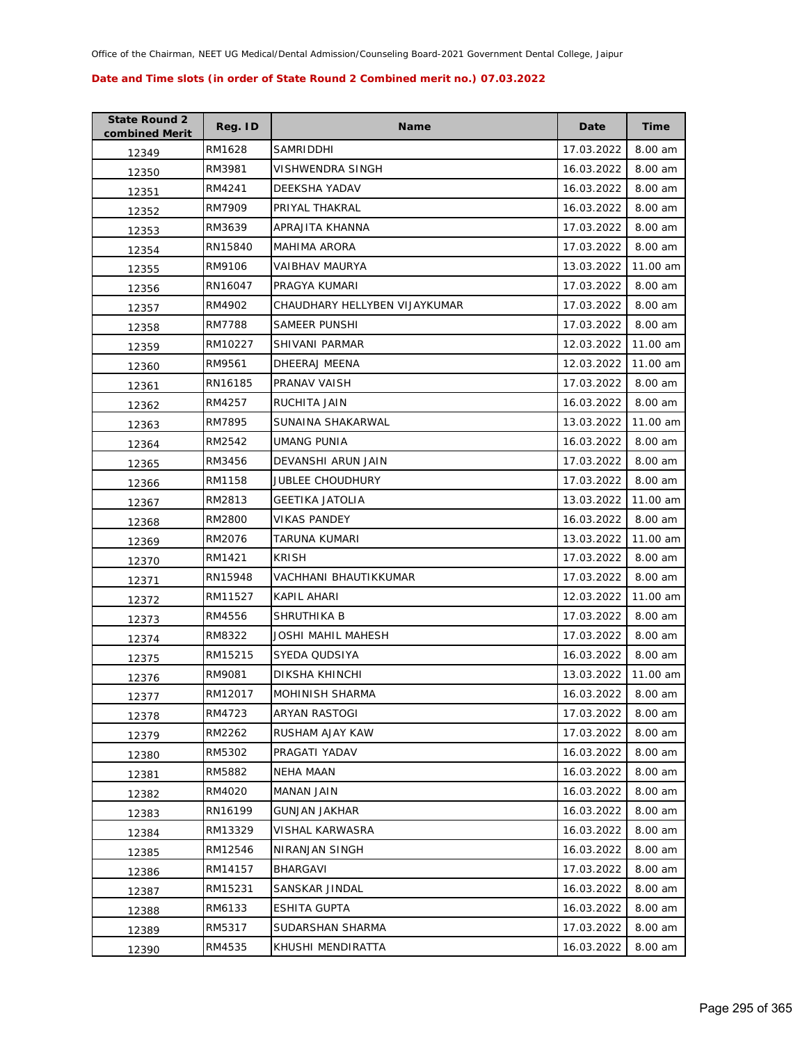| <b>State Round 2</b><br>combined Merit | Reg. ID | <b>Name</b>                   | Date       | <b>Time</b> |
|----------------------------------------|---------|-------------------------------|------------|-------------|
| 12349                                  | RM1628  | SAMRIDDHI                     | 17.03.2022 | 8.00 am     |
| 12350                                  | RM3981  | VISHWENDRA SINGH              | 16.03.2022 | 8.00 am     |
| 12351                                  | RM4241  | DEEKSHA YADAV                 | 16.03.2022 | 8.00 am     |
| 12352                                  | RM7909  | PRIYAL THAKRAL                | 16.03.2022 | 8.00 am     |
| 12353                                  | RM3639  | APRAJITA KHANNA               | 17.03.2022 | 8.00 am     |
| 12354                                  | RN15840 | <b>MAHIMA ARORA</b>           | 17.03.2022 | 8.00 am     |
| 12355                                  | RM9106  | VAIBHAV MAURYA                | 13.03.2022 | 11.00 am    |
| 12356                                  | RN16047 | PRAGYA KUMARI                 | 17.03.2022 | 8.00 am     |
| 12357                                  | RM4902  | CHAUDHARY HELLYBEN VIJAYKUMAR | 17.03.2022 | 8.00 am     |
| 12358                                  | RM7788  | SAMEER PUNSHI                 | 17.03.2022 | 8.00 am     |
| 12359                                  | RM10227 | SHIVANI PARMAR                | 12.03.2022 | 11.00 am    |
| 12360                                  | RM9561  | DHEERAJ MEENA                 | 12.03.2022 | 11.00 am    |
| 12361                                  | RN16185 | PRANAV VAISH                  | 17.03.2022 | 8.00 am     |
| 12362                                  | RM4257  | <b>RUCHITA JAIN</b>           | 16.03.2022 | 8.00 am     |
| 12363                                  | RM7895  | SUNAINA SHAKARWAL             | 13.03.2022 | 11.00 am    |
| 12364                                  | RM2542  | <b>UMANG PUNIA</b>            | 16.03.2022 | 8.00 am     |
| 12365                                  | RM3456  | DEVANSHI ARUN JAIN            | 17.03.2022 | 8.00 am     |
| 12366                                  | RM1158  | <b>JUBLEE CHOUDHURY</b>       | 17.03.2022 | 8.00 am     |
| 12367                                  | RM2813  | <b>GEETIKA JATOLIA</b>        | 13.03.2022 | 11.00 am    |
| 12368                                  | RM2800  | <b>VIKAS PANDEY</b>           | 16.03.2022 | 8.00 am     |
| 12369                                  | RM2076  | TARUNA KUMARI                 | 13.03.2022 | 11.00 am    |
| 12370                                  | RM1421  | <b>KRISH</b>                  | 17.03.2022 | 8.00 am     |
| 12371                                  | RN15948 | VACHHANI BHAUTIKKUMAR         | 17.03.2022 | 8.00 am     |
| 12372                                  | RM11527 | KAPIL AHARI                   | 12.03.2022 | 11.00 am    |
| 12373                                  | RM4556  | SHRUTHIKA B                   | 17.03.2022 | 8.00 am     |
| 12374                                  | RM8322  | JOSHI MAHIL MAHESH            | 17.03.2022 | 8.00 am     |
| 12375                                  | RM15215 | SYEDA QUDSIYA                 | 16.03.2022 | 8.00 am     |
| 12376                                  | RM9081  | <b>DIKSHA KHINCHI</b>         | 13.03.2022 | 11.00 am    |
| 12377                                  | RM12017 | MOHINISH SHARMA               | 16.03.2022 | 8.00 am     |
| 12378                                  | RM4723  | ARYAN RASTOGI                 | 17.03.2022 | 8.00 am     |
| 12379                                  | RM2262  | RUSHAM AJAY KAW               | 17.03.2022 | 8.00 am     |
| 12380                                  | RM5302  | PRAGATI YADAV                 | 16.03.2022 | 8.00 am     |
| 12381                                  | RM5882  | NEHA MAAN                     | 16.03.2022 | 8.00 am     |
| 12382                                  | RM4020  | MANAN JAIN                    | 16.03.2022 | 8.00 am     |
| 12383                                  | RN16199 | <b>GUNJAN JAKHAR</b>          | 16.03.2022 | 8.00 am     |
| 12384                                  | RM13329 | VISHAL KARWASRA               | 16.03.2022 | 8.00 am     |
| 12385                                  | RM12546 | NIRANJAN SINGH                | 16.03.2022 | 8.00 am     |
| 12386                                  | RM14157 | <b>BHARGAVI</b>               | 17.03.2022 | 8.00 am     |
| 12387                                  | RM15231 | SANSKAR JINDAL                | 16.03.2022 | 8.00 am     |
| 12388                                  | RM6133  | ESHITA GUPTA                  | 16.03.2022 | 8.00 am     |
| 12389                                  | RM5317  | SUDARSHAN SHARMA              | 17.03.2022 | 8.00 am     |
| 12390                                  | RM4535  | KHUSHI MENDIRATTA             | 16.03.2022 | 8.00 am     |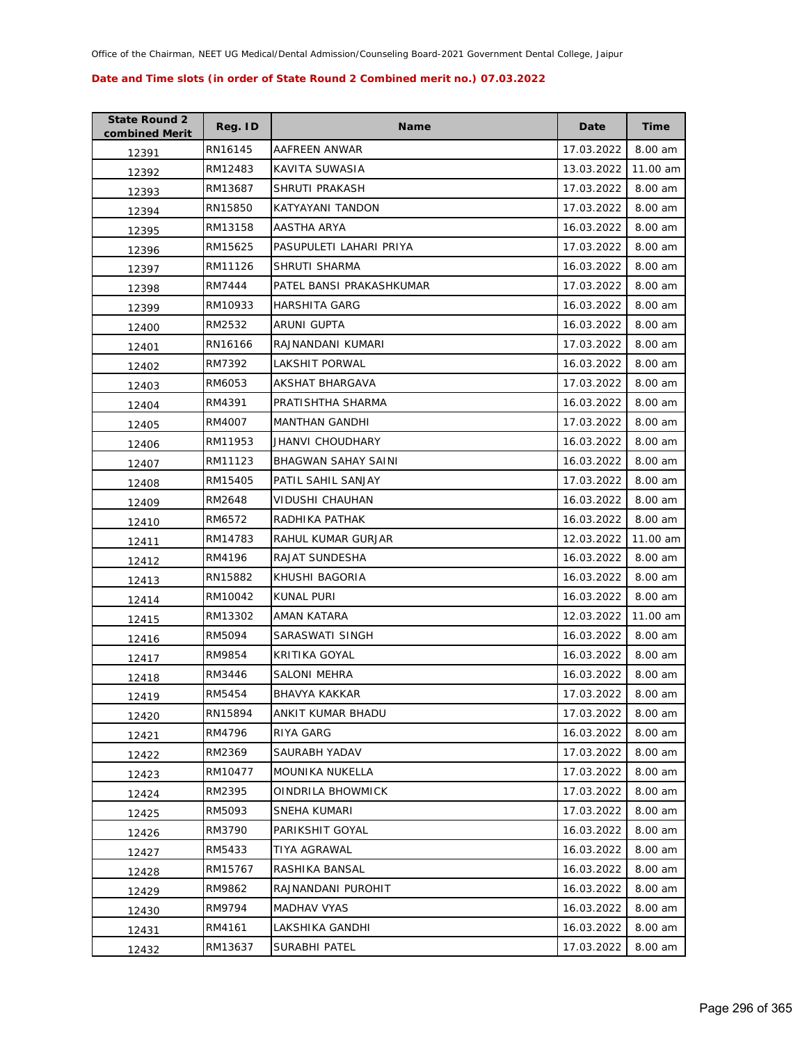| <b>State Round 2</b><br>combined Merit | Reg. ID | <b>Name</b>              | Date       | <b>Time</b> |
|----------------------------------------|---------|--------------------------|------------|-------------|
| 12391                                  | RN16145 | AAFREEN ANWAR            | 17.03.2022 | 8.00 am     |
| 12392                                  | RM12483 | KAVITA SUWASIA           | 13.03.2022 | 11.00 am    |
| 12393                                  | RM13687 | SHRUTI PRAKASH           | 17.03.2022 | 8.00 am     |
| 12394                                  | RN15850 | KATYAYANI TANDON         | 17.03.2022 | 8.00 am     |
| 12395                                  | RM13158 | AASTHA ARYA              | 16.03.2022 | 8.00 am     |
| 12396                                  | RM15625 | PASUPULETI LAHARI PRIYA  | 17.03.2022 | 8.00 am     |
| 12397                                  | RM11126 | SHRUTI SHARMA            | 16.03.2022 | 8.00 am     |
| 12398                                  | RM7444  | PATEL BANSI PRAKASHKUMAR | 17.03.2022 | 8.00 am     |
| 12399                                  | RM10933 | HARSHITA GARG            | 16.03.2022 | 8.00 am     |
| 12400                                  | RM2532  | ARUNI GUPTA              | 16.03.2022 | 8.00 am     |
| 12401                                  | RN16166 | RAJNANDANI KUMARI        | 17.03.2022 | 8.00 am     |
| 12402                                  | RM7392  | LAKSHIT PORWAL           | 16.03.2022 | 8.00 am     |
| 12403                                  | RM6053  | AKSHAT BHARGAVA          | 17.03.2022 | 8.00 am     |
| 12404                                  | RM4391  | PRATISHTHA SHARMA        | 16.03.2022 | 8.00 am     |
| 12405                                  | RM4007  | <b>MANTHAN GANDHI</b>    | 17.03.2022 | 8.00 am     |
| 12406                                  | RM11953 | JHANVI CHOUDHARY         | 16.03.2022 | 8.00 am     |
| 12407                                  | RM11123 | BHAGWAN SAHAY SAINI      | 16.03.2022 | 8.00 am     |
| 12408                                  | RM15405 | PATIL SAHIL SANJAY       | 17.03.2022 | 8.00 am     |
| 12409                                  | RM2648  | VIDUSHI CHAUHAN          | 16.03.2022 | 8.00 am     |
| 12410                                  | RM6572  | RADHIKA PATHAK           | 16.03.2022 | 8.00 am     |
| 12411                                  | RM14783 | RAHUL KUMAR GURJAR       | 12.03.2022 | 11.00 am    |
| 12412                                  | RM4196  | RAJAT SUNDESHA           | 16.03.2022 | 8.00 am     |
| 12413                                  | RN15882 | KHUSHI BAGORIA           | 16.03.2022 | 8.00 am     |
| 12414                                  | RM10042 | KUNAL PURI               | 16.03.2022 | 8.00 am     |
| 12415                                  | RM13302 | AMAN KATARA              | 12.03.2022 | 11.00 am    |
| 12416                                  | RM5094  | SARASWATI SINGH          | 16.03.2022 | 8.00 am     |
| 12417                                  | RM9854  | KRITIKA GOYAL            | 16.03.2022 | 8.00 am     |
| 12418                                  | RM3446  | SALONI MEHRA             | 16.03.2022 | 8.00 am     |
| 12419                                  | RM5454  | <b>BHAVYA KAKKAR</b>     | 17.03.2022 | 8.00 am     |
| 12420                                  | RN15894 | ANKIT KUMAR BHADU        | 17.03.2022 | 8.00 am     |
| 12421                                  | RM4796  | RIYA GARG                | 16.03.2022 | 8.00 am     |
| 12422                                  | RM2369  | SAURABH YADAV            | 17.03.2022 | 8.00 am     |
| 12423                                  | RM10477 | <b>MOUNIKA NUKELLA</b>   | 17.03.2022 | 8.00 am     |
| 12424                                  | RM2395  | OINDRILA BHOWMICK        | 17.03.2022 | 8.00 am     |
| 12425                                  | RM5093  | SNEHA KUMARI             | 17.03.2022 | 8.00 am     |
| 12426                                  | RM3790  | PARIKSHIT GOYAL          | 16.03.2022 | 8.00 am     |
| 12427                                  | RM5433  | TIYA AGRAWAL             | 16.03.2022 | 8.00 am     |
| 12428                                  | RM15767 | RASHIKA BANSAL           | 16.03.2022 | 8.00 am     |
| 12429                                  | RM9862  | RAJNANDANI PUROHIT       | 16.03.2022 | 8.00 am     |
| 12430                                  | RM9794  | MADHAV VYAS              | 16.03.2022 | 8.00 am     |
| 12431                                  | RM4161  | LAKSHIKA GANDHI          | 16.03.2022 | 8.00 am     |
| 12432                                  | RM13637 | SURABHI PATEL            | 17.03.2022 | 8.00 am     |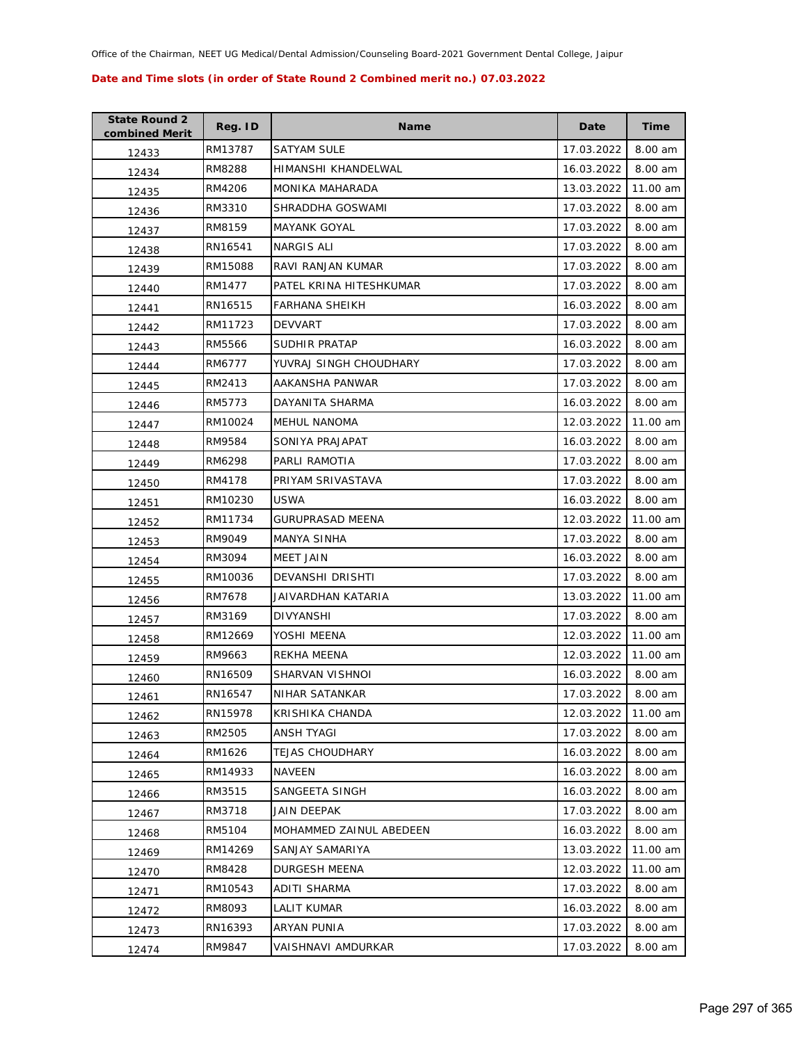| <b>State Round 2</b><br>combined Merit | Reg. ID | <b>Name</b>             | Date       | <b>Time</b> |
|----------------------------------------|---------|-------------------------|------------|-------------|
| 12433                                  | RM13787 | <b>SATYAM SULE</b>      | 17.03.2022 | 8.00 am     |
| 12434                                  | RM8288  | HIMANSHI KHANDELWAL     | 16.03.2022 | 8.00 am     |
| 12435                                  | RM4206  | MONIKA MAHARADA         | 13.03.2022 | 11.00 am    |
| 12436                                  | RM3310  | SHRADDHA GOSWAMI        | 17.03.2022 | 8.00 am     |
| 12437                                  | RM8159  | <b>MAYANK GOYAL</b>     | 17.03.2022 | 8.00 am     |
| 12438                                  | RN16541 | NARGIS ALI              | 17.03.2022 | 8.00 am     |
| 12439                                  | RM15088 | RAVI RANJAN KUMAR       | 17.03.2022 | 8.00 am     |
| 12440                                  | RM1477  | PATEL KRINA HITESHKUMAR | 17.03.2022 | 8.00 am     |
| 12441                                  | RN16515 | FARHANA SHEIKH          | 16.03.2022 | 8.00 am     |
| 12442                                  | RM11723 | <b>DEVVART</b>          | 17.03.2022 | 8.00 am     |
| 12443                                  | RM5566  | SUDHIR PRATAP           | 16.03.2022 | 8.00 am     |
| 12444                                  | RM6777  | YUVRAJ SINGH CHOUDHARY  | 17.03.2022 | 8.00 am     |
| 12445                                  | RM2413  | AAKANSHA PANWAR         | 17.03.2022 | 8.00 am     |
| 12446                                  | RM5773  | DAYANITA SHARMA         | 16.03.2022 | 8.00 am     |
| 12447                                  | RM10024 | <b>MEHUL NANOMA</b>     | 12.03.2022 | 11.00 am    |
| 12448                                  | RM9584  | SONIYA PRAJAPAT         | 16.03.2022 | 8.00 am     |
| 12449                                  | RM6298  | PARLI RAMOTIA           | 17.03.2022 | 8.00 am     |
| 12450                                  | RM4178  | PRIYAM SRIVASTAVA       | 17.03.2022 | 8.00 am     |
| 12451                                  | RM10230 | USWA                    | 16.03.2022 | 8.00 am     |
| 12452                                  | RM11734 | <b>GURUPRASAD MEENA</b> | 12.03.2022 | 11.00 am    |
| 12453                                  | RM9049  | MANYA SINHA             | 17.03.2022 | 8.00 am     |
| 12454                                  | RM3094  | <b>MEET JAIN</b>        | 16.03.2022 | 8.00 am     |
| 12455                                  | RM10036 | DEVANSHI DRISHTI        | 17.03.2022 | 8.00 am     |
| 12456                                  | RM7678  | JAIVARDHAN KATARIA      | 13.03.2022 | 11.00 am    |
| 12457                                  | RM3169  | DIVYANSHI               | 17.03.2022 | 8.00 am     |
| 12458                                  | RM12669 | YOSHI MEENA             | 12.03.2022 | 11.00 am    |
| 12459                                  | RM9663  | REKHA MEENA             | 12.03.2022 | 11.00 am    |
| 12460                                  | RN16509 | SHARVAN VISHNOI         | 16.03.2022 | 8.00 am     |
| 12461                                  | RN16547 | NIHAR SATANKAR          | 17.03.2022 | 8.00 am     |
| 12462                                  | RN15978 | KRISHIKA CHANDA         | 12.03.2022 | 11.00 am    |
| 12463                                  | RM2505  | <b>ANSH TYAGI</b>       | 17.03.2022 | 8.00 am     |
| 12464                                  | RM1626  | <b>TEJAS CHOUDHARY</b>  | 16.03.2022 | 8.00 am     |
| 12465                                  | RM14933 | NAVEEN                  | 16.03.2022 | 8.00 am     |
| 12466                                  | RM3515  | SANGEETA SINGH          | 16.03.2022 | 8.00 am     |
| 12467                                  | RM3718  | JAIN DEEPAK             | 17.03.2022 | 8.00 am     |
| 12468                                  | RM5104  | MOHAMMED ZAINUL ABEDEEN | 16.03.2022 | 8.00 am     |
| 12469                                  | RM14269 | SANJAY SAMARIYA         | 13.03.2022 | 11.00 am    |
| 12470                                  | RM8428  | DURGESH MEENA           | 12.03.2022 | 11.00 am    |
| 12471                                  | RM10543 | ADITI SHARMA            | 17.03.2022 | 8.00 am     |
| 12472                                  | RM8093  | LALIT KUMAR             | 16.03.2022 | 8.00 am     |
| 12473                                  | RN16393 | ARYAN PUNIA             | 17.03.2022 | 8.00 am     |
| 12474                                  | RM9847  | VAISHNAVI AMDURKAR      | 17.03.2022 | 8.00 am     |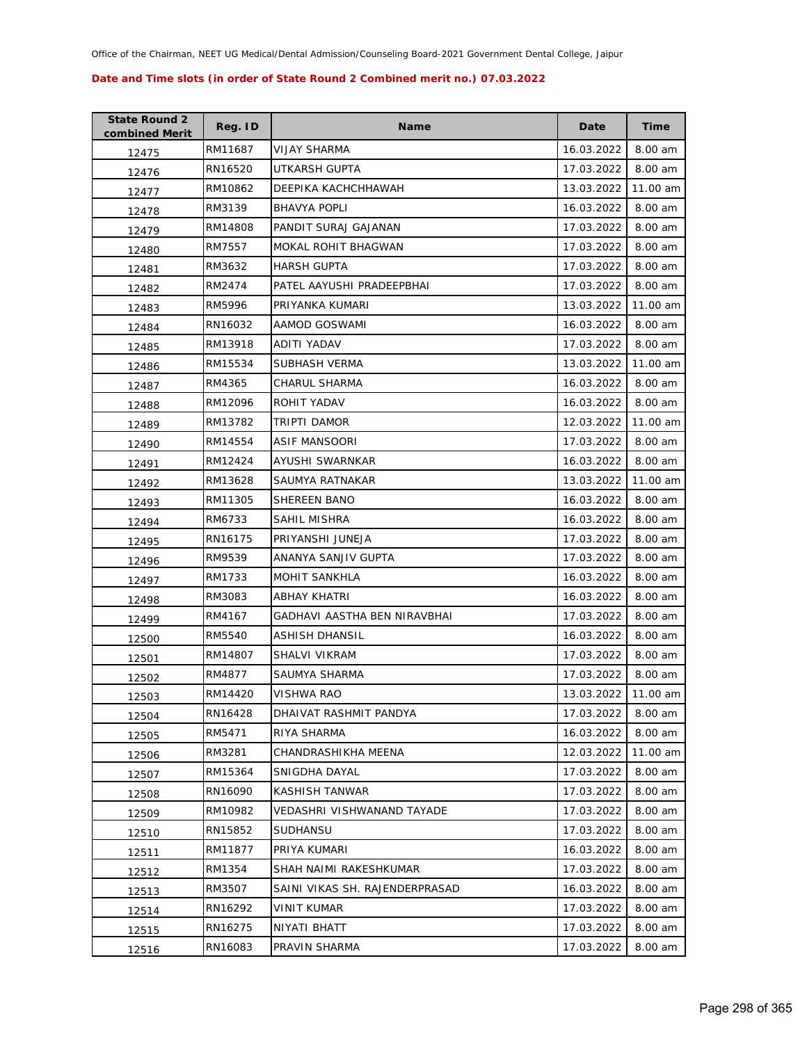| <b>State Round 2</b><br>combined Merit | Reg. ID | <b>Name</b>                    | Date       | <b>Time</b> |
|----------------------------------------|---------|--------------------------------|------------|-------------|
| 12475                                  | RM11687 | VIJAY SHARMA                   | 16.03.2022 | 8.00 am     |
| 12476                                  | RN16520 | UTKARSH GUPTA                  | 17.03.2022 | 8.00 am     |
| 12477                                  | RM10862 | DEEPIKA KACHCHHAWAH            | 13.03.2022 | 11.00 am    |
| 12478                                  | RM3139  | <b>BHAVYA POPLI</b>            | 16.03.2022 | 8.00 am     |
| 12479                                  | RM14808 | PANDIT SURAJ GAJANAN           | 17.03.2022 | 8.00 am     |
| 12480                                  | RM7557  | MOKAL ROHIT BHAGWAN            | 17.03.2022 | 8.00 am     |
| 12481                                  | RM3632  | <b>HARSH GUPTA</b>             | 17.03.2022 | 8.00 am     |
| 12482                                  | RM2474  | PATEL AAYUSHI PRADEEPBHAI      | 17.03.2022 | 8.00 am     |
| 12483                                  | RM5996  | PRIYANKA KUMARI                | 13.03.2022 | 11.00 am    |
| 12484                                  | RN16032 | AAMOD GOSWAMI                  | 16.03.2022 | 8.00 am     |
| 12485                                  | RM13918 | ADITI YADAV                    | 17.03.2022 | 8.00 am     |
| 12486                                  | RM15534 | SUBHASH VERMA                  | 13.03.2022 | 11.00 am    |
| 12487                                  | RM4365  | CHARUL SHARMA                  | 16.03.2022 | 8.00 am     |
| 12488                                  | RM12096 | ROHIT YADAV                    | 16.03.2022 | 8.00 am     |
| 12489                                  | RM13782 | TRIPTI DAMOR                   | 12.03.2022 | 11.00 am    |
| 12490                                  | RM14554 | ASIF MANSOORI                  | 17.03.2022 | 8.00 am     |
| 12491                                  | RM12424 | AYUSHI SWARNKAR                | 16.03.2022 | 8.00 am     |
| 12492                                  | RM13628 | SAUMYA RATNAKAR                | 13.03.2022 | 11.00 am    |
| 12493                                  | RM11305 | SHEREEN BANO                   | 16.03.2022 | 8.00 am     |
| 12494                                  | RM6733  | SAHIL MISHRA                   | 16.03.2022 | 8.00 am     |
| 12495                                  | RN16175 | PRIYANSHI JUNEJA               | 17.03.2022 | 8.00 am     |
| 12496                                  | RM9539  | ANANYA SANJIV GUPTA            | 17.03.2022 | 8.00 am     |
| 12497                                  | RM1733  | <b>MOHIT SANKHLA</b>           | 16.03.2022 | 8.00 am     |
| 12498                                  | RM3083  | ABHAY KHATRI                   | 16.03.2022 | 8.00 am     |
| 12499                                  | RM4167  | GADHAVI AASTHA BEN NIRAVBHAI   | 17.03.2022 | 8.00 am     |
| 12500                                  | RM5540  | ASHISH DHANSIL                 | 16.03.2022 | 8.00 am     |
| 12501                                  | RM14807 | SHALVI VIKRAM                  | 17.03.2022 | 8.00 am     |
| 12502                                  | RM4877  | SAUMYA SHARMA                  | 17.03.2022 | 8.00 am     |
| 12503                                  | RM14420 | <b>VISHWA RAO</b>              | 13.03.2022 | 11.00 am    |
| 12504                                  | RN16428 | DHAIVAT RASHMIT PANDYA         | 17.03.2022 | 8.00 am     |
| 12505                                  | RM5471  | RIYA SHARMA                    | 16.03.2022 | 8.00 am     |
| 12506                                  | RM3281  | CHANDRASHIKHA MEENA            | 12.03.2022 | 11.00 am    |
| 12507                                  | RM15364 | SNIGDHA DAYAL                  | 17.03.2022 | 8.00 am     |
| 12508                                  | RN16090 | KASHISH TANWAR                 | 17.03.2022 | 8.00 am     |
| 12509                                  | RM10982 | VEDASHRI VISHWANAND TAYADE     | 17.03.2022 | 8.00 am     |
| 12510                                  | RN15852 | <b>SUDHANSU</b>                | 17.03.2022 | 8.00 am     |
| 12511                                  | RM11877 | PRIYA KUMARI                   | 16.03.2022 | 8.00 am     |
| 12512                                  | RM1354  | SHAH NAIMI RAKESHKUMAR         | 17.03.2022 | 8.00 am     |
| 12513                                  | RM3507  | SAINI VIKAS SH. RAJENDERPRASAD | 16.03.2022 | 8.00 am     |
| 12514                                  | RN16292 | VINIT KUMAR                    | 17.03.2022 | 8.00 am     |
| 12515                                  | RN16275 | NIYATI BHATT                   | 17.03.2022 | 8.00 am     |
| 12516                                  | RN16083 | PRAVIN SHARMA                  | 17.03.2022 | 8.00 am     |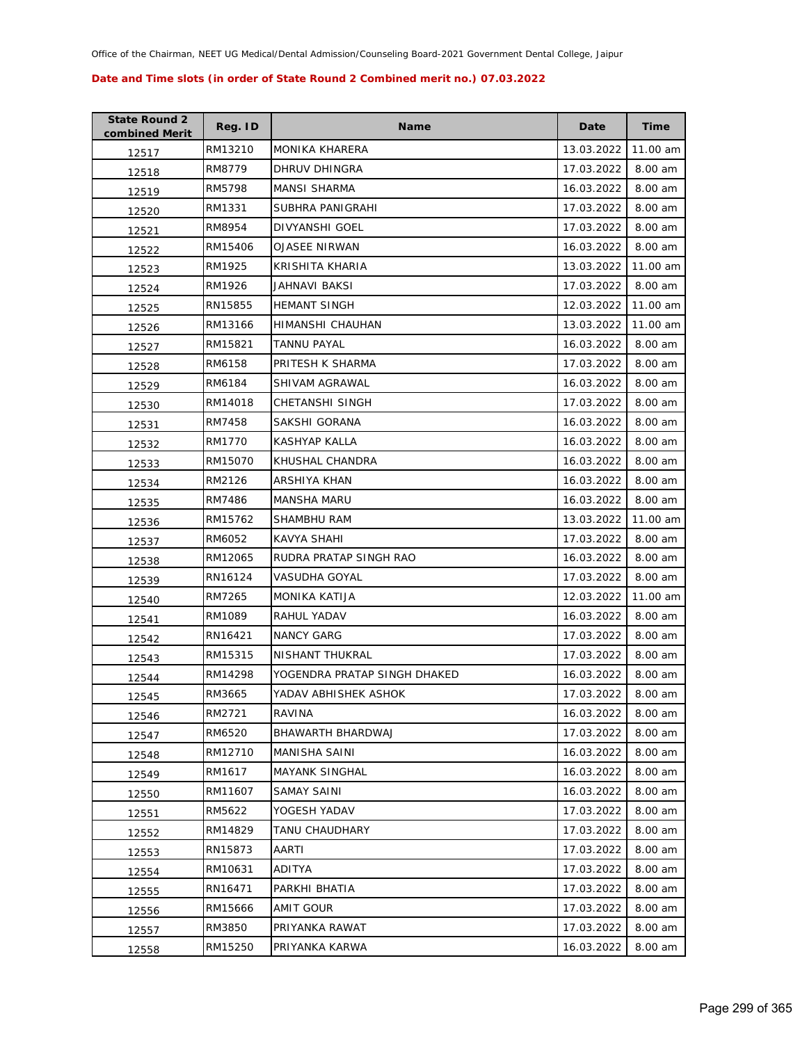| <b>State Round 2</b><br>combined Merit | Reg. ID | <b>Name</b>                  | Date       | <b>Time</b> |
|----------------------------------------|---------|------------------------------|------------|-------------|
| 12517                                  | RM13210 | <b>MONIKA KHARERA</b>        | 13.03.2022 | 11.00 am    |
| 12518                                  | RM8779  | DHRUV DHINGRA                | 17.03.2022 | 8.00 am     |
| 12519                                  | RM5798  | <b>MANSI SHARMA</b>          | 16.03.2022 | 8.00 am     |
| 12520                                  | RM1331  | SUBHRA PANIGRAHI             | 17.03.2022 | 8.00 am     |
| 12521                                  | RM8954  | DIVYANSHI GOEL               | 17.03.2022 | 8.00 am     |
| 12522                                  | RM15406 | <b>OJASEE NIRWAN</b>         | 16.03.2022 | 8.00 am     |
| 12523                                  | RM1925  | KRISHITA KHARIA              | 13.03.2022 | 11.00 am    |
| 12524                                  | RM1926  | JAHNAVI BAKSI                | 17.03.2022 | 8.00 am     |
| 12525                                  | RN15855 | <b>HEMANT SINGH</b>          | 12.03.2022 | 11.00 am    |
| 12526                                  | RM13166 | HIMANSHI CHAUHAN             | 13.03.2022 | 11.00 am    |
| 12527                                  | RM15821 | <b>TANNU PAYAL</b>           | 16.03.2022 | 8.00 am     |
| 12528                                  | RM6158  | PRITESH K SHARMA             | 17.03.2022 | 8.00 am     |
| 12529                                  | RM6184  | SHIVAM AGRAWAL               | 16.03.2022 | 8.00 am     |
| 12530                                  | RM14018 | CHETANSHI SINGH              | 17.03.2022 | 8.00 am     |
| 12531                                  | RM7458  | SAKSHI GORANA                | 16.03.2022 | 8.00 am     |
| 12532                                  | RM1770  | KASHYAP KALLA                | 16.03.2022 | 8.00 am     |
| 12533                                  | RM15070 | KHUSHAL CHANDRA              | 16.03.2022 | 8.00 am     |
| 12534                                  | RM2126  | ARSHIYA KHAN                 | 16.03.2022 | 8.00 am     |
| 12535                                  | RM7486  | MANSHA MARU                  | 16.03.2022 | 8.00 am     |
| 12536                                  | RM15762 | SHAMBHU RAM                  | 13.03.2022 | 11.00 am    |
| 12537                                  | RM6052  | KAVYA SHAHI                  | 17.03.2022 | 8.00 am     |
| 12538                                  | RM12065 | RUDRA PRATAP SINGH RAO       | 16.03.2022 | 8.00 am     |
| 12539                                  | RN16124 | VASUDHA GOYAL                | 17.03.2022 | 8.00 am     |
| 12540                                  | RM7265  | MONIKA KATIJA                | 12.03.2022 | 11.00 am    |
| 12541                                  | RM1089  | RAHUL YADAV                  | 16.03.2022 | 8.00 am     |
| 12542                                  | RN16421 | <b>NANCY GARG</b>            | 17.03.2022 | 8.00 am     |
| 12543                                  | RM15315 | NISHANT THUKRAL              | 17.03.2022 | 8.00 am     |
| 12544                                  | RM14298 | YOGENDRA PRATAP SINGH DHAKED | 16.03.2022 | 8.00 am     |
| 12545                                  | RM3665  | YADAV ABHISHEK ASHOK         | 17.03.2022 | 8.00 am     |
| 12546                                  | RM2721  | RAVINA                       | 16.03.2022 | 8.00 am     |
| 12547                                  | RM6520  | BHAWARTH BHARDWAJ            | 17.03.2022 | 8.00 am     |
| 12548                                  | RM12710 | MANISHA SAINI                | 16.03.2022 | 8.00 am     |
| 12549                                  | RM1617  | <b>MAYANK SINGHAL</b>        | 16.03.2022 | 8.00 am     |
| 12550                                  | RM11607 | <b>SAMAY SAINI</b>           | 16.03.2022 | 8.00 am     |
| 12551                                  | RM5622  | YOGESH YADAV                 | 17.03.2022 | 8.00 am     |
| 12552                                  | RM14829 | TANU CHAUDHARY               | 17.03.2022 | 8.00 am     |
| 12553                                  | RN15873 | AARTI                        | 17.03.2022 | 8.00 am     |
| 12554                                  | RM10631 | ADITYA                       | 17.03.2022 | 8.00 am     |
| 12555                                  | RN16471 | PARKHI BHATIA                | 17.03.2022 | 8.00 am     |
| 12556                                  | RM15666 | AMIT GOUR                    | 17.03.2022 | 8.00 am     |
| 12557                                  | RM3850  | PRIYANKA RAWAT               | 17.03.2022 | 8.00 am     |
| 12558                                  | RM15250 | PRIYANKA KARWA               | 16.03.2022 | 8.00 am     |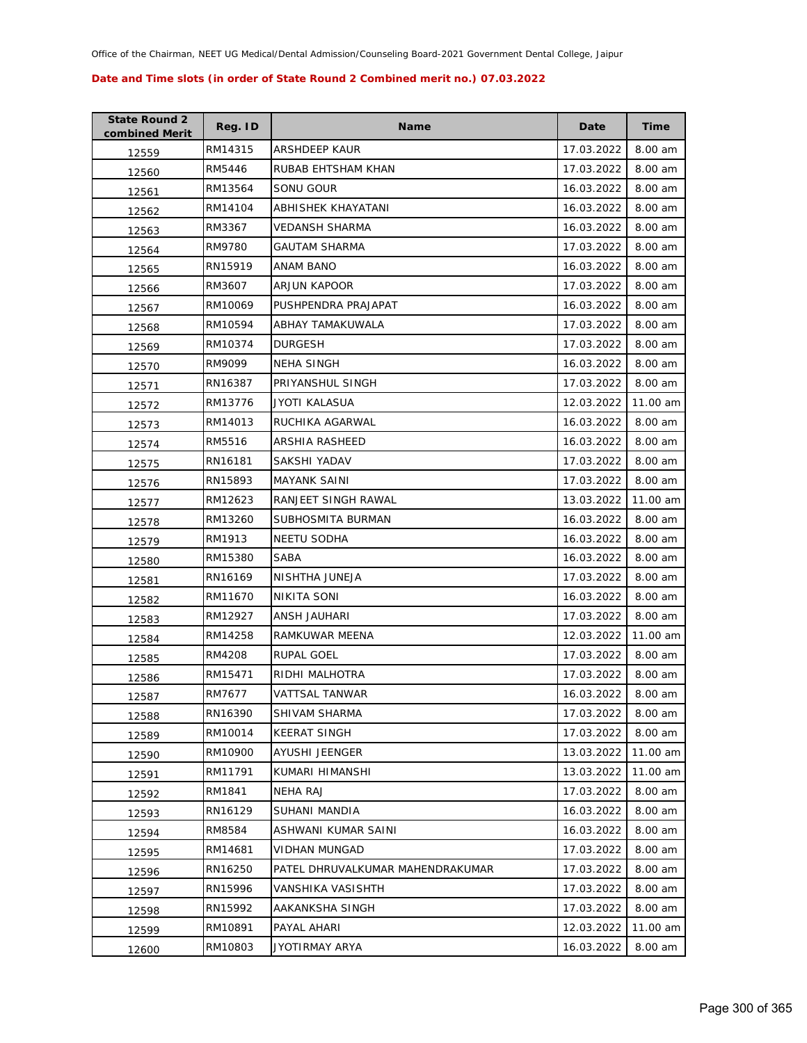| <b>State Round 2</b><br>combined Merit | Reg. ID | <b>Name</b>                      | Date       | <b>Time</b> |
|----------------------------------------|---------|----------------------------------|------------|-------------|
| 12559                                  | RM14315 | ARSHDEEP KAUR                    | 17.03.2022 | 8.00 am     |
| 12560                                  | RM5446  | RUBAB EHTSHAM KHAN               | 17.03.2022 | 8.00 am     |
| 12561                                  | RM13564 | SONU GOUR                        | 16.03.2022 | 8.00 am     |
| 12562                                  | RM14104 | ABHISHEK KHAYATANI               | 16.03.2022 | 8.00 am     |
| 12563                                  | RM3367  | VEDANSH SHARMA                   | 16.03.2022 | 8.00 am     |
| 12564                                  | RM9780  | <b>GAUTAM SHARMA</b>             | 17.03.2022 | 8.00 am     |
| 12565                                  | RN15919 | ANAM BANO                        | 16.03.2022 | 8.00 am     |
| 12566                                  | RM3607  | <b>ARJUN KAPOOR</b>              | 17.03.2022 | 8.00 am     |
| 12567                                  | RM10069 | PUSHPENDRA PRAJAPAT              | 16.03.2022 | 8.00 am     |
| 12568                                  | RM10594 | ABHAY TAMAKUWALA                 | 17.03.2022 | 8.00 am     |
| 12569                                  | RM10374 | <b>DURGESH</b>                   | 17.03.2022 | 8.00 am     |
| 12570                                  | RM9099  | <b>NEHA SINGH</b>                | 16.03.2022 | 8.00 am     |
| 12571                                  | RN16387 | PRIYANSHUL SINGH                 | 17.03.2022 | 8.00 am     |
| 12572                                  | RM13776 | JYOTI KALASUA                    | 12.03.2022 | 11.00 am    |
| 12573                                  | RM14013 | RUCHIKA AGARWAL                  | 16.03.2022 | 8.00 am     |
| 12574                                  | RM5516  | ARSHIA RASHEED                   | 16.03.2022 | 8.00 am     |
| 12575                                  | RN16181 | SAKSHI YADAV                     | 17.03.2022 | 8.00 am     |
| 12576                                  | RN15893 | <b>MAYANK SAINI</b>              | 17.03.2022 | 8.00 am     |
| 12577                                  | RM12623 | RANJEET SINGH RAWAL              | 13.03.2022 | 11.00 am    |
| 12578                                  | RM13260 | SUBHOSMITA BURMAN                | 16.03.2022 | 8.00 am     |
| 12579                                  | RM1913  | NEETU SODHA                      | 16.03.2022 | 8.00 am     |
| 12580                                  | RM15380 | <b>SABA</b>                      | 16.03.2022 | 8.00 am     |
| 12581                                  | RN16169 | NISHTHA JUNEJA                   | 17.03.2022 | 8.00 am     |
| 12582                                  | RM11670 | NIKITA SONI                      | 16.03.2022 | 8.00 am     |
| 12583                                  | RM12927 | ANSH JAUHARI                     | 17.03.2022 | 8.00 am     |
| 12584                                  | RM14258 | RAMKUWAR MEENA                   | 12.03.2022 | 11.00 am    |
| 12585                                  | RM4208  | RUPAL GOEL                       | 17.03.2022 | 8.00 am     |
| 12586                                  | RM15471 | RIDHI MALHOTRA                   | 17.03.2022 | 8.00 am     |
| 12587                                  | RM7677  | <b>VATTSAL TANWAR</b>            | 16.03.2022 | 8.00 am     |
| 12588                                  | RN16390 | SHIVAM SHARMA                    | 17.03.2022 | 8.00 am     |
| 12589                                  | RM10014 | <b>KEERAT SINGH</b>              | 17.03.2022 | 8.00 am     |
| 12590                                  | RM10900 | AYUSHI JEENGER                   | 13.03.2022 | 11.00 am    |
| 12591                                  | RM11791 | KUMARI HIMANSHI                  | 13.03.2022 | 11.00 am    |
| 12592                                  | RM1841  | <b>NEHA RAJ</b>                  | 17.03.2022 | 8.00 am     |
| 12593                                  | RN16129 | SUHANI MANDIA                    | 16.03.2022 | 8.00 am     |
| 12594                                  | RM8584  | ASHWANI KUMAR SAINI              | 16.03.2022 | 8.00 am     |
| 12595                                  | RM14681 | <b>VIDHAN MUNGAD</b>             | 17.03.2022 | 8.00 am     |
| 12596                                  | RN16250 | PATEL DHRUVALKUMAR MAHENDRAKUMAR | 17.03.2022 | 8.00 am     |
| 12597                                  | RN15996 | VANSHIKA VASISHTH                | 17.03.2022 | 8.00 am     |
| 12598                                  | RN15992 | AAKANKSHA SINGH                  | 17.03.2022 | 8.00 am     |
| 12599                                  | RM10891 | PAYAL AHARI                      | 12.03.2022 | 11.00 am    |
| 12600                                  | RM10803 | JYOTIRMAY ARYA                   | 16.03.2022 | 8.00 am     |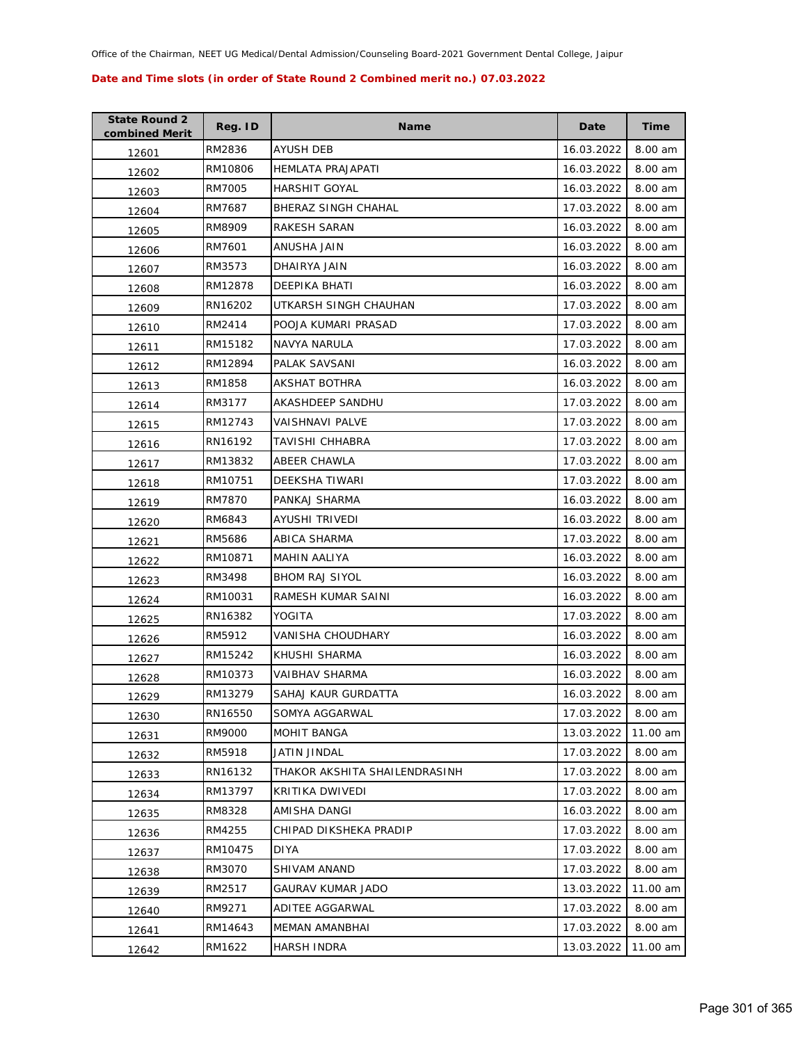| <b>State Round 2</b><br>combined Merit | Reg. ID | <b>Name</b>                   | Date       | Time     |
|----------------------------------------|---------|-------------------------------|------------|----------|
| 12601                                  | RM2836  | AYUSH DEB                     | 16.03.2022 | 8.00 am  |
| 12602                                  | RM10806 | HEMLATA PRAJAPATI             | 16.03.2022 | 8.00 am  |
| 12603                                  | RM7005  | <b>HARSHIT GOYAL</b>          | 16.03.2022 | 8.00 am  |
| 12604                                  | RM7687  | BHERAZ SINGH CHAHAL           | 17.03.2022 | 8.00 am  |
| 12605                                  | RM8909  | RAKESH SARAN                  | 16.03.2022 | 8.00 am  |
| 12606                                  | RM7601  | ANUSHA JAIN                   | 16.03.2022 | 8.00 am  |
| 12607                                  | RM3573  | DHAIRYA JAIN                  | 16.03.2022 | 8.00 am  |
| 12608                                  | RM12878 | DEEPIKA BHATI                 | 16.03.2022 | 8.00 am  |
| 12609                                  | RN16202 | UTKARSH SINGH CHAUHAN         | 17.03.2022 | 8.00 am  |
| 12610                                  | RM2414  | POOJA KUMARI PRASAD           | 17.03.2022 | 8.00 am  |
| 12611                                  | RM15182 | NAVYA NARULA                  | 17.03.2022 | 8.00 am  |
| 12612                                  | RM12894 | PALAK SAVSANI                 | 16.03.2022 | 8.00 am  |
| 12613                                  | RM1858  | AKSHAT BOTHRA                 | 16.03.2022 | 8.00 am  |
| 12614                                  | RM3177  | AKASHDEEP SANDHU              | 17.03.2022 | 8.00 am  |
| 12615                                  | RM12743 | VAISHNAVI PALVE               | 17.03.2022 | 8.00 am  |
| 12616                                  | RN16192 | TAVISHI CHHABRA               | 17.03.2022 | 8.00 am  |
| 12617                                  | RM13832 | <b>ABEER CHAWLA</b>           | 17.03.2022 | 8.00 am  |
| 12618                                  | RM10751 | DEEKSHA TIWARI                | 17.03.2022 | 8.00 am  |
| 12619                                  | RM7870  | PANKAJ SHARMA                 | 16.03.2022 | 8.00 am  |
| 12620                                  | RM6843  | AYUSHI TRIVEDI                | 16.03.2022 | 8.00 am  |
| 12621                                  | RM5686  | ABICA SHARMA                  | 17.03.2022 | 8.00 am  |
| 12622                                  | RM10871 | MAHIN AALIYA                  | 16.03.2022 | 8.00 am  |
| 12623                                  | RM3498  | <b>BHOM RAJ SIYOL</b>         | 16.03.2022 | 8.00 am  |
| 12624                                  | RM10031 | RAMESH KUMAR SAINI            | 16.03.2022 | 8.00 am  |
| 12625                                  | RN16382 | YOGITA                        | 17.03.2022 | 8.00 am  |
| 12626                                  | RM5912  | VANISHA CHOUDHARY             | 16.03.2022 | 8.00 am  |
| 12627                                  | RM15242 | KHUSHI SHARMA                 | 16.03.2022 | 8.00 am  |
| 12628                                  | RM10373 | VAIBHAV SHARMA                | 16.03.2022 | 8.00 am  |
| 12629                                  | RM13279 | SAHAJ KAUR GURDATTA           | 16.03.2022 | 8.00 am  |
| 12630                                  | RN16550 | SOMYA AGGARWAL                | 17.03.2022 | 8.00 am  |
| 12631                                  | RM9000  | MOHIT BANGA                   | 13.03.2022 | 11.00 am |
| 12632                                  | RM5918  | JATIN JINDAL                  | 17.03.2022 | 8.00 am  |
| 12633                                  | RN16132 | THAKOR AKSHITA SHAILENDRASINH | 17.03.2022 | 8.00 am  |
| 12634                                  | RM13797 | KRITIKA DWIVEDI               | 17.03.2022 | 8.00 am  |
| 12635                                  | RM8328  | AMISHA DANGI                  | 16.03.2022 | 8.00 am  |
| 12636                                  | RM4255  | CHIPAD DIKSHEKA PRADIP        | 17.03.2022 | 8.00 am  |
| 12637                                  | RM10475 | <b>DIYA</b>                   | 17.03.2022 | 8.00 am  |
| 12638                                  | RM3070  | SHIVAM ANAND                  | 17.03.2022 | 8.00 am  |
| 12639                                  | RM2517  | GAURAV KUMAR JADO             | 13.03.2022 | 11.00 am |
| 12640                                  | RM9271  | ADITEE AGGARWAL               | 17.03.2022 | 8.00 am  |
| 12641                                  | RM14643 | MEMAN AMANBHAI                | 17.03.2022 | 8.00 am  |
| 12642                                  | RM1622  | HARSH INDRA                   | 13.03.2022 | 11.00 am |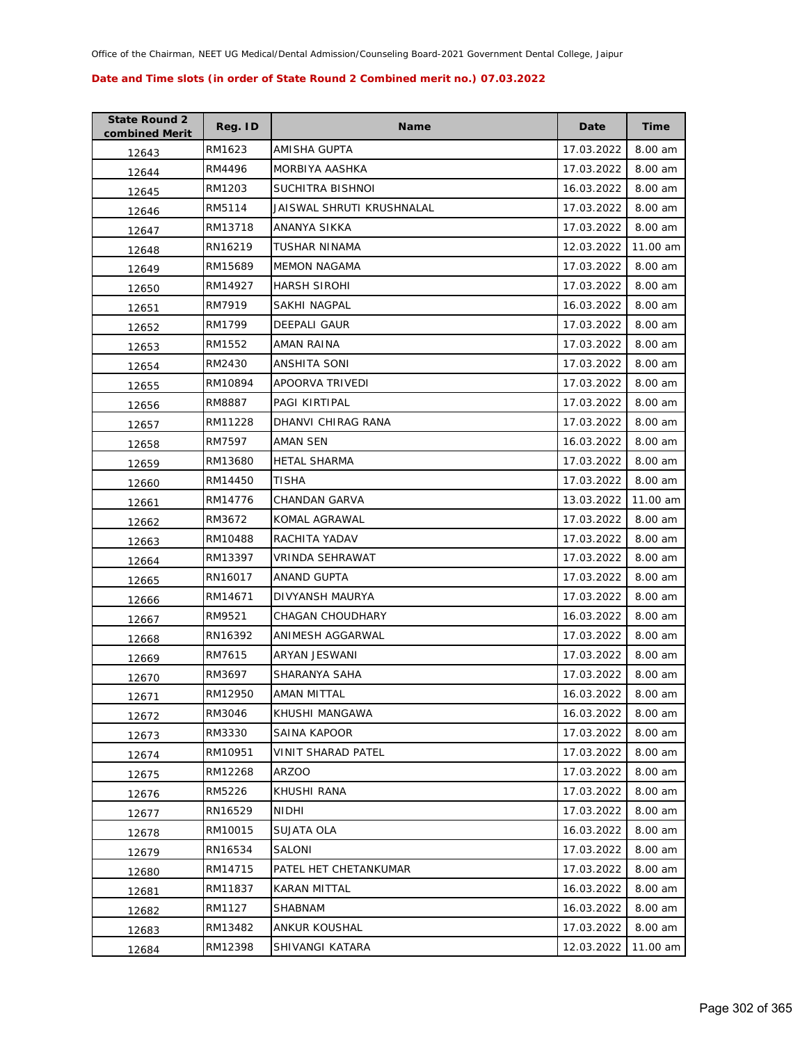| <b>State Round 2</b><br>combined Merit | Reg. ID | Name                      | Date       | Time     |
|----------------------------------------|---------|---------------------------|------------|----------|
| 12643                                  | RM1623  | AMISHA GUPTA              | 17.03.2022 | 8.00 am  |
| 12644                                  | RM4496  | MORBIYA AASHKA            | 17.03.2022 | 8.00 am  |
| 12645                                  | RM1203  | SUCHITRA BISHNOI          | 16.03.2022 | 8.00 am  |
| 12646                                  | RM5114  | JAISWAL SHRUTI KRUSHNALAL | 17.03.2022 | 8.00 am  |
| 12647                                  | RM13718 | ANANYA SIKKA              | 17.03.2022 | 8.00 am  |
| 12648                                  | RN16219 | TUSHAR NINAMA             | 12.03.2022 | 11.00 am |
| 12649                                  | RM15689 | <b>MEMON NAGAMA</b>       | 17.03.2022 | 8.00 am  |
| 12650                                  | RM14927 | <b>HARSH SIROHI</b>       | 17.03.2022 | 8.00 am  |
| 12651                                  | RM7919  | SAKHI NAGPAL              | 16.03.2022 | 8.00 am  |
| 12652                                  | RM1799  | DEEPALI GAUR              | 17.03.2022 | 8.00 am  |
| 12653                                  | RM1552  | AMAN RAINA                | 17.03.2022 | 8.00 am  |
| 12654                                  | RM2430  | ANSHITA SONI              | 17.03.2022 | 8.00 am  |
| 12655                                  | RM10894 | APOORVA TRIVEDI           | 17.03.2022 | 8.00 am  |
| 12656                                  | RM8887  | PAGI KIRTIPAL             | 17.03.2022 | 8.00 am  |
| 12657                                  | RM11228 | DHANVI CHIRAG RANA        | 17.03.2022 | 8.00 am  |
| 12658                                  | RM7597  | AMAN SEN                  | 16.03.2022 | 8.00 am  |
| 12659                                  | RM13680 | <b>HETAL SHARMA</b>       | 17.03.2022 | 8.00 am  |
| 12660                                  | RM14450 | TISHA                     | 17.03.2022 | 8.00 am  |
| 12661                                  | RM14776 | CHANDAN GARVA             | 13.03.2022 | 11.00 am |
| 12662                                  | RM3672  | KOMAL AGRAWAL             | 17.03.2022 | 8.00 am  |
| 12663                                  | RM10488 | RACHITA YADAV             | 17.03.2022 | 8.00 am  |
| 12664                                  | RM13397 | VRINDA SEHRAWAT           | 17.03.2022 | 8.00 am  |
| 12665                                  | RN16017 | ANAND GUPTA               | 17.03.2022 | 8.00 am  |
| 12666                                  | RM14671 | DIVYANSH MAURYA           | 17.03.2022 | 8.00 am  |
| 12667                                  | RM9521  | CHAGAN CHOUDHARY          | 16.03.2022 | 8.00 am  |
| 12668                                  | RN16392 | ANIMESH AGGARWAL          | 17.03.2022 | 8.00 am  |
| 12669                                  | RM7615  | ARYAN JESWANI             | 17.03.2022 | 8.00 am  |
| 12670                                  | RM3697  | SHARANYA SAHA             | 17.03.2022 | 8.00 am  |
| 12671                                  | RM12950 | AMAN MITTAL               | 16.03.2022 | 8.00 am  |
| 12672                                  | RM3046  | KHUSHI MANGAWA            | 16.03.2022 | 8.00 am  |
| 12673                                  | RM3330  | SAINA KAPOOR              | 17.03.2022 | 8.00 am  |
| 12674                                  | RM10951 | VINIT SHARAD PATEL        | 17.03.2022 | 8.00 am  |
| 12675                                  | RM12268 | <b>ARZOO</b>              | 17.03.2022 | 8.00 am  |
| 12676                                  | RM5226  | KHUSHI RANA               | 17.03.2022 | 8.00 am  |
| 12677                                  | RN16529 | <b>NIDHI</b>              | 17.03.2022 | 8.00 am  |
| 12678                                  | RM10015 | SUJATA OLA                | 16.03.2022 | 8.00 am  |
| 12679                                  | RN16534 | <b>SALONI</b>             | 17.03.2022 | 8.00 am  |
| 12680                                  | RM14715 | PATEL HET CHETANKUMAR     | 17.03.2022 | 8.00 am  |
| 12681                                  | RM11837 | KARAN MITTAL              | 16.03.2022 | 8.00 am  |
| 12682                                  | RM1127  | SHABNAM                   | 16.03.2022 | 8.00 am  |
| 12683                                  | RM13482 | ANKUR KOUSHAL             | 17.03.2022 | 8.00 am  |
| 12684                                  | RM12398 | SHIVANGI KATARA           | 12.03.2022 | 11.00 am |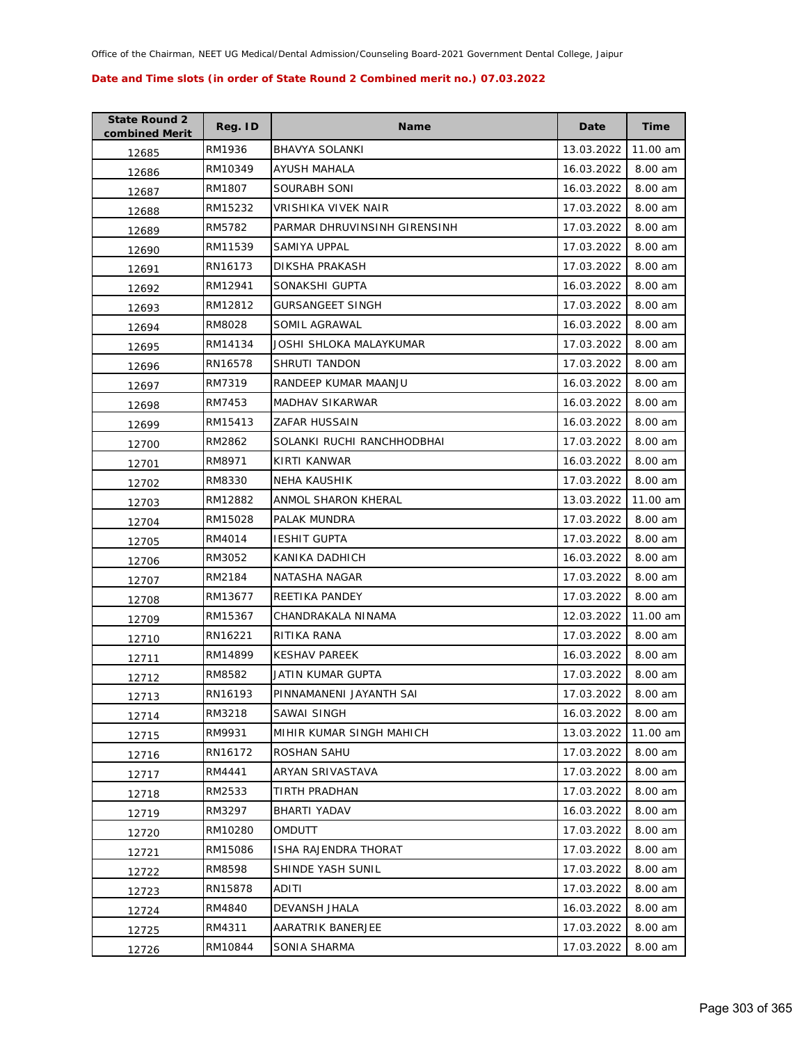| <b>State Round 2</b><br>combined Merit | Reg. ID | <b>Name</b>                  | Date       | <b>Time</b> |
|----------------------------------------|---------|------------------------------|------------|-------------|
| 12685                                  | RM1936  | <b>BHAVYA SOLANKI</b>        | 13.03.2022 | 11.00 am    |
| 12686                                  | RM10349 | AYUSH MAHALA                 | 16.03.2022 | 8.00 am     |
| 12687                                  | RM1807  | SOURABH SONI                 | 16.03.2022 | 8.00 am     |
| 12688                                  | RM15232 | VRISHIKA VIVEK NAIR          | 17.03.2022 | 8.00 am     |
| 12689                                  | RM5782  | PARMAR DHRUVINSINH GIRENSINH | 17.03.2022 | 8.00 am     |
| 12690                                  | RM11539 | SAMIYA UPPAL                 | 17.03.2022 | 8.00 am     |
| 12691                                  | RN16173 | <b>DIKSHA PRAKASH</b>        | 17.03.2022 | 8.00 am     |
| 12692                                  | RM12941 | SONAKSHI GUPTA               | 16.03.2022 | 8.00 am     |
| 12693                                  | RM12812 | <b>GURSANGEET SINGH</b>      | 17.03.2022 | 8.00 am     |
| 12694                                  | RM8028  | SOMIL AGRAWAL                | 16.03.2022 | 8.00 am     |
| 12695                                  | RM14134 | JOSHI SHLOKA MALAYKUMAR      | 17.03.2022 | 8.00 am     |
| 12696                                  | RN16578 | SHRUTI TANDON                | 17.03.2022 | 8.00 am     |
| 12697                                  | RM7319  | RANDEEP KUMAR MAANJU         | 16.03.2022 | 8.00 am     |
| 12698                                  | RM7453  | <b>MADHAV SIKARWAR</b>       | 16.03.2022 | 8.00 am     |
| 12699                                  | RM15413 | ZAFAR HUSSAIN                | 16.03.2022 | 8.00 am     |
| 12700                                  | RM2862  | SOLANKI RUCHI RANCHHODBHAI   | 17.03.2022 | 8.00 am     |
| 12701                                  | RM8971  | KIRTI KANWAR                 | 16.03.2022 | 8.00 am     |
| 12702                                  | RM8330  | <b>NEHA KAUSHIK</b>          | 17.03.2022 | 8.00 am     |
| 12703                                  | RM12882 | ANMOL SHARON KHERAL          | 13.03.2022 | 11.00 am    |
| 12704                                  | RM15028 | PALAK MUNDRA                 | 17.03.2022 | 8.00 am     |
| 12705                                  | RM4014  | <b>IESHIT GUPTA</b>          | 17.03.2022 | 8.00 am     |
| 12706                                  | RM3052  | KANIKA DADHICH               | 16.03.2022 | 8.00 am     |
| 12707                                  | RM2184  | NATASHA NAGAR                | 17.03.2022 | 8.00 am     |
| 12708                                  | RM13677 | REETIKA PANDEY               | 17.03.2022 | 8.00 am     |
| 12709                                  | RM15367 | CHANDRAKALA NINAMA           | 12.03.2022 | 11.00 am    |
| 12710                                  | RN16221 | RITIKA RANA                  | 17.03.2022 | 8.00 am     |
| 12711                                  | RM14899 | <b>KESHAV PAREEK</b>         | 16.03.2022 | 8.00 am     |
| 12712                                  | RM8582  | JATIN KUMAR GUPTA            | 17.03.2022 | 8.00 am     |
| 12713                                  | RN16193 | PINNAMANENI JAYANTH SAI      | 17.03.2022 | 8.00 am     |
| 12714                                  | RM3218  | SAWAI SINGH                  | 16.03.2022 | 8.00 am     |
| 12715                                  | RM9931  | MIHIR KUMAR SINGH MAHICH     | 13.03.2022 | 11.00 am    |
| 12716                                  | RN16172 | ROSHAN SAHU                  | 17.03.2022 | 8.00 am     |
| 12717                                  | RM4441  | ARYAN SRIVASTAVA             | 17.03.2022 | 8.00 am     |
| 12718                                  | RM2533  | TIRTH PRADHAN                | 17.03.2022 | 8.00 am     |
| 12719                                  | RM3297  | BHARTI YADAV                 | 16.03.2022 | 8.00 am     |
| 12720                                  | RM10280 | <b>OMDUTT</b>                | 17.03.2022 | 8.00 am     |
| 12721                                  | RM15086 | ISHA RAJENDRA THORAT         | 17.03.2022 | 8.00 am     |
| 12722                                  | RM8598  | SHINDE YASH SUNIL            | 17.03.2022 | 8.00 am     |
| 12723                                  | RN15878 | ADITI                        | 17.03.2022 | 8.00 am     |
| 12724                                  | RM4840  | DEVANSH JHALA                | 16.03.2022 | 8.00 am     |
| 12725                                  | RM4311  | AARATRIK BANERJEE            | 17.03.2022 | 8.00 am     |
| 12726                                  | RM10844 | SONIA SHARMA                 | 17.03.2022 | 8.00 am     |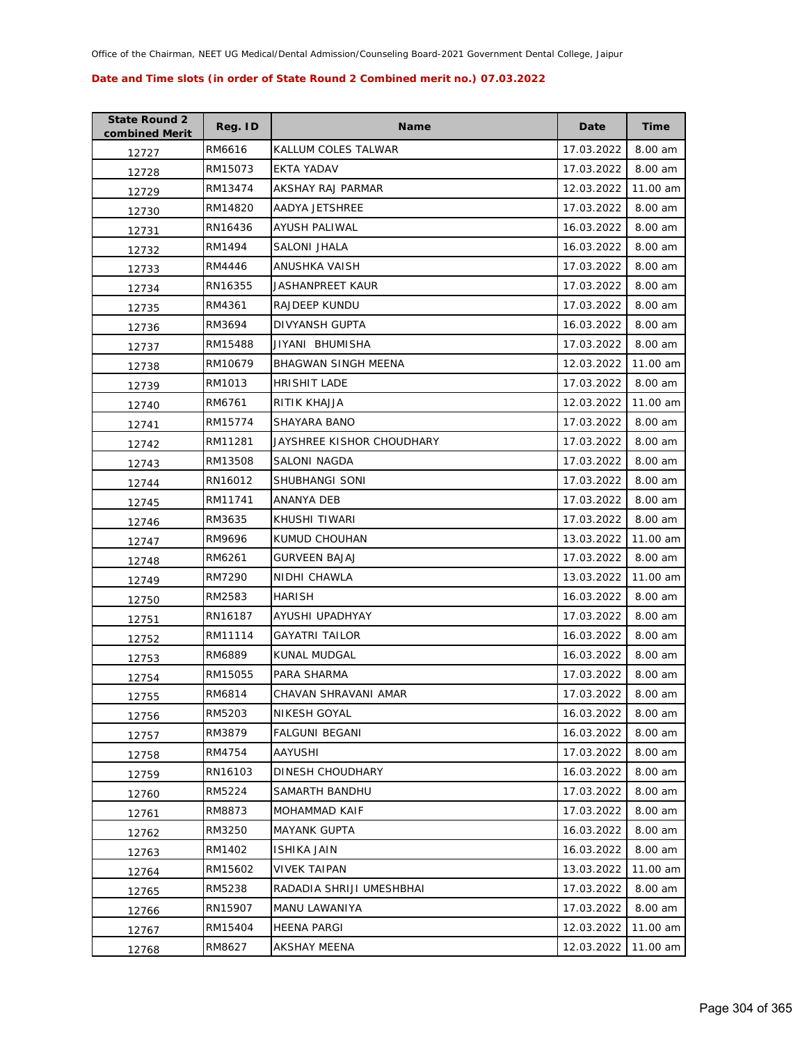| <b>State Round 2</b><br>combined Merit | Reg. ID | <b>Name</b>                | Date       | <b>Time</b> |
|----------------------------------------|---------|----------------------------|------------|-------------|
| 12727                                  | RM6616  | KALLUM COLES TALWAR        | 17.03.2022 | 8.00 am     |
| 12728                                  | RM15073 | EKTA YADAV                 | 17.03.2022 | 8.00 am     |
| 12729                                  | RM13474 | AKSHAY RAJ PARMAR          | 12.03.2022 | 11.00 am    |
| 12730                                  | RM14820 | AADYA JETSHREE             | 17.03.2022 | 8.00 am     |
| 12731                                  | RN16436 | AYUSH PALIWAL              | 16.03.2022 | 8.00 am     |
| 12732                                  | RM1494  | SALONI JHALA               | 16.03.2022 | 8.00 am     |
| 12733                                  | RM4446  | ANUSHKA VAISH              | 17.03.2022 | 8.00 am     |
| 12734                                  | RN16355 | JASHANPREET KAUR           | 17.03.2022 | 8.00 am     |
| 12735                                  | RM4361  | RAJDEEP KUNDU              | 17.03.2022 | 8.00 am     |
| 12736                                  | RM3694  | DIVYANSH GUPTA             | 16.03.2022 | 8.00 am     |
| 12737                                  | RM15488 | JIYANI BHUMISHA            | 17.03.2022 | 8.00 am     |
| 12738                                  | RM10679 | <b>BHAGWAN SINGH MEENA</b> | 12.03.2022 | 11.00 am    |
| 12739                                  | RM1013  | <b>HRISHIT LADE</b>        | 17.03.2022 | 8.00 am     |
| 12740                                  | RM6761  | RITIK KHAJJA               | 12.03.2022 | 11.00 am    |
| 12741                                  | RM15774 | <b>SHAYARA BANO</b>        | 17.03.2022 | 8.00 am     |
| 12742                                  | RM11281 | JAYSHREE KISHOR CHOUDHARY  | 17.03.2022 | 8.00 am     |
| 12743                                  | RM13508 | SALONI NAGDA               | 17.03.2022 | 8.00 am     |
| 12744                                  | RN16012 | SHUBHANGI SONI             | 17.03.2022 | 8.00 am     |
| 12745                                  | RM11741 | ANANYA DEB                 | 17.03.2022 | 8.00 am     |
| 12746                                  | RM3635  | KHUSHI TIWARI              | 17.03.2022 | 8.00 am     |
| 12747                                  | RM9696  | KUMUD CHOUHAN              | 13.03.2022 | 11.00 am    |
| 12748                                  | RM6261  | GURVEEN BAJAJ              | 17.03.2022 | 8.00 am     |
| 12749                                  | RM7290  | NIDHI CHAWLA               | 13.03.2022 | 11.00 am    |
| 12750                                  | RM2583  | <b>HARISH</b>              | 16.03.2022 | 8.00 am     |
| 12751                                  | RN16187 | AYUSHI UPADHYAY            | 17.03.2022 | 8.00 am     |
| 12752                                  | RM11114 | <b>GAYATRI TAILOR</b>      | 16.03.2022 | 8.00 am     |
| 12753                                  | RM6889  | KUNAL MUDGAL               | 16.03.2022 | 8.00 am     |
| 12754                                  | RM15055 | PARA SHARMA                | 17.03.2022 | 8.00 am     |
| 12755                                  | RM6814  | CHAVAN SHRAVANI AMAR       | 17.03.2022 | 8.00 am     |
| 12756                                  | RM5203  | <b>NIKESH GOYAL</b>        | 16.03.2022 | 8.00 am     |
| 12757                                  | RM3879  | <b>FALGUNI BEGANI</b>      | 16.03.2022 | 8.00 am     |
| 12758                                  | RM4754  | AAYUSHI                    | 17.03.2022 | 8.00 am     |
| 12759                                  | RN16103 | DINESH CHOUDHARY           | 16.03.2022 | 8.00 am     |
| 12760                                  | RM5224  | SAMARTH BANDHU             | 17.03.2022 | 8.00 am     |
| 12761                                  | RM8873  | MOHAMMAD KAIF              | 17.03.2022 | 8.00 am     |
| 12762                                  | RM3250  | <b>MAYANK GUPTA</b>        | 16.03.2022 | 8.00 am     |
| 12763                                  | RM1402  | <b>ISHIKA JAIN</b>         | 16.03.2022 | 8.00 am     |
| 12764                                  | RM15602 | VIVEK TAIPAN               | 13.03.2022 | 11.00 am    |
| 12765                                  | RM5238  | RADADIA SHRIJI UMESHBHAI   | 17.03.2022 | 8.00 am     |
| 12766                                  | RN15907 | MANU LAWANIYA              | 17.03.2022 | 8.00 am     |
| 12767                                  | RM15404 | <b>HEENA PARGI</b>         | 12.03.2022 | 11.00 am    |
| 12768                                  | RM8627  | AKSHAY MEENA               | 12.03.2022 | 11.00 am    |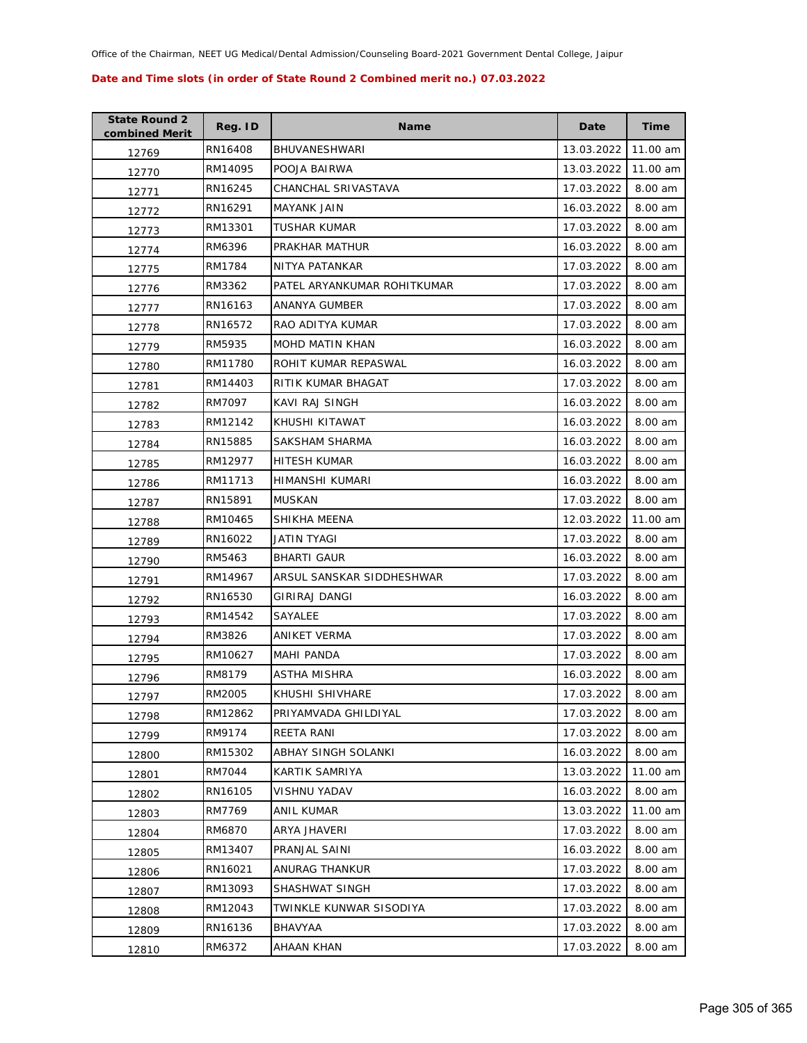| <b>State Round 2</b><br>combined Merit | Reg. ID | <b>Name</b>                 | Date       | <b>Time</b> |
|----------------------------------------|---------|-----------------------------|------------|-------------|
| 12769                                  | RN16408 | <b>BHUVANESHWARI</b>        | 13.03.2022 | 11.00 am    |
| 12770                                  | RM14095 | POOJA BAIRWA                | 13.03.2022 | 11.00 am    |
| 12771                                  | RN16245 | CHANCHAL SRIVASTAVA         | 17.03.2022 | 8.00 am     |
| 12772                                  | RN16291 | MAYANK JAIN                 | 16.03.2022 | 8.00 am     |
| 12773                                  | RM13301 | TUSHAR KUMAR                | 17.03.2022 | 8.00 am     |
| 12774                                  | RM6396  | PRAKHAR MATHUR              | 16.03.2022 | 8.00 am     |
| 12775                                  | RM1784  | NITYA PATANKAR              | 17.03.2022 | 8.00 am     |
| 12776                                  | RM3362  | PATEL ARYANKUMAR ROHITKUMAR | 17.03.2022 | 8.00 am     |
| 12777                                  | RN16163 | ANANYA GUMBER               | 17.03.2022 | 8.00 am     |
| 12778                                  | RN16572 | RAO ADITYA KUMAR            | 17.03.2022 | 8.00 am     |
| 12779                                  | RM5935  | <b>MOHD MATIN KHAN</b>      | 16.03.2022 | 8.00 am     |
| 12780                                  | RM11780 | ROHIT KUMAR REPASWAL        | 16.03.2022 | 8.00 am     |
| 12781                                  | RM14403 | RITIK KUMAR BHAGAT          | 17.03.2022 | 8.00 am     |
| 12782                                  | RM7097  | KAVI RAJ SINGH              | 16.03.2022 | 8.00 am     |
| 12783                                  | RM12142 | KHUSHI KITAWAT              | 16.03.2022 | 8.00 am     |
| 12784                                  | RN15885 | SAKSHAM SHARMA              | 16.03.2022 | 8.00 am     |
| 12785                                  | RM12977 | HITESH KUMAR                | 16.03.2022 | 8.00 am     |
| 12786                                  | RM11713 | HIMANSHI KUMARI             | 16.03.2022 | 8.00 am     |
| 12787                                  | RN15891 | <b>MUSKAN</b>               | 17.03.2022 | 8.00 am     |
| 12788                                  | RM10465 | SHIKHA MEENA                | 12.03.2022 | 11.00 am    |
| 12789                                  | RN16022 | JATIN TYAGI                 | 17.03.2022 | 8.00 am     |
| 12790                                  | RM5463  | <b>BHARTI GAUR</b>          | 16.03.2022 | 8.00 am     |
| 12791                                  | RM14967 | ARSUL SANSKAR SIDDHESHWAR   | 17.03.2022 | 8.00 am     |
| 12792                                  | RN16530 | GIRIRAJ DANGI               | 16.03.2022 | 8.00 am     |
| 12793                                  | RM14542 | SAYALEE                     | 17.03.2022 | 8.00 am     |
| 12794                                  | RM3826  | ANIKET VERMA                | 17.03.2022 | 8.00 am     |
| 12795                                  | RM10627 | <b>MAHI PANDA</b>           | 17.03.2022 | 8.00 am     |
| 12796                                  | RM8179  | <b>ASTHA MISHRA</b>         | 16.03.2022 | 8.00 am     |
| 12797                                  | RM2005  | KHUSHI SHIVHARE             | 17.03.2022 | 8.00 am     |
| 12798                                  | RM12862 | PRIYAMVADA GHILDIYAL        | 17.03.2022 | 8.00 am     |
| 12799                                  | RM9174  | REETA RANI                  | 17.03.2022 | 8.00 am     |
| 12800                                  | RM15302 | ABHAY SINGH SOLANKI         | 16.03.2022 | 8.00 am     |
| 12801                                  | RM7044  | KARTIK SAMRIYA              | 13.03.2022 | 11.00 am    |
| 12802                                  | RN16105 | VISHNU YADAV                | 16.03.2022 | 8.00 am     |
| 12803                                  | RM7769  | ANIL KUMAR                  | 13.03.2022 | 11.00 am    |
| 12804                                  | RM6870  | ARYA JHAVERI                | 17.03.2022 | 8.00 am     |
| 12805                                  | RM13407 | PRANJAL SAINI               | 16.03.2022 | 8.00 am     |
| 12806                                  | RN16021 | ANURAG THANKUR              | 17.03.2022 | 8.00 am     |
| 12807                                  | RM13093 | SHASHWAT SINGH              | 17.03.2022 | 8.00 am     |
| 12808                                  | RM12043 | TWINKLE KUNWAR SISODIYA     | 17.03.2022 | 8.00 am     |
| 12809                                  | RN16136 | BHAVYAA                     | 17.03.2022 | 8.00 am     |
| 12810                                  | RM6372  | AHAAN KHAN                  | 17.03.2022 | 8.00 am     |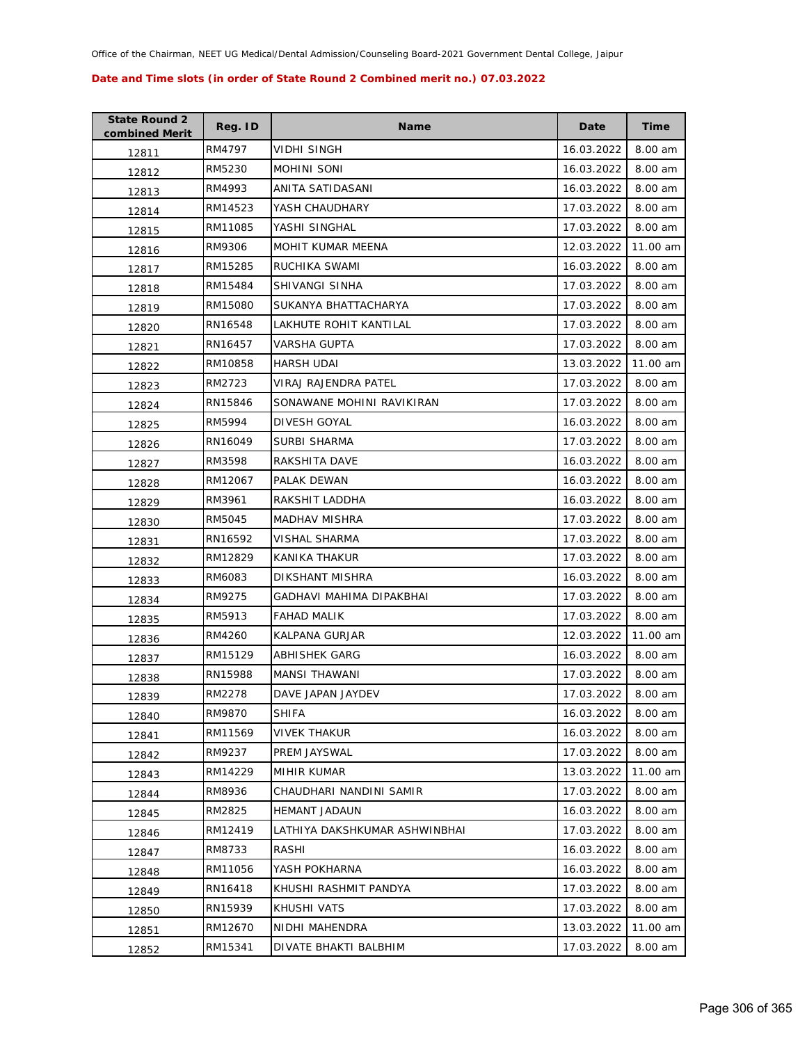| <b>State Round 2</b><br>combined Merit | Reg. ID | Name                          | Date       | Time     |
|----------------------------------------|---------|-------------------------------|------------|----------|
| 12811                                  | RM4797  | VIDHI SINGH                   | 16.03.2022 | 8.00 am  |
| 12812                                  | RM5230  | MOHINI SONI                   | 16.03.2022 | 8.00 am  |
| 12813                                  | RM4993  | ANITA SATIDASANI              | 16.03.2022 | 8.00 am  |
| 12814                                  | RM14523 | YASH CHAUDHARY                | 17.03.2022 | 8.00 am  |
| 12815                                  | RM11085 | YASHI SINGHAL                 | 17.03.2022 | 8.00 am  |
| 12816                                  | RM9306  | MOHIT KUMAR MEENA             | 12.03.2022 | 11.00 am |
| 12817                                  | RM15285 | RUCHIKA SWAMI                 | 16.03.2022 | 8.00 am  |
| 12818                                  | RM15484 | SHIVANGI SINHA                | 17.03.2022 | 8.00 am  |
| 12819                                  | RM15080 | SUKANYA BHATTACHARYA          | 17.03.2022 | 8.00 am  |
| 12820                                  | RN16548 | LAKHUTE ROHIT KANTILAL        | 17.03.2022 | 8.00 am  |
| 12821                                  | RN16457 | VARSHA GUPTA                  | 17.03.2022 | 8.00 am  |
| 12822                                  | RM10858 | HARSH UDAI                    | 13.03.2022 | 11.00 am |
| 12823                                  | RM2723  | VIRAJ RAJENDRA PATEL          | 17.03.2022 | 8.00 am  |
| 12824                                  | RN15846 | SONAWANE MOHINI RAVIKIRAN     | 17.03.2022 | 8.00 am  |
| 12825                                  | RM5994  | DIVESH GOYAL                  | 16.03.2022 | 8.00 am  |
| 12826                                  | RN16049 | <b>SURBI SHARMA</b>           | 17.03.2022 | 8.00 am  |
| 12827                                  | RM3598  | RAKSHITA DAVE                 | 16.03.2022 | 8.00 am  |
| 12828                                  | RM12067 | PALAK DEWAN                   | 16.03.2022 | 8.00 am  |
| 12829                                  | RM3961  | RAKSHIT LADDHA                | 16.03.2022 | 8.00 am  |
| 12830                                  | RM5045  | <b>MADHAV MISHRA</b>          | 17.03.2022 | 8.00 am  |
| 12831                                  | RN16592 | VISHAL SHARMA                 | 17.03.2022 | 8.00 am  |
| 12832                                  | RM12829 | KANIKA THAKUR                 | 17.03.2022 | 8.00 am  |
| 12833                                  | RM6083  | DIKSHANT MISHRA               | 16.03.2022 | 8.00 am  |
| 12834                                  | RM9275  | GADHAVI MAHIMA DIPAKBHAI      | 17.03.2022 | 8.00 am  |
| 12835                                  | RM5913  | FAHAD MALIK                   | 17.03.2022 | 8.00 am  |
| 12836                                  | RM4260  | KALPANA GURJAR                | 12.03.2022 | 11.00 am |
| 12837                                  | RM15129 | ABHISHEK GARG                 | 16.03.2022 | 8.00 am  |
| 12838                                  | RN15988 | MANSI THAWANI                 | 17.03.2022 | 8.00 am  |
| 12839                                  | RM2278  | DAVE JAPAN JAYDEV             | 17.03.2022 | 8.00 am  |
| 12840                                  | RM9870  | <b>SHIFA</b>                  | 16.03.2022 | 8.00 am  |
| 12841                                  | RM11569 | <b>VIVEK THAKUR</b>           | 16.03.2022 | 8.00 am  |
| 12842                                  | RM9237  | PREM JAYSWAL                  | 17.03.2022 | 8.00 am  |
| 12843                                  | RM14229 | <b>MIHIR KUMAR</b>            | 13.03.2022 | 11.00 am |
| 12844                                  | RM8936  | CHAUDHARI NANDINI SAMIR       | 17.03.2022 | 8.00 am  |
| 12845                                  | RM2825  | <b>HEMANT JADAUN</b>          | 16.03.2022 | 8.00 am  |
| 12846                                  | RM12419 | LATHIYA DAKSHKUMAR ASHWINBHAI | 17.03.2022 | 8.00 am  |
| 12847                                  | RM8733  | RASHI                         | 16.03.2022 | 8.00 am  |
| 12848                                  | RM11056 | YASH POKHARNA                 | 16.03.2022 | 8.00 am  |
| 12849                                  | RN16418 | KHUSHI RASHMIT PANDYA         | 17.03.2022 | 8.00 am  |
| 12850                                  | RN15939 | KHUSHI VATS                   | 17.03.2022 | 8.00 am  |
| 12851                                  | RM12670 | NIDHI MAHENDRA                | 13.03.2022 | 11.00 am |
| 12852                                  | RM15341 | DIVATE BHAKTI BALBHIM         | 17.03.2022 | 8.00 am  |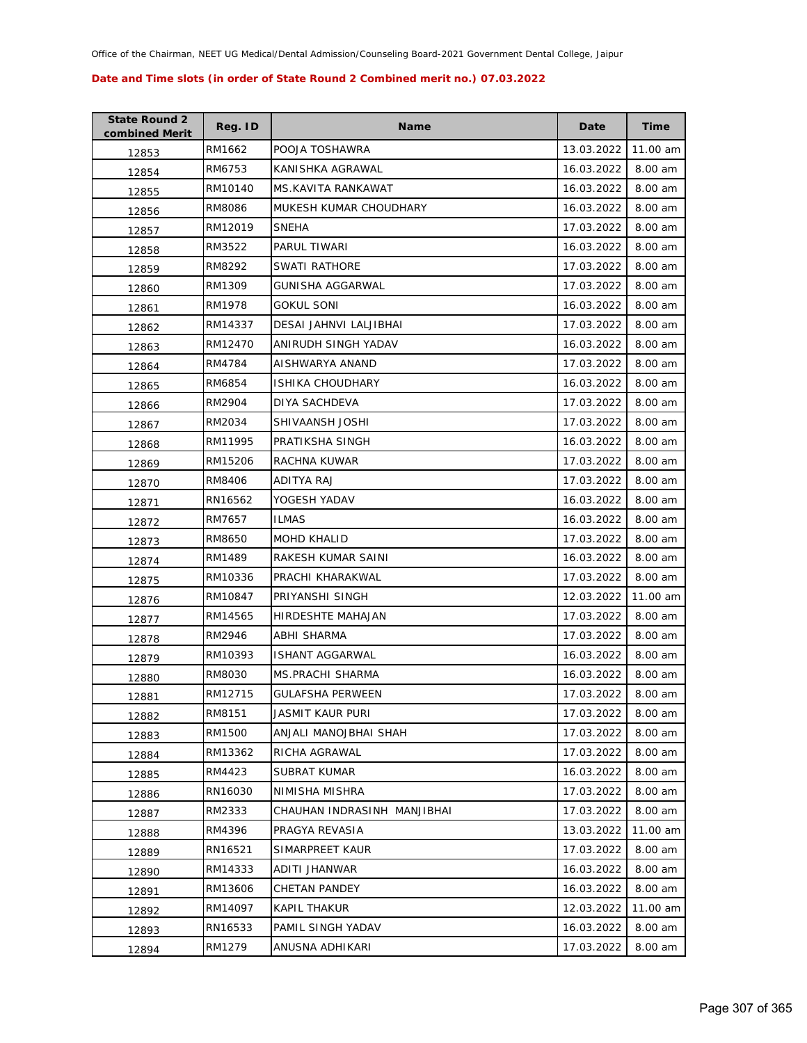| <b>State Round 2</b><br>combined Merit | Reg. ID | <b>Name</b>                 | Date       | <b>Time</b> |
|----------------------------------------|---------|-----------------------------|------------|-------------|
| 12853                                  | RM1662  | POOJA TOSHAWRA              | 13.03.2022 | 11.00 am    |
| 12854                                  | RM6753  | KANISHKA AGRAWAL            | 16.03.2022 | 8.00 am     |
| 12855                                  | RM10140 | <b>MS.KAVITA RANKAWAT</b>   | 16.03.2022 | 8.00 am     |
| 12856                                  | RM8086  | MUKESH KUMAR CHOUDHARY      | 16.03.2022 | 8.00 am     |
| 12857                                  | RM12019 | <b>SNEHA</b>                | 17.03.2022 | 8.00 am     |
| 12858                                  | RM3522  | PARUL TIWARI                | 16.03.2022 | 8.00 am     |
| 12859                                  | RM8292  | SWATI RATHORE               | 17.03.2022 | 8.00 am     |
| 12860                                  | RM1309  | GUNISHA AGGARWAL            | 17.03.2022 | 8.00 am     |
| 12861                                  | RM1978  | GOKUL SONI                  | 16.03.2022 | 8.00 am     |
| 12862                                  | RM14337 | DESAI JAHNVI LALJIBHAI      | 17.03.2022 | 8.00 am     |
| 12863                                  | RM12470 | ANIRUDH SINGH YADAV         | 16.03.2022 | 8.00 am     |
| 12864                                  | RM4784  | AISHWARYA ANAND             | 17.03.2022 | 8.00 am     |
| 12865                                  | RM6854  | <b>ISHIKA CHOUDHARY</b>     | 16.03.2022 | 8.00 am     |
| 12866                                  | RM2904  | DIYA SACHDEVA               | 17.03.2022 | 8.00 am     |
| 12867                                  | RM2034  | SHIVAANSH JOSHI             | 17.03.2022 | 8.00 am     |
| 12868                                  | RM11995 | PRATIKSHA SINGH             | 16.03.2022 | 8.00 am     |
| 12869                                  | RM15206 | RACHNA KUWAR                | 17.03.2022 | 8.00 am     |
| 12870                                  | RM8406  | ADITYA RAJ                  | 17.03.2022 | 8.00 am     |
| 12871                                  | RN16562 | YOGESH YADAV                | 16.03.2022 | 8.00 am     |
| 12872                                  | RM7657  | <b>ILMAS</b>                | 16.03.2022 | 8.00 am     |
| 12873                                  | RM8650  | <b>MOHD KHALID</b>          | 17.03.2022 | 8.00 am     |
| 12874                                  | RM1489  | RAKESH KUMAR SAINI          | 16.03.2022 | 8.00 am     |
| 12875                                  | RM10336 | PRACHI KHARAKWAL            | 17.03.2022 | 8.00 am     |
| 12876                                  | RM10847 | PRIYANSHI SINGH             | 12.03.2022 | 11.00 am    |
| 12877                                  | RM14565 | HIRDESHTE MAHAJAN           | 17.03.2022 | 8.00 am     |
| 12878                                  | RM2946  | ABHI SHARMA                 | 17.03.2022 | 8.00 am     |
| 12879                                  | RM10393 | ISHANT AGGARWAL             | 16.03.2022 | 8.00 am     |
| 12880                                  | RM8030  | <b>MS.PRACHI SHARMA</b>     | 16.03.2022 | 8.00 am     |
| 12881                                  | RM12715 | <b>GULAFSHA PERWEEN</b>     | 17.03.2022 | 8.00 am     |
| 12882                                  | RM8151  | JASMIT KAUR PURI            | 17.03.2022 | 8.00 am     |
| 12883                                  | RM1500  | ANJALI MANOJBHAI SHAH       | 17.03.2022 | 8.00 am     |
| 12884                                  | RM13362 | RICHA AGRAWAL               | 17.03.2022 | 8.00 am     |
| 12885                                  | RM4423  | SUBRAT KUMAR                | 16.03.2022 | 8.00 am     |
| 12886                                  | RN16030 | NIMISHA MISHRA              | 17.03.2022 | 8.00 am     |
| 12887                                  | RM2333  | CHAUHAN INDRASINH MANJIBHAI | 17.03.2022 | 8.00 am     |
| 12888                                  | RM4396  | PRAGYA REVASIA              | 13.03.2022 | 11.00 am    |
| 12889                                  | RN16521 | SIMARPREET KAUR             | 17.03.2022 | 8.00 am     |
| 12890                                  | RM14333 | ADITI JHANWAR               | 16.03.2022 | 8.00 am     |
| 12891                                  | RM13606 | CHETAN PANDEY               | 16.03.2022 | 8.00 am     |
| 12892                                  | RM14097 | KAPIL THAKUR                | 12.03.2022 | 11.00 am    |
| 12893                                  | RN16533 | PAMIL SINGH YADAV           | 16.03.2022 | 8.00 am     |
| 12894                                  | RM1279  | ANUSNA ADHIKARI             | 17.03.2022 | 8.00 am     |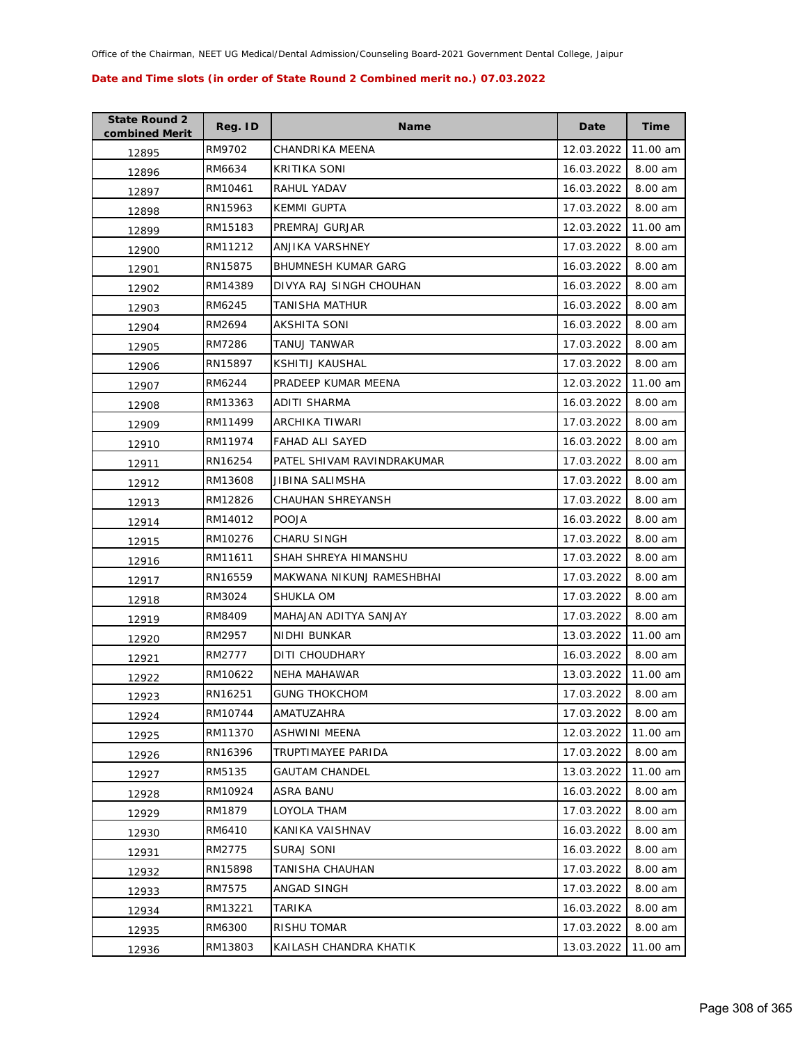| <b>State Round 2</b><br>combined Merit | Reg. ID | <b>Name</b>                | Date       | <b>Time</b> |
|----------------------------------------|---------|----------------------------|------------|-------------|
| 12895                                  | RM9702  | CHANDRIKA MEENA            | 12.03.2022 | 11.00 am    |
| 12896                                  | RM6634  | <b>KRITIKA SONI</b>        | 16.03.2022 | 8.00 am     |
| 12897                                  | RM10461 | RAHUL YADAV                | 16.03.2022 | 8.00 am     |
| 12898                                  | RN15963 | <b>KEMMI GUPTA</b>         | 17.03.2022 | 8.00 am     |
| 12899                                  | RM15183 | PREMRAJ GURJAR             | 12.03.2022 | 11.00 am    |
| 12900                                  | RM11212 | ANJIKA VARSHNEY            | 17.03.2022 | 8.00 am     |
| 12901                                  | RN15875 | <b>BHUMNESH KUMAR GARG</b> | 16.03.2022 | 8.00 am     |
| 12902                                  | RM14389 | DIVYA RAJ SINGH CHOUHAN    | 16.03.2022 | 8.00 am     |
| 12903                                  | RM6245  | TANISHA MATHUR             | 16.03.2022 | 8.00 am     |
| 12904                                  | RM2694  | AKSHITA SONI               | 16.03.2022 | 8.00 am     |
| 12905                                  | RM7286  | TANUJ TANWAR               | 17.03.2022 | 8.00 am     |
| 12906                                  | RN15897 | KSHITIJ KAUSHAL            | 17.03.2022 | 8.00 am     |
| 12907                                  | RM6244  | PRADEEP KUMAR MEENA        | 12.03.2022 | 11.00 am    |
| 12908                                  | RM13363 | ADITI SHARMA               | 16.03.2022 | 8.00 am     |
| 12909                                  | RM11499 | ARCHIKA TIWARI             | 17.03.2022 | 8.00 am     |
| 12910                                  | RM11974 | <b>FAHAD ALI SAYED</b>     | 16.03.2022 | 8.00 am     |
| 12911                                  | RN16254 | PATEL SHIVAM RAVINDRAKUMAR | 17.03.2022 | 8.00 am     |
| 12912                                  | RM13608 | JIBINA SALIMSHA            | 17.03.2022 | 8.00 am     |
| 12913                                  | RM12826 | CHAUHAN SHREYANSH          | 17.03.2022 | 8.00 am     |
| 12914                                  | RM14012 | <b>POOJA</b>               | 16.03.2022 | 8.00 am     |
| 12915                                  | RM10276 | <b>CHARU SINGH</b>         | 17.03.2022 | 8.00 am     |
| 12916                                  | RM11611 | SHAH SHREYA HIMANSHU       | 17.03.2022 | 8.00 am     |
| 12917                                  | RN16559 | MAKWANA NIKUNJ RAMESHBHAI  | 17.03.2022 | 8.00 am     |
| 12918                                  | RM3024  | SHUKLA OM                  | 17.03.2022 | 8.00 am     |
| 12919                                  | RM8409  | MAHAJAN ADITYA SANJAY      | 17.03.2022 | 8.00 am     |
| 12920                                  | RM2957  | NIDHI BUNKAR               | 13.03.2022 | 11.00 am    |
| 12921                                  | RM2777  | DITI CHOUDHARY             | 16.03.2022 | 8.00 am     |
| 12922                                  | RM10622 | NEHA MAHAWAR               | 13.03.2022 | 11.00 am    |
| 12923                                  | RN16251 | <b>GUNG THOKCHOM</b>       | 17.03.2022 | 8.00 am     |
| 12924                                  | RM10744 | AMATUZAHRA                 | 17.03.2022 | 8.00 am     |
| 12925                                  | RM11370 | ASHWINI MEENA              | 12.03.2022 | 11.00 am    |
| 12926                                  | RN16396 | <b>TRUPTIMAYEE PARIDA</b>  | 17.03.2022 | 8.00 am     |
| 12927                                  | RM5135  | GAUTAM CHANDEL             | 13.03.2022 | 11.00 am    |
| 12928                                  | RM10924 | ASRA BANU                  | 16.03.2022 | 8.00 am     |
| 12929                                  | RM1879  | LOYOLA THAM                | 17.03.2022 | 8.00 am     |
| 12930                                  | RM6410  | KANIKA VAISHNAV            | 16.03.2022 | 8.00 am     |
| 12931                                  | RM2775  | SURAJ SONI                 | 16.03.2022 | 8.00 am     |
| 12932                                  | RN15898 | TANISHA CHAUHAN            | 17.03.2022 | 8.00 am     |
| 12933                                  | RM7575  | ANGAD SINGH                | 17.03.2022 | 8.00 am     |
| 12934                                  | RM13221 | TARIKA                     | 16.03.2022 | 8.00 am     |
| 12935                                  | RM6300  | RISHU TOMAR                | 17.03.2022 | 8.00 am     |
| 12936                                  | RM13803 | KAILASH CHANDRA KHATIK     | 13.03.2022 | 11.00 am    |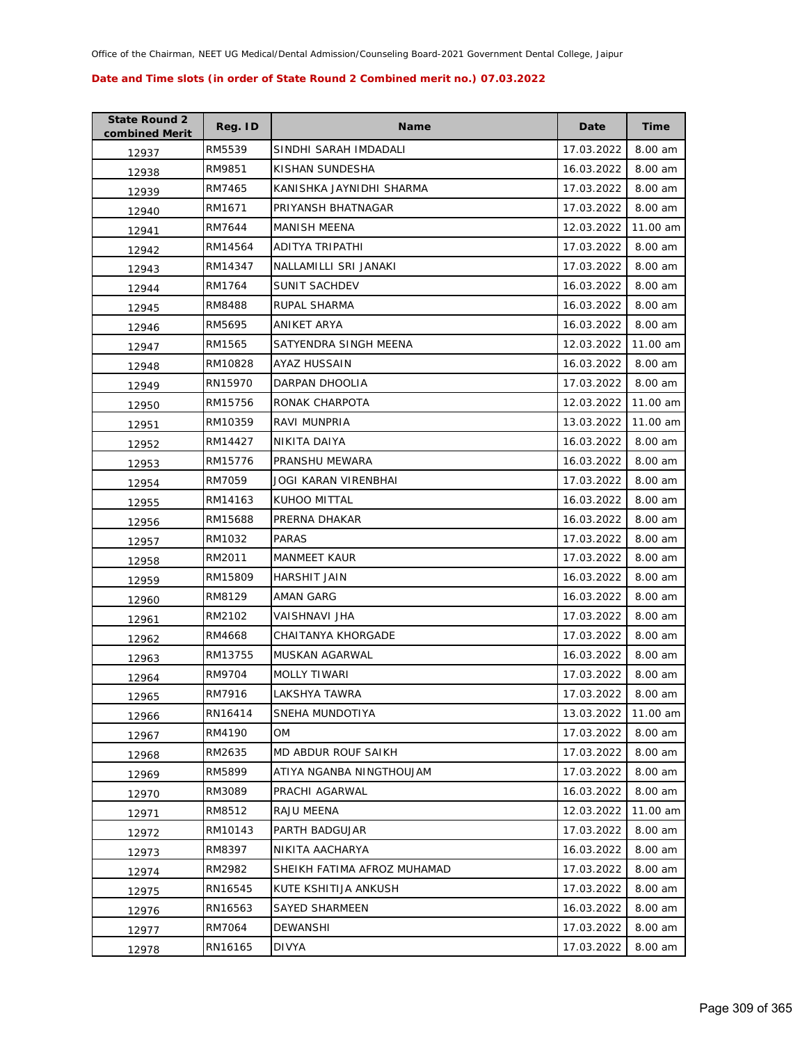| <b>State Round 2</b><br>combined Merit | Reg. ID | <b>Name</b>                 | Date       | <b>Time</b> |
|----------------------------------------|---------|-----------------------------|------------|-------------|
| 12937                                  | RM5539  | SINDHI SARAH IMDADALI       | 17.03.2022 | 8.00 am     |
| 12938                                  | RM9851  | KISHAN SUNDESHA             | 16.03.2022 | 8.00 am     |
| 12939                                  | RM7465  | KANISHKA JAYNIDHI SHARMA    | 17.03.2022 | 8.00 am     |
| 12940                                  | RM1671  | PRIYANSH BHATNAGAR          | 17.03.2022 | 8.00 am     |
| 12941                                  | RM7644  | MANISH MEENA                | 12.03.2022 | 11.00 am    |
| 12942                                  | RM14564 | <b>ADITYA TRIPATHI</b>      | 17.03.2022 | 8.00 am     |
| 12943                                  | RM14347 | NALLAMILLI SRI JANAKI       | 17.03.2022 | 8.00 am     |
| 12944                                  | RM1764  | SUNIT SACHDEV               | 16.03.2022 | 8.00 am     |
| 12945                                  | RM8488  | RUPAL SHARMA                | 16.03.2022 | 8.00 am     |
| 12946                                  | RM5695  | ANIKET ARYA                 | 16.03.2022 | 8.00 am     |
| 12947                                  | RM1565  | SATYENDRA SINGH MEENA       | 12.03.2022 | 11.00 am    |
| 12948                                  | RM10828 | AYAZ HUSSAIN                | 16.03.2022 | 8.00 am     |
| 12949                                  | RN15970 | DARPAN DHOOLIA              | 17.03.2022 | 8.00 am     |
| 12950                                  | RM15756 | RONAK CHARPOTA              | 12.03.2022 | 11.00 am    |
| 12951                                  | RM10359 | <b>RAVI MUNPRIA</b>         | 13.03.2022 | 11.00 am    |
| 12952                                  | RM14427 | NIKITA DAIYA                | 16.03.2022 | 8.00 am     |
| 12953                                  | RM15776 | PRANSHU MEWARA              | 16.03.2022 | 8.00 am     |
| 12954                                  | RM7059  | JOGI KARAN VIRENBHAI        | 17.03.2022 | 8.00 am     |
| 12955                                  | RM14163 | KUHOO MITTAL                | 16.03.2022 | 8.00 am     |
| 12956                                  | RM15688 | PRERNA DHAKAR               | 16.03.2022 | 8.00 am     |
| 12957                                  | RM1032  | <b>PARAS</b>                | 17.03.2022 | 8.00 am     |
| 12958                                  | RM2011  | <b>MANMEET KAUR</b>         | 17.03.2022 | 8.00 am     |
| 12959                                  | RM15809 | HARSHIT JAIN                | 16.03.2022 | 8.00 am     |
| 12960                                  | RM8129  | AMAN GARG                   | 16.03.2022 | 8.00 am     |
| 12961                                  | RM2102  | VAISHNAVI JHA               | 17.03.2022 | 8.00 am     |
| 12962                                  | RM4668  | <b>CHAITANYA KHORGADE</b>   | 17.03.2022 | 8.00 am     |
| 12963                                  | RM13755 | MUSKAN AGARWAL              | 16.03.2022 | 8.00 am     |
| 12964                                  | RM9704  | <b>MOLLY TIWARI</b>         | 17.03.2022 | 8.00 am     |
| 12965                                  | RM7916  | LAKSHYA TAWRA               | 17.03.2022 | 8.00 am     |
| 12966                                  | RN16414 | SNEHA MUNDOTIYA             | 13.03.2022 | 11.00 am    |
| 12967                                  | RM4190  | OМ                          | 17.03.2022 | 8.00 am     |
| 12968                                  | RM2635  | MD ABDUR ROUF SAIKH         | 17.03.2022 | 8.00 am     |
| 12969                                  | RM5899  | ATIYA NGANBA NINGTHOUJAM    | 17.03.2022 | 8.00 am     |
| 12970                                  | RM3089  | PRACHI AGARWAL              | 16.03.2022 | 8.00 am     |
| 12971                                  | RM8512  | RAJU MEENA                  | 12.03.2022 | 11.00 am    |
| 12972                                  | RM10143 | PARTH BADGUJAR              | 17.03.2022 | 8.00 am     |
| 12973                                  | RM8397  | NIKITA AACHARYA             | 16.03.2022 | 8.00 am     |
| 12974                                  | RM2982  | SHEIKH FATIMA AFROZ MUHAMAD | 17.03.2022 | 8.00 am     |
| 12975                                  | RN16545 | KUTE KSHITIJA ANKUSH        | 17.03.2022 | 8.00 am     |
| 12976                                  | RN16563 | SAYED SHARMEEN              | 16.03.2022 | 8.00 am     |
| 12977                                  | RM7064  | DEWANSHI                    | 17.03.2022 | 8.00 am     |
| 12978                                  | RN16165 | DIVYA                       | 17.03.2022 | 8.00 am     |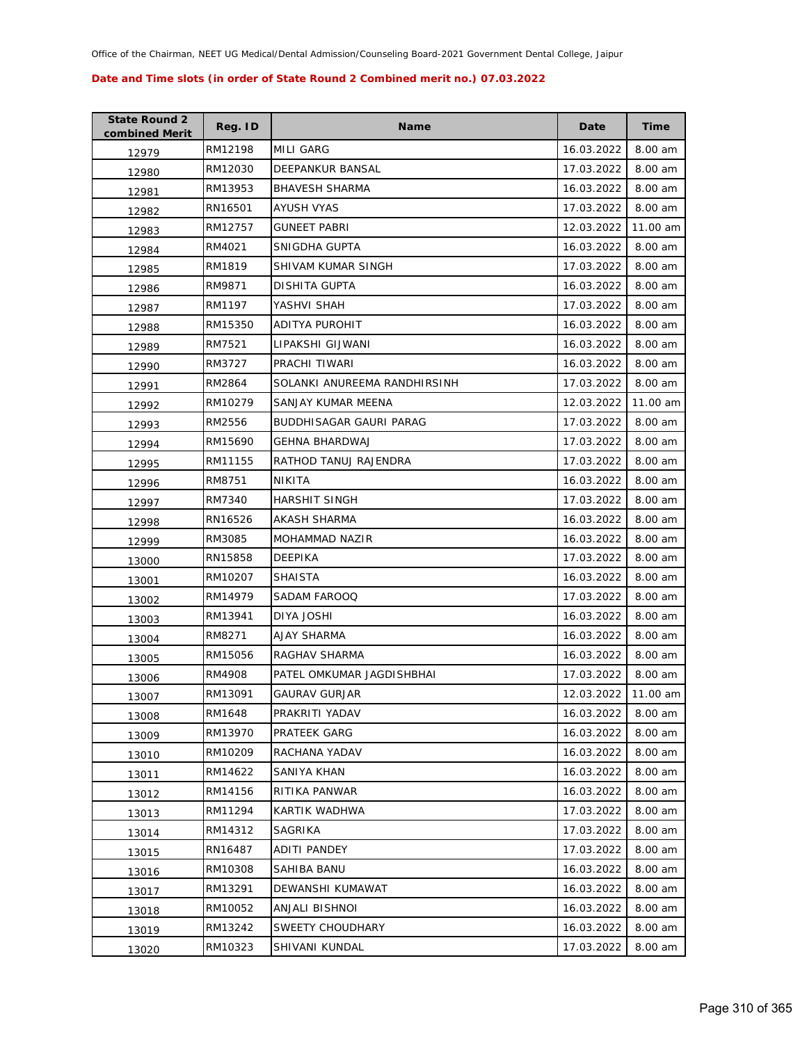| <b>State Round 2</b><br>combined Merit | Reg. ID | <b>Name</b>                  | Date       | <b>Time</b> |
|----------------------------------------|---------|------------------------------|------------|-------------|
| 12979                                  | RM12198 | MILI GARG                    | 16.03.2022 | 8.00 am     |
| 12980                                  | RM12030 | DEEPANKUR BANSAL             | 17.03.2022 | 8.00 am     |
| 12981                                  | RM13953 | <b>BHAVESH SHARMA</b>        | 16.03.2022 | 8.00 am     |
| 12982                                  | RN16501 | AYUSH VYAS                   | 17.03.2022 | 8.00 am     |
| 12983                                  | RM12757 | <b>GUNEET PABRI</b>          | 12.03.2022 | 11.00 am    |
| 12984                                  | RM4021  | SNIGDHA GUPTA                | 16.03.2022 | 8.00 am     |
| 12985                                  | RM1819  | SHIVAM KUMAR SINGH           | 17.03.2022 | 8.00 am     |
| 12986                                  | RM9871  | DISHITA GUPTA                | 16.03.2022 | 8.00 am     |
| 12987                                  | RM1197  | YASHVI SHAH                  | 17.03.2022 | 8.00 am     |
| 12988                                  | RM15350 | ADITYA PUROHIT               | 16.03.2022 | 8.00 am     |
| 12989                                  | RM7521  | LIPAKSHI GIJWANI             | 16.03.2022 | 8.00 am     |
| 12990                                  | RM3727  | PRACHI TIWARI                | 16.03.2022 | 8.00 am     |
| 12991                                  | RM2864  | SOLANKI ANUREEMA RANDHIRSINH | 17.03.2022 | 8.00 am     |
| 12992                                  | RM10279 | SANJAY KUMAR MEENA           | 12.03.2022 | 11.00 am    |
| 12993                                  | RM2556  | BUDDHISAGAR GAURI PARAG      | 17.03.2022 | 8.00 am     |
| 12994                                  | RM15690 | <b>GEHNA BHARDWAJ</b>        | 17.03.2022 | 8.00 am     |
| 12995                                  | RM11155 | RATHOD TANUJ RAJENDRA        | 17.03.2022 | 8.00 am     |
| 12996                                  | RM8751  | NIKITA                       | 16.03.2022 | 8.00 am     |
| 12997                                  | RM7340  | HARSHIT SINGH                | 17.03.2022 | 8.00 am     |
| 12998                                  | RN16526 | AKASH SHARMA                 | 16.03.2022 | 8.00 am     |
| 12999                                  | RM3085  | MOHAMMAD NAZIR               | 16.03.2022 | 8.00 am     |
| 13000                                  | RN15858 | <b>DEEPIKA</b>               | 17.03.2022 | 8.00 am     |
| 13001                                  | RM10207 | <b>SHAISTA</b>               | 16.03.2022 | 8.00 am     |
| 13002                                  | RM14979 | SADAM FAROOQ                 | 17.03.2022 | 8.00 am     |
| 13003                                  | RM13941 | DIYA JOSHI                   | 16.03.2022 | 8.00 am     |
| 13004                                  | RM8271  | AJAY SHARMA                  | 16.03.2022 | 8.00 am     |
| 13005                                  | RM15056 | RAGHAV SHARMA                | 16.03.2022 | 8.00 am     |
| 13006                                  | RM4908  | PATEL OMKUMAR JAGDISHBHAI    | 17.03.2022 | 8.00 am     |
| 13007                                  | RM13091 | <b>GAURAV GURJAR</b>         | 12.03.2022 | 11.00 am    |
| 13008                                  | RM1648  | PRAKRITI YADAV               | 16.03.2022 | 8.00 am     |
| 13009                                  | RM13970 | PRATEEK GARG                 | 16.03.2022 | 8.00 am     |
| 13010                                  | RM10209 | RACHANA YADAV                | 16.03.2022 | 8.00 am     |
| 13011                                  | RM14622 | SANIYA KHAN                  | 16.03.2022 | 8.00 am     |
| 13012                                  | RM14156 | RITIKA PANWAR                | 16.03.2022 | 8.00 am     |
| 13013                                  | RM11294 | KARTIK WADHWA                | 17.03.2022 | 8.00 am     |
| 13014                                  | RM14312 | SAGRIKA                      | 17.03.2022 | 8.00 am     |
| 13015                                  | RN16487 | <b>ADITI PANDEY</b>          | 17.03.2022 | 8.00 am     |
| 13016                                  | RM10308 | SAHIBA BANU                  | 16.03.2022 | 8.00 am     |
| 13017                                  | RM13291 | DEWANSHI KUMAWAT             | 16.03.2022 | 8.00 am     |
| 13018                                  | RM10052 | ANJALI BISHNOI               | 16.03.2022 | 8.00 am     |
| 13019                                  | RM13242 | SWEETY CHOUDHARY             | 16.03.2022 | 8.00 am     |
| 13020                                  | RM10323 | SHIVANI KUNDAL               | 17.03.2022 | 8.00 am     |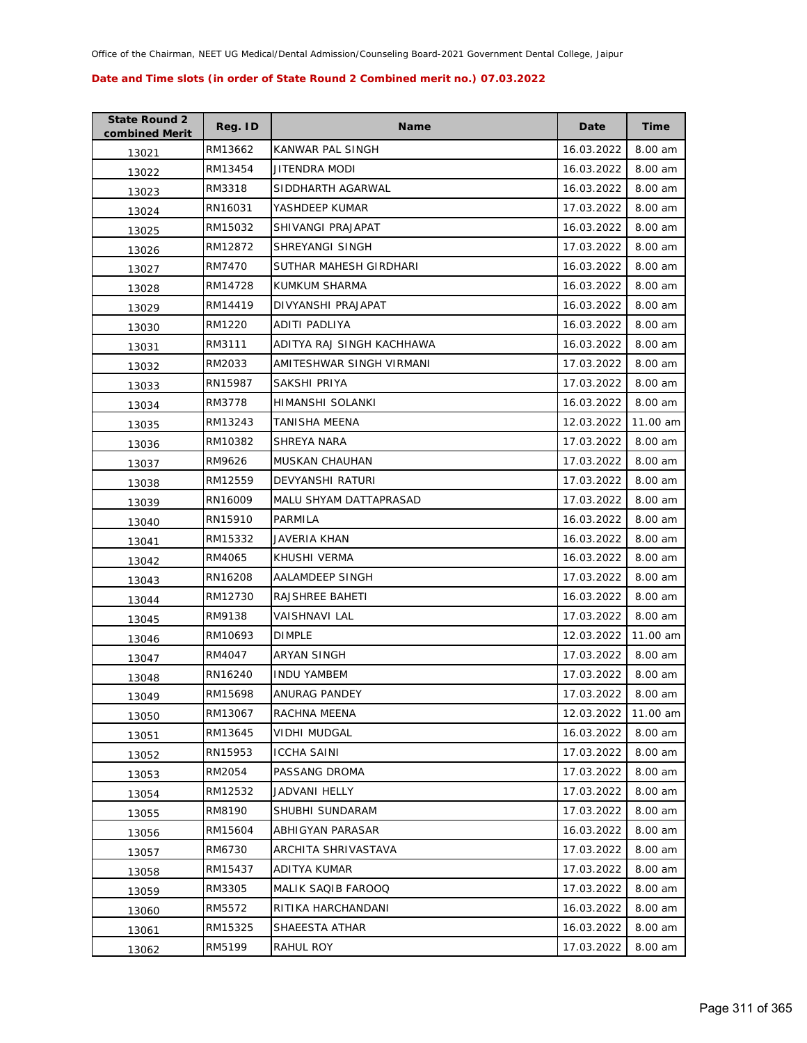| <b>State Round 2</b><br>combined Merit | Reg. ID | <b>Name</b>               | Date       | <b>Time</b> |
|----------------------------------------|---------|---------------------------|------------|-------------|
| 13021                                  | RM13662 | KANWAR PAL SINGH          | 16.03.2022 | 8.00 am     |
| 13022                                  | RM13454 | JITENDRA MODI             | 16.03.2022 | 8.00 am     |
| 13023                                  | RM3318  | SIDDHARTH AGARWAL         | 16.03.2022 | 8.00 am     |
| 13024                                  | RN16031 | YASHDEEP KUMAR            | 17.03.2022 | 8.00 am     |
| 13025                                  | RM15032 | SHIVANGI PRAJAPAT         | 16.03.2022 | 8.00 am     |
| 13026                                  | RM12872 | SHREYANGI SINGH           | 17.03.2022 | 8.00 am     |
| 13027                                  | RM7470  | SUTHAR MAHESH GIRDHARI    | 16.03.2022 | 8.00 am     |
| 13028                                  | RM14728 | KUMKUM SHARMA             | 16.03.2022 | 8.00 am     |
| 13029                                  | RM14419 | DIVYANSHI PRAJAPAT        | 16.03.2022 | 8.00 am     |
| 13030                                  | RM1220  | ADITI PADLIYA             | 16.03.2022 | 8.00 am     |
| 13031                                  | RM3111  | ADITYA RAJ SINGH KACHHAWA | 16.03.2022 | 8.00 am     |
| 13032                                  | RM2033  | AMITESHWAR SINGH VIRMANI  | 17.03.2022 | 8.00 am     |
| 13033                                  | RN15987 | SAKSHI PRIYA              | 17.03.2022 | 8.00 am     |
| 13034                                  | RM3778  | HIMANSHI SOLANKI          | 16.03.2022 | 8.00 am     |
| 13035                                  | RM13243 | TANISHA MEENA             | 12.03.2022 | 11.00 am    |
| 13036                                  | RM10382 | SHREYA NARA               | 17.03.2022 | 8.00 am     |
| 13037                                  | RM9626  | MUSKAN CHAUHAN            | 17.03.2022 | 8.00 am     |
| 13038                                  | RM12559 | DEVYANSHI RATURI          | 17.03.2022 | 8.00 am     |
| 13039                                  | RN16009 | MALU SHYAM DATTAPRASAD    | 17.03.2022 | 8.00 am     |
| 13040                                  | RN15910 | PARMILA                   | 16.03.2022 | 8.00 am     |
| 13041                                  | RM15332 | JAVERIA KHAN              | 16.03.2022 | 8.00 am     |
| 13042                                  | RM4065  | KHUSHI VERMA              | 16.03.2022 | 8.00 am     |
| 13043                                  | RN16208 | AALAMDEEP SINGH           | 17.03.2022 | 8.00 am     |
| 13044                                  | RM12730 | RAJSHREE BAHETI           | 16.03.2022 | 8.00 am     |
| 13045                                  | RM9138  | VAISHNAVI LAL             | 17.03.2022 | 8.00 am     |
| 13046                                  | RM10693 | <b>DIMPLE</b>             | 12.03.2022 | 11.00 am    |
| 13047                                  | RM4047  | ARYAN SINGH               | 17.03.2022 | 8.00 am     |
| 13048                                  | RN16240 | <b>INDU YAMBEM</b>        | 17.03.2022 | 8.00 am     |
| 13049                                  | RM15698 | <b>ANURAG PANDEY</b>      | 17.03.2022 | 8.00 am     |
| 13050                                  | RM13067 | RACHNA MEENA              | 12.03.2022 | 11.00 am    |
| 13051                                  | RM13645 | VIDHI MUDGAL              | 16.03.2022 | 8.00 am     |
| 13052                                  | RN15953 | <b>ICCHA SAINI</b>        | 17.03.2022 | 8.00 am     |
| 13053                                  | RM2054  | PASSANG DROMA             | 17.03.2022 | 8.00 am     |
| 13054                                  | RM12532 | JADVANI HELLY             | 17.03.2022 | 8.00 am     |
| 13055                                  | RM8190  | SHUBHI SUNDARAM           | 17.03.2022 | 8.00 am     |
| 13056                                  | RM15604 | ABHIGYAN PARASAR          | 16.03.2022 | 8.00 am     |
| 13057                                  | RM6730  | ARCHITA SHRIVASTAVA       | 17.03.2022 | 8.00 am     |
| 13058                                  | RM15437 | ADITYA KUMAR              | 17.03.2022 | 8.00 am     |
| 13059                                  | RM3305  | MALIK SAQIB FAROOQ        | 17.03.2022 | 8.00 am     |
| 13060                                  | RM5572  | RITIKA HARCHANDANI        | 16.03.2022 | 8.00 am     |
| 13061                                  | RM15325 | SHAEESTA ATHAR            | 16.03.2022 | 8.00 am     |
| 13062                                  | RM5199  | RAHUL ROY                 | 17.03.2022 | 8.00 am     |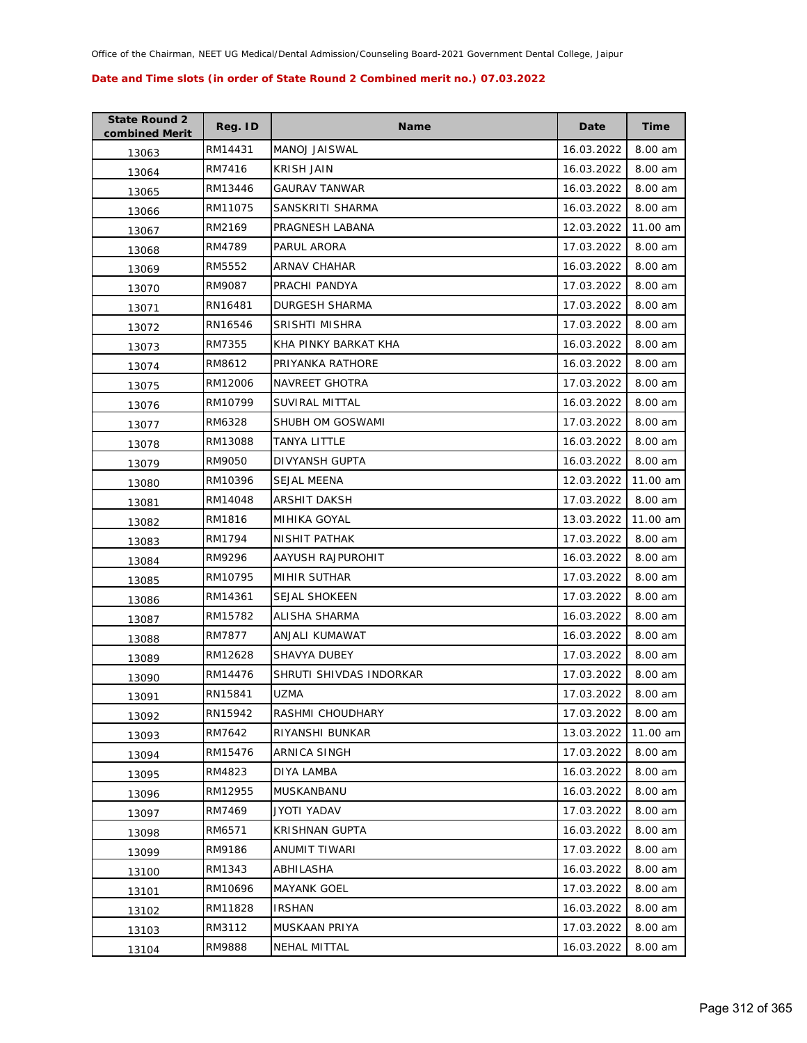| <b>State Round 2</b><br>combined Merit | Reg. ID | <b>Name</b>             | Date       | Time     |
|----------------------------------------|---------|-------------------------|------------|----------|
| 13063                                  | RM14431 | MANOJ JAISWAL           | 16.03.2022 | 8.00 am  |
| 13064                                  | RM7416  | <b>KRISH JAIN</b>       | 16.03.2022 | 8.00 am  |
| 13065                                  | RM13446 | <b>GAURAV TANWAR</b>    | 16.03.2022 | 8.00 am  |
| 13066                                  | RM11075 | SANSKRITI SHARMA        | 16.03.2022 | 8.00 am  |
| 13067                                  | RM2169  | PRAGNESH LABANA         | 12.03.2022 | 11.00 am |
| 13068                                  | RM4789  | PARUL ARORA             | 17.03.2022 | 8.00 am  |
| 13069                                  | RM5552  | <b>ARNAV CHAHAR</b>     | 16.03.2022 | 8.00 am  |
| 13070                                  | RM9087  | PRACHI PANDYA           | 17.03.2022 | 8.00 am  |
| 13071                                  | RN16481 | DURGESH SHARMA          | 17.03.2022 | 8.00 am  |
| 13072                                  | RN16546 | SRISHTI MISHRA          | 17.03.2022 | 8.00 am  |
| 13073                                  | RM7355  | KHA PINKY BARKAT KHA    | 16.03.2022 | 8.00 am  |
| 13074                                  | RM8612  | PRIYANKA RATHORE        | 16.03.2022 | 8.00 am  |
| 13075                                  | RM12006 | NAVREET GHOTRA          | 17.03.2022 | 8.00 am  |
| 13076                                  | RM10799 | <b>SUVIRAL MITTAL</b>   | 16.03.2022 | 8.00 am  |
| 13077                                  | RM6328  | SHUBH OM GOSWAMI        | 17.03.2022 | 8.00 am  |
| 13078                                  | RM13088 | <b>TANYA LITTLE</b>     | 16.03.2022 | 8.00 am  |
| 13079                                  | RM9050  | DIVYANSH GUPTA          | 16.03.2022 | 8.00 am  |
| 13080                                  | RM10396 | SEJAL MEENA             | 12.03.2022 | 11.00 am |
| 13081                                  | RM14048 | ARSHIT DAKSH            | 17.03.2022 | 8.00 am  |
| 13082                                  | RM1816  | MIHIKA GOYAL            | 13.03.2022 | 11.00 am |
| 13083                                  | RM1794  | NISHIT PATHAK           | 17.03.2022 | 8.00 am  |
| 13084                                  | RM9296  | AAYUSH RAJPUROHIT       | 16.03.2022 | 8.00 am  |
| 13085                                  | RM10795 | MIHIR SUTHAR            | 17.03.2022 | 8.00 am  |
| 13086                                  | RM14361 | <b>SEJAL SHOKEEN</b>    | 17.03.2022 | 8.00 am  |
| 13087                                  | RM15782 | ALISHA SHARMA           | 16.03.2022 | 8.00 am  |
| 13088                                  | RM7877  | ANJALI KUMAWAT          | 16.03.2022 | 8.00 am  |
| 13089                                  | RM12628 | SHAVYA DUBEY            | 17.03.2022 | 8.00 am  |
| 13090                                  | RM14476 | SHRUTI SHIVDAS INDORKAR | 17.03.2022 | 8.00 am  |
| 13091                                  | RN15841 | UZMA                    | 17.03.2022 | 8.00 am  |
| 13092                                  | RN15942 | RASHMI CHOUDHARY        | 17.03.2022 | 8.00 am  |
| 13093                                  | RM7642  | RIYANSHI BUNKAR         | 13.03.2022 | 11.00 am |
| 13094                                  | RM15476 | ARNICA SINGH            | 17.03.2022 | 8.00 am  |
| 13095                                  | RM4823  | <b>DIYA LAMBA</b>       | 16.03.2022 | 8.00 am  |
| 13096                                  | RM12955 | MUSKANBANU              | 16.03.2022 | 8.00 am  |
| 13097                                  | RM7469  | JYOTI YADAV             | 17.03.2022 | 8.00 am  |
| 13098                                  | RM6571  | KRISHNAN GUPTA          | 16.03.2022 | 8.00 am  |
| 13099                                  | RM9186  | ANUMIT TIWARI           | 17.03.2022 | 8.00 am  |
| 13100                                  | RM1343  | ABHILASHA               | 16.03.2022 | 8.00 am  |
| 13101                                  | RM10696 | <b>MAYANK GOEL</b>      | 17.03.2022 | 8.00 am  |
| 13102                                  | RM11828 | <b>IRSHAN</b>           | 16.03.2022 | 8.00 am  |
| 13103                                  | RM3112  | MUSKAAN PRIYA           | 17.03.2022 | 8.00 am  |
| 13104                                  | RM9888  | NEHAL MITTAL            | 16.03.2022 | 8.00 am  |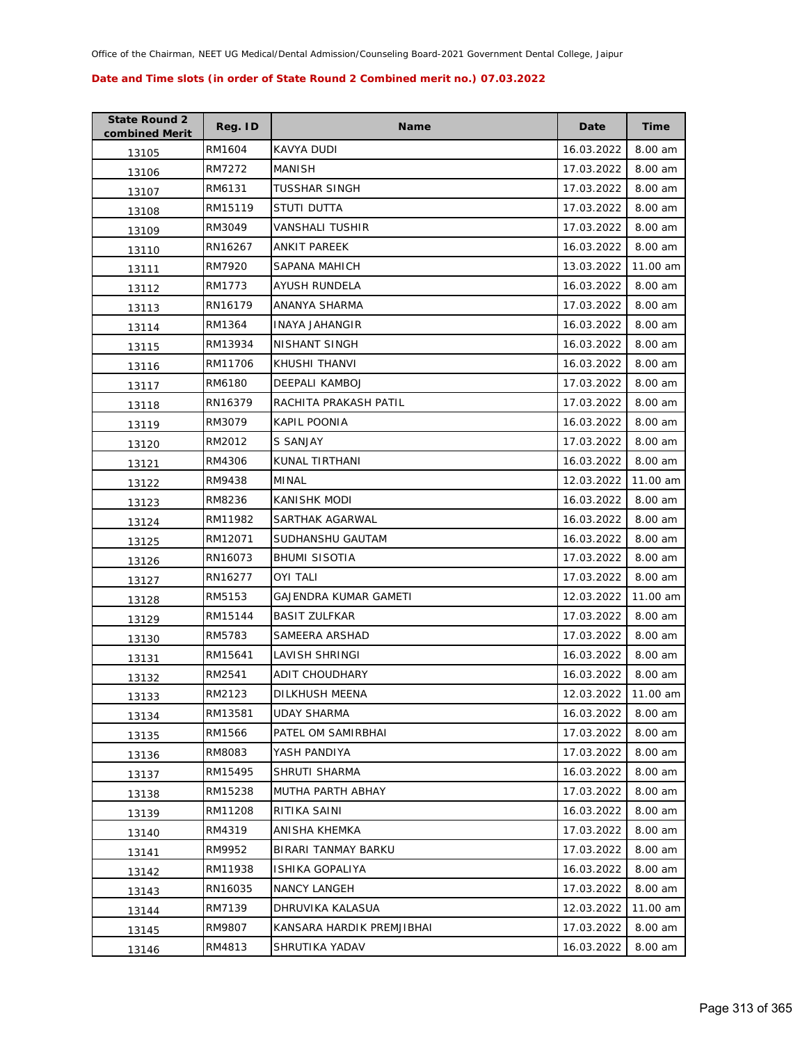| <b>State Round 2</b><br>combined Merit | Reg. ID | <b>Name</b>               | Date       | <b>Time</b> |
|----------------------------------------|---------|---------------------------|------------|-------------|
| 13105                                  | RM1604  | <b>KAVYA DUDI</b>         | 16.03.2022 | 8.00 am     |
| 13106                                  | RM7272  | MANISH                    | 17.03.2022 | 8.00 am     |
| 13107                                  | RM6131  | TUSSHAR SINGH             | 17.03.2022 | 8.00 am     |
| 13108                                  | RM15119 | STUTI DUTTA               | 17.03.2022 | 8.00 am     |
| 13109                                  | RM3049  | VANSHALI TUSHIR           | 17.03.2022 | 8.00 am     |
| 13110                                  | RN16267 | <b>ANKIT PAREEK</b>       | 16.03.2022 | 8.00 am     |
| 13111                                  | RM7920  | SAPANA MAHICH             | 13.03.2022 | 11.00 am    |
| 13112                                  | RM1773  | AYUSH RUNDELA             | 16.03.2022 | 8.00 am     |
| 13113                                  | RN16179 | ANANYA SHARMA             | 17.03.2022 | 8.00 am     |
| 13114                                  | RM1364  | <b>INAYA JAHANGIR</b>     | 16.03.2022 | 8.00 am     |
| 13115                                  | RM13934 | NISHANT SINGH             | 16.03.2022 | 8.00 am     |
| 13116                                  | RM11706 | KHUSHI THANVI             | 16.03.2022 | 8.00 am     |
| 13117                                  | RM6180  | DEEPALI KAMBOJ            | 17.03.2022 | 8.00 am     |
| 13118                                  | RN16379 | RACHITA PRAKASH PATIL     | 17.03.2022 | 8.00 am     |
| 13119                                  | RM3079  | KAPIL POONIA              | 16.03.2022 | 8.00 am     |
| 13120                                  | RM2012  | S SANJAY                  | 17.03.2022 | 8.00 am     |
| 13121                                  | RM4306  | KUNAL TIRTHANI            | 16.03.2022 | 8.00 am     |
| 13122                                  | RM9438  | MINAL                     | 12.03.2022 | 11.00 am    |
| 13123                                  | RM8236  | <b>KANISHK MODI</b>       | 16.03.2022 | 8.00 am     |
| 13124                                  | RM11982 | SARTHAK AGARWAL           | 16.03.2022 | 8.00 am     |
| 13125                                  | RM12071 | SUDHANSHU GAUTAM          | 16.03.2022 | 8.00 am     |
| 13126                                  | RN16073 | <b>BHUMI SISOTIA</b>      | 17.03.2022 | 8.00 am     |
| 13127                                  | RN16277 | <b>OYI TALI</b>           | 17.03.2022 | 8.00 am     |
| 13128                                  | RM5153  | GAJENDRA KUMAR GAMETI     | 12.03.2022 | 11.00 am    |
| 13129                                  | RM15144 | <b>BASIT ZULFKAR</b>      | 17.03.2022 | 8.00 am     |
| 13130                                  | RM5783  | SAMEERA ARSHAD            | 17.03.2022 | 8.00 am     |
| 13131                                  | RM15641 | LAVISH SHRINGI            | 16.03.2022 | 8.00 am     |
| 13132                                  | RM2541  | <b>ADIT CHOUDHARY</b>     | 16.03.2022 | 8.00 am     |
| 13133                                  | RM2123  | DILKHUSH MEENA            | 12.03.2022 | 11.00 am    |
| 13134                                  | RM13581 | <b>UDAY SHARMA</b>        | 16.03.2022 | 8.00 am     |
| 13135                                  | RM1566  | PATEL OM SAMIRBHAI        | 17.03.2022 | 8.00 am     |
| 13136                                  | RM8083  | YASH PANDIYA              | 17.03.2022 | 8.00 am     |
| 13137                                  | RM15495 | <b>SHRUTI SHARMA</b>      | 16.03.2022 | 8.00 am     |
| 13138                                  | RM15238 | MUTHA PARTH ABHAY         | 17.03.2022 | 8.00 am     |
| 13139                                  | RM11208 | RITIKA SAINI              | 16.03.2022 | 8.00 am     |
| 13140                                  | RM4319  | ANISHA KHEMKA             | 17.03.2022 | 8.00 am     |
| 13141                                  | RM9952  | BIRARI TANMAY BARKU       | 17.03.2022 | 8.00 am     |
| 13142                                  | RM11938 | ISHIKA GOPALIYA           | 16.03.2022 | 8.00 am     |
| 13143                                  | RN16035 | <b>NANCY LANGEH</b>       | 17.03.2022 | 8.00 am     |
| 13144                                  | RM7139  | DHRUVIKA KALASUA          | 12.03.2022 | 11.00 am    |
| 13145                                  | RM9807  | KANSARA HARDIK PREMJIBHAI | 17.03.2022 | 8.00 am     |
| 13146                                  | RM4813  | SHRUTIKA YADAV            | 16.03.2022 | 8.00 am     |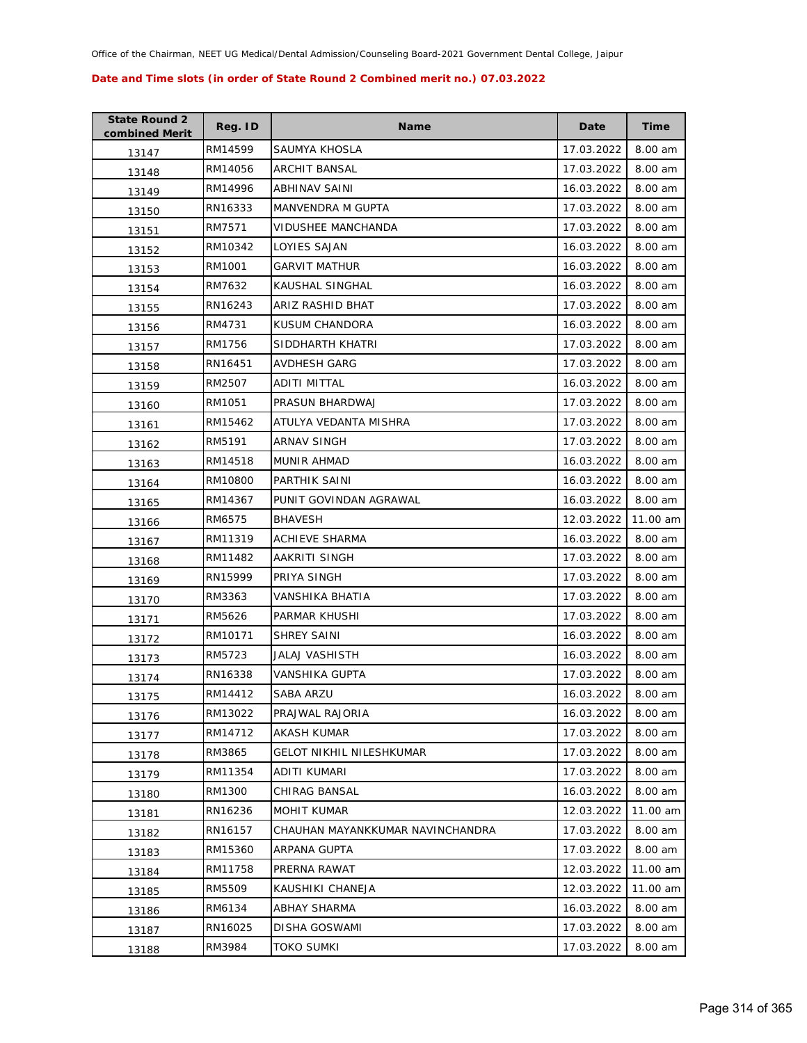| <b>State Round 2</b><br>combined Merit | Reg. ID | <b>Name</b>                      | Date       | <b>Time</b> |
|----------------------------------------|---------|----------------------------------|------------|-------------|
| 13147                                  | RM14599 | SAUMYA KHOSLA                    | 17.03.2022 | 8.00 am     |
| 13148                                  | RM14056 | ARCHIT BANSAL                    | 17.03.2022 | 8.00 am     |
| 13149                                  | RM14996 | ABHINAV SAINI                    | 16.03.2022 | 8.00 am     |
| 13150                                  | RN16333 | MANVENDRA M GUPTA                | 17.03.2022 | 8.00 am     |
| 13151                                  | RM7571  | VIDUSHEE MANCHANDA               | 17.03.2022 | 8.00 am     |
| 13152                                  | RM10342 | LOYIES SAJAN                     | 16.03.2022 | 8.00 am     |
| 13153                                  | RM1001  | <b>GARVIT MATHUR</b>             | 16.03.2022 | 8.00 am     |
| 13154                                  | RM7632  | KAUSHAL SINGHAL                  | 16.03.2022 | 8.00 am     |
| 13155                                  | RN16243 | ARIZ RASHID BHAT                 | 17.03.2022 | 8.00 am     |
| 13156                                  | RM4731  | KUSUM CHANDORA                   | 16.03.2022 | 8.00 am     |
| 13157                                  | RM1756  | SIDDHARTH KHATRI                 | 17.03.2022 | 8.00 am     |
| 13158                                  | RN16451 | AVDHESH GARG                     | 17.03.2022 | 8.00 am     |
| 13159                                  | RM2507  | <b>ADITI MITTAL</b>              | 16.03.2022 | 8.00 am     |
| 13160                                  | RM1051  | PRASUN BHARDWAJ                  | 17.03.2022 | 8.00 am     |
| 13161                                  | RM15462 | ATULYA VEDANTA MISHRA            | 17.03.2022 | 8.00 am     |
| 13162                                  | RM5191  | <b>ARNAV SINGH</b>               | 17.03.2022 | 8.00 am     |
| 13163                                  | RM14518 | MUNIR AHMAD                      | 16.03.2022 | 8.00 am     |
| 13164                                  | RM10800 | PARTHIK SAINI                    | 16.03.2022 | 8.00 am     |
| 13165                                  | RM14367 | PUNIT GOVINDAN AGRAWAL           | 16.03.2022 | 8.00 am     |
| 13166                                  | RM6575  | <b>BHAVESH</b>                   | 12.03.2022 | 11.00 am    |
| 13167                                  | RM11319 | ACHIEVE SHARMA                   | 16.03.2022 | 8.00 am     |
| 13168                                  | RM11482 | AAKRITI SINGH                    | 17.03.2022 | 8.00 am     |
| 13169                                  | RN15999 | PRIYA SINGH                      | 17.03.2022 | 8.00 am     |
| 13170                                  | RM3363  | VANSHIKA BHATIA                  | 17.03.2022 | 8.00 am     |
| 13171                                  | RM5626  | PARMAR KHUSHI                    | 17.03.2022 | 8.00 am     |
| 13172                                  | RM10171 | <b>SHREY SAINI</b>               | 16.03.2022 | 8.00 am     |
| 13173                                  | RM5723  | JALAJ VASHISTH                   | 16.03.2022 | 8.00 am     |
| 13174                                  | RN16338 | <b>VANSHIKA GUPTA</b>            | 17.03.2022 | 8.00 am     |
| 13175                                  | RM14412 | SABA ARZU                        | 16.03.2022 | 8.00 am     |
| 13176                                  | RM13022 | PRAJWAL RAJORIA                  | 16.03.2022 | 8.00 am     |
| 13177                                  | RM14712 | <b>AKASH KUMAR</b>               | 17.03.2022 | 8.00 am     |
| 13178                                  | RM3865  | <b>GELOT NIKHIL NILESHKUMAR</b>  | 17.03.2022 | 8.00 am     |
| 13179                                  | RM11354 | ADITI KUMARI                     | 17.03.2022 | 8.00 am     |
| 13180                                  | RM1300  | <b>CHIRAG BANSAL</b>             | 16.03.2022 | 8.00 am     |
| 13181                                  | RN16236 | MOHIT KUMAR                      | 12.03.2022 | 11.00 am    |
| 13182                                  | RN16157 | CHAUHAN MAYANKKUMAR NAVINCHANDRA | 17.03.2022 | 8.00 am     |
| 13183                                  | RM15360 | ARPANA GUPTA                     | 17.03.2022 | 8.00 am     |
| 13184                                  | RM11758 | PRERNA RAWAT                     | 12.03.2022 | 11.00 am    |
| 13185                                  | RM5509  | KAUSHIKI CHANEJA                 | 12.03.2022 | 11.00 am    |
| 13186                                  | RM6134  | ABHAY SHARMA                     | 16.03.2022 | 8.00 am     |
| 13187                                  | RN16025 | DISHA GOSWAMI                    | 17.03.2022 | 8.00 am     |
| 13188                                  | RM3984  | <b>TOKO SUMKI</b>                | 17.03.2022 | 8.00 am     |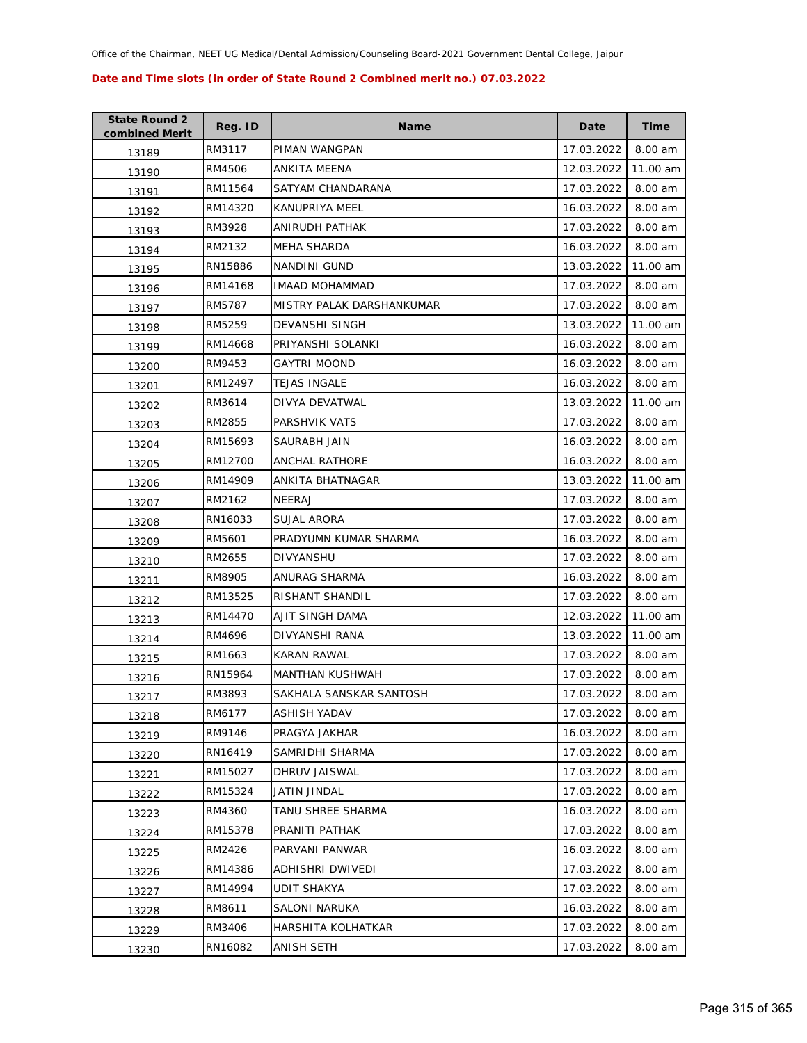| <b>State Round 2</b><br>combined Merit | Reg. ID | Name                      | Date       | <b>Time</b> |
|----------------------------------------|---------|---------------------------|------------|-------------|
| 13189                                  | RM3117  | PIMAN WANGPAN             | 17.03.2022 | 8.00 am     |
| 13190                                  | RM4506  | ANKITA MEENA              | 12.03.2022 | 11.00 am    |
| 13191                                  | RM11564 | SATYAM CHANDARANA         | 17.03.2022 | 8.00 am     |
| 13192                                  | RM14320 | KANUPRIYA MEEL            | 16.03.2022 | 8.00 am     |
| 13193                                  | RM3928  | ANIRUDH PATHAK            | 17.03.2022 | 8.00 am     |
| 13194                                  | RM2132  | MEHA SHARDA               | 16.03.2022 | 8.00 am     |
| 13195                                  | RN15886 | NANDINI GUND              | 13.03.2022 | 11.00 am    |
| 13196                                  | RM14168 | <b>IMAAD MOHAMMAD</b>     | 17.03.2022 | 8.00 am     |
| 13197                                  | RM5787  | MISTRY PALAK DARSHANKUMAR | 17.03.2022 | 8.00 am     |
| 13198                                  | RM5259  | DEVANSHI SINGH            | 13.03.2022 | 11.00 am    |
| 13199                                  | RM14668 | PRIYANSHI SOLANKI         | 16.03.2022 | 8.00 am     |
| 13200                                  | RM9453  | GAYTRI MOOND              | 16.03.2022 | 8.00 am     |
| 13201                                  | RM12497 | <b>TEJAS INGALE</b>       | 16.03.2022 | 8.00 am     |
| 13202                                  | RM3614  | DIVYA DEVATWAL            | 13.03.2022 | 11.00 am    |
| 13203                                  | RM2855  | PARSHVIK VATS             | 17.03.2022 | 8.00 am     |
| 13204                                  | RM15693 | SAURABH JAIN              | 16.03.2022 | 8.00 am     |
| 13205                                  | RM12700 | <b>ANCHAL RATHORE</b>     | 16.03.2022 | 8.00 am     |
| 13206                                  | RM14909 | ANKITA BHATNAGAR          | 13.03.2022 | 11.00 am    |
| 13207                                  | RM2162  | NEERAJ                    | 17.03.2022 | 8.00 am     |
| 13208                                  | RN16033 | SUJAL ARORA               | 17.03.2022 | 8.00 am     |
| 13209                                  | RM5601  | PRADYUMN KUMAR SHARMA     | 16.03.2022 | 8.00 am     |
| 13210                                  | RM2655  | DIVYANSHU                 | 17.03.2022 | 8.00 am     |
| 13211                                  | RM8905  | ANURAG SHARMA             | 16.03.2022 | 8.00 am     |
| 13212                                  | RM13525 | RISHANT SHANDIL           | 17.03.2022 | 8.00 am     |
| 13213                                  | RM14470 | AJIT SINGH DAMA           | 12.03.2022 | 11.00 am    |
| 13214                                  | RM4696  | <b>DIVYANSHI RANA</b>     | 13.03.2022 | 11.00 am    |
| 13215                                  | RM1663  | KARAN RAWAL               | 17.03.2022 | 8.00 am     |
| 13216                                  | RN15964 | <b>MANTHAN KUSHWAH</b>    | 17.03.2022 | 8.00 am     |
| 13217                                  | RM3893  | SAKHALA SANSKAR SANTOSH   | 17.03.2022 | 8.00 am     |
| 13218                                  | RM6177  | ASHISH YADAV              | 17.03.2022 | 8.00 am     |
| 13219                                  | RM9146  | PRAGYA JAKHAR             | 16.03.2022 | 8.00 am     |
| 13220                                  | RN16419 | SAMRIDHI SHARMA           | 17.03.2022 | 8.00 am     |
| 13221                                  | RM15027 | DHRUV JAISWAL             | 17.03.2022 | 8.00 am     |
| 13222                                  | RM15324 | JATIN JINDAL              | 17.03.2022 | 8.00 am     |
| 13223                                  | RM4360  | TANU SHREE SHARMA         | 16.03.2022 | 8.00 am     |
| 13224                                  | RM15378 | PRANITI PATHAK            | 17.03.2022 | 8.00 am     |
| 13225                                  | RM2426  | PARVANI PANWAR            | 16.03.2022 | 8.00 am     |
| 13226                                  | RM14386 | ADHISHRI DWIVEDI          | 17.03.2022 | 8.00 am     |
| 13227                                  | RM14994 | UDIT SHAKYA               | 17.03.2022 | 8.00 am     |
| 13228                                  | RM8611  | SALONI NARUKA             | 16.03.2022 | 8.00 am     |
| 13229                                  | RM3406  | HARSHITA KOLHATKAR        | 17.03.2022 | 8.00 am     |
| 13230                                  | RN16082 | ANISH SETH                | 17.03.2022 | 8.00 am     |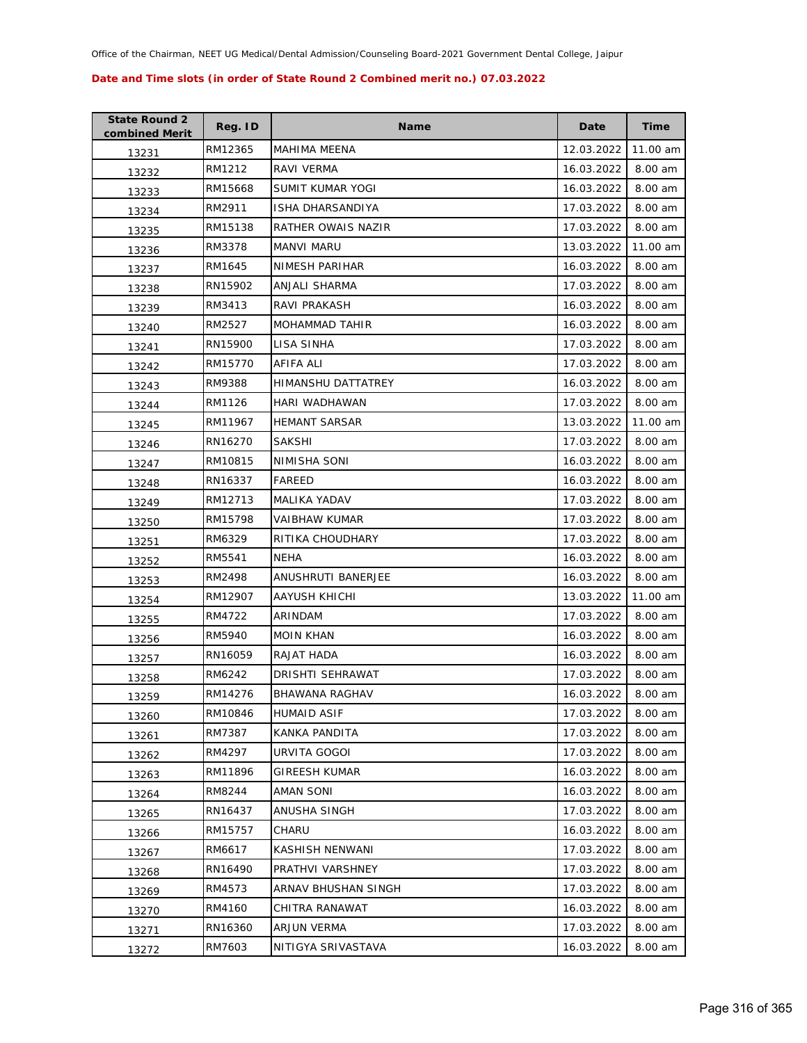| <b>State Round 2</b><br>combined Merit | Reg. ID | <b>Name</b>           | Date       | Time     |
|----------------------------------------|---------|-----------------------|------------|----------|
| 13231                                  | RM12365 | <b>MAHIMA MEENA</b>   | 12.03.2022 | 11.00 am |
| 13232                                  | RM1212  | RAVI VERMA            | 16.03.2022 | 8.00 am  |
| 13233                                  | RM15668 | SUMIT KUMAR YOGI      | 16.03.2022 | 8.00 am  |
| 13234                                  | RM2911  | ISHA DHARSANDIYA      | 17.03.2022 | 8.00 am  |
| 13235                                  | RM15138 | RATHER OWAIS NAZIR    | 17.03.2022 | 8.00 am  |
| 13236                                  | RM3378  | MANVI MARU            | 13.03.2022 | 11.00 am |
| 13237                                  | RM1645  | NIMESH PARIHAR        | 16.03.2022 | 8.00 am  |
| 13238                                  | RN15902 | ANJALI SHARMA         | 17.03.2022 | 8.00 am  |
| 13239                                  | RM3413  | RAVI PRAKASH          | 16.03.2022 | 8.00 am  |
| 13240                                  | RM2527  | MOHAMMAD TAHIR        | 16.03.2022 | 8.00 am  |
| 13241                                  | RN15900 | LISA SINHA            | 17.03.2022 | 8.00 am  |
| 13242                                  | RM15770 | AFIFA ALI             | 17.03.2022 | 8.00 am  |
| 13243                                  | RM9388  | HIMANSHU DATTATREY    | 16.03.2022 | 8.00 am  |
| 13244                                  | RM1126  | HARI WADHAWAN         | 17.03.2022 | 8.00 am  |
| 13245                                  | RM11967 | <b>HEMANT SARSAR</b>  | 13.03.2022 | 11.00 am |
| 13246                                  | RN16270 | <b>SAKSHI</b>         | 17.03.2022 | 8.00 am  |
| 13247                                  | RM10815 | NIMISHA SONI          | 16.03.2022 | 8.00 am  |
| 13248                                  | RN16337 | FAREED                | 16.03.2022 | 8.00 am  |
| 13249                                  | RM12713 | MALIKA YADAV          | 17.03.2022 | 8.00 am  |
| 13250                                  | RM15798 | <b>VAIBHAW KUMAR</b>  | 17.03.2022 | 8.00 am  |
| 13251                                  | RM6329  | RITIKA CHOUDHARY      | 17.03.2022 | 8.00 am  |
| 13252                                  | RM5541  | <b>NEHA</b>           | 16.03.2022 | 8.00 am  |
| 13253                                  | RM2498  | ANUSHRUTI BANERJEE    | 16.03.2022 | 8.00 am  |
| 13254                                  | RM12907 | AAYUSH KHICHI         | 13.03.2022 | 11.00 am |
| 13255                                  | RM4722  | ARINDAM               | 17.03.2022 | 8.00 am  |
| 13256                                  | RM5940  | <b>MOIN KHAN</b>      | 16.03.2022 | 8.00 am  |
| 13257                                  | RN16059 | RAJAT HADA            | 16.03.2022 | 8.00 am  |
| 13258                                  | RM6242  | DRISHTI SEHRAWAT      | 17.03.2022 | 8.00 am  |
| 13259                                  | RM14276 | <b>BHAWANA RAGHAV</b> | 16.03.2022 | 8.00 am  |
| 13260                                  | RM10846 | <b>HUMAID ASIF</b>    | 17.03.2022 | 8.00 am  |
| 13261                                  | RM7387  | KANKA PANDITA         | 17.03.2022 | 8.00 am  |
| 13262                                  | RM4297  | URVITA GOGOI          | 17.03.2022 | 8.00 am  |
| 13263                                  | RM11896 | <b>GIREESH KUMAR</b>  | 16.03.2022 | 8.00 am  |
| 13264                                  | RM8244  | AMAN SONI             | 16.03.2022 | 8.00 am  |
| 13265                                  | RN16437 | ANUSHA SINGH          | 17.03.2022 | 8.00 am  |
| 13266                                  | RM15757 | CHARU                 | 16.03.2022 | 8.00 am  |
| 13267                                  | RM6617  | KASHISH NENWANI       | 17.03.2022 | 8.00 am  |
| 13268                                  | RN16490 | PRATHVI VARSHNEY      | 17.03.2022 | 8.00 am  |
| 13269                                  | RM4573  | ARNAV BHUSHAN SINGH   | 17.03.2022 | 8.00 am  |
| 13270                                  | RM4160  | CHITRA RANAWAT        | 16.03.2022 | 8.00 am  |
| 13271                                  | RN16360 | ARJUN VERMA           | 17.03.2022 | 8.00 am  |
| 13272                                  | RM7603  | NITIGYA SRIVASTAVA    | 16.03.2022 | 8.00 am  |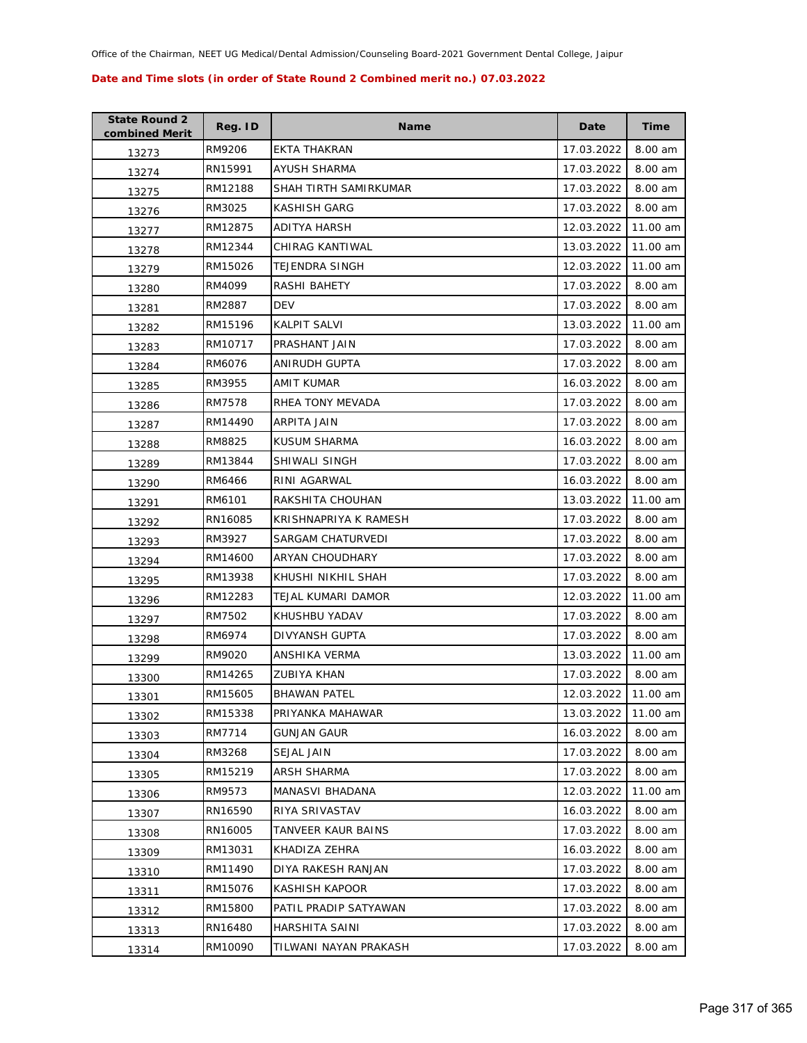| <b>State Round 2</b><br>combined Merit | Reg. ID | <b>Name</b>           | Date       | <b>Time</b> |
|----------------------------------------|---------|-----------------------|------------|-------------|
| 13273                                  | RM9206  | EKTA THAKRAN          | 17.03.2022 | 8.00 am     |
| 13274                                  | RN15991 | AYUSH SHARMA          | 17.03.2022 | 8.00 am     |
| 13275                                  | RM12188 | SHAH TIRTH SAMIRKUMAR | 17.03.2022 | 8.00 am     |
| 13276                                  | RM3025  | KASHISH GARG          | 17.03.2022 | 8.00 am     |
| 13277                                  | RM12875 | ADITYA HARSH          | 12.03.2022 | 11.00 am    |
| 13278                                  | RM12344 | CHIRAG KANTIWAL       | 13.03.2022 | 11.00 am    |
| 13279                                  | RM15026 | TEJENDRA SINGH        | 12.03.2022 | 11.00 am    |
| 13280                                  | RM4099  | RASHI BAHETY          | 17.03.2022 | 8.00 am     |
| 13281                                  | RM2887  | <b>DEV</b>            | 17.03.2022 | 8.00 am     |
| 13282                                  | RM15196 | KALPIT SALVI          | 13.03.2022 | 11.00 am    |
| 13283                                  | RM10717 | PRASHANT JAIN         | 17.03.2022 | 8.00 am     |
| 13284                                  | RM6076  | ANIRUDH GUPTA         | 17.03.2022 | 8.00 am     |
| 13285                                  | RM3955  | AMIT KUMAR            | 16.03.2022 | 8.00 am     |
| 13286                                  | RM7578  | RHEA TONY MEVADA      | 17.03.2022 | 8.00 am     |
| 13287                                  | RM14490 | ARPITA JAIN           | 17.03.2022 | 8.00 am     |
| 13288                                  | RM8825  | KUSUM SHARMA          | 16.03.2022 | 8.00 am     |
| 13289                                  | RM13844 | SHIWALI SINGH         | 17.03.2022 | 8.00 am     |
| 13290                                  | RM6466  | RINI AGARWAL          | 16.03.2022 | 8.00 am     |
| 13291                                  | RM6101  | RAKSHITA CHOUHAN      | 13.03.2022 | 11.00 am    |
| 13292                                  | RN16085 | KRISHNAPRIYA K RAMESH | 17.03.2022 | 8.00 am     |
| 13293                                  | RM3927  | SARGAM CHATURVEDI     | 17.03.2022 | 8.00 am     |
| 13294                                  | RM14600 | ARYAN CHOUDHARY       | 17.03.2022 | 8.00 am     |
| 13295                                  | RM13938 | KHUSHI NIKHIL SHAH    | 17.03.2022 | 8.00 am     |
| 13296                                  | RM12283 | TEJAL KUMARI DAMOR    | 12.03.2022 | 11.00 am    |
| 13297                                  | RM7502  | KHUSHBU YADAV         | 17.03.2022 | 8.00 am     |
| 13298                                  | RM6974  | DIVYANSH GUPTA        | 17.03.2022 | 8.00 am     |
| 13299                                  | RM9020  | ANSHIKA VERMA         | 13.03.2022 | 11.00 am    |
| 13300                                  | RM14265 | ZUBIYA KHAN           | 17.03.2022 | 8.00 am     |
| 13301                                  | RM15605 | <b>BHAWAN PATEL</b>   | 12.03.2022 | 11.00 am    |
| 13302                                  | RM15338 | PRIYANKA MAHAWAR      | 13.03.2022 | 11.00 am    |
| 13303                                  | RM7714  | GUNJAN GAUR           | 16.03.2022 | 8.00 am     |
| 13304                                  | RM3268  | SEJAL JAIN            | 17.03.2022 | 8.00 am     |
| 13305                                  | RM15219 | ARSH SHARMA           | 17.03.2022 | 8.00 am     |
| 13306                                  | RM9573  | MANASVI BHADANA       | 12.03.2022 | 11.00 am    |
| 13307                                  | RN16590 | RIYA SRIVASTAV        | 16.03.2022 | 8.00 am     |
| 13308                                  | RN16005 | TANVEER KAUR BAINS    | 17.03.2022 | 8.00 am     |
| 13309                                  | RM13031 | KHADIZA ZEHRA         | 16.03.2022 | 8.00 am     |
| 13310                                  | RM11490 | DIYA RAKESH RANJAN    | 17.03.2022 | 8.00 am     |
| 13311                                  | RM15076 | KASHISH KAPOOR        | 17.03.2022 | 8.00 am     |
| 13312                                  | RM15800 | PATIL PRADIP SATYAWAN | 17.03.2022 | 8.00 am     |
| 13313                                  | RN16480 | HARSHITA SAINI        | 17.03.2022 | 8.00 am     |
| 13314                                  | RM10090 | TILWANI NAYAN PRAKASH | 17.03.2022 | 8.00 am     |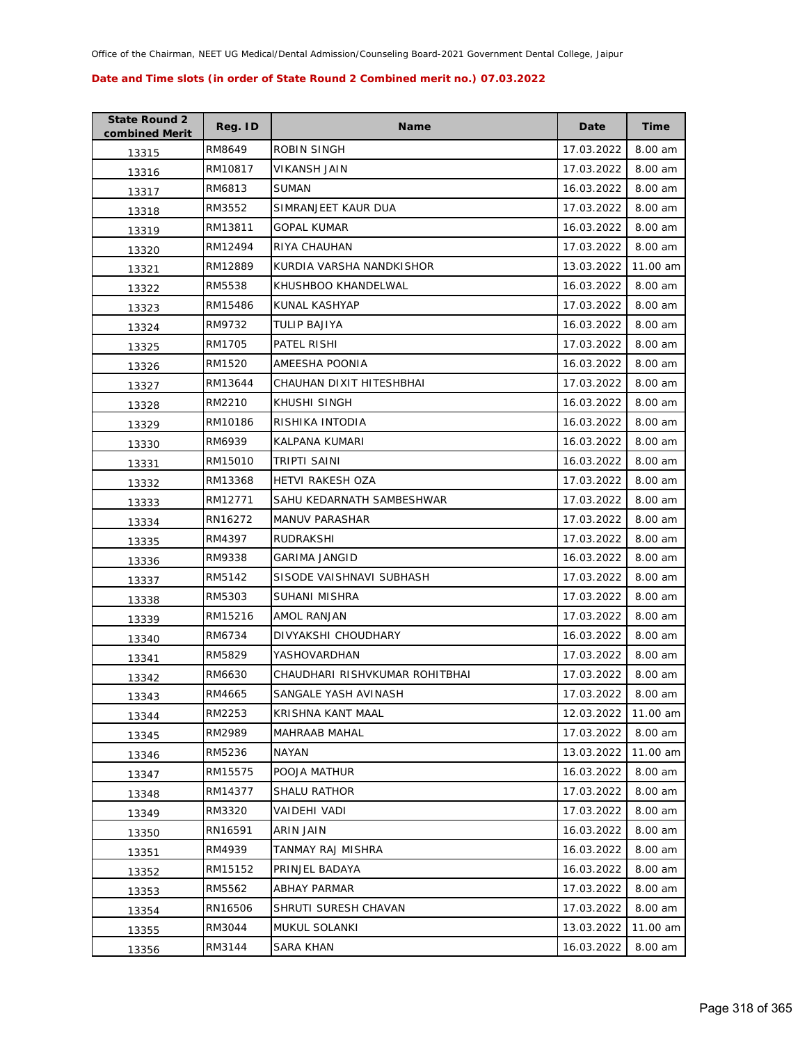| <b>State Round 2</b><br>combined Merit | Reg. ID | <b>Name</b>                    | Date       | <b>Time</b> |
|----------------------------------------|---------|--------------------------------|------------|-------------|
| 13315                                  | RM8649  | ROBIN SINGH                    | 17.03.2022 | 8.00 am     |
| 13316                                  | RM10817 | VIKANSH JAIN                   | 17.03.2022 | 8.00 am     |
| 13317                                  | RM6813  | <b>SUMAN</b>                   | 16.03.2022 | 8.00 am     |
| 13318                                  | RM3552  | SIMRANJEET KAUR DUA            | 17.03.2022 | 8.00 am     |
| 13319                                  | RM13811 | <b>GOPAL KUMAR</b>             | 16.03.2022 | 8.00 am     |
| 13320                                  | RM12494 | RIYA CHAUHAN                   | 17.03.2022 | 8.00 am     |
| 13321                                  | RM12889 | KURDIA VARSHA NANDKISHOR       | 13.03.2022 | 11.00 am    |
| 13322                                  | RM5538  | KHUSHBOO KHANDELWAL            | 16.03.2022 | 8.00 am     |
| 13323                                  | RM15486 | KUNAL KASHYAP                  | 17.03.2022 | 8.00 am     |
| 13324                                  | RM9732  | TULIP BAJIYA                   | 16.03.2022 | 8.00 am     |
| 13325                                  | RM1705  | PATEL RISHI                    | 17.03.2022 | 8.00 am     |
| 13326                                  | RM1520  | AMEESHA POONIA                 | 16.03.2022 | 8.00 am     |
| 13327                                  | RM13644 | CHAUHAN DIXIT HITESHBHAI       | 17.03.2022 | 8.00 am     |
| 13328                                  | RM2210  | KHUSHI SINGH                   | 16.03.2022 | 8.00 am     |
| 13329                                  | RM10186 | RISHIKA INTODIA                | 16.03.2022 | 8.00 am     |
| 13330                                  | RM6939  | KALPANA KUMARI                 | 16.03.2022 | 8.00 am     |
| 13331                                  | RM15010 | TRIPTI SAINI                   | 16.03.2022 | 8.00 am     |
| 13332                                  | RM13368 | <b>HETVI RAKESH OZA</b>        | 17.03.2022 | 8.00 am     |
| 13333                                  | RM12771 | SAHU KEDARNATH SAMBESHWAR      | 17.03.2022 | 8.00 am     |
| 13334                                  | RN16272 | <b>MANUV PARASHAR</b>          | 17.03.2022 | 8.00 am     |
| 13335                                  | RM4397  | RUDRAKSHI                      | 17.03.2022 | 8.00 am     |
| 13336                                  | RM9338  | GARIMA JANGID                  | 16.03.2022 | 8.00 am     |
| 13337                                  | RM5142  | SISODE VAISHNAVI SUBHASH       | 17.03.2022 | 8.00 am     |
| 13338                                  | RM5303  | SUHANI MISHRA                  | 17.03.2022 | 8.00 am     |
| 13339                                  | RM15216 | AMOL RANJAN                    | 17.03.2022 | 8.00 am     |
| 13340                                  | RM6734  | DIVYAKSHI CHOUDHARY            | 16.03.2022 | 8.00 am     |
| 13341                                  | RM5829  | YASHOVARDHAN                   | 17.03.2022 | 8.00 am     |
| 13342                                  | RM6630  | CHAUDHARI RISHVKUMAR ROHITBHAI | 17.03.2022 | 8.00 am     |
| 13343                                  | RM4665  | SANGALE YASH AVINASH           | 17.03.2022 | 8.00 am     |
| 13344                                  | RM2253  | KRISHNA KANT MAAL              | 12.03.2022 | 11.00 am    |
| 13345                                  | RM2989  | <b>MAHRAAB MAHAL</b>           | 17.03.2022 | 8.00 am     |
| 13346                                  | RM5236  | NAYAN                          | 13.03.2022 | 11.00 am    |
| 13347                                  | RM15575 | POOJA MATHUR                   | 16.03.2022 | 8.00 am     |
| 13348                                  | RM14377 | <b>SHALU RATHOR</b>            | 17.03.2022 | 8.00 am     |
| 13349                                  | RM3320  | VAIDEHI VADI                   | 17.03.2022 | 8.00 am     |
| 13350                                  | RN16591 | ARIN JAIN                      | 16.03.2022 | 8.00 am     |
| 13351                                  | RM4939  | TANMAY RAJ MISHRA              | 16.03.2022 | 8.00 am     |
| 13352                                  | RM15152 | PRINJEL BADAYA                 | 16.03.2022 | 8.00 am     |
| 13353                                  | RM5562  | <b>ABHAY PARMAR</b>            | 17.03.2022 | 8.00 am     |
| 13354                                  | RN16506 | SHRUTI SURESH CHAVAN           | 17.03.2022 | 8.00 am     |
| 13355                                  | RM3044  | MUKUL SOLANKI                  | 13.03.2022 | 11.00 am    |
| 13356                                  | RM3144  | SARA KHAN                      | 16.03.2022 | 8.00 am     |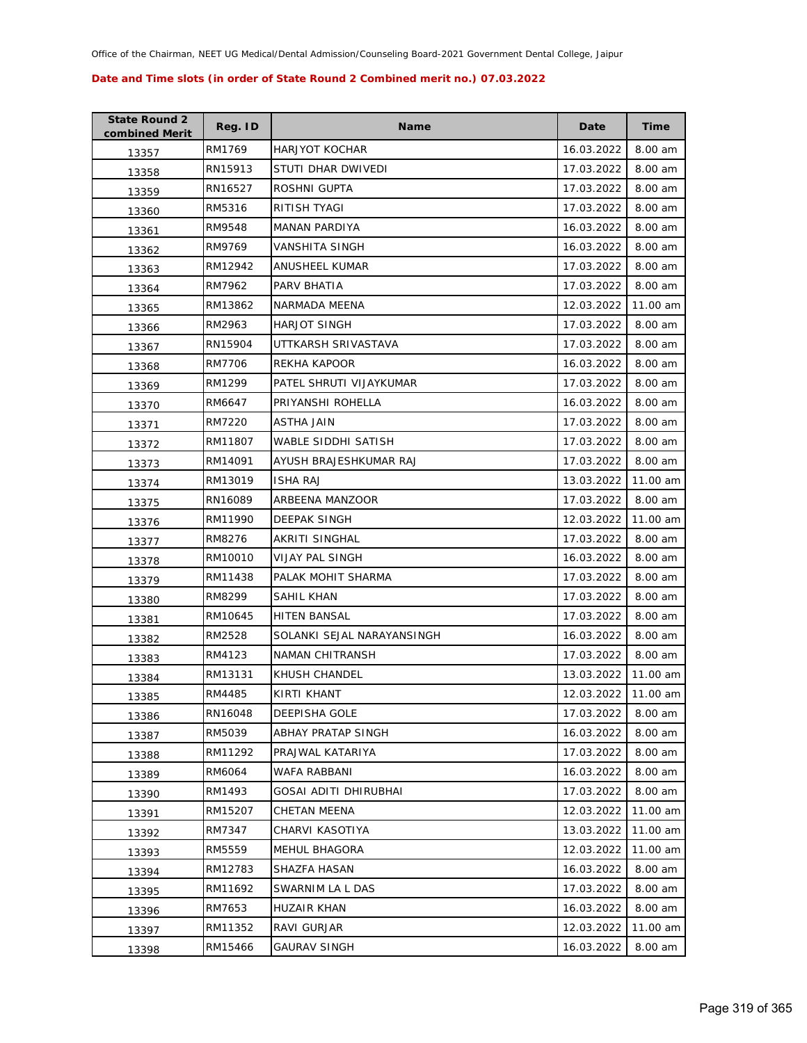| <b>State Round 2</b><br>combined Merit | Reg. ID | <b>Name</b>                | Date       | Time     |
|----------------------------------------|---------|----------------------------|------------|----------|
| 13357                                  | RM1769  | <b>HARJYOT KOCHAR</b>      | 16.03.2022 | 8.00 am  |
| 13358                                  | RN15913 | STUTI DHAR DWIVEDI         | 17.03.2022 | 8.00 am  |
| 13359                                  | RN16527 | ROSHNI GUPTA               | 17.03.2022 | 8.00 am  |
| 13360                                  | RM5316  | RITISH TYAGI               | 17.03.2022 | 8.00 am  |
| 13361                                  | RM9548  | <b>MANAN PARDIYA</b>       | 16.03.2022 | 8.00 am  |
| 13362                                  | RM9769  | VANSHITA SINGH             | 16.03.2022 | 8.00 am  |
| 13363                                  | RM12942 | ANUSHEEL KUMAR             | 17.03.2022 | 8.00 am  |
| 13364                                  | RM7962  | PARV BHATIA                | 17.03.2022 | 8.00 am  |
| 13365                                  | RM13862 | NARMADA MEENA              | 12.03.2022 | 11.00 am |
| 13366                                  | RM2963  | <b>HARJOT SINGH</b>        | 17.03.2022 | 8.00 am  |
| 13367                                  | RN15904 | UTTKARSH SRIVASTAVA        | 17.03.2022 | 8.00 am  |
| 13368                                  | RM7706  | REKHA KAPOOR               | 16.03.2022 | 8.00 am  |
| 13369                                  | RM1299  | PATEL SHRUTI VIJAYKUMAR    | 17.03.2022 | 8.00 am  |
| 13370                                  | RM6647  | PRIYANSHI ROHELLA          | 16.03.2022 | 8.00 am  |
| 13371                                  | RM7220  | ASTHA JAIN                 | 17.03.2022 | 8.00 am  |
| 13372                                  | RM11807 | <b>WABLE SIDDHI SATISH</b> | 17.03.2022 | 8.00 am  |
| 13373                                  | RM14091 | AYUSH BRAJESHKUMAR RAJ     | 17.03.2022 | 8.00 am  |
| 13374                                  | RM13019 | <b>ISHA RAJ</b>            | 13.03.2022 | 11.00 am |
| 13375                                  | RN16089 | ARBEENA MANZOOR            | 17.03.2022 | 8.00 am  |
| 13376                                  | RM11990 | DEEPAK SINGH               | 12.03.2022 | 11.00 am |
| 13377                                  | RM8276  | AKRITI SINGHAL             | 17.03.2022 | 8.00 am  |
| 13378                                  | RM10010 | <b>VIJAY PAL SINGH</b>     | 16.03.2022 | 8.00 am  |
| 13379                                  | RM11438 | PALAK MOHIT SHARMA         | 17.03.2022 | 8.00 am  |
| 13380                                  | RM8299  | SAHIL KHAN                 | 17.03.2022 | 8.00 am  |
| 13381                                  | RM10645 | <b>HITEN BANSAL</b>        | 17.03.2022 | 8.00 am  |
| 13382                                  | RM2528  | SOLANKI SEJAL NARAYANSINGH | 16.03.2022 | 8.00 am  |
| 13383                                  | RM4123  | NAMAN CHITRANSH            | 17.03.2022 | 8.00 am  |
| 13384                                  | RM13131 | KHUSH CHANDEL              | 13.03.2022 | 11.00 am |
| 13385                                  | RM4485  | <b>KIRTI KHANT</b>         | 12.03.2022 | 11.00 am |
| 13386                                  | RN16048 | DEEPISHA GOLE              | 17.03.2022 | 8.00 am  |
| 13387                                  | RM5039  | ABHAY PRATAP SINGH         | 16.03.2022 | 8.00 am  |
| 13388                                  | RM11292 | PRAJWAL KATARIYA           | 17.03.2022 | 8.00 am  |
| 13389                                  | RM6064  | WAFA RABBANI               | 16.03.2022 | 8.00 am  |
| 13390                                  | RM1493  | GOSAI ADITI DHIRUBHAI      | 17.03.2022 | 8.00 am  |
| 13391                                  | RM15207 | CHETAN MEENA               | 12.03.2022 | 11.00 am |
| 13392                                  | RM7347  | CHARVI KASOTIYA            | 13.03.2022 | 11.00 am |
| 13393                                  | RM5559  | MEHUL BHAGORA              | 12.03.2022 | 11.00 am |
| 13394                                  | RM12783 | SHAZFA HASAN               | 16.03.2022 | 8.00 am  |
| 13395                                  | RM11692 | SWARNIM LA L DAS           | 17.03.2022 | 8.00 am  |
| 13396                                  | RM7653  | <b>HUZAIR KHAN</b>         | 16.03.2022 | 8.00 am  |
| 13397                                  | RM11352 | RAVI GURJAR                | 12.03.2022 | 11.00 am |
| 13398                                  | RM15466 | <b>GAURAV SINGH</b>        | 16.03.2022 | 8.00 am  |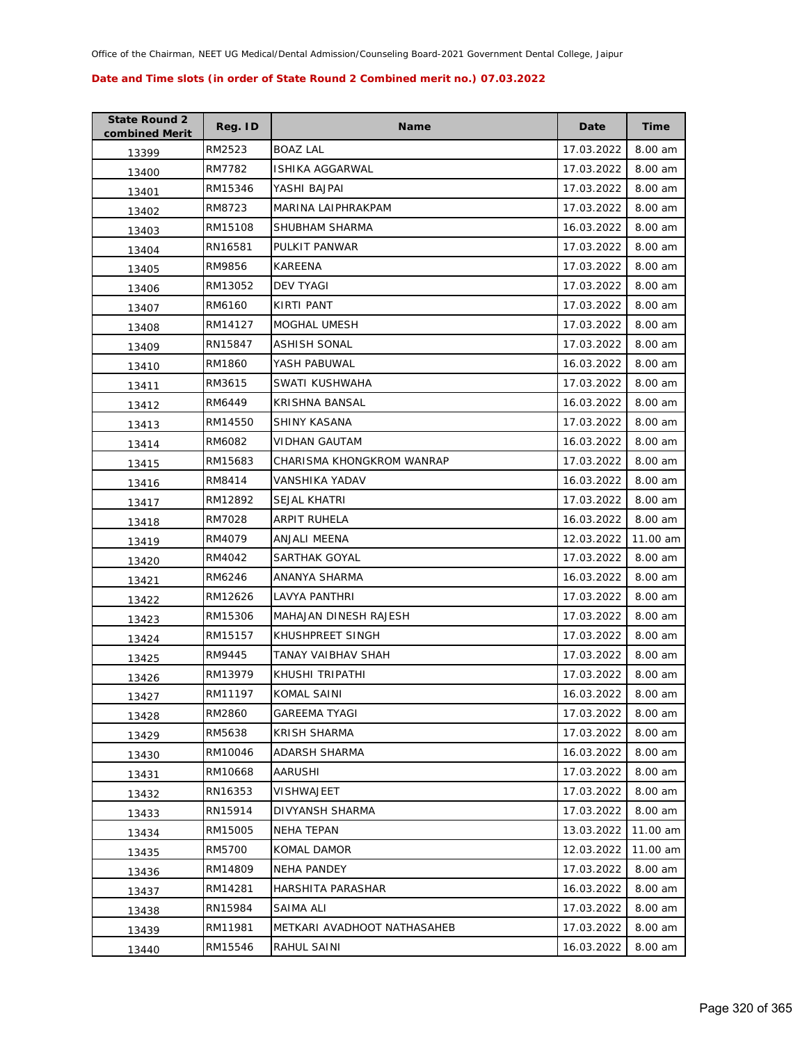| <b>State Round 2</b><br>combined Merit | Reg. ID | <b>Name</b>                 | Date       | Time     |
|----------------------------------------|---------|-----------------------------|------------|----------|
| 13399                                  | RM2523  | <b>BOAZ LAL</b>             | 17.03.2022 | 8.00 am  |
| 13400                                  | RM7782  | ISHIKA AGGARWAL             | 17.03.2022 | 8.00 am  |
| 13401                                  | RM15346 | YASHI BAJPAI                | 17.03.2022 | 8.00 am  |
| 13402                                  | RM8723  | MARINA LAIPHRAKPAM          | 17.03.2022 | 8.00 am  |
| 13403                                  | RM15108 | SHUBHAM SHARMA              | 16.03.2022 | 8.00 am  |
| 13404                                  | RN16581 | PULKIT PANWAR               | 17.03.2022 | 8.00 am  |
| 13405                                  | RM9856  | KAREENA                     | 17.03.2022 | 8.00 am  |
| 13406                                  | RM13052 | <b>DEV TYAGI</b>            | 17.03.2022 | 8.00 am  |
| 13407                                  | RM6160  | KIRTI PANT                  | 17.03.2022 | 8.00 am  |
| 13408                                  | RM14127 | MOGHAL UMESH                | 17.03.2022 | 8.00 am  |
| 13409                                  | RN15847 | ASHISH SONAL                | 17.03.2022 | 8.00 am  |
| 13410                                  | RM1860  | YASH PABUWAL                | 16.03.2022 | 8.00 am  |
| 13411                                  | RM3615  | SWATI KUSHWAHA              | 17.03.2022 | 8.00 am  |
| 13412                                  | RM6449  | KRISHNA BANSAL              | 16.03.2022 | 8.00 am  |
| 13413                                  | RM14550 | SHINY KASANA                | 17.03.2022 | 8.00 am  |
| 13414                                  | RM6082  | <b>VIDHAN GAUTAM</b>        | 16.03.2022 | 8.00 am  |
| 13415                                  | RM15683 | CHARISMA KHONGKROM WANRAP   | 17.03.2022 | 8.00 am  |
| 13416                                  | RM8414  | <b>VANSHIKA YADAV</b>       | 16.03.2022 | 8.00 am  |
| 13417                                  | RM12892 | <b>SEJAL KHATRI</b>         | 17.03.2022 | 8.00 am  |
| 13418                                  | RM7028  | ARPIT RUHELA                | 16.03.2022 | 8.00 am  |
| 13419                                  | RM4079  | ANJALI MEENA                | 12.03.2022 | 11.00 am |
| 13420                                  | RM4042  | SARTHAK GOYAL               | 17.03.2022 | 8.00 am  |
| 13421                                  | RM6246  | ANANYA SHARMA               | 16.03.2022 | 8.00 am  |
| 13422                                  | RM12626 | LAVYA PANTHRI               | 17.03.2022 | 8.00 am  |
| 13423                                  | RM15306 | MAHAJAN DINESH RAJESH       | 17.03.2022 | 8.00 am  |
| 13424                                  | RM15157 | KHUSHPREET SINGH            | 17.03.2022 | 8.00 am  |
| 13425                                  | RM9445  | TANAY VAIBHAV SHAH          | 17.03.2022 | 8.00 am  |
| 13426                                  | RM13979 | KHUSHI TRIPATHI             | 17.03.2022 | 8.00 am  |
| 13427                                  | RM11197 | KOMAL SAINI                 | 16.03.2022 | 8.00 am  |
| 13428                                  | RM2860  | <b>GAREEMA TYAGI</b>        | 17.03.2022 | 8.00 am  |
| 13429                                  | RM5638  | <b>KRISH SHARMA</b>         | 17.03.2022 | 8.00 am  |
| 13430                                  | RM10046 | ADARSH SHARMA               | 16.03.2022 | 8.00 am  |
| 13431                                  | RM10668 | AARUSHI                     | 17.03.2022 | 8.00 am  |
| 13432                                  | RN16353 | VISHWAJEET                  | 17.03.2022 | 8.00 am  |
| 13433                                  | RN15914 | DIVYANSH SHARMA             | 17.03.2022 | 8.00 am  |
| 13434                                  | RM15005 | NEHA TEPAN                  | 13.03.2022 | 11.00 am |
| 13435                                  | RM5700  | KOMAL DAMOR                 | 12.03.2022 | 11.00 am |
| 13436                                  | RM14809 | <b>NEHA PANDEY</b>          | 17.03.2022 | 8.00 am  |
| 13437                                  | RM14281 | HARSHITA PARASHAR           | 16.03.2022 | 8.00 am  |
| 13438                                  | RN15984 | SAIMA ALI                   | 17.03.2022 | 8.00 am  |
| 13439                                  | RM11981 | METKARI AVADHOOT NATHASAHEB | 17.03.2022 | 8.00 am  |
| 13440                                  | RM15546 | RAHUL SAINI                 | 16.03.2022 | 8.00 am  |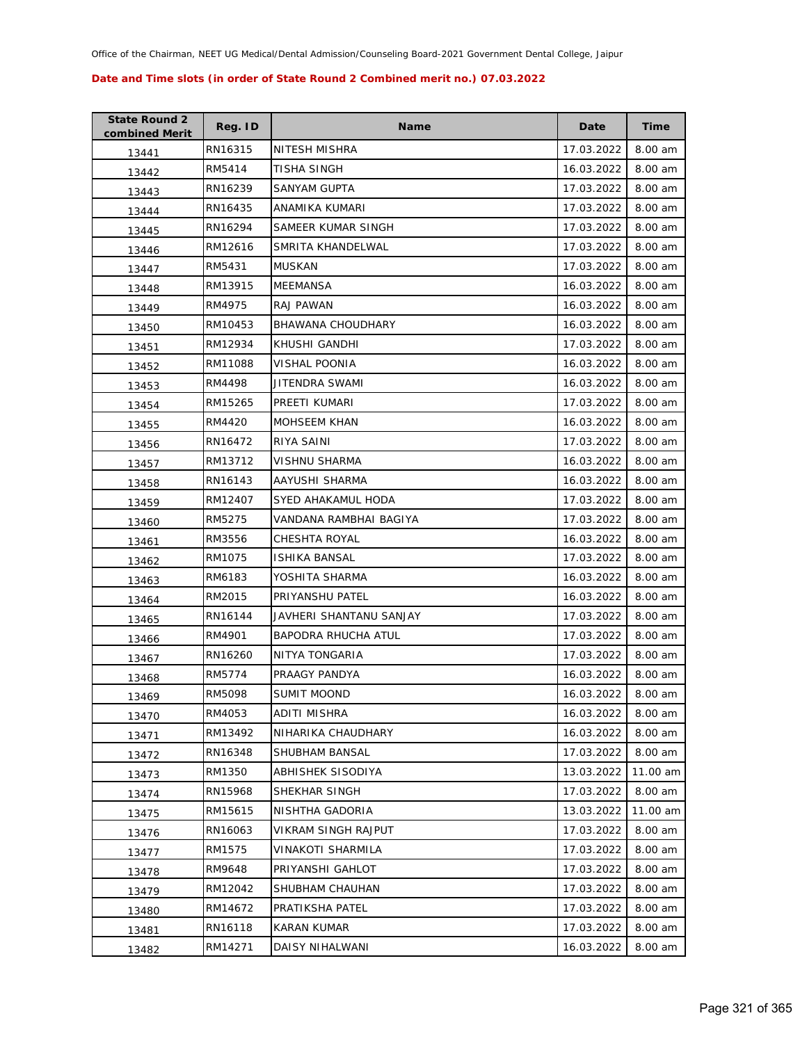| <b>State Round 2</b><br>combined Merit | Reg. ID | Name                       | Date       | Time     |
|----------------------------------------|---------|----------------------------|------------|----------|
| 13441                                  | RN16315 | NITESH MISHRA              | 17.03.2022 | 8.00 am  |
| 13442                                  | RM5414  | TISHA SINGH                | 16.03.2022 | 8.00 am  |
| 13443                                  | RN16239 | SANYAM GUPTA               | 17.03.2022 | 8.00 am  |
| 13444                                  | RN16435 | ANAMIKA KUMARI             | 17.03.2022 | 8.00 am  |
| 13445                                  | RN16294 | SAMEER KUMAR SINGH         | 17.03.2022 | 8.00 am  |
| 13446                                  | RM12616 | SMRITA KHANDELWAL          | 17.03.2022 | 8.00 am  |
| 13447                                  | RM5431  | <b>MUSKAN</b>              | 17.03.2022 | 8.00 am  |
| 13448                                  | RM13915 | MEEMANSA                   | 16.03.2022 | 8.00 am  |
| 13449                                  | RM4975  | RAJ PAWAN                  | 16.03.2022 | 8.00 am  |
| 13450                                  | RM10453 | BHAWANA CHOUDHARY          | 16.03.2022 | 8.00 am  |
| 13451                                  | RM12934 | KHUSHI GANDHI              | 17.03.2022 | 8.00 am  |
| 13452                                  | RM11088 | VISHAL POONIA              | 16.03.2022 | 8.00 am  |
| 13453                                  | RM4498  | JITENDRA SWAMI             | 16.03.2022 | 8.00 am  |
| 13454                                  | RM15265 | PREETI KUMARI              | 17.03.2022 | 8.00 am  |
| 13455                                  | RM4420  | <b>MOHSEEM KHAN</b>        | 16.03.2022 | 8.00 am  |
| 13456                                  | RN16472 | RIYA SAINI                 | 17.03.2022 | 8.00 am  |
| 13457                                  | RM13712 | <b>VISHNU SHARMA</b>       | 16.03.2022 | 8.00 am  |
| 13458                                  | RN16143 | AAYUSHI SHARMA             | 16.03.2022 | 8.00 am  |
| 13459                                  | RM12407 | SYED AHAKAMUL HODA         | 17.03.2022 | 8.00 am  |
| 13460                                  | RM5275  | VANDANA RAMBHAI BAGIYA     | 17.03.2022 | 8.00 am  |
| 13461                                  | RM3556  | CHESHTA ROYAL              | 16.03.2022 | 8.00 am  |
| 13462                                  | RM1075  | ISHIKA BANSAL              | 17.03.2022 | 8.00 am  |
| 13463                                  | RM6183  | YOSHITA SHARMA             | 16.03.2022 | 8.00 am  |
| 13464                                  | RM2015  | PRIYANSHU PATEL            | 16.03.2022 | 8.00 am  |
| 13465                                  | RN16144 | JAVHERI SHANTANU SANJAY    | 17.03.2022 | 8.00 am  |
| 13466                                  | RM4901  | BAPODRA RHUCHA ATUL        | 17.03.2022 | 8.00 am  |
| 13467                                  | RN16260 | NITYA TONGARIA             | 17.03.2022 | 8.00 am  |
| 13468                                  | RM5774  | PRAAGY PANDYA              | 16.03.2022 | 8.00 am  |
| 13469                                  | RM5098  | <b>SUMIT MOOND</b>         | 16.03.2022 | 8.00 am  |
| 13470                                  | RM4053  | ADITI MISHRA               | 16.03.2022 | 8.00 am  |
| 13471                                  | RM13492 | NIHARIKA CHAUDHARY         | 16.03.2022 | 8.00 am  |
| 13472                                  | RN16348 | SHUBHAM BANSAL             | 17.03.2022 | 8.00 am  |
| 13473                                  | RM1350  | ABHISHEK SISODIYA          | 13.03.2022 | 11.00 am |
| 13474                                  | RN15968 | SHEKHAR SINGH              | 17.03.2022 | 8.00 am  |
| 13475                                  | RM15615 | NISHTHA GADORIA            | 13.03.2022 | 11.00 am |
| 13476                                  | RN16063 | <b>VIKRAM SINGH RAJPUT</b> | 17.03.2022 | 8.00 am  |
| 13477                                  | RM1575  | <b>VINAKOTI SHARMILA</b>   | 17.03.2022 | 8.00 am  |
| 13478                                  | RM9648  | PRIYANSHI GAHLOT           | 17.03.2022 | 8.00 am  |
| 13479                                  | RM12042 | SHUBHAM CHAUHAN            | 17.03.2022 | 8.00 am  |
| 13480                                  | RM14672 | PRATIKSHA PATEL            | 17.03.2022 | 8.00 am  |
| 13481                                  | RN16118 | KARAN KUMAR                | 17.03.2022 | 8.00 am  |
| 13482                                  | RM14271 | DAISY NIHALWANI            | 16.03.2022 | 8.00 am  |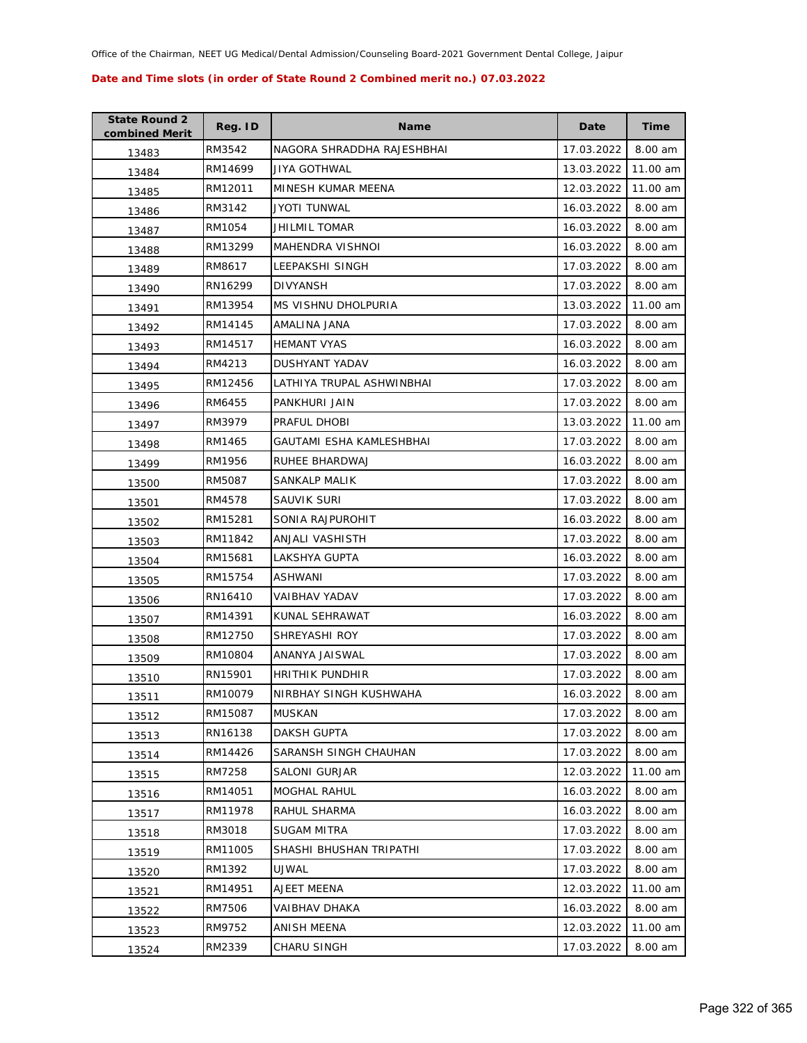| <b>State Round 2</b><br>combined Merit | Reg. ID | <b>Name</b>                | Date       | <b>Time</b> |
|----------------------------------------|---------|----------------------------|------------|-------------|
| 13483                                  | RM3542  | NAGORA SHRADDHA RAJESHBHAI | 17.03.2022 | 8.00 am     |
| 13484                                  | RM14699 | JIYA GOTHWAL               | 13.03.2022 | 11.00 am    |
| 13485                                  | RM12011 | MINESH KUMAR MEENA         | 12.03.2022 | 11.00 am    |
| 13486                                  | RM3142  | <b>JYOTI TUNWAL</b>        | 16.03.2022 | 8.00 am     |
| 13487                                  | RM1054  | JHILMIL TOMAR              | 16.03.2022 | 8.00 am     |
| 13488                                  | RM13299 | <b>MAHENDRA VISHNOI</b>    | 16.03.2022 | 8.00 am     |
| 13489                                  | RM8617  | LEEPAKSHI SINGH            | 17.03.2022 | 8.00 am     |
| 13490                                  | RN16299 | <b>DIVYANSH</b>            | 17.03.2022 | 8.00 am     |
| 13491                                  | RM13954 | MS VISHNU DHOLPURIA        | 13.03.2022 | 11.00 am    |
| 13492                                  | RM14145 | AMALINA JANA               | 17.03.2022 | 8.00 am     |
| 13493                                  | RM14517 | <b>HEMANT VYAS</b>         | 16.03.2022 | 8.00 am     |
| 13494                                  | RM4213  | DUSHYANT YADAV             | 16.03.2022 | 8.00 am     |
| 13495                                  | RM12456 | LATHIYA TRUPAL ASHWINBHAI  | 17.03.2022 | 8.00 am     |
| 13496                                  | RM6455  | PANKHURI JAIN              | 17.03.2022 | 8.00 am     |
| 13497                                  | RM3979  | PRAFUL DHOBI               | 13.03.2022 | 11.00 am    |
| 13498                                  | RM1465  | GAUTAMI ESHA KAMLESHBHAI   | 17.03.2022 | 8.00 am     |
| 13499                                  | RM1956  | RUHEE BHARDWAJ             | 16.03.2022 | 8.00 am     |
| 13500                                  | RM5087  | SANKALP MALIK              | 17.03.2022 | 8.00 am     |
| 13501                                  | RM4578  | SAUVIK SURI                | 17.03.2022 | 8.00 am     |
| 13502                                  | RM15281 | SONIA RAJPUROHIT           | 16.03.2022 | 8.00 am     |
| 13503                                  | RM11842 | ANJALI VASHISTH            | 17.03.2022 | 8.00 am     |
| 13504                                  | RM15681 | LAKSHYA GUPTA              | 16.03.2022 | 8.00 am     |
| 13505                                  | RM15754 | ASHWANI                    | 17.03.2022 | 8.00 am     |
| 13506                                  | RN16410 | VAIBHAV YADAV              | 17.03.2022 | 8.00 am     |
| 13507                                  | RM14391 | KUNAL SEHRAWAT             | 16.03.2022 | 8.00 am     |
| 13508                                  | RM12750 | SHREYASHI ROY              | 17.03.2022 | 8.00 am     |
| 13509                                  | RM10804 | ANANYA JAISWAL             | 17.03.2022 | 8.00 am     |
| 13510                                  | RN15901 | <b>HRITHIK PUNDHIR</b>     | 17.03.2022 | 8.00 am     |
| 13511                                  | RM10079 | NIRBHAY SINGH KUSHWAHA     | 16.03.2022 | 8.00 am     |
| 13512                                  | RM15087 | MUSKAN                     | 17.03.2022 | 8.00 am     |
| 13513                                  | RN16138 | <b>DAKSH GUPTA</b>         | 17.03.2022 | 8.00 am     |
| 13514                                  | RM14426 | SARANSH SINGH CHAUHAN      | 17.03.2022 | 8.00 am     |
| 13515                                  | RM7258  | <b>SALONI GURJAR</b>       | 12.03.2022 | 11.00 am    |
| 13516                                  | RM14051 | MOGHAL RAHUL               | 16.03.2022 | 8.00 am     |
| 13517                                  | RM11978 | RAHUL SHARMA               | 16.03.2022 | 8.00 am     |
| 13518                                  | RM3018  | SUGAM MITRA                | 17.03.2022 | 8.00 am     |
| 13519                                  | RM11005 | SHASHI BHUSHAN TRIPATHI    | 17.03.2022 | 8.00 am     |
| 13520                                  | RM1392  | UJWAL                      | 17.03.2022 | 8.00 am     |
| 13521                                  | RM14951 | AJEET MEENA                | 12.03.2022 | 11.00 am    |
| 13522                                  | RM7506  | VAIBHAV DHAKA              | 16.03.2022 | 8.00 am     |
| 13523                                  | RM9752  | ANISH MEENA                | 12.03.2022 | 11.00 am    |
| 13524                                  | RM2339  | CHARU SINGH                | 17.03.2022 | 8.00 am     |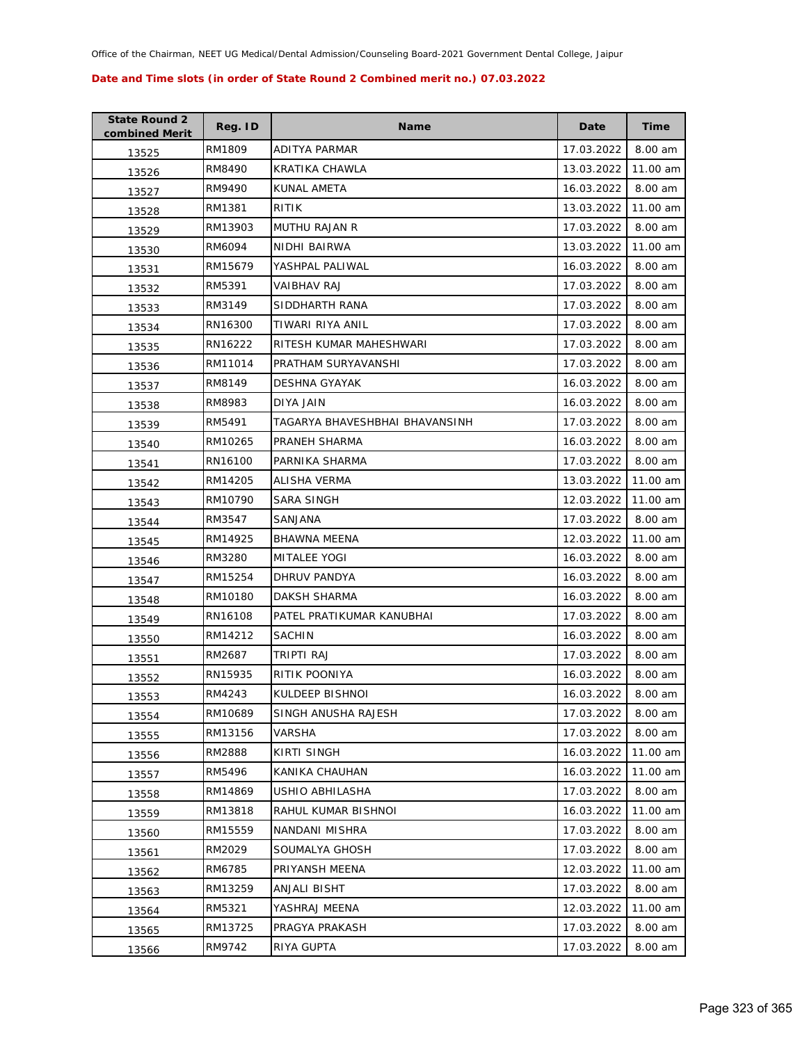| <b>State Round 2</b><br>combined Merit | Reg. ID | <b>Name</b>                    | Date       | <b>Time</b> |
|----------------------------------------|---------|--------------------------------|------------|-------------|
| 13525                                  | RM1809  | ADITYA PARMAR                  | 17.03.2022 | 8.00 am     |
| 13526                                  | RM8490  | KRATIKA CHAWLA                 | 13.03.2022 | 11.00 am    |
| 13527                                  | RM9490  | <b>KUNAL AMETA</b>             | 16.03.2022 | 8.00 am     |
| 13528                                  | RM1381  | RITIK                          | 13.03.2022 | 11.00 am    |
| 13529                                  | RM13903 | MUTHU RAJAN R                  | 17.03.2022 | 8.00 am     |
| 13530                                  | RM6094  | NIDHI BAIRWA                   | 13.03.2022 | 11.00 am    |
| 13531                                  | RM15679 | YASHPAL PALIWAL                | 16.03.2022 | 8.00 am     |
| 13532                                  | RM5391  | <b>VAIBHAV RAJ</b>             | 17.03.2022 | 8.00 am     |
| 13533                                  | RM3149  | SIDDHARTH RANA                 | 17.03.2022 | 8.00 am     |
| 13534                                  | RN16300 | TIWARI RIYA ANIL               | 17.03.2022 | 8.00 am     |
| 13535                                  | RN16222 | RITESH KUMAR MAHESHWARI        | 17.03.2022 | 8.00 am     |
| 13536                                  | RM11014 | PRATHAM SURYAVANSHI            | 17.03.2022 | 8.00 am     |
| 13537                                  | RM8149  | <b>DESHNA GYAYAK</b>           | 16.03.2022 | 8.00 am     |
| 13538                                  | RM8983  | DIYA JAIN                      | 16.03.2022 | 8.00 am     |
| 13539                                  | RM5491  | TAGARYA BHAVESHBHAI BHAVANSINH | 17.03.2022 | 8.00 am     |
| 13540                                  | RM10265 | PRANEH SHARMA                  | 16.03.2022 | 8.00 am     |
| 13541                                  | RN16100 | PARNIKA SHARMA                 | 17.03.2022 | 8.00 am     |
| 13542                                  | RM14205 | ALISHA VERMA                   | 13.03.2022 | 11.00 am    |
| 13543                                  | RM10790 | SARA SINGH                     | 12.03.2022 | 11.00 am    |
| 13544                                  | RM3547  | SANJANA                        | 17.03.2022 | 8.00 am     |
| 13545                                  | RM14925 | BHAWNA MEENA                   | 12.03.2022 | 11.00 am    |
| 13546                                  | RM3280  | <b>MITALEE YOGI</b>            | 16.03.2022 | 8.00 am     |
| 13547                                  | RM15254 | DHRUV PANDYA                   | 16.03.2022 | 8.00 am     |
| 13548                                  | RM10180 | DAKSH SHARMA                   | 16.03.2022 | 8.00 am     |
| 13549                                  | RN16108 | PATEL PRATIKUMAR KANUBHAI      | 17.03.2022 | 8.00 am     |
| 13550                                  | RM14212 | <b>SACHIN</b>                  | 16.03.2022 | 8.00 am     |
| 13551                                  | RM2687  | TRIPTI RAJ                     | 17.03.2022 | 8.00 am     |
| 13552                                  | RN15935 | RITIK POONIYA                  | 16.03.2022 | 8.00 am     |
| 13553                                  | RM4243  | KULDEEP BISHNOI                | 16.03.2022 | 8.00 am     |
| 13554                                  | RM10689 | SINGH ANUSHA RAJESH            | 17.03.2022 | 8.00 am     |
| 13555                                  | RM13156 | VARSHA                         | 17.03.2022 | 8.00 am     |
| 13556                                  | RM2888  | KIRTI SINGH                    | 16.03.2022 | 11.00 am    |
| 13557                                  | RM5496  | KANIKA CHAUHAN                 | 16.03.2022 | 11.00 am    |
| 13558                                  | RM14869 | USHIO ABHILASHA                | 17.03.2022 | 8.00 am     |
| 13559                                  | RM13818 | RAHUL KUMAR BISHNOI            | 16.03.2022 | 11.00 am    |
| 13560                                  | RM15559 | NANDANI MISHRA                 | 17.03.2022 | 8.00 am     |
| 13561                                  | RM2029  | SOUMALYA GHOSH                 | 17.03.2022 | 8.00 am     |
| 13562                                  | RM6785  | PRIYANSH MEENA                 | 12.03.2022 | 11.00 am    |
| 13563                                  | RM13259 | ANJALI BISHT                   | 17.03.2022 | 8.00 am     |
| 13564                                  | RM5321  | YASHRAJ MEENA                  | 12.03.2022 | 11.00 am    |
| 13565                                  | RM13725 | PRAGYA PRAKASH                 | 17.03.2022 | 8.00 am     |
| 13566                                  | RM9742  | RIYA GUPTA                     | 17.03.2022 | 8.00 am     |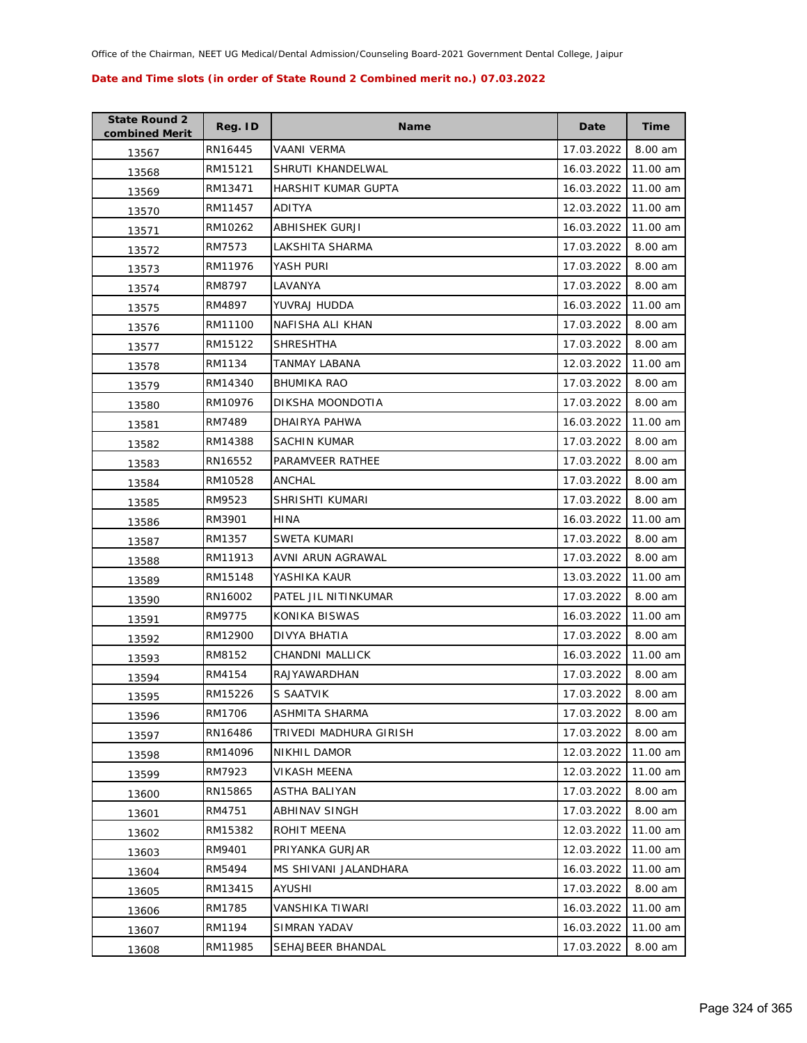| <b>State Round 2</b><br>combined Merit | Reg. ID | <b>Name</b>            | Date       | <b>Time</b> |
|----------------------------------------|---------|------------------------|------------|-------------|
| 13567                                  | RN16445 | VAANI VERMA            | 17.03.2022 | 8.00 am     |
| 13568                                  | RM15121 | SHRUTI KHANDELWAL      | 16.03.2022 | 11.00 am    |
| 13569                                  | RM13471 | HARSHIT KUMAR GUPTA    | 16.03.2022 | 11.00 am    |
| 13570                                  | RM11457 | <b>ADITYA</b>          | 12.03.2022 | 11.00 am    |
| 13571                                  | RM10262 | ABHISHEK GURJI         | 16.03.2022 | 11.00 am    |
| 13572                                  | RM7573  | LAKSHITA SHARMA        | 17.03.2022 | 8.00 am     |
| 13573                                  | RM11976 | YASH PURI              | 17.03.2022 | 8.00 am     |
| 13574                                  | RM8797  | LAVANYA                | 17.03.2022 | 8.00 am     |
| 13575                                  | RM4897  | YUVRAJ HUDDA           | 16.03.2022 | 11.00 am    |
| 13576                                  | RM11100 | NAFISHA ALI KHAN       | 17.03.2022 | 8.00 am     |
| 13577                                  | RM15122 | SHRESHTHA              | 17.03.2022 | 8.00 am     |
| 13578                                  | RM1134  | TANMAY LABANA          | 12.03.2022 | 11.00 am    |
| 13579                                  | RM14340 | <b>BHUMIKA RAO</b>     | 17.03.2022 | 8.00 am     |
| 13580                                  | RM10976 | DIKSHA MOONDOTIA       | 17.03.2022 | 8.00 am     |
| 13581                                  | RM7489  | DHAIRYA PAHWA          | 16.03.2022 | 11.00 am    |
| 13582                                  | RM14388 | SACHIN KUMAR           | 17.03.2022 | 8.00 am     |
| 13583                                  | RN16552 | PARAMVEER RATHEE       | 17.03.2022 | 8.00 am     |
| 13584                                  | RM10528 | ANCHAL                 | 17.03.2022 | 8.00 am     |
| 13585                                  | RM9523  | SHRISHTI KUMARI        | 17.03.2022 | 8.00 am     |
| 13586                                  | RM3901  | HINA                   | 16.03.2022 | 11.00 am    |
| 13587                                  | RM1357  | SWETA KUMARI           | 17.03.2022 | 8.00 am     |
| 13588                                  | RM11913 | AVNI ARUN AGRAWAL      | 17.03.2022 | 8.00 am     |
| 13589                                  | RM15148 | YASHIKA KAUR           | 13.03.2022 | 11.00 am    |
| 13590                                  | RN16002 | PATEL JIL NITINKUMAR   | 17.03.2022 | 8.00 am     |
| 13591                                  | RM9775  | KONIKA BISWAS          | 16.03.2022 | 11.00 am    |
| 13592                                  | RM12900 | DIVYA BHATIA           | 17.03.2022 | 8.00 am     |
| 13593                                  | RM8152  | CHANDNI MALLICK        | 16.03.2022 | 11.00 am    |
| 13594                                  | RM4154  | RAJYAWARDHAN           | 17.03.2022 | 8.00 am     |
| 13595                                  | RM15226 | <b>S SAATVIK</b>       | 17.03.2022 | 8.00 am     |
| 13596                                  | RM1706  | ASHMITA SHARMA         | 17.03.2022 | 8.00 am     |
| 13597                                  | RN16486 | TRIVEDI MADHURA GIRISH | 17.03.2022 | 8.00 am     |
| 13598                                  | RM14096 | <b>NIKHIL DAMOR</b>    | 12.03.2022 | 11.00 am    |
| 13599                                  | RM7923  | VIKASH MEENA           | 12.03.2022 | 11.00 am    |
| 13600                                  | RN15865 | ASTHA BALIYAN          | 17.03.2022 | 8.00 am     |
| 13601                                  | RM4751  | ABHINAV SINGH          | 17.03.2022 | 8.00 am     |
| 13602                                  | RM15382 | ROHIT MEENA            | 12.03.2022 | 11.00 am    |
| 13603                                  | RM9401  | PRIYANKA GURJAR        | 12.03.2022 | 11.00 am    |
| 13604                                  | RM5494  | MS SHIVANI JALANDHARA  | 16.03.2022 | 11.00 am    |
| 13605                                  | RM13415 | AYUSHI                 | 17.03.2022 | 8.00 am     |
| 13606                                  | RM1785  | VANSHIKA TIWARI        | 16.03.2022 | 11.00 am    |
| 13607                                  | RM1194  | <b>SIMRAN YADAV</b>    | 16.03.2022 | 11.00 am    |
| 13608                                  | RM11985 | SEHAJBEER BHANDAL      | 17.03.2022 | 8.00 am     |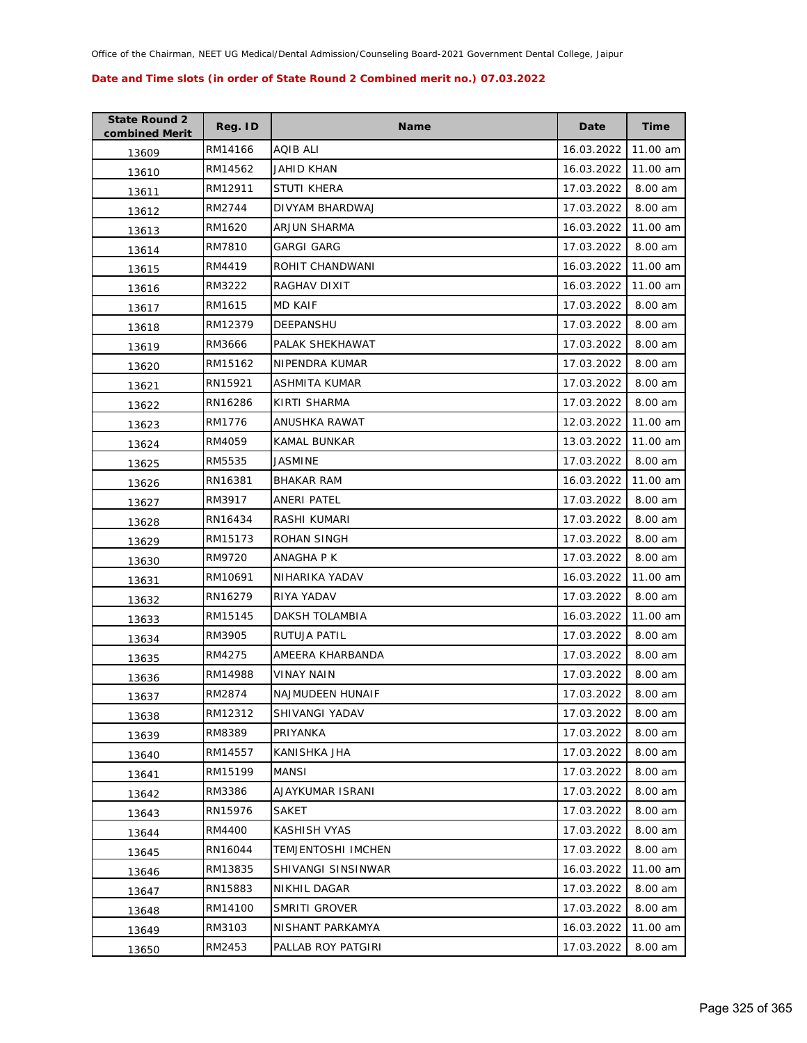| <b>State Round 2</b><br>combined Merit | Reg. ID | <b>Name</b>               | Date       | Time     |
|----------------------------------------|---------|---------------------------|------------|----------|
| 13609                                  | RM14166 | AQIB ALI                  | 16.03.2022 | 11.00 am |
| 13610                                  | RM14562 | JAHID KHAN                | 16.03.2022 | 11.00 am |
| 13611                                  | RM12911 | STUTI KHERA               | 17.03.2022 | 8.00 am  |
| 13612                                  | RM2744  | DIVYAM BHARDWAJ           | 17.03.2022 | 8.00 am  |
| 13613                                  | RM1620  | <b>ARJUN SHARMA</b>       | 16.03.2022 | 11.00 am |
| 13614                                  | RM7810  | <b>GARGI GARG</b>         | 17.03.2022 | 8.00 am  |
| 13615                                  | RM4419  | ROHIT CHANDWANI           | 16.03.2022 | 11.00 am |
| 13616                                  | RM3222  | RAGHAV DIXIT              | 16.03.2022 | 11.00 am |
| 13617                                  | RM1615  | <b>MD KAIF</b>            | 17.03.2022 | 8.00 am  |
| 13618                                  | RM12379 | DEEPANSHU                 | 17.03.2022 | 8.00 am  |
| 13619                                  | RM3666  | PALAK SHEKHAWAT           | 17.03.2022 | 8.00 am  |
| 13620                                  | RM15162 | NIPENDRA KUMAR            | 17.03.2022 | 8.00 am  |
| 13621                                  | RN15921 | ASHMITA KUMAR             | 17.03.2022 | 8.00 am  |
| 13622                                  | RN16286 | KIRTI SHARMA              | 17.03.2022 | 8.00 am  |
| 13623                                  | RM1776  | ANUSHKA RAWAT             | 12.03.2022 | 11.00 am |
| 13624                                  | RM4059  | <b>KAMAL BUNKAR</b>       | 13.03.2022 | 11.00 am |
| 13625                                  | RM5535  | JASMINE                   | 17.03.2022 | 8.00 am  |
| 13626                                  | RN16381 | <b>BHAKAR RAM</b>         | 16.03.2022 | 11.00 am |
| 13627                                  | RM3917  | ANERI PATEL               | 17.03.2022 | 8.00 am  |
| 13628                                  | RN16434 | RASHI KUMARI              | 17.03.2022 | 8.00 am  |
| 13629                                  | RM15173 | ROHAN SINGH               | 17.03.2022 | 8.00 am  |
| 13630                                  | RM9720  | ANAGHA P K                | 17.03.2022 | 8.00 am  |
| 13631                                  | RM10691 | NIHARIKA YADAV            | 16.03.2022 | 11.00 am |
| 13632                                  | RN16279 | RIYA YADAV                | 17.03.2022 | 8.00 am  |
| 13633                                  | RM15145 | DAKSH TOLAMBIA            | 16.03.2022 | 11.00 am |
| 13634                                  | RM3905  | RUTUJA PATIL              | 17.03.2022 | 8.00 am  |
| 13635                                  | RM4275  | AMEERA KHARBANDA          | 17.03.2022 | 8.00 am  |
| 13636                                  | RM14988 | VINAY NAIN                | 17.03.2022 | 8.00 am  |
| 13637                                  | RM2874  | NAJMUDEEN HUNAIF          | 17.03.2022 | 8.00 am  |
| 13638                                  | RM12312 | SHIVANGI YADAV            | 17.03.2022 | 8.00 am  |
| 13639                                  | RM8389  | PRIYANKA                  | 17.03.2022 | 8.00 am  |
| 13640                                  | RM14557 | KANISHKA JHA              | 17.03.2022 | 8.00 am  |
| 13641                                  | RM15199 | MANSI                     | 17.03.2022 | 8.00 am  |
| 13642                                  | RM3386  | AJAYKUMAR ISRANI          | 17.03.2022 | 8.00 am  |
| 13643                                  | RN15976 | <b>SAKET</b>              | 17.03.2022 | 8.00 am  |
| 13644                                  | RM4400  | KASHISH VYAS              | 17.03.2022 | 8.00 am  |
| 13645                                  | RN16044 | <b>TEMJENTOSHI IMCHEN</b> | 17.03.2022 | 8.00 am  |
| 13646                                  | RM13835 | <b>SHIVANGI SINSINWAR</b> | 16.03.2022 | 11.00 am |
| 13647                                  | RN15883 | NIKHIL DAGAR              | 17.03.2022 | 8.00 am  |
| 13648                                  | RM14100 | SMRITI GROVER             | 17.03.2022 | 8.00 am  |
| 13649                                  | RM3103  | NISHANT PARKAMYA          | 16.03.2022 | 11.00 am |
| 13650                                  | RM2453  | PALLAB ROY PATGIRI        | 17.03.2022 | 8.00 am  |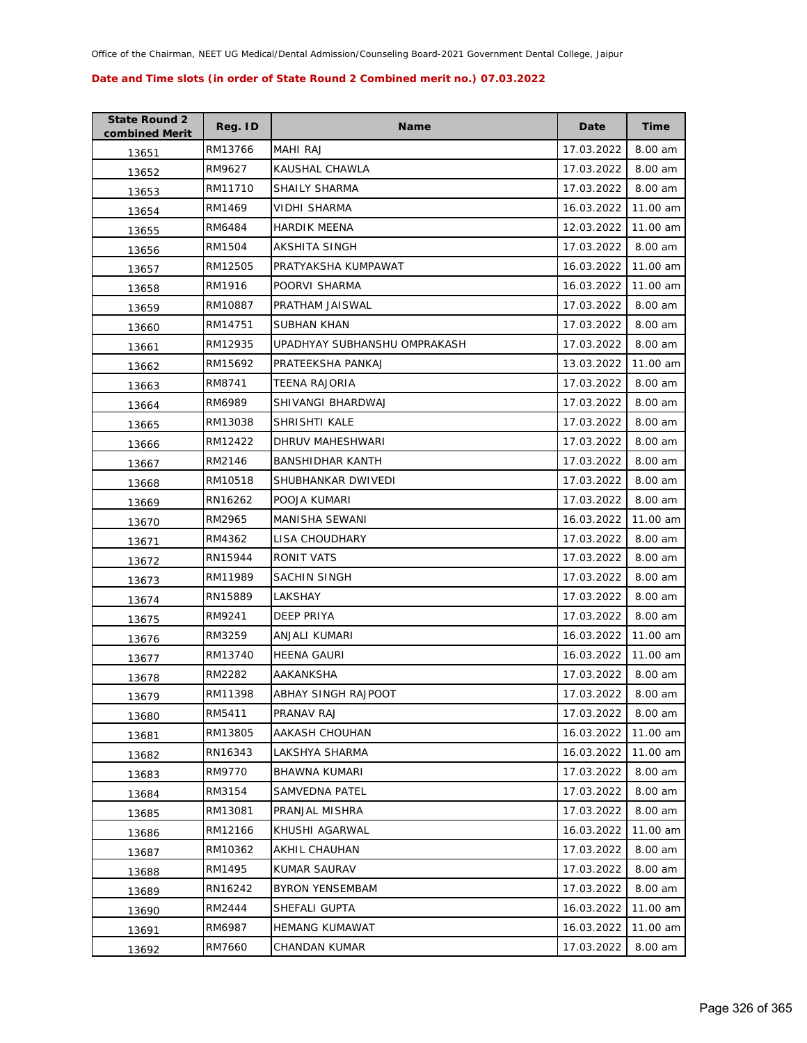| <b>State Round 2</b><br>combined Merit | Reg. ID | <b>Name</b>                  | Date       | Time     |
|----------------------------------------|---------|------------------------------|------------|----------|
| 13651                                  | RM13766 | <b>MAHI RAJ</b>              | 17.03.2022 | 8.00 am  |
| 13652                                  | RM9627  | KAUSHAL CHAWLA               | 17.03.2022 | 8.00 am  |
| 13653                                  | RM11710 | SHAILY SHARMA                | 17.03.2022 | 8.00 am  |
| 13654                                  | RM1469  | VIDHI SHARMA                 | 16.03.2022 | 11.00 am |
| 13655                                  | RM6484  | <b>HARDIK MEENA</b>          | 12.03.2022 | 11.00 am |
| 13656                                  | RM1504  | AKSHITA SINGH                | 17.03.2022 | 8.00 am  |
| 13657                                  | RM12505 | PRATYAKSHA KUMPAWAT          | 16.03.2022 | 11.00 am |
| 13658                                  | RM1916  | POORVI SHARMA                | 16.03.2022 | 11.00 am |
| 13659                                  | RM10887 | PRATHAM JAISWAL              | 17.03.2022 | 8.00 am  |
| 13660                                  | RM14751 | SUBHAN KHAN                  | 17.03.2022 | 8.00 am  |
| 13661                                  | RM12935 | UPADHYAY SUBHANSHU OMPRAKASH | 17.03.2022 | 8.00 am  |
| 13662                                  | RM15692 | PRATEEKSHA PANKAJ            | 13.03.2022 | 11.00 am |
| 13663                                  | RM8741  | TEENA RAJORIA                | 17.03.2022 | 8.00 am  |
| 13664                                  | RM6989  | SHIVANGI BHARDWAJ            | 17.03.2022 | 8.00 am  |
| 13665                                  | RM13038 | SHRISHTI KALE                | 17.03.2022 | 8.00 am  |
| 13666                                  | RM12422 | DHRUV MAHESHWARI             | 17.03.2022 | 8.00 am  |
| 13667                                  | RM2146  | <b>BANSHIDHAR KANTH</b>      | 17.03.2022 | 8.00 am  |
| 13668                                  | RM10518 | SHUBHANKAR DWIVEDI           | 17.03.2022 | 8.00 am  |
| 13669                                  | RN16262 | POOJA KUMARI                 | 17.03.2022 | 8.00 am  |
| 13670                                  | RM2965  | MANISHA SEWANI               | 16.03.2022 | 11.00 am |
| 13671                                  | RM4362  | LISA CHOUDHARY               | 17.03.2022 | 8.00 am  |
| 13672                                  | RN15944 | RONIT VATS                   | 17.03.2022 | 8.00 am  |
| 13673                                  | RM11989 | SACHIN SINGH                 | 17.03.2022 | 8.00 am  |
| 13674                                  | RN15889 | LAKSHAY                      | 17.03.2022 | 8.00 am  |
| 13675                                  | RM9241  | DEEP PRIYA                   | 17.03.2022 | 8.00 am  |
| 13676                                  | RM3259  | <b>ANJALI KUMARI</b>         | 16.03.2022 | 11.00 am |
| 13677                                  | RM13740 | <b>HEENA GAURI</b>           | 16.03.2022 | 11.00 am |
| 13678                                  | RM2282  | AAKANKSHA                    | 17.03.2022 | 8.00 am  |
| 13679                                  | RM11398 | ABHAY SINGH RAJPOOT          | 17.03.2022 | 8.00 am  |
| 13680                                  | RM5411  | PRANAV RAJ                   | 17.03.2022 | 8.00 am  |
| 13681                                  | RM13805 | AAKASH CHOUHAN               | 16.03.2022 | 11.00 am |
| 13682                                  | RN16343 | LAKSHYA SHARMA               | 16.03.2022 | 11.00 am |
| 13683                                  | RM9770  | <b>BHAWNA KUMARI</b>         | 17.03.2022 | 8.00 am  |
| 13684                                  | RM3154  | SAMVEDNA PATEL               | 17.03.2022 | 8.00 am  |
| 13685                                  | RM13081 | PRANJAL MISHRA               | 17.03.2022 | 8.00 am  |
| 13686                                  | RM12166 | KHUSHI AGARWAL               | 16.03.2022 | 11.00 am |
| 13687                                  | RM10362 | AKHIL CHAUHAN                | 17.03.2022 | 8.00 am  |
| 13688                                  | RM1495  | KUMAR SAURAV                 | 17.03.2022 | 8.00 am  |
| 13689                                  | RN16242 | <b>BYRON YENSEMBAM</b>       | 17.03.2022 | 8.00 am  |
| 13690                                  | RM2444  | SHEFALI GUPTA                | 16.03.2022 | 11.00 am |
| 13691                                  | RM6987  | <b>HEMANG KUMAWAT</b>        | 16.03.2022 | 11.00 am |
| 13692                                  | RM7660  | CHANDAN KUMAR                | 17.03.2022 | 8.00 am  |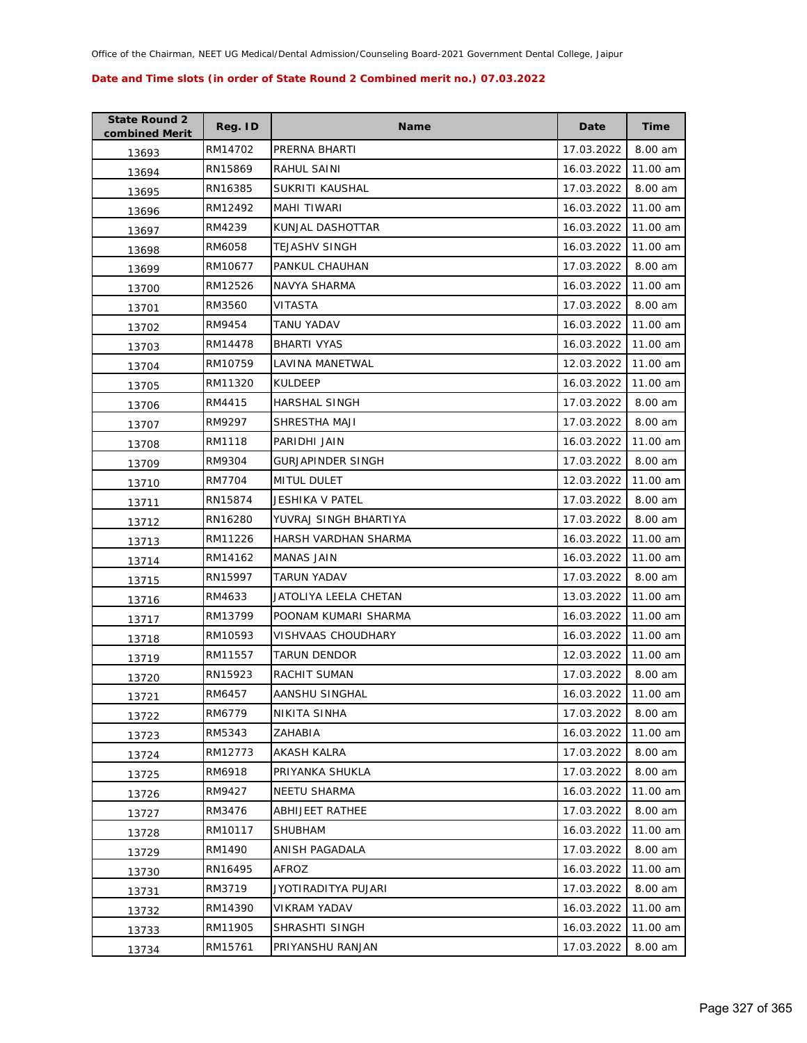| <b>State Round 2</b><br>combined Merit | Reg. ID | Name                      | Date       | <b>Time</b> |
|----------------------------------------|---------|---------------------------|------------|-------------|
| 13693                                  | RM14702 | PRERNA BHARTI             | 17.03.2022 | 8.00 am     |
| 13694                                  | RN15869 | RAHUL SAINI               | 16.03.2022 | 11.00 am    |
| 13695                                  | RN16385 | SUKRITI KAUSHAL           | 17.03.2022 | 8.00 am     |
| 13696                                  | RM12492 | MAHI TIWARI               | 16.03.2022 | 11.00 am    |
| 13697                                  | RM4239  | KUNJAL DASHOTTAR          | 16.03.2022 | 11.00 am    |
| 13698                                  | RM6058  | TEJASHV SINGH             | 16.03.2022 | 11.00 am    |
| 13699                                  | RM10677 | PANKUL CHAUHAN            | 17.03.2022 | 8.00 am     |
| 13700                                  | RM12526 | NAVYA SHARMA              | 16.03.2022 | 11.00 am    |
| 13701                                  | RM3560  | VITASTA                   | 17.03.2022 | 8.00 am     |
| 13702                                  | RM9454  | TANU YADAV                | 16.03.2022 | 11.00 am    |
| 13703                                  | RM14478 | <b>BHARTI VYAS</b>        | 16.03.2022 | 11.00 am    |
| 13704                                  | RM10759 | LAVINA MANETWAL           | 12.03.2022 | 11.00 am    |
| 13705                                  | RM11320 | <b>KULDEEP</b>            | 16.03.2022 | 11.00 am    |
| 13706                                  | RM4415  | HARSHAL SINGH             | 17.03.2022 | 8.00 am     |
| 13707                                  | RM9297  | SHRESTHA MAJI             | 17.03.2022 | 8.00 am     |
| 13708                                  | RM1118  | PARIDHI JAIN              | 16.03.2022 | 11.00 am    |
| 13709                                  | RM9304  | <b>GURJAPINDER SINGH</b>  | 17.03.2022 | 8.00 am     |
| 13710                                  | RM7704  | <b>MITUL DULET</b>        | 12.03.2022 | 11.00 am    |
| 13711                                  | RN15874 | JESHIKA V PATEL           | 17.03.2022 | 8.00 am     |
| 13712                                  | RN16280 | YUVRAJ SINGH BHARTIYA     | 17.03.2022 | 8.00 am     |
| 13713                                  | RM11226 | HARSH VARDHAN SHARMA      | 16.03.2022 | 11.00 am    |
| 13714                                  | RM14162 | <b>MANAS JAIN</b>         | 16.03.2022 | 11.00 am    |
| 13715                                  | RN15997 | TARUN YADAV               | 17.03.2022 | 8.00 am     |
| 13716                                  | RM4633  | JATOLIYA LEELA CHETAN     | 13.03.2022 | 11.00 am    |
| 13717                                  | RM13799 | POONAM KUMARI SHARMA      | 16.03.2022 | 11.00 am    |
| 13718                                  | RM10593 | <b>VISHVAAS CHOUDHARY</b> | 16.03.2022 | 11.00 am    |
| 13719                                  | RM11557 | <b>TARUN DENDOR</b>       | 12.03.2022 | 11.00 am    |
| 13720                                  | RN15923 | RACHIT SUMAN              | 17.03.2022 | 8.00 am     |
| 13721                                  | RM6457  | AANSHU SINGHAL            | 16.03.2022 | 11.00 am    |
| 13722                                  | RM6779  | NIKITA SINHA              | 17.03.2022 | 8.00 am     |
| 13723                                  | RM5343  | ZAHABIA                   | 16.03.2022 | 11.00 am    |
| 13724                                  | RM12773 | <b>AKASH KALRA</b>        | 17.03.2022 | 8.00 am     |
| 13725                                  | RM6918  | PRIYANKA SHUKLA           | 17.03.2022 | 8.00 am     |
| 13726                                  | RM9427  | <b>NEETU SHARMA</b>       | 16.03.2022 | 11.00 am    |
| 13727                                  | RM3476  | ABHIJEET RATHEE           | 17.03.2022 | 8.00 am     |
| 13728                                  | RM10117 | SHUBHAM                   | 16.03.2022 | 11.00 am    |
| 13729                                  | RM1490  | ANISH PAGADALA            | 17.03.2022 | 8.00 am     |
| 13730                                  | RN16495 | AFROZ                     | 16.03.2022 | 11.00 am    |
| 13731                                  | RM3719  | JYOTIRADITYA PUJARI       | 17.03.2022 | 8.00 am     |
| 13732                                  | RM14390 | <b>VIKRAM YADAV</b>       | 16.03.2022 | 11.00 am    |
| 13733                                  | RM11905 | SHRASHTI SINGH            | 16.03.2022 | 11.00 am    |
| 13734                                  | RM15761 | PRIYANSHU RANJAN          | 17.03.2022 | 8.00 am     |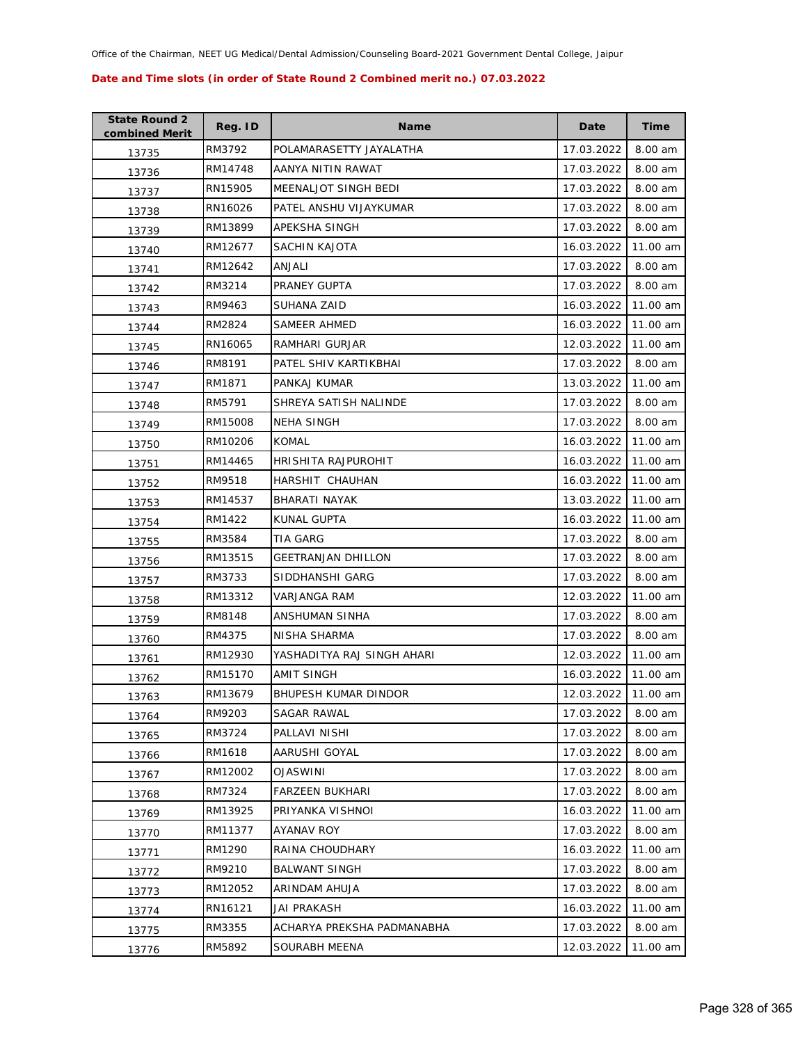| <b>State Round 2</b><br>combined Merit | Reg. ID | <b>Name</b>                 | Date       | <b>Time</b> |
|----------------------------------------|---------|-----------------------------|------------|-------------|
| 13735                                  | RM3792  | POLAMARASETTY JAYALATHA     | 17.03.2022 | 8.00 am     |
| 13736                                  | RM14748 | AANYA NITIN RAWAT           | 17.03.2022 | 8.00 am     |
| 13737                                  | RN15905 | MEENALJOT SINGH BEDI        | 17.03.2022 | 8.00 am     |
| 13738                                  | RN16026 | PATEL ANSHU VIJAYKUMAR      | 17.03.2022 | 8.00 am     |
| 13739                                  | RM13899 | APEKSHA SINGH               | 17.03.2022 | 8.00 am     |
| 13740                                  | RM12677 | SACHIN KAJOTA               | 16.03.2022 | 11.00 am    |
| 13741                                  | RM12642 | ANJALI                      | 17.03.2022 | 8.00 am     |
| 13742                                  | RM3214  | PRANEY GUPTA                | 17.03.2022 | 8.00 am     |
| 13743                                  | RM9463  | SUHANA ZAID                 | 16.03.2022 | 11.00 am    |
| 13744                                  | RM2824  | SAMEER AHMED                | 16.03.2022 | 11.00 am    |
| 13745                                  | RN16065 | RAMHARI GURJAR              | 12.03.2022 | 11.00 am    |
| 13746                                  | RM8191  | PATEL SHIV KARTIKBHAI       | 17.03.2022 | 8.00 am     |
| 13747                                  | RM1871  | PANKAJ KUMAR                | 13.03.2022 | 11.00 am    |
| 13748                                  | RM5791  | SHREYA SATISH NALINDE       | 17.03.2022 | 8.00 am     |
| 13749                                  | RM15008 | <b>NEHA SINGH</b>           | 17.03.2022 | 8.00 am     |
| 13750                                  | RM10206 | <b>KOMAL</b>                | 16.03.2022 | 11.00 am    |
| 13751                                  | RM14465 | HRISHITA RAJPUROHIT         | 16.03.2022 | 11.00 am    |
| 13752                                  | RM9518  | HARSHIT CHAUHAN             | 16.03.2022 | 11.00 am    |
| 13753                                  | RM14537 | BHARATI NAYAK               | 13.03.2022 | 11.00 am    |
| 13754                                  | RM1422  | KUNAL GUPTA                 | 16.03.2022 | 11.00 am    |
| 13755                                  | RM3584  | TIA GARG                    | 17.03.2022 | 8.00 am     |
| 13756                                  | RM13515 | <b>GEETRANJAN DHILLON</b>   | 17.03.2022 | 8.00 am     |
| 13757                                  | RM3733  | SIDDHANSHI GARG             | 17.03.2022 | 8.00 am     |
| 13758                                  | RM13312 | VARJANGA RAM                | 12.03.2022 | 11.00 am    |
| 13759                                  | RM8148  | ANSHUMAN SINHA              | 17.03.2022 | 8.00 am     |
| 13760                                  | RM4375  | NISHA SHARMA                | 17.03.2022 | 8.00 am     |
| 13761                                  | RM12930 | YASHADITYA RAJ SINGH AHARI  | 12.03.2022 | 11.00 am    |
| 13762                                  | RM15170 | AMIT SINGH                  | 16.03.2022 | 11.00 am    |
| 13763                                  | RM13679 | <b>BHUPESH KUMAR DINDOR</b> | 12.03.2022 | 11.00 am    |
| 13764                                  | RM9203  | SAGAR RAWAL                 | 17.03.2022 | 8.00 am     |
| 13765                                  | RM3724  | PALLAVI NISHI               | 17.03.2022 | 8.00 am     |
| 13766                                  | RM1618  | AARUSHI GOYAL               | 17.03.2022 | 8.00 am     |
| 13767                                  | RM12002 | <b>OJASWINI</b>             | 17.03.2022 | 8.00 am     |
| 13768                                  | RM7324  | <b>FARZEEN BUKHARI</b>      | 17.03.2022 | 8.00 am     |
| 13769                                  | RM13925 | PRIYANKA VISHNOI            | 16.03.2022 | 11.00 am    |
| 13770                                  | RM11377 | AYANAV ROY                  | 17.03.2022 | 8.00 am     |
| 13771                                  | RM1290  | RAINA CHOUDHARY             | 16.03.2022 | 11.00 am    |
| 13772                                  | RM9210  | <b>BALWANT SINGH</b>        | 17.03.2022 | 8.00 am     |
| 13773                                  | RM12052 | ARINDAM AHUJA               | 17.03.2022 | 8.00 am     |
| 13774                                  | RN16121 | JAI PRAKASH                 | 16.03.2022 | 11.00 am    |
| 13775                                  | RM3355  | ACHARYA PREKSHA PADMANABHA  | 17.03.2022 | 8.00 am     |
| 13776                                  | RM5892  | SOURABH MEENA               | 12.03.2022 | 11.00 am    |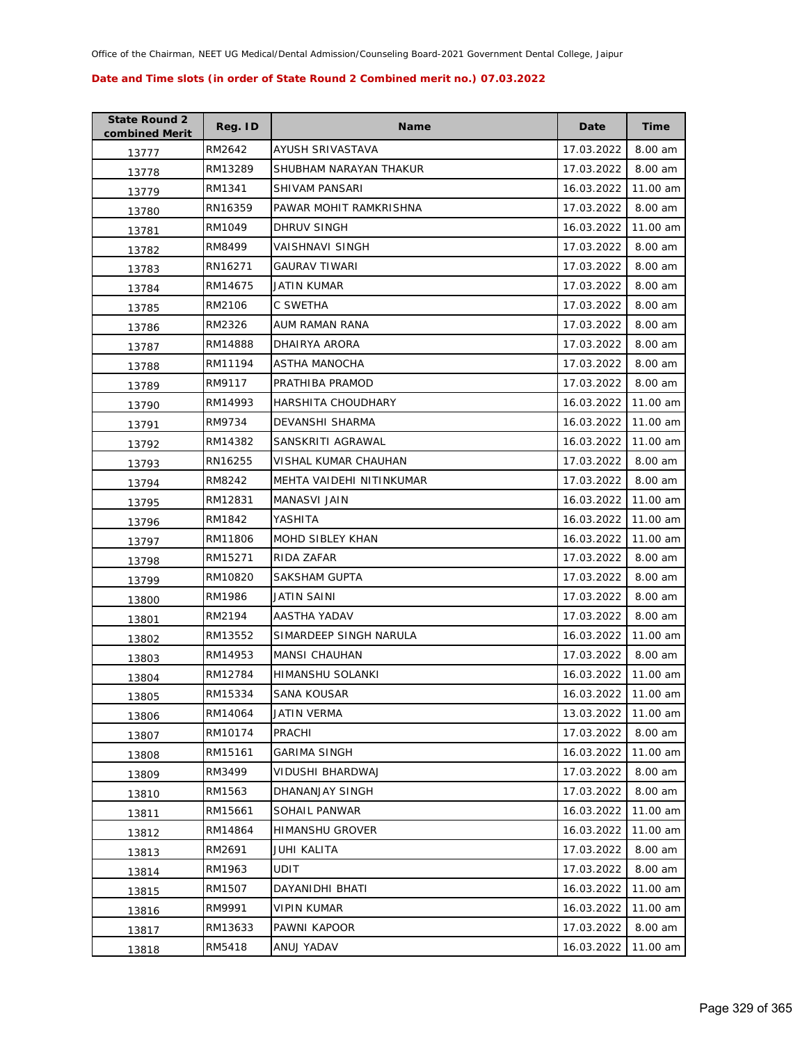| <b>State Round 2</b><br>combined Merit | Reg. ID | <b>Name</b>              | Date       | <b>Time</b> |
|----------------------------------------|---------|--------------------------|------------|-------------|
| 13777                                  | RM2642  | AYUSH SRIVASTAVA         | 17.03.2022 | 8.00 am     |
| 13778                                  | RM13289 | SHUBHAM NARAYAN THAKUR   | 17.03.2022 | 8.00 am     |
| 13779                                  | RM1341  | SHIVAM PANSARI           | 16.03.2022 | 11.00 am    |
| 13780                                  | RN16359 | PAWAR MOHIT RAMKRISHNA   | 17.03.2022 | 8.00 am     |
| 13781                                  | RM1049  | DHRUV SINGH              | 16.03.2022 | 11.00 am    |
| 13782                                  | RM8499  | <b>VAISHNAVI SINGH</b>   | 17.03.2022 | 8.00 am     |
| 13783                                  | RN16271 | <b>GAURAV TIWARI</b>     | 17.03.2022 | 8.00 am     |
| 13784                                  | RM14675 | JATIN KUMAR              | 17.03.2022 | 8.00 am     |
| 13785                                  | RM2106  | C SWETHA                 | 17.03.2022 | 8.00 am     |
| 13786                                  | RM2326  | AUM RAMAN RANA           | 17.03.2022 | 8.00 am     |
| 13787                                  | RM14888 | DHAIRYA ARORA            | 17.03.2022 | 8.00 am     |
| 13788                                  | RM11194 | ASTHA MANOCHA            | 17.03.2022 | 8.00 am     |
| 13789                                  | RM9117  | PRATHIBA PRAMOD          | 17.03.2022 | 8.00 am     |
| 13790                                  | RM14993 | HARSHITA CHOUDHARY       | 16.03.2022 | 11.00 am    |
| 13791                                  | RM9734  | DEVANSHI SHARMA          | 16.03.2022 | 11.00 am    |
| 13792                                  | RM14382 | SANSKRITI AGRAWAL        | 16.03.2022 | 11.00 am    |
| 13793                                  | RN16255 | VISHAL KUMAR CHAUHAN     | 17.03.2022 | 8.00 am     |
| 13794                                  | RM8242  | MEHTA VAIDEHI NITINKUMAR | 17.03.2022 | 8.00 am     |
| 13795                                  | RM12831 | MANASVI JAIN             | 16.03.2022 | 11.00 am    |
| 13796                                  | RM1842  | YASHITA                  | 16.03.2022 | 11.00 am    |
| 13797                                  | RM11806 | MOHD SIBLEY KHAN         | 16.03.2022 | 11.00 am    |
| 13798                                  | RM15271 | RIDA ZAFAR               | 17.03.2022 | 8.00 am     |
| 13799                                  | RM10820 | SAKSHAM GUPTA            | 17.03.2022 | 8.00 am     |
| 13800                                  | RM1986  | JATIN SAINI              | 17.03.2022 | 8.00 am     |
| 13801                                  | RM2194  | AASTHA YADAV             | 17.03.2022 | 8.00 am     |
| 13802                                  | RM13552 | SIMARDEEP SINGH NARULA   | 16.03.2022 | 11.00 am    |
| 13803                                  | RM14953 | <b>MANSI CHAUHAN</b>     | 17.03.2022 | 8.00 am     |
| 13804                                  | RM12784 | HIMANSHU SOLANKI         | 16.03.2022 | 11.00 am    |
| 13805                                  | RM15334 | SANA KOUSAR              | 16.03.2022 | 11.00 am    |
| 13806                                  | RM14064 | JATIN VERMA              | 13.03.2022 | 11.00 am    |
| 13807                                  | RM10174 | PRACHI                   | 17.03.2022 | 8.00 am     |
| 13808                                  | RM15161 | <b>GARIMA SINGH</b>      | 16.03.2022 | 11.00 am    |
| 13809                                  | RM3499  | <b>VIDUSHI BHARDWAJ</b>  | 17.03.2022 | 8.00 am     |
| 13810                                  | RM1563  | DHANANJAY SINGH          | 17.03.2022 | 8.00 am     |
| 13811                                  | RM15661 | SOHAIL PANWAR            | 16.03.2022 | 11.00 am    |
| 13812                                  | RM14864 | <b>HIMANSHU GROVER</b>   | 16.03.2022 | 11.00 am    |
| 13813                                  | RM2691  | JUHI KALITA              | 17.03.2022 | 8.00 am     |
| 13814                                  | RM1963  | UDIT                     | 17.03.2022 | 8.00 am     |
| 13815                                  | RM1507  | DAYANIDHI BHATI          | 16.03.2022 | 11.00 am    |
| 13816                                  | RM9991  | VIPIN KUMAR              | 16.03.2022 | 11.00 am    |
| 13817                                  | RM13633 | PAWNI KAPOOR             | 17.03.2022 | 8.00 am     |
| 13818                                  | RM5418  | ANUJ YADAV               | 16.03.2022 | 11.00 am    |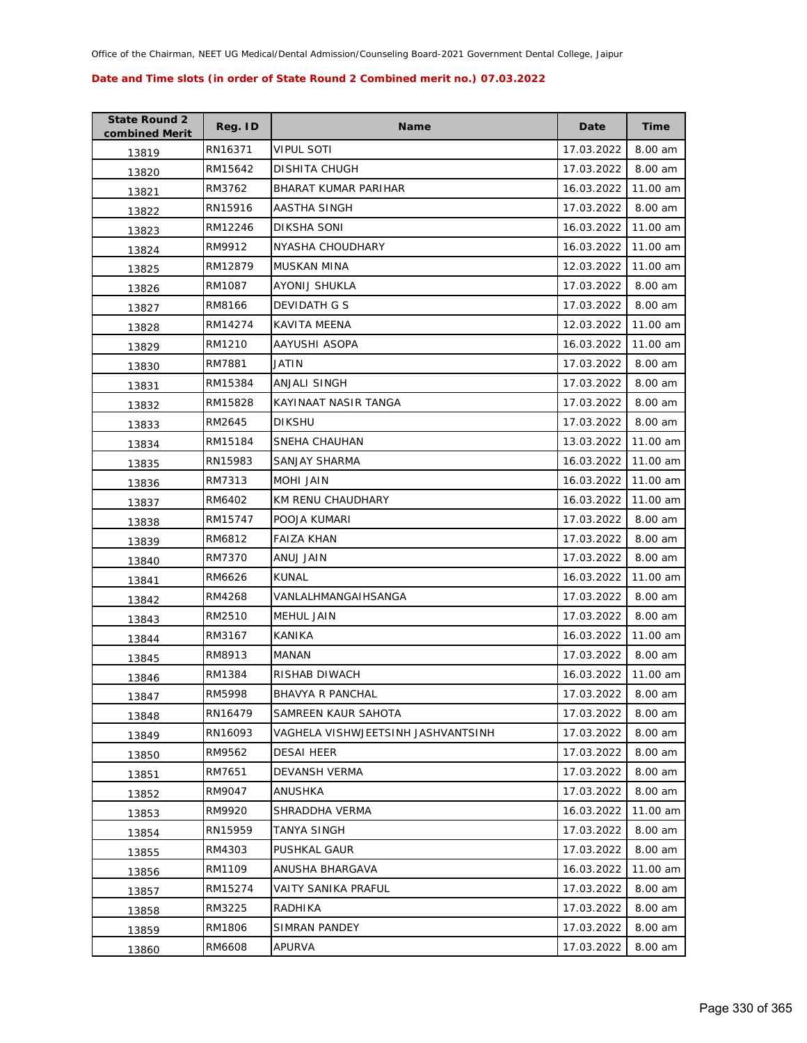| <b>State Round 2</b><br>combined Merit | Reg. ID | <b>Name</b>                        | Date       | Time     |
|----------------------------------------|---------|------------------------------------|------------|----------|
| 13819                                  | RN16371 | <b>VIPUL SOTI</b>                  | 17.03.2022 | 8.00 am  |
| 13820                                  | RM15642 | <b>DISHITA CHUGH</b>               | 17.03.2022 | 8.00 am  |
| 13821                                  | RM3762  | <b>BHARAT KUMAR PARIHAR</b>        | 16.03.2022 | 11.00 am |
| 13822                                  | RN15916 | AASTHA SINGH                       | 17.03.2022 | 8.00 am  |
| 13823                                  | RM12246 | DIKSHA SONI                        | 16.03.2022 | 11.00 am |
| 13824                                  | RM9912  | NYASHA CHOUDHARY                   | 16.03.2022 | 11.00 am |
| 13825                                  | RM12879 | MUSKAN MINA                        | 12.03.2022 | 11.00 am |
| 13826                                  | RM1087  | AYONIJ SHUKLA                      | 17.03.2022 | 8.00 am  |
| 13827                                  | RM8166  | DEVIDATH G S                       | 17.03.2022 | 8.00 am  |
| 13828                                  | RM14274 | KAVITA MEENA                       | 12.03.2022 | 11.00 am |
| 13829                                  | RM1210  | AAYUSHI ASOPA                      | 16.03.2022 | 11.00 am |
| 13830                                  | RM7881  | JATIN                              | 17.03.2022 | 8.00 am  |
| 13831                                  | RM15384 | ANJALI SINGH                       | 17.03.2022 | 8.00 am  |
| 13832                                  | RM15828 | KAYINAAT NASIR TANGA               | 17.03.2022 | 8.00 am  |
| 13833                                  | RM2645  | <b>DIKSHU</b>                      | 17.03.2022 | 8.00 am  |
| 13834                                  | RM15184 | SNEHA CHAUHAN                      | 13.03.2022 | 11.00 am |
| 13835                                  | RN15983 | SANJAY SHARMA                      | 16.03.2022 | 11.00 am |
| 13836                                  | RM7313  | MOHI JAIN                          | 16.03.2022 | 11.00 am |
| 13837                                  | RM6402  | KM RENU CHAUDHARY                  | 16.03.2022 | 11.00 am |
| 13838                                  | RM15747 | POOJA KUMARI                       | 17.03.2022 | 8.00 am  |
| 13839                                  | RM6812  | FAIZA KHAN                         | 17.03.2022 | 8.00 am  |
| 13840                                  | RM7370  | ANUJ JAIN                          | 17.03.2022 | 8.00 am  |
| 13841                                  | RM6626  | KUNAL                              | 16.03.2022 | 11.00 am |
| 13842                                  | RM4268  | VANLALHMANGAIHSANGA                | 17.03.2022 | 8.00 am  |
| 13843                                  | RM2510  | MEHUL JAIN                         | 17.03.2022 | 8.00 am  |
| 13844                                  | RM3167  | KANIKA                             | 16.03.2022 | 11.00 am |
| 13845                                  | RM8913  | MANAN                              | 17.03.2022 | 8.00 am  |
| 13846                                  | RM1384  | <b>RISHAB DIWACH</b>               | 16.03.2022 | 11.00 am |
| 13847                                  | RM5998  | <b>BHAVYA R PANCHAL</b>            | 17.03.2022 | 8.00 am  |
| 13848                                  | RN16479 | SAMREEN KAUR SAHOTA                | 17.03.2022 | 8.00 am  |
| 13849                                  | RN16093 | VAGHELA VISHWJEETSINH JASHVANTSINH | 17.03.2022 | 8.00 am  |
| 13850                                  | RM9562  | <b>DESAI HEER</b>                  | 17.03.2022 | 8.00 am  |
| 13851                                  | RM7651  | DEVANSH VERMA                      | 17.03.2022 | 8.00 am  |
| 13852                                  | RM9047  | ANUSHKA                            | 17.03.2022 | 8.00 am  |
| 13853                                  | RM9920  | SHRADDHA VERMA                     | 16.03.2022 | 11.00 am |
| 13854                                  | RN15959 | TANYA SINGH                        | 17.03.2022 | 8.00 am  |
| 13855                                  | RM4303  | PUSHKAL GAUR                       | 17.03.2022 | 8.00 am  |
| 13856                                  | RM1109  | ANUSHA BHARGAVA                    | 16.03.2022 | 11.00 am |
| 13857                                  | RM15274 | VAITY SANIKA PRAFUL                | 17.03.2022 | 8.00 am  |
| 13858                                  | RM3225  | RADHIKA                            | 17.03.2022 | 8.00 am  |
| 13859                                  | RM1806  | SIMRAN PANDEY                      | 17.03.2022 | 8.00 am  |
| 13860                                  | RM6608  | APURVA                             | 17.03.2022 | 8.00 am  |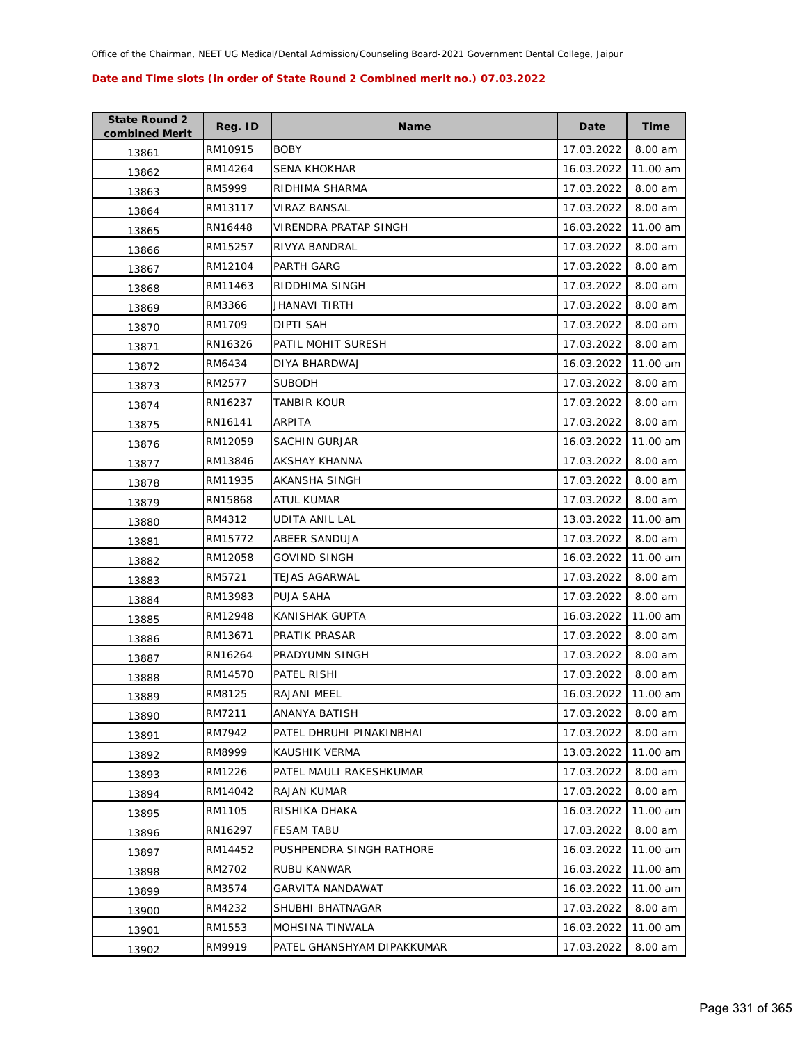| <b>State Round 2</b><br>combined Merit | Reg. ID | <b>Name</b>                | Date       | <b>Time</b> |
|----------------------------------------|---------|----------------------------|------------|-------------|
| 13861                                  | RM10915 | <b>BOBY</b>                | 17.03.2022 | 8.00 am     |
| 13862                                  | RM14264 | SENA KHOKHAR               | 16.03.2022 | 11.00 am    |
| 13863                                  | RM5999  | RIDHIMA SHARMA             | 17.03.2022 | 8.00 am     |
| 13864                                  | RM13117 | VIRAZ BANSAL               | 17.03.2022 | 8.00 am     |
| 13865                                  | RN16448 | VIRENDRA PRATAP SINGH      | 16.03.2022 | 11.00 am    |
| 13866                                  | RM15257 | RIVYA BANDRAL              | 17.03.2022 | 8.00 am     |
| 13867                                  | RM12104 | PARTH GARG                 | 17.03.2022 | 8.00 am     |
| 13868                                  | RM11463 | RIDDHIMA SINGH             | 17.03.2022 | 8.00 am     |
| 13869                                  | RM3366  | JHANAVI TIRTH              | 17.03.2022 | 8.00 am     |
| 13870                                  | RM1709  | DIPTI SAH                  | 17.03.2022 | 8.00 am     |
| 13871                                  | RN16326 | PATIL MOHIT SURESH         | 17.03.2022 | 8.00 am     |
| 13872                                  | RM6434  | DIYA BHARDWAJ              | 16.03.2022 | 11.00 am    |
| 13873                                  | RM2577  | <b>SUBODH</b>              | 17.03.2022 | 8.00 am     |
| 13874                                  | RN16237 | TANBIR KOUR                | 17.03.2022 | 8.00 am     |
| 13875                                  | RN16141 | ARPITA                     | 17.03.2022 | 8.00 am     |
| 13876                                  | RM12059 | <b>SACHIN GURJAR</b>       | 16.03.2022 | 11.00 am    |
| 13877                                  | RM13846 | AKSHAY KHANNA              | 17.03.2022 | 8.00 am     |
| 13878                                  | RM11935 | AKANSHA SINGH              | 17.03.2022 | 8.00 am     |
| 13879                                  | RN15868 | ATUL KUMAR                 | 17.03.2022 | 8.00 am     |
| 13880                                  | RM4312  | UDITA ANIL LAL             | 13.03.2022 | 11.00 am    |
| 13881                                  | RM15772 | ABEER SANDUJA              | 17.03.2022 | 8.00 am     |
| 13882                                  | RM12058 | GOVIND SINGH               | 16.03.2022 | 11.00 am    |
| 13883                                  | RM5721  | TEJAS AGARWAL              | 17.03.2022 | 8.00 am     |
| 13884                                  | RM13983 | PUJA SAHA                  | 17.03.2022 | 8.00 am     |
| 13885                                  | RM12948 | KANISHAK GUPTA             | 16.03.2022 | 11.00 am    |
| 13886                                  | RM13671 | PRATIK PRASAR              | 17.03.2022 | 8.00 am     |
| 13887                                  | RN16264 | PRADYUMN SINGH             | 17.03.2022 | 8.00 am     |
| 13888                                  | RM14570 | PATEL RISHI                | 17.03.2022 | 8.00 am     |
| 13889                                  | RM8125  | RAJANI MEEL                | 16.03.2022 | 11.00 am    |
| 13890                                  | RM7211  | ANANYA BATISH              | 17.03.2022 | 8.00 am     |
| 13891                                  | RM7942  | PATEL DHRUHI PINAKINBHAI   | 17.03.2022 | 8.00 am     |
| 13892                                  | RM8999  | KAUSHIK VERMA              | 13.03.2022 | 11.00 am    |
| 13893                                  | RM1226  | PATEL MAULI RAKESHKUMAR    | 17.03.2022 | 8.00 am     |
| 13894                                  | RM14042 | RAJAN KUMAR                | 17.03.2022 | 8.00 am     |
| 13895                                  | RM1105  | RISHIKA DHAKA              | 16.03.2022 | 11.00 am    |
| 13896                                  | RN16297 | <b>FESAM TABU</b>          | 17.03.2022 | 8.00 am     |
| 13897                                  | RM14452 | PUSHPENDRA SINGH RATHORE   | 16.03.2022 | 11.00 am    |
| 13898                                  | RM2702  | RUBU KANWAR                | 16.03.2022 | 11.00 am    |
| 13899                                  | RM3574  | <b>GARVITA NANDAWAT</b>    | 16.03.2022 | 11.00 am    |
| 13900                                  | RM4232  | SHUBHI BHATNAGAR           | 17.03.2022 | 8.00 am     |
| 13901                                  | RM1553  | MOHSINA TINWALA            | 16.03.2022 | 11.00 am    |
| 13902                                  | RM9919  | PATEL GHANSHYAM DIPAKKUMAR | 17.03.2022 | 8.00 am     |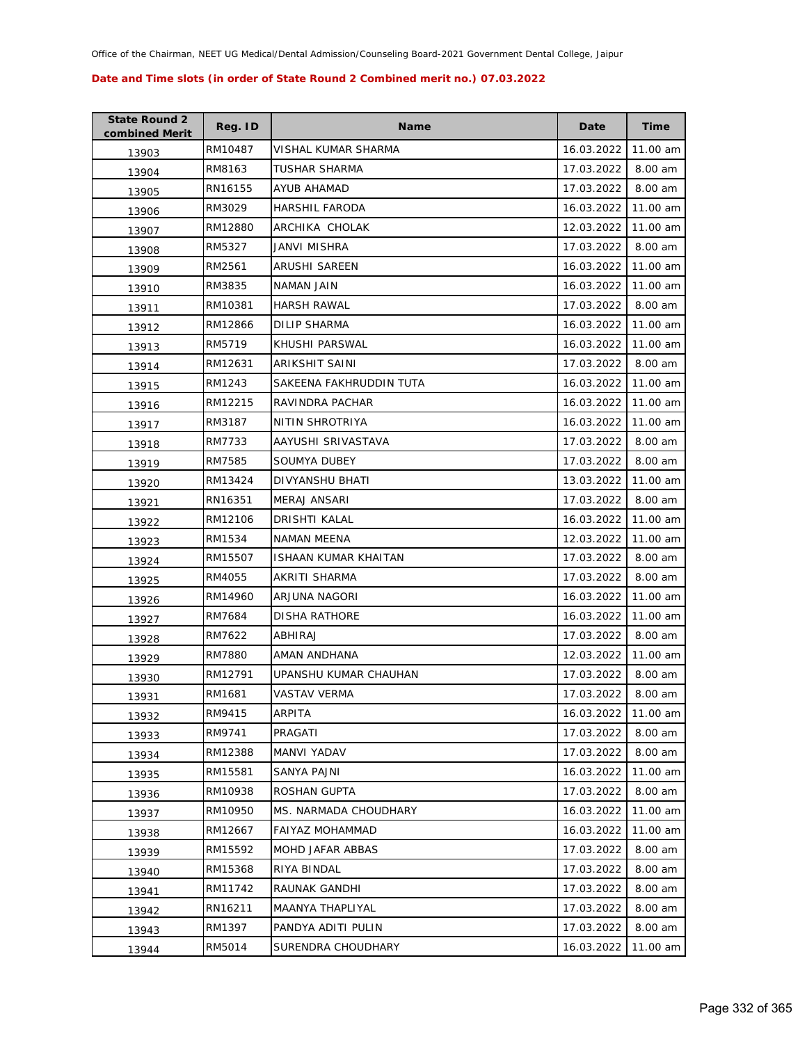| <b>State Round 2</b><br>combined Merit | Reg. ID | <b>Name</b>             | Date       | <b>Time</b> |
|----------------------------------------|---------|-------------------------|------------|-------------|
| 13903                                  | RM10487 | VISHAL KUMAR SHARMA     | 16.03.2022 | 11.00 am    |
| 13904                                  | RM8163  | TUSHAR SHARMA           | 17.03.2022 | 8.00 am     |
| 13905                                  | RN16155 | <b>AYUB AHAMAD</b>      | 17.03.2022 | 8.00 am     |
| 13906                                  | RM3029  | <b>HARSHIL FARODA</b>   | 16.03.2022 | 11.00 am    |
| 13907                                  | RM12880 | ARCHIKA CHOLAK          | 12.03.2022 | 11.00 am    |
| 13908                                  | RM5327  | JANVI MISHRA            | 17.03.2022 | 8.00 am     |
| 13909                                  | RM2561  | ARUSHI SAREEN           | 16.03.2022 | 11.00 am    |
| 13910                                  | RM3835  | NAMAN JAIN              | 16.03.2022 | 11.00 am    |
| 13911                                  | RM10381 | <b>HARSH RAWAL</b>      | 17.03.2022 | 8.00 am     |
| 13912                                  | RM12866 | DILIP SHARMA            | 16.03.2022 | 11.00 am    |
| 13913                                  | RM5719  | KHUSHI PARSWAL          | 16.03.2022 | 11.00 am    |
| 13914                                  | RM12631 | ARIKSHIT SAINI          | 17.03.2022 | 8.00 am     |
| 13915                                  | RM1243  | SAKEENA FAKHRUDDIN TUTA | 16.03.2022 | 11.00 am    |
| 13916                                  | RM12215 | RAVINDRA PACHAR         | 16.03.2022 | 11.00 am    |
| 13917                                  | RM3187  | NITIN SHROTRIYA         | 16.03.2022 | 11.00 am    |
| 13918                                  | RM7733  | AAYUSHI SRIVASTAVA      | 17.03.2022 | 8.00 am     |
| 13919                                  | RM7585  | <b>SOUMYA DUBEY</b>     | 17.03.2022 | 8.00 am     |
| 13920                                  | RM13424 | DIVYANSHU BHATI         | 13.03.2022 | 11.00 am    |
| 13921                                  | RN16351 | MERAJ ANSARI            | 17.03.2022 | 8.00 am     |
| 13922                                  | RM12106 | DRISHTI KALAL           | 16.03.2022 | 11.00 am    |
| 13923                                  | RM1534  | NAMAN MEENA             | 12.03.2022 | 11.00 am    |
| 13924                                  | RM15507 | ISHAAN KUMAR KHAITAN    | 17.03.2022 | 8.00 am     |
| 13925                                  | RM4055  | AKRITI SHARMA           | 17.03.2022 | 8.00 am     |
| 13926                                  | RM14960 | ARJUNA NAGORI           | 16.03.2022 | 11.00 am    |
| 13927                                  | RM7684  | <b>DISHA RATHORE</b>    | 16.03.2022 | 11.00 am    |
| 13928                                  | RM7622  | ABHIRAJ                 | 17.03.2022 | 8.00 am     |
| 13929                                  | RM7880  | AMAN ANDHANA            | 12.03.2022 | 11.00 am    |
| 13930                                  | RM12791 | UPANSHU KUMAR CHAUHAN   | 17.03.2022 | 8.00 am     |
| 13931                                  | RM1681  | <b>VASTAV VERMA</b>     | 17.03.2022 | 8.00 am     |
| 13932                                  | RM9415  | ARPITA                  | 16.03.2022 | 11.00 am    |
| 13933                                  | RM9741  | PRAGATI                 | 17.03.2022 | 8.00 am     |
| 13934                                  | RM12388 | MANVI YADAV             | 17.03.2022 | 8.00 am     |
| 13935                                  | RM15581 | SANYA PAJNI             | 16.03.2022 | 11.00 am    |
| 13936                                  | RM10938 | ROSHAN GUPTA            | 17.03.2022 | 8.00 am     |
| 13937                                  | RM10950 | MS. NARMADA CHOUDHARY   | 16.03.2022 | 11.00 am    |
| 13938                                  | RM12667 | <b>FAIYAZ MOHAMMAD</b>  | 16.03.2022 | 11.00 am    |
| 13939                                  | RM15592 | MOHD JAFAR ABBAS        | 17.03.2022 | 8.00 am     |
| 13940                                  | RM15368 | RIYA BINDAL             | 17.03.2022 | 8.00 am     |
| 13941                                  | RM11742 | RAUNAK GANDHI           | 17.03.2022 | 8.00 am     |
| 13942                                  | RN16211 | MAANYA THAPLIYAL        | 17.03.2022 | 8.00 am     |
| 13943                                  | RM1397  | PANDYA ADITI PULIN      | 17.03.2022 | 8.00 am     |
| 13944                                  | RM5014  | SURENDRA CHOUDHARY      | 16.03.2022 | 11.00 am    |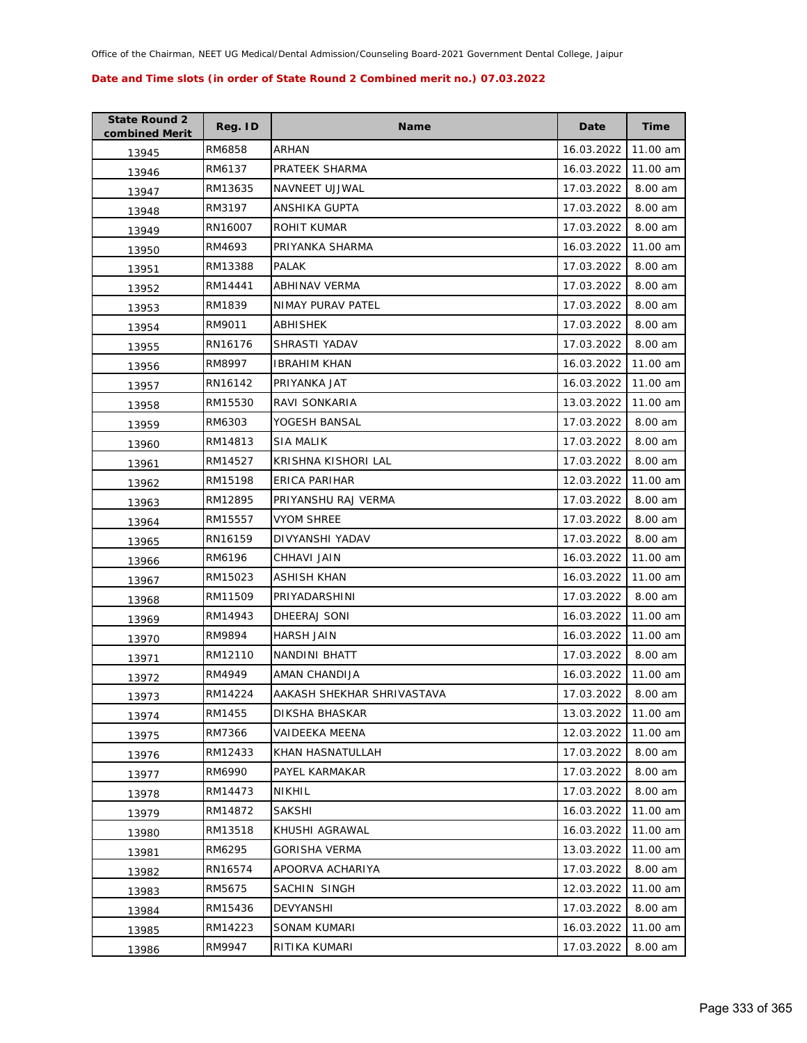| <b>State Round 2</b><br>combined Merit | Reg. ID | <b>Name</b>                | Date       | <b>Time</b> |
|----------------------------------------|---------|----------------------------|------------|-------------|
| 13945                                  | RM6858  | <b>ARHAN</b>               | 16.03.2022 | 11.00 am    |
| 13946                                  | RM6137  | PRATEEK SHARMA             | 16.03.2022 | 11.00 am    |
| 13947                                  | RM13635 | NAVNEET UJJWAL             | 17.03.2022 | 8.00 am     |
| 13948                                  | RM3197  | ANSHIKA GUPTA              | 17.03.2022 | 8.00 am     |
| 13949                                  | RN16007 | ROHIT KUMAR                | 17.03.2022 | 8.00 am     |
| 13950                                  | RM4693  | PRIYANKA SHARMA            | 16.03.2022 | 11.00 am    |
| 13951                                  | RM13388 | <b>PALAK</b>               | 17.03.2022 | 8.00 am     |
| 13952                                  | RM14441 | ABHINAV VERMA              | 17.03.2022 | 8.00 am     |
| 13953                                  | RM1839  | NIMAY PURAV PATEL          | 17.03.2022 | 8.00 am     |
| 13954                                  | RM9011  | ABHISHEK                   | 17.03.2022 | 8.00 am     |
| 13955                                  | RN16176 | SHRASTI YADAV              | 17.03.2022 | 8.00 am     |
| 13956                                  | RM8997  | <b>IBRAHIM KHAN</b>        | 16.03.2022 | 11.00 am    |
| 13957                                  | RN16142 | PRIYANKA JAT               | 16.03.2022 | 11.00 am    |
| 13958                                  | RM15530 | RAVI SONKARIA              | 13.03.2022 | 11.00 am    |
| 13959                                  | RM6303  | YOGESH BANSAL              | 17.03.2022 | 8.00 am     |
| 13960                                  | RM14813 | <b>SIA MALIK</b>           | 17.03.2022 | 8.00 am     |
| 13961                                  | RM14527 | KRISHNA KISHORI LAL        | 17.03.2022 | 8.00 am     |
| 13962                                  | RM15198 | ERICA PARIHAR              | 12.03.2022 | 11.00 am    |
| 13963                                  | RM12895 | PRIYANSHU RAJ VERMA        | 17.03.2022 | 8.00 am     |
| 13964                                  | RM15557 | <b>VYOM SHREE</b>          | 17.03.2022 | 8.00 am     |
| 13965                                  | RN16159 | DIVYANSHI YADAV            | 17.03.2022 | 8.00 am     |
| 13966                                  | RM6196  | CHHAVI JAIN                | 16.03.2022 | 11.00 am    |
| 13967                                  | RM15023 | ASHISH KHAN                | 16.03.2022 | 11.00 am    |
| 13968                                  | RM11509 | PRIYADARSHINI              | 17.03.2022 | 8.00 am     |
| 13969                                  | RM14943 | DHEERAJ SONI               | 16.03.2022 | 11.00 am    |
| 13970                                  | RM9894  | <b>HARSH JAIN</b>          | 16.03.2022 | 11.00 am    |
| 13971                                  | RM12110 | NANDINI BHATT              | 17.03.2022 | $8.00$ am   |
| 13972                                  | RM4949  | AMAN CHANDIJA              | 16.03.2022 | 11.00 am    |
| 13973                                  | RM14224 | AAKASH SHEKHAR SHRIVASTAVA | 17.03.2022 | 8.00 am     |
| 13974                                  | RM1455  | DIKSHA BHASKAR             | 13.03.2022 | 11.00 am    |
| 13975                                  | RM7366  | VAIDEEKA MEENA             | 12.03.2022 | 11.00 am    |
| 13976                                  | RM12433 | KHAN HASNATULLAH           | 17.03.2022 | 8.00 am     |
| 13977                                  | RM6990  | PAYEL KARMAKAR             | 17.03.2022 | 8.00 am     |
| 13978                                  | RM14473 | NIKHIL                     | 17.03.2022 | 8.00 am     |
| 13979                                  | RM14872 | <b>SAKSHI</b>              | 16.03.2022 | 11.00 am    |
| 13980                                  | RM13518 | KHUSHI AGRAWAL             | 16.03.2022 | 11.00 am    |
| 13981                                  | RM6295  | <b>GORISHA VERMA</b>       | 13.03.2022 | 11.00 am    |
| 13982                                  | RN16574 | APOORVA ACHARIYA           | 17.03.2022 | 8.00 am     |
| 13983                                  | RM5675  | SACHIN SINGH               | 12.03.2022 | 11.00 am    |
| 13984                                  | RM15436 | DEVYANSHI                  | 17.03.2022 | 8.00 am     |
| 13985                                  | RM14223 | SONAM KUMARI               | 16.03.2022 | 11.00 am    |
| 13986                                  | RM9947  | RITIKA KUMARI              | 17.03.2022 | 8.00 am     |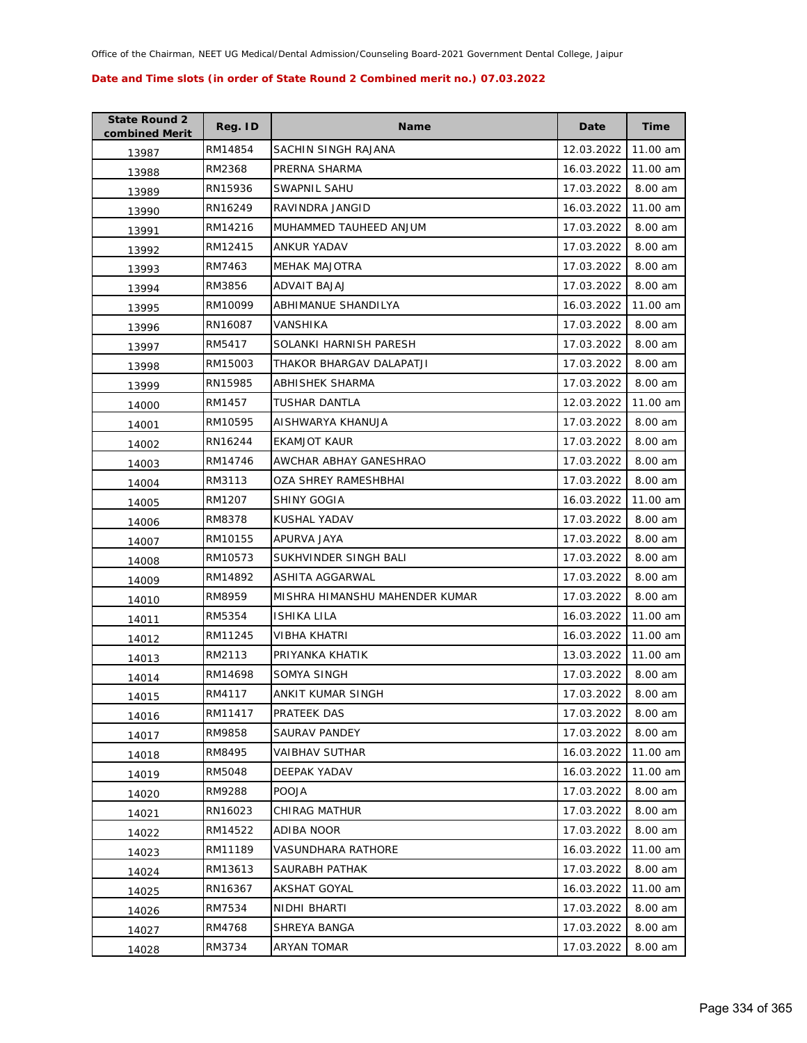| <b>State Round 2</b><br>combined Merit | Reg. ID | <b>Name</b>                    | Date       | <b>Time</b> |
|----------------------------------------|---------|--------------------------------|------------|-------------|
| 13987                                  | RM14854 | SACHIN SINGH RAJANA            | 12.03.2022 | 11.00 am    |
| 13988                                  | RM2368  | PRERNA SHARMA                  | 16.03.2022 | 11.00 am    |
| 13989                                  | RN15936 | SWAPNIL SAHU                   | 17.03.2022 | 8.00 am     |
| 13990                                  | RN16249 | RAVINDRA JANGID                | 16.03.2022 | 11.00 am    |
| 13991                                  | RM14216 | MUHAMMED TAUHEED ANJUM         | 17.03.2022 | 8.00 am     |
| 13992                                  | RM12415 | <b>ANKUR YADAV</b>             | 17.03.2022 | 8.00 am     |
| 13993                                  | RM7463  | <b>MEHAK MAJOTRA</b>           | 17.03.2022 | 8.00 am     |
| 13994                                  | RM3856  | ADVAIT BAJAJ                   | 17.03.2022 | 8.00 am     |
| 13995                                  | RM10099 | ABHIMANUE SHANDILYA            | 16.03.2022 | 11.00 am    |
| 13996                                  | RN16087 | VANSHIKA                       | 17.03.2022 | 8.00 am     |
| 13997                                  | RM5417  | SOLANKI HARNISH PARESH         | 17.03.2022 | 8.00 am     |
| 13998                                  | RM15003 | THAKOR BHARGAV DALAPATJI       | 17.03.2022 | 8.00 am     |
| 13999                                  | RN15985 | ABHISHEK SHARMA                | 17.03.2022 | 8.00 am     |
| 14000                                  | RM1457  | TUSHAR DANTLA                  | 12.03.2022 | 11.00 am    |
| 14001                                  | RM10595 | AISHWARYA KHANUJA              | 17.03.2022 | 8.00 am     |
| 14002                                  | RN16244 | <b>EKAMJOT KAUR</b>            | 17.03.2022 | 8.00 am     |
| 14003                                  | RM14746 | AWCHAR ABHAY GANESHRAO         | 17.03.2022 | 8.00 am     |
| 14004                                  | RM3113  | OZA SHREY RAMESHBHAI           | 17.03.2022 | 8.00 am     |
| 14005                                  | RM1207  | <b>SHINY GOGIA</b>             | 16.03.2022 | 11.00 am    |
| 14006                                  | RM8378  | KUSHAL YADAV                   | 17.03.2022 | 8.00 am     |
| 14007                                  | RM10155 | APURVA JAYA                    | 17.03.2022 | 8.00 am     |
| 14008                                  | RM10573 | SUKHVINDER SINGH BALI          | 17.03.2022 | 8.00 am     |
| 14009                                  | RM14892 | ASHITA AGGARWAL                | 17.03.2022 | 8.00 am     |
| 14010                                  | RM8959  | MISHRA HIMANSHU MAHENDER KUMAR | 17.03.2022 | 8.00 am     |
| 14011                                  | RM5354  | <b>ISHIKA LILA</b>             | 16.03.2022 | 11.00 am    |
| 14012                                  | RM11245 | VIBHA KHATRI                   | 16.03.2022 | 11.00 am    |
| 14013                                  | RM2113  | PRIYANKA KHATIK                | 13.03.2022 | 11.00 am    |
| 14014                                  | RM14698 | SOMYA SINGH                    | 17.03.2022 | 8.00 am     |
| 14015                                  | RM4117  | ANKIT KUMAR SINGH              | 17.03.2022 | 8.00 am     |
| 14016                                  | RM11417 | PRATEEK DAS                    | 17.03.2022 | 8.00 am     |
| 14017                                  | RM9858  | <b>SAURAV PANDEY</b>           | 17.03.2022 | 8.00 am     |
| 14018                                  | RM8495  | <b>VAIBHAV SUTHAR</b>          | 16.03.2022 | 11.00 am    |
| 14019                                  | RM5048  | DEEPAK YADAV                   | 16.03.2022 | 11.00 am    |
| 14020                                  | RM9288  | <b>POOJA</b>                   | 17.03.2022 | 8.00 am     |
| 14021                                  | RN16023 | CHIRAG MATHUR                  | 17.03.2022 | 8.00 am     |
| 14022                                  | RM14522 | ADIBA NOOR                     | 17.03.2022 | 8.00 am     |
| 14023                                  | RM11189 | VASUNDHARA RATHORE             | 16.03.2022 | 11.00 am    |
| 14024                                  | RM13613 | SAURABH PATHAK                 | 17.03.2022 | 8.00 am     |
| 14025                                  | RN16367 | AKSHAT GOYAL                   | 16.03.2022 | 11.00 am    |
| 14026                                  | RM7534  | NIDHI BHARTI                   | 17.03.2022 | 8.00 am     |
| 14027                                  | RM4768  | SHREYA BANGA                   | 17.03.2022 | 8.00 am     |
| 14028                                  | RM3734  | ARYAN TOMAR                    | 17.03.2022 | 8.00 am     |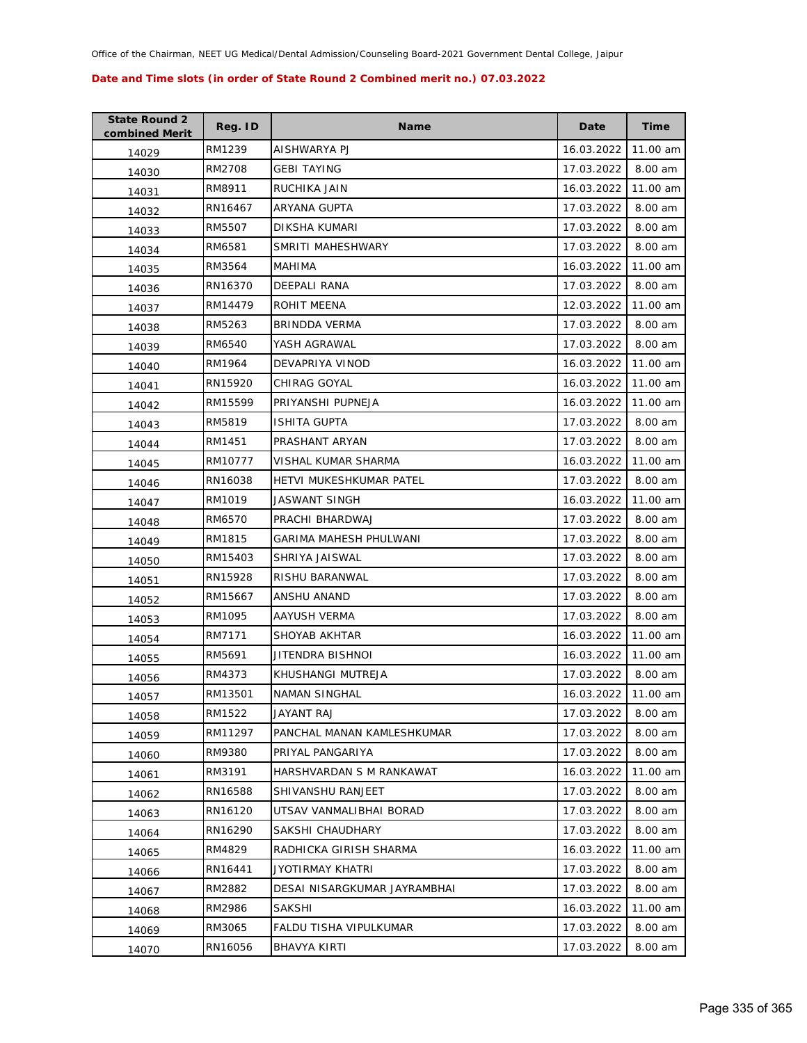| <b>State Round 2</b><br>combined Merit | Reg. ID | <b>Name</b>                  | Date       | Time     |
|----------------------------------------|---------|------------------------------|------------|----------|
| 14029                                  | RM1239  | AISHWARYA PJ                 | 16.03.2022 | 11.00 am |
| 14030                                  | RM2708  | <b>GEBI TAYING</b>           | 17.03.2022 | 8.00 am  |
| 14031                                  | RM8911  | RUCHIKA JAIN                 | 16.03.2022 | 11.00 am |
| 14032                                  | RN16467 | ARYANA GUPTA                 | 17.03.2022 | 8.00 am  |
| 14033                                  | RM5507  | DIKSHA KUMARI                | 17.03.2022 | 8.00 am  |
| 14034                                  | RM6581  | SMRITI MAHESHWARY            | 17.03.2022 | 8.00 am  |
| 14035                                  | RM3564  | MAHIMA                       | 16.03.2022 | 11.00 am |
| 14036                                  | RN16370 | DEEPALI RANA                 | 17.03.2022 | 8.00 am  |
| 14037                                  | RM14479 | ROHIT MEENA                  | 12.03.2022 | 11.00 am |
| 14038                                  | RM5263  | BRINDDA VERMA                | 17.03.2022 | 8.00 am  |
| 14039                                  | RM6540  | YASH AGRAWAL                 | 17.03.2022 | 8.00 am  |
| 14040                                  | RM1964  | DEVAPRIYA VINOD              | 16.03.2022 | 11.00 am |
| 14041                                  | RN15920 | CHIRAG GOYAL                 | 16.03.2022 | 11.00 am |
| 14042                                  | RM15599 | PRIYANSHI PUPNEJA            | 16.03.2022 | 11.00 am |
| 14043                                  | RM5819  | <b>ISHITA GUPTA</b>          | 17.03.2022 | 8.00 am  |
| 14044                                  | RM1451  | PRASHANT ARYAN               | 17.03.2022 | 8.00 am  |
| 14045                                  | RM10777 | VISHAL KUMAR SHARMA          | 16.03.2022 | 11.00 am |
| 14046                                  | RN16038 | HETVI MUKESHKUMAR PATEL      | 17.03.2022 | 8.00 am  |
| 14047                                  | RM1019  | JASWANT SINGH                | 16.03.2022 | 11.00 am |
| 14048                                  | RM6570  | PRACHI BHARDWAJ              | 17.03.2022 | 8.00 am  |
| 14049                                  | RM1815  | GARIMA MAHESH PHULWANI       | 17.03.2022 | 8.00 am  |
| 14050                                  | RM15403 | SHRIYA JAISWAL               | 17.03.2022 | 8.00 am  |
| 14051                                  | RN15928 | RISHU BARANWAL               | 17.03.2022 | 8.00 am  |
| 14052                                  | RM15667 | ANSHU ANAND                  | 17.03.2022 | 8.00 am  |
| 14053                                  | RM1095  | AAYUSH VERMA                 | 17.03.2022 | 8.00 am  |
| 14054                                  | RM7171  | SHOYAB AKHTAR                | 16.03.2022 | 11.00 am |
| 14055                                  | RM5691  | JITENDRA BISHNOI             | 16.03.2022 | 11.00 am |
| 14056                                  | RM4373  | KHUSHANGI MUTREJA            | 17.03.2022 | 8.00 am  |
| 14057                                  | RM13501 | <b>NAMAN SINGHAL</b>         | 16.03.2022 | 11.00 am |
| 14058                                  | RM1522  | JAYANT RAJ                   | 17.03.2022 | 8.00 am  |
| 14059                                  | RM11297 | PANCHAL MANAN KAMLESHKUMAR   | 17.03.2022 | 8.00 am  |
| 14060                                  | RM9380  | PRIYAL PANGARIYA             | 17.03.2022 | 8.00 am  |
| 14061                                  | RM3191  | HARSHVARDAN S M RANKAWAT     | 16.03.2022 | 11.00 am |
| 14062                                  | RN16588 | SHIVANSHU RANJEET            | 17.03.2022 | 8.00 am  |
| 14063                                  | RN16120 | UTSAV VANMALIBHAI BORAD      | 17.03.2022 | 8.00 am  |
| 14064                                  | RN16290 | SAKSHI CHAUDHARY             | 17.03.2022 | 8.00 am  |
| 14065                                  | RM4829  | RADHICKA GIRISH SHARMA       | 16.03.2022 | 11.00 am |
| 14066                                  | RN16441 | JYOTIRMAY KHATRI             | 17.03.2022 | 8.00 am  |
| 14067                                  | RM2882  | DESAI NISARGKUMAR JAYRAMBHAI | 17.03.2022 | 8.00 am  |
| 14068                                  | RM2986  | <b>SAKSHI</b>                | 16.03.2022 | 11.00 am |
| 14069                                  | RM3065  | FALDU TISHA VIPULKUMAR       | 17.03.2022 | 8.00 am  |
| 14070                                  | RN16056 | <b>BHAVYA KIRTI</b>          | 17.03.2022 | 8.00 am  |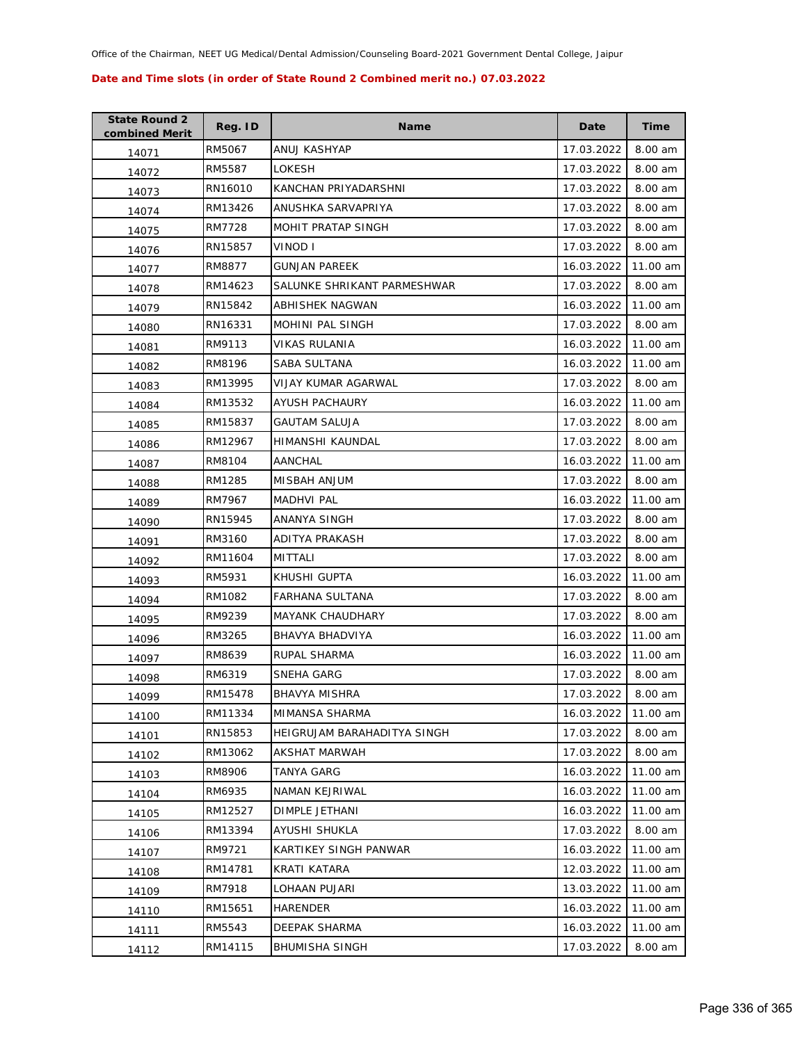| <b>State Round 2</b><br>combined Merit | Reg. ID | <b>Name</b>                 | Date       | <b>Time</b> |
|----------------------------------------|---------|-----------------------------|------------|-------------|
| 14071                                  | RM5067  | ANUJ KASHYAP                | 17.03.2022 | 8.00 am     |
| 14072                                  | RM5587  | LOKESH                      | 17.03.2022 | 8.00 am     |
| 14073                                  | RN16010 | KANCHAN PRIYADARSHNI        | 17.03.2022 | 8.00 am     |
| 14074                                  | RM13426 | ANUSHKA SARVAPRIYA          | 17.03.2022 | 8.00 am     |
| 14075                                  | RM7728  | MOHIT PRATAP SINGH          | 17.03.2022 | 8.00 am     |
| 14076                                  | RN15857 | VINOD I                     | 17.03.2022 | 8.00 am     |
| 14077                                  | RM8877  | <b>GUNJAN PAREEK</b>        | 16.03.2022 | 11.00 am    |
| 14078                                  | RM14623 | SALUNKE SHRIKANT PARMESHWAR | 17.03.2022 | 8.00 am     |
| 14079                                  | RN15842 | ABHISHEK NAGWAN             | 16.03.2022 | 11.00 am    |
| 14080                                  | RN16331 | MOHINI PAL SINGH            | 17.03.2022 | 8.00 am     |
| 14081                                  | RM9113  | VIKAS RULANIA               | 16.03.2022 | 11.00 am    |
| 14082                                  | RM8196  | SABA SULTANA                | 16.03.2022 | 11.00 am    |
| 14083                                  | RM13995 | VIJAY KUMAR AGARWAL         | 17.03.2022 | 8.00 am     |
| 14084                                  | RM13532 | AYUSH PACHAURY              | 16.03.2022 | 11.00 am    |
| 14085                                  | RM15837 | <b>GAUTAM SALUJA</b>        | 17.03.2022 | 8.00 am     |
| 14086                                  | RM12967 | <b>HIMANSHI KAUNDAL</b>     | 17.03.2022 | 8.00 am     |
| 14087                                  | RM8104  | <b>AANCHAL</b>              | 16.03.2022 | 11.00 am    |
| 14088                                  | RM1285  | MISBAH ANJUM                | 17.03.2022 | 8.00 am     |
| 14089                                  | RM7967  | MADHVI PAL                  | 16.03.2022 | 11.00 am    |
| 14090                                  | RN15945 | ANANYA SINGH                | 17.03.2022 | 8.00 am     |
| 14091                                  | RM3160  | ADITYA PRAKASH              | 17.03.2022 | 8.00 am     |
| 14092                                  | RM11604 | <b>MITTALI</b>              | 17.03.2022 | 8.00 am     |
| 14093                                  | RM5931  | KHUSHI GUPTA                | 16.03.2022 | 11.00 am    |
| 14094                                  | RM1082  | FARHANA SULTANA             | 17.03.2022 | 8.00 am     |
| 14095                                  | RM9239  | <b>MAYANK CHAUDHARY</b>     | 17.03.2022 | 8.00 am     |
| 14096                                  | RM3265  | <b>BHAVYA BHADVIYA</b>      | 16.03.2022 | 11.00 am    |
| 14097                                  | RM8639  | RUPAL SHARMA                | 16.03.2022 | 11.00 am    |
| 14098                                  | RM6319  | SNEHA GARG                  | 17.03.2022 | 8.00 am     |
| 14099                                  | RM15478 | <b>BHAVYA MISHRA</b>        | 17.03.2022 | 8.00 am     |
| 14100                                  | RM11334 | MIMANSA SHARMA              | 16.03.2022 | 11.00 am    |
| 14101                                  | RN15853 | HEIGRUJAM BARAHADITYA SINGH | 17.03.2022 | 8.00 am     |
| 14102                                  | RM13062 | AKSHAT MARWAH               | 17.03.2022 | 8.00 am     |
| 14103                                  | RM8906  | TANYA GARG                  | 16.03.2022 | 11.00 am    |
| 14104                                  | RM6935  | NAMAN KEJRIWAL              | 16.03.2022 | 11.00 am    |
| 14105                                  | RM12527 | DIMPLE JETHANI              | 16.03.2022 | 11.00 am    |
| 14106                                  | RM13394 | <b>AYUSHI SHUKLA</b>        | 17.03.2022 | 8.00 am     |
| 14107                                  | RM9721  | KARTIKEY SINGH PANWAR       | 16.03.2022 | 11.00 am    |
| 14108                                  | RM14781 | KRATI KATARA                | 12.03.2022 | 11.00 am    |
| 14109                                  | RM7918  | LOHAAN PUJARI               | 13.03.2022 | 11.00 am    |
| 14110                                  | RM15651 | <b>HARENDER</b>             | 16.03.2022 | 11.00 am    |
| 14111                                  | RM5543  | DEEPAK SHARMA               | 16.03.2022 | 11.00 am    |
| 14112                                  | RM14115 | <b>BHUMISHA SINGH</b>       | 17.03.2022 | 8.00 am     |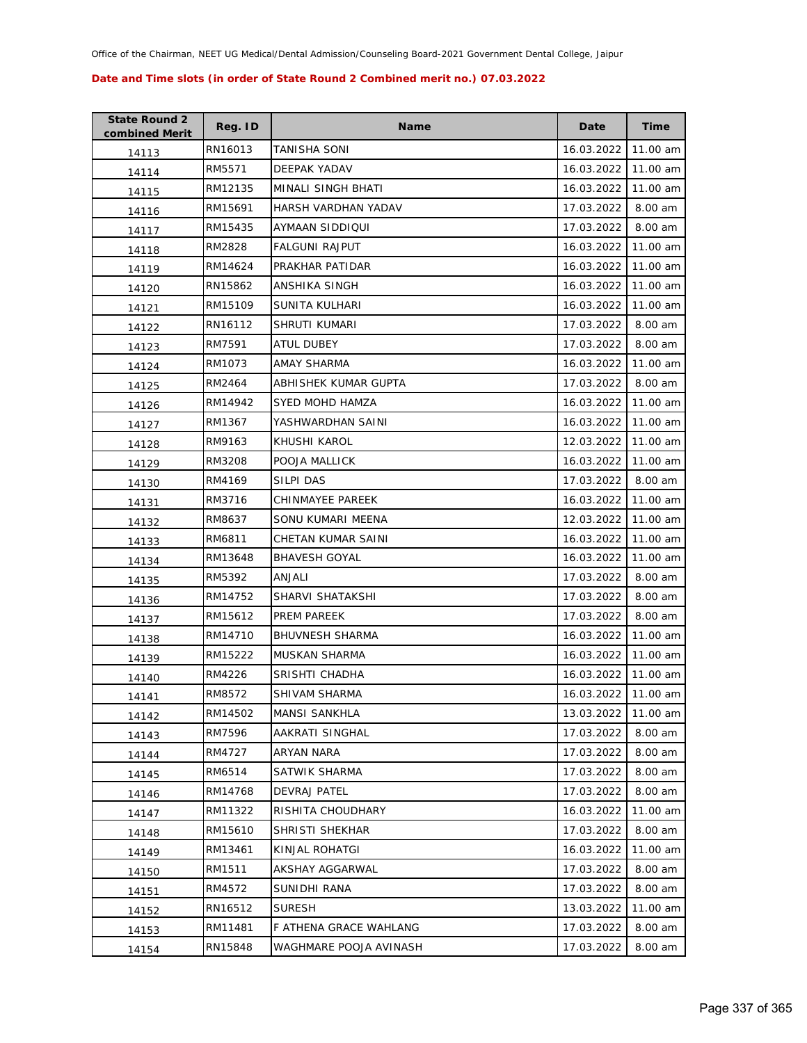| <b>State Round 2</b><br>combined Merit | Reg. ID | <b>Name</b>            | Date                | <b>Time</b> |
|----------------------------------------|---------|------------------------|---------------------|-------------|
| 14113                                  | RN16013 | TANISHA SONI           | 16.03.2022          | 11.00 am    |
| 14114                                  | RM5571  | DEEPAK YADAV           | 16.03.2022          | 11.00 am    |
| 14115                                  | RM12135 | MINALI SINGH BHATI     | 16.03.2022          | 11.00 am    |
| 14116                                  | RM15691 | HARSH VARDHAN YADAV    | 17.03.2022          | 8.00 am     |
| 14117                                  | RM15435 | AYMAAN SIDDIQUI        | 17.03.2022          | 8.00 am     |
| 14118                                  | RM2828  | <b>FALGUNI RAJPUT</b>  | 16.03.2022          | 11.00 am    |
| 14119                                  | RM14624 | PRAKHAR PATIDAR        | 16.03.2022          | 11.00 am    |
| 14120                                  | RN15862 | ANSHIKA SINGH          | 16.03.2022          | 11.00 am    |
| 14121                                  | RM15109 | SUNITA KULHARI         | 16.03.2022          | 11.00 am    |
| 14122                                  | RN16112 | SHRUTI KUMARI          | 17.03.2022          | 8.00 am     |
| 14123                                  | RM7591  | ATUL DUBEY             | 17.03.2022          | 8.00 am     |
| 14124                                  | RM1073  | AMAY SHARMA            | 16.03.2022          | 11.00 am    |
| 14125                                  | RM2464  | ABHISHEK KUMAR GUPTA   | 17.03.2022          | 8.00 am     |
| 14126                                  | RM14942 | <b>SYED MOHD HAMZA</b> | 16.03.2022          | 11.00 am    |
| 14127                                  | RM1367  | YASHWARDHAN SAINI      | 16.03.2022          | 11.00 am    |
| 14128                                  | RM9163  | KHUSHI KAROL           | 12.03.2022          | 11.00 am    |
| 14129                                  | RM3208  | POOJA MALLICK          | 16.03.2022          | 11.00 am    |
| 14130                                  | RM4169  | SILPI DAS              | 17.03.2022          | 8.00 am     |
| 14131                                  | RM3716  | CHINMAYEE PAREEK       | 16.03.2022          | 11.00 am    |
| 14132                                  | RM8637  | SONU KUMARI MEENA      | 12.03.2022          | 11.00 am    |
| 14133                                  | RM6811  | CHETAN KUMAR SAINI     | 16.03.2022          | 11.00 am    |
| 14134                                  | RM13648 | <b>BHAVESH GOYAL</b>   | 16.03.2022          | 11.00 am    |
| 14135                                  | RM5392  | ANJALI                 | 17.03.2022          | 8.00 am     |
| 14136                                  | RM14752 | SHARVI SHATAKSHI       | 17.03.2022          | 8.00 am     |
| 14137                                  | RM15612 | PREM PAREEK            | 17.03.2022          | 8.00 am     |
| 14138                                  | RM14710 | <b>BHUVNESH SHARMA</b> | 16.03.2022          | 11.00 am    |
| 14139                                  | RM15222 | MUSKAN SHARMA          | 16.03.2022          | 11.00 am    |
| 14140                                  | RM4226  | SRISHTI CHADHA         | 16.03.2022          | 11.00 am    |
| 14141                                  | RM8572  | SHIVAM SHARMA          | 16.03.2022 11.00 am |             |
| 14142                                  | RM14502 | <b>MANSI SANKHLA</b>   | 13.03.2022          | 11.00 am    |
| 14143                                  | RM7596  | AAKRATI SINGHAL        | 17.03.2022          | 8.00 am     |
| 14144                                  | RM4727  | ARYAN NARA             | 17.03.2022          | 8.00 am     |
| 14145                                  | RM6514  | SATWIK SHARMA          | 17.03.2022          | 8.00 am     |
| 14146                                  | RM14768 | <b>DEVRAJ PATEL</b>    | 17.03.2022          | 8.00 am     |
| 14147                                  | RM11322 | RISHITA CHOUDHARY      | 16.03.2022          | 11.00 am    |
| 14148                                  | RM15610 | SHRISTI SHEKHAR        | 17.03.2022          | 8.00 am     |
| 14149                                  | RM13461 | KINJAL ROHATGI         | 16.03.2022          | 11.00 am    |
| 14150                                  | RM1511  | AKSHAY AGGARWAL        | 17.03.2022          | 8.00 am     |
| 14151                                  | RM4572  | SUNIDHI RANA           | 17.03.2022          | 8.00 am     |
| 14152                                  | RN16512 | <b>SURESH</b>          | 13.03.2022          | 11.00 am    |
| 14153                                  | RM11481 | F ATHENA GRACE WAHLANG | 17.03.2022          | 8.00 am     |
| 14154                                  | RN15848 | WAGHMARE POOJA AVINASH | 17.03.2022          | 8.00 am     |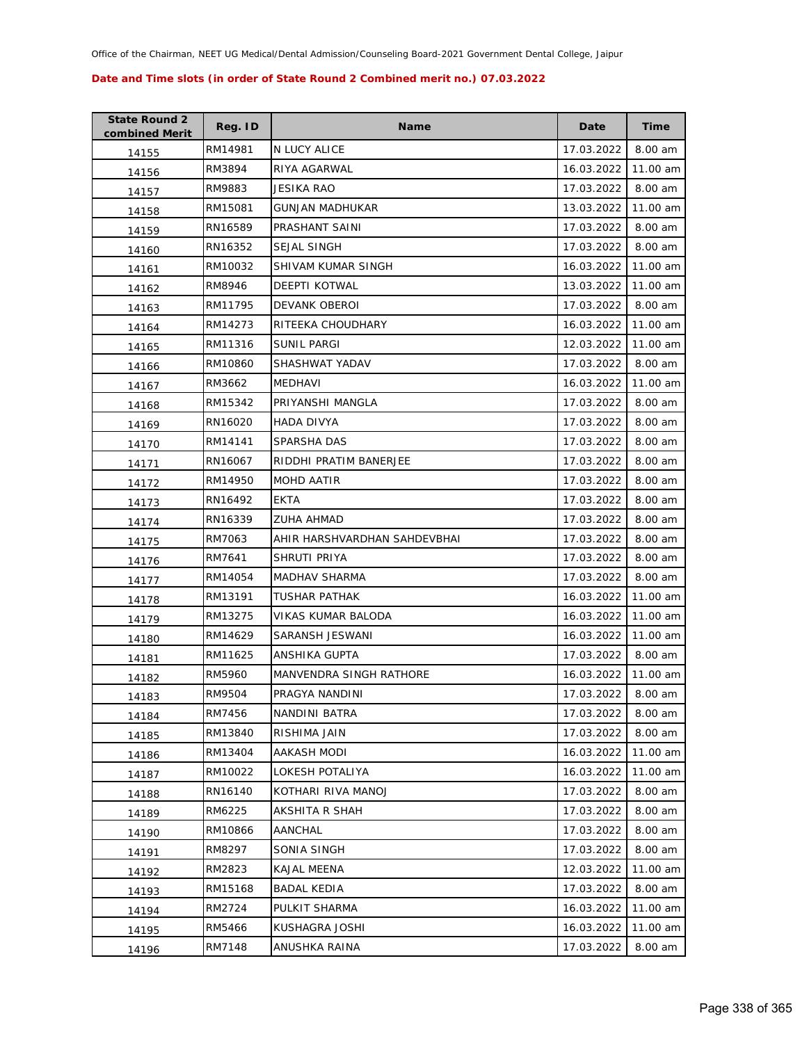| <b>State Round 2</b><br>combined Merit | Reg. ID | <b>Name</b>                  | Date       | <b>Time</b> |
|----------------------------------------|---------|------------------------------|------------|-------------|
| 14155                                  | RM14981 | N LUCY ALICE                 | 17.03.2022 | 8.00 am     |
| 14156                                  | RM3894  | RIYA AGARWAL                 | 16.03.2022 | 11.00 am    |
| 14157                                  | RM9883  | JESIKA RAO                   | 17.03.2022 | 8.00 am     |
| 14158                                  | RM15081 | <b>GUNJAN MADHUKAR</b>       | 13.03.2022 | 11.00 am    |
| 14159                                  | RN16589 | PRASHANT SAINI               | 17.03.2022 | 8.00 am     |
| 14160                                  | RN16352 | SEJAL SINGH                  | 17.03.2022 | 8.00 am     |
| 14161                                  | RM10032 | SHIVAM KUMAR SINGH           | 16.03.2022 | 11.00 am    |
| 14162                                  | RM8946  | <b>DEEPTI KOTWAL</b>         | 13.03.2022 | 11.00 am    |
| 14163                                  | RM11795 | DEVANK OBEROI                | 17.03.2022 | 8.00 am     |
| 14164                                  | RM14273 | RITEEKA CHOUDHARY            | 16.03.2022 | 11.00 am    |
| 14165                                  | RM11316 | SUNIL PARGI                  | 12.03.2022 | 11.00 am    |
| 14166                                  | RM10860 | SHASHWAT YADAV               | 17.03.2022 | 8.00 am     |
| 14167                                  | RM3662  | MEDHAVI                      | 16.03.2022 | 11.00 am    |
| 14168                                  | RM15342 | PRIYANSHI MANGLA             | 17.03.2022 | 8.00 am     |
| 14169                                  | RN16020 | <b>HADA DIVYA</b>            | 17.03.2022 | 8.00 am     |
| 14170                                  | RM14141 | SPARSHA DAS                  | 17.03.2022 | 8.00 am     |
| 14171                                  | RN16067 | RIDDHI PRATIM BANERJEE       | 17.03.2022 | 8.00 am     |
| 14172                                  | RM14950 | <b>MOHD AATIR</b>            | 17.03.2022 | 8.00 am     |
| 14173                                  | RN16492 | <b>EKTA</b>                  | 17.03.2022 | 8.00 am     |
| 14174                                  | RN16339 | <b>ZUHA AHMAD</b>            | 17.03.2022 | 8.00 am     |
| 14175                                  | RM7063  | AHIR HARSHVARDHAN SAHDEVBHAI | 17.03.2022 | 8.00 am     |
| 14176                                  | RM7641  | SHRUTI PRIYA                 | 17.03.2022 | 8.00 am     |
| 14177                                  | RM14054 | <b>MADHAV SHARMA</b>         | 17.03.2022 | 8.00 am     |
| 14178                                  | RM13191 | <b>TUSHAR PATHAK</b>         | 16.03.2022 | 11.00 am    |
| 14179                                  | RM13275 | VIKAS KUMAR BALODA           | 16.03.2022 | 11.00 am    |
| 14180                                  | RM14629 | SARANSH JESWANI              | 16.03.2022 | 11.00 am    |
| 14181                                  | RM11625 | ANSHIKA GUPTA                | 17.03.2022 | 8.00 am     |
| 14182                                  | RM5960  | MANVENDRA SINGH RATHORE      | 16.03.2022 | 11.00 am    |
| 14183                                  | RM9504  | PRAGYA NANDINI               | 17.03.2022 | 8.00 am     |
| 14184                                  | RM7456  | NANDINI BATRA                | 17.03.2022 | 8.00 am     |
| 14185                                  | RM13840 | RISHIMA JAIN                 | 17.03.2022 | 8.00 am     |
| 14186                                  | RM13404 | AAKASH MODI                  | 16.03.2022 | 11.00 am    |
| 14187                                  | RM10022 | LOKESH POTALIYA              | 16.03.2022 | 11.00 am    |
| 14188                                  | RN16140 | KOTHARI RIVA MANOJ           | 17.03.2022 | 8.00 am     |
| 14189                                  | RM6225  | AKSHITA R SHAH               | 17.03.2022 | 8.00 am     |
| 14190                                  | RM10866 | AANCHAL                      | 17.03.2022 | 8.00 am     |
| 14191                                  | RM8297  | SONIA SINGH                  | 17.03.2022 | 8.00 am     |
| 14192                                  | RM2823  | KAJAL MEENA                  | 12.03.2022 | 11.00 am    |
| 14193                                  | RM15168 | <b>BADAL KEDIA</b>           | 17.03.2022 | 8.00 am     |
| 14194                                  | RM2724  | PULKIT SHARMA                | 16.03.2022 | 11.00 am    |
| 14195                                  | RM5466  | KUSHAGRA JOSHI               | 16.03.2022 | 11.00 am    |
| 14196                                  | RM7148  | ANUSHKA RAINA                | 17.03.2022 | 8.00 am     |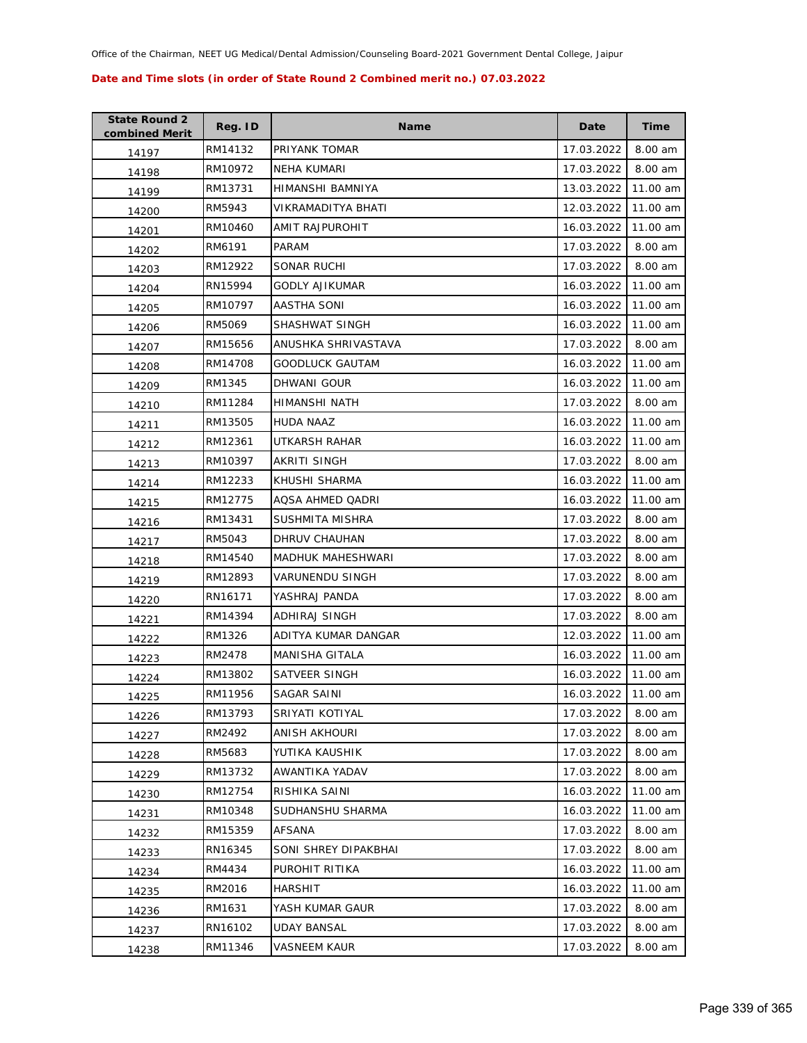| <b>State Round 2</b><br>combined Merit | Reg. ID | Name                   | Date       | Time     |
|----------------------------------------|---------|------------------------|------------|----------|
| 14197                                  | RM14132 | PRIYANK TOMAR          | 17.03.2022 | 8.00 am  |
| 14198                                  | RM10972 | NEHA KUMARI            | 17.03.2022 | 8.00 am  |
| 14199                                  | RM13731 | HIMANSHI BAMNIYA       | 13.03.2022 | 11.00 am |
| 14200                                  | RM5943  | VIKRAMADITYA BHATI     | 12.03.2022 | 11.00 am |
| 14201                                  | RM10460 | AMIT RAJPUROHIT        | 16.03.2022 | 11.00 am |
| 14202                                  | RM6191  | PARAM                  | 17.03.2022 | 8.00 am  |
| 14203                                  | RM12922 | <b>SONAR RUCHI</b>     | 17.03.2022 | 8.00 am  |
| 14204                                  | RN15994 | GODLY AJIKUMAR         | 16.03.2022 | 11.00 am |
| 14205                                  | RM10797 | AASTHA SONI            | 16.03.2022 | 11.00 am |
| 14206                                  | RM5069  | SHASHWAT SINGH         | 16.03.2022 | 11.00 am |
| 14207                                  | RM15656 | ANUSHKA SHRIVASTAVA    | 17.03.2022 | 8.00 am  |
| 14208                                  | RM14708 | GOODLUCK GAUTAM        | 16.03.2022 | 11.00 am |
| 14209                                  | RM1345  | <b>DHWANI GOUR</b>     | 16.03.2022 | 11.00 am |
| 14210                                  | RM11284 | HIMANSHI NATH          | 17.03.2022 | 8.00 am  |
| 14211                                  | RM13505 | HUDA NAAZ              | 16.03.2022 | 11.00 am |
| 14212                                  | RM12361 | UTKARSH RAHAR          | 16.03.2022 | 11.00 am |
| 14213                                  | RM10397 | AKRITI SINGH           | 17.03.2022 | 8.00 am  |
| 14214                                  | RM12233 | KHUSHI SHARMA          | 16.03.2022 | 11.00 am |
| 14215                                  | RM12775 | AQSA AHMED QADRI       | 16.03.2022 | 11.00 am |
| 14216                                  | RM13431 | SUSHMITA MISHRA        | 17.03.2022 | 8.00 am  |
| 14217                                  | RM5043  | DHRUV CHAUHAN          | 17.03.2022 | 8.00 am  |
| 14218                                  | RM14540 | MADHUK MAHESHWARI      | 17.03.2022 | 8.00 am  |
| 14219                                  | RM12893 | <b>VARUNENDU SINGH</b> | 17.03.2022 | 8.00 am  |
| 14220                                  | RN16171 | YASHRAJ PANDA          | 17.03.2022 | 8.00 am  |
| 14221                                  | RM14394 | ADHIRAJ SINGH          | 17.03.2022 | 8.00 am  |
| 14222                                  | RM1326  | ADITYA KUMAR DANGAR    | 12.03.2022 | 11.00 am |
| 14223                                  | RM2478  | <b>MANISHA GITALA</b>  | 16.03.2022 | 11.00 am |
| 14224                                  | RM13802 | SATVEER SINGH          | 16.03.2022 | 11.00 am |
| 14225                                  | RM11956 | SAGAR SAINI            | 16.03.2022 | 11.00 am |
| 14226                                  | RM13793 | SRIYATI KOTIYAL        | 17.03.2022 | 8.00 am  |
| 14227                                  | RM2492  | <b>ANISH AKHOURI</b>   | 17.03.2022 | 8.00 am  |
| 14228                                  | RM5683  | YUTIKA KAUSHIK         | 17.03.2022 | 8.00 am  |
| 14229                                  | RM13732 | AWANTIKA YADAV         | 17.03.2022 | 8.00 am  |
| 14230                                  | RM12754 | RISHIKA SAINI          | 16.03.2022 | 11.00 am |
| 14231                                  | RM10348 | SUDHANSHU SHARMA       | 16.03.2022 | 11.00 am |
| 14232                                  | RM15359 | AFSANA                 | 17.03.2022 | 8.00 am  |
| 14233                                  | RN16345 | SONI SHREY DIPAKBHAI   | 17.03.2022 | 8.00 am  |
| 14234                                  | RM4434  | PUROHIT RITIKA         | 16.03.2022 | 11.00 am |
| 14235                                  | RM2016  | HARSHIT                | 16.03.2022 | 11.00 am |
| 14236                                  | RM1631  | YASH KUMAR GAUR        | 17.03.2022 | 8.00 am  |
| 14237                                  | RN16102 | UDAY BANSAL            | 17.03.2022 | 8.00 am  |
| 14238                                  | RM11346 | VASNEEM KAUR           | 17.03.2022 | 8.00 am  |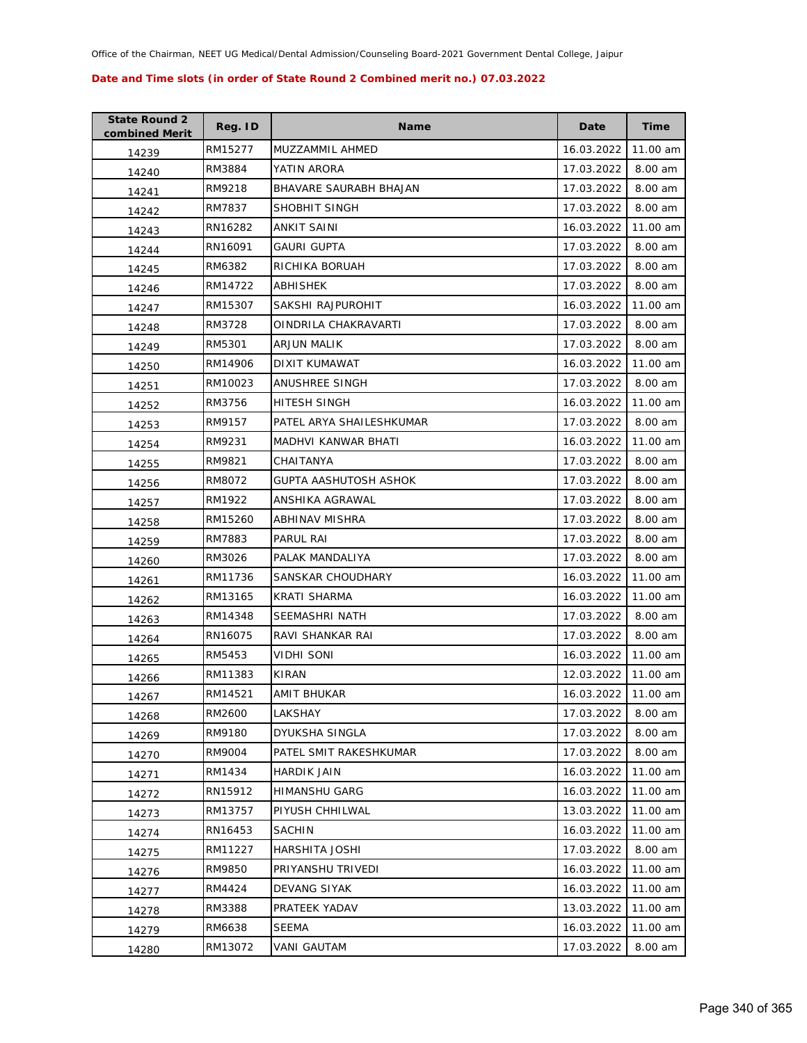| <b>State Round 2</b><br>combined Merit | Reg. ID | <b>Name</b>              | Date                | Time     |
|----------------------------------------|---------|--------------------------|---------------------|----------|
| 14239                                  | RM15277 | MUZZAMMIL AHMED          | 16.03.2022          | 11.00 am |
| 14240                                  | RM3884  | YATIN ARORA              | 17.03.2022          | 8.00 am  |
| 14241                                  | RM9218  | BHAVARE SAURABH BHAJAN   | 17.03.2022          | 8.00 am  |
| 14242                                  | RM7837  | SHOBHIT SINGH            | 17.03.2022          | 8.00 am  |
| 14243                                  | RN16282 | ANKIT SAINI              | 16.03.2022          | 11.00 am |
| 14244                                  | RN16091 | <b>GAURI GUPTA</b>       | 17.03.2022          | 8.00 am  |
| 14245                                  | RM6382  | RICHIKA BORUAH           | 17.03.2022          | 8.00 am  |
| 14246                                  | RM14722 | ABHISHEK                 | 17.03.2022          | 8.00 am  |
| 14247                                  | RM15307 | SAKSHI RAJPUROHIT        | 16.03.2022          | 11.00 am |
| 14248                                  | RM3728  | OINDRILA CHAKRAVARTI     | 17.03.2022          | 8.00 am  |
| 14249                                  | RM5301  | ARJUN MALIK              | 17.03.2022          | 8.00 am  |
| 14250                                  | RM14906 | DIXIT KUMAWAT            | 16.03.2022          | 11.00 am |
| 14251                                  | RM10023 | ANUSHREE SINGH           | 17.03.2022          | 8.00 am  |
| 14252                                  | RM3756  | HITESH SINGH             | 16.03.2022          | 11.00 am |
| 14253                                  | RM9157  | PATEL ARYA SHAILESHKUMAR | 17.03.2022          | 8.00 am  |
| 14254                                  | RM9231  | MADHVI KANWAR BHATI      | 16.03.2022          | 11.00 am |
| 14255                                  | RM9821  | CHAITANYA                | 17.03.2022          | 8.00 am  |
| 14256                                  | RM8072  | GUPTA AASHUTOSH ASHOK    | 17.03.2022          | 8.00 am  |
| 14257                                  | RM1922  | ANSHIKA AGRAWAL          | 17.03.2022          | 8.00 am  |
| 14258                                  | RM15260 | ABHINAV MISHRA           | 17.03.2022          | 8.00 am  |
| 14259                                  | RM7883  | PARUL RAI                | 17.03.2022          | 8.00 am  |
| 14260                                  | RM3026  | PALAK MANDALIYA          | 17.03.2022          | 8.00 am  |
| 14261                                  | RM11736 | SANSKAR CHOUDHARY        | 16.03.2022          | 11.00 am |
| 14262                                  | RM13165 | KRATI SHARMA             | 16.03.2022          | 11.00 am |
| 14263                                  | RM14348 | SEEMASHRI NATH           | 17.03.2022          | 8.00 am  |
| 14264                                  | RN16075 | RAVI SHANKAR RAI         | 17.03.2022          | 8.00 am  |
| 14265                                  | RM5453  | VIDHI SONI               | 16.03.2022          | 11.00 am |
| 14266                                  | RM11383 | KIRAN                    | 12.03.2022          | 11.00 am |
| 14267                                  | RM14521 | <b>AMIT BHUKAR</b>       | 16.03.2022 11.00 am |          |
| 14268                                  | RM2600  | LAKSHAY                  | 17.03.2022          | 8.00 am  |
| 14269                                  | RM9180  | DYUKSHA SINGLA           | 17.03.2022          | 8.00 am  |
| 14270                                  | RM9004  | PATEL SMIT RAKESHKUMAR   | 17.03.2022          | 8.00 am  |
| 14271                                  | RM1434  | HARDIK JAIN              | 16.03.2022          | 11.00 am |
| 14272                                  | RN15912 | <b>HIMANSHU GARG</b>     | 16.03.2022          | 11.00 am |
| 14273                                  | RM13757 | PIYUSH CHHILWAL          | 13.03.2022          | 11.00 am |
| 14274                                  | RN16453 | SACHIN                   | 16.03.2022          | 11.00 am |
| 14275                                  | RM11227 | HARSHITA JOSHI           | 17.03.2022          | 8.00 am  |
| 14276                                  | RM9850  | PRIYANSHU TRIVEDI        | 16.03.2022          | 11.00 am |
| 14277                                  | RM4424  | <b>DEVANG SIYAK</b>      | 16.03.2022          | 11.00 am |
| 14278                                  | RM3388  | PRATEEK YADAV            | 13.03.2022          | 11.00 am |
| 14279                                  | RM6638  | <b>SEEMA</b>             | 16.03.2022          | 11.00 am |
| 14280                                  | RM13072 | VANI GAUTAM              | 17.03.2022          | 8.00 am  |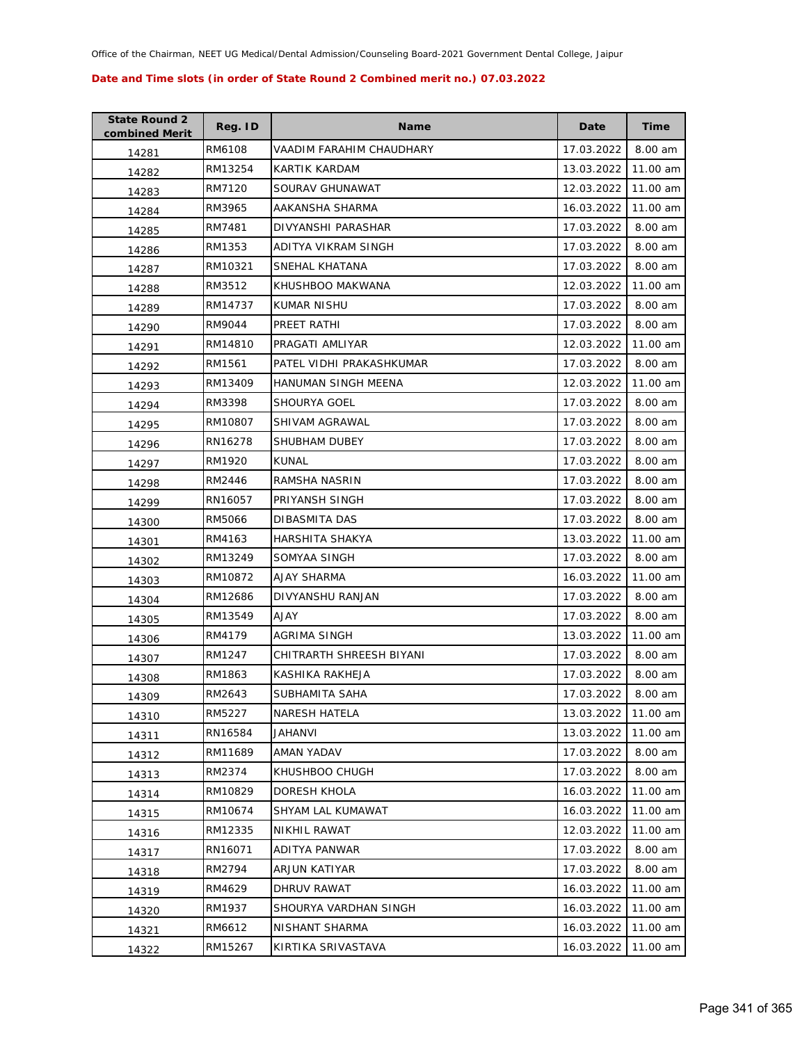| <b>State Round 2</b><br>combined Merit | Reg. ID | <b>Name</b>              | Date       | <b>Time</b> |
|----------------------------------------|---------|--------------------------|------------|-------------|
| 14281                                  | RM6108  | VAADIM FARAHIM CHAUDHARY | 17.03.2022 | 8.00 am     |
| 14282                                  | RM13254 | KARTIK KARDAM            | 13.03.2022 | 11.00 am    |
| 14283                                  | RM7120  | SOURAV GHUNAWAT          | 12.03.2022 | 11.00 am    |
| 14284                                  | RM3965  | AAKANSHA SHARMA          | 16.03.2022 | 11.00 am    |
| 14285                                  | RM7481  | DIVYANSHI PARASHAR       | 17.03.2022 | 8.00 am     |
| 14286                                  | RM1353  | ADITYA VIKRAM SINGH      | 17.03.2022 | 8.00 am     |
| 14287                                  | RM10321 | SNEHAL KHATANA           | 17.03.2022 | 8.00 am     |
| 14288                                  | RM3512  | KHUSHBOO MAKWANA         | 12.03.2022 | 11.00 am    |
| 14289                                  | RM14737 | KUMAR NISHU              | 17.03.2022 | 8.00 am     |
| 14290                                  | RM9044  | PREET RATHI              | 17.03.2022 | 8.00 am     |
| 14291                                  | RM14810 | PRAGATI AMLIYAR          | 12.03.2022 | 11.00 am    |
| 14292                                  | RM1561  | PATEL VIDHI PRAKASHKUMAR | 17.03.2022 | 8.00 am     |
| 14293                                  | RM13409 | HANUMAN SINGH MEENA      | 12.03.2022 | 11.00 am    |
| 14294                                  | RM3398  | <b>SHOURYA GOEL</b>      | 17.03.2022 | 8.00 am     |
| 14295                                  | RM10807 | SHIVAM AGRAWAL           | 17.03.2022 | 8.00 am     |
| 14296                                  | RN16278 | SHUBHAM DUBEY            | 17.03.2022 | 8.00 am     |
| 14297                                  | RM1920  | <b>KUNAL</b>             | 17.03.2022 | 8.00 am     |
| 14298                                  | RM2446  | RAMSHA NASRIN            | 17.03.2022 | 8.00 am     |
| 14299                                  | RN16057 | PRIYANSH SINGH           | 17.03.2022 | 8.00 am     |
| 14300                                  | RM5066  | DIBASMITA DAS            | 17.03.2022 | 8.00 am     |
| 14301                                  | RM4163  | HARSHITA SHAKYA          | 13.03.2022 | 11.00 am    |
| 14302                                  | RM13249 | SOMYAA SINGH             | 17.03.2022 | 8.00 am     |
| 14303                                  | RM10872 | AJAY SHARMA              | 16.03.2022 | 11.00 am    |
| 14304                                  | RM12686 | DIVYANSHU RANJAN         | 17.03.2022 | 8.00 am     |
| 14305                                  | RM13549 | <b>AJAY</b>              | 17.03.2022 | 8.00 am     |
| 14306                                  | RM4179  | AGRIMA SINGH             | 13.03.2022 | 11.00 am    |
| 14307                                  | RM1247  | CHITRARTH SHREESH BIYANI | 17.03.2022 | 8.00 am     |
| 14308                                  | RM1863  | KASHIKA RAKHEJA          | 17.03.2022 | 8.00 am     |
| 14309                                  | RM2643  | SUBHAMITA SAHA           | 17.03.2022 | 8.00 am     |
| 14310                                  | RM5227  | <b>NARESH HATELA</b>     | 13.03.2022 | 11.00 am    |
| 14311                                  | RN16584 | JAHANVI                  | 13.03.2022 | 11.00 am    |
| 14312                                  | RM11689 | AMAN YADAV               | 17.03.2022 | 8.00 am     |
| 14313                                  | RM2374  | KHUSHBOO CHUGH           | 17.03.2022 | 8.00 am     |
| 14314                                  | RM10829 | <b>DORESH KHOLA</b>      | 16.03.2022 | 11.00 am    |
| 14315                                  | RM10674 | SHYAM LAL KUMAWAT        | 16.03.2022 | 11.00 am    |
| 14316                                  | RM12335 | NIKHIL RAWAT             | 12.03.2022 | 11.00 am    |
| 14317                                  | RN16071 | <b>ADITYA PANWAR</b>     | 17.03.2022 | 8.00 am     |
| 14318                                  | RM2794  | ARJUN KATIYAR            | 17.03.2022 | 8.00 am     |
| 14319                                  | RM4629  | DHRUV RAWAT              | 16.03.2022 | 11.00 am    |
| 14320                                  | RM1937  | SHOURYA VARDHAN SINGH    | 16.03.2022 | 11.00 am    |
| 14321                                  | RM6612  | NISHANT SHARMA           | 16.03.2022 | 11.00 am    |
| 14322                                  | RM15267 | KIRTIKA SRIVASTAVA       | 16.03.2022 | 11.00 am    |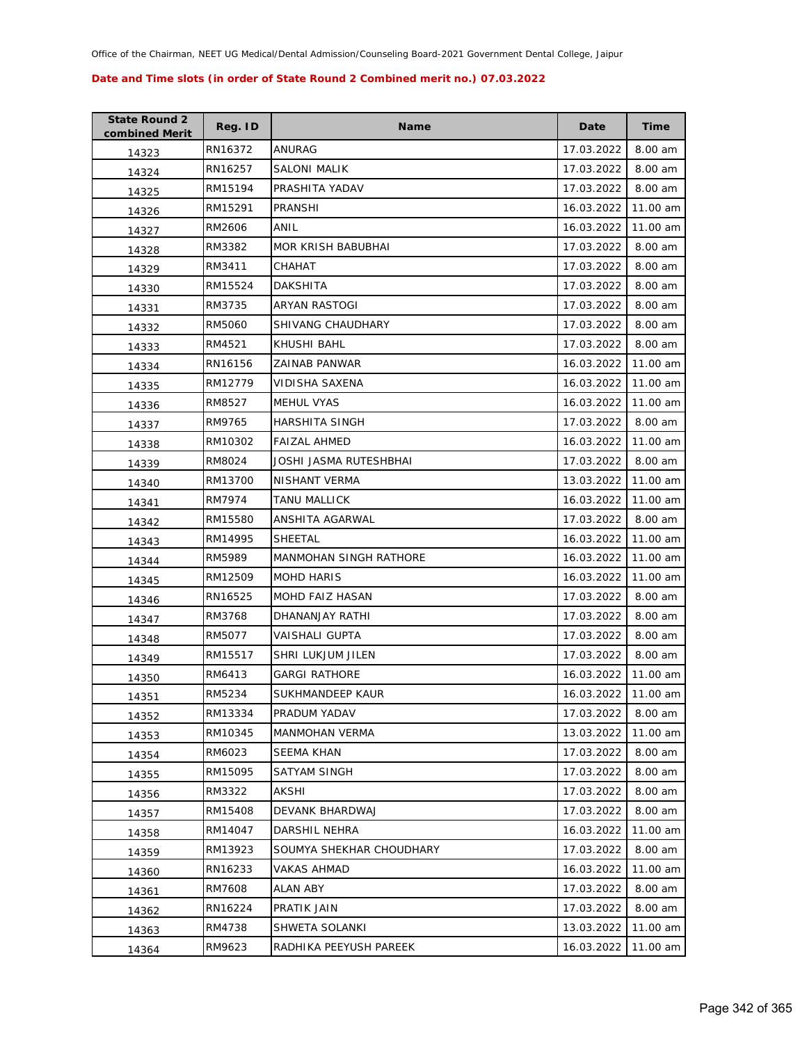| <b>State Round 2</b><br>combined Merit | Reg. ID | <b>Name</b>                   | Date       | Time     |
|----------------------------------------|---------|-------------------------------|------------|----------|
| 14323                                  | RN16372 | ANURAG                        | 17.03.2022 | 8.00 am  |
| 14324                                  | RN16257 | SALONI MALIK                  | 17.03.2022 | 8.00 am  |
| 14325                                  | RM15194 | PRASHITA YADAV                | 17.03.2022 | 8.00 am  |
| 14326                                  | RM15291 | PRANSHI                       | 16.03.2022 | 11.00 am |
| 14327                                  | RM2606  | ANIL                          | 16.03.2022 | 11.00 am |
| 14328                                  | RM3382  | MOR KRISH BABUBHAI            | 17.03.2022 | 8.00 am  |
| 14329                                  | RM3411  | СНАНАТ                        | 17.03.2022 | 8.00 am  |
| 14330                                  | RM15524 | <b>DAKSHITA</b>               | 17.03.2022 | 8.00 am  |
| 14331                                  | RM3735  | ARYAN RASTOGI                 | 17.03.2022 | 8.00 am  |
| 14332                                  | RM5060  | SHIVANG CHAUDHARY             | 17.03.2022 | 8.00 am  |
| 14333                                  | RM4521  | KHUSHI BAHL                   | 17.03.2022 | 8.00 am  |
| 14334                                  | RN16156 | ZAINAB PANWAR                 | 16.03.2022 | 11.00 am |
| 14335                                  | RM12779 | <b>VIDISHA SAXENA</b>         | 16.03.2022 | 11.00 am |
| 14336                                  | RM8527  | <b>MEHUL VYAS</b>             | 16.03.2022 | 11.00 am |
| 14337                                  | RM9765  | HARSHITA SINGH                | 17.03.2022 | 8.00 am  |
| 14338                                  | RM10302 | <b>FAIZAL AHMED</b>           | 16.03.2022 | 11.00 am |
| 14339                                  | RM8024  | JOSHI JASMA RUTESHBHAI        | 17.03.2022 | 8.00 am  |
| 14340                                  | RM13700 | NISHANT VERMA                 | 13.03.2022 | 11.00 am |
| 14341                                  | RM7974  | <b>TANU MALLICK</b>           | 16.03.2022 | 11.00 am |
| 14342                                  | RM15580 | ANSHITA AGARWAL               | 17.03.2022 | 8.00 am  |
| 14343                                  | RM14995 | <b>SHEETAL</b>                | 16.03.2022 | 11.00 am |
| 14344                                  | RM5989  | <b>MANMOHAN SINGH RATHORE</b> | 16.03.2022 | 11.00 am |
| 14345                                  | RM12509 | <b>MOHD HARIS</b>             | 16.03.2022 | 11.00 am |
| 14346                                  | RN16525 | MOHD FAIZ HASAN               | 17.03.2022 | 8.00 am  |
| 14347                                  | RM3768  | DHANANJAY RATHI               | 17.03.2022 | 8.00 am  |
| 14348                                  | RM5077  | VAISHALI GUPTA                | 17.03.2022 | 8.00 am  |
| 14349                                  | RM15517 | SHRI LUKJUM JILEN             | 17.03.2022 | 8.00 am  |
| 14350                                  | RM6413  | <b>GARGI RATHORE</b>          | 16.03.2022 | 11.00 am |
| 14351                                  | RM5234  | SUKHMANDEEP KAUR              | 16.03.2022 | 11.00 am |
| 14352                                  | RM13334 | PRADUM YADAV                  | 17.03.2022 | 8.00 am  |
| 14353                                  | RM10345 | <b>MANMOHAN VERMA</b>         | 13.03.2022 | 11.00 am |
| 14354                                  | RM6023  | <b>SEEMA KHAN</b>             | 17.03.2022 | 8.00 am  |
| 14355                                  | RM15095 | SATYAM SINGH                  | 17.03.2022 | 8.00 am  |
| 14356                                  | RM3322  | AKSHI                         | 17.03.2022 | 8.00 am  |
| 14357                                  | RM15408 | DEVANK BHARDWAJ               | 17.03.2022 | 8.00 am  |
| 14358                                  | RM14047 | DARSHIL NEHRA                 | 16.03.2022 | 11.00 am |
| 14359                                  | RM13923 | SOUMYA SHEKHAR CHOUDHARY      | 17.03.2022 | 8.00 am  |
| 14360                                  | RN16233 | VAKAS AHMAD                   | 16.03.2022 | 11.00 am |
| 14361                                  | RM7608  | <b>ALAN ABY</b>               | 17.03.2022 | 8.00 am  |
| 14362                                  | RN16224 | PRATIK JAIN                   | 17.03.2022 | 8.00 am  |
| 14363                                  | RM4738  | SHWETA SOLANKI                | 13.03.2022 | 11.00 am |
| 14364                                  | RM9623  | RADHIKA PEEYUSH PAREEK        | 16.03.2022 | 11.00 am |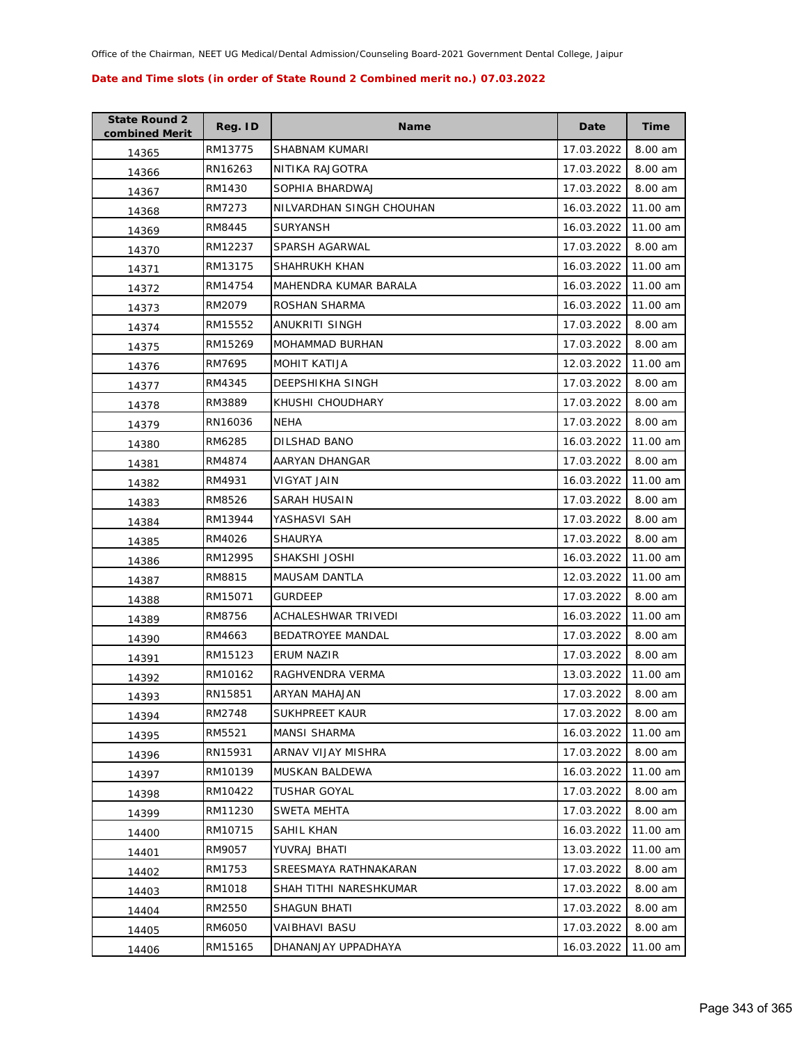| <b>State Round 2</b><br>combined Merit | Reg. ID | <b>Name</b>              | Date       | Time     |
|----------------------------------------|---------|--------------------------|------------|----------|
| 14365                                  | RM13775 | SHABNAM KUMARI           | 17.03.2022 | 8.00 am  |
| 14366                                  | RN16263 | NITIKA RAJGOTRA          | 17.03.2022 | 8.00 am  |
| 14367                                  | RM1430  | SOPHIA BHARDWAJ          | 17.03.2022 | 8.00 am  |
| 14368                                  | RM7273  | NILVARDHAN SINGH CHOUHAN | 16.03.2022 | 11.00 am |
| 14369                                  | RM8445  | <b>SURYANSH</b>          | 16.03.2022 | 11.00 am |
| 14370                                  | RM12237 | SPARSH AGARWAL           | 17.03.2022 | 8.00 am  |
| 14371                                  | RM13175 | SHAHRUKH KHAN            | 16.03.2022 | 11.00 am |
| 14372                                  | RM14754 | MAHENDRA KUMAR BARALA    | 16.03.2022 | 11.00 am |
| 14373                                  | RM2079  | ROSHAN SHARMA            | 16.03.2022 | 11.00 am |
| 14374                                  | RM15552 | ANUKRITI SINGH           | 17.03.2022 | 8.00 am  |
| 14375                                  | RM15269 | MOHAMMAD BURHAN          | 17.03.2022 | 8.00 am  |
| 14376                                  | RM7695  | <b>MOHIT KATIJA</b>      | 12.03.2022 | 11.00 am |
| 14377                                  | RM4345  | DEEPSHIKHA SINGH         | 17.03.2022 | 8.00 am  |
| 14378                                  | RM3889  | KHUSHI CHOUDHARY         | 17.03.2022 | 8.00 am  |
| 14379                                  | RN16036 | NEHA                     | 17.03.2022 | 8.00 am  |
| 14380                                  | RM6285  | DILSHAD BANO             | 16.03.2022 | 11.00 am |
| 14381                                  | RM4874  | AARYAN DHANGAR           | 17.03.2022 | 8.00 am  |
| 14382                                  | RM4931  | VIGYAT JAIN              | 16.03.2022 | 11.00 am |
| 14383                                  | RM8526  | SARAH HUSAIN             | 17.03.2022 | 8.00 am  |
| 14384                                  | RM13944 | YASHASVI SAH             | 17.03.2022 | 8.00 am  |
| 14385                                  | RM4026  | SHAURYA                  | 17.03.2022 | 8.00 am  |
| 14386                                  | RM12995 | SHAKSHI JOSHI            | 16.03.2022 | 11.00 am |
| 14387                                  | RM8815  | <b>MAUSAM DANTLA</b>     | 12.03.2022 | 11.00 am |
| 14388                                  | RM15071 | <b>GURDEEP</b>           | 17.03.2022 | 8.00 am  |
| 14389                                  | RM8756  | ACHALESHWAR TRIVEDI      | 16.03.2022 | 11.00 am |
| 14390                                  | RM4663  | <b>BEDATROYEE MANDAL</b> | 17.03.2022 | 8.00 am  |
| 14391                                  | RM15123 | ERUM NAZIR               | 17.03.2022 | 8.00 am  |
| 14392                                  | RM10162 | RAGHVENDRA VERMA         | 13.03.2022 | 11.00 am |
| 14393                                  | RN15851 | <b>ARYAN MAHAJAN</b>     | 17.03.2022 | 8.00 am  |
| 14394                                  | RM2748  | SUKHPREET KAUR           | 17.03.2022 | 8.00 am  |
| 14395                                  | RM5521  | <b>MANSI SHARMA</b>      | 16.03.2022 | 11.00 am |
| 14396                                  | RN15931 | ARNAV VIJAY MISHRA       | 17.03.2022 | 8.00 am  |
| 14397                                  | RM10139 | MUSKAN BALDEWA           | 16.03.2022 | 11.00 am |
| 14398                                  | RM10422 | <b>TUSHAR GOYAL</b>      | 17.03.2022 | 8.00 am  |
| 14399                                  | RM11230 | SWETA MEHTA              | 17.03.2022 | 8.00 am  |
| 14400                                  | RM10715 | SAHIL KHAN               | 16.03.2022 | 11.00 am |
| 14401                                  | RM9057  | YUVRAJ BHATI             | 13.03.2022 | 11.00 am |
| 14402                                  | RM1753  | SREESMAYA RATHNAKARAN    | 17.03.2022 | 8.00 am  |
| 14403                                  | RM1018  | SHAH TITHI NARESHKUMAR   | 17.03.2022 | 8.00 am  |
| 14404                                  | RM2550  | SHAGUN BHATI             | 17.03.2022 | 8.00 am  |
| 14405                                  | RM6050  | VAIBHAVI BASU            | 17.03.2022 | 8.00 am  |
| 14406                                  | RM15165 | DHANANJAY UPPADHAYA      | 16.03.2022 | 11.00 am |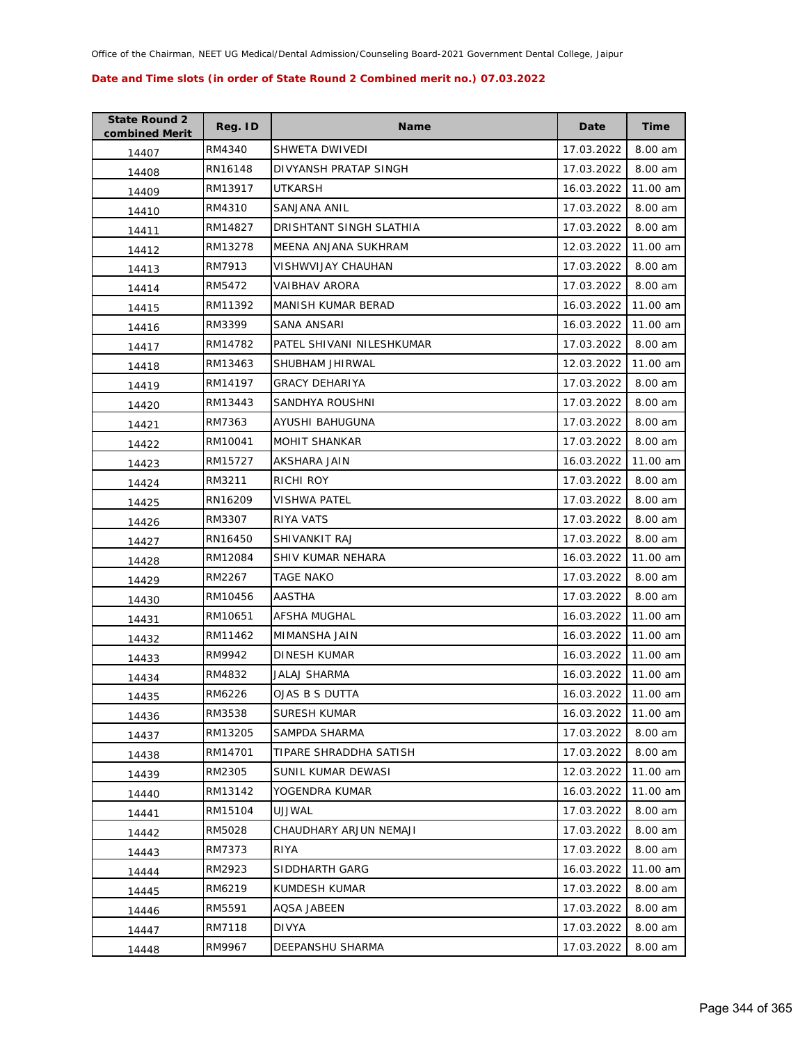| <b>State Round 2</b><br>combined Merit | Reg. ID | <b>Name</b>               | Date                | <b>Time</b> |
|----------------------------------------|---------|---------------------------|---------------------|-------------|
| 14407                                  | RM4340  | SHWETA DWIVEDI            | 17.03.2022          | 8.00 am     |
| 14408                                  | RN16148 | DIVYANSH PRATAP SINGH     | 17.03.2022          | 8.00 am     |
| 14409                                  | RM13917 | UTKARSH                   | 16.03.2022          | 11.00 am    |
| 14410                                  | RM4310  | SANJANA ANIL              | 17.03.2022          | 8.00 am     |
| 14411                                  | RM14827 | DRISHTANT SINGH SLATHIA   | 17.03.2022          | 8.00 am     |
| 14412                                  | RM13278 | MEENA ANJANA SUKHRAM      | 12.03.2022          | 11.00 am    |
| 14413                                  | RM7913  | VISHWVIJAY CHAUHAN        | 17.03.2022          | 8.00 am     |
| 14414                                  | RM5472  | VAIBHAV ARORA             | 17.03.2022          | 8.00 am     |
| 14415                                  | RM11392 | MANISH KUMAR BERAD        | 16.03.2022          | 11.00 am    |
| 14416                                  | RM3399  | SANA ANSARI               | 16.03.2022          | 11.00 am    |
| 14417                                  | RM14782 | PATEL SHIVANI NILESHKUMAR | 17.03.2022          | 8.00 am     |
| 14418                                  | RM13463 | SHUBHAM JHIRWAL           | 12.03.2022          | 11.00 am    |
| 14419                                  | RM14197 | <b>GRACY DEHARIYA</b>     | 17.03.2022          | 8.00 am     |
| 14420                                  | RM13443 | SANDHYA ROUSHNI           | 17.03.2022          | 8.00 am     |
| 14421                                  | RM7363  | AYUSHI BAHUGUNA           | 17.03.2022          | 8.00 am     |
| 14422                                  | RM10041 | <b>MOHIT SHANKAR</b>      | 17.03.2022          | 8.00 am     |
| 14423                                  | RM15727 | AKSHARA JAIN              | 16.03.2022          | 11.00 am    |
| 14424                                  | RM3211  | <b>RICHI ROY</b>          | 17.03.2022          | 8.00 am     |
| 14425                                  | RN16209 | VISHWA PATEL              | 17.03.2022          | 8.00 am     |
| 14426                                  | RM3307  | RIYA VATS                 | 17.03.2022          | 8.00 am     |
| 14427                                  | RN16450 | SHIVANKIT RAJ             | 17.03.2022          | 8.00 am     |
| 14428                                  | RM12084 | SHIV KUMAR NEHARA         | 16.03.2022          | 11.00 am    |
| 14429                                  | RM2267  | TAGE NAKO                 | 17.03.2022          | 8.00 am     |
| 14430                                  | RM10456 | AASTHA                    | 17.03.2022          | 8.00 am     |
| 14431                                  | RM10651 | AFSHA MUGHAL              | 16.03.2022          | 11.00 am    |
| 14432                                  | RM11462 | MIMANSHA JAIN             | 16.03.2022          | 11.00 am    |
| 14433                                  | RM9942  | DINESH KUMAR              | 16.03.2022          | 11.00 am    |
| 14434                                  | RM4832  | JALAJ SHARMA              | 16.03.2022          | 11.00 am    |
| 14435                                  | RM6226  | OJAS B S DUTTA            | 16.03.2022 11.00 am |             |
| 14436                                  | RM3538  | SURESH KUMAR              | 16.03.2022          | 11.00 am    |
| 14437                                  | RM13205 | SAMPDA SHARMA             | 17.03.2022          | 8.00 am     |
| 14438                                  | RM14701 | TIPARE SHRADDHA SATISH    | 17.03.2022          | 8.00 am     |
| 14439                                  | RM2305  | SUNIL KUMAR DEWASI        | 12.03.2022          | 11.00 am    |
| 14440                                  | RM13142 | YOGENDRA KUMAR            | 16.03.2022          | 11.00 am    |
| 14441                                  | RM15104 | UJJWAL                    | 17.03.2022          | 8.00 am     |
| 14442                                  | RM5028  | CHAUDHARY ARJUN NEMAJI    | 17.03.2022          | 8.00 am     |
| 14443                                  | RM7373  | <b>RIYA</b>               | 17.03.2022          | 8.00 am     |
| 14444                                  | RM2923  | SIDDHARTH GARG            | 16.03.2022          | 11.00 am    |
| 14445                                  | RM6219  | KUMDESH KUMAR             | 17.03.2022          | 8.00 am     |
| 14446                                  | RM5591  | AQSA JABEEN               | 17.03.2022          | 8.00 am     |
| 14447                                  | RM7118  | DIVYA                     | 17.03.2022          | 8.00 am     |
| 14448                                  | RM9967  | DEEPANSHU SHARMA          | 17.03.2022          | 8.00 am     |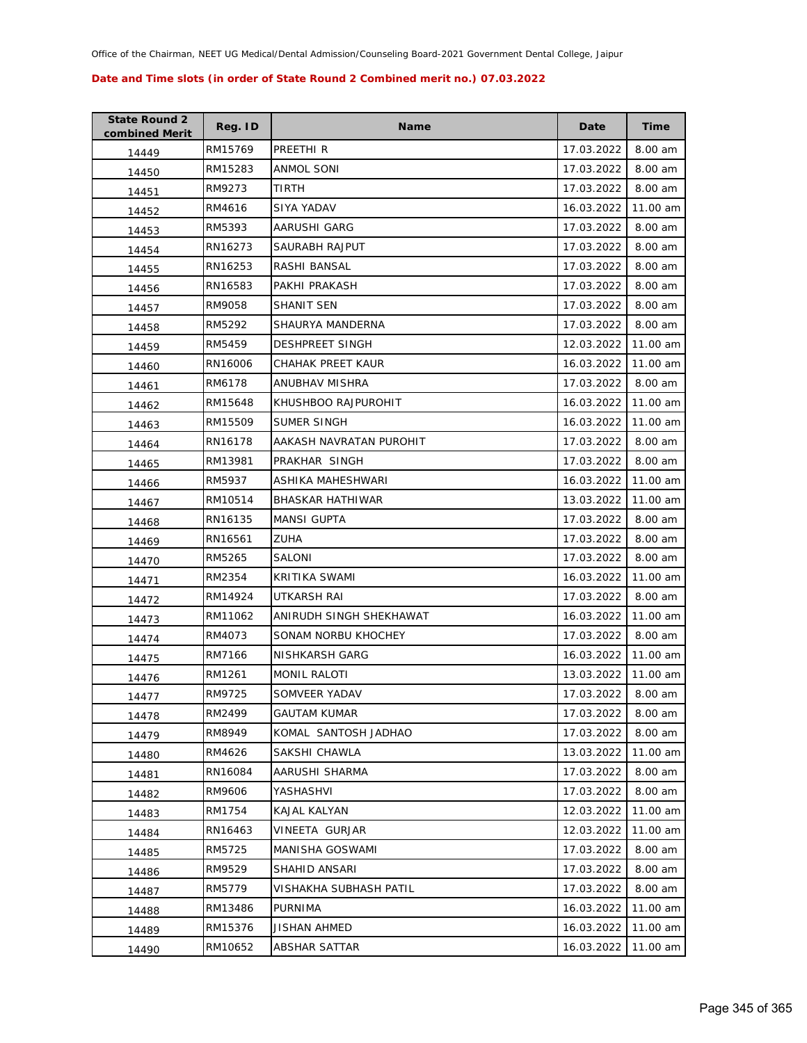| <b>State Round 2</b><br>combined Merit | Reg. ID | <b>Name</b>             | Date       | Time     |
|----------------------------------------|---------|-------------------------|------------|----------|
| 14449                                  | RM15769 | PREETHI R               | 17.03.2022 | 8.00 am  |
| 14450                                  | RM15283 | ANMOL SONI              | 17.03.2022 | 8.00 am  |
| 14451                                  | RM9273  | TIRTH                   | 17.03.2022 | 8.00 am  |
| 14452                                  | RM4616  | SIYA YADAV              | 16.03.2022 | 11.00 am |
| 14453                                  | RM5393  | AARUSHI GARG            | 17.03.2022 | 8.00 am  |
| 14454                                  | RN16273 | SAURABH RAJPUT          | 17.03.2022 | 8.00 am  |
| 14455                                  | RN16253 | RASHI BANSAL            | 17.03.2022 | 8.00 am  |
| 14456                                  | RN16583 | PAKHI PRAKASH           | 17.03.2022 | 8.00 am  |
| 14457                                  | RM9058  | SHANIT SEN              | 17.03.2022 | 8.00 am  |
| 14458                                  | RM5292  | SHAURYA MANDERNA        | 17.03.2022 | 8.00 am  |
| 14459                                  | RM5459  | <b>DESHPREET SINGH</b>  | 12.03.2022 | 11.00 am |
| 14460                                  | RN16006 | CHAHAK PREET KAUR       | 16.03.2022 | 11.00 am |
| 14461                                  | RM6178  | ANUBHAV MISHRA          | 17.03.2022 | 8.00 am  |
| 14462                                  | RM15648 | KHUSHBOO RAJPUROHIT     | 16.03.2022 | 11.00 am |
| 14463                                  | RM15509 | <b>SUMER SINGH</b>      | 16.03.2022 | 11.00 am |
| 14464                                  | RN16178 | AAKASH NAVRATAN PUROHIT | 17.03.2022 | 8.00 am  |
| 14465                                  | RM13981 | PRAKHAR SINGH           | 17.03.2022 | 8.00 am  |
| 14466                                  | RM5937  | ASHIKA MAHESHWARI       | 16.03.2022 | 11.00 am |
| 14467                                  | RM10514 | <b>BHASKAR HATHIWAR</b> | 13.03.2022 | 11.00 am |
| 14468                                  | RN16135 | MANSI GUPTA             | 17.03.2022 | 8.00 am  |
| 14469                                  | RN16561 | ZUHA                    | 17.03.2022 | 8.00 am  |
| 14470                                  | RM5265  | SALONI                  | 17.03.2022 | 8.00 am  |
| 14471                                  | RM2354  | KRITIKA SWAMI           | 16.03.2022 | 11.00 am |
| 14472                                  | RM14924 | UTKARSH RAI             | 17.03.2022 | 8.00 am  |
| 14473                                  | RM11062 | ANIRUDH SINGH SHEKHAWAT | 16.03.2022 | 11.00 am |
| 14474                                  | RM4073  | SONAM NORBU KHOCHEY     | 17.03.2022 | 8.00 am  |
| 14475                                  | RM7166  | <b>NISHKARSH GARG</b>   | 16.03.2022 | 11.00 am |
| 14476                                  | RM1261  | <b>MONIL RALOTI</b>     | 13.03.2022 | 11.00 am |
| 14477                                  | RM9725  | SOMVEER YADAV           | 17.03.2022 | 8.00 am  |
| 14478                                  | RM2499  | <b>GAUTAM KUMAR</b>     | 17.03.2022 | 8.00 am  |
| 14479                                  | RM8949  | KOMAL SANTOSH JADHAO    | 17.03.2022 | 8.00 am  |
| 14480                                  | RM4626  | SAKSHI CHAWLA           | 13.03.2022 | 11.00 am |
| 14481                                  | RN16084 | AARUSHI SHARMA          | 17.03.2022 | 8.00 am  |
| 14482                                  | RM9606  | YASHASHVI               | 17.03.2022 | 8.00 am  |
| 14483                                  | RM1754  | KAJAL KALYAN            | 12.03.2022 | 11.00 am |
| 14484                                  | RN16463 | VINEETA GURJAR          | 12.03.2022 | 11.00 am |
| 14485                                  | RM5725  | MANISHA GOSWAMI         | 17.03.2022 | 8.00 am  |
| 14486                                  | RM9529  | SHAHID ANSARI           | 17.03.2022 | 8.00 am  |
| 14487                                  | RM5779  | VISHAKHA SUBHASH PATIL  | 17.03.2022 | 8.00 am  |
| 14488                                  | RM13486 | PURNIMA                 | 16.03.2022 | 11.00 am |
| 14489                                  | RM15376 | JISHAN AHMED            | 16.03.2022 | 11.00 am |
| 14490                                  | RM10652 | <b>ABSHAR SATTAR</b>    | 16.03.2022 | 11.00 am |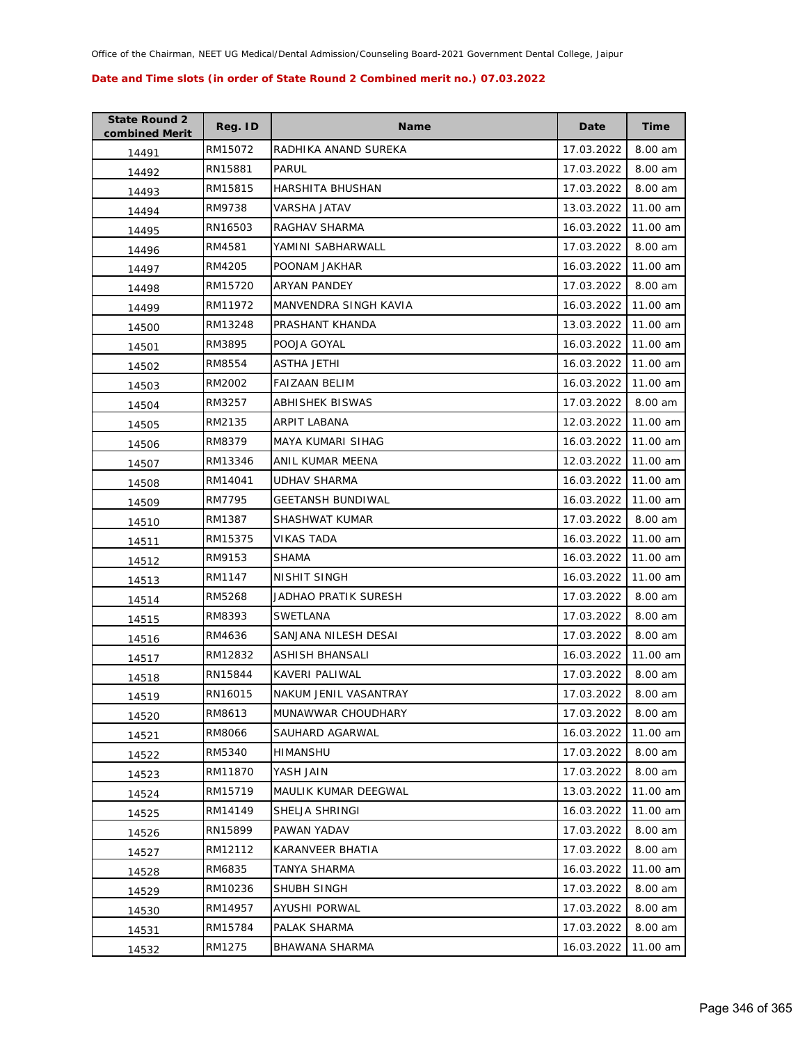| <b>State Round 2</b><br>combined Merit | Reg. ID | <b>Name</b>              | Date       | <b>Time</b> |
|----------------------------------------|---------|--------------------------|------------|-------------|
| 14491                                  | RM15072 | RADHIKA ANAND SUREKA     | 17.03.2022 | 8.00 am     |
| 14492                                  | RN15881 | PARUL                    | 17.03.2022 | 8.00 am     |
| 14493                                  | RM15815 | <b>HARSHITA BHUSHAN</b>  | 17.03.2022 | 8.00 am     |
| 14494                                  | RM9738  | VARSHA JATAV             | 13.03.2022 | 11.00 am    |
| 14495                                  | RN16503 | RAGHAV SHARMA            | 16.03.2022 | 11.00 am    |
| 14496                                  | RM4581  | YAMINI SABHARWALL        | 17.03.2022 | 8.00 am     |
| 14497                                  | RM4205  | POONAM JAKHAR            | 16.03.2022 | 11.00 am    |
| 14498                                  | RM15720 | <b>ARYAN PANDEY</b>      | 17.03.2022 | 8.00 am     |
| 14499                                  | RM11972 | MANVENDRA SINGH KAVIA    | 16.03.2022 | 11.00 am    |
| 14500                                  | RM13248 | PRASHANT KHANDA          | 13.03.2022 | 11.00 am    |
| 14501                                  | RM3895  | POOJA GOYAL              | 16.03.2022 | 11.00 am    |
| 14502                                  | RM8554  | ASTHA JETHI              | 16.03.2022 | 11.00 am    |
| 14503                                  | RM2002  | <b>FAIZAAN BELIM</b>     | 16.03.2022 | 11.00 am    |
| 14504                                  | RM3257  | ABHISHEK BISWAS          | 17.03.2022 | 8.00 am     |
| 14505                                  | RM2135  | ARPIT LABANA             | 12.03.2022 | 11.00 am    |
| 14506                                  | RM8379  | MAYA KUMARI SIHAG        | 16.03.2022 | 11.00 am    |
| 14507                                  | RM13346 | ANIL KUMAR MEENA         | 12.03.2022 | 11.00 am    |
| 14508                                  | RM14041 | <b>UDHAV SHARMA</b>      | 16.03.2022 | 11.00 am    |
| 14509                                  | RM7795  | <b>GEETANSH BUNDIWAL</b> | 16.03.2022 | 11.00 am    |
| 14510                                  | RM1387  | SHASHWAT KUMAR           | 17.03.2022 | 8.00 am     |
| 14511                                  | RM15375 | <b>VIKAS TADA</b>        | 16.03.2022 | 11.00 am    |
| 14512                                  | RM9153  | <b>SHAMA</b>             | 16.03.2022 | 11.00 am    |
| 14513                                  | RM1147  | NISHIT SINGH             | 16.03.2022 | 11.00 am    |
| 14514                                  | RM5268  | JADHAO PRATIK SURESH     | 17.03.2022 | 8.00 am     |
| 14515                                  | RM8393  | SWETLANA                 | 17.03.2022 | 8.00 am     |
| 14516                                  | RM4636  | SANJANA NILESH DESAI     | 17.03.2022 | 8.00 am     |
| 14517                                  | RM12832 | ASHISH BHANSALI          | 16.03.2022 | 11.00 am    |
| 14518                                  | RN15844 | KAVERI PALIWAL           | 17.03.2022 | 8.00 am     |
| 14519                                  | RN16015 | NAKUM JENIL VASANTRAY    | 17.03.2022 | 8.00 am     |
| 14520                                  | RM8613  | MUNAWWAR CHOUDHARY       | 17.03.2022 | 8.00 am     |
| 14521                                  | RM8066  | SAUHARD AGARWAL          | 16.03.2022 | 11.00 am    |
| 14522                                  | RM5340  | HIMANSHU                 | 17.03.2022 | 8.00 am     |
| 14523                                  | RM11870 | YASH JAIN                | 17.03.2022 | 8.00 am     |
| 14524                                  | RM15719 | MAULIK KUMAR DEEGWAL     | 13.03.2022 | 11.00 am    |
| 14525                                  | RM14149 | SHELJA SHRINGI           | 16.03.2022 | 11.00 am    |
| 14526                                  | RN15899 | PAWAN YADAV              | 17.03.2022 | 8.00 am     |
| 14527                                  | RM12112 | KARANVEER BHATIA         | 17.03.2022 | 8.00 am     |
| 14528                                  | RM6835  | TANYA SHARMA             | 16.03.2022 | 11.00 am    |
| 14529                                  | RM10236 | SHUBH SINGH              | 17.03.2022 | 8.00 am     |
| 14530                                  | RM14957 | AYUSHI PORWAL            | 17.03.2022 | 8.00 am     |
| 14531                                  | RM15784 | PALAK SHARMA             | 17.03.2022 | 8.00 am     |
| 14532                                  | RM1275  | BHAWANA SHARMA           | 16.03.2022 | 11.00 am    |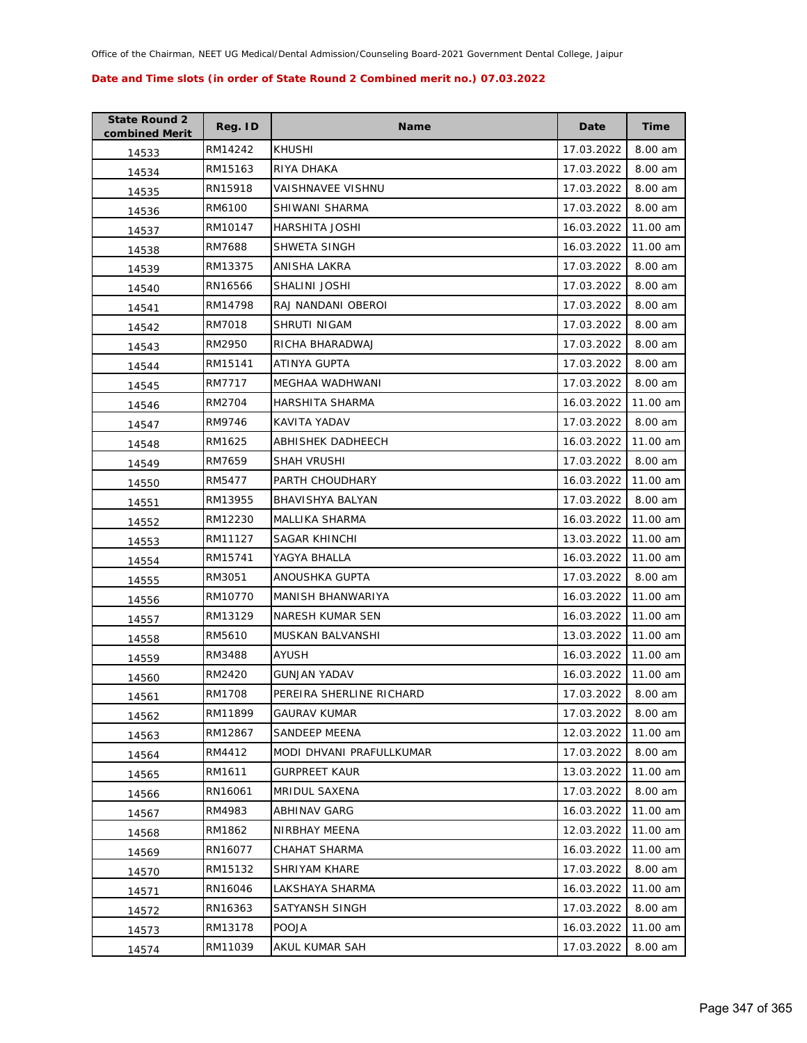| <b>State Round 2</b><br>combined Merit | Reg. ID | <b>Name</b>              | Date       | <b>Time</b> |
|----------------------------------------|---------|--------------------------|------------|-------------|
| 14533                                  | RM14242 | <b>KHUSHI</b>            | 17.03.2022 | 8.00 am     |
| 14534                                  | RM15163 | RIYA DHAKA               | 17.03.2022 | 8.00 am     |
| 14535                                  | RN15918 | <b>VAISHNAVEE VISHNU</b> | 17.03.2022 | 8.00 am     |
| 14536                                  | RM6100  | SHIWANI SHARMA           | 17.03.2022 | 8.00 am     |
| 14537                                  | RM10147 | HARSHITA JOSHI           | 16.03.2022 | 11.00 am    |
| 14538                                  | RM7688  | SHWETA SINGH             | 16.03.2022 | 11.00 am    |
| 14539                                  | RM13375 | ANISHA LAKRA             | 17.03.2022 | 8.00 am     |
| 14540                                  | RN16566 | SHALINI JOSHI            | 17.03.2022 | 8.00 am     |
| 14541                                  | RM14798 | RAJ NANDANI OBEROI       | 17.03.2022 | 8.00 am     |
| 14542                                  | RM7018  | SHRUTI NIGAM             | 17.03.2022 | 8.00 am     |
| 14543                                  | RM2950  | RICHA BHARADWAJ          | 17.03.2022 | 8.00 am     |
| 14544                                  | RM15141 | ATINYA GUPTA             | 17.03.2022 | 8.00 am     |
| 14545                                  | RM7717  | MEGHAA WADHWANI          | 17.03.2022 | 8.00 am     |
| 14546                                  | RM2704  | HARSHITA SHARMA          | 16.03.2022 | 11.00 am    |
| 14547                                  | RM9746  | KAVITA YADAV             | 17.03.2022 | 8.00 am     |
| 14548                                  | RM1625  | ABHISHEK DADHEECH        | 16.03.2022 | 11.00 am    |
| 14549                                  | RM7659  | SHAH VRUSHI              | 17.03.2022 | 8.00 am     |
| 14550                                  | RM5477  | PARTH CHOUDHARY          | 16.03.2022 | 11.00 am    |
| 14551                                  | RM13955 | BHAVISHYA BALYAN         | 17.03.2022 | 8.00 am     |
| 14552                                  | RM12230 | MALLIKA SHARMA           | 16.03.2022 | 11.00 am    |
| 14553                                  | RM11127 | SAGAR KHINCHI            | 13.03.2022 | 11.00 am    |
| 14554                                  | RM15741 | YAGYA BHALLA             | 16.03.2022 | 11.00 am    |
| 14555                                  | RM3051  | ANOUSHKA GUPTA           | 17.03.2022 | 8.00 am     |
| 14556                                  | RM10770 | MANISH BHANWARIYA        | 16.03.2022 | 11.00 am    |
| 14557                                  | RM13129 | NARESH KUMAR SEN         | 16.03.2022 | 11.00 am    |
| 14558                                  | RM5610  | MUSKAN BALVANSHI         | 13.03.2022 | 11.00 am    |
| 14559                                  | RM3488  | <b>AYUSH</b>             | 16.03.2022 | 11.00 am    |
| 14560                                  | RM2420  | <b>GUNJAN YADAV</b>      | 16.03.2022 | 11.00 am    |
| 14561                                  | RM1708  | PEREIRA SHERLINE RICHARD | 17.03.2022 | 8.00 am     |
| 14562                                  | RM11899 | <b>GAURAV KUMAR</b>      | 17.03.2022 | 8.00 am     |
| 14563                                  | RM12867 | <b>SANDEEP MEENA</b>     | 12.03.2022 | 11.00 am    |
| 14564                                  | RM4412  | MODI DHVANI PRAFULLKUMAR | 17.03.2022 | 8.00 am     |
| 14565                                  | RM1611  | <b>GURPREET KAUR</b>     | 13.03.2022 | 11.00 am    |
| 14566                                  | RN16061 | MRIDUL SAXENA            | 17.03.2022 | 8.00 am     |
| 14567                                  | RM4983  | <b>ABHINAV GARG</b>      | 16.03.2022 | 11.00 am    |
| 14568                                  | RM1862  | NIRBHAY MEENA            | 12.03.2022 | 11.00 am    |
| 14569                                  | RN16077 | CHAHAT SHARMA            | 16.03.2022 | 11.00 am    |
| 14570                                  | RM15132 | SHRIYAM KHARE            | 17.03.2022 | 8.00 am     |
| 14571                                  | RN16046 | LAKSHAYA SHARMA          | 16.03.2022 | 11.00 am    |
| 14572                                  | RN16363 | SATYANSH SINGH           | 17.03.2022 | 8.00 am     |
| 14573                                  | RM13178 | <b>POOJA</b>             | 16.03.2022 | 11.00 am    |
| 14574                                  | RM11039 | AKUL KUMAR SAH           | 17.03.2022 | 8.00 am     |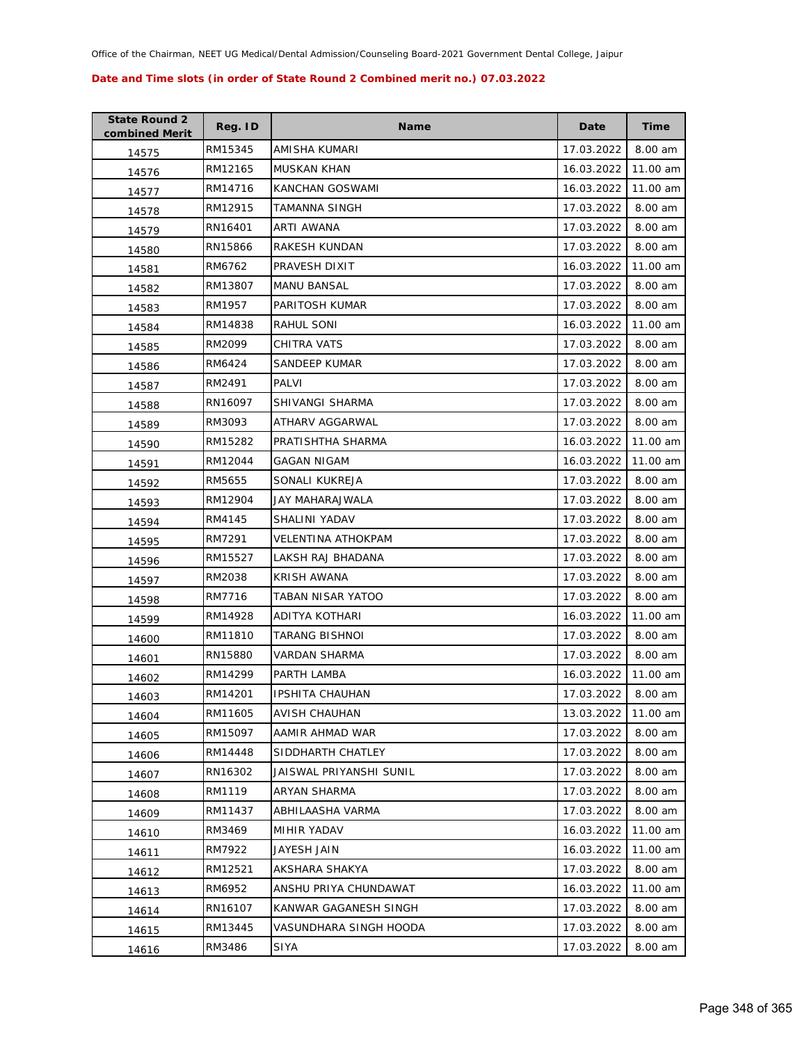| <b>State Round 2</b><br>combined Merit | Reg. ID | Name                    | Date       | Time      |
|----------------------------------------|---------|-------------------------|------------|-----------|
| 14575                                  | RM15345 | AMISHA KUMARI           | 17.03.2022 | 8.00 am   |
| 14576                                  | RM12165 | MUSKAN KHAN             | 16.03.2022 | 11.00 am  |
| 14577                                  | RM14716 | KANCHAN GOSWAMI         | 16.03.2022 | 11.00 am  |
| 14578                                  | RM12915 | TAMANNA SINGH           | 17.03.2022 | 8.00 am   |
| 14579                                  | RN16401 | ARTI AWANA              | 17.03.2022 | 8.00 am   |
| 14580                                  | RN15866 | RAKESH KUNDAN           | 17.03.2022 | 8.00 am   |
| 14581                                  | RM6762  | PRAVESH DIXIT           | 16.03.2022 | 11.00 am  |
| 14582                                  | RM13807 | <b>MANU BANSAL</b>      | 17.03.2022 | 8.00 am   |
| 14583                                  | RM1957  | PARITOSH KUMAR          | 17.03.2022 | 8.00 am   |
| 14584                                  | RM14838 | RAHUL SONI              | 16.03.2022 | 11.00 am  |
| 14585                                  | RM2099  | CHITRA VATS             | 17.03.2022 | 8.00 am   |
| 14586                                  | RM6424  | SANDEEP KUMAR           | 17.03.2022 | 8.00 am   |
| 14587                                  | RM2491  | PALVI                   | 17.03.2022 | 8.00 am   |
| 14588                                  | RN16097 | SHIVANGI SHARMA         | 17.03.2022 | 8.00 am   |
| 14589                                  | RM3093  | ATHARV AGGARWAL         | 17.03.2022 | 8.00 am   |
| 14590                                  | RM15282 | PRATISHTHA SHARMA       | 16.03.2022 | 11.00 am  |
| 14591                                  | RM12044 | GAGAN NIGAM             | 16.03.2022 | 11.00 am  |
| 14592                                  | RM5655  | SONALI KUKREJA          | 17.03.2022 | 8.00 am   |
| 14593                                  | RM12904 | JAY MAHARAJWALA         | 17.03.2022 | 8.00 am   |
| 14594                                  | RM4145  | SHALINI YADAV           | 17.03.2022 | 8.00 am   |
| 14595                                  | RM7291  | VELENTINA ATHOKPAM      | 17.03.2022 | 8.00 am   |
| 14596                                  | RM15527 | LAKSH RAJ BHADANA       | 17.03.2022 | 8.00 am   |
| 14597                                  | RM2038  | <b>KRISH AWANA</b>      | 17.03.2022 | 8.00 am   |
| 14598                                  | RM7716  | TABAN NISAR YATOO       | 17.03.2022 | 8.00 am   |
| 14599                                  | RM14928 | ADITYA KOTHARI          | 16.03.2022 | 11.00 am  |
| 14600                                  | RM11810 | TARANG BISHNOI          | 17.03.2022 | 8.00 am   |
| 14601                                  | RN15880 | VARDAN SHARMA           | 17.03.2022 | $8.00$ am |
| 14602                                  | RM14299 | PARTH LAMBA             | 16.03.2022 | 11.00 am  |
| 14603                                  | RM14201 | <b>IPSHITA CHAUHAN</b>  | 17.03.2022 | 8.00 am   |
| 14604                                  | RM11605 | <b>AVISH CHAUHAN</b>    | 13.03.2022 | 11.00 am  |
| 14605                                  | RM15097 | AAMIR AHMAD WAR         | 17.03.2022 | 8.00 am   |
| 14606                                  | RM14448 | SIDDHARTH CHATLEY       | 17.03.2022 | 8.00 am   |
| 14607                                  | RN16302 | JAISWAL PRIYANSHI SUNIL | 17.03.2022 | 8.00 am   |
| 14608                                  | RM1119  | <b>ARYAN SHARMA</b>     | 17.03.2022 | 8.00 am   |
| 14609                                  | RM11437 | ABHILAASHA VARMA        | 17.03.2022 | 8.00 am   |
| 14610                                  | RM3469  | MIHIR YADAV             | 16.03.2022 | 11.00 am  |
| 14611                                  | RM7922  | JAYESH JAIN             | 16.03.2022 | 11.00 am  |
| 14612                                  | RM12521 | AKSHARA SHAKYA          | 17.03.2022 | 8.00 am   |
| 14613                                  | RM6952  | ANSHU PRIYA CHUNDAWAT   | 16.03.2022 | 11.00 am  |
| 14614                                  | RN16107 | KANWAR GAGANESH SINGH   | 17.03.2022 | 8.00 am   |
| 14615                                  | RM13445 | VASUNDHARA SINGH HOODA  | 17.03.2022 | 8.00 am   |
| 14616                                  | RM3486  | SIYA                    | 17.03.2022 | 8.00 am   |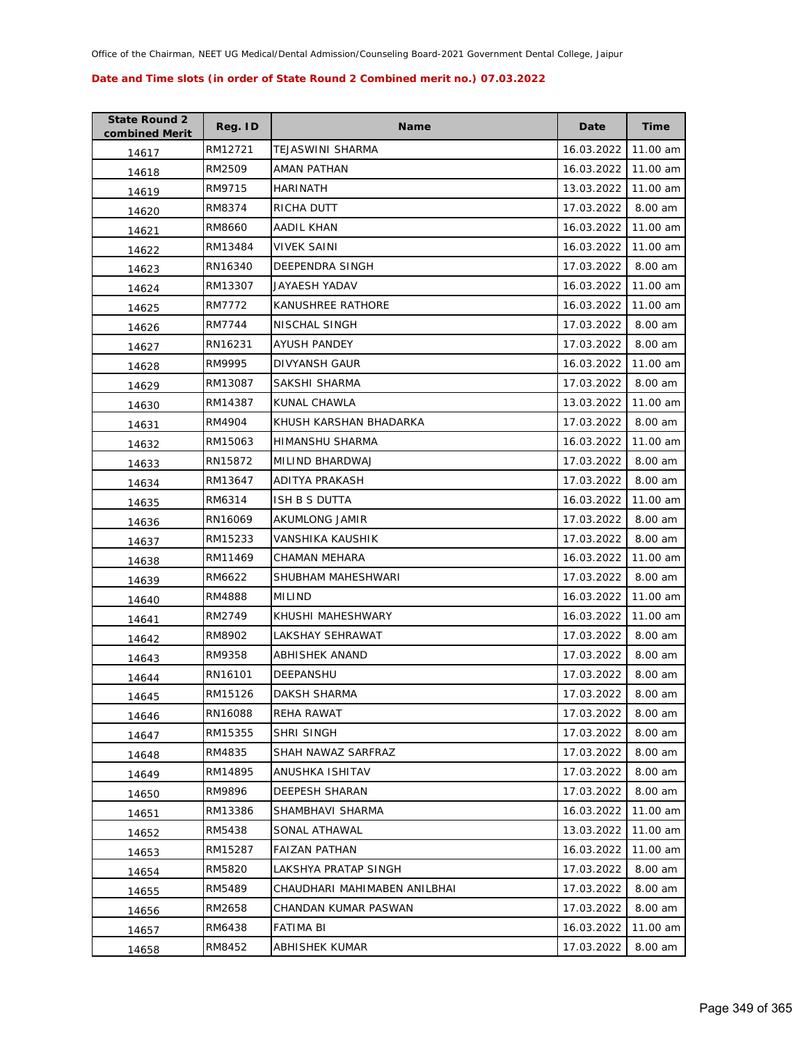| <b>State Round 2</b><br>combined Merit | Reg. ID | <b>Name</b>                  | Date       | <b>Time</b> |
|----------------------------------------|---------|------------------------------|------------|-------------|
| 14617                                  | RM12721 | TEJASWINI SHARMA             | 16.03.2022 | 11.00 am    |
| 14618                                  | RM2509  | AMAN PATHAN                  | 16.03.2022 | 11.00 am    |
| 14619                                  | RM9715  | <b>HARINATH</b>              | 13.03.2022 | 11.00 am    |
| 14620                                  | RM8374  | RICHA DUTT                   | 17.03.2022 | 8.00 am     |
| 14621                                  | RM8660  | AADIL KHAN                   | 16.03.2022 | 11.00 am    |
| 14622                                  | RM13484 | <b>VIVEK SAINI</b>           | 16.03.2022 | 11.00 am    |
| 14623                                  | RN16340 | DEEPENDRA SINGH              | 17.03.2022 | 8.00 am     |
| 14624                                  | RM13307 | JAYAESH YADAV                | 16.03.2022 | 11.00 am    |
| 14625                                  | RM7772  | KANUSHREE RATHORE            | 16.03.2022 | 11.00 am    |
| 14626                                  | RM7744  | NISCHAL SINGH                | 17.03.2022 | 8.00 am     |
| 14627                                  | RN16231 | AYUSH PANDEY                 | 17.03.2022 | 8.00 am     |
| 14628                                  | RM9995  | DIVYANSH GAUR                | 16.03.2022 | 11.00 am    |
| 14629                                  | RM13087 | SAKSHI SHARMA                | 17.03.2022 | 8.00 am     |
| 14630                                  | RM14387 | KUNAL CHAWLA                 | 13.03.2022 | 11.00 am    |
| 14631                                  | RM4904  | KHUSH KARSHAN BHADARKA       | 17.03.2022 | 8.00 am     |
| 14632                                  | RM15063 | HIMANSHU SHARMA              | 16.03.2022 | 11.00 am    |
| 14633                                  | RN15872 | MILIND BHARDWAJ              | 17.03.2022 | 8.00 am     |
| 14634                                  | RM13647 | ADITYA PRAKASH               | 17.03.2022 | 8.00 am     |
| 14635                                  | RM6314  | ISH B S DUTTA                | 16.03.2022 | 11.00 am    |
| 14636                                  | RN16069 | AKUMLONG JAMIR               | 17.03.2022 | 8.00 am     |
| 14637                                  | RM15233 | VANSHIKA KAUSHIK             | 17.03.2022 | 8.00 am     |
| 14638                                  | RM11469 | CHAMAN MEHARA                | 16.03.2022 | 11.00 am    |
| 14639                                  | RM6622  | SHUBHAM MAHESHWARI           | 17.03.2022 | 8.00 am     |
| 14640                                  | RM4888  | <b>MILIND</b>                | 16.03.2022 | 11.00 am    |
| 14641                                  | RM2749  | KHUSHI MAHESHWARY            | 16.03.2022 | 11.00 am    |
| 14642                                  | RM8902  | LAKSHAY SEHRAWAT             | 17.03.2022 | 8.00 am     |
| 14643                                  | RM9358  | ABHISHEK ANAND               | 17.03.2022 | 8.00 am     |
| 14644                                  | RN16101 | DEEPANSHU                    | 17.03.2022 | 8.00 am     |
| 14645                                  | RM15126 | DAKSH SHARMA                 | 17.03.2022 | 8.00 am     |
| 14646                                  | RN16088 | REHA RAWAT                   | 17.03.2022 | 8.00 am     |
| 14647                                  | RM15355 | SHRI SINGH                   | 17.03.2022 | 8.00 am     |
| 14648                                  | RM4835  | SHAH NAWAZ SARFRAZ           | 17.03.2022 | 8.00 am     |
| 14649                                  | RM14895 | ANUSHKA ISHITAV              | 17.03.2022 | 8.00 am     |
| 14650                                  | RM9896  | DEEPESH SHARAN               | 17.03.2022 | 8.00 am     |
| 14651                                  | RM13386 | SHAMBHAVI SHARMA             | 16.03.2022 | 11.00 am    |
| 14652                                  | RM5438  | SONAL ATHAWAL                | 13.03.2022 | 11.00 am    |
| 14653                                  | RM15287 | <b>FAIZAN PATHAN</b>         | 16.03.2022 | 11.00 am    |
| 14654                                  | RM5820  | LAKSHYA PRATAP SINGH         | 17.03.2022 | 8.00 am     |
| 14655                                  | RM5489  | CHAUDHARI MAHIMABEN ANILBHAI | 17.03.2022 | 8.00 am     |
| 14656                                  | RM2658  | CHANDAN KUMAR PASWAN         | 17.03.2022 | 8.00 am     |
| 14657                                  | RM6438  | FATIMA BI                    | 16.03.2022 | 11.00 am    |
| 14658                                  | RM8452  | <b>ABHISHEK KUMAR</b>        | 17.03.2022 | 8.00 am     |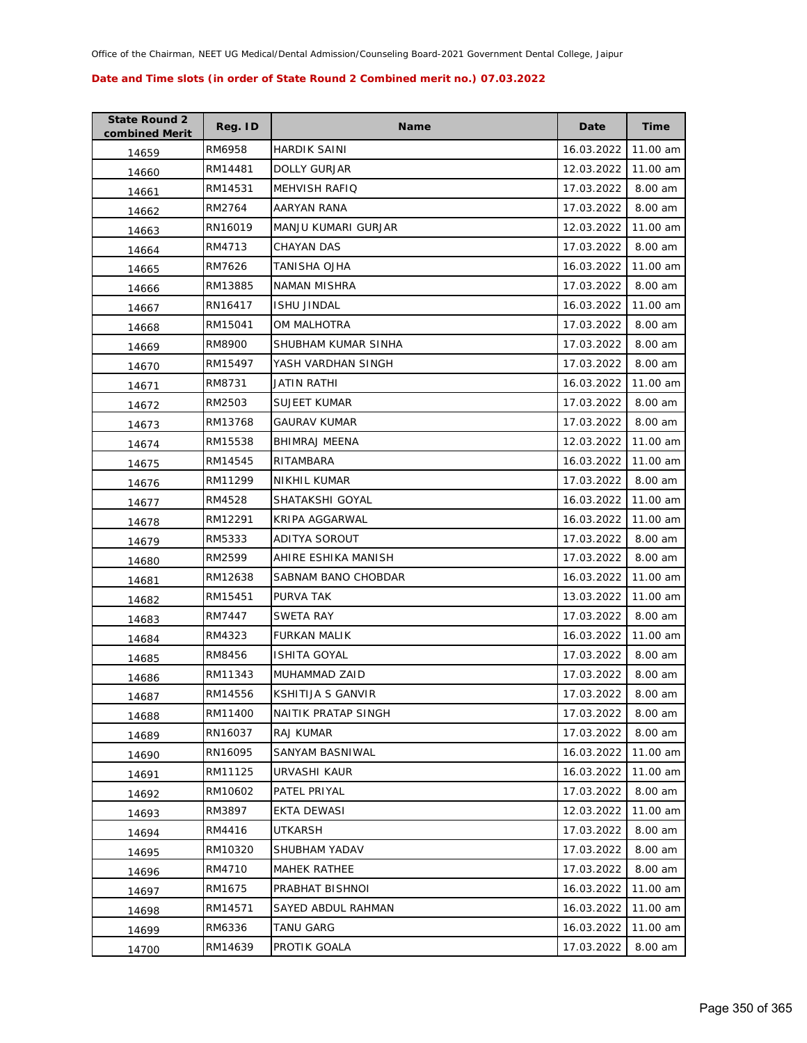| <b>State Round 2</b><br>combined Merit | Reg. ID | Name                 | Date       | Time     |
|----------------------------------------|---------|----------------------|------------|----------|
| 14659                                  | RM6958  | <b>HARDIK SAINI</b>  | 16.03.2022 | 11.00 am |
| 14660                                  | RM14481 | <b>DOLLY GURJAR</b>  | 12.03.2022 | 11.00 am |
| 14661                                  | RM14531 | <b>MEHVISH RAFIQ</b> | 17.03.2022 | 8.00 am  |
| 14662                                  | RM2764  | AARYAN RANA          | 17.03.2022 | 8.00 am  |
| 14663                                  | RN16019 | MANJU KUMARI GURJAR  | 12.03.2022 | 11.00 am |
| 14664                                  | RM4713  | <b>CHAYAN DAS</b>    | 17.03.2022 | 8.00 am  |
| 14665                                  | RM7626  | TANISHA OJHA         | 16.03.2022 | 11.00 am |
| 14666                                  | RM13885 | NAMAN MISHRA         | 17.03.2022 | 8.00 am  |
| 14667                                  | RN16417 | <b>ISHU JINDAL</b>   | 16.03.2022 | 11.00 am |
| 14668                                  | RM15041 | OM MALHOTRA          | 17.03.2022 | 8.00 am  |
| 14669                                  | RM8900  | SHUBHAM KUMAR SINHA  | 17.03.2022 | 8.00 am  |
| 14670                                  | RM15497 | YASH VARDHAN SINGH   | 17.03.2022 | 8.00 am  |
| 14671                                  | RM8731  | <b>JATIN RATHI</b>   | 16.03.2022 | 11.00 am |
| 14672                                  | RM2503  | <b>SUJEET KUMAR</b>  | 17.03.2022 | 8.00 am  |
| 14673                                  | RM13768 | <b>GAURAV KUMAR</b>  | 17.03.2022 | 8.00 am  |
| 14674                                  | RM15538 | BHIMRAJ MEENA        | 12.03.2022 | 11.00 am |
| 14675                                  | RM14545 | RITAMBARA            | 16.03.2022 | 11.00 am |
| 14676                                  | RM11299 | NIKHIL KUMAR         | 17.03.2022 | 8.00 am  |
| 14677                                  | RM4528  | SHATAKSHI GOYAL      | 16.03.2022 | 11.00 am |
| 14678                                  | RM12291 | KRIPA AGGARWAL       | 16.03.2022 | 11.00 am |
| 14679                                  | RM5333  | ADITYA SOROUT        | 17.03.2022 | 8.00 am  |
| 14680                                  | RM2599  | AHIRE ESHIKA MANISH  | 17.03.2022 | 8.00 am  |
| 14681                                  | RM12638 | SABNAM BANO CHOBDAR  | 16.03.2022 | 11.00 am |
| 14682                                  | RM15451 | PURVA TAK            | 13.03.2022 | 11.00 am |
| 14683                                  | RM7447  | SWETA RAY            | 17.03.2022 | 8.00 am  |
| 14684                                  | RM4323  | <b>FURKAN MALIK</b>  | 16.03.2022 | 11.00 am |
| 14685                                  | RM8456  | <b>ISHITA GOYAL</b>  | 17.03.2022 | 8.00 am  |
| 14686                                  | RM11343 | MUHAMMAD ZAID        | 17.03.2022 | 8.00 am  |
| 14687                                  | RM14556 | KSHITIJA S GANVIR    | 17.03.2022 | 8.00 am  |
| 14688                                  | RM11400 | NAITIK PRATAP SINGH  | 17.03.2022 | 8.00 am  |
| 14689                                  | RN16037 | <b>RAJ KUMAR</b>     | 17.03.2022 | 8.00 am  |
| 14690                                  | RN16095 | SANYAM BASNIWAL      | 16.03.2022 | 11.00 am |
| 14691                                  | RM11125 | URVASHI KAUR         | 16.03.2022 | 11.00 am |
| 14692                                  | RM10602 | PATEL PRIYAL         | 17.03.2022 | 8.00 am  |
| 14693                                  | RM3897  | EKTA DEWASI          | 12.03.2022 | 11.00 am |
| 14694                                  | RM4416  | UTKARSH              | 17.03.2022 | 8.00 am  |
| 14695                                  | RM10320 | SHUBHAM YADAV        | 17.03.2022 | 8.00 am  |
| 14696                                  | RM4710  | <b>MAHEK RATHEE</b>  | 17.03.2022 | 8.00 am  |
| 14697                                  | RM1675  | PRABHAT BISHNOI      | 16.03.2022 | 11.00 am |
| 14698                                  | RM14571 | SAYED ABDUL RAHMAN   | 16.03.2022 | 11.00 am |
| 14699                                  | RM6336  | <b>TANU GARG</b>     | 16.03.2022 | 11.00 am |
| 14700                                  | RM14639 | PROTIK GOALA         | 17.03.2022 | 8.00 am  |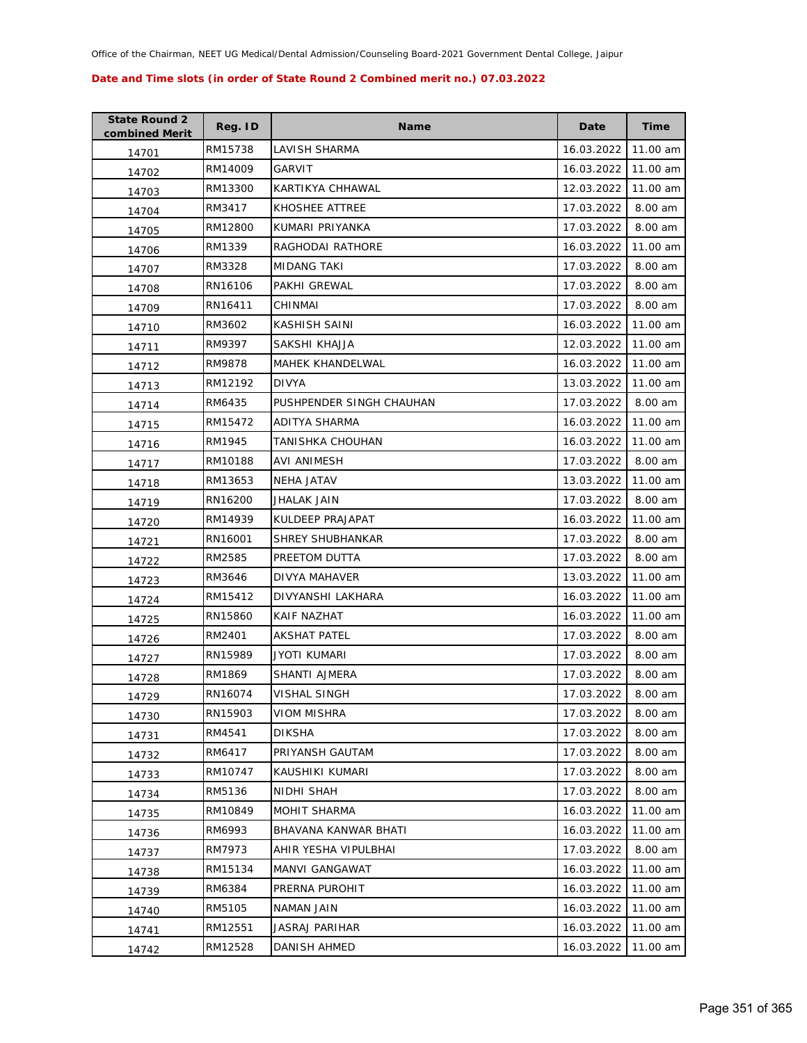| <b>State Round 2</b><br>combined Merit | Reg. ID | <b>Name</b>              | Date       | <b>Time</b> |
|----------------------------------------|---------|--------------------------|------------|-------------|
| 14701                                  | RM15738 | LAVISH SHARMA            | 16.03.2022 | 11.00 am    |
| 14702                                  | RM14009 | GARVIT                   | 16.03.2022 | 11.00 am    |
| 14703                                  | RM13300 | KARTIKYA CHHAWAL         | 12.03.2022 | 11.00 am    |
| 14704                                  | RM3417  | KHOSHEE ATTREE           | 17.03.2022 | 8.00 am     |
| 14705                                  | RM12800 | KUMARI PRIYANKA          | 17.03.2022 | 8.00 am     |
| 14706                                  | RM1339  | RAGHODAI RATHORE         | 16.03.2022 | 11.00 am    |
| 14707                                  | RM3328  | MIDANG TAKI              | 17.03.2022 | 8.00 am     |
| 14708                                  | RN16106 | PAKHI GREWAL             | 17.03.2022 | 8.00 am     |
| 14709                                  | RN16411 | CHINMAI                  | 17.03.2022 | 8.00 am     |
| 14710                                  | RM3602  | KASHISH SAINI            | 16.03.2022 | 11.00 am    |
| 14711                                  | RM9397  | SAKSHI KHAJJA            | 12.03.2022 | 11.00 am    |
| 14712                                  | RM9878  | <b>MAHEK KHANDELWAL</b>  | 16.03.2022 | 11.00 am    |
| 14713                                  | RM12192 | <b>DIVYA</b>             | 13.03.2022 | 11.00 am    |
| 14714                                  | RM6435  | PUSHPENDER SINGH CHAUHAN | 17.03.2022 | 8.00 am     |
| 14715                                  | RM15472 | ADITYA SHARMA            | 16.03.2022 | 11.00 am    |
| 14716                                  | RM1945  | TANISHKA CHOUHAN         | 16.03.2022 | 11.00 am    |
| 14717                                  | RM10188 | AVI ANIMESH              | 17.03.2022 | 8.00 am     |
| 14718                                  | RM13653 | NEHA JATAV               | 13.03.2022 | 11.00 am    |
| 14719                                  | RN16200 | JHALAK JAIN              | 17.03.2022 | 8.00 am     |
| 14720                                  | RM14939 | KULDEEP PRAJAPAT         | 16.03.2022 | 11.00 am    |
| 14721                                  | RN16001 | SHREY SHUBHANKAR         | 17.03.2022 | 8.00 am     |
| 14722                                  | RM2585  | PREETOM DUTTA            | 17.03.2022 | 8.00 am     |
| 14723                                  | RM3646  | DIVYA MAHAVER            | 13.03.2022 | 11.00 am    |
| 14724                                  | RM15412 | DIVYANSHI LAKHARA        | 16.03.2022 | 11.00 am    |
| 14725                                  | RN15860 | KAIF NAZHAT              | 16.03.2022 | 11.00 am    |
| 14726                                  | RM2401  | <b>AKSHAT PATEL</b>      | 17.03.2022 | 8.00 am     |
| 14727                                  | RN15989 | JYOTI KUMARI             | 17.03.2022 | 8.00 am     |
| 14728                                  | RM1869  | SHANTI AJMERA            | 17.03.2022 | 8.00 am     |
| 14729                                  | RN16074 | <b>VISHAL SINGH</b>      | 17.03.2022 | 8.00 am     |
| 14730                                  | RN15903 | <b>VIOM MISHRA</b>       | 17.03.2022 | 8.00 am     |
| 14731                                  | RM4541  | <b>DIKSHA</b>            | 17.03.2022 | 8.00 am     |
| 14732                                  | RM6417  | PRIYANSH GAUTAM          | 17.03.2022 | 8.00 am     |
| 14733                                  | RM10747 | KAUSHIKI KUMARI          | 17.03.2022 | 8.00 am     |
| 14734                                  | RM5136  | NIDHI SHAH               | 17.03.2022 | 8.00 am     |
| 14735                                  | RM10849 | MOHIT SHARMA             | 16.03.2022 | 11.00 am    |
| 14736                                  | RM6993  | BHAVANA KANWAR BHATI     | 16.03.2022 | 11.00 am    |
| 14737                                  | RM7973  | AHIR YESHA VIPULBHAI     | 17.03.2022 | 8.00 am     |
| 14738                                  | RM15134 | MANVI GANGAWAT           | 16.03.2022 | 11.00 am    |
| 14739                                  | RM6384  | PRERNA PUROHIT           | 16.03.2022 | 11.00 am    |
| 14740                                  | RM5105  | NAMAN JAIN               | 16.03.2022 | 11.00 am    |
| 14741                                  | RM12551 | <b>JASRAJ PARIHAR</b>    | 16.03.2022 | 11.00 am    |
| 14742                                  | RM12528 | DANISH AHMED             | 16.03.2022 | 11.00 am    |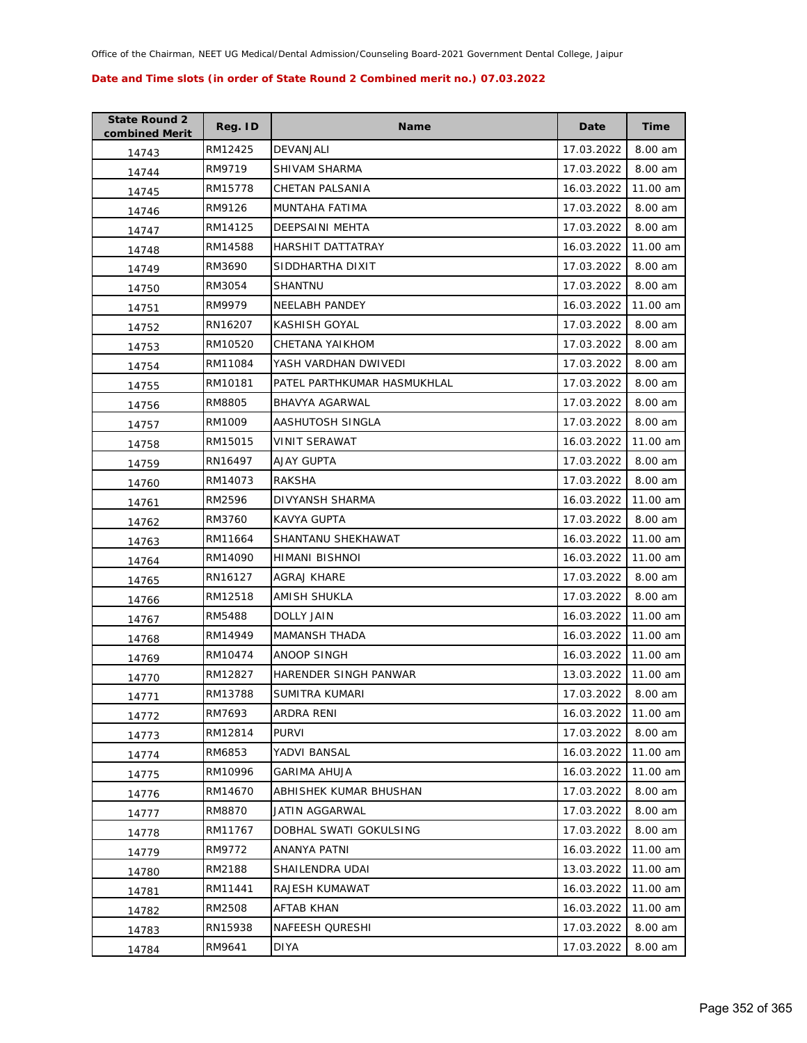| <b>State Round 2</b><br>combined Merit | Reg. ID | <b>Name</b>                  | Date       | <b>Time</b> |
|----------------------------------------|---------|------------------------------|------------|-------------|
| 14743                                  | RM12425 | DEVANJALI                    | 17.03.2022 | 8.00 am     |
| 14744                                  | RM9719  | SHIVAM SHARMA                | 17.03.2022 | 8.00 am     |
| 14745                                  | RM15778 | CHETAN PALSANIA              | 16.03.2022 | 11.00 am    |
| 14746                                  | RM9126  | MUNTAHA FATIMA               | 17.03.2022 | 8.00 am     |
| 14747                                  | RM14125 | DEEPSAINI MEHTA              | 17.03.2022 | 8.00 am     |
| 14748                                  | RM14588 | HARSHIT DATTATRAY            | 16.03.2022 | 11.00 am    |
| 14749                                  | RM3690  | SIDDHARTHA DIXIT             | 17.03.2022 | 8.00 am     |
| 14750                                  | RM3054  | SHANTNU                      | 17.03.2022 | 8.00 am     |
| 14751                                  | RM9979  | <b>NEELABH PANDEY</b>        | 16.03.2022 | 11.00 am    |
| 14752                                  | RN16207 | KASHISH GOYAL                | 17.03.2022 | 8.00 am     |
| 14753                                  | RM10520 | CHETANA YAIKHOM              | 17.03.2022 | 8.00 am     |
| 14754                                  | RM11084 | YASH VARDHAN DWIVEDI         | 17.03.2022 | 8.00 am     |
| 14755                                  | RM10181 | PATEL PARTHKUMAR HASMUKHLAL  | 17.03.2022 | 8.00 am     |
| 14756                                  | RM8805  | BHAVYA AGARWAL               | 17.03.2022 | 8.00 am     |
| 14757                                  | RM1009  | AASHUTOSH SINGLA             | 17.03.2022 | 8.00 am     |
| 14758                                  | RM15015 | VINIT SERAWAT                | 16.03.2022 | 11.00 am    |
| 14759                                  | RN16497 | <b>AJAY GUPTA</b>            | 17.03.2022 | 8.00 am     |
| 14760                                  | RM14073 | <b>RAKSHA</b>                | 17.03.2022 | 8.00 am     |
| 14761                                  | RM2596  | DIVYANSH SHARMA              | 16.03.2022 | 11.00 am    |
| 14762                                  | RM3760  | KAVYA GUPTA                  | 17.03.2022 | 8.00 am     |
| 14763                                  | RM11664 | SHANTANU SHEKHAWAT           | 16.03.2022 | 11.00 am    |
| 14764                                  | RM14090 | HIMANI BISHNOI               | 16.03.2022 | 11.00 am    |
| 14765                                  | RN16127 | AGRAJ KHARE                  | 17.03.2022 | 8.00 am     |
| 14766                                  | RM12518 | AMISH SHUKLA                 | 17.03.2022 | 8.00 am     |
| 14767                                  | RM5488  | DOLLY JAIN                   | 16.03.2022 | 11.00 am    |
| 14768                                  | RM14949 | <b>MAMANSH THADA</b>         | 16.03.2022 | 11.00 am    |
| 14769                                  | RM10474 | ANOOP SINGH                  | 16.03.2022 | 11.00 am    |
| 14770                                  | RM12827 | <b>HARENDER SINGH PANWAR</b> | 13.03.2022 | 11.00 am    |
| 14771                                  | RM13788 | <b>SUMITRA KUMARI</b>        | 17.03.2022 | 8.00 am     |
| 14772                                  | RM7693  | ARDRA RENI                   | 16.03.2022 | 11.00 am    |
| 14773                                  | RM12814 | <b>PURVI</b>                 | 17.03.2022 | 8.00 am     |
| 14774                                  | RM6853  | YADVI BANSAL                 | 16.03.2022 | 11.00 am    |
| 14775                                  | RM10996 | <b>GARIMA AHUJA</b>          | 16.03.2022 | 11.00 am    |
| 14776                                  | RM14670 | ABHISHEK KUMAR BHUSHAN       | 17.03.2022 | 8.00 am     |
| 14777                                  | RM8870  | JATIN AGGARWAL               | 17.03.2022 | 8.00 am     |
| 14778                                  | RM11767 | DOBHAL SWATI GOKULSING       | 17.03.2022 | 8.00 am     |
| 14779                                  | RM9772  | <b>ANANYA PATNI</b>          | 16.03.2022 | 11.00 am    |
| 14780                                  | RM2188  | SHAILENDRA UDAI              | 13.03.2022 | 11.00 am    |
| 14781                                  | RM11441 | RAJESH KUMAWAT               | 16.03.2022 | 11.00 am    |
| 14782                                  | RM2508  | AFTAB KHAN                   | 16.03.2022 | 11.00 am    |
| 14783                                  | RN15938 | NAFEESH QURESHI              | 17.03.2022 | 8.00 am     |
| 14784                                  | RM9641  | DIYA                         | 17.03.2022 | 8.00 am     |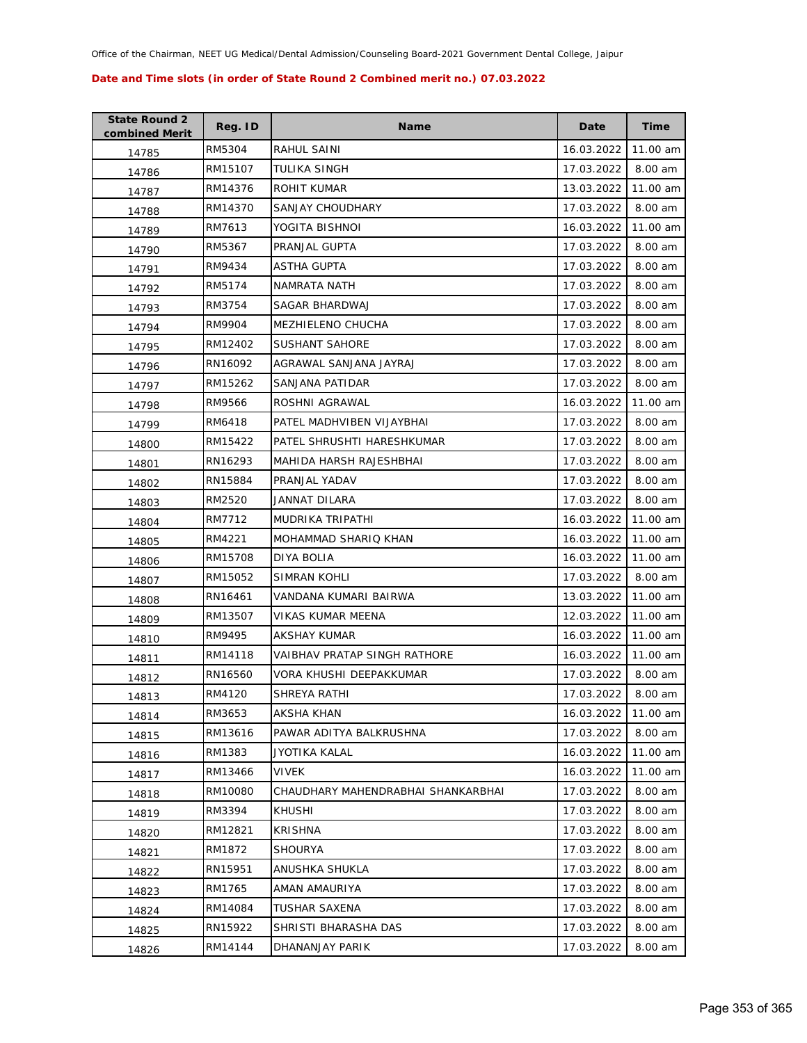| <b>State Round 2</b><br>combined Merit | Reg. ID | <b>Name</b>                        | Date       | <b>Time</b> |
|----------------------------------------|---------|------------------------------------|------------|-------------|
| 14785                                  | RM5304  | RAHUL SAINI                        | 16.03.2022 | 11.00 am    |
| 14786                                  | RM15107 | TULIKA SINGH                       | 17.03.2022 | 8.00 am     |
| 14787                                  | RM14376 | ROHIT KUMAR                        | 13.03.2022 | 11.00 am    |
| 14788                                  | RM14370 | SANJAY CHOUDHARY                   | 17.03.2022 | 8.00 am     |
| 14789                                  | RM7613  | YOGITA BISHNOI                     | 16.03.2022 | 11.00 am    |
| 14790                                  | RM5367  | PRANJAL GUPTA                      | 17.03.2022 | 8.00 am     |
| 14791                                  | RM9434  | ASTHA GUPTA                        | 17.03.2022 | 8.00 am     |
| 14792                                  | RM5174  | NAMRATA NATH                       | 17.03.2022 | 8.00 am     |
| 14793                                  | RM3754  | SAGAR BHARDWAJ                     | 17.03.2022 | 8.00 am     |
| 14794                                  | RM9904  | MEZHIELENO CHUCHA                  | 17.03.2022 | 8.00 am     |
| 14795                                  | RM12402 | SUSHANT SAHORE                     | 17.03.2022 | 8.00 am     |
| 14796                                  | RN16092 | AGRAWAL SANJANA JAYRAJ             | 17.03.2022 | 8.00 am     |
| 14797                                  | RM15262 | SANJANA PATIDAR                    | 17.03.2022 | 8.00 am     |
| 14798                                  | RM9566  | ROSHNI AGRAWAL                     | 16.03.2022 | 11.00 am    |
| 14799                                  | RM6418  | PATEL MADHVIBEN VIJAYBHAI          | 17.03.2022 | 8.00 am     |
| 14800                                  | RM15422 | PATEL SHRUSHTI HARESHKUMAR         | 17.03.2022 | 8.00 am     |
| 14801                                  | RN16293 | MAHIDA HARSH RAJESHBHAI            | 17.03.2022 | 8.00 am     |
| 14802                                  | RN15884 | PRANJAL YADAV                      | 17.03.2022 | 8.00 am     |
| 14803                                  | RM2520  | JANNAT DILARA                      | 17.03.2022 | 8.00 am     |
| 14804                                  | RM7712  | MUDRIKA TRIPATHI                   | 16.03.2022 | 11.00 am    |
| 14805                                  | RM4221  | MOHAMMAD SHARIQ KHAN               | 16.03.2022 | 11.00 am    |
| 14806                                  | RM15708 | DIYA BOLIA                         | 16.03.2022 | 11.00 am    |
| 14807                                  | RM15052 | SIMRAN KOHLI                       | 17.03.2022 | 8.00 am     |
| 14808                                  | RN16461 | VANDANA KUMARI BAIRWA              | 13.03.2022 | 11.00 am    |
| 14809                                  | RM13507 | VIKAS KUMAR MEENA                  | 12.03.2022 | 11.00 am    |
| 14810                                  | RM9495  | AKSHAY KUMAR                       | 16.03.2022 | 11.00 am    |
| 14811                                  | RM14118 | VAIBHAV PRATAP SINGH RATHORE       | 16.03.2022 | 11.00 am    |
| 14812                                  | RN16560 | VORA KHUSHI DEEPAKKUMAR            | 17.03.2022 | 8.00 am     |
| 14813                                  | RM4120  | SHREYA RATHI                       | 17.03.2022 | 8.00 am     |
| 14814                                  | RM3653  | AKSHA KHAN                         | 16.03.2022 | 11.00 am    |
| 14815                                  | RM13616 | PAWAR ADITYA BALKRUSHNA            | 17.03.2022 | 8.00 am     |
| 14816                                  | RM1383  | JYOTIKA KALAL                      | 16.03.2022 | 11.00 am    |
| 14817                                  | RM13466 | <b>VIVEK</b>                       | 16.03.2022 | 11.00 am    |
| 14818                                  | RM10080 | CHAUDHARY MAHENDRABHAI SHANKARBHAI | 17.03.2022 | 8.00 am     |
| 14819                                  | RM3394  | KHUSHI                             | 17.03.2022 | 8.00 am     |
| 14820                                  | RM12821 | <b>KRISHNA</b>                     | 17.03.2022 | 8.00 am     |
| 14821                                  | RM1872  | <b>SHOURYA</b>                     | 17.03.2022 | 8.00 am     |
| 14822                                  | RN15951 | ANUSHKA SHUKLA                     | 17.03.2022 | 8.00 am     |
| 14823                                  | RM1765  | AMAN AMAURIYA                      | 17.03.2022 | 8.00 am     |
| 14824                                  | RM14084 | TUSHAR SAXENA                      | 17.03.2022 | 8.00 am     |
| 14825                                  | RN15922 | SHRISTI BHARASHA DAS               | 17.03.2022 | 8.00 am     |
| 14826                                  | RM14144 | DHANANJAY PARIK                    | 17.03.2022 | 8.00 am     |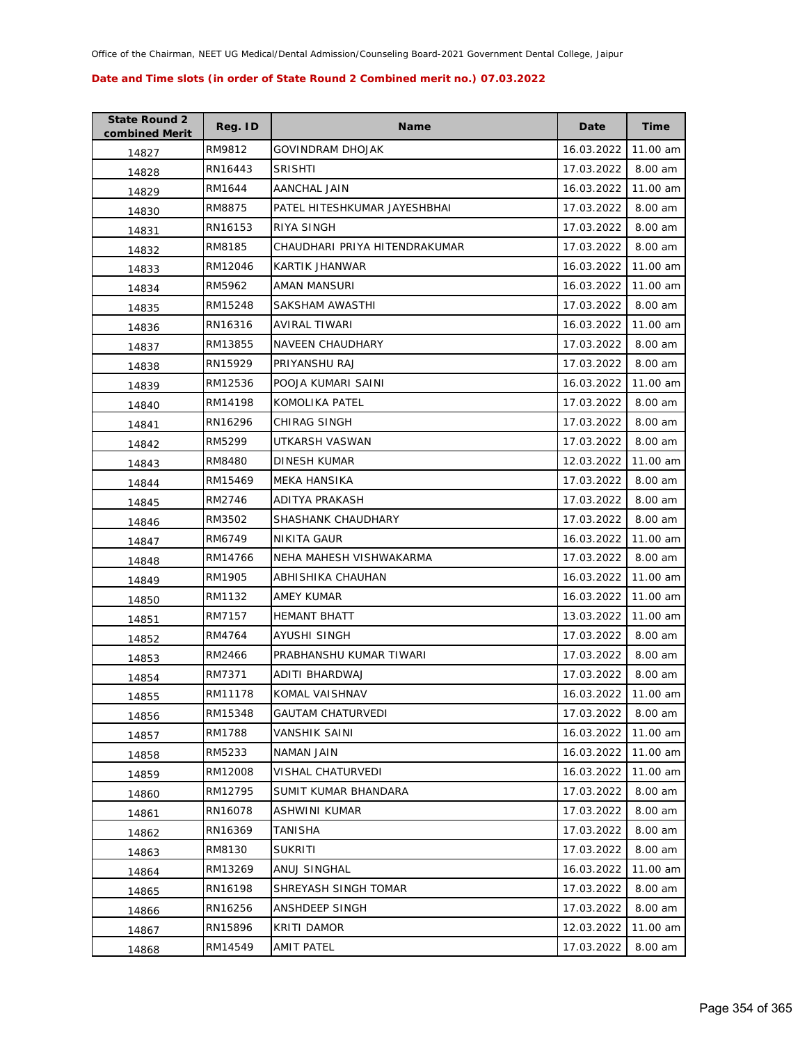| <b>State Round 2</b><br>combined Merit | Reg. ID | <b>Name</b>                   | Date       | <b>Time</b> |
|----------------------------------------|---------|-------------------------------|------------|-------------|
| 14827                                  | RM9812  | GOVINDRAM DHOJAK              | 16.03.2022 | 11.00 am    |
| 14828                                  | RN16443 | <b>SRISHTI</b>                | 17.03.2022 | 8.00 am     |
| 14829                                  | RM1644  | AANCHAL JAIN                  | 16.03.2022 | 11.00 am    |
| 14830                                  | RM8875  | PATEL HITESHKUMAR JAYESHBHAI  | 17.03.2022 | 8.00 am     |
| 14831                                  | RN16153 | RIYA SINGH                    | 17.03.2022 | 8.00 am     |
| 14832                                  | RM8185  | CHAUDHARI PRIYA HITENDRAKUMAR | 17.03.2022 | 8.00 am     |
| 14833                                  | RM12046 | KARTIK JHANWAR                | 16.03.2022 | 11.00 am    |
| 14834                                  | RM5962  | AMAN MANSURI                  | 16.03.2022 | 11.00 am    |
| 14835                                  | RM15248 | SAKSHAM AWASTHI               | 17.03.2022 | 8.00 am     |
| 14836                                  | RN16316 | AVIRAL TIWARI                 | 16.03.2022 | 11.00 am    |
| 14837                                  | RM13855 | NAVEEN CHAUDHARY              | 17.03.2022 | 8.00 am     |
| 14838                                  | RN15929 | PRIYANSHU RAJ                 | 17.03.2022 | 8.00 am     |
| 14839                                  | RM12536 | POOJA KUMARI SAINI            | 16.03.2022 | 11.00 am    |
| 14840                                  | RM14198 | KOMOLIKA PATEL                | 17.03.2022 | 8.00 am     |
| 14841                                  | RN16296 | <b>CHIRAG SINGH</b>           | 17.03.2022 | 8.00 am     |
| 14842                                  | RM5299  | UTKARSH VASWAN                | 17.03.2022 | 8.00 am     |
| 14843                                  | RM8480  | DINESH KUMAR                  | 12.03.2022 | 11.00 am    |
| 14844                                  | RM15469 | MEKA HANSIKA                  | 17.03.2022 | 8.00 am     |
| 14845                                  | RM2746  | ADITYA PRAKASH                | 17.03.2022 | 8.00 am     |
| 14846                                  | RM3502  | SHASHANK CHAUDHARY            | 17.03.2022 | 8.00 am     |
| 14847                                  | RM6749  | NIKITA GAUR                   | 16.03.2022 | 11.00 am    |
| 14848                                  | RM14766 | NEHA MAHESH VISHWAKARMA       | 17.03.2022 | 8.00 am     |
| 14849                                  | RM1905  | ABHISHIKA CHAUHAN             | 16.03.2022 | 11.00 am    |
| 14850                                  | RM1132  | AMEY KUMAR                    | 16.03.2022 | 11.00 am    |
| 14851                                  | RM7157  | <b>HEMANT BHATT</b>           | 13.03.2022 | 11.00 am    |
| 14852                                  | RM4764  | AYUSHI SINGH                  | 17.03.2022 | 8.00 am     |
| 14853                                  | RM2466  | PRABHANSHU KUMAR TIWARI       | 17.03.2022 | 8.00 am     |
| 14854                                  | RM7371  | ADITI BHARDWAJ                | 17.03.2022 | 8.00 am     |
| 14855                                  | RM11178 | KOMAL VAISHNAV                | 16.03.2022 | 11.00 am    |
| 14856                                  | RM15348 | <b>GAUTAM CHATURVEDI</b>      | 17.03.2022 | 8.00 am     |
| 14857                                  | RM1788  | VANSHIK SAINI                 | 16.03.2022 | 11.00 am    |
| 14858                                  | RM5233  | NAMAN JAIN                    | 16.03.2022 | 11.00 am    |
| 14859                                  | RM12008 | VISHAL CHATURVEDI             | 16.03.2022 | 11.00 am    |
| 14860                                  | RM12795 | SUMIT KUMAR BHANDARA          | 17.03.2022 | 8.00 am     |
| 14861                                  | RN16078 | <b>ASHWINI KUMAR</b>          | 17.03.2022 | 8.00 am     |
| 14862                                  | RN16369 | TANISHA                       | 17.03.2022 | 8.00 am     |
| 14863                                  | RM8130  | <b>SUKRITI</b>                | 17.03.2022 | 8.00 am     |
| 14864                                  | RM13269 | ANUJ SINGHAL                  | 16.03.2022 | 11.00 am    |
| 14865                                  | RN16198 | SHREYASH SINGH TOMAR          | 17.03.2022 | 8.00 am     |
| 14866                                  | RN16256 | ANSHDEEP SINGH                | 17.03.2022 | 8.00 am     |
| 14867                                  | RN15896 | <b>KRITI DAMOR</b>            | 12.03.2022 | 11.00 am    |
| 14868                                  | RM14549 | AMIT PATEL                    | 17.03.2022 | 8.00 am     |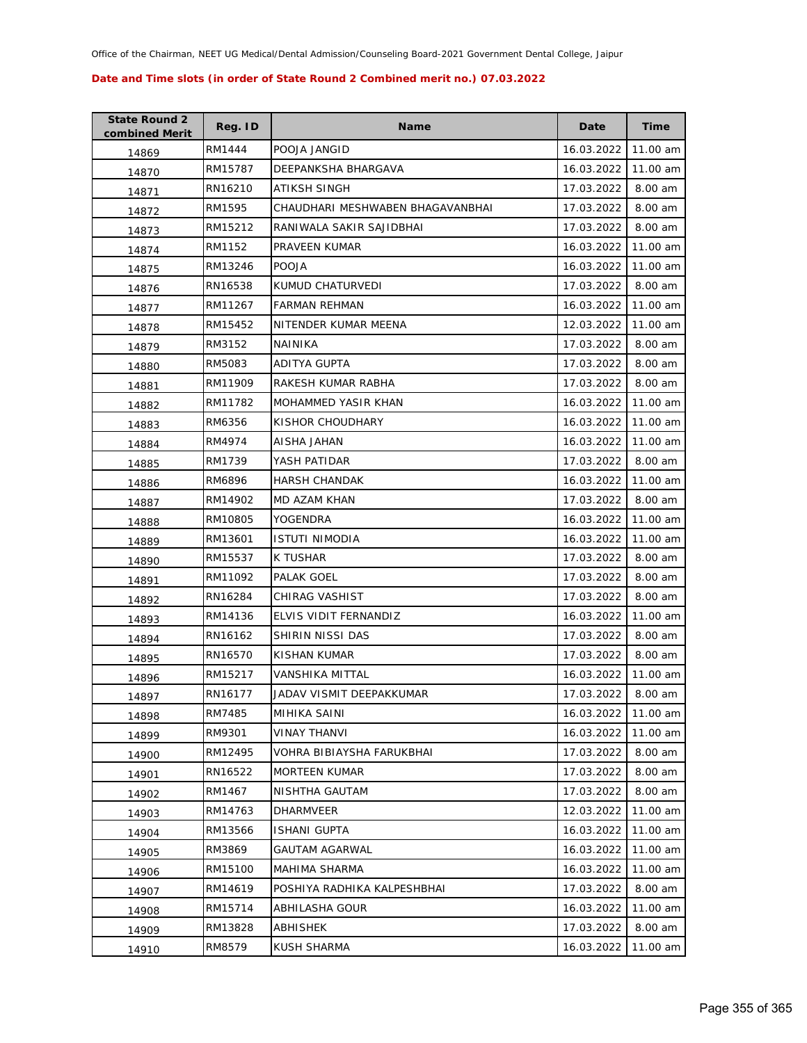| <b>State Round 2</b><br>combined Merit | Reg. ID | <b>Name</b>                      | Date       | <b>Time</b> |
|----------------------------------------|---------|----------------------------------|------------|-------------|
| 14869                                  | RM1444  | POOJA JANGID                     | 16.03.2022 | 11.00 am    |
| 14870                                  | RM15787 | DEEPANKSHA BHARGAVA              | 16.03.2022 | 11.00 am    |
| 14871                                  | RN16210 | ATIKSH SINGH                     | 17.03.2022 | 8.00 am     |
| 14872                                  | RM1595  | CHAUDHARI MESHWABEN BHAGAVANBHAI | 17.03.2022 | 8.00 am     |
| 14873                                  | RM15212 | RANIWALA SAKIR SAJIDBHAI         | 17.03.2022 | 8.00 am     |
| 14874                                  | RM1152  | PRAVEEN KUMAR                    | 16.03.2022 | 11.00 am    |
| 14875                                  | RM13246 | <b>POOJA</b>                     | 16.03.2022 | 11.00 am    |
| 14876                                  | RN16538 | KUMUD CHATURVEDI                 | 17.03.2022 | 8.00 am     |
| 14877                                  | RM11267 | <b>FARMAN REHMAN</b>             | 16.03.2022 | 11.00 am    |
| 14878                                  | RM15452 | NITENDER KUMAR MEENA             | 12.03.2022 | 11.00 am    |
| 14879                                  | RM3152  | NAINIKA                          | 17.03.2022 | 8.00 am     |
| 14880                                  | RM5083  | ADITYA GUPTA                     | 17.03.2022 | 8.00 am     |
| 14881                                  | RM11909 | RAKESH KUMAR RABHA               | 17.03.2022 | 8.00 am     |
| 14882                                  | RM11782 | MOHAMMED YASIR KHAN              | 16.03.2022 | 11.00 am    |
| 14883                                  | RM6356  | KISHOR CHOUDHARY                 | 16.03.2022 | 11.00 am    |
| 14884                                  | RM4974  | AISHA JAHAN                      | 16.03.2022 | 11.00 am    |
| 14885                                  | RM1739  | YASH PATIDAR                     | 17.03.2022 | 8.00 am     |
| 14886                                  | RM6896  | <b>HARSH CHANDAK</b>             | 16.03.2022 | 11.00 am    |
| 14887                                  | RM14902 | MD AZAM KHAN                     | 17.03.2022 | 8.00 am     |
| 14888                                  | RM10805 | YOGENDRA                         | 16.03.2022 | 11.00 am    |
| 14889                                  | RM13601 | <b>ISTUTI NIMODIA</b>            | 16.03.2022 | 11.00 am    |
| 14890                                  | RM15537 | K TUSHAR                         | 17.03.2022 | 8.00 am     |
| 14891                                  | RM11092 | PALAK GOEL                       | 17.03.2022 | 8.00 am     |
| 14892                                  | RN16284 | CHIRAG VASHIST                   | 17.03.2022 | 8.00 am     |
| 14893                                  | RM14136 | ELVIS VIDIT FERNANDIZ            | 16.03.2022 | 11.00 am    |
| 14894                                  | RN16162 | SHIRIN NISSI DAS                 | 17.03.2022 | 8.00 am     |
| 14895                                  | RN16570 | KISHAN KUMAR                     | 17.03.2022 | 8.00 am     |
| 14896                                  | RM15217 | VANSHIKA MITTAL                  | 16.03.2022 | 11.00 am    |
| 14897                                  | RN16177 | JADAV VISMIT DEEPAKKUMAR         | 17.03.2022 | 8.00 am     |
| 14898                                  | RM7485  | MIHIKA SAINI                     | 16.03.2022 | 11.00 am    |
| 14899                                  | RM9301  | <b>VINAY THANVI</b>              | 16.03.2022 | 11.00 am    |
| 14900                                  | RM12495 | VOHRA BIBIAYSHA FARUKBHAI        | 17.03.2022 | 8.00 am     |
| 14901                                  | RN16522 | <b>MORTEEN KUMAR</b>             | 17.03.2022 | 8.00 am     |
| 14902                                  | RM1467  | NISHTHA GAUTAM                   | 17.03.2022 | 8.00 am     |
| 14903                                  | RM14763 | DHARMVEER                        | 12.03.2022 | 11.00 am    |
| 14904                                  | RM13566 | <b>ISHANI GUPTA</b>              | 16.03.2022 | 11.00 am    |
| 14905                                  | RM3869  | <b>GAUTAM AGARWAL</b>            | 16.03.2022 | 11.00 am    |
| 14906                                  | RM15100 | MAHIMA SHARMA                    | 16.03.2022 | 11.00 am    |
| 14907                                  | RM14619 | POSHIYA RADHIKA KALPESHBHAI      | 17.03.2022 | 8.00 am     |
| 14908                                  | RM15714 | ABHILASHA GOUR                   | 16.03.2022 | 11.00 am    |
| 14909                                  | RM13828 | <b>ABHISHEK</b>                  | 17.03.2022 | 8.00 am     |
| 14910                                  | RM8579  | KUSH SHARMA                      | 16.03.2022 | 11.00 am    |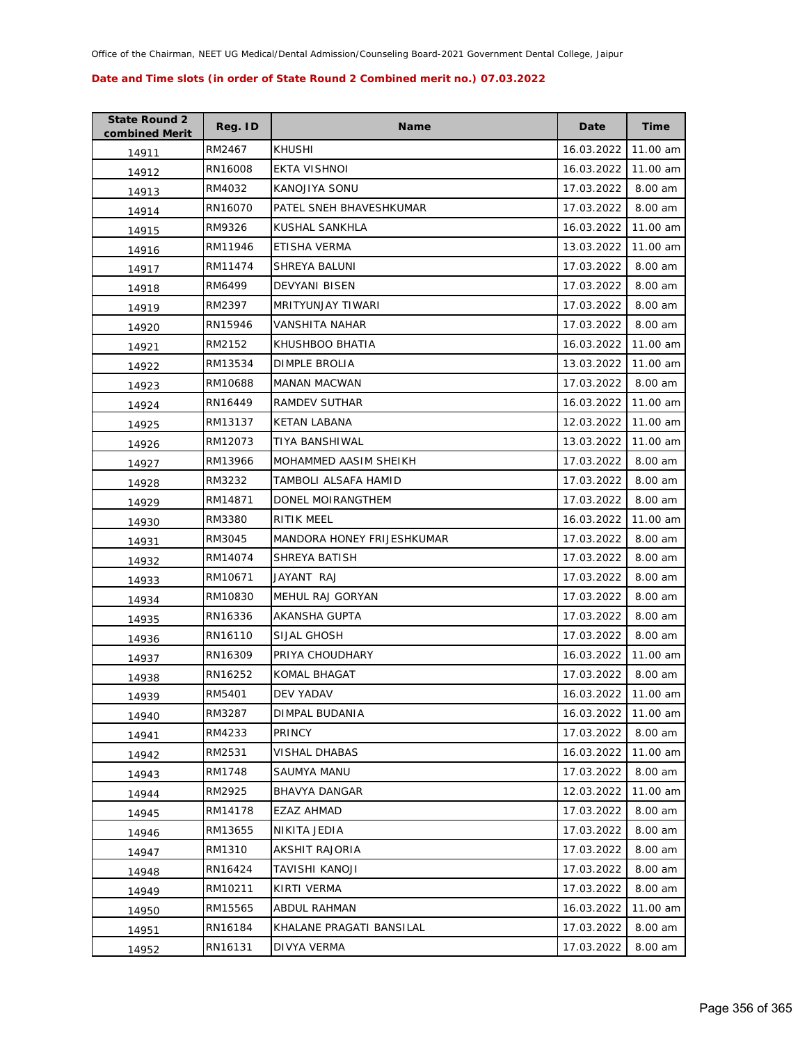| <b>State Round 2</b><br>combined Merit | Reg. ID | <b>Name</b>                | Date       | Time     |
|----------------------------------------|---------|----------------------------|------------|----------|
| 14911                                  | RM2467  | <b>KHUSHI</b>              | 16.03.2022 | 11.00 am |
| 14912                                  | RN16008 | EKTA VISHNOI               | 16.03.2022 | 11.00 am |
| 14913                                  | RM4032  | KANOJIYA SONU              | 17.03.2022 | 8.00 am  |
| 14914                                  | RN16070 | PATEL SNEH BHAVESHKUMAR    | 17.03.2022 | 8.00 am  |
| 14915                                  | RM9326  | KUSHAL SANKHLA             | 16.03.2022 | 11.00 am |
| 14916                                  | RM11946 | ETISHA VERMA               | 13.03.2022 | 11.00 am |
| 14917                                  | RM11474 | <b>SHREYA BALUNI</b>       | 17.03.2022 | 8.00 am  |
| 14918                                  | RM6499  | DEVYANI BISEN              | 17.03.2022 | 8.00 am  |
| 14919                                  | RM2397  | <b>MRITYUNJAY TIWARI</b>   | 17.03.2022 | 8.00 am  |
| 14920                                  | RN15946 | VANSHITA NAHAR             | 17.03.2022 | 8.00 am  |
| 14921                                  | RM2152  | KHUSHBOO BHATIA            | 16.03.2022 | 11.00 am |
| 14922                                  | RM13534 | DIMPLE BROLIA              | 13.03.2022 | 11.00 am |
| 14923                                  | RM10688 | <b>MANAN MACWAN</b>        | 17.03.2022 | 8.00 am  |
| 14924                                  | RN16449 | RAMDEV SUTHAR              | 16.03.2022 | 11.00 am |
| 14925                                  | RM13137 | <b>KETAN LABANA</b>        | 12.03.2022 | 11.00 am |
| 14926                                  | RM12073 | <b>TIYA BANSHIWAL</b>      | 13.03.2022 | 11.00 am |
| 14927                                  | RM13966 | MOHAMMED AASIM SHEIKH      | 17.03.2022 | 8.00 am  |
| 14928                                  | RM3232  | TAMBOLI ALSAFA HAMID       | 17.03.2022 | 8.00 am  |
| 14929                                  | RM14871 | DONEL MOIRANGTHEM          | 17.03.2022 | 8.00 am  |
| 14930                                  | RM3380  | RITIK MEEL                 | 16.03.2022 | 11.00 am |
| 14931                                  | RM3045  | MANDORA HONEY FRIJESHKUMAR | 17.03.2022 | 8.00 am  |
| 14932                                  | RM14074 | SHREYA BATISH              | 17.03.2022 | 8.00 am  |
| 14933                                  | RM10671 | JAYANT RAJ                 | 17.03.2022 | 8.00 am  |
| 14934                                  | RM10830 | MEHUL RAJ GORYAN           | 17.03.2022 | 8.00 am  |
| 14935                                  | RN16336 | AKANSHA GUPTA              | 17.03.2022 | 8.00 am  |
| 14936                                  | RN16110 | SIJAL GHOSH                | 17.03.2022 | 8.00 am  |
| 14937                                  | RN16309 | PRIYA CHOUDHARY            | 16.03.2022 | 11.00 am |
| 14938                                  | RN16252 | <b>KOMAL BHAGAT</b>        | 17.03.2022 | 8.00 am  |
| 14939                                  | RM5401  | DEV YADAV                  | 16.03.2022 | 11.00 am |
| 14940                                  | RM3287  | DIMPAL BUDANIA             | 16.03.2022 | 11.00 am |
| 14941                                  | RM4233  | <b>PRINCY</b>              | 17.03.2022 | 8.00 am  |
| 14942                                  | RM2531  | <b>VISHAL DHABAS</b>       | 16.03.2022 | 11.00 am |
| 14943                                  | RM1748  | SAUMYA MANU                | 17.03.2022 | 8.00 am  |
| 14944                                  | RM2925  | <b>BHAVYA DANGAR</b>       | 12.03.2022 | 11.00 am |
| 14945                                  | RM14178 | EZAZ AHMAD                 | 17.03.2022 | 8.00 am  |
| 14946                                  | RM13655 | NIKITA JEDIA               | 17.03.2022 | 8.00 am  |
| 14947                                  | RM1310  | AKSHIT RAJORIA             | 17.03.2022 | 8.00 am  |
| 14948                                  | RN16424 | TAVISHI KANOJI             | 17.03.2022 | 8.00 am  |
| 14949                                  | RM10211 | KIRTI VERMA                | 17.03.2022 | 8.00 am  |
| 14950                                  | RM15565 | ABDUL RAHMAN               | 16.03.2022 | 11.00 am |
| 14951                                  | RN16184 | KHALANE PRAGATI BANSILAL   | 17.03.2022 | 8.00 am  |
| 14952                                  | RN16131 | DIVYA VERMA                | 17.03.2022 | 8.00 am  |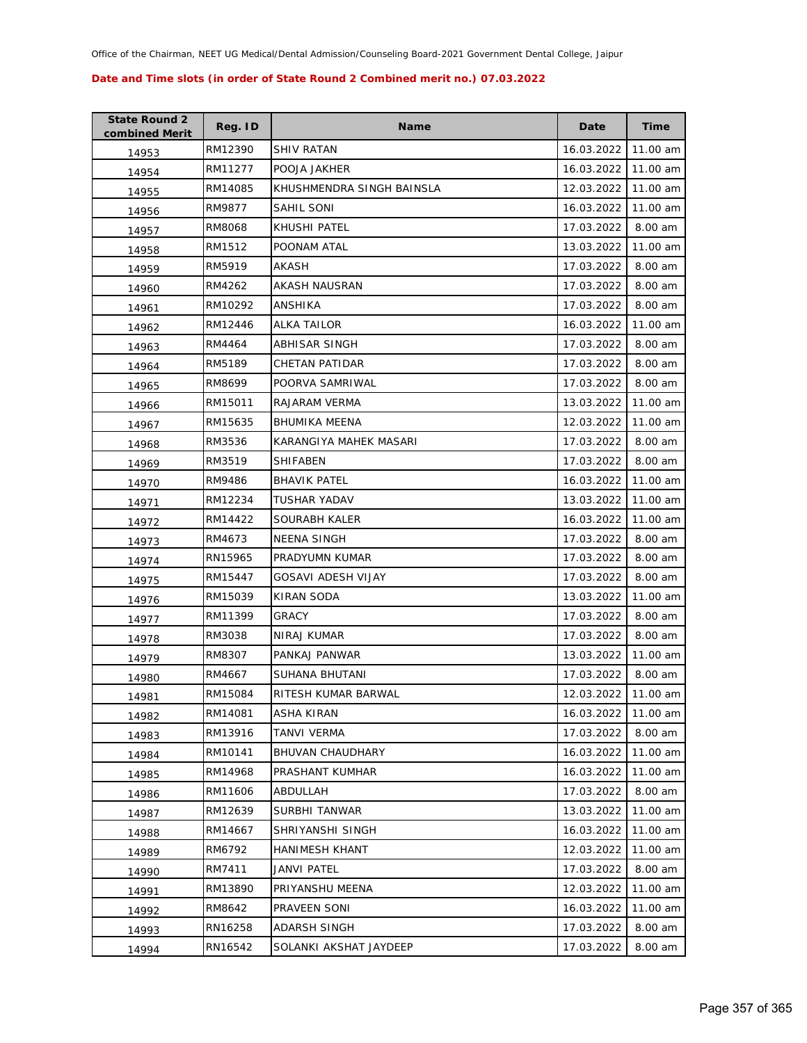| <b>State Round 2</b><br>combined Merit | Reg. ID | Name                      | Date       | Time     |
|----------------------------------------|---------|---------------------------|------------|----------|
| 14953                                  | RM12390 | <b>SHIV RATAN</b>         | 16.03.2022 | 11.00 am |
| 14954                                  | RM11277 | POOJA JAKHER              | 16.03.2022 | 11.00 am |
| 14955                                  | RM14085 | KHUSHMENDRA SINGH BAINSLA | 12.03.2022 | 11.00 am |
| 14956                                  | RM9877  | SAHIL SONI                | 16.03.2022 | 11.00 am |
| 14957                                  | RM8068  | KHUSHI PATEL              | 17.03.2022 | 8.00 am  |
| 14958                                  | RM1512  | POONAM ATAL               | 13.03.2022 | 11.00 am |
| 14959                                  | RM5919  | AKASH                     | 17.03.2022 | 8.00 am  |
| 14960                                  | RM4262  | AKASH NAUSRAN             | 17.03.2022 | 8.00 am  |
| 14961                                  | RM10292 | ANSHIKA                   | 17.03.2022 | 8.00 am  |
| 14962                                  | RM12446 | ALKA TAILOR               | 16.03.2022 | 11.00 am |
| 14963                                  | RM4464  | ABHISAR SINGH             | 17.03.2022 | 8.00 am  |
| 14964                                  | RM5189  | CHETAN PATIDAR            | 17.03.2022 | 8.00 am  |
| 14965                                  | RM8699  | POORVA SAMRIWAL           | 17.03.2022 | 8.00 am  |
| 14966                                  | RM15011 | RAJARAM VERMA             | 13.03.2022 | 11.00 am |
| 14967                                  | RM15635 | <b>BHUMIKA MEENA</b>      | 12.03.2022 | 11.00 am |
| 14968                                  | RM3536  | KARANGIYA MAHEK MASARI    | 17.03.2022 | 8.00 am  |
| 14969                                  | RM3519  | <b>SHIFABEN</b>           | 17.03.2022 | 8.00 am  |
| 14970                                  | RM9486  | <b>BHAVIK PATEL</b>       | 16.03.2022 | 11.00 am |
| 14971                                  | RM12234 | <b>TUSHAR YADAV</b>       | 13.03.2022 | 11.00 am |
| 14972                                  | RM14422 | SOURABH KALER             | 16.03.2022 | 11.00 am |
| 14973                                  | RM4673  | <b>NEENA SINGH</b>        | 17.03.2022 | 8.00 am  |
| 14974                                  | RN15965 | PRADYUMN KUMAR            | 17.03.2022 | 8.00 am  |
| 14975                                  | RM15447 | <b>GOSAVI ADESH VIJAY</b> | 17.03.2022 | 8.00 am  |
| 14976                                  | RM15039 | <b>KIRAN SODA</b>         | 13.03.2022 | 11.00 am |
| 14977                                  | RM11399 | GRACY                     | 17.03.2022 | 8.00 am  |
| 14978                                  | RM3038  | <b>NIRAJ KUMAR</b>        | 17.03.2022 | 8.00 am  |
| 14979                                  | RM8307  | PANKAJ PANWAR             | 13.03.2022 | 11.00 am |
| 14980                                  | RM4667  | SUHANA BHUTANI            | 17.03.2022 | 8.00 am  |
| 14981                                  | RM15084 | RITESH KUMAR BARWAL       | 12.03.2022 | 11.00 am |
| 14982                                  | RM14081 | <b>ASHA KIRAN</b>         | 16.03.2022 | 11.00 am |
| 14983                                  | RM13916 | TANVI VERMA               | 17.03.2022 | 8.00 am  |
| 14984                                  | RM10141 | <b>BHUVAN CHAUDHARY</b>   | 16.03.2022 | 11.00 am |
| 14985                                  | RM14968 | PRASHANT KUMHAR           | 16.03.2022 | 11.00 am |
| 14986                                  | RM11606 | ABDULLAH                  | 17.03.2022 | 8.00 am  |
| 14987                                  | RM12639 | SURBHI TANWAR             | 13.03.2022 | 11.00 am |
| 14988                                  | RM14667 | SHRIYANSHI SINGH          | 16.03.2022 | 11.00 am |
| 14989                                  | RM6792  | <b>HANIMESH KHANT</b>     | 12.03.2022 | 11.00 am |
| 14990                                  | RM7411  | JANVI PATEL               | 17.03.2022 | 8.00 am  |
| 14991                                  | RM13890 | PRIYANSHU MEENA           | 12.03.2022 | 11.00 am |
| 14992                                  | RM8642  | PRAVEEN SONI              | 16.03.2022 | 11.00 am |
| 14993                                  | RN16258 | ADARSH SINGH              | 17.03.2022 | 8.00 am  |
| 14994                                  | RN16542 | SOLANKI AKSHAT JAYDEEP    | 17.03.2022 | 8.00 am  |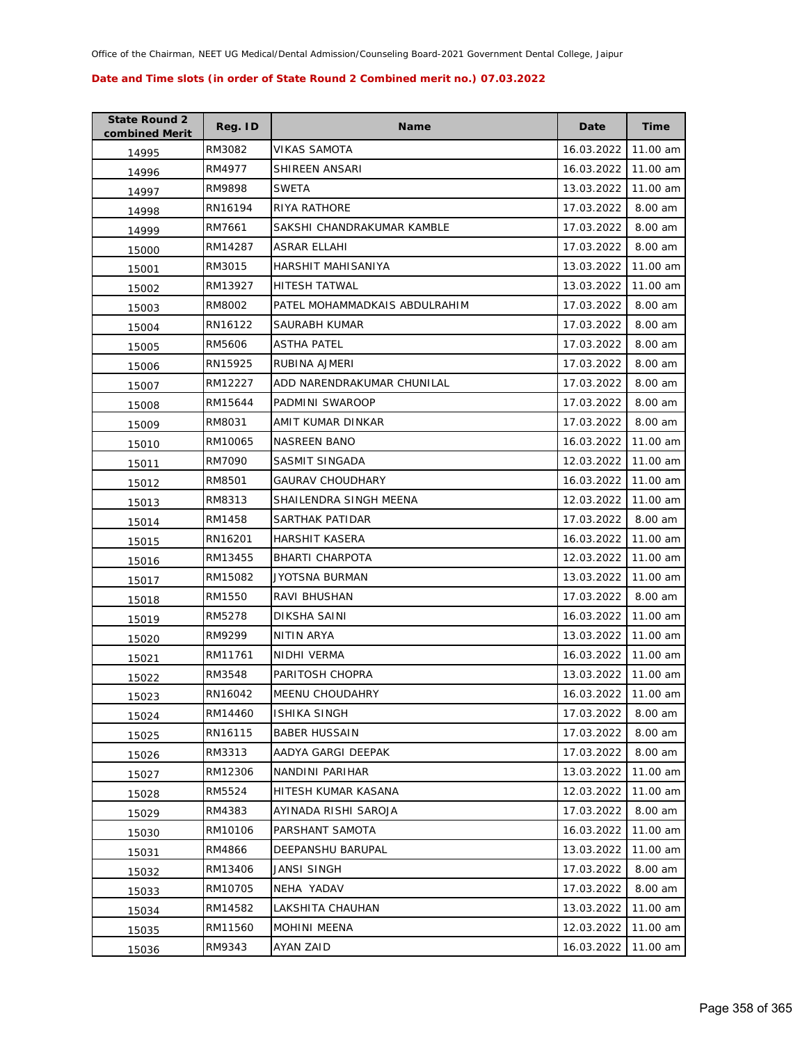| <b>State Round 2</b><br>combined Merit | Reg. ID | <b>Name</b>                   | Date       | Time     |
|----------------------------------------|---------|-------------------------------|------------|----------|
| 14995                                  | RM3082  | VIKAS SAMOTA                  | 16.03.2022 | 11.00 am |
| 14996                                  | RM4977  | SHIREEN ANSARI                | 16.03.2022 | 11.00 am |
| 14997                                  | RM9898  | SWETA                         | 13.03.2022 | 11.00 am |
| 14998                                  | RN16194 | <b>RIYA RATHORE</b>           | 17.03.2022 | 8.00 am  |
| 14999                                  | RM7661  | SAKSHI CHANDRAKUMAR KAMBLE    | 17.03.2022 | 8.00 am  |
| 15000                                  | RM14287 | ASRAR ELLAHI                  | 17.03.2022 | 8.00 am  |
| 15001                                  | RM3015  | HARSHIT MAHISANIYA            | 13.03.2022 | 11.00 am |
| 15002                                  | RM13927 | <b>HITESH TATWAL</b>          | 13.03.2022 | 11.00 am |
| 15003                                  | RM8002  | PATEL MOHAMMADKAIS ABDULRAHIM | 17.03.2022 | 8.00 am  |
| 15004                                  | RN16122 | SAURABH KUMAR                 | 17.03.2022 | 8.00 am  |
| 15005                                  | RM5606  | ASTHA PATEL                   | 17.03.2022 | 8.00 am  |
| 15006                                  | RN15925 | RUBINA AJMERI                 | 17.03.2022 | 8.00 am  |
| 15007                                  | RM12227 | ADD NARENDRAKUMAR CHUNILAL    | 17.03.2022 | 8.00 am  |
| 15008                                  | RM15644 | PADMINI SWAROOP               | 17.03.2022 | 8.00 am  |
| 15009                                  | RM8031  | AMIT KUMAR DINKAR             | 17.03.2022 | 8.00 am  |
| 15010                                  | RM10065 | NASREEN BANO                  | 16.03.2022 | 11.00 am |
| 15011                                  | RM7090  | SASMIT SINGADA                | 12.03.2022 | 11.00 am |
| 15012                                  | RM8501  | <b>GAURAV CHOUDHARY</b>       | 16.03.2022 | 11.00 am |
| 15013                                  | RM8313  | SHAILENDRA SINGH MEENA        | 12.03.2022 | 11.00 am |
| 15014                                  | RM1458  | SARTHAK PATIDAR               | 17.03.2022 | 8.00 am  |
| 15015                                  | RN16201 | HARSHIT KASERA                | 16.03.2022 | 11.00 am |
| 15016                                  | RM13455 | BHARTI CHARPOTA               | 12.03.2022 | 11.00 am |
| 15017                                  | RM15082 | JYOTSNA BURMAN                | 13.03.2022 | 11.00 am |
| 15018                                  | RM1550  | RAVI BHUSHAN                  | 17.03.2022 | 8.00 am  |
| 15019                                  | RM5278  | DIKSHA SAINI                  | 16.03.2022 | 11.00 am |
| 15020                                  | RM9299  | NITIN ARYA                    | 13.03.2022 | 11.00 am |
| 15021                                  | RM11761 | NIDHI VERMA                   | 16.03.2022 | 11.00 am |
| 15022                                  | RM3548  | PARITOSH CHOPRA               | 13.03.2022 | 11.00 am |
| 15023                                  | RN16042 | <b>MEENU CHOUDAHRY</b>        | 16.03.2022 | 11.00 am |
| 15024                                  | RM14460 | <b>ISHIKA SINGH</b>           | 17.03.2022 | 8.00 am  |
| 15025                                  | RN16115 | <b>BABER HUSSAIN</b>          | 17.03.2022 | 8.00 am  |
| 15026                                  | RM3313  | AADYA GARGI DEEPAK            | 17.03.2022 | 8.00 am  |
| 15027                                  | RM12306 | NANDINI PARIHAR               | 13.03.2022 | 11.00 am |
| 15028                                  | RM5524  | HITESH KUMAR KASANA           | 12.03.2022 | 11.00 am |
| 15029                                  | RM4383  | AYINADA RISHI SAROJA          | 17.03.2022 | 8.00 am  |
| 15030                                  | RM10106 | PARSHANT SAMOTA               | 16.03.2022 | 11.00 am |
| 15031                                  | RM4866  | <b>DEEPANSHU BARUPAL</b>      | 13.03.2022 | 11.00 am |
| 15032                                  | RM13406 | JANSI SINGH                   | 17.03.2022 | 8.00 am  |
| 15033                                  | RM10705 | NEHA YADAV                    | 17.03.2022 | 8.00 am  |
| 15034                                  | RM14582 | LAKSHITA CHAUHAN              | 13.03.2022 | 11.00 am |
| 15035                                  | RM11560 | <b>MOHINI MEENA</b>           | 12.03.2022 | 11.00 am |
| 15036                                  | RM9343  | AYAN ZAID                     | 16.03.2022 | 11.00 am |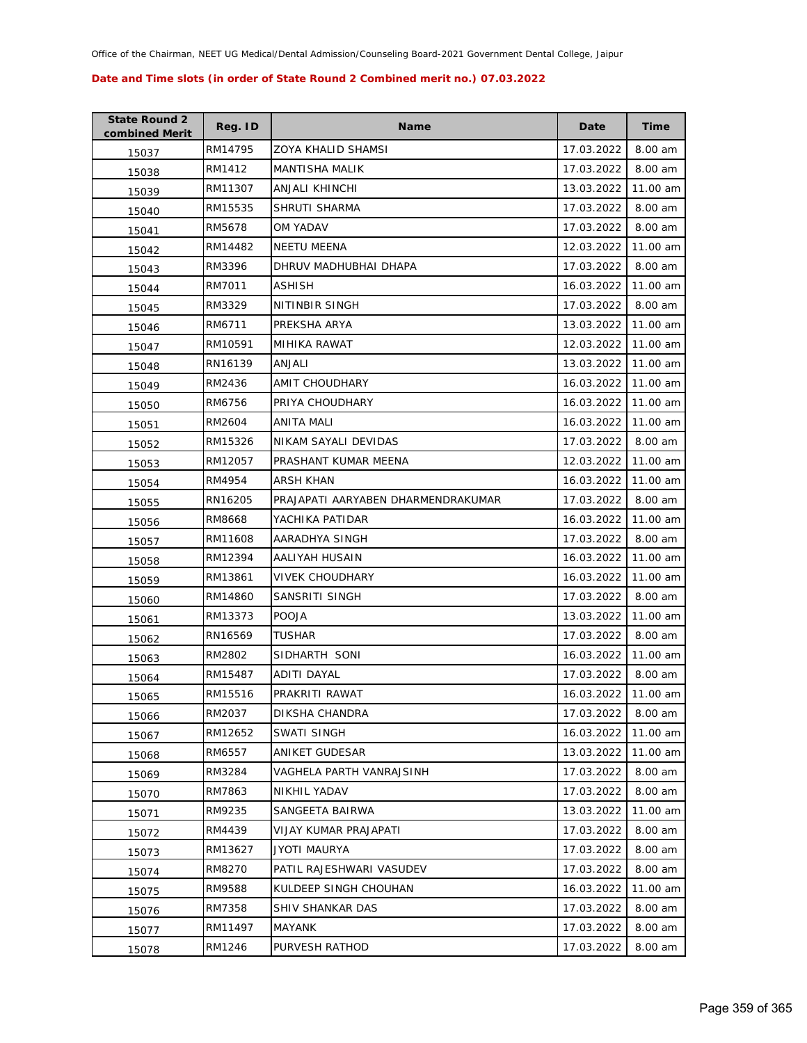| <b>State Round 2</b><br>combined Merit | Reg. ID | <b>Name</b>                        | Date       | <b>Time</b> |
|----------------------------------------|---------|------------------------------------|------------|-------------|
| 15037                                  | RM14795 | <b>ZOYA KHALID SHAMSI</b>          | 17.03.2022 | 8.00 am     |
| 15038                                  | RM1412  | <b>MANTISHA MALIK</b>              | 17.03.2022 | 8.00 am     |
| 15039                                  | RM11307 | ANJALI KHINCHI                     | 13.03.2022 | 11.00 am    |
| 15040                                  | RM15535 | SHRUTI SHARMA                      | 17.03.2022 | 8.00 am     |
| 15041                                  | RM5678  | OM YADAV                           | 17.03.2022 | 8.00 am     |
| 15042                                  | RM14482 | <b>NEETU MEENA</b>                 | 12.03.2022 | 11.00 am    |
| 15043                                  | RM3396  | DHRUV MADHUBHAI DHAPA              | 17.03.2022 | 8.00 am     |
| 15044                                  | RM7011  | <b>ASHISH</b>                      | 16.03.2022 | 11.00 am    |
| 15045                                  | RM3329  | NITINBIR SINGH                     | 17.03.2022 | 8.00 am     |
| 15046                                  | RM6711  | PREKSHA ARYA                       | 13.03.2022 | 11.00 am    |
| 15047                                  | RM10591 | MIHIKA RAWAT                       | 12.03.2022 | 11.00 am    |
| 15048                                  | RN16139 | ANJALI                             | 13.03.2022 | 11.00 am    |
| 15049                                  | RM2436  | AMIT CHOUDHARY                     | 16.03.2022 | 11.00 am    |
| 15050                                  | RM6756  | PRIYA CHOUDHARY                    | 16.03.2022 | 11.00 am    |
| 15051                                  | RM2604  | ANITA MALI                         | 16.03.2022 | 11.00 am    |
| 15052                                  | RM15326 | NIKAM SAYALI DEVIDAS               | 17.03.2022 | 8.00 am     |
| 15053                                  | RM12057 | PRASHANT KUMAR MEENA               | 12.03.2022 | 11.00 am    |
| 15054                                  | RM4954  | ARSH KHAN                          | 16.03.2022 | 11.00 am    |
| 15055                                  | RN16205 | PRAJAPATI AARYABEN DHARMENDRAKUMAR | 17.03.2022 | 8.00 am     |
| 15056                                  | RM8668  | YACHIKA PATIDAR                    | 16.03.2022 | 11.00 am    |
| 15057                                  | RM11608 | AARADHYA SINGH                     | 17.03.2022 | 8.00 am     |
| 15058                                  | RM12394 | AALIYAH HUSAIN                     | 16.03.2022 | 11.00 am    |
| 15059                                  | RM13861 | VIVEK CHOUDHARY                    | 16.03.2022 | 11.00 am    |
| 15060                                  | RM14860 | SANSRITI SINGH                     | 17.03.2022 | 8.00 am     |
| 15061                                  | RM13373 | <b>POOJA</b>                       | 13.03.2022 | 11.00 am    |
| 15062                                  | RN16569 | <b>TUSHAR</b>                      | 17.03.2022 | 8.00 am     |
| 15063                                  | RM2802  | SIDHARTH SONI                      | 16.03.2022 | 11.00 am    |
| 15064                                  | RM15487 | ADITI DAYAL                        | 17.03.2022 | 8.00 am     |
| 15065                                  | RM15516 | PRAKRITI RAWAT                     | 16.03.2022 | 11.00 am    |
| 15066                                  | RM2037  | DIKSHA CHANDRA                     | 17.03.2022 | 8.00 am     |
| 15067                                  | RM12652 | SWATI SINGH                        | 16.03.2022 | 11.00 am    |
| 15068                                  | RM6557  | <b>ANIKET GUDESAR</b>              | 13.03.2022 | 11.00 am    |
| 15069                                  | RM3284  | VAGHELA PARTH VANRAJSINH           | 17.03.2022 | 8.00 am     |
| 15070                                  | RM7863  | NIKHIL YADAV                       | 17.03.2022 | 8.00 am     |
| 15071                                  | RM9235  | SANGEETA BAIRWA                    | 13.03.2022 | 11.00 am    |
| 15072                                  | RM4439  | VIJAY KUMAR PRAJAPATI              | 17.03.2022 | 8.00 am     |
| 15073                                  | RM13627 | JYOTI MAURYA                       | 17.03.2022 | 8.00 am     |
| 15074                                  | RM8270  | PATIL RAJESHWARI VASUDEV           | 17.03.2022 | 8.00 am     |
| 15075                                  | RM9588  | KULDEEP SINGH CHOUHAN              | 16.03.2022 | 11.00 am    |
| 15076                                  | RM7358  | SHIV SHANKAR DAS                   | 17.03.2022 | 8.00 am     |
| 15077                                  | RM11497 | <b>MAYANK</b>                      | 17.03.2022 | 8.00 am     |
| 15078                                  | RM1246  | PURVESH RATHOD                     | 17.03.2022 | 8.00 am     |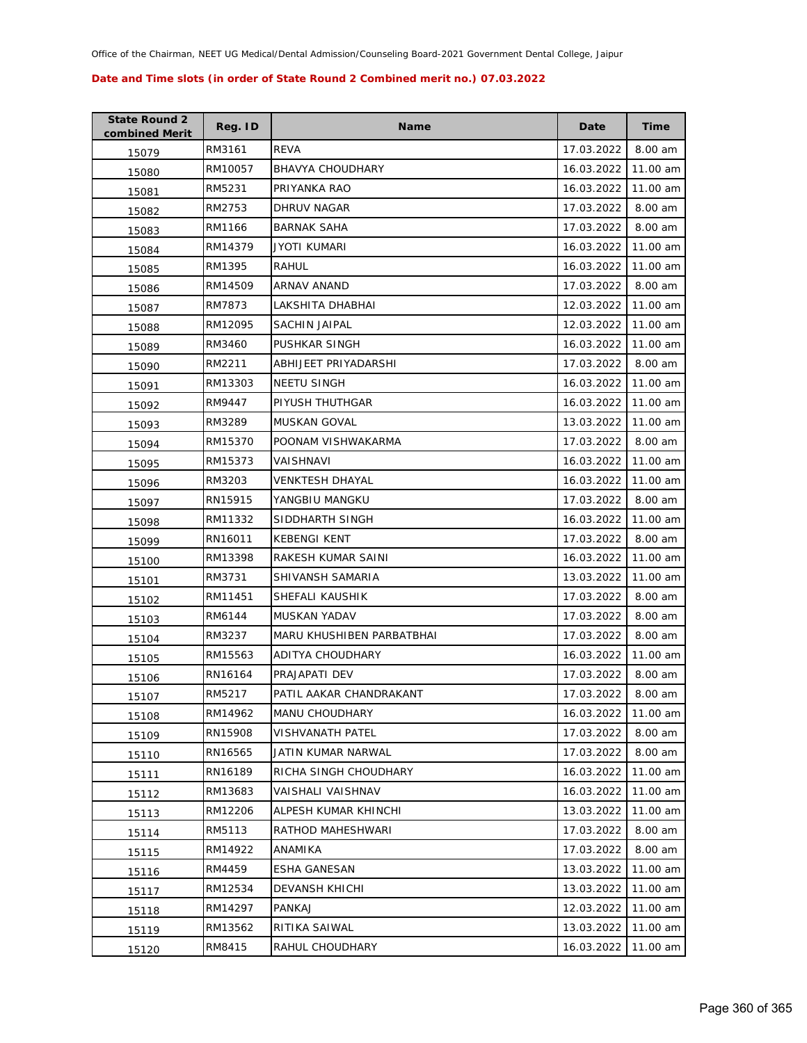| <b>State Round 2</b><br>combined Merit | Reg. ID | <b>Name</b>               | Date       | <b>Time</b> |
|----------------------------------------|---------|---------------------------|------------|-------------|
| 15079                                  | RM3161  | <b>REVA</b>               | 17.03.2022 | 8.00 am     |
| 15080                                  | RM10057 | <b>BHAVYA CHOUDHARY</b>   | 16.03.2022 | 11.00 am    |
| 15081                                  | RM5231  | PRIYANKA RAO              | 16.03.2022 | 11.00 am    |
| 15082                                  | RM2753  | DHRUV NAGAR               | 17.03.2022 | 8.00 am     |
| 15083                                  | RM1166  | <b>BARNAK SAHA</b>        | 17.03.2022 | 8.00 am     |
| 15084                                  | RM14379 | JYOTI KUMARI              | 16.03.2022 | 11.00 am    |
| 15085                                  | RM1395  | RAHUL                     | 16.03.2022 | 11.00 am    |
| 15086                                  | RM14509 | ARNAV ANAND               | 17.03.2022 | 8.00 am     |
| 15087                                  | RM7873  | LAKSHITA DHABHAI          | 12.03.2022 | 11.00 am    |
| 15088                                  | RM12095 | SACHIN JAIPAL             | 12.03.2022 | 11.00 am    |
| 15089                                  | RM3460  | PUSHKAR SINGH             | 16.03.2022 | 11.00 am    |
| 15090                                  | RM2211  | ABHIJEET PRIYADARSHI      | 17.03.2022 | 8.00 am     |
| 15091                                  | RM13303 | <b>NEETU SINGH</b>        | 16.03.2022 | 11.00 am    |
| 15092                                  | RM9447  | PIYUSH THUTHGAR           | 16.03.2022 | 11.00 am    |
| 15093                                  | RM3289  | MUSKAN GOVAL              | 13.03.2022 | 11.00 am    |
| 15094                                  | RM15370 | POONAM VISHWAKARMA        | 17.03.2022 | 8.00 am     |
| 15095                                  | RM15373 | VAISHNAVI                 | 16.03.2022 | 11.00 am    |
| 15096                                  | RM3203  | VENKTESH DHAYAL           | 16.03.2022 | 11.00 am    |
| 15097                                  | RN15915 | YANGBIU MANGKU            | 17.03.2022 | 8.00 am     |
| 15098                                  | RM11332 | SIDDHARTH SINGH           | 16.03.2022 | 11.00 am    |
| 15099                                  | RN16011 | <b>KEBENGI KENT</b>       | 17.03.2022 | 8.00 am     |
| 15100                                  | RM13398 | RAKESH KUMAR SAINI        | 16.03.2022 | 11.00 am    |
| 15101                                  | RM3731  | SHIVANSH SAMARIA          | 13.03.2022 | 11.00 am    |
| 15102                                  | RM11451 | SHEFALI KAUSHIK           | 17.03.2022 | 8.00 am     |
| 15103                                  | RM6144  | MUSKAN YADAV              | 17.03.2022 | 8.00 am     |
| 15104                                  | RM3237  | MARU KHUSHIBEN PARBATBHAI | 17.03.2022 | 8.00 am     |
| 15105                                  | RM15563 | ADITYA CHOUDHARY          | 16.03.2022 | 11.00 am    |
| 15106                                  | RN16164 | PRAJAPATI DEV             | 17.03.2022 | 8.00 am     |
| 15107                                  | RM5217  | PATIL AAKAR CHANDRAKANT   | 17.03.2022 | 8.00 am     |
| 15108                                  | RM14962 | MANU CHOUDHARY            | 16.03.2022 | 11.00 am    |
| 15109                                  | RN15908 | <b>VISHVANATH PATEL</b>   | 17.03.2022 | 8.00 am     |
| 15110                                  | RN16565 | JATIN KUMAR NARWAL        | 17.03.2022 | 8.00 am     |
| 15111                                  | RN16189 | RICHA SINGH CHOUDHARY     | 16.03.2022 | 11.00 am    |
| 15112                                  | RM13683 | VAISHALI VAISHNAV         | 16.03.2022 | 11.00 am    |
| 15113                                  | RM12206 | ALPESH KUMAR KHINCHI      | 13.03.2022 | 11.00 am    |
| 15114                                  | RM5113  | RATHOD MAHESHWARI         | 17.03.2022 | 8.00 am     |
| 15115                                  | RM14922 | <b>ANAMIKA</b>            | 17.03.2022 | 8.00 am     |
| 15116                                  | RM4459  | <b>ESHA GANESAN</b>       | 13.03.2022 | 11.00 am    |
| 15117                                  | RM12534 | <b>DEVANSH KHICHI</b>     | 13.03.2022 | 11.00 am    |
| 15118                                  | RM14297 | PANKAJ                    | 12.03.2022 | 11.00 am    |
| 15119                                  | RM13562 | RITIKA SAIWAL             | 13.03.2022 | 11.00 am    |
| 15120                                  | RM8415  | RAHUL CHOUDHARY           | 16.03.2022 | 11.00 am    |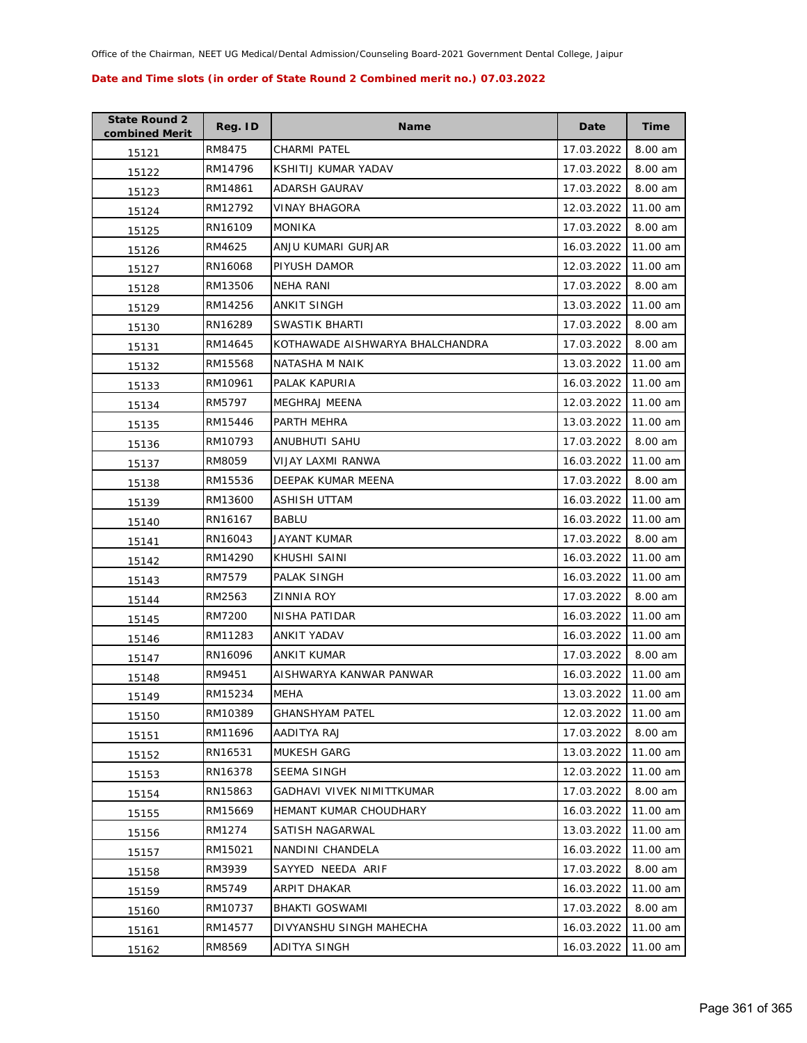| <b>State Round 2</b><br>combined Merit | Reg. ID | Name                            | Date       | Time     |
|----------------------------------------|---------|---------------------------------|------------|----------|
| 15121                                  | RM8475  | CHARMI PATEL                    | 17.03.2022 | 8.00 am  |
| 15122                                  | RM14796 | KSHITIJ KUMAR YADAV             | 17.03.2022 | 8.00 am  |
| 15123                                  | RM14861 | ADARSH GAURAV                   | 17.03.2022 | 8.00 am  |
| 15124                                  | RM12792 | <b>VINAY BHAGORA</b>            | 12.03.2022 | 11.00 am |
| 15125                                  | RN16109 | <b>MONIKA</b>                   | 17.03.2022 | 8.00 am  |
| 15126                                  | RM4625  | ANJU KUMARI GURJAR              | 16.03.2022 | 11.00 am |
| 15127                                  | RN16068 | PIYUSH DAMOR                    | 12.03.2022 | 11.00 am |
| 15128                                  | RM13506 | NEHA RANI                       | 17.03.2022 | 8.00 am  |
| 15129                                  | RM14256 | ANKIT SINGH                     | 13.03.2022 | 11.00 am |
| 15130                                  | RN16289 | SWASTIK BHARTI                  | 17.03.2022 | 8.00 am  |
| 15131                                  | RM14645 | KOTHAWADE AISHWARYA BHALCHANDRA | 17.03.2022 | 8.00 am  |
| 15132                                  | RM15568 | NATASHA M NAIK                  | 13.03.2022 | 11.00 am |
| 15133                                  | RM10961 | PALAK KAPURIA                   | 16.03.2022 | 11.00 am |
| 15134                                  | RM5797  | <b>MEGHRAJ MEENA</b>            | 12.03.2022 | 11.00 am |
| 15135                                  | RM15446 | PARTH MEHRA                     | 13.03.2022 | 11.00 am |
| 15136                                  | RM10793 | <b>ANUBHUTI SAHU</b>            | 17.03.2022 | 8.00 am  |
| 15137                                  | RM8059  | VIJAY LAXMI RANWA               | 16.03.2022 | 11.00 am |
| 15138                                  | RM15536 | DEEPAK KUMAR MEENA              | 17.03.2022 | 8.00 am  |
| 15139                                  | RM13600 | ASHISH UTTAM                    | 16.03.2022 | 11.00 am |
| 15140                                  | RN16167 | <b>BABLU</b>                    | 16.03.2022 | 11.00 am |
| 15141                                  | RN16043 | JAYANT KUMAR                    | 17.03.2022 | 8.00 am  |
| 15142                                  | RM14290 | KHUSHI SAINI                    | 16.03.2022 | 11.00 am |
| 15143                                  | RM7579  | PALAK SINGH                     | 16.03.2022 | 11.00 am |
| 15144                                  | RM2563  | ZINNIA ROY                      | 17.03.2022 | 8.00 am  |
| 15145                                  | RM7200  | NISHA PATIDAR                   | 16.03.2022 | 11.00 am |
| 15146                                  | RM11283 | ANKIT YADAV                     | 16.03.2022 | 11.00 am |
| 15147                                  | RN16096 | ANKIT KUMAR                     | 17.03.2022 | 8.00 am  |
| 15148                                  | RM9451  | AISHWARYA KANWAR PANWAR         | 16.03.2022 | 11.00 am |
| 15149                                  | RM15234 | MEHA                            | 13.03.2022 | 11.00 am |
| 15150                                  | RM10389 | <b>GHANSHYAM PATEL</b>          | 12.03.2022 | 11.00 am |
| 15151                                  | RM11696 | AADITYA RAJ                     | 17.03.2022 | 8.00 am  |
| 15152                                  | RN16531 | <b>MUKESH GARG</b>              | 13.03.2022 | 11.00 am |
| 15153                                  | RN16378 | <b>SEEMA SINGH</b>              | 12.03.2022 | 11.00 am |
| 15154                                  | RN15863 | GADHAVI VIVEK NIMITTKUMAR       | 17.03.2022 | 8.00 am  |
| 15155                                  | RM15669 | HEMANT KUMAR CHOUDHARY          | 16.03.2022 | 11.00 am |
| 15156                                  | RM1274  | SATISH NAGARWAL                 | 13.03.2022 | 11.00 am |
| 15157                                  | RM15021 | NANDINI CHANDELA                | 16.03.2022 | 11.00 am |
| 15158                                  | RM3939  | SAYYED NEEDA ARIF               | 17.03.2022 | 8.00 am  |
| 15159                                  | RM5749  | ARPIT DHAKAR                    | 16.03.2022 | 11.00 am |
| 15160                                  | RM10737 | <b>BHAKTI GOSWAMI</b>           | 17.03.2022 | 8.00 am  |
| 15161                                  | RM14577 | DIVYANSHU SINGH MAHECHA         | 16.03.2022 | 11.00 am |
| 15162                                  | RM8569  | ADITYA SINGH                    | 16.03.2022 | 11.00 am |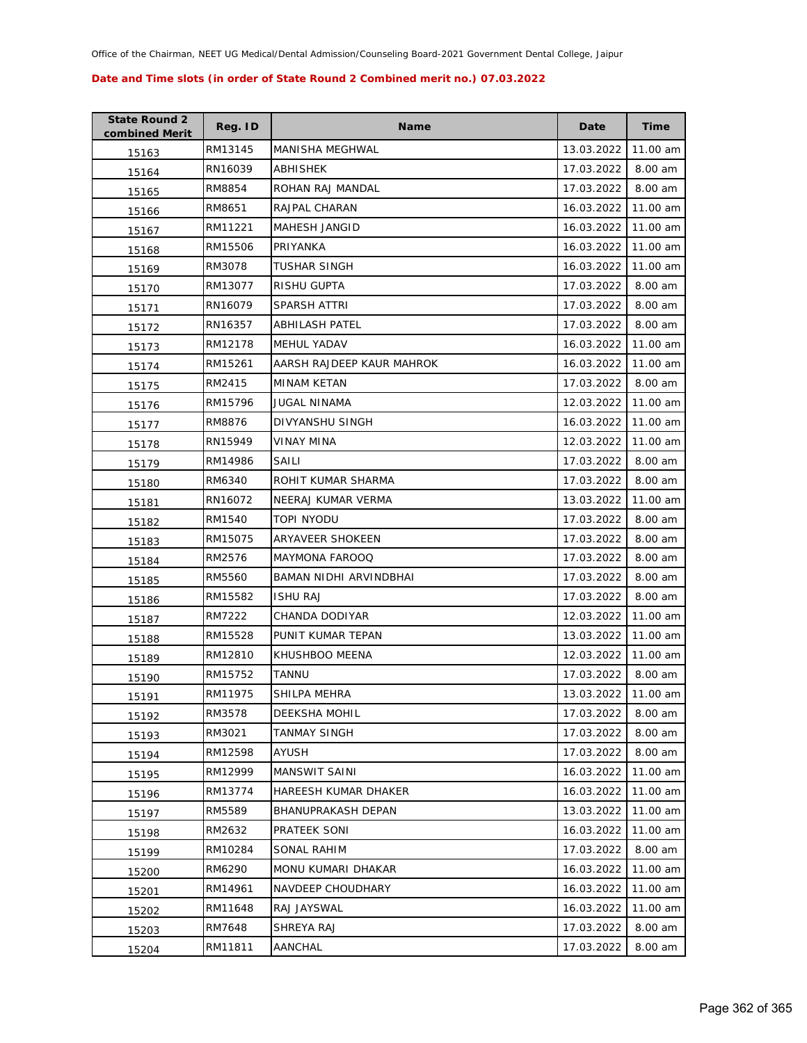| <b>State Round 2</b><br>combined Merit | Reg. ID | <b>Name</b>               | Date       | <b>Time</b> |
|----------------------------------------|---------|---------------------------|------------|-------------|
| 15163                                  | RM13145 | <b>MANISHA MEGHWAL</b>    | 13.03.2022 | 11.00 am    |
| 15164                                  | RN16039 | ABHISHEK                  | 17.03.2022 | 8.00 am     |
| 15165                                  | RM8854  | ROHAN RAJ MANDAL          | 17.03.2022 | 8.00 am     |
| 15166                                  | RM8651  | RAJPAL CHARAN             | 16.03.2022 | 11.00 am    |
| 15167                                  | RM11221 | MAHESH JANGID             | 16.03.2022 | 11.00 am    |
| 15168                                  | RM15506 | PRIYANKA                  | 16.03.2022 | 11.00 am    |
| 15169                                  | RM3078  | TUSHAR SINGH              | 16.03.2022 | 11.00 am    |
| 15170                                  | RM13077 | RISHU GUPTA               | 17.03.2022 | 8.00 am     |
| 15171                                  | RN16079 | SPARSH ATTRI              | 17.03.2022 | 8.00 am     |
| 15172                                  | RN16357 | ABHILASH PATEL            | 17.03.2022 | 8.00 am     |
| 15173                                  | RM12178 | <b>MEHUL YADAV</b>        | 16.03.2022 | 11.00 am    |
| 15174                                  | RM15261 | AARSH RAJDEEP KAUR MAHROK | 16.03.2022 | 11.00 am    |
| 15175                                  | RM2415  | MINAM KETAN               | 17.03.2022 | 8.00 am     |
| 15176                                  | RM15796 | JUGAL NINAMA              | 12.03.2022 | 11.00 am    |
| 15177                                  | RM8876  | <b>DIVYANSHU SINGH</b>    | 16.03.2022 | 11.00 am    |
| 15178                                  | RN15949 | VINAY MINA                | 12.03.2022 | 11.00 am    |
| 15179                                  | RM14986 | SAILI                     | 17.03.2022 | 8.00 am     |
| 15180                                  | RM6340  | ROHIT KUMAR SHARMA        | 17.03.2022 | 8.00 am     |
| 15181                                  | RN16072 | NEERAJ KUMAR VERMA        | 13.03.2022 | 11.00 am    |
| 15182                                  | RM1540  | TOPI NYODU                | 17.03.2022 | 8.00 am     |
| 15183                                  | RM15075 | ARYAVEER SHOKEEN          | 17.03.2022 | 8.00 am     |
| 15184                                  | RM2576  | <b>MAYMONA FAROOQ</b>     | 17.03.2022 | 8.00 am     |
| 15185                                  | RM5560  | BAMAN NIDHI ARVINDBHAI    | 17.03.2022 | 8.00 am     |
| 15186                                  | RM15582 | <b>ISHU RAJ</b>           | 17.03.2022 | 8.00 am     |
| 15187                                  | RM7222  | CHANDA DODIYAR            | 12.03.2022 | 11.00 am    |
| 15188                                  | RM15528 | PUNIT KUMAR TEPAN         | 13.03.2022 | 11.00 am    |
| 15189                                  | RM12810 | KHUSHBOO MEENA            | 12.03.2022 | 11.00 am    |
| 15190                                  | RM15752 | TANNU                     | 17.03.2022 | 8.00 am     |
| 15191                                  | RM11975 | SHILPA MEHRA              | 13.03.2022 | 11.00 am    |
| 15192                                  | RM3578  | <b>DEEKSHA MOHIL</b>      | 17.03.2022 | 8.00 am     |
| 15193                                  | RM3021  | TANMAY SINGH              | 17.03.2022 | 8.00 am     |
| 15194                                  | RM12598 | AYUSH                     | 17.03.2022 | 8.00 am     |
| 15195                                  | RM12999 | <b>MANSWIT SAINI</b>      | 16.03.2022 | 11.00 am    |
| 15196                                  | RM13774 | HAREESH KUMAR DHAKER      | 16.03.2022 | 11.00 am    |
| 15197                                  | RM5589  | BHANUPRAKASH DEPAN        | 13.03.2022 | 11.00 am    |
| 15198                                  | RM2632  | PRATEEK SONI              | 16.03.2022 | 11.00 am    |
| 15199                                  | RM10284 | SONAL RAHIM               | 17.03.2022 | 8.00 am     |
| 15200                                  | RM6290  | MONU KUMARI DHAKAR        | 16.03.2022 | 11.00 am    |
| 15201                                  | RM14961 | NAVDEEP CHOUDHARY         | 16.03.2022 | 11.00 am    |
| 15202                                  | RM11648 | RAJ JAYSWAL               | 16.03.2022 | 11.00 am    |
| 15203                                  | RM7648  | SHREYA RAJ                | 17.03.2022 | 8.00 am     |
| 15204                                  | RM11811 | AANCHAL                   | 17.03.2022 | 8.00 am     |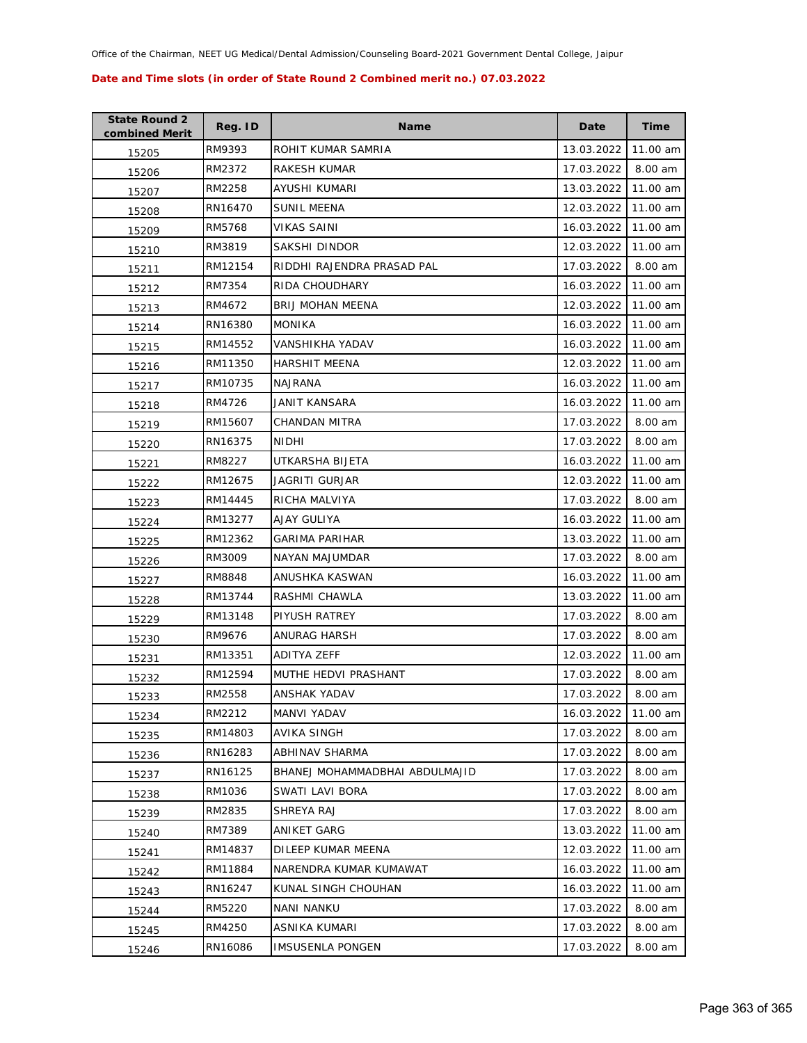| <b>State Round 2</b><br>combined Merit | Reg. ID | <b>Name</b>                    | Date       | <b>Time</b> |
|----------------------------------------|---------|--------------------------------|------------|-------------|
| 15205                                  | RM9393  | ROHIT KUMAR SAMRIA             | 13.03.2022 | 11.00 am    |
| 15206                                  | RM2372  | RAKESH KUMAR                   | 17.03.2022 | 8.00 am     |
| 15207                                  | RM2258  | AYUSHI KUMARI                  | 13.03.2022 | 11.00 am    |
| 15208                                  | RN16470 | <b>SUNIL MEENA</b>             | 12.03.2022 | 11.00 am    |
| 15209                                  | RM5768  | VIKAS SAINI                    | 16.03.2022 | 11.00 am    |
| 15210                                  | RM3819  | SAKSHI DINDOR                  | 12.03.2022 | 11.00 am    |
| 15211                                  | RM12154 | RIDDHI RAJENDRA PRASAD PAL     | 17.03.2022 | 8.00 am     |
| 15212                                  | RM7354  | RIDA CHOUDHARY                 | 16.03.2022 | 11.00 am    |
| 15213                                  | RM4672  | <b>BRIJ MOHAN MEENA</b>        | 12.03.2022 | 11.00 am    |
| 15214                                  | RN16380 | <b>MONIKA</b>                  | 16.03.2022 | 11.00 am    |
| 15215                                  | RM14552 | VANSHIKHA YADAV                | 16.03.2022 | 11.00 am    |
| 15216                                  | RM11350 | <b>HARSHIT MEENA</b>           | 12.03.2022 | 11.00 am    |
| 15217                                  | RM10735 | <b>NAJRANA</b>                 | 16.03.2022 | 11.00 am    |
| 15218                                  | RM4726  | JANIT KANSARA                  | 16.03.2022 | 11.00 am    |
| 15219                                  | RM15607 | CHANDAN MITRA                  | 17.03.2022 | 8.00 am     |
| 15220                                  | RN16375 | <b>NIDHI</b>                   | 17.03.2022 | 8.00 am     |
| 15221                                  | RM8227  | UTKARSHA BIJETA                | 16.03.2022 | 11.00 am    |
| 15222                                  | RM12675 | JAGRITI GURJAR                 | 12.03.2022 | 11.00 am    |
| 15223                                  | RM14445 | RICHA MALVIYA                  | 17.03.2022 | 8.00 am     |
| 15224                                  | RM13277 | AJAY GULIYA                    | 16.03.2022 | 11.00 am    |
| 15225                                  | RM12362 | <b>GARIMA PARIHAR</b>          | 13.03.2022 | 11.00 am    |
| 15226                                  | RM3009  | NAYAN MAJUMDAR                 | 17.03.2022 | 8.00 am     |
| 15227                                  | RM8848  | ANUSHKA KASWAN                 | 16.03.2022 | 11.00 am    |
| 15228                                  | RM13744 | RASHMI CHAWLA                  | 13.03.2022 | 11.00 am    |
| 15229                                  | RM13148 | PIYUSH RATREY                  | 17.03.2022 | 8.00 am     |
| 15230                                  | RM9676  | ANURAG HARSH                   | 17.03.2022 | 8.00 am     |
| 15231                                  | RM13351 | <b>ADITYA ZEFF</b>             | 12.03.2022 | 11.00 am    |
| 15232                                  | RM12594 | MUTHE HEDVI PRASHANT           | 17.03.2022 | 8.00 am     |
| 15233                                  | RM2558  | ANSHAK YADAV                   | 17.03.2022 | 8.00 am     |
| 15234                                  | RM2212  | MANVI YADAV                    | 16.03.2022 | 11.00 am    |
| 15235                                  | RM14803 | AVIKA SINGH                    | 17.03.2022 | 8.00 am     |
| 15236                                  | RN16283 | ABHINAV SHARMA                 | 17.03.2022 | 8.00 am     |
| 15237                                  | RN16125 | BHANEJ MOHAMMADBHAI ABDULMAJID | 17.03.2022 | 8.00 am     |
| 15238                                  | RM1036  | SWATI LAVI BORA                | 17.03.2022 | 8.00 am     |
| 15239                                  | RM2835  | SHREYA RAJ                     | 17.03.2022 | 8.00 am     |
| 15240                                  | RM7389  | ANIKET GARG                    | 13.03.2022 | 11.00 am    |
| 15241                                  | RM14837 | DILEEP KUMAR MEENA             | 12.03.2022 | 11.00 am    |
| 15242                                  | RM11884 | NARENDRA KUMAR KUMAWAT         | 16.03.2022 | 11.00 am    |
| 15243                                  | RN16247 | KUNAL SINGH CHOUHAN            | 16.03.2022 | 11.00 am    |
| 15244                                  | RM5220  | NANI NANKU                     | 17.03.2022 | 8.00 am     |
| 15245                                  | RM4250  | ASNIKA KUMARI                  | 17.03.2022 | 8.00 am     |
| 15246                                  | RN16086 | <b>IMSUSENLA PONGEN</b>        | 17.03.2022 | 8.00 am     |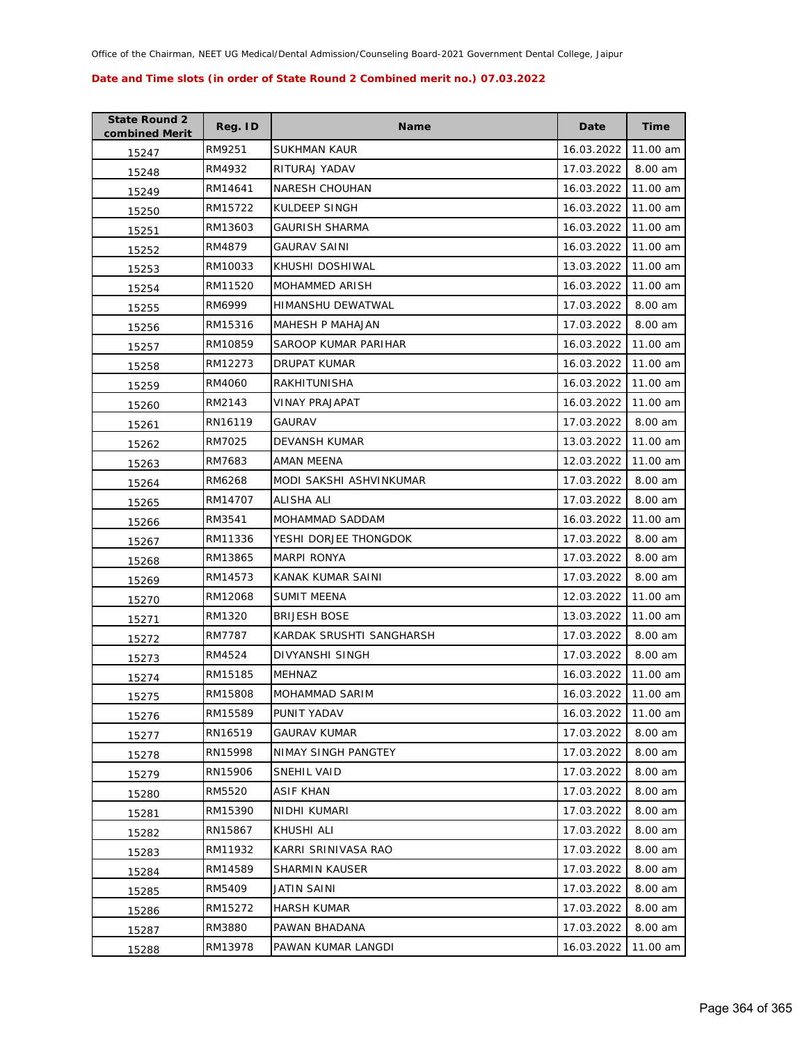| <b>State Round 2</b><br>combined Merit | Reg. ID | <b>Name</b>              | Date       | <b>Time</b> |
|----------------------------------------|---------|--------------------------|------------|-------------|
| 15247                                  | RM9251  | <b>SUKHMAN KAUR</b>      | 16.03.2022 | 11.00 am    |
| 15248                                  | RM4932  | RITURAJ YADAV            | 17.03.2022 | 8.00 am     |
| 15249                                  | RM14641 | <b>NARESH CHOUHAN</b>    | 16.03.2022 | 11.00 am    |
| 15250                                  | RM15722 | KULDEEP SINGH            | 16.03.2022 | 11.00 am    |
| 15251                                  | RM13603 | <b>GAURISH SHARMA</b>    | 16.03.2022 | 11.00 am    |
| 15252                                  | RM4879  | <b>GAURAV SAINI</b>      | 16.03.2022 | 11.00 am    |
| 15253                                  | RM10033 | KHUSHI DOSHIWAL          | 13.03.2022 | 11.00 am    |
| 15254                                  | RM11520 | MOHAMMED ARISH           | 16.03.2022 | 11.00 am    |
| 15255                                  | RM6999  | HIMANSHU DEWATWAL        | 17.03.2022 | 8.00 am     |
| 15256                                  | RM15316 | MAHESH P MAHAJAN         | 17.03.2022 | 8.00 am     |
| 15257                                  | RM10859 | SAROOP KUMAR PARIHAR     | 16.03.2022 | 11.00 am    |
| 15258                                  | RM12273 | DRUPAT KUMAR             | 16.03.2022 | 11.00 am    |
| 15259                                  | RM4060  | RAKHITUNISHA             | 16.03.2022 | 11.00 am    |
| 15260                                  | RM2143  | VINAY PRAJAPAT           | 16.03.2022 | 11.00 am    |
| 15261                                  | RN16119 | GAURAV                   | 17.03.2022 | 8.00 am     |
| 15262                                  | RM7025  | DEVANSH KUMAR            | 13.03.2022 | 11.00 am    |
| 15263                                  | RM7683  | AMAN MEENA               | 12.03.2022 | 11.00 am    |
| 15264                                  | RM6268  | MODI SAKSHI ASHVINKUMAR  | 17.03.2022 | 8.00 am     |
| 15265                                  | RM14707 | ALISHA ALI               | 17.03.2022 | 8.00 am     |
| 15266                                  | RM3541  | MOHAMMAD SADDAM          | 16.03.2022 | 11.00 am    |
| 15267                                  | RM11336 | YESHI DORJEE THONGDOK    | 17.03.2022 | 8.00 am     |
| 15268                                  | RM13865 | <b>MARPI RONYA</b>       | 17.03.2022 | 8.00 am     |
| 15269                                  | RM14573 | KANAK KUMAR SAINI        | 17.03.2022 | 8.00 am     |
| 15270                                  | RM12068 | <b>SUMIT MEENA</b>       | 12.03.2022 | 11.00 am    |
| 15271                                  | RM1320  | <b>BRIJESH BOSE</b>      | 13.03.2022 | 11.00 am    |
| 15272                                  | RM7787  | KARDAK SRUSHTI SANGHARSH | 17.03.2022 | 8.00 am     |
| 15273                                  | RM4524  | DIVYANSHI SINGH          | 17.03.2022 | 8.00 am     |
| 15274                                  | RM15185 | <b>MEHNAZ</b>            | 16.03.2022 | 11.00 am    |
| 15275                                  | RM15808 | MOHAMMAD SARIM           | 16.03.2022 | 11.00 am    |
| 15276                                  | RM15589 | PUNIT YADAV              | 16.03.2022 | 11.00 am    |
| 15277                                  | RN16519 | <b>GAURAV KUMAR</b>      | 17.03.2022 | 8.00 am     |
| 15278                                  | RN15998 | NIMAY SINGH PANGTEY      | 17.03.2022 | 8.00 am     |
| 15279                                  | RN15906 | SNEHIL VAID              | 17.03.2022 | 8.00 am     |
| 15280                                  | RM5520  | ASIF KHAN                | 17.03.2022 | 8.00 am     |
| 15281                                  | RM15390 | NIDHI KUMARI             | 17.03.2022 | 8.00 am     |
| 15282                                  | RN15867 | KHUSHI ALI               | 17.03.2022 | 8.00 am     |
| 15283                                  | RM11932 | KARRI SRINIVASA RAO      | 17.03.2022 | 8.00 am     |
| 15284                                  | RM14589 | <b>SHARMIN KAUSER</b>    | 17.03.2022 | 8.00 am     |
| 15285                                  | RM5409  | JATIN SAINI              | 17.03.2022 | 8.00 am     |
| 15286                                  | RM15272 | <b>HARSH KUMAR</b>       | 17.03.2022 | 8.00 am     |
| 15287                                  | RM3880  | PAWAN BHADANA            | 17.03.2022 | 8.00 am     |
| 15288                                  | RM13978 | PAWAN KUMAR LANGDI       | 16.03.2022 | 11.00 am    |